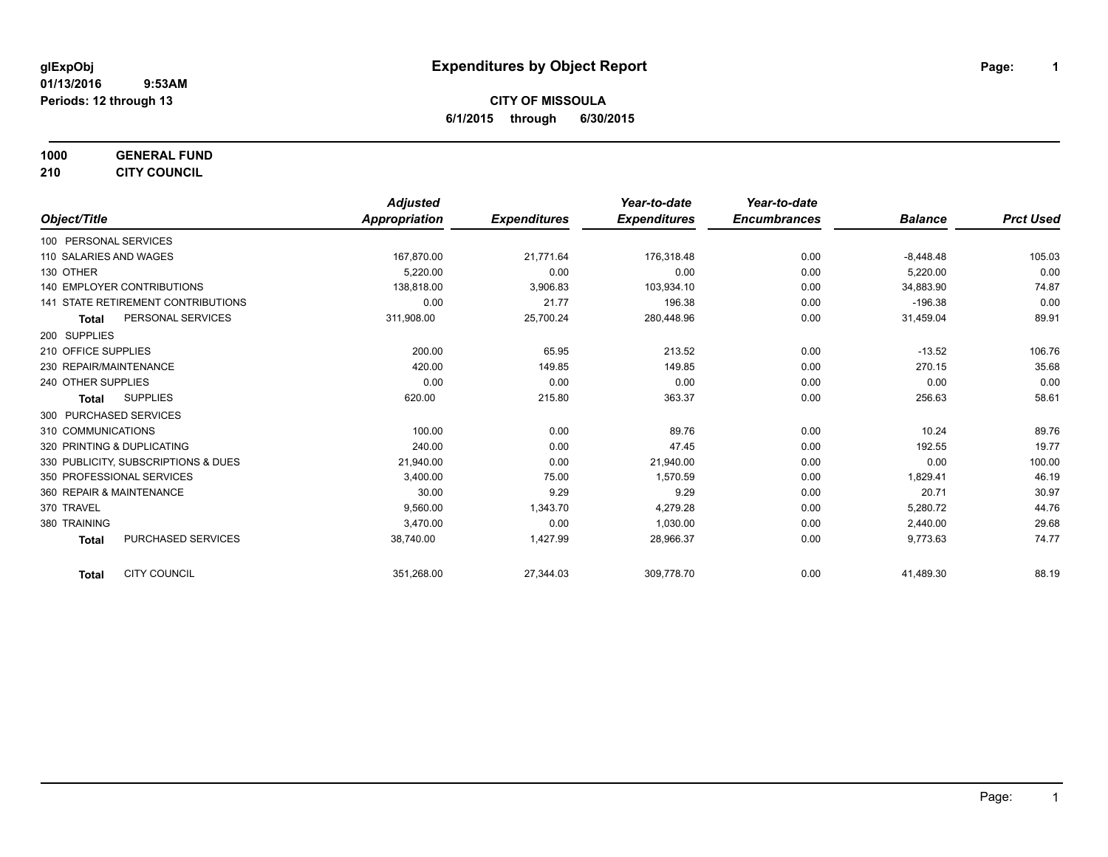**1000 GENERAL FUND**

**210 CITY COUNCIL**

|                                           | <b>Adjusted</b> |                     | Year-to-date        | Year-to-date        |                |                  |
|-------------------------------------------|-----------------|---------------------|---------------------|---------------------|----------------|------------------|
| Object/Title                              | Appropriation   | <b>Expenditures</b> | <b>Expenditures</b> | <b>Encumbrances</b> | <b>Balance</b> | <b>Prct Used</b> |
| 100 PERSONAL SERVICES                     |                 |                     |                     |                     |                |                  |
| 110 SALARIES AND WAGES                    | 167,870.00      | 21,771.64           | 176,318.48          | 0.00                | $-8,448.48$    | 105.03           |
| 130 OTHER                                 | 5,220.00        | 0.00                | 0.00                | 0.00                | 5,220.00       | 0.00             |
| <b>140 EMPLOYER CONTRIBUTIONS</b>         | 138,818.00      | 3,906.83            | 103,934.10          | 0.00                | 34,883.90      | 74.87            |
| <b>141 STATE RETIREMENT CONTRIBUTIONS</b> | 0.00            | 21.77               | 196.38              | 0.00                | $-196.38$      | 0.00             |
| PERSONAL SERVICES<br><b>Total</b>         | 311,908.00      | 25,700.24           | 280,448.96          | 0.00                | 31,459.04      | 89.91            |
| 200 SUPPLIES                              |                 |                     |                     |                     |                |                  |
| 210 OFFICE SUPPLIES                       | 200.00          | 65.95               | 213.52              | 0.00                | $-13.52$       | 106.76           |
| 230 REPAIR/MAINTENANCE                    | 420.00          | 149.85              | 149.85              | 0.00                | 270.15         | 35.68            |
| 240 OTHER SUPPLIES                        | 0.00            | 0.00                | 0.00                | 0.00                | 0.00           | 0.00             |
| <b>SUPPLIES</b><br><b>Total</b>           | 620.00          | 215.80              | 363.37              | 0.00                | 256.63         | 58.61            |
| 300 PURCHASED SERVICES                    |                 |                     |                     |                     |                |                  |
| 310 COMMUNICATIONS                        | 100.00          | 0.00                | 89.76               | 0.00                | 10.24          | 89.76            |
| 320 PRINTING & DUPLICATING                | 240.00          | 0.00                | 47.45               | 0.00                | 192.55         | 19.77            |
| 330 PUBLICITY, SUBSCRIPTIONS & DUES       | 21,940.00       | 0.00                | 21,940.00           | 0.00                | 0.00           | 100.00           |
| 350 PROFESSIONAL SERVICES                 | 3.400.00        | 75.00               | 1,570.59            | 0.00                | 1,829.41       | 46.19            |
| 360 REPAIR & MAINTENANCE                  | 30.00           | 9.29                | 9.29                | 0.00                | 20.71          | 30.97            |
| 370 TRAVEL                                | 9.560.00        | 1,343.70            | 4,279.28            | 0.00                | 5,280.72       | 44.76            |
| 380 TRAINING                              | 3,470.00        | 0.00                | 1,030.00            | 0.00                | 2,440.00       | 29.68            |
| <b>PURCHASED SERVICES</b><br><b>Total</b> | 38,740.00       | 1,427.99            | 28,966.37           | 0.00                | 9,773.63       | 74.77            |
| <b>CITY COUNCIL</b><br><b>Total</b>       | 351,268.00      | 27,344.03           | 309,778.70          | 0.00                | 41,489.30      | 88.19            |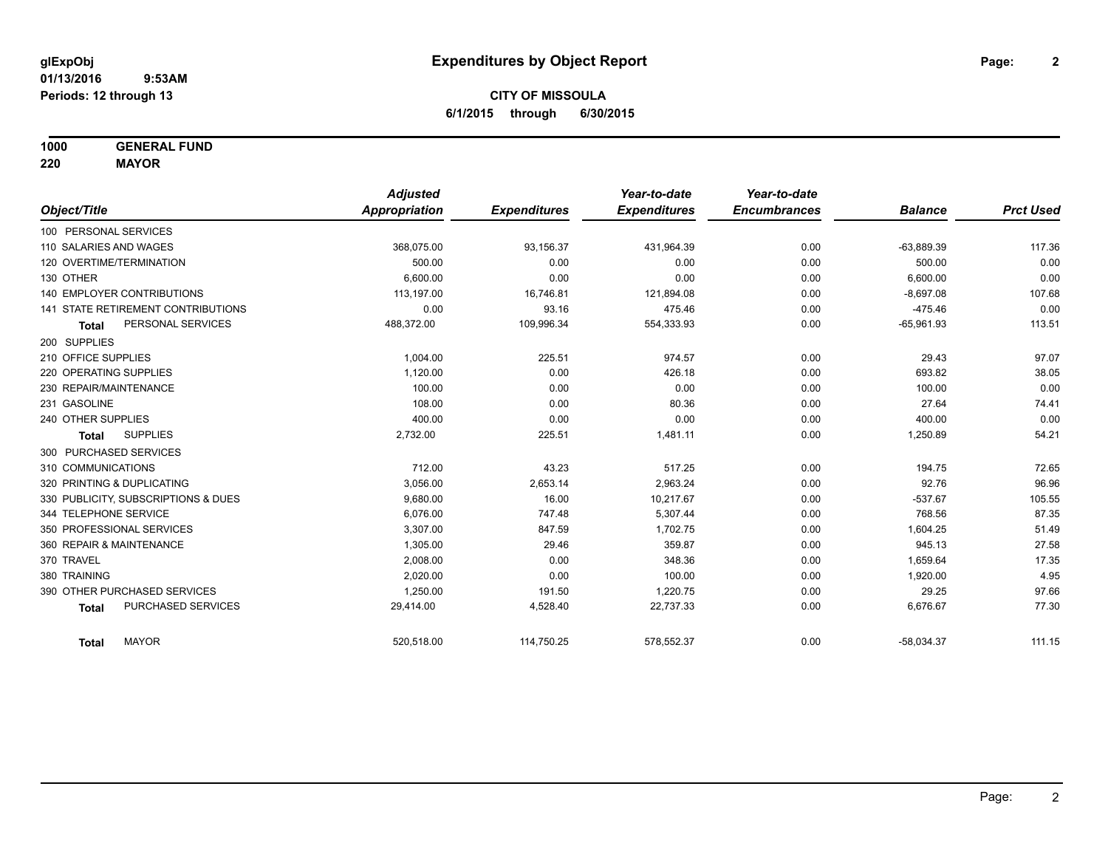**1000 GENERAL FUND**

**220 MAYOR**

|                                     | <b>Adjusted</b> |                     | Year-to-date        | Year-to-date        |                |                  |
|-------------------------------------|-----------------|---------------------|---------------------|---------------------|----------------|------------------|
| Object/Title                        | Appropriation   | <b>Expenditures</b> | <b>Expenditures</b> | <b>Encumbrances</b> | <b>Balance</b> | <b>Prct Used</b> |
| 100 PERSONAL SERVICES               |                 |                     |                     |                     |                |                  |
| 110 SALARIES AND WAGES              | 368,075.00      | 93,156.37           | 431,964.39          | 0.00                | $-63,889.39$   | 117.36           |
| 120 OVERTIME/TERMINATION            | 500.00          | 0.00                | 0.00                | 0.00                | 500.00         | 0.00             |
| 130 OTHER                           | 6.600.00        | 0.00                | 0.00                | 0.00                | 6,600.00       | 0.00             |
| <b>140 EMPLOYER CONTRIBUTIONS</b>   | 113.197.00      | 16,746.81           | 121,894.08          | 0.00                | $-8,697.08$    | 107.68           |
| 141 STATE RETIREMENT CONTRIBUTIONS  | 0.00            | 93.16               | 475.46              | 0.00                | $-475.46$      | 0.00             |
| PERSONAL SERVICES<br><b>Total</b>   | 488,372.00      | 109,996.34          | 554,333.93          | 0.00                | $-65,961.93$   | 113.51           |
| 200 SUPPLIES                        |                 |                     |                     |                     |                |                  |
| 210 OFFICE SUPPLIES                 | 1.004.00        | 225.51              | 974.57              | 0.00                | 29.43          | 97.07            |
| 220 OPERATING SUPPLIES              | 1.120.00        | 0.00                | 426.18              | 0.00                | 693.82         | 38.05            |
| 230 REPAIR/MAINTENANCE              | 100.00          | 0.00                | 0.00                | 0.00                | 100.00         | 0.00             |
| 231 GASOLINE                        | 108.00          | 0.00                | 80.36               | 0.00                | 27.64          | 74.41            |
| 240 OTHER SUPPLIES                  | 400.00          | 0.00                | 0.00                | 0.00                | 400.00         | 0.00             |
| <b>SUPPLIES</b><br>Total            | 2,732.00        | 225.51              | 1,481.11            | 0.00                | 1,250.89       | 54.21            |
| 300 PURCHASED SERVICES              |                 |                     |                     |                     |                |                  |
| 310 COMMUNICATIONS                  | 712.00          | 43.23               | 517.25              | 0.00                | 194.75         | 72.65            |
| 320 PRINTING & DUPLICATING          | 3,056.00        | 2,653.14            | 2,963.24            | 0.00                | 92.76          | 96.96            |
| 330 PUBLICITY, SUBSCRIPTIONS & DUES | 9,680.00        | 16.00               | 10,217.67           | 0.00                | $-537.67$      | 105.55           |
| 344 TELEPHONE SERVICE               | 6,076.00        | 747.48              | 5,307.44            | 0.00                | 768.56         | 87.35            |
| 350 PROFESSIONAL SERVICES           | 3,307.00        | 847.59              | 1,702.75            | 0.00                | 1,604.25       | 51.49            |
| 360 REPAIR & MAINTENANCE            | 1,305.00        | 29.46               | 359.87              | 0.00                | 945.13         | 27.58            |
| 370 TRAVEL                          | 2,008.00        | 0.00                | 348.36              | 0.00                | 1,659.64       | 17.35            |
| 380 TRAINING                        | 2.020.00        | 0.00                | 100.00              | 0.00                | 1,920.00       | 4.95             |
| 390 OTHER PURCHASED SERVICES        | 1,250.00        | 191.50              | 1,220.75            | 0.00                | 29.25          | 97.66            |
| PURCHASED SERVICES<br><b>Total</b>  | 29,414.00       | 4,528.40            | 22,737.33           | 0.00                | 6,676.67       | 77.30            |
| <b>MAYOR</b><br><b>Total</b>        | 520,518.00      | 114,750.25          | 578,552.37          | 0.00                | $-58,034.37$   | 111.15           |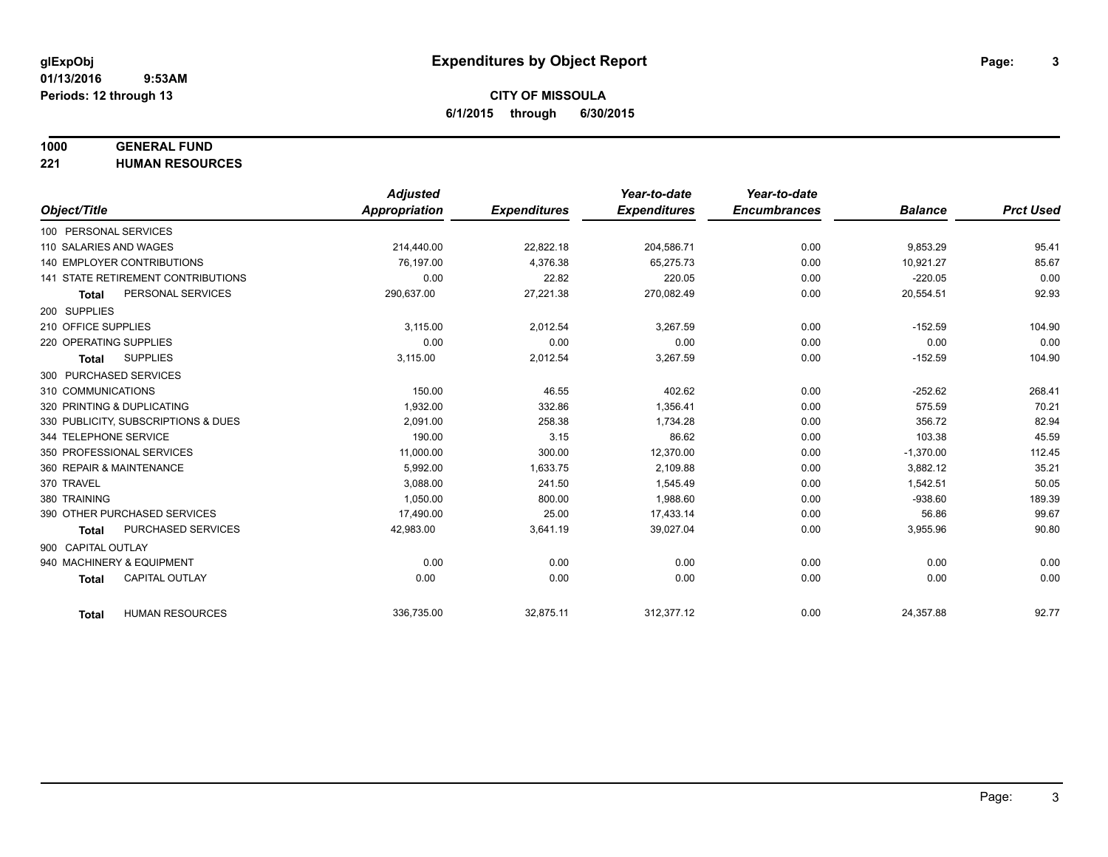#### **1000 GENERAL FUND**

**221 HUMAN RESOURCES**

|                                           | <b>Adjusted</b>      |                     | Year-to-date        | Year-to-date        |                |                  |
|-------------------------------------------|----------------------|---------------------|---------------------|---------------------|----------------|------------------|
| Object/Title                              | <b>Appropriation</b> | <b>Expenditures</b> | <b>Expenditures</b> | <b>Encumbrances</b> | <b>Balance</b> | <b>Prct Used</b> |
| 100 PERSONAL SERVICES                     |                      |                     |                     |                     |                |                  |
| 110 SALARIES AND WAGES                    | 214,440.00           | 22,822.18           | 204,586.71          | 0.00                | 9,853.29       | 95.41            |
| <b>140 EMPLOYER CONTRIBUTIONS</b>         | 76.197.00            | 4.376.38            | 65.275.73           | 0.00                | 10.921.27      | 85.67            |
| <b>141 STATE RETIREMENT CONTRIBUTIONS</b> | 0.00                 | 22.82               | 220.05              | 0.00                | $-220.05$      | 0.00             |
| PERSONAL SERVICES<br><b>Total</b>         | 290,637.00           | 27,221.38           | 270,082.49          | 0.00                | 20,554.51      | 92.93            |
| 200 SUPPLIES                              |                      |                     |                     |                     |                |                  |
| 210 OFFICE SUPPLIES                       | 3,115.00             | 2,012.54            | 3,267.59            | 0.00                | $-152.59$      | 104.90           |
| 220 OPERATING SUPPLIES                    | 0.00                 | 0.00                | 0.00                | 0.00                | 0.00           | 0.00             |
| <b>SUPPLIES</b><br><b>Total</b>           | 3,115.00             | 2,012.54            | 3,267.59            | 0.00                | $-152.59$      | 104.90           |
| 300 PURCHASED SERVICES                    |                      |                     |                     |                     |                |                  |
| 310 COMMUNICATIONS                        | 150.00               | 46.55               | 402.62              | 0.00                | $-252.62$      | 268.41           |
| 320 PRINTING & DUPLICATING                | 1,932.00             | 332.86              | 1,356.41            | 0.00                | 575.59         | 70.21            |
| 330 PUBLICITY, SUBSCRIPTIONS & DUES       | 2.091.00             | 258.38              | 1.734.28            | 0.00                | 356.72         | 82.94            |
| 344 TELEPHONE SERVICE                     | 190.00               | 3.15                | 86.62               | 0.00                | 103.38         | 45.59            |
| 350 PROFESSIONAL SERVICES                 | 11,000.00            | 300.00              | 12,370.00           | 0.00                | $-1,370.00$    | 112.45           |
| 360 REPAIR & MAINTENANCE                  | 5.992.00             | 1,633.75            | 2,109.88            | 0.00                | 3,882.12       | 35.21            |
| 370 TRAVEL                                | 3,088.00             | 241.50              | 1,545.49            | 0.00                | 1,542.51       | 50.05            |
| 380 TRAINING                              | 1,050.00             | 800.00              | 1.988.60            | 0.00                | $-938.60$      | 189.39           |
| 390 OTHER PURCHASED SERVICES              | 17,490.00            | 25.00               | 17,433.14           | 0.00                | 56.86          | 99.67            |
| PURCHASED SERVICES<br><b>Total</b>        | 42,983.00            | 3,641.19            | 39,027.04           | 0.00                | 3,955.96       | 90.80            |
| 900 CAPITAL OUTLAY                        |                      |                     |                     |                     |                |                  |
| 940 MACHINERY & EQUIPMENT                 | 0.00                 | 0.00                | 0.00                | 0.00                | 0.00           | 0.00             |
| <b>CAPITAL OUTLAY</b><br><b>Total</b>     | 0.00                 | 0.00                | 0.00                | 0.00                | 0.00           | 0.00             |
| <b>HUMAN RESOURCES</b><br><b>Total</b>    | 336,735.00           | 32,875.11           | 312,377.12          | 0.00                | 24,357.88      | 92.77            |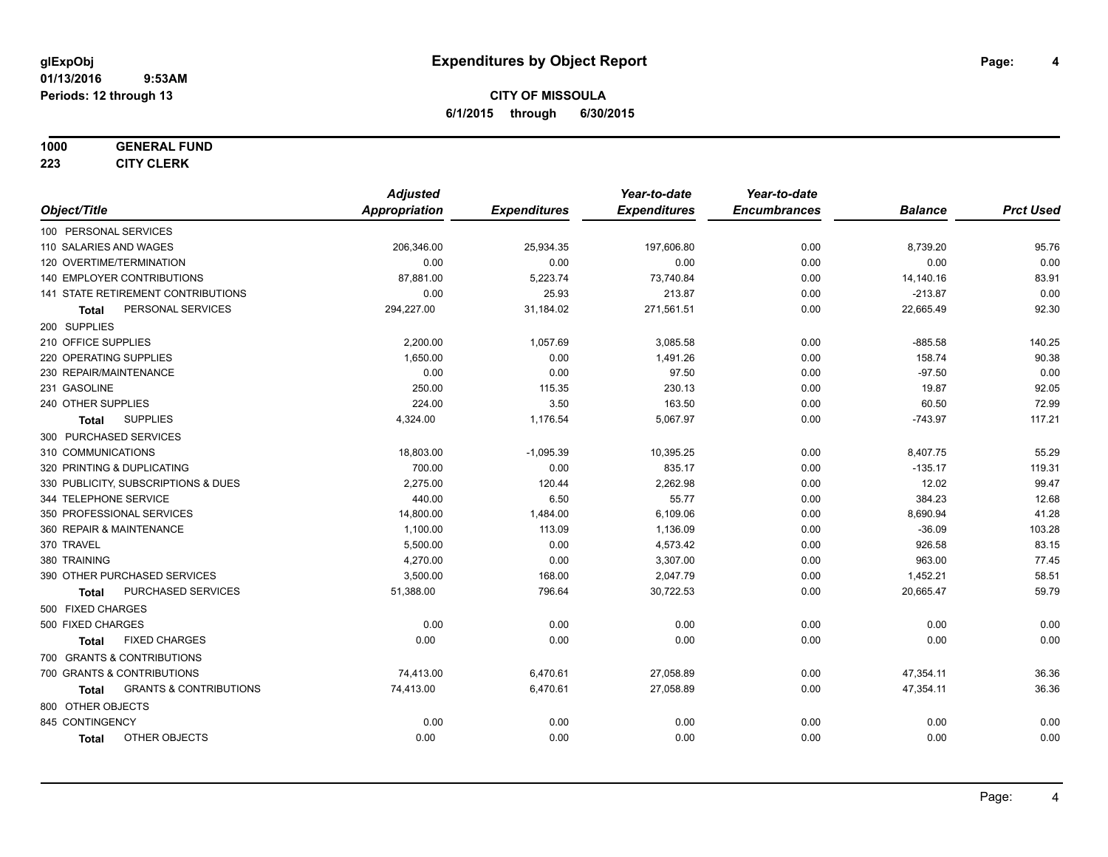#### **1000 GENERAL FUND**

**223 CITY CLERK**

|                                            | <b>Adjusted</b> |                     | Year-to-date        | Year-to-date        |                |                  |
|--------------------------------------------|-----------------|---------------------|---------------------|---------------------|----------------|------------------|
| Object/Title                               | Appropriation   | <b>Expenditures</b> | <b>Expenditures</b> | <b>Encumbrances</b> | <b>Balance</b> | <b>Prct Used</b> |
| 100 PERSONAL SERVICES                      |                 |                     |                     |                     |                |                  |
| 110 SALARIES AND WAGES                     | 206,346.00      | 25,934.35           | 197,606.80          | 0.00                | 8,739.20       | 95.76            |
| 120 OVERTIME/TERMINATION                   | 0.00            | 0.00                | 0.00                | 0.00                | 0.00           | 0.00             |
| 140 EMPLOYER CONTRIBUTIONS                 | 87,881.00       | 5,223.74            | 73,740.84           | 0.00                | 14,140.16      | 83.91            |
| 141 STATE RETIREMENT CONTRIBUTIONS         | 0.00            | 25.93               | 213.87              | 0.00                | $-213.87$      | 0.00             |
| PERSONAL SERVICES<br>Total                 | 294,227.00      | 31,184.02           | 271,561.51          | 0.00                | 22,665.49      | 92.30            |
| 200 SUPPLIES                               |                 |                     |                     |                     |                |                  |
| 210 OFFICE SUPPLIES                        | 2,200.00        | 1,057.69            | 3,085.58            | 0.00                | $-885.58$      | 140.25           |
| 220 OPERATING SUPPLIES                     | 1,650.00        | 0.00                | 1,491.26            | 0.00                | 158.74         | 90.38            |
| 230 REPAIR/MAINTENANCE                     | 0.00            | 0.00                | 97.50               | 0.00                | $-97.50$       | 0.00             |
| 231 GASOLINE                               | 250.00          | 115.35              | 230.13              | 0.00                | 19.87          | 92.05            |
| 240 OTHER SUPPLIES                         | 224.00          | 3.50                | 163.50              | 0.00                | 60.50          | 72.99            |
| <b>SUPPLIES</b><br><b>Total</b>            | 4,324.00        | 1,176.54            | 5,067.97            | 0.00                | $-743.97$      | 117.21           |
| 300 PURCHASED SERVICES                     |                 |                     |                     |                     |                |                  |
| 310 COMMUNICATIONS                         | 18,803.00       | $-1,095.39$         | 10,395.25           | 0.00                | 8,407.75       | 55.29            |
| 320 PRINTING & DUPLICATING                 | 700.00          | 0.00                | 835.17              | 0.00                | $-135.17$      | 119.31           |
| 330 PUBLICITY, SUBSCRIPTIONS & DUES        | 2,275.00        | 120.44              | 2,262.98            | 0.00                | 12.02          | 99.47            |
| 344 TELEPHONE SERVICE                      | 440.00          | 6.50                | 55.77               | 0.00                | 384.23         | 12.68            |
| 350 PROFESSIONAL SERVICES                  | 14,800.00       | 1,484.00            | 6,109.06            | 0.00                | 8,690.94       | 41.28            |
| 360 REPAIR & MAINTENANCE                   | 1,100.00        | 113.09              | 1,136.09            | 0.00                | $-36.09$       | 103.28           |
| 370 TRAVEL                                 | 5,500.00        | 0.00                | 4,573.42            | 0.00                | 926.58         | 83.15            |
| 380 TRAINING                               | 4,270.00        | 0.00                | 3,307.00            | 0.00                | 963.00         | 77.45            |
| 390 OTHER PURCHASED SERVICES               | 3,500.00        | 168.00              | 2,047.79            | 0.00                | 1,452.21       | 58.51            |
| PURCHASED SERVICES<br><b>Total</b>         | 51,388.00       | 796.64              | 30,722.53           | 0.00                | 20,665.47      | 59.79            |
| 500 FIXED CHARGES                          |                 |                     |                     |                     |                |                  |
| 500 FIXED CHARGES                          | 0.00            | 0.00                | 0.00                | 0.00                | 0.00           | 0.00             |
| <b>FIXED CHARGES</b><br><b>Total</b>       | 0.00            | 0.00                | 0.00                | 0.00                | 0.00           | 0.00             |
| 700 GRANTS & CONTRIBUTIONS                 |                 |                     |                     |                     |                |                  |
| 700 GRANTS & CONTRIBUTIONS                 | 74,413.00       | 6,470.61            | 27,058.89           | 0.00                | 47,354.11      | 36.36            |
| <b>GRANTS &amp; CONTRIBUTIONS</b><br>Total | 74,413.00       | 6,470.61            | 27,058.89           | 0.00                | 47,354.11      | 36.36            |
| 800 OTHER OBJECTS                          |                 |                     |                     |                     |                |                  |
| 845 CONTINGENCY                            | 0.00            | 0.00                | 0.00                | 0.00                | 0.00           | 0.00             |
| OTHER OBJECTS<br><b>Total</b>              | 0.00            | 0.00                | 0.00                | 0.00                | 0.00           | 0.00             |
|                                            |                 |                     |                     |                     |                |                  |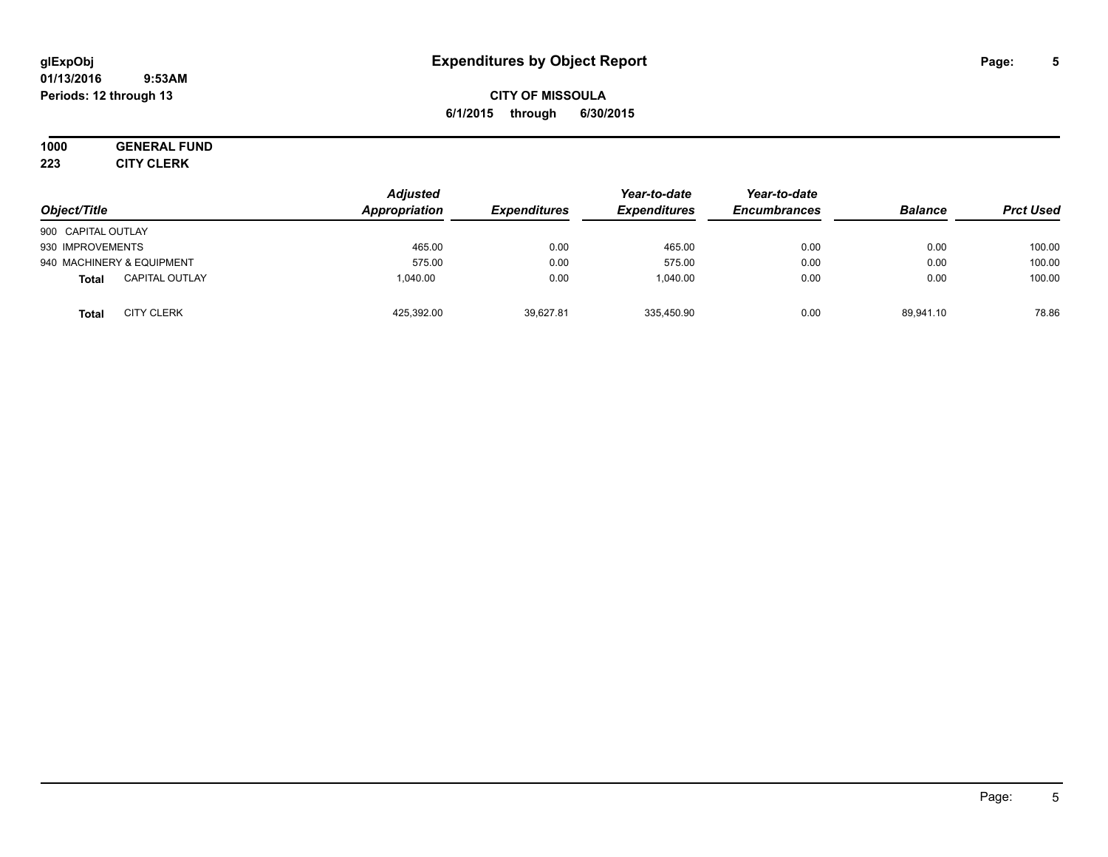#### **01/13/2016 9:53AM Periods: 12 through 13**

## **CITY OF MISSOULA 6/1/2015 through 6/30/2015**

# **1000 GENERAL FUND**

**223 CITY CLERK**

| Object/Title                          | <b>Adjusted</b><br>Appropriation | <b>Expenditures</b> | Year-to-date<br><b>Expenditures</b> | Year-to-date<br><b>Encumbrances</b> | <b>Balance</b> | <b>Prct Used</b> |
|---------------------------------------|----------------------------------|---------------------|-------------------------------------|-------------------------------------|----------------|------------------|
| 900 CAPITAL OUTLAY                    |                                  |                     |                                     |                                     |                |                  |
| 930 IMPROVEMENTS                      | 465.00                           | 0.00                | 465.00                              | 0.00                                | 0.00           | 100.00           |
| 940 MACHINERY & EQUIPMENT             | 575.00                           | 0.00                | 575.00                              | 0.00                                | 0.00           | 100.00           |
| <b>CAPITAL OUTLAY</b><br><b>Total</b> | 1.040.00                         | 0.00                | 1.040.00                            | 0.00                                | 0.00           | 100.00           |
| <b>CITY CLERK</b><br>Total            | 425,392.00                       | 39,627.81           | 335,450.90                          | 0.00                                | 89.941.10      | 78.86            |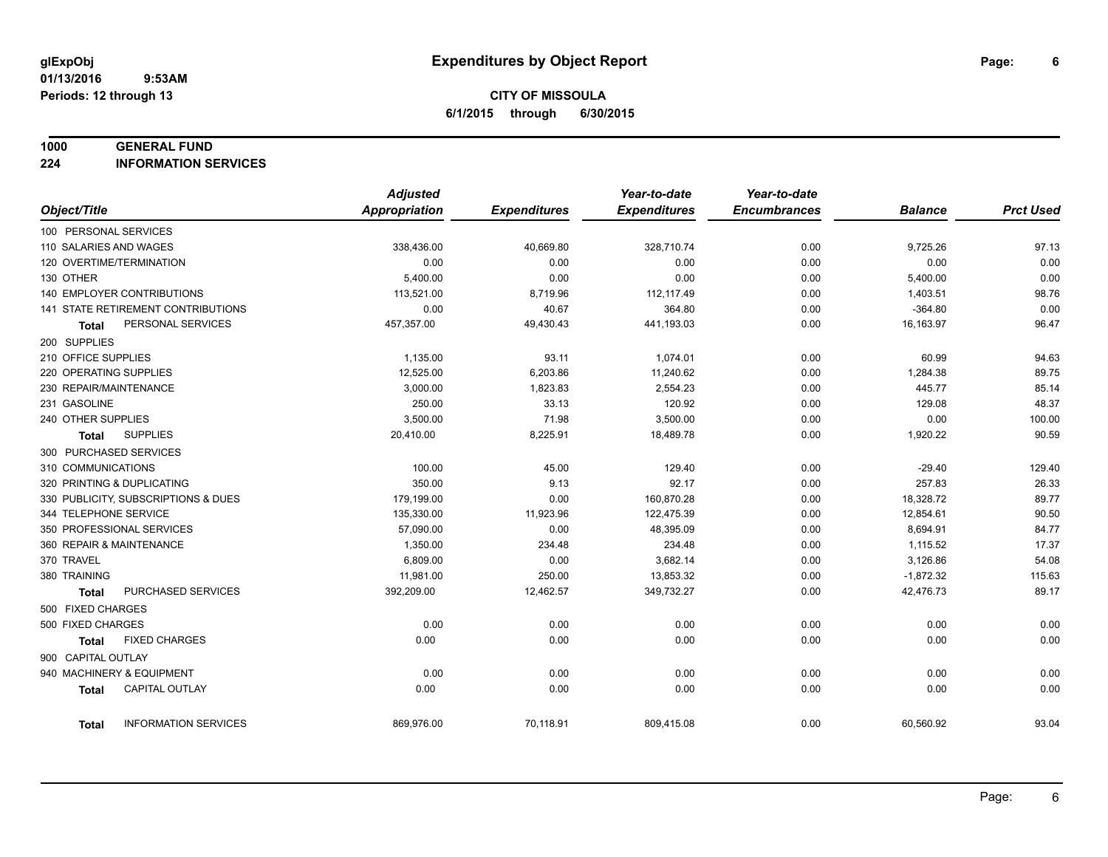#### **1000 GENERAL FUND**

**224 INFORMATION SERVICES**

|                          |                                     | <b>Adjusted</b> |                     | Year-to-date        | Year-to-date        |                |                  |
|--------------------------|-------------------------------------|-----------------|---------------------|---------------------|---------------------|----------------|------------------|
| Object/Title             |                                     | Appropriation   | <b>Expenditures</b> | <b>Expenditures</b> | <b>Encumbrances</b> | <b>Balance</b> | <b>Prct Used</b> |
| 100 PERSONAL SERVICES    |                                     |                 |                     |                     |                     |                |                  |
| 110 SALARIES AND WAGES   |                                     | 338,436.00      | 40,669.80           | 328,710.74          | 0.00                | 9,725.26       | 97.13            |
| 120 OVERTIME/TERMINATION |                                     | 0.00            | 0.00                | 0.00                | 0.00                | 0.00           | 0.00             |
| 130 OTHER                |                                     | 5,400.00        | 0.00                | 0.00                | 0.00                | 5,400.00       | 0.00             |
|                          | <b>140 EMPLOYER CONTRIBUTIONS</b>   | 113,521.00      | 8,719.96            | 112, 117.49         | 0.00                | 1,403.51       | 98.76            |
|                          | 141 STATE RETIREMENT CONTRIBUTIONS  | 0.00            | 40.67               | 364.80              | 0.00                | $-364.80$      | 0.00             |
| Total                    | PERSONAL SERVICES                   | 457,357.00      | 49,430.43           | 441,193.03          | 0.00                | 16,163.97      | 96.47            |
| 200 SUPPLIES             |                                     |                 |                     |                     |                     |                |                  |
| 210 OFFICE SUPPLIES      |                                     | 1,135.00        | 93.11               | 1,074.01            | 0.00                | 60.99          | 94.63            |
| 220 OPERATING SUPPLIES   |                                     | 12.525.00       | 6,203.86            | 11,240.62           | 0.00                | 1,284.38       | 89.75            |
| 230 REPAIR/MAINTENANCE   |                                     | 3,000.00        | 1,823.83            | 2,554.23            | 0.00                | 445.77         | 85.14            |
| 231 GASOLINE             |                                     | 250.00          | 33.13               | 120.92              | 0.00                | 129.08         | 48.37            |
| 240 OTHER SUPPLIES       |                                     | 3,500.00        | 71.98               | 3,500.00            | 0.00                | 0.00           | 100.00           |
| Total                    | <b>SUPPLIES</b>                     | 20,410.00       | 8,225.91            | 18,489.78           | 0.00                | 1,920.22       | 90.59            |
| 300 PURCHASED SERVICES   |                                     |                 |                     |                     |                     |                |                  |
| 310 COMMUNICATIONS       |                                     | 100.00          | 45.00               | 129.40              | 0.00                | $-29.40$       | 129.40           |
|                          | 320 PRINTING & DUPLICATING          | 350.00          | 9.13                | 92.17               | 0.00                | 257.83         | 26.33            |
|                          | 330 PUBLICITY, SUBSCRIPTIONS & DUES | 179,199.00      | 0.00                | 160,870.28          | 0.00                | 18,328.72      | 89.77            |
| 344 TELEPHONE SERVICE    |                                     | 135,330.00      | 11,923.96           | 122,475.39          | 0.00                | 12,854.61      | 90.50            |
|                          | 350 PROFESSIONAL SERVICES           | 57,090.00       | 0.00                | 48,395.09           | 0.00                | 8,694.91       | 84.77            |
| 360 REPAIR & MAINTENANCE |                                     | 1,350.00        | 234.48              | 234.48              | 0.00                | 1,115.52       | 17.37            |
| 370 TRAVEL               |                                     | 6,809.00        | 0.00                | 3,682.14            | 0.00                | 3,126.86       | 54.08            |
| 380 TRAINING             |                                     | 11,981.00       | 250.00              | 13,853.32           | 0.00                | $-1,872.32$    | 115.63           |
| <b>Total</b>             | PURCHASED SERVICES                  | 392,209.00      | 12,462.57           | 349,732.27          | 0.00                | 42,476.73      | 89.17            |
| 500 FIXED CHARGES        |                                     |                 |                     |                     |                     |                |                  |
| 500 FIXED CHARGES        |                                     | 0.00            | 0.00                | 0.00                | 0.00                | 0.00           | 0.00             |
| <b>Total</b>             | <b>FIXED CHARGES</b>                | 0.00            | 0.00                | 0.00                | 0.00                | 0.00           | 0.00             |
| 900 CAPITAL OUTLAY       |                                     |                 |                     |                     |                     |                |                  |
|                          | 940 MACHINERY & EQUIPMENT           | 0.00            | 0.00                | 0.00                | 0.00                | 0.00           | 0.00             |
| <b>Total</b>             | <b>CAPITAL OUTLAY</b>               | 0.00            | 0.00                | 0.00                | 0.00                | 0.00           | 0.00             |
| <b>Total</b>             | <b>INFORMATION SERVICES</b>         | 869,976.00      | 70,118.91           | 809,415.08          | 0.00                | 60,560.92      | 93.04            |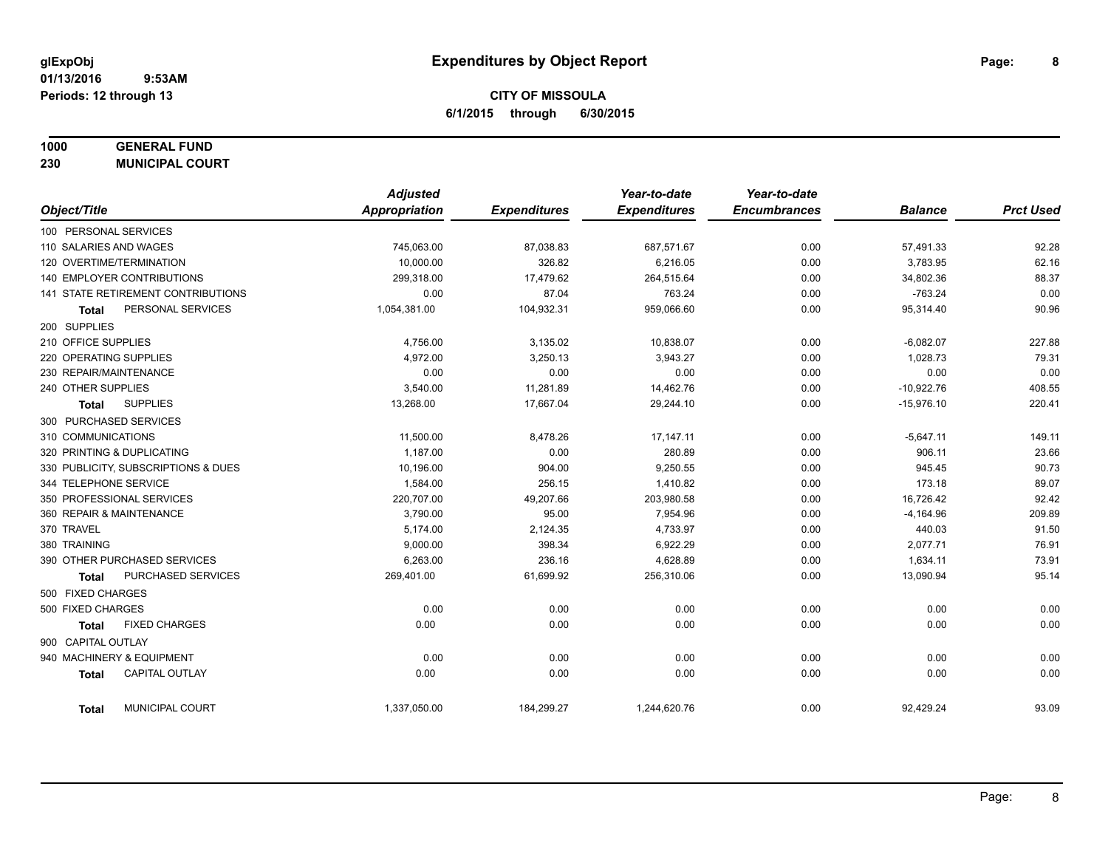## **1000 GENERAL FUND**

**230 MUNICIPAL COURT**

|                                       | <b>Adjusted</b> |                     | Year-to-date        | Year-to-date        |                |                  |
|---------------------------------------|-----------------|---------------------|---------------------|---------------------|----------------|------------------|
| Object/Title                          | Appropriation   | <b>Expenditures</b> | <b>Expenditures</b> | <b>Encumbrances</b> | <b>Balance</b> | <b>Prct Used</b> |
| 100 PERSONAL SERVICES                 |                 |                     |                     |                     |                |                  |
| 110 SALARIES AND WAGES                | 745,063.00      | 87,038.83           | 687,571.67          | 0.00                | 57,491.33      | 92.28            |
| 120 OVERTIME/TERMINATION              | 10,000.00       | 326.82              | 6,216.05            | 0.00                | 3,783.95       | 62.16            |
| <b>140 EMPLOYER CONTRIBUTIONS</b>     | 299,318.00      | 17,479.62           | 264,515.64          | 0.00                | 34,802.36      | 88.37            |
| 141 STATE RETIREMENT CONTRIBUTIONS    | 0.00            | 87.04               | 763.24              | 0.00                | $-763.24$      | 0.00             |
| PERSONAL SERVICES<br><b>Total</b>     | 1,054,381.00    | 104,932.31          | 959,066.60          | 0.00                | 95,314.40      | 90.96            |
| 200 SUPPLIES                          |                 |                     |                     |                     |                |                  |
| 210 OFFICE SUPPLIES                   | 4,756.00        | 3,135.02            | 10,838.07           | 0.00                | $-6,082.07$    | 227.88           |
| 220 OPERATING SUPPLIES                | 4,972.00        | 3,250.13            | 3,943.27            | 0.00                | 1,028.73       | 79.31            |
| 230 REPAIR/MAINTENANCE                | 0.00            | 0.00                | 0.00                | 0.00                | 0.00           | 0.00             |
| 240 OTHER SUPPLIES                    | 3,540.00        | 11,281.89           | 14,462.76           | 0.00                | $-10,922.76$   | 408.55           |
| <b>SUPPLIES</b><br><b>Total</b>       | 13,268.00       | 17,667.04           | 29,244.10           | 0.00                | $-15,976.10$   | 220.41           |
| 300 PURCHASED SERVICES                |                 |                     |                     |                     |                |                  |
| 310 COMMUNICATIONS                    | 11,500.00       | 8,478.26            | 17,147.11           | 0.00                | $-5,647.11$    | 149.11           |
| 320 PRINTING & DUPLICATING            | 1,187.00        | 0.00                | 280.89              | 0.00                | 906.11         | 23.66            |
| 330 PUBLICITY, SUBSCRIPTIONS & DUES   | 10,196.00       | 904.00              | 9,250.55            | 0.00                | 945.45         | 90.73            |
| 344 TELEPHONE SERVICE                 | 1,584.00        | 256.15              | 1,410.82            | 0.00                | 173.18         | 89.07            |
| 350 PROFESSIONAL SERVICES             | 220,707.00      | 49,207.66           | 203,980.58          | 0.00                | 16,726.42      | 92.42            |
| 360 REPAIR & MAINTENANCE              | 3,790.00        | 95.00               | 7,954.96            | 0.00                | $-4,164.96$    | 209.89           |
| 370 TRAVEL                            | 5,174.00        | 2,124.35            | 4,733.97            | 0.00                | 440.03         | 91.50            |
| 380 TRAINING                          | 9,000.00        | 398.34              | 6,922.29            | 0.00                | 2,077.71       | 76.91            |
| 390 OTHER PURCHASED SERVICES          | 6,263.00        | 236.16              | 4,628.89            | 0.00                | 1,634.11       | 73.91            |
| PURCHASED SERVICES<br><b>Total</b>    | 269,401.00      | 61,699.92           | 256,310.06          | 0.00                | 13,090.94      | 95.14            |
| 500 FIXED CHARGES                     |                 |                     |                     |                     |                |                  |
| 500 FIXED CHARGES                     | 0.00            | 0.00                | 0.00                | 0.00                | 0.00           | 0.00             |
| <b>FIXED CHARGES</b><br><b>Total</b>  | 0.00            | 0.00                | 0.00                | 0.00                | 0.00           | 0.00             |
| 900 CAPITAL OUTLAY                    |                 |                     |                     |                     |                |                  |
| 940 MACHINERY & EQUIPMENT             | 0.00            | 0.00                | 0.00                | 0.00                | 0.00           | 0.00             |
| <b>CAPITAL OUTLAY</b><br><b>Total</b> | 0.00            | 0.00                | 0.00                | 0.00                | 0.00           | 0.00             |
| MUNICIPAL COURT<br><b>Total</b>       | 1,337,050.00    | 184,299.27          | 1,244,620.76        | 0.00                | 92,429.24      | 93.09            |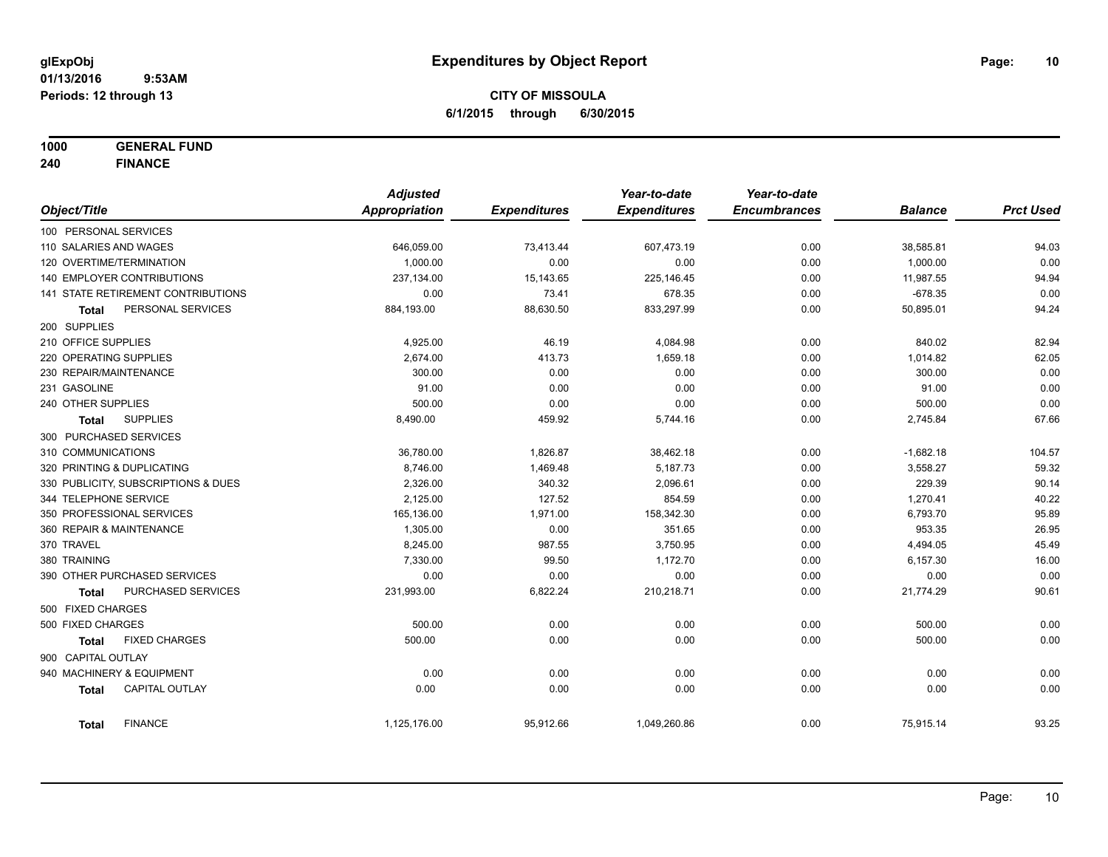**1000 GENERAL FUND**

**240 FINANCE**

|                                      | <b>Adjusted</b> |                     | Year-to-date        | Year-to-date        |                |                  |
|--------------------------------------|-----------------|---------------------|---------------------|---------------------|----------------|------------------|
| Object/Title                         | Appropriation   | <b>Expenditures</b> | <b>Expenditures</b> | <b>Encumbrances</b> | <b>Balance</b> | <b>Prct Used</b> |
| 100 PERSONAL SERVICES                |                 |                     |                     |                     |                |                  |
| 110 SALARIES AND WAGES               | 646,059.00      | 73,413.44           | 607,473.19          | 0.00                | 38,585.81      | 94.03            |
| 120 OVERTIME/TERMINATION             | 1,000.00        | 0.00                | 0.00                | 0.00                | 1,000.00       | 0.00             |
| 140 EMPLOYER CONTRIBUTIONS           | 237,134.00      | 15,143.65           | 225,146.45          | 0.00                | 11,987.55      | 94.94            |
| 141 STATE RETIREMENT CONTRIBUTIONS   | 0.00            | 73.41               | 678.35              | 0.00                | $-678.35$      | 0.00             |
| PERSONAL SERVICES<br><b>Total</b>    | 884,193.00      | 88,630.50           | 833,297.99          | 0.00                | 50,895.01      | 94.24            |
| 200 SUPPLIES                         |                 |                     |                     |                     |                |                  |
| 210 OFFICE SUPPLIES                  | 4,925.00        | 46.19               | 4,084.98            | 0.00                | 840.02         | 82.94            |
| 220 OPERATING SUPPLIES               | 2,674.00        | 413.73              | 1,659.18            | 0.00                | 1,014.82       | 62.05            |
| 230 REPAIR/MAINTENANCE               | 300.00          | 0.00                | 0.00                | 0.00                | 300.00         | 0.00             |
| 231 GASOLINE                         | 91.00           | 0.00                | 0.00                | 0.00                | 91.00          | 0.00             |
| 240 OTHER SUPPLIES                   | 500.00          | 0.00                | 0.00                | 0.00                | 500.00         | 0.00             |
| <b>SUPPLIES</b><br><b>Total</b>      | 8,490.00        | 459.92              | 5,744.16            | 0.00                | 2,745.84       | 67.66            |
| 300 PURCHASED SERVICES               |                 |                     |                     |                     |                |                  |
| 310 COMMUNICATIONS                   | 36,780.00       | 1,826.87            | 38,462.18           | 0.00                | $-1,682.18$    | 104.57           |
| 320 PRINTING & DUPLICATING           | 8,746.00        | 1,469.48            | 5,187.73            | 0.00                | 3,558.27       | 59.32            |
| 330 PUBLICITY, SUBSCRIPTIONS & DUES  | 2,326.00        | 340.32              | 2,096.61            | 0.00                | 229.39         | 90.14            |
| 344 TELEPHONE SERVICE                | 2,125.00        | 127.52              | 854.59              | 0.00                | 1,270.41       | 40.22            |
| 350 PROFESSIONAL SERVICES            | 165,136.00      | 1,971.00            | 158,342.30          | 0.00                | 6,793.70       | 95.89            |
| 360 REPAIR & MAINTENANCE             | 1,305.00        | 0.00                | 351.65              | 0.00                | 953.35         | 26.95            |
| 370 TRAVEL                           | 8,245.00        | 987.55              | 3,750.95            | 0.00                | 4,494.05       | 45.49            |
| 380 TRAINING                         | 7,330.00        | 99.50               | 1,172.70            | 0.00                | 6,157.30       | 16.00            |
| 390 OTHER PURCHASED SERVICES         | 0.00            | 0.00                | 0.00                | 0.00                | 0.00           | 0.00             |
| PURCHASED SERVICES<br><b>Total</b>   | 231,993.00      | 6,822.24            | 210,218.71          | 0.00                | 21,774.29      | 90.61            |
| 500 FIXED CHARGES                    |                 |                     |                     |                     |                |                  |
| 500 FIXED CHARGES                    | 500.00          | 0.00                | 0.00                | 0.00                | 500.00         | 0.00             |
| <b>FIXED CHARGES</b><br><b>Total</b> | 500.00          | 0.00                | 0.00                | 0.00                | 500.00         | 0.00             |
| 900 CAPITAL OUTLAY                   |                 |                     |                     |                     |                |                  |
| 940 MACHINERY & EQUIPMENT            | 0.00            | 0.00                | 0.00                | 0.00                | 0.00           | 0.00             |
| CAPITAL OUTLAY<br><b>Total</b>       | 0.00            | 0.00                | 0.00                | 0.00                | 0.00           | 0.00             |
| <b>FINANCE</b><br><b>Total</b>       | 1,125,176.00    | 95,912.66           | 1,049,260.86        | 0.00                | 75,915.14      | 93.25            |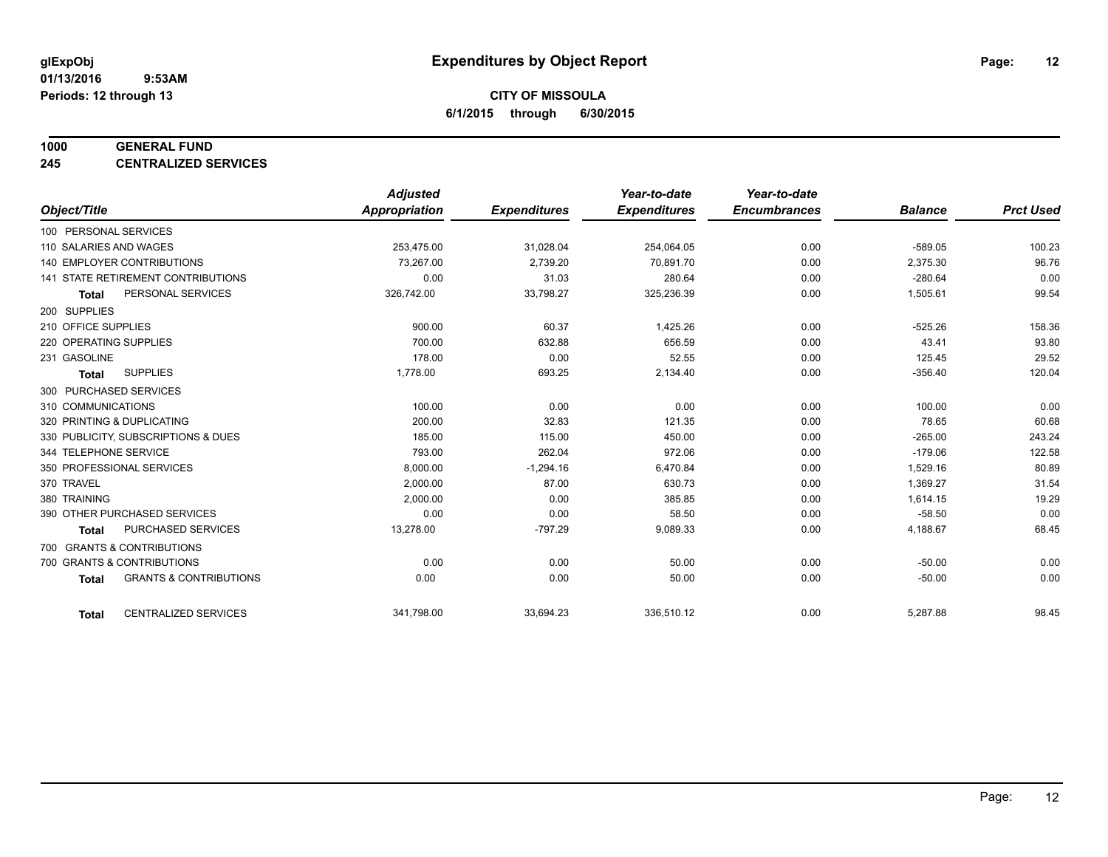#### **1000 GENERAL FUND**

**245 CENTRALIZED SERVICES**

|                                     |                                   | <b>Adjusted</b>      |                     | Year-to-date        | Year-to-date        |                |                  |
|-------------------------------------|-----------------------------------|----------------------|---------------------|---------------------|---------------------|----------------|------------------|
| Object/Title                        |                                   | <b>Appropriation</b> | <b>Expenditures</b> | <b>Expenditures</b> | <b>Encumbrances</b> | <b>Balance</b> | <b>Prct Used</b> |
| 100 PERSONAL SERVICES               |                                   |                      |                     |                     |                     |                |                  |
| 110 SALARIES AND WAGES              |                                   | 253,475.00           | 31,028.04           | 254,064.05          | 0.00                | $-589.05$      | 100.23           |
| 140 EMPLOYER CONTRIBUTIONS          |                                   | 73,267.00            | 2,739.20            | 70.891.70           | 0.00                | 2,375.30       | 96.76            |
| 141 STATE RETIREMENT CONTRIBUTIONS  |                                   | 0.00                 | 31.03               | 280.64              | 0.00                | $-280.64$      | 0.00             |
| <b>Total</b>                        | PERSONAL SERVICES                 | 326,742.00           | 33,798.27           | 325,236.39          | 0.00                | 1,505.61       | 99.54            |
| 200 SUPPLIES                        |                                   |                      |                     |                     |                     |                |                  |
| 210 OFFICE SUPPLIES                 |                                   | 900.00               | 60.37               | 1,425.26            | 0.00                | $-525.26$      | 158.36           |
| 220 OPERATING SUPPLIES              |                                   | 700.00               | 632.88              | 656.59              | 0.00                | 43.41          | 93.80            |
| 231 GASOLINE                        |                                   | 178.00               | 0.00                | 52.55               | 0.00                | 125.45         | 29.52            |
| <b>SUPPLIES</b><br><b>Total</b>     |                                   | 1,778.00             | 693.25              | 2,134.40            | 0.00                | $-356.40$      | 120.04           |
| 300 PURCHASED SERVICES              |                                   |                      |                     |                     |                     |                |                  |
| 310 COMMUNICATIONS                  |                                   | 100.00               | 0.00                | 0.00                | 0.00                | 100.00         | 0.00             |
| 320 PRINTING & DUPLICATING          |                                   | 200.00               | 32.83               | 121.35              | 0.00                | 78.65          | 60.68            |
| 330 PUBLICITY, SUBSCRIPTIONS & DUES |                                   | 185.00               | 115.00              | 450.00              | 0.00                | $-265.00$      | 243.24           |
| 344 TELEPHONE SERVICE               |                                   | 793.00               | 262.04              | 972.06              | 0.00                | $-179.06$      | 122.58           |
| 350 PROFESSIONAL SERVICES           |                                   | 8,000.00             | $-1,294.16$         | 6,470.84            | 0.00                | 1,529.16       | 80.89            |
| 370 TRAVEL                          |                                   | 2,000.00             | 87.00               | 630.73              | 0.00                | 1,369.27       | 31.54            |
| 380 TRAINING                        |                                   | 2,000.00             | 0.00                | 385.85              | 0.00                | 1,614.15       | 19.29            |
| 390 OTHER PURCHASED SERVICES        |                                   | 0.00                 | 0.00                | 58.50               | 0.00                | $-58.50$       | 0.00             |
| <b>Total</b>                        | <b>PURCHASED SERVICES</b>         | 13,278.00            | $-797.29$           | 9,089.33            | 0.00                | 4,188.67       | 68.45            |
| 700 GRANTS & CONTRIBUTIONS          |                                   |                      |                     |                     |                     |                |                  |
| 700 GRANTS & CONTRIBUTIONS          |                                   | 0.00                 | 0.00                | 50.00               | 0.00                | $-50.00$       | 0.00             |
| <b>Total</b>                        | <b>GRANTS &amp; CONTRIBUTIONS</b> | 0.00                 | 0.00                | 50.00               | 0.00                | $-50.00$       | 0.00             |
|                                     |                                   |                      |                     |                     |                     |                |                  |
| <b>Total</b>                        | <b>CENTRALIZED SERVICES</b>       | 341,798.00           | 33,694.23           | 336,510.12          | 0.00                | 5,287.88       | 98.45            |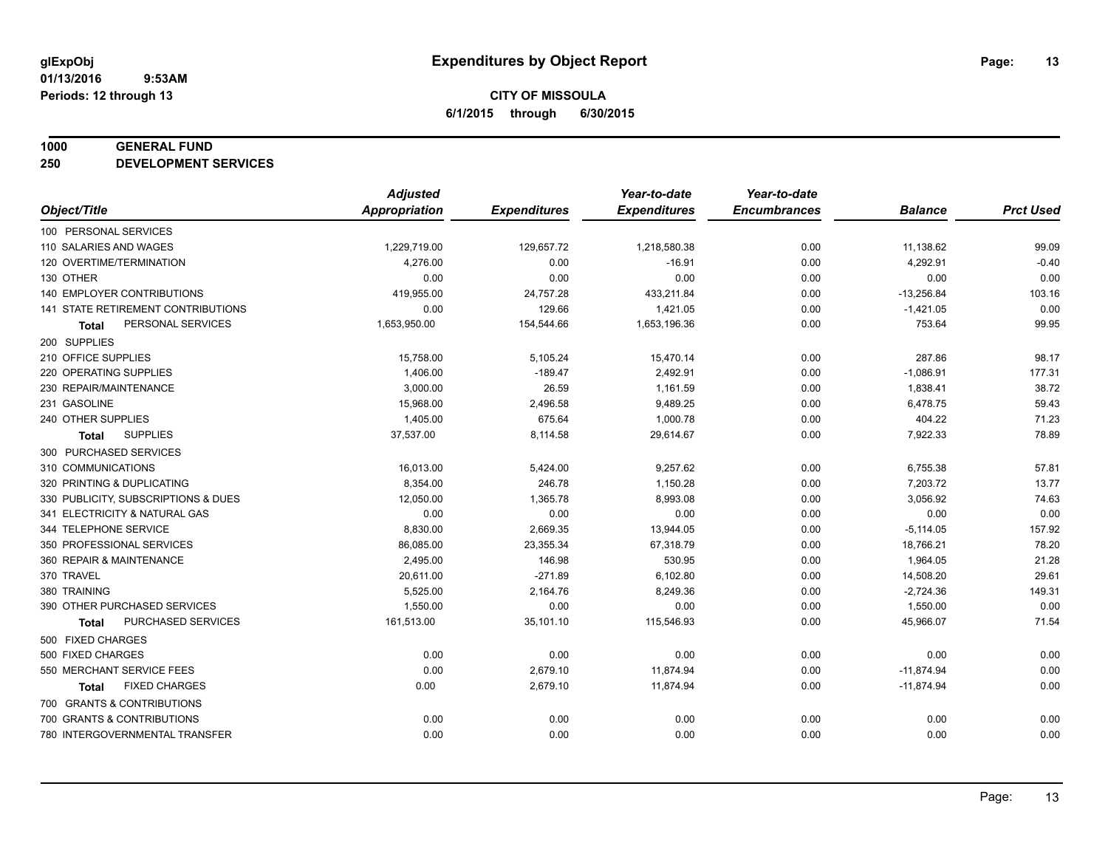#### **1000 GENERAL FUND**

**250 DEVELOPMENT SERVICES**

|                                      | <b>Adjusted</b>      |                     | Year-to-date        | Year-to-date        |                |                  |
|--------------------------------------|----------------------|---------------------|---------------------|---------------------|----------------|------------------|
| Object/Title                         | <b>Appropriation</b> | <b>Expenditures</b> | <b>Expenditures</b> | <b>Encumbrances</b> | <b>Balance</b> | <b>Prct Used</b> |
| 100 PERSONAL SERVICES                |                      |                     |                     |                     |                |                  |
| 110 SALARIES AND WAGES               | 1,229,719.00         | 129,657.72          | 1,218,580.38        | 0.00                | 11,138.62      | 99.09            |
| 120 OVERTIME/TERMINATION             | 4,276.00             | 0.00                | $-16.91$            | 0.00                | 4,292.91       | $-0.40$          |
| 130 OTHER                            | 0.00                 | 0.00                | 0.00                | 0.00                | 0.00           | 0.00             |
| 140 EMPLOYER CONTRIBUTIONS           | 419,955.00           | 24,757.28           | 433,211.84          | 0.00                | $-13,256.84$   | 103.16           |
| 141 STATE RETIREMENT CONTRIBUTIONS   | 0.00                 | 129.66              | 1,421.05            | 0.00                | $-1,421.05$    | 0.00             |
| PERSONAL SERVICES<br><b>Total</b>    | 1,653,950.00         | 154,544.66          | 1,653,196.36        | 0.00                | 753.64         | 99.95            |
| 200 SUPPLIES                         |                      |                     |                     |                     |                |                  |
| 210 OFFICE SUPPLIES                  | 15,758.00            | 5,105.24            | 15,470.14           | 0.00                | 287.86         | 98.17            |
| 220 OPERATING SUPPLIES               | 1,406.00             | $-189.47$           | 2,492.91            | 0.00                | $-1,086.91$    | 177.31           |
| 230 REPAIR/MAINTENANCE               | 3,000.00             | 26.59               | 1,161.59            | 0.00                | 1,838.41       | 38.72            |
| 231 GASOLINE                         | 15,968.00            | 2,496.58            | 9,489.25            | 0.00                | 6,478.75       | 59.43            |
| 240 OTHER SUPPLIES                   | 1,405.00             | 675.64              | 1,000.78            | 0.00                | 404.22         | 71.23            |
| <b>SUPPLIES</b><br><b>Total</b>      | 37,537.00            | 8,114.58            | 29,614.67           | 0.00                | 7,922.33       | 78.89            |
| 300 PURCHASED SERVICES               |                      |                     |                     |                     |                |                  |
| 310 COMMUNICATIONS                   | 16,013.00            | 5,424.00            | 9,257.62            | 0.00                | 6,755.38       | 57.81            |
| 320 PRINTING & DUPLICATING           | 8,354.00             | 246.78              | 1,150.28            | 0.00                | 7,203.72       | 13.77            |
| 330 PUBLICITY, SUBSCRIPTIONS & DUES  | 12,050.00            | 1,365.78            | 8,993.08            | 0.00                | 3,056.92       | 74.63            |
| 341 ELECTRICITY & NATURAL GAS        | 0.00                 | 0.00                | 0.00                | 0.00                | 0.00           | 0.00             |
| 344 TELEPHONE SERVICE                | 8,830.00             | 2,669.35            | 13,944.05           | 0.00                | $-5,114.05$    | 157.92           |
| 350 PROFESSIONAL SERVICES            | 86,085.00            | 23,355.34           | 67,318.79           | 0.00                | 18,766.21      | 78.20            |
| 360 REPAIR & MAINTENANCE             | 2,495.00             | 146.98              | 530.95              | 0.00                | 1,964.05       | 21.28            |
| 370 TRAVEL                           | 20,611.00            | $-271.89$           | 6,102.80            | 0.00                | 14,508.20      | 29.61            |
| 380 TRAINING                         | 5,525.00             | 2,164.76            | 8,249.36            | 0.00                | $-2,724.36$    | 149.31           |
| 390 OTHER PURCHASED SERVICES         | 1,550.00             | 0.00                | 0.00                | 0.00                | 1,550.00       | 0.00             |
| PURCHASED SERVICES<br><b>Total</b>   | 161,513.00           | 35,101.10           | 115,546.93          | 0.00                | 45,966.07      | 71.54            |
| 500 FIXED CHARGES                    |                      |                     |                     |                     |                |                  |
| 500 FIXED CHARGES                    | 0.00                 | 0.00                | 0.00                | 0.00                | 0.00           | 0.00             |
| 550 MERCHANT SERVICE FEES            | 0.00                 | 2,679.10            | 11,874.94           | 0.00                | $-11,874.94$   | 0.00             |
| <b>FIXED CHARGES</b><br><b>Total</b> | 0.00                 | 2,679.10            | 11,874.94           | 0.00                | $-11,874.94$   | 0.00             |
| 700 GRANTS & CONTRIBUTIONS           |                      |                     |                     |                     |                |                  |
| 700 GRANTS & CONTRIBUTIONS           | 0.00                 | 0.00                | 0.00                | 0.00                | 0.00           | 0.00             |
| 780 INTERGOVERNMENTAL TRANSFER       | 0.00                 | 0.00                | 0.00                | 0.00                | 0.00           | 0.00             |
|                                      |                      |                     |                     |                     |                |                  |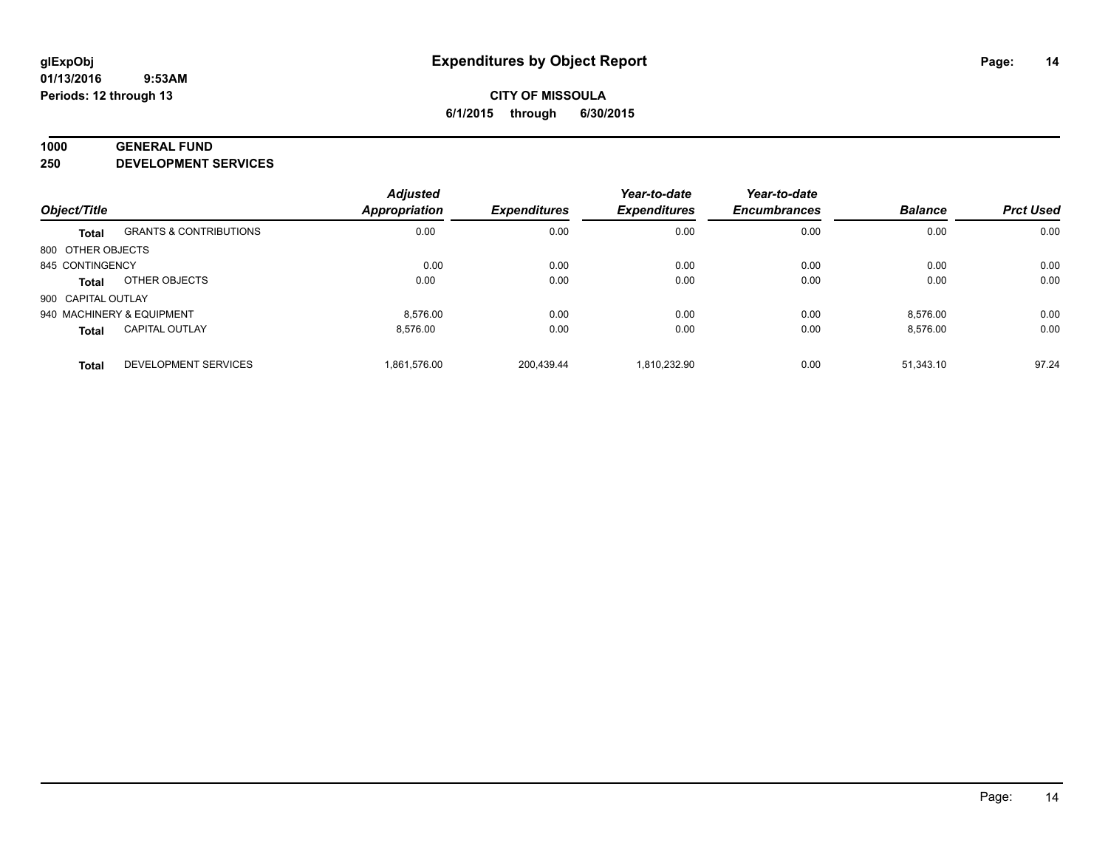#### **1000 GENERAL FUND**

**250 DEVELOPMENT SERVICES**

|                           |                                   | <b>Adjusted</b> |                     | Year-to-date        | Year-to-date        |                |                  |
|---------------------------|-----------------------------------|-----------------|---------------------|---------------------|---------------------|----------------|------------------|
| Object/Title              |                                   | Appropriation   | <b>Expenditures</b> | <b>Expenditures</b> | <b>Encumbrances</b> | <b>Balance</b> | <b>Prct Used</b> |
| <b>Total</b>              | <b>GRANTS &amp; CONTRIBUTIONS</b> | 0.00            | 0.00                | 0.00                | 0.00                | 0.00           | 0.00             |
| 800 OTHER OBJECTS         |                                   |                 |                     |                     |                     |                |                  |
| 845 CONTINGENCY           |                                   | 0.00            | 0.00                | 0.00                | 0.00                | 0.00           | 0.00             |
| Total                     | OTHER OBJECTS                     | 0.00            | 0.00                | 0.00                | 0.00                | 0.00           | 0.00             |
| 900 CAPITAL OUTLAY        |                                   |                 |                     |                     |                     |                |                  |
| 940 MACHINERY & EQUIPMENT |                                   | 8.576.00        | 0.00                | 0.00                | 0.00                | 8,576.00       | 0.00             |
| <b>Total</b>              | <b>CAPITAL OUTLAY</b>             | 8.576.00        | 0.00                | 0.00                | 0.00                | 8.576.00       | 0.00             |
| <b>Total</b>              | <b>DEVELOPMENT SERVICES</b>       | 1.861.576.00    | 200.439.44          | 1.810.232.90        | 0.00                | 51.343.10      | 97.24            |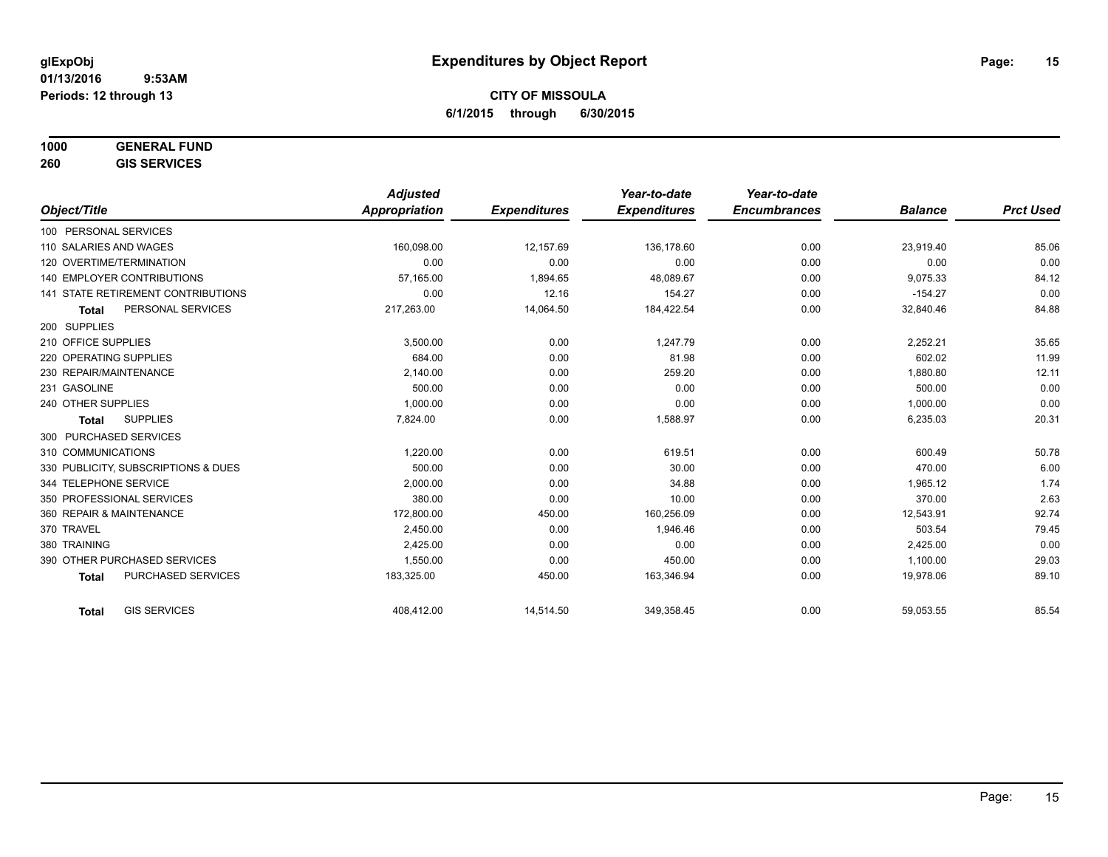## **1000 GENERAL FUND**

**260 GIS SERVICES**

|                                     | <b>Adjusted</b> |                     | Year-to-date        | Year-to-date        |                |                  |
|-------------------------------------|-----------------|---------------------|---------------------|---------------------|----------------|------------------|
| Object/Title                        | Appropriation   | <b>Expenditures</b> | <b>Expenditures</b> | <b>Encumbrances</b> | <b>Balance</b> | <b>Prct Used</b> |
| 100 PERSONAL SERVICES               |                 |                     |                     |                     |                |                  |
| 110 SALARIES AND WAGES              | 160,098.00      | 12,157.69           | 136,178.60          | 0.00                | 23,919.40      | 85.06            |
| 120 OVERTIME/TERMINATION            | 0.00            | 0.00                | 0.00                | 0.00                | 0.00           | 0.00             |
| <b>140 EMPLOYER CONTRIBUTIONS</b>   | 57.165.00       | 1,894.65            | 48,089.67           | 0.00                | 9,075.33       | 84.12            |
| 141 STATE RETIREMENT CONTRIBUTIONS  | 0.00            | 12.16               | 154.27              | 0.00                | $-154.27$      | 0.00             |
| PERSONAL SERVICES<br><b>Total</b>   | 217,263.00      | 14,064.50           | 184,422.54          | 0.00                | 32,840.46      | 84.88            |
| 200 SUPPLIES                        |                 |                     |                     |                     |                |                  |
| 210 OFFICE SUPPLIES                 | 3,500.00        | 0.00                | 1,247.79            | 0.00                | 2,252.21       | 35.65            |
| 220 OPERATING SUPPLIES              | 684.00          | 0.00                | 81.98               | 0.00                | 602.02         | 11.99            |
| 230 REPAIR/MAINTENANCE              | 2,140.00        | 0.00                | 259.20              | 0.00                | 1,880.80       | 12.11            |
| 231 GASOLINE                        | 500.00          | 0.00                | 0.00                | 0.00                | 500.00         | 0.00             |
| 240 OTHER SUPPLIES                  | 1,000.00        | 0.00                | 0.00                | 0.00                | 1,000.00       | 0.00             |
| <b>SUPPLIES</b><br><b>Total</b>     | 7,824.00        | 0.00                | 1,588.97            | 0.00                | 6,235.03       | 20.31            |
| 300 PURCHASED SERVICES              |                 |                     |                     |                     |                |                  |
| 310 COMMUNICATIONS                  | 1,220.00        | 0.00                | 619.51              | 0.00                | 600.49         | 50.78            |
| 330 PUBLICITY, SUBSCRIPTIONS & DUES | 500.00          | 0.00                | 30.00               | 0.00                | 470.00         | 6.00             |
| 344 TELEPHONE SERVICE               | 2,000.00        | 0.00                | 34.88               | 0.00                | 1,965.12       | 1.74             |
| 350 PROFESSIONAL SERVICES           | 380.00          | 0.00                | 10.00               | 0.00                | 370.00         | 2.63             |
| 360 REPAIR & MAINTENANCE            | 172,800.00      | 450.00              | 160,256.09          | 0.00                | 12,543.91      | 92.74            |
| 370 TRAVEL                          | 2,450.00        | 0.00                | 1,946.46            | 0.00                | 503.54         | 79.45            |
| 380 TRAINING                        | 2,425.00        | 0.00                | 0.00                | 0.00                | 2,425.00       | 0.00             |
| 390 OTHER PURCHASED SERVICES        | 1.550.00        | 0.00                | 450.00              | 0.00                | 1,100.00       | 29.03            |
| PURCHASED SERVICES<br><b>Total</b>  | 183,325.00      | 450.00              | 163,346.94          | 0.00                | 19,978.06      | 89.10            |
| <b>GIS SERVICES</b><br><b>Total</b> | 408,412.00      | 14,514.50           | 349,358.45          | 0.00                | 59,053.55      | 85.54            |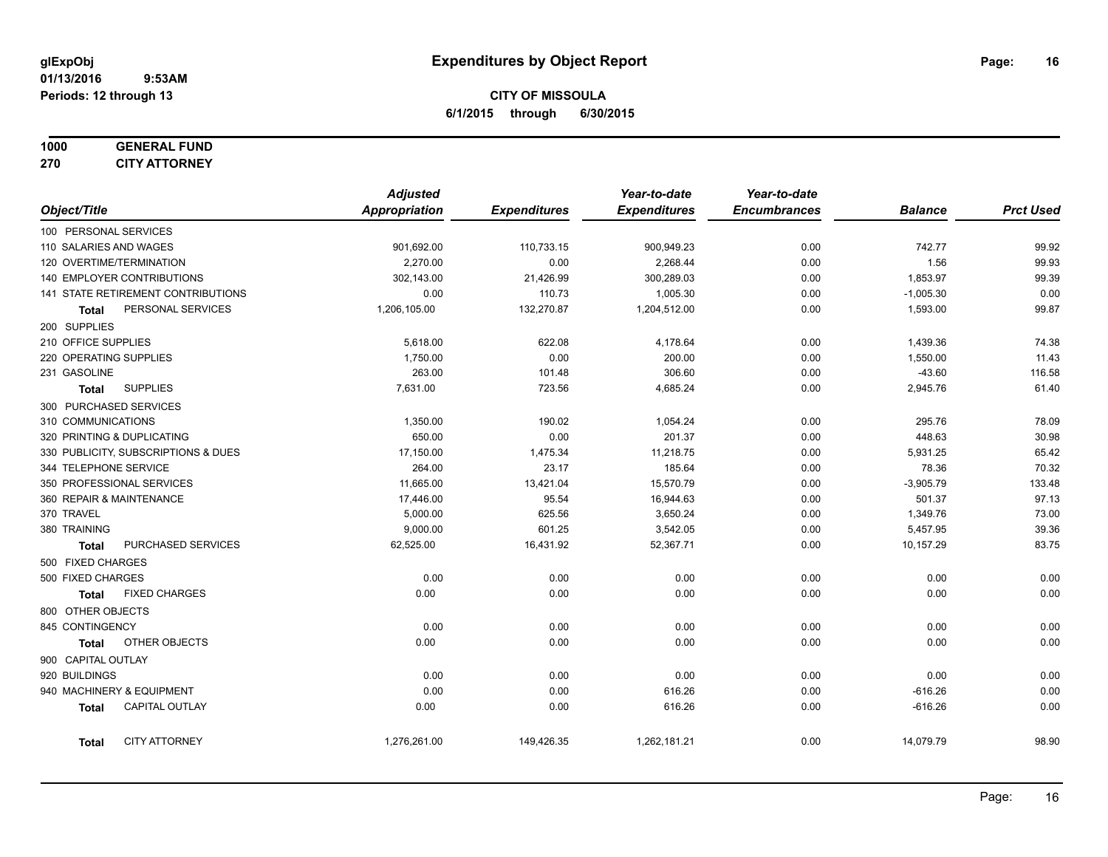## **1000 GENERAL FUND**

**270 CITY ATTORNEY**

|                     |                                     | <b>Adjusted</b> |                     | Year-to-date        | Year-to-date        |                |                  |
|---------------------|-------------------------------------|-----------------|---------------------|---------------------|---------------------|----------------|------------------|
| Object/Title        |                                     | Appropriation   | <b>Expenditures</b> | <b>Expenditures</b> | <b>Encumbrances</b> | <b>Balance</b> | <b>Prct Used</b> |
|                     | 100 PERSONAL SERVICES               |                 |                     |                     |                     |                |                  |
|                     | 110 SALARIES AND WAGES              | 901,692.00      | 110,733.15          | 900,949.23          | 0.00                | 742.77         | 99.92            |
|                     | 120 OVERTIME/TERMINATION            | 2,270.00        | 0.00                | 2,268.44            | 0.00                | 1.56           | 99.93            |
|                     | 140 EMPLOYER CONTRIBUTIONS          | 302,143.00      | 21,426.99           | 300,289.03          | 0.00                | 1,853.97       | 99.39            |
|                     | 141 STATE RETIREMENT CONTRIBUTIONS  | 0.00            | 110.73              | 1,005.30            | 0.00                | $-1,005.30$    | 0.00             |
| Total               | PERSONAL SERVICES                   | 1,206,105.00    | 132,270.87          | 1,204,512.00        | 0.00                | 1,593.00       | 99.87            |
| 200 SUPPLIES        |                                     |                 |                     |                     |                     |                |                  |
| 210 OFFICE SUPPLIES |                                     | 5,618.00        | 622.08              | 4,178.64            | 0.00                | 1,439.36       | 74.38            |
|                     | 220 OPERATING SUPPLIES              | 1,750.00        | 0.00                | 200.00              | 0.00                | 1,550.00       | 11.43            |
| 231 GASOLINE        |                                     | 263.00          | 101.48              | 306.60              | 0.00                | $-43.60$       | 116.58           |
| <b>Total</b>        | <b>SUPPLIES</b>                     | 7,631.00        | 723.56              | 4,685.24            | 0.00                | 2,945.76       | 61.40            |
|                     | 300 PURCHASED SERVICES              |                 |                     |                     |                     |                |                  |
| 310 COMMUNICATIONS  |                                     | 1,350.00        | 190.02              | 1,054.24            | 0.00                | 295.76         | 78.09            |
|                     | 320 PRINTING & DUPLICATING          | 650.00          | 0.00                | 201.37              | 0.00                | 448.63         | 30.98            |
|                     | 330 PUBLICITY, SUBSCRIPTIONS & DUES | 17,150.00       | 1,475.34            | 11,218.75           | 0.00                | 5,931.25       | 65.42            |
|                     | 344 TELEPHONE SERVICE               | 264.00          | 23.17               | 185.64              | 0.00                | 78.36          | 70.32            |
|                     | 350 PROFESSIONAL SERVICES           | 11,665.00       | 13,421.04           | 15,570.79           | 0.00                | $-3,905.79$    | 133.48           |
|                     | 360 REPAIR & MAINTENANCE            | 17,446.00       | 95.54               | 16,944.63           | 0.00                | 501.37         | 97.13            |
| 370 TRAVEL          |                                     | 5,000.00        | 625.56              | 3,650.24            | 0.00                | 1,349.76       | 73.00            |
| 380 TRAINING        |                                     | 9,000.00        | 601.25              | 3,542.05            | 0.00                | 5,457.95       | 39.36            |
| <b>Total</b>        | PURCHASED SERVICES                  | 62,525.00       | 16,431.92           | 52,367.71           | 0.00                | 10,157.29      | 83.75            |
| 500 FIXED CHARGES   |                                     |                 |                     |                     |                     |                |                  |
| 500 FIXED CHARGES   |                                     | 0.00            | 0.00                | 0.00                | 0.00                | 0.00           | 0.00             |
| <b>Total</b>        | <b>FIXED CHARGES</b>                | 0.00            | 0.00                | 0.00                | 0.00                | 0.00           | 0.00             |
| 800 OTHER OBJECTS   |                                     |                 |                     |                     |                     |                |                  |
| 845 CONTINGENCY     |                                     | 0.00            | 0.00                | 0.00                | 0.00                | 0.00           | 0.00             |
| <b>Total</b>        | OTHER OBJECTS                       | 0.00            | 0.00                | 0.00                | 0.00                | 0.00           | 0.00             |
| 900 CAPITAL OUTLAY  |                                     |                 |                     |                     |                     |                |                  |
| 920 BUILDINGS       |                                     | 0.00            | 0.00                | 0.00                | 0.00                | 0.00           | 0.00             |
|                     | 940 MACHINERY & EQUIPMENT           | 0.00            | 0.00                | 616.26              | 0.00                | $-616.26$      | 0.00             |
| <b>Total</b>        | CAPITAL OUTLAY                      | 0.00            | 0.00                | 616.26              | 0.00                | $-616.26$      | 0.00             |
| <b>Total</b>        | <b>CITY ATTORNEY</b>                | 1,276,261.00    | 149,426.35          | 1,262,181.21        | 0.00                | 14,079.79      | 98.90            |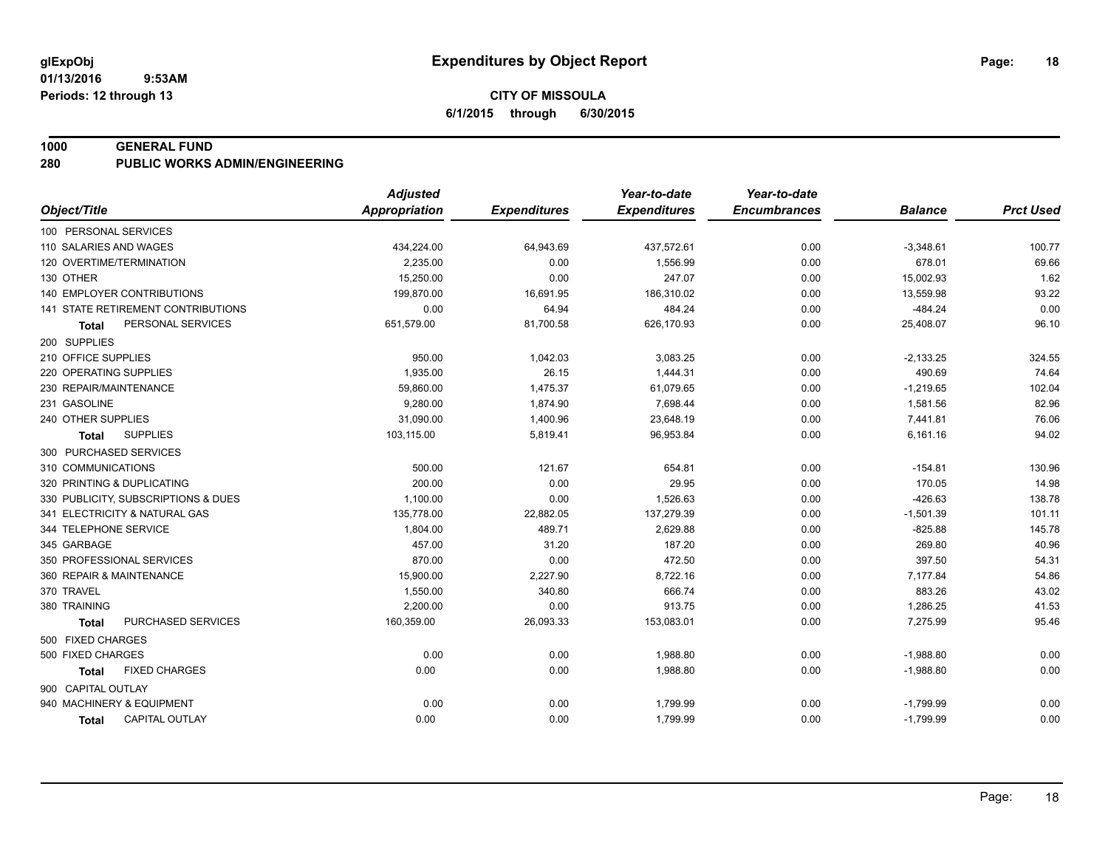#### **1000 GENERAL FUND**

**280 PUBLIC WORKS ADMIN/ENGINEERING**

|                                           | <b>Adjusted</b>      |                     | Year-to-date        | Year-to-date        |                |                  |
|-------------------------------------------|----------------------|---------------------|---------------------|---------------------|----------------|------------------|
| Object/Title                              | <b>Appropriation</b> | <b>Expenditures</b> | <b>Expenditures</b> | <b>Encumbrances</b> | <b>Balance</b> | <b>Prct Used</b> |
| 100 PERSONAL SERVICES                     |                      |                     |                     |                     |                |                  |
| 110 SALARIES AND WAGES                    | 434,224.00           | 64,943.69           | 437,572.61          | 0.00                | $-3,348.61$    | 100.77           |
| 120 OVERTIME/TERMINATION                  | 2,235.00             | 0.00                | 1,556.99            | 0.00                | 678.01         | 69.66            |
| 130 OTHER                                 | 15,250.00            | 0.00                | 247.07              | 0.00                | 15,002.93      | 1.62             |
| <b>140 EMPLOYER CONTRIBUTIONS</b>         | 199,870.00           | 16,691.95           | 186,310.02          | 0.00                | 13,559.98      | 93.22            |
| <b>141 STATE RETIREMENT CONTRIBUTIONS</b> | 0.00                 | 64.94               | 484.24              | 0.00                | $-484.24$      | 0.00             |
| PERSONAL SERVICES<br><b>Total</b>         | 651,579.00           | 81,700.58           | 626,170.93          | 0.00                | 25,408.07      | 96.10            |
| 200 SUPPLIES                              |                      |                     |                     |                     |                |                  |
| 210 OFFICE SUPPLIES                       | 950.00               | 1,042.03            | 3,083.25            | 0.00                | $-2,133.25$    | 324.55           |
| 220 OPERATING SUPPLIES                    | 1,935.00             | 26.15               | 1,444.31            | 0.00                | 490.69         | 74.64            |
| 230 REPAIR/MAINTENANCE                    | 59,860.00            | 1,475.37            | 61,079.65           | 0.00                | $-1,219.65$    | 102.04           |
| 231 GASOLINE                              | 9,280.00             | 1,874.90            | 7,698.44            | 0.00                | 1,581.56       | 82.96            |
| 240 OTHER SUPPLIES                        | 31,090.00            | 1,400.96            | 23,648.19           | 0.00                | 7,441.81       | 76.06            |
| <b>SUPPLIES</b><br><b>Total</b>           | 103,115.00           | 5,819.41            | 96,953.84           | 0.00                | 6,161.16       | 94.02            |
| 300 PURCHASED SERVICES                    |                      |                     |                     |                     |                |                  |
| 310 COMMUNICATIONS                        | 500.00               | 121.67              | 654.81              | 0.00                | $-154.81$      | 130.96           |
| 320 PRINTING & DUPLICATING                | 200.00               | 0.00                | 29.95               | 0.00                | 170.05         | 14.98            |
| 330 PUBLICITY, SUBSCRIPTIONS & DUES       | 1,100.00             | 0.00                | 1,526.63            | 0.00                | $-426.63$      | 138.78           |
| 341 ELECTRICITY & NATURAL GAS             | 135,778.00           | 22,882.05           | 137,279.39          | 0.00                | $-1,501.39$    | 101.11           |
| 344 TELEPHONE SERVICE                     | 1,804.00             | 489.71              | 2,629.88            | 0.00                | $-825.88$      | 145.78           |
| 345 GARBAGE                               | 457.00               | 31.20               | 187.20              | 0.00                | 269.80         | 40.96            |
| 350 PROFESSIONAL SERVICES                 | 870.00               | 0.00                | 472.50              | 0.00                | 397.50         | 54.31            |
| 360 REPAIR & MAINTENANCE                  | 15,900.00            | 2,227.90            | 8,722.16            | 0.00                | 7,177.84       | 54.86            |
| 370 TRAVEL                                | 1,550.00             | 340.80              | 666.74              | 0.00                | 883.26         | 43.02            |
| 380 TRAINING                              | 2,200.00             | 0.00                | 913.75              | 0.00                | 1,286.25       | 41.53            |
| PURCHASED SERVICES<br><b>Total</b>        | 160,359.00           | 26,093.33           | 153,083.01          | 0.00                | 7,275.99       | 95.46            |
| 500 FIXED CHARGES                         |                      |                     |                     |                     |                |                  |
| 500 FIXED CHARGES                         | 0.00                 | 0.00                | 1,988.80            | 0.00                | $-1,988.80$    | 0.00             |
| <b>FIXED CHARGES</b><br>Total             | 0.00                 | 0.00                | 1,988.80            | 0.00                | $-1,988.80$    | 0.00             |
| 900 CAPITAL OUTLAY                        |                      |                     |                     |                     |                |                  |
| 940 MACHINERY & EQUIPMENT                 | 0.00                 | 0.00                | 1,799.99            | 0.00                | $-1,799.99$    | 0.00             |
| <b>CAPITAL OUTLAY</b><br><b>Total</b>     | 0.00                 | 0.00                | 1,799.99            | 0.00                | $-1,799.99$    | 0.00             |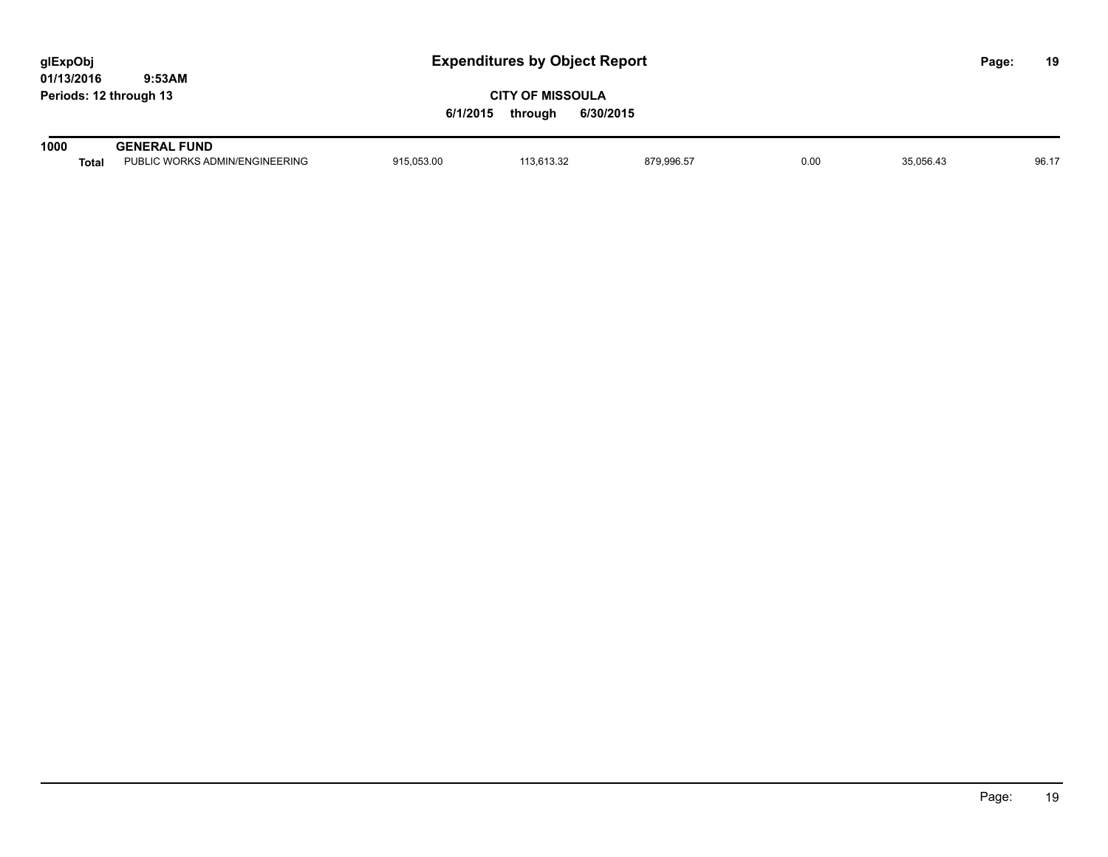| glExpObj               |        |
|------------------------|--------|
| 01/13/2016             | 9:53AM |
| Periods: 12 through 13 |        |

| 1000  | <b>GENERAL FUND</b>            |            |                     |            |      |           |       |
|-------|--------------------------------|------------|---------------------|------------|------|-----------|-------|
| Total | PUBLIC WORKS ADMIN/ENGINEERING | 915,053.00 | 0.0000<br>13.613.32 | 879,996.57 | 0.00 | 35.056.43 | 96.17 |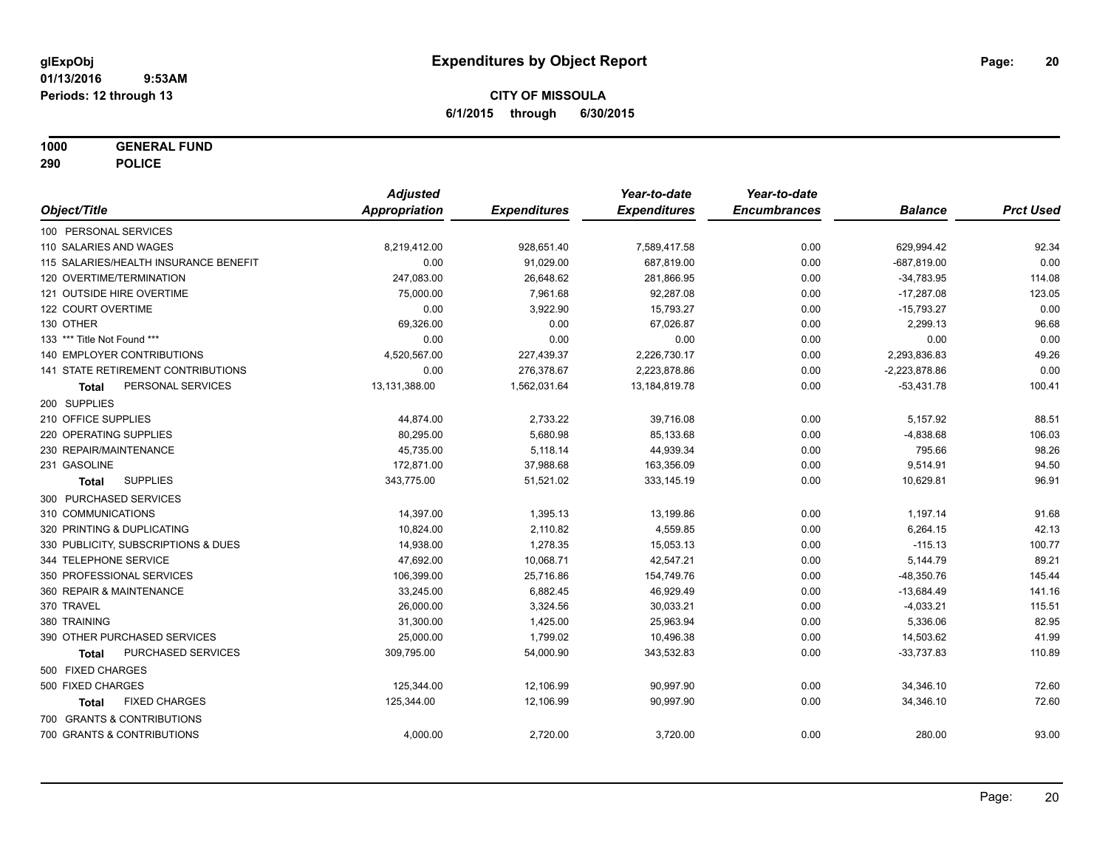**1000 GENERAL FUND**

**290 POLICE**

|                                           | <b>Adjusted</b> |                     | Year-to-date        | Year-to-date        |                 |                  |
|-------------------------------------------|-----------------|---------------------|---------------------|---------------------|-----------------|------------------|
| Object/Title                              | Appropriation   | <b>Expenditures</b> | <b>Expenditures</b> | <b>Encumbrances</b> | <b>Balance</b>  | <b>Prct Used</b> |
| 100 PERSONAL SERVICES                     |                 |                     |                     |                     |                 |                  |
| 110 SALARIES AND WAGES                    | 8,219,412.00    | 928,651.40          | 7,589,417.58        | 0.00                | 629,994.42      | 92.34            |
| 115 SALARIES/HEALTH INSURANCE BENEFIT     | 0.00            | 91,029.00           | 687,819.00          | 0.00                | $-687,819.00$   | 0.00             |
| 120 OVERTIME/TERMINATION                  | 247,083.00      | 26,648.62           | 281,866.95          | 0.00                | $-34,783.95$    | 114.08           |
| 121 OUTSIDE HIRE OVERTIME                 | 75,000.00       | 7,961.68            | 92,287.08           | 0.00                | $-17,287.08$    | 123.05           |
| 122 COURT OVERTIME                        | 0.00            | 3,922.90            | 15,793.27           | 0.00                | $-15,793.27$    | 0.00             |
| 130 OTHER                                 | 69,326.00       | 0.00                | 67,026.87           | 0.00                | 2,299.13        | 96.68            |
| 133 *** Title Not Found ***               | 0.00            | 0.00                | 0.00                | 0.00                | 0.00            | 0.00             |
| 140 EMPLOYER CONTRIBUTIONS                | 4,520,567.00    | 227,439.37          | 2,226,730.17        | 0.00                | 2,293,836.83    | 49.26            |
| <b>141 STATE RETIREMENT CONTRIBUTIONS</b> | 0.00            | 276,378.67          | 2,223,878.86        | 0.00                | $-2,223,878.86$ | 0.00             |
| PERSONAL SERVICES<br>Total                | 13,131,388.00   | 1,562,031.64        | 13, 184, 819. 78    | 0.00                | $-53,431.78$    | 100.41           |
| 200 SUPPLIES                              |                 |                     |                     |                     |                 |                  |
| 210 OFFICE SUPPLIES                       | 44,874.00       | 2,733.22            | 39,716.08           | 0.00                | 5,157.92        | 88.51            |
| 220 OPERATING SUPPLIES                    | 80,295.00       | 5,680.98            | 85,133.68           | 0.00                | $-4,838.68$     | 106.03           |
| 230 REPAIR/MAINTENANCE                    | 45,735.00       | 5,118.14            | 44,939.34           | 0.00                | 795.66          | 98.26            |
| 231 GASOLINE                              | 172,871.00      | 37,988.68           | 163,356.09          | 0.00                | 9,514.91        | 94.50            |
| <b>SUPPLIES</b><br><b>Total</b>           | 343,775.00      | 51,521.02           | 333,145.19          | 0.00                | 10,629.81       | 96.91            |
| 300 PURCHASED SERVICES                    |                 |                     |                     |                     |                 |                  |
| 310 COMMUNICATIONS                        | 14,397.00       | 1,395.13            | 13,199.86           | 0.00                | 1,197.14        | 91.68            |
| 320 PRINTING & DUPLICATING                | 10,824.00       | 2,110.82            | 4,559.85            | 0.00                | 6,264.15        | 42.13            |
| 330 PUBLICITY, SUBSCRIPTIONS & DUES       | 14,938.00       | 1,278.35            | 15,053.13           | 0.00                | $-115.13$       | 100.77           |
| 344 TELEPHONE SERVICE                     | 47,692.00       | 10,068.71           | 42,547.21           | 0.00                | 5,144.79        | 89.21            |
| 350 PROFESSIONAL SERVICES                 | 106,399.00      | 25,716.86           | 154,749.76          | 0.00                | $-48,350.76$    | 145.44           |
| 360 REPAIR & MAINTENANCE                  | 33,245.00       | 6,882.45            | 46,929.49           | 0.00                | $-13,684.49$    | 141.16           |
| 370 TRAVEL                                | 26,000.00       | 3,324.56            | 30,033.21           | 0.00                | $-4,033.21$     | 115.51           |
| 380 TRAINING                              | 31,300.00       | 1,425.00            | 25,963.94           | 0.00                | 5,336.06        | 82.95            |
| 390 OTHER PURCHASED SERVICES              | 25,000.00       | 1,799.02            | 10,496.38           | 0.00                | 14,503.62       | 41.99            |
| PURCHASED SERVICES<br>Total               | 309,795.00      | 54,000.90           | 343,532.83          | 0.00                | $-33,737.83$    | 110.89           |
| 500 FIXED CHARGES                         |                 |                     |                     |                     |                 |                  |
| 500 FIXED CHARGES                         | 125,344.00      | 12,106.99           | 90,997.90           | 0.00                | 34,346.10       | 72.60            |
| <b>FIXED CHARGES</b><br><b>Total</b>      | 125,344.00      | 12,106.99           | 90.997.90           | 0.00                | 34,346.10       | 72.60            |
| 700 GRANTS & CONTRIBUTIONS                |                 |                     |                     |                     |                 |                  |
| 700 GRANTS & CONTRIBUTIONS                | 4,000.00        | 2,720.00            | 3,720.00            | 0.00                | 280.00          | 93.00            |
|                                           |                 |                     |                     |                     |                 |                  |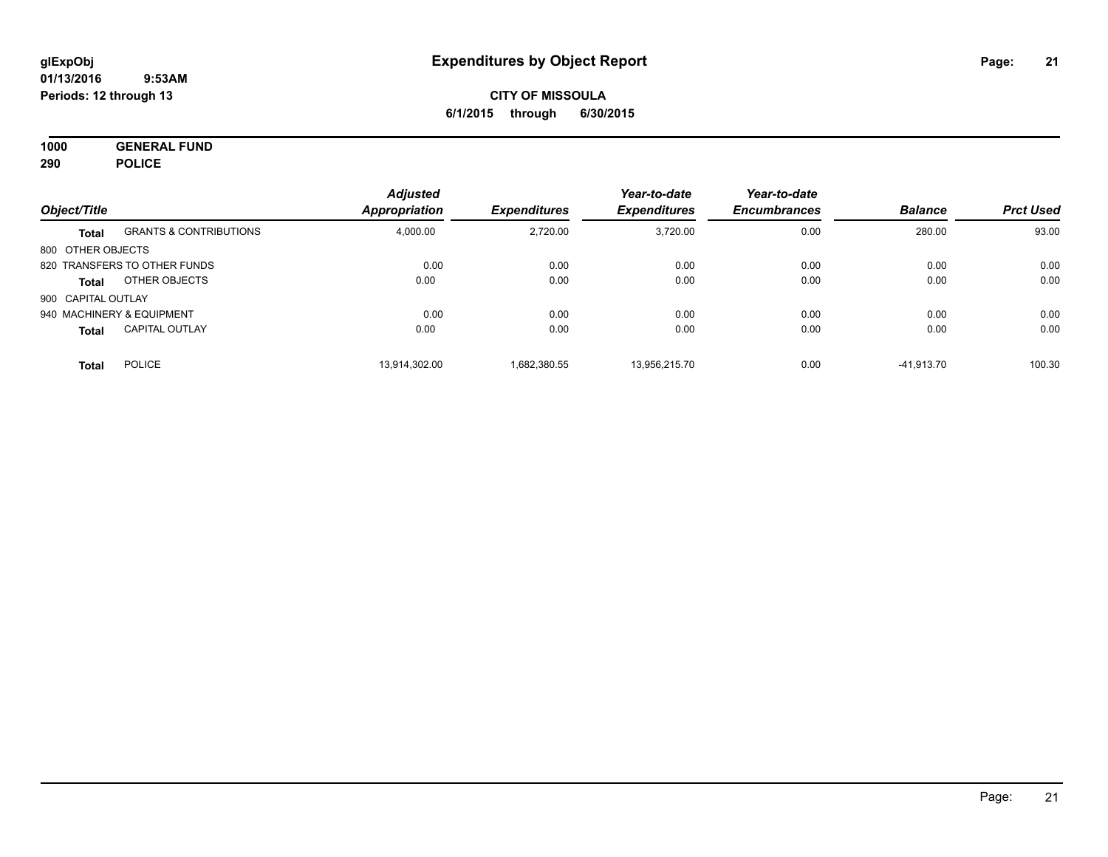**1000 GENERAL FUND 290 POLICE**

|                           |                                   | <b>Adjusted</b>      |                     | Year-to-date        | Year-to-date        |                |                  |
|---------------------------|-----------------------------------|----------------------|---------------------|---------------------|---------------------|----------------|------------------|
| Object/Title              |                                   | <b>Appropriation</b> | <b>Expenditures</b> | <b>Expenditures</b> | <b>Encumbrances</b> | <b>Balance</b> | <b>Prct Used</b> |
| <b>Total</b>              | <b>GRANTS &amp; CONTRIBUTIONS</b> | 4,000.00             | 2,720.00            | 3.720.00            | 0.00                | 280.00         | 93.00            |
| 800 OTHER OBJECTS         |                                   |                      |                     |                     |                     |                |                  |
|                           | 820 TRANSFERS TO OTHER FUNDS      | 0.00                 | 0.00                | 0.00                | 0.00                | 0.00           | 0.00             |
| Total                     | OTHER OBJECTS                     | 0.00                 | 0.00                | 0.00                | 0.00                | 0.00           | 0.00             |
| 900 CAPITAL OUTLAY        |                                   |                      |                     |                     |                     |                |                  |
| 940 MACHINERY & EQUIPMENT |                                   | 0.00                 | 0.00                | 0.00                | 0.00                | 0.00           | 0.00             |
| <b>Total</b>              | <b>CAPITAL OUTLAY</b>             | 0.00                 | 0.00                | 0.00                | 0.00                | 0.00           | 0.00             |
| <b>Total</b>              | <b>POLICE</b>                     | 13.914.302.00        | 1.682.380.55        | 13.956.215.70       | 0.00                | $-41.913.70$   | 100.30           |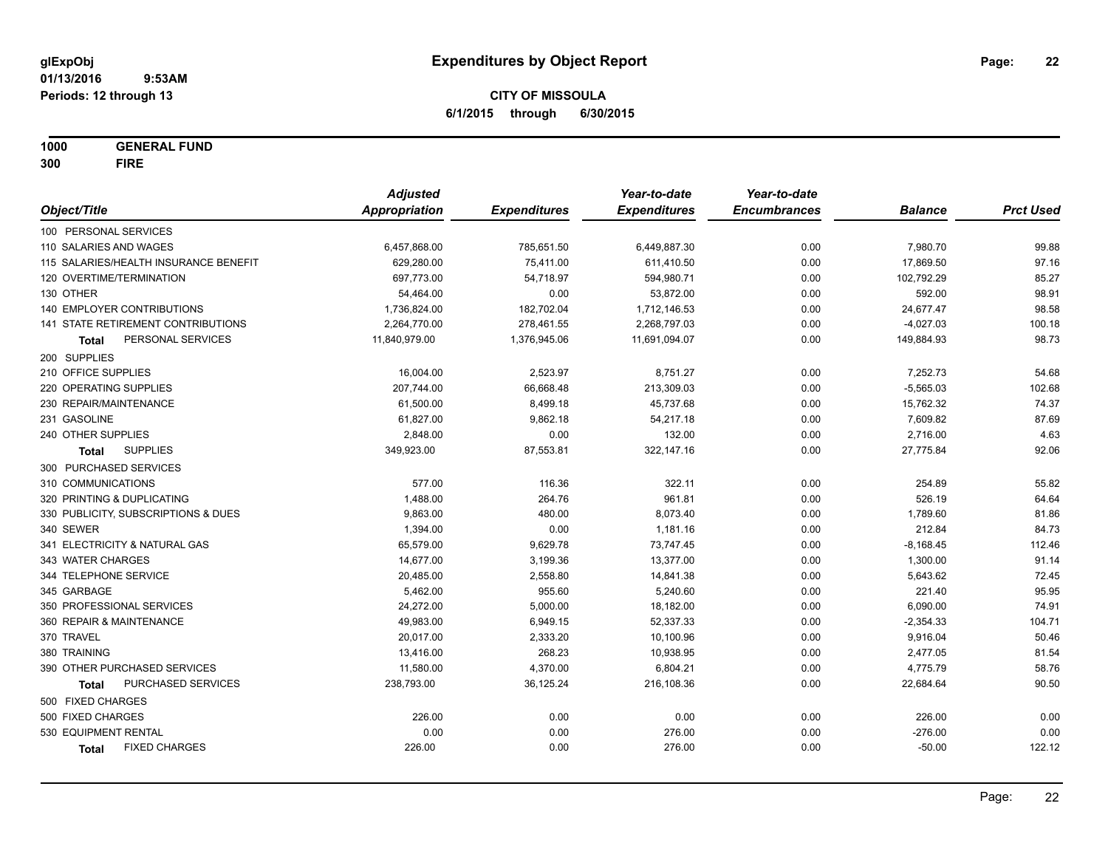**1000 GENERAL FUND**

**300 FIRE**

|                                       | <b>Adjusted</b>      |                     | Year-to-date        | Year-to-date        |                |                  |
|---------------------------------------|----------------------|---------------------|---------------------|---------------------|----------------|------------------|
| Object/Title                          | <b>Appropriation</b> | <b>Expenditures</b> | <b>Expenditures</b> | <b>Encumbrances</b> | <b>Balance</b> | <b>Prct Used</b> |
| 100 PERSONAL SERVICES                 |                      |                     |                     |                     |                |                  |
| 110 SALARIES AND WAGES                | 6,457,868.00         | 785,651.50          | 6,449,887.30        | 0.00                | 7,980.70       | 99.88            |
| 115 SALARIES/HEALTH INSURANCE BENEFIT | 629,280.00           | 75,411.00           | 611,410.50          | 0.00                | 17,869.50      | 97.16            |
| 120 OVERTIME/TERMINATION              | 697,773.00           | 54,718.97           | 594,980.71          | 0.00                | 102,792.29     | 85.27            |
| 130 OTHER                             | 54,464.00            | 0.00                | 53,872.00           | 0.00                | 592.00         | 98.91            |
| 140 EMPLOYER CONTRIBUTIONS            | 1,736,824.00         | 182,702.04          | 1,712,146.53        | 0.00                | 24,677.47      | 98.58            |
| 141 STATE RETIREMENT CONTRIBUTIONS    | 2,264,770.00         | 278,461.55          | 2,268,797.03        | 0.00                | $-4,027.03$    | 100.18           |
| PERSONAL SERVICES<br>Total            | 11,840,979.00        | 1,376,945.06        | 11,691,094.07       | 0.00                | 149,884.93     | 98.73            |
| 200 SUPPLIES                          |                      |                     |                     |                     |                |                  |
| 210 OFFICE SUPPLIES                   | 16,004.00            | 2,523.97            | 8,751.27            | 0.00                | 7,252.73       | 54.68            |
| 220 OPERATING SUPPLIES                | 207,744.00           | 66,668.48           | 213,309.03          | 0.00                | $-5,565.03$    | 102.68           |
| 230 REPAIR/MAINTENANCE                | 61,500.00            | 8,499.18            | 45,737.68           | 0.00                | 15,762.32      | 74.37            |
| 231 GASOLINE                          | 61,827.00            | 9,862.18            | 54,217.18           | 0.00                | 7,609.82       | 87.69            |
| 240 OTHER SUPPLIES                    | 2,848.00             | 0.00                | 132.00              | 0.00                | 2,716.00       | 4.63             |
| <b>SUPPLIES</b><br><b>Total</b>       | 349,923.00           | 87,553.81           | 322,147.16          | 0.00                | 27,775.84      | 92.06            |
| 300 PURCHASED SERVICES                |                      |                     |                     |                     |                |                  |
| 310 COMMUNICATIONS                    | 577.00               | 116.36              | 322.11              | 0.00                | 254.89         | 55.82            |
| 320 PRINTING & DUPLICATING            | 1,488.00             | 264.76              | 961.81              | 0.00                | 526.19         | 64.64            |
| 330 PUBLICITY, SUBSCRIPTIONS & DUES   | 9,863.00             | 480.00              | 8,073.40            | 0.00                | 1,789.60       | 81.86            |
| 340 SEWER                             | 1,394.00             | 0.00                | 1,181.16            | 0.00                | 212.84         | 84.73            |
| 341 ELECTRICITY & NATURAL GAS         | 65,579.00            | 9,629.78            | 73,747.45           | 0.00                | $-8,168.45$    | 112.46           |
| 343 WATER CHARGES                     | 14,677.00            | 3,199.36            | 13,377.00           | 0.00                | 1,300.00       | 91.14            |
| 344 TELEPHONE SERVICE                 | 20,485.00            | 2,558.80            | 14,841.38           | 0.00                | 5,643.62       | 72.45            |
| 345 GARBAGE                           | 5,462.00             | 955.60              | 5,240.60            | 0.00                | 221.40         | 95.95            |
| 350 PROFESSIONAL SERVICES             | 24,272.00            | 5,000.00            | 18,182.00           | 0.00                | 6,090.00       | 74.91            |
| 360 REPAIR & MAINTENANCE              | 49,983.00            | 6,949.15            | 52,337.33           | 0.00                | $-2,354.33$    | 104.71           |
| 370 TRAVEL                            | 20,017.00            | 2,333.20            | 10,100.96           | 0.00                | 9,916.04       | 50.46            |
| 380 TRAINING                          | 13,416.00            | 268.23              | 10,938.95           | 0.00                | 2,477.05       | 81.54            |
| 390 OTHER PURCHASED SERVICES          | 11,580.00            | 4,370.00            | 6,804.21            | 0.00                | 4,775.79       | 58.76            |
| PURCHASED SERVICES<br><b>Total</b>    | 238,793.00           | 36,125.24           | 216,108.36          | 0.00                | 22,684.64      | 90.50            |
| 500 FIXED CHARGES                     |                      |                     |                     |                     |                |                  |
| 500 FIXED CHARGES                     | 226.00               | 0.00                | 0.00                | 0.00                | 226.00         | 0.00             |
| 530 EQUIPMENT RENTAL                  | 0.00                 | 0.00                | 276.00              | 0.00                | $-276.00$      | 0.00             |
| <b>FIXED CHARGES</b><br><b>Total</b>  | 226.00               | 0.00                | 276.00              | 0.00                | $-50.00$       | 122.12           |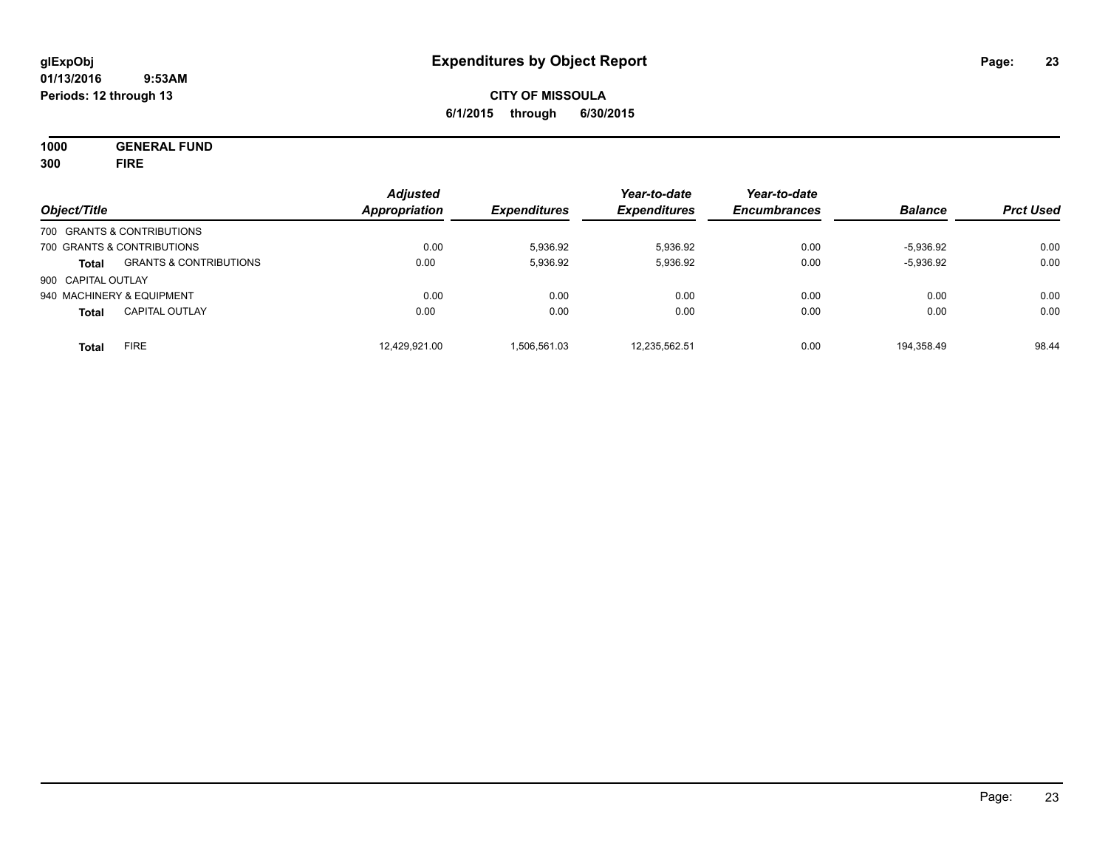**1000 GENERAL FUND 300 FIRE**

| Object/Title               |                                   | <b>Adjusted</b><br>Appropriation | <b>Expenditures</b> | Year-to-date<br><b>Expenditures</b> | Year-to-date<br><b>Encumbrances</b> | <b>Balance</b> | <b>Prct Used</b> |
|----------------------------|-----------------------------------|----------------------------------|---------------------|-------------------------------------|-------------------------------------|----------------|------------------|
|                            | 700 GRANTS & CONTRIBUTIONS        |                                  |                     |                                     |                                     |                |                  |
| 700 GRANTS & CONTRIBUTIONS |                                   | 0.00                             | 5,936.92            | 5,936.92                            | 0.00                                | $-5,936.92$    | 0.00             |
| <b>Total</b>               | <b>GRANTS &amp; CONTRIBUTIONS</b> | 0.00                             | 5,936.92            | 5,936.92                            | 0.00                                | $-5,936.92$    | 0.00             |
| 900 CAPITAL OUTLAY         |                                   |                                  |                     |                                     |                                     |                |                  |
|                            | 940 MACHINERY & EQUIPMENT         | 0.00                             | 0.00                | 0.00                                | 0.00                                | 0.00           | 0.00             |
| <b>Total</b>               | <b>CAPITAL OUTLAY</b>             | 0.00                             | 0.00                | 0.00                                | 0.00                                | 0.00           | 0.00             |
| <b>Total</b>               | <b>FIRE</b>                       | 12,429,921.00                    | 1.506.561.03        | 12,235,562.51                       | 0.00                                | 194.358.49     | 98.44            |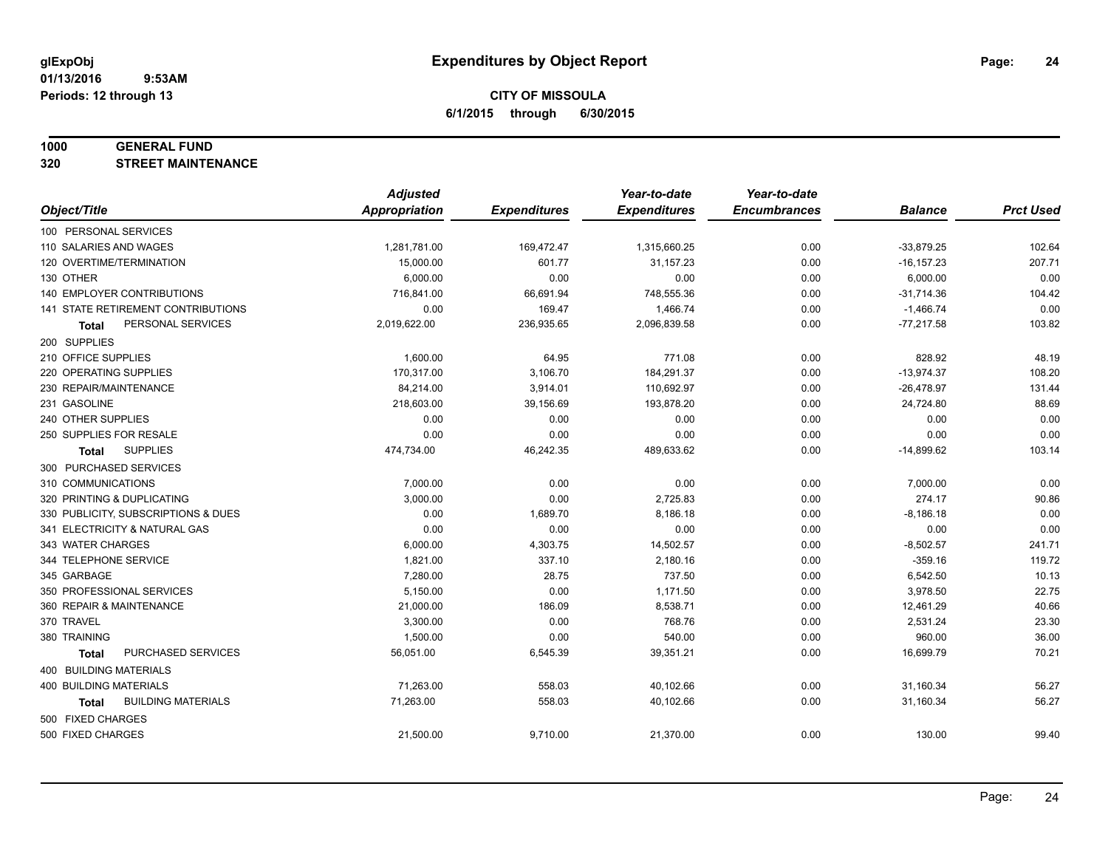#### **1000 GENERAL FUND**

**320 STREET MAINTENANCE**

|                                     | <b>Adjusted</b>      |                     | Year-to-date        | Year-to-date        |                |                  |
|-------------------------------------|----------------------|---------------------|---------------------|---------------------|----------------|------------------|
| Object/Title                        | <b>Appropriation</b> | <b>Expenditures</b> | <b>Expenditures</b> | <b>Encumbrances</b> | <b>Balance</b> | <b>Prct Used</b> |
| 100 PERSONAL SERVICES               |                      |                     |                     |                     |                |                  |
| 110 SALARIES AND WAGES              | 1,281,781.00         | 169,472.47          | 1,315,660.25        | 0.00                | $-33,879.25$   | 102.64           |
| 120 OVERTIME/TERMINATION            | 15,000.00            | 601.77              | 31,157.23           | 0.00                | $-16, 157.23$  | 207.71           |
| 130 OTHER                           | 6,000.00             | 0.00                | 0.00                | 0.00                | 6,000.00       | 0.00             |
| 140 EMPLOYER CONTRIBUTIONS          | 716,841.00           | 66,691.94           | 748,555.36          | 0.00                | $-31,714.36$   | 104.42           |
| 141 STATE RETIREMENT CONTRIBUTIONS  | 0.00                 | 169.47              | 1,466.74            | 0.00                | $-1,466.74$    | 0.00             |
| PERSONAL SERVICES<br>Total          | 2,019,622.00         | 236,935.65          | 2,096,839.58        | 0.00                | $-77,217.58$   | 103.82           |
| 200 SUPPLIES                        |                      |                     |                     |                     |                |                  |
| 210 OFFICE SUPPLIES                 | 1,600.00             | 64.95               | 771.08              | 0.00                | 828.92         | 48.19            |
| 220 OPERATING SUPPLIES              | 170,317.00           | 3,106.70            | 184,291.37          | 0.00                | $-13,974.37$   | 108.20           |
| 230 REPAIR/MAINTENANCE              | 84,214.00            | 3,914.01            | 110,692.97          | 0.00                | $-26,478.97$   | 131.44           |
| 231 GASOLINE                        | 218,603.00           | 39,156.69           | 193,878.20          | 0.00                | 24,724.80      | 88.69            |
| 240 OTHER SUPPLIES                  | 0.00                 | 0.00                | 0.00                | 0.00                | 0.00           | 0.00             |
| 250 SUPPLIES FOR RESALE             | 0.00                 | 0.00                | 0.00                | 0.00                | 0.00           | 0.00             |
| <b>SUPPLIES</b><br>Total            | 474,734.00           | 46,242.35           | 489,633.62          | 0.00                | $-14,899.62$   | 103.14           |
| 300 PURCHASED SERVICES              |                      |                     |                     |                     |                |                  |
| 310 COMMUNICATIONS                  | 7,000.00             | 0.00                | 0.00                | 0.00                | 7,000.00       | 0.00             |
| 320 PRINTING & DUPLICATING          | 3,000.00             | 0.00                | 2,725.83            | 0.00                | 274.17         | 90.86            |
| 330 PUBLICITY, SUBSCRIPTIONS & DUES | 0.00                 | 1,689.70            | 8,186.18            | 0.00                | $-8,186.18$    | 0.00             |
| 341 ELECTRICITY & NATURAL GAS       | 0.00                 | 0.00                | 0.00                | 0.00                | 0.00           | 0.00             |
| 343 WATER CHARGES                   | 6,000.00             | 4,303.75            | 14,502.57           | 0.00                | $-8,502.57$    | 241.71           |
| 344 TELEPHONE SERVICE               | 1,821.00             | 337.10              | 2,180.16            | 0.00                | $-359.16$      | 119.72           |
| 345 GARBAGE                         | 7,280.00             | 28.75               | 737.50              | 0.00                | 6,542.50       | 10.13            |
| 350 PROFESSIONAL SERVICES           | 5,150.00             | 0.00                | 1,171.50            | 0.00                | 3,978.50       | 22.75            |
| 360 REPAIR & MAINTENANCE            | 21,000.00            | 186.09              | 8,538.71            | 0.00                | 12,461.29      | 40.66            |
| 370 TRAVEL                          | 3,300.00             | 0.00                | 768.76              | 0.00                | 2,531.24       | 23.30            |
| 380 TRAINING                        | 1,500.00             | 0.00                | 540.00              | 0.00                | 960.00         | 36.00            |
| PURCHASED SERVICES<br><b>Total</b>  | 56,051.00            | 6,545.39            | 39,351.21           | 0.00                | 16,699.79      | 70.21            |
| 400 BUILDING MATERIALS              |                      |                     |                     |                     |                |                  |
| 400 BUILDING MATERIALS              | 71,263.00            | 558.03              | 40,102.66           | 0.00                | 31,160.34      | 56.27            |
| <b>BUILDING MATERIALS</b><br>Total  | 71,263.00            | 558.03              | 40,102.66           | 0.00                | 31,160.34      | 56.27            |
| 500 FIXED CHARGES                   |                      |                     |                     |                     |                |                  |
| 500 FIXED CHARGES                   | 21,500.00            | 9,710.00            | 21,370.00           | 0.00                | 130.00         | 99.40            |
|                                     |                      |                     |                     |                     |                |                  |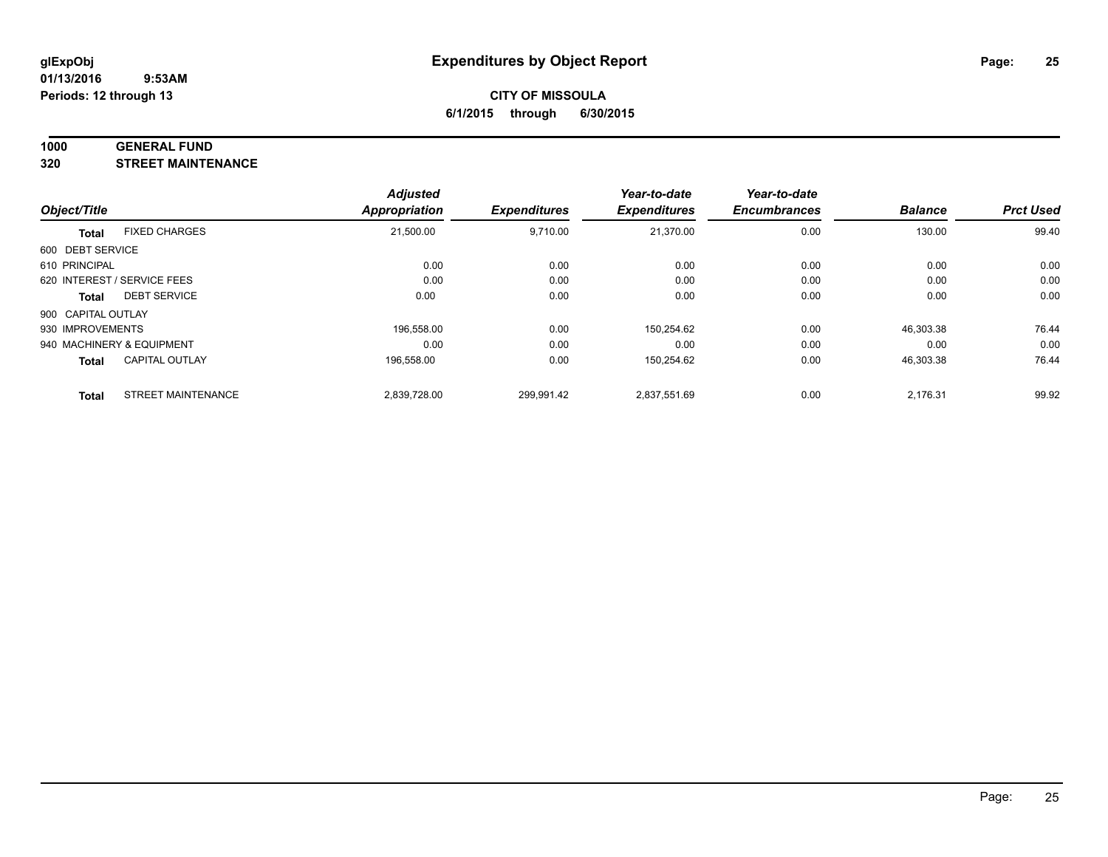#### **1000 GENERAL FUND**

**320 STREET MAINTENANCE**

|                    |                             | <b>Adjusted</b>      |                     | Year-to-date        | Year-to-date        |                |                  |
|--------------------|-----------------------------|----------------------|---------------------|---------------------|---------------------|----------------|------------------|
| Object/Title       |                             | <b>Appropriation</b> | <b>Expenditures</b> | <b>Expenditures</b> | <b>Encumbrances</b> | <b>Balance</b> | <b>Prct Used</b> |
| <b>Total</b>       | <b>FIXED CHARGES</b>        | 21,500.00            | 9,710.00            | 21,370.00           | 0.00                | 130.00         | 99.40            |
| 600 DEBT SERVICE   |                             |                      |                     |                     |                     |                |                  |
| 610 PRINCIPAL      |                             | 0.00                 | 0.00                | 0.00                | 0.00                | 0.00           | 0.00             |
|                    | 620 INTEREST / SERVICE FEES | 0.00                 | 0.00                | 0.00                | 0.00                | 0.00           | 0.00             |
| Total              | <b>DEBT SERVICE</b>         | 0.00                 | 0.00                | 0.00                | 0.00                | 0.00           | 0.00             |
| 900 CAPITAL OUTLAY |                             |                      |                     |                     |                     |                |                  |
| 930 IMPROVEMENTS   |                             | 196.558.00           | 0.00                | 150,254.62          | 0.00                | 46.303.38      | 76.44            |
|                    | 940 MACHINERY & EQUIPMENT   | 0.00                 | 0.00                | 0.00                | 0.00                | 0.00           | 0.00             |
| <b>Total</b>       | <b>CAPITAL OUTLAY</b>       | 196,558.00           | 0.00                | 150,254.62          | 0.00                | 46,303.38      | 76.44            |
| <b>Total</b>       | <b>STREET MAINTENANCE</b>   | 2.839.728.00         | 299.991.42          | 2,837,551.69        | 0.00                | 2.176.31       | 99.92            |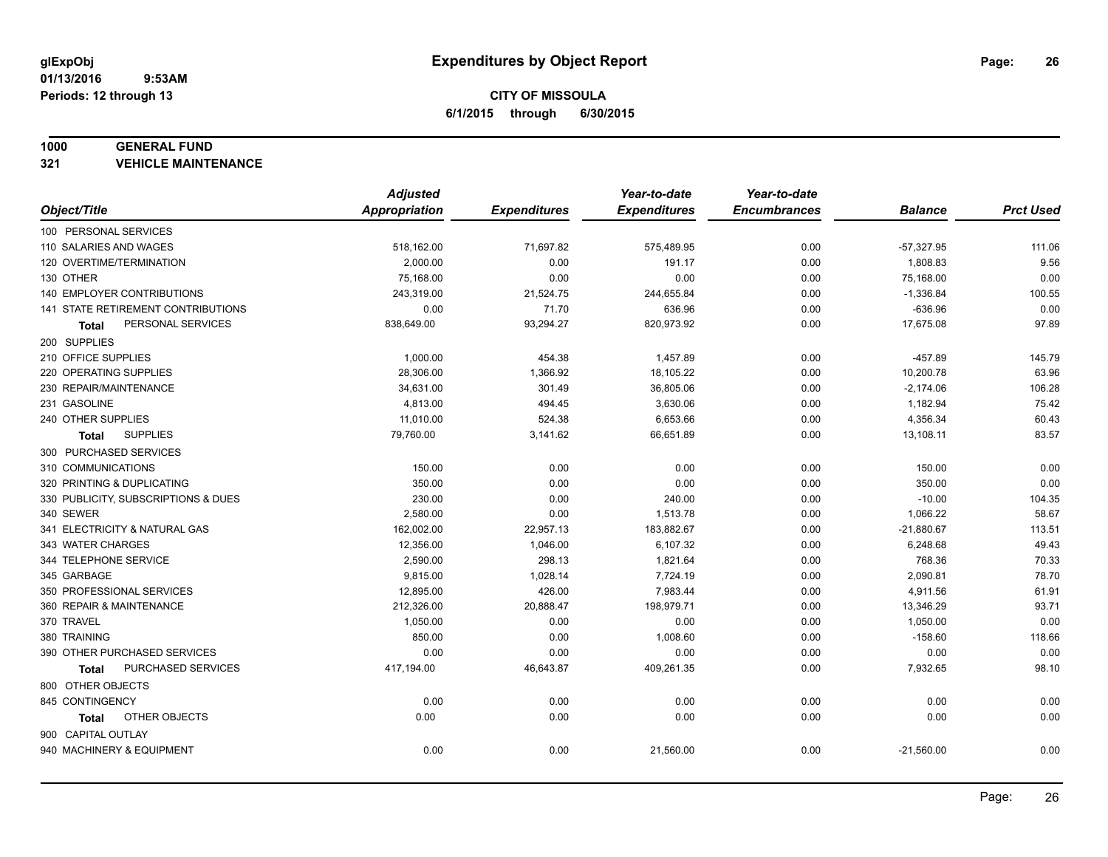#### **1000 GENERAL FUND**

**321 VEHICLE MAINTENANCE**

|                                     | <b>Adjusted</b>      |                     | Year-to-date        | Year-to-date        |                |                  |
|-------------------------------------|----------------------|---------------------|---------------------|---------------------|----------------|------------------|
| Object/Title                        | <b>Appropriation</b> | <b>Expenditures</b> | <b>Expenditures</b> | <b>Encumbrances</b> | <b>Balance</b> | <b>Prct Used</b> |
| 100 PERSONAL SERVICES               |                      |                     |                     |                     |                |                  |
| 110 SALARIES AND WAGES              | 518,162.00           | 71,697.82           | 575,489.95          | 0.00                | $-57,327.95$   | 111.06           |
| 120 OVERTIME/TERMINATION            | 2,000.00             | 0.00                | 191.17              | 0.00                | 1,808.83       | 9.56             |
| 130 OTHER                           | 75,168.00            | 0.00                | 0.00                | 0.00                | 75,168.00      | 0.00             |
| 140 EMPLOYER CONTRIBUTIONS          | 243,319.00           | 21,524.75           | 244,655.84          | 0.00                | $-1,336.84$    | 100.55           |
| 141 STATE RETIREMENT CONTRIBUTIONS  | 0.00                 | 71.70               | 636.96              | 0.00                | $-636.96$      | 0.00             |
| PERSONAL SERVICES<br>Total          | 838,649.00           | 93,294.27           | 820,973.92          | 0.00                | 17,675.08      | 97.89            |
| 200 SUPPLIES                        |                      |                     |                     |                     |                |                  |
| 210 OFFICE SUPPLIES                 | 1,000.00             | 454.38              | 1,457.89            | 0.00                | $-457.89$      | 145.79           |
| 220 OPERATING SUPPLIES              | 28,306.00            | 1,366.92            | 18,105.22           | 0.00                | 10,200.78      | 63.96            |
| 230 REPAIR/MAINTENANCE              | 34,631.00            | 301.49              | 36,805.06           | 0.00                | $-2,174.06$    | 106.28           |
| 231 GASOLINE                        | 4,813.00             | 494.45              | 3,630.06            | 0.00                | 1,182.94       | 75.42            |
| 240 OTHER SUPPLIES                  | 11,010.00            | 524.38              | 6,653.66            | 0.00                | 4,356.34       | 60.43            |
| <b>SUPPLIES</b><br>Total            | 79,760.00            | 3,141.62            | 66,651.89           | 0.00                | 13,108.11      | 83.57            |
| 300 PURCHASED SERVICES              |                      |                     |                     |                     |                |                  |
| 310 COMMUNICATIONS                  | 150.00               | 0.00                | 0.00                | 0.00                | 150.00         | 0.00             |
| 320 PRINTING & DUPLICATING          | 350.00               | 0.00                | 0.00                | 0.00                | 350.00         | 0.00             |
| 330 PUBLICITY, SUBSCRIPTIONS & DUES | 230.00               | 0.00                | 240.00              | 0.00                | $-10.00$       | 104.35           |
| 340 SEWER                           | 2,580.00             | 0.00                | 1,513.78            | 0.00                | 1,066.22       | 58.67            |
| 341 ELECTRICITY & NATURAL GAS       | 162,002.00           | 22,957.13           | 183,882.67          | 0.00                | $-21,880.67$   | 113.51           |
| 343 WATER CHARGES                   | 12,356.00            | 1,046.00            | 6,107.32            | 0.00                | 6,248.68       | 49.43            |
| 344 TELEPHONE SERVICE               | 2,590.00             | 298.13              | 1,821.64            | 0.00                | 768.36         | 70.33            |
| 345 GARBAGE                         | 9,815.00             | 1,028.14            | 7,724.19            | 0.00                | 2,090.81       | 78.70            |
| 350 PROFESSIONAL SERVICES           | 12,895.00            | 426.00              | 7,983.44            | 0.00                | 4,911.56       | 61.91            |
| 360 REPAIR & MAINTENANCE            | 212,326.00           | 20,888.47           | 198,979.71          | 0.00                | 13,346.29      | 93.71            |
| 370 TRAVEL                          | 1,050.00             | 0.00                | 0.00                | 0.00                | 1,050.00       | 0.00             |
| 380 TRAINING                        | 850.00               | 0.00                | 1,008.60            | 0.00                | $-158.60$      | 118.66           |
| 390 OTHER PURCHASED SERVICES        | 0.00                 | 0.00                | 0.00                | 0.00                | 0.00           | 0.00             |
| <b>PURCHASED SERVICES</b><br>Total  | 417,194.00           | 46,643.87           | 409,261.35          | 0.00                | 7,932.65       | 98.10            |
| 800 OTHER OBJECTS                   |                      |                     |                     |                     |                |                  |
| 845 CONTINGENCY                     | 0.00                 | 0.00                | 0.00                | 0.00                | 0.00           | 0.00             |
| OTHER OBJECTS<br>Total              | 0.00                 | 0.00                | 0.00                | 0.00                | 0.00           | 0.00             |
| 900 CAPITAL OUTLAY                  |                      |                     |                     |                     |                |                  |
| 940 MACHINERY & EQUIPMENT           | 0.00                 | 0.00                | 21,560.00           | 0.00                | $-21,560.00$   | 0.00             |
|                                     |                      |                     |                     |                     |                |                  |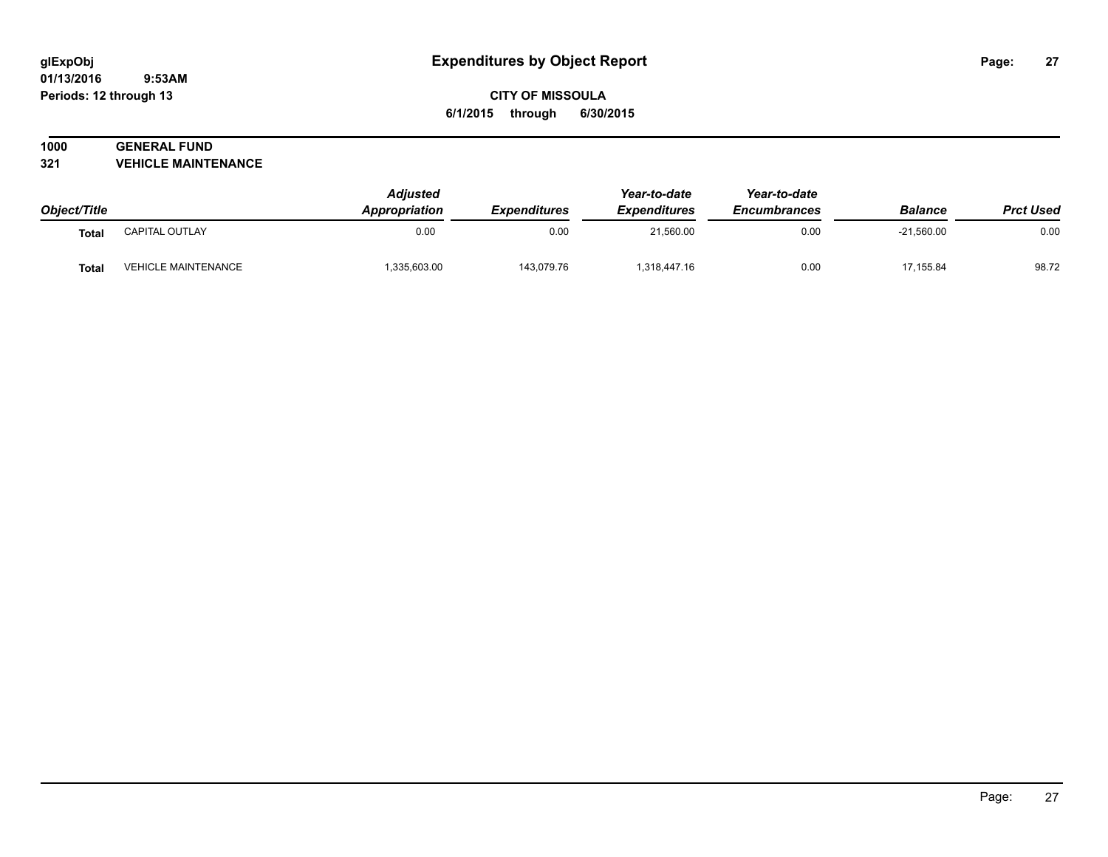#### **01/13/2016 9:53AM Periods: 12 through 13**

## **CITY OF MISSOULA 6/1/2015 through 6/30/2015**

## **1000 GENERAL FUND**

**321 VEHICLE MAINTENANCE**

| Object/Title |                            | <b>Adjusted</b><br>Appropriation | <b>Expenditures</b> | Year-to-date<br><b>Expenditures</b> | Year-to-date<br><b>Encumbrances</b> | <b>Balance</b> | <b>Prct Used</b> |
|--------------|----------------------------|----------------------------------|---------------------|-------------------------------------|-------------------------------------|----------------|------------------|
| <b>Total</b> | CAPITAL OUTLAY             | 0.00                             | 0.00                | 21,560.00                           | 0.00                                | $-21,560.00$   | 0.00             |
| <b>Total</b> | <b>VEHICLE MAINTENANCE</b> | 335,603.00                       | 143,079.76          | 1,318,447.16                        | 0.00                                | 17,155.84      | 98.72            |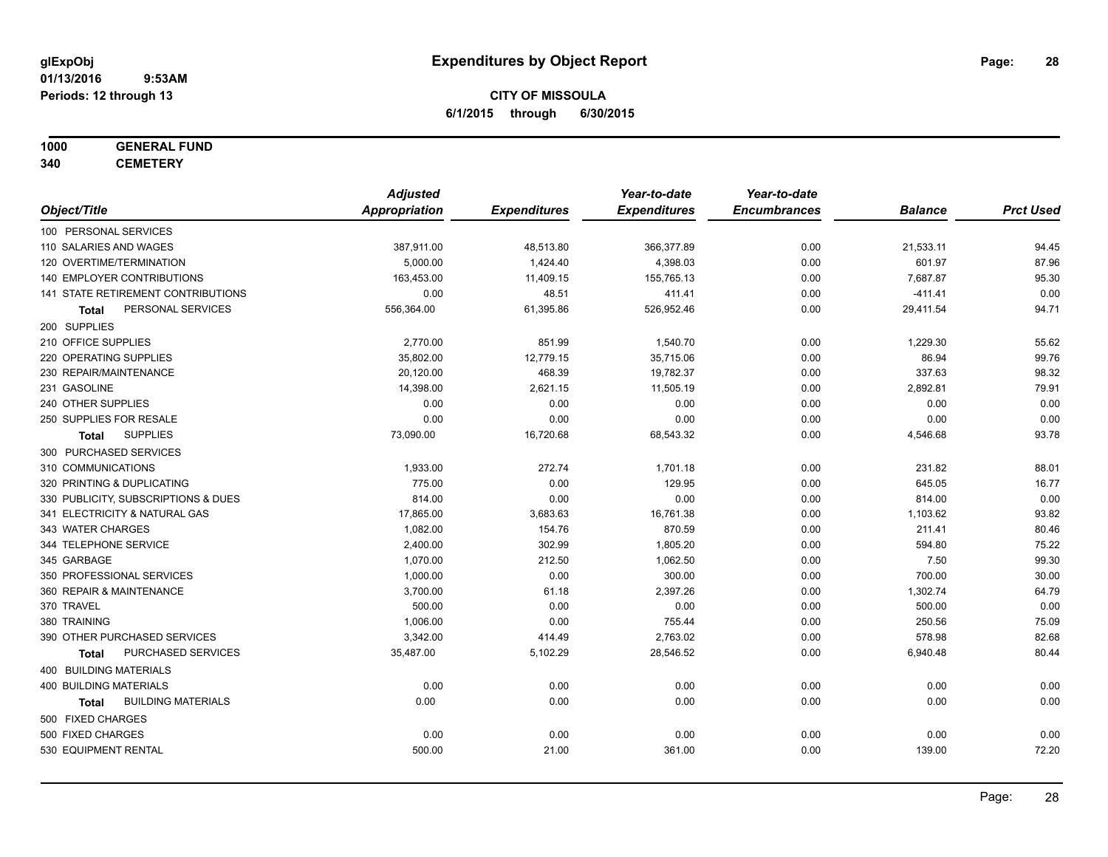## **1000 GENERAL FUND**

**340 CEMETERY**

|                                           | <b>Adjusted</b>      |                     | Year-to-date        | Year-to-date        |                |                  |
|-------------------------------------------|----------------------|---------------------|---------------------|---------------------|----------------|------------------|
| Object/Title                              | <b>Appropriation</b> | <b>Expenditures</b> | <b>Expenditures</b> | <b>Encumbrances</b> | <b>Balance</b> | <b>Prct Used</b> |
| 100 PERSONAL SERVICES                     |                      |                     |                     |                     |                |                  |
| 110 SALARIES AND WAGES                    | 387,911.00           | 48,513.80           | 366,377.89          | 0.00                | 21,533.11      | 94.45            |
| 120 OVERTIME/TERMINATION                  | 5,000.00             | 1,424.40            | 4,398.03            | 0.00                | 601.97         | 87.96            |
| 140 EMPLOYER CONTRIBUTIONS                | 163,453.00           | 11,409.15           | 155,765.13          | 0.00                | 7,687.87       | 95.30            |
| 141 STATE RETIREMENT CONTRIBUTIONS        | 0.00                 | 48.51               | 411.41              | 0.00                | $-411.41$      | 0.00             |
| PERSONAL SERVICES<br><b>Total</b>         | 556,364.00           | 61,395.86           | 526,952.46          | 0.00                | 29,411.54      | 94.71            |
| 200 SUPPLIES                              |                      |                     |                     |                     |                |                  |
| 210 OFFICE SUPPLIES                       | 2,770.00             | 851.99              | 1,540.70            | 0.00                | 1,229.30       | 55.62            |
| 220 OPERATING SUPPLIES                    | 35,802.00            | 12,779.15           | 35,715.06           | 0.00                | 86.94          | 99.76            |
| 230 REPAIR/MAINTENANCE                    | 20,120.00            | 468.39              | 19,782.37           | 0.00                | 337.63         | 98.32            |
| 231 GASOLINE                              | 14,398.00            | 2,621.15            | 11,505.19           | 0.00                | 2,892.81       | 79.91            |
| 240 OTHER SUPPLIES                        | 0.00                 | 0.00                | 0.00                | 0.00                | 0.00           | 0.00             |
| 250 SUPPLIES FOR RESALE                   | 0.00                 | 0.00                | 0.00                | 0.00                | 0.00           | 0.00             |
| <b>SUPPLIES</b><br>Total                  | 73,090.00            | 16,720.68           | 68,543.32           | 0.00                | 4,546.68       | 93.78            |
| 300 PURCHASED SERVICES                    |                      |                     |                     |                     |                |                  |
| 310 COMMUNICATIONS                        | 1,933.00             | 272.74              | 1,701.18            | 0.00                | 231.82         | 88.01            |
| 320 PRINTING & DUPLICATING                | 775.00               | 0.00                | 129.95              | 0.00                | 645.05         | 16.77            |
| 330 PUBLICITY, SUBSCRIPTIONS & DUES       | 814.00               | 0.00                | 0.00                | 0.00                | 814.00         | 0.00             |
| 341 ELECTRICITY & NATURAL GAS             | 17,865.00            | 3,683.63            | 16,761.38           | 0.00                | 1,103.62       | 93.82            |
| 343 WATER CHARGES                         | 1,082.00             | 154.76              | 870.59              | 0.00                | 211.41         | 80.46            |
| 344 TELEPHONE SERVICE                     | 2,400.00             | 302.99              | 1,805.20            | 0.00                | 594.80         | 75.22            |
| 345 GARBAGE                               | 1,070.00             | 212.50              | 1,062.50            | 0.00                | 7.50           | 99.30            |
| 350 PROFESSIONAL SERVICES                 | 1,000.00             | 0.00                | 300.00              | 0.00                | 700.00         | 30.00            |
| 360 REPAIR & MAINTENANCE                  | 3,700.00             | 61.18               | 2,397.26            | 0.00                | 1,302.74       | 64.79            |
| 370 TRAVEL                                | 500.00               | 0.00                | 0.00                | 0.00                | 500.00         | 0.00             |
| 380 TRAINING                              | 1,006.00             | 0.00                | 755.44              | 0.00                | 250.56         | 75.09            |
| 390 OTHER PURCHASED SERVICES              | 3,342.00             | 414.49              | 2,763.02            | 0.00                | 578.98         | 82.68            |
| PURCHASED SERVICES<br><b>Total</b>        | 35,487.00            | 5,102.29            | 28,546.52           | 0.00                | 6,940.48       | 80.44            |
| 400 BUILDING MATERIALS                    |                      |                     |                     |                     |                |                  |
| 400 BUILDING MATERIALS                    | 0.00                 | 0.00                | 0.00                | 0.00                | 0.00           | 0.00             |
| <b>BUILDING MATERIALS</b><br><b>Total</b> | 0.00                 | 0.00                | 0.00                | 0.00                | 0.00           | 0.00             |
| 500 FIXED CHARGES                         |                      |                     |                     |                     |                |                  |
| 500 FIXED CHARGES                         | 0.00                 | 0.00                | 0.00                | 0.00                | 0.00           | 0.00             |
| 530 EQUIPMENT RENTAL                      | 500.00               | 21.00               | 361.00              | 0.00                | 139.00         | 72.20            |
|                                           |                      |                     |                     |                     |                |                  |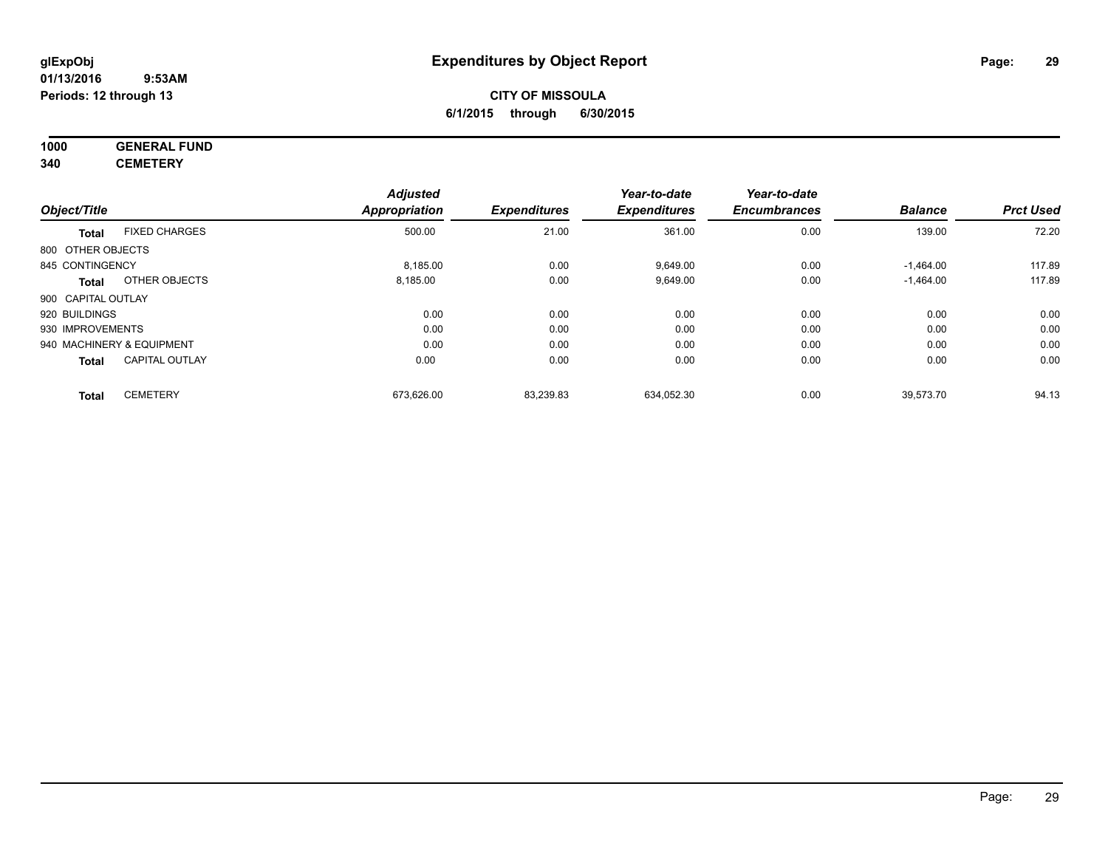#### **01/13/2016 9:53AM Periods: 12 through 13**

## **CITY OF MISSOULA 6/1/2015 through 6/30/2015**

## **1000 GENERAL FUND**

**340 CEMETERY**

|                    |                           | <b>Adjusted</b> |                     | Year-to-date        | Year-to-date        |                |                  |
|--------------------|---------------------------|-----------------|---------------------|---------------------|---------------------|----------------|------------------|
| Object/Title       |                           | Appropriation   | <b>Expenditures</b> | <b>Expenditures</b> | <b>Encumbrances</b> | <b>Balance</b> | <b>Prct Used</b> |
| <b>Total</b>       | <b>FIXED CHARGES</b>      | 500.00          | 21.00               | 361.00              | 0.00                | 139.00         | 72.20            |
| 800 OTHER OBJECTS  |                           |                 |                     |                     |                     |                |                  |
| 845 CONTINGENCY    |                           | 8.185.00        | 0.00                | 9,649.00            | 0.00                | $-1.464.00$    | 117.89           |
| Total              | OTHER OBJECTS             | 8,185.00        | 0.00                | 9,649.00            | 0.00                | $-1,464.00$    | 117.89           |
| 900 CAPITAL OUTLAY |                           |                 |                     |                     |                     |                |                  |
| 920 BUILDINGS      |                           | 0.00            | 0.00                | 0.00                | 0.00                | 0.00           | 0.00             |
| 930 IMPROVEMENTS   |                           | 0.00            | 0.00                | 0.00                | 0.00                | 0.00           | 0.00             |
|                    | 940 MACHINERY & EQUIPMENT | 0.00            | 0.00                | 0.00                | 0.00                | 0.00           | 0.00             |
| <b>Total</b>       | <b>CAPITAL OUTLAY</b>     | 0.00            | 0.00                | 0.00                | 0.00                | 0.00           | 0.00             |
| <b>Total</b>       | <b>CEMETERY</b>           | 673.626.00      | 83,239.83           | 634.052.30          | 0.00                | 39,573.70      | 94.13            |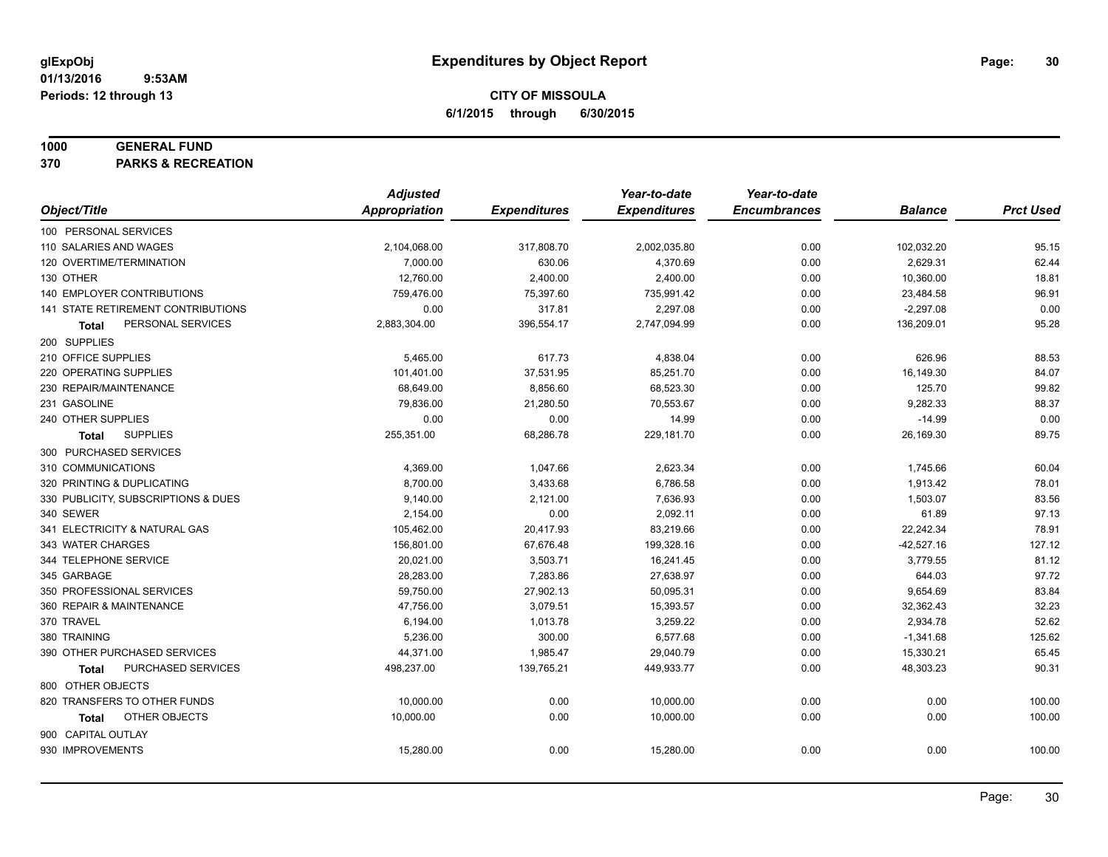#### **1000 GENERAL FUND**

**370 PARKS & RECREATION**

|                                           | <b>Adjusted</b>      |                     | Year-to-date        | Year-to-date        |                |                  |
|-------------------------------------------|----------------------|---------------------|---------------------|---------------------|----------------|------------------|
| Object/Title                              | <b>Appropriation</b> | <b>Expenditures</b> | <b>Expenditures</b> | <b>Encumbrances</b> | <b>Balance</b> | <b>Prct Used</b> |
| 100 PERSONAL SERVICES                     |                      |                     |                     |                     |                |                  |
| 110 SALARIES AND WAGES                    | 2,104,068.00         | 317,808.70          | 2,002,035.80        | 0.00                | 102,032.20     | 95.15            |
| 120 OVERTIME/TERMINATION                  | 7,000.00             | 630.06              | 4,370.69            | 0.00                | 2,629.31       | 62.44            |
| 130 OTHER                                 | 12,760.00            | 2,400.00            | 2,400.00            | 0.00                | 10,360.00      | 18.81            |
| 140 EMPLOYER CONTRIBUTIONS                | 759,476.00           | 75,397.60           | 735,991.42          | 0.00                | 23,484.58      | 96.91            |
| <b>141 STATE RETIREMENT CONTRIBUTIONS</b> | 0.00                 | 317.81              | 2,297.08            | 0.00                | $-2,297.08$    | 0.00             |
| PERSONAL SERVICES<br>Total                | 2,883,304.00         | 396,554.17          | 2,747,094.99        | 0.00                | 136,209.01     | 95.28            |
| 200 SUPPLIES                              |                      |                     |                     |                     |                |                  |
| 210 OFFICE SUPPLIES                       | 5,465.00             | 617.73              | 4,838.04            | 0.00                | 626.96         | 88.53            |
| 220 OPERATING SUPPLIES                    | 101,401.00           | 37,531.95           | 85,251.70           | 0.00                | 16,149.30      | 84.07            |
| 230 REPAIR/MAINTENANCE                    | 68,649.00            | 8,856.60            | 68,523.30           | 0.00                | 125.70         | 99.82            |
| 231 GASOLINE                              | 79,836.00            | 21,280.50           | 70,553.67           | 0.00                | 9,282.33       | 88.37            |
| 240 OTHER SUPPLIES                        | 0.00                 | 0.00                | 14.99               | 0.00                | $-14.99$       | 0.00             |
| <b>SUPPLIES</b><br>Total                  | 255,351.00           | 68,286.78           | 229,181.70          | 0.00                | 26,169.30      | 89.75            |
| 300 PURCHASED SERVICES                    |                      |                     |                     |                     |                |                  |
| 310 COMMUNICATIONS                        | 4,369.00             | 1,047.66            | 2,623.34            | 0.00                | 1,745.66       | 60.04            |
| 320 PRINTING & DUPLICATING                | 8,700.00             | 3,433.68            | 6,786.58            | 0.00                | 1,913.42       | 78.01            |
| 330 PUBLICITY, SUBSCRIPTIONS & DUES       | 9,140.00             | 2,121.00            | 7,636.93            | 0.00                | 1,503.07       | 83.56            |
| 340 SEWER                                 | 2,154.00             | 0.00                | 2,092.11            | 0.00                | 61.89          | 97.13            |
| 341 ELECTRICITY & NATURAL GAS             | 105,462.00           | 20,417.93           | 83,219.66           | 0.00                | 22,242.34      | 78.91            |
| 343 WATER CHARGES                         | 156,801.00           | 67,676.48           | 199,328.16          | 0.00                | $-42,527.16$   | 127.12           |
| 344 TELEPHONE SERVICE                     | 20,021.00            | 3,503.71            | 16,241.45           | 0.00                | 3,779.55       | 81.12            |
| 345 GARBAGE                               | 28,283.00            | 7,283.86            | 27,638.97           | 0.00                | 644.03         | 97.72            |
| 350 PROFESSIONAL SERVICES                 | 59,750.00            | 27,902.13           | 50,095.31           | 0.00                | 9,654.69       | 83.84            |
| 360 REPAIR & MAINTENANCE                  | 47,756.00            | 3,079.51            | 15,393.57           | 0.00                | 32,362.43      | 32.23            |
| 370 TRAVEL                                | 6,194.00             | 1,013.78            | 3,259.22            | 0.00                | 2,934.78       | 52.62            |
| 380 TRAINING                              | 5,236.00             | 300.00              | 6,577.68            | 0.00                | $-1,341.68$    | 125.62           |
| 390 OTHER PURCHASED SERVICES              | 44,371.00            | 1,985.47            | 29,040.79           | 0.00                | 15,330.21      | 65.45            |
| PURCHASED SERVICES<br><b>Total</b>        | 498,237.00           | 139,765.21          | 449,933.77          | 0.00                | 48,303.23      | 90.31            |
| 800 OTHER OBJECTS                         |                      |                     |                     |                     |                |                  |
| 820 TRANSFERS TO OTHER FUNDS              | 10,000.00            | 0.00                | 10,000.00           | 0.00                | 0.00           | 100.00           |
| OTHER OBJECTS<br>Total                    | 10,000.00            | 0.00                | 10,000.00           | 0.00                | 0.00           | 100.00           |
| 900 CAPITAL OUTLAY                        |                      |                     |                     |                     |                |                  |
| 930 IMPROVEMENTS                          | 15,280.00            | 0.00                | 15,280.00           | 0.00                | 0.00           | 100.00           |
|                                           |                      |                     |                     |                     |                |                  |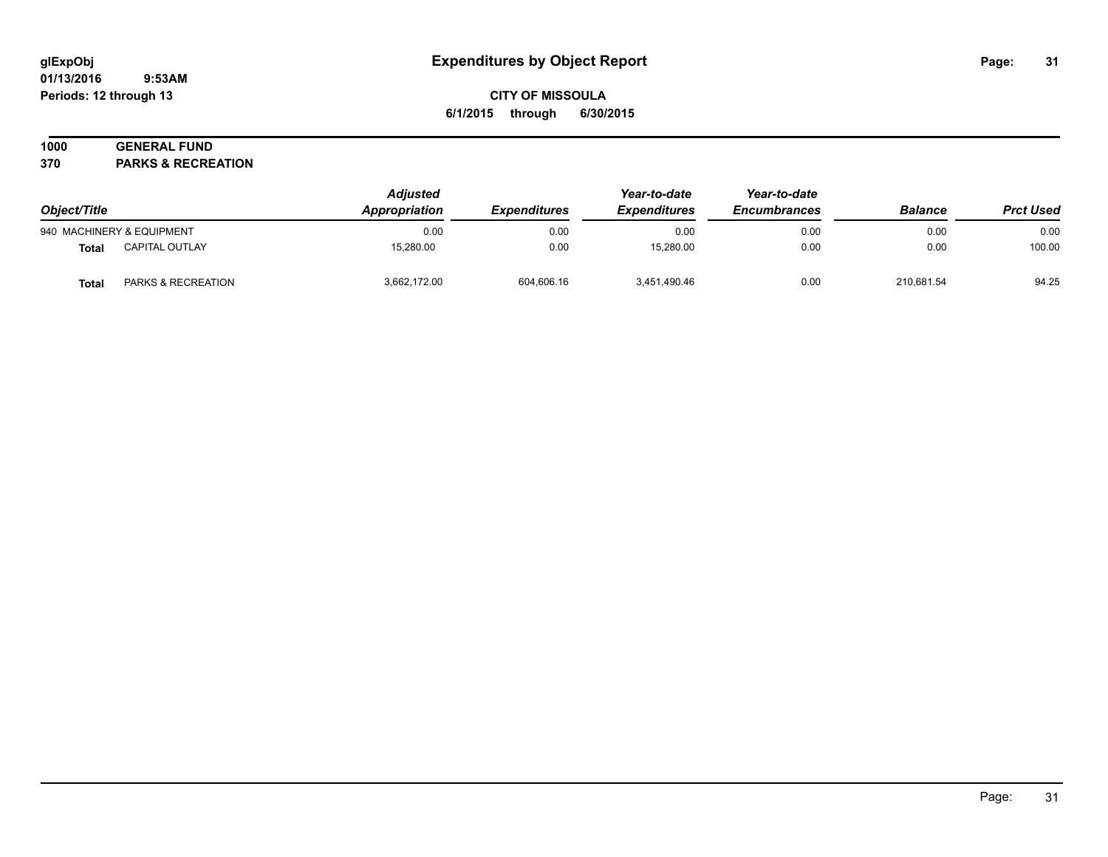#### **01/13/2016 9:53AM Periods: 12 through 13**

## **CITY OF MISSOULA 6/1/2015 through 6/30/2015**

## **1000 GENERAL FUND**

**370 PARKS & RECREATION**

| Object/Title              |                               | <b>Adjusted</b><br>Appropriation<br><b>Expenditures</b> | Year-to-date<br><b>Expenditures</b> | Year-to-date<br><b>Encumbrances</b> | <b>Balance</b> | <b>Prct Used</b> |        |
|---------------------------|-------------------------------|---------------------------------------------------------|-------------------------------------|-------------------------------------|----------------|------------------|--------|
| 940 MACHINERY & EQUIPMENT |                               | 0.00                                                    | 0.00                                | 0.00                                | 0.00           | 0.00             | 0.00   |
| Total                     | <b>CAPITAL OUTLAY</b>         | 15.280.00                                               | 0.00                                | 15.280.00                           | 0.00           | 0.00             | 100.00 |
| Total                     | <b>PARKS &amp; RECREATION</b> | 3.662.172.00                                            | 604,606.16                          | 3,451,490.46                        | 0.00           | 210.681.54       | 94.25  |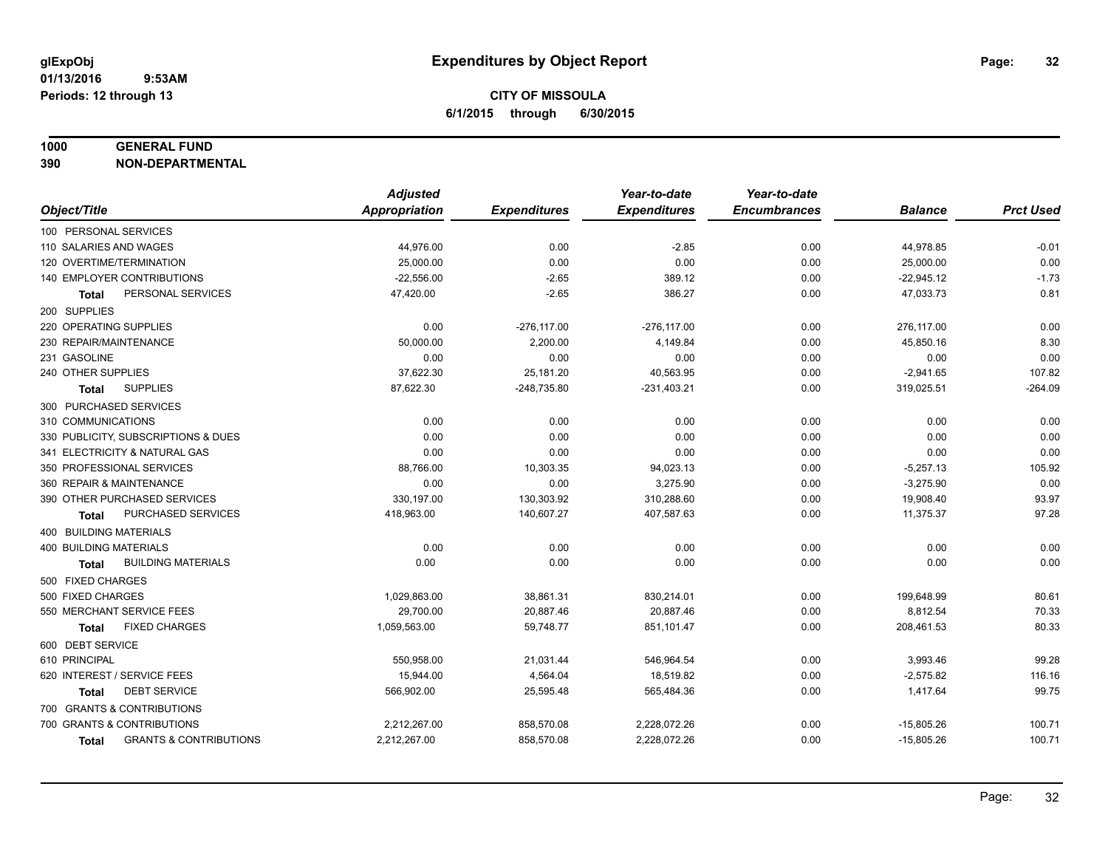#### **1000 GENERAL FUND**

**390 NON-DEPARTMENTAL**

|                                                   | <b>Adjusted</b>      |                     | Year-to-date        | Year-to-date        |                |                  |
|---------------------------------------------------|----------------------|---------------------|---------------------|---------------------|----------------|------------------|
| Object/Title                                      | <b>Appropriation</b> | <b>Expenditures</b> | <b>Expenditures</b> | <b>Encumbrances</b> | <b>Balance</b> | <b>Prct Used</b> |
| 100 PERSONAL SERVICES                             |                      |                     |                     |                     |                |                  |
| 110 SALARIES AND WAGES                            | 44,976.00            | 0.00                | $-2.85$             | 0.00                | 44,978.85      | $-0.01$          |
| 120 OVERTIME/TERMINATION                          | 25,000.00            | 0.00                | 0.00                | 0.00                | 25,000.00      | 0.00             |
| 140 EMPLOYER CONTRIBUTIONS                        | $-22,556.00$         | $-2.65$             | 389.12              | 0.00                | $-22,945.12$   | $-1.73$          |
| PERSONAL SERVICES<br>Total                        | 47,420.00            | $-2.65$             | 386.27              | 0.00                | 47,033.73      | 0.81             |
| 200 SUPPLIES                                      |                      |                     |                     |                     |                |                  |
| 220 OPERATING SUPPLIES                            | 0.00                 | $-276, 117.00$      | $-276, 117.00$      | 0.00                | 276,117.00     | 0.00             |
| 230 REPAIR/MAINTENANCE                            | 50,000.00            | 2,200.00            | 4,149.84            | 0.00                | 45,850.16      | 8.30             |
| 231 GASOLINE                                      | 0.00                 | 0.00                | 0.00                | 0.00                | 0.00           | 0.00             |
| 240 OTHER SUPPLIES                                | 37,622.30            | 25,181.20           | 40,563.95           | 0.00                | $-2,941.65$    | 107.82           |
| <b>SUPPLIES</b><br><b>Total</b>                   | 87,622.30            | $-248,735.80$       | $-231,403.21$       | 0.00                | 319,025.51     | $-264.09$        |
| 300 PURCHASED SERVICES                            |                      |                     |                     |                     |                |                  |
| 310 COMMUNICATIONS                                | 0.00                 | 0.00                | 0.00                | 0.00                | 0.00           | 0.00             |
| 330 PUBLICITY, SUBSCRIPTIONS & DUES               | 0.00                 | 0.00                | 0.00                | 0.00                | 0.00           | 0.00             |
| 341 ELECTRICITY & NATURAL GAS                     | 0.00                 | 0.00                | 0.00                | 0.00                | 0.00           | 0.00             |
| 350 PROFESSIONAL SERVICES                         | 88,766.00            | 10,303.35           | 94,023.13           | 0.00                | $-5,257.13$    | 105.92           |
| 360 REPAIR & MAINTENANCE                          | 0.00                 | 0.00                | 3,275.90            | 0.00                | $-3,275.90$    | 0.00             |
| 390 OTHER PURCHASED SERVICES                      | 330,197.00           | 130,303.92          | 310,288.60          | 0.00                | 19,908.40      | 93.97            |
| PURCHASED SERVICES<br>Total                       | 418,963.00           | 140,607.27          | 407,587.63          | 0.00                | 11,375.37      | 97.28            |
| 400 BUILDING MATERIALS                            |                      |                     |                     |                     |                |                  |
| <b>400 BUILDING MATERIALS</b>                     | 0.00                 | 0.00                | 0.00                | 0.00                | 0.00           | 0.00             |
| <b>BUILDING MATERIALS</b><br><b>Total</b>         | 0.00                 | 0.00                | 0.00                | 0.00                | 0.00           | 0.00             |
| 500 FIXED CHARGES                                 |                      |                     |                     |                     |                |                  |
| 500 FIXED CHARGES                                 | 1,029,863.00         | 38,861.31           | 830,214.01          | 0.00                | 199,648.99     | 80.61            |
| 550 MERCHANT SERVICE FEES                         | 29.700.00            | 20,887.46           | 20.887.46           | 0.00                | 8,812.54       | 70.33            |
| <b>FIXED CHARGES</b><br>Total                     | 1,059,563.00         | 59,748.77           | 851,101.47          | 0.00                | 208,461.53     | 80.33            |
| 600 DEBT SERVICE                                  |                      |                     |                     |                     |                |                  |
| 610 PRINCIPAL                                     | 550,958.00           | 21,031.44           | 546,964.54          | 0.00                | 3,993.46       | 99.28            |
| 620 INTEREST / SERVICE FEES                       | 15,944.00            | 4,564.04            | 18,519.82           | 0.00                | $-2,575.82$    | 116.16           |
| <b>DEBT SERVICE</b><br>Total                      | 566,902.00           | 25,595.48           | 565,484.36          | 0.00                | 1,417.64       | 99.75            |
| 700 GRANTS & CONTRIBUTIONS                        |                      |                     |                     |                     |                |                  |
| 700 GRANTS & CONTRIBUTIONS                        | 2,212,267.00         | 858,570.08          | 2,228,072.26        | 0.00                | $-15,805.26$   | 100.71           |
| <b>GRANTS &amp; CONTRIBUTIONS</b><br><b>Total</b> | 2,212,267.00         | 858,570.08          | 2,228,072.26        | 0.00                | $-15,805.26$   | 100.71           |
|                                                   |                      |                     |                     |                     |                |                  |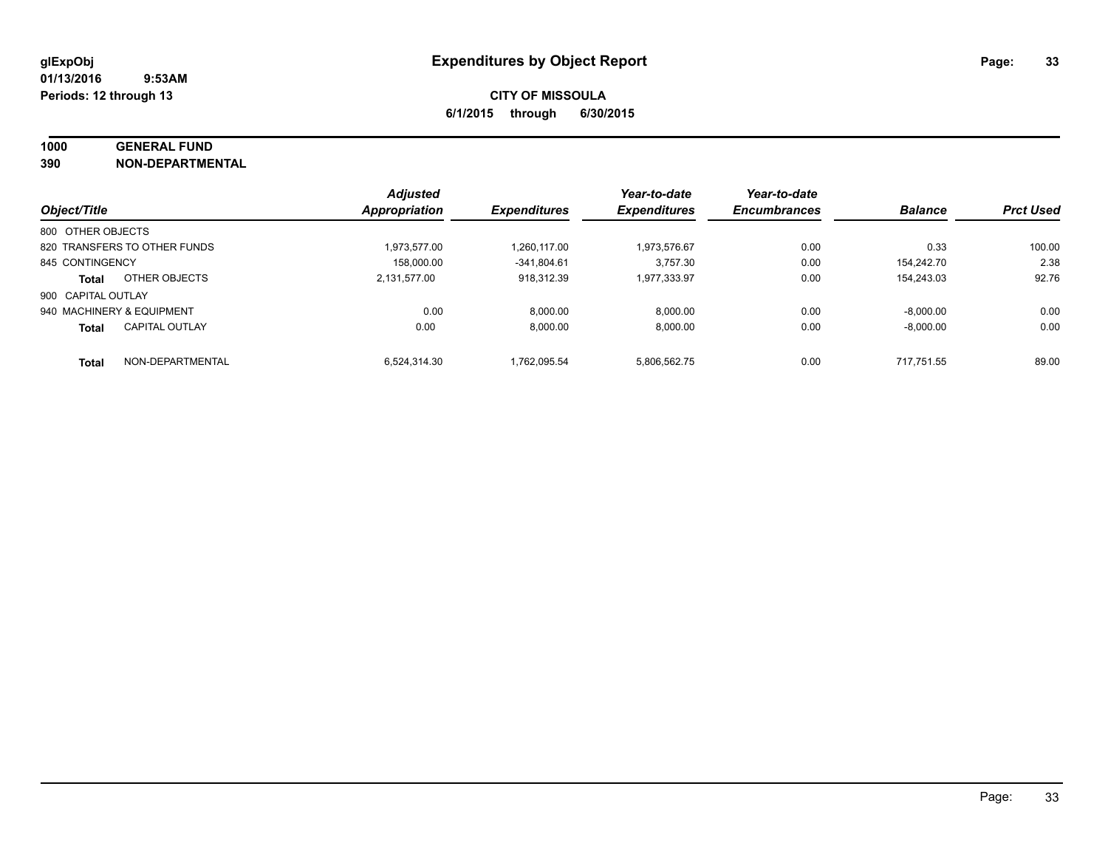## **1000 GENERAL FUND**

**390 NON-DEPARTMENTAL**

| Object/Title              |                              | <b>Adjusted</b>      |                     | Year-to-date        | Year-to-date<br><b>Encumbrances</b> |                | <b>Prct Used</b> |
|---------------------------|------------------------------|----------------------|---------------------|---------------------|-------------------------------------|----------------|------------------|
|                           |                              | <b>Appropriation</b> | <b>Expenditures</b> | <b>Expenditures</b> |                                     | <b>Balance</b> |                  |
| 800 OTHER OBJECTS         |                              |                      |                     |                     |                                     |                |                  |
|                           | 820 TRANSFERS TO OTHER FUNDS | 1.973.577.00         | 1.260.117.00        | 1.973.576.67        | 0.00                                | 0.33           | 100.00           |
| 845 CONTINGENCY           |                              | 158.000.00           | $-341.804.61$       | 3.757.30            | 0.00                                | 154.242.70     | 2.38             |
| <b>Total</b>              | OTHER OBJECTS                | 2,131,577.00         | 918.312.39          | 1,977,333.97        | 0.00                                | 154.243.03     | 92.76            |
| 900 CAPITAL OUTLAY        |                              |                      |                     |                     |                                     |                |                  |
| 940 MACHINERY & EQUIPMENT |                              | 0.00                 | 8,000.00            | 8,000.00            | 0.00                                | $-8.000.00$    | 0.00             |
| <b>Total</b>              | <b>CAPITAL OUTLAY</b>        | 0.00                 | 8.000.00            | 8.000.00            | 0.00                                | $-8.000.00$    | 0.00             |
| <b>Total</b>              | NON-DEPARTMENTAL             | 6.524.314.30         | 1.762.095.54        | 5.806.562.75        | 0.00                                | 717.751.55     | 89.00            |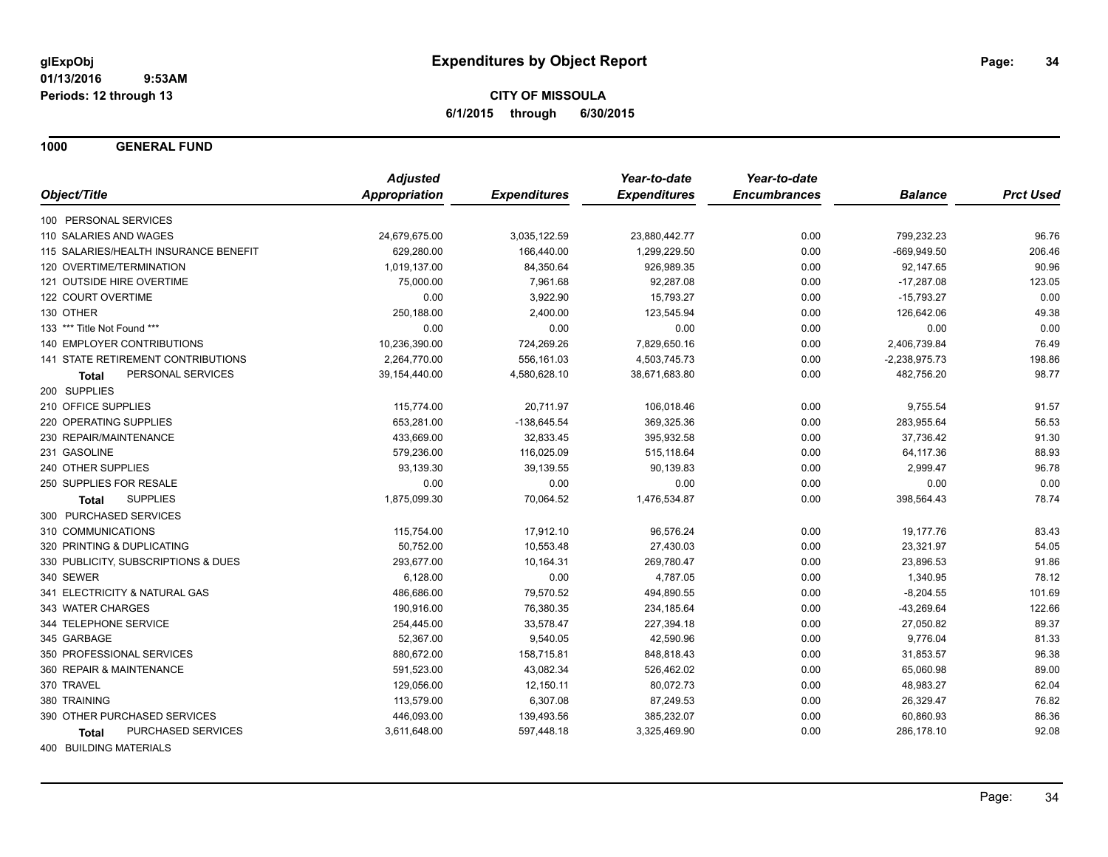**1000 GENERAL FUND**

|                                       | <b>Adjusted</b>      |                     | Year-to-date        | Year-to-date        |                 |                  |
|---------------------------------------|----------------------|---------------------|---------------------|---------------------|-----------------|------------------|
| Object/Title                          | <b>Appropriation</b> | <b>Expenditures</b> | <b>Expenditures</b> | <b>Encumbrances</b> | <b>Balance</b>  | <b>Prct Used</b> |
| 100 PERSONAL SERVICES                 |                      |                     |                     |                     |                 |                  |
| 110 SALARIES AND WAGES                | 24,679,675.00        | 3,035,122.59        | 23,880,442.77       | 0.00                | 799,232.23      | 96.76            |
| 115 SALARIES/HEALTH INSURANCE BENEFIT | 629,280.00           | 166,440.00          | 1,299,229.50        | 0.00                | $-669,949.50$   | 206.46           |
| 120 OVERTIME/TERMINATION              | 1,019,137.00         | 84,350.64           | 926,989.35          | 0.00                | 92,147.65       | 90.96            |
| 121 OUTSIDE HIRE OVERTIME             | 75,000.00            | 7,961.68            | 92,287.08           | 0.00                | $-17,287.08$    | 123.05           |
| 122 COURT OVERTIME                    | 0.00                 | 3,922.90            | 15,793.27           | 0.00                | $-15,793.27$    | 0.00             |
| 130 OTHER                             | 250,188.00           | 2,400.00            | 123,545.94          | 0.00                | 126,642.06      | 49.38            |
| 133 *** Title Not Found ***           | 0.00                 | 0.00                | 0.00                | 0.00                | 0.00            | 0.00             |
| <b>140 EMPLOYER CONTRIBUTIONS</b>     | 10,236,390.00        | 724,269.26          | 7,829,650.16        | 0.00                | 2,406,739.84    | 76.49            |
| 141 STATE RETIREMENT CONTRIBUTIONS    | 2,264,770.00         | 556,161.03          | 4,503,745.73        | 0.00                | $-2,238,975.73$ | 198.86           |
| PERSONAL SERVICES<br>Total            | 39,154,440.00        | 4,580,628.10        | 38,671,683.80       | 0.00                | 482,756.20      | 98.77            |
| 200 SUPPLIES                          |                      |                     |                     |                     |                 |                  |
| 210 OFFICE SUPPLIES                   | 115,774.00           | 20,711.97           | 106,018.46          | 0.00                | 9,755.54        | 91.57            |
| 220 OPERATING SUPPLIES                | 653,281.00           | $-138,645.54$       | 369,325.36          | 0.00                | 283,955.64      | 56.53            |
| 230 REPAIR/MAINTENANCE                | 433,669.00           | 32,833.45           | 395,932.58          | 0.00                | 37,736.42       | 91.30            |
| 231 GASOLINE                          | 579,236.00           | 116,025.09          | 515,118.64          | 0.00                | 64,117.36       | 88.93            |
| 240 OTHER SUPPLIES                    | 93,139.30            | 39,139.55           | 90,139.83           | 0.00                | 2,999.47        | 96.78            |
| 250 SUPPLIES FOR RESALE               | 0.00                 | 0.00                | 0.00                | 0.00                | 0.00            | 0.00             |
| <b>SUPPLIES</b><br><b>Total</b>       | 1,875,099.30         | 70,064.52           | 1,476,534.87        | 0.00                | 398,564.43      | 78.74            |
| 300 PURCHASED SERVICES                |                      |                     |                     |                     |                 |                  |
| 310 COMMUNICATIONS                    | 115,754.00           | 17,912.10           | 96,576.24           | 0.00                | 19,177.76       | 83.43            |
| 320 PRINTING & DUPLICATING            | 50,752.00            | 10,553.48           | 27,430.03           | 0.00                | 23,321.97       | 54.05            |
| 330 PUBLICITY, SUBSCRIPTIONS & DUES   | 293,677.00           | 10,164.31           | 269,780.47          | 0.00                | 23,896.53       | 91.86            |
| 340 SEWER                             | 6,128.00             | 0.00                | 4,787.05            | 0.00                | 1,340.95        | 78.12            |
| 341 ELECTRICITY & NATURAL GAS         | 486,686.00           | 79,570.52           | 494,890.55          | 0.00                | $-8,204.55$     | 101.69           |
| 343 WATER CHARGES                     | 190,916.00           | 76,380.35           | 234,185.64          | 0.00                | $-43,269.64$    | 122.66           |
| 344 TELEPHONE SERVICE                 | 254,445.00           | 33,578.47           | 227,394.18          | 0.00                | 27,050.82       | 89.37            |
| 345 GARBAGE                           | 52,367.00            | 9,540.05            | 42,590.96           | 0.00                | 9,776.04        | 81.33            |
| 350 PROFESSIONAL SERVICES             | 880,672.00           | 158,715.81          | 848,818.43          | 0.00                | 31,853.57       | 96.38            |
| 360 REPAIR & MAINTENANCE              | 591,523.00           | 43,082.34           | 526,462.02          | 0.00                | 65,060.98       | 89.00            |
| 370 TRAVEL                            | 129,056.00           | 12,150.11           | 80,072.73           | 0.00                | 48,983.27       | 62.04            |
| 380 TRAINING                          | 113,579.00           | 6,307.08            | 87,249.53           | 0.00                | 26,329.47       | 76.82            |
| 390 OTHER PURCHASED SERVICES          | 446,093.00           | 139,493.56          | 385,232.07          | 0.00                | 60,860.93       | 86.36            |
| PURCHASED SERVICES<br><b>Total</b>    | 3,611,648.00         | 597,448.18          | 3,325,469.90        | 0.00                | 286,178.10      | 92.08            |
| 400 BUILDING MATERIALS                |                      |                     |                     |                     |                 |                  |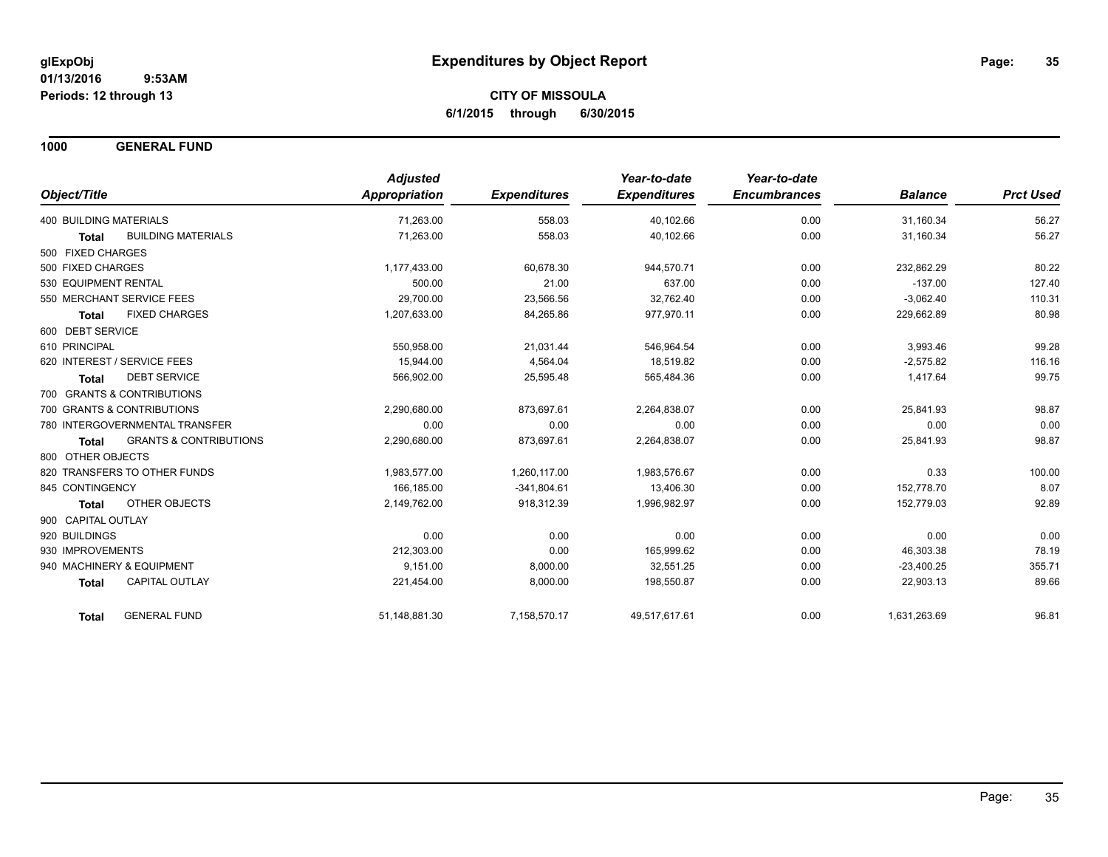**1000 GENERAL FUND**

| Object/Title                   |                                   | <b>Adjusted</b><br><b>Appropriation</b> | <b>Expenditures</b> | Year-to-date<br><b>Expenditures</b> | Year-to-date<br><b>Encumbrances</b> | <b>Balance</b> | <b>Prct Used</b> |
|--------------------------------|-----------------------------------|-----------------------------------------|---------------------|-------------------------------------|-------------------------------------|----------------|------------------|
| <b>400 BUILDING MATERIALS</b>  |                                   | 71,263.00                               | 558.03              | 40,102.66                           | 0.00                                | 31,160.34      | 56.27            |
| <b>Total</b>                   | <b>BUILDING MATERIALS</b>         | 71.263.00                               | 558.03              | 40,102.66                           | 0.00                                | 31,160.34      | 56.27            |
| 500 FIXED CHARGES              |                                   |                                         |                     |                                     |                                     |                |                  |
| 500 FIXED CHARGES              |                                   | 1,177,433.00                            | 60,678.30           | 944,570.71                          | 0.00                                | 232,862.29     | 80.22            |
| 530 EQUIPMENT RENTAL           |                                   | 500.00                                  | 21.00               | 637.00                              | 0.00                                | $-137.00$      | 127.40           |
| 550 MERCHANT SERVICE FEES      |                                   | 29,700.00                               | 23,566.56           | 32,762.40                           | 0.00                                | $-3,062.40$    | 110.31           |
| <b>Total</b>                   | <b>FIXED CHARGES</b>              | 1,207,633.00                            | 84,265.86           | 977,970.11                          | 0.00                                | 229,662.89     | 80.98            |
| 600 DEBT SERVICE               |                                   |                                         |                     |                                     |                                     |                |                  |
| 610 PRINCIPAL                  |                                   | 550,958.00                              | 21,031.44           | 546,964.54                          | 0.00                                | 3,993.46       | 99.28            |
| 620 INTEREST / SERVICE FEES    |                                   | 15,944.00                               | 4,564.04            | 18.519.82                           | 0.00                                | $-2,575.82$    | 116.16           |
| <b>Total</b>                   | <b>DEBT SERVICE</b>               | 566,902.00                              | 25,595.48           | 565,484.36                          | 0.00                                | 1,417.64       | 99.75            |
| 700 GRANTS & CONTRIBUTIONS     |                                   |                                         |                     |                                     |                                     |                |                  |
| 700 GRANTS & CONTRIBUTIONS     |                                   | 2.290.680.00                            | 873.697.61          | 2.264.838.07                        | 0.00                                | 25.841.93      | 98.87            |
| 780 INTERGOVERNMENTAL TRANSFER |                                   | 0.00                                    | 0.00                | 0.00                                | 0.00                                | 0.00           | 0.00             |
| <b>Total</b>                   | <b>GRANTS &amp; CONTRIBUTIONS</b> | 2,290,680.00                            | 873,697.61          | 2,264,838.07                        | 0.00                                | 25,841.93      | 98.87            |
| 800 OTHER OBJECTS              |                                   |                                         |                     |                                     |                                     |                |                  |
| 820 TRANSFERS TO OTHER FUNDS   |                                   | 1,983,577.00                            | 1,260,117.00        | 1,983,576.67                        | 0.00                                | 0.33           | 100.00           |
| 845 CONTINGENCY                |                                   | 166,185.00                              | $-341,804.61$       | 13,406.30                           | 0.00                                | 152,778.70     | 8.07             |
| <b>Total</b>                   | <b>OTHER OBJECTS</b>              | 2,149,762.00                            | 918,312.39          | 1,996,982.97                        | 0.00                                | 152,779.03     | 92.89            |
| 900 CAPITAL OUTLAY             |                                   |                                         |                     |                                     |                                     |                |                  |
| 920 BUILDINGS                  |                                   | 0.00                                    | 0.00                | 0.00                                | 0.00                                | 0.00           | 0.00             |
| 930 IMPROVEMENTS               |                                   | 212,303.00                              | 0.00                | 165,999.62                          | 0.00                                | 46,303.38      | 78.19            |
| 940 MACHINERY & EQUIPMENT      |                                   | 9,151.00                                | 8,000.00            | 32,551.25                           | 0.00                                | $-23,400.25$   | 355.71           |
| <b>Total</b>                   | <b>CAPITAL OUTLAY</b>             | 221,454.00                              | 8,000.00            | 198,550.87                          | 0.00                                | 22,903.13      | 89.66            |
| Total                          | <b>GENERAL FUND</b>               | 51,148,881.30                           | 7,158,570.17        | 49,517,617.61                       | 0.00                                | 1,631,263.69   | 96.81            |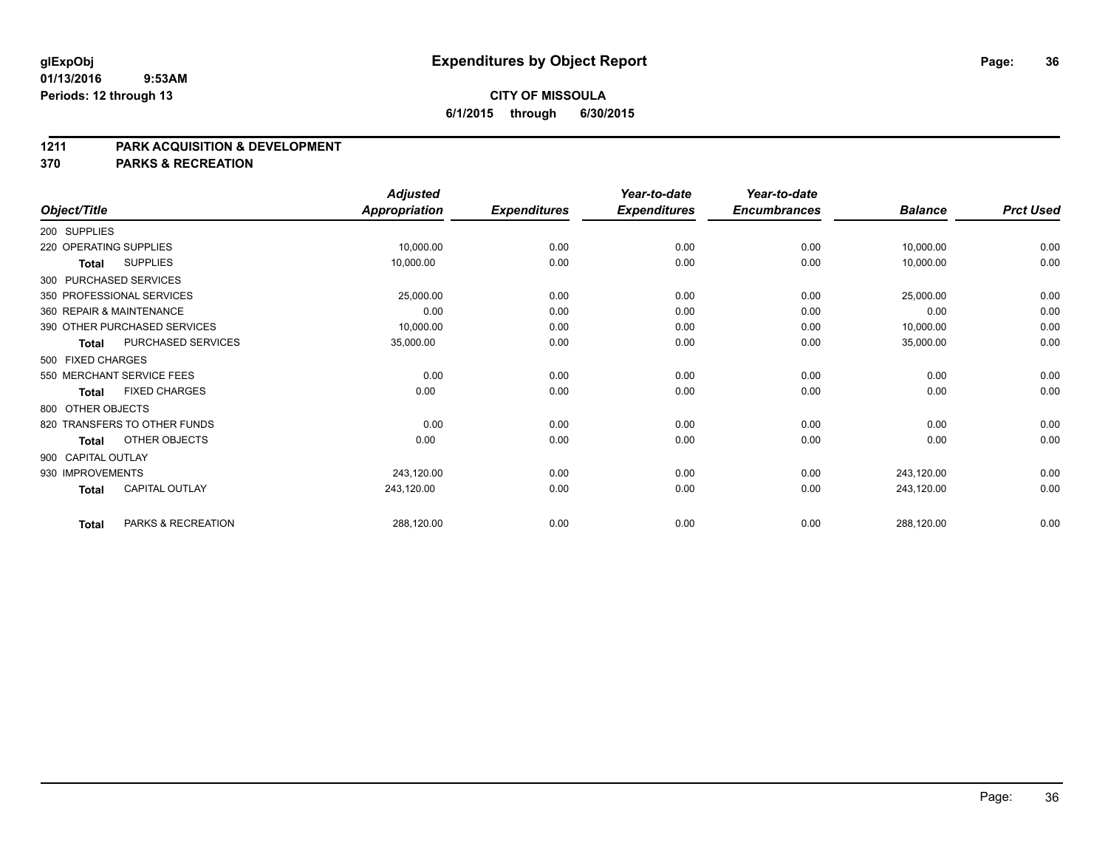#### **01/13/2016 9:53AM Periods: 12 through 13**

### **CITY OF MISSOULA 6/1/2015 through 6/30/2015**

#### **1211 PARK ACQUISITION & DEVELOPMENT**

#### **370 PARKS & RECREATION**

| Object/Title           |                              | <b>Adjusted</b><br><b>Appropriation</b> | <b>Expenditures</b> | Year-to-date<br><b>Expenditures</b> | Year-to-date<br><b>Encumbrances</b> | <b>Balance</b> | <b>Prct Used</b> |
|------------------------|------------------------------|-----------------------------------------|---------------------|-------------------------------------|-------------------------------------|----------------|------------------|
| 200 SUPPLIES           |                              |                                         |                     |                                     |                                     |                |                  |
| 220 OPERATING SUPPLIES |                              | 10,000.00                               | 0.00                | 0.00                                | 0.00                                | 10,000.00      | 0.00             |
| Total                  | <b>SUPPLIES</b>              | 10,000.00                               | 0.00                | 0.00                                | 0.00                                | 10,000.00      | 0.00             |
|                        | 300 PURCHASED SERVICES       |                                         |                     |                                     |                                     |                |                  |
|                        | 350 PROFESSIONAL SERVICES    | 25,000.00                               | 0.00                | 0.00                                | 0.00                                | 25,000.00      | 0.00             |
|                        | 360 REPAIR & MAINTENANCE     | 0.00                                    | 0.00                | 0.00                                | 0.00                                | 0.00           | 0.00             |
|                        | 390 OTHER PURCHASED SERVICES | 10,000.00                               | 0.00                | 0.00                                | 0.00                                | 10,000.00      | 0.00             |
| Total                  | PURCHASED SERVICES           | 35,000.00                               | 0.00                | 0.00                                | 0.00                                | 35,000.00      | 0.00             |
| 500 FIXED CHARGES      |                              |                                         |                     |                                     |                                     |                |                  |
|                        | 550 MERCHANT SERVICE FEES    | 0.00                                    | 0.00                | 0.00                                | 0.00                                | 0.00           | 0.00             |
| <b>Total</b>           | <b>FIXED CHARGES</b>         | 0.00                                    | 0.00                | 0.00                                | 0.00                                | 0.00           | 0.00             |
| 800 OTHER OBJECTS      |                              |                                         |                     |                                     |                                     |                |                  |
|                        | 820 TRANSFERS TO OTHER FUNDS | 0.00                                    | 0.00                | 0.00                                | 0.00                                | 0.00           | 0.00             |
| Total                  | OTHER OBJECTS                | 0.00                                    | 0.00                | 0.00                                | 0.00                                | 0.00           | 0.00             |
| 900 CAPITAL OUTLAY     |                              |                                         |                     |                                     |                                     |                |                  |
| 930 IMPROVEMENTS       |                              | 243,120.00                              | 0.00                | 0.00                                | 0.00                                | 243,120.00     | 0.00             |
| <b>Total</b>           | <b>CAPITAL OUTLAY</b>        | 243,120.00                              | 0.00                | 0.00                                | 0.00                                | 243,120.00     | 0.00             |
| <b>Total</b>           | PARKS & RECREATION           | 288,120.00                              | 0.00                | 0.00                                | 0.00                                | 288,120.00     | 0.00             |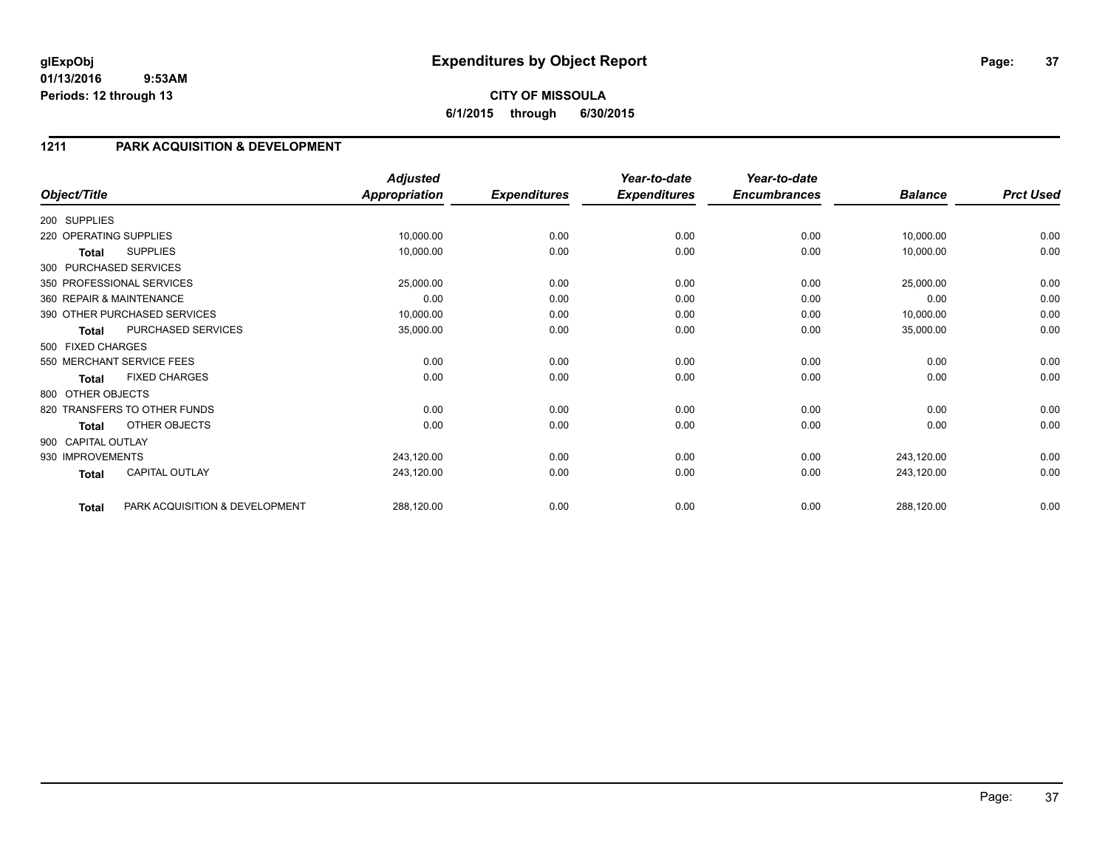**CITY OF MISSOULA 6/1/2015 through 6/30/2015**

## **1211 PARK ACQUISITION & DEVELOPMENT**

|                        |                                | <b>Adjusted</b>      |                     | Year-to-date        | Year-to-date        |                |                  |
|------------------------|--------------------------------|----------------------|---------------------|---------------------|---------------------|----------------|------------------|
| Object/Title           |                                | <b>Appropriation</b> | <b>Expenditures</b> | <b>Expenditures</b> | <b>Encumbrances</b> | <b>Balance</b> | <b>Prct Used</b> |
| 200 SUPPLIES           |                                |                      |                     |                     |                     |                |                  |
| 220 OPERATING SUPPLIES |                                | 10,000.00            | 0.00                | 0.00                | 0.00                | 10,000.00      | 0.00             |
| Total                  | <b>SUPPLIES</b>                | 10,000.00            | 0.00                | 0.00                | 0.00                | 10,000.00      | 0.00             |
|                        | 300 PURCHASED SERVICES         |                      |                     |                     |                     |                |                  |
|                        | 350 PROFESSIONAL SERVICES      | 25,000.00            | 0.00                | 0.00                | 0.00                | 25,000.00      | 0.00             |
|                        | 360 REPAIR & MAINTENANCE       | 0.00                 | 0.00                | 0.00                | 0.00                | 0.00           | 0.00             |
|                        | 390 OTHER PURCHASED SERVICES   | 10,000.00            | 0.00                | 0.00                | 0.00                | 10,000.00      | 0.00             |
| <b>Total</b>           | PURCHASED SERVICES             | 35,000.00            | 0.00                | 0.00                | 0.00                | 35,000.00      | 0.00             |
| 500 FIXED CHARGES      |                                |                      |                     |                     |                     |                |                  |
|                        | 550 MERCHANT SERVICE FEES      | 0.00                 | 0.00                | 0.00                | 0.00                | 0.00           | 0.00             |
| Total                  | <b>FIXED CHARGES</b>           | 0.00                 | 0.00                | 0.00                | 0.00                | 0.00           | 0.00             |
| 800 OTHER OBJECTS      |                                |                      |                     |                     |                     |                |                  |
|                        | 820 TRANSFERS TO OTHER FUNDS   | 0.00                 | 0.00                | 0.00                | 0.00                | 0.00           | 0.00             |
| <b>Total</b>           | OTHER OBJECTS                  | 0.00                 | 0.00                | 0.00                | 0.00                | 0.00           | 0.00             |
| 900 CAPITAL OUTLAY     |                                |                      |                     |                     |                     |                |                  |
| 930 IMPROVEMENTS       |                                | 243,120.00           | 0.00                | 0.00                | 0.00                | 243,120.00     | 0.00             |
| <b>Total</b>           | <b>CAPITAL OUTLAY</b>          | 243,120.00           | 0.00                | 0.00                | 0.00                | 243,120.00     | 0.00             |
| <b>Total</b>           | PARK ACQUISITION & DEVELOPMENT | 288,120.00           | 0.00                | 0.00                | 0.00                | 288,120.00     | 0.00             |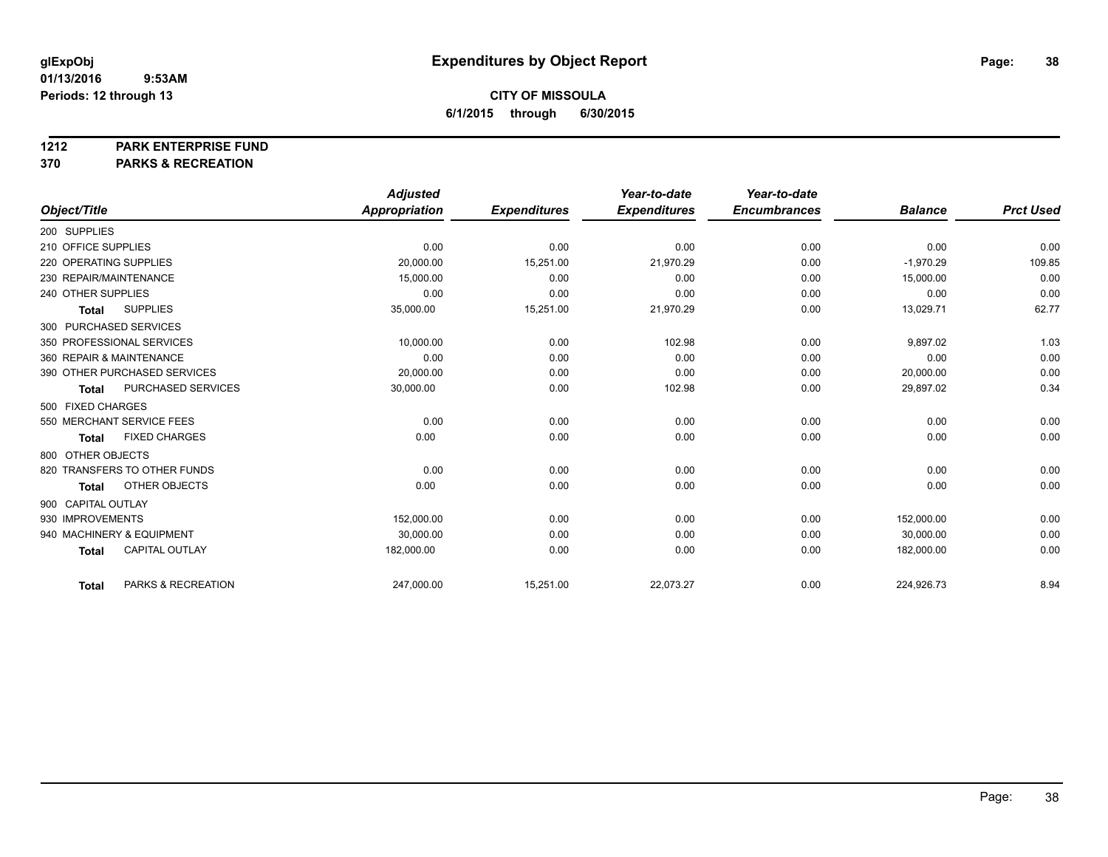#### **1212 PARK ENTERPRISE FUND**

**370 PARKS & RECREATION**

|                        |                              | <b>Adjusted</b> |                     | Year-to-date        | Year-to-date        |                |                  |
|------------------------|------------------------------|-----------------|---------------------|---------------------|---------------------|----------------|------------------|
| Object/Title           |                              | Appropriation   | <b>Expenditures</b> | <b>Expenditures</b> | <b>Encumbrances</b> | <b>Balance</b> | <b>Prct Used</b> |
| 200 SUPPLIES           |                              |                 |                     |                     |                     |                |                  |
| 210 OFFICE SUPPLIES    |                              | 0.00            | 0.00                | 0.00                | 0.00                | 0.00           | 0.00             |
| 220 OPERATING SUPPLIES |                              | 20,000.00       | 15,251.00           | 21,970.29           | 0.00                | $-1,970.29$    | 109.85           |
| 230 REPAIR/MAINTENANCE |                              | 15,000.00       | 0.00                | 0.00                | 0.00                | 15,000.00      | 0.00             |
| 240 OTHER SUPPLIES     |                              | 0.00            | 0.00                | 0.00                | 0.00                | 0.00           | 0.00             |
| <b>Total</b>           | <b>SUPPLIES</b>              | 35,000.00       | 15,251.00           | 21,970.29           | 0.00                | 13,029.71      | 62.77            |
|                        | 300 PURCHASED SERVICES       |                 |                     |                     |                     |                |                  |
|                        | 350 PROFESSIONAL SERVICES    | 10,000.00       | 0.00                | 102.98              | 0.00                | 9,897.02       | 1.03             |
|                        | 360 REPAIR & MAINTENANCE     | 0.00            | 0.00                | 0.00                | 0.00                | 0.00           | 0.00             |
|                        | 390 OTHER PURCHASED SERVICES | 20,000.00       | 0.00                | 0.00                | 0.00                | 20,000.00      | 0.00             |
| Total                  | <b>PURCHASED SERVICES</b>    | 30,000.00       | 0.00                | 102.98              | 0.00                | 29,897.02      | 0.34             |
| 500 FIXED CHARGES      |                              |                 |                     |                     |                     |                |                  |
|                        | 550 MERCHANT SERVICE FEES    | 0.00            | 0.00                | 0.00                | 0.00                | 0.00           | 0.00             |
| Total                  | <b>FIXED CHARGES</b>         | 0.00            | 0.00                | 0.00                | 0.00                | 0.00           | 0.00             |
| 800 OTHER OBJECTS      |                              |                 |                     |                     |                     |                |                  |
|                        | 820 TRANSFERS TO OTHER FUNDS | 0.00            | 0.00                | 0.00                | 0.00                | 0.00           | 0.00             |
| Total                  | OTHER OBJECTS                | 0.00            | 0.00                | 0.00                | 0.00                | 0.00           | 0.00             |
| 900 CAPITAL OUTLAY     |                              |                 |                     |                     |                     |                |                  |
| 930 IMPROVEMENTS       |                              | 152,000.00      | 0.00                | 0.00                | 0.00                | 152,000.00     | 0.00             |
|                        | 940 MACHINERY & EQUIPMENT    | 30.000.00       | 0.00                | 0.00                | 0.00                | 30.000.00      | 0.00             |
| <b>Total</b>           | <b>CAPITAL OUTLAY</b>        | 182,000.00      | 0.00                | 0.00                | 0.00                | 182,000.00     | 0.00             |
|                        |                              |                 |                     |                     |                     |                |                  |
| <b>Total</b>           | PARKS & RECREATION           | 247,000.00      | 15,251.00           | 22,073.27           | 0.00                | 224,926.73     | 8.94             |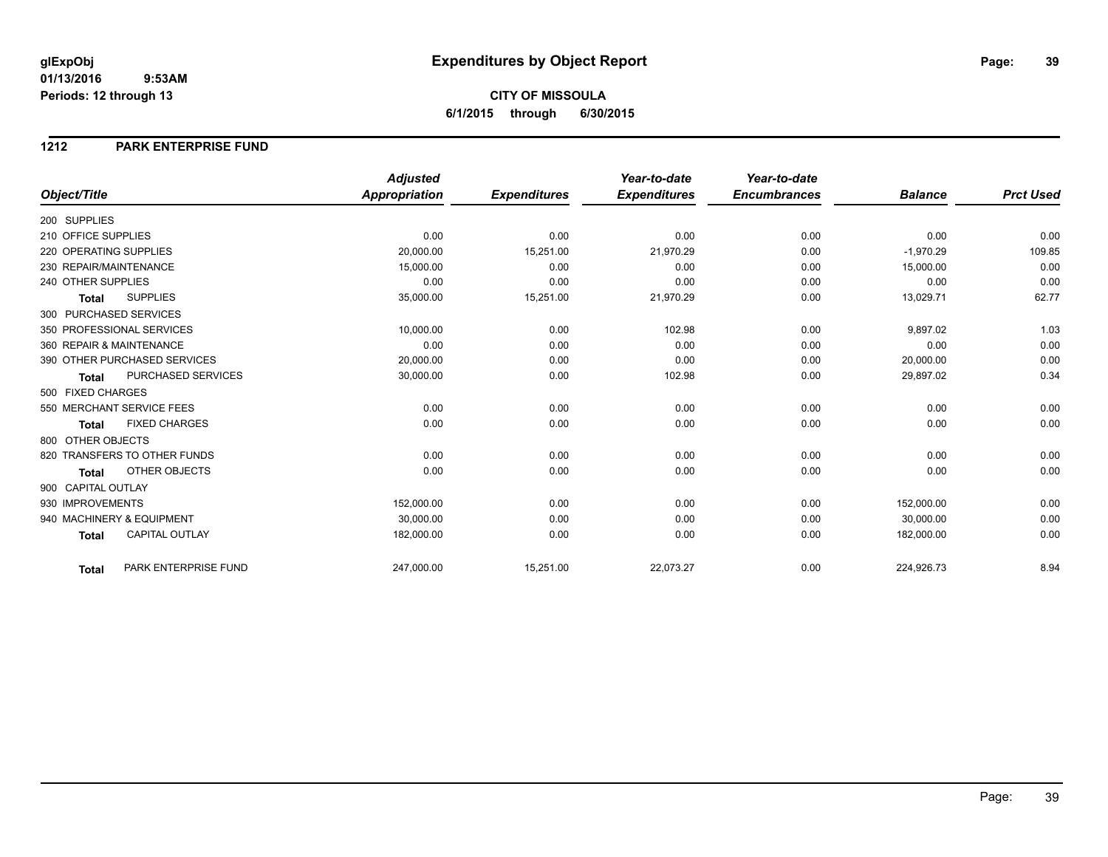#### **CITY OF MISSOULA 6/1/2015 through 6/30/2015**

#### **1212 PARK ENTERPRISE FUND**

|                        |                              | <b>Adjusted</b> |                     | Year-to-date        | Year-to-date        |                |                  |
|------------------------|------------------------------|-----------------|---------------------|---------------------|---------------------|----------------|------------------|
| Object/Title           |                              | Appropriation   | <b>Expenditures</b> | <b>Expenditures</b> | <b>Encumbrances</b> | <b>Balance</b> | <b>Prct Used</b> |
| 200 SUPPLIES           |                              |                 |                     |                     |                     |                |                  |
| 210 OFFICE SUPPLIES    |                              | 0.00            | 0.00                | 0.00                | 0.00                | 0.00           | 0.00             |
| 220 OPERATING SUPPLIES |                              | 20,000.00       | 15,251.00           | 21,970.29           | 0.00                | $-1,970.29$    | 109.85           |
| 230 REPAIR/MAINTENANCE |                              | 15,000.00       | 0.00                | 0.00                | 0.00                | 15,000.00      | 0.00             |
| 240 OTHER SUPPLIES     |                              | 0.00            | 0.00                | 0.00                | 0.00                | 0.00           | 0.00             |
| <b>Total</b>           | <b>SUPPLIES</b>              | 35,000.00       | 15,251.00           | 21,970.29           | 0.00                | 13,029.71      | 62.77            |
| 300 PURCHASED SERVICES |                              |                 |                     |                     |                     |                |                  |
|                        | 350 PROFESSIONAL SERVICES    | 10,000.00       | 0.00                | 102.98              | 0.00                | 9,897.02       | 1.03             |
|                        | 360 REPAIR & MAINTENANCE     | 0.00            | 0.00                | 0.00                | 0.00                | 0.00           | 0.00             |
|                        | 390 OTHER PURCHASED SERVICES | 20,000.00       | 0.00                | 0.00                | 0.00                | 20,000.00      | 0.00             |
| <b>Total</b>           | <b>PURCHASED SERVICES</b>    | 30,000.00       | 0.00                | 102.98              | 0.00                | 29,897.02      | 0.34             |
| 500 FIXED CHARGES      |                              |                 |                     |                     |                     |                |                  |
|                        | 550 MERCHANT SERVICE FEES    | 0.00            | 0.00                | 0.00                | 0.00                | 0.00           | 0.00             |
| <b>Total</b>           | <b>FIXED CHARGES</b>         | 0.00            | 0.00                | 0.00                | 0.00                | 0.00           | 0.00             |
| 800 OTHER OBJECTS      |                              |                 |                     |                     |                     |                |                  |
|                        | 820 TRANSFERS TO OTHER FUNDS | 0.00            | 0.00                | 0.00                | 0.00                | 0.00           | 0.00             |
| <b>Total</b>           | <b>OTHER OBJECTS</b>         | 0.00            | 0.00                | 0.00                | 0.00                | 0.00           | 0.00             |
| 900 CAPITAL OUTLAY     |                              |                 |                     |                     |                     |                |                  |
| 930 IMPROVEMENTS       |                              | 152,000.00      | 0.00                | 0.00                | 0.00                | 152,000.00     | 0.00             |
|                        | 940 MACHINERY & EQUIPMENT    | 30,000.00       | 0.00                | 0.00                | 0.00                | 30,000.00      | 0.00             |
| <b>Total</b>           | <b>CAPITAL OUTLAY</b>        | 182,000.00      | 0.00                | 0.00                | 0.00                | 182,000.00     | 0.00             |
| Total                  | PARK ENTERPRISE FUND         | 247,000.00      | 15,251.00           | 22,073.27           | 0.00                | 224,926.73     | 8.94             |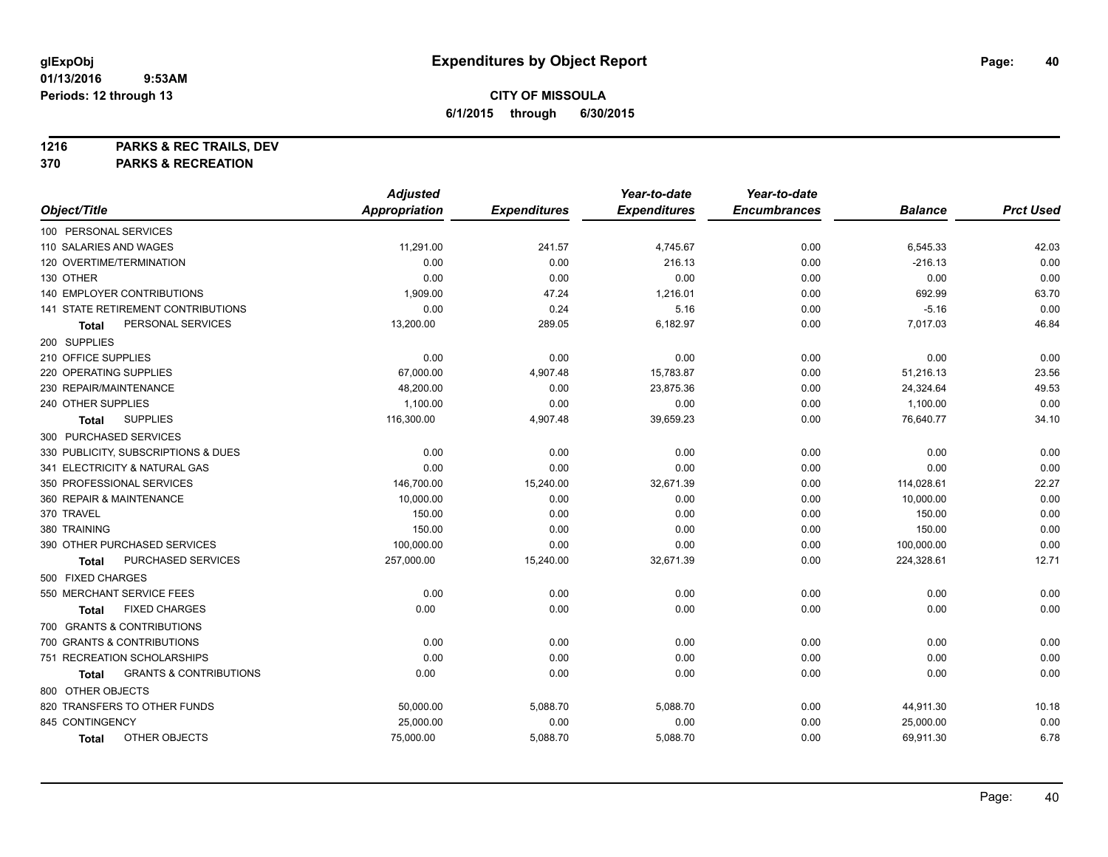**1216 PARKS & REC TRAILS, DEV**

**370 PARKS & RECREATION**

|                                            | <b>Adjusted</b>      |                     | Year-to-date        | Year-to-date        |                |                  |
|--------------------------------------------|----------------------|---------------------|---------------------|---------------------|----------------|------------------|
| Object/Title                               | <b>Appropriation</b> | <b>Expenditures</b> | <b>Expenditures</b> | <b>Encumbrances</b> | <b>Balance</b> | <b>Prct Used</b> |
| 100 PERSONAL SERVICES                      |                      |                     |                     |                     |                |                  |
| 110 SALARIES AND WAGES                     | 11,291.00            | 241.57              | 4,745.67            | 0.00                | 6,545.33       | 42.03            |
| 120 OVERTIME/TERMINATION                   | 0.00                 | 0.00                | 216.13              | 0.00                | $-216.13$      | 0.00             |
| 130 OTHER                                  | 0.00                 | 0.00                | 0.00                | 0.00                | 0.00           | 0.00             |
| <b>140 EMPLOYER CONTRIBUTIONS</b>          | 1,909.00             | 47.24               | 1,216.01            | 0.00                | 692.99         | 63.70            |
| <b>141 STATE RETIREMENT CONTRIBUTIONS</b>  | 0.00                 | 0.24                | 5.16                | 0.00                | $-5.16$        | 0.00             |
| PERSONAL SERVICES<br>Total                 | 13,200.00            | 289.05              | 6,182.97            | 0.00                | 7,017.03       | 46.84            |
| 200 SUPPLIES                               |                      |                     |                     |                     |                |                  |
| 210 OFFICE SUPPLIES                        | 0.00                 | 0.00                | 0.00                | 0.00                | 0.00           | 0.00             |
| 220 OPERATING SUPPLIES                     | 67,000.00            | 4,907.48            | 15,783.87           | 0.00                | 51,216.13      | 23.56            |
| 230 REPAIR/MAINTENANCE                     | 48,200.00            | 0.00                | 23,875.36           | 0.00                | 24,324.64      | 49.53            |
| 240 OTHER SUPPLIES                         | 1,100.00             | 0.00                | 0.00                | 0.00                | 1,100.00       | 0.00             |
| <b>SUPPLIES</b><br><b>Total</b>            | 116,300.00           | 4,907.48            | 39,659.23           | 0.00                | 76,640.77      | 34.10            |
| 300 PURCHASED SERVICES                     |                      |                     |                     |                     |                |                  |
| 330 PUBLICITY, SUBSCRIPTIONS & DUES        | 0.00                 | 0.00                | 0.00                | 0.00                | 0.00           | 0.00             |
| 341 ELECTRICITY & NATURAL GAS              | 0.00                 | 0.00                | 0.00                | 0.00                | 0.00           | 0.00             |
| 350 PROFESSIONAL SERVICES                  | 146,700.00           | 15,240.00           | 32,671.39           | 0.00                | 114,028.61     | 22.27            |
| 360 REPAIR & MAINTENANCE                   | 10,000.00            | 0.00                | 0.00                | 0.00                | 10,000.00      | 0.00             |
| 370 TRAVEL                                 | 150.00               | 0.00                | 0.00                | 0.00                | 150.00         | 0.00             |
| 380 TRAINING                               | 150.00               | 0.00                | 0.00                | 0.00                | 150.00         | 0.00             |
| 390 OTHER PURCHASED SERVICES               | 100,000.00           | 0.00                | 0.00                | 0.00                | 100,000.00     | 0.00             |
| PURCHASED SERVICES<br>Total                | 257,000.00           | 15,240.00           | 32,671.39           | 0.00                | 224,328.61     | 12.71            |
| 500 FIXED CHARGES                          |                      |                     |                     |                     |                |                  |
| 550 MERCHANT SERVICE FEES                  | 0.00                 | 0.00                | 0.00                | 0.00                | 0.00           | 0.00             |
| <b>FIXED CHARGES</b><br><b>Total</b>       | 0.00                 | 0.00                | 0.00                | 0.00                | 0.00           | 0.00             |
| 700 GRANTS & CONTRIBUTIONS                 |                      |                     |                     |                     |                |                  |
| 700 GRANTS & CONTRIBUTIONS                 | 0.00                 | 0.00                | 0.00                | 0.00                | 0.00           | 0.00             |
| 751 RECREATION SCHOLARSHIPS                | 0.00                 | 0.00                | 0.00                | 0.00                | 0.00           | 0.00             |
| <b>GRANTS &amp; CONTRIBUTIONS</b><br>Total | 0.00                 | 0.00                | 0.00                | 0.00                | 0.00           | 0.00             |
| 800 OTHER OBJECTS                          |                      |                     |                     |                     |                |                  |
| 820 TRANSFERS TO OTHER FUNDS               | 50,000.00            | 5,088.70            | 5,088.70            | 0.00                | 44,911.30      | 10.18            |
| 845 CONTINGENCY                            | 25,000.00            | 0.00                | 0.00                | 0.00                | 25,000.00      | 0.00             |
| OTHER OBJECTS<br><b>Total</b>              | 75,000.00            | 5,088.70            | 5,088.70            | 0.00                | 69,911.30      | 6.78             |
|                                            |                      |                     |                     |                     |                |                  |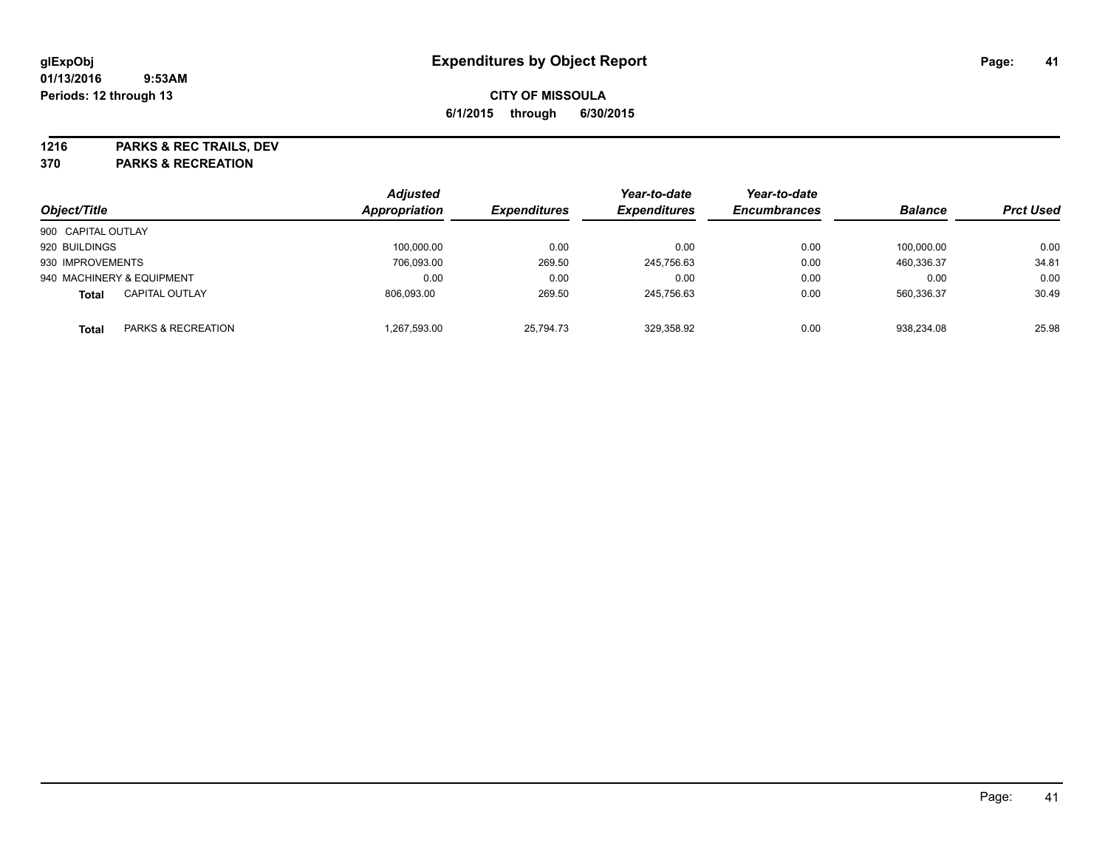**1216 PARKS & REC TRAILS, DEV**

**370 PARKS & RECREATION**

|                    |                           | <b>Adjusted</b>      |                     | Year-to-date        | Year-to-date        |                |                  |
|--------------------|---------------------------|----------------------|---------------------|---------------------|---------------------|----------------|------------------|
| Object/Title       |                           | <b>Appropriation</b> | <b>Expenditures</b> | <b>Expenditures</b> | <b>Encumbrances</b> | <b>Balance</b> | <b>Prct Used</b> |
| 900 CAPITAL OUTLAY |                           |                      |                     |                     |                     |                |                  |
| 920 BUILDINGS      |                           | 100,000.00           | 0.00                | 0.00                | 0.00                | 100.000.00     | 0.00             |
| 930 IMPROVEMENTS   |                           | 706,093.00           | 269.50              | 245,756.63          | 0.00                | 460.336.37     | 34.81            |
|                    | 940 MACHINERY & EQUIPMENT | 0.00                 | 0.00                | 0.00                | 0.00                | 0.00           | 0.00             |
| <b>Total</b>       | <b>CAPITAL OUTLAY</b>     | 806.093.00           | 269.50              | 245,756.63          | 0.00                | 560.336.37     | 30.49            |
| Total              | PARKS & RECREATION        | 1,267,593.00         | 25.794.73           | 329.358.92          | 0.00                | 938.234.08     | 25.98            |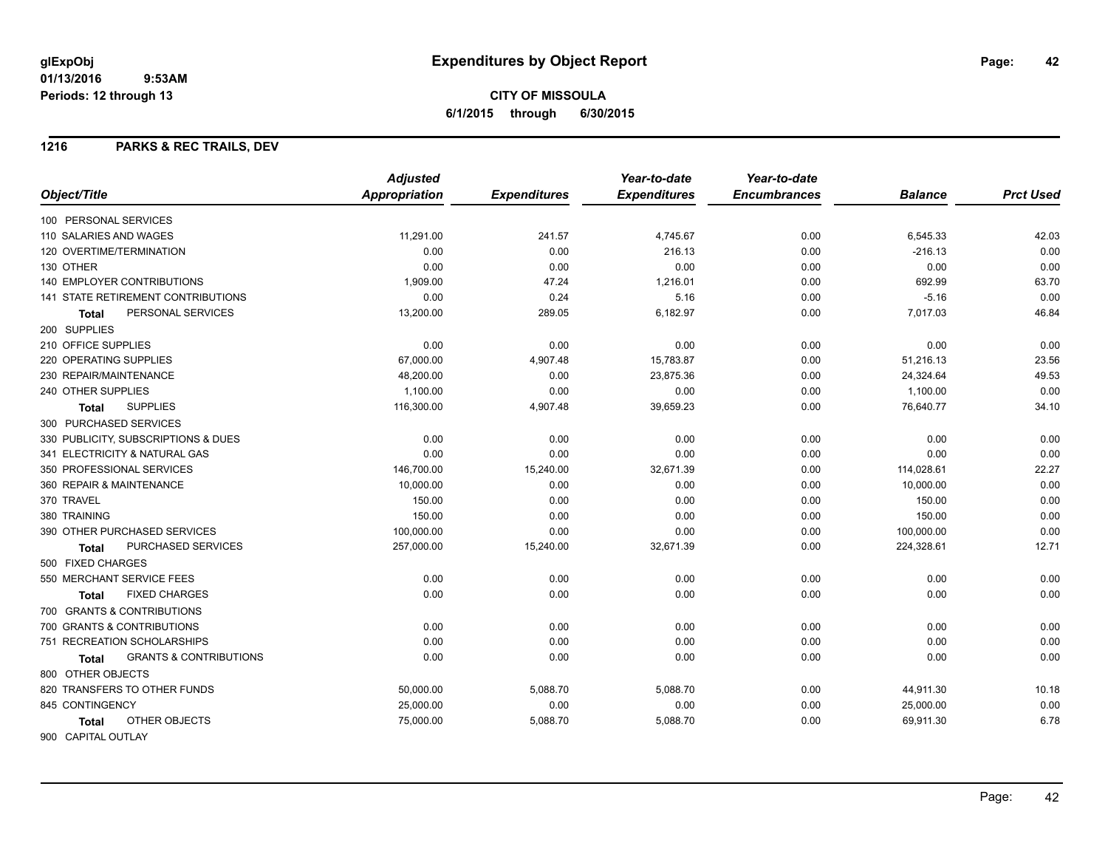## **CITY OF MISSOULA 6/1/2015 through 6/30/2015**

#### **1216 PARKS & REC TRAILS, DEV**

| Object/Title<br><b>Appropriation</b><br><b>Expenditures</b><br><b>Expenditures</b><br><b>Encumbrances</b><br><b>Balance</b><br>100 PERSONAL SERVICES<br>11.291.00<br>241.57<br>0.00<br>110 SALARIES AND WAGES<br>4,745.67<br>6,545.33 | <b>Prct Used</b><br>42.03<br>0.00 |
|---------------------------------------------------------------------------------------------------------------------------------------------------------------------------------------------------------------------------------------|-----------------------------------|
|                                                                                                                                                                                                                                       |                                   |
|                                                                                                                                                                                                                                       |                                   |
|                                                                                                                                                                                                                                       |                                   |
| 120 OVERTIME/TERMINATION<br>0.00<br>0.00<br>0.00<br>$-216.13$<br>216.13                                                                                                                                                               |                                   |
| 130 OTHER<br>0.00<br>0.00<br>0.00<br>0.00<br>0.00                                                                                                                                                                                     | 0.00                              |
| 140 EMPLOYER CONTRIBUTIONS<br>47.24<br>692.99<br>1,909.00<br>1,216.01<br>0.00                                                                                                                                                         | 63.70                             |
| 141 STATE RETIREMENT CONTRIBUTIONS<br>0.00<br>0.24<br>5.16<br>$-5.16$<br>0.00                                                                                                                                                         | 0.00                              |
| PERSONAL SERVICES<br>13,200.00<br>289.05<br>6,182.97<br>7,017.03<br>0.00<br><b>Total</b>                                                                                                                                              | 46.84                             |
| 200 SUPPLIES                                                                                                                                                                                                                          |                                   |
| 210 OFFICE SUPPLIES<br>0.00<br>0.00<br>0.00<br>0.00<br>0.00                                                                                                                                                                           | 0.00                              |
| 67,000.00<br>15,783.87<br>51,216.13<br>220 OPERATING SUPPLIES<br>4,907.48<br>0.00                                                                                                                                                     | 23.56                             |
| 230 REPAIR/MAINTENANCE<br>23,875.36<br>24,324.64<br>48,200.00<br>0.00<br>0.00                                                                                                                                                         | 49.53                             |
| 240 OTHER SUPPLIES<br>1,100.00<br>0.00<br>0.00<br>0.00<br>1,100.00                                                                                                                                                                    | 0.00                              |
| <b>SUPPLIES</b><br>116,300.00<br>4,907.48<br>39,659.23<br>0.00<br>76,640.77<br>Total                                                                                                                                                  | 34.10                             |
| 300 PURCHASED SERVICES                                                                                                                                                                                                                |                                   |
| 330 PUBLICITY, SUBSCRIPTIONS & DUES<br>0.00<br>0.00<br>0.00<br>0.00<br>0.00                                                                                                                                                           | 0.00                              |
| 0.00<br>0.00<br>0.00<br>341 ELECTRICITY & NATURAL GAS<br>0.00<br>0.00                                                                                                                                                                 | 0.00                              |
| 350 PROFESSIONAL SERVICES<br>146,700.00<br>15,240.00<br>32,671.39<br>0.00<br>114,028.61                                                                                                                                               | 22.27                             |
| 360 REPAIR & MAINTENANCE<br>0.00<br>10,000.00<br>0.00<br>0.00<br>10,000.00                                                                                                                                                            | 0.00                              |
| 370 TRAVEL<br>150.00<br>0.00<br>0.00<br>150.00<br>0.00                                                                                                                                                                                | 0.00                              |
| 380 TRAINING<br>150.00<br>0.00<br>150.00<br>0.00<br>0.00                                                                                                                                                                              | 0.00                              |
| 100,000.00<br>0.00<br>0.00<br>100,000.00<br>390 OTHER PURCHASED SERVICES<br>0.00                                                                                                                                                      | 0.00                              |
| <b>PURCHASED SERVICES</b><br>257,000.00<br>15,240.00<br>32,671.39<br>0.00<br>224,328.61<br>Total                                                                                                                                      | 12.71                             |
| 500 FIXED CHARGES                                                                                                                                                                                                                     |                                   |
| 0.00<br>0.00<br>0.00<br>0.00<br>0.00<br>550 MERCHANT SERVICE FEES                                                                                                                                                                     | 0.00                              |
| 0.00<br>0.00<br>0.00<br>0.00<br>0.00<br><b>FIXED CHARGES</b><br>Total                                                                                                                                                                 | 0.00                              |
| 700 GRANTS & CONTRIBUTIONS                                                                                                                                                                                                            |                                   |
| 700 GRANTS & CONTRIBUTIONS<br>0.00<br>0.00<br>0.00<br>0.00<br>0.00                                                                                                                                                                    | 0.00                              |
| 751 RECREATION SCHOLARSHIPS<br>0.00<br>0.00<br>0.00<br>0.00<br>0.00                                                                                                                                                                   | 0.00                              |
| <b>GRANTS &amp; CONTRIBUTIONS</b><br>0.00<br>0.00<br>0.00<br>0.00<br>0.00<br><b>Total</b>                                                                                                                                             | 0.00                              |
| 800 OTHER OBJECTS                                                                                                                                                                                                                     |                                   |
| 820 TRANSFERS TO OTHER FUNDS<br>50,000.00<br>5,088.70<br>5,088.70<br>0.00<br>44,911.30                                                                                                                                                | 10.18                             |
| 845 CONTINGENCY<br>25,000.00<br>0.00<br>25,000.00<br>0.00<br>0.00                                                                                                                                                                     | 0.00                              |
| OTHER OBJECTS<br>75,000.00<br>5,088.70<br>5,088.70<br>0.00<br>69,911.30<br>Total                                                                                                                                                      | 6.78                              |
| 900 CAPITAL OUTLAY                                                                                                                                                                                                                    |                                   |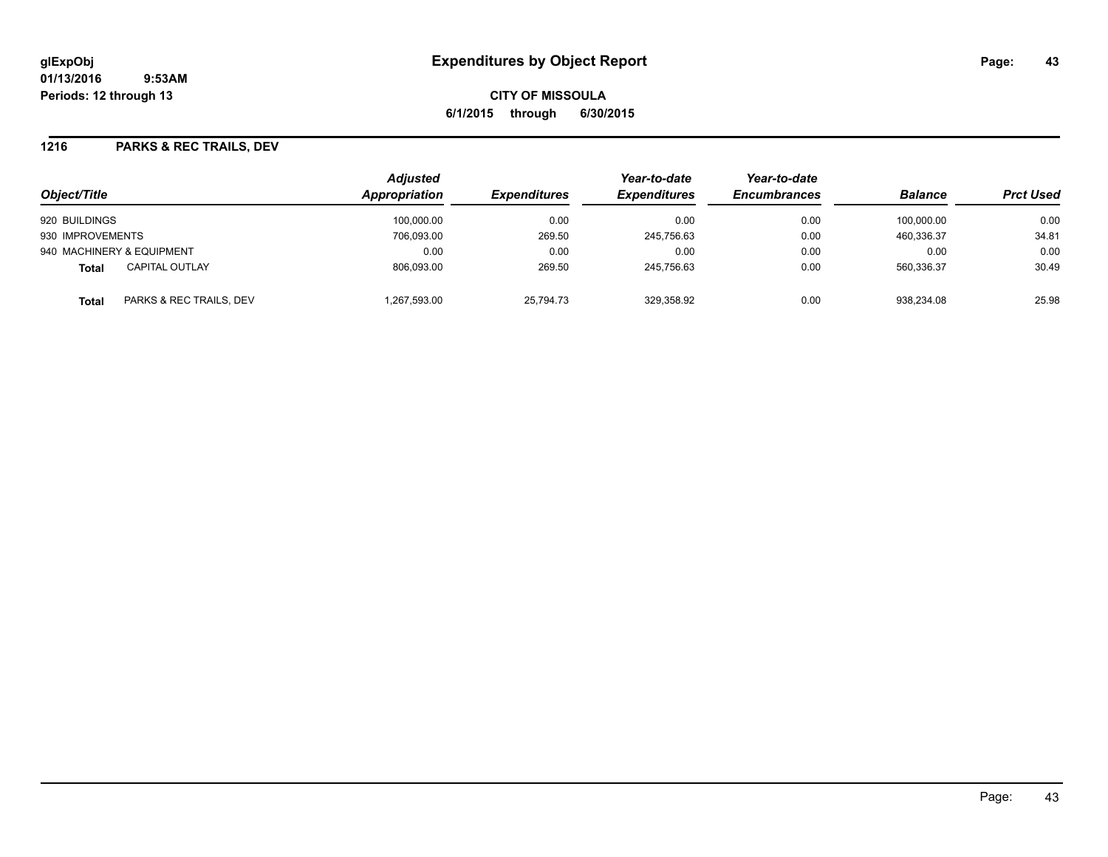**CITY OF MISSOULA 6/1/2015 through 6/30/2015**

#### **1216 PARKS & REC TRAILS, DEV**

| Object/Title                            |             | <b>Adjusted</b><br><b>Appropriation</b><br><b>Expenditures</b> | Year-to-date<br><b>Expenditures</b> | Year-to-date<br><b>Encumbrances</b> | <b>Balance</b> | <b>Prct Used</b> |
|-----------------------------------------|-------------|----------------------------------------------------------------|-------------------------------------|-------------------------------------|----------------|------------------|
| 920 BUILDINGS                           | 100.000.00  | 0.00                                                           | 0.00                                | 0.00                                | 100.000.00     | 0.00             |
| 930 IMPROVEMENTS                        | 706,093.00  | 269.50                                                         | 245,756.63                          | 0.00                                | 460.336.37     | 34.81            |
| 940 MACHINERY & EQUIPMENT               | 0.00        | 0.00                                                           | 0.00                                | 0.00                                | 0.00           | 0.00             |
| <b>CAPITAL OUTLAY</b><br><b>Total</b>   | 806,093.00  | 269.50                                                         | 245.756.63                          | 0.00                                | 560.336.37     | 30.49            |
| PARKS & REC TRAILS, DEV<br><b>Total</b> | .267.593.00 | 25.794.73                                                      | 329.358.92                          | 0.00                                | 938.234.08     | 25.98            |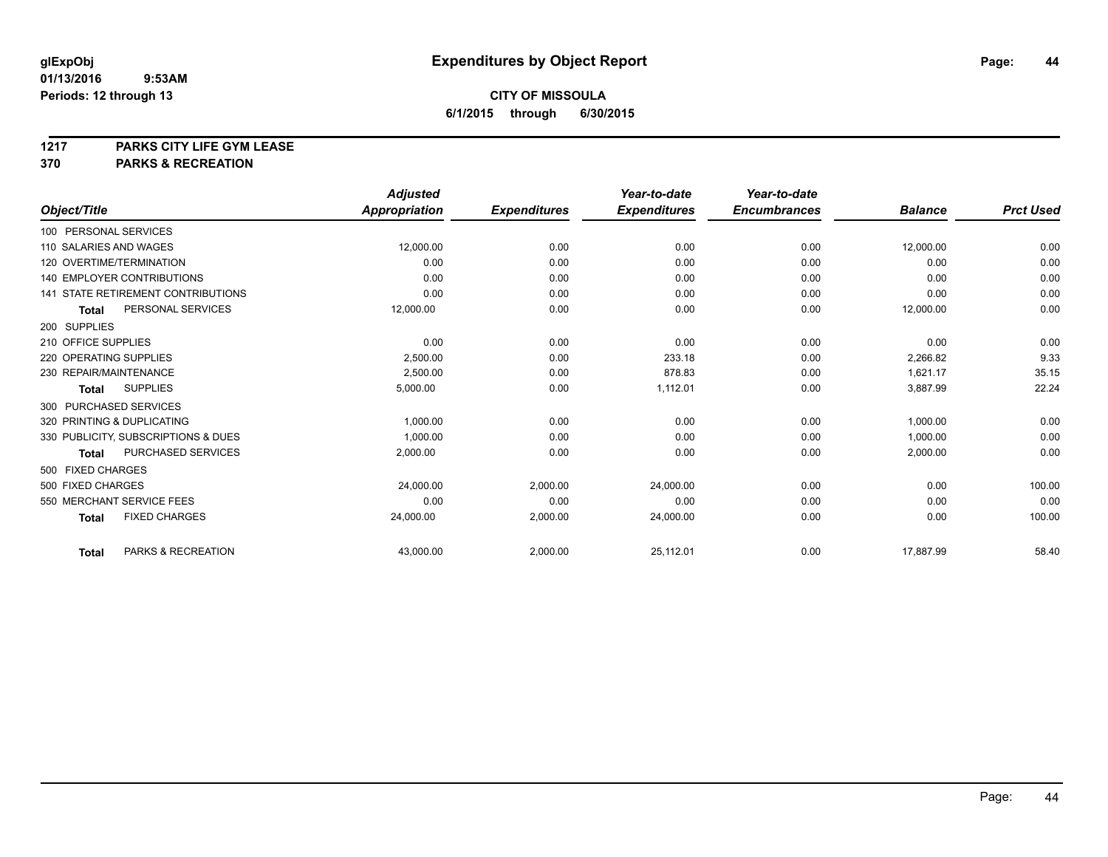# **1217 PARKS CITY LIFE GYM LEASE**

## **370 PARKS & RECREATION**

|                                           | <b>Adjusted</b>      |                     | Year-to-date        | Year-to-date        |                |                  |
|-------------------------------------------|----------------------|---------------------|---------------------|---------------------|----------------|------------------|
| Object/Title                              | <b>Appropriation</b> | <b>Expenditures</b> | <b>Expenditures</b> | <b>Encumbrances</b> | <b>Balance</b> | <b>Prct Used</b> |
| 100 PERSONAL SERVICES                     |                      |                     |                     |                     |                |                  |
| 110 SALARIES AND WAGES                    | 12,000.00            | 0.00                | 0.00                | 0.00                | 12,000.00      | 0.00             |
| 120 OVERTIME/TERMINATION                  | 0.00                 | 0.00                | 0.00                | 0.00                | 0.00           | 0.00             |
| 140 EMPLOYER CONTRIBUTIONS                | 0.00                 | 0.00                | 0.00                | 0.00                | 0.00           | 0.00             |
| <b>141 STATE RETIREMENT CONTRIBUTIONS</b> | 0.00                 | 0.00                | 0.00                | 0.00                | 0.00           | 0.00             |
| PERSONAL SERVICES<br><b>Total</b>         | 12,000.00            | 0.00                | 0.00                | 0.00                | 12,000.00      | 0.00             |
| 200 SUPPLIES                              |                      |                     |                     |                     |                |                  |
| 210 OFFICE SUPPLIES                       | 0.00                 | 0.00                | 0.00                | 0.00                | 0.00           | 0.00             |
| 220 OPERATING SUPPLIES                    | 2,500.00             | 0.00                | 233.18              | 0.00                | 2,266.82       | 9.33             |
| 230 REPAIR/MAINTENANCE                    | 2,500.00             | 0.00                | 878.83              | 0.00                | 1,621.17       | 35.15            |
| <b>SUPPLIES</b><br><b>Total</b>           | 5,000.00             | 0.00                | 1,112.01            | 0.00                | 3,887.99       | 22.24            |
| 300 PURCHASED SERVICES                    |                      |                     |                     |                     |                |                  |
| 320 PRINTING & DUPLICATING                | 1,000.00             | 0.00                | 0.00                | 0.00                | 1,000.00       | 0.00             |
| 330 PUBLICITY, SUBSCRIPTIONS & DUES       | 1.000.00             | 0.00                | 0.00                | 0.00                | 1,000.00       | 0.00             |
| PURCHASED SERVICES<br><b>Total</b>        | 2,000.00             | 0.00                | 0.00                | 0.00                | 2,000.00       | 0.00             |
| 500 FIXED CHARGES                         |                      |                     |                     |                     |                |                  |
| 500 FIXED CHARGES                         | 24,000.00            | 2,000.00            | 24,000.00           | 0.00                | 0.00           | 100.00           |
| 550 MERCHANT SERVICE FEES                 | 0.00                 | 0.00                | 0.00                | 0.00                | 0.00           | 0.00             |
| <b>FIXED CHARGES</b><br><b>Total</b>      | 24,000.00            | 2,000.00            | 24,000.00           | 0.00                | 0.00           | 100.00           |
| PARKS & RECREATION<br><b>Total</b>        | 43,000.00            | 2,000.00            | 25,112.01           | 0.00                | 17,887.99      | 58.40            |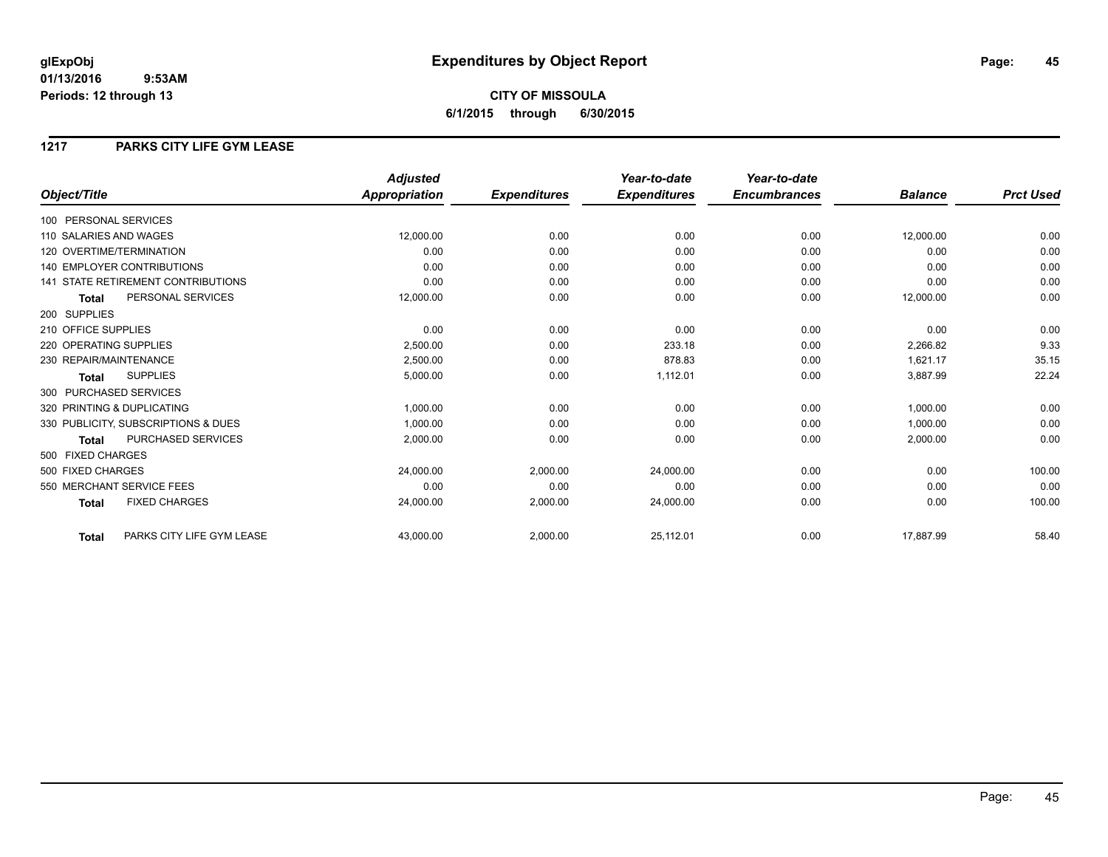## **CITY OF MISSOULA 6/1/2015 through 6/30/2015**

#### **1217 PARKS CITY LIFE GYM LEASE**

|                                           | <b>Adjusted</b> |                     | Year-to-date        | Year-to-date        |                |                  |
|-------------------------------------------|-----------------|---------------------|---------------------|---------------------|----------------|------------------|
| Object/Title                              | Appropriation   | <b>Expenditures</b> | <b>Expenditures</b> | <b>Encumbrances</b> | <b>Balance</b> | <b>Prct Used</b> |
| 100 PERSONAL SERVICES                     |                 |                     |                     |                     |                |                  |
| 110 SALARIES AND WAGES                    | 12,000.00       | 0.00                | 0.00                | 0.00                | 12,000.00      | 0.00             |
| 120 OVERTIME/TERMINATION                  | 0.00            | 0.00                | 0.00                | 0.00                | 0.00           | 0.00             |
| <b>140 EMPLOYER CONTRIBUTIONS</b>         | 0.00            | 0.00                | 0.00                | 0.00                | 0.00           | 0.00             |
| <b>141 STATE RETIREMENT CONTRIBUTIONS</b> | 0.00            | 0.00                | 0.00                | 0.00                | 0.00           | 0.00             |
| PERSONAL SERVICES<br><b>Total</b>         | 12,000.00       | 0.00                | 0.00                | 0.00                | 12,000.00      | 0.00             |
| 200 SUPPLIES                              |                 |                     |                     |                     |                |                  |
| 210 OFFICE SUPPLIES                       | 0.00            | 0.00                | 0.00                | 0.00                | 0.00           | 0.00             |
| 220 OPERATING SUPPLIES                    | 2.500.00        | 0.00                | 233.18              | 0.00                | 2,266.82       | 9.33             |
| 230 REPAIR/MAINTENANCE                    | 2,500.00        | 0.00                | 878.83              | 0.00                | 1,621.17       | 35.15            |
| <b>SUPPLIES</b><br><b>Total</b>           | 5,000.00        | 0.00                | 1,112.01            | 0.00                | 3,887.99       | 22.24            |
| 300 PURCHASED SERVICES                    |                 |                     |                     |                     |                |                  |
| 320 PRINTING & DUPLICATING                | 1,000.00        | 0.00                | 0.00                | 0.00                | 1,000.00       | 0.00             |
| 330 PUBLICITY, SUBSCRIPTIONS & DUES       | 1,000.00        | 0.00                | 0.00                | 0.00                | 1,000.00       | 0.00             |
| PURCHASED SERVICES<br><b>Total</b>        | 2,000.00        | 0.00                | 0.00                | 0.00                | 2,000.00       | 0.00             |
| 500 FIXED CHARGES                         |                 |                     |                     |                     |                |                  |
| 500 FIXED CHARGES                         | 24,000.00       | 2,000.00            | 24.000.00           | 0.00                | 0.00           | 100.00           |
| 550 MERCHANT SERVICE FEES                 | 0.00            | 0.00                | 0.00                | 0.00                | 0.00           | 0.00             |
| <b>FIXED CHARGES</b><br><b>Total</b>      | 24,000.00       | 2,000.00            | 24,000.00           | 0.00                | 0.00           | 100.00           |
| PARKS CITY LIFE GYM LEASE<br><b>Total</b> | 43,000.00       | 2,000.00            | 25,112.01           | 0.00                | 17,887.99      | 58.40            |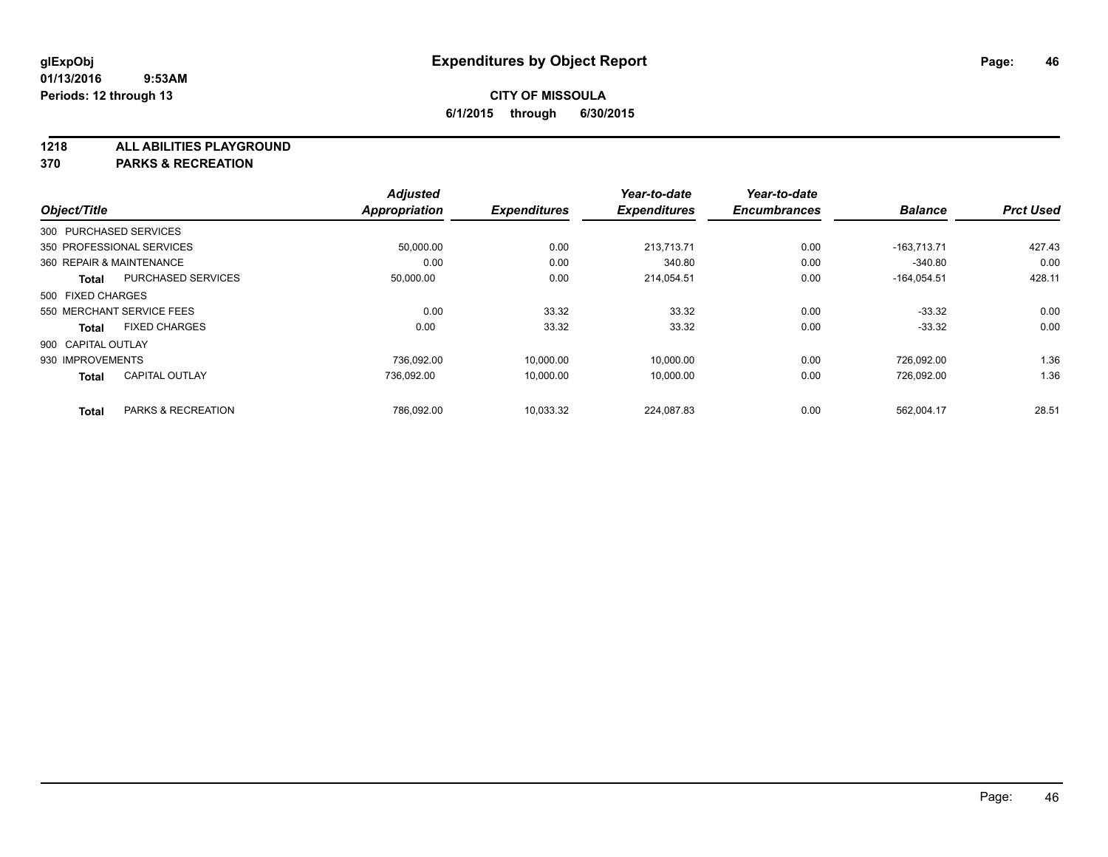**1218 ALL ABILITIES PLAYGROUND**

**370 PARKS & RECREATION**

| Object/Title       |                           | <b>Adjusted</b><br>Appropriation | <b>Expenditures</b> | Year-to-date<br><b>Expenditures</b> | Year-to-date<br><b>Encumbrances</b> | <b>Balance</b> | <b>Prct Used</b> |
|--------------------|---------------------------|----------------------------------|---------------------|-------------------------------------|-------------------------------------|----------------|------------------|
|                    |                           |                                  |                     |                                     |                                     |                |                  |
|                    | 300 PURCHASED SERVICES    |                                  |                     |                                     |                                     |                |                  |
|                    | 350 PROFESSIONAL SERVICES | 50,000.00                        | 0.00                | 213.713.71                          | 0.00                                | $-163.713.71$  | 427.43           |
|                    | 360 REPAIR & MAINTENANCE  | 0.00                             | 0.00                | 340.80                              | 0.00                                | $-340.80$      | 0.00             |
| Total              | <b>PURCHASED SERVICES</b> | 50,000.00                        | 0.00                | 214,054.51                          | 0.00                                | $-164.054.51$  | 428.11           |
| 500 FIXED CHARGES  |                           |                                  |                     |                                     |                                     |                |                  |
|                    | 550 MERCHANT SERVICE FEES | 0.00                             | 33.32               | 33.32                               | 0.00                                | $-33.32$       | 0.00             |
| <b>Total</b>       | <b>FIXED CHARGES</b>      | 0.00                             | 33.32               | 33.32                               | 0.00                                | $-33.32$       | 0.00             |
| 900 CAPITAL OUTLAY |                           |                                  |                     |                                     |                                     |                |                  |
| 930 IMPROVEMENTS   |                           | 736.092.00                       | 10,000.00           | 10,000.00                           | 0.00                                | 726,092.00     | 1.36             |
| <b>Total</b>       | <b>CAPITAL OUTLAY</b>     | 736,092.00                       | 10,000.00           | 10,000.00                           | 0.00                                | 726,092.00     | 1.36             |
| <b>Total</b>       | PARKS & RECREATION        | 786,092.00                       | 10,033.32           | 224,087.83                          | 0.00                                | 562,004.17     | 28.51            |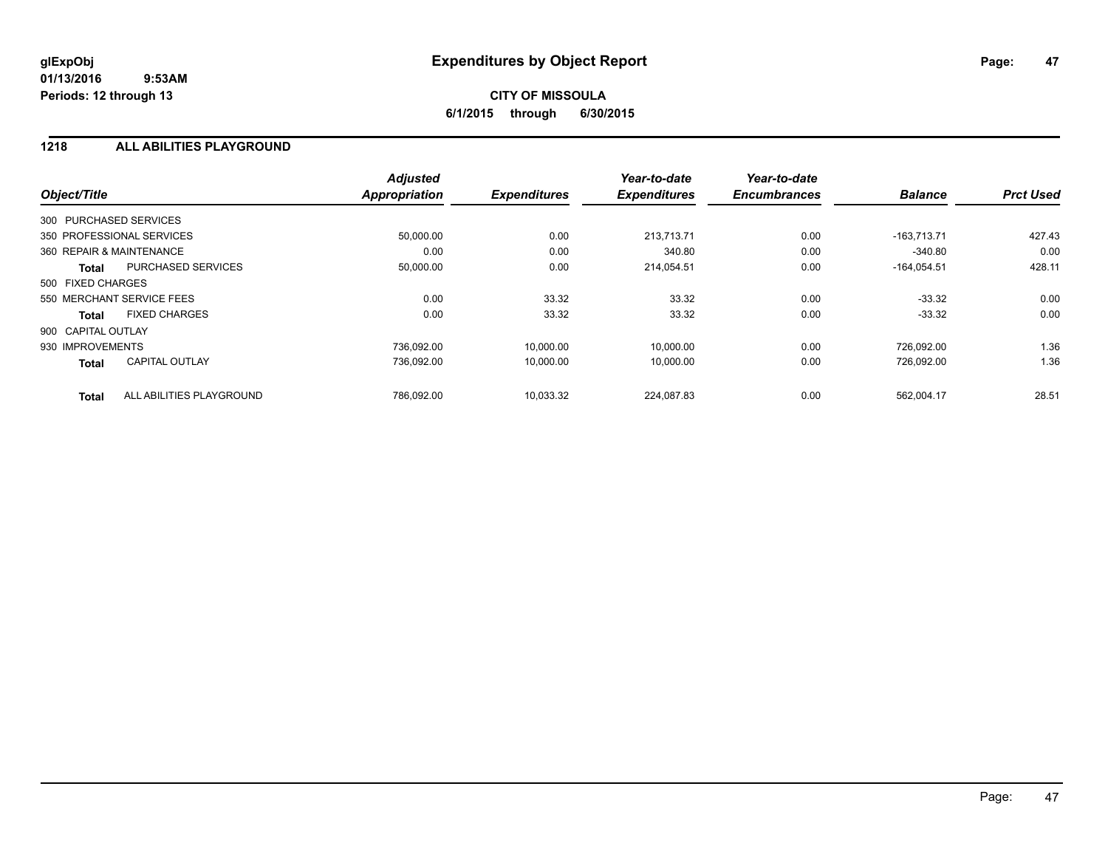## **CITY OF MISSOULA 6/1/2015 through 6/30/2015**

#### **1218 ALL ABILITIES PLAYGROUND**

| Object/Title              |                           | <b>Adjusted</b><br><b>Appropriation</b> | <b>Expenditures</b> | Year-to-date<br><b>Expenditures</b> | Year-to-date<br><b>Encumbrances</b> | <b>Balance</b> | <b>Prct Used</b> |
|---------------------------|---------------------------|-----------------------------------------|---------------------|-------------------------------------|-------------------------------------|----------------|------------------|
|                           |                           |                                         |                     |                                     |                                     |                |                  |
| 300 PURCHASED SERVICES    |                           |                                         |                     |                                     |                                     |                |                  |
| 350 PROFESSIONAL SERVICES |                           | 50,000.00                               | 0.00                | 213.713.71                          | 0.00                                | $-163.713.71$  | 427.43           |
| 360 REPAIR & MAINTENANCE  |                           | 0.00                                    | 0.00                | 340.80                              | 0.00                                | $-340.80$      | 0.00             |
| Total                     | <b>PURCHASED SERVICES</b> | 50,000.00                               | 0.00                | 214,054.51                          | 0.00                                | $-164,054.51$  | 428.11           |
| 500 FIXED CHARGES         |                           |                                         |                     |                                     |                                     |                |                  |
| 550 MERCHANT SERVICE FEES |                           | 0.00                                    | 33.32               | 33.32                               | 0.00                                | $-33.32$       | 0.00             |
| Total                     | <b>FIXED CHARGES</b>      | 0.00                                    | 33.32               | 33.32                               | 0.00                                | $-33.32$       | 0.00             |
| 900 CAPITAL OUTLAY        |                           |                                         |                     |                                     |                                     |                |                  |
| 930 IMPROVEMENTS          |                           | 736.092.00                              | 10,000.00           | 10,000.00                           | 0.00                                | 726,092.00     | 1.36             |
| <b>Total</b>              | <b>CAPITAL OUTLAY</b>     | 736.092.00                              | 10,000.00           | 10.000.00                           | 0.00                                | 726.092.00     | 1.36             |
| <b>Total</b>              | ALL ABILITIES PLAYGROUND  | 786.092.00                              | 10.033.32           | 224.087.83                          | 0.00                                | 562.004.17     | 28.51            |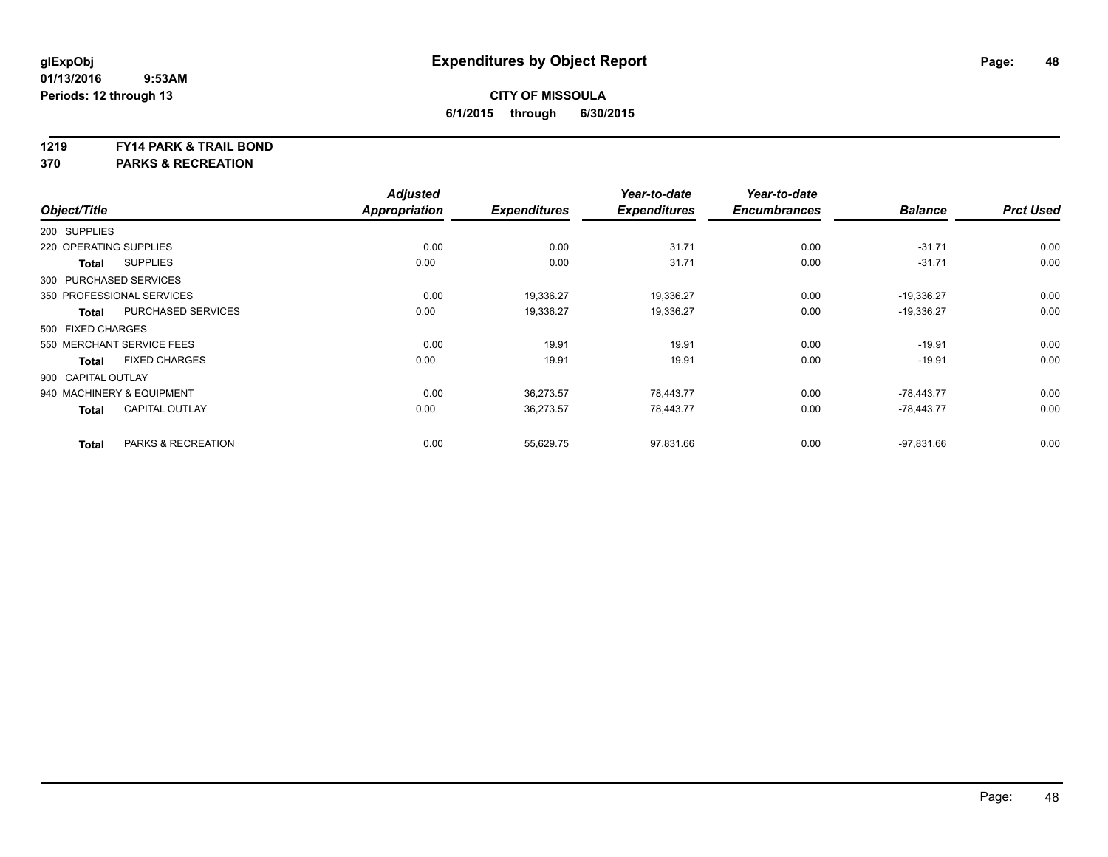#### **1219 FY14 PARK & TRAIL BOND**

**370 PARKS & RECREATION**

|                        |                           | <b>Adjusted</b>      |                     | Year-to-date        | Year-to-date        |                |                  |
|------------------------|---------------------------|----------------------|---------------------|---------------------|---------------------|----------------|------------------|
| Object/Title           |                           | <b>Appropriation</b> | <b>Expenditures</b> | <b>Expenditures</b> | <b>Encumbrances</b> | <b>Balance</b> | <b>Prct Used</b> |
| 200 SUPPLIES           |                           |                      |                     |                     |                     |                |                  |
| 220 OPERATING SUPPLIES |                           | 0.00                 | 0.00                | 31.71               | 0.00                | $-31.71$       | 0.00             |
| <b>Total</b>           | <b>SUPPLIES</b>           | 0.00                 | 0.00                | 31.71               | 0.00                | $-31.71$       | 0.00             |
| 300 PURCHASED SERVICES |                           |                      |                     |                     |                     |                |                  |
|                        | 350 PROFESSIONAL SERVICES | 0.00                 | 19,336.27           | 19,336.27           | 0.00                | $-19,336.27$   | 0.00             |
| <b>Total</b>           | PURCHASED SERVICES        | 0.00                 | 19,336.27           | 19,336.27           | 0.00                | $-19,336.27$   | 0.00             |
| 500 FIXED CHARGES      |                           |                      |                     |                     |                     |                |                  |
|                        | 550 MERCHANT SERVICE FEES | 0.00                 | 19.91               | 19.91               | 0.00                | $-19.91$       | 0.00             |
| <b>Total</b>           | <b>FIXED CHARGES</b>      | 0.00                 | 19.91               | 19.91               | 0.00                | $-19.91$       | 0.00             |
| 900 CAPITAL OUTLAY     |                           |                      |                     |                     |                     |                |                  |
|                        | 940 MACHINERY & EQUIPMENT | 0.00                 | 36,273.57           | 78,443.77           | 0.00                | $-78,443.77$   | 0.00             |
| <b>Total</b>           | <b>CAPITAL OUTLAY</b>     | 0.00                 | 36,273.57           | 78,443.77           | 0.00                | $-78,443.77$   | 0.00             |
| <b>Total</b>           | PARKS & RECREATION        | 0.00                 | 55,629.75           | 97,831.66           | 0.00                | $-97,831.66$   | 0.00             |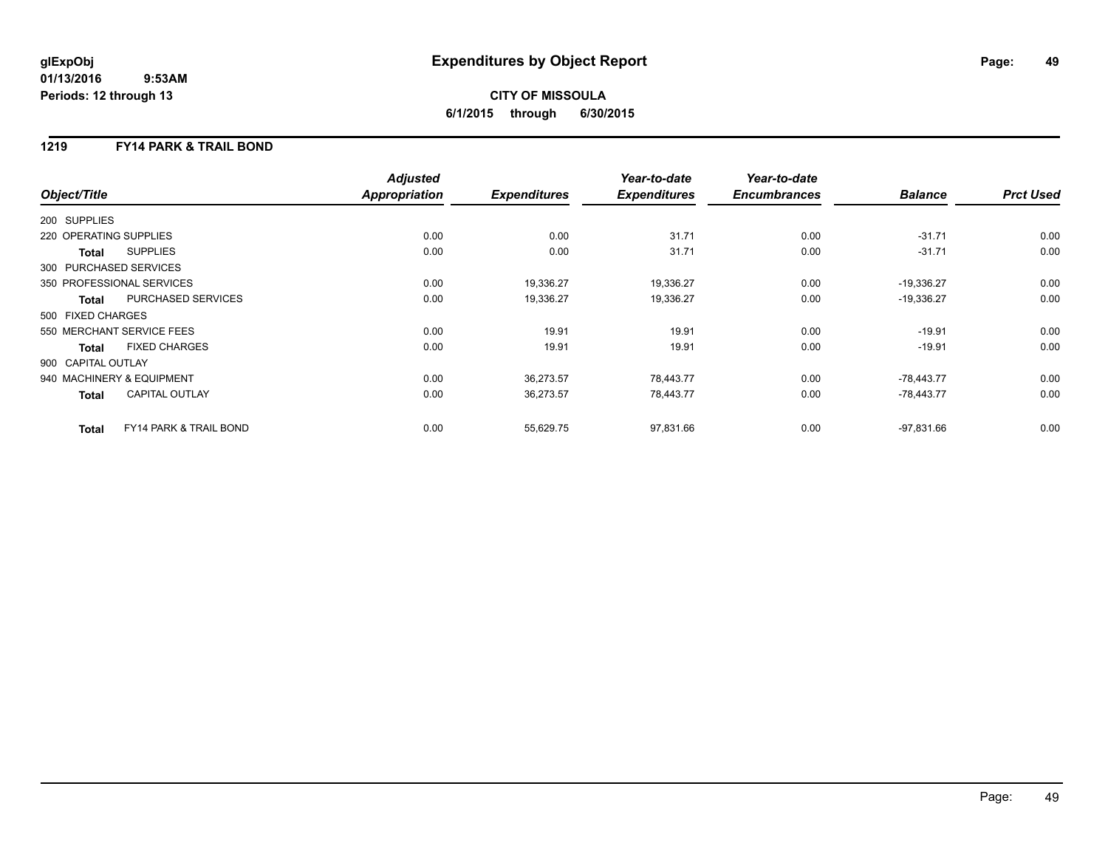## **CITY OF MISSOULA 6/1/2015 through 6/30/2015**

### **1219 FY14 PARK & TRAIL BOND**

|                           |                                   | <b>Adjusted</b>      |                     | Year-to-date        | Year-to-date        |                |                  |
|---------------------------|-----------------------------------|----------------------|---------------------|---------------------|---------------------|----------------|------------------|
| Object/Title              |                                   | <b>Appropriation</b> | <b>Expenditures</b> | <b>Expenditures</b> | <b>Encumbrances</b> | <b>Balance</b> | <b>Prct Used</b> |
| 200 SUPPLIES              |                                   |                      |                     |                     |                     |                |                  |
| 220 OPERATING SUPPLIES    |                                   | 0.00                 | 0.00                | 31.71               | 0.00                | $-31.71$       | 0.00             |
| Total                     | <b>SUPPLIES</b>                   | 0.00                 | 0.00                | 31.71               | 0.00                | $-31.71$       | 0.00             |
| 300 PURCHASED SERVICES    |                                   |                      |                     |                     |                     |                |                  |
| 350 PROFESSIONAL SERVICES |                                   | 0.00                 | 19,336.27           | 19,336.27           | 0.00                | $-19,336.27$   | 0.00             |
| Total                     | PURCHASED SERVICES                | 0.00                 | 19,336.27           | 19,336.27           | 0.00                | $-19,336.27$   | 0.00             |
| 500 FIXED CHARGES         |                                   |                      |                     |                     |                     |                |                  |
| 550 MERCHANT SERVICE FEES |                                   | 0.00                 | 19.91               | 19.91               | 0.00                | $-19.91$       | 0.00             |
| <b>Total</b>              | <b>FIXED CHARGES</b>              | 0.00                 | 19.91               | 19.91               | 0.00                | $-19.91$       | 0.00             |
| 900 CAPITAL OUTLAY        |                                   |                      |                     |                     |                     |                |                  |
| 940 MACHINERY & EQUIPMENT |                                   | 0.00                 | 36,273.57           | 78,443.77           | 0.00                | $-78,443.77$   | 0.00             |
| <b>Total</b>              | <b>CAPITAL OUTLAY</b>             | 0.00                 | 36,273.57           | 78,443.77           | 0.00                | $-78,443.77$   | 0.00             |
| <b>Total</b>              | <b>FY14 PARK &amp; TRAIL BOND</b> | 0.00                 | 55,629.75           | 97,831.66           | 0.00                | $-97,831.66$   | 0.00             |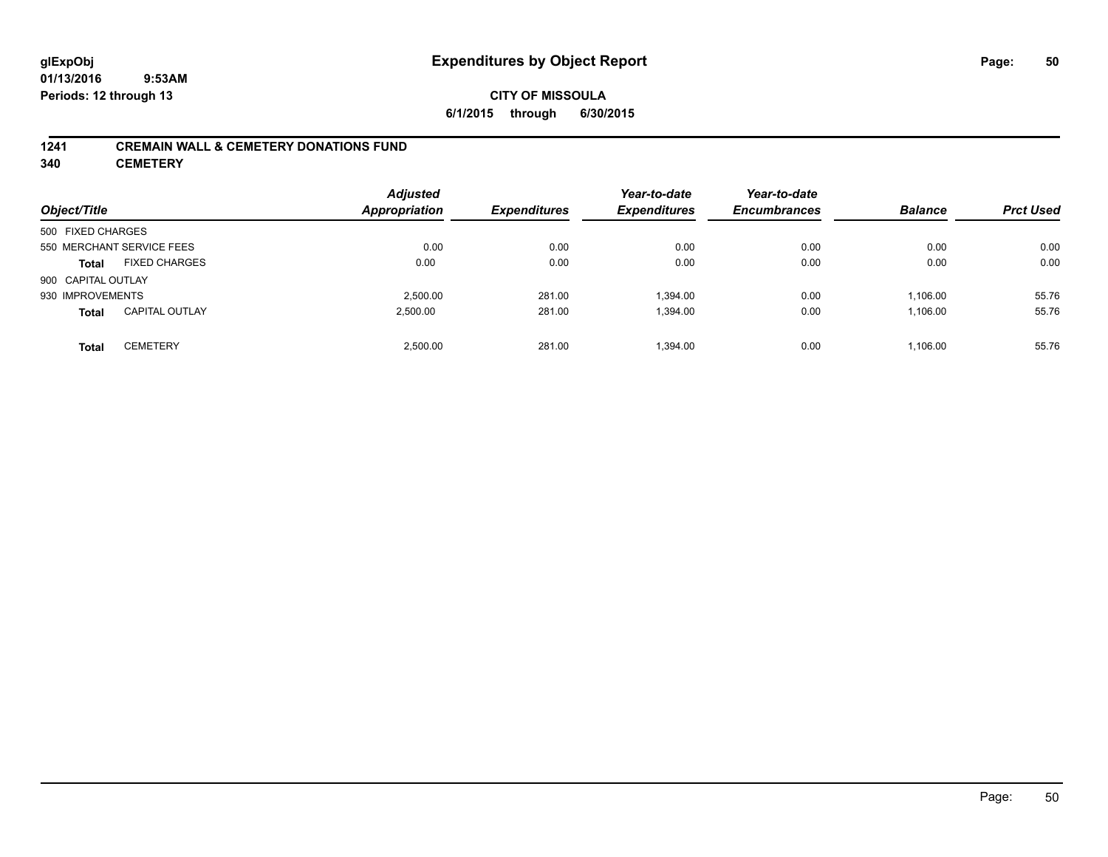#### **1241 CREMAIN WALL & CEMETERY DONATIONS FUND**

**340 CEMETERY**

| Object/Title                    |                       | <b>Adjusted</b><br><b>Appropriation</b> | <b>Expenditures</b> | Year-to-date<br><b>Expenditures</b> | Year-to-date<br><b>Encumbrances</b> | <b>Balance</b> | <b>Prct Used</b> |
|---------------------------------|-----------------------|-----------------------------------------|---------------------|-------------------------------------|-------------------------------------|----------------|------------------|
| 500 FIXED CHARGES               |                       |                                         |                     |                                     |                                     |                |                  |
| 550 MERCHANT SERVICE FEES       |                       | 0.00                                    | 0.00                | 0.00                                | 0.00                                | 0.00           | 0.00             |
| <b>Total</b>                    | <b>FIXED CHARGES</b>  | 0.00                                    | 0.00                | 0.00                                | 0.00                                | 0.00           | 0.00             |
| 900 CAPITAL OUTLAY              |                       |                                         |                     |                                     |                                     |                |                  |
| 930 IMPROVEMENTS                |                       | 2.500.00                                | 281.00              | 1.394.00                            | 0.00                                | 1,106.00       | 55.76            |
| <b>Total</b>                    | <b>CAPITAL OUTLAY</b> | 2,500.00                                | 281.00              | 1,394.00                            | 0.00                                | 1,106.00       | 55.76            |
| <b>CEMETERY</b><br><b>Total</b> |                       | 2.500.00                                | 281.00              | 1.394.00                            | 0.00                                | 1.106.00       | 55.76            |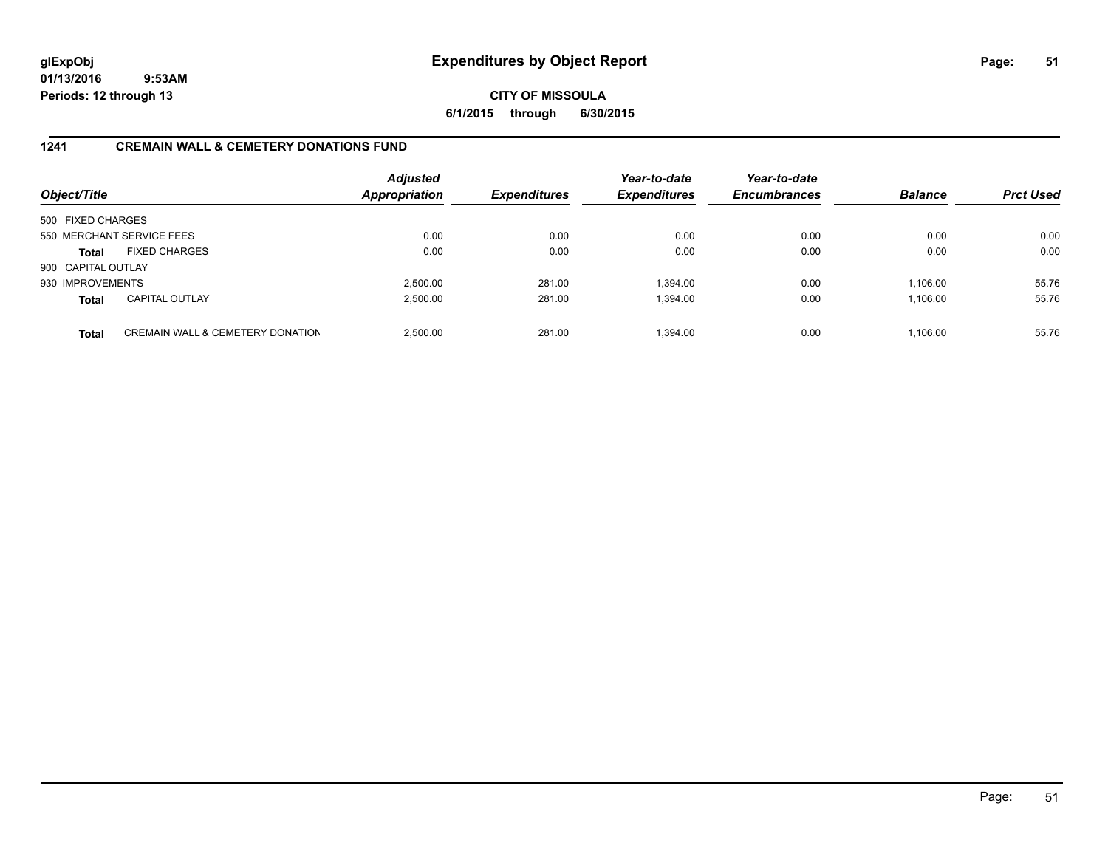### **CITY OF MISSOULA 6/1/2015 through 6/30/2015**

### **1241 CREMAIN WALL & CEMETERY DONATIONS FUND**

| Object/Title       |                                             | <b>Adjusted</b><br><b>Appropriation</b> | <b>Expenditures</b> | Year-to-date<br><b>Expenditures</b> | Year-to-date<br><b>Encumbrances</b> | <b>Balance</b> | <b>Prct Used</b> |
|--------------------|---------------------------------------------|-----------------------------------------|---------------------|-------------------------------------|-------------------------------------|----------------|------------------|
| 500 FIXED CHARGES  |                                             |                                         |                     |                                     |                                     |                |                  |
|                    | 550 MERCHANT SERVICE FEES                   | 0.00                                    | 0.00                | 0.00                                | 0.00                                | 0.00           | 0.00             |
| <b>Total</b>       | <b>FIXED CHARGES</b>                        | 0.00                                    | 0.00                | 0.00                                | 0.00                                | 0.00           | 0.00             |
| 900 CAPITAL OUTLAY |                                             |                                         |                     |                                     |                                     |                |                  |
| 930 IMPROVEMENTS   |                                             | 2,500.00                                | 281.00              | 1.394.00                            | 0.00                                | 1.106.00       | 55.76            |
| <b>Total</b>       | <b>CAPITAL OUTLAY</b>                       | 2,500.00                                | 281.00              | 1,394.00                            | 0.00                                | 1,106.00       | 55.76            |
| <b>Total</b>       | <b>CREMAIN WALL &amp; CEMETERY DONATION</b> | 2.500.00                                | 281.00              | 1.394.00                            | 0.00                                | 1.106.00       | 55.76            |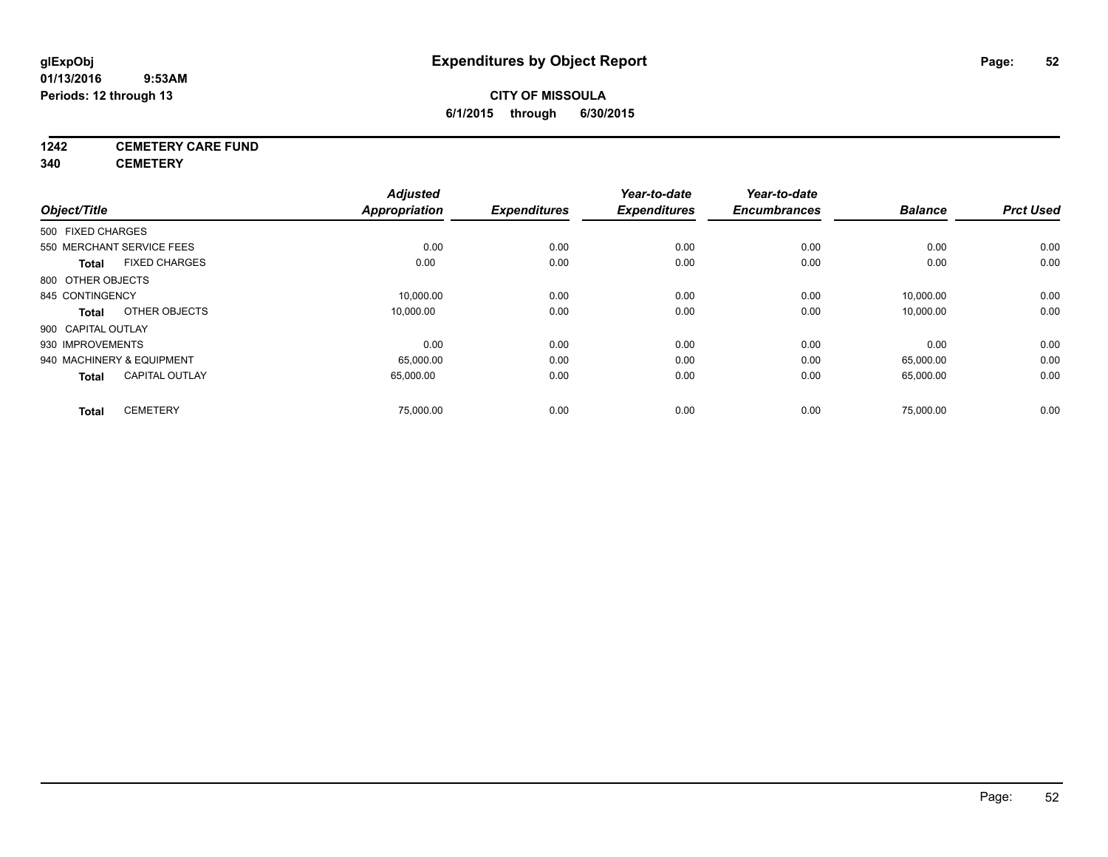## **CITY OF MISSOULA 6/1/2015 through 6/30/2015**

## **1242 CEMETERY CARE FUND**

**340 CEMETERY**

|                                       | <b>Adjusted</b>      |                     | Year-to-date        | Year-to-date        |                |                  |
|---------------------------------------|----------------------|---------------------|---------------------|---------------------|----------------|------------------|
| Object/Title                          | <b>Appropriation</b> | <b>Expenditures</b> | <b>Expenditures</b> | <b>Encumbrances</b> | <b>Balance</b> | <b>Prct Used</b> |
| 500 FIXED CHARGES                     |                      |                     |                     |                     |                |                  |
| 550 MERCHANT SERVICE FEES             | 0.00                 | 0.00                | 0.00                | 0.00                | 0.00           | 0.00             |
| <b>FIXED CHARGES</b><br><b>Total</b>  | 0.00                 | 0.00                | 0.00                | 0.00                | 0.00           | 0.00             |
| 800 OTHER OBJECTS                     |                      |                     |                     |                     |                |                  |
| 845 CONTINGENCY                       | 10,000.00            | 0.00                | 0.00                | 0.00                | 10,000.00      | 0.00             |
| OTHER OBJECTS<br>Total                | 10,000.00            | 0.00                | 0.00                | 0.00                | 10,000.00      | 0.00             |
| 900 CAPITAL OUTLAY                    |                      |                     |                     |                     |                |                  |
| 930 IMPROVEMENTS                      | 0.00                 | 0.00                | 0.00                | 0.00                | 0.00           | 0.00             |
| 940 MACHINERY & EQUIPMENT             | 65,000.00            | 0.00                | 0.00                | 0.00                | 65,000.00      | 0.00             |
| <b>CAPITAL OUTLAY</b><br><b>Total</b> | 65,000.00            | 0.00                | 0.00                | 0.00                | 65,000.00      | 0.00             |
|                                       |                      |                     |                     |                     |                |                  |
| <b>CEMETERY</b><br><b>Total</b>       | 75,000.00            | 0.00                | 0.00                | 0.00                | 75,000.00      | 0.00             |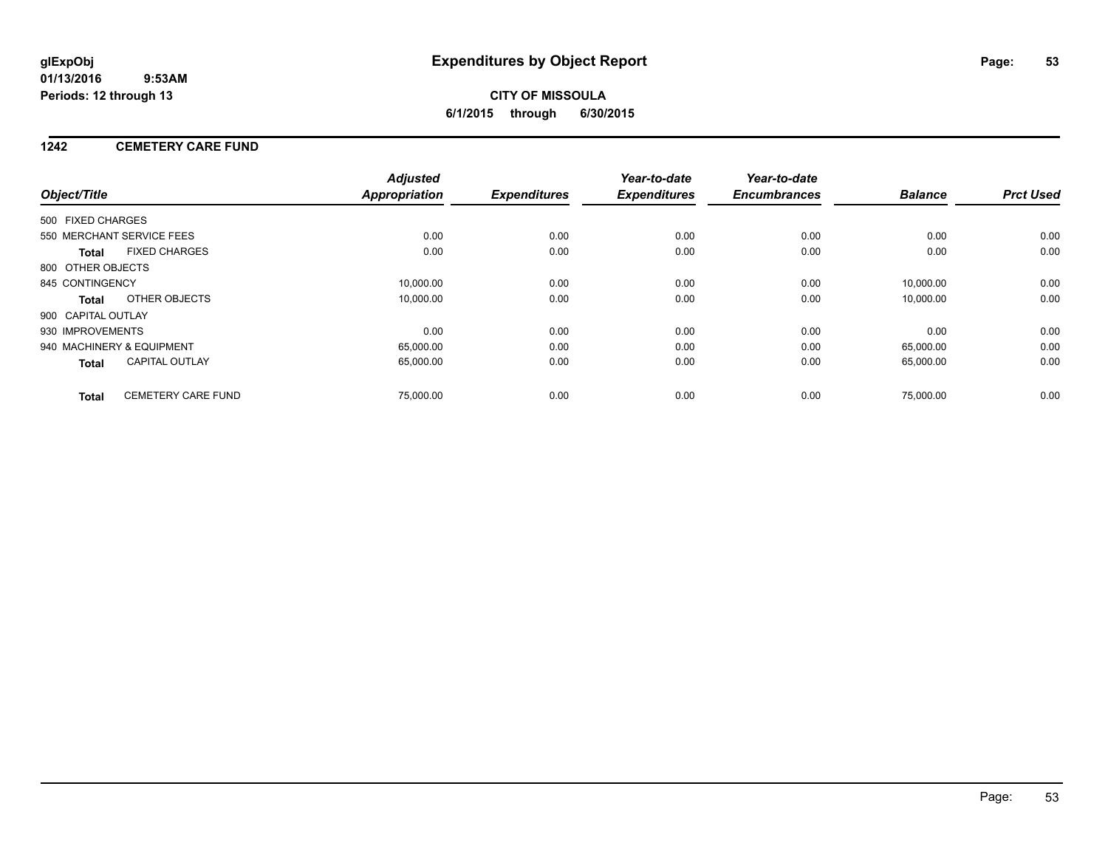## **CITY OF MISSOULA 6/1/2015 through 6/30/2015**

### **1242 CEMETERY CARE FUND**

| Object/Title       |                           | <b>Adjusted</b><br><b>Appropriation</b> | <b>Expenditures</b> | Year-to-date<br><b>Expenditures</b> | Year-to-date<br><b>Encumbrances</b> | <b>Balance</b> | <b>Prct Used</b> |
|--------------------|---------------------------|-----------------------------------------|---------------------|-------------------------------------|-------------------------------------|----------------|------------------|
|                    |                           |                                         |                     |                                     |                                     |                |                  |
| 500 FIXED CHARGES  |                           |                                         |                     |                                     |                                     |                |                  |
|                    | 550 MERCHANT SERVICE FEES | 0.00                                    | 0.00                | 0.00                                | 0.00                                | 0.00           | 0.00             |
| <b>Total</b>       | <b>FIXED CHARGES</b>      | 0.00                                    | 0.00                | 0.00                                | 0.00                                | 0.00           | 0.00             |
| 800 OTHER OBJECTS  |                           |                                         |                     |                                     |                                     |                |                  |
| 845 CONTINGENCY    |                           | 10,000.00                               | 0.00                | 0.00                                | 0.00                                | 10.000.00      | 0.00             |
| <b>Total</b>       | OTHER OBJECTS             | 10,000.00                               | 0.00                | 0.00                                | 0.00                                | 10,000.00      | 0.00             |
| 900 CAPITAL OUTLAY |                           |                                         |                     |                                     |                                     |                |                  |
| 930 IMPROVEMENTS   |                           | 0.00                                    | 0.00                | 0.00                                | 0.00                                | 0.00           | 0.00             |
|                    | 940 MACHINERY & EQUIPMENT | 65,000.00                               | 0.00                | 0.00                                | 0.00                                | 65,000.00      | 0.00             |
| <b>Total</b>       | <b>CAPITAL OUTLAY</b>     | 65,000.00                               | 0.00                | 0.00                                | 0.00                                | 65,000.00      | 0.00             |
| <b>Total</b>       | <b>CEMETERY CARE FUND</b> | 75.000.00                               | 0.00                | 0.00                                | 0.00                                | 75.000.00      | 0.00             |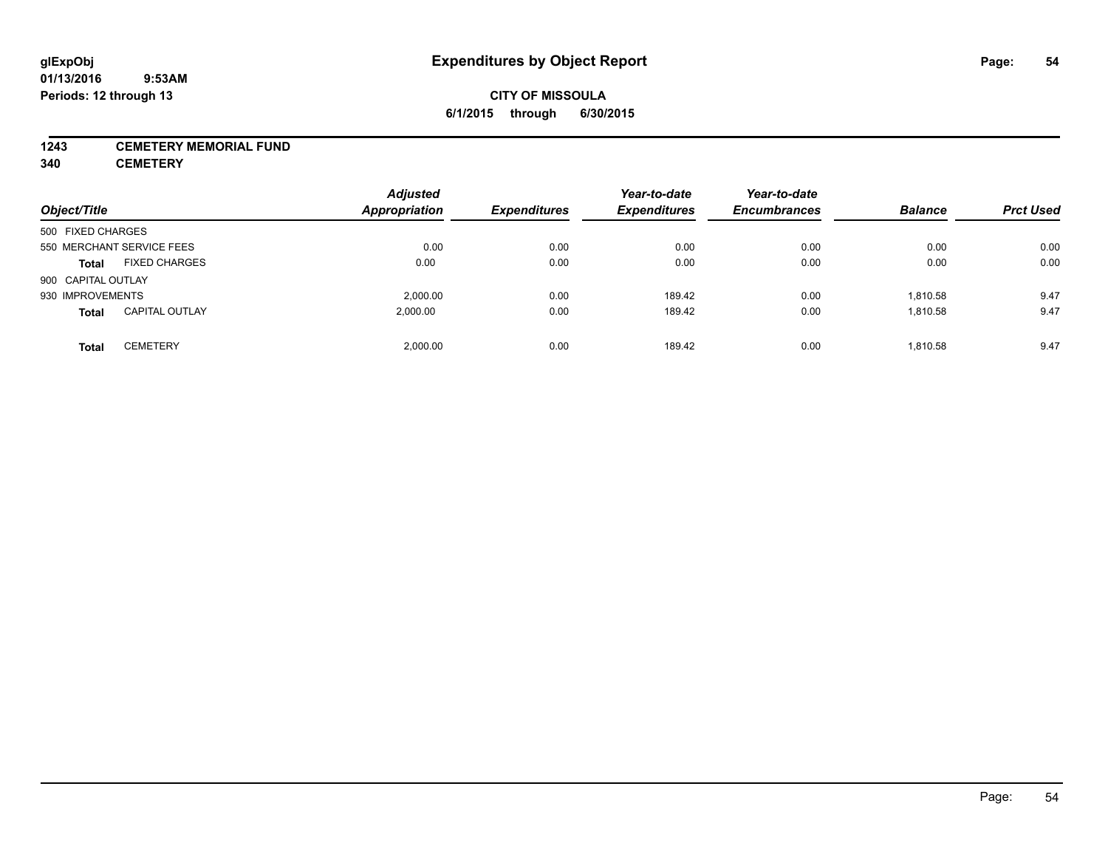#### **1243 CEMETERY MEMORIAL FUND**

**340 CEMETERY**

| Object/Title                          | <b>Adjusted</b><br><b>Appropriation</b> | <b>Expenditures</b> | Year-to-date<br><b>Expenditures</b> | Year-to-date<br><b>Encumbrances</b> | <b>Balance</b> | <b>Prct Used</b> |
|---------------------------------------|-----------------------------------------|---------------------|-------------------------------------|-------------------------------------|----------------|------------------|
| 500 FIXED CHARGES                     |                                         |                     |                                     |                                     |                |                  |
| 550 MERCHANT SERVICE FEES             | 0.00                                    | 0.00                | 0.00                                | 0.00                                | 0.00           | 0.00             |
| <b>FIXED CHARGES</b><br><b>Total</b>  | 0.00                                    | 0.00                | 0.00                                | 0.00                                | 0.00           | 0.00             |
| 900 CAPITAL OUTLAY                    |                                         |                     |                                     |                                     |                |                  |
| 930 IMPROVEMENTS                      | 2.000.00                                | 0.00                | 189.42                              | 0.00                                | 1,810.58       | 9.47             |
| <b>CAPITAL OUTLAY</b><br><b>Total</b> | 2.000.00                                | 0.00                | 189.42                              | 0.00                                | 1,810.58       | 9.47             |
| <b>CEMETERY</b><br>Total              | 2.000.00                                | 0.00                | 189.42                              | 0.00                                | 1,810.58       | 9.47             |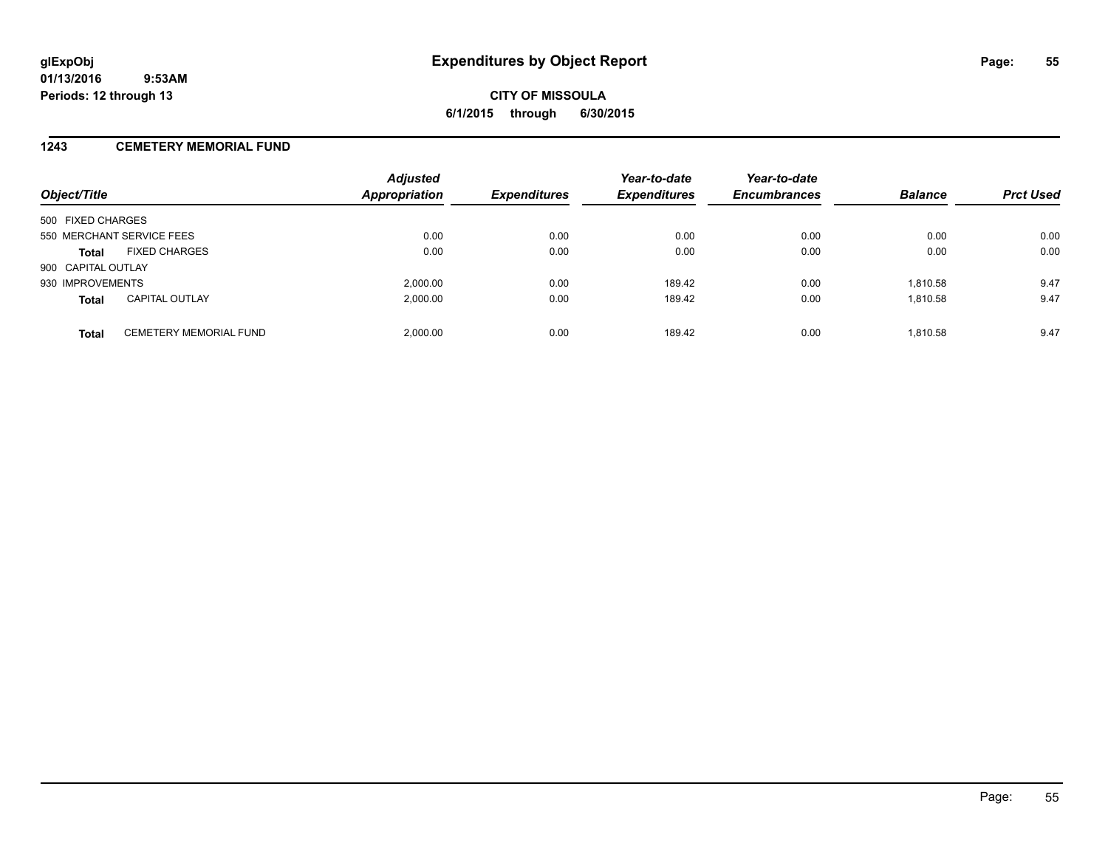#### **1243 CEMETERY MEMORIAL FUND**

| Object/Title                                  | <b>Adjusted</b><br><b>Appropriation</b> | <b>Expenditures</b> | Year-to-date<br><b>Expenditures</b> | Year-to-date<br><b>Encumbrances</b> | <b>Balance</b> | <b>Prct Used</b> |
|-----------------------------------------------|-----------------------------------------|---------------------|-------------------------------------|-------------------------------------|----------------|------------------|
| 500 FIXED CHARGES                             |                                         |                     |                                     |                                     |                |                  |
| 550 MERCHANT SERVICE FEES                     | 0.00                                    | 0.00                | 0.00                                | 0.00                                | 0.00           | 0.00             |
| <b>FIXED CHARGES</b><br><b>Total</b>          | 0.00                                    | 0.00                | 0.00                                | 0.00                                | 0.00           | 0.00             |
| 900 CAPITAL OUTLAY                            |                                         |                     |                                     |                                     |                |                  |
| 930 IMPROVEMENTS                              | 2,000.00                                | 0.00                | 189.42                              | 0.00                                | 1.810.58       | 9.47             |
| <b>CAPITAL OUTLAY</b><br><b>Total</b>         | 2,000.00                                | 0.00                | 189.42                              | 0.00                                | 1,810.58       | 9.47             |
| <b>CEMETERY MEMORIAL FUND</b><br><b>Total</b> | 2.000.00                                | 0.00                | 189.42                              | 0.00                                | 1.810.58       | 9.47             |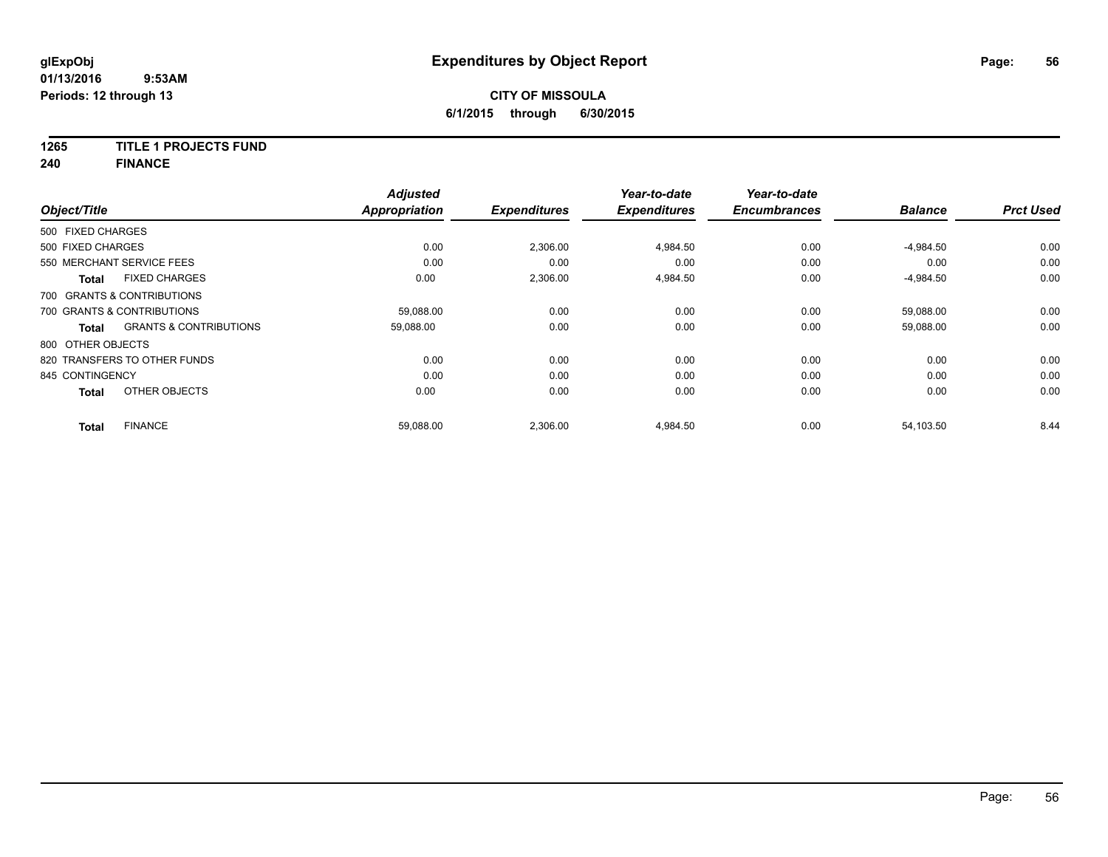#### **1265 TITLE 1 PROJECTS FUND**

**240 FINANCE**

| Object/Title      |                                   | <b>Adjusted</b><br><b>Appropriation</b> | <b>Expenditures</b> | Year-to-date<br><b>Expenditures</b> | Year-to-date<br><b>Encumbrances</b> | <b>Balance</b> | <b>Prct Used</b> |
|-------------------|-----------------------------------|-----------------------------------------|---------------------|-------------------------------------|-------------------------------------|----------------|------------------|
|                   |                                   |                                         |                     |                                     |                                     |                |                  |
| 500 FIXED CHARGES |                                   |                                         |                     |                                     |                                     |                |                  |
| 500 FIXED CHARGES |                                   | 0.00                                    | 2,306.00            | 4,984.50                            | 0.00                                | $-4,984.50$    | 0.00             |
|                   | 550 MERCHANT SERVICE FEES         | 0.00                                    | 0.00                | 0.00                                | 0.00                                | 0.00           | 0.00             |
| <b>Total</b>      | <b>FIXED CHARGES</b>              | 0.00                                    | 2,306.00            | 4,984.50                            | 0.00                                | $-4,984.50$    | 0.00             |
|                   | 700 GRANTS & CONTRIBUTIONS        |                                         |                     |                                     |                                     |                |                  |
|                   | 700 GRANTS & CONTRIBUTIONS        | 59,088.00                               | 0.00                | 0.00                                | 0.00                                | 59,088.00      | 0.00             |
| <b>Total</b>      | <b>GRANTS &amp; CONTRIBUTIONS</b> | 59,088.00                               | 0.00                | 0.00                                | 0.00                                | 59,088.00      | 0.00             |
| 800 OTHER OBJECTS |                                   |                                         |                     |                                     |                                     |                |                  |
|                   | 820 TRANSFERS TO OTHER FUNDS      | 0.00                                    | 0.00                | 0.00                                | 0.00                                | 0.00           | 0.00             |
| 845 CONTINGENCY   |                                   | 0.00                                    | 0.00                | 0.00                                | 0.00                                | 0.00           | 0.00             |
| <b>Total</b>      | OTHER OBJECTS                     | 0.00                                    | 0.00                | 0.00                                | 0.00                                | 0.00           | 0.00             |
| <b>Total</b>      | <b>FINANCE</b>                    | 59,088.00                               | 2,306.00            | 4,984.50                            | 0.00                                | 54,103.50      | 8.44             |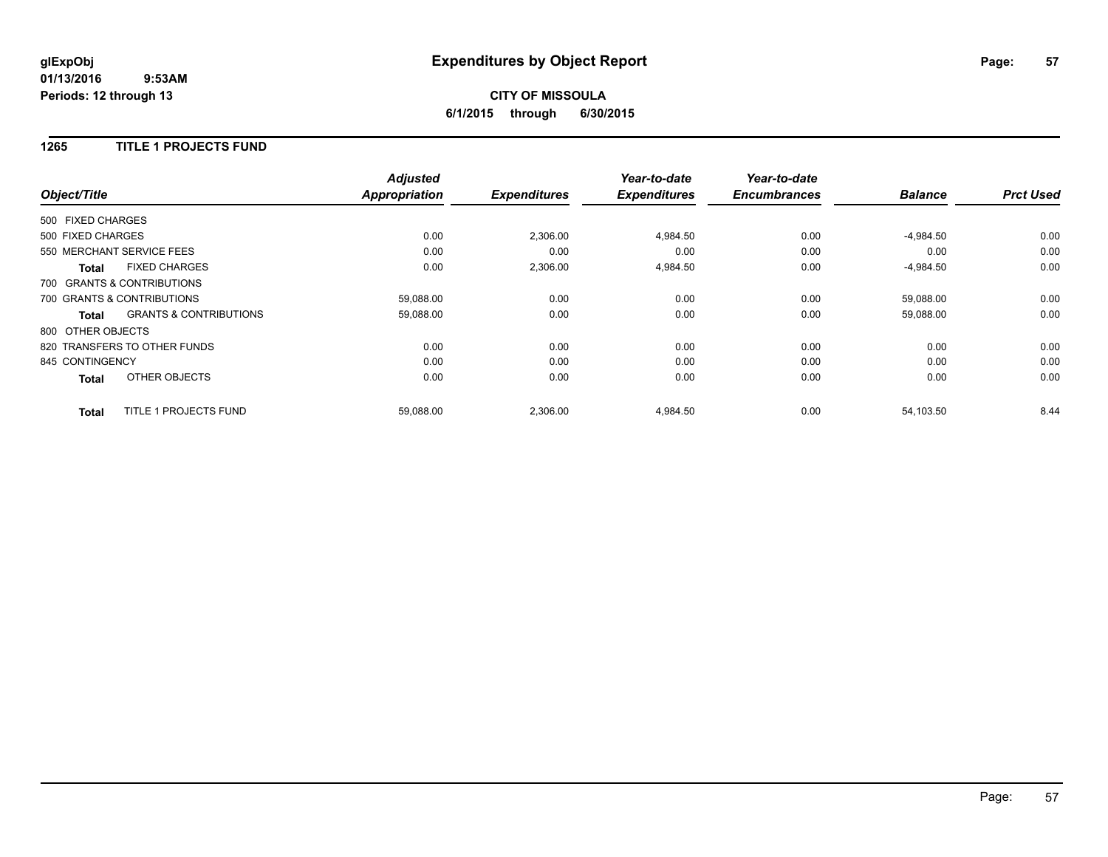## **CITY OF MISSOULA 6/1/2015 through 6/30/2015**

#### **1265 TITLE 1 PROJECTS FUND**

|                   |                                   | <b>Adjusted</b>      |                     | Year-to-date        | Year-to-date        |                |                  |
|-------------------|-----------------------------------|----------------------|---------------------|---------------------|---------------------|----------------|------------------|
| Object/Title      |                                   | <b>Appropriation</b> | <b>Expenditures</b> | <b>Expenditures</b> | <b>Encumbrances</b> | <b>Balance</b> | <b>Prct Used</b> |
| 500 FIXED CHARGES |                                   |                      |                     |                     |                     |                |                  |
| 500 FIXED CHARGES |                                   | 0.00                 | 2,306.00            | 4,984.50            | 0.00                | $-4,984.50$    | 0.00             |
|                   | 550 MERCHANT SERVICE FEES         | 0.00                 | 0.00                | 0.00                | 0.00                | 0.00           | 0.00             |
| <b>Total</b>      | <b>FIXED CHARGES</b>              | 0.00                 | 2,306.00            | 4,984.50            | 0.00                | $-4,984.50$    | 0.00             |
|                   | 700 GRANTS & CONTRIBUTIONS        |                      |                     |                     |                     |                |                  |
|                   | 700 GRANTS & CONTRIBUTIONS        | 59.088.00            | 0.00                | 0.00                | 0.00                | 59,088.00      | 0.00             |
| Total             | <b>GRANTS &amp; CONTRIBUTIONS</b> | 59,088.00            | 0.00                | 0.00                | 0.00                | 59,088.00      | 0.00             |
| 800 OTHER OBJECTS |                                   |                      |                     |                     |                     |                |                  |
|                   | 820 TRANSFERS TO OTHER FUNDS      | 0.00                 | 0.00                | 0.00                | 0.00                | 0.00           | 0.00             |
| 845 CONTINGENCY   |                                   | 0.00                 | 0.00                | 0.00                | 0.00                | 0.00           | 0.00             |
| <b>Total</b>      | OTHER OBJECTS                     | 0.00                 | 0.00                | 0.00                | 0.00                | 0.00           | 0.00             |
| <b>Total</b>      | TITLE 1 PROJECTS FUND             | 59,088.00            | 2,306.00            | 4,984.50            | 0.00                | 54.103.50      | 8.44             |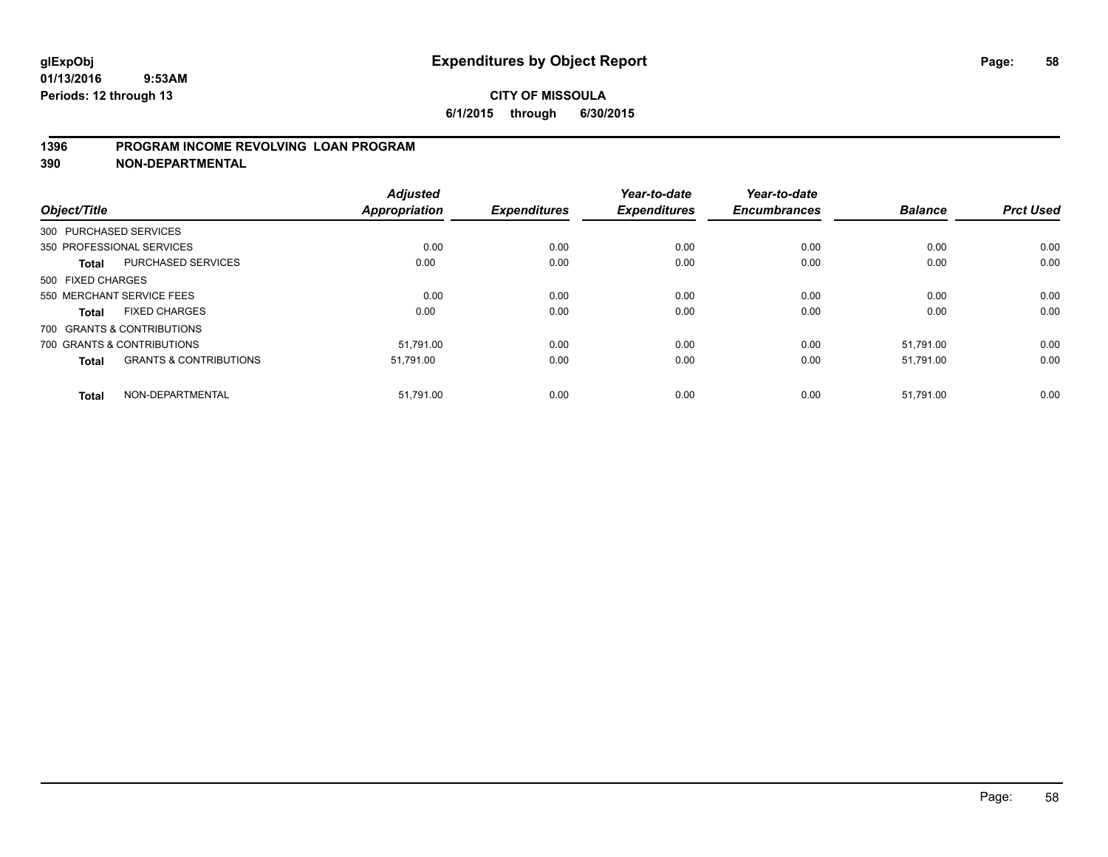### **1396 PROGRAM INCOME REVOLVING LOAN PROGRAM**

**390 NON-DEPARTMENTAL**

| Object/Title      |                                   | <b>Adjusted</b><br><b>Appropriation</b> | <b>Expenditures</b> | Year-to-date<br><b>Expenditures</b> | Year-to-date<br><b>Encumbrances</b> | <b>Balance</b> | <b>Prct Used</b> |
|-------------------|-----------------------------------|-----------------------------------------|---------------------|-------------------------------------|-------------------------------------|----------------|------------------|
|                   |                                   |                                         |                     |                                     |                                     |                |                  |
|                   | 300 PURCHASED SERVICES            |                                         |                     |                                     |                                     |                |                  |
|                   | 350 PROFESSIONAL SERVICES         | 0.00                                    | 0.00                | 0.00                                | 0.00                                | 0.00           | 0.00             |
| <b>Total</b>      | PURCHASED SERVICES                | 0.00                                    | 0.00                | 0.00                                | 0.00                                | 0.00           | 0.00             |
| 500 FIXED CHARGES |                                   |                                         |                     |                                     |                                     |                |                  |
|                   | 550 MERCHANT SERVICE FEES         | 0.00                                    | 0.00                | 0.00                                | 0.00                                | 0.00           | 0.00             |
| <b>Total</b>      | <b>FIXED CHARGES</b>              | 0.00                                    | 0.00                | 0.00                                | 0.00                                | 0.00           | 0.00             |
|                   | 700 GRANTS & CONTRIBUTIONS        |                                         |                     |                                     |                                     |                |                  |
|                   | 700 GRANTS & CONTRIBUTIONS        | 51.791.00                               | 0.00                | 0.00                                | 0.00                                | 51.791.00      | 0.00             |
| <b>Total</b>      | <b>GRANTS &amp; CONTRIBUTIONS</b> | 51,791.00                               | 0.00                | 0.00                                | 0.00                                | 51,791.00      | 0.00             |
| <b>Total</b>      | NON-DEPARTMENTAL                  | 51,791.00                               | 0.00                | 0.00                                | 0.00                                | 51,791.00      | 0.00             |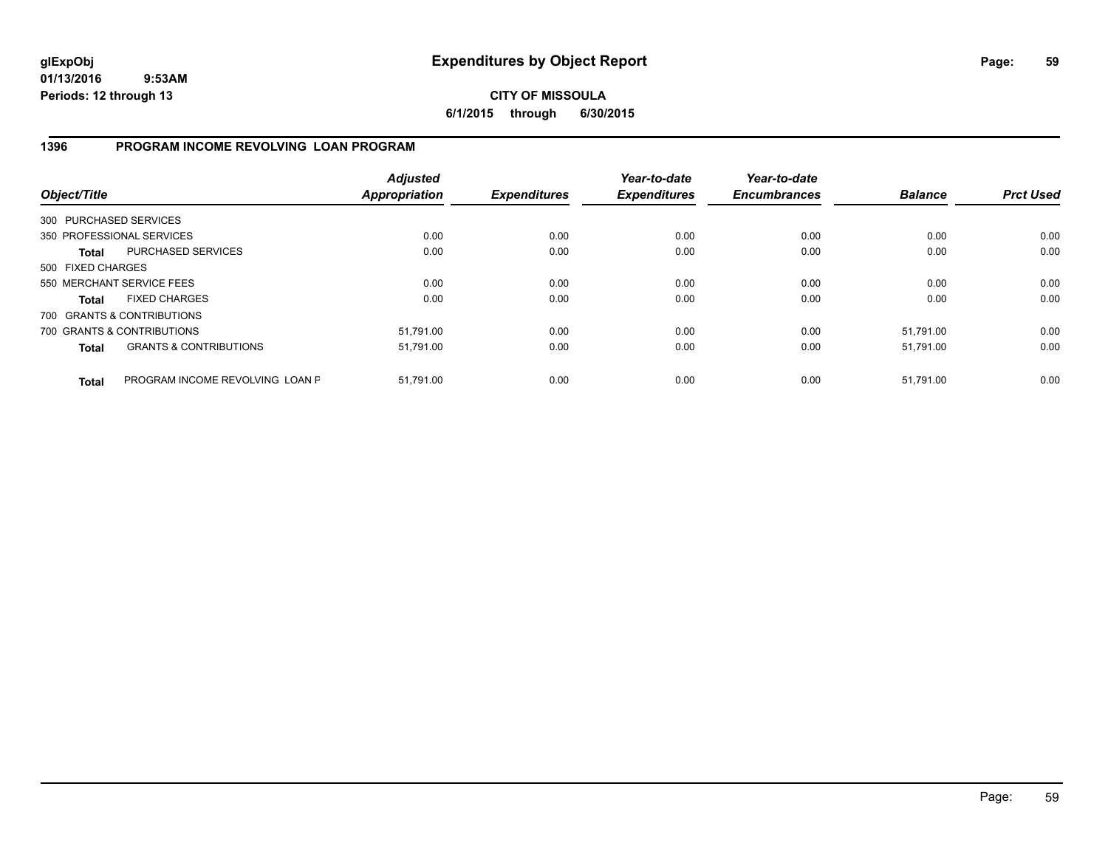**CITY OF MISSOULA 6/1/2015 through 6/30/2015**

### **1396 PROGRAM INCOME REVOLVING LOAN PROGRAM**

| Object/Title           |                                   | <b>Adjusted</b><br><b>Appropriation</b> | <b>Expenditures</b> | Year-to-date<br><b>Expenditures</b> | Year-to-date<br><b>Encumbrances</b> | <b>Balance</b> | <b>Prct Used</b> |
|------------------------|-----------------------------------|-----------------------------------------|---------------------|-------------------------------------|-------------------------------------|----------------|------------------|
| 300 PURCHASED SERVICES |                                   |                                         |                     |                                     |                                     |                |                  |
|                        | 350 PROFESSIONAL SERVICES         | 0.00                                    | 0.00                | 0.00                                | 0.00                                | 0.00           | 0.00             |
| Total                  | PURCHASED SERVICES                | 0.00                                    | 0.00                | 0.00                                | 0.00                                | 0.00           | 0.00             |
| 500 FIXED CHARGES      |                                   |                                         |                     |                                     |                                     |                |                  |
|                        | 550 MERCHANT SERVICE FEES         | 0.00                                    | 0.00                | 0.00                                | 0.00                                | 0.00           | 0.00             |
| Total                  | <b>FIXED CHARGES</b>              | 0.00                                    | 0.00                | 0.00                                | 0.00                                | 0.00           | 0.00             |
|                        | 700 GRANTS & CONTRIBUTIONS        |                                         |                     |                                     |                                     |                |                  |
|                        | 700 GRANTS & CONTRIBUTIONS        | 51,791.00                               | 0.00                | 0.00                                | 0.00                                | 51,791.00      | 0.00             |
| <b>Total</b>           | <b>GRANTS &amp; CONTRIBUTIONS</b> | 51,791.00                               | 0.00                | 0.00                                | 0.00                                | 51,791.00      | 0.00             |
| <b>Total</b>           | PROGRAM INCOME REVOLVING LOAN P   | 51.791.00                               | 0.00                | 0.00                                | 0.00                                | 51.791.00      | 0.00             |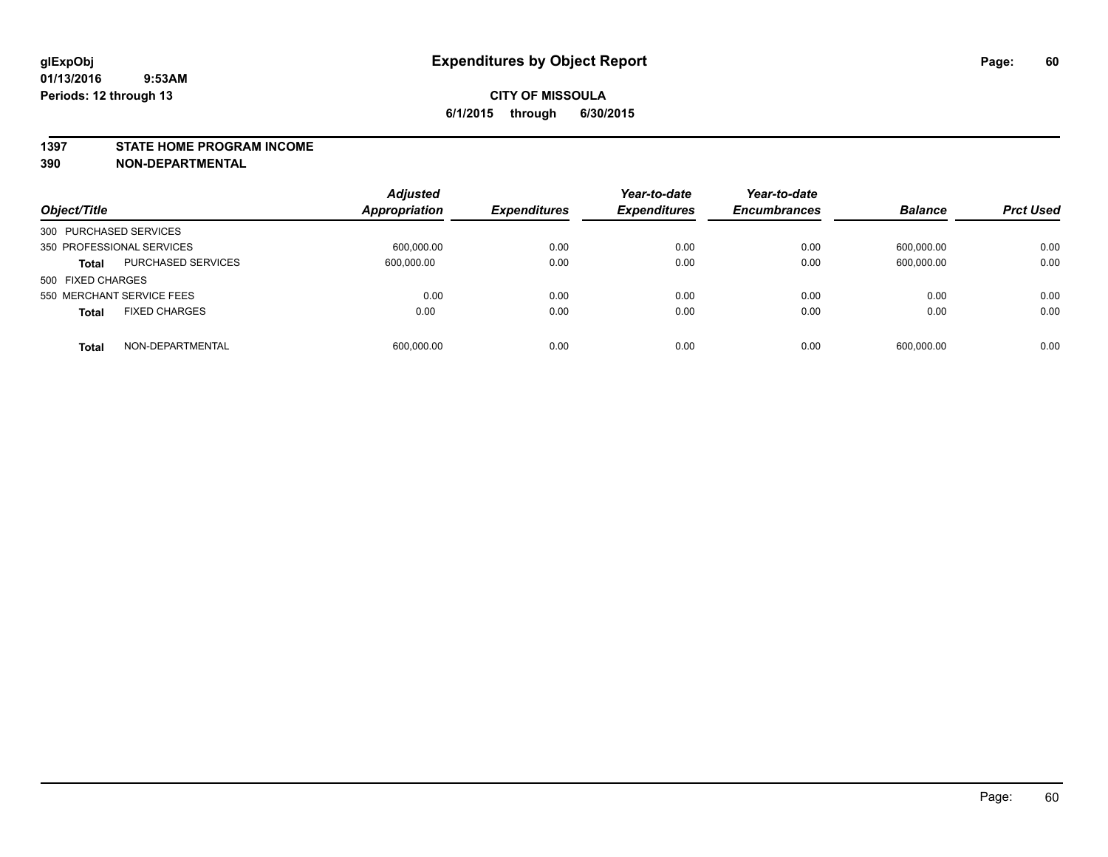#### **1397 STATE HOME PROGRAM INCOME**

**390 NON-DEPARTMENTAL**

| Object/Title                              | <b>Adjusted</b><br><b>Appropriation</b> | <b>Expenditures</b> | Year-to-date<br><b>Expenditures</b> | Year-to-date<br><b>Encumbrances</b> | <b>Balance</b> | <b>Prct Used</b> |
|-------------------------------------------|-----------------------------------------|---------------------|-------------------------------------|-------------------------------------|----------------|------------------|
| 300 PURCHASED SERVICES                    |                                         |                     |                                     |                                     |                |                  |
| 350 PROFESSIONAL SERVICES                 | 600,000.00                              | 0.00                | 0.00                                | 0.00                                | 600,000.00     | 0.00             |
| <b>PURCHASED SERVICES</b><br><b>Total</b> | 600,000.00                              | 0.00                | 0.00                                | 0.00                                | 600,000.00     | 0.00             |
| 500 FIXED CHARGES                         |                                         |                     |                                     |                                     |                |                  |
| 550 MERCHANT SERVICE FEES                 | 0.00                                    | 0.00                | 0.00                                | 0.00                                | 0.00           | 0.00             |
| <b>FIXED CHARGES</b><br><b>Total</b>      | 0.00                                    | 0.00                | 0.00                                | 0.00                                | 0.00           | 0.00             |
| NON-DEPARTMENTAL<br><b>Total</b>          | 600,000.00                              | 0.00                | 0.00                                | 0.00                                | 600,000.00     | 0.00             |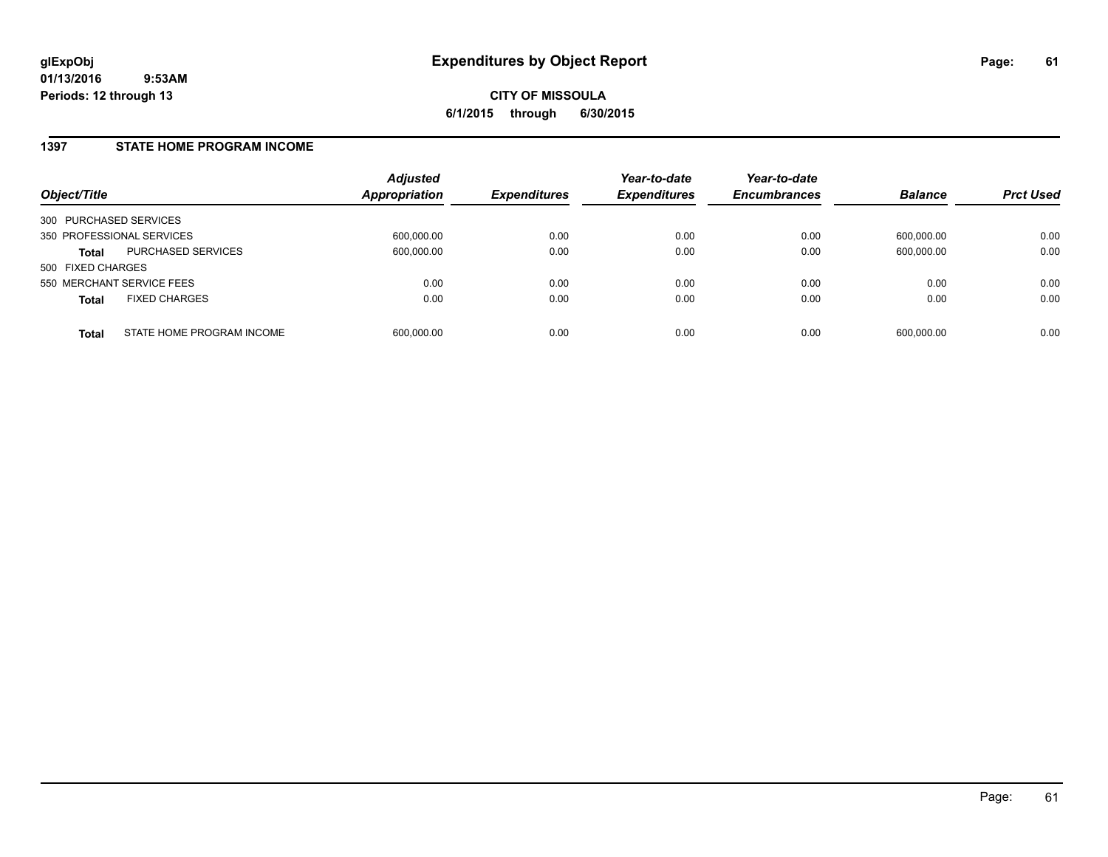#### **1397 STATE HOME PROGRAM INCOME**

| Object/Title              |                           | <b>Adjusted</b><br><b>Appropriation</b> | <b>Expenditures</b> | Year-to-date<br><b>Expenditures</b> | Year-to-date<br><b>Encumbrances</b> | <b>Balance</b> | <b>Prct Used</b> |
|---------------------------|---------------------------|-----------------------------------------|---------------------|-------------------------------------|-------------------------------------|----------------|------------------|
| 300 PURCHASED SERVICES    |                           |                                         |                     |                                     |                                     |                |                  |
| 350 PROFESSIONAL SERVICES |                           | 600,000.00                              | 0.00                | 0.00                                | 0.00                                | 600,000.00     | 0.00             |
| <b>Total</b>              | <b>PURCHASED SERVICES</b> | 600,000.00                              | 0.00                | 0.00                                | 0.00                                | 600,000.00     | 0.00             |
| 500 FIXED CHARGES         |                           |                                         |                     |                                     |                                     |                |                  |
| 550 MERCHANT SERVICE FEES |                           | 0.00                                    | 0.00                | 0.00                                | 0.00                                | 0.00           | 0.00             |
| <b>Total</b>              | <b>FIXED CHARGES</b>      | 0.00                                    | 0.00                | 0.00                                | 0.00                                | 0.00           | 0.00             |
| <b>Total</b>              | STATE HOME PROGRAM INCOME | 600,000.00                              | 0.00                | 0.00                                | 0.00                                | 600,000.00     | 0.00             |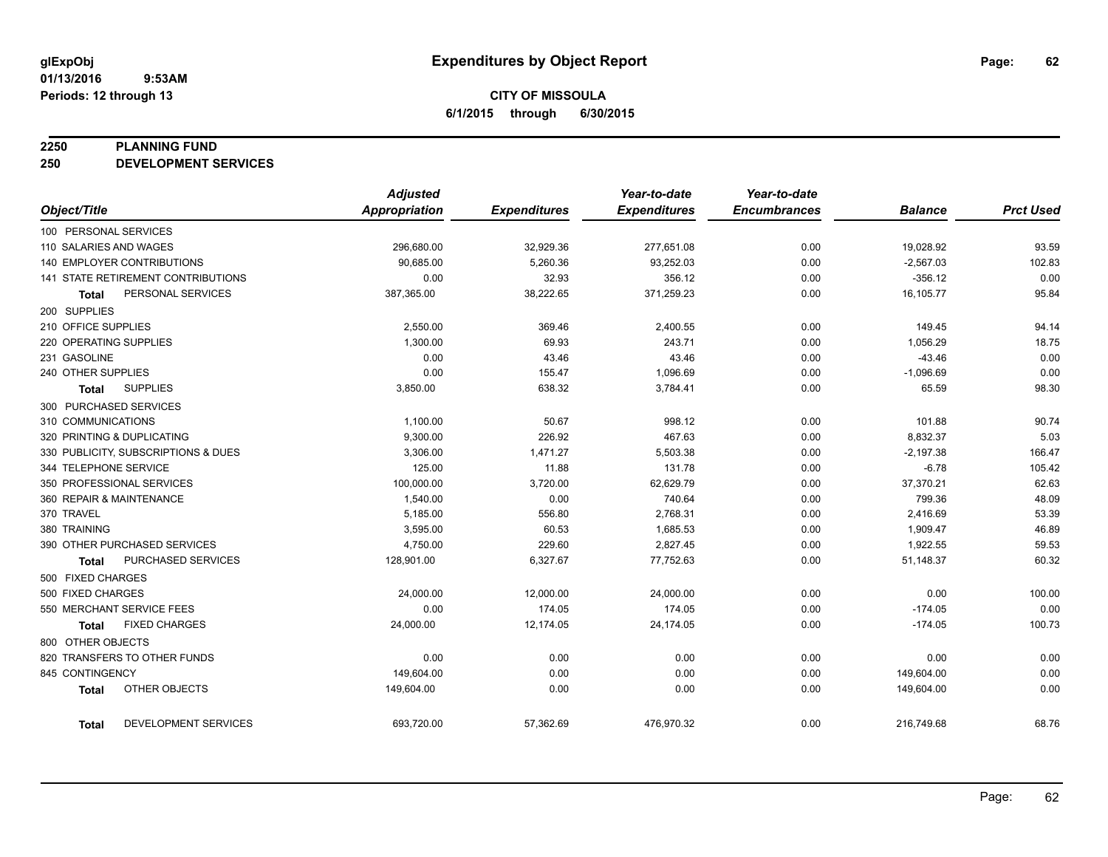#### **2250 PLANNING FUND**

**250 DEVELOPMENT SERVICES**

|                                   |                                     | <b>Adjusted</b>      |                     | Year-to-date        | Year-to-date        |                |                  |
|-----------------------------------|-------------------------------------|----------------------|---------------------|---------------------|---------------------|----------------|------------------|
| Object/Title                      |                                     | <b>Appropriation</b> | <b>Expenditures</b> | <b>Expenditures</b> | <b>Encumbrances</b> | <b>Balance</b> | <b>Prct Used</b> |
| 100 PERSONAL SERVICES             |                                     |                      |                     |                     |                     |                |                  |
| 110 SALARIES AND WAGES            |                                     | 296,680.00           | 32,929.36           | 277,651.08          | 0.00                | 19,028.92      | 93.59            |
| <b>140 EMPLOYER CONTRIBUTIONS</b> |                                     | 90.685.00            | 5,260.36            | 93,252.03           | 0.00                | $-2,567.03$    | 102.83           |
|                                   | 141 STATE RETIREMENT CONTRIBUTIONS  | 0.00                 | 32.93               | 356.12              | 0.00                | $-356.12$      | 0.00             |
| Total                             | PERSONAL SERVICES                   | 387,365.00           | 38,222.65           | 371,259.23          | 0.00                | 16,105.77      | 95.84            |
| 200 SUPPLIES                      |                                     |                      |                     |                     |                     |                |                  |
| 210 OFFICE SUPPLIES               |                                     | 2,550.00             | 369.46              | 2,400.55            | 0.00                | 149.45         | 94.14            |
| 220 OPERATING SUPPLIES            |                                     | 1,300.00             | 69.93               | 243.71              | 0.00                | 1,056.29       | 18.75            |
| 231 GASOLINE                      |                                     | 0.00                 | 43.46               | 43.46               | 0.00                | $-43.46$       | 0.00             |
| 240 OTHER SUPPLIES                |                                     | 0.00                 | 155.47              | 1,096.69            | 0.00                | $-1,096.69$    | 0.00             |
| Total                             | <b>SUPPLIES</b>                     | 3,850.00             | 638.32              | 3,784.41            | 0.00                | 65.59          | 98.30            |
| 300 PURCHASED SERVICES            |                                     |                      |                     |                     |                     |                |                  |
| 310 COMMUNICATIONS                |                                     | 1,100.00             | 50.67               | 998.12              | 0.00                | 101.88         | 90.74            |
| 320 PRINTING & DUPLICATING        |                                     | 9,300.00             | 226.92              | 467.63              | 0.00                | 8,832.37       | 5.03             |
|                                   | 330 PUBLICITY, SUBSCRIPTIONS & DUES | 3,306.00             | 1,471.27            | 5,503.38            | 0.00                | $-2,197.38$    | 166.47           |
| 344 TELEPHONE SERVICE             |                                     | 125.00               | 11.88               | 131.78              | 0.00                | $-6.78$        | 105.42           |
| 350 PROFESSIONAL SERVICES         |                                     | 100,000.00           | 3,720.00            | 62,629.79           | 0.00                | 37,370.21      | 62.63            |
| 360 REPAIR & MAINTENANCE          |                                     | 1,540.00             | 0.00                | 740.64              | 0.00                | 799.36         | 48.09            |
| 370 TRAVEL                        |                                     | 5,185.00             | 556.80              | 2,768.31            | 0.00                | 2,416.69       | 53.39            |
| 380 TRAINING                      |                                     | 3,595.00             | 60.53               | 1,685.53            | 0.00                | 1,909.47       | 46.89            |
|                                   | 390 OTHER PURCHASED SERVICES        | 4,750.00             | 229.60              | 2,827.45            | 0.00                | 1,922.55       | 59.53            |
| Total                             | PURCHASED SERVICES                  | 128,901.00           | 6,327.67            | 77,752.63           | 0.00                | 51,148.37      | 60.32            |
| 500 FIXED CHARGES                 |                                     |                      |                     |                     |                     |                |                  |
| 500 FIXED CHARGES                 |                                     | 24,000.00            | 12,000.00           | 24,000.00           | 0.00                | 0.00           | 100.00           |
| 550 MERCHANT SERVICE FEES         |                                     | 0.00                 | 174.05              | 174.05              | 0.00                | $-174.05$      | 0.00             |
| Total                             | <b>FIXED CHARGES</b>                | 24,000.00            | 12,174.05           | 24,174.05           | 0.00                | $-174.05$      | 100.73           |
| 800 OTHER OBJECTS                 |                                     |                      |                     |                     |                     |                |                  |
|                                   | 820 TRANSFERS TO OTHER FUNDS        | 0.00                 | 0.00                | 0.00                | 0.00                | 0.00           | 0.00             |
| 845 CONTINGENCY                   |                                     | 149,604.00           | 0.00                | 0.00                | 0.00                | 149,604.00     | 0.00             |
| <b>Total</b>                      | OTHER OBJECTS                       | 149,604.00           | 0.00                | 0.00                | 0.00                | 149,604.00     | 0.00             |
| <b>Total</b>                      | DEVELOPMENT SERVICES                | 693,720.00           | 57,362.69           | 476,970.32          | 0.00                | 216,749.68     | 68.76            |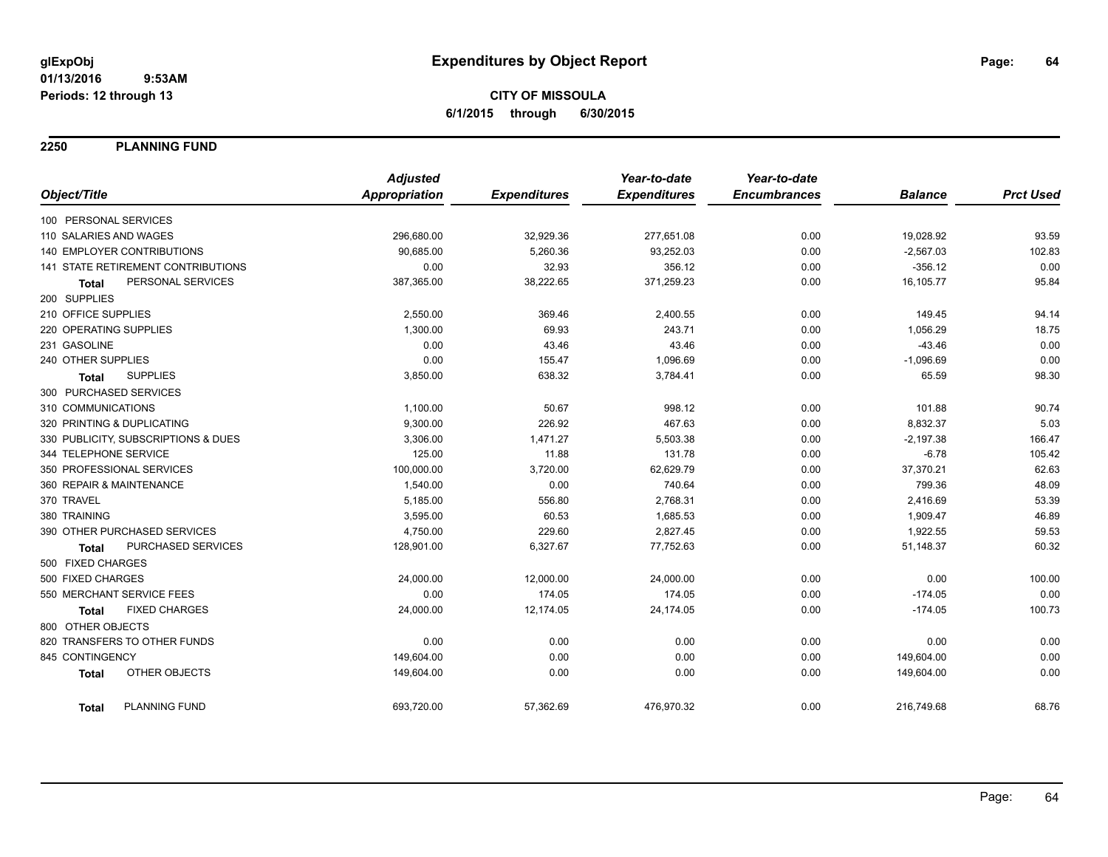**2250 PLANNING FUND**

|                                           | <b>Adjusted</b>      |                     | Year-to-date        | Year-to-date        |                |                  |
|-------------------------------------------|----------------------|---------------------|---------------------|---------------------|----------------|------------------|
| Object/Title                              | <b>Appropriation</b> | <b>Expenditures</b> | <b>Expenditures</b> | <b>Encumbrances</b> | <b>Balance</b> | <b>Prct Used</b> |
| 100 PERSONAL SERVICES                     |                      |                     |                     |                     |                |                  |
| 110 SALARIES AND WAGES                    | 296,680.00           | 32,929.36           | 277,651.08          | 0.00                | 19,028.92      | 93.59            |
| 140 EMPLOYER CONTRIBUTIONS                | 90,685.00            | 5,260.36            | 93,252.03           | 0.00                | $-2,567.03$    | 102.83           |
| 141 STATE RETIREMENT CONTRIBUTIONS        | 0.00                 | 32.93               | 356.12              | 0.00                | $-356.12$      | 0.00             |
| PERSONAL SERVICES<br><b>Total</b>         | 387,365.00           | 38,222.65           | 371,259.23          | 0.00                | 16,105.77      | 95.84            |
| 200 SUPPLIES                              |                      |                     |                     |                     |                |                  |
| 210 OFFICE SUPPLIES                       | 2,550.00             | 369.46              | 2,400.55            | 0.00                | 149.45         | 94.14            |
| 220 OPERATING SUPPLIES                    | 1,300.00             | 69.93               | 243.71              | 0.00                | 1,056.29       | 18.75            |
| 231 GASOLINE                              | 0.00                 | 43.46               | 43.46               | 0.00                | $-43.46$       | 0.00             |
| 240 OTHER SUPPLIES                        | 0.00                 | 155.47              | 1,096.69            | 0.00                | $-1,096.69$    | 0.00             |
| <b>SUPPLIES</b><br><b>Total</b>           | 3,850.00             | 638.32              | 3,784.41            | 0.00                | 65.59          | 98.30            |
| 300 PURCHASED SERVICES                    |                      |                     |                     |                     |                |                  |
| 310 COMMUNICATIONS                        | 1,100.00             | 50.67               | 998.12              | 0.00                | 101.88         | 90.74            |
| 320 PRINTING & DUPLICATING                | 9,300.00             | 226.92              | 467.63              | 0.00                | 8,832.37       | 5.03             |
| 330 PUBLICITY, SUBSCRIPTIONS & DUES       | 3,306.00             | 1,471.27            | 5,503.38            | 0.00                | $-2,197.38$    | 166.47           |
| 344 TELEPHONE SERVICE                     | 125.00               | 11.88               | 131.78              | 0.00                | $-6.78$        | 105.42           |
| 350 PROFESSIONAL SERVICES                 | 100,000.00           | 3,720.00            | 62,629.79           | 0.00                | 37,370.21      | 62.63            |
| 360 REPAIR & MAINTENANCE                  | 1,540.00             | 0.00                | 740.64              | 0.00                | 799.36         | 48.09            |
| 370 TRAVEL                                | 5,185.00             | 556.80              | 2,768.31            | 0.00                | 2,416.69       | 53.39            |
| 380 TRAINING                              | 3,595.00             | 60.53               | 1,685.53            | 0.00                | 1,909.47       | 46.89            |
| 390 OTHER PURCHASED SERVICES              | 4,750.00             | 229.60              | 2,827.45            | 0.00                | 1,922.55       | 59.53            |
| <b>PURCHASED SERVICES</b><br><b>Total</b> | 128,901.00           | 6,327.67            | 77,752.63           | 0.00                | 51,148.37      | 60.32            |
| 500 FIXED CHARGES                         |                      |                     |                     |                     |                |                  |
| 500 FIXED CHARGES                         | 24,000.00            | 12,000.00           | 24,000.00           | 0.00                | 0.00           | 100.00           |
| 550 MERCHANT SERVICE FEES                 | 0.00                 | 174.05              | 174.05              | 0.00                | $-174.05$      | 0.00             |
| <b>FIXED CHARGES</b><br>Total             | 24,000.00            | 12,174.05           | 24,174.05           | 0.00                | $-174.05$      | 100.73           |
| 800 OTHER OBJECTS                         |                      |                     |                     |                     |                |                  |
| 820 TRANSFERS TO OTHER FUNDS              | 0.00                 | 0.00                | 0.00                | 0.00                | 0.00           | 0.00             |
| 845 CONTINGENCY                           | 149,604.00           | 0.00                | 0.00                | 0.00                | 149,604.00     | 0.00             |
| OTHER OBJECTS<br><b>Total</b>             | 149,604.00           | 0.00                | 0.00                | 0.00                | 149,604.00     | 0.00             |
| PLANNING FUND<br><b>Total</b>             | 693,720.00           | 57,362.69           | 476.970.32          | 0.00                | 216,749.68     | 68.76            |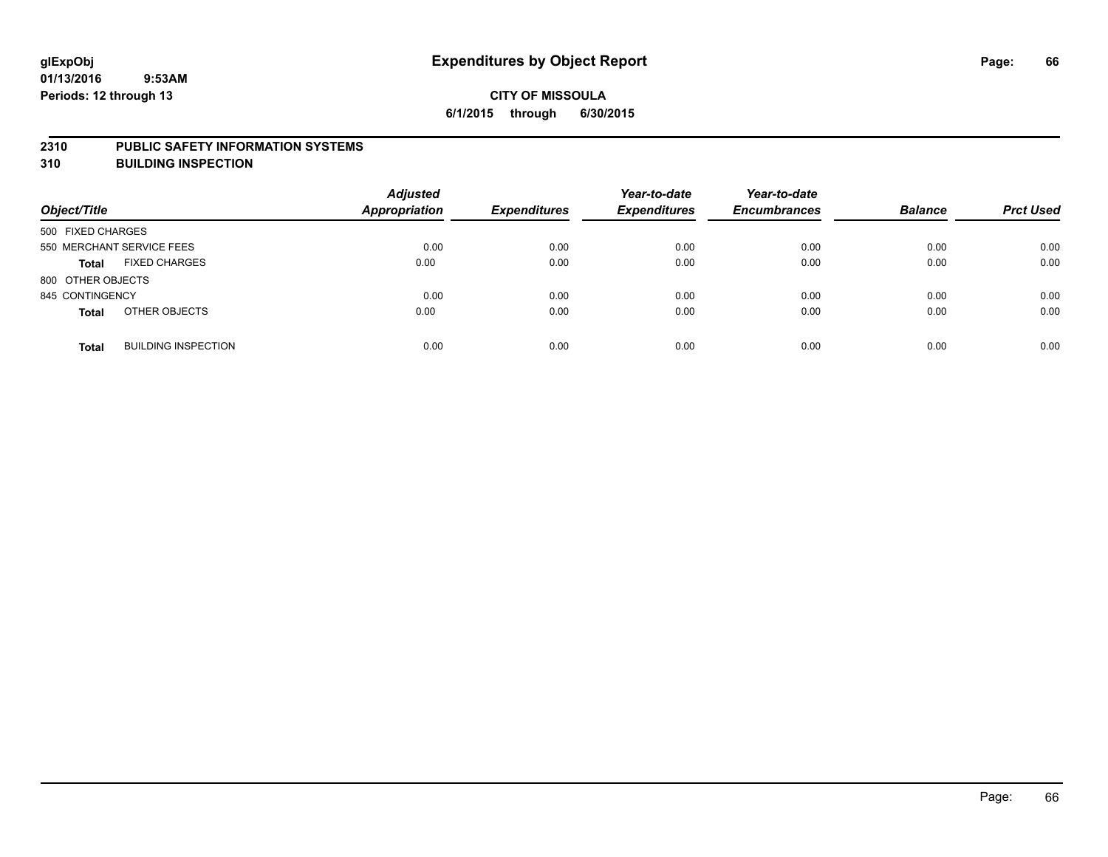#### **2310 PUBLIC SAFETY INFORMATION SYSTEMS**

**310 BUILDING INSPECTION**

| Object/Title              |                            | <b>Adjusted</b><br>Appropriation | <b>Expenditures</b> | Year-to-date<br><b>Expenditures</b> | Year-to-date<br><b>Encumbrances</b> | <b>Balance</b> | <b>Prct Used</b> |
|---------------------------|----------------------------|----------------------------------|---------------------|-------------------------------------|-------------------------------------|----------------|------------------|
| 500 FIXED CHARGES         |                            |                                  |                     |                                     |                                     |                |                  |
| 550 MERCHANT SERVICE FEES |                            | 0.00                             | 0.00                | 0.00                                | 0.00                                | 0.00           | 0.00             |
| <b>Total</b>              | <b>FIXED CHARGES</b>       | 0.00                             | 0.00                | 0.00                                | 0.00                                | 0.00           | 0.00             |
| 800 OTHER OBJECTS         |                            |                                  |                     |                                     |                                     |                |                  |
| 845 CONTINGENCY           |                            | 0.00                             | 0.00                | 0.00                                | 0.00                                | 0.00           | 0.00             |
| <b>Total</b>              | OTHER OBJECTS              | 0.00                             | 0.00                | 0.00                                | 0.00                                | 0.00           | 0.00             |
| <b>Total</b>              | <b>BUILDING INSPECTION</b> | 0.00                             | 0.00                | 0.00                                | 0.00                                | 0.00           | 0.00             |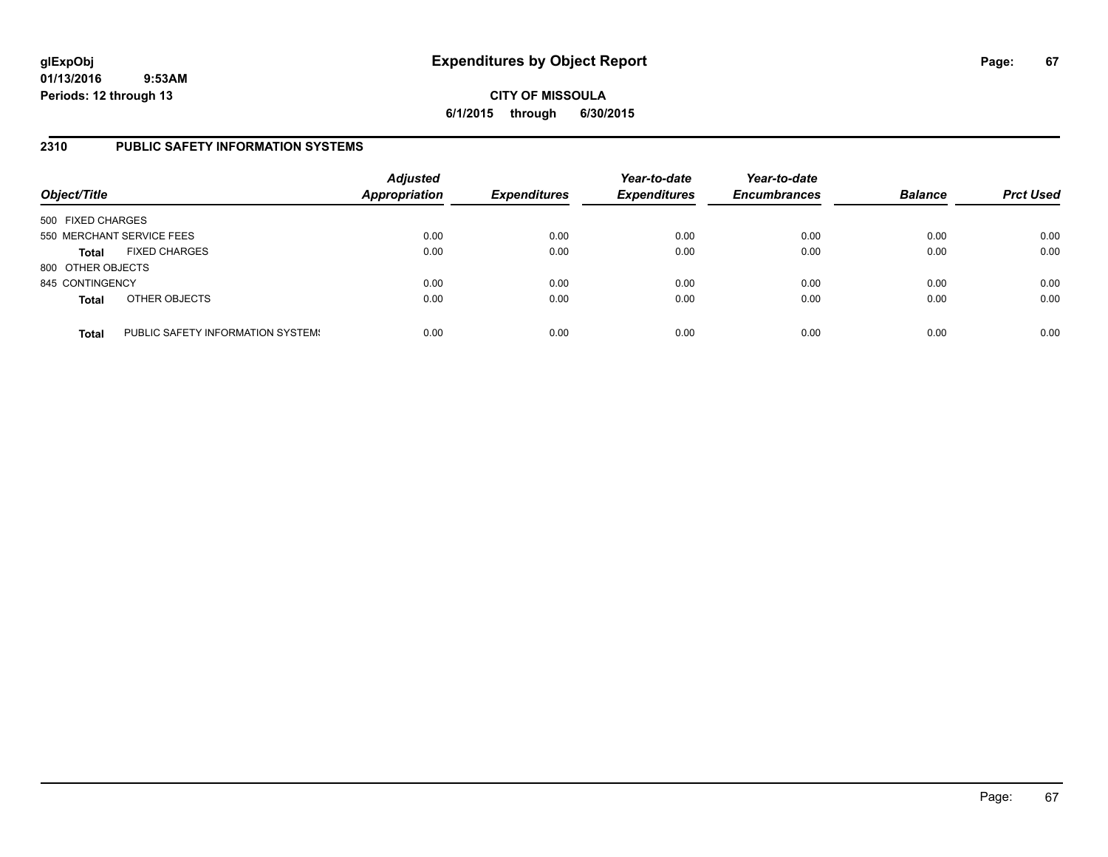## **CITY OF MISSOULA 6/1/2015 through 6/30/2015**

### **2310 PUBLIC SAFETY INFORMATION SYSTEMS**

| Object/Title      |                                   | <b>Adjusted</b><br><b>Appropriation</b> | <b>Expenditures</b> | Year-to-date<br><b>Expenditures</b> | Year-to-date<br><b>Encumbrances</b> | <b>Balance</b> | <b>Prct Used</b> |
|-------------------|-----------------------------------|-----------------------------------------|---------------------|-------------------------------------|-------------------------------------|----------------|------------------|
| 500 FIXED CHARGES |                                   |                                         |                     |                                     |                                     |                |                  |
|                   | 550 MERCHANT SERVICE FEES         | 0.00                                    | 0.00                | 0.00                                | 0.00                                | 0.00           | 0.00             |
| <b>Total</b>      | <b>FIXED CHARGES</b>              | 0.00                                    | 0.00                | 0.00                                | 0.00                                | 0.00           | 0.00             |
| 800 OTHER OBJECTS |                                   |                                         |                     |                                     |                                     |                |                  |
| 845 CONTINGENCY   |                                   | 0.00                                    | 0.00                | 0.00                                | 0.00                                | 0.00           | 0.00             |
| <b>Total</b>      | OTHER OBJECTS                     | 0.00                                    | 0.00                | 0.00                                | 0.00                                | 0.00           | 0.00             |
| <b>Total</b>      | PUBLIC SAFETY INFORMATION SYSTEM! | 0.00                                    | 0.00                | 0.00                                | 0.00                                | 0.00           | 0.00             |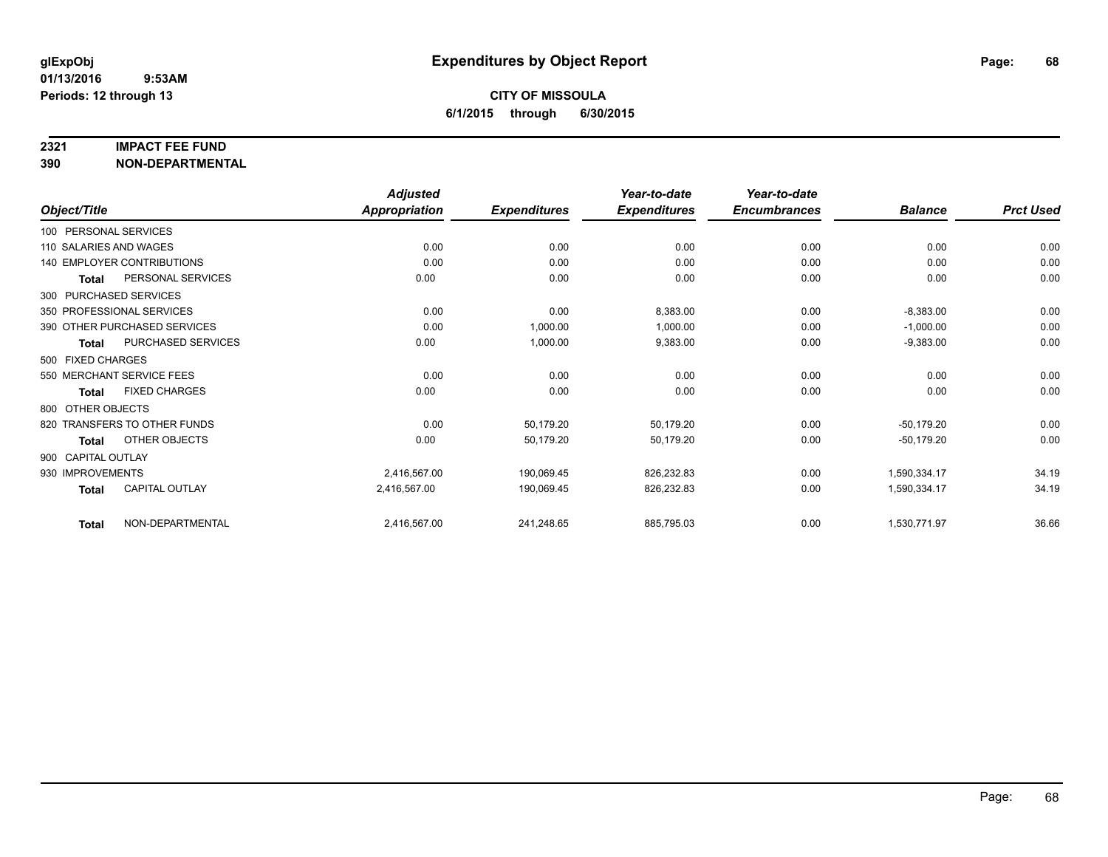#### **2321 IMPACT FEE FUND**

**390 NON-DEPARTMENTAL**

|                        |                              | <b>Adjusted</b>      |                     | Year-to-date        | Year-to-date        |                |                  |
|------------------------|------------------------------|----------------------|---------------------|---------------------|---------------------|----------------|------------------|
| Object/Title           |                              | <b>Appropriation</b> | <b>Expenditures</b> | <b>Expenditures</b> | <b>Encumbrances</b> | <b>Balance</b> | <b>Prct Used</b> |
| 100 PERSONAL SERVICES  |                              |                      |                     |                     |                     |                |                  |
| 110 SALARIES AND WAGES |                              | 0.00                 | 0.00                | 0.00                | 0.00                | 0.00           | 0.00             |
|                        | 140 EMPLOYER CONTRIBUTIONS   | 0.00                 | 0.00                | 0.00                | 0.00                | 0.00           | 0.00             |
| Total                  | PERSONAL SERVICES            | 0.00                 | 0.00                | 0.00                | 0.00                | 0.00           | 0.00             |
| 300 PURCHASED SERVICES |                              |                      |                     |                     |                     |                |                  |
|                        | 350 PROFESSIONAL SERVICES    | 0.00                 | 0.00                | 8,383.00            | 0.00                | $-8,383.00$    | 0.00             |
|                        | 390 OTHER PURCHASED SERVICES | 0.00                 | 1,000.00            | 1,000.00            | 0.00                | $-1,000.00$    | 0.00             |
| Total                  | <b>PURCHASED SERVICES</b>    | 0.00                 | 1,000.00            | 9,383.00            | 0.00                | $-9,383.00$    | 0.00             |
| 500 FIXED CHARGES      |                              |                      |                     |                     |                     |                |                  |
|                        | 550 MERCHANT SERVICE FEES    | 0.00                 | 0.00                | 0.00                | 0.00                | 0.00           | 0.00             |
| <b>Total</b>           | <b>FIXED CHARGES</b>         | 0.00                 | 0.00                | 0.00                | 0.00                | 0.00           | 0.00             |
| 800 OTHER OBJECTS      |                              |                      |                     |                     |                     |                |                  |
|                        | 820 TRANSFERS TO OTHER FUNDS | 0.00                 | 50,179.20           | 50,179.20           | 0.00                | $-50,179.20$   | 0.00             |
| Total                  | OTHER OBJECTS                | 0.00                 | 50,179.20           | 50,179.20           | 0.00                | $-50,179.20$   | 0.00             |
| 900 CAPITAL OUTLAY     |                              |                      |                     |                     |                     |                |                  |
| 930 IMPROVEMENTS       |                              | 2,416,567.00         | 190,069.45          | 826,232.83          | 0.00                | 1,590,334.17   | 34.19            |
| Total                  | CAPITAL OUTLAY               | 2,416,567.00         | 190,069.45          | 826,232.83          | 0.00                | 1,590,334.17   | 34.19            |
| <b>Total</b>           | NON-DEPARTMENTAL             | 2,416,567.00         | 241,248.65          | 885,795.03          | 0.00                | 1,530,771.97   | 36.66            |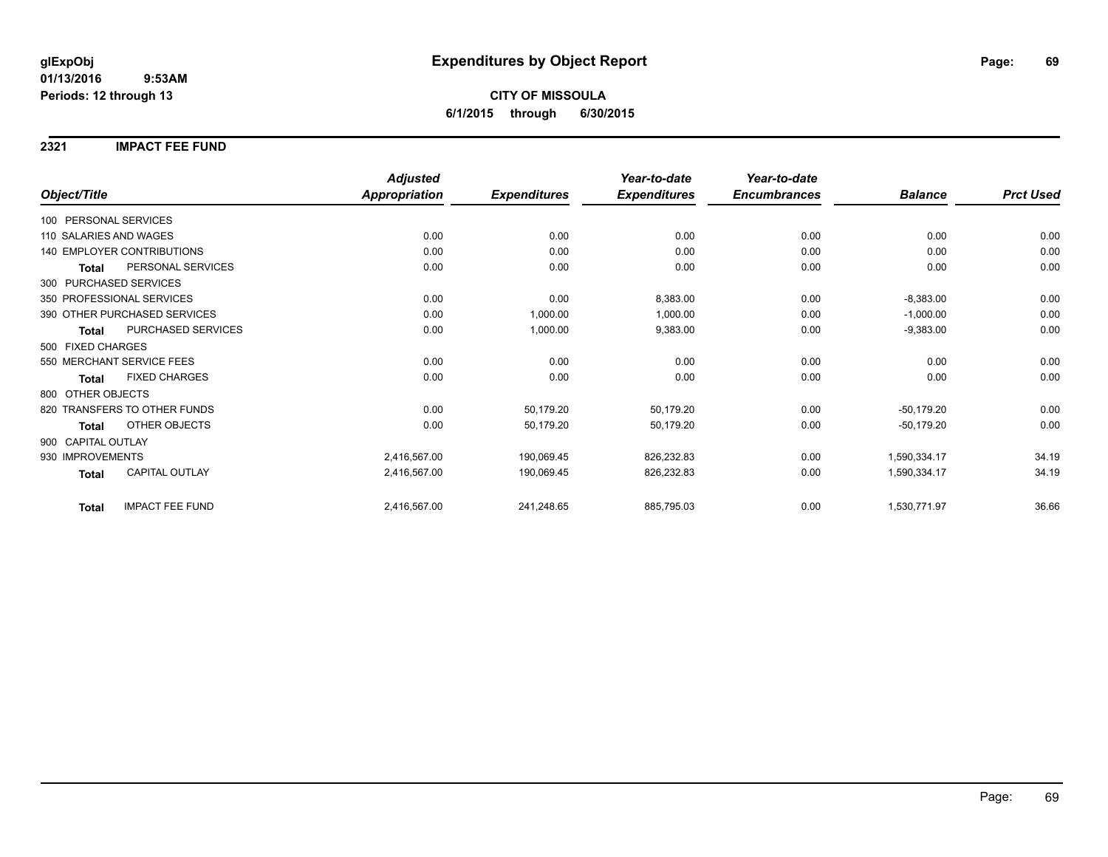#### **2321 IMPACT FEE FUND**

|                                        | <b>Adjusted</b>      |                     | Year-to-date        | Year-to-date        |                |                  |
|----------------------------------------|----------------------|---------------------|---------------------|---------------------|----------------|------------------|
| Object/Title                           | <b>Appropriation</b> | <b>Expenditures</b> | <b>Expenditures</b> | <b>Encumbrances</b> | <b>Balance</b> | <b>Prct Used</b> |
| 100 PERSONAL SERVICES                  |                      |                     |                     |                     |                |                  |
| 110 SALARIES AND WAGES                 | 0.00                 | 0.00                | 0.00                | 0.00                | 0.00           | 0.00             |
| <b>140 EMPLOYER CONTRIBUTIONS</b>      | 0.00                 | 0.00                | 0.00                | 0.00                | 0.00           | 0.00             |
| PERSONAL SERVICES<br><b>Total</b>      | 0.00                 | 0.00                | 0.00                | 0.00                | 0.00           | 0.00             |
| 300 PURCHASED SERVICES                 |                      |                     |                     |                     |                |                  |
| 350 PROFESSIONAL SERVICES              | 0.00                 | 0.00                | 8,383.00            | 0.00                | $-8,383.00$    | 0.00             |
| 390 OTHER PURCHASED SERVICES           | 0.00                 | 1,000.00            | 1,000.00            | 0.00                | $-1,000.00$    | 0.00             |
| PURCHASED SERVICES<br><b>Total</b>     | 0.00                 | 1,000.00            | 9,383.00            | 0.00                | $-9,383.00$    | 0.00             |
| 500 FIXED CHARGES                      |                      |                     |                     |                     |                |                  |
| 550 MERCHANT SERVICE FEES              | 0.00                 | 0.00                | 0.00                | 0.00                | 0.00           | 0.00             |
| <b>FIXED CHARGES</b><br><b>Total</b>   | 0.00                 | 0.00                | 0.00                | 0.00                | 0.00           | 0.00             |
| 800 OTHER OBJECTS                      |                      |                     |                     |                     |                |                  |
| 820 TRANSFERS TO OTHER FUNDS           | 0.00                 | 50,179.20           | 50,179.20           | 0.00                | $-50,179.20$   | 0.00             |
| <b>OTHER OBJECTS</b><br><b>Total</b>   | 0.00                 | 50,179.20           | 50,179.20           | 0.00                | $-50,179.20$   | 0.00             |
| 900 CAPITAL OUTLAY                     |                      |                     |                     |                     |                |                  |
| 930 IMPROVEMENTS                       | 2,416,567.00         | 190,069.45          | 826,232.83          | 0.00                | 1,590,334.17   | 34.19            |
| <b>CAPITAL OUTLAY</b><br><b>Total</b>  | 2,416,567.00         | 190,069.45          | 826,232.83          | 0.00                | 1,590,334.17   | 34.19            |
| <b>IMPACT FEE FUND</b><br><b>Total</b> | 2,416,567.00         | 241,248.65          | 885,795.03          | 0.00                | 1,530,771.97   | 36.66            |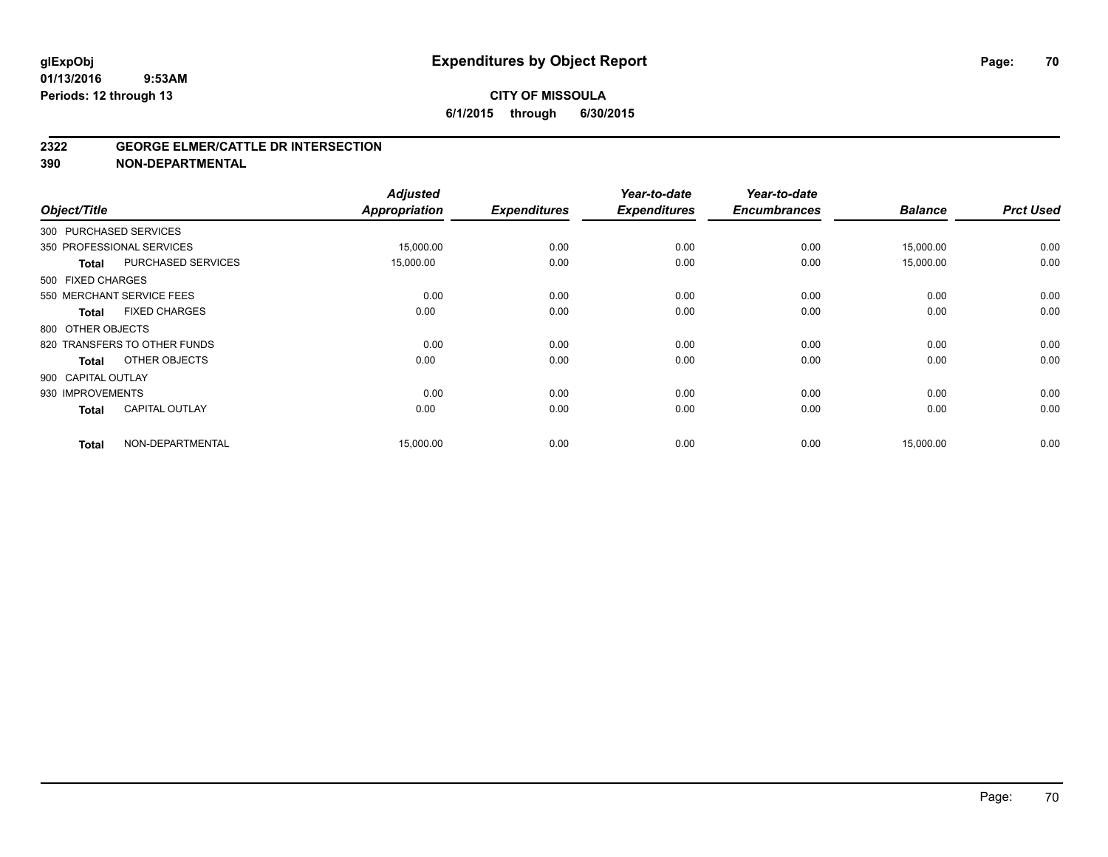### **CITY OF MISSOULA 6/1/2015 through 6/30/2015**

#### **2322 GEORGE ELMER/CATTLE DR INTERSECTION**

**390 NON-DEPARTMENTAL**

| Object/Title       |                              | <b>Adjusted</b><br><b>Appropriation</b> | <b>Expenditures</b> | Year-to-date<br><b>Expenditures</b> | Year-to-date<br><b>Encumbrances</b> | <b>Balance</b> | <b>Prct Used</b> |
|--------------------|------------------------------|-----------------------------------------|---------------------|-------------------------------------|-------------------------------------|----------------|------------------|
|                    | 300 PURCHASED SERVICES       |                                         |                     |                                     |                                     |                |                  |
|                    | 350 PROFESSIONAL SERVICES    | 15,000.00                               | 0.00                | 0.00                                | 0.00                                | 15,000.00      | 0.00             |
| <b>Total</b>       | PURCHASED SERVICES           | 15,000.00                               | 0.00                | 0.00                                | 0.00                                | 15,000.00      | 0.00             |
| 500 FIXED CHARGES  |                              |                                         |                     |                                     |                                     |                |                  |
|                    | 550 MERCHANT SERVICE FEES    | 0.00                                    | 0.00                | 0.00                                | 0.00                                | 0.00           | 0.00             |
| <b>Total</b>       | <b>FIXED CHARGES</b>         | 0.00                                    | 0.00                | 0.00                                | 0.00                                | 0.00           | 0.00             |
| 800 OTHER OBJECTS  |                              |                                         |                     |                                     |                                     |                |                  |
|                    | 820 TRANSFERS TO OTHER FUNDS | 0.00                                    | 0.00                | 0.00                                | 0.00                                | 0.00           | 0.00             |
| <b>Total</b>       | OTHER OBJECTS                | 0.00                                    | 0.00                | 0.00                                | 0.00                                | 0.00           | 0.00             |
| 900 CAPITAL OUTLAY |                              |                                         |                     |                                     |                                     |                |                  |
| 930 IMPROVEMENTS   |                              | 0.00                                    | 0.00                | 0.00                                | 0.00                                | 0.00           | 0.00             |
| <b>Total</b>       | <b>CAPITAL OUTLAY</b>        | 0.00                                    | 0.00                | 0.00                                | 0.00                                | 0.00           | 0.00             |
| <b>Total</b>       | NON-DEPARTMENTAL             | 15,000.00                               | 0.00                | 0.00                                | 0.00                                | 15,000.00      | 0.00             |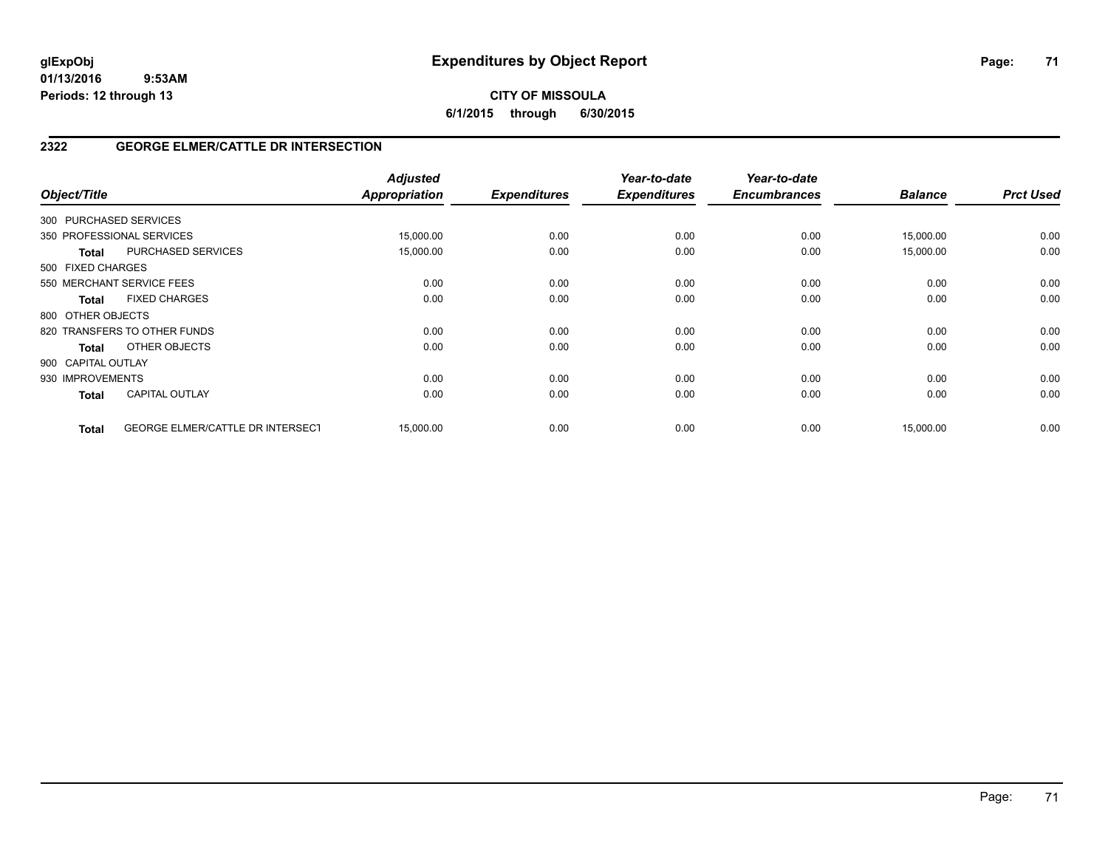## **CITY OF MISSOULA 6/1/2015 through 6/30/2015**

## **2322 GEORGE ELMER/CATTLE DR INTERSECTION**

| Object/Title           |                                         | <b>Adjusted</b><br>Appropriation | <b>Expenditures</b> | Year-to-date<br><b>Expenditures</b> | Year-to-date<br><b>Encumbrances</b> | <b>Balance</b> | <b>Prct Used</b> |
|------------------------|-----------------------------------------|----------------------------------|---------------------|-------------------------------------|-------------------------------------|----------------|------------------|
| 300 PURCHASED SERVICES |                                         |                                  |                     |                                     |                                     |                |                  |
|                        | 350 PROFESSIONAL SERVICES               | 15,000.00                        | 0.00                | 0.00                                | 0.00                                | 15,000.00      | 0.00             |
| <b>Total</b>           | PURCHASED SERVICES                      | 15,000.00                        | 0.00                | 0.00                                | 0.00                                | 15,000.00      | 0.00             |
| 500 FIXED CHARGES      |                                         |                                  |                     |                                     |                                     |                |                  |
|                        | 550 MERCHANT SERVICE FEES               | 0.00                             | 0.00                | 0.00                                | 0.00                                | 0.00           | 0.00             |
| <b>Total</b>           | <b>FIXED CHARGES</b>                    | 0.00                             | 0.00                | 0.00                                | 0.00                                | 0.00           | 0.00             |
| 800 OTHER OBJECTS      |                                         |                                  |                     |                                     |                                     |                |                  |
|                        | 820 TRANSFERS TO OTHER FUNDS            | 0.00                             | 0.00                | 0.00                                | 0.00                                | 0.00           | 0.00             |
| Total                  | OTHER OBJECTS                           | 0.00                             | 0.00                | 0.00                                | 0.00                                | 0.00           | 0.00             |
| 900 CAPITAL OUTLAY     |                                         |                                  |                     |                                     |                                     |                |                  |
| 930 IMPROVEMENTS       |                                         | 0.00                             | 0.00                | 0.00                                | 0.00                                | 0.00           | 0.00             |
| <b>Total</b>           | <b>CAPITAL OUTLAY</b>                   | 0.00                             | 0.00                | 0.00                                | 0.00                                | 0.00           | 0.00             |
| <b>Total</b>           | <b>GEORGE ELMER/CATTLE DR INTERSECT</b> | 15.000.00                        | 0.00                | 0.00                                | 0.00                                | 15,000.00      | 0.00             |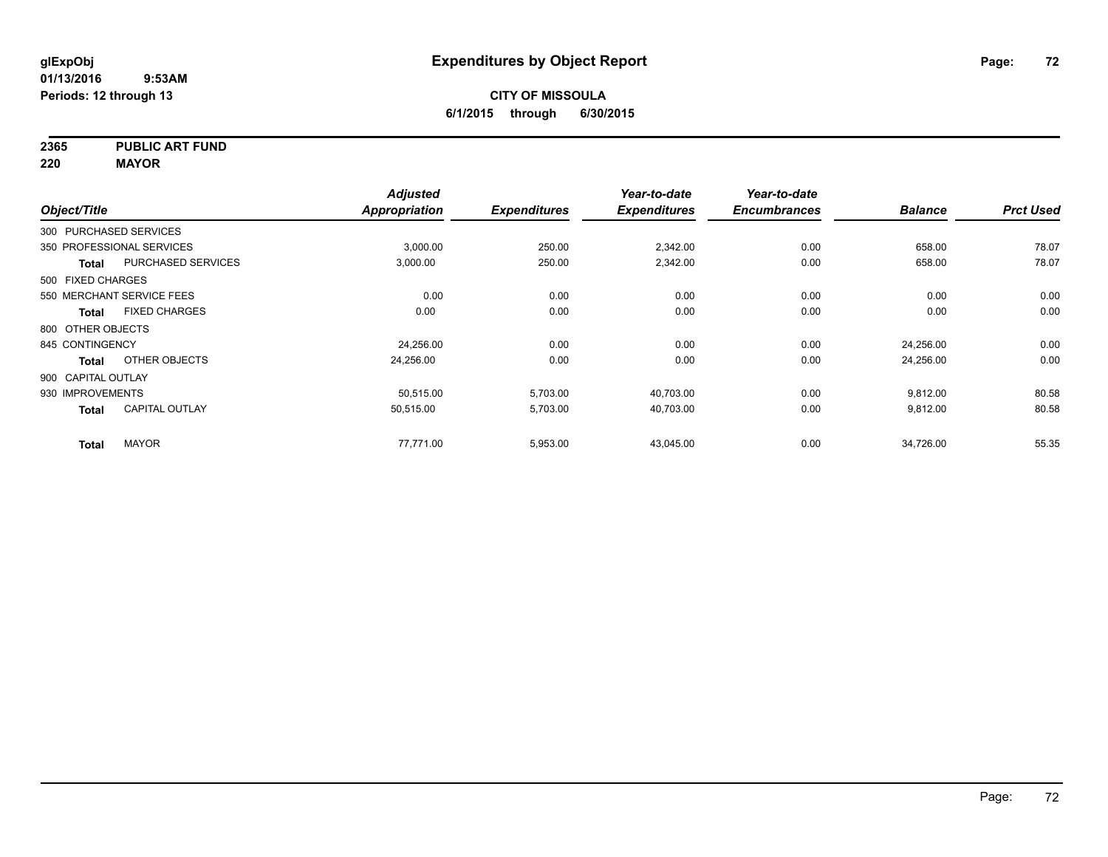**2365 PUBLIC ART FUND**

**220 MAYOR**

| Object/Title           |                           | <b>Adjusted</b><br><b>Appropriation</b> | <b>Expenditures</b> | Year-to-date<br><b>Expenditures</b> | Year-to-date<br><b>Encumbrances</b> | <b>Balance</b> | <b>Prct Used</b> |
|------------------------|---------------------------|-----------------------------------------|---------------------|-------------------------------------|-------------------------------------|----------------|------------------|
| 300 PURCHASED SERVICES |                           |                                         |                     |                                     |                                     |                |                  |
|                        | 350 PROFESSIONAL SERVICES | 3,000.00                                | 250.00              | 2,342.00                            | 0.00                                | 658.00         | 78.07            |
| <b>Total</b>           | <b>PURCHASED SERVICES</b> | 3,000.00                                | 250.00              | 2,342.00                            | 0.00                                | 658.00         | 78.07            |
| 500 FIXED CHARGES      |                           |                                         |                     |                                     |                                     |                |                  |
|                        | 550 MERCHANT SERVICE FEES | 0.00                                    | 0.00                | 0.00                                | 0.00                                | 0.00           | 0.00             |
| Total                  | <b>FIXED CHARGES</b>      | 0.00                                    | 0.00                | 0.00                                | 0.00                                | 0.00           | 0.00             |
| 800 OTHER OBJECTS      |                           |                                         |                     |                                     |                                     |                |                  |
| 845 CONTINGENCY        |                           | 24,256.00                               | 0.00                | 0.00                                | 0.00                                | 24,256.00      | 0.00             |
| <b>Total</b>           | OTHER OBJECTS             | 24,256.00                               | 0.00                | 0.00                                | 0.00                                | 24,256.00      | 0.00             |
| 900 CAPITAL OUTLAY     |                           |                                         |                     |                                     |                                     |                |                  |
| 930 IMPROVEMENTS       |                           | 50.515.00                               | 5,703.00            | 40,703.00                           | 0.00                                | 9,812.00       | 80.58            |
| <b>Total</b>           | <b>CAPITAL OUTLAY</b>     | 50,515.00                               | 5,703.00            | 40,703.00                           | 0.00                                | 9,812.00       | 80.58            |
| <b>Total</b>           | <b>MAYOR</b>              | 77,771.00                               | 5,953.00            | 43,045.00                           | 0.00                                | 34,726.00      | 55.35            |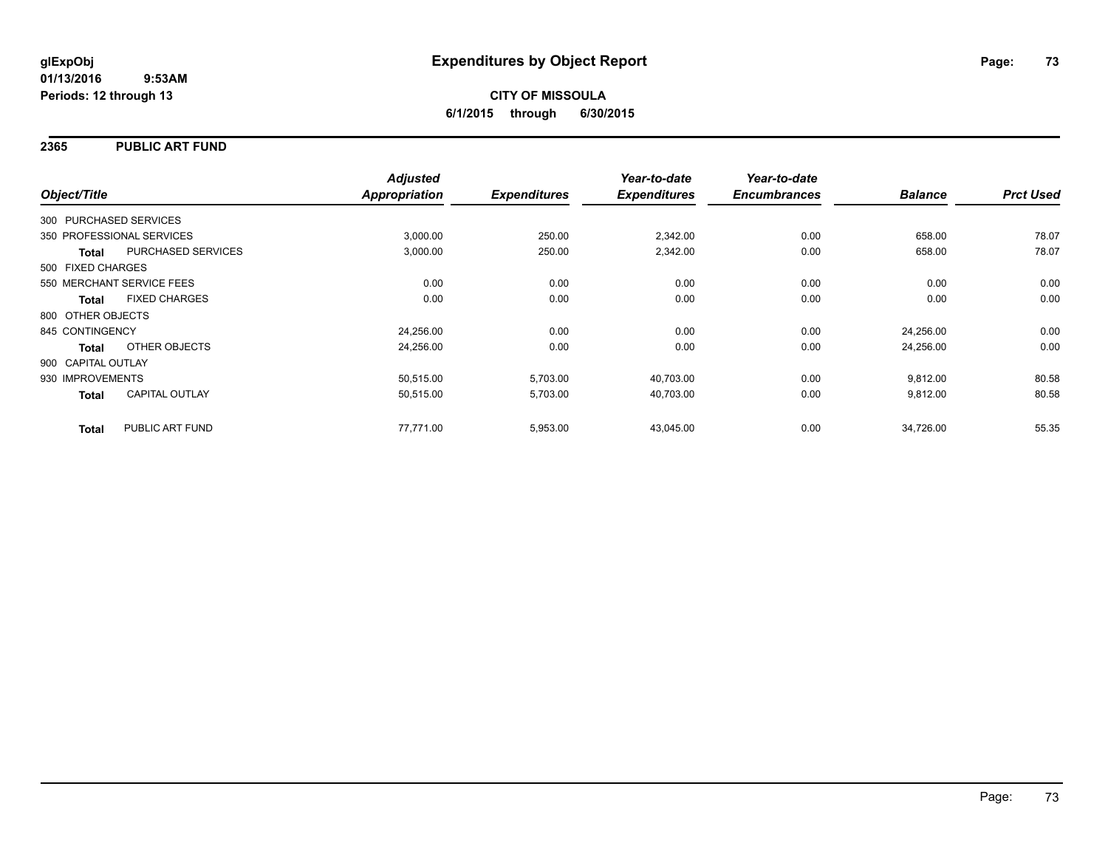## **2365 PUBLIC ART FUND**

|                        |                           | <b>Adjusted</b>      |                     | Year-to-date        | Year-to-date        |                |                  |
|------------------------|---------------------------|----------------------|---------------------|---------------------|---------------------|----------------|------------------|
| Object/Title           |                           | <b>Appropriation</b> | <b>Expenditures</b> | <b>Expenditures</b> | <b>Encumbrances</b> | <b>Balance</b> | <b>Prct Used</b> |
| 300 PURCHASED SERVICES |                           |                      |                     |                     |                     |                |                  |
|                        | 350 PROFESSIONAL SERVICES | 3,000.00             | 250.00              | 2,342.00            | 0.00                | 658.00         | 78.07            |
| <b>Total</b>           | PURCHASED SERVICES        | 3,000.00             | 250.00              | 2,342.00            | 0.00                | 658.00         | 78.07            |
| 500 FIXED CHARGES      |                           |                      |                     |                     |                     |                |                  |
|                        | 550 MERCHANT SERVICE FEES | 0.00                 | 0.00                | 0.00                | 0.00                | 0.00           | 0.00             |
| <b>Total</b>           | <b>FIXED CHARGES</b>      | 0.00                 | 0.00                | 0.00                | 0.00                | 0.00           | 0.00             |
| 800 OTHER OBJECTS      |                           |                      |                     |                     |                     |                |                  |
| 845 CONTINGENCY        |                           | 24,256.00            | 0.00                | 0.00                | 0.00                | 24,256.00      | 0.00             |
| Total                  | OTHER OBJECTS             | 24,256.00            | 0.00                | 0.00                | 0.00                | 24,256.00      | 0.00             |
| 900 CAPITAL OUTLAY     |                           |                      |                     |                     |                     |                |                  |
| 930 IMPROVEMENTS       |                           | 50,515.00            | 5,703.00            | 40,703.00           | 0.00                | 9,812.00       | 80.58            |
| <b>Total</b>           | <b>CAPITAL OUTLAY</b>     | 50,515.00            | 5,703.00            | 40,703.00           | 0.00                | 9,812.00       | 80.58            |
| <b>Total</b>           | PUBLIC ART FUND           | 77,771.00            | 5,953.00            | 43,045.00           | 0.00                | 34,726.00      | 55.35            |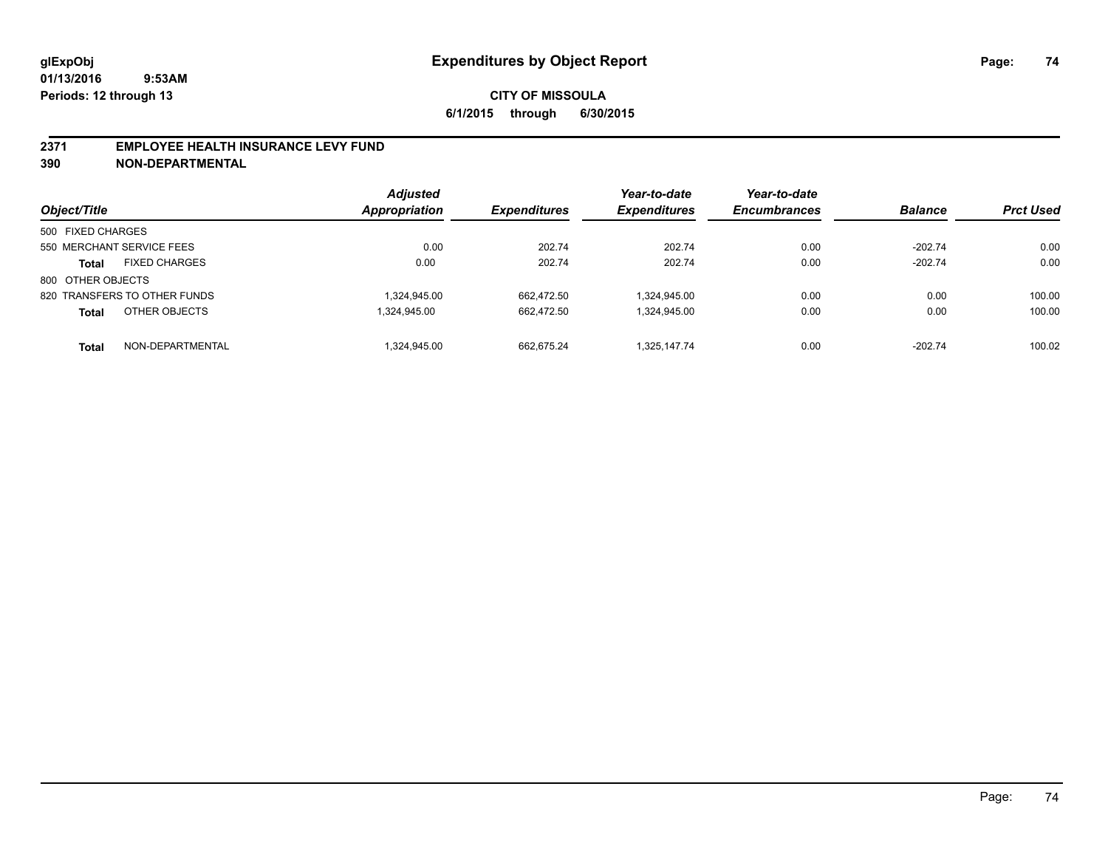#### **2371 EMPLOYEE HEALTH INSURANCE LEVY FUND**

**390 NON-DEPARTMENTAL**

| Object/Title                         | <b>Adjusted</b><br><b>Appropriation</b> | <b>Expenditures</b> | Year-to-date<br><b>Expenditures</b> | Year-to-date<br><b>Encumbrances</b> | <b>Balance</b> | <b>Prct Used</b> |
|--------------------------------------|-----------------------------------------|---------------------|-------------------------------------|-------------------------------------|----------------|------------------|
| 500 FIXED CHARGES                    |                                         |                     |                                     |                                     |                |                  |
| 550 MERCHANT SERVICE FEES            | 0.00                                    | 202.74              | 202.74                              | 0.00                                | $-202.74$      | 0.00             |
| <b>FIXED CHARGES</b><br><b>Total</b> | 0.00                                    | 202.74              | 202.74                              | 0.00                                | $-202.74$      | 0.00             |
| 800 OTHER OBJECTS                    |                                         |                     |                                     |                                     |                |                  |
| 820 TRANSFERS TO OTHER FUNDS         | 1,324,945.00                            | 662.472.50          | 1,324,945.00                        | 0.00                                | 0.00           | 100.00           |
| OTHER OBJECTS<br><b>Total</b>        | 1.324.945.00                            | 662.472.50          | 1,324,945.00                        | 0.00                                | 0.00           | 100.00           |
| NON-DEPARTMENTAL<br><b>Total</b>     | 1.324.945.00                            | 662.675.24          | 1.325.147.74                        | 0.00                                | $-202.74$      | 100.02           |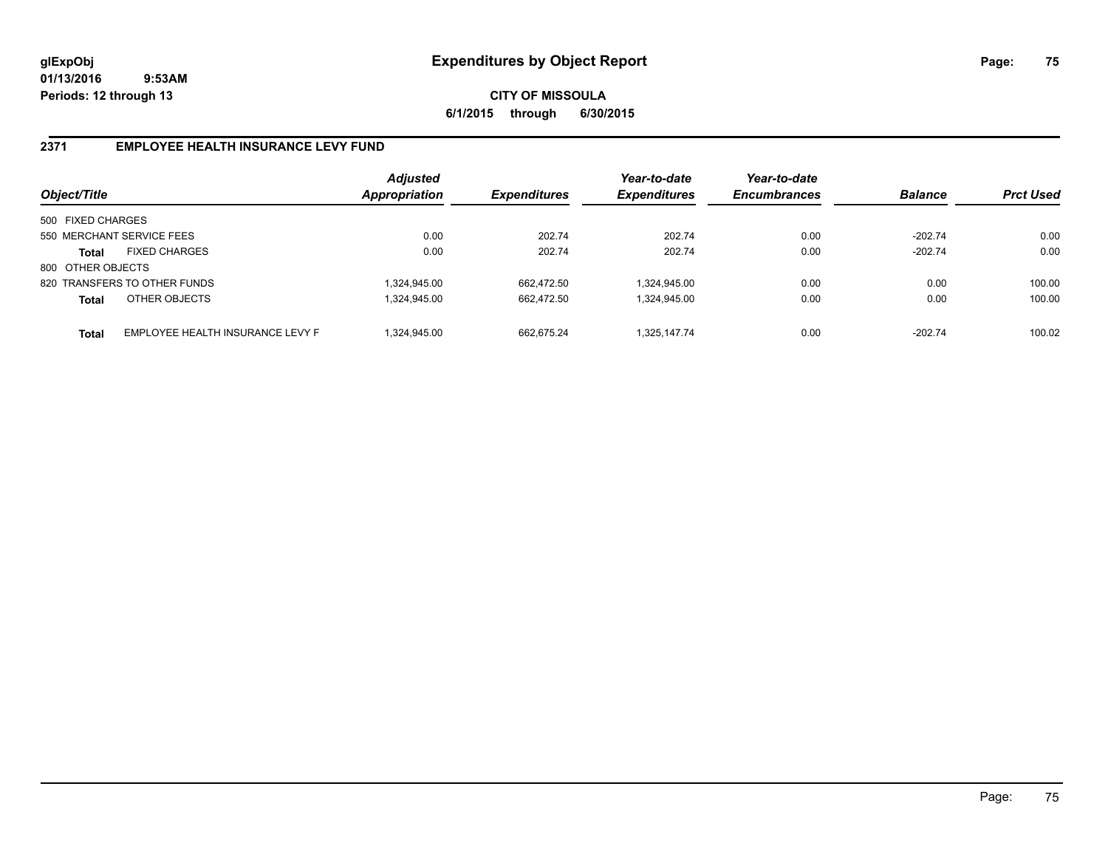**CITY OF MISSOULA 6/1/2015 through 6/30/2015**

## **2371 EMPLOYEE HEALTH INSURANCE LEVY FUND**

| Object/Title      |                                  | <b>Adjusted</b><br>Appropriation | <b>Expenditures</b> | Year-to-date<br><b>Expenditures</b> | Year-to-date<br><b>Encumbrances</b> | <b>Balance</b> | <b>Prct Used</b> |
|-------------------|----------------------------------|----------------------------------|---------------------|-------------------------------------|-------------------------------------|----------------|------------------|
| 500 FIXED CHARGES |                                  |                                  |                     |                                     |                                     |                |                  |
|                   | 550 MERCHANT SERVICE FEES        | 0.00                             | 202.74              | 202.74                              | 0.00                                | $-202.74$      | 0.00             |
| Total             | <b>FIXED CHARGES</b>             | 0.00                             | 202.74              | 202.74                              | 0.00                                | $-202.74$      | 0.00             |
| 800 OTHER OBJECTS |                                  |                                  |                     |                                     |                                     |                |                  |
|                   | 820 TRANSFERS TO OTHER FUNDS     | 1,324,945.00                     | 662.472.50          | 1,324,945.00                        | 0.00                                | 0.00           | 100.00           |
| <b>Total</b>      | OTHER OBJECTS                    | 1.324.945.00                     | 662.472.50          | 1,324,945.00                        | 0.00                                | 0.00           | 100.00           |
| <b>Total</b>      | EMPLOYEE HEALTH INSURANCE LEVY F | 1.324.945.00                     | 662.675.24          | 1.325.147.74                        | 0.00                                | $-202.74$      | 100.02           |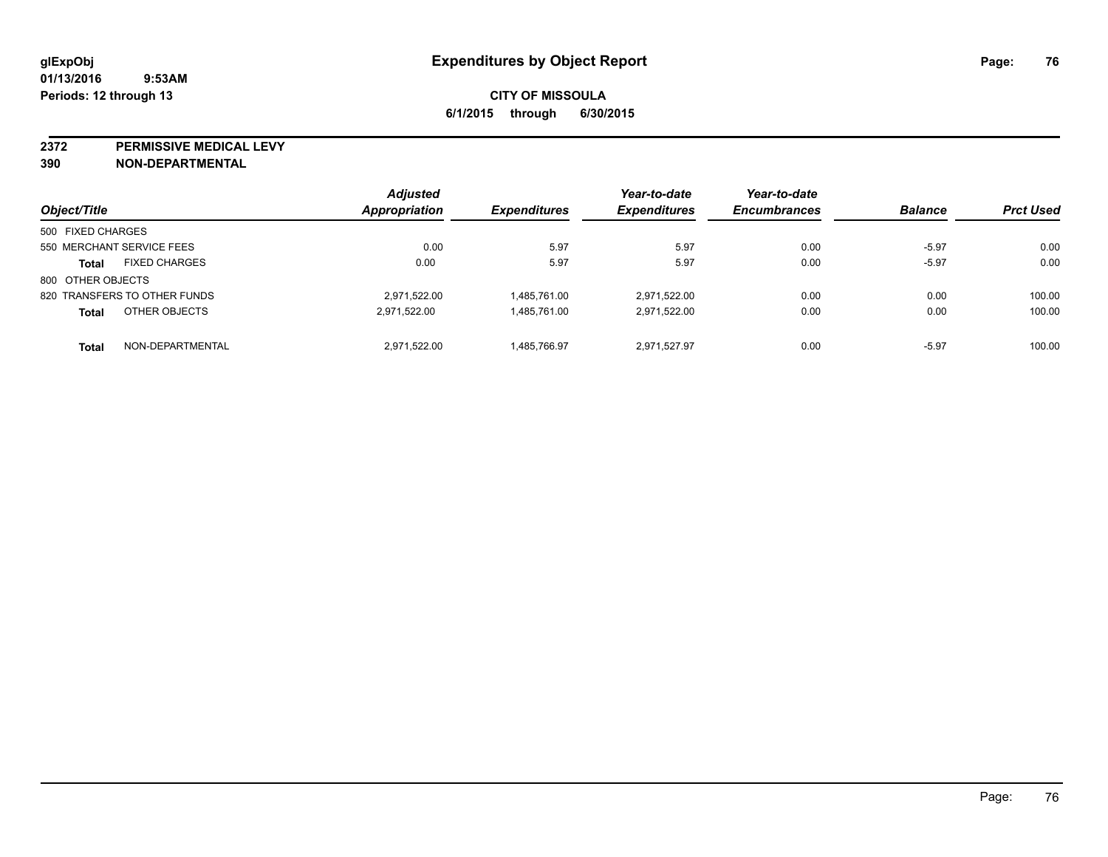**2372 PERMISSIVE MEDICAL LEVY**

**390 NON-DEPARTMENTAL**

| Object/Title                         | <b>Adjusted</b><br><b>Appropriation</b> | <b>Expenditures</b> | Year-to-date<br><b>Expenditures</b> | Year-to-date<br><b>Encumbrances</b> | <b>Balance</b> | <b>Prct Used</b> |
|--------------------------------------|-----------------------------------------|---------------------|-------------------------------------|-------------------------------------|----------------|------------------|
| 500 FIXED CHARGES                    |                                         |                     |                                     |                                     |                |                  |
| 550 MERCHANT SERVICE FEES            | 0.00                                    | 5.97                | 5.97                                | 0.00                                | $-5.97$        | 0.00             |
| <b>FIXED CHARGES</b><br><b>Total</b> | 0.00                                    | 5.97                | 5.97                                | 0.00                                | $-5.97$        | 0.00             |
| 800 OTHER OBJECTS                    |                                         |                     |                                     |                                     |                |                  |
| 820 TRANSFERS TO OTHER FUNDS         | 2,971,522.00                            | 1.485.761.00        | 2.971.522.00                        | 0.00                                | 0.00           | 100.00           |
| OTHER OBJECTS<br><b>Total</b>        | 2,971,522.00                            | 1.485.761.00        | 2.971.522.00                        | 0.00                                | 0.00           | 100.00           |
| NON-DEPARTMENTAL<br><b>Total</b>     | 2,971,522.00                            | 1.485.766.97        | 2.971.527.97                        | 0.00                                | $-5.97$        | 100.00           |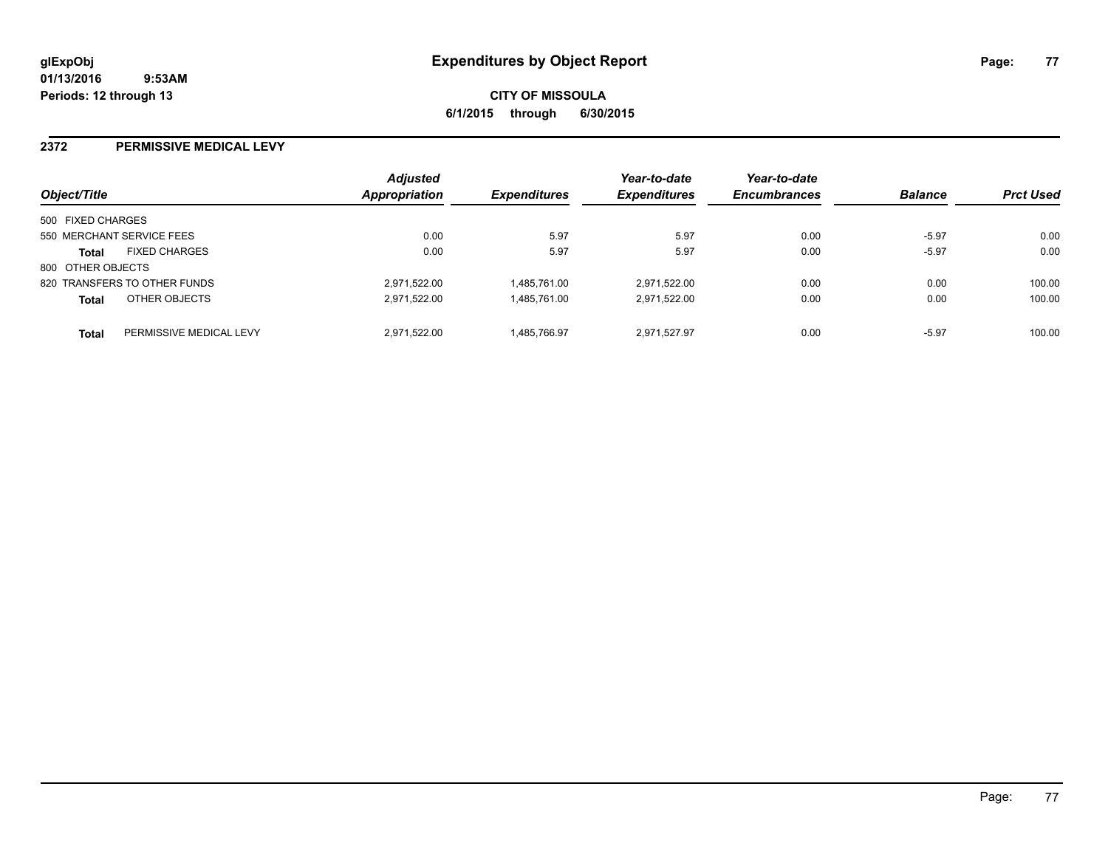**CITY OF MISSOULA 6/1/2015 through 6/30/2015**

#### **2372 PERMISSIVE MEDICAL LEVY**

| Object/Title      |                              | <b>Adjusted</b><br>Appropriation | <b>Expenditures</b> | Year-to-date<br><b>Expenditures</b> | Year-to-date<br><b>Encumbrances</b> | <b>Balance</b> | <b>Prct Used</b> |
|-------------------|------------------------------|----------------------------------|---------------------|-------------------------------------|-------------------------------------|----------------|------------------|
| 500 FIXED CHARGES |                              |                                  |                     |                                     |                                     |                |                  |
|                   | 550 MERCHANT SERVICE FEES    | 0.00                             | 5.97                | 5.97                                | 0.00                                | $-5.97$        | 0.00             |
| <b>Total</b>      | <b>FIXED CHARGES</b>         | 0.00                             | 5.97                | 5.97                                | 0.00                                | $-5.97$        | 0.00             |
| 800 OTHER OBJECTS |                              |                                  |                     |                                     |                                     |                |                  |
|                   | 820 TRANSFERS TO OTHER FUNDS | 2,971,522.00                     | 1.485.761.00        | 2,971,522.00                        | 0.00                                | 0.00           | 100.00           |
| <b>Total</b>      | OTHER OBJECTS                | 2.971.522.00                     | 1.485.761.00        | 2.971.522.00                        | 0.00                                | 0.00           | 100.00           |
| <b>Total</b>      | PERMISSIVE MEDICAL LEVY      | 2.971.522.00                     | 1.485.766.97        | 2.971.527.97                        | 0.00                                | $-5.97$        | 100.00           |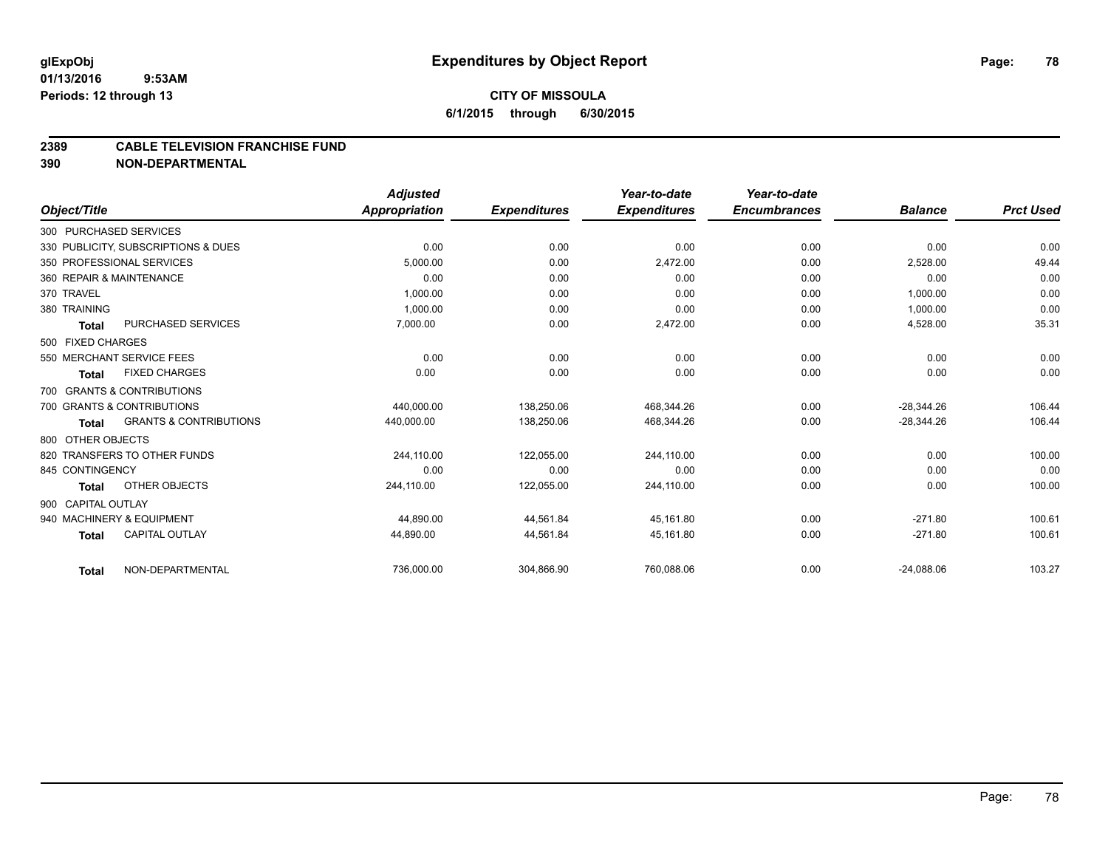#### **2389 CABLE TELEVISION FRANCHISE FUND**

**390 NON-DEPARTMENTAL**

|                    |                                     | <b>Adjusted</b> |                     | Year-to-date        | Year-to-date        |                |                  |
|--------------------|-------------------------------------|-----------------|---------------------|---------------------|---------------------|----------------|------------------|
| Object/Title       |                                     | Appropriation   | <b>Expenditures</b> | <b>Expenditures</b> | <b>Encumbrances</b> | <b>Balance</b> | <b>Prct Used</b> |
|                    | 300 PURCHASED SERVICES              |                 |                     |                     |                     |                |                  |
|                    | 330 PUBLICITY, SUBSCRIPTIONS & DUES | 0.00            | 0.00                | 0.00                | 0.00                | 0.00           | 0.00             |
|                    | 350 PROFESSIONAL SERVICES           | 5.000.00        | 0.00                | 2,472.00            | 0.00                | 2,528.00       | 49.44            |
|                    | 360 REPAIR & MAINTENANCE            | 0.00            | 0.00                | 0.00                | 0.00                | 0.00           | 0.00             |
| 370 TRAVEL         |                                     | 1,000.00        | 0.00                | 0.00                | 0.00                | 1,000.00       | 0.00             |
| 380 TRAINING       |                                     | 1.000.00        | 0.00                | 0.00                | 0.00                | 1,000.00       | 0.00             |
| <b>Total</b>       | PURCHASED SERVICES                  | 7,000.00        | 0.00                | 2,472.00            | 0.00                | 4,528.00       | 35.31            |
| 500 FIXED CHARGES  |                                     |                 |                     |                     |                     |                |                  |
|                    | 550 MERCHANT SERVICE FEES           | 0.00            | 0.00                | 0.00                | 0.00                | 0.00           | 0.00             |
| <b>Total</b>       | <b>FIXED CHARGES</b>                | 0.00            | 0.00                | 0.00                | 0.00                | 0.00           | 0.00             |
|                    | 700 GRANTS & CONTRIBUTIONS          |                 |                     |                     |                     |                |                  |
|                    | 700 GRANTS & CONTRIBUTIONS          | 440,000.00      | 138.250.06          | 468,344.26          | 0.00                | $-28.344.26$   | 106.44           |
| <b>Total</b>       | <b>GRANTS &amp; CONTRIBUTIONS</b>   | 440,000.00      | 138,250.06          | 468,344.26          | 0.00                | $-28,344.26$   | 106.44           |
| 800 OTHER OBJECTS  |                                     |                 |                     |                     |                     |                |                  |
|                    | 820 TRANSFERS TO OTHER FUNDS        | 244,110.00      | 122,055.00          | 244,110.00          | 0.00                | 0.00           | 100.00           |
| 845 CONTINGENCY    |                                     | 0.00            | 0.00                | 0.00                | 0.00                | 0.00           | 0.00             |
| <b>Total</b>       | OTHER OBJECTS                       | 244,110.00      | 122,055.00          | 244,110.00          | 0.00                | 0.00           | 100.00           |
| 900 CAPITAL OUTLAY |                                     |                 |                     |                     |                     |                |                  |
|                    | 940 MACHINERY & EQUIPMENT           | 44,890.00       | 44,561.84           | 45,161.80           | 0.00                | $-271.80$      | 100.61           |
| <b>Total</b>       | <b>CAPITAL OUTLAY</b>               | 44,890.00       | 44,561.84           | 45,161.80           | 0.00                | $-271.80$      | 100.61           |
| <b>Total</b>       | NON-DEPARTMENTAL                    | 736,000.00      | 304,866.90          | 760,088.06          | 0.00                | $-24,088.06$   | 103.27           |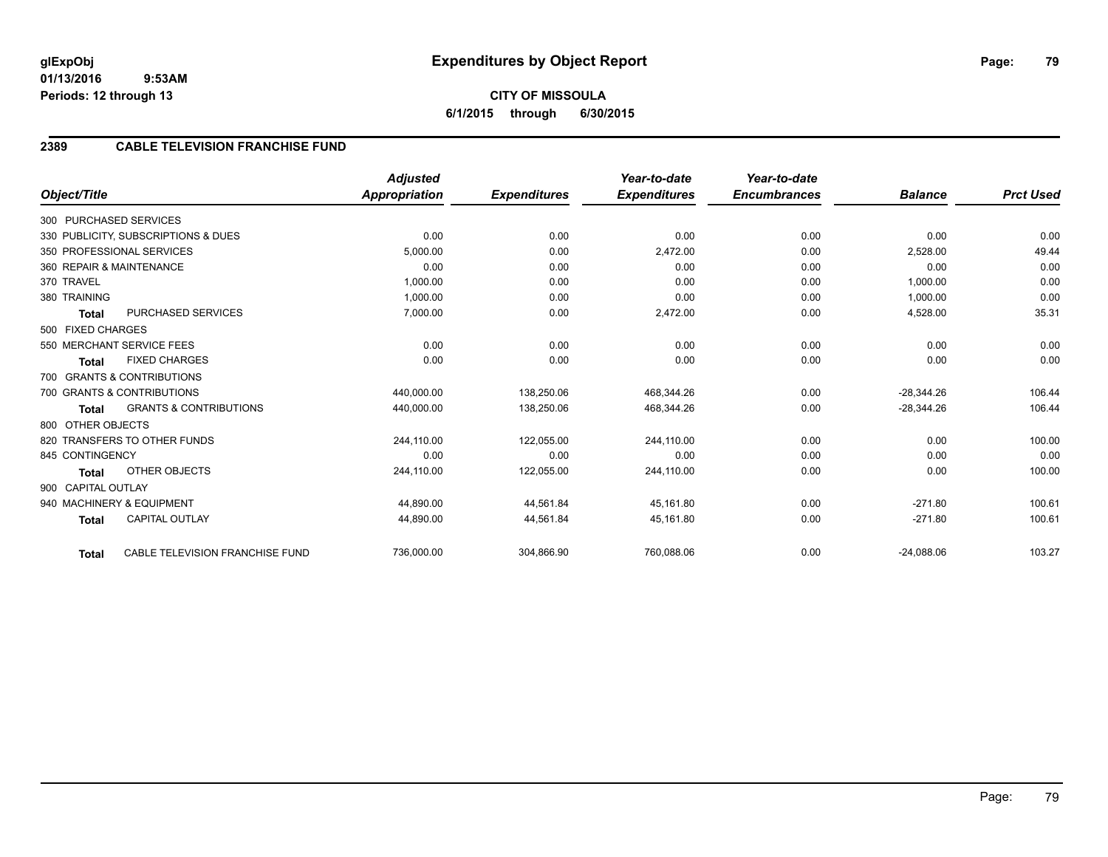|                    |                                     | <b>Adjusted</b> |                     | Year-to-date        | Year-to-date        |                |                  |
|--------------------|-------------------------------------|-----------------|---------------------|---------------------|---------------------|----------------|------------------|
| Object/Title       |                                     | Appropriation   | <b>Expenditures</b> | <b>Expenditures</b> | <b>Encumbrances</b> | <b>Balance</b> | <b>Prct Used</b> |
|                    | 300 PURCHASED SERVICES              |                 |                     |                     |                     |                |                  |
|                    | 330 PUBLICITY, SUBSCRIPTIONS & DUES | 0.00            | 0.00                | 0.00                | 0.00                | 0.00           | 0.00             |
|                    | 350 PROFESSIONAL SERVICES           | 5,000.00        | 0.00                | 2,472.00            | 0.00                | 2,528.00       | 49.44            |
|                    | 360 REPAIR & MAINTENANCE            | 0.00            | 0.00                | 0.00                | 0.00                | 0.00           | 0.00             |
| 370 TRAVEL         |                                     | 1.000.00        | 0.00                | 0.00                | 0.00                | 1,000.00       | 0.00             |
| 380 TRAINING       |                                     | 1,000.00        | 0.00                | 0.00                | 0.00                | 1,000.00       | 0.00             |
| <b>Total</b>       | <b>PURCHASED SERVICES</b>           | 7,000.00        | 0.00                | 2,472.00            | 0.00                | 4,528.00       | 35.31            |
| 500 FIXED CHARGES  |                                     |                 |                     |                     |                     |                |                  |
|                    | 550 MERCHANT SERVICE FEES           | 0.00            | 0.00                | 0.00                | 0.00                | 0.00           | 0.00             |
| <b>Total</b>       | <b>FIXED CHARGES</b>                | 0.00            | 0.00                | 0.00                | 0.00                | 0.00           | 0.00             |
|                    | 700 GRANTS & CONTRIBUTIONS          |                 |                     |                     |                     |                |                  |
|                    | 700 GRANTS & CONTRIBUTIONS          | 440,000.00      | 138.250.06          | 468.344.26          | 0.00                | $-28.344.26$   | 106.44           |
| <b>Total</b>       | <b>GRANTS &amp; CONTRIBUTIONS</b>   | 440,000.00      | 138,250.06          | 468,344.26          | 0.00                | $-28,344.26$   | 106.44           |
| 800 OTHER OBJECTS  |                                     |                 |                     |                     |                     |                |                  |
|                    | 820 TRANSFERS TO OTHER FUNDS        | 244,110.00      | 122,055.00          | 244,110.00          | 0.00                | 0.00           | 100.00           |
| 845 CONTINGENCY    |                                     | 0.00            | 0.00                | 0.00                | 0.00                | 0.00           | 0.00             |
| <b>Total</b>       | <b>OTHER OBJECTS</b>                | 244,110.00      | 122,055.00          | 244,110.00          | 0.00                | 0.00           | 100.00           |
| 900 CAPITAL OUTLAY |                                     |                 |                     |                     |                     |                |                  |
|                    | 940 MACHINERY & EQUIPMENT           | 44,890.00       | 44.561.84           | 45.161.80           | 0.00                | $-271.80$      | 100.61           |
| <b>Total</b>       | CAPITAL OUTLAY                      | 44,890.00       | 44,561.84           | 45,161.80           | 0.00                | $-271.80$      | 100.61           |
| <b>Total</b>       | CABLE TELEVISION FRANCHISE FUND     | 736,000.00      | 304,866.90          | 760,088.06          | 0.00                | $-24,088.06$   | 103.27           |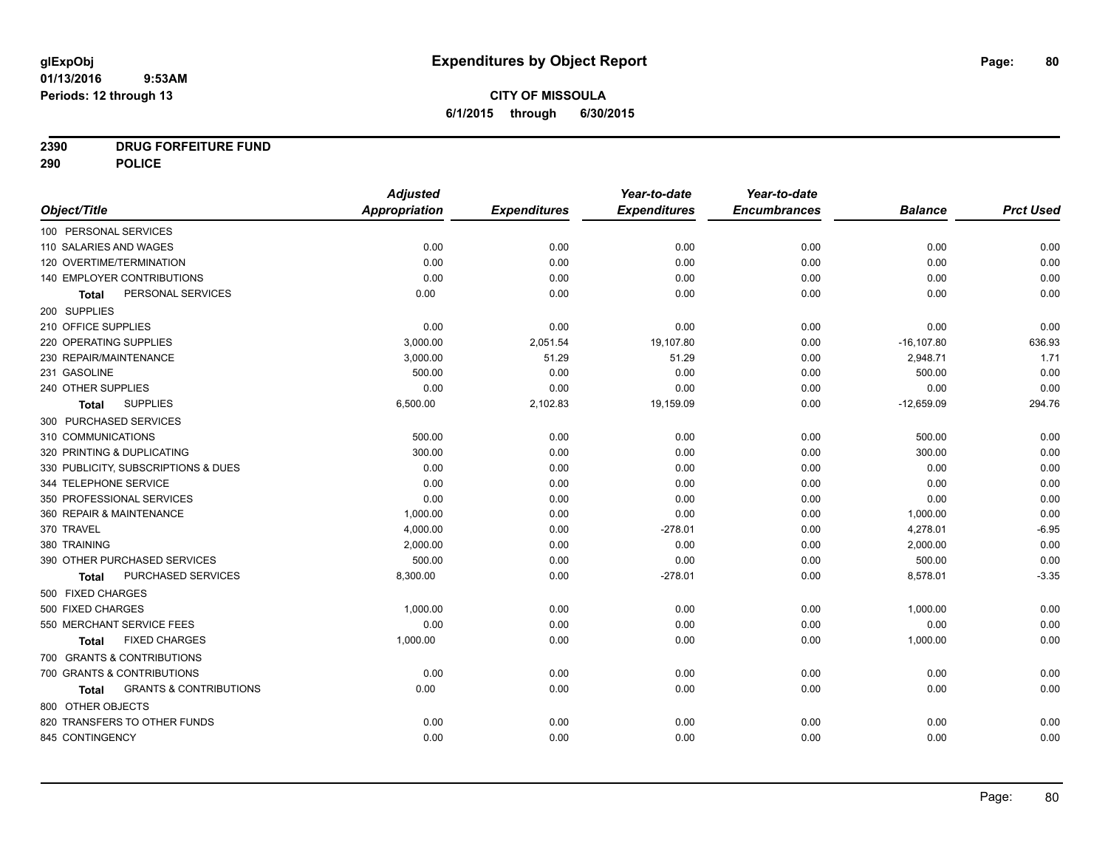# **CITY OF MISSOULA 6/1/2015 through 6/30/2015**

# **2390 DRUG FORFEITURE FUND**

**290 POLICE**

|                                            | <b>Adjusted</b>      |                     | Year-to-date        | Year-to-date        |                |                  |
|--------------------------------------------|----------------------|---------------------|---------------------|---------------------|----------------|------------------|
| Object/Title                               | <b>Appropriation</b> | <b>Expenditures</b> | <b>Expenditures</b> | <b>Encumbrances</b> | <b>Balance</b> | <b>Prct Used</b> |
| 100 PERSONAL SERVICES                      |                      |                     |                     |                     |                |                  |
| 110 SALARIES AND WAGES                     | 0.00                 | 0.00                | 0.00                | 0.00                | 0.00           | 0.00             |
| 120 OVERTIME/TERMINATION                   | 0.00                 | 0.00                | 0.00                | 0.00                | 0.00           | 0.00             |
| 140 EMPLOYER CONTRIBUTIONS                 | 0.00                 | 0.00                | 0.00                | 0.00                | 0.00           | 0.00             |
| PERSONAL SERVICES<br><b>Total</b>          | 0.00                 | 0.00                | 0.00                | 0.00                | 0.00           | 0.00             |
| 200 SUPPLIES                               |                      |                     |                     |                     |                |                  |
| 210 OFFICE SUPPLIES                        | 0.00                 | 0.00                | 0.00                | 0.00                | 0.00           | 0.00             |
| 220 OPERATING SUPPLIES                     | 3,000.00             | 2,051.54            | 19,107.80           | 0.00                | $-16, 107.80$  | 636.93           |
| 230 REPAIR/MAINTENANCE                     | 3,000.00             | 51.29               | 51.29               | 0.00                | 2,948.71       | 1.71             |
| 231 GASOLINE                               | 500.00               | 0.00                | 0.00                | 0.00                | 500.00         | 0.00             |
| 240 OTHER SUPPLIES                         | 0.00                 | 0.00                | 0.00                | 0.00                | 0.00           | 0.00             |
| <b>SUPPLIES</b><br>Total                   | 6,500.00             | 2,102.83            | 19,159.09           | 0.00                | $-12,659.09$   | 294.76           |
| 300 PURCHASED SERVICES                     |                      |                     |                     |                     |                |                  |
| 310 COMMUNICATIONS                         | 500.00               | 0.00                | 0.00                | 0.00                | 500.00         | 0.00             |
| 320 PRINTING & DUPLICATING                 | 300.00               | 0.00                | 0.00                | 0.00                | 300.00         | 0.00             |
| 330 PUBLICITY, SUBSCRIPTIONS & DUES        | 0.00                 | 0.00                | 0.00                | 0.00                | 0.00           | 0.00             |
| 344 TELEPHONE SERVICE                      | 0.00                 | 0.00                | 0.00                | 0.00                | 0.00           | 0.00             |
| 350 PROFESSIONAL SERVICES                  | 0.00                 | 0.00                | 0.00                | 0.00                | 0.00           | 0.00             |
| 360 REPAIR & MAINTENANCE                   | 1,000.00             | 0.00                | 0.00                | 0.00                | 1,000.00       | 0.00             |
| 370 TRAVEL                                 | 4,000.00             | 0.00                | $-278.01$           | 0.00                | 4,278.01       | $-6.95$          |
| 380 TRAINING                               | 2,000.00             | 0.00                | 0.00                | 0.00                | 2,000.00       | 0.00             |
| 390 OTHER PURCHASED SERVICES               | 500.00               | 0.00                | 0.00                | 0.00                | 500.00         | 0.00             |
| PURCHASED SERVICES<br><b>Total</b>         | 8,300.00             | 0.00                | $-278.01$           | 0.00                | 8,578.01       | $-3.35$          |
| 500 FIXED CHARGES                          |                      |                     |                     |                     |                |                  |
| 500 FIXED CHARGES                          | 1,000.00             | 0.00                | 0.00                | 0.00                | 1,000.00       | 0.00             |
| 550 MERCHANT SERVICE FEES                  | 0.00                 | 0.00                | 0.00                | 0.00                | 0.00           | 0.00             |
| <b>FIXED CHARGES</b><br><b>Total</b>       | 1,000.00             | 0.00                | 0.00                | 0.00                | 1,000.00       | 0.00             |
| 700 GRANTS & CONTRIBUTIONS                 |                      |                     |                     |                     |                |                  |
| 700 GRANTS & CONTRIBUTIONS                 | 0.00                 | 0.00                | 0.00                | 0.00                | 0.00           | 0.00             |
| <b>GRANTS &amp; CONTRIBUTIONS</b><br>Total | 0.00                 | 0.00                | 0.00                | 0.00                | 0.00           | 0.00             |
| 800 OTHER OBJECTS                          |                      |                     |                     |                     |                |                  |
| 820 TRANSFERS TO OTHER FUNDS               | 0.00                 | 0.00                | 0.00                | 0.00                | 0.00           | 0.00             |
| 845 CONTINGENCY                            | 0.00                 | 0.00                | 0.00                | 0.00                | 0.00           | 0.00             |
|                                            |                      |                     |                     |                     |                |                  |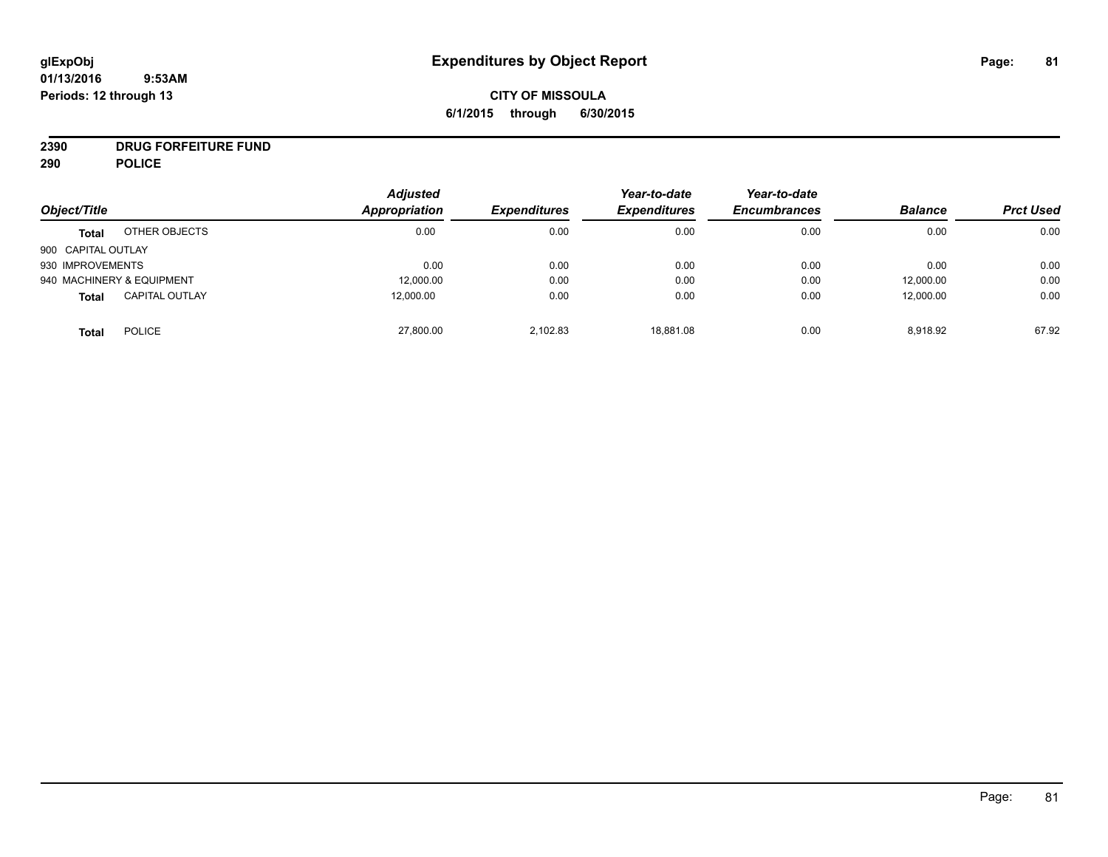# **CITY OF MISSOULA 6/1/2015 through 6/30/2015**

# **2390 DRUG FORFEITURE FUND**

**290 POLICE**

| Object/Title       |                           | <b>Adjusted</b><br>Appropriation | <b>Expenditures</b> | Year-to-date<br><b>Expenditures</b> | Year-to-date<br><b>Encumbrances</b> | <b>Balance</b> | <b>Prct Used</b> |
|--------------------|---------------------------|----------------------------------|---------------------|-------------------------------------|-------------------------------------|----------------|------------------|
|                    |                           |                                  |                     |                                     |                                     |                |                  |
| <b>Total</b>       | OTHER OBJECTS             | 0.00                             | 0.00                | 0.00                                | 0.00                                | 0.00           | 0.00             |
| 900 CAPITAL OUTLAY |                           |                                  |                     |                                     |                                     |                |                  |
| 930 IMPROVEMENTS   |                           | 0.00                             | 0.00                | 0.00                                | 0.00                                | 0.00           | 0.00             |
|                    | 940 MACHINERY & EQUIPMENT | 12,000.00                        | 0.00                | 0.00                                | 0.00                                | 12,000.00      | 0.00             |
| <b>Total</b>       | <b>CAPITAL OUTLAY</b>     | 12,000.00                        | 0.00                | 0.00                                | 0.00                                | 12,000.00      | 0.00             |
| <b>Total</b>       | <b>POLICE</b>             | 27,800.00                        | 2,102.83            | 18,881.08                           | 0.00                                | 8,918.92       | 67.92            |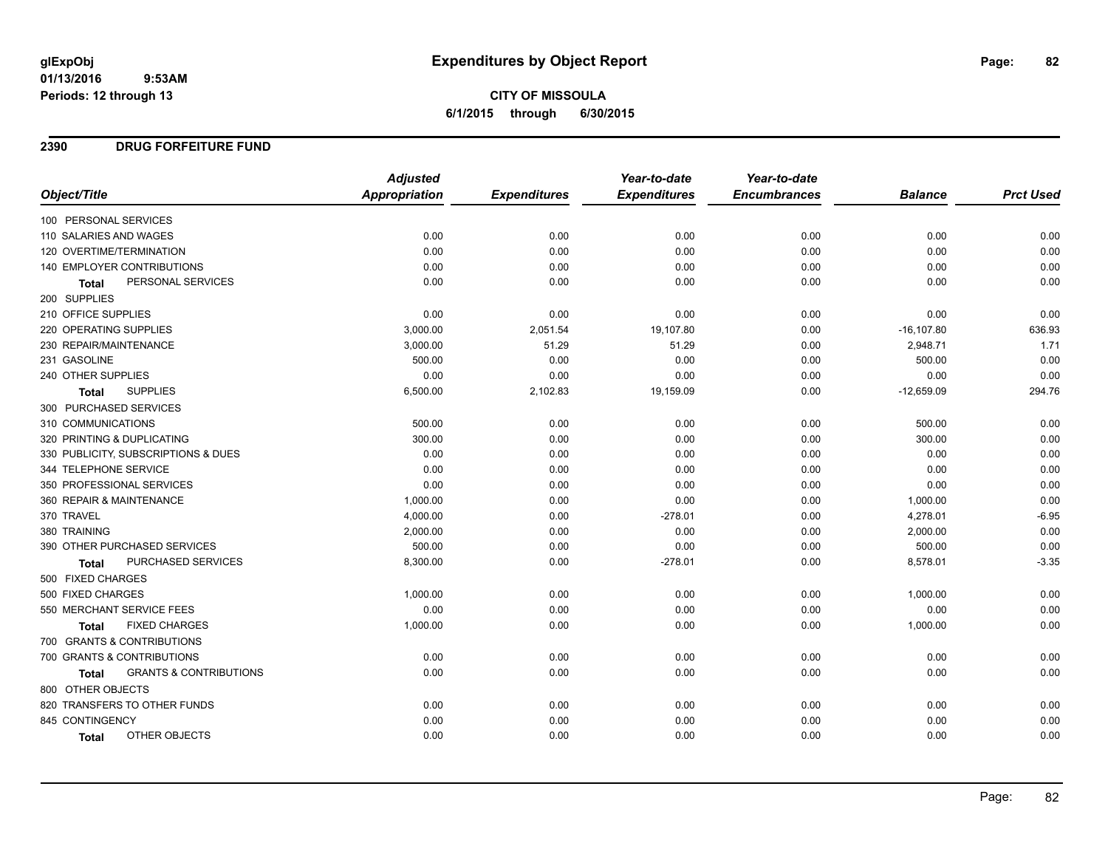**CITY OF MISSOULA 6/1/2015 through 6/30/2015**

#### **2390 DRUG FORFEITURE FUND**

|                                            | <b>Adjusted</b>      |                     | Year-to-date        | Year-to-date        |                |                  |
|--------------------------------------------|----------------------|---------------------|---------------------|---------------------|----------------|------------------|
| Object/Title                               | <b>Appropriation</b> | <b>Expenditures</b> | <b>Expenditures</b> | <b>Encumbrances</b> | <b>Balance</b> | <b>Prct Used</b> |
| 100 PERSONAL SERVICES                      |                      |                     |                     |                     |                |                  |
| 110 SALARIES AND WAGES                     | 0.00                 | 0.00                | 0.00                | 0.00                | 0.00           | 0.00             |
| 120 OVERTIME/TERMINATION                   | 0.00                 | 0.00                | 0.00                | 0.00                | 0.00           | 0.00             |
| 140 EMPLOYER CONTRIBUTIONS                 | 0.00                 | 0.00                | 0.00                | 0.00                | 0.00           | 0.00             |
| PERSONAL SERVICES<br><b>Total</b>          | 0.00                 | 0.00                | 0.00                | 0.00                | 0.00           | 0.00             |
| 200 SUPPLIES                               |                      |                     |                     |                     |                |                  |
| 210 OFFICE SUPPLIES                        | 0.00                 | 0.00                | 0.00                | 0.00                | 0.00           | 0.00             |
| 220 OPERATING SUPPLIES                     | 3,000.00             | 2,051.54            | 19,107.80           | 0.00                | $-16, 107.80$  | 636.93           |
| 230 REPAIR/MAINTENANCE                     | 3,000.00             | 51.29               | 51.29               | 0.00                | 2,948.71       | 1.71             |
| 231 GASOLINE                               | 500.00               | 0.00                | 0.00                | 0.00                | 500.00         | 0.00             |
| 240 OTHER SUPPLIES                         | 0.00                 | 0.00                | 0.00                | 0.00                | 0.00           | 0.00             |
| <b>SUPPLIES</b><br>Total                   | 6,500.00             | 2,102.83            | 19,159.09           | 0.00                | $-12,659.09$   | 294.76           |
| 300 PURCHASED SERVICES                     |                      |                     |                     |                     |                |                  |
| 310 COMMUNICATIONS                         | 500.00               | 0.00                | 0.00                | 0.00                | 500.00         | 0.00             |
| 320 PRINTING & DUPLICATING                 | 300.00               | 0.00                | 0.00                | 0.00                | 300.00         | 0.00             |
| 330 PUBLICITY, SUBSCRIPTIONS & DUES        | 0.00                 | 0.00                | 0.00                | 0.00                | 0.00           | 0.00             |
| 344 TELEPHONE SERVICE                      | 0.00                 | 0.00                | 0.00                | 0.00                | 0.00           | 0.00             |
| 350 PROFESSIONAL SERVICES                  | 0.00                 | 0.00                | 0.00                | 0.00                | 0.00           | 0.00             |
| 360 REPAIR & MAINTENANCE                   | 1,000.00             | 0.00                | 0.00                | 0.00                | 1,000.00       | 0.00             |
| 370 TRAVEL                                 | 4,000.00             | 0.00                | $-278.01$           | 0.00                | 4,278.01       | $-6.95$          |
| 380 TRAINING                               | 2,000.00             | 0.00                | 0.00                | 0.00                | 2,000.00       | 0.00             |
| 390 OTHER PURCHASED SERVICES               | 500.00               | 0.00                | 0.00                | 0.00                | 500.00         | 0.00             |
| PURCHASED SERVICES<br><b>Total</b>         | 8,300.00             | 0.00                | $-278.01$           | 0.00                | 8,578.01       | $-3.35$          |
| 500 FIXED CHARGES                          |                      |                     |                     |                     |                |                  |
| 500 FIXED CHARGES                          | 1,000.00             | 0.00                | 0.00                | 0.00                | 1,000.00       | 0.00             |
| 550 MERCHANT SERVICE FEES                  | 0.00                 | 0.00                | 0.00                | 0.00                | 0.00           | 0.00             |
| <b>FIXED CHARGES</b><br>Total              | 1,000.00             | 0.00                | 0.00                | 0.00                | 1,000.00       | 0.00             |
| 700 GRANTS & CONTRIBUTIONS                 |                      |                     |                     |                     |                |                  |
| 700 GRANTS & CONTRIBUTIONS                 | 0.00                 | 0.00                | 0.00                | 0.00                | 0.00           | 0.00             |
| <b>GRANTS &amp; CONTRIBUTIONS</b><br>Total | 0.00                 | 0.00                | 0.00                | 0.00                | 0.00           | 0.00             |
| 800 OTHER OBJECTS                          |                      |                     |                     |                     |                |                  |
| 820 TRANSFERS TO OTHER FUNDS               | 0.00                 | 0.00                | 0.00                | 0.00                | 0.00           | 0.00             |
| 845 CONTINGENCY                            | 0.00                 | 0.00                | 0.00                | 0.00                | 0.00           | 0.00             |
| OTHER OBJECTS<br>Total                     | 0.00                 | 0.00                | 0.00                | 0.00                | 0.00           | 0.00             |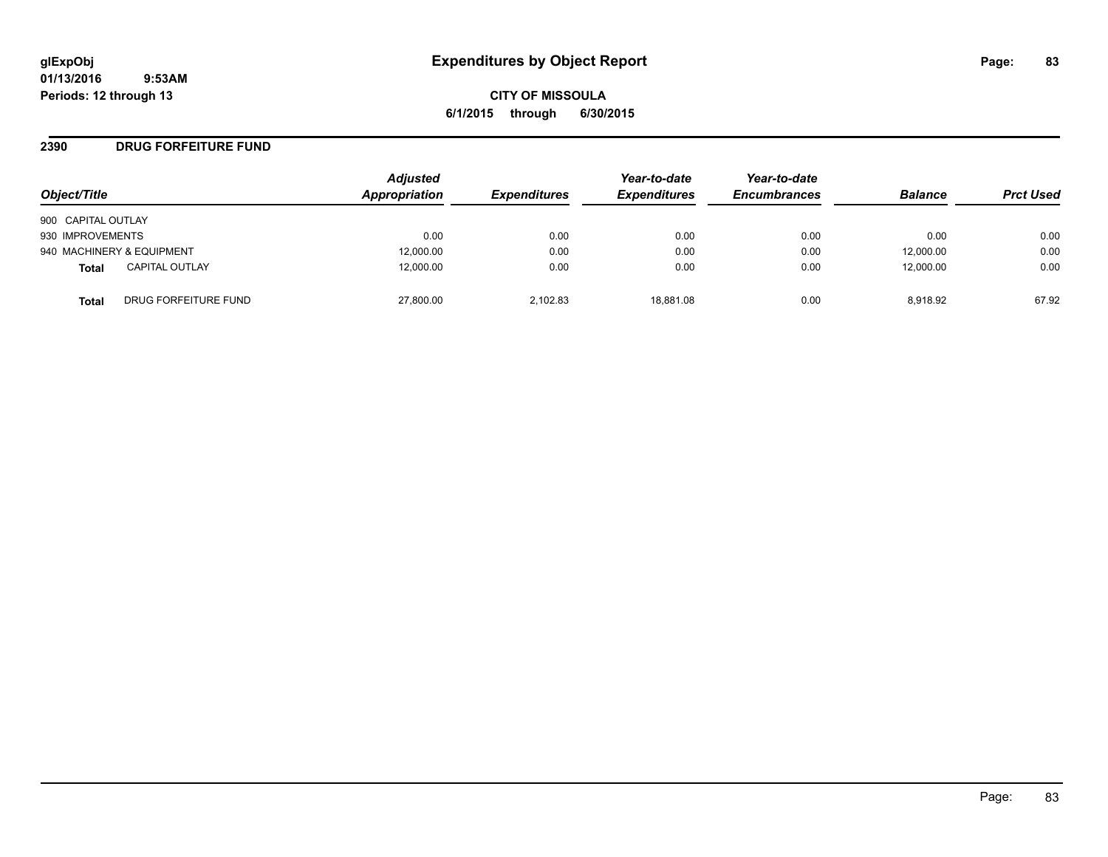**CITY OF MISSOULA 6/1/2015 through 6/30/2015**

#### **2390 DRUG FORFEITURE FUND**

| Object/Title              |                       | <b>Adjusted</b><br>Appropriation | <b>Expenditures</b> | Year-to-date<br><b>Expenditures</b> | Year-to-date<br><b>Encumbrances</b> | <b>Balance</b> | <b>Prct Used</b> |
|---------------------------|-----------------------|----------------------------------|---------------------|-------------------------------------|-------------------------------------|----------------|------------------|
| 900 CAPITAL OUTLAY        |                       |                                  |                     |                                     |                                     |                |                  |
| 930 IMPROVEMENTS          |                       | 0.00                             | 0.00                | 0.00                                | 0.00                                | 0.00           | 0.00             |
| 940 MACHINERY & EQUIPMENT |                       | 12,000.00                        | 0.00                | 0.00                                | 0.00                                | 12,000.00      | 0.00             |
| <b>Total</b>              | <b>CAPITAL OUTLAY</b> | 12.000.00                        | 0.00                | 0.00                                | 0.00                                | 12,000.00      | 0.00             |
| Total                     | DRUG FORFEITURE FUND  | 27,800.00                        | 2.102.83            | 18.881.08                           | 0.00                                | 8.918.92       | 67.92            |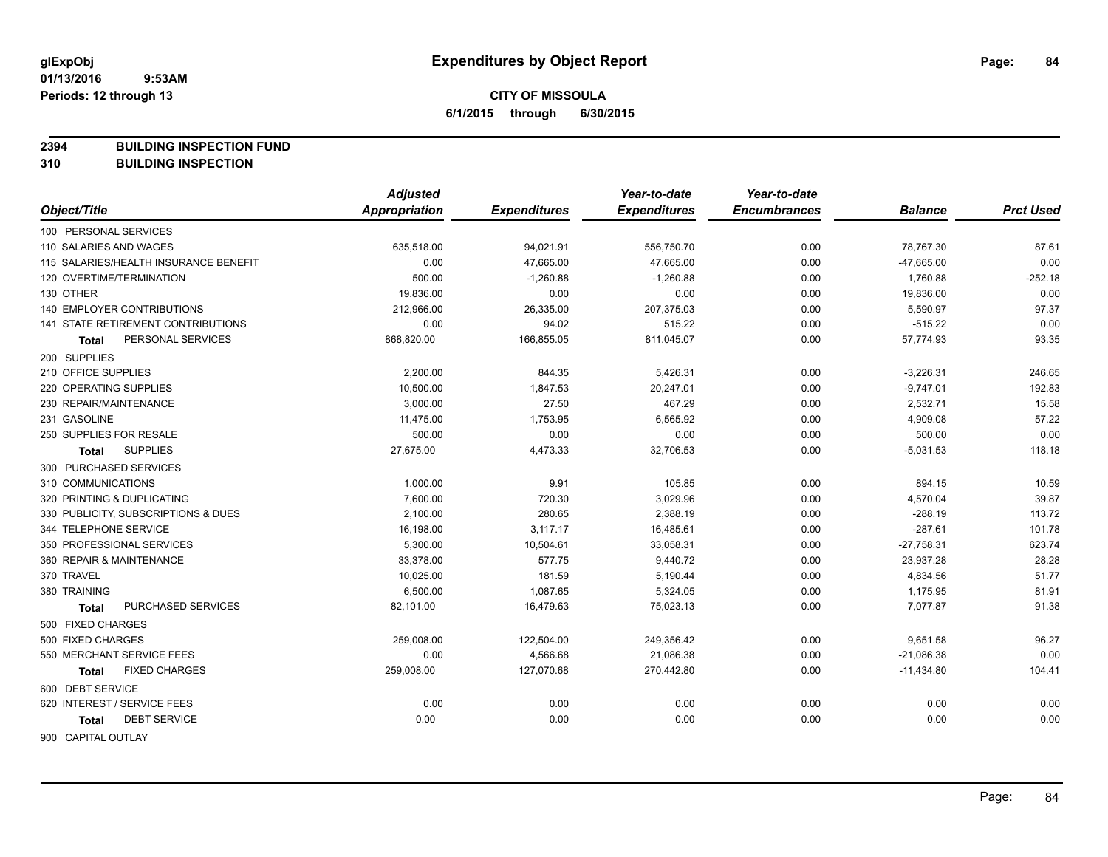**2394 BUILDING INSPECTION FUND**

**310 BUILDING INSPECTION**

|                                           | <b>Adjusted</b> |                     | Year-to-date        | Year-to-date        |                |                  |
|-------------------------------------------|-----------------|---------------------|---------------------|---------------------|----------------|------------------|
| Object/Title                              | Appropriation   | <b>Expenditures</b> | <b>Expenditures</b> | <b>Encumbrances</b> | <b>Balance</b> | <b>Prct Used</b> |
| 100 PERSONAL SERVICES                     |                 |                     |                     |                     |                |                  |
| 110 SALARIES AND WAGES                    | 635,518.00      | 94,021.91           | 556,750.70          | 0.00                | 78,767.30      | 87.61            |
| 115 SALARIES/HEALTH INSURANCE BENEFIT     | 0.00            | 47,665.00           | 47,665.00           | 0.00                | $-47,665.00$   | 0.00             |
| 120 OVERTIME/TERMINATION                  | 500.00          | $-1,260.88$         | $-1,260.88$         | 0.00                | 1,760.88       | $-252.18$        |
| 130 OTHER                                 | 19,836.00       | 0.00                | 0.00                | 0.00                | 19,836.00      | 0.00             |
| <b>140 EMPLOYER CONTRIBUTIONS</b>         | 212,966.00      | 26,335.00           | 207,375.03          | 0.00                | 5,590.97       | 97.37            |
| <b>141 STATE RETIREMENT CONTRIBUTIONS</b> | 0.00            | 94.02               | 515.22              | 0.00                | $-515.22$      | 0.00             |
| PERSONAL SERVICES<br><b>Total</b>         | 868,820.00      | 166,855.05          | 811,045.07          | 0.00                | 57,774.93      | 93.35            |
| 200 SUPPLIES                              |                 |                     |                     |                     |                |                  |
| 210 OFFICE SUPPLIES                       | 2,200.00        | 844.35              | 5,426.31            | 0.00                | $-3,226.31$    | 246.65           |
| 220 OPERATING SUPPLIES                    | 10,500.00       | 1,847.53            | 20,247.01           | 0.00                | $-9,747.01$    | 192.83           |
| 230 REPAIR/MAINTENANCE                    | 3,000.00        | 27.50               | 467.29              | 0.00                | 2,532.71       | 15.58            |
| 231 GASOLINE                              | 11,475.00       | 1,753.95            | 6,565.92            | 0.00                | 4,909.08       | 57.22            |
| 250 SUPPLIES FOR RESALE                   | 500.00          | 0.00                | 0.00                | 0.00                | 500.00         | 0.00             |
| <b>SUPPLIES</b><br>Total                  | 27,675.00       | 4,473.33            | 32,706.53           | 0.00                | $-5,031.53$    | 118.18           |
| 300 PURCHASED SERVICES                    |                 |                     |                     |                     |                |                  |
| 310 COMMUNICATIONS                        | 1,000.00        | 9.91                | 105.85              | 0.00                | 894.15         | 10.59            |
| 320 PRINTING & DUPLICATING                | 7,600.00        | 720.30              | 3,029.96            | 0.00                | 4,570.04       | 39.87            |
| 330 PUBLICITY, SUBSCRIPTIONS & DUES       | 2,100.00        | 280.65              | 2,388.19            | 0.00                | $-288.19$      | 113.72           |
| 344 TELEPHONE SERVICE                     | 16,198.00       | 3,117.17            | 16,485.61           | 0.00                | $-287.61$      | 101.78           |
| 350 PROFESSIONAL SERVICES                 | 5,300.00        | 10,504.61           | 33,058.31           | 0.00                | $-27,758.31$   | 623.74           |
| 360 REPAIR & MAINTENANCE                  | 33,378.00       | 577.75              | 9,440.72            | 0.00                | 23,937.28      | 28.28            |
| 370 TRAVEL                                | 10,025.00       | 181.59              | 5,190.44            | 0.00                | 4,834.56       | 51.77            |
| 380 TRAINING                              | 6,500.00        | 1,087.65            | 5,324.05            | 0.00                | 1,175.95       | 81.91            |
| PURCHASED SERVICES<br><b>Total</b>        | 82,101.00       | 16,479.63           | 75,023.13           | 0.00                | 7,077.87       | 91.38            |
| 500 FIXED CHARGES                         |                 |                     |                     |                     |                |                  |
| 500 FIXED CHARGES                         | 259,008.00      | 122,504.00          | 249,356.42          | 0.00                | 9,651.58       | 96.27            |
| 550 MERCHANT SERVICE FEES                 | 0.00            | 4,566.68            | 21,086.38           | 0.00                | $-21,086.38$   | 0.00             |
| <b>FIXED CHARGES</b><br>Total             | 259,008.00      | 127,070.68          | 270,442.80          | 0.00                | $-11,434.80$   | 104.41           |
| 600 DEBT SERVICE                          |                 |                     |                     |                     |                |                  |
| 620 INTEREST / SERVICE FEES               | 0.00            | 0.00                | 0.00                | 0.00                | 0.00           | 0.00             |
| <b>DEBT SERVICE</b><br>Total              | 0.00            | 0.00                | 0.00                | 0.00                | 0.00           | 0.00             |
| 900 CAPITAL OUTLAY                        |                 |                     |                     |                     |                |                  |

Page: 84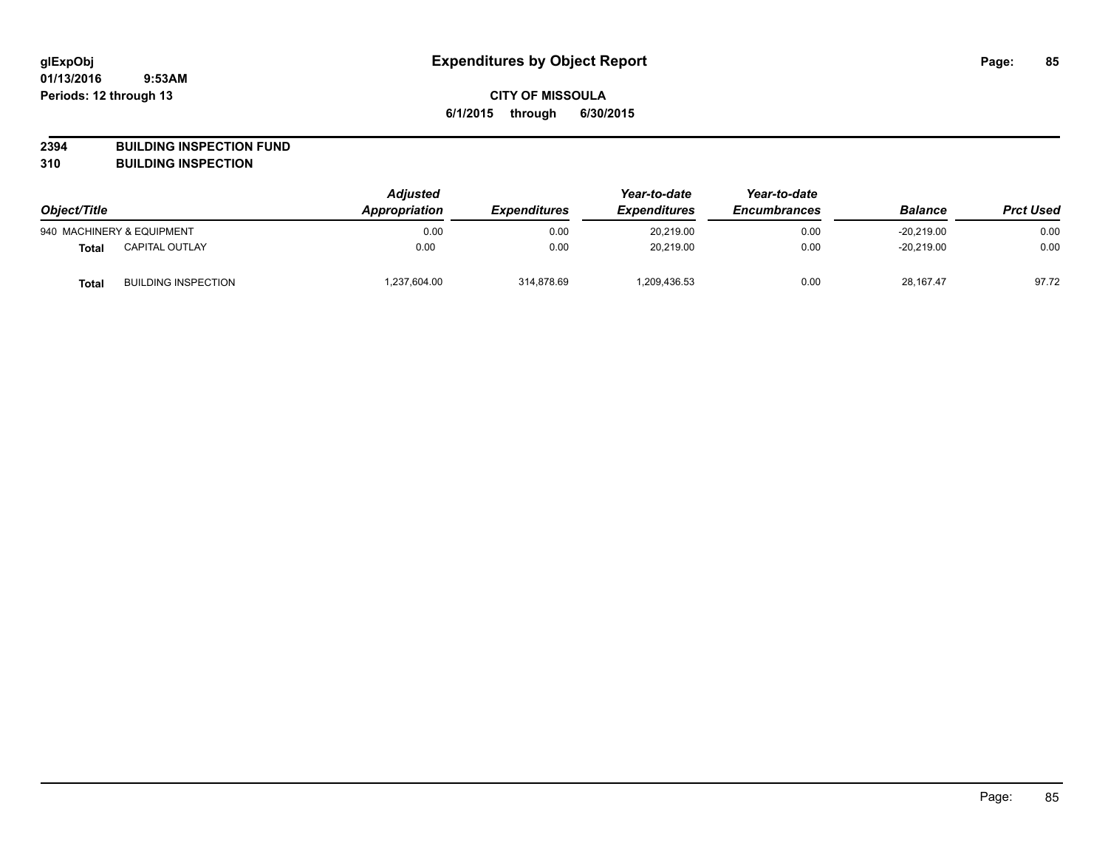**2394 BUILDING INSPECTION FUND**

**310 BUILDING INSPECTION**

| Object/Title |                            | <b>Adjusted</b><br><b>Appropriation</b><br><b>Expenditures</b> | Year-to-date<br><b>Expenditures</b> | Year-to-date<br><b>Encumbrances</b> | <b>Balance</b> | <b>Prct Used</b> |       |
|--------------|----------------------------|----------------------------------------------------------------|-------------------------------------|-------------------------------------|----------------|------------------|-------|
|              | 940 MACHINERY & EQUIPMENT  | 0.00                                                           | 0.00                                | 20.219.00                           | 0.00           | $-20.219.00$     | 0.00  |
| <b>Total</b> | <b>CAPITAL OUTLAY</b>      | 0.00                                                           | 0.00                                | 20.219.00                           | 0.00           | $-20.219.00$     | 0.00  |
| <b>Total</b> | <b>BUILDING INSPECTION</b> | .237,604.00                                                    | 314,878.69                          | 1,209,436.53                        | 0.00           | 28,167.47        | 97.72 |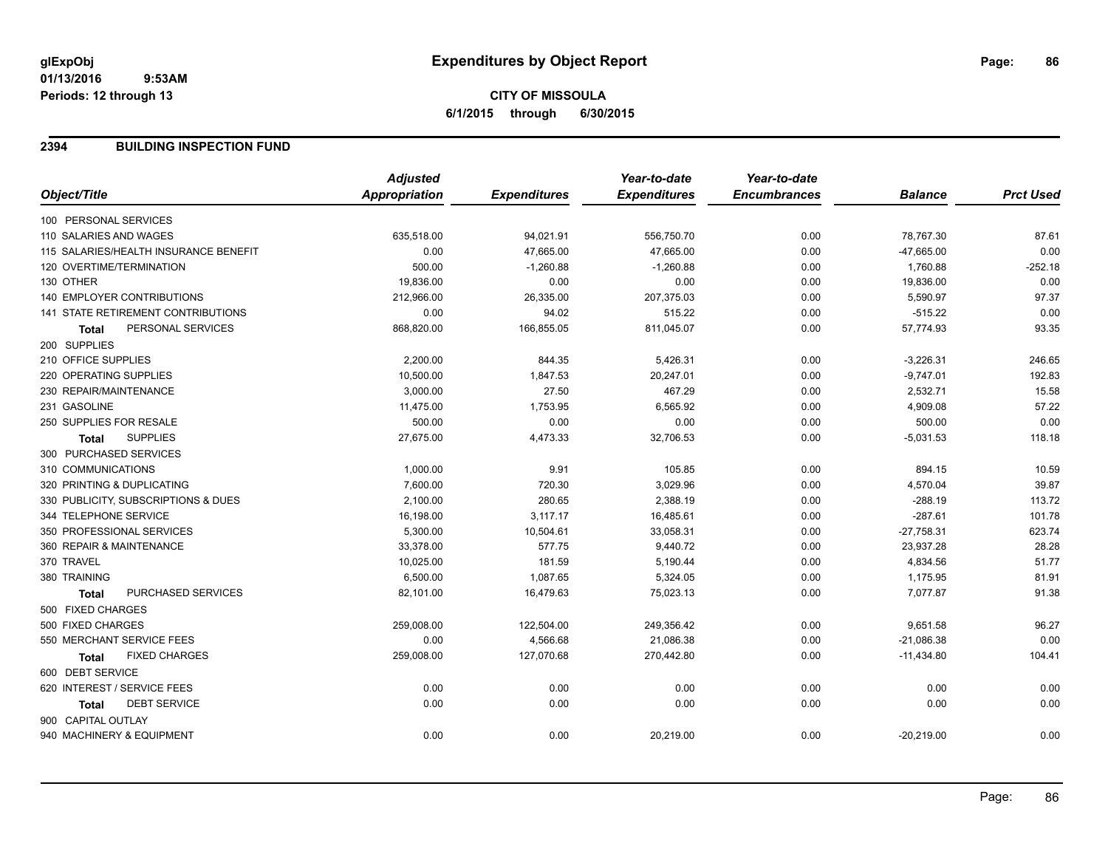# **CITY OF MISSOULA 6/1/2015 through 6/30/2015**

#### **2394 BUILDING INSPECTION FUND**

|                                       | <b>Adjusted</b>      |                     | Year-to-date        | Year-to-date        |                |                  |
|---------------------------------------|----------------------|---------------------|---------------------|---------------------|----------------|------------------|
| Object/Title                          | <b>Appropriation</b> | <b>Expenditures</b> | <b>Expenditures</b> | <b>Encumbrances</b> | <b>Balance</b> | <b>Prct Used</b> |
| 100 PERSONAL SERVICES                 |                      |                     |                     |                     |                |                  |
| 110 SALARIES AND WAGES                | 635,518.00           | 94,021.91           | 556,750.70          | 0.00                | 78,767.30      | 87.61            |
| 115 SALARIES/HEALTH INSURANCE BENEFIT | 0.00                 | 47,665.00           | 47,665.00           | 0.00                | $-47,665.00$   | 0.00             |
| 120 OVERTIME/TERMINATION              | 500.00               | $-1,260.88$         | $-1,260.88$         | 0.00                | 1,760.88       | $-252.18$        |
| 130 OTHER                             | 19,836.00            | 0.00                | 0.00                | 0.00                | 19,836.00      | 0.00             |
| 140 EMPLOYER CONTRIBUTIONS            | 212.966.00           | 26,335.00           | 207,375.03          | 0.00                | 5,590.97       | 97.37            |
| 141 STATE RETIREMENT CONTRIBUTIONS    | 0.00                 | 94.02               | 515.22              | 0.00                | $-515.22$      | 0.00             |
| PERSONAL SERVICES<br><b>Total</b>     | 868,820.00           | 166,855.05          | 811,045.07          | 0.00                | 57,774.93      | 93.35            |
| 200 SUPPLIES                          |                      |                     |                     |                     |                |                  |
| 210 OFFICE SUPPLIES                   | 2,200.00             | 844.35              | 5,426.31            | 0.00                | $-3,226.31$    | 246.65           |
| 220 OPERATING SUPPLIES                | 10,500.00            | 1,847.53            | 20,247.01           | 0.00                | $-9,747.01$    | 192.83           |
| 230 REPAIR/MAINTENANCE                | 3,000.00             | 27.50               | 467.29              | 0.00                | 2,532.71       | 15.58            |
| 231 GASOLINE                          | 11,475.00            | 1,753.95            | 6,565.92            | 0.00                | 4,909.08       | 57.22            |
| 250 SUPPLIES FOR RESALE               | 500.00               | 0.00                | 0.00                | 0.00                | 500.00         | 0.00             |
| <b>SUPPLIES</b><br><b>Total</b>       | 27,675.00            | 4,473.33            | 32,706.53           | 0.00                | $-5,031.53$    | 118.18           |
| 300 PURCHASED SERVICES                |                      |                     |                     |                     |                |                  |
| 310 COMMUNICATIONS                    | 1,000.00             | 9.91                | 105.85              | 0.00                | 894.15         | 10.59            |
| 320 PRINTING & DUPLICATING            | 7,600.00             | 720.30              | 3,029.96            | 0.00                | 4,570.04       | 39.87            |
| 330 PUBLICITY, SUBSCRIPTIONS & DUES   | 2,100.00             | 280.65              | 2,388.19            | 0.00                | $-288.19$      | 113.72           |
| 344 TELEPHONE SERVICE                 | 16,198.00            | 3,117.17            | 16,485.61           | 0.00                | $-287.61$      | 101.78           |
| 350 PROFESSIONAL SERVICES             | 5,300.00             | 10,504.61           | 33,058.31           | 0.00                | $-27,758.31$   | 623.74           |
| 360 REPAIR & MAINTENANCE              | 33,378.00            | 577.75              | 9,440.72            | 0.00                | 23,937.28      | 28.28            |
| 370 TRAVEL                            | 10,025.00            | 181.59              | 5,190.44            | 0.00                | 4,834.56       | 51.77            |
| 380 TRAINING                          | 6,500.00             | 1,087.65            | 5,324.05            | 0.00                | 1,175.95       | 81.91            |
| PURCHASED SERVICES<br><b>Total</b>    | 82,101.00            | 16,479.63           | 75,023.13           | 0.00                | 7,077.87       | 91.38            |
| 500 FIXED CHARGES                     |                      |                     |                     |                     |                |                  |
| 500 FIXED CHARGES                     | 259,008.00           | 122,504.00          | 249,356.42          | 0.00                | 9,651.58       | 96.27            |
| 550 MERCHANT SERVICE FEES             | 0.00                 | 4,566.68            | 21,086.38           | 0.00                | $-21,086.38$   | 0.00             |
| <b>FIXED CHARGES</b><br><b>Total</b>  | 259,008.00           | 127,070.68          | 270,442.80          | 0.00                | $-11,434.80$   | 104.41           |
| 600 DEBT SERVICE                      |                      |                     |                     |                     |                |                  |
| 620 INTEREST / SERVICE FEES           | 0.00                 | 0.00                | 0.00                | 0.00                | 0.00           | 0.00             |
| <b>DEBT SERVICE</b><br><b>Total</b>   | 0.00                 | 0.00                | 0.00                | 0.00                | 0.00           | 0.00             |
| 900 CAPITAL OUTLAY                    |                      |                     |                     |                     |                |                  |
| 940 MACHINERY & EQUIPMENT             | 0.00                 | 0.00                | 20,219.00           | 0.00                | $-20,219.00$   | 0.00             |
|                                       |                      |                     |                     |                     |                |                  |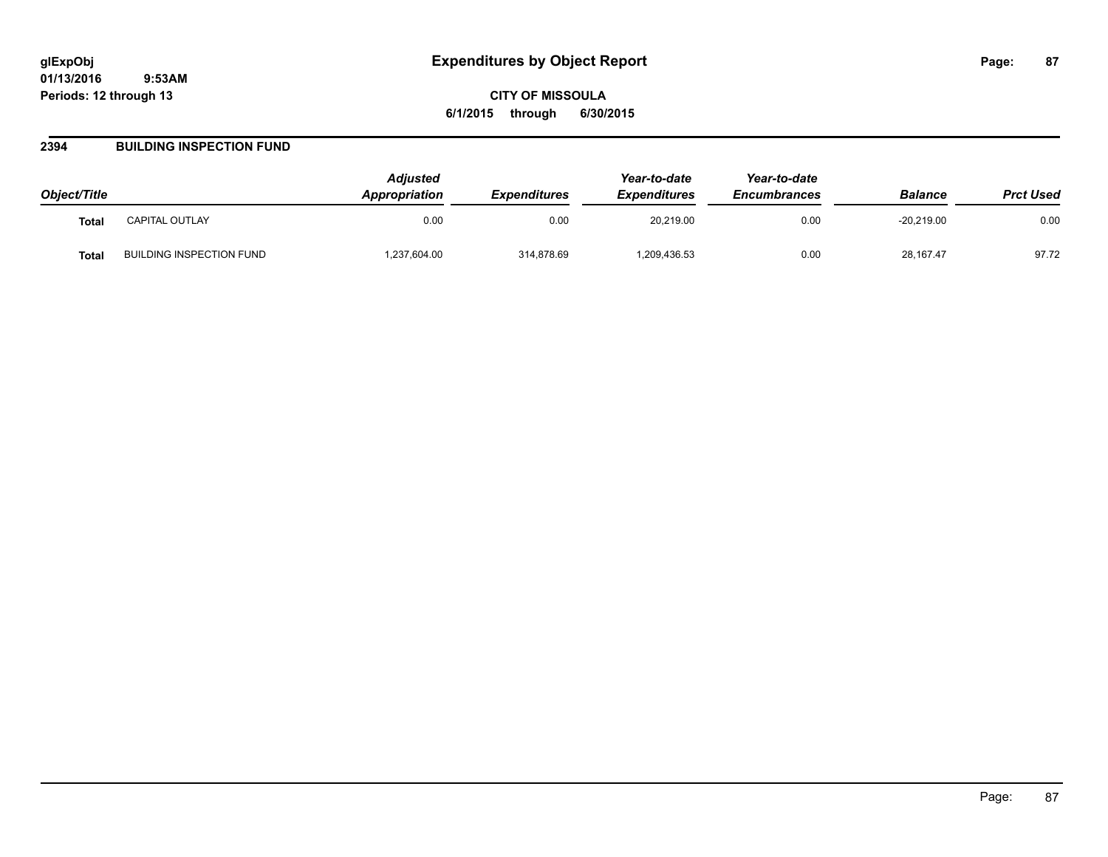#### **2394 BUILDING INSPECTION FUND**

| Object/Title |                          | Adjusted<br><b>Appropriation</b> | <b>Expenditures</b> | Year-to-date<br><b>Expenditures</b> | Year-to-date<br><b>Encumbrances</b> | <b>Balance</b> | <b>Prct Used</b> |
|--------------|--------------------------|----------------------------------|---------------------|-------------------------------------|-------------------------------------|----------------|------------------|
| <b>Total</b> | <b>CAPITAL OUTLAY</b>    | 0.00                             | 0.00                | 20.219.00                           | 0.00                                | $-20.219.00$   | 0.00             |
| <b>Total</b> | BUILDING INSPECTION FUND | .237,604.00                      | 314,878.69          | 209,436.53                          | 0.00                                | 28,167.47      | 97.72            |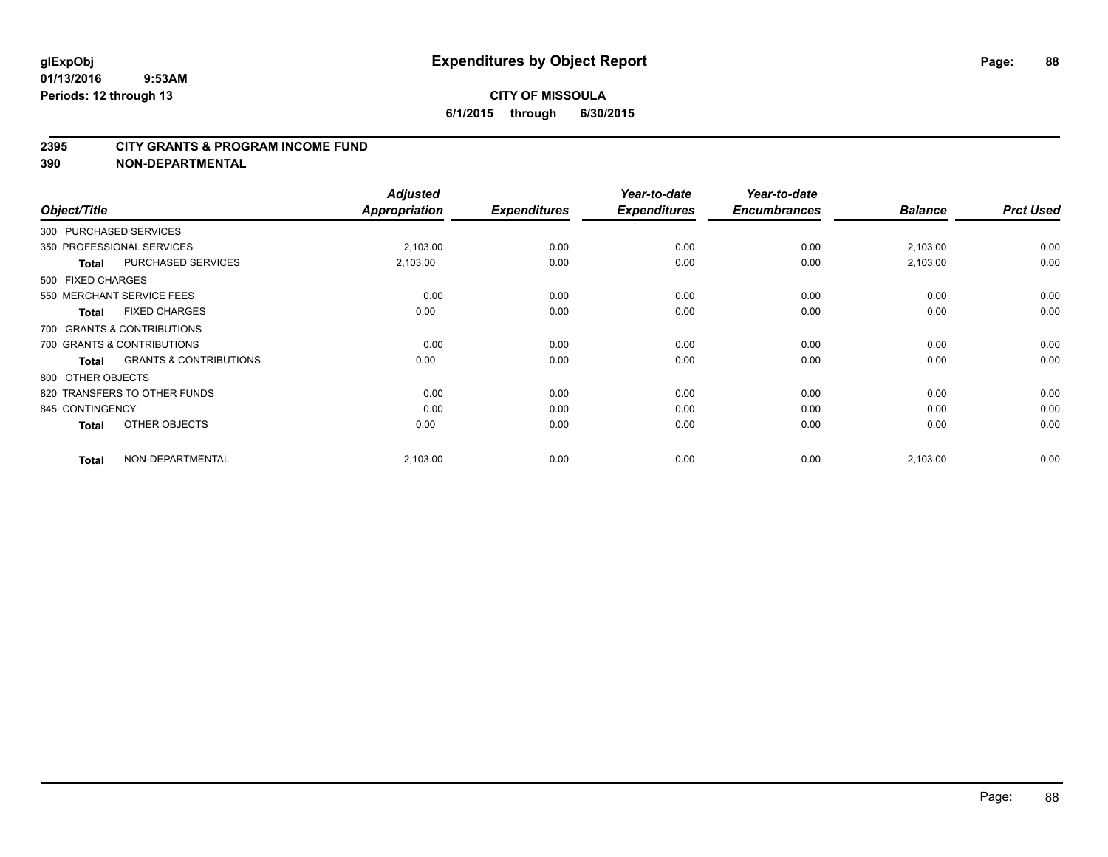#### **2395 CITY GRANTS & PROGRAM INCOME FUND**

**390 NON-DEPARTMENTAL**

| Object/Title      |                                   | <b>Adjusted</b><br><b>Appropriation</b> | <b>Expenditures</b> | Year-to-date<br><b>Expenditures</b> | Year-to-date<br><b>Encumbrances</b> | <b>Balance</b> | <b>Prct Used</b> |
|-------------------|-----------------------------------|-----------------------------------------|---------------------|-------------------------------------|-------------------------------------|----------------|------------------|
|                   | 300 PURCHASED SERVICES            |                                         |                     |                                     |                                     |                |                  |
|                   | 350 PROFESSIONAL SERVICES         | 2,103.00                                | 0.00                | 0.00                                | 0.00                                | 2,103.00       | 0.00             |
| <b>Total</b>      | PURCHASED SERVICES                | 2,103.00                                | 0.00                | 0.00                                | 0.00                                | 2,103.00       | 0.00             |
| 500 FIXED CHARGES |                                   |                                         |                     |                                     |                                     |                |                  |
|                   | 550 MERCHANT SERVICE FEES         | 0.00                                    | 0.00                | 0.00                                | 0.00                                | 0.00           | 0.00             |
| Total             | <b>FIXED CHARGES</b>              | 0.00                                    | 0.00                | 0.00                                | 0.00                                | 0.00           | 0.00             |
|                   | 700 GRANTS & CONTRIBUTIONS        |                                         |                     |                                     |                                     |                |                  |
|                   | 700 GRANTS & CONTRIBUTIONS        | 0.00                                    | 0.00                | 0.00                                | 0.00                                | 0.00           | 0.00             |
| Total             | <b>GRANTS &amp; CONTRIBUTIONS</b> | 0.00                                    | 0.00                | 0.00                                | 0.00                                | 0.00           | 0.00             |
| 800 OTHER OBJECTS |                                   |                                         |                     |                                     |                                     |                |                  |
|                   | 820 TRANSFERS TO OTHER FUNDS      | 0.00                                    | 0.00                | 0.00                                | 0.00                                | 0.00           | 0.00             |
| 845 CONTINGENCY   |                                   | 0.00                                    | 0.00                | 0.00                                | 0.00                                | 0.00           | 0.00             |
| Total             | OTHER OBJECTS                     | 0.00                                    | 0.00                | 0.00                                | 0.00                                | 0.00           | 0.00             |
| Total             | NON-DEPARTMENTAL                  | 2,103.00                                | 0.00                | 0.00                                | 0.00                                | 2,103.00       | 0.00             |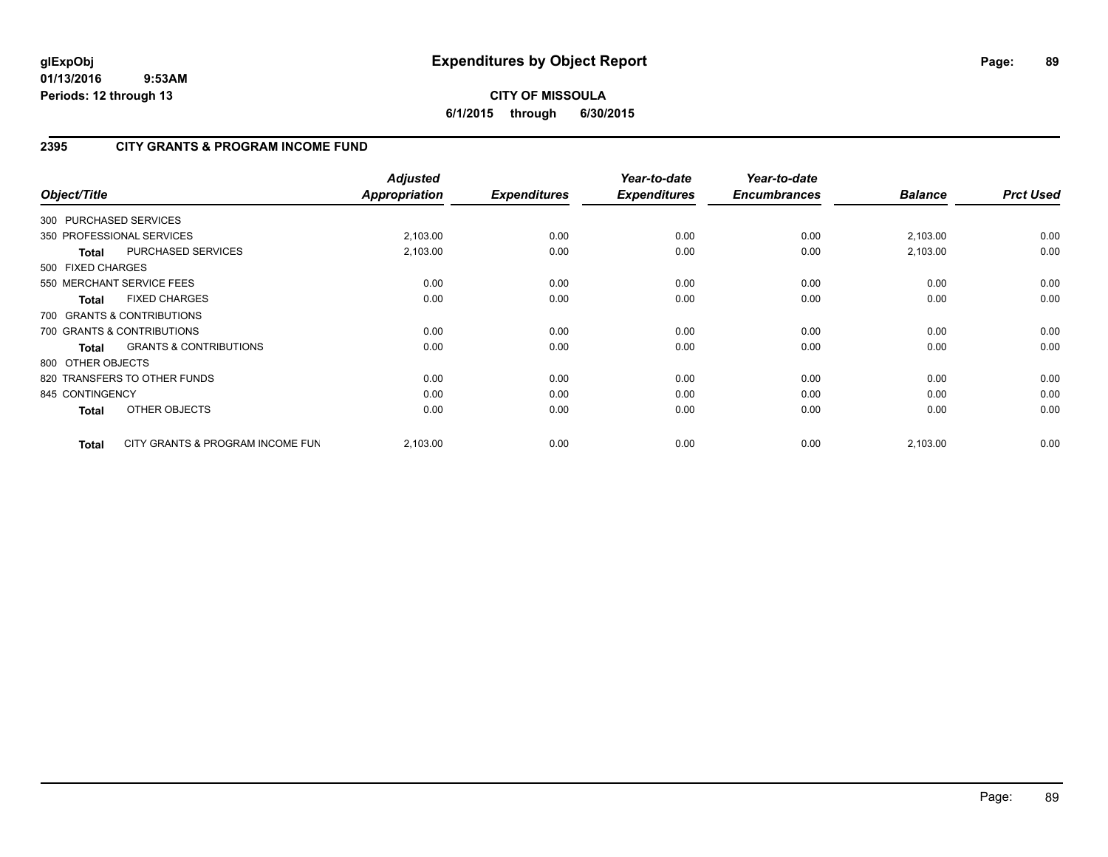# **CITY OF MISSOULA 6/1/2015 through 6/30/2015**

# **2395 CITY GRANTS & PROGRAM INCOME FUND**

| Object/Title           |                                   | <b>Adjusted</b><br><b>Appropriation</b> | <b>Expenditures</b> | Year-to-date<br><b>Expenditures</b> | Year-to-date<br><b>Encumbrances</b> | <b>Balance</b> | <b>Prct Used</b> |
|------------------------|-----------------------------------|-----------------------------------------|---------------------|-------------------------------------|-------------------------------------|----------------|------------------|
| 300 PURCHASED SERVICES |                                   |                                         |                     |                                     |                                     |                |                  |
|                        | 350 PROFESSIONAL SERVICES         | 2,103.00                                | 0.00                | 0.00                                | 0.00                                | 2,103.00       | 0.00             |
| <b>Total</b>           | PURCHASED SERVICES                | 2,103.00                                | 0.00                | 0.00                                | 0.00                                | 2,103.00       | 0.00             |
| 500 FIXED CHARGES      |                                   |                                         |                     |                                     |                                     |                |                  |
|                        | 550 MERCHANT SERVICE FEES         | 0.00                                    | 0.00                | 0.00                                | 0.00                                | 0.00           | 0.00             |
| <b>Total</b>           | <b>FIXED CHARGES</b>              | 0.00                                    | 0.00                | 0.00                                | 0.00                                | 0.00           | 0.00             |
|                        | 700 GRANTS & CONTRIBUTIONS        |                                         |                     |                                     |                                     |                |                  |
|                        | 700 GRANTS & CONTRIBUTIONS        | 0.00                                    | 0.00                | 0.00                                | 0.00                                | 0.00           | 0.00             |
| <b>Total</b>           | <b>GRANTS &amp; CONTRIBUTIONS</b> | 0.00                                    | 0.00                | 0.00                                | 0.00                                | 0.00           | 0.00             |
| 800 OTHER OBJECTS      |                                   |                                         |                     |                                     |                                     |                |                  |
|                        | 820 TRANSFERS TO OTHER FUNDS      | 0.00                                    | 0.00                | 0.00                                | 0.00                                | 0.00           | 0.00             |
| 845 CONTINGENCY        |                                   | 0.00                                    | 0.00                | 0.00                                | 0.00                                | 0.00           | 0.00             |
| <b>Total</b>           | OTHER OBJECTS                     | 0.00                                    | 0.00                | 0.00                                | 0.00                                | 0.00           | 0.00             |
| <b>Total</b>           | CITY GRANTS & PROGRAM INCOME FUN  | 2,103.00                                | 0.00                | 0.00                                | 0.00                                | 2,103.00       | 0.00             |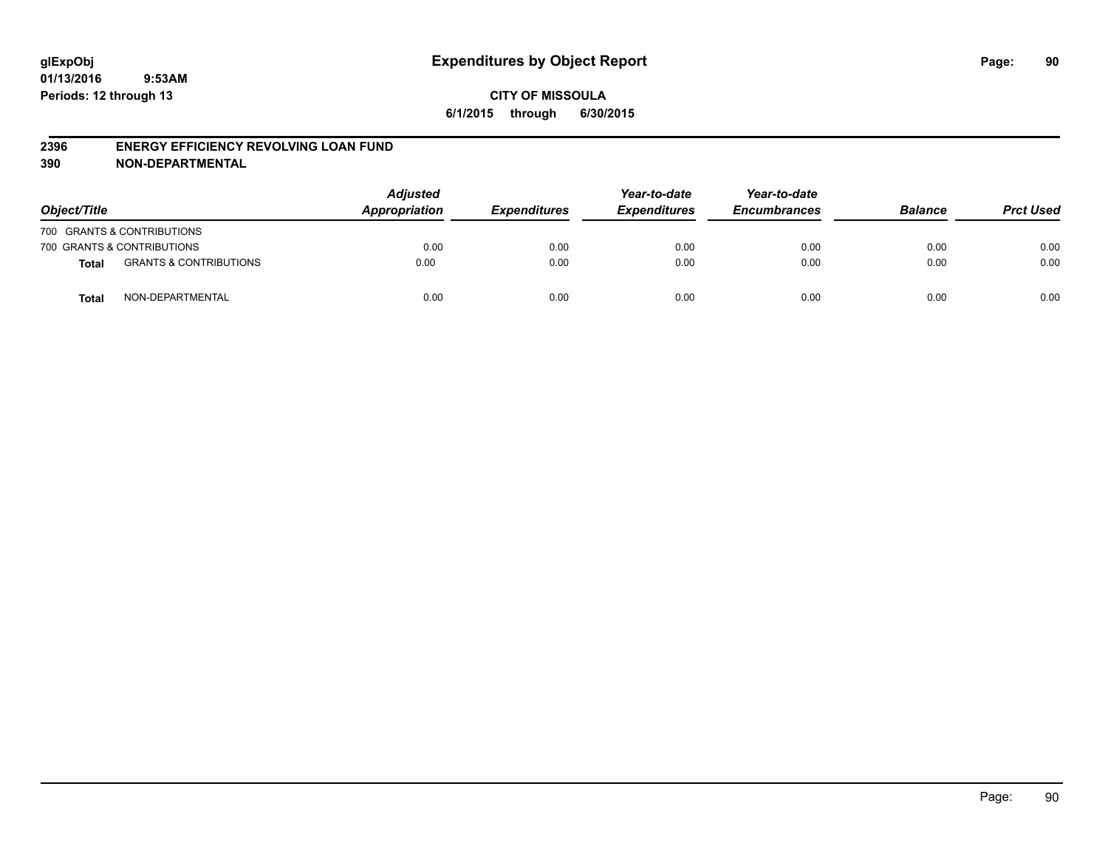#### **2396 ENERGY EFFICIENCY REVOLVING LOAN FUND**

**390 NON-DEPARTMENTAL**

| Object/Title |                                   | <b>Adjusted</b><br>Appropriation | <b>Expenditures</b> | Year-to-date<br><b>Expenditures</b> | Year-to-date<br><b>Encumbrances</b> | <b>Balance</b> | <b>Prct Used</b> |
|--------------|-----------------------------------|----------------------------------|---------------------|-------------------------------------|-------------------------------------|----------------|------------------|
|              | 700 GRANTS & CONTRIBUTIONS        |                                  |                     |                                     |                                     |                |                  |
|              | 700 GRANTS & CONTRIBUTIONS        | 0.00                             | 0.00                | 0.00                                | 0.00                                | 0.00           | 0.00             |
| <b>Total</b> | <b>GRANTS &amp; CONTRIBUTIONS</b> | 0.00                             | 0.00                | 0.00                                | 0.00                                | 0.00           | 0.00             |
| <b>Total</b> | NON-DEPARTMENTAL                  | 0.00                             | 0.00                | 0.00                                | 0.00                                | 0.00           | 0.00             |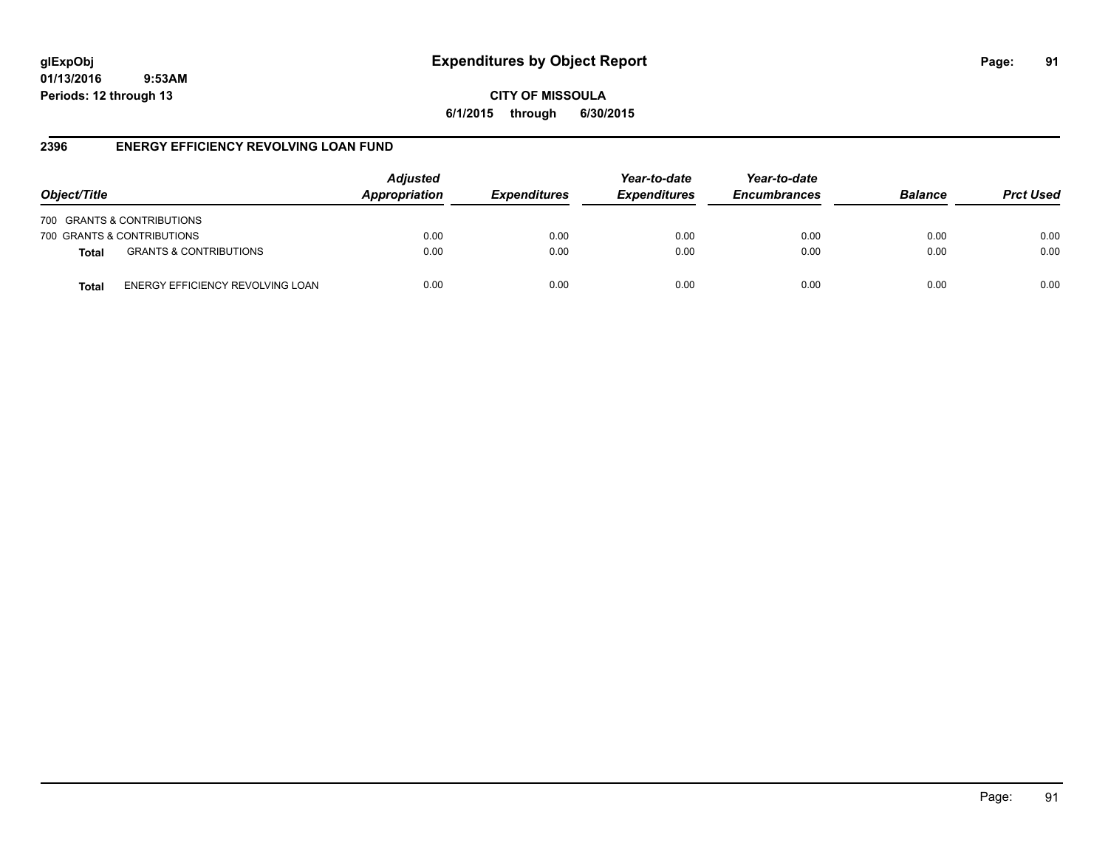# **glExpObj Expenditures by Object Report Page: 91**

**01/13/2016 9:53AM Periods: 12 through 13**

**CITY OF MISSOULA 6/1/2015 through 6/30/2015**

## **2396 ENERGY EFFICIENCY REVOLVING LOAN FUND**

| Object/Title |                                   | <b>Adjusted</b><br>Appropriation | <b>Expenditures</b> | Year-to-date<br><b>Expenditures</b> | Year-to-date<br><b>Encumbrances</b> | <b>Balance</b> | <b>Prct Used</b> |
|--------------|-----------------------------------|----------------------------------|---------------------|-------------------------------------|-------------------------------------|----------------|------------------|
|              | 700 GRANTS & CONTRIBUTIONS        |                                  |                     |                                     |                                     |                |                  |
|              | 700 GRANTS & CONTRIBUTIONS        | 0.00                             | 0.00                | 0.00                                | 0.00                                | 0.00           | 0.00             |
| <b>Total</b> | <b>GRANTS &amp; CONTRIBUTIONS</b> | 0.00                             | 0.00                | 0.00                                | 0.00                                | 0.00           | 0.00             |
| Total        | ENERGY EFFICIENCY REVOLVING LOAN  | 0.00                             | 0.00                | 0.00                                | 0.00                                | 0.00           | 0.00             |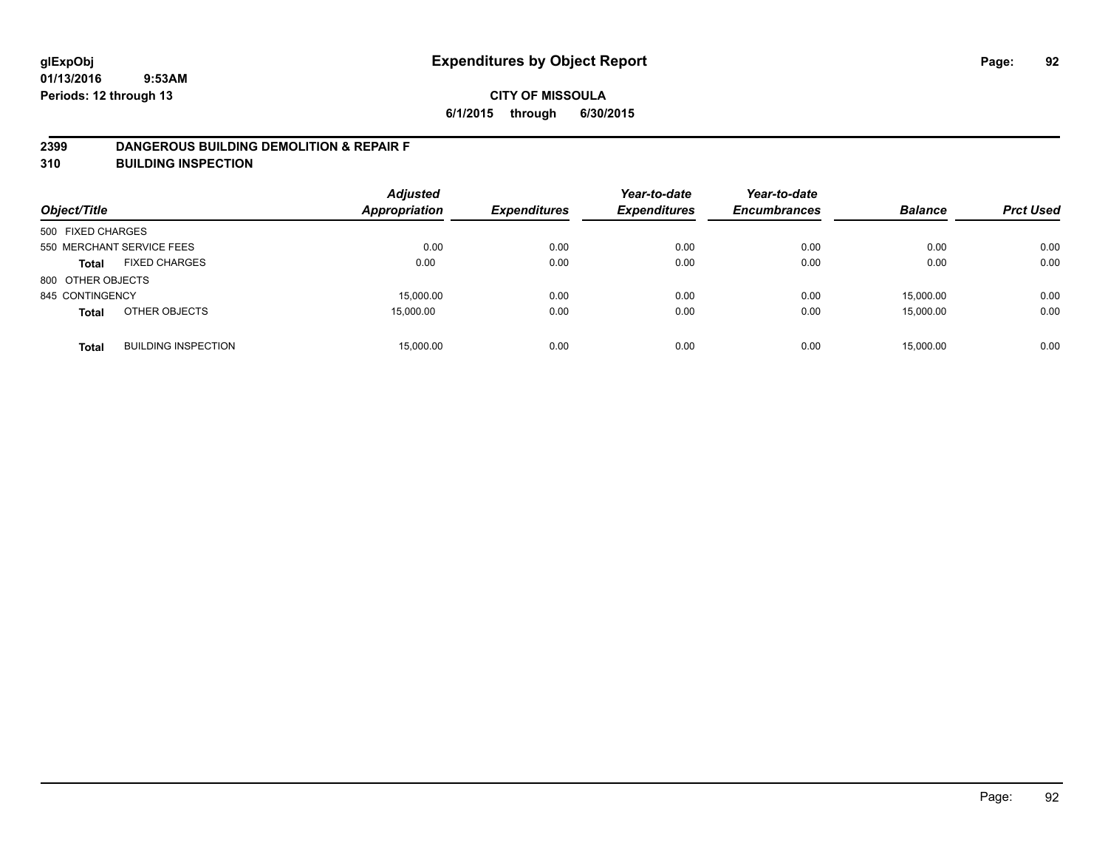#### **2399 DANGEROUS BUILDING DEMOLITION & REPAIR F**

**310 BUILDING INSPECTION**

| Object/Title      |                            | <b>Adjusted</b><br><b>Appropriation</b> | <b>Expenditures</b> | Year-to-date<br><b>Expenditures</b> | Year-to-date<br><b>Encumbrances</b> | <b>Balance</b> | <b>Prct Used</b> |
|-------------------|----------------------------|-----------------------------------------|---------------------|-------------------------------------|-------------------------------------|----------------|------------------|
| 500 FIXED CHARGES |                            |                                         |                     |                                     |                                     |                |                  |
|                   | 550 MERCHANT SERVICE FEES  | 0.00                                    | 0.00                | 0.00                                | 0.00                                | 0.00           | 0.00             |
| <b>Total</b>      | <b>FIXED CHARGES</b>       | 0.00                                    | 0.00                | 0.00                                | 0.00                                | 0.00           | 0.00             |
| 800 OTHER OBJECTS |                            |                                         |                     |                                     |                                     |                |                  |
| 845 CONTINGENCY   |                            | 15,000.00                               | 0.00                | 0.00                                | 0.00                                | 15.000.00      | 0.00             |
| <b>Total</b>      | OTHER OBJECTS              | 15,000.00                               | 0.00                | 0.00                                | 0.00                                | 15.000.00      | 0.00             |
| <b>Total</b>      | <b>BUILDING INSPECTION</b> | 15,000.00                               | 0.00                | 0.00                                | 0.00                                | 15.000.00      | 0.00             |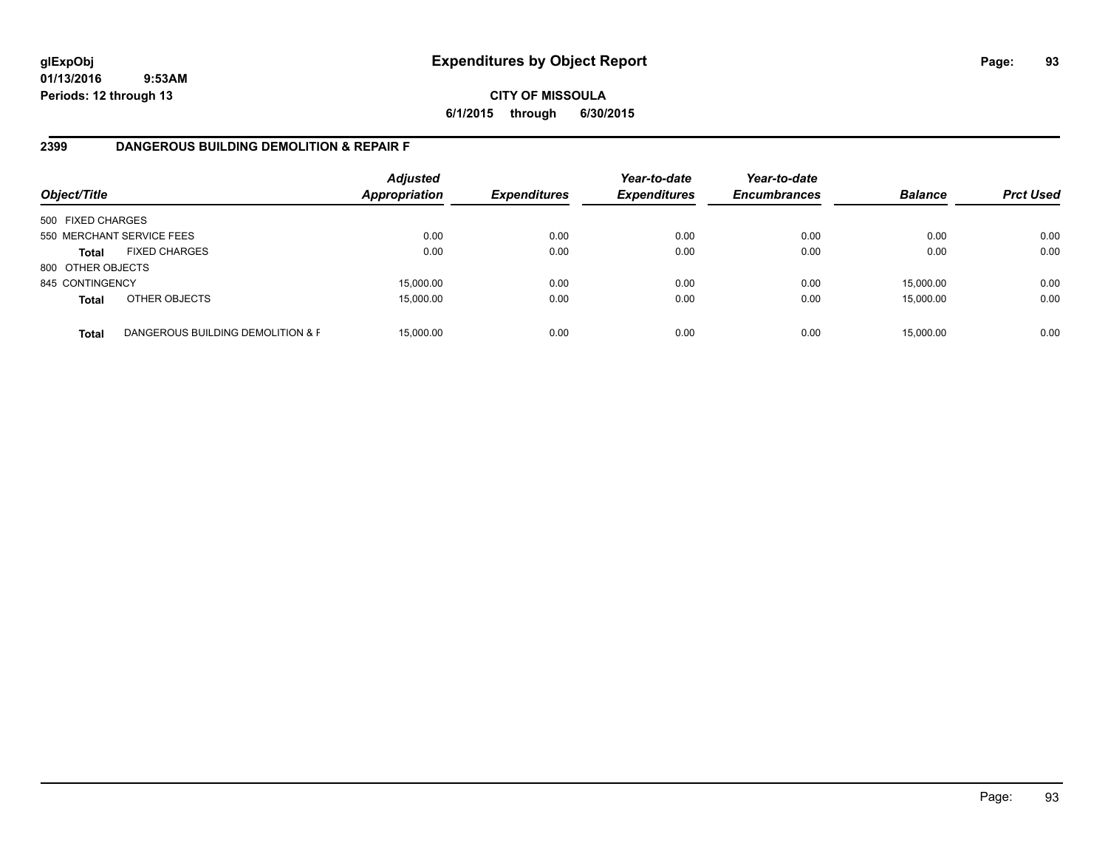# **CITY OF MISSOULA 6/1/2015 through 6/30/2015**

# **2399 DANGEROUS BUILDING DEMOLITION & REPAIR F**

| Object/Title      |                                   | <b>Adjusted</b><br><b>Appropriation</b> | <b>Expenditures</b> | Year-to-date<br><b>Expenditures</b> | Year-to-date<br><b>Encumbrances</b> | <b>Balance</b> | <b>Prct Used</b> |
|-------------------|-----------------------------------|-----------------------------------------|---------------------|-------------------------------------|-------------------------------------|----------------|------------------|
| 500 FIXED CHARGES |                                   |                                         |                     |                                     |                                     |                |                  |
|                   | 550 MERCHANT SERVICE FEES         | 0.00                                    | 0.00                | 0.00                                | 0.00                                | 0.00           | 0.00             |
| <b>Total</b>      | <b>FIXED CHARGES</b>              | 0.00                                    | 0.00                | 0.00                                | 0.00                                | 0.00           | 0.00             |
| 800 OTHER OBJECTS |                                   |                                         |                     |                                     |                                     |                |                  |
| 845 CONTINGENCY   |                                   | 15,000.00                               | 0.00                | 0.00                                | 0.00                                | 15,000.00      | 0.00             |
| <b>Total</b>      | OTHER OBJECTS                     | 15,000.00                               | 0.00                | 0.00                                | 0.00                                | 15,000.00      | 0.00             |
| <b>Total</b>      | DANGEROUS BUILDING DEMOLITION & F | 15.000.00                               | 0.00                | 0.00                                | 0.00                                | 15,000.00      | 0.00             |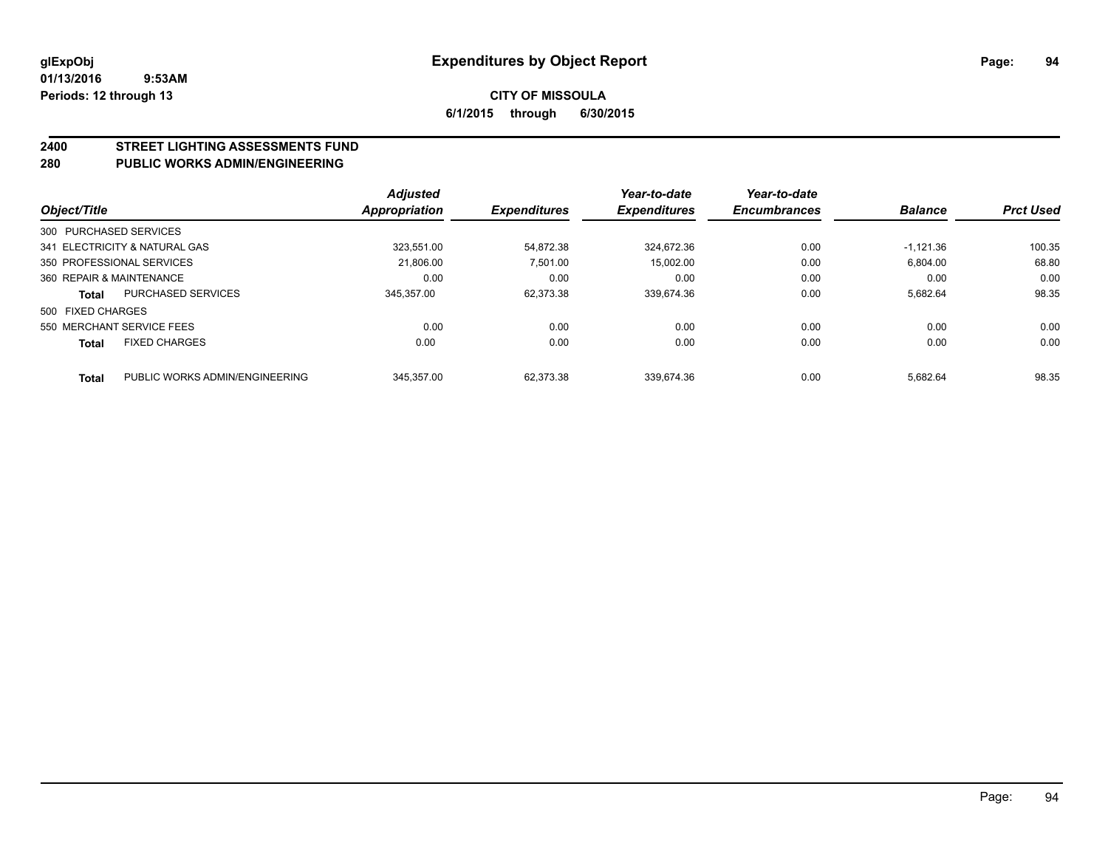# **2400 STREET LIGHTING ASSESSMENTS FUND**

## **280 PUBLIC WORKS ADMIN/ENGINEERING**

| Object/Title             |                                | <b>Adjusted</b><br><b>Appropriation</b> | <b>Expenditures</b> | Year-to-date<br><b>Expenditures</b> | Year-to-date<br><b>Encumbrances</b> | <b>Balance</b> | <b>Prct Used</b> |
|--------------------------|--------------------------------|-----------------------------------------|---------------------|-------------------------------------|-------------------------------------|----------------|------------------|
| 300 PURCHASED SERVICES   |                                |                                         |                     |                                     |                                     |                |                  |
|                          | 341 ELECTRICITY & NATURAL GAS  | 323.551.00                              | 54.872.38           | 324.672.36                          | 0.00                                | $-1.121.36$    | 100.35           |
|                          | 350 PROFESSIONAL SERVICES      | 21.806.00                               | 7,501.00            | 15.002.00                           | 0.00                                | 6,804.00       | 68.80            |
| 360 REPAIR & MAINTENANCE |                                | 0.00                                    | 0.00                | 0.00                                | 0.00                                | 0.00           | 0.00             |
| <b>Total</b>             | <b>PURCHASED SERVICES</b>      | 345.357.00                              | 62.373.38           | 339.674.36                          | 0.00                                | 5.682.64       | 98.35            |
| 500 FIXED CHARGES        |                                |                                         |                     |                                     |                                     |                |                  |
|                          | 550 MERCHANT SERVICE FEES      | 0.00                                    | 0.00                | 0.00                                | 0.00                                | 0.00           | 0.00             |
| <b>Total</b>             | <b>FIXED CHARGES</b>           | 0.00                                    | 0.00                | 0.00                                | 0.00                                | 0.00           | 0.00             |
| <b>Total</b>             | PUBLIC WORKS ADMIN/ENGINEERING | 345.357.00                              | 62.373.38           | 339.674.36                          | 0.00                                | 5.682.64       | 98.35            |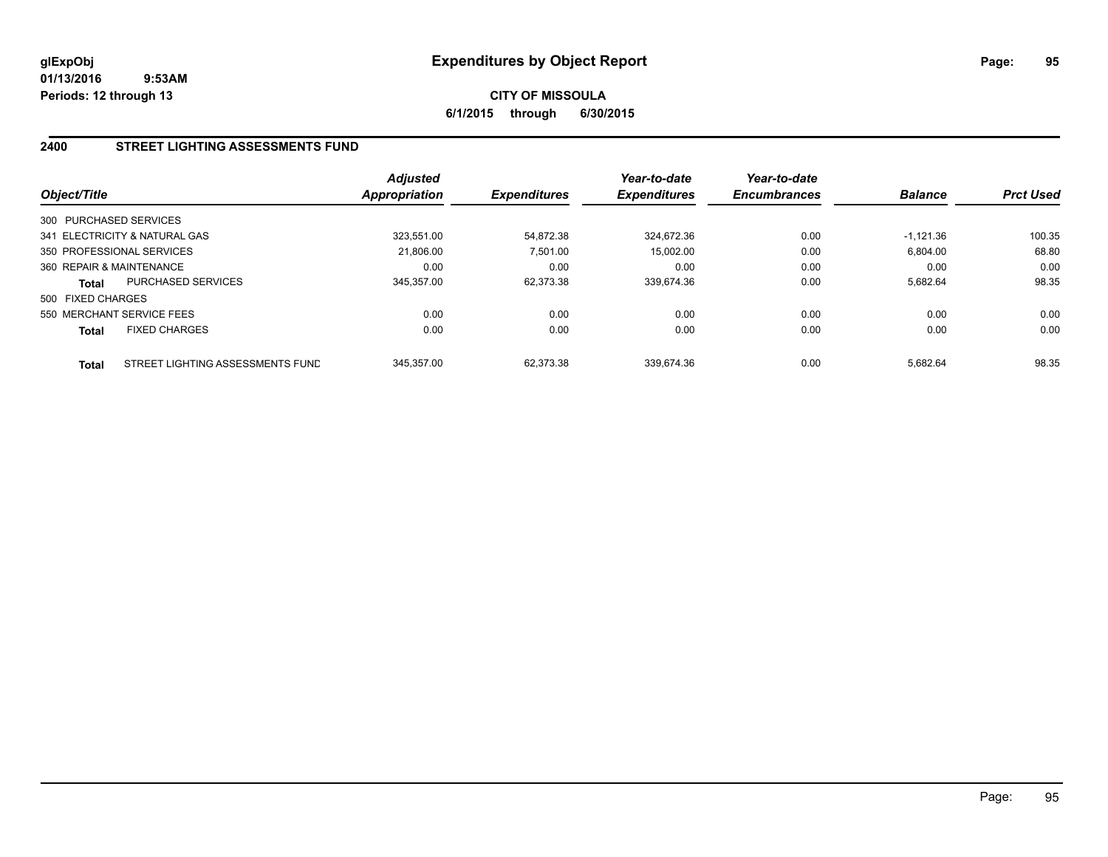# **CITY OF MISSOULA 6/1/2015 through 6/30/2015**

## **2400 STREET LIGHTING ASSESSMENTS FUND**

| Object/Title              |                                  | Adjusted<br><b>Appropriation</b> | <b>Expenditures</b> | Year-to-date<br><b>Expenditures</b> | Year-to-date<br><b>Encumbrances</b> | <b>Balance</b> | <b>Prct Used</b> |
|---------------------------|----------------------------------|----------------------------------|---------------------|-------------------------------------|-------------------------------------|----------------|------------------|
| 300 PURCHASED SERVICES    |                                  |                                  |                     |                                     |                                     |                |                  |
|                           | 341 ELECTRICITY & NATURAL GAS    | 323.551.00                       | 54.872.38           | 324.672.36                          | 0.00                                | $-1.121.36$    | 100.35           |
| 350 PROFESSIONAL SERVICES |                                  | 21.806.00                        | 7.501.00            | 15.002.00                           | 0.00                                | 6.804.00       | 68.80            |
| 360 REPAIR & MAINTENANCE  |                                  | 0.00                             | 0.00                | 0.00                                | 0.00                                | 0.00           | 0.00             |
| Total                     | PURCHASED SERVICES               | 345,357.00                       | 62,373.38           | 339,674.36                          | 0.00                                | 5,682.64       | 98.35            |
| 500 FIXED CHARGES         |                                  |                                  |                     |                                     |                                     |                |                  |
|                           | 550 MERCHANT SERVICE FEES        | 0.00                             | 0.00                | 0.00                                | 0.00                                | 0.00           | 0.00             |
| <b>Total</b>              | <b>FIXED CHARGES</b>             | 0.00                             | 0.00                | 0.00                                | 0.00                                | 0.00           | 0.00             |
| <b>Total</b>              | STREET LIGHTING ASSESSMENTS FUND | 345.357.00                       | 62.373.38           | 339.674.36                          | 0.00                                | 5.682.64       | 98.35            |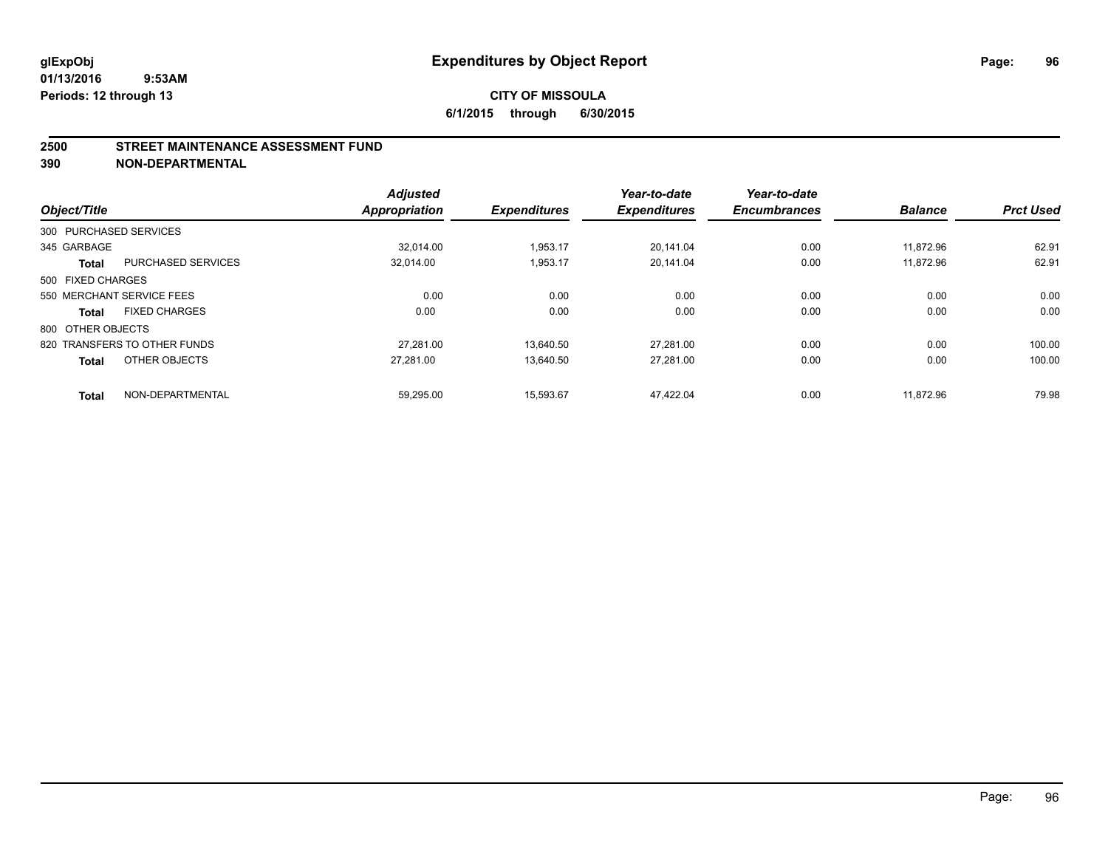#### **2500 STREET MAINTENANCE ASSESSMENT FUND**

**390 NON-DEPARTMENTAL**

| Object/Title      |                              | <b>Adjusted</b><br><b>Appropriation</b> | <b>Expenditures</b> | Year-to-date<br><b>Expenditures</b> | Year-to-date<br><b>Encumbrances</b> | <b>Balance</b> | <b>Prct Used</b> |
|-------------------|------------------------------|-----------------------------------------|---------------------|-------------------------------------|-------------------------------------|----------------|------------------|
|                   | 300 PURCHASED SERVICES       |                                         |                     |                                     |                                     |                |                  |
| 345 GARBAGE       |                              | 32.014.00                               | 1,953.17            | 20.141.04                           | 0.00                                | 11,872.96      | 62.91            |
| <b>Total</b>      | <b>PURCHASED SERVICES</b>    | 32,014.00                               | 1,953.17            | 20,141.04                           | 0.00                                | 11,872.96      | 62.91            |
| 500 FIXED CHARGES |                              |                                         |                     |                                     |                                     |                |                  |
|                   | 550 MERCHANT SERVICE FEES    | 0.00                                    | 0.00                | 0.00                                | 0.00                                | 0.00           | 0.00             |
| <b>Total</b>      | <b>FIXED CHARGES</b>         | 0.00                                    | 0.00                | 0.00                                | 0.00                                | 0.00           | 0.00             |
| 800 OTHER OBJECTS |                              |                                         |                     |                                     |                                     |                |                  |
|                   | 820 TRANSFERS TO OTHER FUNDS | 27.281.00                               | 13.640.50           | 27.281.00                           | 0.00                                | 0.00           | 100.00           |
| <b>Total</b>      | OTHER OBJECTS                | 27.281.00                               | 13,640.50           | 27,281.00                           | 0.00                                | 0.00           | 100.00           |
| <b>Total</b>      | NON-DEPARTMENTAL             | 59,295.00                               | 15,593.67           | 47.422.04                           | 0.00                                | 11,872.96      | 79.98            |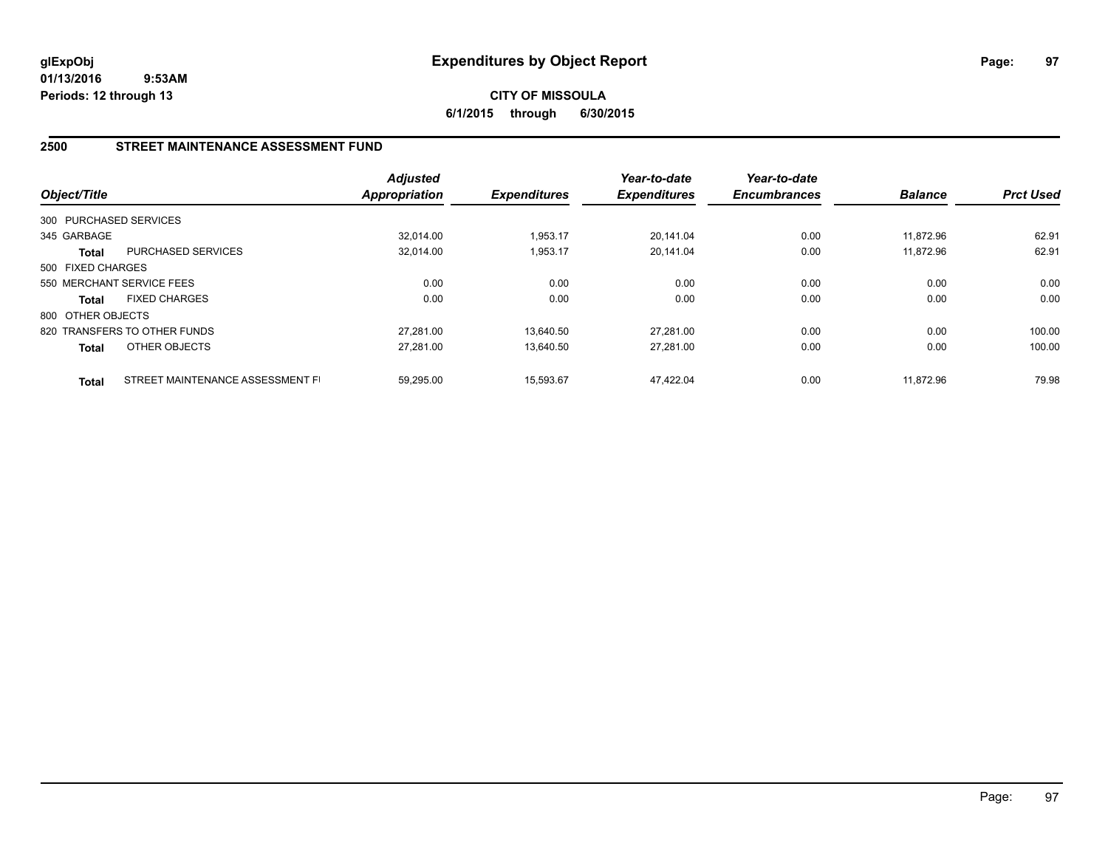**CITY OF MISSOULA 6/1/2015 through 6/30/2015**

## **2500 STREET MAINTENANCE ASSESSMENT FUND**

| Object/Title           |                                  | <b>Adjusted</b><br>Appropriation | <b>Expenditures</b> | Year-to-date<br><b>Expenditures</b> | Year-to-date<br><b>Encumbrances</b> | <b>Balance</b> | <b>Prct Used</b> |
|------------------------|----------------------------------|----------------------------------|---------------------|-------------------------------------|-------------------------------------|----------------|------------------|
| 300 PURCHASED SERVICES |                                  |                                  |                     |                                     |                                     |                |                  |
| 345 GARBAGE            |                                  | 32.014.00                        | 1,953.17            | 20.141.04                           | 0.00                                | 11.872.96      | 62.91            |
| Total                  | <b>PURCHASED SERVICES</b>        | 32.014.00                        | 1,953.17            | 20.141.04                           | 0.00                                | 11.872.96      | 62.91            |
| 500 FIXED CHARGES      |                                  |                                  |                     |                                     |                                     |                |                  |
|                        | 550 MERCHANT SERVICE FEES        | 0.00                             | 0.00                | 0.00                                | 0.00                                | 0.00           | 0.00             |
| <b>Total</b>           | <b>FIXED CHARGES</b>             | 0.00                             | 0.00                | 0.00                                | 0.00                                | 0.00           | 0.00             |
| 800 OTHER OBJECTS      |                                  |                                  |                     |                                     |                                     |                |                  |
|                        | 820 TRANSFERS TO OTHER FUNDS     | 27.281.00                        | 13.640.50           | 27.281.00                           | 0.00                                | 0.00           | 100.00           |
| <b>Total</b>           | OTHER OBJECTS                    | 27.281.00                        | 13.640.50           | 27.281.00                           | 0.00                                | 0.00           | 100.00           |
| <b>Total</b>           | STREET MAINTENANCE ASSESSMENT FI | 59.295.00                        | 15.593.67           | 47.422.04                           | 0.00                                | 11.872.96      | 79.98            |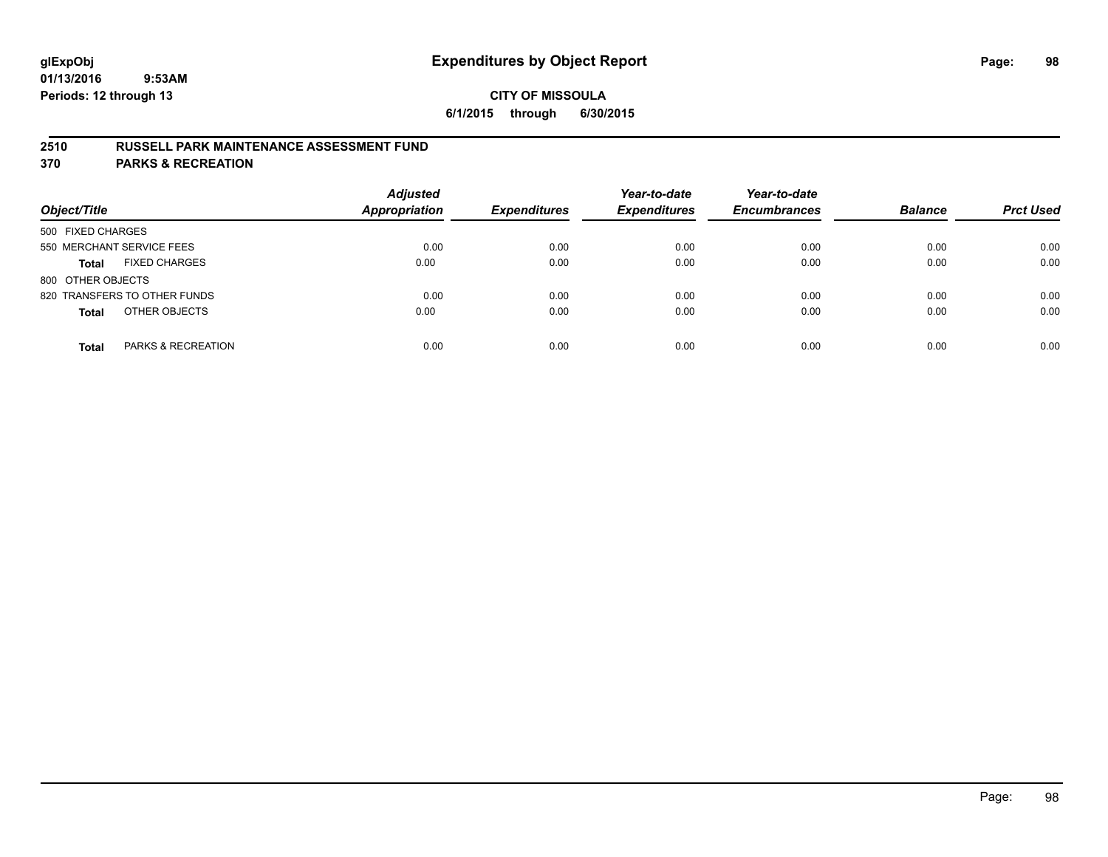## **2510 RUSSELL PARK MAINTENANCE ASSESSMENT FUND**

**370 PARKS & RECREATION**

| Object/Title                         | <b>Adjusted</b><br><b>Appropriation</b> | <b>Expenditures</b> | Year-to-date<br><b>Expenditures</b> | Year-to-date<br><b>Encumbrances</b> | <b>Balance</b> | <b>Prct Used</b> |
|--------------------------------------|-----------------------------------------|---------------------|-------------------------------------|-------------------------------------|----------------|------------------|
| 500 FIXED CHARGES                    |                                         |                     |                                     |                                     |                |                  |
| 550 MERCHANT SERVICE FEES            | 0.00                                    | 0.00                | 0.00                                | 0.00                                | 0.00           | 0.00             |
| <b>FIXED CHARGES</b><br><b>Total</b> | 0.00                                    | 0.00                | 0.00                                | 0.00                                | 0.00           | 0.00             |
| 800 OTHER OBJECTS                    |                                         |                     |                                     |                                     |                |                  |
| 820 TRANSFERS TO OTHER FUNDS         | 0.00                                    | 0.00                | 0.00                                | 0.00                                | 0.00           | 0.00             |
| OTHER OBJECTS<br><b>Total</b>        | 0.00                                    | 0.00                | 0.00                                | 0.00                                | 0.00           | 0.00             |
| PARKS & RECREATION<br><b>Total</b>   | 0.00                                    | 0.00                | 0.00                                | 0.00                                | 0.00           | 0.00             |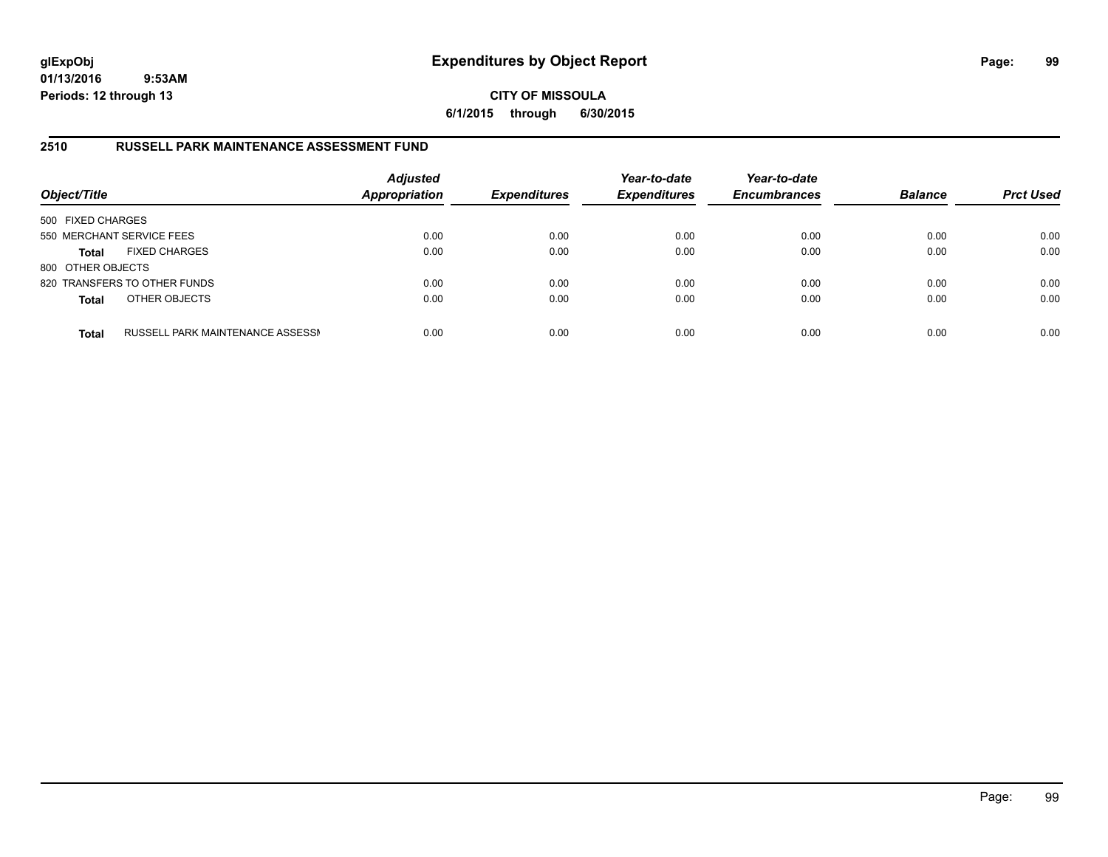**CITY OF MISSOULA 6/1/2015 through 6/30/2015**

#### **2510 RUSSELL PARK MAINTENANCE ASSESSMENT FUND**

| Object/Title              |                                  | <b>Adjusted</b><br><b>Appropriation</b> | <b>Expenditures</b> | Year-to-date<br><b>Expenditures</b> | Year-to-date<br><b>Encumbrances</b> | <b>Balance</b> | <b>Prct Used</b> |
|---------------------------|----------------------------------|-----------------------------------------|---------------------|-------------------------------------|-------------------------------------|----------------|------------------|
| 500 FIXED CHARGES         |                                  |                                         |                     |                                     |                                     |                |                  |
| 550 MERCHANT SERVICE FEES |                                  | 0.00                                    | 0.00                | 0.00                                | 0.00                                | 0.00           | 0.00             |
| <b>Total</b>              | <b>FIXED CHARGES</b>             | 0.00                                    | 0.00                | 0.00                                | 0.00                                | 0.00           | 0.00             |
| 800 OTHER OBJECTS         |                                  |                                         |                     |                                     |                                     |                |                  |
|                           | 820 TRANSFERS TO OTHER FUNDS     | 0.00                                    | 0.00                | 0.00                                | 0.00                                | 0.00           | 0.00             |
| <b>Total</b>              | OTHER OBJECTS                    | 0.00                                    | 0.00                | 0.00                                | 0.00                                | 0.00           | 0.00             |
| <b>Total</b>              | RUSSELL PARK MAINTENANCE ASSESSN | 0.00                                    | 0.00                | 0.00                                | 0.00                                | 0.00           | 0.00             |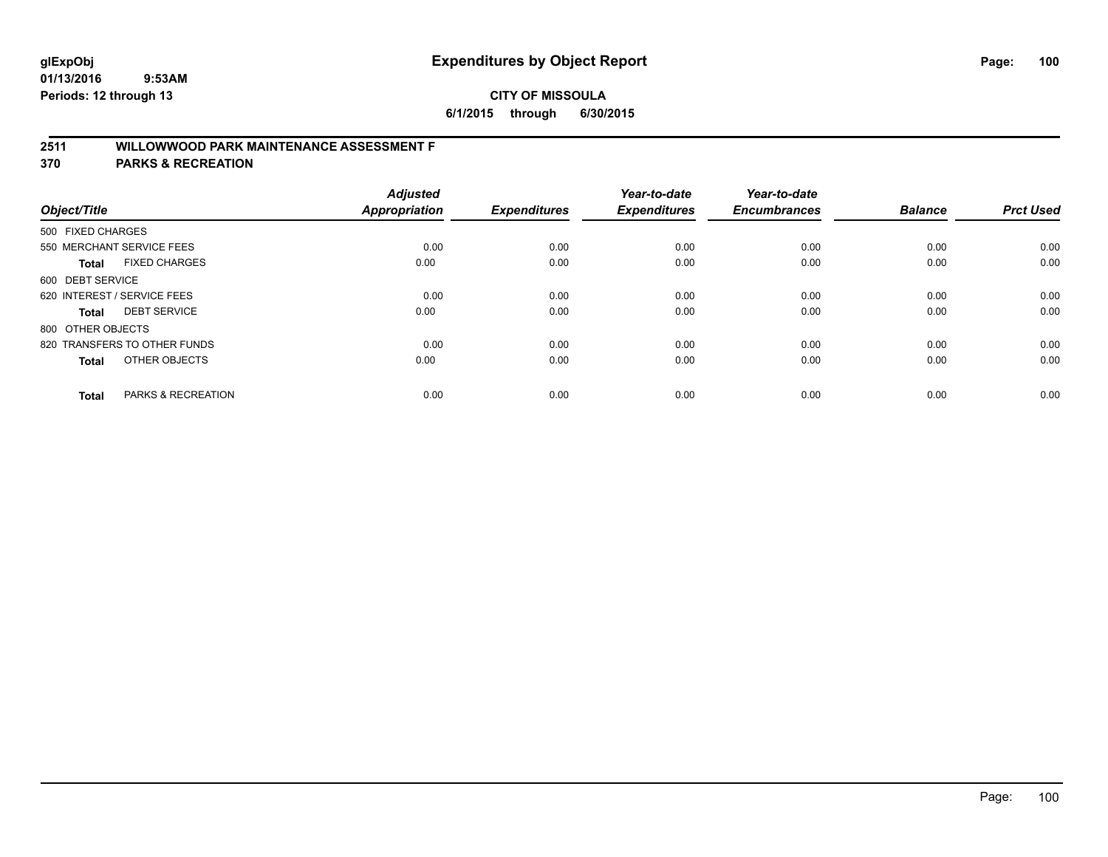# **2511 WILLOWWOOD PARK MAINTENANCE ASSESSMENT F**

**370 PARKS & RECREATION**

| Object/Title                |                               | <b>Adjusted</b><br><b>Appropriation</b> | <b>Expenditures</b> | Year-to-date<br><b>Expenditures</b> | Year-to-date<br><b>Encumbrances</b> | <b>Balance</b> | <b>Prct Used</b> |
|-----------------------------|-------------------------------|-----------------------------------------|---------------------|-------------------------------------|-------------------------------------|----------------|------------------|
| 500 FIXED CHARGES           |                               |                                         |                     |                                     |                                     |                |                  |
|                             | 550 MERCHANT SERVICE FEES     | 0.00                                    | 0.00                | 0.00                                | 0.00                                | 0.00           | 0.00             |
| <b>Total</b>                | <b>FIXED CHARGES</b>          | 0.00                                    | 0.00                | 0.00                                | 0.00                                | 0.00           | 0.00             |
| 600 DEBT SERVICE            |                               |                                         |                     |                                     |                                     |                |                  |
| 620 INTEREST / SERVICE FEES |                               | 0.00                                    | 0.00                | 0.00                                | 0.00                                | 0.00           | 0.00             |
| Total                       | <b>DEBT SERVICE</b>           | 0.00                                    | 0.00                | 0.00                                | 0.00                                | 0.00           | 0.00             |
| 800 OTHER OBJECTS           |                               |                                         |                     |                                     |                                     |                |                  |
|                             | 820 TRANSFERS TO OTHER FUNDS  | 0.00                                    | 0.00                | 0.00                                | 0.00                                | 0.00           | 0.00             |
| Total                       | OTHER OBJECTS                 | 0.00                                    | 0.00                | 0.00                                | 0.00                                | 0.00           | 0.00             |
|                             |                               |                                         |                     |                                     |                                     |                |                  |
| <b>Total</b>                | <b>PARKS &amp; RECREATION</b> | 0.00                                    | 0.00                | 0.00                                | 0.00                                | 0.00           | 0.00             |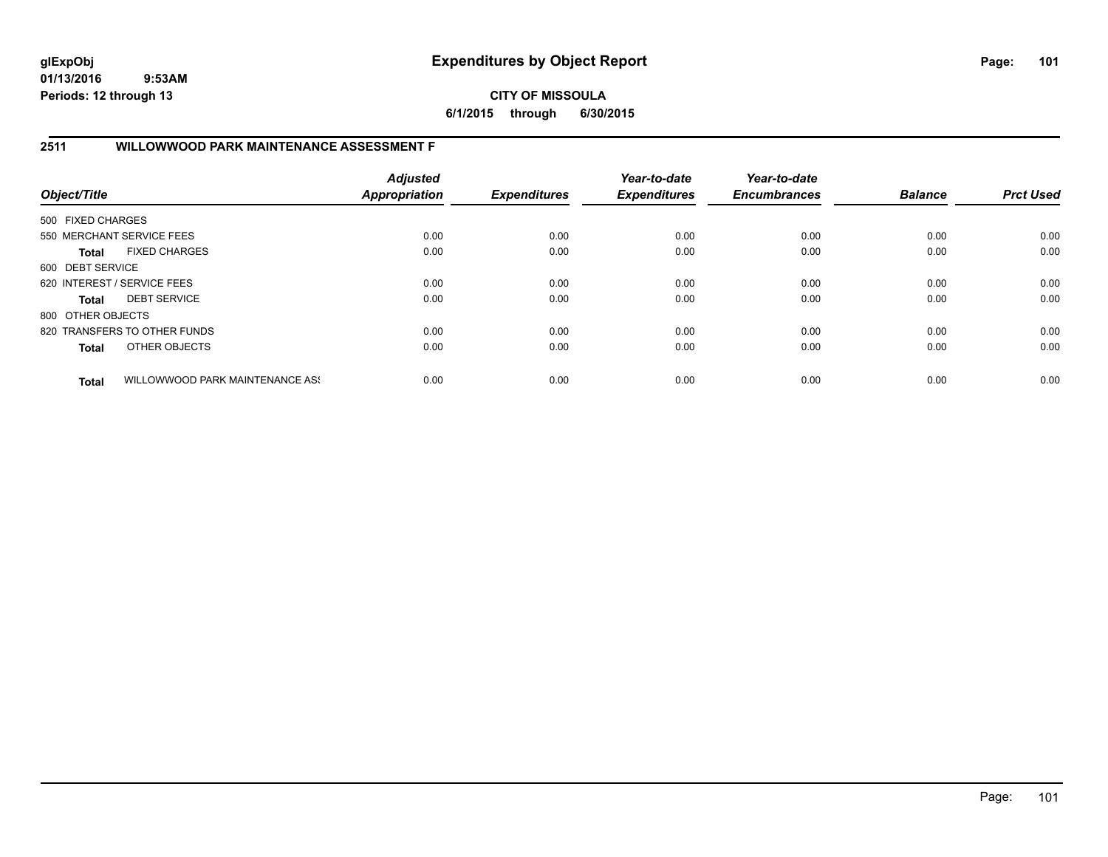**CITY OF MISSOULA 6/1/2015 through 6/30/2015**

# **2511 WILLOWWOOD PARK MAINTENANCE ASSESSMENT F**

| Object/Title                |                                 | <b>Adjusted</b><br><b>Appropriation</b> | <b>Expenditures</b> | Year-to-date<br><b>Expenditures</b> | Year-to-date<br><b>Encumbrances</b> | <b>Balance</b> | <b>Prct Used</b> |
|-----------------------------|---------------------------------|-----------------------------------------|---------------------|-------------------------------------|-------------------------------------|----------------|------------------|
| 500 FIXED CHARGES           |                                 |                                         |                     |                                     |                                     |                |                  |
|                             | 550 MERCHANT SERVICE FEES       | 0.00                                    | 0.00                | 0.00                                | 0.00                                | 0.00           | 0.00             |
| Total                       | <b>FIXED CHARGES</b>            | 0.00                                    | 0.00                | 0.00                                | 0.00                                | 0.00           | 0.00             |
| 600 DEBT SERVICE            |                                 |                                         |                     |                                     |                                     |                |                  |
| 620 INTEREST / SERVICE FEES |                                 | 0.00                                    | 0.00                | 0.00                                | 0.00                                | 0.00           | 0.00             |
| <b>Total</b>                | <b>DEBT SERVICE</b>             | 0.00                                    | 0.00                | 0.00                                | 0.00                                | 0.00           | 0.00             |
| 800 OTHER OBJECTS           |                                 |                                         |                     |                                     |                                     |                |                  |
|                             | 820 TRANSFERS TO OTHER FUNDS    | 0.00                                    | 0.00                | 0.00                                | 0.00                                | 0.00           | 0.00             |
| <b>Total</b>                | OTHER OBJECTS                   | 0.00                                    | 0.00                | 0.00                                | 0.00                                | 0.00           | 0.00             |
| <b>Total</b>                | WILLOWWOOD PARK MAINTENANCE ASS | 0.00                                    | 0.00                | 0.00                                | 0.00                                | 0.00           | 0.00             |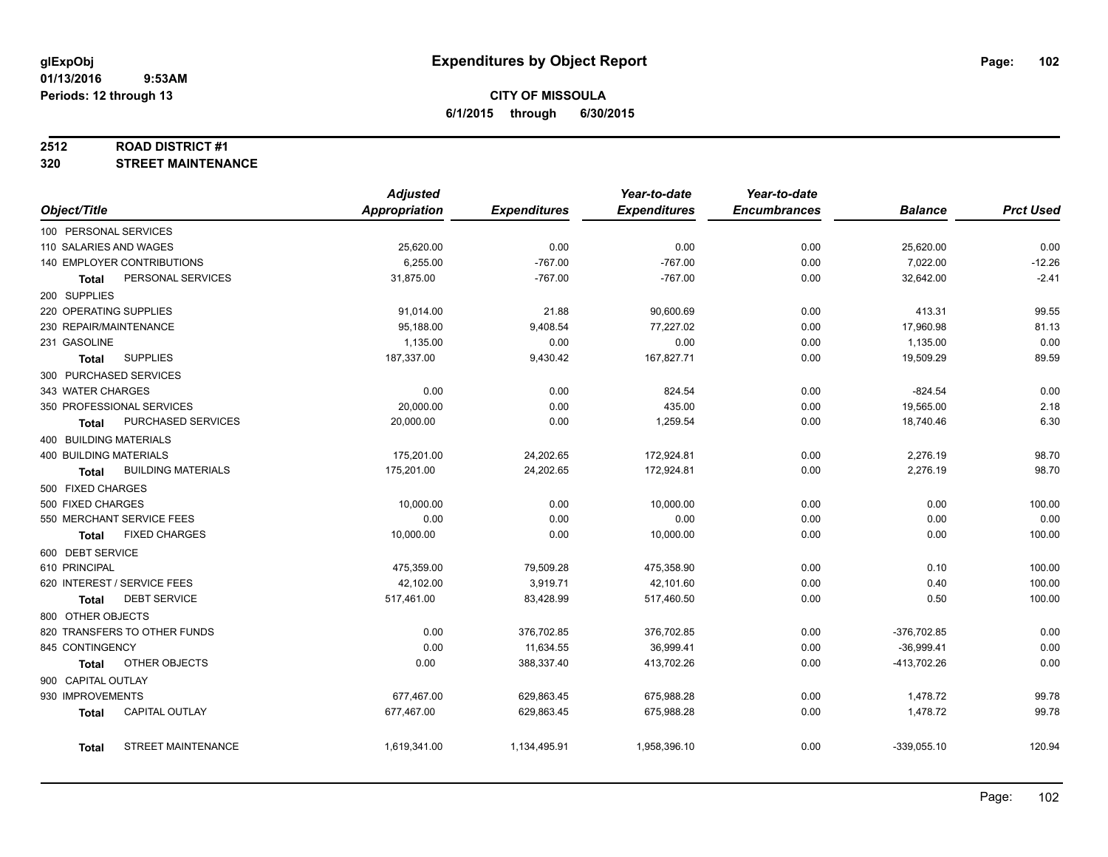#### **2512 ROAD DISTRICT #1**

**320 STREET MAINTENANCE**

|                                           | <b>Adjusted</b> |                     | Year-to-date        | Year-to-date        |                |                  |
|-------------------------------------------|-----------------|---------------------|---------------------|---------------------|----------------|------------------|
| Object/Title                              | Appropriation   | <b>Expenditures</b> | <b>Expenditures</b> | <b>Encumbrances</b> | <b>Balance</b> | <b>Prct Used</b> |
| 100 PERSONAL SERVICES                     |                 |                     |                     |                     |                |                  |
| 110 SALARIES AND WAGES                    | 25,620.00       | 0.00                | 0.00                | 0.00                | 25,620.00      | 0.00             |
| 140 EMPLOYER CONTRIBUTIONS                | 6,255.00        | $-767.00$           | $-767.00$           | 0.00                | 7,022.00       | $-12.26$         |
| PERSONAL SERVICES<br><b>Total</b>         | 31,875.00       | $-767.00$           | $-767.00$           | 0.00                | 32,642.00      | $-2.41$          |
| 200 SUPPLIES                              |                 |                     |                     |                     |                |                  |
| 220 OPERATING SUPPLIES                    | 91,014.00       | 21.88               | 90,600.69           | 0.00                | 413.31         | 99.55            |
| 230 REPAIR/MAINTENANCE                    | 95,188.00       | 9,408.54            | 77,227.02           | 0.00                | 17,960.98      | 81.13            |
| 231 GASOLINE                              | 1,135.00        | 0.00                | 0.00                | 0.00                | 1,135.00       | 0.00             |
| <b>SUPPLIES</b><br>Total                  | 187,337.00      | 9,430.42            | 167,827.71          | 0.00                | 19,509.29      | 89.59            |
| 300 PURCHASED SERVICES                    |                 |                     |                     |                     |                |                  |
| 343 WATER CHARGES                         | 0.00            | 0.00                | 824.54              | 0.00                | $-824.54$      | 0.00             |
| 350 PROFESSIONAL SERVICES                 | 20,000.00       | 0.00                | 435.00              | 0.00                | 19,565.00      | 2.18             |
| PURCHASED SERVICES<br><b>Total</b>        | 20,000.00       | 0.00                | 1,259.54            | 0.00                | 18,740.46      | 6.30             |
| 400 BUILDING MATERIALS                    |                 |                     |                     |                     |                |                  |
| <b>400 BUILDING MATERIALS</b>             | 175,201.00      | 24,202.65           | 172,924.81          | 0.00                | 2,276.19       | 98.70            |
| <b>BUILDING MATERIALS</b><br><b>Total</b> | 175,201.00      | 24,202.65           | 172,924.81          | 0.00                | 2,276.19       | 98.70            |
| 500 FIXED CHARGES                         |                 |                     |                     |                     |                |                  |
| 500 FIXED CHARGES                         | 10,000.00       | 0.00                | 10,000.00           | 0.00                | 0.00           | 100.00           |
| 550 MERCHANT SERVICE FEES                 | 0.00            | 0.00                | 0.00                | 0.00                | 0.00           | 0.00             |
| <b>FIXED CHARGES</b><br><b>Total</b>      | 10,000.00       | 0.00                | 10,000.00           | 0.00                | 0.00           | 100.00           |
| 600 DEBT SERVICE                          |                 |                     |                     |                     |                |                  |
| 610 PRINCIPAL                             | 475,359.00      | 79,509.28           | 475,358.90          | 0.00                | 0.10           | 100.00           |
| 620 INTEREST / SERVICE FEES               | 42,102.00       | 3,919.71            | 42,101.60           | 0.00                | 0.40           | 100.00           |
| <b>DEBT SERVICE</b><br>Total              | 517,461.00      | 83,428.99           | 517,460.50          | 0.00                | 0.50           | 100.00           |
| 800 OTHER OBJECTS                         |                 |                     |                     |                     |                |                  |
| 820 TRANSFERS TO OTHER FUNDS              | 0.00            | 376,702.85          | 376,702.85          | 0.00                | $-376,702.85$  | 0.00             |
| 845 CONTINGENCY                           | 0.00            | 11,634.55           | 36,999.41           | 0.00                | $-36,999.41$   | 0.00             |
| OTHER OBJECTS<br>Total                    | 0.00            | 388,337.40          | 413,702.26          | 0.00                | -413,702.26    | 0.00             |
| 900 CAPITAL OUTLAY                        |                 |                     |                     |                     |                |                  |
| 930 IMPROVEMENTS                          | 677,467.00      | 629,863.45          | 675,988.28          | 0.00                | 1,478.72       | 99.78            |
| CAPITAL OUTLAY<br><b>Total</b>            | 677,467.00      | 629,863.45          | 675,988.28          | 0.00                | 1,478.72       | 99.78            |
| STREET MAINTENANCE<br><b>Total</b>        | 1,619,341.00    | 1,134,495.91        | 1,958,396.10        | 0.00                | $-339,055.10$  | 120.94           |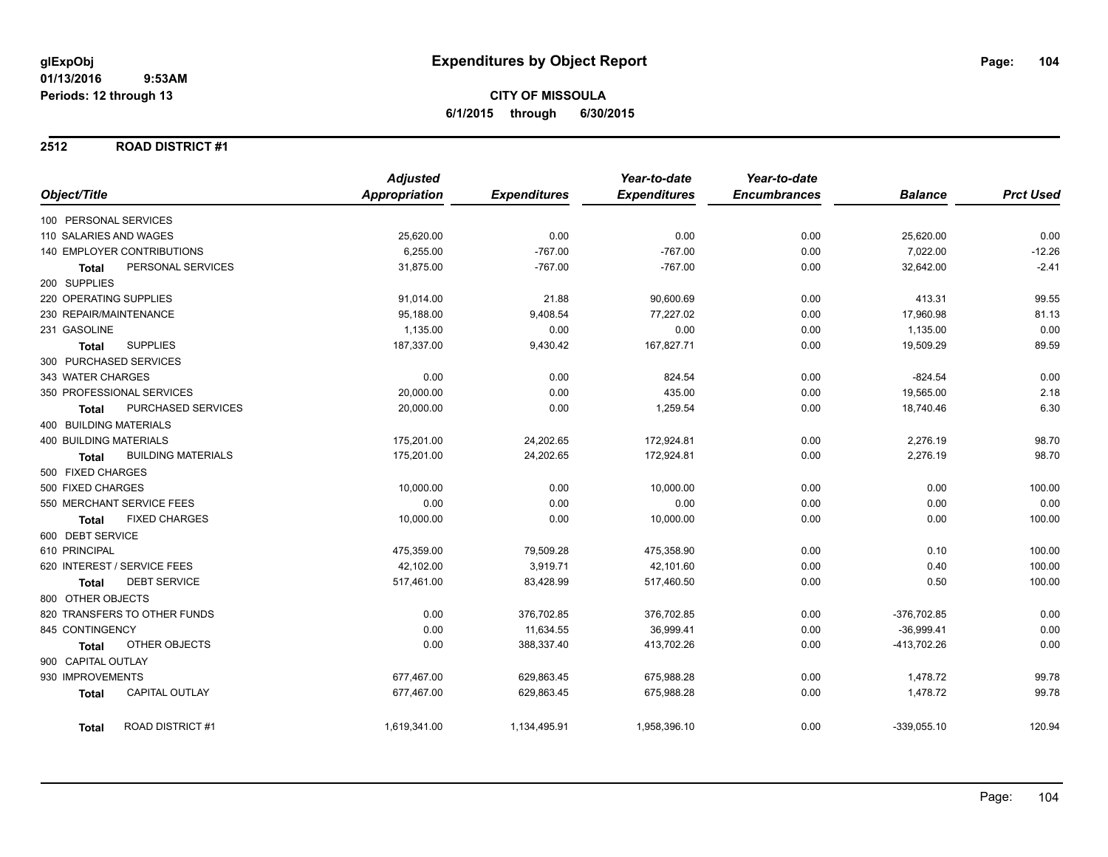#### **2512 ROAD DISTRICT #1**

|                                           | <b>Adjusted</b>      |                     | Year-to-date        | Year-to-date        |                |                  |
|-------------------------------------------|----------------------|---------------------|---------------------|---------------------|----------------|------------------|
| Object/Title                              | <b>Appropriation</b> | <b>Expenditures</b> | <b>Expenditures</b> | <b>Encumbrances</b> | <b>Balance</b> | <b>Prct Used</b> |
| 100 PERSONAL SERVICES                     |                      |                     |                     |                     |                |                  |
| 110 SALARIES AND WAGES                    | 25,620.00            | 0.00                | 0.00                | 0.00                | 25,620.00      | 0.00             |
| <b>140 EMPLOYER CONTRIBUTIONS</b>         | 6,255.00             | $-767.00$           | $-767.00$           | 0.00                | 7,022.00       | $-12.26$         |
| PERSONAL SERVICES<br><b>Total</b>         | 31,875.00            | $-767.00$           | $-767.00$           | 0.00                | 32,642.00      | $-2.41$          |
| 200 SUPPLIES                              |                      |                     |                     |                     |                |                  |
| 220 OPERATING SUPPLIES                    | 91,014.00            | 21.88               | 90,600.69           | 0.00                | 413.31         | 99.55            |
| 230 REPAIR/MAINTENANCE                    | 95,188.00            | 9,408.54            | 77,227.02           | 0.00                | 17,960.98      | 81.13            |
| 231 GASOLINE                              | 1,135.00             | 0.00                | 0.00                | 0.00                | 1,135.00       | 0.00             |
| <b>SUPPLIES</b><br><b>Total</b>           | 187,337.00           | 9,430.42            | 167,827.71          | 0.00                | 19,509.29      | 89.59            |
| 300 PURCHASED SERVICES                    |                      |                     |                     |                     |                |                  |
| 343 WATER CHARGES                         | 0.00                 | 0.00                | 824.54              | 0.00                | $-824.54$      | 0.00             |
| 350 PROFESSIONAL SERVICES                 | 20,000.00            | 0.00                | 435.00              | 0.00                | 19,565.00      | 2.18             |
| PURCHASED SERVICES<br><b>Total</b>        | 20,000.00            | 0.00                | 1,259.54            | 0.00                | 18,740.46      | 6.30             |
| 400 BUILDING MATERIALS                    |                      |                     |                     |                     |                |                  |
| <b>400 BUILDING MATERIALS</b>             | 175,201.00           | 24,202.65           | 172,924.81          | 0.00                | 2,276.19       | 98.70            |
| <b>BUILDING MATERIALS</b><br><b>Total</b> | 175,201.00           | 24,202.65           | 172,924.81          | 0.00                | 2,276.19       | 98.70            |
| 500 FIXED CHARGES                         |                      |                     |                     |                     |                |                  |
| 500 FIXED CHARGES                         | 10,000.00            | 0.00                | 10,000.00           | 0.00                | 0.00           | 100.00           |
| 550 MERCHANT SERVICE FEES                 | 0.00                 | 0.00                | 0.00                | 0.00                | 0.00           | 0.00             |
| <b>FIXED CHARGES</b><br><b>Total</b>      | 10,000.00            | 0.00                | 10,000.00           | 0.00                | 0.00           | 100.00           |
| 600 DEBT SERVICE                          |                      |                     |                     |                     |                |                  |
| 610 PRINCIPAL                             | 475,359.00           | 79,509.28           | 475,358.90          | 0.00                | 0.10           | 100.00           |
| 620 INTEREST / SERVICE FEES               | 42,102.00            | 3,919.71            | 42,101.60           | 0.00                | 0.40           | 100.00           |
| <b>DEBT SERVICE</b><br><b>Total</b>       | 517,461.00           | 83,428.99           | 517,460.50          | 0.00                | 0.50           | 100.00           |
| 800 OTHER OBJECTS                         |                      |                     |                     |                     |                |                  |
| 820 TRANSFERS TO OTHER FUNDS              | 0.00                 | 376,702.85          | 376,702.85          | 0.00                | $-376,702.85$  | 0.00             |
| 845 CONTINGENCY                           | 0.00                 | 11,634.55           | 36,999.41           | 0.00                | $-36,999.41$   | 0.00             |
| OTHER OBJECTS<br><b>Total</b>             | 0.00                 | 388,337.40          | 413,702.26          | 0.00                | -413,702.26    | 0.00             |
| 900 CAPITAL OUTLAY                        |                      |                     |                     |                     |                |                  |
| 930 IMPROVEMENTS                          | 677,467.00           | 629,863.45          | 675,988.28          | 0.00                | 1,478.72       | 99.78            |
| <b>CAPITAL OUTLAY</b><br><b>Total</b>     | 677,467.00           | 629,863.45          | 675,988.28          | 0.00                | 1,478.72       | 99.78            |
| <b>ROAD DISTRICT #1</b><br><b>Total</b>   | 1,619,341.00         | 1,134,495.91        | 1,958,396.10        | 0.00                | $-339,055.10$  | 120.94           |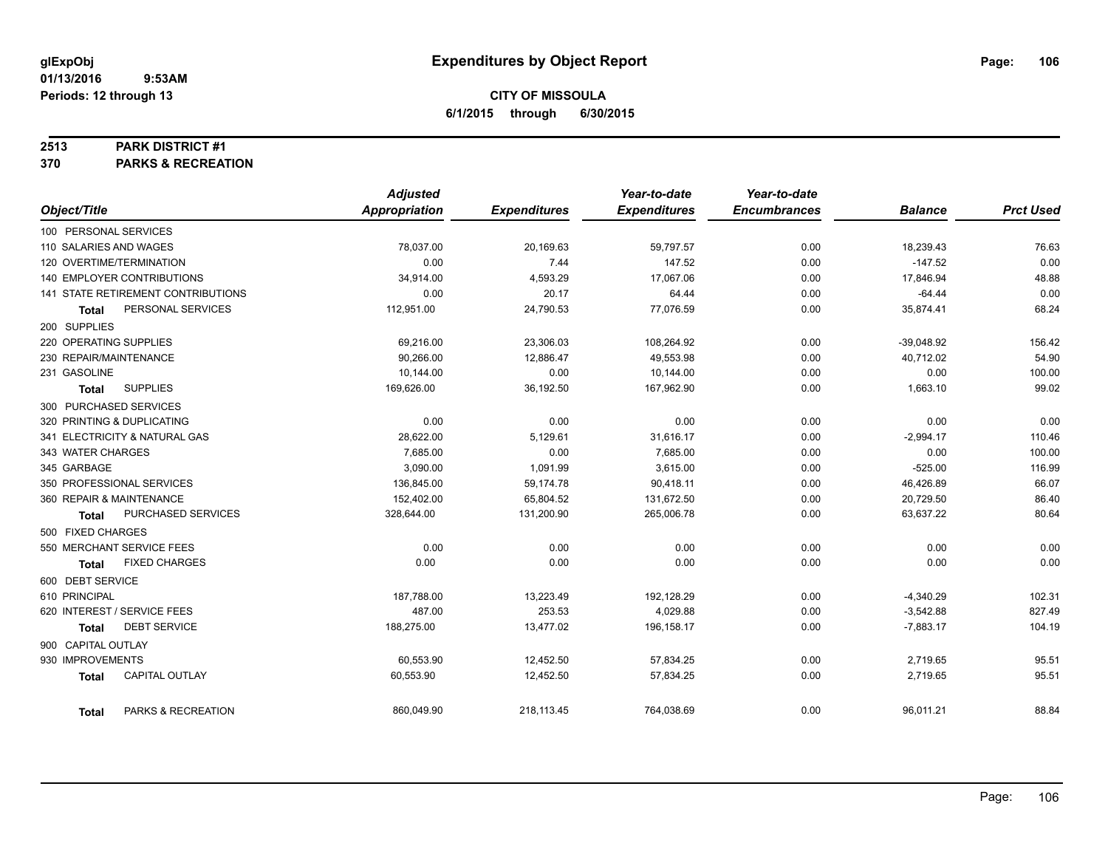#### **2513 PARK DISTRICT #1**

**370 PARKS & RECREATION**

|                                       | <b>Adjusted</b> |                     | Year-to-date        | Year-to-date        |                |                  |
|---------------------------------------|-----------------|---------------------|---------------------|---------------------|----------------|------------------|
| Object/Title                          | Appropriation   | <b>Expenditures</b> | <b>Expenditures</b> | <b>Encumbrances</b> | <b>Balance</b> | <b>Prct Used</b> |
| 100 PERSONAL SERVICES                 |                 |                     |                     |                     |                |                  |
| 110 SALARIES AND WAGES                | 78,037.00       | 20,169.63           | 59,797.57           | 0.00                | 18,239.43      | 76.63            |
| 120 OVERTIME/TERMINATION              | 0.00            | 7.44                | 147.52              | 0.00                | $-147.52$      | 0.00             |
| 140 EMPLOYER CONTRIBUTIONS            | 34,914.00       | 4,593.29            | 17,067.06           | 0.00                | 17,846.94      | 48.88            |
| 141 STATE RETIREMENT CONTRIBUTIONS    | 0.00            | 20.17               | 64.44               | 0.00                | $-64.44$       | 0.00             |
| PERSONAL SERVICES<br><b>Total</b>     | 112,951.00      | 24,790.53           | 77,076.59           | 0.00                | 35,874.41      | 68.24            |
| 200 SUPPLIES                          |                 |                     |                     |                     |                |                  |
| 220 OPERATING SUPPLIES                | 69,216.00       | 23,306.03           | 108,264.92          | 0.00                | $-39,048.92$   | 156.42           |
| 230 REPAIR/MAINTENANCE                | 90,266.00       | 12,886.47           | 49,553.98           | 0.00                | 40,712.02      | 54.90            |
| 231 GASOLINE                          | 10,144.00       | 0.00                | 10,144.00           | 0.00                | 0.00           | 100.00           |
| <b>SUPPLIES</b><br><b>Total</b>       | 169,626.00      | 36,192.50           | 167,962.90          | 0.00                | 1,663.10       | 99.02            |
| 300 PURCHASED SERVICES                |                 |                     |                     |                     |                |                  |
| 320 PRINTING & DUPLICATING            | 0.00            | 0.00                | 0.00                | 0.00                | 0.00           | 0.00             |
| 341 ELECTRICITY & NATURAL GAS         | 28,622.00       | 5,129.61            | 31,616.17           | 0.00                | $-2,994.17$    | 110.46           |
| 343 WATER CHARGES                     | 7,685.00        | 0.00                | 7,685.00            | 0.00                | 0.00           | 100.00           |
| 345 GARBAGE                           | 3.090.00        | 1,091.99            | 3.615.00            | 0.00                | $-525.00$      | 116.99           |
| 350 PROFESSIONAL SERVICES             | 136,845.00      | 59,174.78           | 90,418.11           | 0.00                | 46,426.89      | 66.07            |
| 360 REPAIR & MAINTENANCE              | 152,402.00      | 65,804.52           | 131,672.50          | 0.00                | 20,729.50      | 86.40            |
| PURCHASED SERVICES<br>Total           | 328,644.00      | 131,200.90          | 265,006.78          | 0.00                | 63,637.22      | 80.64            |
| 500 FIXED CHARGES                     |                 |                     |                     |                     |                |                  |
| 550 MERCHANT SERVICE FEES             | 0.00            | 0.00                | 0.00                | 0.00                | 0.00           | 0.00             |
| <b>FIXED CHARGES</b><br>Total         | 0.00            | 0.00                | 0.00                | 0.00                | 0.00           | 0.00             |
| 600 DEBT SERVICE                      |                 |                     |                     |                     |                |                  |
| 610 PRINCIPAL                         | 187,788.00      | 13,223.49           | 192,128.29          | 0.00                | $-4,340.29$    | 102.31           |
| 620 INTEREST / SERVICE FEES           | 487.00          | 253.53              | 4,029.88            | 0.00                | $-3,542.88$    | 827.49           |
| <b>DEBT SERVICE</b><br><b>Total</b>   | 188,275.00      | 13,477.02           | 196,158.17          | 0.00                | $-7,883.17$    | 104.19           |
| 900 CAPITAL OUTLAY                    |                 |                     |                     |                     |                |                  |
| 930 IMPROVEMENTS                      | 60,553.90       | 12,452.50           | 57,834.25           | 0.00                | 2,719.65       | 95.51            |
| <b>CAPITAL OUTLAY</b><br><b>Total</b> | 60,553.90       | 12,452.50           | 57,834.25           | 0.00                | 2,719.65       | 95.51            |
| PARKS & RECREATION<br><b>Total</b>    | 860,049.90      | 218,113.45          | 764,038.69          | 0.00                | 96,011.21      | 88.84            |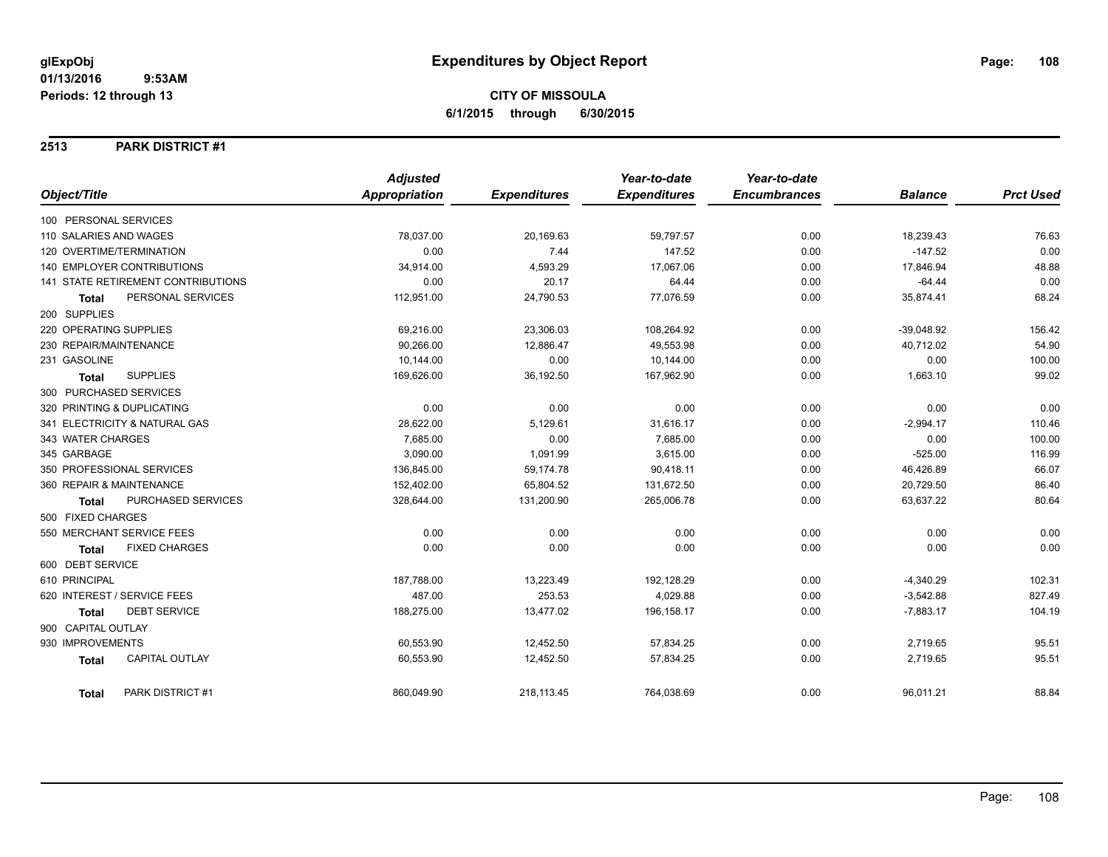#### **2513 PARK DISTRICT #1**

|                                      | <b>Adjusted</b>      |                     | Year-to-date<br><b>Expenditures</b> | Year-to-date<br><b>Encumbrances</b> | <b>Balance</b> | <b>Prct Used</b> |
|--------------------------------------|----------------------|---------------------|-------------------------------------|-------------------------------------|----------------|------------------|
| Object/Title                         | <b>Appropriation</b> | <b>Expenditures</b> |                                     |                                     |                |                  |
| 100 PERSONAL SERVICES                |                      |                     |                                     |                                     |                |                  |
| 110 SALARIES AND WAGES               | 78,037.00            | 20,169.63           | 59,797.57                           | 0.00                                | 18,239.43      | 76.63            |
| 120 OVERTIME/TERMINATION             | 0.00                 | 7.44                | 147.52                              | 0.00                                | $-147.52$      | 0.00             |
| <b>140 EMPLOYER CONTRIBUTIONS</b>    | 34,914.00            | 4,593.29            | 17,067.06                           | 0.00                                | 17,846.94      | 48.88            |
| 141 STATE RETIREMENT CONTRIBUTIONS   | 0.00                 | 20.17               | 64.44                               | 0.00                                | $-64.44$       | 0.00             |
| PERSONAL SERVICES<br><b>Total</b>    | 112,951.00           | 24,790.53           | 77,076.59                           | 0.00                                | 35,874.41      | 68.24            |
| 200 SUPPLIES                         |                      |                     |                                     |                                     |                |                  |
| 220 OPERATING SUPPLIES               | 69,216.00            | 23,306.03           | 108,264.92                          | 0.00                                | $-39,048.92$   | 156.42           |
| 230 REPAIR/MAINTENANCE               | 90,266.00            | 12,886.47           | 49,553.98                           | 0.00                                | 40,712.02      | 54.90            |
| 231 GASOLINE                         | 10,144.00            | 0.00                | 10,144.00                           | 0.00                                | 0.00           | 100.00           |
| <b>SUPPLIES</b><br><b>Total</b>      | 169,626.00           | 36,192.50           | 167,962.90                          | 0.00                                | 1,663.10       | 99.02            |
| 300 PURCHASED SERVICES               |                      |                     |                                     |                                     |                |                  |
| 320 PRINTING & DUPLICATING           | 0.00                 | 0.00                | 0.00                                | 0.00                                | 0.00           | 0.00             |
| 341 ELECTRICITY & NATURAL GAS        | 28,622.00            | 5,129.61            | 31,616.17                           | 0.00                                | $-2,994.17$    | 110.46           |
| 343 WATER CHARGES                    | 7,685.00             | 0.00                | 7,685.00                            | 0.00                                | 0.00           | 100.00           |
| 345 GARBAGE                          | 3,090.00             | 1,091.99            | 3,615.00                            | 0.00                                | $-525.00$      | 116.99           |
| 350 PROFESSIONAL SERVICES            | 136,845.00           | 59,174.78           | 90,418.11                           | 0.00                                | 46,426.89      | 66.07            |
| 360 REPAIR & MAINTENANCE             | 152,402.00           | 65,804.52           | 131,672.50                          | 0.00                                | 20,729.50      | 86.40            |
| PURCHASED SERVICES<br><b>Total</b>   | 328,644.00           | 131,200.90          | 265,006.78                          | 0.00                                | 63,637.22      | 80.64            |
| 500 FIXED CHARGES                    |                      |                     |                                     |                                     |                |                  |
| 550 MERCHANT SERVICE FEES            | 0.00                 | 0.00                | 0.00                                | 0.00                                | 0.00           | 0.00             |
| <b>FIXED CHARGES</b><br><b>Total</b> | 0.00                 | 0.00                | 0.00                                | 0.00                                | 0.00           | 0.00             |
| 600 DEBT SERVICE                     |                      |                     |                                     |                                     |                |                  |
| 610 PRINCIPAL                        | 187,788.00           | 13,223.49           | 192,128.29                          | 0.00                                | $-4,340.29$    | 102.31           |
| 620 INTEREST / SERVICE FEES          | 487.00               | 253.53              | 4,029.88                            | 0.00                                | $-3,542.88$    | 827.49           |
| <b>DEBT SERVICE</b><br><b>Total</b>  | 188,275.00           | 13,477.02           | 196,158.17                          | 0.00                                | $-7,883.17$    | 104.19           |
| 900 CAPITAL OUTLAY                   |                      |                     |                                     |                                     |                |                  |
| 930 IMPROVEMENTS                     | 60,553.90            | 12,452.50           | 57,834.25                           | 0.00                                | 2,719.65       | 95.51            |
| CAPITAL OUTLAY<br>Total              | 60,553.90            | 12,452.50           | 57,834.25                           | 0.00                                | 2,719.65       | 95.51            |
| PARK DISTRICT #1<br><b>Total</b>     | 860,049.90           | 218,113.45          | 764,038.69                          | 0.00                                | 96,011.21      | 88.84            |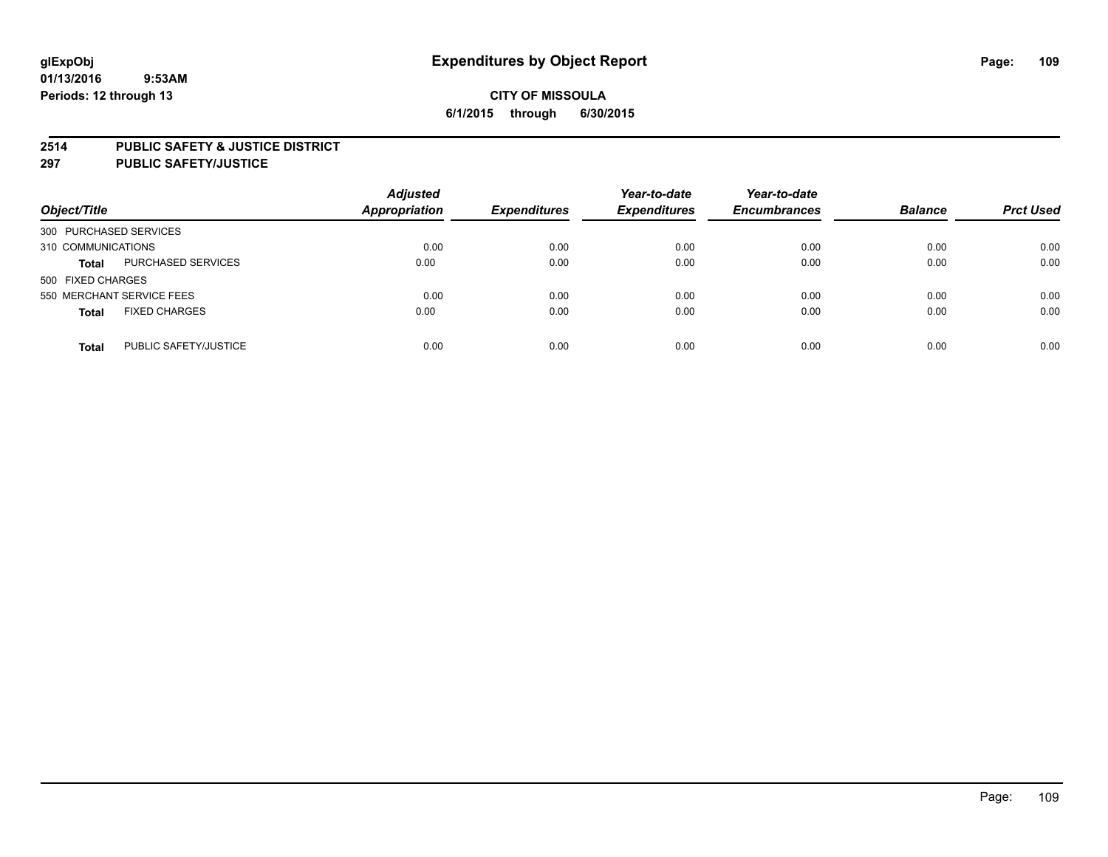### **2514 PUBLIC SAFETY & JUSTICE DISTRICT**

**297 PUBLIC SAFETY/JUSTICE**

| Object/Title                          | <b>Adjusted</b><br><b>Appropriation</b> | <b>Expenditures</b> | Year-to-date<br><b>Expenditures</b> | Year-to-date<br><b>Encumbrances</b> | <b>Balance</b> | <b>Prct Used</b> |
|---------------------------------------|-----------------------------------------|---------------------|-------------------------------------|-------------------------------------|----------------|------------------|
| 300 PURCHASED SERVICES                |                                         |                     |                                     |                                     |                |                  |
| 310 COMMUNICATIONS                    | 0.00                                    | 0.00                | 0.00                                | 0.00                                | 0.00           | 0.00             |
| PURCHASED SERVICES<br><b>Total</b>    | 0.00                                    | 0.00                | 0.00                                | 0.00                                | 0.00           | 0.00             |
| 500 FIXED CHARGES                     |                                         |                     |                                     |                                     |                |                  |
| 550 MERCHANT SERVICE FEES             | 0.00                                    | 0.00                | 0.00                                | 0.00                                | 0.00           | 0.00             |
| <b>FIXED CHARGES</b><br><b>Total</b>  | 0.00                                    | 0.00                | 0.00                                | 0.00                                | 0.00           | 0.00             |
| PUBLIC SAFETY/JUSTICE<br><b>Total</b> | 0.00                                    | 0.00                | 0.00                                | 0.00                                | 0.00           | 0.00             |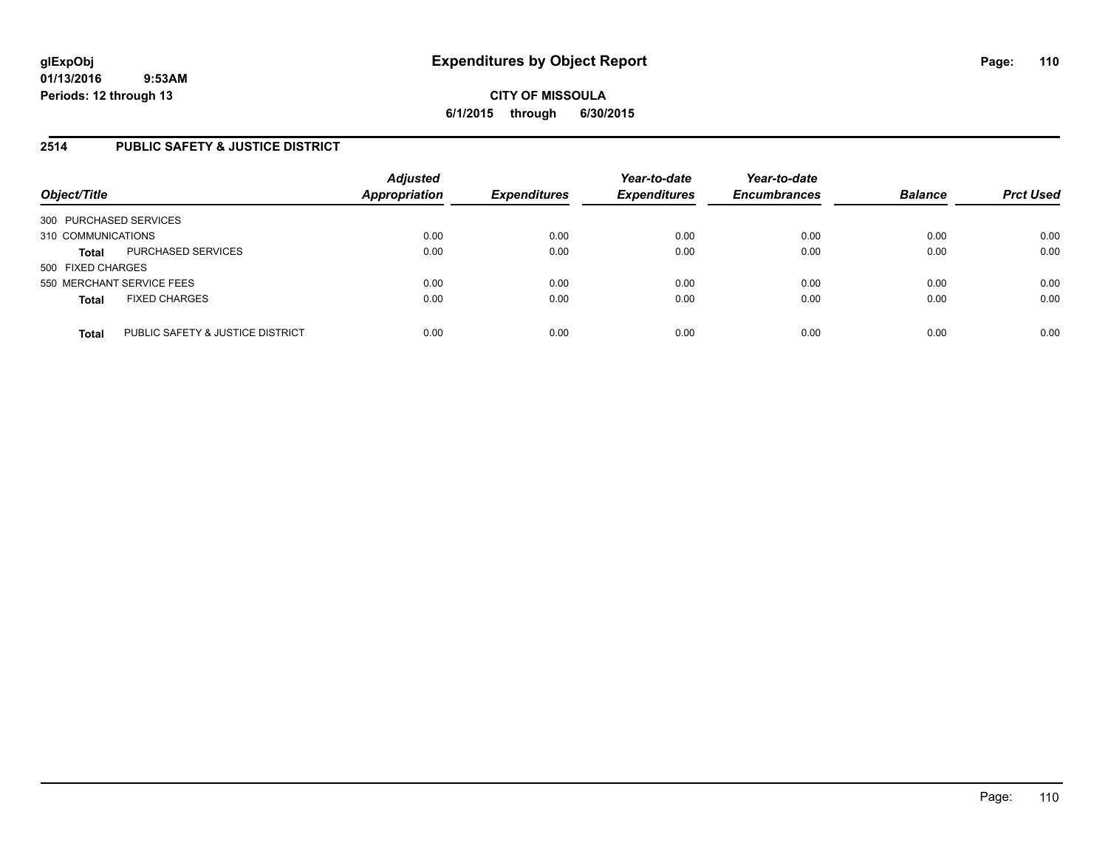# **2514 PUBLIC SAFETY & JUSTICE DISTRICT**

| Object/Title              |                                  | <b>Adjusted</b><br>Appropriation | <b>Expenditures</b> | Year-to-date<br><b>Expenditures</b> | Year-to-date<br><b>Encumbrances</b> | <b>Balance</b> | <b>Prct Used</b> |
|---------------------------|----------------------------------|----------------------------------|---------------------|-------------------------------------|-------------------------------------|----------------|------------------|
| 300 PURCHASED SERVICES    |                                  |                                  |                     |                                     |                                     |                |                  |
| 310 COMMUNICATIONS        |                                  | 0.00                             | 0.00                | 0.00                                | 0.00                                | 0.00           | 0.00             |
| <b>Total</b>              | PURCHASED SERVICES               | 0.00                             | 0.00                | 0.00                                | 0.00                                | 0.00           | 0.00             |
| 500 FIXED CHARGES         |                                  |                                  |                     |                                     |                                     |                |                  |
| 550 MERCHANT SERVICE FEES |                                  | 0.00                             | 0.00                | 0.00                                | 0.00                                | 0.00           | 0.00             |
| <b>Total</b>              | <b>FIXED CHARGES</b>             | 0.00                             | 0.00                | 0.00                                | 0.00                                | 0.00           | 0.00             |
| <b>Total</b>              | PUBLIC SAFETY & JUSTICE DISTRICT | 0.00                             | 0.00                | 0.00                                | 0.00                                | 0.00           | 0.00             |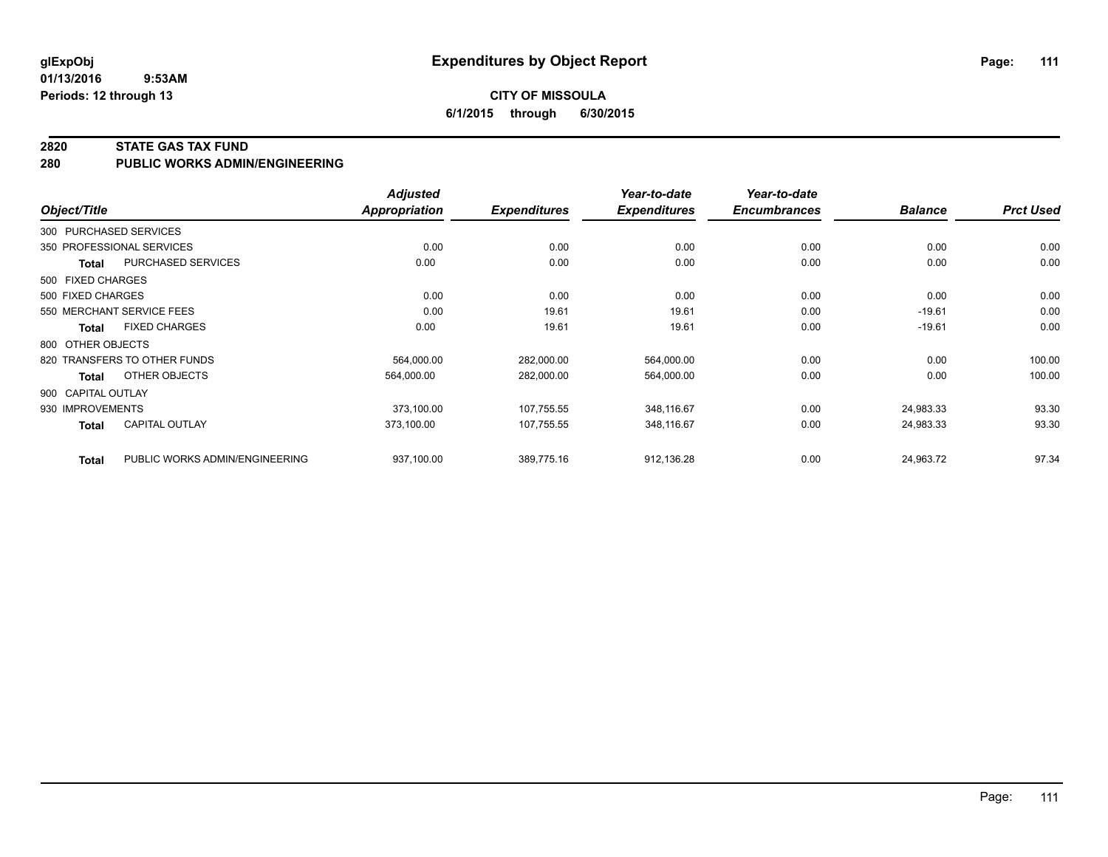**01/13/2016 9:53AM Periods: 12 through 13**

# **CITY OF MISSOULA 6/1/2015 through 6/30/2015**

### **2820 STATE GAS TAX FUND**

**280 PUBLIC WORKS ADMIN/ENGINEERING**

|                    |                                | <b>Adjusted</b> |                     | Year-to-date        | Year-to-date        |                |                  |
|--------------------|--------------------------------|-----------------|---------------------|---------------------|---------------------|----------------|------------------|
| Object/Title       |                                | Appropriation   | <b>Expenditures</b> | <b>Expenditures</b> | <b>Encumbrances</b> | <b>Balance</b> | <b>Prct Used</b> |
|                    | 300 PURCHASED SERVICES         |                 |                     |                     |                     |                |                  |
|                    | 350 PROFESSIONAL SERVICES      | 0.00            | 0.00                | 0.00                | 0.00                | 0.00           | 0.00             |
| <b>Total</b>       | PURCHASED SERVICES             | 0.00            | 0.00                | 0.00                | 0.00                | 0.00           | 0.00             |
| 500 FIXED CHARGES  |                                |                 |                     |                     |                     |                |                  |
| 500 FIXED CHARGES  |                                | 0.00            | 0.00                | 0.00                | 0.00                | 0.00           | 0.00             |
|                    | 550 MERCHANT SERVICE FEES      | 0.00            | 19.61               | 19.61               | 0.00                | $-19.61$       | 0.00             |
| Total              | <b>FIXED CHARGES</b>           | 0.00            | 19.61               | 19.61               | 0.00                | $-19.61$       | 0.00             |
| 800 OTHER OBJECTS  |                                |                 |                     |                     |                     |                |                  |
|                    | 820 TRANSFERS TO OTHER FUNDS   | 564,000.00      | 282,000.00          | 564,000.00          | 0.00                | 0.00           | 100.00           |
| <b>Total</b>       | OTHER OBJECTS                  | 564,000.00      | 282,000.00          | 564,000.00          | 0.00                | 0.00           | 100.00           |
| 900 CAPITAL OUTLAY |                                |                 |                     |                     |                     |                |                  |
| 930 IMPROVEMENTS   |                                | 373,100.00      | 107,755.55          | 348,116.67          | 0.00                | 24,983.33      | 93.30            |
| <b>Total</b>       | <b>CAPITAL OUTLAY</b>          | 373,100.00      | 107,755.55          | 348,116.67          | 0.00                | 24,983.33      | 93.30            |
| <b>Total</b>       | PUBLIC WORKS ADMIN/ENGINEERING | 937,100.00      | 389,775.16          | 912,136.28          | 0.00                | 24,963.72      | 97.34            |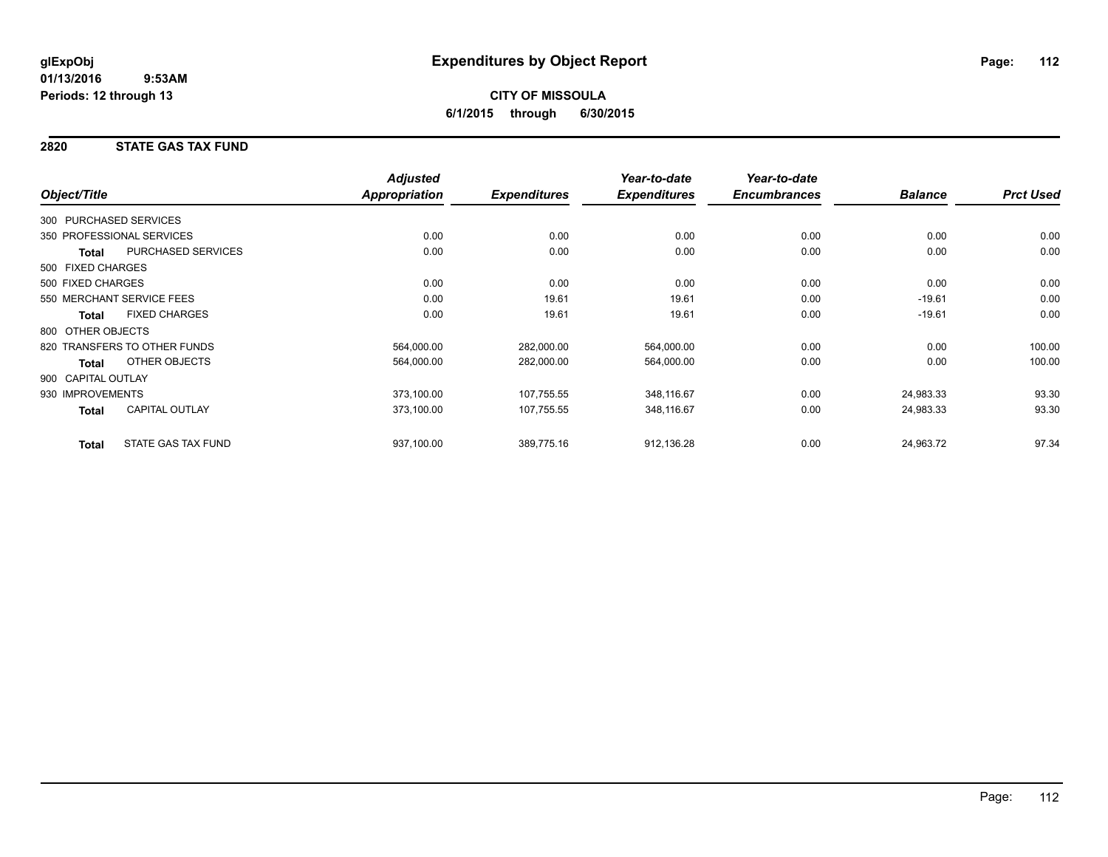# **2820 STATE GAS TAX FUND**

|                        |                              | <b>Adjusted</b>      |                     | Year-to-date        | Year-to-date        |                |                  |
|------------------------|------------------------------|----------------------|---------------------|---------------------|---------------------|----------------|------------------|
| Object/Title           |                              | <b>Appropriation</b> | <b>Expenditures</b> | <b>Expenditures</b> | <b>Encumbrances</b> | <b>Balance</b> | <b>Prct Used</b> |
| 300 PURCHASED SERVICES |                              |                      |                     |                     |                     |                |                  |
|                        | 350 PROFESSIONAL SERVICES    | 0.00                 | 0.00                | 0.00                | 0.00                | 0.00           | 0.00             |
| Total                  | PURCHASED SERVICES           | 0.00                 | 0.00                | 0.00                | 0.00                | 0.00           | 0.00             |
| 500 FIXED CHARGES      |                              |                      |                     |                     |                     |                |                  |
| 500 FIXED CHARGES      |                              | 0.00                 | 0.00                | 0.00                | 0.00                | 0.00           | 0.00             |
|                        | 550 MERCHANT SERVICE FEES    | 0.00                 | 19.61               | 19.61               | 0.00                | $-19.61$       | 0.00             |
| <b>Total</b>           | <b>FIXED CHARGES</b>         | 0.00                 | 19.61               | 19.61               | 0.00                | $-19.61$       | 0.00             |
| 800 OTHER OBJECTS      |                              |                      |                     |                     |                     |                |                  |
|                        | 820 TRANSFERS TO OTHER FUNDS | 564,000.00           | 282,000.00          | 564,000.00          | 0.00                | 0.00           | 100.00           |
| <b>Total</b>           | OTHER OBJECTS                | 564,000.00           | 282,000.00          | 564,000.00          | 0.00                | 0.00           | 100.00           |
| 900 CAPITAL OUTLAY     |                              |                      |                     |                     |                     |                |                  |
| 930 IMPROVEMENTS       |                              | 373,100.00           | 107,755.55          | 348,116.67          | 0.00                | 24,983.33      | 93.30            |
| Total                  | <b>CAPITAL OUTLAY</b>        | 373,100.00           | 107,755.55          | 348,116.67          | 0.00                | 24,983.33      | 93.30            |
| <b>Total</b>           | <b>STATE GAS TAX FUND</b>    | 937,100.00           | 389,775.16          | 912,136.28          | 0.00                | 24,963.72      | 97.34            |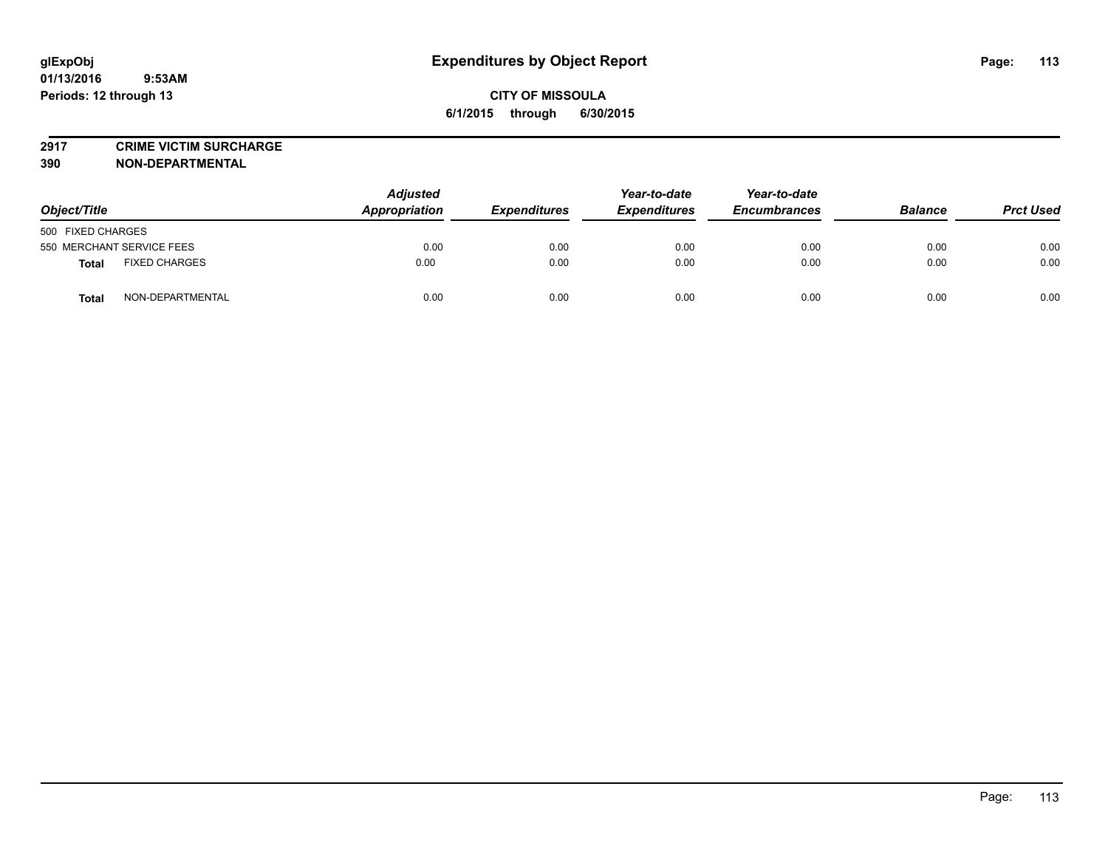**2917 CRIME VICTIM SURCHARGE**

**390 NON-DEPARTMENTAL**

| Object/Title                         | <b>Adjusted</b><br>Appropriation | Year-to-date<br><b>Expenditures</b><br><b>Expenditures</b> | Year-to-date<br><b>Encumbrances</b> | <b>Balance</b> | <b>Prct Used</b> |      |
|--------------------------------------|----------------------------------|------------------------------------------------------------|-------------------------------------|----------------|------------------|------|
| 500 FIXED CHARGES                    |                                  |                                                            |                                     |                |                  |      |
| 550 MERCHANT SERVICE FEES            | 0.00                             | 0.00                                                       | 0.00                                | 0.00           | 0.00             | 0.00 |
| <b>FIXED CHARGES</b><br><b>Total</b> | 0.00                             | 0.00                                                       | 0.00                                | 0.00           | 0.00             | 0.00 |
| NON-DEPARTMENTAL<br><b>Total</b>     | 0.00                             | 0.00                                                       | 0.00                                | 0.00           | 0.00             | 0.00 |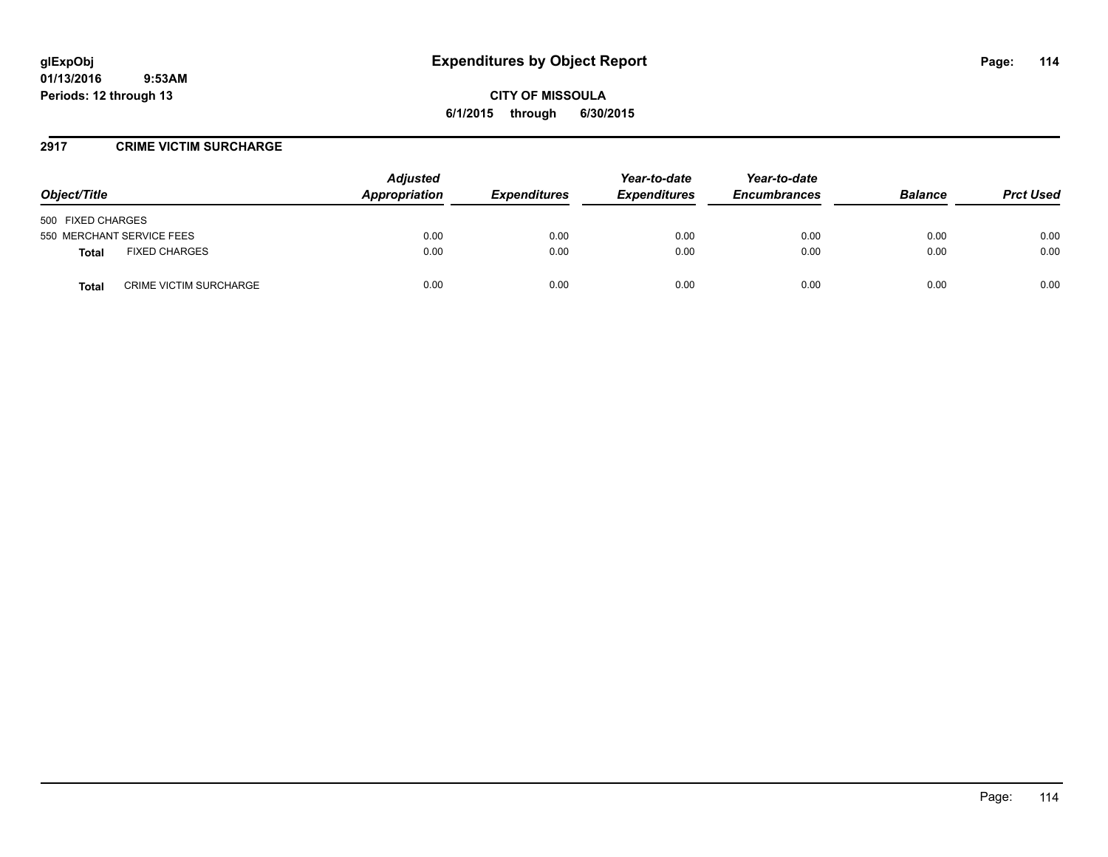### **2917 CRIME VICTIM SURCHARGE**

| Object/Title                                  | <b>Adjusted</b><br>Appropriation | <i><b>Expenditures</b></i> | Year-to-date<br><b>Expenditures</b> | Year-to-date<br><b>Encumbrances</b> | <b>Balance</b> | <b>Prct Used</b> |
|-----------------------------------------------|----------------------------------|----------------------------|-------------------------------------|-------------------------------------|----------------|------------------|
| 500 FIXED CHARGES                             |                                  |                            |                                     |                                     |                |                  |
| 550 MERCHANT SERVICE FEES                     | 0.00                             | 0.00                       | 0.00                                | 0.00                                | 0.00           | 0.00             |
| <b>FIXED CHARGES</b><br>Total                 | 0.00                             | 0.00                       | 0.00                                | 0.00                                | 0.00           | 0.00             |
| <b>CRIME VICTIM SURCHARGE</b><br><b>Total</b> | 0.00                             | 0.00                       | 0.00                                | 0.00                                | 0.00           | 0.00             |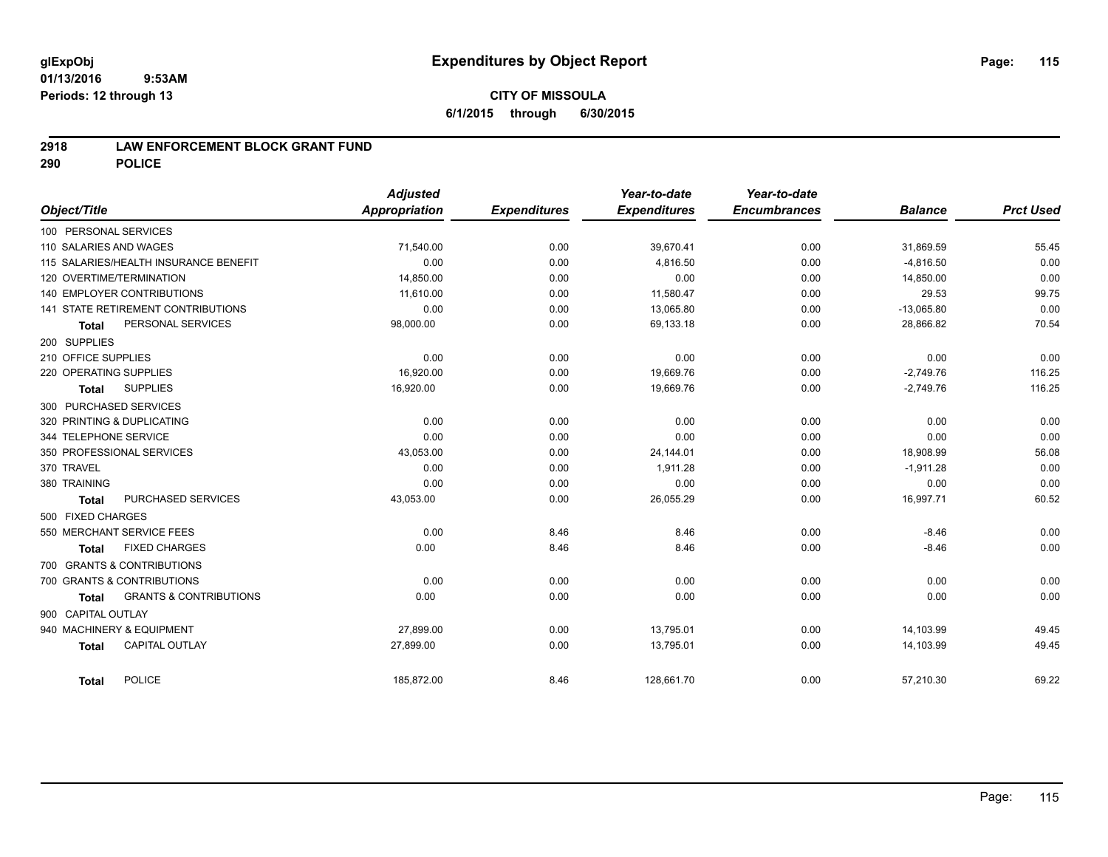## **2918 LAW ENFORCEMENT BLOCK GRANT FUND**

**290 POLICE**

| Object/Title               |                                       | <b>Adjusted</b><br>Appropriation | <b>Expenditures</b> | Year-to-date<br><b>Expenditures</b> | Year-to-date<br><b>Encumbrances</b> | <b>Balance</b> | <b>Prct Used</b> |
|----------------------------|---------------------------------------|----------------------------------|---------------------|-------------------------------------|-------------------------------------|----------------|------------------|
| 100 PERSONAL SERVICES      |                                       |                                  |                     |                                     |                                     |                |                  |
| 110 SALARIES AND WAGES     |                                       | 71,540.00                        | 0.00                | 39,670.41                           | 0.00                                | 31,869.59      | 55.45            |
|                            | 115 SALARIES/HEALTH INSURANCE BENEFIT | 0.00                             | 0.00                | 4.816.50                            | 0.00                                | $-4,816.50$    | 0.00             |
| 120 OVERTIME/TERMINATION   |                                       | 14,850.00                        | 0.00                | 0.00                                | 0.00                                | 14,850.00      | 0.00             |
|                            | 140 EMPLOYER CONTRIBUTIONS            | 11,610.00                        | 0.00                | 11,580.47                           | 0.00                                | 29.53          | 99.75            |
|                            | 141 STATE RETIREMENT CONTRIBUTIONS    | 0.00                             | 0.00                | 13.065.80                           | 0.00                                | $-13,065.80$   | 0.00             |
| <b>Total</b>               | PERSONAL SERVICES                     | 98,000.00                        | 0.00                | 69,133.18                           | 0.00                                | 28,866.82      | 70.54            |
| 200 SUPPLIES               |                                       |                                  |                     |                                     |                                     |                |                  |
| 210 OFFICE SUPPLIES        |                                       | 0.00                             | 0.00                | 0.00                                | 0.00                                | 0.00           | 0.00             |
| 220 OPERATING SUPPLIES     |                                       | 16.920.00                        | 0.00                | 19,669.76                           | 0.00                                | $-2,749.76$    | 116.25           |
| <b>Total</b>               | <b>SUPPLIES</b>                       | 16,920.00                        | 0.00                | 19,669.76                           | 0.00                                | $-2,749.76$    | 116.25           |
| 300 PURCHASED SERVICES     |                                       |                                  |                     |                                     |                                     |                |                  |
| 320 PRINTING & DUPLICATING |                                       | 0.00                             | 0.00                | 0.00                                | 0.00                                | 0.00           | 0.00             |
| 344 TELEPHONE SERVICE      |                                       | 0.00                             | 0.00                | 0.00                                | 0.00                                | 0.00           | 0.00             |
|                            | 350 PROFESSIONAL SERVICES             | 43,053.00                        | 0.00                | 24,144.01                           | 0.00                                | 18,908.99      | 56.08            |
| 370 TRAVEL                 |                                       | 0.00                             | 0.00                | 1,911.28                            | 0.00                                | $-1,911.28$    | 0.00             |
| 380 TRAINING               |                                       | 0.00                             | 0.00                | 0.00                                | 0.00                                | 0.00           | 0.00             |
| <b>Total</b>               | PURCHASED SERVICES                    | 43,053.00                        | 0.00                | 26,055.29                           | 0.00                                | 16,997.71      | 60.52            |
| 500 FIXED CHARGES          |                                       |                                  |                     |                                     |                                     |                |                  |
|                            | 550 MERCHANT SERVICE FEES             | 0.00                             | 8.46                | 8.46                                | 0.00                                | $-8.46$        | 0.00             |
| <b>Total</b>               | <b>FIXED CHARGES</b>                  | 0.00                             | 8.46                | 8.46                                | 0.00                                | $-8.46$        | 0.00             |
|                            | 700 GRANTS & CONTRIBUTIONS            |                                  |                     |                                     |                                     |                |                  |
|                            | 700 GRANTS & CONTRIBUTIONS            | 0.00                             | 0.00                | 0.00                                | 0.00                                | 0.00           | 0.00             |
| <b>Total</b>               | <b>GRANTS &amp; CONTRIBUTIONS</b>     | 0.00                             | 0.00                | 0.00                                | 0.00                                | 0.00           | 0.00             |
| 900 CAPITAL OUTLAY         |                                       |                                  |                     |                                     |                                     |                |                  |
|                            | 940 MACHINERY & EQUIPMENT             | 27,899.00                        | 0.00                | 13,795.01                           | 0.00                                | 14,103.99      | 49.45            |
| <b>Total</b>               | <b>CAPITAL OUTLAY</b>                 | 27,899.00                        | 0.00                | 13,795.01                           | 0.00                                | 14,103.99      | 49.45            |
| <b>Total</b>               | <b>POLICE</b>                         | 185,872.00                       | 8.46                | 128,661.70                          | 0.00                                | 57,210.30      | 69.22            |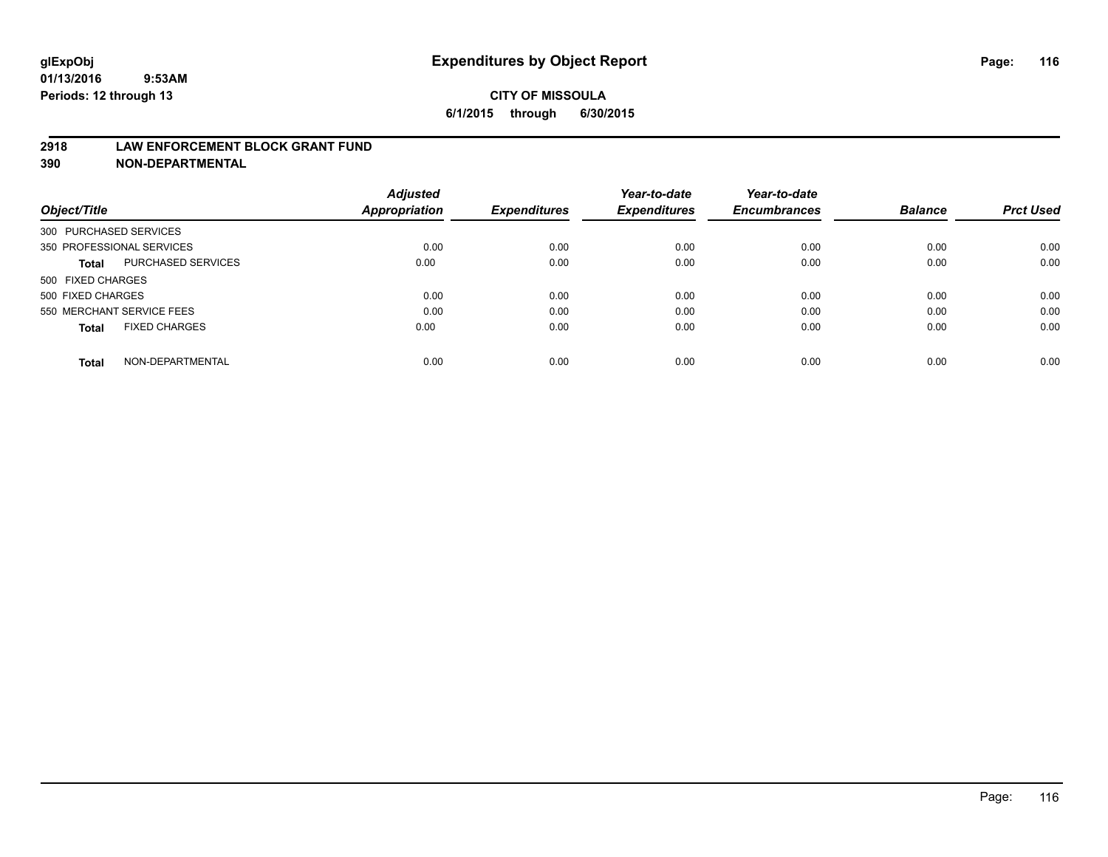### **2918 LAW ENFORCEMENT BLOCK GRANT FUND**

**390 NON-DEPARTMENTAL**

|                           |                      | <b>Adjusted</b> |                     | Year-to-date        | Year-to-date<br><b>Encumbrances</b> | <b>Balance</b> | <b>Prct Used</b> |
|---------------------------|----------------------|-----------------|---------------------|---------------------|-------------------------------------|----------------|------------------|
| Object/Title              |                      | Appropriation   | <b>Expenditures</b> | <b>Expenditures</b> |                                     |                |                  |
| 300 PURCHASED SERVICES    |                      |                 |                     |                     |                                     |                |                  |
| 350 PROFESSIONAL SERVICES |                      | 0.00            | 0.00                | 0.00                | 0.00                                | 0.00           | 0.00             |
| Total                     | PURCHASED SERVICES   | 0.00            | 0.00                | 0.00                | 0.00                                | 0.00           | 0.00             |
| 500 FIXED CHARGES         |                      |                 |                     |                     |                                     |                |                  |
| 500 FIXED CHARGES         |                      | 0.00            | 0.00                | 0.00                | 0.00                                | 0.00           | 0.00             |
| 550 MERCHANT SERVICE FEES |                      | 0.00            | 0.00                | 0.00                | 0.00                                | 0.00           | 0.00             |
| <b>Total</b>              | <b>FIXED CHARGES</b> | 0.00            | 0.00                | 0.00                | 0.00                                | 0.00           | 0.00             |
| Total                     | NON-DEPARTMENTAL     | 0.00            | 0.00                | 0.00                | 0.00                                | 0.00           | 0.00             |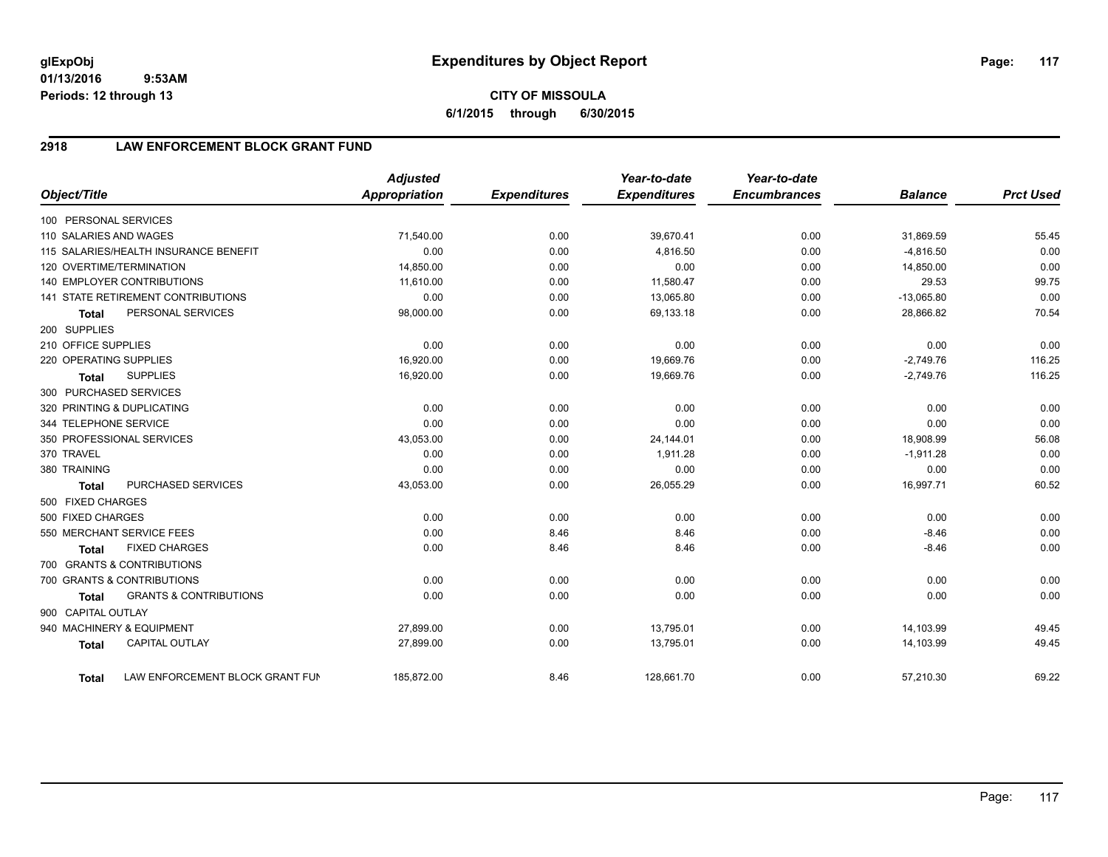**01/13/2016 9:53AM Periods: 12 through 13**

**6/1/2015 through 6/30/2015**

# **2918 LAW ENFORCEMENT BLOCK GRANT FUND**

| Object/Title           |                                       | <b>Adjusted</b><br>Appropriation | <b>Expenditures</b> | Year-to-date<br><b>Expenditures</b> | Year-to-date<br><b>Encumbrances</b> | <b>Balance</b> | <b>Prct Used</b> |
|------------------------|---------------------------------------|----------------------------------|---------------------|-------------------------------------|-------------------------------------|----------------|------------------|
| 100 PERSONAL SERVICES  |                                       |                                  |                     |                                     |                                     |                |                  |
| 110 SALARIES AND WAGES |                                       | 71,540.00                        | 0.00                | 39,670.41                           | 0.00                                | 31,869.59      | 55.45            |
|                        | 115 SALARIES/HEALTH INSURANCE BENEFIT | 0.00                             | 0.00                | 4,816.50                            | 0.00                                | $-4,816.50$    | 0.00             |
|                        | 120 OVERTIME/TERMINATION              | 14,850.00                        | 0.00                | 0.00                                | 0.00                                | 14,850.00      | 0.00             |
|                        | <b>140 EMPLOYER CONTRIBUTIONS</b>     | 11,610.00                        | 0.00                | 11,580.47                           | 0.00                                | 29.53          | 99.75            |
|                        | 141 STATE RETIREMENT CONTRIBUTIONS    | 0.00                             | 0.00                | 13,065.80                           | 0.00                                | $-13,065.80$   | 0.00             |
| <b>Total</b>           | PERSONAL SERVICES                     | 98,000.00                        | 0.00                | 69,133.18                           | 0.00                                | 28,866.82      | 70.54            |
| 200 SUPPLIES           |                                       |                                  |                     |                                     |                                     |                |                  |
| 210 OFFICE SUPPLIES    |                                       | 0.00                             | 0.00                | 0.00                                | 0.00                                | 0.00           | 0.00             |
| 220 OPERATING SUPPLIES |                                       | 16,920.00                        | 0.00                | 19,669.76                           | 0.00                                | $-2,749.76$    | 116.25           |
| <b>Total</b>           | <b>SUPPLIES</b>                       | 16,920.00                        | 0.00                | 19,669.76                           | 0.00                                | $-2,749.76$    | 116.25           |
| 300 PURCHASED SERVICES |                                       |                                  |                     |                                     |                                     |                |                  |
|                        | 320 PRINTING & DUPLICATING            | 0.00                             | 0.00                | 0.00                                | 0.00                                | 0.00           | 0.00             |
| 344 TELEPHONE SERVICE  |                                       | 0.00                             | 0.00                | 0.00                                | 0.00                                | 0.00           | 0.00             |
|                        | 350 PROFESSIONAL SERVICES             | 43,053.00                        | 0.00                | 24,144.01                           | 0.00                                | 18,908.99      | 56.08            |
| 370 TRAVEL             |                                       | 0.00                             | 0.00                | 1,911.28                            | 0.00                                | $-1,911.28$    | 0.00             |
| 380 TRAINING           |                                       | 0.00                             | 0.00                | 0.00                                | 0.00                                | 0.00           | 0.00             |
| <b>Total</b>           | <b>PURCHASED SERVICES</b>             | 43,053.00                        | 0.00                | 26,055.29                           | 0.00                                | 16,997.71      | 60.52            |
| 500 FIXED CHARGES      |                                       |                                  |                     |                                     |                                     |                |                  |
| 500 FIXED CHARGES      |                                       | 0.00                             | 0.00                | 0.00                                | 0.00                                | 0.00           | 0.00             |
|                        | 550 MERCHANT SERVICE FEES             | 0.00                             | 8.46                | 8.46                                | 0.00                                | $-8.46$        | 0.00             |
| <b>Total</b>           | <b>FIXED CHARGES</b>                  | 0.00                             | 8.46                | 8.46                                | 0.00                                | $-8.46$        | 0.00             |
|                        | 700 GRANTS & CONTRIBUTIONS            |                                  |                     |                                     |                                     |                |                  |
|                        | 700 GRANTS & CONTRIBUTIONS            | 0.00                             | 0.00                | 0.00                                | 0.00                                | 0.00           | 0.00             |
| <b>Total</b>           | <b>GRANTS &amp; CONTRIBUTIONS</b>     | 0.00                             | 0.00                | 0.00                                | 0.00                                | 0.00           | 0.00             |
| 900 CAPITAL OUTLAY     |                                       |                                  |                     |                                     |                                     |                |                  |
|                        | 940 MACHINERY & EQUIPMENT             | 27,899.00                        | 0.00                | 13,795.01                           | 0.00                                | 14,103.99      | 49.45            |
| <b>Total</b>           | <b>CAPITAL OUTLAY</b>                 | 27,899.00                        | 0.00                | 13,795.01                           | 0.00                                | 14,103.99      | 49.45            |
| <b>Total</b>           | LAW ENFORCEMENT BLOCK GRANT FUN       | 185.872.00                       | 8.46                | 128,661.70                          | 0.00                                | 57,210.30      | 69.22            |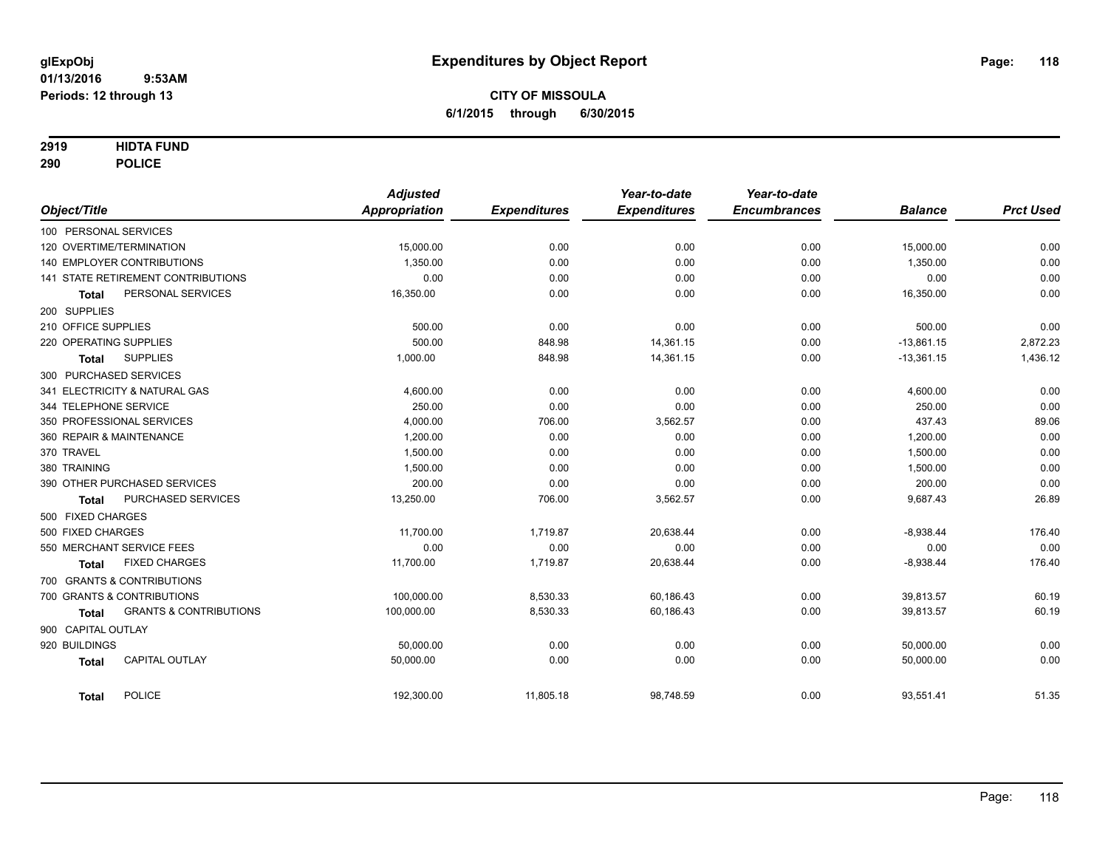## **2919 HIDTA FUND**

**290 POLICE**

| Object/Title                                      | <b>Adjusted</b><br><b>Appropriation</b> | <b>Expenditures</b> | Year-to-date<br><b>Expenditures</b> | Year-to-date<br><b>Encumbrances</b> | <b>Balance</b> | <b>Prct Used</b> |
|---------------------------------------------------|-----------------------------------------|---------------------|-------------------------------------|-------------------------------------|----------------|------------------|
| 100 PERSONAL SERVICES                             |                                         |                     |                                     |                                     |                |                  |
| 120 OVERTIME/TERMINATION                          | 15,000.00                               | 0.00                | 0.00                                | 0.00                                | 15,000.00      | 0.00             |
| 140 EMPLOYER CONTRIBUTIONS                        | 1,350.00                                | 0.00                | 0.00                                | 0.00                                | 1,350.00       | 0.00             |
| 141 STATE RETIREMENT CONTRIBUTIONS                | 0.00                                    | 0.00                | 0.00                                | 0.00                                | 0.00           | 0.00             |
| PERSONAL SERVICES<br><b>Total</b>                 | 16,350.00                               | 0.00                | 0.00                                | 0.00                                | 16,350.00      | 0.00             |
| 200 SUPPLIES                                      |                                         |                     |                                     |                                     |                |                  |
| 210 OFFICE SUPPLIES                               | 500.00                                  | 0.00                | 0.00                                | 0.00                                | 500.00         | 0.00             |
| 220 OPERATING SUPPLIES                            | 500.00                                  | 848.98              | 14,361.15                           | 0.00                                | $-13.861.15$   | 2,872.23         |
| <b>SUPPLIES</b><br><b>Total</b>                   | 1,000.00                                | 848.98              | 14,361.15                           | 0.00                                | $-13,361.15$   | 1,436.12         |
| 300 PURCHASED SERVICES                            |                                         |                     |                                     |                                     |                |                  |
| 341 ELECTRICITY & NATURAL GAS                     | 4,600.00                                | 0.00                | 0.00                                | 0.00                                | 4,600.00       | 0.00             |
| 344 TELEPHONE SERVICE                             | 250.00                                  | 0.00                | 0.00                                | 0.00                                | 250.00         | 0.00             |
| 350 PROFESSIONAL SERVICES                         | 4,000.00                                | 706.00              | 3,562.57                            | 0.00                                | 437.43         | 89.06            |
| 360 REPAIR & MAINTENANCE                          | 1,200.00                                | 0.00                | 0.00                                | 0.00                                | 1,200.00       | 0.00             |
| 370 TRAVEL                                        | 1,500.00                                | 0.00                | 0.00                                | 0.00                                | 1,500.00       | 0.00             |
| 380 TRAINING                                      | 1,500.00                                | 0.00                | 0.00                                | 0.00                                | 1,500.00       | 0.00             |
| 390 OTHER PURCHASED SERVICES                      | 200.00                                  | 0.00                | 0.00                                | 0.00                                | 200.00         | 0.00             |
| <b>PURCHASED SERVICES</b><br><b>Total</b>         | 13,250.00                               | 706.00              | 3,562.57                            | 0.00                                | 9,687.43       | 26.89            |
| 500 FIXED CHARGES                                 |                                         |                     |                                     |                                     |                |                  |
| 500 FIXED CHARGES                                 | 11,700.00                               | 1,719.87            | 20,638.44                           | 0.00                                | $-8,938.44$    | 176.40           |
| 550 MERCHANT SERVICE FEES                         | 0.00                                    | 0.00                | 0.00                                | 0.00                                | 0.00           | 0.00             |
| <b>FIXED CHARGES</b><br><b>Total</b>              | 11,700.00                               | 1,719.87            | 20,638.44                           | 0.00                                | $-8,938.44$    | 176.40           |
| 700 GRANTS & CONTRIBUTIONS                        |                                         |                     |                                     |                                     |                |                  |
| 700 GRANTS & CONTRIBUTIONS                        | 100,000.00                              | 8,530.33            | 60,186.43                           | 0.00                                | 39,813.57      | 60.19            |
| <b>GRANTS &amp; CONTRIBUTIONS</b><br><b>Total</b> | 100,000.00                              | 8,530.33            | 60,186.43                           | 0.00                                | 39,813.57      | 60.19            |
| 900 CAPITAL OUTLAY                                |                                         |                     |                                     |                                     |                |                  |
| 920 BUILDINGS                                     | 50,000.00                               | 0.00                | 0.00                                | 0.00                                | 50,000.00      | 0.00             |
| <b>CAPITAL OUTLAY</b><br><b>Total</b>             | 50.000.00                               | 0.00                | 0.00                                | 0.00                                | 50,000.00      | 0.00             |
| <b>POLICE</b><br><b>Total</b>                     | 192,300.00                              | 11,805.18           | 98,748.59                           | 0.00                                | 93,551.41      | 51.35            |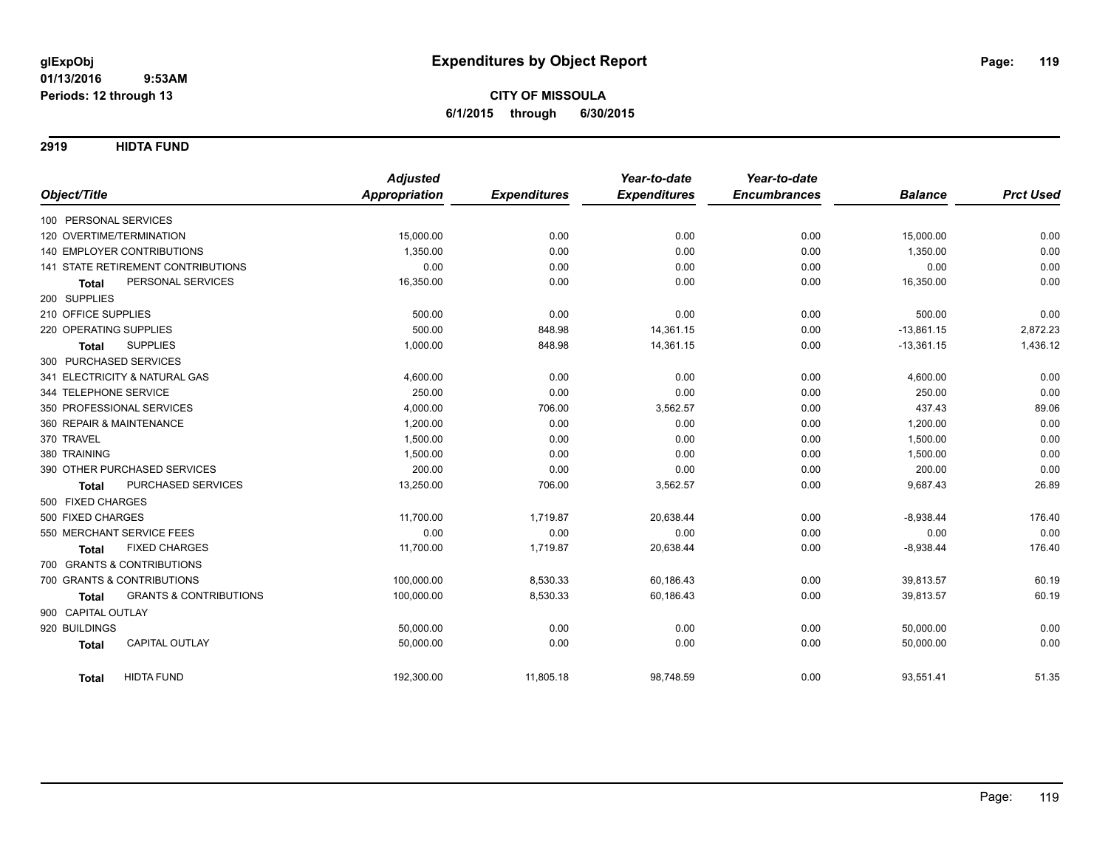**2919 HIDTA FUND**

|                                                   | <b>Adjusted</b>      |                     | Year-to-date        | Year-to-date        |                |                  |
|---------------------------------------------------|----------------------|---------------------|---------------------|---------------------|----------------|------------------|
| Object/Title                                      | <b>Appropriation</b> | <b>Expenditures</b> | <b>Expenditures</b> | <b>Encumbrances</b> | <b>Balance</b> | <b>Prct Used</b> |
| 100 PERSONAL SERVICES                             |                      |                     |                     |                     |                |                  |
| 120 OVERTIME/TERMINATION                          | 15,000.00            | 0.00                | 0.00                | 0.00                | 15,000.00      | 0.00             |
| 140 EMPLOYER CONTRIBUTIONS                        | 1,350.00             | 0.00                | 0.00                | 0.00                | 1,350.00       | 0.00             |
| 141 STATE RETIREMENT CONTRIBUTIONS                | 0.00                 | 0.00                | 0.00                | 0.00                | 0.00           | 0.00             |
| PERSONAL SERVICES<br><b>Total</b>                 | 16,350.00            | 0.00                | 0.00                | 0.00                | 16,350.00      | 0.00             |
| 200 SUPPLIES                                      |                      |                     |                     |                     |                |                  |
| 210 OFFICE SUPPLIES                               | 500.00               | 0.00                | 0.00                | 0.00                | 500.00         | 0.00             |
| 220 OPERATING SUPPLIES                            | 500.00               | 848.98              | 14,361.15           | 0.00                | $-13,861.15$   | 2,872.23         |
| <b>SUPPLIES</b><br><b>Total</b>                   | 1,000.00             | 848.98              | 14,361.15           | 0.00                | $-13,361.15$   | 1,436.12         |
| 300 PURCHASED SERVICES                            |                      |                     |                     |                     |                |                  |
| 341 ELECTRICITY & NATURAL GAS                     | 4,600.00             | 0.00                | 0.00                | 0.00                | 4,600.00       | 0.00             |
| 344 TELEPHONE SERVICE                             | 250.00               | 0.00                | 0.00                | 0.00                | 250.00         | 0.00             |
| 350 PROFESSIONAL SERVICES                         | 4,000.00             | 706.00              | 3,562.57            | 0.00                | 437.43         | 89.06            |
| 360 REPAIR & MAINTENANCE                          | 1,200.00             | 0.00                | 0.00                | 0.00                | 1,200.00       | 0.00             |
| 370 TRAVEL                                        | 1,500.00             | 0.00                | 0.00                | 0.00                | 1,500.00       | 0.00             |
| 380 TRAINING                                      | 1,500.00             | 0.00                | 0.00                | 0.00                | 1,500.00       | 0.00             |
| 390 OTHER PURCHASED SERVICES                      | 200.00               | 0.00                | 0.00                | 0.00                | 200.00         | 0.00             |
| PURCHASED SERVICES<br><b>Total</b>                | 13,250.00            | 706.00              | 3,562.57            | 0.00                | 9,687.43       | 26.89            |
| 500 FIXED CHARGES                                 |                      |                     |                     |                     |                |                  |
| 500 FIXED CHARGES                                 | 11,700.00            | 1,719.87            | 20,638.44           | 0.00                | $-8,938.44$    | 176.40           |
| 550 MERCHANT SERVICE FEES                         | 0.00                 | 0.00                | 0.00                | 0.00                | 0.00           | 0.00             |
| <b>FIXED CHARGES</b><br><b>Total</b>              | 11,700.00            | 1,719.87            | 20,638.44           | 0.00                | $-8,938.44$    | 176.40           |
| 700 GRANTS & CONTRIBUTIONS                        |                      |                     |                     |                     |                |                  |
| 700 GRANTS & CONTRIBUTIONS                        | 100,000.00           | 8,530.33            | 60,186.43           | 0.00                | 39,813.57      | 60.19            |
| <b>GRANTS &amp; CONTRIBUTIONS</b><br><b>Total</b> | 100,000.00           | 8,530.33            | 60,186.43           | 0.00                | 39,813.57      | 60.19            |
| 900 CAPITAL OUTLAY                                |                      |                     |                     |                     |                |                  |
| 920 BUILDINGS                                     | 50,000.00            | 0.00                | 0.00                | 0.00                | 50,000.00      | 0.00             |
| <b>CAPITAL OUTLAY</b><br><b>Total</b>             | 50,000.00            | 0.00                | 0.00                | 0.00                | 50,000.00      | 0.00             |
| <b>HIDTA FUND</b><br><b>Total</b>                 | 192,300.00           | 11,805.18           | 98,748.59           | 0.00                | 93,551.41      | 51.35            |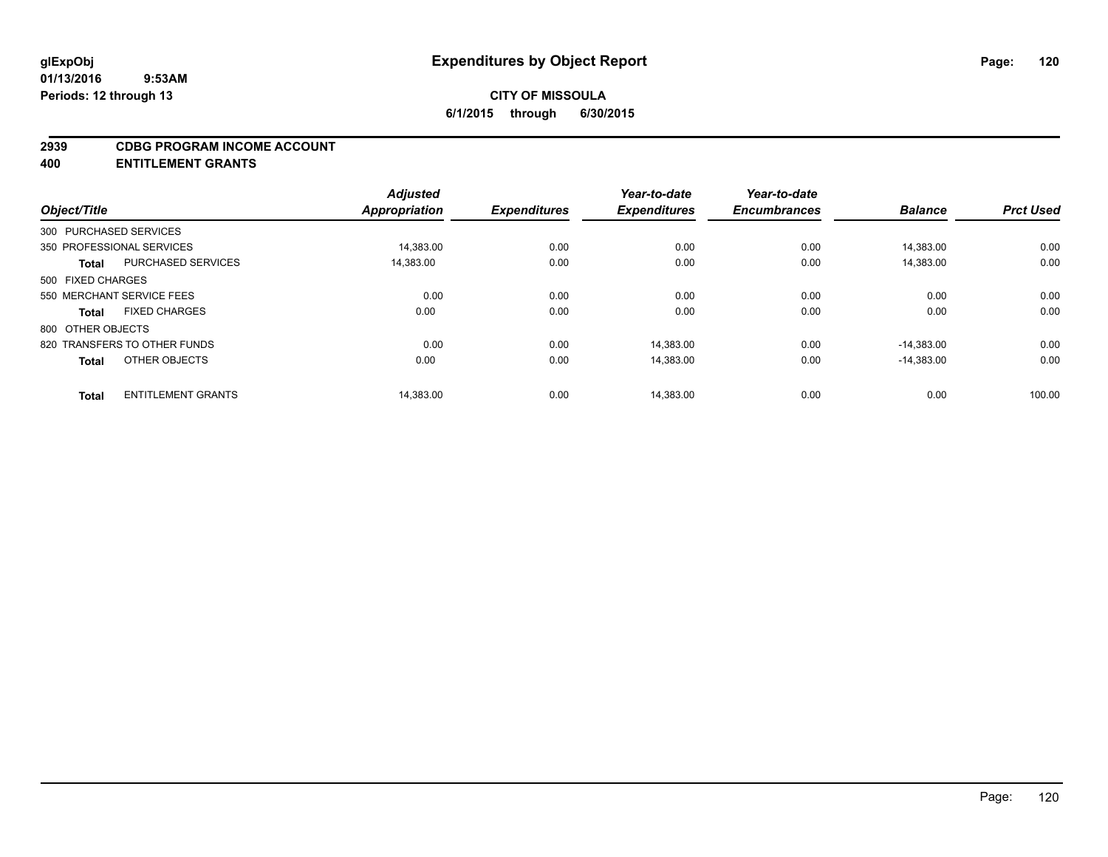### **2939 CDBG PROGRAM INCOME ACCOUNT**

**400 ENTITLEMENT GRANTS**

| Object/Title      |                              | <b>Adjusted</b><br><b>Appropriation</b> | <b>Expenditures</b> | Year-to-date<br><b>Expenditures</b> | Year-to-date<br><b>Encumbrances</b> | <b>Balance</b> | <b>Prct Used</b> |
|-------------------|------------------------------|-----------------------------------------|---------------------|-------------------------------------|-------------------------------------|----------------|------------------|
|                   | 300 PURCHASED SERVICES       |                                         |                     |                                     |                                     |                |                  |
|                   | 350 PROFESSIONAL SERVICES    | 14,383.00                               | 0.00                | 0.00                                | 0.00                                | 14.383.00      | 0.00             |
| Total             | <b>PURCHASED SERVICES</b>    | 14,383.00                               | 0.00                | 0.00                                | 0.00                                | 14,383.00      | 0.00             |
| 500 FIXED CHARGES |                              |                                         |                     |                                     |                                     |                |                  |
|                   | 550 MERCHANT SERVICE FEES    | 0.00                                    | 0.00                | 0.00                                | 0.00                                | 0.00           | 0.00             |
| <b>Total</b>      | <b>FIXED CHARGES</b>         | 0.00                                    | 0.00                | 0.00                                | 0.00                                | 0.00           | 0.00             |
| 800 OTHER OBJECTS |                              |                                         |                     |                                     |                                     |                |                  |
|                   | 820 TRANSFERS TO OTHER FUNDS | 0.00                                    | 0.00                | 14.383.00                           | 0.00                                | $-14.383.00$   | 0.00             |
| <b>Total</b>      | OTHER OBJECTS                | 0.00                                    | 0.00                | 14,383.00                           | 0.00                                | $-14,383.00$   | 0.00             |
| <b>Total</b>      | <b>ENTITLEMENT GRANTS</b>    | 14,383.00                               | 0.00                | 14,383.00                           | 0.00                                | 0.00           | 100.00           |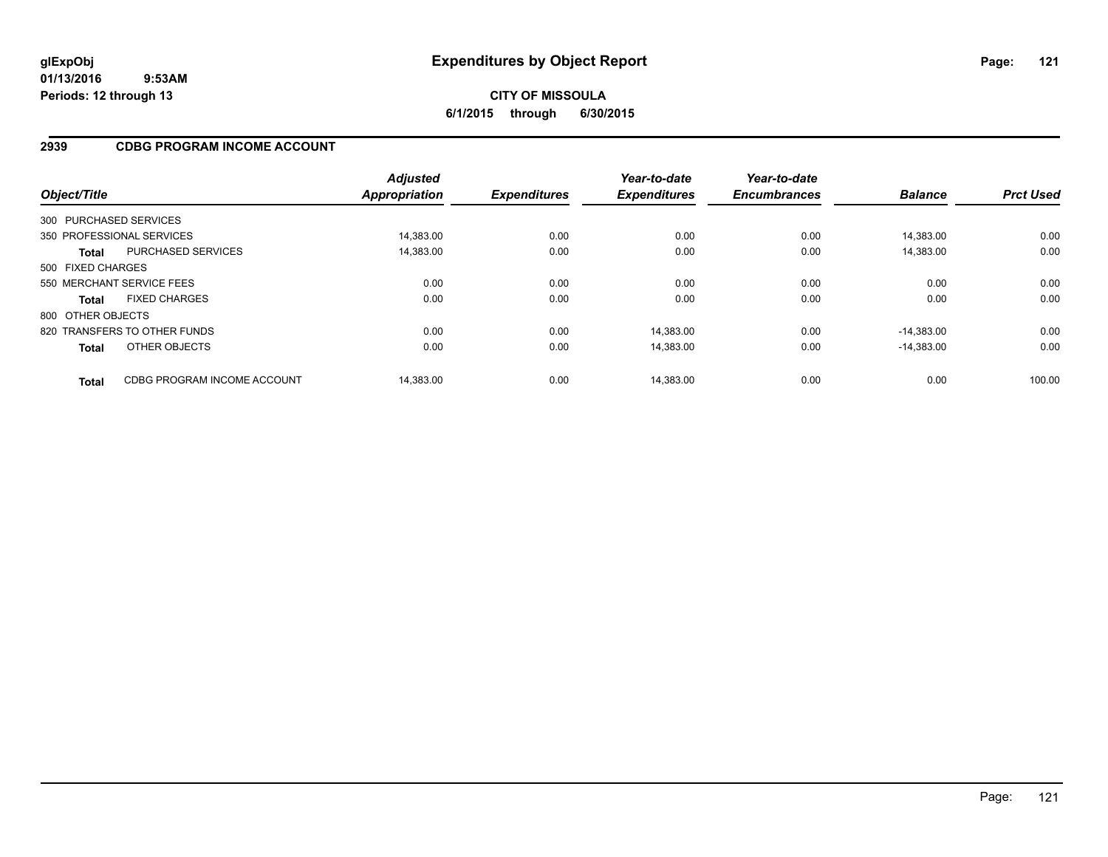**01/13/2016 9:53AM Periods: 12 through 13**

# **CITY OF MISSOULA 6/1/2015 through 6/30/2015**

# **2939 CDBG PROGRAM INCOME ACCOUNT**

| Object/Title      |                              | <b>Adjusted</b><br><b>Appropriation</b> | <b>Expenditures</b> | Year-to-date<br><b>Expenditures</b> | Year-to-date<br><b>Encumbrances</b> | <b>Balance</b> | <b>Prct Used</b> |
|-------------------|------------------------------|-----------------------------------------|---------------------|-------------------------------------|-------------------------------------|----------------|------------------|
|                   | 300 PURCHASED SERVICES       |                                         |                     |                                     |                                     |                |                  |
|                   | 350 PROFESSIONAL SERVICES    | 14.383.00                               | 0.00                | 0.00                                | 0.00                                | 14.383.00      | 0.00             |
| <b>Total</b>      | <b>PURCHASED SERVICES</b>    | 14.383.00                               | 0.00                | 0.00                                | 0.00                                | 14.383.00      | 0.00             |
| 500 FIXED CHARGES |                              |                                         |                     |                                     |                                     |                |                  |
|                   | 550 MERCHANT SERVICE FEES    | 0.00                                    | 0.00                | 0.00                                | 0.00                                | 0.00           | 0.00             |
| <b>Total</b>      | <b>FIXED CHARGES</b>         | 0.00                                    | 0.00                | 0.00                                | 0.00                                | 0.00           | 0.00             |
| 800 OTHER OBJECTS |                              |                                         |                     |                                     |                                     |                |                  |
|                   | 820 TRANSFERS TO OTHER FUNDS | 0.00                                    | 0.00                | 14,383.00                           | 0.00                                | $-14.383.00$   | 0.00             |
| <b>Total</b>      | OTHER OBJECTS                | 0.00                                    | 0.00                | 14,383.00                           | 0.00                                | $-14,383.00$   | 0.00             |
| <b>Total</b>      | CDBG PROGRAM INCOME ACCOUNT  | 14.383.00                               | 0.00                | 14.383.00                           | 0.00                                | 0.00           | 100.00           |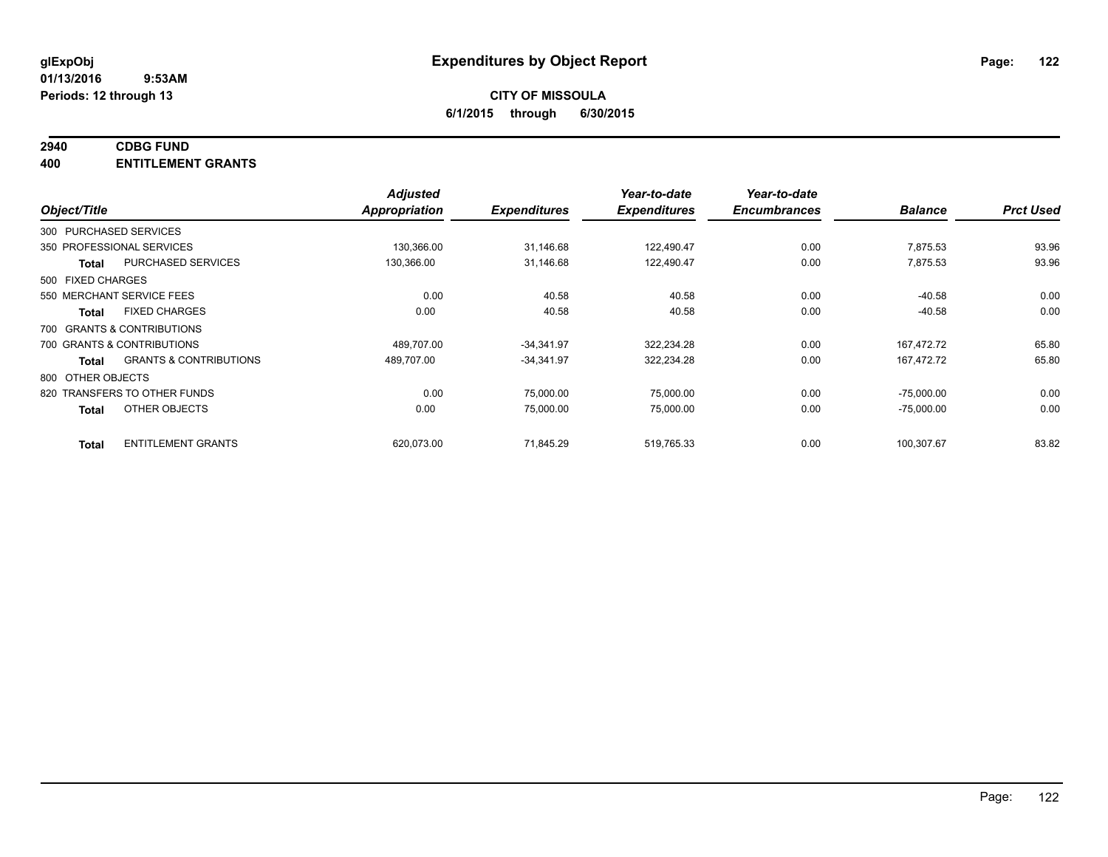### **2940 CDBG FUND**

**400 ENTITLEMENT GRANTS**

|                   |                                   | <b>Adjusted</b>      |                     | Year-to-date        | Year-to-date        |                |                  |
|-------------------|-----------------------------------|----------------------|---------------------|---------------------|---------------------|----------------|------------------|
| Object/Title      |                                   | <b>Appropriation</b> | <b>Expenditures</b> | <b>Expenditures</b> | <b>Encumbrances</b> | <b>Balance</b> | <b>Prct Used</b> |
|                   | 300 PURCHASED SERVICES            |                      |                     |                     |                     |                |                  |
|                   | 350 PROFESSIONAL SERVICES         | 130,366.00           | 31,146.68           | 122,490.47          | 0.00                | 7,875.53       | 93.96            |
| <b>Total</b>      | <b>PURCHASED SERVICES</b>         | 130,366.00           | 31,146.68           | 122,490.47          | 0.00                | 7,875.53       | 93.96            |
| 500 FIXED CHARGES |                                   |                      |                     |                     |                     |                |                  |
|                   | 550 MERCHANT SERVICE FEES         | 0.00                 | 40.58               | 40.58               | 0.00                | $-40.58$       | 0.00             |
| Total             | <b>FIXED CHARGES</b>              | 0.00                 | 40.58               | 40.58               | 0.00                | $-40.58$       | 0.00             |
|                   | 700 GRANTS & CONTRIBUTIONS        |                      |                     |                     |                     |                |                  |
|                   | 700 GRANTS & CONTRIBUTIONS        | 489,707.00           | $-34,341.97$        | 322,234.28          | 0.00                | 167.472.72     | 65.80            |
| <b>Total</b>      | <b>GRANTS &amp; CONTRIBUTIONS</b> | 489,707.00           | $-34,341.97$        | 322,234.28          | 0.00                | 167,472.72     | 65.80            |
| 800 OTHER OBJECTS |                                   |                      |                     |                     |                     |                |                  |
|                   | 820 TRANSFERS TO OTHER FUNDS      | 0.00                 | 75,000.00           | 75,000.00           | 0.00                | $-75,000.00$   | 0.00             |
| <b>Total</b>      | OTHER OBJECTS                     | 0.00                 | 75,000.00           | 75,000.00           | 0.00                | $-75,000.00$   | 0.00             |
| <b>Total</b>      | <b>ENTITLEMENT GRANTS</b>         | 620,073.00           | 71,845.29           | 519,765.33          | 0.00                | 100,307.67     | 83.82            |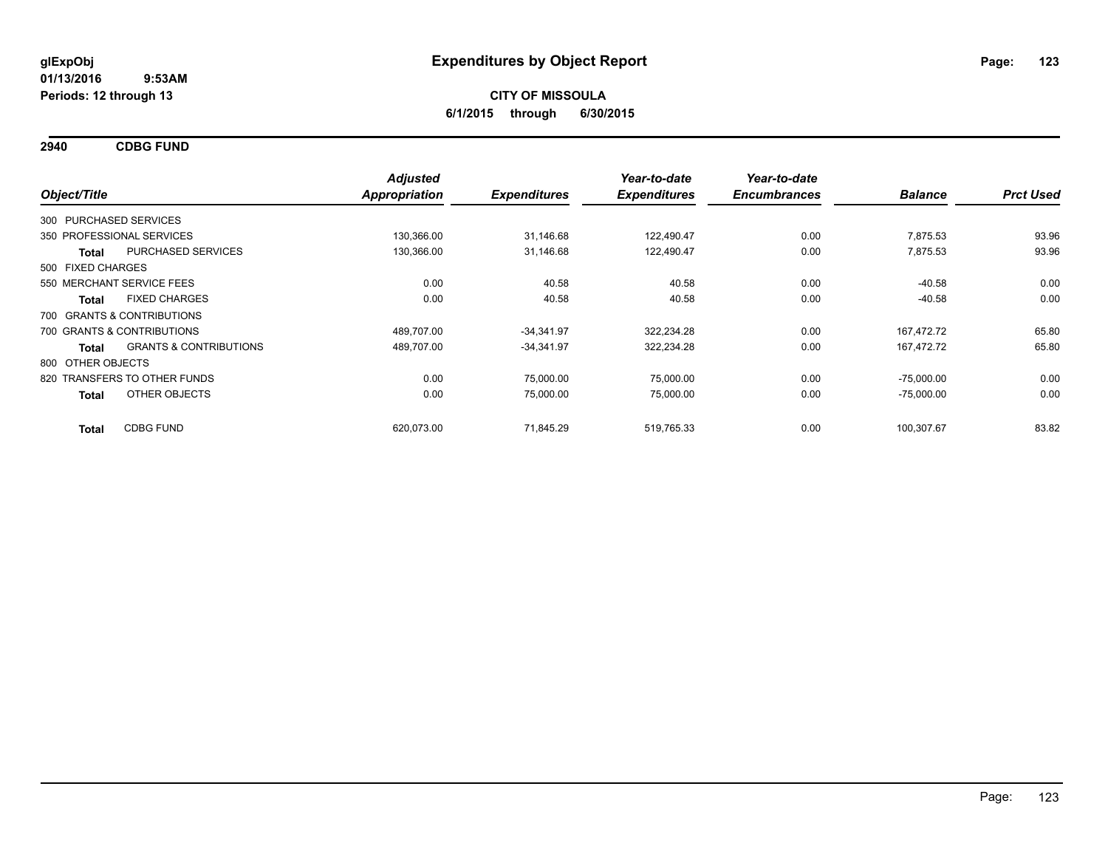**2940 CDBG FUND**

|                   |                                   | <b>Adjusted</b> |                     | Year-to-date        | Year-to-date        |                |                  |
|-------------------|-----------------------------------|-----------------|---------------------|---------------------|---------------------|----------------|------------------|
| Object/Title      |                                   | Appropriation   | <b>Expenditures</b> | <b>Expenditures</b> | <b>Encumbrances</b> | <b>Balance</b> | <b>Prct Used</b> |
|                   | 300 PURCHASED SERVICES            |                 |                     |                     |                     |                |                  |
|                   | 350 PROFESSIONAL SERVICES         | 130,366.00      | 31,146.68           | 122,490.47          | 0.00                | 7,875.53       | 93.96            |
| <b>Total</b>      | <b>PURCHASED SERVICES</b>         | 130,366.00      | 31,146.68           | 122,490.47          | 0.00                | 7,875.53       | 93.96            |
| 500 FIXED CHARGES |                                   |                 |                     |                     |                     |                |                  |
|                   | 550 MERCHANT SERVICE FEES         | 0.00            | 40.58               | 40.58               | 0.00                | $-40.58$       | 0.00             |
| <b>Total</b>      | <b>FIXED CHARGES</b>              | 0.00            | 40.58               | 40.58               | 0.00                | $-40.58$       | 0.00             |
|                   | 700 GRANTS & CONTRIBUTIONS        |                 |                     |                     |                     |                |                  |
|                   | 700 GRANTS & CONTRIBUTIONS        | 489,707.00      | $-34,341.97$        | 322,234.28          | 0.00                | 167,472.72     | 65.80            |
| <b>Total</b>      | <b>GRANTS &amp; CONTRIBUTIONS</b> | 489,707.00      | $-34,341.97$        | 322,234.28          | 0.00                | 167,472.72     | 65.80            |
| 800 OTHER OBJECTS |                                   |                 |                     |                     |                     |                |                  |
|                   | 820 TRANSFERS TO OTHER FUNDS      | 0.00            | 75,000.00           | 75,000.00           | 0.00                | $-75,000.00$   | 0.00             |
| <b>Total</b>      | OTHER OBJECTS                     | 0.00            | 75,000.00           | 75,000.00           | 0.00                | $-75,000.00$   | 0.00             |
| <b>Total</b>      | <b>CDBG FUND</b>                  | 620,073.00      | 71,845.29           | 519.765.33          | 0.00                | 100,307.67     | 83.82            |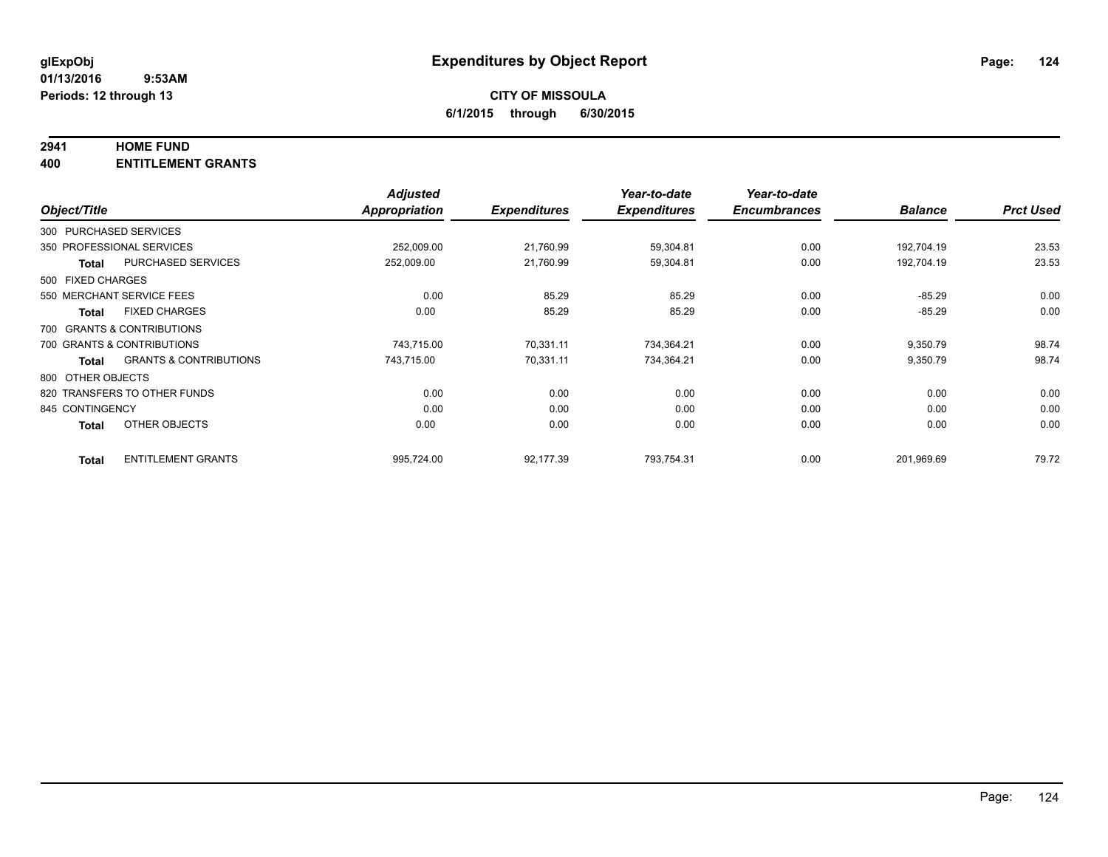### **2941 HOME FUND**

**400 ENTITLEMENT GRANTS**

|                   |                                   | <b>Adjusted</b> |                     | Year-to-date        | Year-to-date        |                |                  |
|-------------------|-----------------------------------|-----------------|---------------------|---------------------|---------------------|----------------|------------------|
| Object/Title      |                                   | Appropriation   | <b>Expenditures</b> | <b>Expenditures</b> | <b>Encumbrances</b> | <b>Balance</b> | <b>Prct Used</b> |
|                   | 300 PURCHASED SERVICES            |                 |                     |                     |                     |                |                  |
|                   | 350 PROFESSIONAL SERVICES         | 252,009.00      | 21,760.99           | 59,304.81           | 0.00                | 192.704.19     | 23.53            |
| <b>Total</b>      | <b>PURCHASED SERVICES</b>         | 252,009.00      | 21,760.99           | 59,304.81           | 0.00                | 192,704.19     | 23.53            |
| 500 FIXED CHARGES |                                   |                 |                     |                     |                     |                |                  |
|                   | 550 MERCHANT SERVICE FEES         | 0.00            | 85.29               | 85.29               | 0.00                | $-85.29$       | 0.00             |
| Total             | <b>FIXED CHARGES</b>              | 0.00            | 85.29               | 85.29               | 0.00                | $-85.29$       | 0.00             |
|                   | 700 GRANTS & CONTRIBUTIONS        |                 |                     |                     |                     |                |                  |
|                   | 700 GRANTS & CONTRIBUTIONS        | 743,715.00      | 70,331.11           | 734,364.21          | 0.00                | 9,350.79       | 98.74            |
| Total             | <b>GRANTS &amp; CONTRIBUTIONS</b> | 743,715.00      | 70,331.11           | 734,364.21          | 0.00                | 9,350.79       | 98.74            |
| 800 OTHER OBJECTS |                                   |                 |                     |                     |                     |                |                  |
|                   | 820 TRANSFERS TO OTHER FUNDS      | 0.00            | 0.00                | 0.00                | 0.00                | 0.00           | 0.00             |
| 845 CONTINGENCY   |                                   | 0.00            | 0.00                | 0.00                | 0.00                | 0.00           | 0.00             |
| <b>Total</b>      | OTHER OBJECTS                     | 0.00            | 0.00                | 0.00                | 0.00                | 0.00           | 0.00             |
| <b>Total</b>      | <b>ENTITLEMENT GRANTS</b>         | 995,724.00      | 92,177.39           | 793,754.31          | 0.00                | 201,969.69     | 79.72            |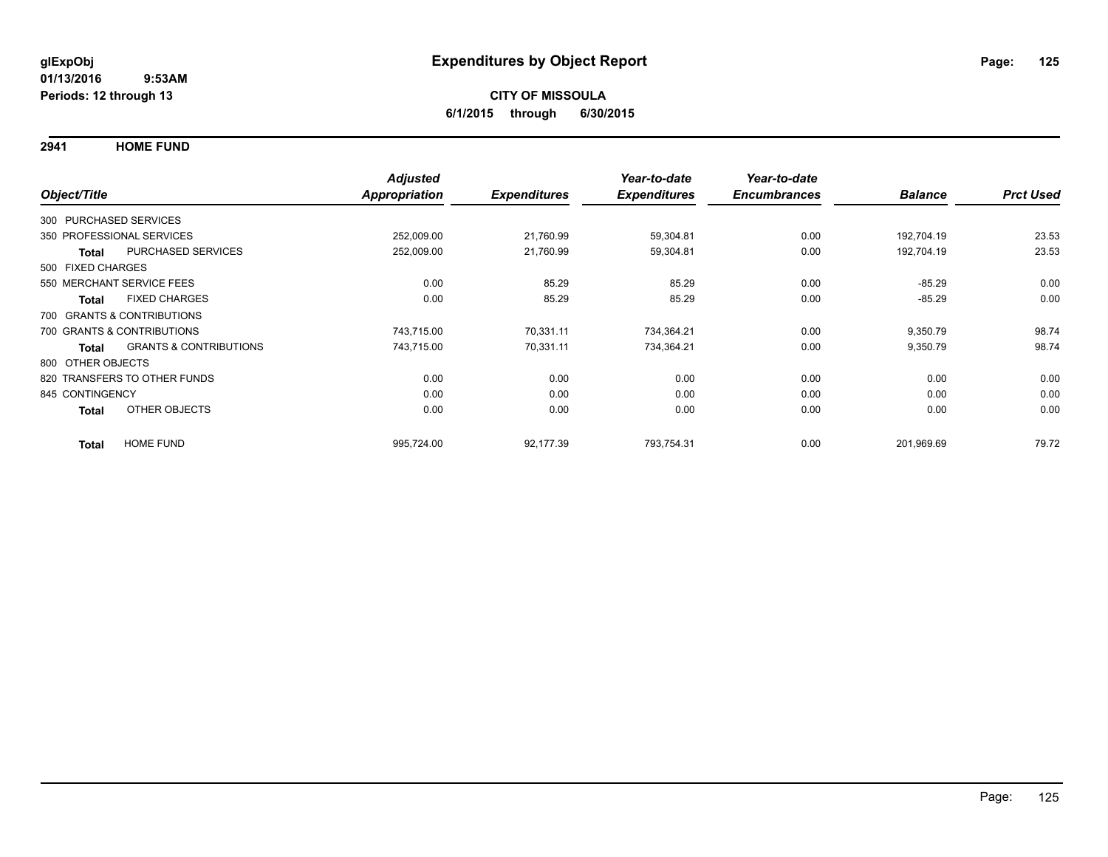**2941 HOME FUND**

|                                      |                                   | <b>Adjusted</b>      |                     | Year-to-date        | Year-to-date        |                |                  |
|--------------------------------------|-----------------------------------|----------------------|---------------------|---------------------|---------------------|----------------|------------------|
| Object/Title                         |                                   | <b>Appropriation</b> | <b>Expenditures</b> | <b>Expenditures</b> | <b>Encumbrances</b> | <b>Balance</b> | <b>Prct Used</b> |
| 300 PURCHASED SERVICES               |                                   |                      |                     |                     |                     |                |                  |
| 350 PROFESSIONAL SERVICES            |                                   | 252,009.00           | 21,760.99           | 59,304.81           | 0.00                | 192,704.19     | 23.53            |
| PURCHASED SERVICES<br>Total          |                                   | 252,009.00           | 21,760.99           | 59,304.81           | 0.00                | 192,704.19     | 23.53            |
| 500 FIXED CHARGES                    |                                   |                      |                     |                     |                     |                |                  |
| 550 MERCHANT SERVICE FEES            |                                   | 0.00                 | 85.29               | 85.29               | 0.00                | $-85.29$       | 0.00             |
| <b>FIXED CHARGES</b><br><b>Total</b> |                                   | 0.00                 | 85.29               | 85.29               | 0.00                | $-85.29$       | 0.00             |
| 700 GRANTS & CONTRIBUTIONS           |                                   |                      |                     |                     |                     |                |                  |
| 700 GRANTS & CONTRIBUTIONS           |                                   | 743,715.00           | 70,331.11           | 734,364.21          | 0.00                | 9,350.79       | 98.74            |
| <b>Total</b>                         | <b>GRANTS &amp; CONTRIBUTIONS</b> | 743,715.00           | 70,331.11           | 734,364.21          | 0.00                | 9,350.79       | 98.74            |
| 800 OTHER OBJECTS                    |                                   |                      |                     |                     |                     |                |                  |
| 820 TRANSFERS TO OTHER FUNDS         |                                   | 0.00                 | 0.00                | 0.00                | 0.00                | 0.00           | 0.00             |
| 845 CONTINGENCY                      |                                   | 0.00                 | 0.00                | 0.00                | 0.00                | 0.00           | 0.00             |
| OTHER OBJECTS<br><b>Total</b>        |                                   | 0.00                 | 0.00                | 0.00                | 0.00                | 0.00           | 0.00             |
| <b>HOME FUND</b><br><b>Total</b>     |                                   | 995,724.00           | 92,177.39           | 793,754.31          | 0.00                | 201,969.69     | 79.72            |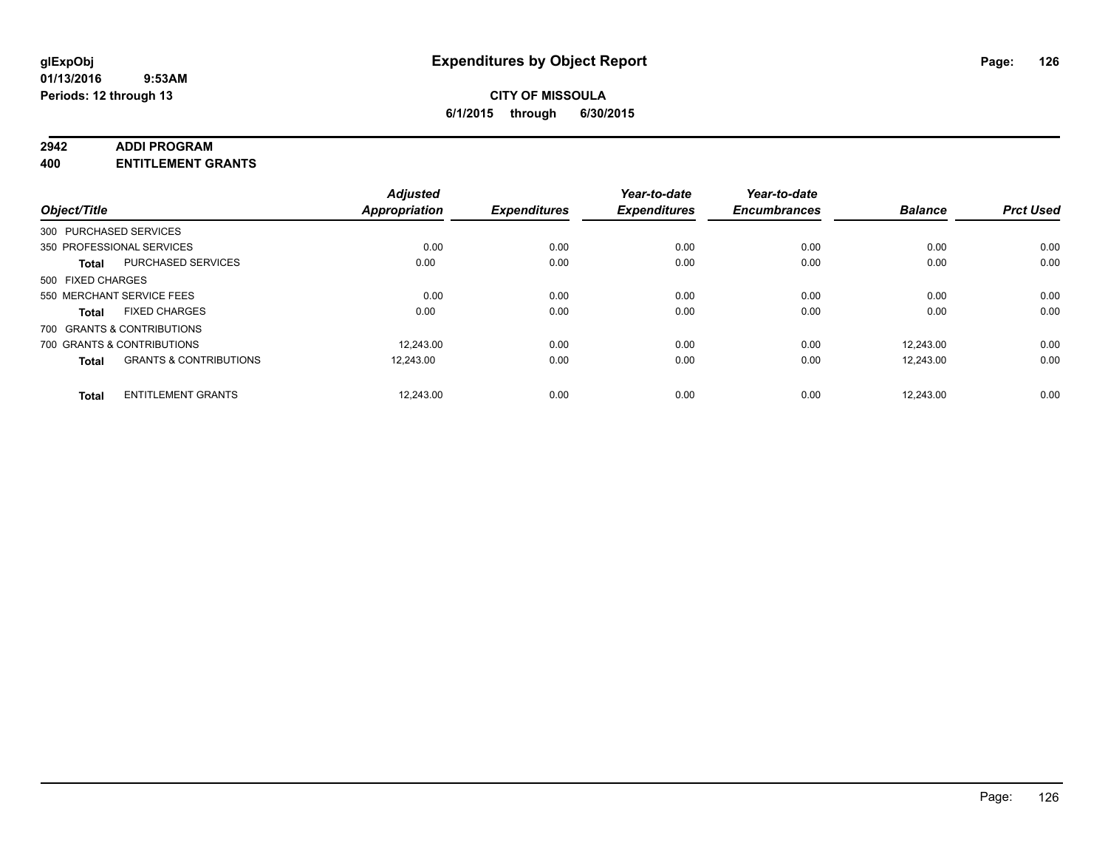### **2942 ADDI PROGRAM**

**400 ENTITLEMENT GRANTS**

| Object/Title           |                                   | <b>Adjusted</b><br><b>Appropriation</b> | <b>Expenditures</b> | Year-to-date<br><b>Expenditures</b> | Year-to-date<br><b>Encumbrances</b> | <b>Balance</b> | <b>Prct Used</b> |
|------------------------|-----------------------------------|-----------------------------------------|---------------------|-------------------------------------|-------------------------------------|----------------|------------------|
| 300 PURCHASED SERVICES |                                   |                                         |                     |                                     |                                     |                |                  |
|                        | 350 PROFESSIONAL SERVICES         | 0.00                                    | 0.00                | 0.00                                | 0.00                                | 0.00           | 0.00             |
| <b>Total</b>           | <b>PURCHASED SERVICES</b>         | 0.00                                    | 0.00                | 0.00                                | 0.00                                | 0.00           | 0.00             |
| 500 FIXED CHARGES      |                                   |                                         |                     |                                     |                                     |                |                  |
|                        | 550 MERCHANT SERVICE FEES         | 0.00                                    | 0.00                | 0.00                                | 0.00                                | 0.00           | 0.00             |
| <b>Total</b>           | <b>FIXED CHARGES</b>              | 0.00                                    | 0.00                | 0.00                                | 0.00                                | 0.00           | 0.00             |
|                        | 700 GRANTS & CONTRIBUTIONS        |                                         |                     |                                     |                                     |                |                  |
|                        | 700 GRANTS & CONTRIBUTIONS        | 12.243.00                               | 0.00                | 0.00                                | 0.00                                | 12.243.00      | 0.00             |
| <b>Total</b>           | <b>GRANTS &amp; CONTRIBUTIONS</b> | 12.243.00                               | 0.00                | 0.00                                | 0.00                                | 12,243.00      | 0.00             |
|                        |                                   |                                         |                     |                                     |                                     |                |                  |
| <b>Total</b>           | <b>ENTITLEMENT GRANTS</b>         | 12.243.00                               | 0.00                | 0.00                                | 0.00                                | 12.243.00      | 0.00             |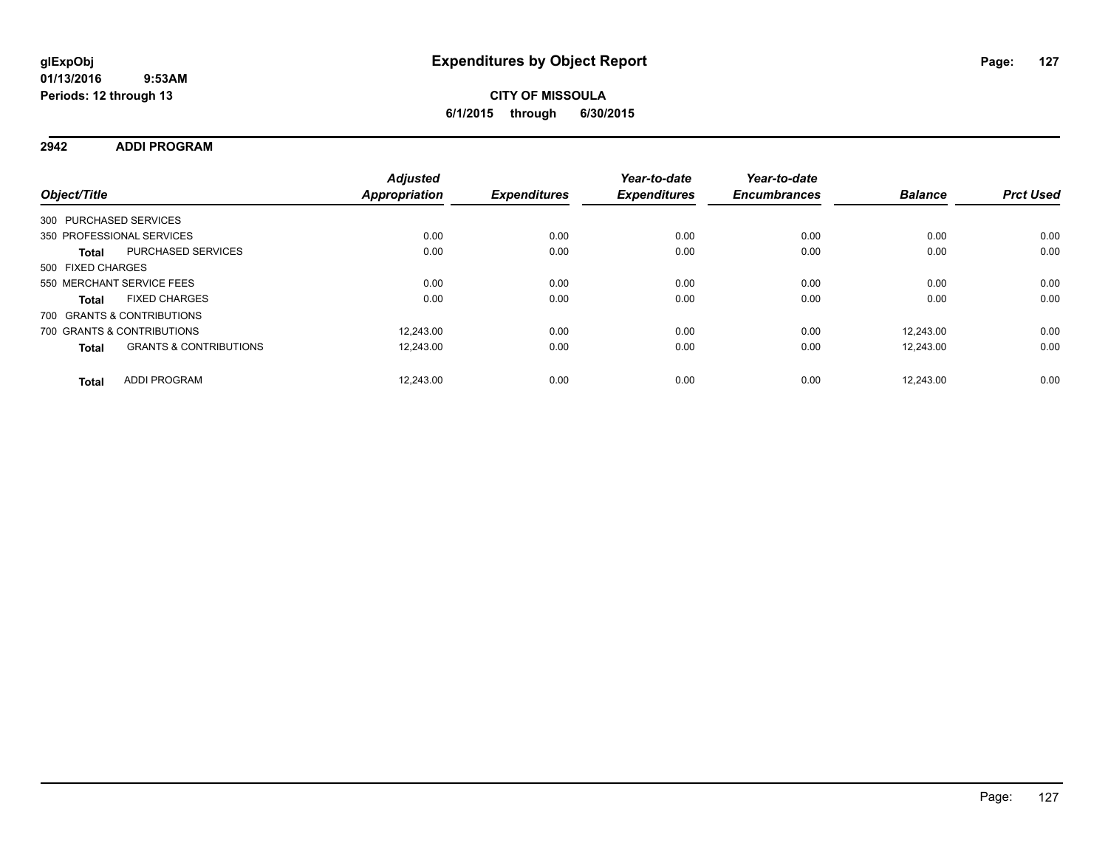## **2942 ADDI PROGRAM**

| Object/Title           |                                   | <b>Adjusted</b><br><b>Appropriation</b> | <b>Expenditures</b> | Year-to-date<br><b>Expenditures</b> | Year-to-date<br><b>Encumbrances</b> | <b>Balance</b> | <b>Prct Used</b> |
|------------------------|-----------------------------------|-----------------------------------------|---------------------|-------------------------------------|-------------------------------------|----------------|------------------|
| 300 PURCHASED SERVICES |                                   |                                         |                     |                                     |                                     |                |                  |
|                        | 350 PROFESSIONAL SERVICES         | 0.00                                    | 0.00                | 0.00                                | 0.00                                | 0.00           | 0.00             |
| <b>Total</b>           | PURCHASED SERVICES                | 0.00                                    | 0.00                | 0.00                                | 0.00                                | 0.00           | 0.00             |
| 500 FIXED CHARGES      |                                   |                                         |                     |                                     |                                     |                |                  |
|                        | 550 MERCHANT SERVICE FEES         | 0.00                                    | 0.00                | 0.00                                | 0.00                                | 0.00           | 0.00             |
| <b>Total</b>           | <b>FIXED CHARGES</b>              | 0.00                                    | 0.00                | 0.00                                | 0.00                                | 0.00           | 0.00             |
|                        | 700 GRANTS & CONTRIBUTIONS        |                                         |                     |                                     |                                     |                |                  |
|                        | 700 GRANTS & CONTRIBUTIONS        | 12.243.00                               | 0.00                | 0.00                                | 0.00                                | 12.243.00      | 0.00             |
| <b>Total</b>           | <b>GRANTS &amp; CONTRIBUTIONS</b> | 12,243.00                               | 0.00                | 0.00                                | 0.00                                | 12.243.00      | 0.00             |
| <b>Total</b>           | <b>ADDI PROGRAM</b>               | 12.243.00                               | 0.00                | 0.00                                | 0.00                                | 12.243.00      | 0.00             |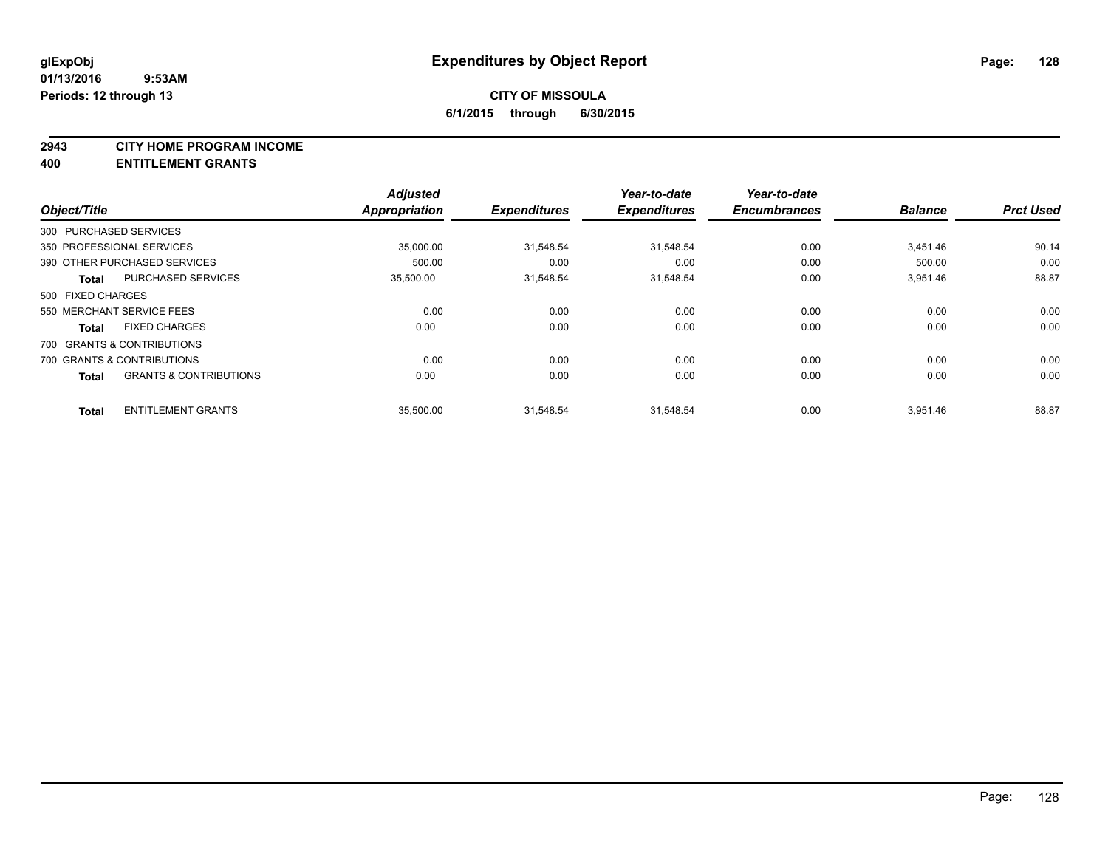### **2943 CITY HOME PROGRAM INCOME**

### **400 ENTITLEMENT GRANTS**

| Object/Title                         |                                   | <b>Adjusted</b><br><b>Appropriation</b> | <b>Expenditures</b> | Year-to-date<br><b>Expenditures</b> | Year-to-date<br><b>Encumbrances</b> | <b>Balance</b> | <b>Prct Used</b> |
|--------------------------------------|-----------------------------------|-----------------------------------------|---------------------|-------------------------------------|-------------------------------------|----------------|------------------|
| 300 PURCHASED SERVICES               |                                   |                                         |                     |                                     |                                     |                |                  |
|                                      |                                   |                                         |                     |                                     |                                     |                |                  |
| 350 PROFESSIONAL SERVICES            |                                   | 35.000.00                               | 31,548.54           | 31.548.54                           | 0.00                                | 3.451.46       | 90.14            |
| 390 OTHER PURCHASED SERVICES         |                                   | 500.00                                  | 0.00                | 0.00                                | 0.00                                | 500.00         | 0.00             |
| <b>Total</b>                         | <b>PURCHASED SERVICES</b>         | 35,500.00                               | 31,548.54           | 31,548.54                           | 0.00                                | 3,951.46       | 88.87            |
| 500 FIXED CHARGES                    |                                   |                                         |                     |                                     |                                     |                |                  |
| 550 MERCHANT SERVICE FEES            |                                   | 0.00                                    | 0.00                | 0.00                                | 0.00                                | 0.00           | 0.00             |
| <b>FIXED CHARGES</b><br><b>Total</b> |                                   | 0.00                                    | 0.00                | 0.00                                | 0.00                                | 0.00           | 0.00             |
| 700 GRANTS & CONTRIBUTIONS           |                                   |                                         |                     |                                     |                                     |                |                  |
| 700 GRANTS & CONTRIBUTIONS           |                                   | 0.00                                    | 0.00                | 0.00                                | 0.00                                | 0.00           | 0.00             |
| <b>Total</b>                         | <b>GRANTS &amp; CONTRIBUTIONS</b> | 0.00                                    | 0.00                | 0.00                                | 0.00                                | 0.00           | 0.00             |
| <b>Total</b>                         | <b>ENTITLEMENT GRANTS</b>         | 35,500.00                               | 31,548.54           | 31.548.54                           | 0.00                                | 3,951.46       | 88.87            |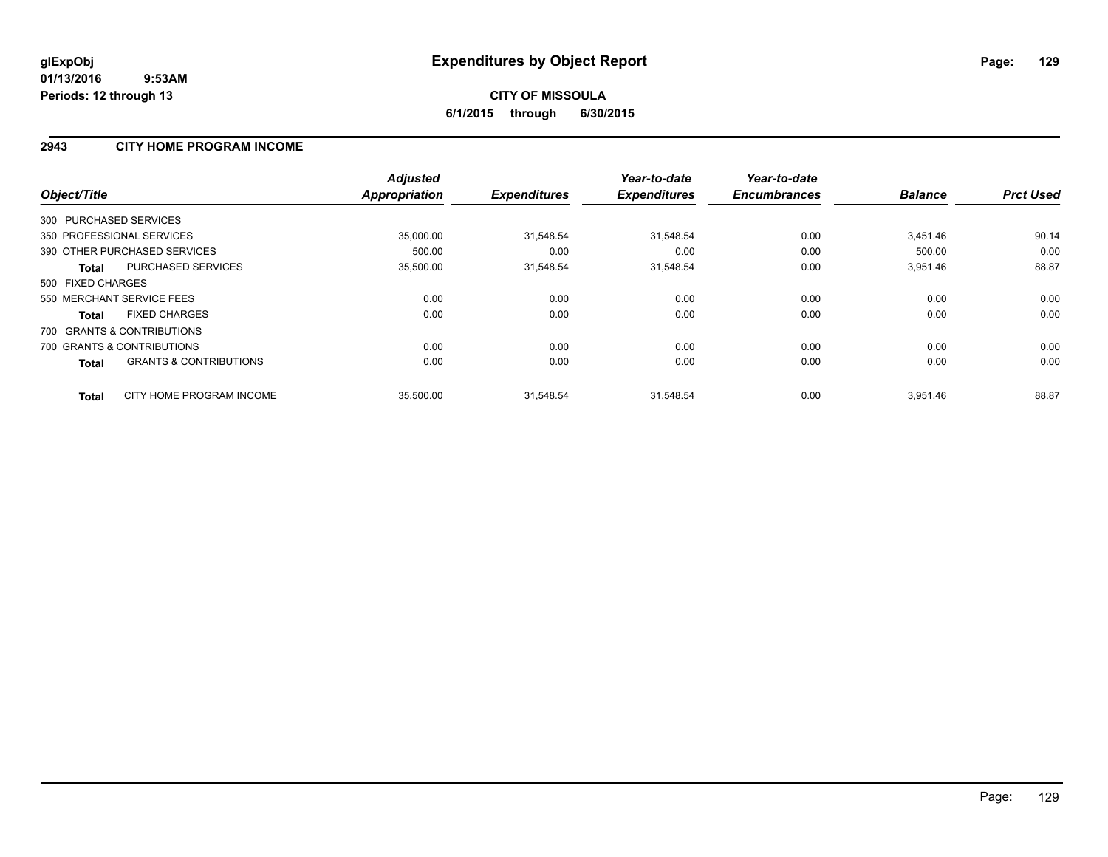### **2943 CITY HOME PROGRAM INCOME**

|                                            | <b>Adjusted</b> | <b>Expenditures</b> | Year-to-date        | Year-to-date<br><b>Encumbrances</b> | <b>Balance</b> | <b>Prct Used</b> |
|--------------------------------------------|-----------------|---------------------|---------------------|-------------------------------------|----------------|------------------|
| Object/Title                               | Appropriation   |                     | <b>Expenditures</b> |                                     |                |                  |
| 300 PURCHASED SERVICES                     |                 |                     |                     |                                     |                |                  |
| 350 PROFESSIONAL SERVICES                  | 35,000.00       | 31,548.54           | 31,548.54           | 0.00                                | 3,451.46       | 90.14            |
| 390 OTHER PURCHASED SERVICES               | 500.00          | 0.00                | 0.00                | 0.00                                | 500.00         | 0.00             |
| <b>PURCHASED SERVICES</b><br><b>Total</b>  | 35,500.00       | 31,548.54           | 31,548.54           | 0.00                                | 3,951.46       | 88.87            |
| 500 FIXED CHARGES                          |                 |                     |                     |                                     |                |                  |
| 550 MERCHANT SERVICE FEES                  | 0.00            | 0.00                | 0.00                | 0.00                                | 0.00           | 0.00             |
| <b>FIXED CHARGES</b><br><b>Total</b>       | 0.00            | 0.00                | 0.00                | 0.00                                | 0.00           | 0.00             |
| 700 GRANTS & CONTRIBUTIONS                 |                 |                     |                     |                                     |                |                  |
| 700 GRANTS & CONTRIBUTIONS                 | 0.00            | 0.00                | 0.00                | 0.00                                | 0.00           | 0.00             |
| <b>GRANTS &amp; CONTRIBUTIONS</b><br>Total | 0.00            | 0.00                | 0.00                | 0.00                                | 0.00           | 0.00             |
| CITY HOME PROGRAM INCOME<br><b>Total</b>   | 35,500.00       | 31.548.54           | 31.548.54           | 0.00                                | 3.951.46       | 88.87            |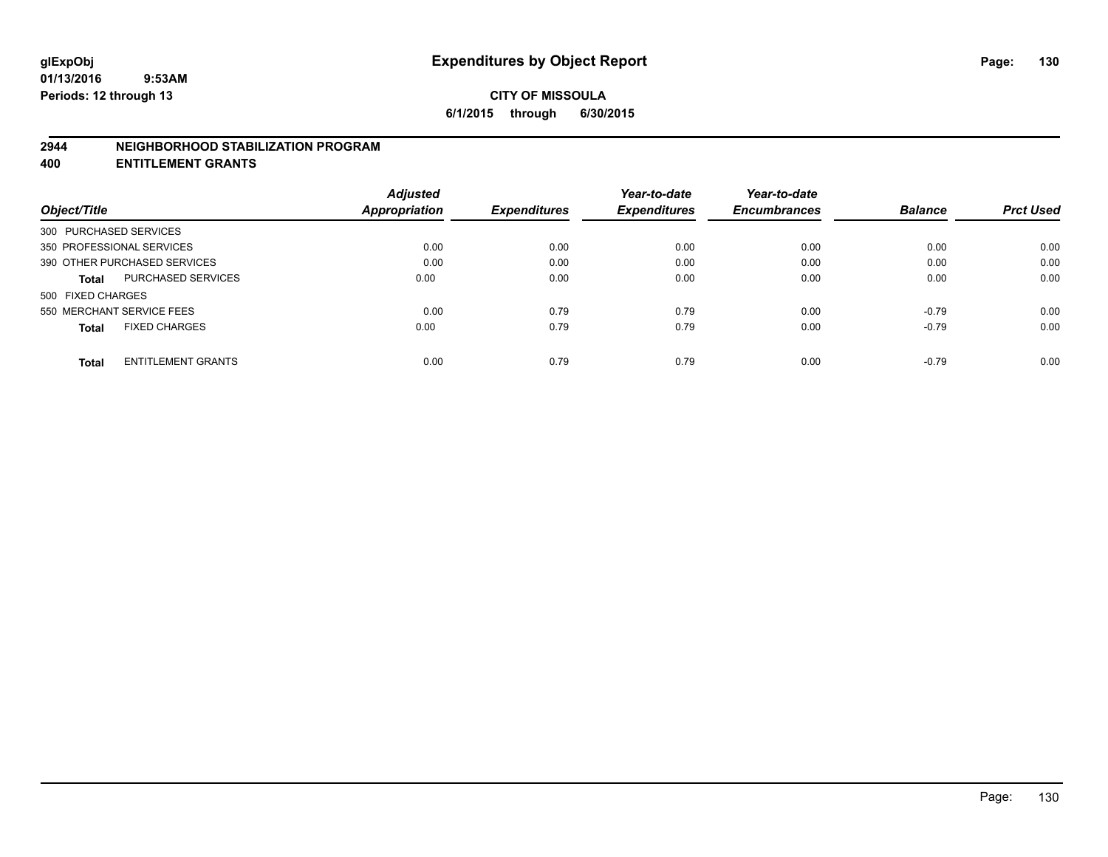### **2944 NEIGHBORHOOD STABILIZATION PROGRAM**

**400 ENTITLEMENT GRANTS**

|                              |                           | <b>Adjusted</b> |                     | Year-to-date        | Year-to-date        |                |                  |
|------------------------------|---------------------------|-----------------|---------------------|---------------------|---------------------|----------------|------------------|
| Object/Title                 |                           | Appropriation   | <b>Expenditures</b> | <b>Expenditures</b> | <b>Encumbrances</b> | <b>Balance</b> | <b>Prct Used</b> |
| 300 PURCHASED SERVICES       |                           |                 |                     |                     |                     |                |                  |
| 350 PROFESSIONAL SERVICES    |                           | 0.00            | 0.00                | 0.00                | 0.00                | 0.00           | 0.00             |
| 390 OTHER PURCHASED SERVICES |                           | 0.00            | 0.00                | 0.00                | 0.00                | 0.00           | 0.00             |
| <b>Total</b>                 | <b>PURCHASED SERVICES</b> | 0.00            | 0.00                | 0.00                | 0.00                | 0.00           | 0.00             |
| 500 FIXED CHARGES            |                           |                 |                     |                     |                     |                |                  |
| 550 MERCHANT SERVICE FEES    |                           | 0.00            | 0.79                | 0.79                | 0.00                | $-0.79$        | 0.00             |
| <b>Total</b>                 | <b>FIXED CHARGES</b>      | 0.00            | 0.79                | 0.79                | 0.00                | $-0.79$        | 0.00             |
| <b>Total</b>                 | <b>ENTITLEMENT GRANTS</b> | 0.00            | 0.79                | 0.79                | 0.00                | $-0.79$        | 0.00             |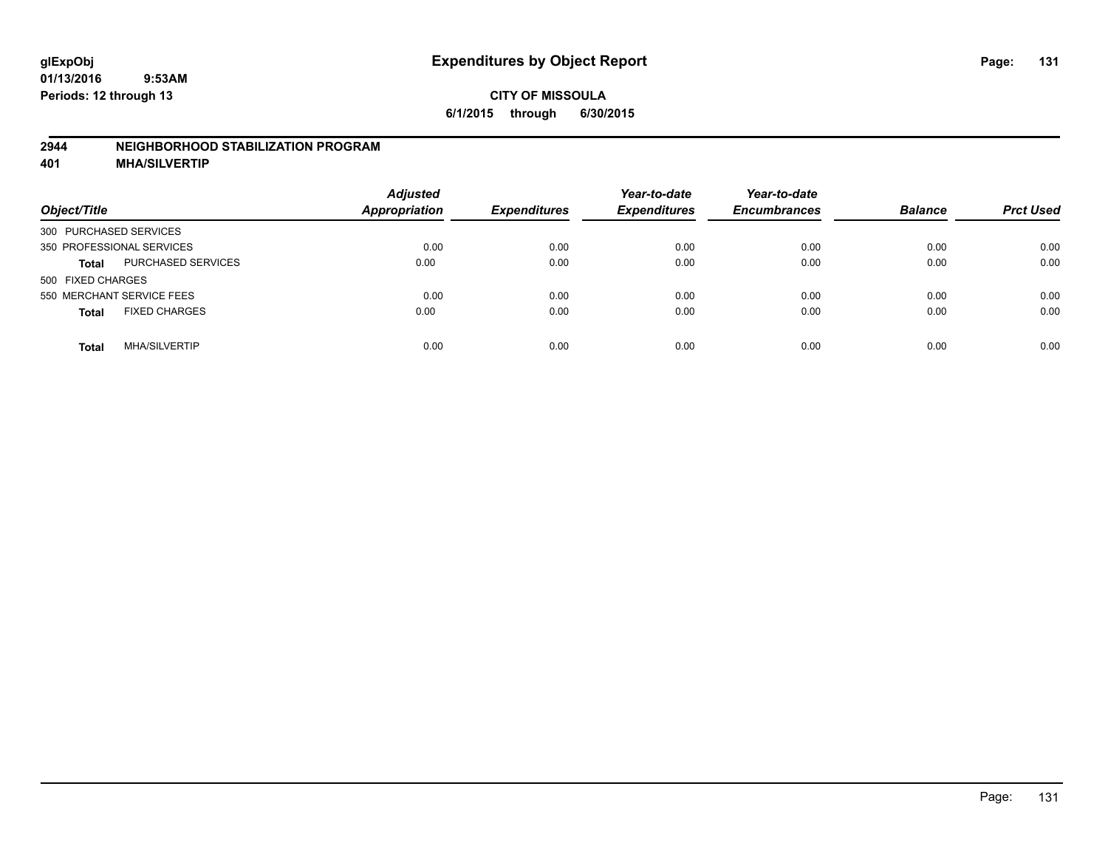### **2944 NEIGHBORHOOD STABILIZATION PROGRAM**

**401 MHA/SILVERTIP**

| Object/Title                              | <b>Adjusted</b><br><b>Appropriation</b> | <b>Expenditures</b> | Year-to-date<br><b>Expenditures</b> | Year-to-date<br><b>Encumbrances</b> | <b>Balance</b> | <b>Prct Used</b> |
|-------------------------------------------|-----------------------------------------|---------------------|-------------------------------------|-------------------------------------|----------------|------------------|
| 300 PURCHASED SERVICES                    |                                         |                     |                                     |                                     |                |                  |
| 350 PROFESSIONAL SERVICES                 | 0.00                                    | 0.00                | 0.00                                | 0.00                                | 0.00           | 0.00             |
| <b>PURCHASED SERVICES</b><br><b>Total</b> | 0.00                                    | 0.00                | 0.00                                | 0.00                                | 0.00           | 0.00             |
| 500 FIXED CHARGES                         |                                         |                     |                                     |                                     |                |                  |
| 550 MERCHANT SERVICE FEES                 | 0.00                                    | 0.00                | 0.00                                | 0.00                                | 0.00           | 0.00             |
| <b>FIXED CHARGES</b><br><b>Total</b>      | 0.00                                    | 0.00                | 0.00                                | 0.00                                | 0.00           | 0.00             |
| <b>MHA/SILVERTIP</b><br>Total             | 0.00                                    | 0.00                | 0.00                                | 0.00                                | 0.00           | 0.00             |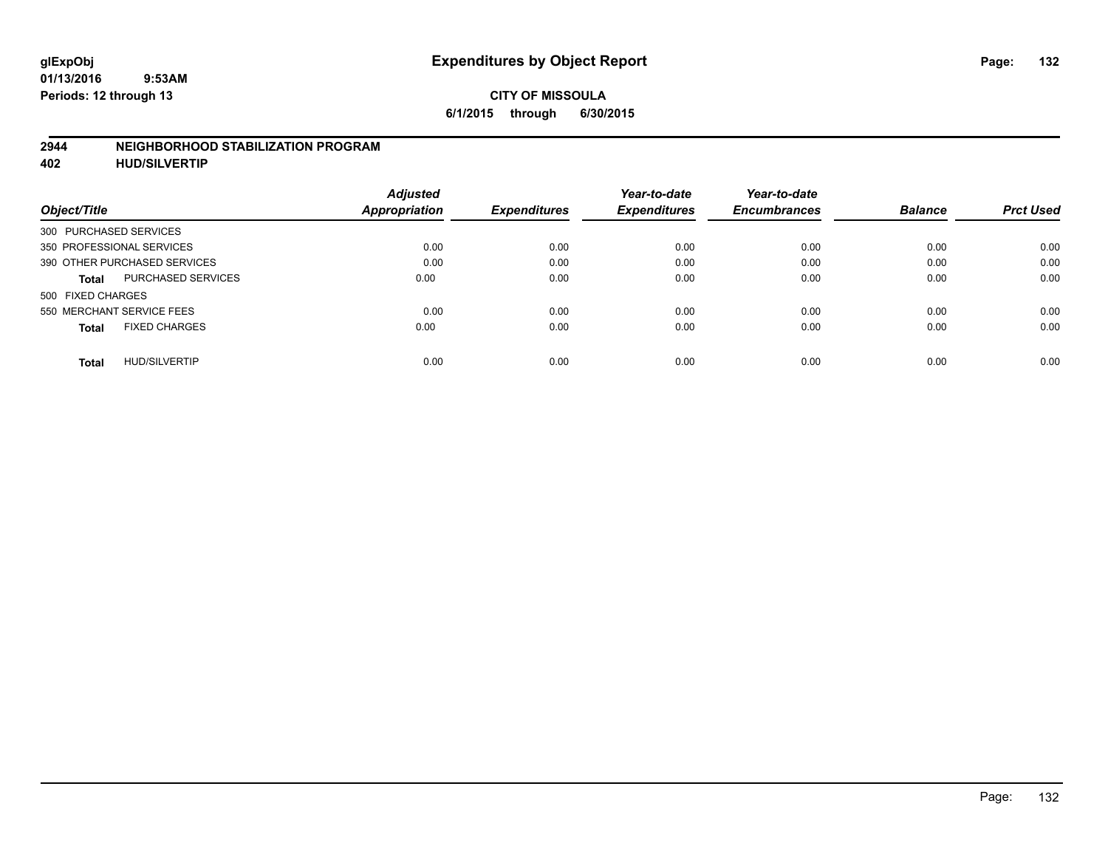### **2944 NEIGHBORHOOD STABILIZATION PROGRAM**

**402 HUD/SILVERTIP**

|                                           | <b>Adjusted</b> |                     | Year-to-date        | Year-to-date        |                |                  |
|-------------------------------------------|-----------------|---------------------|---------------------|---------------------|----------------|------------------|
| Object/Title                              | Appropriation   | <b>Expenditures</b> | <b>Expenditures</b> | <b>Encumbrances</b> | <b>Balance</b> | <b>Prct Used</b> |
| 300 PURCHASED SERVICES                    |                 |                     |                     |                     |                |                  |
| 350 PROFESSIONAL SERVICES                 | 0.00            | 0.00                | 0.00                | 0.00                | 0.00           | 0.00             |
| 390 OTHER PURCHASED SERVICES              | 0.00            | 0.00                | 0.00                | 0.00                | 0.00           | 0.00             |
| <b>PURCHASED SERVICES</b><br><b>Total</b> | 0.00            | 0.00                | 0.00                | 0.00                | 0.00           | 0.00             |
| 500 FIXED CHARGES                         |                 |                     |                     |                     |                |                  |
| 550 MERCHANT SERVICE FEES                 | 0.00            | 0.00                | 0.00                | 0.00                | 0.00           | 0.00             |
| <b>FIXED CHARGES</b><br><b>Total</b>      | 0.00            | 0.00                | 0.00                | 0.00                | 0.00           | 0.00             |
| <b>HUD/SILVERTIP</b><br>Total             | 0.00            | 0.00                | 0.00                | 0.00                | 0.00           | 0.00             |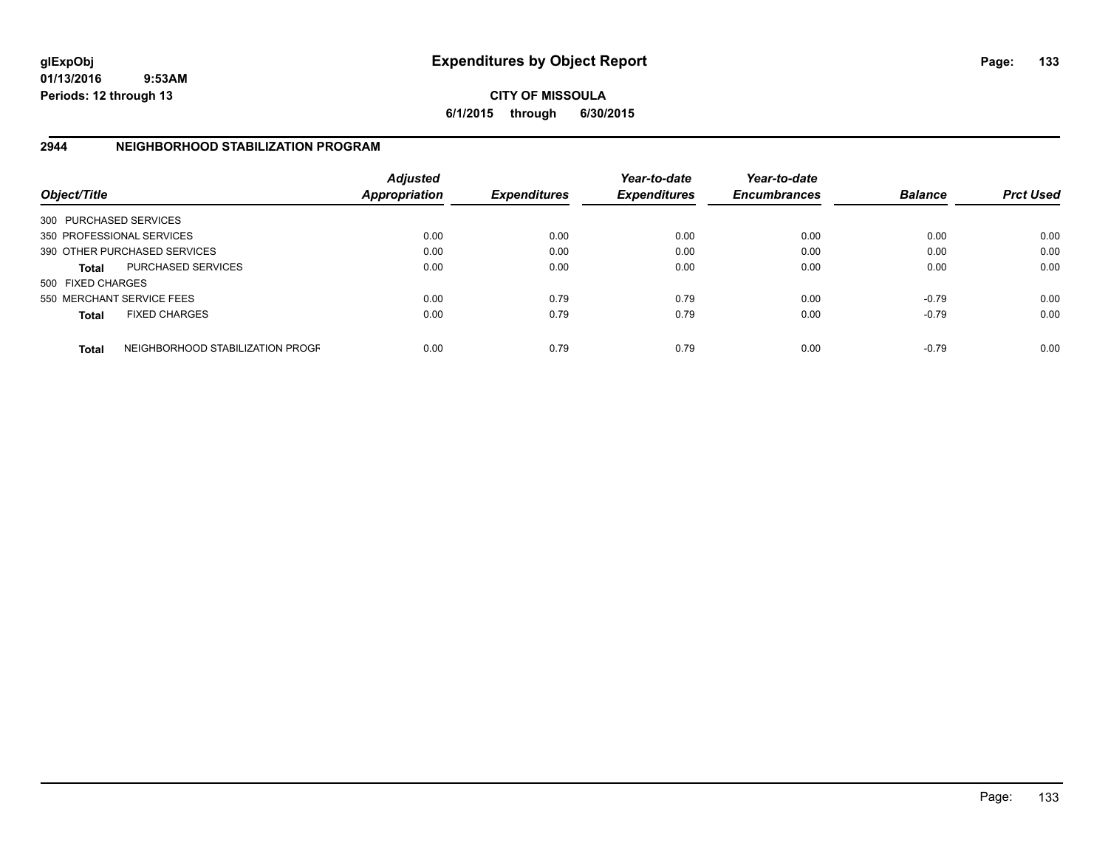**01/13/2016 9:53AM Periods: 12 through 13**

**CITY OF MISSOULA 6/1/2015 through 6/30/2015**

## **2944 NEIGHBORHOOD STABILIZATION PROGRAM**

| Object/Title           |                                  | <b>Adjusted</b><br><b>Appropriation</b> | <b>Expenditures</b> | Year-to-date<br><b>Expenditures</b> | Year-to-date<br><b>Encumbrances</b> | <b>Balance</b> | <b>Prct Used</b> |
|------------------------|----------------------------------|-----------------------------------------|---------------------|-------------------------------------|-------------------------------------|----------------|------------------|
| 300 PURCHASED SERVICES |                                  |                                         |                     |                                     |                                     |                |                  |
|                        | 350 PROFESSIONAL SERVICES        | 0.00                                    | 0.00                | 0.00                                | 0.00                                | 0.00           | 0.00             |
|                        | 390 OTHER PURCHASED SERVICES     | 0.00                                    | 0.00                | 0.00                                | 0.00                                | 0.00           | 0.00             |
| <b>Total</b>           | <b>PURCHASED SERVICES</b>        | 0.00                                    | 0.00                | 0.00                                | 0.00                                | 0.00           | 0.00             |
| 500 FIXED CHARGES      |                                  |                                         |                     |                                     |                                     |                |                  |
|                        | 550 MERCHANT SERVICE FEES        | 0.00                                    | 0.79                | 0.79                                | 0.00                                | $-0.79$        | 0.00             |
| <b>Total</b>           | <b>FIXED CHARGES</b>             | 0.00                                    | 0.79                | 0.79                                | 0.00                                | $-0.79$        | 0.00             |
| <b>Total</b>           | NEIGHBORHOOD STABILIZATION PROGF | 0.00                                    | 0.79                | 0.79                                | 0.00                                | $-0.79$        | 0.00             |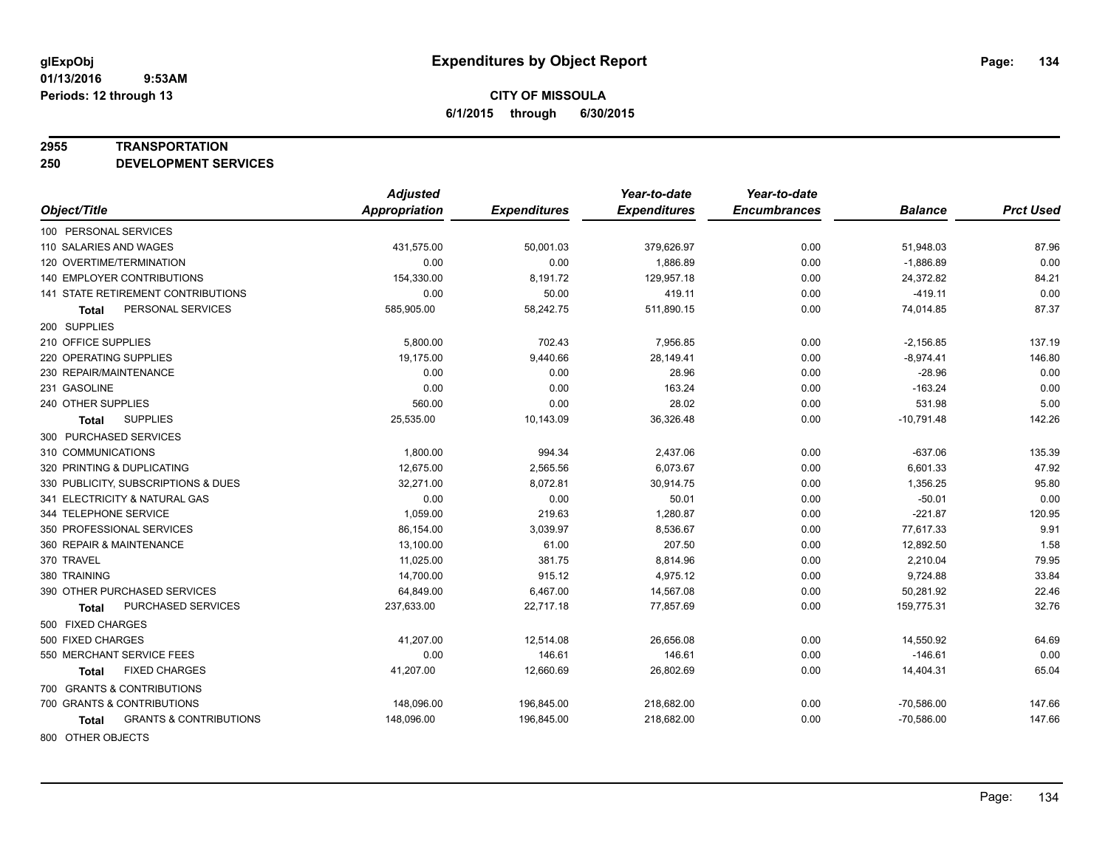### **2955 TRANSPORTATION**

**250 DEVELOPMENT SERVICES**

|                                            | <b>Adjusted</b>      |                     | Year-to-date        | Year-to-date        |                |                  |
|--------------------------------------------|----------------------|---------------------|---------------------|---------------------|----------------|------------------|
| Object/Title                               | <b>Appropriation</b> | <b>Expenditures</b> | <b>Expenditures</b> | <b>Encumbrances</b> | <b>Balance</b> | <b>Prct Used</b> |
| 100 PERSONAL SERVICES                      |                      |                     |                     |                     |                |                  |
| 110 SALARIES AND WAGES                     | 431,575.00           | 50,001.03           | 379,626.97          | 0.00                | 51,948.03      | 87.96            |
| 120 OVERTIME/TERMINATION                   | 0.00                 | 0.00                | 1,886.89            | 0.00                | $-1,886.89$    | 0.00             |
| <b>140 EMPLOYER CONTRIBUTIONS</b>          | 154,330.00           | 8,191.72            | 129,957.18          | 0.00                | 24,372.82      | 84.21            |
| 141 STATE RETIREMENT CONTRIBUTIONS         | 0.00                 | 50.00               | 419.11              | 0.00                | $-419.11$      | 0.00             |
| PERSONAL SERVICES<br><b>Total</b>          | 585,905.00           | 58,242.75           | 511,890.15          | 0.00                | 74,014.85      | 87.37            |
| 200 SUPPLIES                               |                      |                     |                     |                     |                |                  |
| 210 OFFICE SUPPLIES                        | 5,800.00             | 702.43              | 7,956.85            | 0.00                | $-2,156.85$    | 137.19           |
| 220 OPERATING SUPPLIES                     | 19,175.00            | 9,440.66            | 28,149.41           | 0.00                | $-8,974.41$    | 146.80           |
| 230 REPAIR/MAINTENANCE                     | 0.00                 | 0.00                | 28.96               | 0.00                | $-28.96$       | 0.00             |
| 231 GASOLINE                               | 0.00                 | 0.00                | 163.24              | 0.00                | $-163.24$      | 0.00             |
| 240 OTHER SUPPLIES                         | 560.00               | 0.00                | 28.02               | 0.00                | 531.98         | 5.00             |
| <b>SUPPLIES</b><br>Total                   | 25,535.00            | 10,143.09           | 36,326.48           | 0.00                | $-10,791.48$   | 142.26           |
| 300 PURCHASED SERVICES                     |                      |                     |                     |                     |                |                  |
| 310 COMMUNICATIONS                         | 1,800.00             | 994.34              | 2,437.06            | 0.00                | $-637.06$      | 135.39           |
| 320 PRINTING & DUPLICATING                 | 12,675.00            | 2,565.56            | 6,073.67            | 0.00                | 6,601.33       | 47.92            |
| 330 PUBLICITY, SUBSCRIPTIONS & DUES        | 32,271.00            | 8,072.81            | 30,914.75           | 0.00                | 1,356.25       | 95.80            |
| 341 ELECTRICITY & NATURAL GAS              | 0.00                 | 0.00                | 50.01               | 0.00                | $-50.01$       | 0.00             |
| 344 TELEPHONE SERVICE                      | 1,059.00             | 219.63              | 1,280.87            | 0.00                | $-221.87$      | 120.95           |
| 350 PROFESSIONAL SERVICES                  | 86,154.00            | 3,039.97            | 8,536.67            | 0.00                | 77,617.33      | 9.91             |
| 360 REPAIR & MAINTENANCE                   | 13,100.00            | 61.00               | 207.50              | 0.00                | 12,892.50      | 1.58             |
| 370 TRAVEL                                 | 11,025.00            | 381.75              | 8,814.96            | 0.00                | 2,210.04       | 79.95            |
| 380 TRAINING                               | 14,700.00            | 915.12              | 4,975.12            | 0.00                | 9,724.88       | 33.84            |
| 390 OTHER PURCHASED SERVICES               | 64,849.00            | 6,467.00            | 14,567.08           | 0.00                | 50,281.92      | 22.46            |
| PURCHASED SERVICES<br>Total                | 237,633.00           | 22,717.18           | 77,857.69           | 0.00                | 159,775.31     | 32.76            |
| 500 FIXED CHARGES                          |                      |                     |                     |                     |                |                  |
| 500 FIXED CHARGES                          | 41,207.00            | 12,514.08           | 26,656.08           | 0.00                | 14,550.92      | 64.69            |
| 550 MERCHANT SERVICE FEES                  | 0.00                 | 146.61              | 146.61              | 0.00                | $-146.61$      | 0.00             |
| <b>FIXED CHARGES</b><br>Total              | 41,207.00            | 12,660.69           | 26,802.69           | 0.00                | 14,404.31      | 65.04            |
| 700 GRANTS & CONTRIBUTIONS                 |                      |                     |                     |                     |                |                  |
| 700 GRANTS & CONTRIBUTIONS                 | 148,096.00           | 196,845.00          | 218,682.00          | 0.00                | $-70,586.00$   | 147.66           |
| <b>GRANTS &amp; CONTRIBUTIONS</b><br>Total | 148,096.00           | 196,845.00          | 218,682.00          | 0.00                | $-70,586.00$   | 147.66           |
|                                            |                      |                     |                     |                     |                |                  |

800 OTHER OBJECTS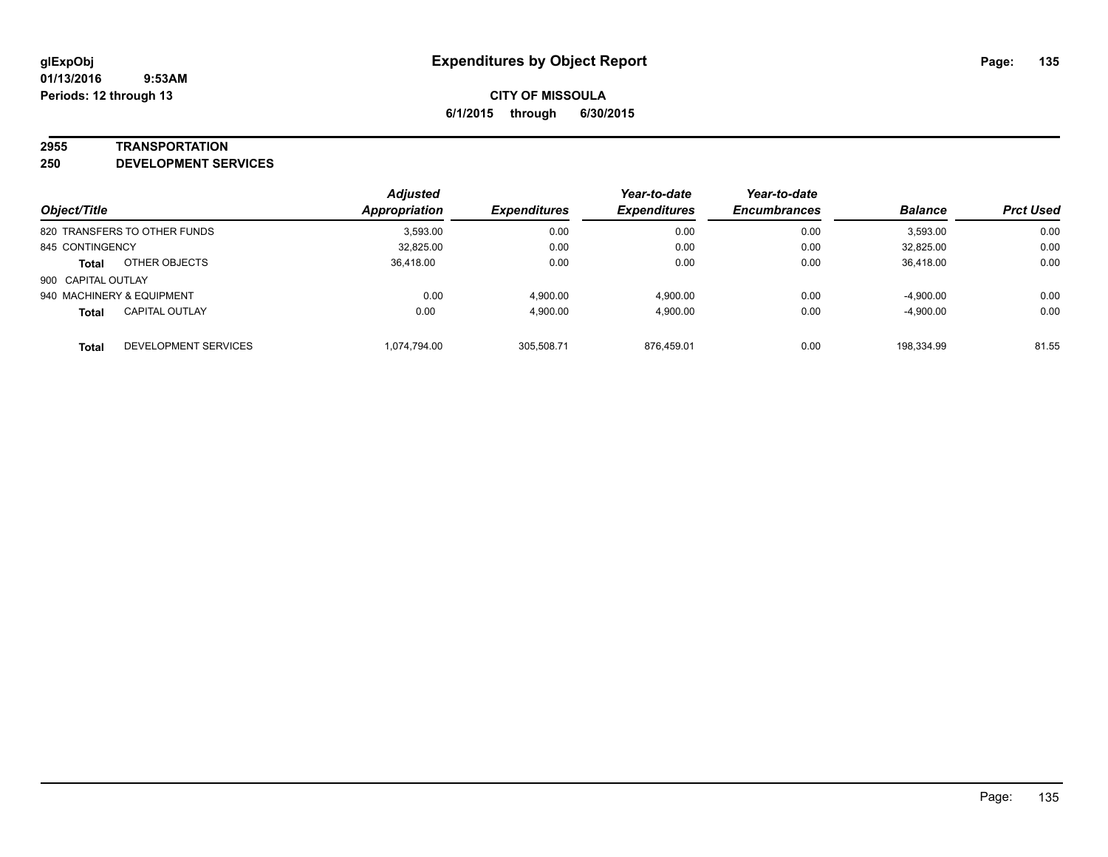### **2955 TRANSPORTATION**

**250 DEVELOPMENT SERVICES**

| Object/Title                          | <b>Adjusted</b><br>Appropriation | <b>Expenditures</b> | Year-to-date<br><b>Expenditures</b> | Year-to-date<br><b>Encumbrances</b> | <b>Balance</b> | <b>Prct Used</b> |
|---------------------------------------|----------------------------------|---------------------|-------------------------------------|-------------------------------------|----------------|------------------|
| 820 TRANSFERS TO OTHER FUNDS          | 3.593.00                         | 0.00                | 0.00                                | 0.00                                | 3,593.00       | 0.00             |
| 845 CONTINGENCY                       | 32,825.00                        | 0.00                | 0.00                                | 0.00                                | 32,825.00      | 0.00             |
| OTHER OBJECTS<br><b>Total</b>         | 36,418.00                        | 0.00                | 0.00                                | 0.00                                | 36,418.00      | 0.00             |
| 900 CAPITAL OUTLAY                    |                                  |                     |                                     |                                     |                |                  |
| 940 MACHINERY & EQUIPMENT             | 0.00                             | 4.900.00            | 4.900.00                            | 0.00                                | $-4,900.00$    | 0.00             |
| <b>CAPITAL OUTLAY</b><br><b>Total</b> | 0.00                             | 4.900.00            | 4.900.00                            | 0.00                                | $-4,900.00$    | 0.00             |
| DEVELOPMENT SERVICES<br><b>Total</b>  | 1.074.794.00                     | 305.508.71          | 876.459.01                          | 0.00                                | 198.334.99     | 81.55            |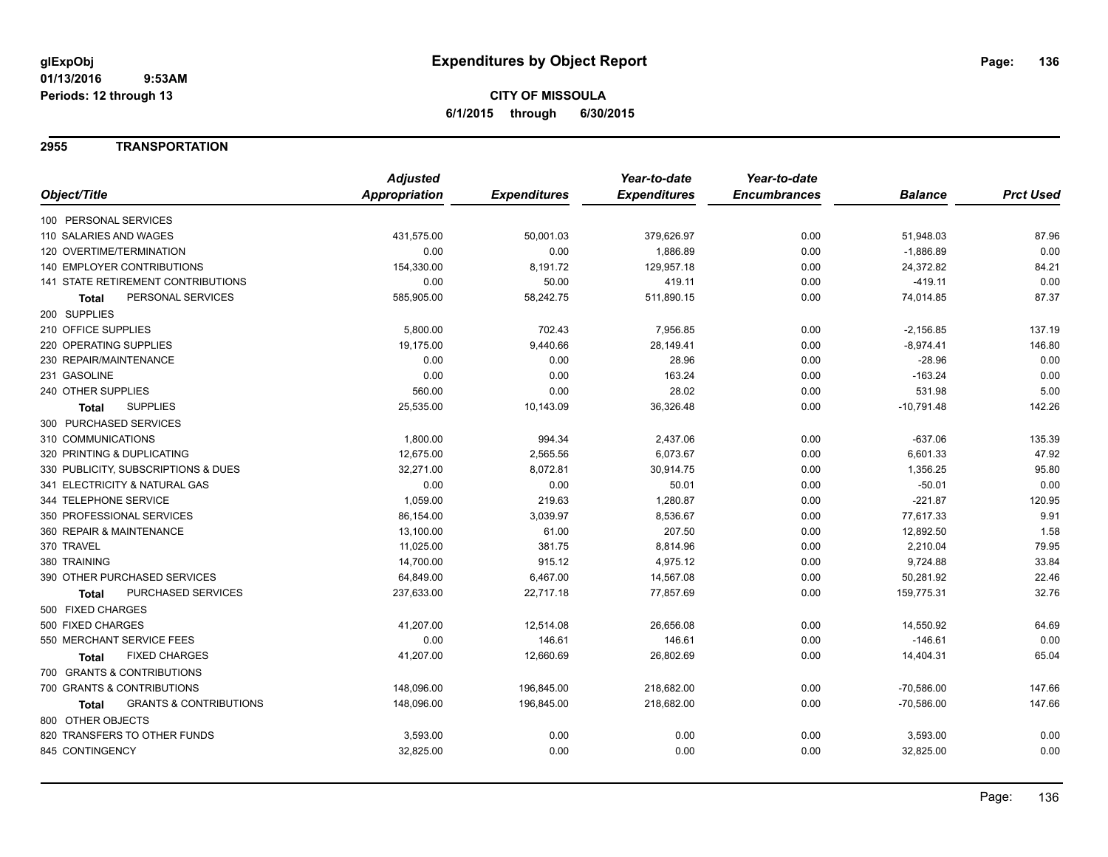## **2955 TRANSPORTATION**

|                                            | <b>Adjusted</b> |                     | Year-to-date        | Year-to-date        |                |                  |
|--------------------------------------------|-----------------|---------------------|---------------------|---------------------|----------------|------------------|
| Object/Title                               | Appropriation   | <b>Expenditures</b> | <b>Expenditures</b> | <b>Encumbrances</b> | <b>Balance</b> | <b>Prct Used</b> |
| 100 PERSONAL SERVICES                      |                 |                     |                     |                     |                |                  |
| 110 SALARIES AND WAGES                     | 431,575.00      | 50,001.03           | 379,626.97          | 0.00                | 51,948.03      | 87.96            |
| 120 OVERTIME/TERMINATION                   | 0.00            | 0.00                | 1,886.89            | 0.00                | $-1,886.89$    | 0.00             |
| 140 EMPLOYER CONTRIBUTIONS                 | 154,330.00      | 8,191.72            | 129,957.18          | 0.00                | 24,372.82      | 84.21            |
| 141 STATE RETIREMENT CONTRIBUTIONS         | 0.00            | 50.00               | 419.11              | 0.00                | $-419.11$      | 0.00             |
| PERSONAL SERVICES<br><b>Total</b>          | 585,905.00      | 58,242.75           | 511,890.15          | 0.00                | 74,014.85      | 87.37            |
| 200 SUPPLIES                               |                 |                     |                     |                     |                |                  |
| 210 OFFICE SUPPLIES                        | 5,800.00        | 702.43              | 7,956.85            | 0.00                | $-2,156.85$    | 137.19           |
| 220 OPERATING SUPPLIES                     | 19,175.00       | 9,440.66            | 28,149.41           | 0.00                | $-8,974.41$    | 146.80           |
| 230 REPAIR/MAINTENANCE                     | 0.00            | 0.00                | 28.96               | 0.00                | $-28.96$       | 0.00             |
| 231 GASOLINE                               | 0.00            | 0.00                | 163.24              | 0.00                | $-163.24$      | 0.00             |
| 240 OTHER SUPPLIES                         | 560.00          | 0.00                | 28.02               | 0.00                | 531.98         | 5.00             |
| <b>SUPPLIES</b><br>Total                   | 25,535.00       | 10,143.09           | 36,326.48           | 0.00                | $-10,791.48$   | 142.26           |
| 300 PURCHASED SERVICES                     |                 |                     |                     |                     |                |                  |
| 310 COMMUNICATIONS                         | 1,800.00        | 994.34              | 2,437.06            | 0.00                | $-637.06$      | 135.39           |
| 320 PRINTING & DUPLICATING                 | 12,675.00       | 2,565.56            | 6,073.67            | 0.00                | 6,601.33       | 47.92            |
| 330 PUBLICITY, SUBSCRIPTIONS & DUES        | 32,271.00       | 8,072.81            | 30,914.75           | 0.00                | 1,356.25       | 95.80            |
| 341 ELECTRICITY & NATURAL GAS              | 0.00            | 0.00                | 50.01               | 0.00                | $-50.01$       | 0.00             |
| 344 TELEPHONE SERVICE                      | 1,059.00        | 219.63              | 1,280.87            | 0.00                | $-221.87$      | 120.95           |
| 350 PROFESSIONAL SERVICES                  | 86,154.00       | 3,039.97            | 8,536.67            | 0.00                | 77,617.33      | 9.91             |
| 360 REPAIR & MAINTENANCE                   | 13,100.00       | 61.00               | 207.50              | 0.00                | 12,892.50      | 1.58             |
| 370 TRAVEL                                 | 11,025.00       | 381.75              | 8,814.96            | 0.00                | 2,210.04       | 79.95            |
| 380 TRAINING                               | 14,700.00       | 915.12              | 4,975.12            | 0.00                | 9,724.88       | 33.84            |
| 390 OTHER PURCHASED SERVICES               | 64,849.00       | 6,467.00            | 14,567.08           | 0.00                | 50,281.92      | 22.46            |
| PURCHASED SERVICES<br><b>Total</b>         | 237,633.00      | 22,717.18           | 77,857.69           | 0.00                | 159,775.31     | 32.76            |
| 500 FIXED CHARGES                          |                 |                     |                     |                     |                |                  |
| 500 FIXED CHARGES                          | 41,207.00       | 12,514.08           | 26,656.08           | 0.00                | 14,550.92      | 64.69            |
| 550 MERCHANT SERVICE FEES                  | 0.00            | 146.61              | 146.61              | 0.00                | $-146.61$      | 0.00             |
| <b>FIXED CHARGES</b><br>Total              | 41,207.00       | 12,660.69           | 26,802.69           | 0.00                | 14,404.31      | 65.04            |
| 700 GRANTS & CONTRIBUTIONS                 |                 |                     |                     |                     |                |                  |
| 700 GRANTS & CONTRIBUTIONS                 | 148,096.00      | 196,845.00          | 218,682.00          | 0.00                | $-70,586.00$   | 147.66           |
| <b>GRANTS &amp; CONTRIBUTIONS</b><br>Total | 148,096.00      | 196,845.00          | 218,682.00          | 0.00                | $-70,586.00$   | 147.66           |
| 800 OTHER OBJECTS                          |                 |                     |                     |                     |                |                  |
| 820 TRANSFERS TO OTHER FUNDS               | 3,593.00        | 0.00                | 0.00                | 0.00                | 3,593.00       | 0.00             |
| 845 CONTINGENCY                            | 32,825.00       | 0.00                | 0.00                | 0.00                | 32,825.00      | 0.00             |
|                                            |                 |                     |                     |                     |                |                  |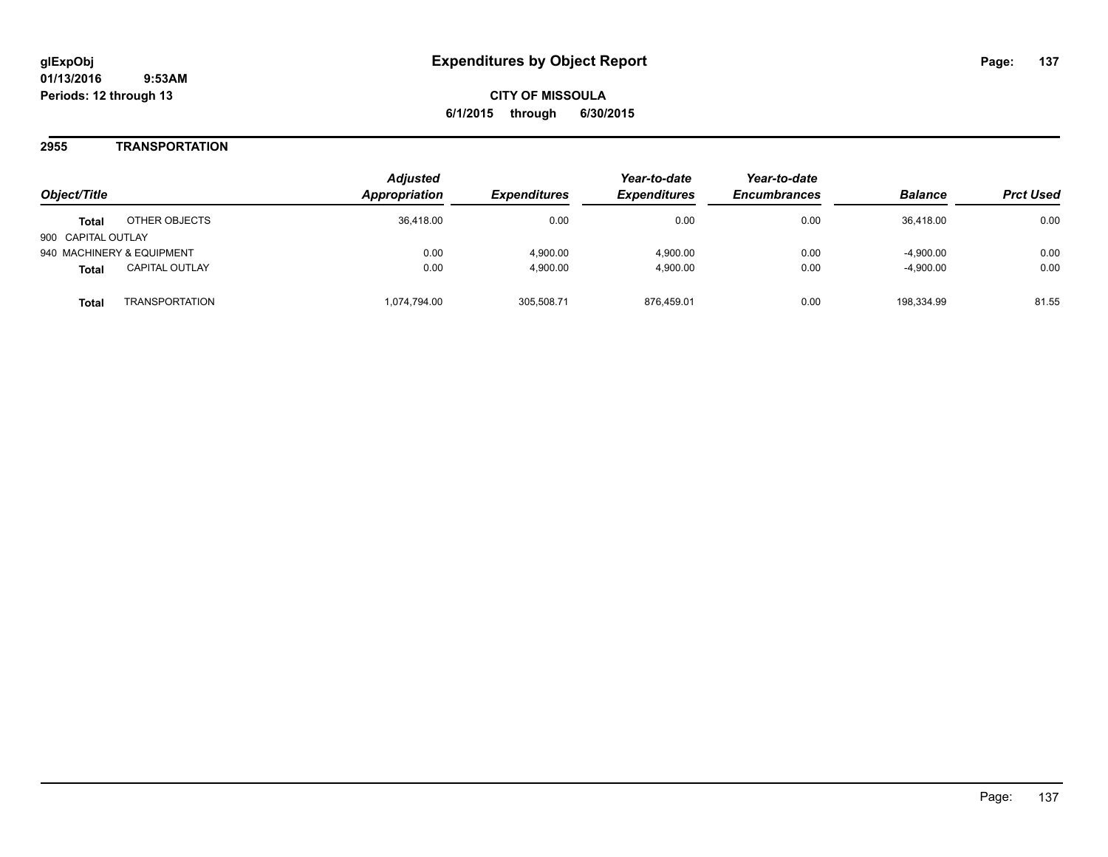## **2955 TRANSPORTATION**

| Obiect/Title                          | <b>Adjusted</b><br><b>Appropriation</b> | <i><b>Expenditures</b></i> | Year-to-date<br><b>Expenditures</b> | Year-to-date<br><b>Encumbrances</b> | <b>Balance</b> | <b>Prct Used</b> |
|---------------------------------------|-----------------------------------------|----------------------------|-------------------------------------|-------------------------------------|----------------|------------------|
| OTHER OBJECTS<br><b>Total</b>         | 36.418.00                               | 0.00                       | 0.00                                | 0.00                                | 36,418.00      | 0.00             |
| 900 CAPITAL OUTLAY                    |                                         |                            |                                     |                                     |                |                  |
| 940 MACHINERY & EQUIPMENT             | 0.00                                    | 4.900.00                   | 4.900.00                            | 0.00                                | $-4.900.00$    | 0.00             |
| <b>CAPITAL OUTLAY</b><br><b>Total</b> | 0.00                                    | 4,900.00                   | 4.900.00                            | 0.00                                | $-4,900.00$    | 0.00             |
| TRANSPORTATION<br>Total               | 1.074.794.00                            | 305.508.71                 | 876.459.01                          | 0.00                                | 198.334.99     | 81.55            |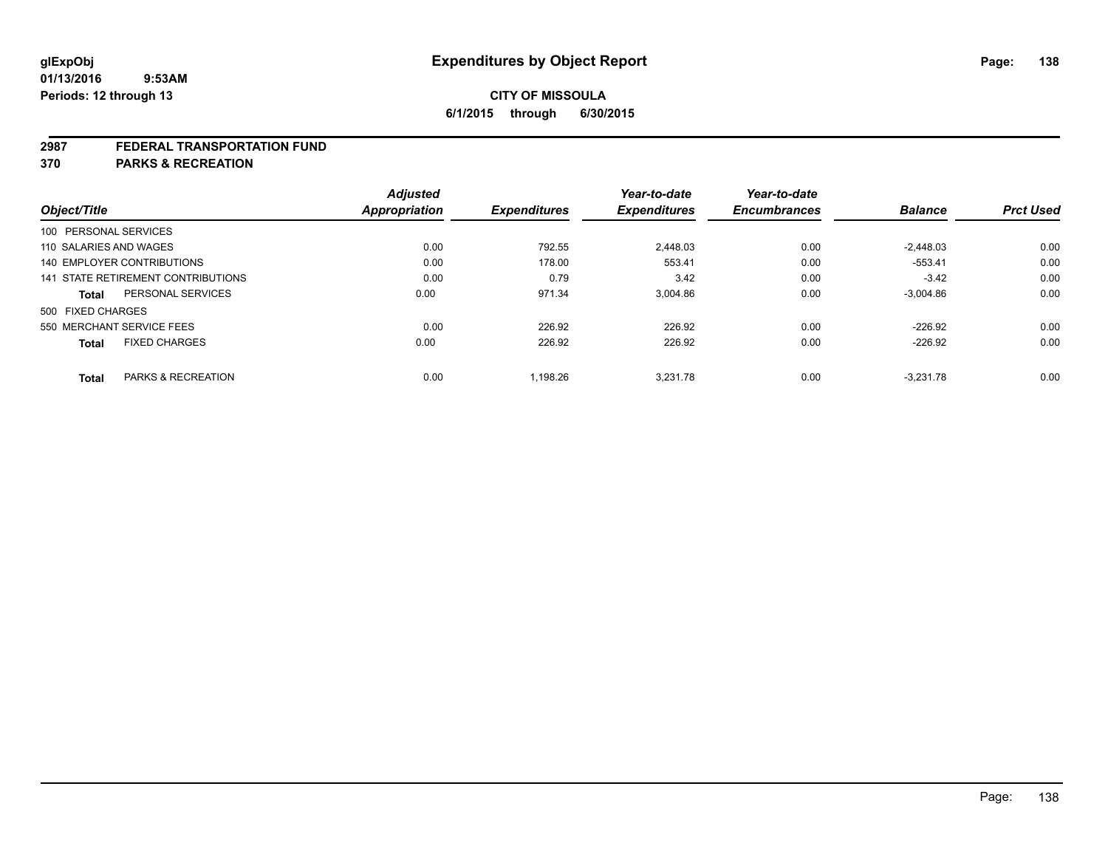### **2987 FEDERAL TRANSPORTATION FUND**

**370 PARKS & RECREATION**

| Object/Title           |                                    | <b>Adjusted</b><br><b>Appropriation</b> | <b>Expenditures</b> | Year-to-date<br><b>Expenditures</b> | Year-to-date<br><b>Encumbrances</b> | <b>Balance</b> | <b>Prct Used</b> |
|------------------------|------------------------------------|-----------------------------------------|---------------------|-------------------------------------|-------------------------------------|----------------|------------------|
| 100 PERSONAL SERVICES  |                                    |                                         |                     |                                     |                                     |                |                  |
| 110 SALARIES AND WAGES |                                    | 0.00                                    | 792.55              | 2.448.03                            | 0.00                                | $-2.448.03$    | 0.00             |
|                        | 140 EMPLOYER CONTRIBUTIONS         | 0.00                                    | 178.00              | 553.41                              | 0.00                                | $-553.41$      | 0.00             |
|                        | 141 STATE RETIREMENT CONTRIBUTIONS | 0.00                                    | 0.79                | 3.42                                | 0.00                                | $-3.42$        | 0.00             |
| <b>Total</b>           | PERSONAL SERVICES                  | 0.00                                    | 971.34              | 3.004.86                            | 0.00                                | $-3.004.86$    | 0.00             |
| 500 FIXED CHARGES      |                                    |                                         |                     |                                     |                                     |                |                  |
|                        | 550 MERCHANT SERVICE FEES          | 0.00                                    | 226.92              | 226.92                              | 0.00                                | $-226.92$      | 0.00             |
| <b>Total</b>           | <b>FIXED CHARGES</b>               | 0.00                                    | 226.92              | 226.92                              | 0.00                                | $-226.92$      | 0.00             |
| <b>Total</b>           | PARKS & RECREATION                 | 0.00                                    | 1.198.26            | 3.231.78                            | 0.00                                | $-3.231.78$    | 0.00             |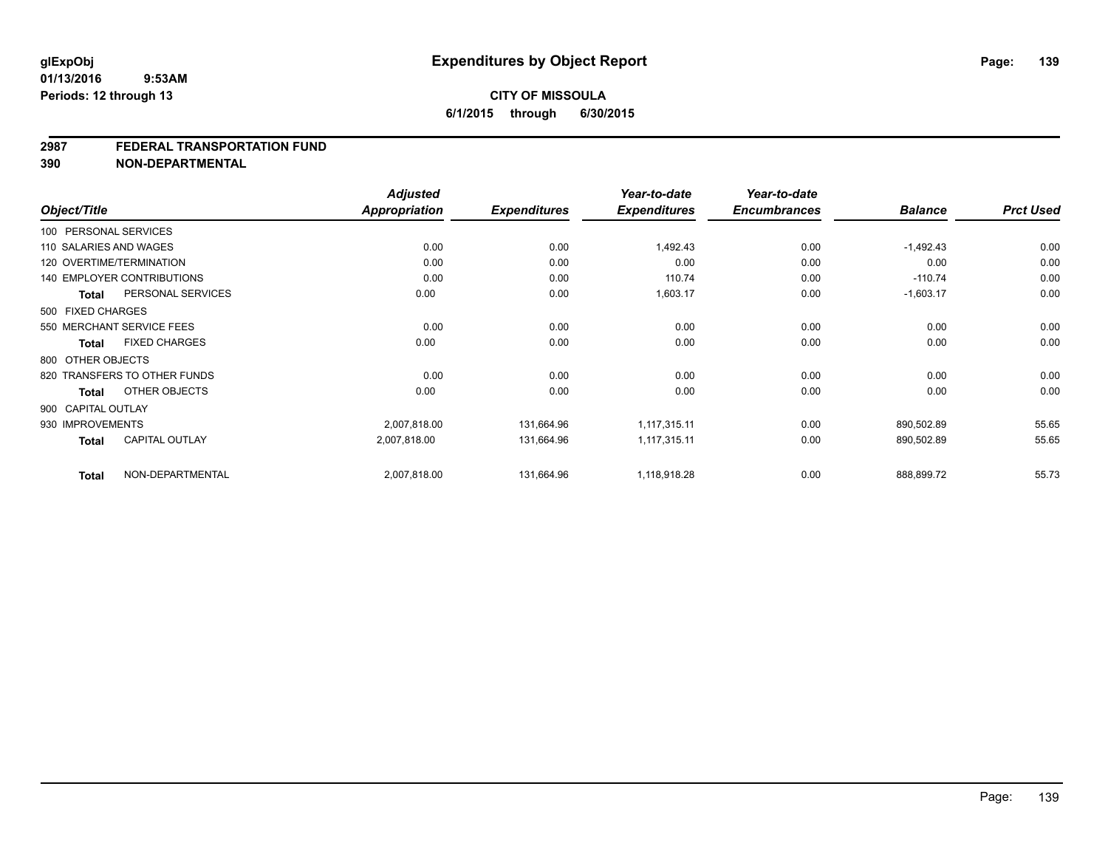### **2987 FEDERAL TRANSPORTATION FUND**

**390 NON-DEPARTMENTAL**

| Object/Title           |                                   | <b>Adjusted</b><br>Appropriation | <b>Expenditures</b> | Year-to-date<br><b>Expenditures</b> | Year-to-date<br><b>Encumbrances</b> | <b>Balance</b> | <b>Prct Used</b> |
|------------------------|-----------------------------------|----------------------------------|---------------------|-------------------------------------|-------------------------------------|----------------|------------------|
| 100 PERSONAL SERVICES  |                                   |                                  |                     |                                     |                                     |                |                  |
| 110 SALARIES AND WAGES |                                   | 0.00                             | 0.00                | 1,492.43                            | 0.00                                | $-1,492.43$    | 0.00             |
|                        | 120 OVERTIME/TERMINATION          | 0.00                             | 0.00                | 0.00                                | 0.00                                | 0.00           | 0.00             |
|                        | <b>140 EMPLOYER CONTRIBUTIONS</b> | 0.00                             | 0.00                | 110.74                              | 0.00                                | $-110.74$      | 0.00             |
| <b>Total</b>           | PERSONAL SERVICES                 | 0.00                             | 0.00                | 1,603.17                            | 0.00                                | $-1,603.17$    | 0.00             |
| 500 FIXED CHARGES      |                                   |                                  |                     |                                     |                                     |                |                  |
|                        | 550 MERCHANT SERVICE FEES         | 0.00                             | 0.00                | 0.00                                | 0.00                                | 0.00           | 0.00             |
| Total                  | <b>FIXED CHARGES</b>              | 0.00                             | 0.00                | 0.00                                | 0.00                                | 0.00           | 0.00             |
| 800 OTHER OBJECTS      |                                   |                                  |                     |                                     |                                     |                |                  |
|                        | 820 TRANSFERS TO OTHER FUNDS      | 0.00                             | 0.00                | 0.00                                | 0.00                                | 0.00           | 0.00             |
| <b>Total</b>           | OTHER OBJECTS                     | 0.00                             | 0.00                | 0.00                                | 0.00                                | 0.00           | 0.00             |
| 900 CAPITAL OUTLAY     |                                   |                                  |                     |                                     |                                     |                |                  |
| 930 IMPROVEMENTS       |                                   | 2,007,818.00                     | 131,664.96          | 1,117,315.11                        | 0.00                                | 890.502.89     | 55.65            |
| <b>Total</b>           | <b>CAPITAL OUTLAY</b>             | 2,007,818.00                     | 131,664.96          | 1,117,315.11                        | 0.00                                | 890,502.89     | 55.65            |
| <b>Total</b>           | NON-DEPARTMENTAL                  | 2,007,818.00                     | 131,664.96          | 1,118,918.28                        | 0.00                                | 888,899.72     | 55.73            |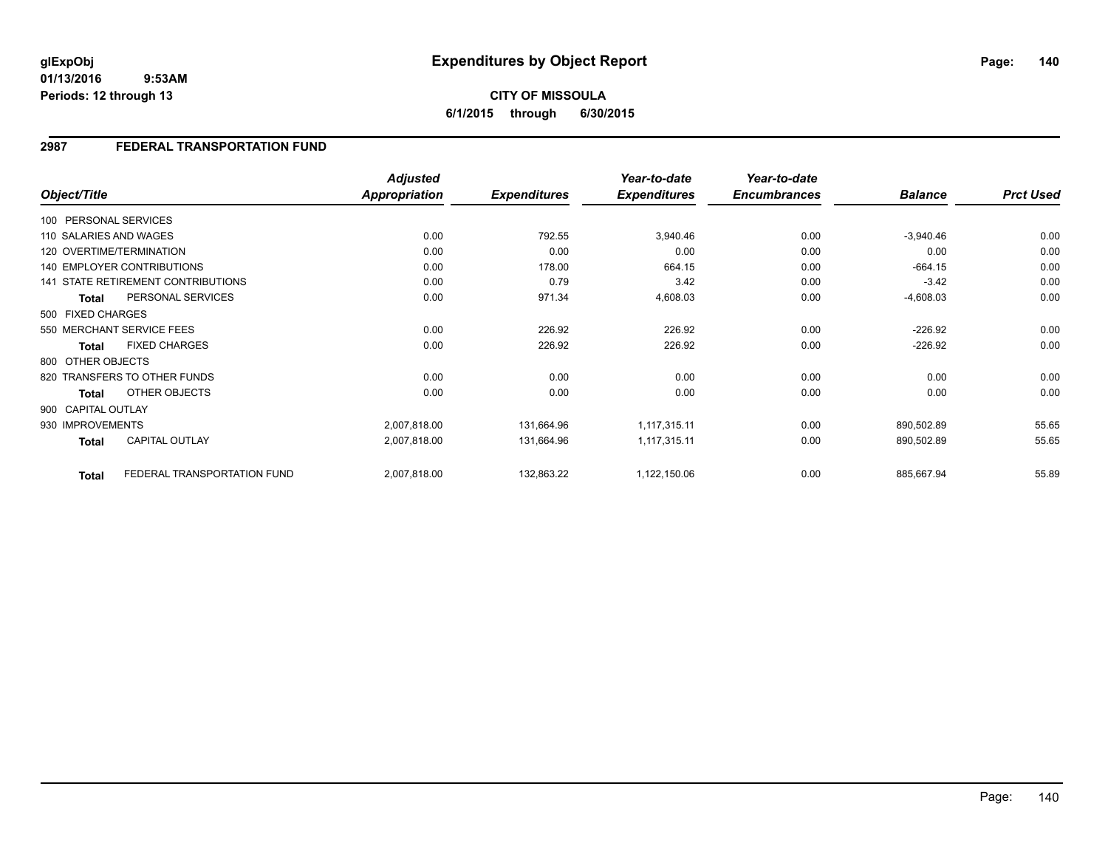**01/13/2016 9:53AM Periods: 12 through 13**

**CITY OF MISSOULA 6/1/2015 through 6/30/2015**

## **2987 FEDERAL TRANSPORTATION FUND**

|                        |                                    | <b>Adjusted</b> |                     | Year-to-date        | Year-to-date        |                |                  |
|------------------------|------------------------------------|-----------------|---------------------|---------------------|---------------------|----------------|------------------|
| Object/Title           |                                    | Appropriation   | <b>Expenditures</b> | <b>Expenditures</b> | <b>Encumbrances</b> | <b>Balance</b> | <b>Prct Used</b> |
| 100 PERSONAL SERVICES  |                                    |                 |                     |                     |                     |                |                  |
| 110 SALARIES AND WAGES |                                    | 0.00            | 792.55              | 3,940.46            | 0.00                | $-3,940.46$    | 0.00             |
|                        | 120 OVERTIME/TERMINATION           | 0.00            | 0.00                | 0.00                | 0.00                | 0.00           | 0.00             |
|                        | <b>140 EMPLOYER CONTRIBUTIONS</b>  | 0.00            | 178.00              | 664.15              | 0.00                | $-664.15$      | 0.00             |
|                        | 141 STATE RETIREMENT CONTRIBUTIONS | 0.00            | 0.79                | 3.42                | 0.00                | $-3.42$        | 0.00             |
| <b>Total</b>           | PERSONAL SERVICES                  | 0.00            | 971.34              | 4,608.03            | 0.00                | $-4,608.03$    | 0.00             |
| 500 FIXED CHARGES      |                                    |                 |                     |                     |                     |                |                  |
|                        | 550 MERCHANT SERVICE FEES          | 0.00            | 226.92              | 226.92              | 0.00                | $-226.92$      | 0.00             |
| <b>Total</b>           | <b>FIXED CHARGES</b>               | 0.00            | 226.92              | 226.92              | 0.00                | $-226.92$      | 0.00             |
| 800 OTHER OBJECTS      |                                    |                 |                     |                     |                     |                |                  |
|                        | 820 TRANSFERS TO OTHER FUNDS       | 0.00            | 0.00                | 0.00                | 0.00                | 0.00           | 0.00             |
| <b>Total</b>           | OTHER OBJECTS                      | 0.00            | 0.00                | 0.00                | 0.00                | 0.00           | 0.00             |
| 900 CAPITAL OUTLAY     |                                    |                 |                     |                     |                     |                |                  |
| 930 IMPROVEMENTS       |                                    | 2,007,818.00    | 131,664.96          | 1,117,315.11        | 0.00                | 890,502.89     | 55.65            |
| <b>Total</b>           | <b>CAPITAL OUTLAY</b>              | 2,007,818.00    | 131,664.96          | 1,117,315.11        | 0.00                | 890,502.89     | 55.65            |
| <b>Total</b>           | FEDERAL TRANSPORTATION FUND        | 2,007,818.00    | 132,863.22          | 1,122,150.06        | 0.00                | 885,667.94     | 55.89            |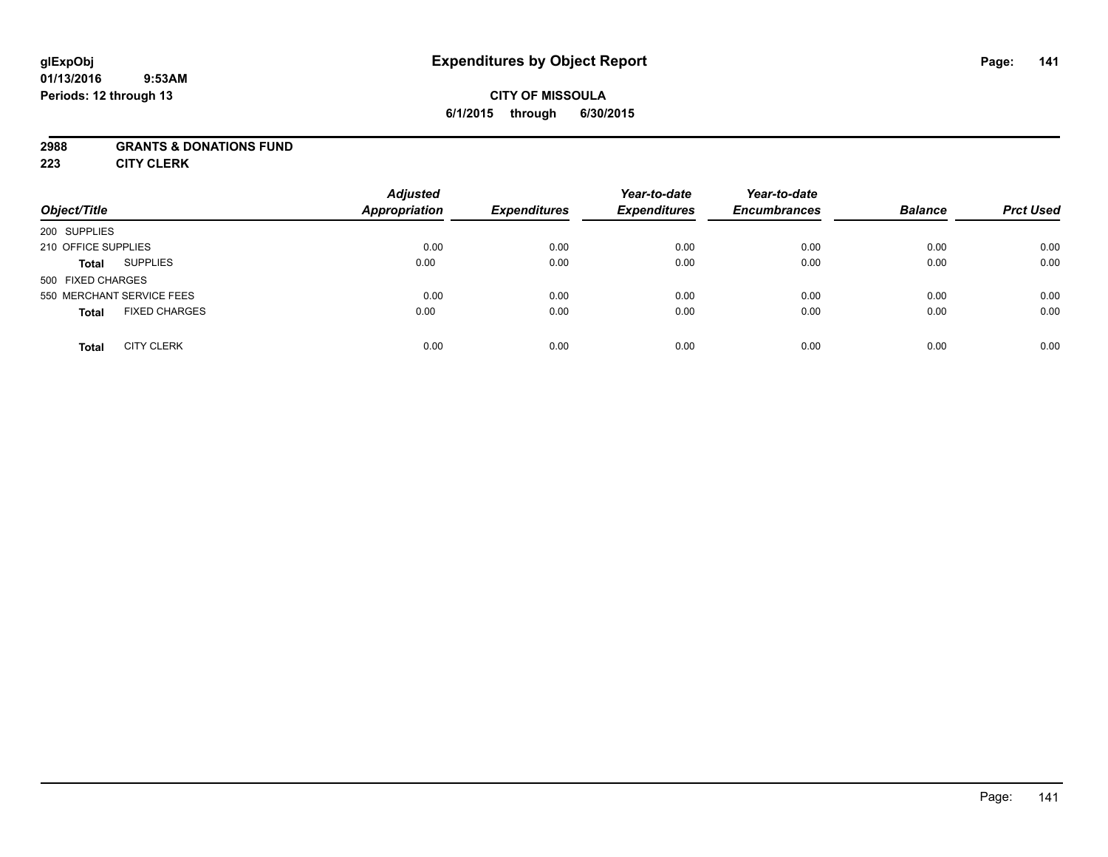### **01/13/2016 9:53AM Periods: 12 through 13**

# **CITY OF MISSOULA 6/1/2015 through 6/30/2015**

## **2988 GRANTS & DONATIONS FUND**

**223 CITY CLERK**

| Object/Title                         | <b>Adjusted</b><br><b>Appropriation</b> | <b>Expenditures</b> | Year-to-date<br><b>Expenditures</b> | Year-to-date<br><b>Encumbrances</b> | <b>Balance</b> | <b>Prct Used</b> |
|--------------------------------------|-----------------------------------------|---------------------|-------------------------------------|-------------------------------------|----------------|------------------|
| 200 SUPPLIES                         |                                         |                     |                                     |                                     |                |                  |
| 210 OFFICE SUPPLIES                  | 0.00                                    | 0.00                | 0.00                                | 0.00                                | 0.00           | 0.00             |
| <b>SUPPLIES</b><br><b>Total</b>      | 0.00                                    | 0.00                | 0.00                                | 0.00                                | 0.00           | 0.00             |
| 500 FIXED CHARGES                    |                                         |                     |                                     |                                     |                |                  |
| 550 MERCHANT SERVICE FEES            | 0.00                                    | 0.00                | 0.00                                | 0.00                                | 0.00           | 0.00             |
| <b>FIXED CHARGES</b><br><b>Total</b> | 0.00                                    | 0.00                | 0.00                                | 0.00                                | 0.00           | 0.00             |
| <b>CITY CLERK</b><br><b>Total</b>    | 0.00                                    | 0.00                | 0.00                                | 0.00                                | 0.00           | 0.00             |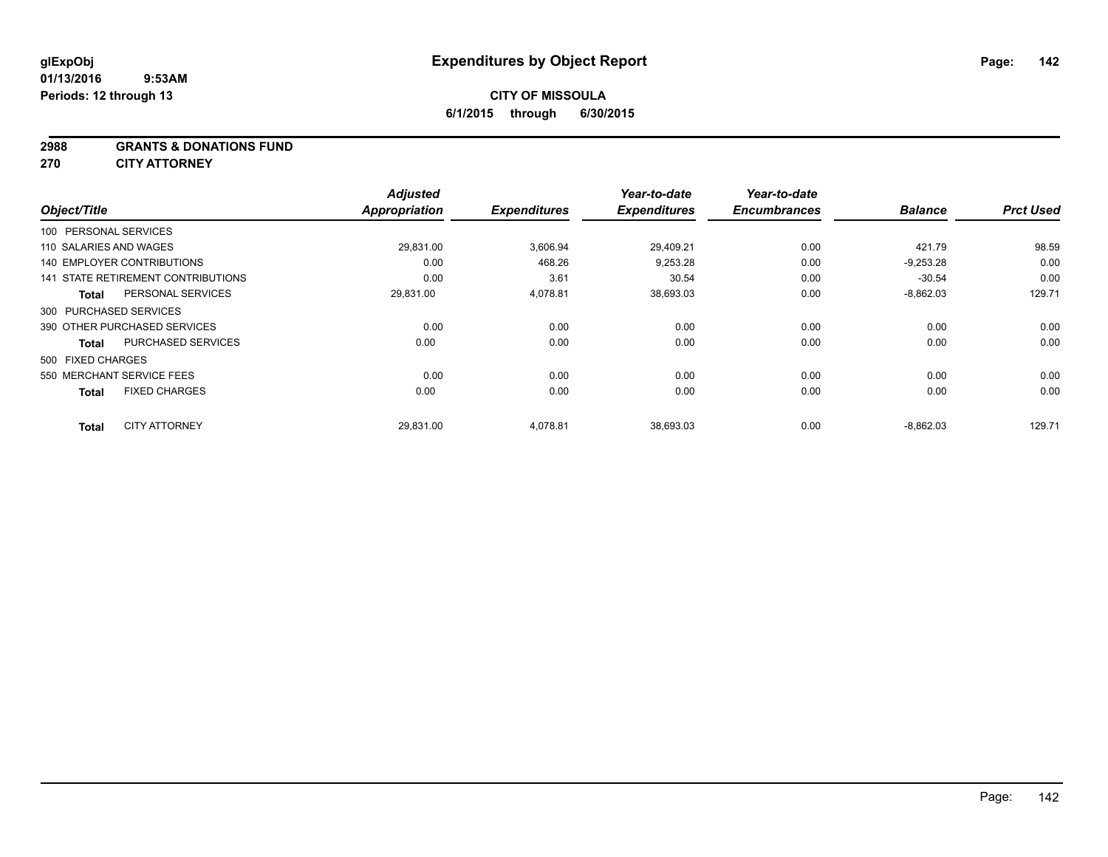### **2988 GRANTS & DONATIONS FUND**

**270 CITY ATTORNEY**

| Object/Title                              | <b>Adjusted</b><br><b>Appropriation</b> | <b>Expenditures</b> | Year-to-date<br><b>Expenditures</b> | Year-to-date<br><b>Encumbrances</b> | <b>Balance</b> | <b>Prct Used</b> |
|-------------------------------------------|-----------------------------------------|---------------------|-------------------------------------|-------------------------------------|----------------|------------------|
|                                           |                                         |                     |                                     |                                     |                |                  |
| 100 PERSONAL SERVICES                     |                                         |                     |                                     |                                     |                |                  |
| 110 SALARIES AND WAGES                    | 29,831.00                               | 3,606.94            | 29,409.21                           | 0.00                                | 421.79         | 98.59            |
| 140 EMPLOYER CONTRIBUTIONS                | 0.00                                    | 468.26              | 9,253.28                            | 0.00                                | $-9,253.28$    | 0.00             |
| 141 STATE RETIREMENT CONTRIBUTIONS        | 0.00                                    | 3.61                | 30.54                               | 0.00                                | $-30.54$       | 0.00             |
| PERSONAL SERVICES<br><b>Total</b>         | 29,831.00                               | 4,078.81            | 38,693.03                           | 0.00                                | $-8,862.03$    | 129.71           |
| 300 PURCHASED SERVICES                    |                                         |                     |                                     |                                     |                |                  |
| 390 OTHER PURCHASED SERVICES              | 0.00                                    | 0.00                | 0.00                                | 0.00                                | 0.00           | 0.00             |
| <b>PURCHASED SERVICES</b><br><b>Total</b> | 0.00                                    | 0.00                | 0.00                                | 0.00                                | 0.00           | 0.00             |
| 500 FIXED CHARGES                         |                                         |                     |                                     |                                     |                |                  |
| 550 MERCHANT SERVICE FEES                 | 0.00                                    | 0.00                | 0.00                                | 0.00                                | 0.00           | 0.00             |
| <b>FIXED CHARGES</b><br><b>Total</b>      | 0.00                                    | 0.00                | 0.00                                | 0.00                                | 0.00           | 0.00             |
| <b>CITY ATTORNEY</b><br><b>Total</b>      | 29,831.00                               | 4,078.81            | 38,693.03                           | 0.00                                | $-8,862.03$    | 129.71           |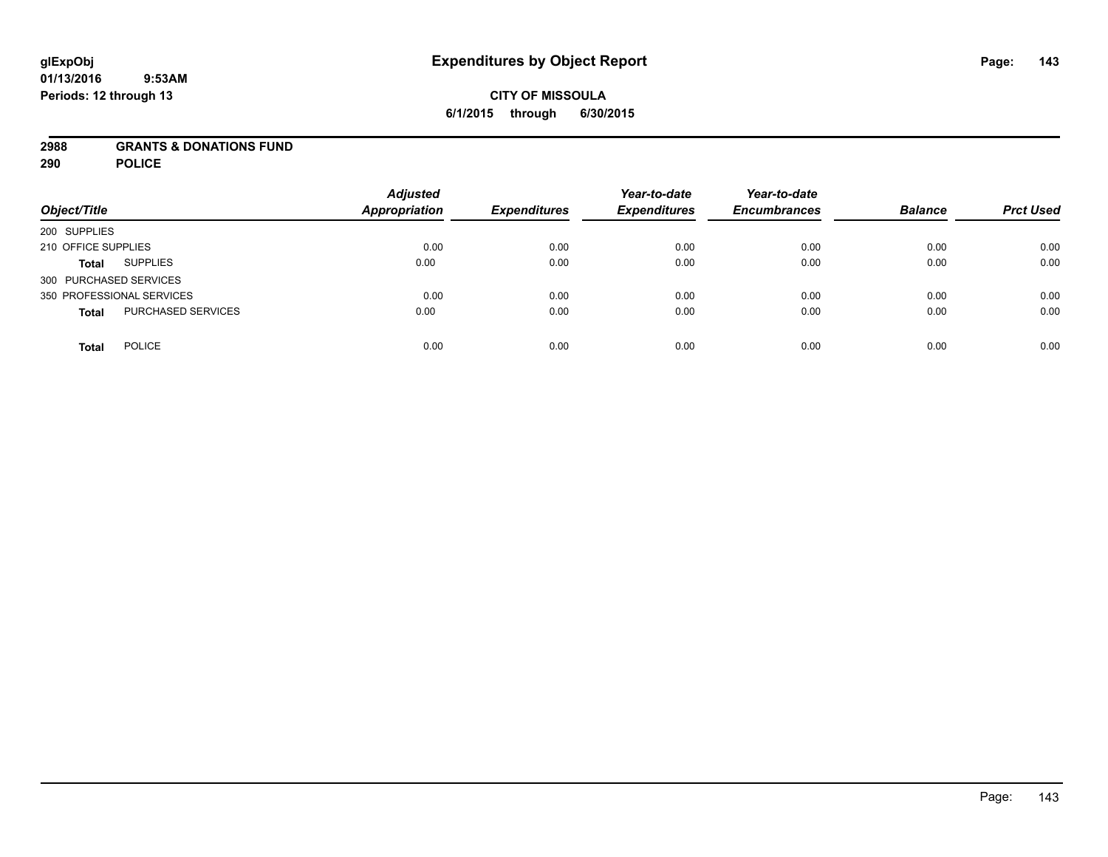### **01/13/2016 9:53AM Periods: 12 through 13**

# **CITY OF MISSOULA 6/1/2015 through 6/30/2015**

## **2988 GRANTS & DONATIONS FUND**

**290 POLICE**

| Object/Title                       | <b>Adjusted</b><br><b>Appropriation</b> | <b>Expenditures</b> | Year-to-date<br><b>Expenditures</b> | Year-to-date<br><b>Encumbrances</b> | <b>Balance</b> | <b>Prct Used</b> |
|------------------------------------|-----------------------------------------|---------------------|-------------------------------------|-------------------------------------|----------------|------------------|
| 200 SUPPLIES                       |                                         |                     |                                     |                                     |                |                  |
| 210 OFFICE SUPPLIES                | 0.00                                    | 0.00                | 0.00                                | 0.00                                | 0.00           | 0.00             |
| <b>SUPPLIES</b><br><b>Total</b>    | 0.00                                    | 0.00                | 0.00                                | 0.00                                | 0.00           | 0.00             |
| 300 PURCHASED SERVICES             |                                         |                     |                                     |                                     |                |                  |
| 350 PROFESSIONAL SERVICES          | 0.00                                    | 0.00                | 0.00                                | 0.00                                | 0.00           | 0.00             |
| PURCHASED SERVICES<br><b>Total</b> | 0.00                                    | 0.00                | 0.00                                | 0.00                                | 0.00           | 0.00             |
| <b>POLICE</b><br><b>Total</b>      | 0.00                                    | 0.00                | 0.00                                | 0.00                                | 0.00           | 0.00             |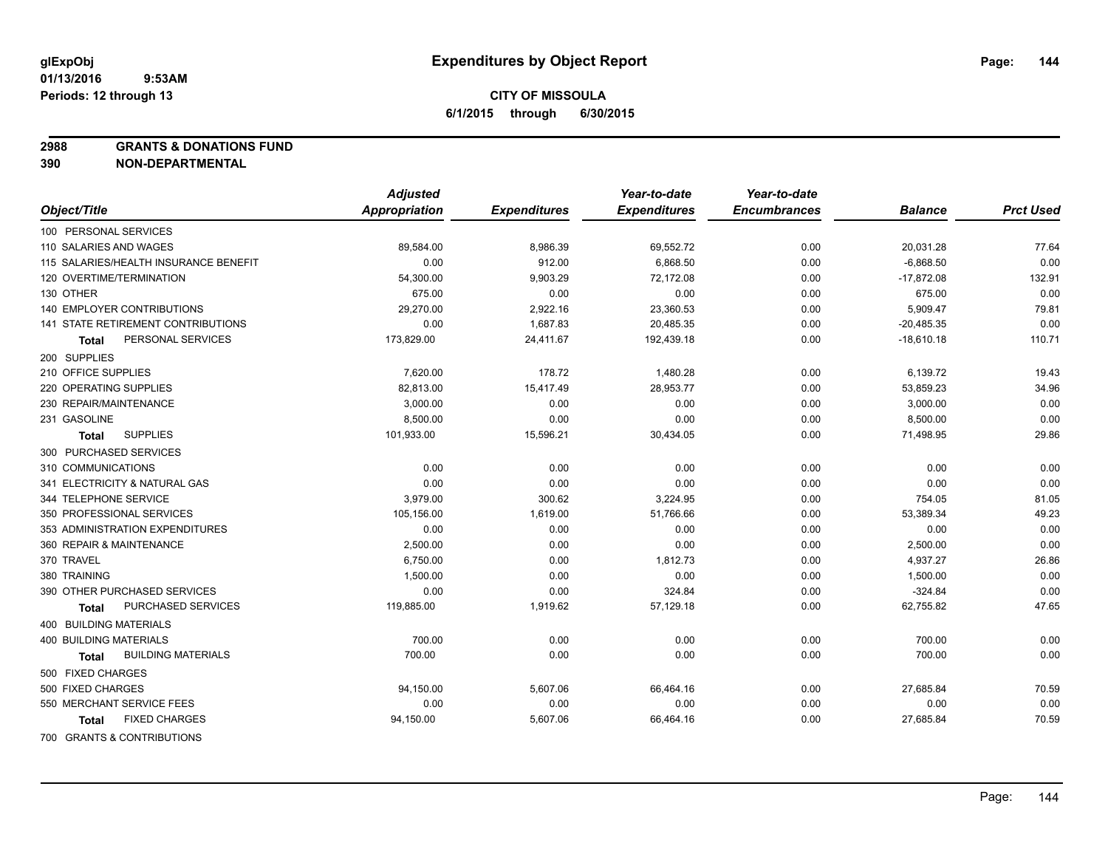**2988 GRANTS & DONATIONS FUND**

**390 NON-DEPARTMENTAL**

|                                           | <b>Adjusted</b> |                     | Year-to-date        | Year-to-date        |                |                  |
|-------------------------------------------|-----------------|---------------------|---------------------|---------------------|----------------|------------------|
| Object/Title                              | Appropriation   | <b>Expenditures</b> | <b>Expenditures</b> | <b>Encumbrances</b> | <b>Balance</b> | <b>Prct Used</b> |
| 100 PERSONAL SERVICES                     |                 |                     |                     |                     |                |                  |
| 110 SALARIES AND WAGES                    | 89,584.00       | 8,986.39            | 69,552.72           | 0.00                | 20,031.28      | 77.64            |
| 115 SALARIES/HEALTH INSURANCE BENEFIT     | 0.00            | 912.00              | 6.868.50            | 0.00                | $-6,868.50$    | 0.00             |
| 120 OVERTIME/TERMINATION                  | 54,300.00       | 9,903.29            | 72,172.08           | 0.00                | $-17,872.08$   | 132.91           |
| 130 OTHER                                 | 675.00          | 0.00                | 0.00                | 0.00                | 675.00         | 0.00             |
| <b>140 EMPLOYER CONTRIBUTIONS</b>         | 29,270.00       | 2,922.16            | 23,360.53           | 0.00                | 5,909.47       | 79.81            |
| 141 STATE RETIREMENT CONTRIBUTIONS        | 0.00            | 1,687.83            | 20,485.35           | 0.00                | $-20,485.35$   | 0.00             |
| PERSONAL SERVICES<br>Total                | 173,829.00      | 24,411.67           | 192,439.18          | 0.00                | $-18,610.18$   | 110.71           |
| 200 SUPPLIES                              |                 |                     |                     |                     |                |                  |
| 210 OFFICE SUPPLIES                       | 7,620.00        | 178.72              | 1,480.28            | 0.00                | 6,139.72       | 19.43            |
| 220 OPERATING SUPPLIES                    | 82,813.00       | 15,417.49           | 28,953.77           | 0.00                | 53,859.23      | 34.96            |
| 230 REPAIR/MAINTENANCE                    | 3,000.00        | 0.00                | 0.00                | 0.00                | 3,000.00       | 0.00             |
| 231 GASOLINE                              | 8,500.00        | 0.00                | 0.00                | 0.00                | 8,500.00       | 0.00             |
| <b>SUPPLIES</b><br>Total                  | 101,933.00      | 15,596.21           | 30,434.05           | 0.00                | 71,498.95      | 29.86            |
| 300 PURCHASED SERVICES                    |                 |                     |                     |                     |                |                  |
| 310 COMMUNICATIONS                        | 0.00            | 0.00                | 0.00                | 0.00                | 0.00           | 0.00             |
| 341 ELECTRICITY & NATURAL GAS             | 0.00            | 0.00                | 0.00                | 0.00                | 0.00           | 0.00             |
| 344 TELEPHONE SERVICE                     | 3,979.00        | 300.62              | 3,224.95            | 0.00                | 754.05         | 81.05            |
| 350 PROFESSIONAL SERVICES                 | 105,156.00      | 1,619.00            | 51,766.66           | 0.00                | 53,389.34      | 49.23            |
| 353 ADMINISTRATION EXPENDITURES           | 0.00            | 0.00                | 0.00                | 0.00                | 0.00           | 0.00             |
| 360 REPAIR & MAINTENANCE                  | 2,500.00        | 0.00                | 0.00                | 0.00                | 2,500.00       | 0.00             |
| 370 TRAVEL                                | 6,750.00        | 0.00                | 1,812.73            | 0.00                | 4,937.27       | 26.86            |
| 380 TRAINING                              | 1,500.00        | 0.00                | 0.00                | 0.00                | 1,500.00       | 0.00             |
| 390 OTHER PURCHASED SERVICES              | 0.00            | 0.00                | 324.84              | 0.00                | $-324.84$      | 0.00             |
| PURCHASED SERVICES<br><b>Total</b>        | 119,885.00      | 1,919.62            | 57,129.18           | 0.00                | 62,755.82      | 47.65            |
| 400 BUILDING MATERIALS                    |                 |                     |                     |                     |                |                  |
| <b>400 BUILDING MATERIALS</b>             | 700.00          | 0.00                | 0.00                | 0.00                | 700.00         | 0.00             |
| <b>BUILDING MATERIALS</b><br><b>Total</b> | 700.00          | 0.00                | 0.00                | 0.00                | 700.00         | 0.00             |
| 500 FIXED CHARGES                         |                 |                     |                     |                     |                |                  |
| 500 FIXED CHARGES                         | 94,150.00       | 5,607.06            | 66,464.16           | 0.00                | 27,685.84      | 70.59            |
| 550 MERCHANT SERVICE FEES                 | 0.00            | 0.00                | 0.00                | 0.00                | 0.00           | 0.00             |
| <b>FIXED CHARGES</b><br><b>Total</b>      | 94,150.00       | 5,607.06            | 66,464.16           | 0.00                | 27,685.84      | 70.59            |
| 700 GRANTS & CONTRIBUTIONS                |                 |                     |                     |                     |                |                  |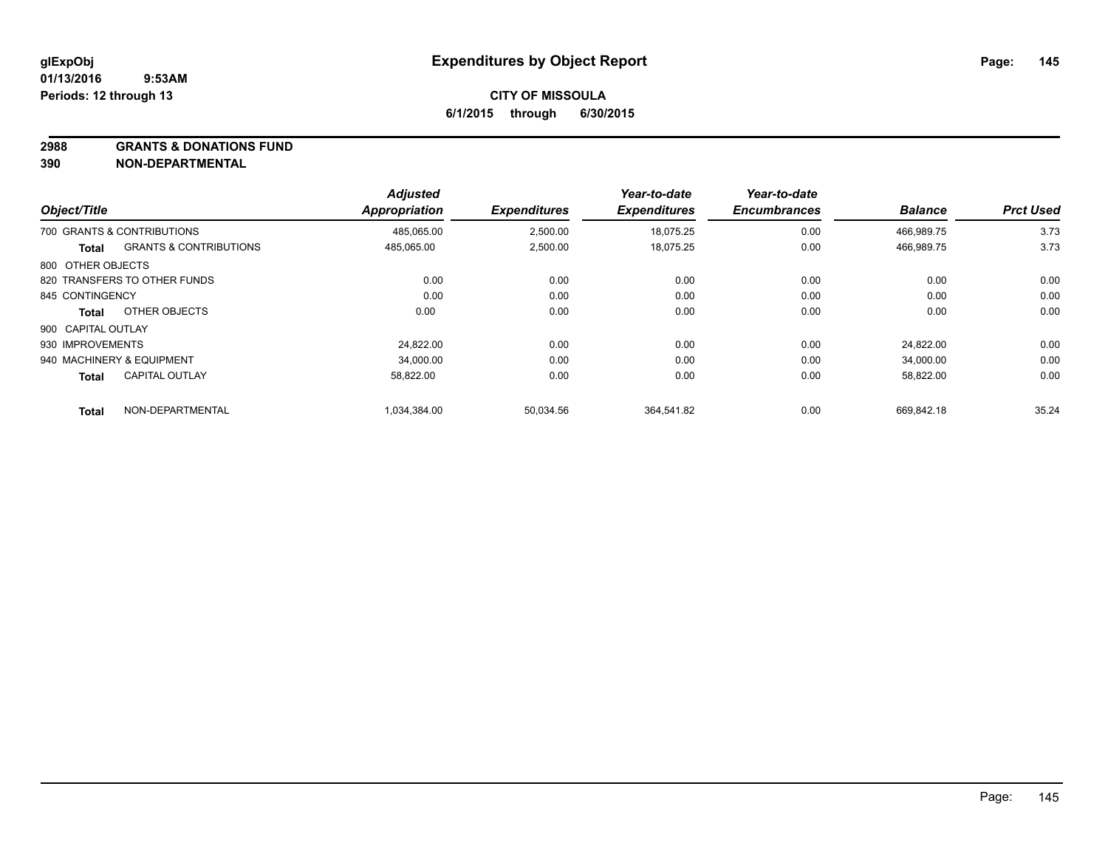**2988 GRANTS & DONATIONS FUND**

| Object/Title       |                                   | <b>Adjusted</b><br><b>Appropriation</b> | <b>Expenditures</b> | Year-to-date<br><b>Expenditures</b> | Year-to-date<br><b>Encumbrances</b> | <b>Balance</b> | <b>Prct Used</b> |
|--------------------|-----------------------------------|-----------------------------------------|---------------------|-------------------------------------|-------------------------------------|----------------|------------------|
|                    | 700 GRANTS & CONTRIBUTIONS        | 485.065.00                              | 2,500.00            | 18.075.25                           | 0.00                                | 466.989.75     | 3.73             |
| Total              | <b>GRANTS &amp; CONTRIBUTIONS</b> | 485,065.00                              | 2,500.00            | 18,075.25                           | 0.00                                | 466,989.75     | 3.73             |
| 800 OTHER OBJECTS  |                                   |                                         |                     |                                     |                                     |                |                  |
|                    | 820 TRANSFERS TO OTHER FUNDS      | 0.00                                    | 0.00                | 0.00                                | 0.00                                | 0.00           | 0.00             |
| 845 CONTINGENCY    |                                   | 0.00                                    | 0.00                | 0.00                                | 0.00                                | 0.00           | 0.00             |
| Total              | OTHER OBJECTS                     | 0.00                                    | 0.00                | 0.00                                | 0.00                                | 0.00           | 0.00             |
| 900 CAPITAL OUTLAY |                                   |                                         |                     |                                     |                                     |                |                  |
| 930 IMPROVEMENTS   |                                   | 24.822.00                               | 0.00                | 0.00                                | 0.00                                | 24,822.00      | 0.00             |
|                    | 940 MACHINERY & EQUIPMENT         | 34,000.00                               | 0.00                | 0.00                                | 0.00                                | 34,000.00      | 0.00             |
| <b>Total</b>       | <b>CAPITAL OUTLAY</b>             | 58.822.00                               | 0.00                | 0.00                                | 0.00                                | 58,822.00      | 0.00             |
| Total              | NON-DEPARTMENTAL                  | 1.034.384.00                            | 50.034.56           | 364.541.82                          | 0.00                                | 669.842.18     | 35.24            |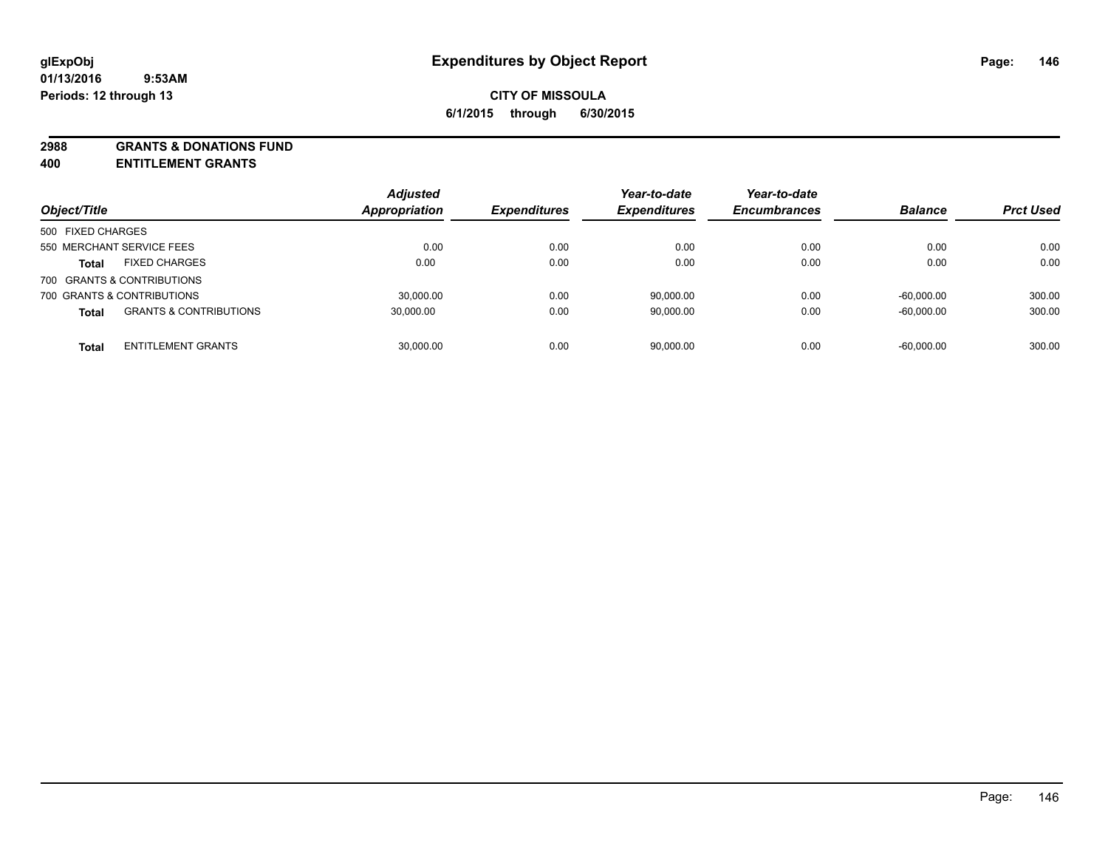**2988 GRANTS & DONATIONS FUND**

**400 ENTITLEMENT GRANTS**

| Object/Title                                      | <b>Adjusted</b><br>Appropriation | <b>Expenditures</b> | Year-to-date<br><b>Expenditures</b> | Year-to-date<br><b>Encumbrances</b> | <b>Balance</b> | <b>Prct Used</b> |
|---------------------------------------------------|----------------------------------|---------------------|-------------------------------------|-------------------------------------|----------------|------------------|
| 500 FIXED CHARGES                                 |                                  |                     |                                     |                                     |                |                  |
| 550 MERCHANT SERVICE FEES                         | 0.00                             | 0.00                | 0.00                                | 0.00                                | 0.00           | 0.00             |
| <b>FIXED CHARGES</b><br><b>Total</b>              | 0.00                             | 0.00                | 0.00                                | 0.00                                | 0.00           | 0.00             |
| 700 GRANTS & CONTRIBUTIONS                        |                                  |                     |                                     |                                     |                |                  |
| 700 GRANTS & CONTRIBUTIONS                        | 30,000.00                        | 0.00                | 90,000.00                           | 0.00                                | $-60.000.00$   | 300.00           |
| <b>GRANTS &amp; CONTRIBUTIONS</b><br><b>Total</b> | 30.000.00                        | 0.00                | 90.000.00                           | 0.00                                | $-60.000.00$   | 300.00           |
| <b>ENTITLEMENT GRANTS</b><br><b>Total</b>         | 30.000.00                        | 0.00                | 90.000.00                           | 0.00                                | $-60.000.00$   | 300.00           |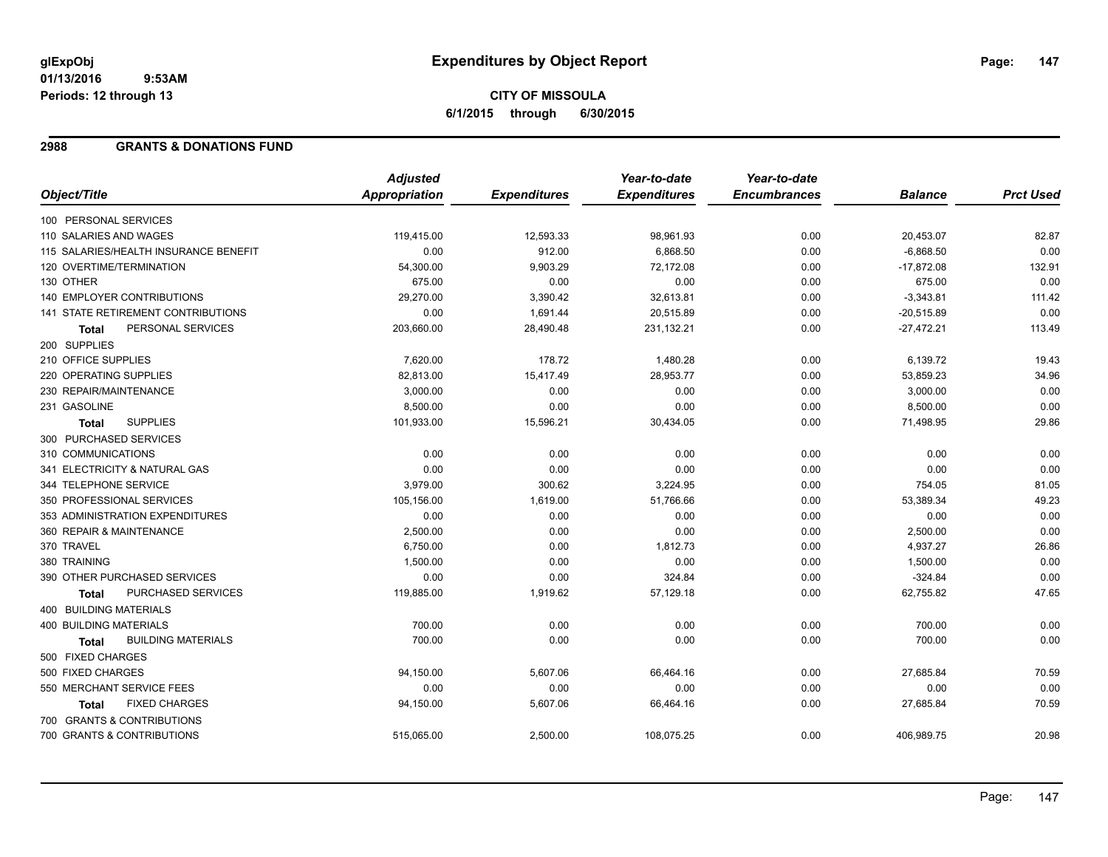## **CITY OF MISSOULA 6/1/2015 through 6/30/2015**

### **2988 GRANTS & DONATIONS FUND**

|                                           | <b>Adjusted</b>      |                     | Year-to-date        | Year-to-date        |                |                  |
|-------------------------------------------|----------------------|---------------------|---------------------|---------------------|----------------|------------------|
| Object/Title                              | <b>Appropriation</b> | <b>Expenditures</b> | <b>Expenditures</b> | <b>Encumbrances</b> | <b>Balance</b> | <b>Prct Used</b> |
| 100 PERSONAL SERVICES                     |                      |                     |                     |                     |                |                  |
| 110 SALARIES AND WAGES                    | 119,415.00           | 12,593.33           | 98,961.93           | 0.00                | 20,453.07      | 82.87            |
| 115 SALARIES/HEALTH INSURANCE BENEFIT     | 0.00                 | 912.00              | 6,868.50            | 0.00                | $-6,868.50$    | 0.00             |
| 120 OVERTIME/TERMINATION                  | 54,300.00            | 9,903.29            | 72,172.08           | 0.00                | $-17,872.08$   | 132.91           |
| 130 OTHER                                 | 675.00               | 0.00                | 0.00                | 0.00                | 675.00         | 0.00             |
| 140 EMPLOYER CONTRIBUTIONS                | 29,270.00            | 3,390.42            | 32,613.81           | 0.00                | $-3,343.81$    | 111.42           |
| 141 STATE RETIREMENT CONTRIBUTIONS        | 0.00                 | 1,691.44            | 20,515.89           | 0.00                | $-20,515.89$   | 0.00             |
| PERSONAL SERVICES<br><b>Total</b>         | 203,660.00           | 28,490.48           | 231,132.21          | 0.00                | $-27,472.21$   | 113.49           |
| 200 SUPPLIES                              |                      |                     |                     |                     |                |                  |
| 210 OFFICE SUPPLIES                       | 7,620.00             | 178.72              | 1,480.28            | 0.00                | 6,139.72       | 19.43            |
| 220 OPERATING SUPPLIES                    | 82,813.00            | 15,417.49           | 28,953.77           | 0.00                | 53,859.23      | 34.96            |
| 230 REPAIR/MAINTENANCE                    | 3,000.00             | 0.00                | 0.00                | 0.00                | 3,000.00       | 0.00             |
| 231 GASOLINE                              | 8,500.00             | 0.00                | 0.00                | 0.00                | 8,500.00       | 0.00             |
| <b>SUPPLIES</b><br><b>Total</b>           | 101,933.00           | 15,596.21           | 30,434.05           | 0.00                | 71,498.95      | 29.86            |
| 300 PURCHASED SERVICES                    |                      |                     |                     |                     |                |                  |
| 310 COMMUNICATIONS                        | 0.00                 | 0.00                | 0.00                | 0.00                | 0.00           | 0.00             |
| 341 ELECTRICITY & NATURAL GAS             | 0.00                 | 0.00                | 0.00                | 0.00                | 0.00           | 0.00             |
| 344 TELEPHONE SERVICE                     | 3,979.00             | 300.62              | 3,224.95            | 0.00                | 754.05         | 81.05            |
| 350 PROFESSIONAL SERVICES                 | 105,156.00           | 1,619.00            | 51,766.66           | 0.00                | 53,389.34      | 49.23            |
| 353 ADMINISTRATION EXPENDITURES           | 0.00                 | 0.00                | 0.00                | 0.00                | 0.00           | 0.00             |
| 360 REPAIR & MAINTENANCE                  | 2,500.00             | 0.00                | 0.00                | 0.00                | 2,500.00       | 0.00             |
| 370 TRAVEL                                | 6,750.00             | 0.00                | 1,812.73            | 0.00                | 4,937.27       | 26.86            |
| 380 TRAINING                              | 1,500.00             | 0.00                | 0.00                | 0.00                | 1,500.00       | 0.00             |
| 390 OTHER PURCHASED SERVICES              | 0.00                 | 0.00                | 324.84              | 0.00                | $-324.84$      | 0.00             |
| PURCHASED SERVICES<br><b>Total</b>        | 119,885.00           | 1,919.62            | 57,129.18           | 0.00                | 62,755.82      | 47.65            |
| 400 BUILDING MATERIALS                    |                      |                     |                     |                     |                |                  |
| <b>400 BUILDING MATERIALS</b>             | 700.00               | 0.00                | 0.00                | 0.00                | 700.00         | 0.00             |
| <b>BUILDING MATERIALS</b><br><b>Total</b> | 700.00               | 0.00                | 0.00                | 0.00                | 700.00         | 0.00             |
| 500 FIXED CHARGES                         |                      |                     |                     |                     |                |                  |
| 500 FIXED CHARGES                         | 94,150.00            | 5,607.06            | 66,464.16           | 0.00                | 27,685.84      | 70.59            |
| 550 MERCHANT SERVICE FEES                 | 0.00                 | 0.00                | 0.00                | 0.00                | 0.00           | 0.00             |
| <b>FIXED CHARGES</b><br>Total             | 94,150.00            | 5,607.06            | 66,464.16           | 0.00                | 27,685.84      | 70.59            |
| 700 GRANTS & CONTRIBUTIONS                |                      |                     |                     |                     |                |                  |
| 700 GRANTS & CONTRIBUTIONS                | 515,065.00           | 2,500.00            | 108,075.25          | 0.00                | 406,989.75     | 20.98            |
|                                           |                      |                     |                     |                     |                |                  |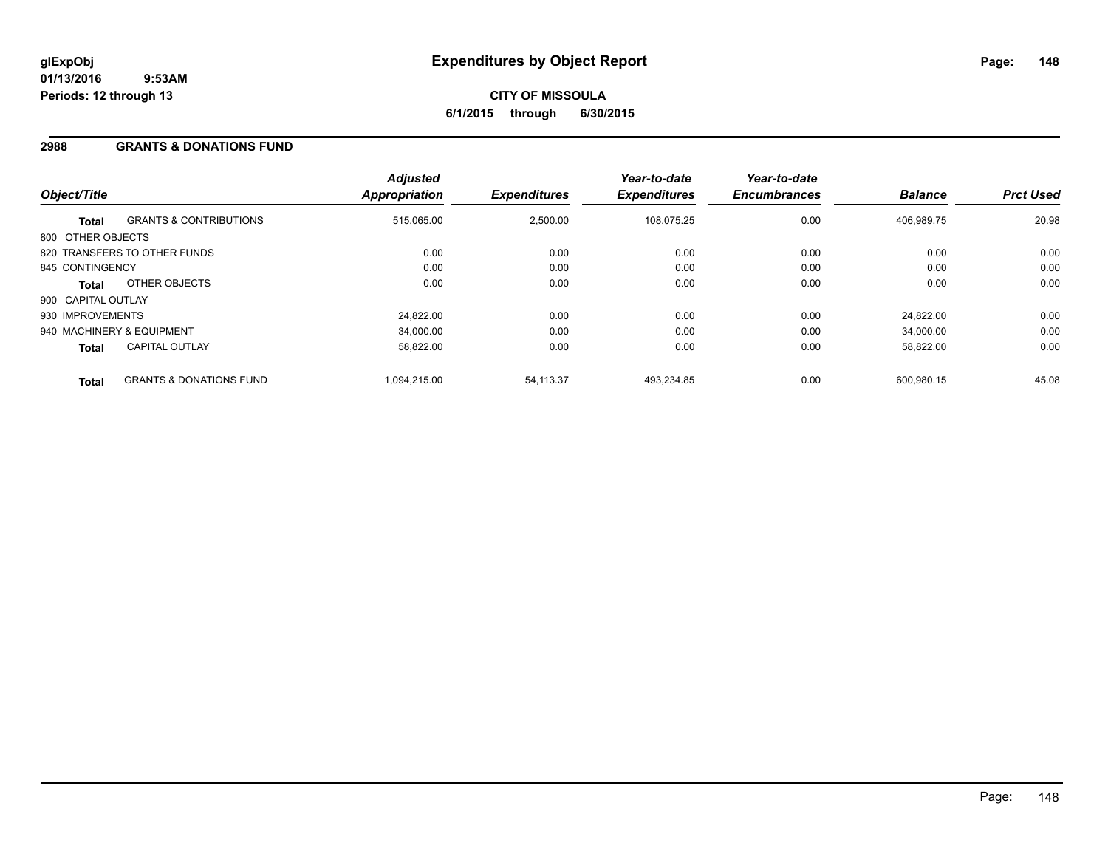### **2988 GRANTS & DONATIONS FUND**

| Object/Title       |                                    | <b>Adjusted</b><br>Appropriation | <b>Expenditures</b> | Year-to-date<br><b>Expenditures</b> | Year-to-date<br><b>Encumbrances</b> | <b>Balance</b> | <b>Prct Used</b> |
|--------------------|------------------------------------|----------------------------------|---------------------|-------------------------------------|-------------------------------------|----------------|------------------|
| <b>Total</b>       | <b>GRANTS &amp; CONTRIBUTIONS</b>  | 515,065.00                       | 2,500.00            | 108.075.25                          | 0.00                                | 406,989.75     | 20.98            |
| 800 OTHER OBJECTS  |                                    |                                  |                     |                                     |                                     |                |                  |
|                    | 820 TRANSFERS TO OTHER FUNDS       | 0.00                             | 0.00                | 0.00                                | 0.00                                | 0.00           | 0.00             |
| 845 CONTINGENCY    |                                    | 0.00                             | 0.00                | 0.00                                | 0.00                                | 0.00           | 0.00             |
| <b>Total</b>       | OTHER OBJECTS                      | 0.00                             | 0.00                | 0.00                                | 0.00                                | 0.00           | 0.00             |
| 900 CAPITAL OUTLAY |                                    |                                  |                     |                                     |                                     |                |                  |
| 930 IMPROVEMENTS   |                                    | 24,822.00                        | 0.00                | 0.00                                | 0.00                                | 24.822.00      | 0.00             |
|                    | 940 MACHINERY & EQUIPMENT          | 34,000.00                        | 0.00                | 0.00                                | 0.00                                | 34,000.00      | 0.00             |
| <b>Total</b>       | <b>CAPITAL OUTLAY</b>              | 58,822.00                        | 0.00                | 0.00                                | 0.00                                | 58,822.00      | 0.00             |
| <b>Total</b>       | <b>GRANTS &amp; DONATIONS FUND</b> | 1.094.215.00                     | 54,113.37           | 493,234.85                          | 0.00                                | 600.980.15     | 45.08            |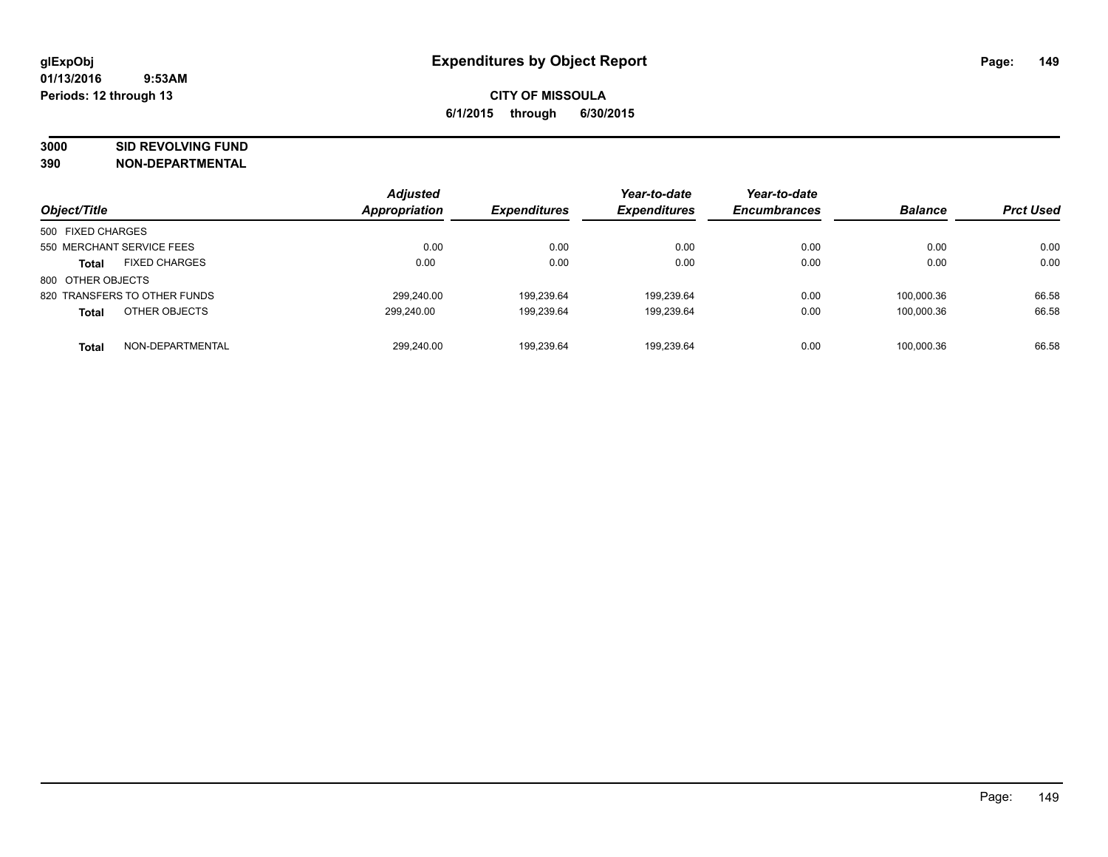# **3000 SID REVOLVING FUND**

| Object/Title                         | <b>Adjusted</b><br><b>Appropriation</b> | <b>Expenditures</b> | Year-to-date<br><b>Expenditures</b> | Year-to-date<br><b>Encumbrances</b> | <b>Balance</b> | <b>Prct Used</b> |
|--------------------------------------|-----------------------------------------|---------------------|-------------------------------------|-------------------------------------|----------------|------------------|
| 500 FIXED CHARGES                    |                                         |                     |                                     |                                     |                |                  |
| 550 MERCHANT SERVICE FEES            | 0.00                                    | 0.00                | 0.00                                | 0.00                                | 0.00           | 0.00             |
| <b>FIXED CHARGES</b><br><b>Total</b> | 0.00                                    | 0.00                | 0.00                                | 0.00                                | 0.00           | 0.00             |
| 800 OTHER OBJECTS                    |                                         |                     |                                     |                                     |                |                  |
| 820 TRANSFERS TO OTHER FUNDS         | 299.240.00                              | 199.239.64          | 199,239.64                          | 0.00                                | 100.000.36     | 66.58            |
| OTHER OBJECTS<br><b>Total</b>        | 299.240.00                              | 199,239.64          | 199,239.64                          | 0.00                                | 100.000.36     | 66.58            |
| NON-DEPARTMENTAL<br><b>Total</b>     | 299.240.00                              | 199.239.64          | 199.239.64                          | 0.00                                | 100.000.36     | 66.58            |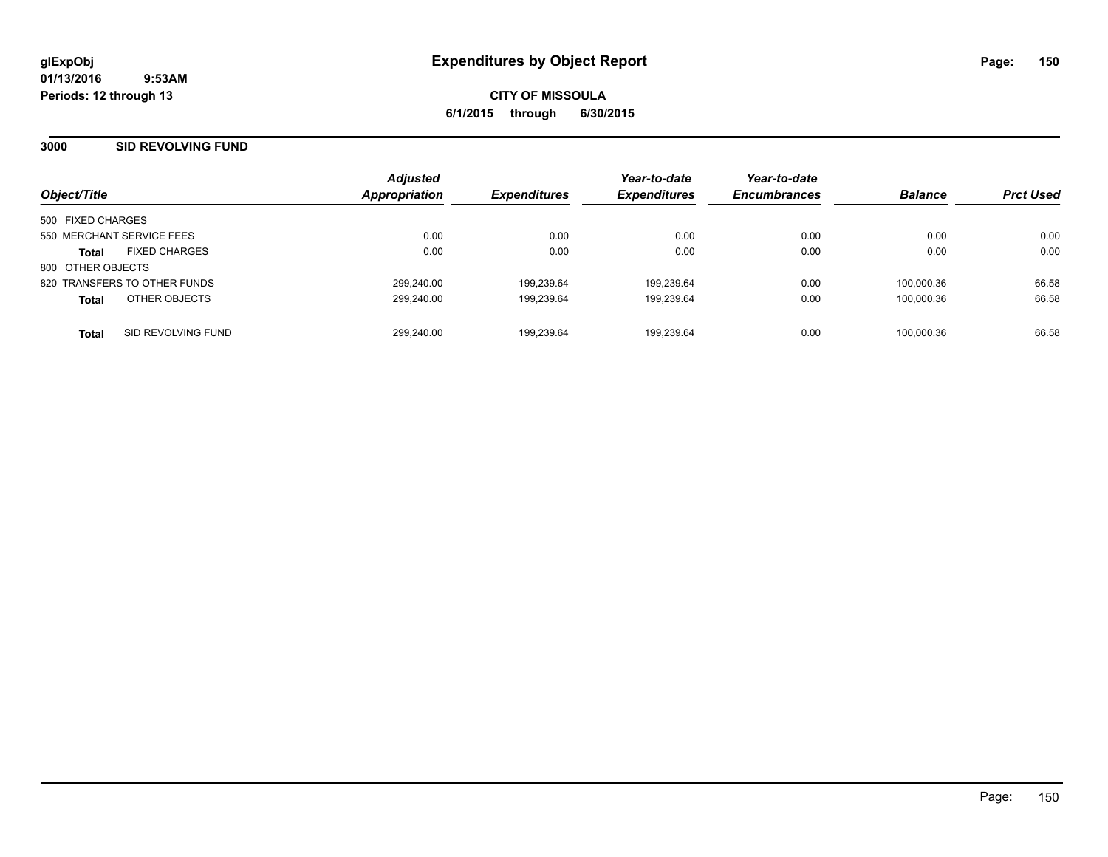#### **3000 SID REVOLVING FUND**

| Object/Title                         | <b>Adjusted</b><br>Appropriation | <b>Expenditures</b> | Year-to-date<br><b>Expenditures</b> | Year-to-date<br><b>Encumbrances</b> | <b>Balance</b> | <b>Prct Used</b> |
|--------------------------------------|----------------------------------|---------------------|-------------------------------------|-------------------------------------|----------------|------------------|
| 500 FIXED CHARGES                    |                                  |                     |                                     |                                     |                |                  |
| 550 MERCHANT SERVICE FEES            | 0.00                             | 0.00                | 0.00                                | 0.00                                | 0.00           | 0.00             |
| <b>FIXED CHARGES</b><br><b>Total</b> | 0.00                             | 0.00                | 0.00                                | 0.00                                | 0.00           | 0.00             |
| 800 OTHER OBJECTS                    |                                  |                     |                                     |                                     |                |                  |
| 820 TRANSFERS TO OTHER FUNDS         | 299.240.00                       | 199.239.64          | 199.239.64                          | 0.00                                | 100.000.36     | 66.58            |
| OTHER OBJECTS<br><b>Total</b>        | 299.240.00                       | 199.239.64          | 199,239.64                          | 0.00                                | 100.000.36     | 66.58            |
| SID REVOLVING FUND<br><b>Total</b>   | 299.240.00                       | 199.239.64          | 199,239.64                          | 0.00                                | 100.000.36     | 66.58            |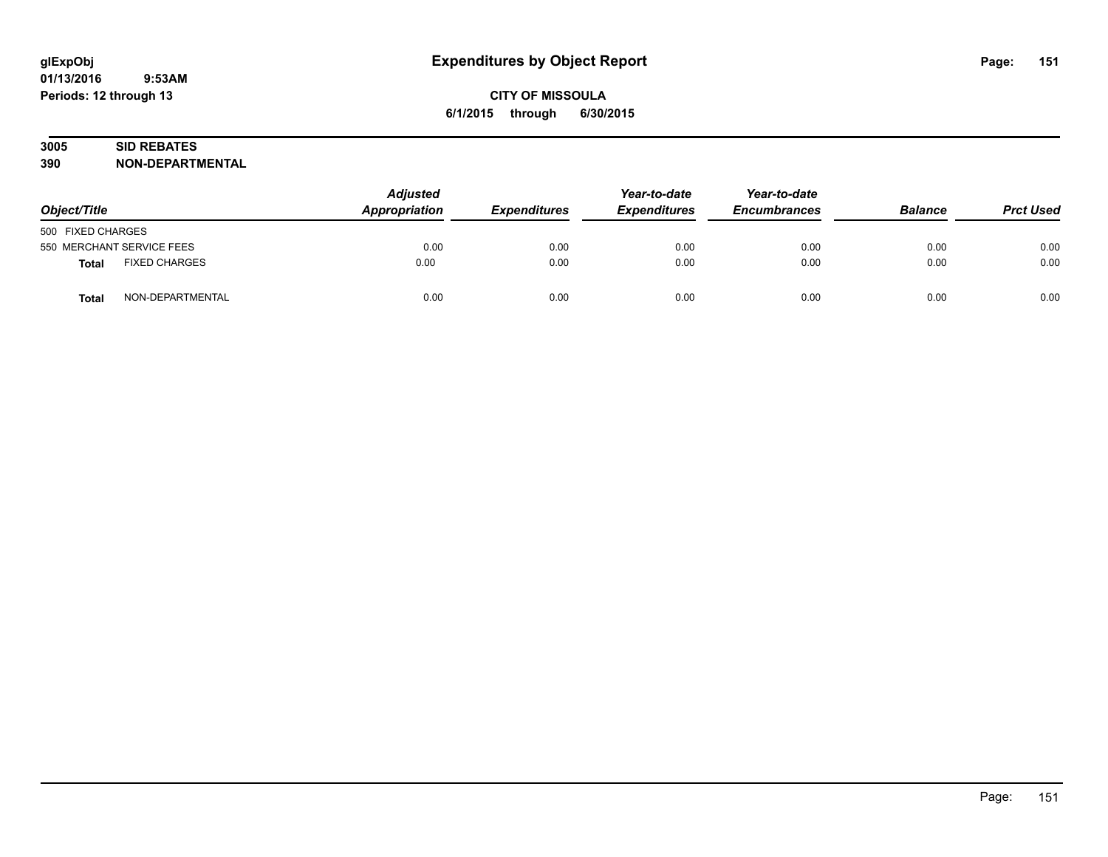# **3005 SID REBATES**

| Object/Title                     | <b>Adjusted</b><br>Appropriation<br><b>Expenditures</b> | Year-to-date<br><b>Expenditures</b> | Year-to-date<br><b>Encumbrances</b> | <b>Balance</b> | <b>Prct Used</b> |      |
|----------------------------------|---------------------------------------------------------|-------------------------------------|-------------------------------------|----------------|------------------|------|
| 500 FIXED CHARGES                |                                                         |                                     |                                     |                |                  |      |
| 550 MERCHANT SERVICE FEES        | 0.00                                                    | 0.00                                | 0.00                                | 0.00           | 0.00             | 0.00 |
| <b>FIXED CHARGES</b><br>Total    | 0.00                                                    | 0.00                                | 0.00                                | 0.00           | 0.00             | 0.00 |
| NON-DEPARTMENTAL<br><b>Total</b> | 0.00                                                    | 0.00                                | 0.00                                | 0.00           | 0.00             | 0.00 |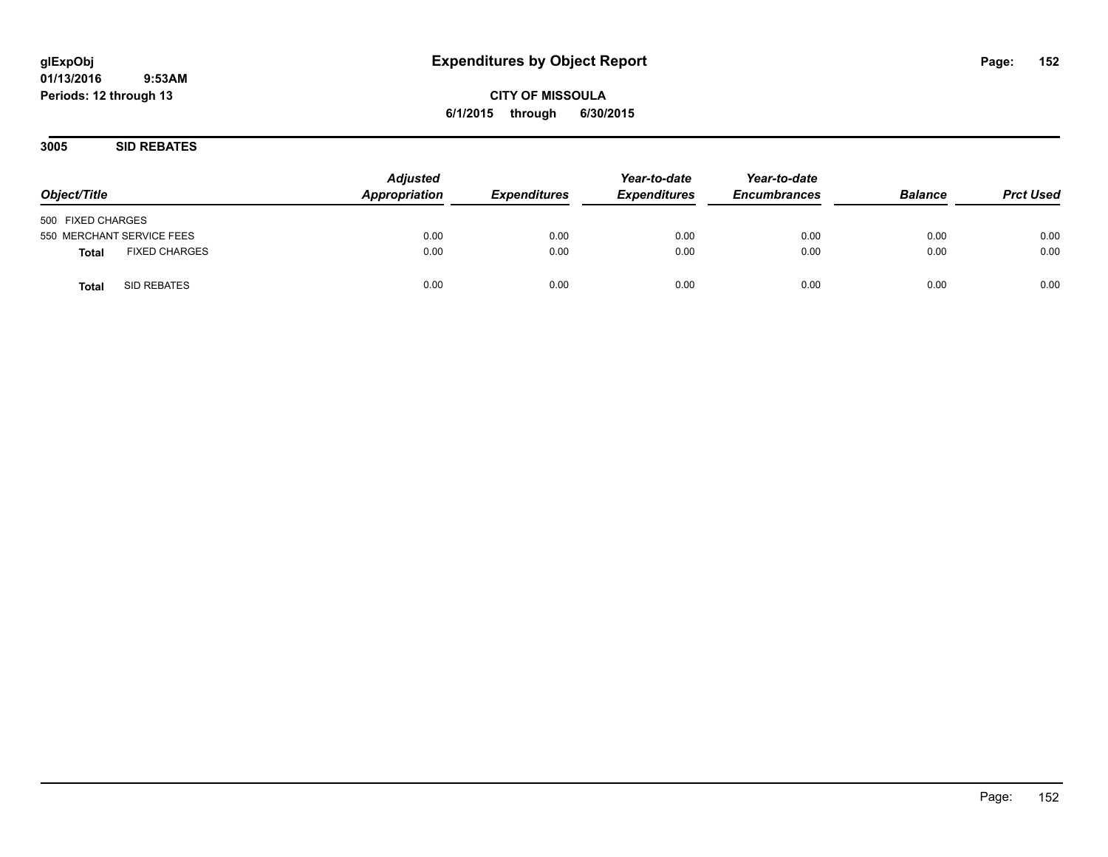## **CITY OF MISSOULA 6/1/2015 through 6/30/2015**

**3005 SID REBATES**

| Object/Title                  | <b>Adjusted</b><br>Appropriation | <b>Expenditures</b> | Year-to-date<br><b>Expenditures</b> | Year-to-date<br><b>Encumbrances</b> | <b>Balance</b> | <b>Prct Used</b> |
|-------------------------------|----------------------------------|---------------------|-------------------------------------|-------------------------------------|----------------|------------------|
| 500 FIXED CHARGES             |                                  |                     |                                     |                                     |                |                  |
| 550 MERCHANT SERVICE FEES     | 0.00                             | 0.00                | 0.00                                | 0.00                                | 0.00           | 0.00             |
| <b>FIXED CHARGES</b><br>Total | 0.00                             | 0.00                | 0.00                                | 0.00                                | 0.00           | 0.00             |
| SID REBATES<br><b>Total</b>   | 0.00                             | 0.00                | 0.00                                | 0.00                                | 0.00           | 0.00             |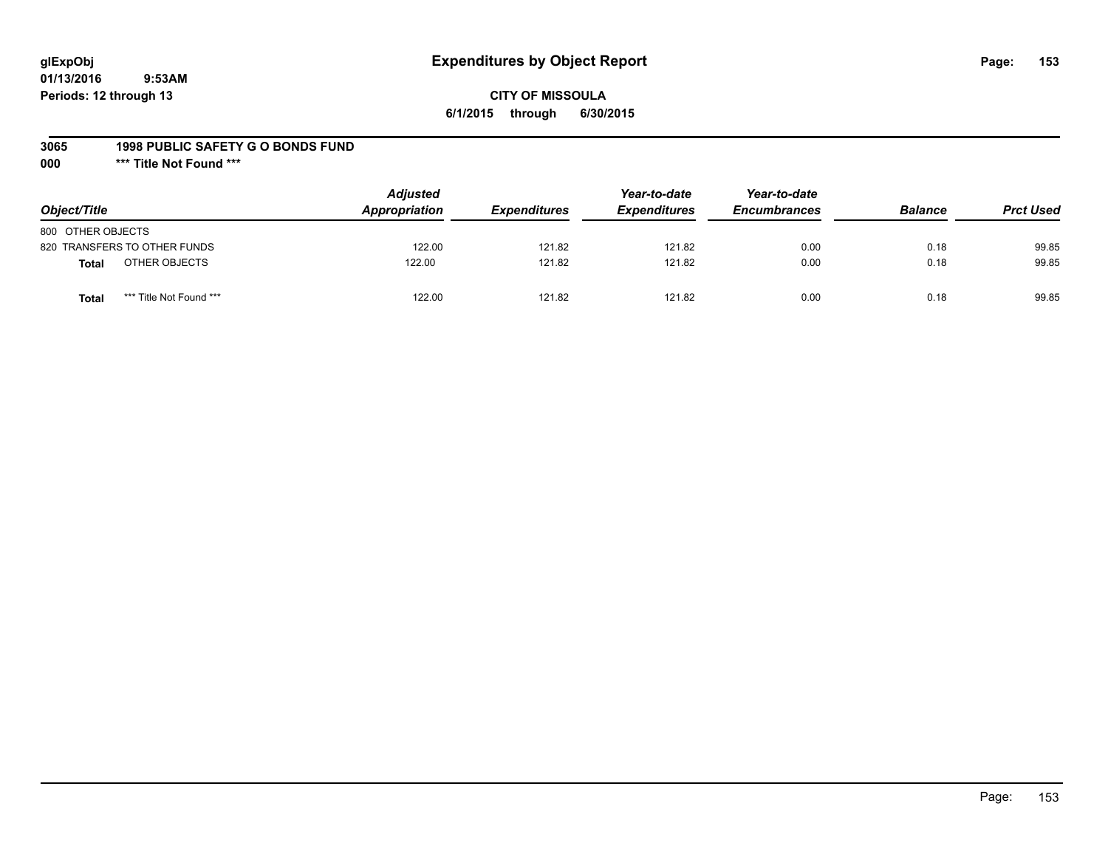## **glExpObj Expenditures by Object Report Page: 153**

### **CITY OF MISSOULA 6/1/2015 through 6/30/2015**

#### **3065 1998 PUBLIC SAFETY G O BONDS FUND**

**000 \*\*\* Title Not Found \*\*\***

| Object/Title                     | <b>Adjusted</b><br>Appropriation | <b>Expenditures</b> | Year-to-date<br><b>Expenditures</b> | Year-to-date<br><b>Encumbrances</b> | <b>Balance</b> | <b>Prct Used</b> |
|----------------------------------|----------------------------------|---------------------|-------------------------------------|-------------------------------------|----------------|------------------|
| 800 OTHER OBJECTS                |                                  |                     |                                     |                                     |                |                  |
| 820 TRANSFERS TO OTHER FUNDS     | 122.00                           | 121.82              | 121.82                              | 0.00                                | 0.18           | 99.85            |
| OTHER OBJECTS<br>Total           | 122.00                           | 121.82              | 121.82                              | 0.00                                | 0.18           | 99.85            |
| *** Title Not Found ***<br>Total | 122.00                           | 121.82              | 121.82                              | 0.00                                | 0.18           | 99.85            |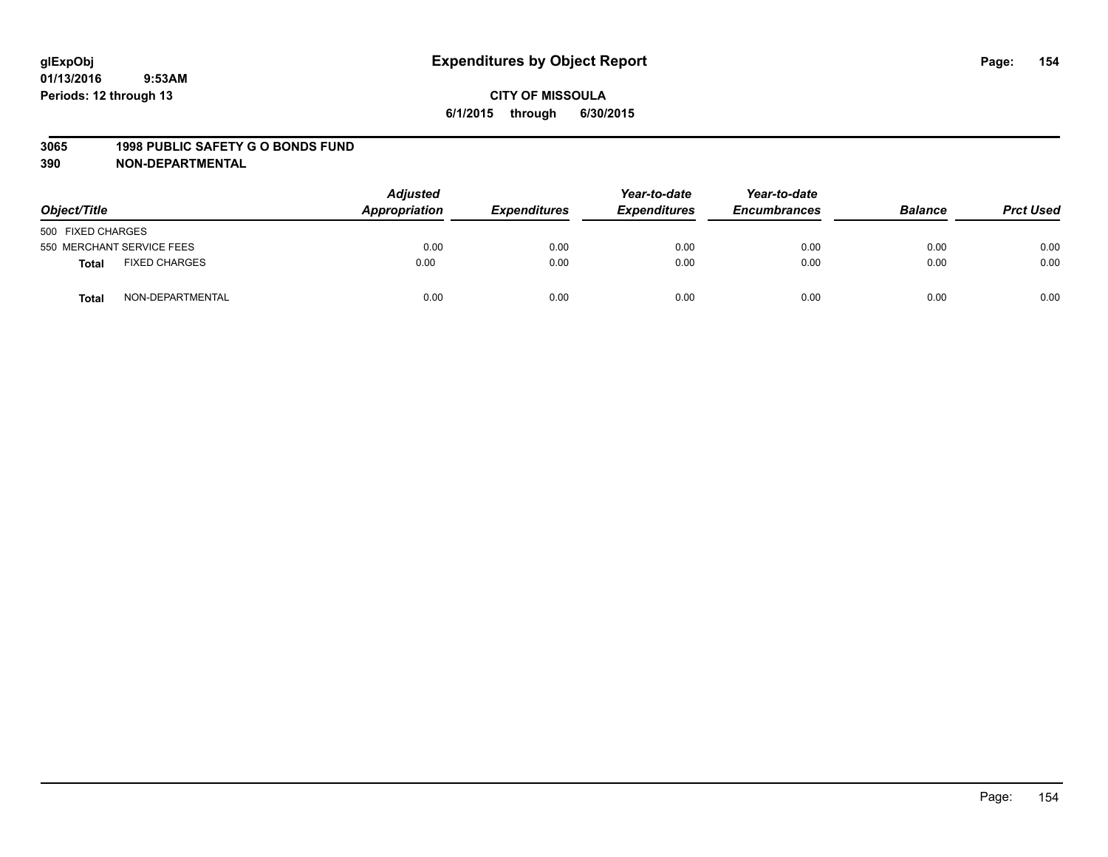#### **3065 1998 PUBLIC SAFETY G O BONDS FUND**

| Object/Title              |                      | <b>Adjusted</b><br>Appropriation | <b>Expenditures</b> | Year-to-date<br><b>Expenditures</b> | Year-to-date<br><b>Encumbrances</b> | <b>Balance</b> | <b>Prct Used</b> |
|---------------------------|----------------------|----------------------------------|---------------------|-------------------------------------|-------------------------------------|----------------|------------------|
| 500 FIXED CHARGES         |                      |                                  |                     |                                     |                                     |                |                  |
| 550 MERCHANT SERVICE FEES |                      | 0.00                             | 0.00                | 0.00                                | 0.00                                | 0.00           | 0.00             |
| <b>Total</b>              | <b>FIXED CHARGES</b> | 0.00                             | 0.00                | 0.00                                | 0.00                                | 0.00           | 0.00             |
| Total                     | NON-DEPARTMENTAL     | 0.00                             | 0.00                | 0.00                                | 0.00                                | 0.00           | 0.00             |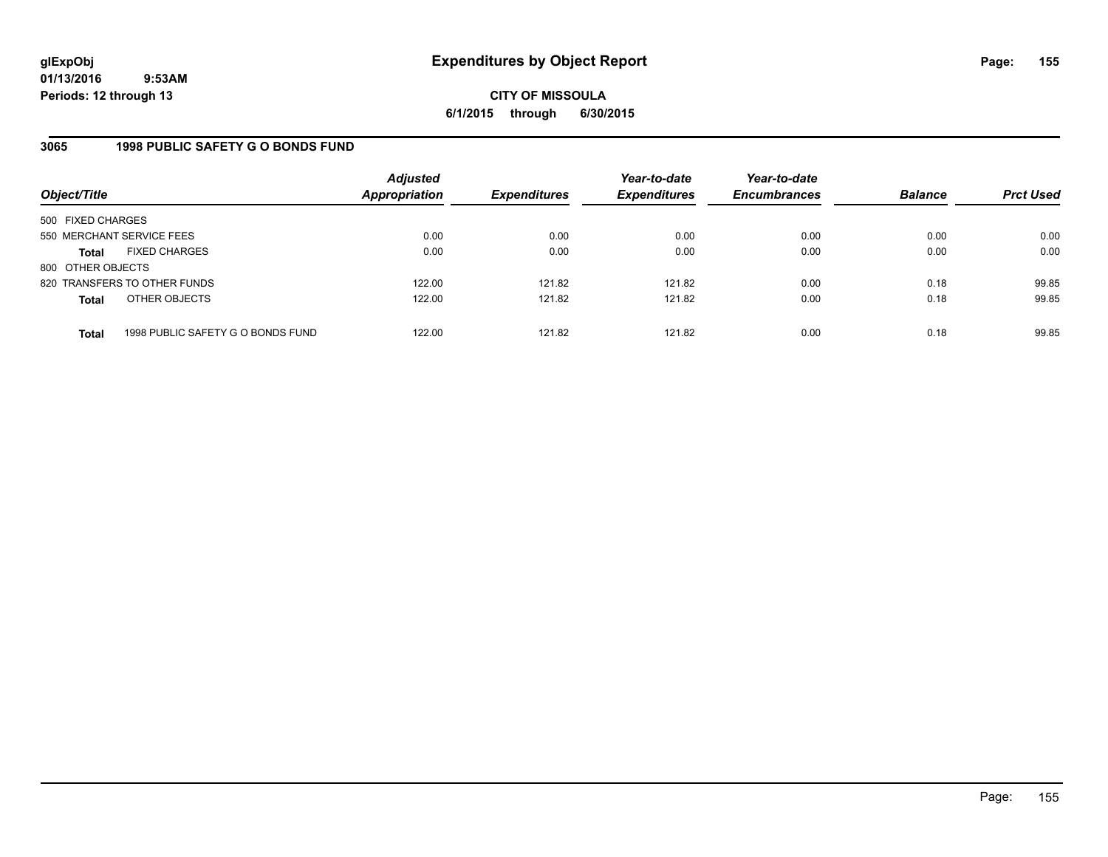## **CITY OF MISSOULA 6/1/2015 through 6/30/2015**

## **3065 1998 PUBLIC SAFETY G O BONDS FUND**

| Object/Title              |                                   | <b>Adjusted</b><br>Appropriation | <b>Expenditures</b> | Year-to-date<br><b>Expenditures</b> | Year-to-date<br><b>Encumbrances</b> | <b>Balance</b> | <b>Prct Used</b> |
|---------------------------|-----------------------------------|----------------------------------|---------------------|-------------------------------------|-------------------------------------|----------------|------------------|
| 500 FIXED CHARGES         |                                   |                                  |                     |                                     |                                     |                |                  |
| 550 MERCHANT SERVICE FEES |                                   | 0.00                             | 0.00                | 0.00                                | 0.00                                | 0.00           | 0.00             |
| <b>Total</b>              | <b>FIXED CHARGES</b>              | 0.00                             | 0.00                | 0.00                                | 0.00                                | 0.00           | 0.00             |
| 800 OTHER OBJECTS         |                                   |                                  |                     |                                     |                                     |                |                  |
|                           | 820 TRANSFERS TO OTHER FUNDS      | 122.00                           | 121.82              | 121.82                              | 0.00                                | 0.18           | 99.85            |
| <b>Total</b>              | OTHER OBJECTS                     | 122.00                           | 121.82              | 121.82                              | 0.00                                | 0.18           | 99.85            |
| <b>Total</b>              | 1998 PUBLIC SAFETY G O BONDS FUND | 122.00                           | 121.82              | 121.82                              | 0.00                                | 0.18           | 99.85            |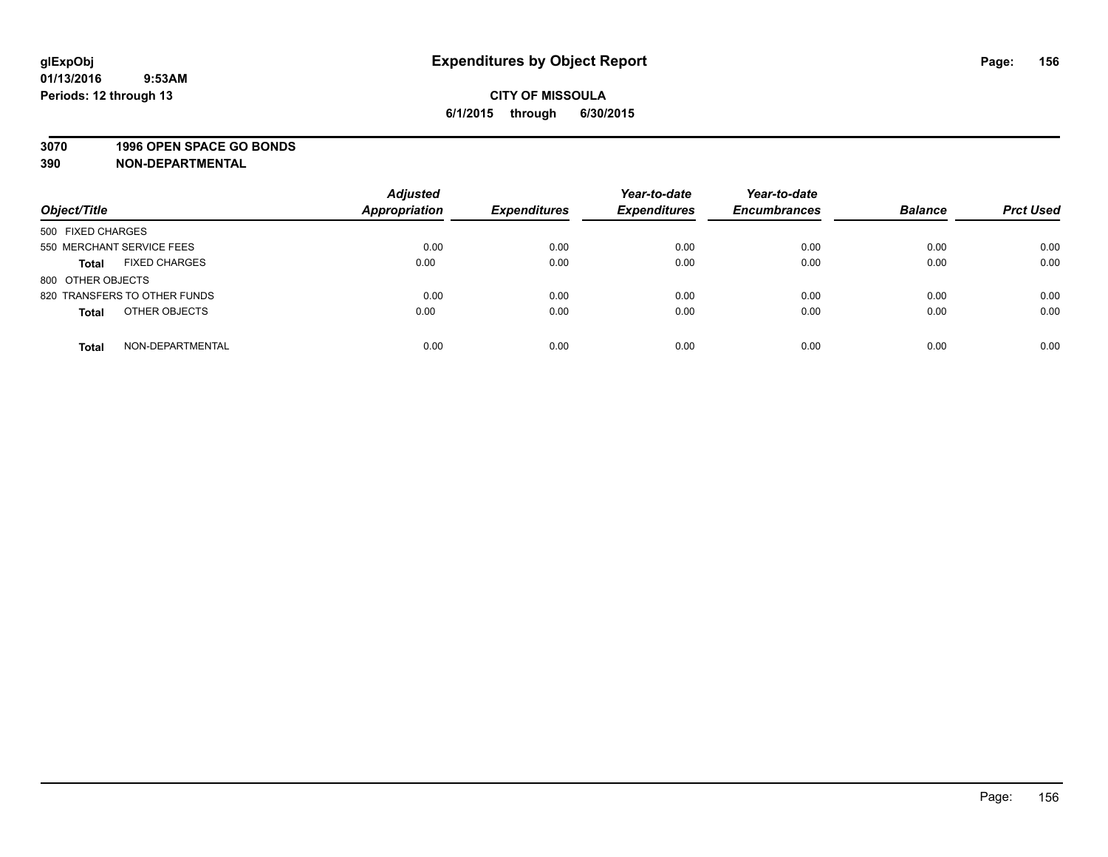#### **3070 1996 OPEN SPACE GO BONDS**

| Object/Title                         | <b>Adjusted</b><br><b>Appropriation</b> | <b>Expenditures</b> | Year-to-date<br><b>Expenditures</b> | Year-to-date<br><b>Encumbrances</b> | <b>Balance</b> | <b>Prct Used</b> |
|--------------------------------------|-----------------------------------------|---------------------|-------------------------------------|-------------------------------------|----------------|------------------|
| 500 FIXED CHARGES                    |                                         |                     |                                     |                                     |                |                  |
| 550 MERCHANT SERVICE FEES            | 0.00                                    | 0.00                | 0.00                                | 0.00                                | 0.00           | 0.00             |
| <b>FIXED CHARGES</b><br><b>Total</b> | 0.00                                    | 0.00                | 0.00                                | 0.00                                | 0.00           | 0.00             |
| 800 OTHER OBJECTS                    |                                         |                     |                                     |                                     |                |                  |
| 820 TRANSFERS TO OTHER FUNDS         | 0.00                                    | 0.00                | 0.00                                | 0.00                                | 0.00           | 0.00             |
| OTHER OBJECTS<br><b>Total</b>        | 0.00                                    | 0.00                | 0.00                                | 0.00                                | 0.00           | 0.00             |
| NON-DEPARTMENTAL<br><b>Total</b>     | 0.00                                    | 0.00                | 0.00                                | 0.00                                | 0.00           | 0.00             |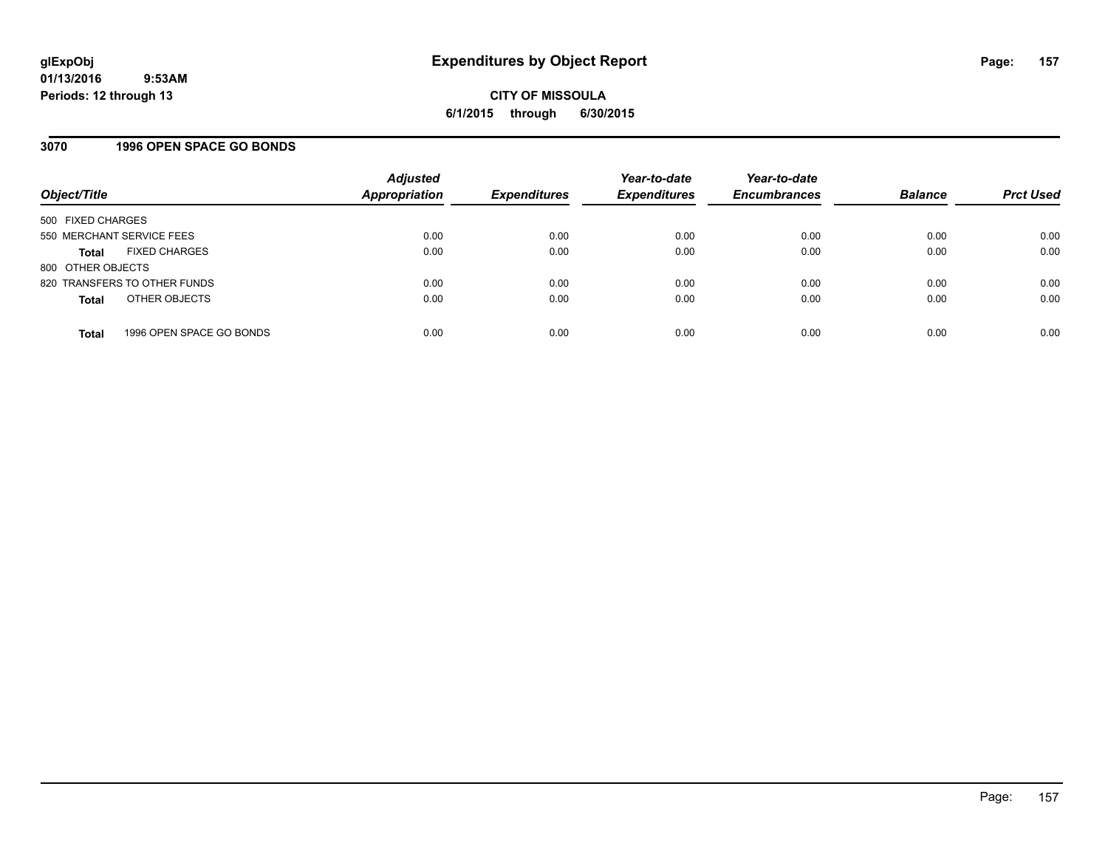### **3070 1996 OPEN SPACE GO BONDS**

| Object/Title                             | <b>Adjusted</b><br><b>Appropriation</b> | <b>Expenditures</b> | Year-to-date<br><b>Expenditures</b> | Year-to-date<br><b>Encumbrances</b> | <b>Balance</b> | <b>Prct Used</b> |
|------------------------------------------|-----------------------------------------|---------------------|-------------------------------------|-------------------------------------|----------------|------------------|
| 500 FIXED CHARGES                        |                                         |                     |                                     |                                     |                |                  |
| 550 MERCHANT SERVICE FEES                | 0.00                                    | 0.00                | 0.00                                | 0.00                                | 0.00           | 0.00             |
| <b>FIXED CHARGES</b><br><b>Total</b>     | 0.00                                    | 0.00                | 0.00                                | 0.00                                | 0.00           | 0.00             |
| 800 OTHER OBJECTS                        |                                         |                     |                                     |                                     |                |                  |
| 820 TRANSFERS TO OTHER FUNDS             | 0.00                                    | 0.00                | 0.00                                | 0.00                                | 0.00           | 0.00             |
| OTHER OBJECTS<br><b>Total</b>            | 0.00                                    | 0.00                | 0.00                                | 0.00                                | 0.00           | 0.00             |
| 1996 OPEN SPACE GO BONDS<br><b>Total</b> | 0.00                                    | 0.00                | 0.00                                | 0.00                                | 0.00           | 0.00             |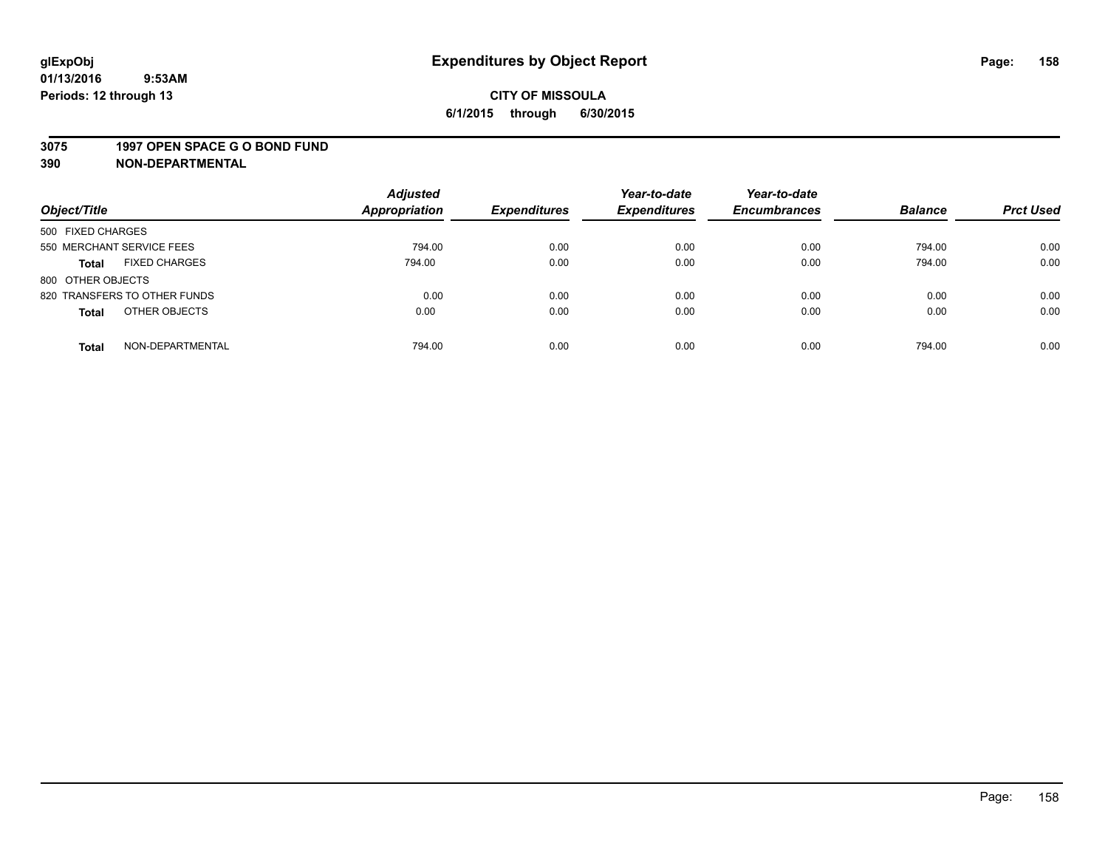#### **3075 1997 OPEN SPACE G O BOND FUND**

| Object/Title                         | <b>Adjusted</b><br>Appropriation | <b>Expenditures</b> | Year-to-date<br><b>Expenditures</b> | Year-to-date<br><b>Encumbrances</b> | <b>Balance</b> | <b>Prct Used</b> |
|--------------------------------------|----------------------------------|---------------------|-------------------------------------|-------------------------------------|----------------|------------------|
| 500 FIXED CHARGES                    |                                  |                     |                                     |                                     |                |                  |
| 550 MERCHANT SERVICE FEES            | 794.00                           | 0.00                | 0.00                                | 0.00                                | 794.00         | 0.00             |
| <b>FIXED CHARGES</b><br><b>Total</b> | 794.00                           | 0.00                | 0.00                                | 0.00                                | 794.00         | 0.00             |
| 800 OTHER OBJECTS                    |                                  |                     |                                     |                                     |                |                  |
| 820 TRANSFERS TO OTHER FUNDS         | 0.00                             | 0.00                | 0.00                                | 0.00                                | 0.00           | 0.00             |
| OTHER OBJECTS<br><b>Total</b>        | 0.00                             | 0.00                | 0.00                                | 0.00                                | 0.00           | 0.00             |
| NON-DEPARTMENTAL<br><b>Total</b>     | 794.00                           | 0.00                | 0.00                                | 0.00                                | 794.00         | 0.00             |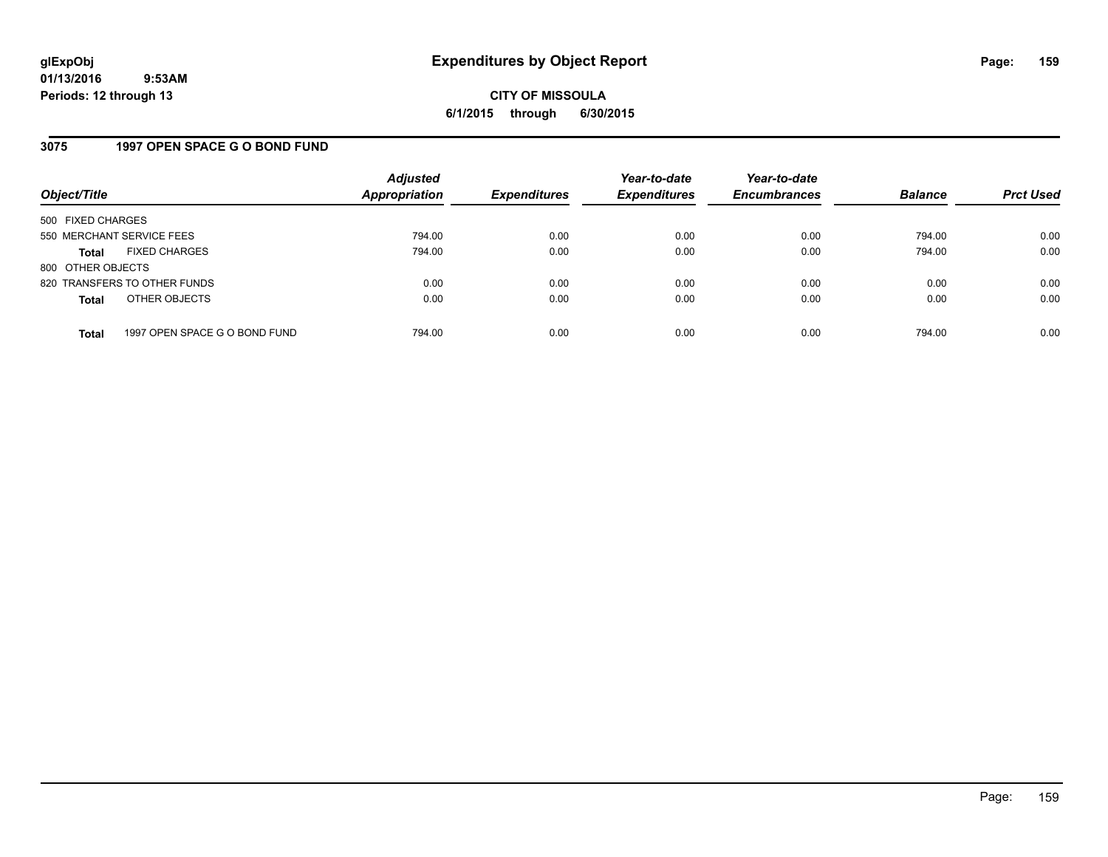## **3075 1997 OPEN SPACE G O BOND FUND**

| Object/Title              |                               | <b>Adjusted</b><br><b>Appropriation</b> | <b>Expenditures</b> | Year-to-date<br><b>Expenditures</b> | Year-to-date<br><b>Encumbrances</b> | <b>Balance</b> | <b>Prct Used</b> |
|---------------------------|-------------------------------|-----------------------------------------|---------------------|-------------------------------------|-------------------------------------|----------------|------------------|
| 500 FIXED CHARGES         |                               |                                         |                     |                                     |                                     |                |                  |
| 550 MERCHANT SERVICE FEES |                               | 794.00                                  | 0.00                | 0.00                                | 0.00                                | 794.00         | 0.00             |
| <b>Total</b>              | <b>FIXED CHARGES</b>          | 794.00                                  | 0.00                | 0.00                                | 0.00                                | 794.00         | 0.00             |
| 800 OTHER OBJECTS         |                               |                                         |                     |                                     |                                     |                |                  |
|                           | 820 TRANSFERS TO OTHER FUNDS  | 0.00                                    | 0.00                | 0.00                                | 0.00                                | 0.00           | 0.00             |
| <b>Total</b>              | OTHER OBJECTS                 | 0.00                                    | 0.00                | 0.00                                | 0.00                                | 0.00           | 0.00             |
| <b>Total</b>              | 1997 OPEN SPACE G O BOND FUND | 794.00                                  | 0.00                | 0.00                                | 0.00                                | 794.00         | 0.00             |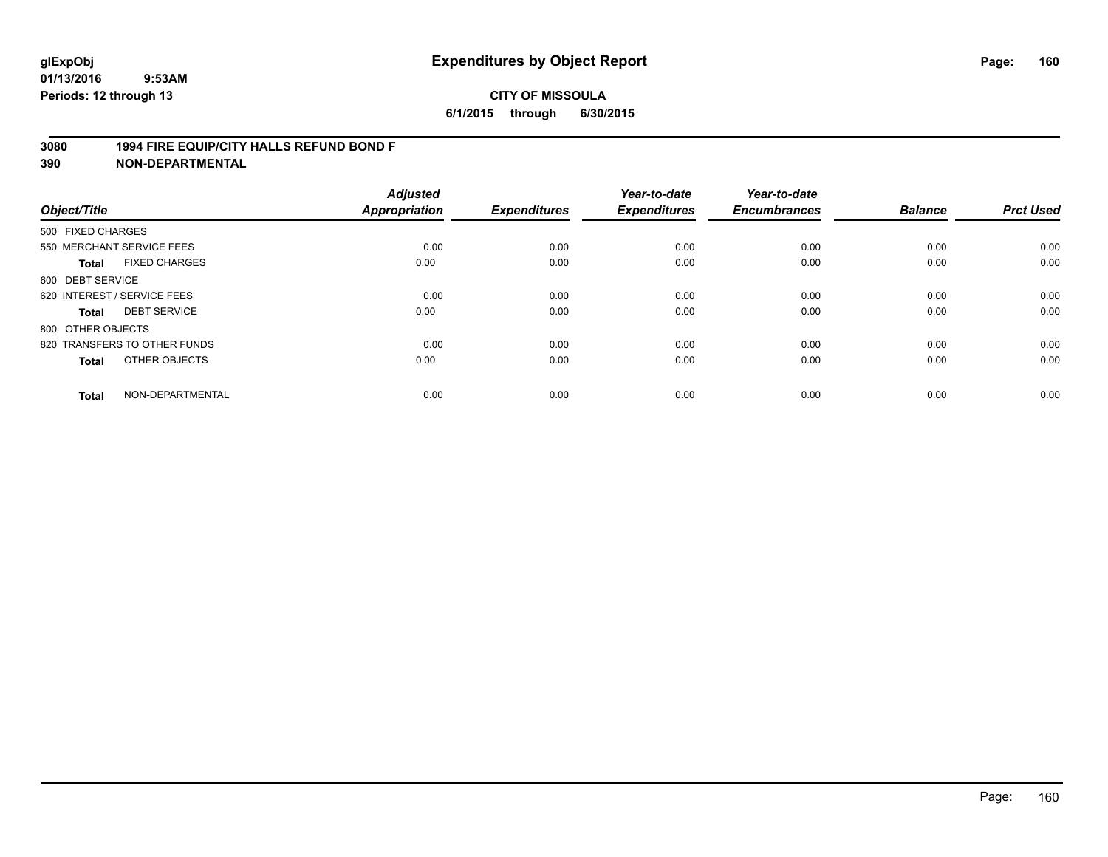### **3080 1994 FIRE EQUIP/CITY HALLS REFUND BOND F**

| Object/Title                 |                      | <b>Adjusted</b><br>Appropriation | <b>Expenditures</b> | Year-to-date<br><b>Expenditures</b> | Year-to-date<br><b>Encumbrances</b> | <b>Balance</b> | <b>Prct Used</b> |
|------------------------------|----------------------|----------------------------------|---------------------|-------------------------------------|-------------------------------------|----------------|------------------|
| 500 FIXED CHARGES            |                      |                                  |                     |                                     |                                     |                |                  |
| 550 MERCHANT SERVICE FEES    |                      | 0.00                             | 0.00                | 0.00                                | 0.00                                | 0.00           | 0.00             |
| <b>Total</b>                 | <b>FIXED CHARGES</b> | 0.00                             | 0.00                | 0.00                                | 0.00                                | 0.00           | 0.00             |
| 600 DEBT SERVICE             |                      |                                  |                     |                                     |                                     |                |                  |
| 620 INTEREST / SERVICE FEES  |                      | 0.00                             | 0.00                | 0.00                                | 0.00                                | 0.00           | 0.00             |
| <b>DEBT SERVICE</b><br>Total |                      | 0.00                             | 0.00                | 0.00                                | 0.00                                | 0.00           | 0.00             |
| 800 OTHER OBJECTS            |                      |                                  |                     |                                     |                                     |                |                  |
| 820 TRANSFERS TO OTHER FUNDS |                      | 0.00                             | 0.00                | 0.00                                | 0.00                                | 0.00           | 0.00             |
| <b>Total</b>                 | OTHER OBJECTS        | 0.00                             | 0.00                | 0.00                                | 0.00                                | 0.00           | 0.00             |
|                              |                      |                                  |                     |                                     |                                     |                |                  |
| <b>Total</b>                 | NON-DEPARTMENTAL     | 0.00                             | 0.00                | 0.00                                | 0.00                                | 0.00           | 0.00             |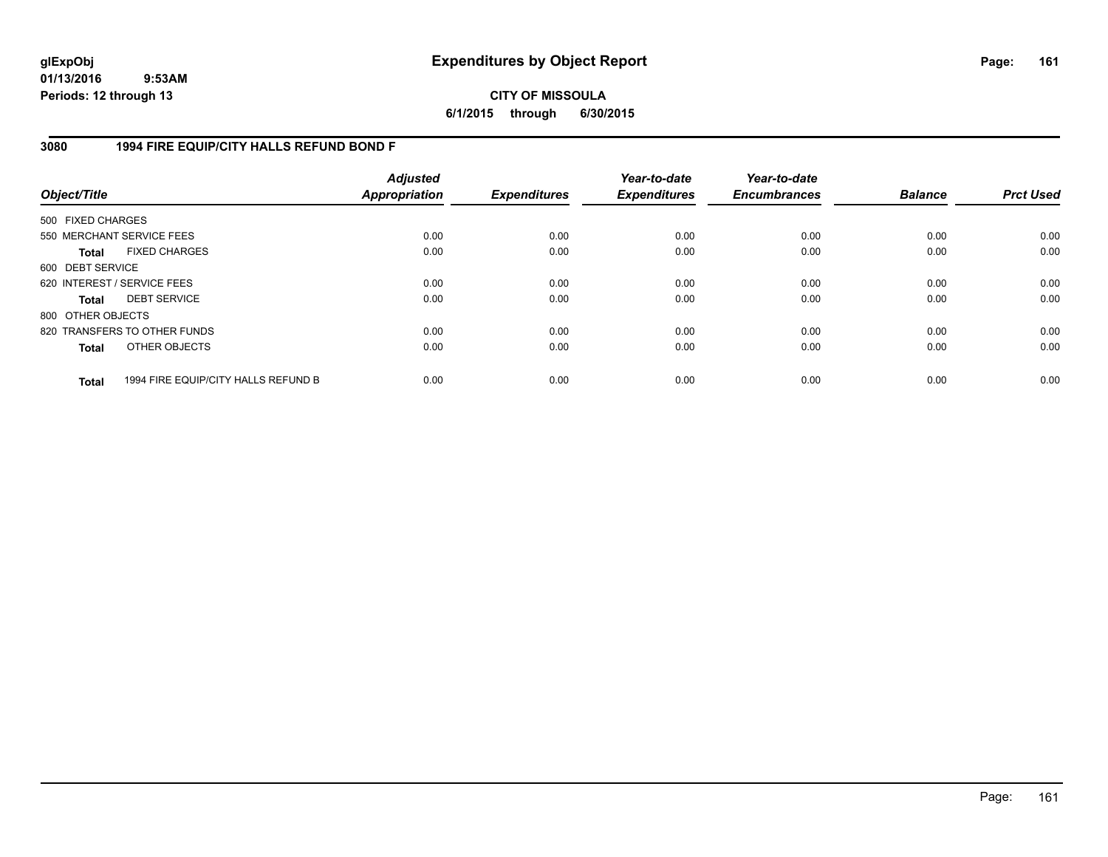## **CITY OF MISSOULA 6/1/2015 through 6/30/2015**

## **3080 1994 FIRE EQUIP/CITY HALLS REFUND BOND F**

| Object/Title                |                                     | <b>Adjusted</b><br>Appropriation | <b>Expenditures</b> | Year-to-date<br><b>Expenditures</b> | Year-to-date<br><b>Encumbrances</b> | <b>Balance</b> | <b>Prct Used</b> |
|-----------------------------|-------------------------------------|----------------------------------|---------------------|-------------------------------------|-------------------------------------|----------------|------------------|
| 500 FIXED CHARGES           |                                     |                                  |                     |                                     |                                     |                |                  |
| 550 MERCHANT SERVICE FEES   |                                     | 0.00                             | 0.00                | 0.00                                | 0.00                                | 0.00           | 0.00             |
| <b>Total</b>                | <b>FIXED CHARGES</b>                | 0.00                             | 0.00                | 0.00                                | 0.00                                | 0.00           | 0.00             |
| 600 DEBT SERVICE            |                                     |                                  |                     |                                     |                                     |                |                  |
| 620 INTEREST / SERVICE FEES |                                     | 0.00                             | 0.00                | 0.00                                | 0.00                                | 0.00           | 0.00             |
| <b>Total</b>                | <b>DEBT SERVICE</b>                 | 0.00                             | 0.00                | 0.00                                | 0.00                                | 0.00           | 0.00             |
| 800 OTHER OBJECTS           |                                     |                                  |                     |                                     |                                     |                |                  |
|                             | 820 TRANSFERS TO OTHER FUNDS        | 0.00                             | 0.00                | 0.00                                | 0.00                                | 0.00           | 0.00             |
| <b>Total</b>                | OTHER OBJECTS                       | 0.00                             | 0.00                | 0.00                                | 0.00                                | 0.00           | 0.00             |
| <b>Total</b>                | 1994 FIRE EQUIP/CITY HALLS REFUND B | 0.00                             | 0.00                | 0.00                                | 0.00                                | 0.00           | 0.00             |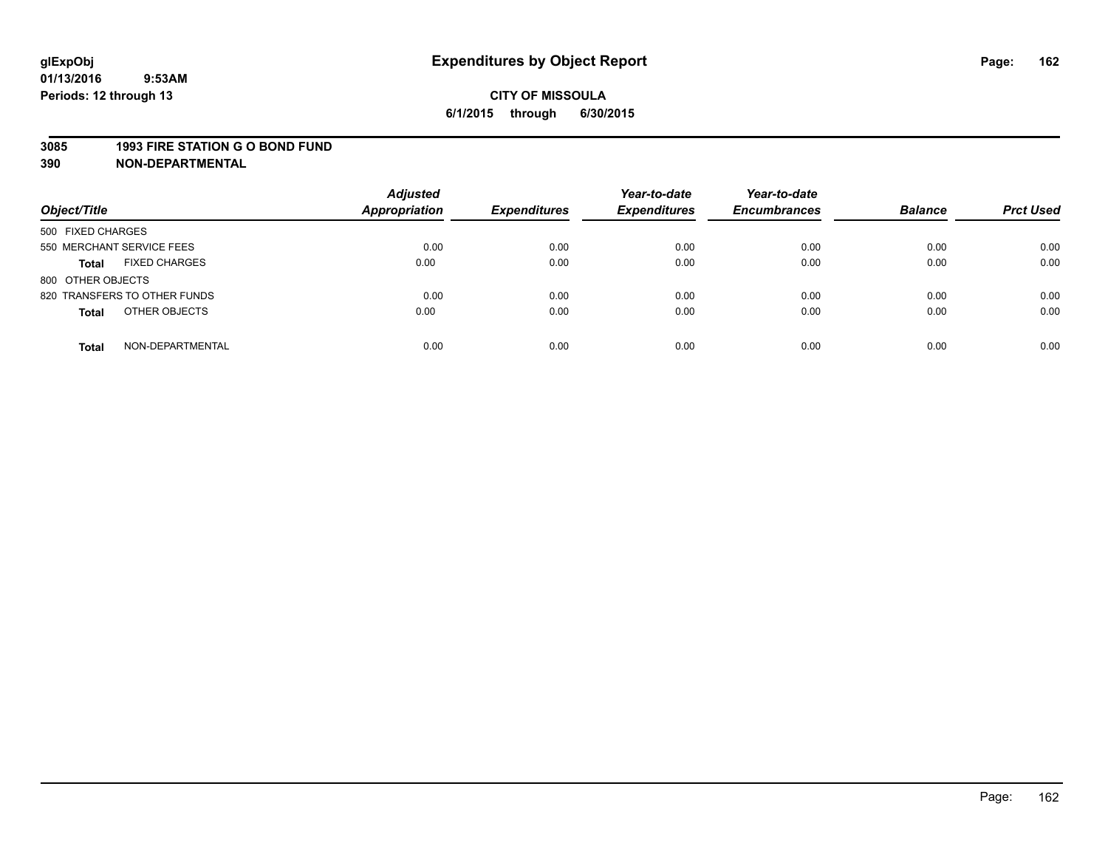#### **3085 1993 FIRE STATION G O BOND FUND**

| Object/Title                         | <b>Adjusted</b><br><b>Appropriation</b> | <b>Expenditures</b> | Year-to-date<br><b>Expenditures</b> | Year-to-date<br><b>Encumbrances</b> | <b>Balance</b> | <b>Prct Used</b> |
|--------------------------------------|-----------------------------------------|---------------------|-------------------------------------|-------------------------------------|----------------|------------------|
| 500 FIXED CHARGES                    |                                         |                     |                                     |                                     |                |                  |
| 550 MERCHANT SERVICE FEES            | 0.00                                    | 0.00                | 0.00                                | 0.00                                | 0.00           | 0.00             |
| <b>FIXED CHARGES</b><br><b>Total</b> | 0.00                                    | 0.00                | 0.00                                | 0.00                                | 0.00           | 0.00             |
| 800 OTHER OBJECTS                    |                                         |                     |                                     |                                     |                |                  |
| 820 TRANSFERS TO OTHER FUNDS         | 0.00                                    | 0.00                | 0.00                                | 0.00                                | 0.00           | 0.00             |
| OTHER OBJECTS<br><b>Total</b>        | 0.00                                    | 0.00                | 0.00                                | 0.00                                | 0.00           | 0.00             |
| NON-DEPARTMENTAL<br><b>Total</b>     | 0.00                                    | 0.00                | 0.00                                | 0.00                                | 0.00           | 0.00             |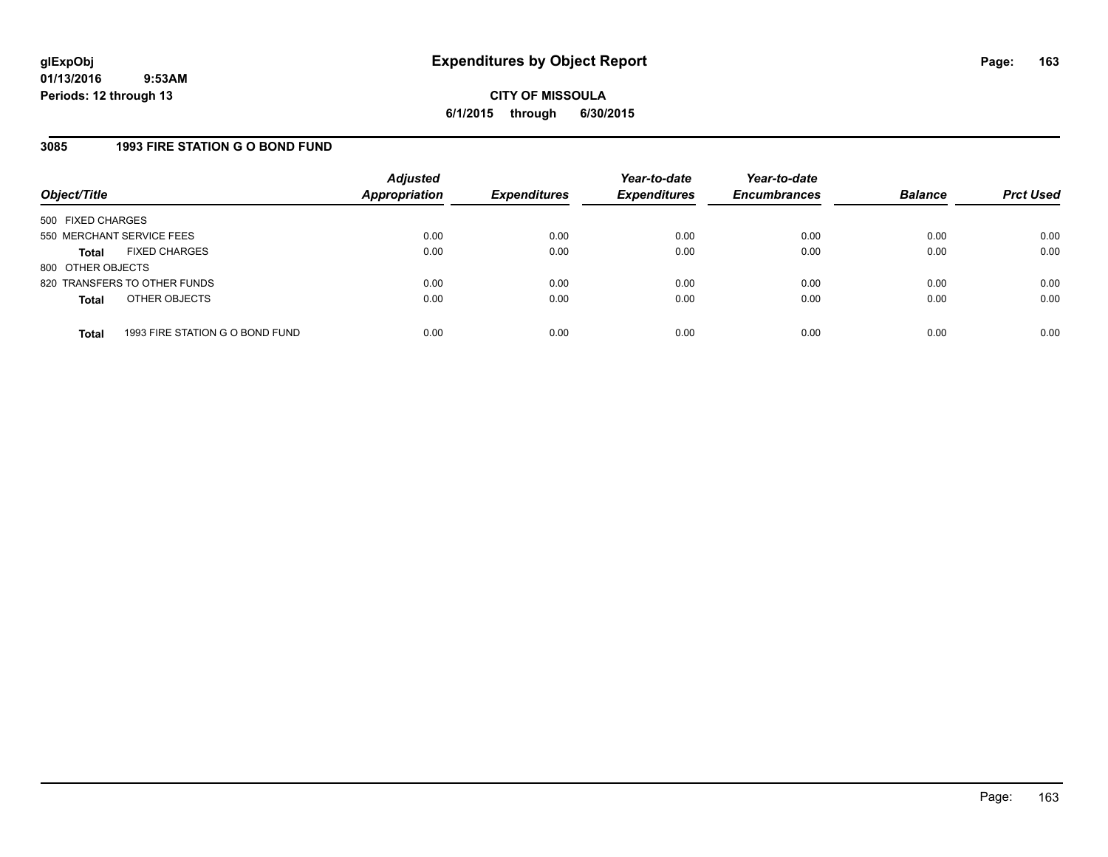## **3085 1993 FIRE STATION G O BOND FUND**

| Object/Title              |                                 | <b>Adjusted</b><br><b>Appropriation</b> | <b>Expenditures</b> | Year-to-date<br><b>Expenditures</b> | Year-to-date<br><b>Encumbrances</b> | <b>Balance</b> | <b>Prct Used</b> |
|---------------------------|---------------------------------|-----------------------------------------|---------------------|-------------------------------------|-------------------------------------|----------------|------------------|
| 500 FIXED CHARGES         |                                 |                                         |                     |                                     |                                     |                |                  |
| 550 MERCHANT SERVICE FEES |                                 | 0.00                                    | 0.00                | 0.00                                | 0.00                                | 0.00           | 0.00             |
| Total                     | <b>FIXED CHARGES</b>            | 0.00                                    | 0.00                | 0.00                                | 0.00                                | 0.00           | 0.00             |
| 800 OTHER OBJECTS         |                                 |                                         |                     |                                     |                                     |                |                  |
|                           | 820 TRANSFERS TO OTHER FUNDS    | 0.00                                    | 0.00                | 0.00                                | 0.00                                | 0.00           | 0.00             |
| <b>Total</b>              | OTHER OBJECTS                   | 0.00                                    | 0.00                | 0.00                                | 0.00                                | 0.00           | 0.00             |
|                           |                                 |                                         |                     |                                     |                                     |                |                  |
| <b>Total</b>              | 1993 FIRE STATION G O BOND FUND | 0.00                                    | 0.00                | 0.00                                | 0.00                                | 0.00           | 0.00             |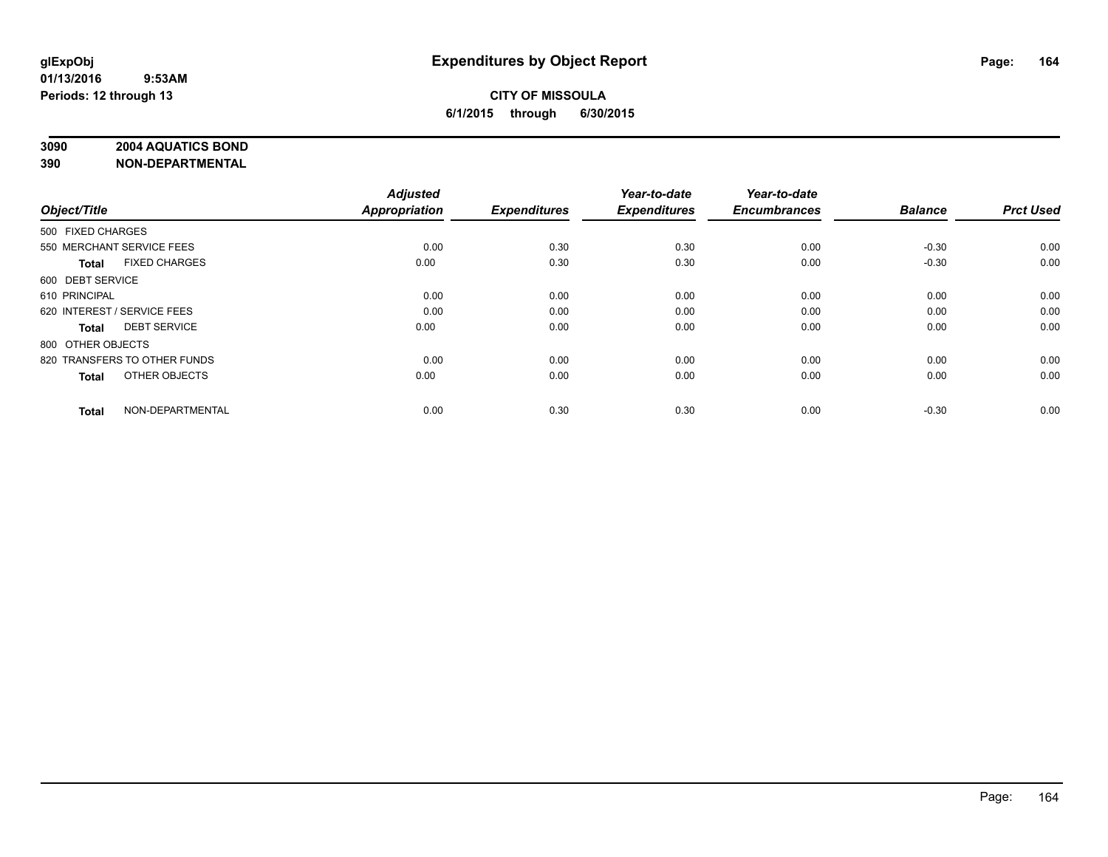### **3090 2004 AQUATICS BOND**

| Object/Title                         | <b>Adjusted</b><br><b>Appropriation</b> | <b>Expenditures</b> | Year-to-date<br><b>Expenditures</b> | Year-to-date<br><b>Encumbrances</b> | <b>Balance</b> | <b>Prct Used</b> |
|--------------------------------------|-----------------------------------------|---------------------|-------------------------------------|-------------------------------------|----------------|------------------|
| 500 FIXED CHARGES                    |                                         |                     |                                     |                                     |                |                  |
| 550 MERCHANT SERVICE FEES            | 0.00                                    | 0.30                | 0.30                                | 0.00                                | $-0.30$        | 0.00             |
| <b>FIXED CHARGES</b><br><b>Total</b> | 0.00                                    | 0.30                | 0.30                                | 0.00                                | $-0.30$        | 0.00             |
| 600 DEBT SERVICE                     |                                         |                     |                                     |                                     |                |                  |
| 610 PRINCIPAL                        | 0.00                                    | 0.00                | 0.00                                | 0.00                                | 0.00           | 0.00             |
| 620 INTEREST / SERVICE FEES          | 0.00                                    | 0.00                | 0.00                                | 0.00                                | 0.00           | 0.00             |
| <b>DEBT SERVICE</b><br><b>Total</b>  | 0.00                                    | 0.00                | 0.00                                | 0.00                                | 0.00           | 0.00             |
| 800 OTHER OBJECTS                    |                                         |                     |                                     |                                     |                |                  |
| 820 TRANSFERS TO OTHER FUNDS         | 0.00                                    | 0.00                | 0.00                                | 0.00                                | 0.00           | 0.00             |
| OTHER OBJECTS<br><b>Total</b>        | 0.00                                    | 0.00                | 0.00                                | 0.00                                | 0.00           | 0.00             |
|                                      |                                         |                     |                                     |                                     |                |                  |
| NON-DEPARTMENTAL<br><b>Total</b>     | 0.00                                    | 0.30                | 0.30                                | 0.00                                | $-0.30$        | 0.00             |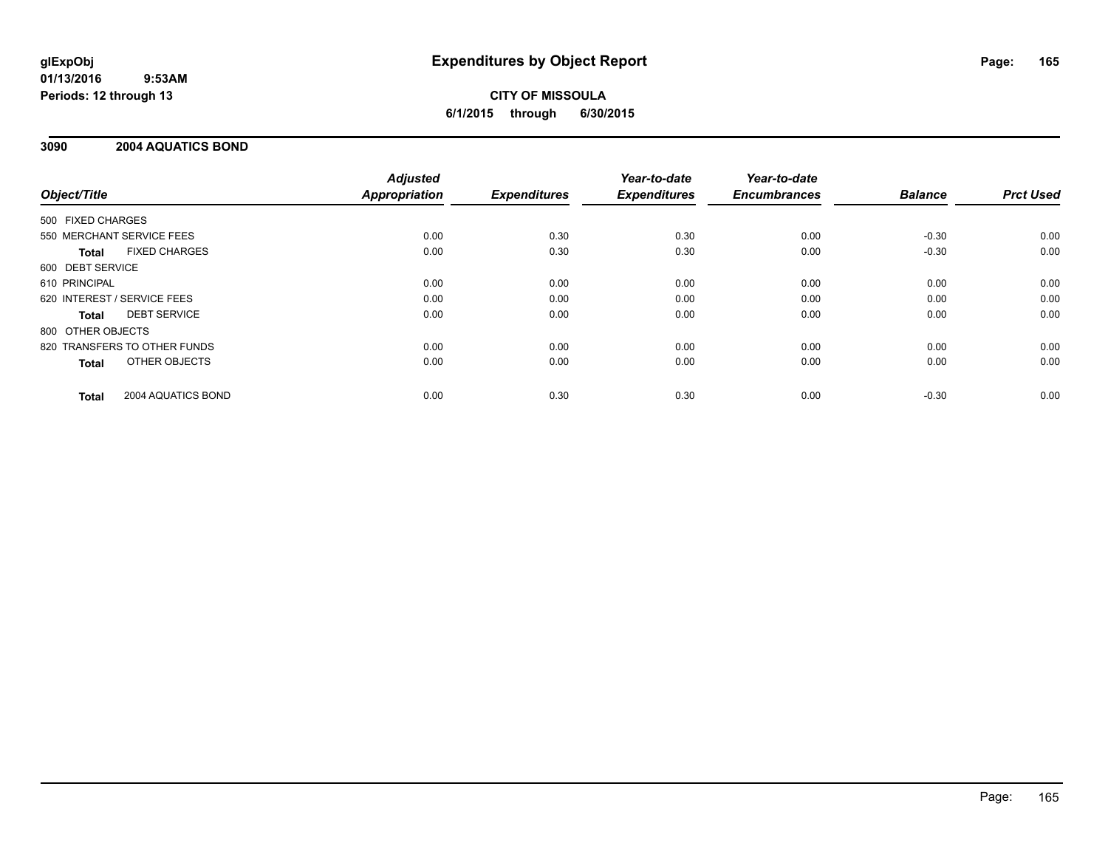## **CITY OF MISSOULA 6/1/2015 through 6/30/2015**

## **3090 2004 AQUATICS BOND**

|                   |                              | <b>Adjusted</b>      |                     | Year-to-date        | Year-to-date        |                |                  |
|-------------------|------------------------------|----------------------|---------------------|---------------------|---------------------|----------------|------------------|
| Object/Title      |                              | <b>Appropriation</b> | <b>Expenditures</b> | <b>Expenditures</b> | <b>Encumbrances</b> | <b>Balance</b> | <b>Prct Used</b> |
| 500 FIXED CHARGES |                              |                      |                     |                     |                     |                |                  |
|                   | 550 MERCHANT SERVICE FEES    | 0.00                 | 0.30                | 0.30                | 0.00                | $-0.30$        | 0.00             |
| Total             | <b>FIXED CHARGES</b>         | 0.00                 | 0.30                | 0.30                | 0.00                | $-0.30$        | 0.00             |
| 600 DEBT SERVICE  |                              |                      |                     |                     |                     |                |                  |
| 610 PRINCIPAL     |                              | 0.00                 | 0.00                | 0.00                | 0.00                | 0.00           | 0.00             |
|                   | 620 INTEREST / SERVICE FEES  | 0.00                 | 0.00                | 0.00                | 0.00                | 0.00           | 0.00             |
| Total             | <b>DEBT SERVICE</b>          | 0.00                 | 0.00                | 0.00                | 0.00                | 0.00           | 0.00             |
| 800 OTHER OBJECTS |                              |                      |                     |                     |                     |                |                  |
|                   | 820 TRANSFERS TO OTHER FUNDS | 0.00                 | 0.00                | 0.00                | 0.00                | 0.00           | 0.00             |
| <b>Total</b>      | OTHER OBJECTS                | 0.00                 | 0.00                | 0.00                | 0.00                | 0.00           | 0.00             |
| <b>Total</b>      | 2004 AQUATICS BOND           | 0.00                 | 0.30                | 0.30                | 0.00                | $-0.30$        | 0.00             |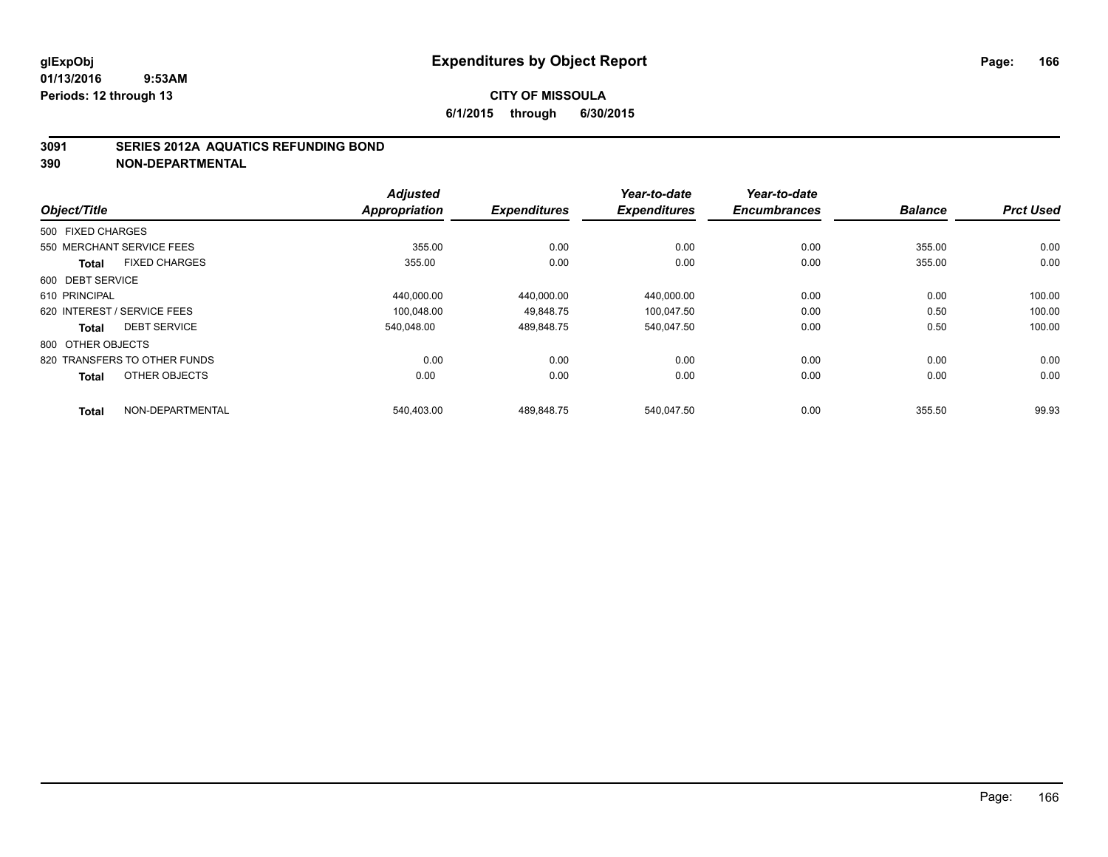### **3091 SERIES 2012A AQUATICS REFUNDING BOND**

| Object/Title      |                              | <b>Adjusted</b><br><b>Appropriation</b> | <b>Expenditures</b> | Year-to-date<br><b>Expenditures</b> | Year-to-date<br><b>Encumbrances</b> | <b>Balance</b> | <b>Prct Used</b> |
|-------------------|------------------------------|-----------------------------------------|---------------------|-------------------------------------|-------------------------------------|----------------|------------------|
|                   |                              |                                         |                     |                                     |                                     |                |                  |
| 500 FIXED CHARGES |                              |                                         |                     |                                     |                                     |                |                  |
|                   | 550 MERCHANT SERVICE FEES    | 355.00                                  | 0.00                | 0.00                                | 0.00                                | 355.00         | 0.00             |
| <b>Total</b>      | <b>FIXED CHARGES</b>         | 355.00                                  | 0.00                | 0.00                                | 0.00                                | 355.00         | 0.00             |
| 600 DEBT SERVICE  |                              |                                         |                     |                                     |                                     |                |                  |
| 610 PRINCIPAL     |                              | 440.000.00                              | 440,000.00          | 440,000.00                          | 0.00                                | 0.00           | 100.00           |
|                   | 620 INTEREST / SERVICE FEES  | 100.048.00                              | 49.848.75           | 100.047.50                          | 0.00                                | 0.50           | 100.00           |
| Total             | <b>DEBT SERVICE</b>          | 540.048.00                              | 489,848.75          | 540,047.50                          | 0.00                                | 0.50           | 100.00           |
| 800 OTHER OBJECTS |                              |                                         |                     |                                     |                                     |                |                  |
|                   | 820 TRANSFERS TO OTHER FUNDS | 0.00                                    | 0.00                | 0.00                                | 0.00                                | 0.00           | 0.00             |
| <b>Total</b>      | OTHER OBJECTS                | 0.00                                    | 0.00                | 0.00                                | 0.00                                | 0.00           | 0.00             |
| <b>Total</b>      | NON-DEPARTMENTAL             | 540,403.00                              | 489,848.75          | 540,047.50                          | 0.00                                | 355.50         | 99.93            |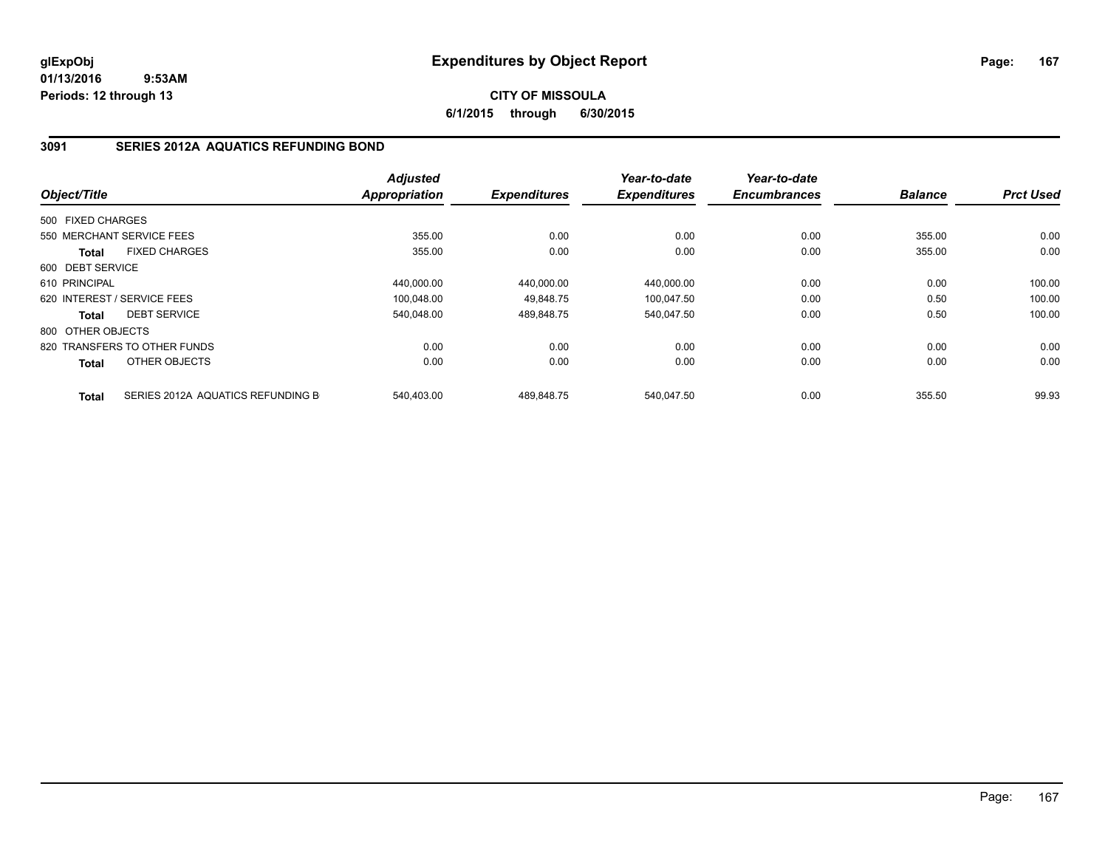## **CITY OF MISSOULA 6/1/2015 through 6/30/2015**

## **3091 SERIES 2012A AQUATICS REFUNDING BOND**

|                   |                                   | <b>Adjusted</b> |                     | Year-to-date        | Year-to-date        |                |                  |
|-------------------|-----------------------------------|-----------------|---------------------|---------------------|---------------------|----------------|------------------|
| Object/Title      |                                   | Appropriation   | <b>Expenditures</b> | <b>Expenditures</b> | <b>Encumbrances</b> | <b>Balance</b> | <b>Prct Used</b> |
| 500 FIXED CHARGES |                                   |                 |                     |                     |                     |                |                  |
|                   | 550 MERCHANT SERVICE FEES         | 355.00          | 0.00                | 0.00                | 0.00                | 355.00         | 0.00             |
| <b>Total</b>      | <b>FIXED CHARGES</b>              | 355.00          | 0.00                | 0.00                | 0.00                | 355.00         | 0.00             |
| 600 DEBT SERVICE  |                                   |                 |                     |                     |                     |                |                  |
| 610 PRINCIPAL     |                                   | 440,000.00      | 440.000.00          | 440,000.00          | 0.00                | 0.00           | 100.00           |
|                   | 620 INTEREST / SERVICE FEES       | 100,048.00      | 49.848.75           | 100.047.50          | 0.00                | 0.50           | 100.00           |
| <b>Total</b>      | <b>DEBT SERVICE</b>               | 540.048.00      | 489,848.75          | 540.047.50          | 0.00                | 0.50           | 100.00           |
| 800 OTHER OBJECTS |                                   |                 |                     |                     |                     |                |                  |
|                   | 820 TRANSFERS TO OTHER FUNDS      | 0.00            | 0.00                | 0.00                | 0.00                | 0.00           | 0.00             |
| <b>Total</b>      | OTHER OBJECTS                     | 0.00            | 0.00                | 0.00                | 0.00                | 0.00           | 0.00             |
| <b>Total</b>      | SERIES 2012A AQUATICS REFUNDING B | 540.403.00      | 489.848.75          | 540.047.50          | 0.00                | 355.50         | 99.93            |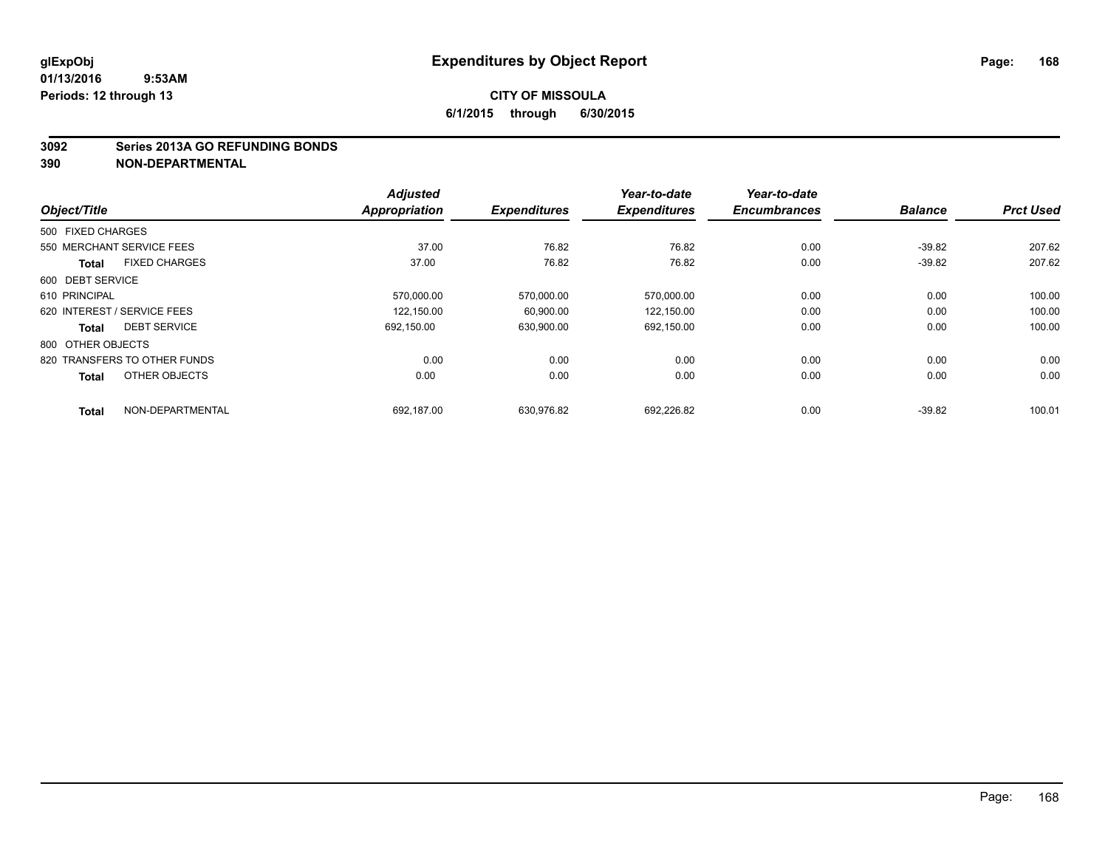#### **3092 Series 2013A GO REFUNDING BONDS**

|                             |                              | <b>Adjusted</b>      |                     | Year-to-date        | Year-to-date        |                |                  |
|-----------------------------|------------------------------|----------------------|---------------------|---------------------|---------------------|----------------|------------------|
| Object/Title                |                              | <b>Appropriation</b> | <b>Expenditures</b> | <b>Expenditures</b> | <b>Encumbrances</b> | <b>Balance</b> | <b>Prct Used</b> |
| 500 FIXED CHARGES           |                              |                      |                     |                     |                     |                |                  |
| 550 MERCHANT SERVICE FEES   |                              | 37.00                | 76.82               | 76.82               | 0.00                | $-39.82$       | 207.62           |
| <b>Total</b>                | <b>FIXED CHARGES</b>         | 37.00                | 76.82               | 76.82               | 0.00                | $-39.82$       | 207.62           |
| 600 DEBT SERVICE            |                              |                      |                     |                     |                     |                |                  |
| 610 PRINCIPAL               |                              | 570,000.00           | 570,000.00          | 570,000.00          | 0.00                | 0.00           | 100.00           |
| 620 INTEREST / SERVICE FEES |                              | 122.150.00           | 60.900.00           | 122.150.00          | 0.00                | 0.00           | 100.00           |
| <b>Total</b>                | <b>DEBT SERVICE</b>          | 692.150.00           | 630,900.00          | 692,150.00          | 0.00                | 0.00           | 100.00           |
| 800 OTHER OBJECTS           |                              |                      |                     |                     |                     |                |                  |
|                             | 820 TRANSFERS TO OTHER FUNDS | 0.00                 | 0.00                | 0.00                | 0.00                | 0.00           | 0.00             |
| <b>Total</b>                | OTHER OBJECTS                | 0.00                 | 0.00                | 0.00                | 0.00                | 0.00           | 0.00             |
| <b>Total</b>                | NON-DEPARTMENTAL             | 692.187.00           | 630.976.82          | 692.226.82          | 0.00                | $-39.82$       | 100.01           |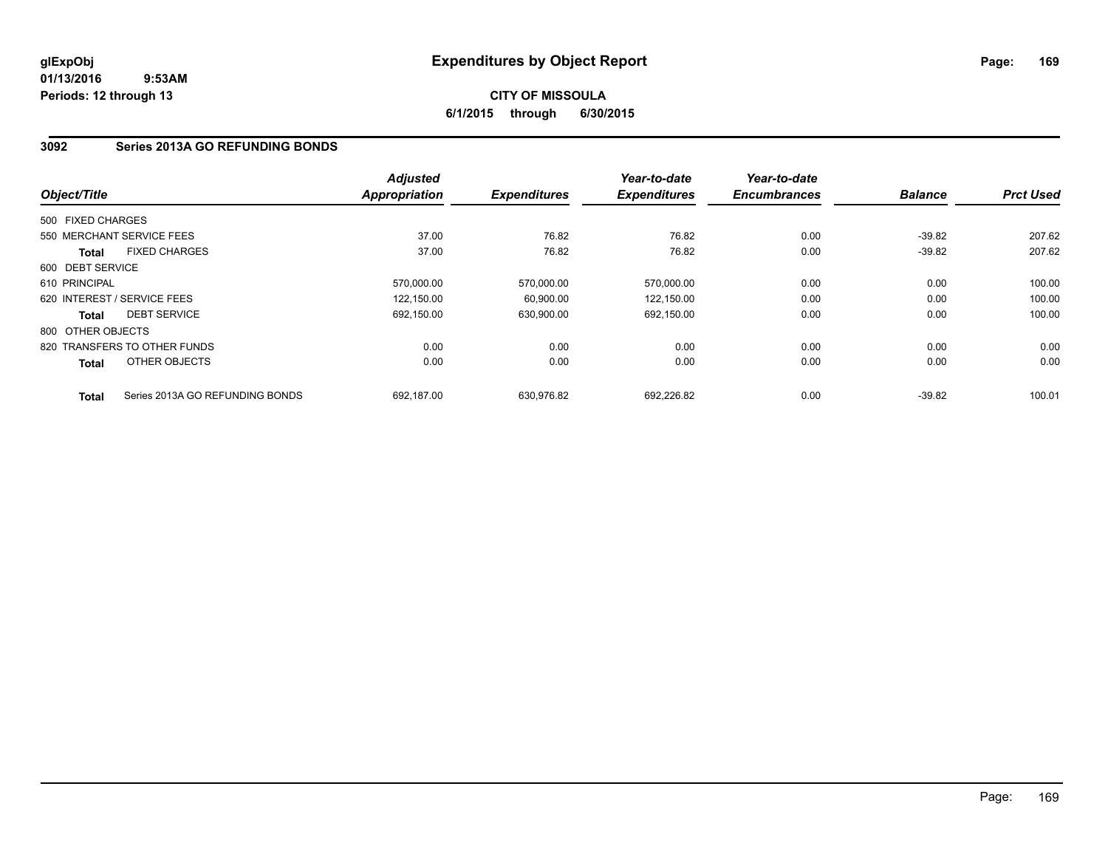## **CITY OF MISSOULA 6/1/2015 through 6/30/2015**

## **3092 Series 2013A GO REFUNDING BONDS**

|                   |                                 | <b>Adjusted</b><br><b>Appropriation</b> |                     | Year-to-date<br><b>Expenditures</b> | Year-to-date<br><b>Encumbrances</b> | <b>Balance</b> | <b>Prct Used</b> |
|-------------------|---------------------------------|-----------------------------------------|---------------------|-------------------------------------|-------------------------------------|----------------|------------------|
| Object/Title      |                                 |                                         | <b>Expenditures</b> |                                     |                                     |                |                  |
| 500 FIXED CHARGES |                                 |                                         |                     |                                     |                                     |                |                  |
|                   | 550 MERCHANT SERVICE FEES       | 37.00                                   | 76.82               | 76.82                               | 0.00                                | $-39.82$       | 207.62           |
| <b>Total</b>      | <b>FIXED CHARGES</b>            | 37.00                                   | 76.82               | 76.82                               | 0.00                                | $-39.82$       | 207.62           |
| 600 DEBT SERVICE  |                                 |                                         |                     |                                     |                                     |                |                  |
| 610 PRINCIPAL     |                                 | 570.000.00                              | 570.000.00          | 570,000.00                          | 0.00                                | 0.00           | 100.00           |
|                   | 620 INTEREST / SERVICE FEES     | 122.150.00                              | 60,900.00           | 122,150.00                          | 0.00                                | 0.00           | 100.00           |
| <b>Total</b>      | <b>DEBT SERVICE</b>             | 692,150.00                              | 630,900.00          | 692,150.00                          | 0.00                                | 0.00           | 100.00           |
| 800 OTHER OBJECTS |                                 |                                         |                     |                                     |                                     |                |                  |
|                   | 820 TRANSFERS TO OTHER FUNDS    | 0.00                                    | 0.00                | 0.00                                | 0.00                                | 0.00           | 0.00             |
| <b>Total</b>      | OTHER OBJECTS                   | 0.00                                    | 0.00                | 0.00                                | 0.00                                | 0.00           | 0.00             |
| <b>Total</b>      | Series 2013A GO REFUNDING BONDS | 692.187.00                              | 630.976.82          | 692.226.82                          | 0.00                                | $-39.82$       | 100.01           |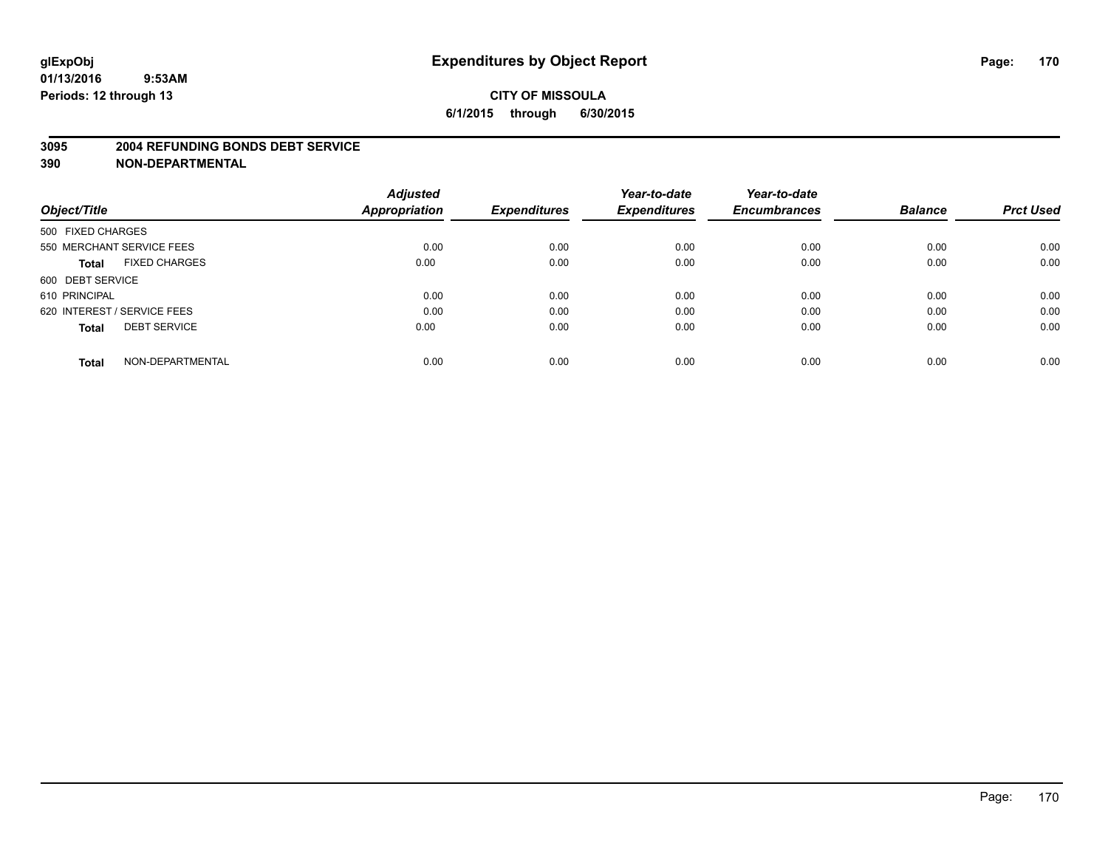#### **3095 2004 REFUNDING BONDS DEBT SERVICE**

|                                      | <b>Adjusted</b>      |                     | Year-to-date        | Year-to-date        |                |                  |
|--------------------------------------|----------------------|---------------------|---------------------|---------------------|----------------|------------------|
| Object/Title                         | <b>Appropriation</b> | <b>Expenditures</b> | <b>Expenditures</b> | <b>Encumbrances</b> | <b>Balance</b> | <b>Prct Used</b> |
| 500 FIXED CHARGES                    |                      |                     |                     |                     |                |                  |
| 550 MERCHANT SERVICE FEES            | 0.00                 | 0.00                | 0.00                | 0.00                | 0.00           | 0.00             |
| <b>FIXED CHARGES</b><br><b>Total</b> | 0.00                 | 0.00                | 0.00                | 0.00                | 0.00           | 0.00             |
| 600 DEBT SERVICE                     |                      |                     |                     |                     |                |                  |
| 610 PRINCIPAL                        | 0.00                 | 0.00                | 0.00                | 0.00                | 0.00           | 0.00             |
| 620 INTEREST / SERVICE FEES          | 0.00                 | 0.00                | 0.00                | 0.00                | 0.00           | 0.00             |
| <b>DEBT SERVICE</b><br><b>Total</b>  | 0.00                 | 0.00                | 0.00                | 0.00                | 0.00           | 0.00             |
| NON-DEPARTMENTAL<br><b>Total</b>     | 0.00                 | 0.00                | 0.00                | 0.00                | 0.00           | 0.00             |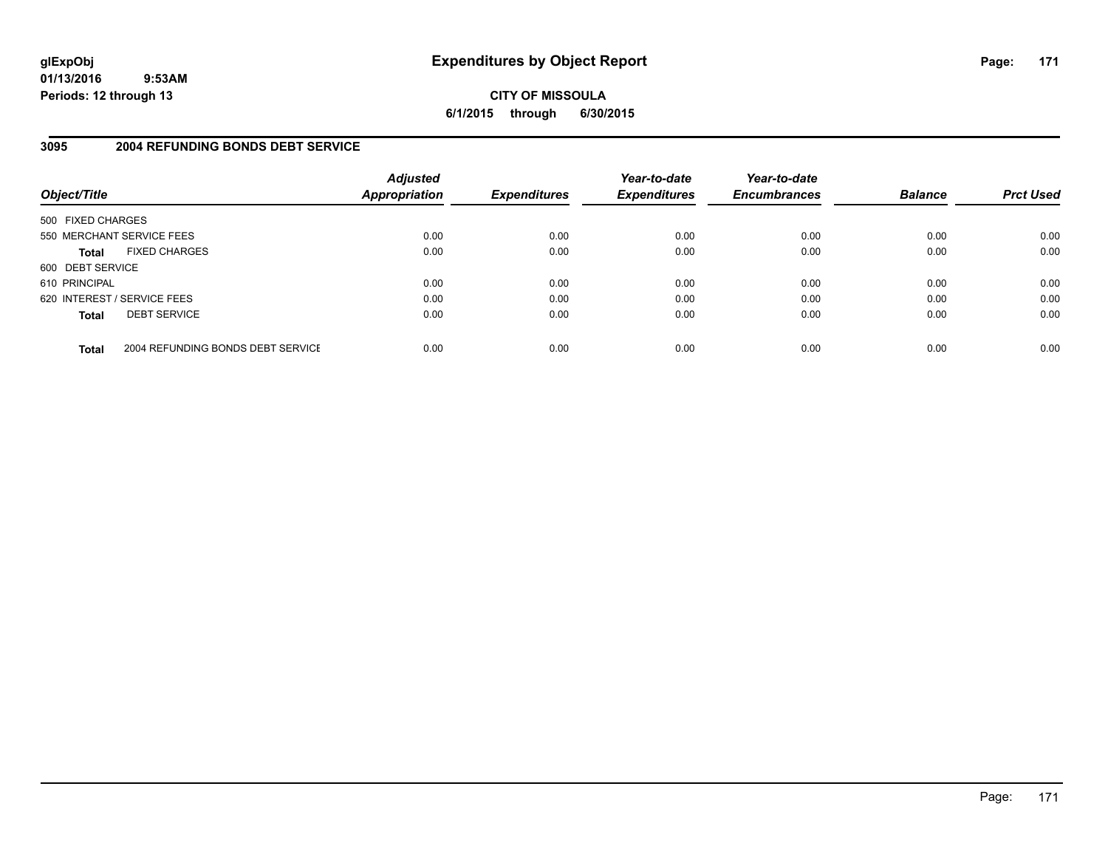## **CITY OF MISSOULA 6/1/2015 through 6/30/2015**

## **3095 2004 REFUNDING BONDS DEBT SERVICE**

| Object/Title                |                                   | <b>Adjusted</b><br><b>Appropriation</b> | <b>Expenditures</b> | Year-to-date<br><b>Expenditures</b> | Year-to-date<br><b>Encumbrances</b> | <b>Balance</b> | <b>Prct Used</b> |
|-----------------------------|-----------------------------------|-----------------------------------------|---------------------|-------------------------------------|-------------------------------------|----------------|------------------|
| 500 FIXED CHARGES           |                                   |                                         |                     |                                     |                                     |                |                  |
| 550 MERCHANT SERVICE FEES   |                                   | 0.00                                    | 0.00                | 0.00                                | 0.00                                | 0.00           | 0.00             |
| <b>Total</b>                | <b>FIXED CHARGES</b>              | 0.00                                    | 0.00                | 0.00                                | 0.00                                | 0.00           | 0.00             |
| 600 DEBT SERVICE            |                                   |                                         |                     |                                     |                                     |                |                  |
| 610 PRINCIPAL               |                                   | 0.00                                    | 0.00                | 0.00                                | 0.00                                | 0.00           | 0.00             |
| 620 INTEREST / SERVICE FEES |                                   | 0.00                                    | 0.00                | 0.00                                | 0.00                                | 0.00           | 0.00             |
| <b>Total</b>                | <b>DEBT SERVICE</b>               | 0.00                                    | 0.00                | 0.00                                | 0.00                                | 0.00           | 0.00             |
| <b>Total</b>                | 2004 REFUNDING BONDS DEBT SERVICE | 0.00                                    | 0.00                | 0.00                                | 0.00                                | 0.00           | 0.00             |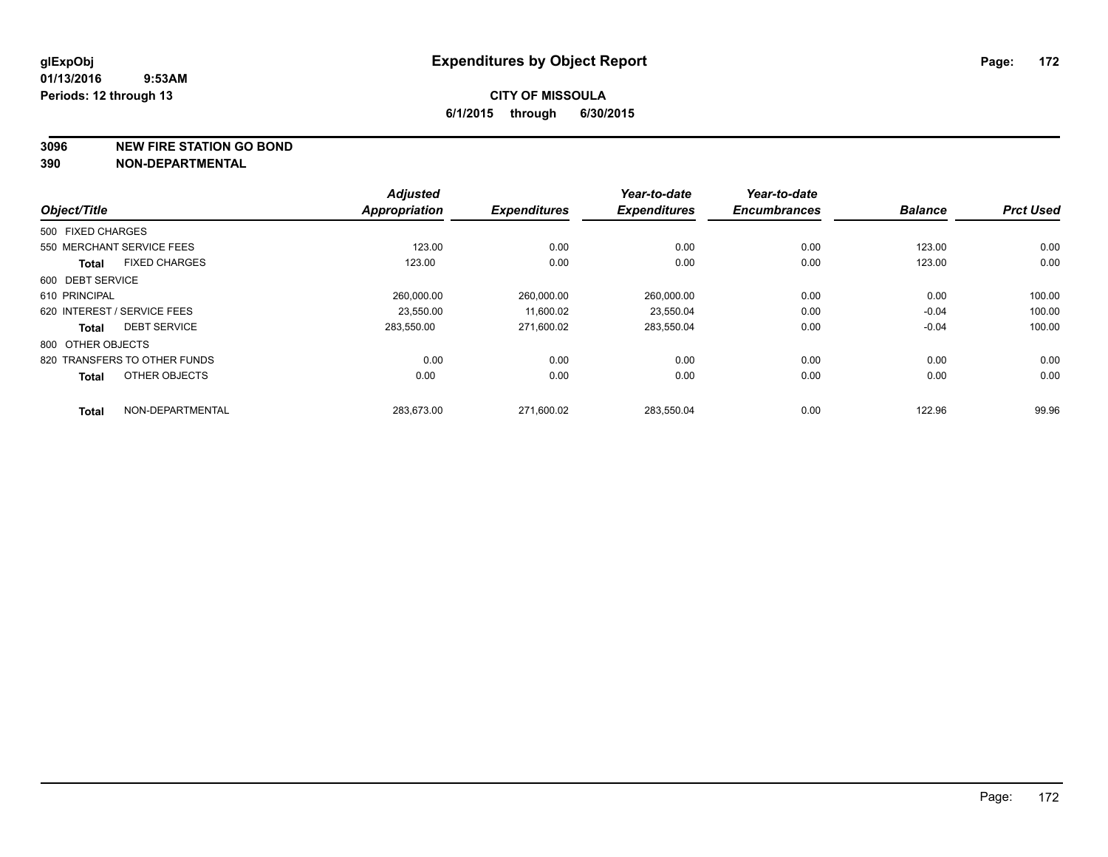**3096 NEW FIRE STATION GO BOND**

|                                      | <b>Adjusted</b>      |                     | Year-to-date        | Year-to-date        |                |                  |
|--------------------------------------|----------------------|---------------------|---------------------|---------------------|----------------|------------------|
| Object/Title                         | <b>Appropriation</b> | <b>Expenditures</b> | <b>Expenditures</b> | <b>Encumbrances</b> | <b>Balance</b> | <b>Prct Used</b> |
| 500 FIXED CHARGES                    |                      |                     |                     |                     |                |                  |
| 550 MERCHANT SERVICE FEES            | 123.00               | 0.00                | 0.00                | 0.00                | 123.00         | 0.00             |
| <b>FIXED CHARGES</b><br><b>Total</b> | 123.00               | 0.00                | 0.00                | 0.00                | 123.00         | 0.00             |
| 600 DEBT SERVICE                     |                      |                     |                     |                     |                |                  |
| 610 PRINCIPAL                        | 260,000.00           | 260,000.00          | 260,000.00          | 0.00                | 0.00           | 100.00           |
| 620 INTEREST / SERVICE FEES          | 23.550.00            | 11.600.02           | 23,550.04           | 0.00                | $-0.04$        | 100.00           |
| <b>DEBT SERVICE</b><br><b>Total</b>  | 283.550.00           | 271,600.02          | 283,550.04          | 0.00                | $-0.04$        | 100.00           |
| 800 OTHER OBJECTS                    |                      |                     |                     |                     |                |                  |
| 820 TRANSFERS TO OTHER FUNDS         | 0.00                 | 0.00                | 0.00                | 0.00                | 0.00           | 0.00             |
| OTHER OBJECTS<br><b>Total</b>        | 0.00                 | 0.00                | 0.00                | 0.00                | 0.00           | 0.00             |
| NON-DEPARTMENTAL<br><b>Total</b>     | 283,673.00           | 271,600.02          | 283,550.04          | 0.00                | 122.96         | 99.96            |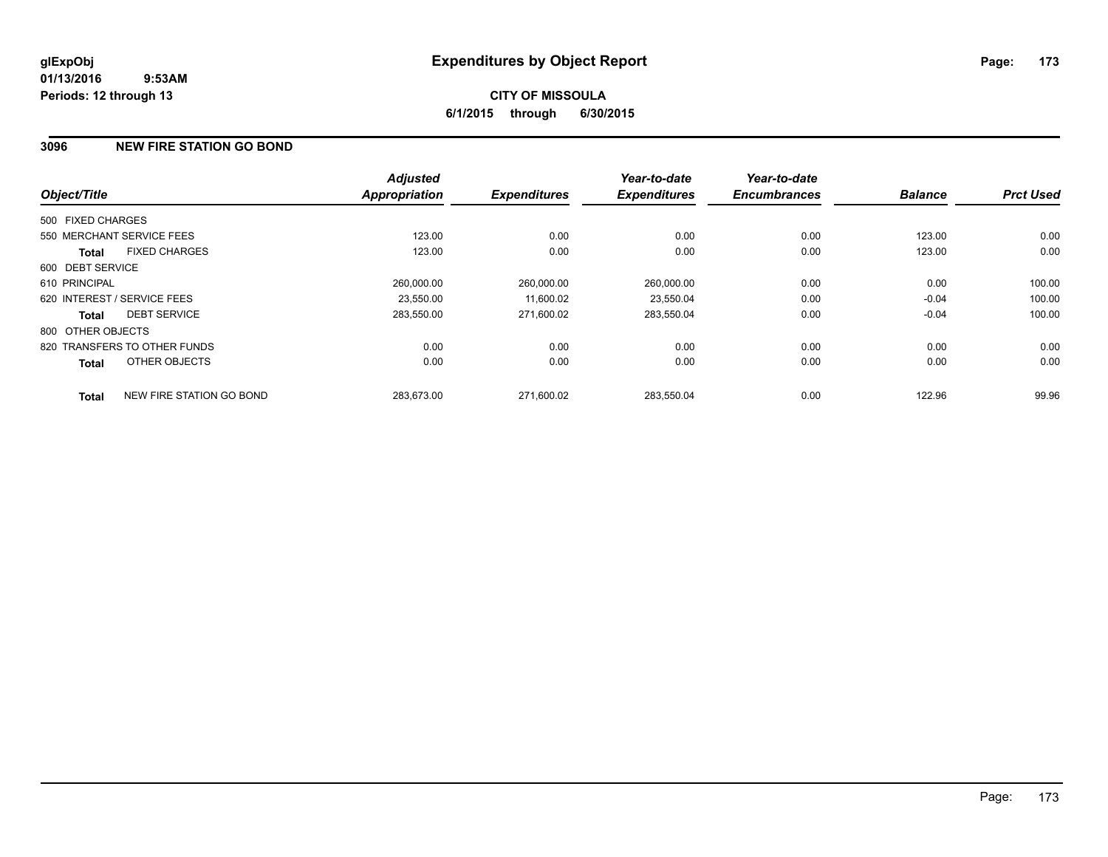## **CITY OF MISSOULA 6/1/2015 through 6/30/2015**

### **3096 NEW FIRE STATION GO BOND**

|                   |                              | <b>Adjusted</b>      |                     | Year-to-date        | Year-to-date        |                |                  |
|-------------------|------------------------------|----------------------|---------------------|---------------------|---------------------|----------------|------------------|
| Object/Title      |                              | <b>Appropriation</b> | <b>Expenditures</b> | <b>Expenditures</b> | <b>Encumbrances</b> | <b>Balance</b> | <b>Prct Used</b> |
| 500 FIXED CHARGES |                              |                      |                     |                     |                     |                |                  |
|                   | 550 MERCHANT SERVICE FEES    | 123.00               | 0.00                | 0.00                | 0.00                | 123.00         | 0.00             |
| <b>Total</b>      | <b>FIXED CHARGES</b>         | 123.00               | 0.00                | 0.00                | 0.00                | 123.00         | 0.00             |
| 600 DEBT SERVICE  |                              |                      |                     |                     |                     |                |                  |
| 610 PRINCIPAL     |                              | 260,000.00           | 260.000.00          | 260,000.00          | 0.00                | 0.00           | 100.00           |
|                   | 620 INTEREST / SERVICE FEES  | 23.550.00            | 11,600.02           | 23,550.04           | 0.00                | $-0.04$        | 100.00           |
| <b>Total</b>      | <b>DEBT SERVICE</b>          | 283,550.00           | 271,600.02          | 283,550.04          | 0.00                | $-0.04$        | 100.00           |
| 800 OTHER OBJECTS |                              |                      |                     |                     |                     |                |                  |
|                   | 820 TRANSFERS TO OTHER FUNDS | 0.00                 | 0.00                | 0.00                | 0.00                | 0.00           | 0.00             |
| <b>Total</b>      | OTHER OBJECTS                | 0.00                 | 0.00                | 0.00                | 0.00                | 0.00           | 0.00             |
| <b>Total</b>      | NEW FIRE STATION GO BOND     | 283,673.00           | 271.600.02          | 283.550.04          | 0.00                | 122.96         | 99.96            |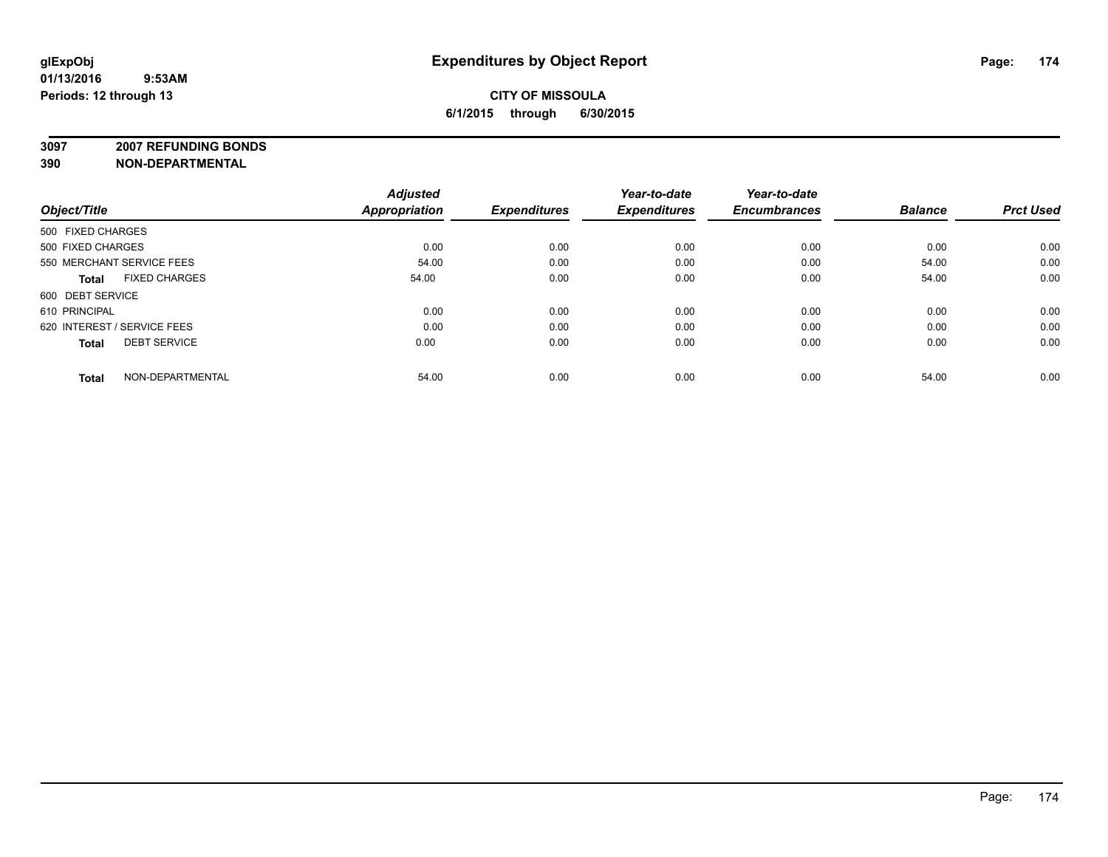**3097 2007 REFUNDING BONDS**

| Object/Title                         | <b>Adjusted</b><br><b>Appropriation</b> | <b>Expenditures</b> | Year-to-date<br><b>Expenditures</b> | Year-to-date<br><b>Encumbrances</b> | <b>Balance</b> | <b>Prct Used</b> |
|--------------------------------------|-----------------------------------------|---------------------|-------------------------------------|-------------------------------------|----------------|------------------|
| 500 FIXED CHARGES                    |                                         |                     |                                     |                                     |                |                  |
| 500 FIXED CHARGES                    | 0.00                                    | 0.00                | 0.00                                | 0.00                                | 0.00           | 0.00             |
| 550 MERCHANT SERVICE FEES            | 54.00                                   | 0.00                | 0.00                                | 0.00                                | 54.00          | 0.00             |
| <b>FIXED CHARGES</b><br><b>Total</b> | 54.00                                   | 0.00                | 0.00                                | 0.00                                | 54.00          | 0.00             |
| 600 DEBT SERVICE                     |                                         |                     |                                     |                                     |                |                  |
| 610 PRINCIPAL                        | 0.00                                    | 0.00                | 0.00                                | 0.00                                | 0.00           | 0.00             |
| 620 INTEREST / SERVICE FEES          | 0.00                                    | 0.00                | 0.00                                | 0.00                                | 0.00           | 0.00             |
| <b>DEBT SERVICE</b><br><b>Total</b>  | 0.00                                    | 0.00                | 0.00                                | 0.00                                | 0.00           | 0.00             |
| NON-DEPARTMENTAL<br><b>Total</b>     | 54.00                                   | 0.00                | 0.00                                | 0.00                                | 54.00          | 0.00             |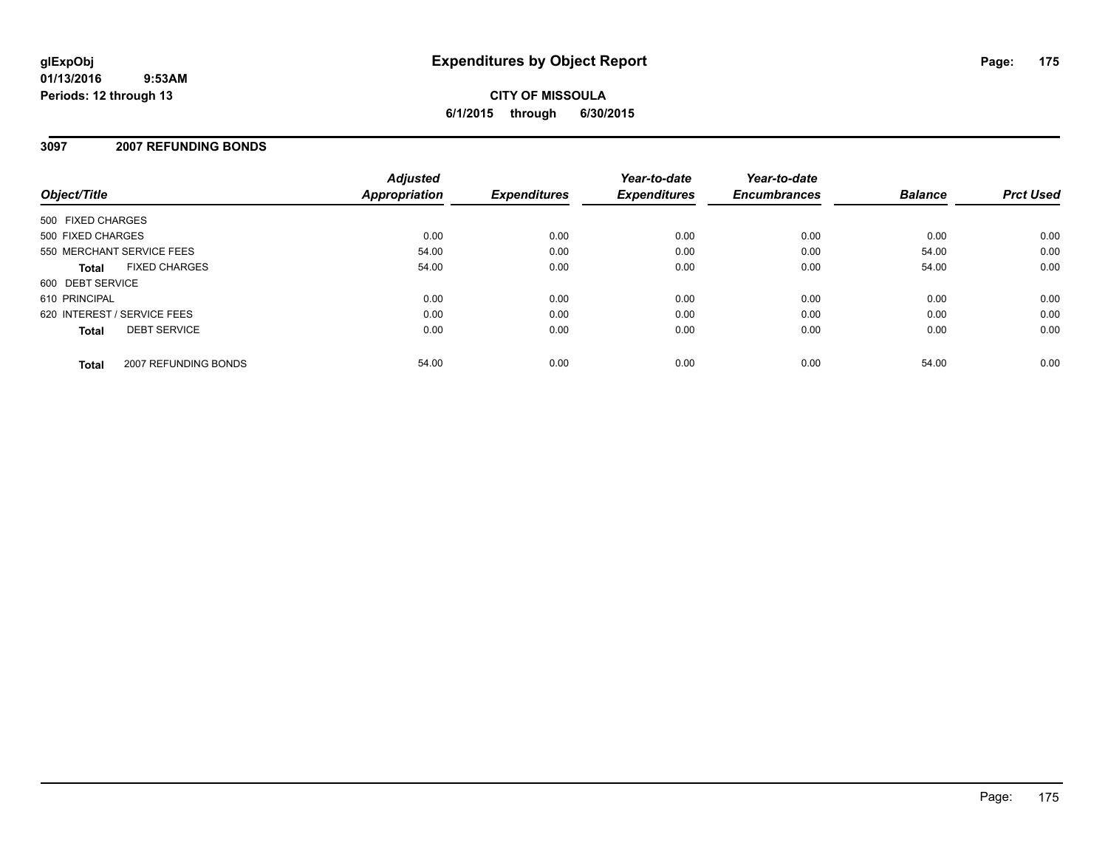**CITY OF MISSOULA 6/1/2015 through 6/30/2015**

### **3097 2007 REFUNDING BONDS**

| Object/Title                         | <b>Adjusted</b><br>Appropriation | <b>Expenditures</b> | Year-to-date<br><b>Expenditures</b> | Year-to-date<br><b>Encumbrances</b> | <b>Balance</b> | <b>Prct Used</b> |
|--------------------------------------|----------------------------------|---------------------|-------------------------------------|-------------------------------------|----------------|------------------|
| 500 FIXED CHARGES                    |                                  |                     |                                     |                                     |                |                  |
| 500 FIXED CHARGES                    | 0.00                             | 0.00                | 0.00                                | 0.00                                | 0.00           | 0.00             |
| 550 MERCHANT SERVICE FEES            | 54.00                            | 0.00                | 0.00                                | 0.00                                | 54.00          | 0.00             |
| <b>FIXED CHARGES</b><br><b>Total</b> | 54.00                            | 0.00                | 0.00                                | 0.00                                | 54.00          | 0.00             |
| 600 DEBT SERVICE                     |                                  |                     |                                     |                                     |                |                  |
| 610 PRINCIPAL                        | 0.00                             | 0.00                | 0.00                                | 0.00                                | 0.00           | 0.00             |
| 620 INTEREST / SERVICE FEES          | 0.00                             | 0.00                | 0.00                                | 0.00                                | 0.00           | 0.00             |
| <b>DEBT SERVICE</b><br><b>Total</b>  | 0.00                             | 0.00                | 0.00                                | 0.00                                | 0.00           | 0.00             |
| 2007 REFUNDING BONDS<br><b>Total</b> | 54.00                            | 0.00                | 0.00                                | 0.00                                | 54.00          | 0.00             |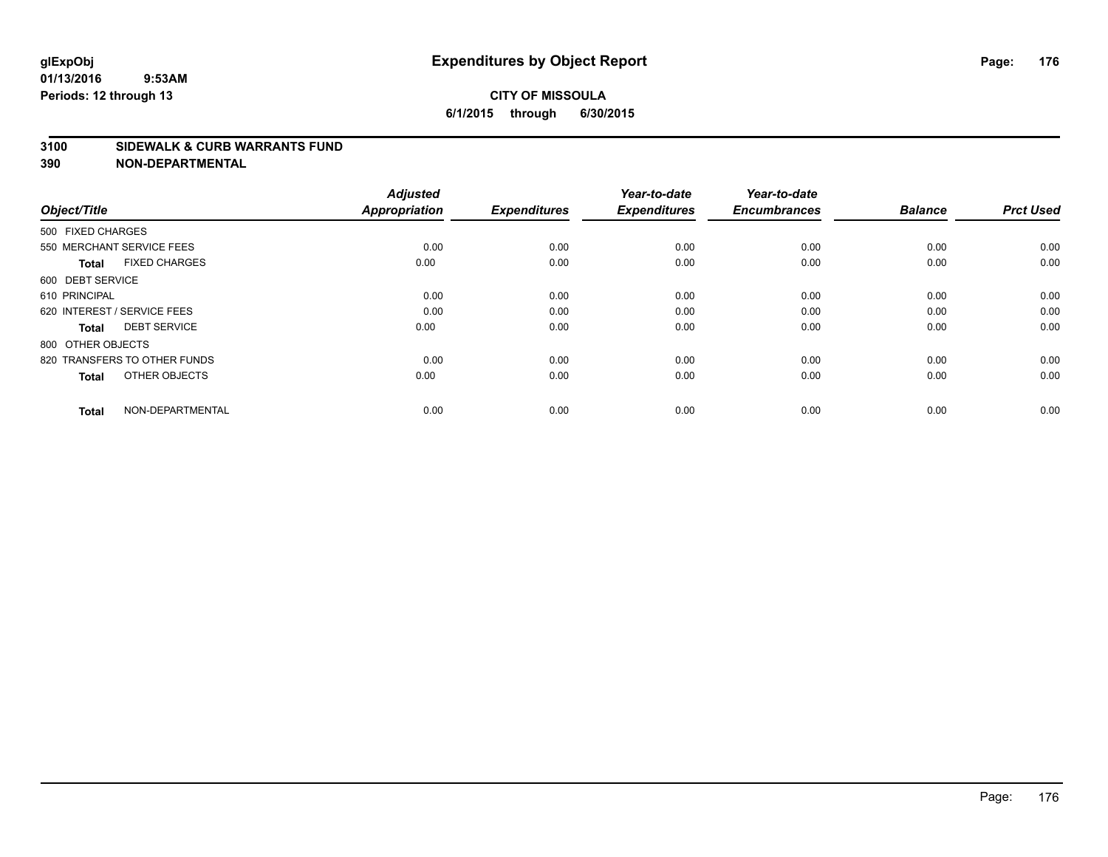### **CITY OF MISSOULA 6/1/2015 through 6/30/2015**

#### **3100 SIDEWALK & CURB WARRANTS FUND**

| Object/Title                         | <b>Adjusted</b><br><b>Appropriation</b> | <b>Expenditures</b> | Year-to-date<br><b>Expenditures</b> | Year-to-date<br><b>Encumbrances</b> | <b>Balance</b> | <b>Prct Used</b> |
|--------------------------------------|-----------------------------------------|---------------------|-------------------------------------|-------------------------------------|----------------|------------------|
| 500 FIXED CHARGES                    |                                         |                     |                                     |                                     |                |                  |
| 550 MERCHANT SERVICE FEES            | 0.00                                    | 0.00                | 0.00                                | 0.00                                | 0.00           | 0.00             |
| <b>FIXED CHARGES</b><br><b>Total</b> | 0.00                                    | 0.00                | 0.00                                | 0.00                                | 0.00           | 0.00             |
| 600 DEBT SERVICE                     |                                         |                     |                                     |                                     |                |                  |
| 610 PRINCIPAL                        | 0.00                                    | 0.00                | 0.00                                | 0.00                                | 0.00           | 0.00             |
| 620 INTEREST / SERVICE FEES          | 0.00                                    | 0.00                | 0.00                                | 0.00                                | 0.00           | 0.00             |
| <b>DEBT SERVICE</b><br><b>Total</b>  | 0.00                                    | 0.00                | 0.00                                | 0.00                                | 0.00           | 0.00             |
| 800 OTHER OBJECTS                    |                                         |                     |                                     |                                     |                |                  |
| 820 TRANSFERS TO OTHER FUNDS         | 0.00                                    | 0.00                | 0.00                                | 0.00                                | 0.00           | 0.00             |
| OTHER OBJECTS<br><b>Total</b>        | 0.00                                    | 0.00                | 0.00                                | 0.00                                | 0.00           | 0.00             |
|                                      |                                         |                     |                                     |                                     |                |                  |
| NON-DEPARTMENTAL<br><b>Total</b>     | 0.00                                    | 0.00                | 0.00                                | 0.00                                | 0.00           | 0.00             |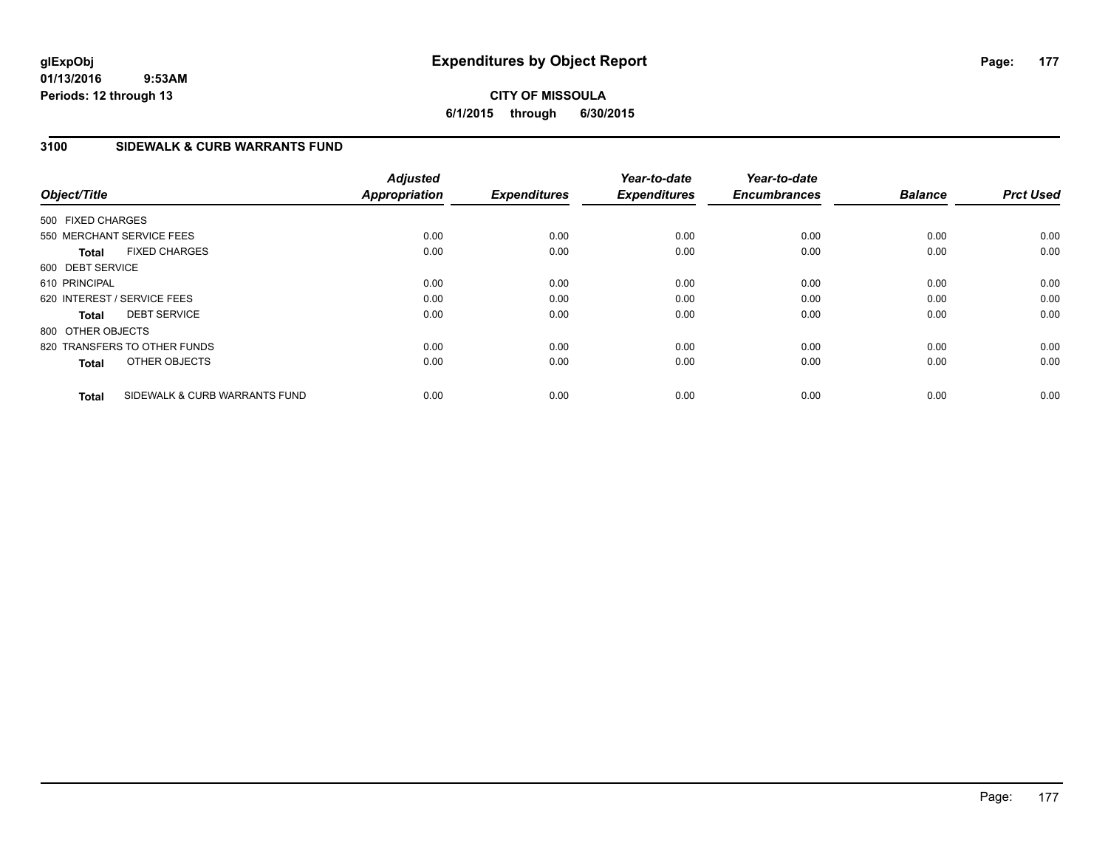## **CITY OF MISSOULA 6/1/2015 through 6/30/2015**

## **3100 SIDEWALK & CURB WARRANTS FUND**

| Object/Title                 |                               | <b>Adjusted</b><br>Appropriation | <b>Expenditures</b> | Year-to-date<br><b>Expenditures</b> | Year-to-date<br><b>Encumbrances</b> | <b>Balance</b> | <b>Prct Used</b> |
|------------------------------|-------------------------------|----------------------------------|---------------------|-------------------------------------|-------------------------------------|----------------|------------------|
| 500 FIXED CHARGES            |                               |                                  |                     |                                     |                                     |                |                  |
| 550 MERCHANT SERVICE FEES    |                               | 0.00                             | 0.00                | 0.00                                | 0.00                                | 0.00           | 0.00             |
| <b>Total</b>                 | <b>FIXED CHARGES</b>          | 0.00                             | 0.00                | 0.00                                | 0.00                                | 0.00           | 0.00             |
| 600 DEBT SERVICE             |                               |                                  |                     |                                     |                                     |                |                  |
| 610 PRINCIPAL                |                               | 0.00                             | 0.00                | 0.00                                | 0.00                                | 0.00           | 0.00             |
| 620 INTEREST / SERVICE FEES  |                               | 0.00                             | 0.00                | 0.00                                | 0.00                                | 0.00           | 0.00             |
| <b>Total</b>                 | <b>DEBT SERVICE</b>           | 0.00                             | 0.00                | 0.00                                | 0.00                                | 0.00           | 0.00             |
| 800 OTHER OBJECTS            |                               |                                  |                     |                                     |                                     |                |                  |
| 820 TRANSFERS TO OTHER FUNDS |                               | 0.00                             | 0.00                | 0.00                                | 0.00                                | 0.00           | 0.00             |
| <b>Total</b>                 | OTHER OBJECTS                 | 0.00                             | 0.00                | 0.00                                | 0.00                                | 0.00           | 0.00             |
| <b>Total</b>                 | SIDEWALK & CURB WARRANTS FUND | 0.00                             | 0.00                | 0.00                                | 0.00                                | 0.00           | 0.00             |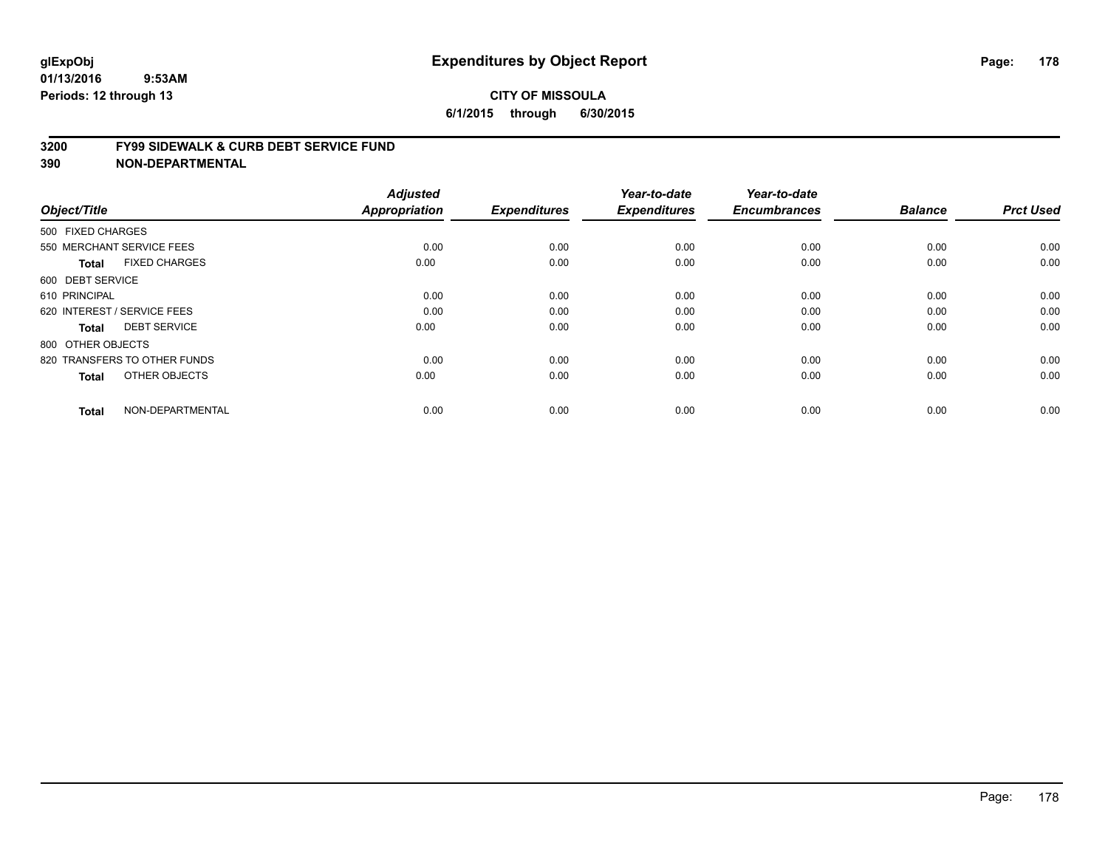#### **3200 FY99 SIDEWALK & CURB DEBT SERVICE FUND**

| Object/Title                         | <b>Adjusted</b><br>Appropriation | <b>Expenditures</b> | Year-to-date<br><b>Expenditures</b> | Year-to-date<br><b>Encumbrances</b> | <b>Balance</b> | <b>Prct Used</b> |
|--------------------------------------|----------------------------------|---------------------|-------------------------------------|-------------------------------------|----------------|------------------|
| 500 FIXED CHARGES                    |                                  |                     |                                     |                                     |                |                  |
|                                      |                                  |                     |                                     |                                     |                |                  |
| 550 MERCHANT SERVICE FEES            | 0.00                             | 0.00                | 0.00                                | 0.00                                | 0.00           | 0.00             |
| <b>FIXED CHARGES</b><br><b>Total</b> | 0.00                             | 0.00                | 0.00                                | 0.00                                | 0.00           | 0.00             |
| 600 DEBT SERVICE                     |                                  |                     |                                     |                                     |                |                  |
| 610 PRINCIPAL                        | 0.00                             | 0.00                | 0.00                                | 0.00                                | 0.00           | 0.00             |
| 620 INTEREST / SERVICE FEES          | 0.00                             | 0.00                | 0.00                                | 0.00                                | 0.00           | 0.00             |
| <b>DEBT SERVICE</b><br><b>Total</b>  | 0.00                             | 0.00                | 0.00                                | 0.00                                | 0.00           | 0.00             |
| 800 OTHER OBJECTS                    |                                  |                     |                                     |                                     |                |                  |
| 820 TRANSFERS TO OTHER FUNDS         | 0.00                             | 0.00                | 0.00                                | 0.00                                | 0.00           | 0.00             |
| OTHER OBJECTS<br><b>Total</b>        | 0.00                             | 0.00                | 0.00                                | 0.00                                | 0.00           | 0.00             |
|                                      |                                  |                     |                                     |                                     |                |                  |
| NON-DEPARTMENTAL<br><b>Total</b>     | 0.00                             | 0.00                | 0.00                                | 0.00                                | 0.00           | 0.00             |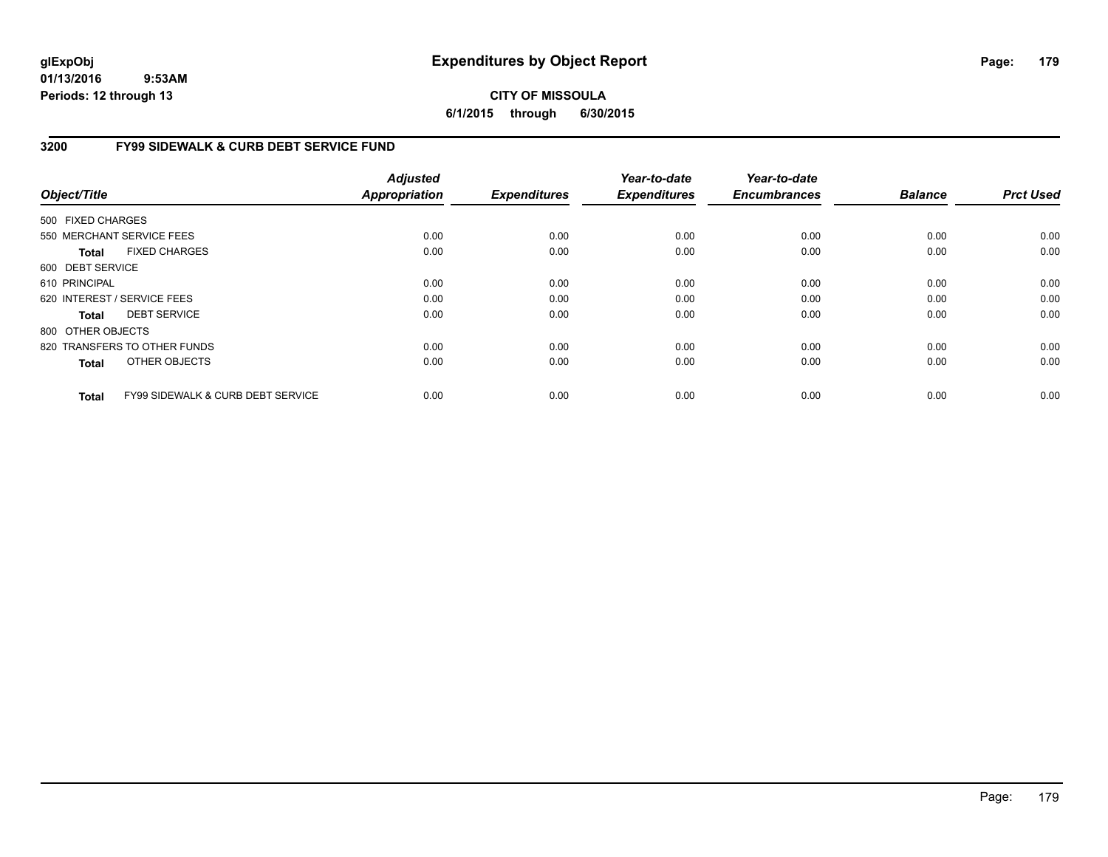**CITY OF MISSOULA 6/1/2015 through 6/30/2015**

## **3200 FY99 SIDEWALK & CURB DEBT SERVICE FUND**

| Object/Title      |                                              | <b>Adjusted</b><br><b>Appropriation</b> | <b>Expenditures</b> | Year-to-date<br><b>Expenditures</b> | Year-to-date<br><b>Encumbrances</b> | <b>Balance</b> | <b>Prct Used</b> |
|-------------------|----------------------------------------------|-----------------------------------------|---------------------|-------------------------------------|-------------------------------------|----------------|------------------|
| 500 FIXED CHARGES |                                              |                                         |                     |                                     |                                     |                |                  |
|                   | 550 MERCHANT SERVICE FEES                    | 0.00                                    | 0.00                | 0.00                                | 0.00                                | 0.00           | 0.00             |
| <b>Total</b>      | <b>FIXED CHARGES</b>                         | 0.00                                    | 0.00                | 0.00                                | 0.00                                | 0.00           | 0.00             |
| 600 DEBT SERVICE  |                                              |                                         |                     |                                     |                                     |                |                  |
| 610 PRINCIPAL     |                                              | 0.00                                    | 0.00                | 0.00                                | 0.00                                | 0.00           | 0.00             |
|                   | 620 INTEREST / SERVICE FEES                  | 0.00                                    | 0.00                | 0.00                                | 0.00                                | 0.00           | 0.00             |
| <b>Total</b>      | <b>DEBT SERVICE</b>                          | 0.00                                    | 0.00                | 0.00                                | 0.00                                | 0.00           | 0.00             |
| 800 OTHER OBJECTS |                                              |                                         |                     |                                     |                                     |                |                  |
|                   | 820 TRANSFERS TO OTHER FUNDS                 | 0.00                                    | 0.00                | 0.00                                | 0.00                                | 0.00           | 0.00             |
| <b>Total</b>      | OTHER OBJECTS                                | 0.00                                    | 0.00                | 0.00                                | 0.00                                | 0.00           | 0.00             |
| <b>Total</b>      | <b>FY99 SIDEWALK &amp; CURB DEBT SERVICE</b> | 0.00                                    | 0.00                | 0.00                                | 0.00                                | 0.00           | 0.00             |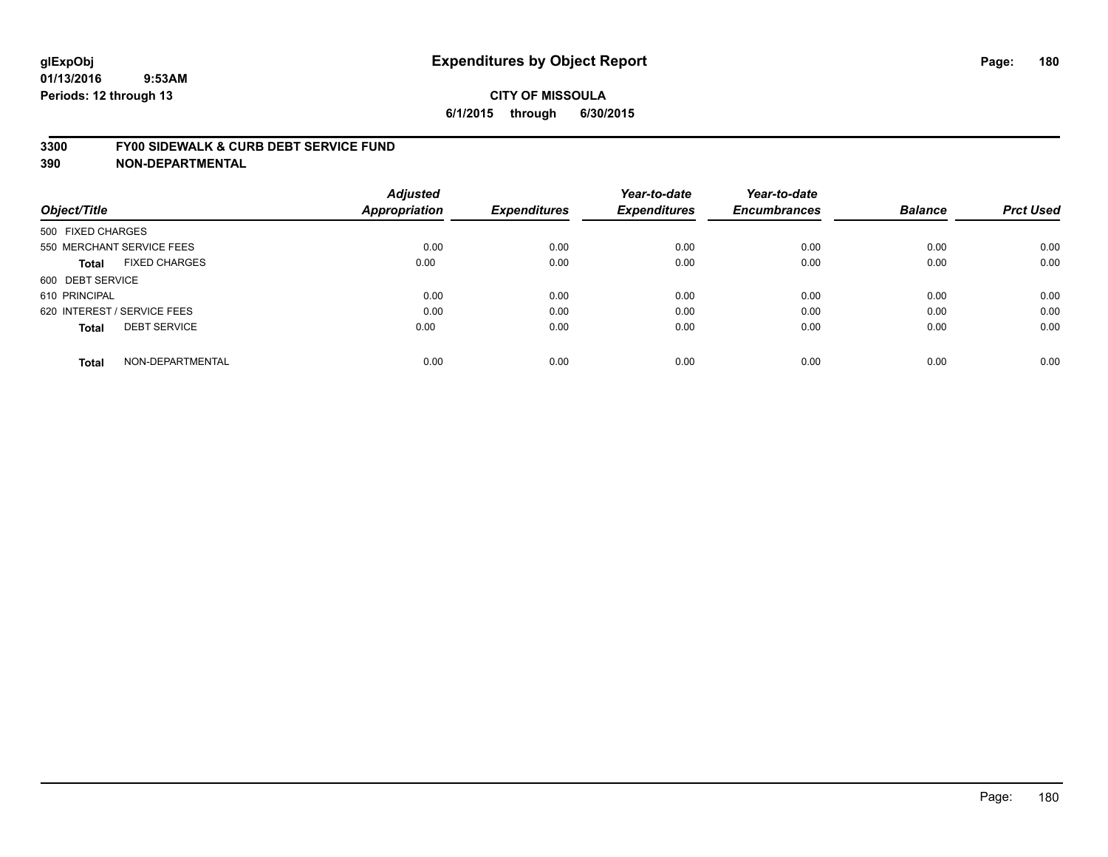#### **3300 FY00 SIDEWALK & CURB DEBT SERVICE FUND**

| Object/Title                        | <b>Adjusted</b><br><b>Appropriation</b> | <b>Expenditures</b> | Year-to-date<br><b>Expenditures</b> | Year-to-date<br><b>Encumbrances</b> | <b>Balance</b> | <b>Prct Used</b> |
|-------------------------------------|-----------------------------------------|---------------------|-------------------------------------|-------------------------------------|----------------|------------------|
| 500 FIXED CHARGES                   |                                         |                     |                                     |                                     |                |                  |
| 550 MERCHANT SERVICE FEES           | 0.00                                    | 0.00                | 0.00                                | 0.00                                | 0.00           | 0.00             |
| <b>FIXED CHARGES</b><br>Total       | 0.00                                    | 0.00                | 0.00                                | 0.00                                | 0.00           | 0.00             |
| 600 DEBT SERVICE                    |                                         |                     |                                     |                                     |                |                  |
| 610 PRINCIPAL                       | 0.00                                    | 0.00                | 0.00                                | 0.00                                | 0.00           | 0.00             |
| 620 INTEREST / SERVICE FEES         | 0.00                                    | 0.00                | 0.00                                | 0.00                                | 0.00           | 0.00             |
| <b>DEBT SERVICE</b><br><b>Total</b> | 0.00                                    | 0.00                | 0.00                                | 0.00                                | 0.00           | 0.00             |
| NON-DEPARTMENTAL<br><b>Total</b>    | 0.00                                    | 0.00                | 0.00                                | 0.00                                | 0.00           | 0.00             |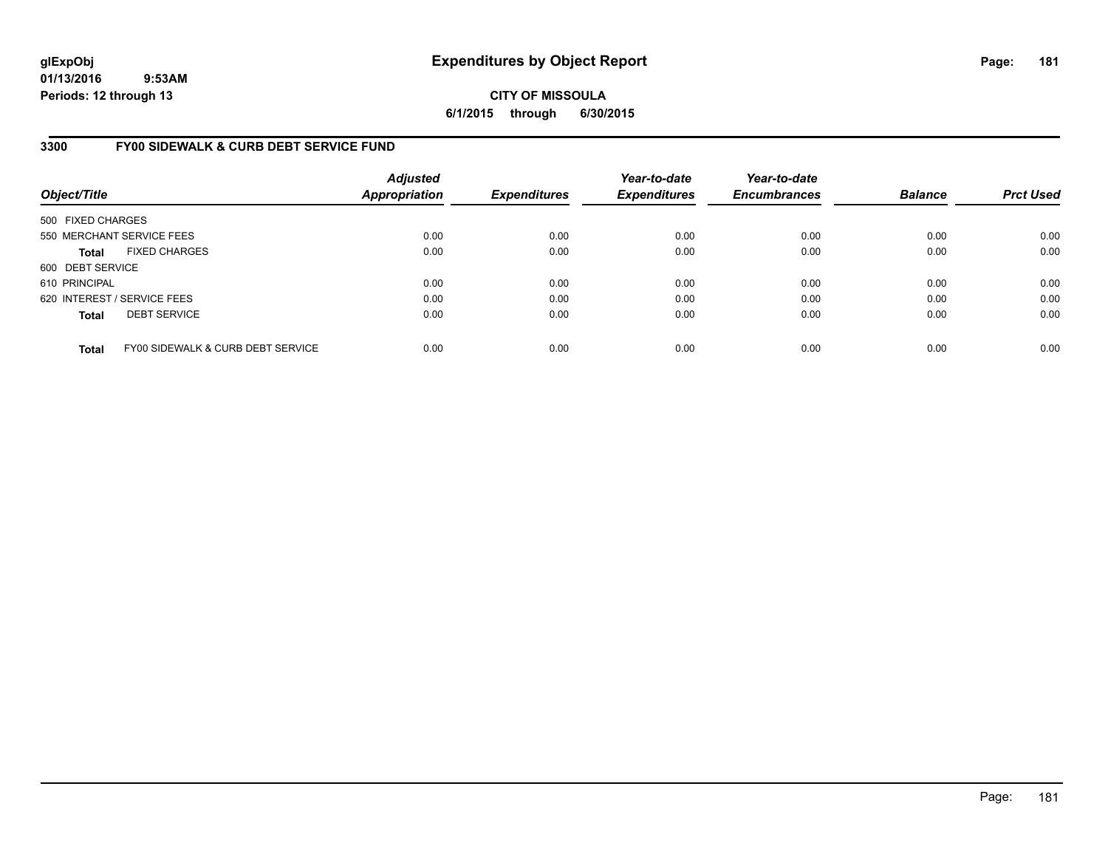### **CITY OF MISSOULA 6/1/2015 through 6/30/2015**

### **3300 FY00 SIDEWALK & CURB DEBT SERVICE FUND**

| Object/Title                |                                   | <b>Adjusted</b><br><b>Appropriation</b> | <b>Expenditures</b> | Year-to-date<br><b>Expenditures</b> | Year-to-date<br><b>Encumbrances</b> | <b>Balance</b> | <b>Prct Used</b> |
|-----------------------------|-----------------------------------|-----------------------------------------|---------------------|-------------------------------------|-------------------------------------|----------------|------------------|
| 500 FIXED CHARGES           |                                   |                                         |                     |                                     |                                     |                |                  |
|                             | 550 MERCHANT SERVICE FEES         | 0.00                                    | 0.00                | 0.00                                | 0.00                                | 0.00           | 0.00             |
| <b>Total</b>                | <b>FIXED CHARGES</b>              | 0.00                                    | 0.00                | 0.00                                | 0.00                                | 0.00           | 0.00             |
| 600 DEBT SERVICE            |                                   |                                         |                     |                                     |                                     |                |                  |
| 610 PRINCIPAL               |                                   | 0.00                                    | 0.00                | 0.00                                | 0.00                                | 0.00           | 0.00             |
| 620 INTEREST / SERVICE FEES |                                   | 0.00                                    | 0.00                | 0.00                                | 0.00                                | 0.00           | 0.00             |
| <b>Total</b>                | <b>DEBT SERVICE</b>               | 0.00                                    | 0.00                | 0.00                                | 0.00                                | 0.00           | 0.00             |
| <b>Total</b>                | FY00 SIDEWALK & CURB DEBT SERVICE | 0.00                                    | 0.00                | 0.00                                | 0.00                                | 0.00           | 0.00             |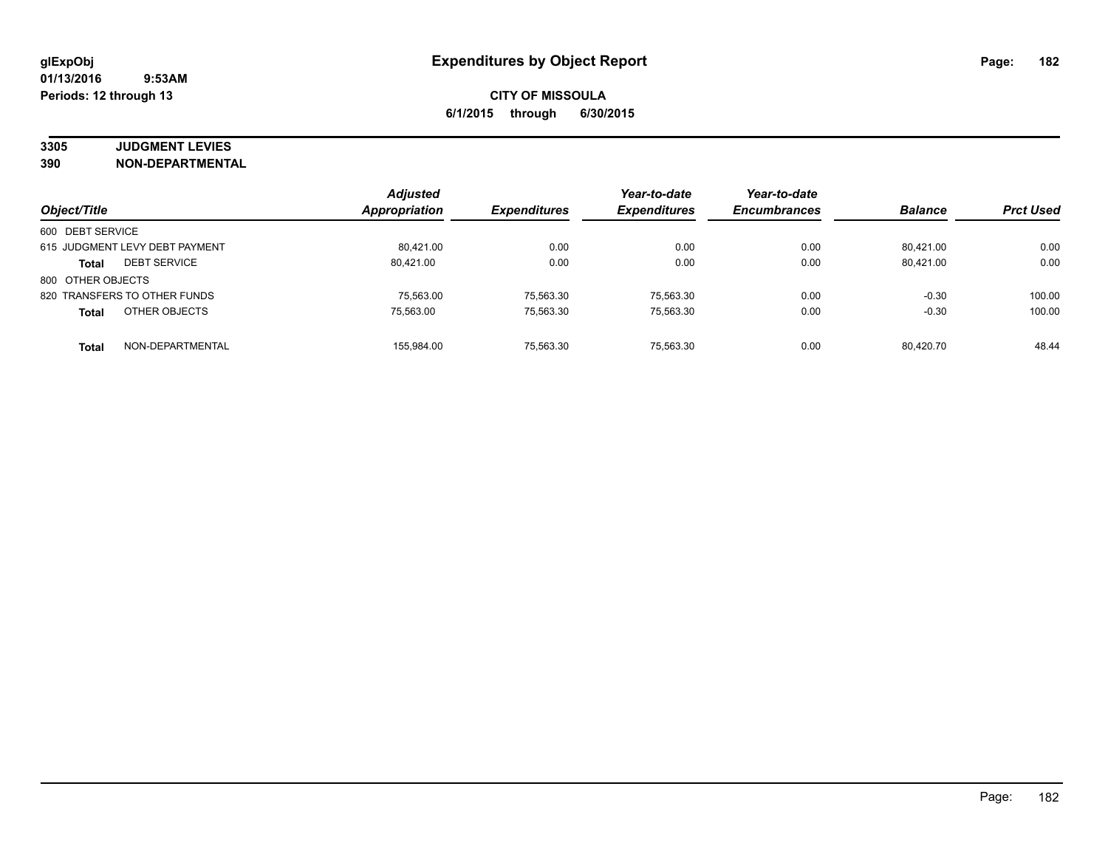# **3305 JUDGMENT LEVIES**

|                                     | <b>Adjusted</b>      |                     | Year-to-date        | Year-to-date        |                |                  |
|-------------------------------------|----------------------|---------------------|---------------------|---------------------|----------------|------------------|
| Object/Title                        | <b>Appropriation</b> | <b>Expenditures</b> | <b>Expenditures</b> | <b>Encumbrances</b> | <b>Balance</b> | <b>Prct Used</b> |
| 600 DEBT SERVICE                    |                      |                     |                     |                     |                |                  |
| 615 JUDGMENT LEVY DEBT PAYMENT      | 80.421.00            | 0.00                | 0.00                | 0.00                | 80.421.00      | 0.00             |
| <b>DEBT SERVICE</b><br><b>Total</b> | 80.421.00            | 0.00                | 0.00                | 0.00                | 80.421.00      | 0.00             |
| 800 OTHER OBJECTS                   |                      |                     |                     |                     |                |                  |
| 820 TRANSFERS TO OTHER FUNDS        | 75,563.00            | 75,563.30           | 75,563.30           | 0.00                | $-0.30$        | 100.00           |
| OTHER OBJECTS<br><b>Total</b>       | 75.563.00            | 75,563.30           | 75,563.30           | 0.00                | $-0.30$        | 100.00           |
| NON-DEPARTMENTAL<br><b>Total</b>    | 155.984.00           | 75.563.30           | 75.563.30           | 0.00                | 80.420.70      | 48.44            |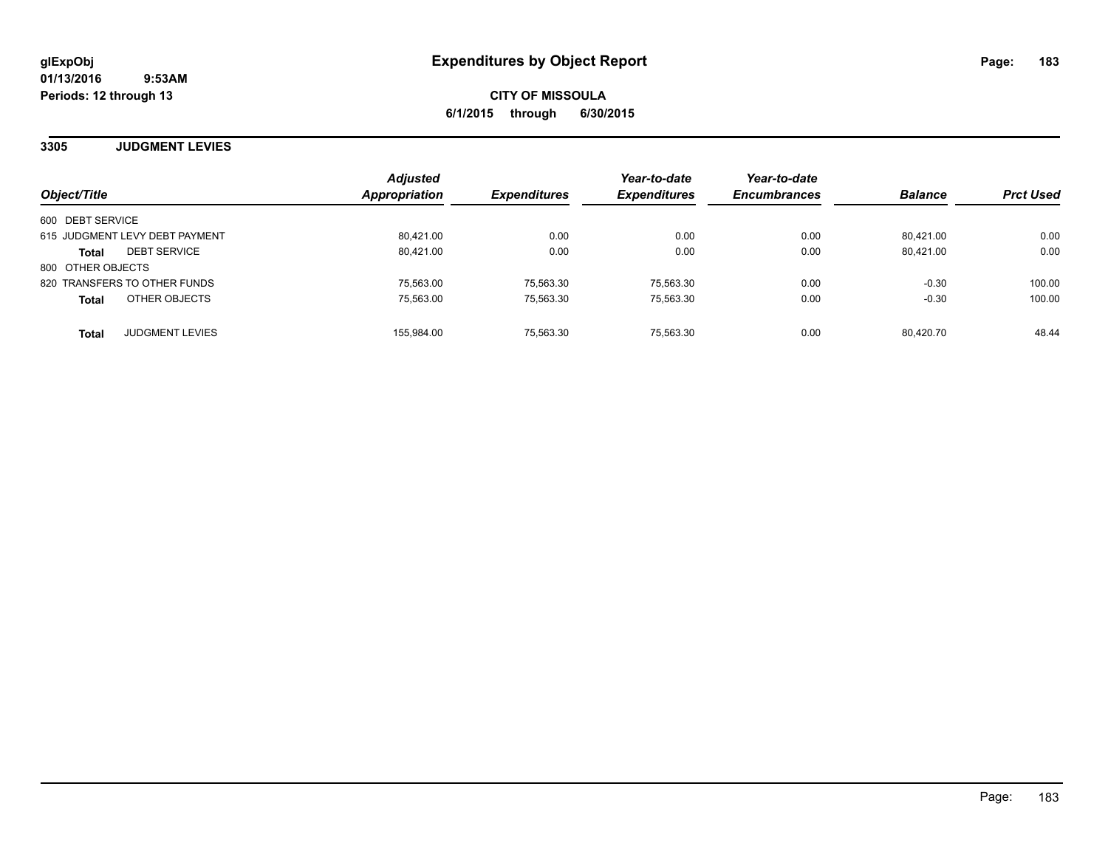**3305 JUDGMENT LEVIES**

| Object/Title                           | <b>Adjusted</b><br><b>Appropriation</b> | <b>Expenditures</b> | Year-to-date<br><b>Expenditures</b> | Year-to-date<br><b>Encumbrances</b> | <b>Balance</b> | <b>Prct Used</b> |
|----------------------------------------|-----------------------------------------|---------------------|-------------------------------------|-------------------------------------|----------------|------------------|
| 600 DEBT SERVICE                       |                                         |                     |                                     |                                     |                |                  |
| 615 JUDGMENT LEVY DEBT PAYMENT         | 80.421.00                               | 0.00                | 0.00                                | 0.00                                | 80.421.00      | 0.00             |
| <b>DEBT SERVICE</b><br><b>Total</b>    | 80.421.00                               | 0.00                | 0.00                                | 0.00                                | 80.421.00      | 0.00             |
| 800 OTHER OBJECTS                      |                                         |                     |                                     |                                     |                |                  |
| 820 TRANSFERS TO OTHER FUNDS           | 75.563.00                               | 75.563.30           | 75.563.30                           | 0.00                                | $-0.30$        | 100.00           |
| OTHER OBJECTS<br><b>Total</b>          | 75.563.00                               | 75,563.30           | 75.563.30                           | 0.00                                | $-0.30$        | 100.00           |
| <b>JUDGMENT LEVIES</b><br><b>Total</b> | 155,984.00                              | 75,563.30           | 75.563.30                           | 0.00                                | 80.420.70      | 48.44            |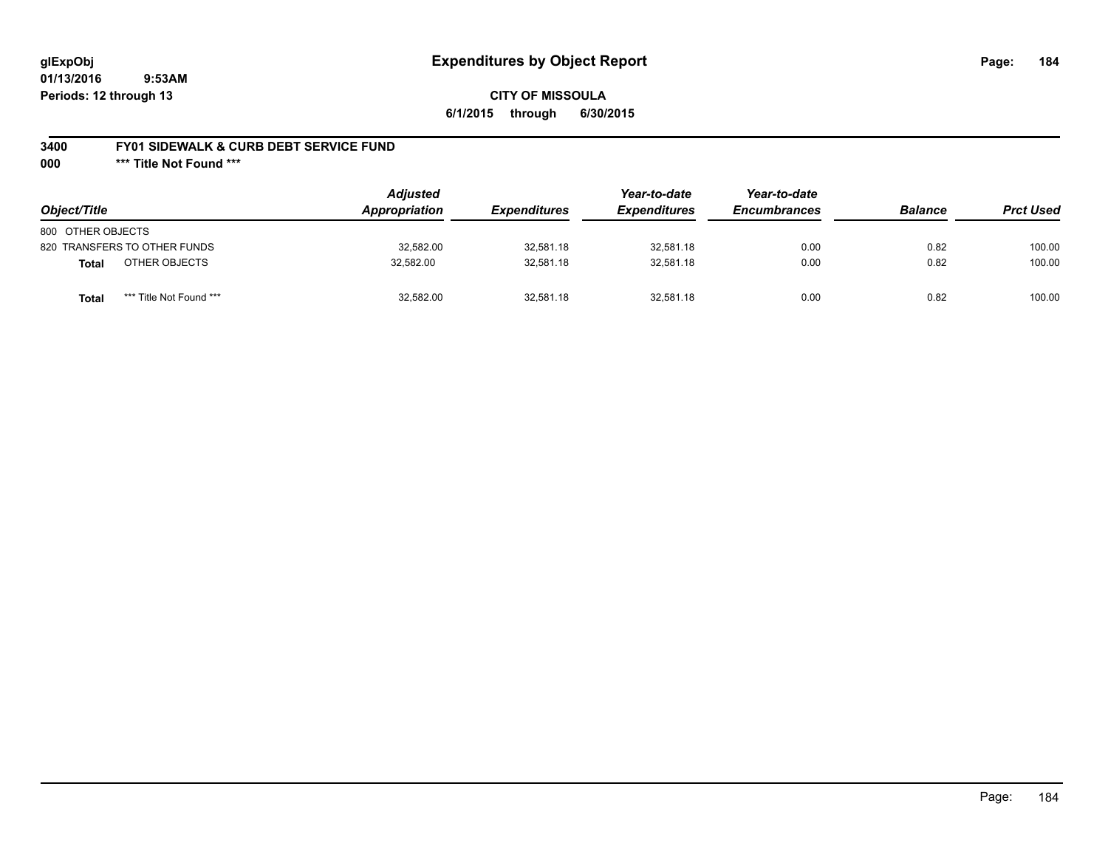### **3400 FY01 SIDEWALK & CURB DEBT SERVICE FUND**

**000 \*\*\* Title Not Found \*\*\***

| Object/Title                     | <b>Adjusted</b><br>Appropriation | <b>Expenditures</b> | Year-to-date<br><i><b>Expenditures</b></i> | Year-to-date<br><b>Encumbrances</b> | <b>Balance</b> | <b>Prct Used</b> |
|----------------------------------|----------------------------------|---------------------|--------------------------------------------|-------------------------------------|----------------|------------------|
| 800 OTHER OBJECTS                |                                  |                     |                                            |                                     |                |                  |
| 820 TRANSFERS TO OTHER FUNDS     | 32,582.00                        | 32,581.18           | 32.581.18                                  | 0.00                                | 0.82           | 100.00           |
| OTHER OBJECTS<br><b>Total</b>    | 32,582.00                        | 32,581.18           | 32.581.18                                  | 0.00                                | 0.82           | 100.00           |
| *** Title Not Found ***<br>Total | 32,582.00                        | 32.581.18           | 32.581.18                                  | 0.00                                | 0.82           | 100.00           |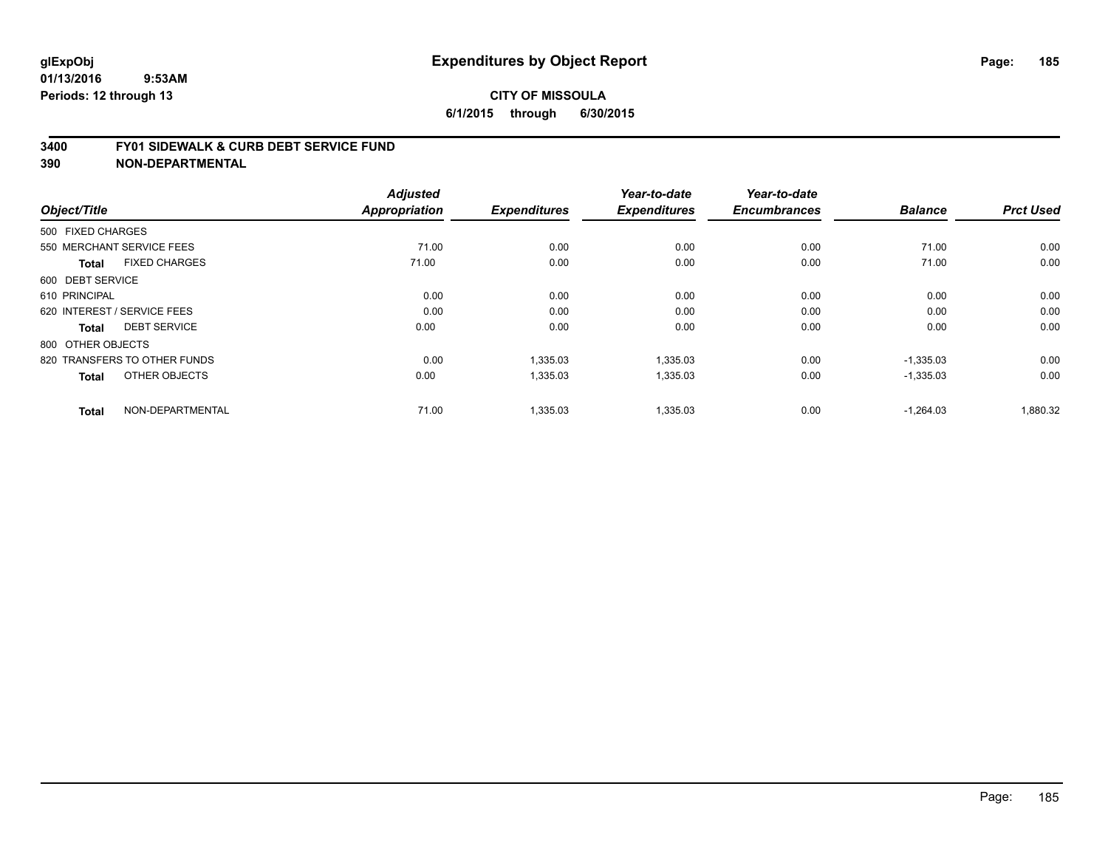#### **3400 FY01 SIDEWALK & CURB DEBT SERVICE FUND**

| Object/Title                         | <b>Adjusted</b><br><b>Appropriation</b> | <b>Expenditures</b> | Year-to-date<br><b>Expenditures</b> | Year-to-date<br><b>Encumbrances</b> | <b>Balance</b> | <b>Prct Used</b> |
|--------------------------------------|-----------------------------------------|---------------------|-------------------------------------|-------------------------------------|----------------|------------------|
|                                      |                                         |                     |                                     |                                     |                |                  |
| 500 FIXED CHARGES                    |                                         |                     |                                     |                                     |                |                  |
| 550 MERCHANT SERVICE FEES            | 71.00                                   | 0.00                | 0.00                                | 0.00                                | 71.00          | 0.00             |
| <b>FIXED CHARGES</b><br><b>Total</b> | 71.00                                   | 0.00                | 0.00                                | 0.00                                | 71.00          | 0.00             |
| 600 DEBT SERVICE                     |                                         |                     |                                     |                                     |                |                  |
| 610 PRINCIPAL                        | 0.00                                    | 0.00                | 0.00                                | 0.00                                | 0.00           | 0.00             |
| 620 INTEREST / SERVICE FEES          | 0.00                                    | 0.00                | 0.00                                | 0.00                                | 0.00           | 0.00             |
| <b>DEBT SERVICE</b><br>Total         | 0.00                                    | 0.00                | 0.00                                | 0.00                                | 0.00           | 0.00             |
| 800 OTHER OBJECTS                    |                                         |                     |                                     |                                     |                |                  |
| 820 TRANSFERS TO OTHER FUNDS         | 0.00                                    | 1,335.03            | 1,335.03                            | 0.00                                | $-1,335.03$    | 0.00             |
| OTHER OBJECTS<br><b>Total</b>        | 0.00                                    | 1,335.03            | 1,335.03                            | 0.00                                | $-1,335.03$    | 0.00             |
|                                      |                                         |                     |                                     |                                     |                |                  |
| NON-DEPARTMENTAL<br><b>Total</b>     | 71.00                                   | 1,335.03            | 1,335.03                            | 0.00                                | $-1.264.03$    | 1,880.32         |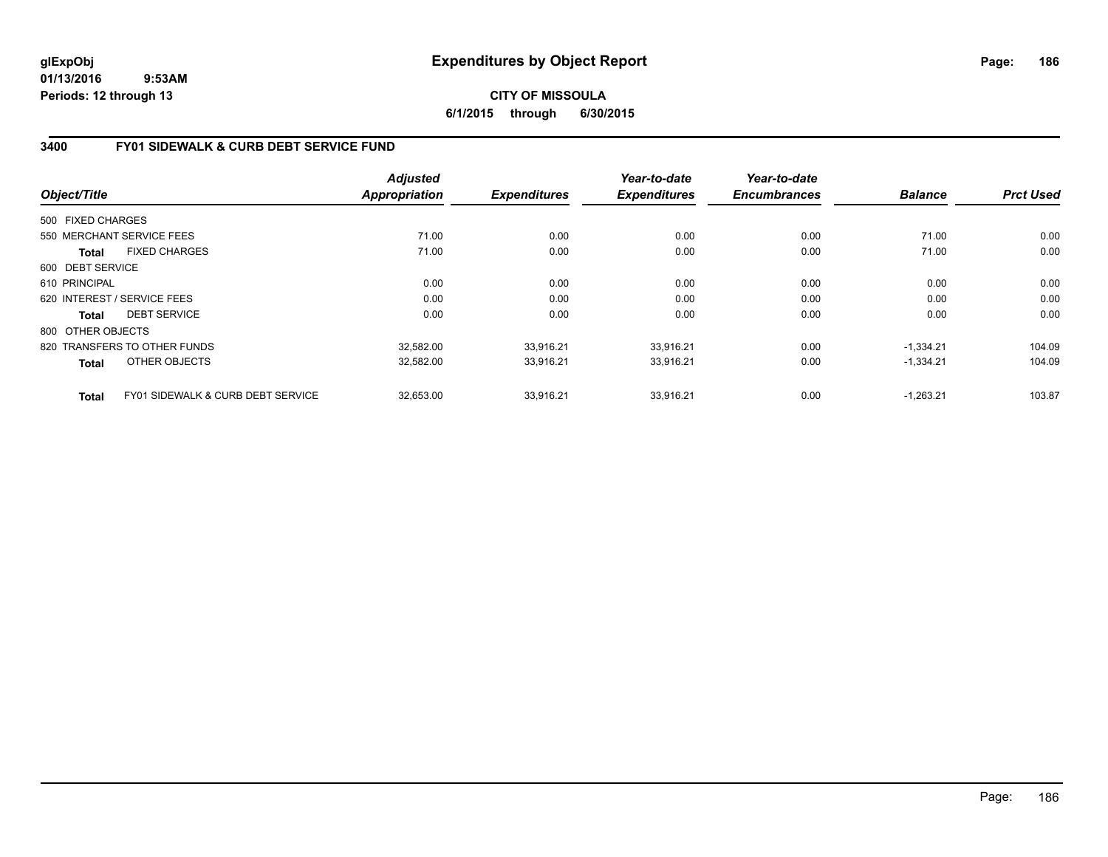### **CITY OF MISSOULA 6/1/2015 through 6/30/2015**

# **3400 FY01 SIDEWALK & CURB DEBT SERVICE FUND**

|                   |                                              | <b>Adjusted</b><br><b>Appropriation</b> | <b>Expenditures</b> | Year-to-date<br><b>Expenditures</b> | Year-to-date<br><b>Encumbrances</b> | <b>Balance</b> | <b>Prct Used</b> |
|-------------------|----------------------------------------------|-----------------------------------------|---------------------|-------------------------------------|-------------------------------------|----------------|------------------|
| Object/Title      |                                              |                                         |                     |                                     |                                     |                |                  |
| 500 FIXED CHARGES |                                              |                                         |                     |                                     |                                     |                |                  |
|                   | 550 MERCHANT SERVICE FEES                    | 71.00                                   | 0.00                | 0.00                                | 0.00                                | 71.00          | 0.00             |
| <b>Total</b>      | <b>FIXED CHARGES</b>                         | 71.00                                   | 0.00                | 0.00                                | 0.00                                | 71.00          | 0.00             |
| 600 DEBT SERVICE  |                                              |                                         |                     |                                     |                                     |                |                  |
| 610 PRINCIPAL     |                                              | 0.00                                    | 0.00                | 0.00                                | 0.00                                | 0.00           | 0.00             |
|                   | 620 INTEREST / SERVICE FEES                  | 0.00                                    | 0.00                | 0.00                                | 0.00                                | 0.00           | 0.00             |
| Total             | <b>DEBT SERVICE</b>                          | 0.00                                    | 0.00                | 0.00                                | 0.00                                | 0.00           | 0.00             |
| 800 OTHER OBJECTS |                                              |                                         |                     |                                     |                                     |                |                  |
|                   | 820 TRANSFERS TO OTHER FUNDS                 | 32,582.00                               | 33.916.21           | 33.916.21                           | 0.00                                | $-1.334.21$    | 104.09           |
| Total             | OTHER OBJECTS                                | 32,582.00                               | 33,916.21           | 33,916.21                           | 0.00                                | $-1,334.21$    | 104.09           |
| <b>Total</b>      | <b>FY01 SIDEWALK &amp; CURB DEBT SERVICE</b> | 32,653.00                               | 33.916.21           | 33.916.21                           | 0.00                                | $-1.263.21$    | 103.87           |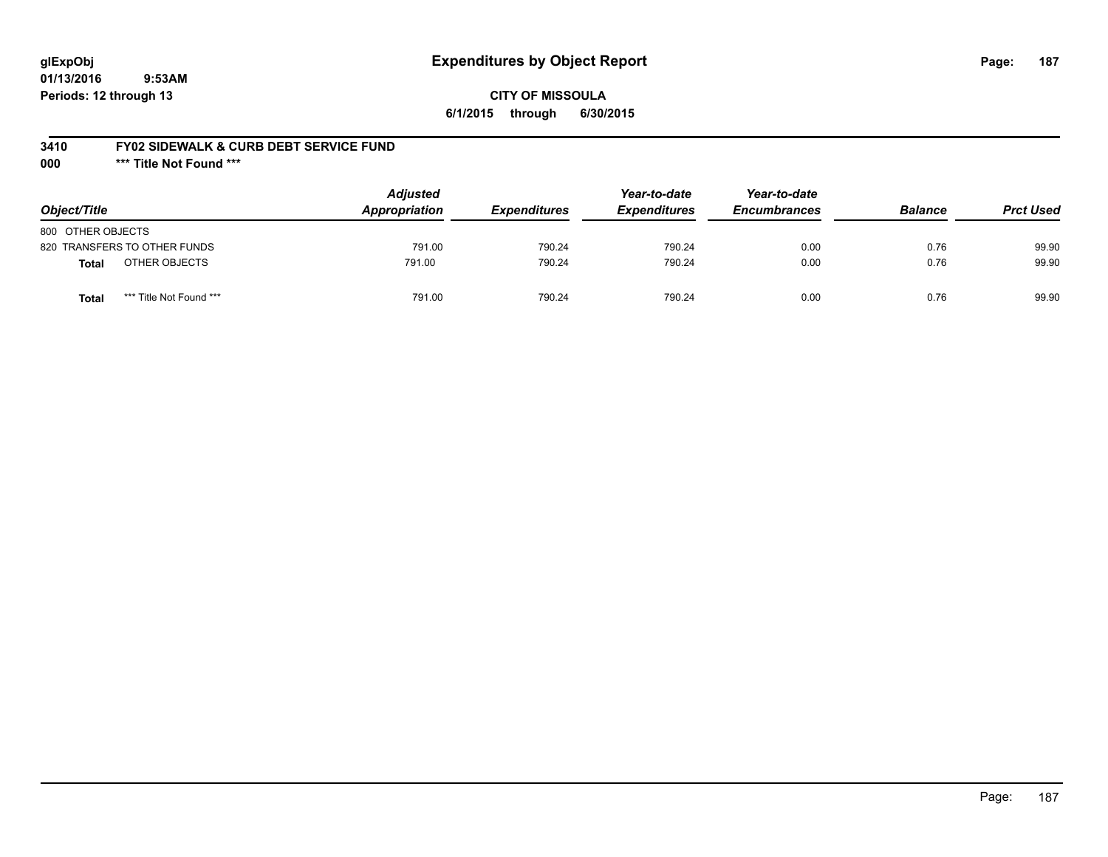# **glExpObj Expenditures by Object Report Page: 187**

**01/13/2016 9:53AM Periods: 12 through 13**

### **CITY OF MISSOULA 6/1/2015 through 6/30/2015**

### **3410 FY02 SIDEWALK & CURB DEBT SERVICE FUND**

**000 \*\*\* Title Not Found \*\*\***

| Object/Title                            | <b>Adjusted</b><br>Appropriation | <b>Expenditures</b> | Year-to-date<br><b>Expenditures</b> | Year-to-date<br><b>Encumbrances</b> | <b>Balance</b> | <b>Prct Used</b> |
|-----------------------------------------|----------------------------------|---------------------|-------------------------------------|-------------------------------------|----------------|------------------|
| 800 OTHER OBJECTS                       |                                  |                     |                                     |                                     |                |                  |
| 820 TRANSFERS TO OTHER FUNDS            | 791.00                           | 790.24              | 790.24                              | 0.00                                | 0.76           | 99.90            |
| OTHER OBJECTS<br><b>Total</b>           | 791.00                           | 790.24              | 790.24                              | 0.00                                | 0.76           | 99.90            |
| *** Title Not Found ***<br><b>Total</b> | 791.00                           | 790.24              | 790.24                              | 0.00                                | 0.76           | 99.90            |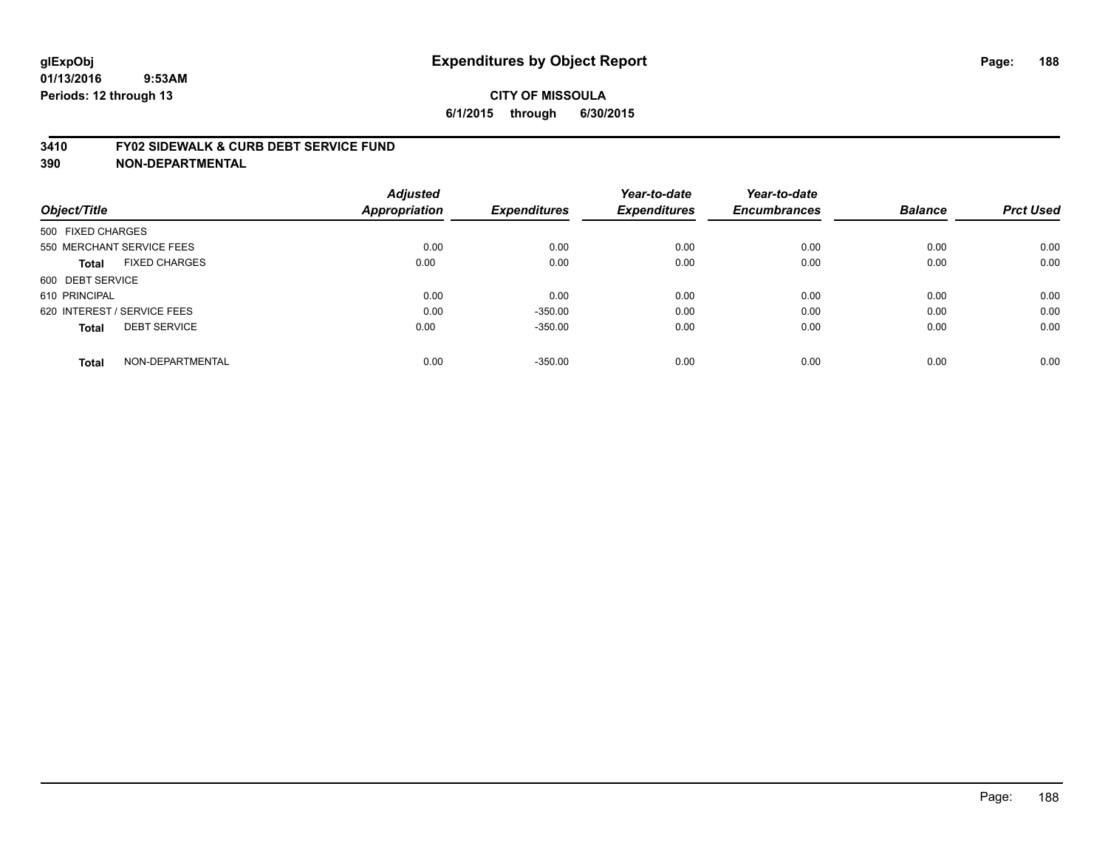#### **3410 FY02 SIDEWALK & CURB DEBT SERVICE FUND**

| Object/Title                         | <b>Adjusted</b><br>Appropriation | <b>Expenditures</b> | Year-to-date<br><b>Expenditures</b> | Year-to-date<br><b>Encumbrances</b> | <b>Balance</b> | <b>Prct Used</b> |
|--------------------------------------|----------------------------------|---------------------|-------------------------------------|-------------------------------------|----------------|------------------|
| 500 FIXED CHARGES                    |                                  |                     |                                     |                                     |                |                  |
| 550 MERCHANT SERVICE FEES            | 0.00                             | 0.00                | 0.00                                | 0.00                                | 0.00           | 0.00             |
| <b>FIXED CHARGES</b><br><b>Total</b> | 0.00                             | 0.00                | 0.00                                | 0.00                                | 0.00           | 0.00             |
| 600 DEBT SERVICE                     |                                  |                     |                                     |                                     |                |                  |
| 610 PRINCIPAL                        | 0.00                             | 0.00                | 0.00                                | 0.00                                | 0.00           | 0.00             |
| 620 INTEREST / SERVICE FEES          | 0.00                             | $-350.00$           | 0.00                                | 0.00                                | 0.00           | 0.00             |
| <b>DEBT SERVICE</b><br><b>Total</b>  | 0.00                             | $-350.00$           | 0.00                                | 0.00                                | 0.00           | 0.00             |
| NON-DEPARTMENTAL<br><b>Total</b>     | 0.00                             | $-350.00$           | 0.00                                | 0.00                                | 0.00           | 0.00             |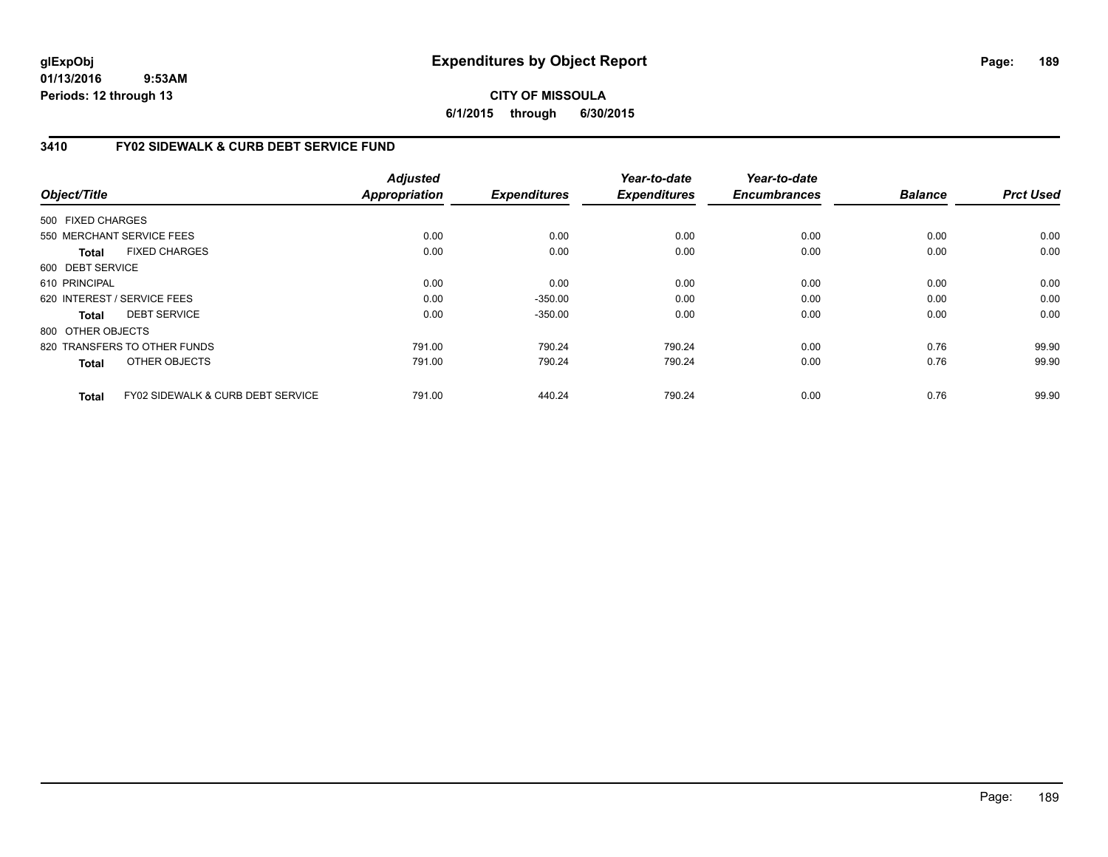### **CITY OF MISSOULA 6/1/2015 through 6/30/2015**

# **3410 FY02 SIDEWALK & CURB DEBT SERVICE FUND**

| Object/Title      |                                              | <b>Adjusted</b><br><b>Appropriation</b> | <b>Expenditures</b> | Year-to-date<br><b>Expenditures</b> | Year-to-date<br><b>Encumbrances</b> | <b>Balance</b> | <b>Prct Used</b> |
|-------------------|----------------------------------------------|-----------------------------------------|---------------------|-------------------------------------|-------------------------------------|----------------|------------------|
| 500 FIXED CHARGES |                                              |                                         |                     |                                     |                                     |                |                  |
|                   | 550 MERCHANT SERVICE FEES                    | 0.00                                    | 0.00                | 0.00                                | 0.00                                | 0.00           | 0.00             |
| <b>Total</b>      | <b>FIXED CHARGES</b>                         | 0.00                                    | 0.00                | 0.00                                | 0.00                                | 0.00           | 0.00             |
| 600 DEBT SERVICE  |                                              |                                         |                     |                                     |                                     |                |                  |
| 610 PRINCIPAL     |                                              | 0.00                                    | 0.00                | 0.00                                | 0.00                                | 0.00           | 0.00             |
|                   | 620 INTEREST / SERVICE FEES                  | 0.00                                    | $-350.00$           | 0.00                                | 0.00                                | 0.00           | 0.00             |
| Total             | <b>DEBT SERVICE</b>                          | 0.00                                    | $-350.00$           | 0.00                                | 0.00                                | 0.00           | 0.00             |
| 800 OTHER OBJECTS |                                              |                                         |                     |                                     |                                     |                |                  |
|                   | 820 TRANSFERS TO OTHER FUNDS                 | 791.00                                  | 790.24              | 790.24                              | 0.00                                | 0.76           | 99.90            |
| <b>Total</b>      | OTHER OBJECTS                                | 791.00                                  | 790.24              | 790.24                              | 0.00                                | 0.76           | 99.90            |
| <b>Total</b>      | <b>FY02 SIDEWALK &amp; CURB DEBT SERVICE</b> | 791.00                                  | 440.24              | 790.24                              | 0.00                                | 0.76           | 99.90            |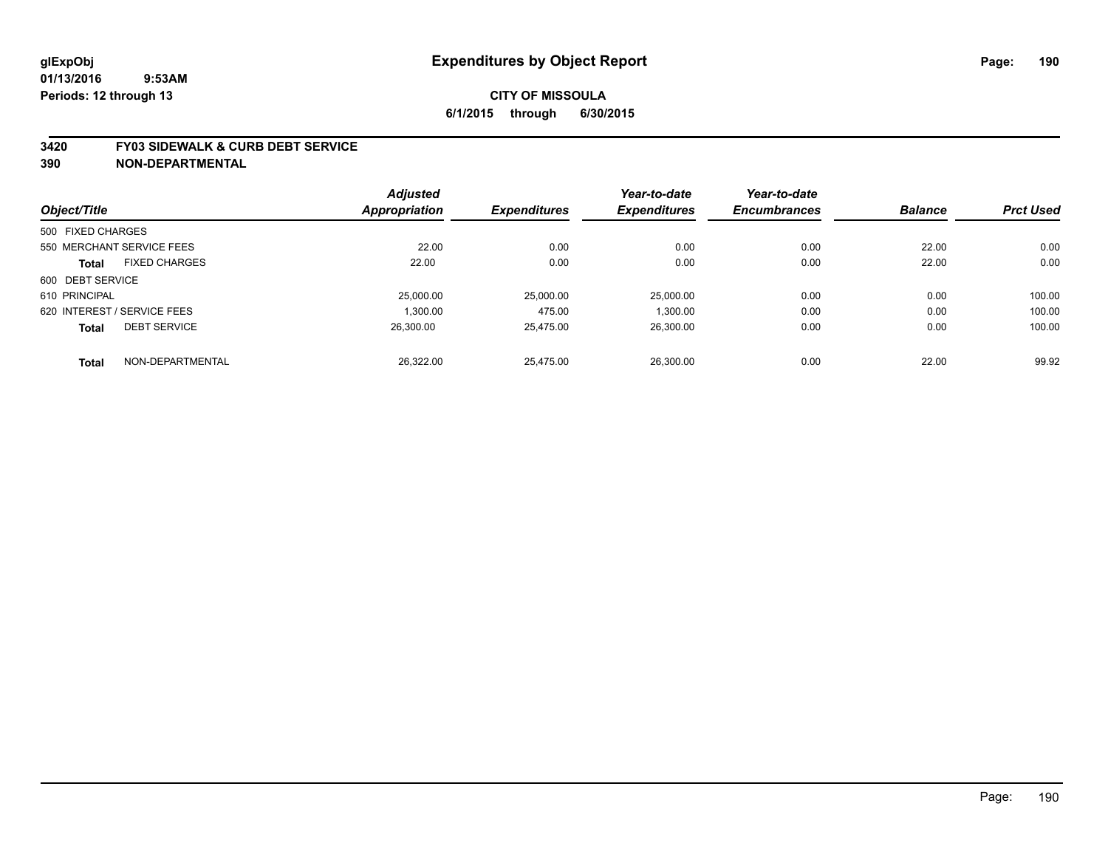#### **3420 FY03 SIDEWALK & CURB DEBT SERVICE**

|                   |                             | <b>Adjusted</b> |                     | Year-to-date        | Year-to-date        |                |                  |
|-------------------|-----------------------------|-----------------|---------------------|---------------------|---------------------|----------------|------------------|
| Object/Title      |                             | Appropriation   | <b>Expenditures</b> | <b>Expenditures</b> | <b>Encumbrances</b> | <b>Balance</b> | <b>Prct Used</b> |
| 500 FIXED CHARGES |                             |                 |                     |                     |                     |                |                  |
|                   | 550 MERCHANT SERVICE FEES   | 22.00           | 0.00                | 0.00                | 0.00                | 22.00          | 0.00             |
| <b>Total</b>      | <b>FIXED CHARGES</b>        | 22.00           | 0.00                | 0.00                | 0.00                | 22.00          | 0.00             |
| 600 DEBT SERVICE  |                             |                 |                     |                     |                     |                |                  |
| 610 PRINCIPAL     |                             | 25,000.00       | 25,000.00           | 25,000.00           | 0.00                | 0.00           | 100.00           |
|                   | 620 INTEREST / SERVICE FEES | 1.300.00        | 475.00              | 1,300.00            | 0.00                | 0.00           | 100.00           |
| <b>Total</b>      | <b>DEBT SERVICE</b>         | 26.300.00       | 25.475.00           | 26,300.00           | 0.00                | 0.00           | 100.00           |
| <b>Total</b>      | NON-DEPARTMENTAL            | 26.322.00       | 25.475.00           | 26.300.00           | 0.00                | 22.00          | 99.92            |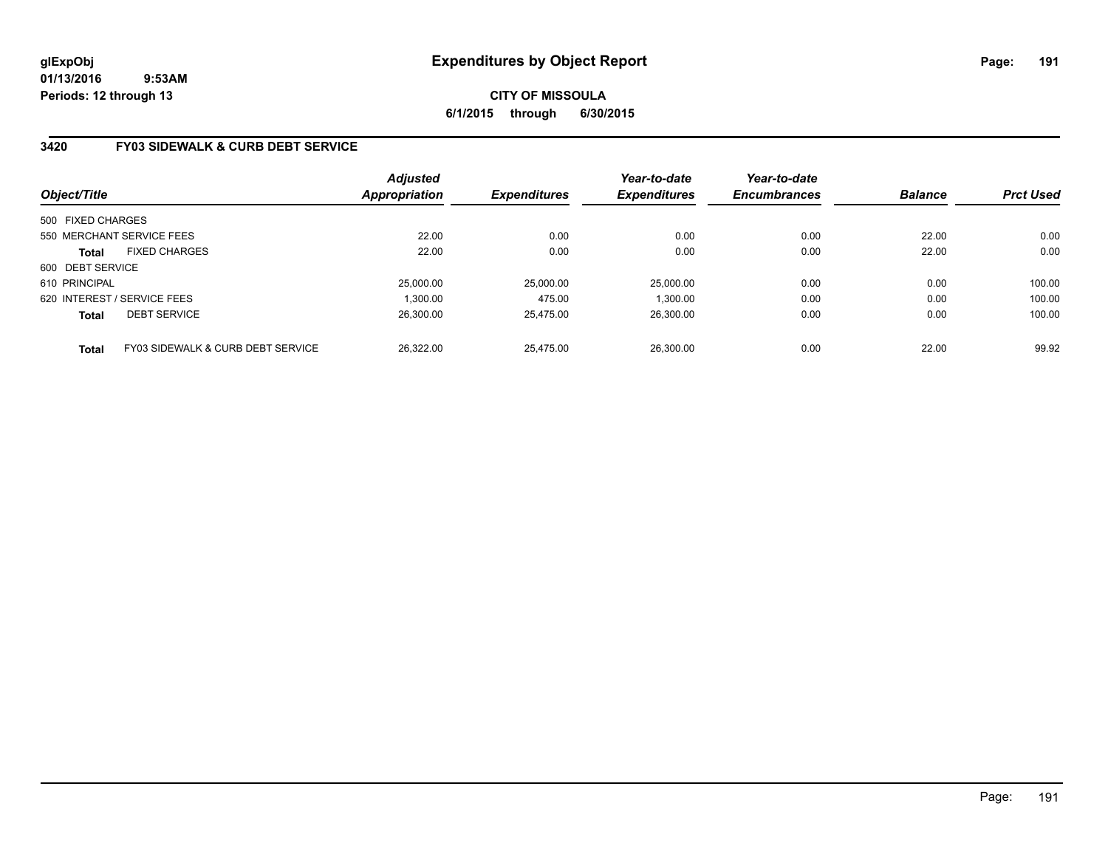# **CITY OF MISSOULA 6/1/2015 through 6/30/2015**

# **3420 FY03 SIDEWALK & CURB DEBT SERVICE**

| Object/Title      |                                   | <b>Adjusted</b><br><b>Appropriation</b> | <b>Expenditures</b> | Year-to-date<br><b>Expenditures</b> | Year-to-date<br><b>Encumbrances</b> | <b>Balance</b> | <b>Prct Used</b> |
|-------------------|-----------------------------------|-----------------------------------------|---------------------|-------------------------------------|-------------------------------------|----------------|------------------|
| 500 FIXED CHARGES |                                   |                                         |                     |                                     |                                     |                |                  |
|                   | 550 MERCHANT SERVICE FEES         | 22.00                                   | 0.00                | 0.00                                | 0.00                                | 22.00          | 0.00             |
| <b>Total</b>      | <b>FIXED CHARGES</b>              | 22.00                                   | 0.00                | 0.00                                | 0.00                                | 22.00          | 0.00             |
| 600 DEBT SERVICE  |                                   |                                         |                     |                                     |                                     |                |                  |
| 610 PRINCIPAL     |                                   | 25,000.00                               | 25.000.00           | 25.000.00                           | 0.00                                | 0.00           | 100.00           |
|                   | 620 INTEREST / SERVICE FEES       | 1.300.00                                | 475.00              | 1.300.00                            | 0.00                                | 0.00           | 100.00           |
| <b>Total</b>      | <b>DEBT SERVICE</b>               | 26,300.00                               | 25.475.00           | 26,300.00                           | 0.00                                | 0.00           | 100.00           |
| <b>Total</b>      | FY03 SIDEWALK & CURB DEBT SERVICE | 26.322.00                               | 25.475.00           | 26.300.00                           | 0.00                                | 22.00          | 99.92            |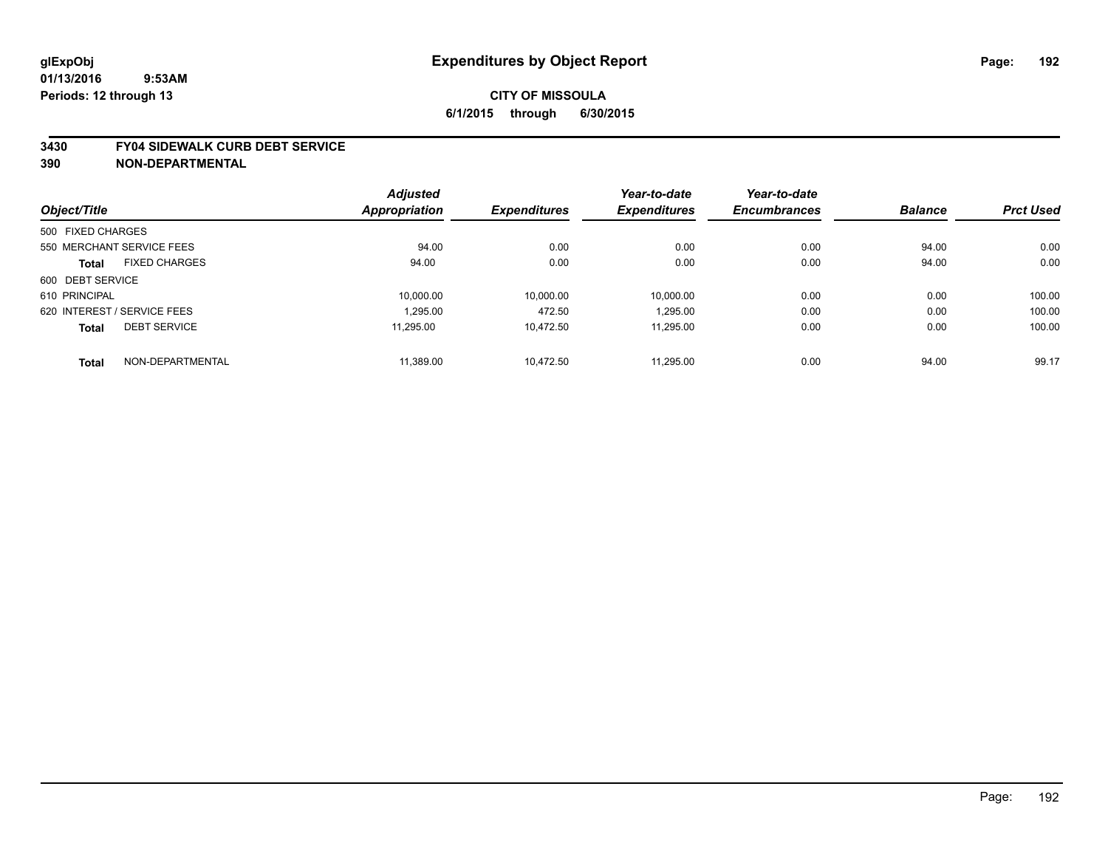#### **3430 FY04 SIDEWALK CURB DEBT SERVICE**

|                                      | <b>Adjusted</b>      |                     | Year-to-date        | Year-to-date        | <b>Balance</b> | <b>Prct Used</b> |
|--------------------------------------|----------------------|---------------------|---------------------|---------------------|----------------|------------------|
| Object/Title                         | <b>Appropriation</b> | <b>Expenditures</b> | <b>Expenditures</b> | <b>Encumbrances</b> |                |                  |
| 500 FIXED CHARGES                    |                      |                     |                     |                     |                |                  |
| 550 MERCHANT SERVICE FEES            | 94.00                | 0.00                | 0.00                | 0.00                | 94.00          | 0.00             |
| <b>FIXED CHARGES</b><br><b>Total</b> | 94.00                | 0.00                | 0.00                | 0.00                | 94.00          | 0.00             |
| 600 DEBT SERVICE                     |                      |                     |                     |                     |                |                  |
| 610 PRINCIPAL                        | 10.000.00            | 10,000.00           | 10.000.00           | 0.00                | 0.00           | 100.00           |
| 620 INTEREST / SERVICE FEES          | 1,295.00             | 472.50              | 1,295.00            | 0.00                | 0.00           | 100.00           |
| <b>DEBT SERVICE</b><br><b>Total</b>  | 11.295.00            | 10.472.50           | 11.295.00           | 0.00                | 0.00           | 100.00           |
| NON-DEPARTMENTAL<br><b>Total</b>     | 11,389.00            | 10.472.50           | 11.295.00           | 0.00                | 94.00          | 99.17            |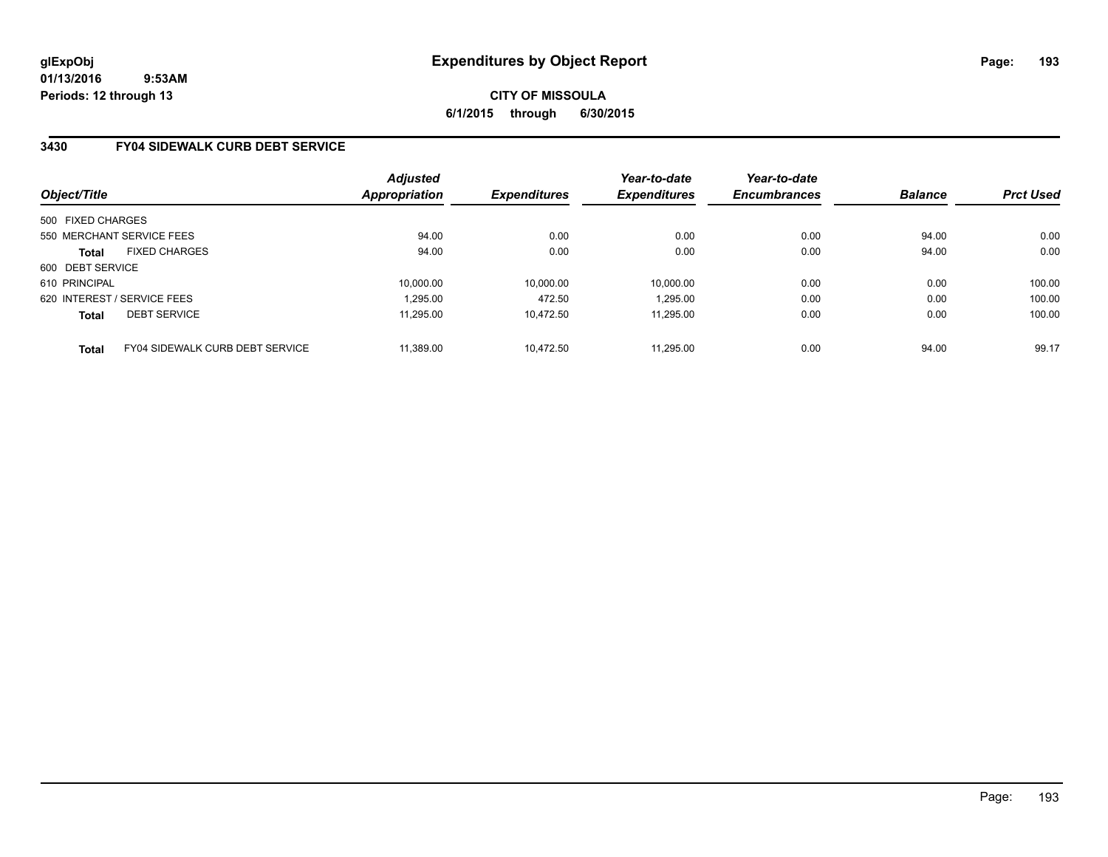**CITY OF MISSOULA 6/1/2015 through 6/30/2015**

### **3430 FY04 SIDEWALK CURB DEBT SERVICE**

| Object/Title                |                                        | Adjusted<br><b>Appropriation</b> | <b>Expenditures</b> | Year-to-date<br><b>Expenditures</b> | Year-to-date<br><b>Encumbrances</b> | <b>Balance</b> | <b>Prct Used</b> |
|-----------------------------|----------------------------------------|----------------------------------|---------------------|-------------------------------------|-------------------------------------|----------------|------------------|
| 500 FIXED CHARGES           |                                        |                                  |                     |                                     |                                     |                |                  |
|                             | 550 MERCHANT SERVICE FEES              | 94.00                            | 0.00                | 0.00                                | 0.00                                | 94.00          | 0.00             |
| <b>Total</b>                | <b>FIXED CHARGES</b>                   | 94.00                            | 0.00                | 0.00                                | 0.00                                | 94.00          | 0.00             |
| 600 DEBT SERVICE            |                                        |                                  |                     |                                     |                                     |                |                  |
| 610 PRINCIPAL               |                                        | 10.000.00                        | 10,000.00           | 10.000.00                           | 0.00                                | 0.00           | 100.00           |
| 620 INTEREST / SERVICE FEES |                                        | 1,295.00                         | 472.50              | 1,295.00                            | 0.00                                | 0.00           | 100.00           |
| Total                       | <b>DEBT SERVICE</b>                    | 11.295.00                        | 10.472.50           | 11.295.00                           | 0.00                                | 0.00           | 100.00           |
| <b>Total</b>                | <b>FY04 SIDEWALK CURB DEBT SERVICE</b> | 11.389.00                        | 10.472.50           | 11.295.00                           | 0.00                                | 94.00          | 99.17            |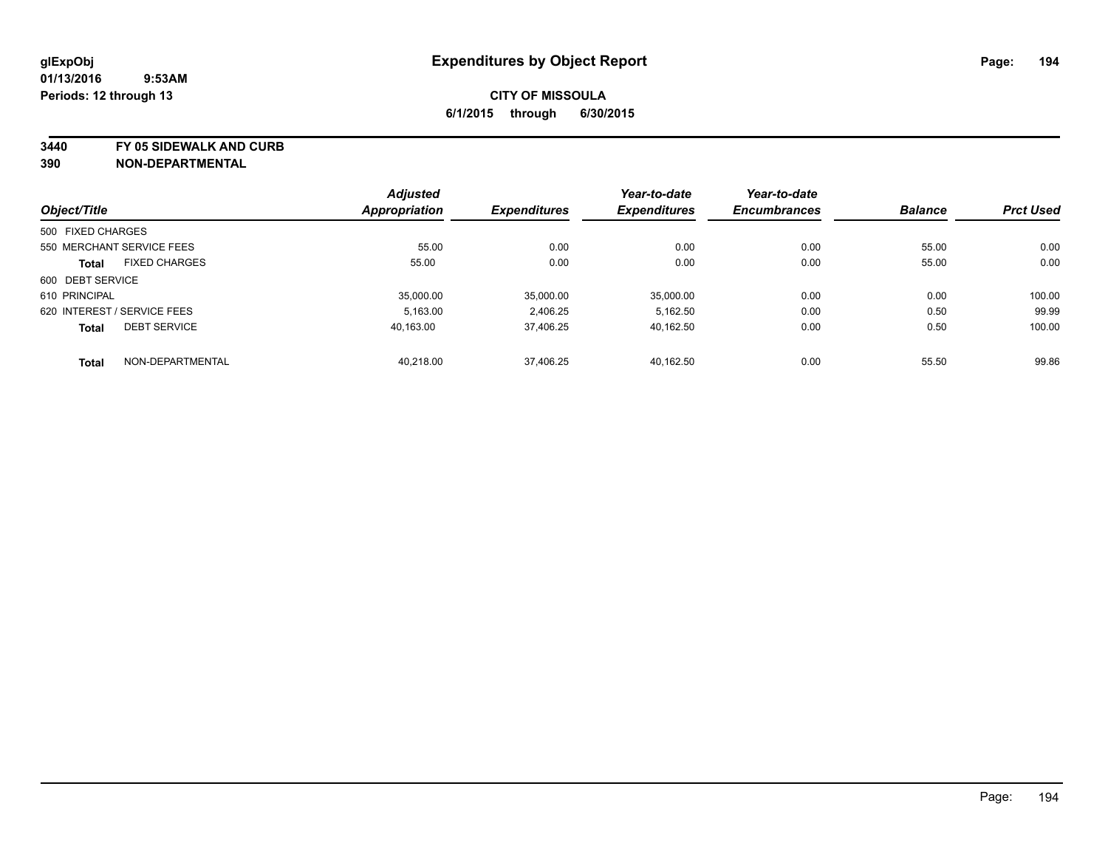**3440 FY 05 SIDEWALK AND CURB**

|                   |                             | <b>Adjusted</b>      |                     | Year-to-date        | Year-to-date        |                |                  |
|-------------------|-----------------------------|----------------------|---------------------|---------------------|---------------------|----------------|------------------|
| Object/Title      |                             | <b>Appropriation</b> | <b>Expenditures</b> | <b>Expenditures</b> | <b>Encumbrances</b> | <b>Balance</b> | <b>Prct Used</b> |
| 500 FIXED CHARGES |                             |                      |                     |                     |                     |                |                  |
|                   | 550 MERCHANT SERVICE FEES   | 55.00                | 0.00                | 0.00                | 0.00                | 55.00          | 0.00             |
| <b>Total</b>      | <b>FIXED CHARGES</b>        | 55.00                | 0.00                | 0.00                | 0.00                | 55.00          | 0.00             |
| 600 DEBT SERVICE  |                             |                      |                     |                     |                     |                |                  |
| 610 PRINCIPAL     |                             | 35.000.00            | 35,000.00           | 35,000.00           | 0.00                | 0.00           | 100.00           |
|                   | 620 INTEREST / SERVICE FEES | 5.163.00             | 2,406.25            | 5,162.50            | 0.00                | 0.50           | 99.99            |
| <b>Total</b>      | <b>DEBT SERVICE</b>         | 40.163.00            | 37,406.25           | 40.162.50           | 0.00                | 0.50           | 100.00           |
| <b>Total</b>      | NON-DEPARTMENTAL            | 40,218.00            | 37,406.25           | 40.162.50           | 0.00                | 55.50          | 99.86            |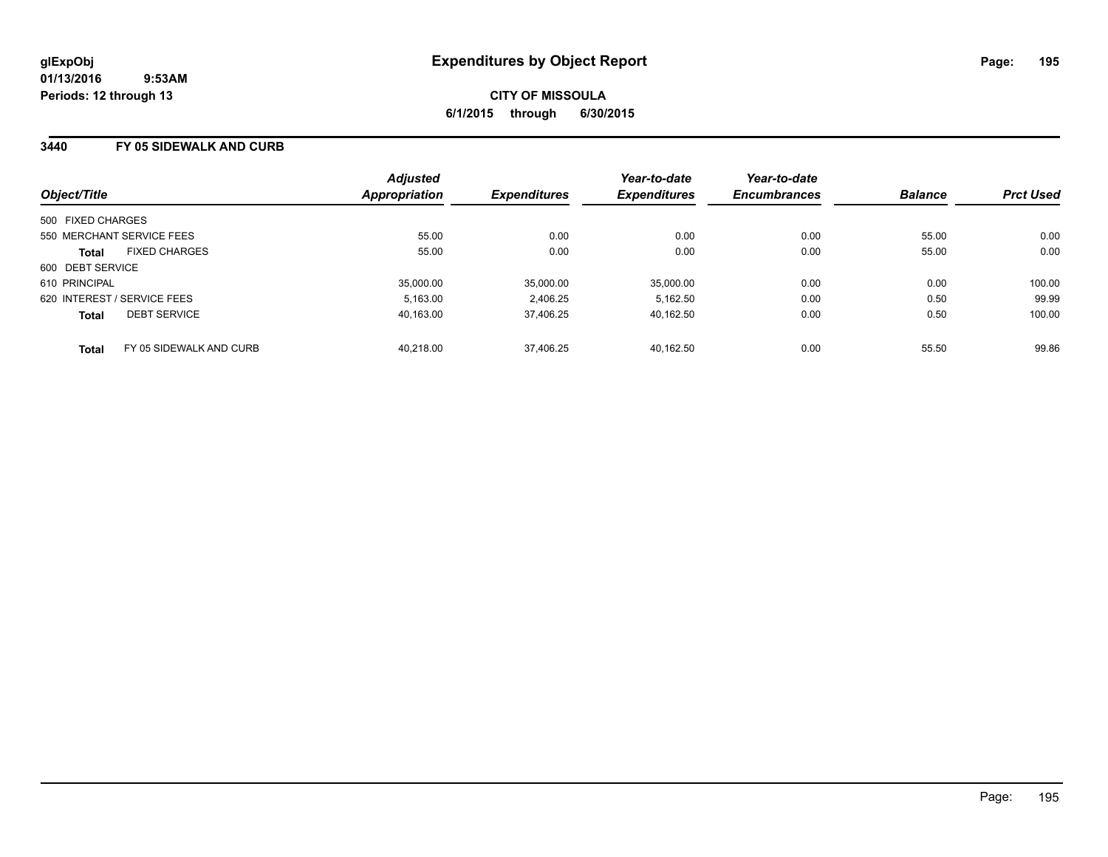### **3440 FY 05 SIDEWALK AND CURB**

| Object/Title                         |                         | <b>Adjusted</b><br>Appropriation | <b>Expenditures</b> | Year-to-date<br><b>Expenditures</b> | Year-to-date<br><b>Encumbrances</b> | <b>Balance</b> | <b>Prct Used</b> |
|--------------------------------------|-------------------------|----------------------------------|---------------------|-------------------------------------|-------------------------------------|----------------|------------------|
| 500 FIXED CHARGES                    |                         |                                  |                     |                                     |                                     |                |                  |
| 550 MERCHANT SERVICE FEES            |                         | 55.00                            | 0.00                | 0.00                                | 0.00                                | 55.00          | 0.00             |
| <b>FIXED CHARGES</b><br><b>Total</b> |                         | 55.00                            | 0.00                | 0.00                                | 0.00                                | 55.00          | 0.00             |
| 600 DEBT SERVICE                     |                         |                                  |                     |                                     |                                     |                |                  |
| 610 PRINCIPAL                        |                         | 35,000.00                        | 35.000.00           | 35.000.00                           | 0.00                                | 0.00           | 100.00           |
| 620 INTEREST / SERVICE FEES          |                         | 5.163.00                         | 2.406.25            | 5.162.50                            | 0.00                                | 0.50           | 99.99            |
| <b>DEBT SERVICE</b><br><b>Total</b>  |                         | 40.163.00                        | 37.406.25           | 40.162.50                           | 0.00                                | 0.50           | 100.00           |
| <b>Total</b>                         | FY 05 SIDEWALK AND CURB | 40.218.00                        | 37.406.25           | 40.162.50                           | 0.00                                | 55.50          | 99.86            |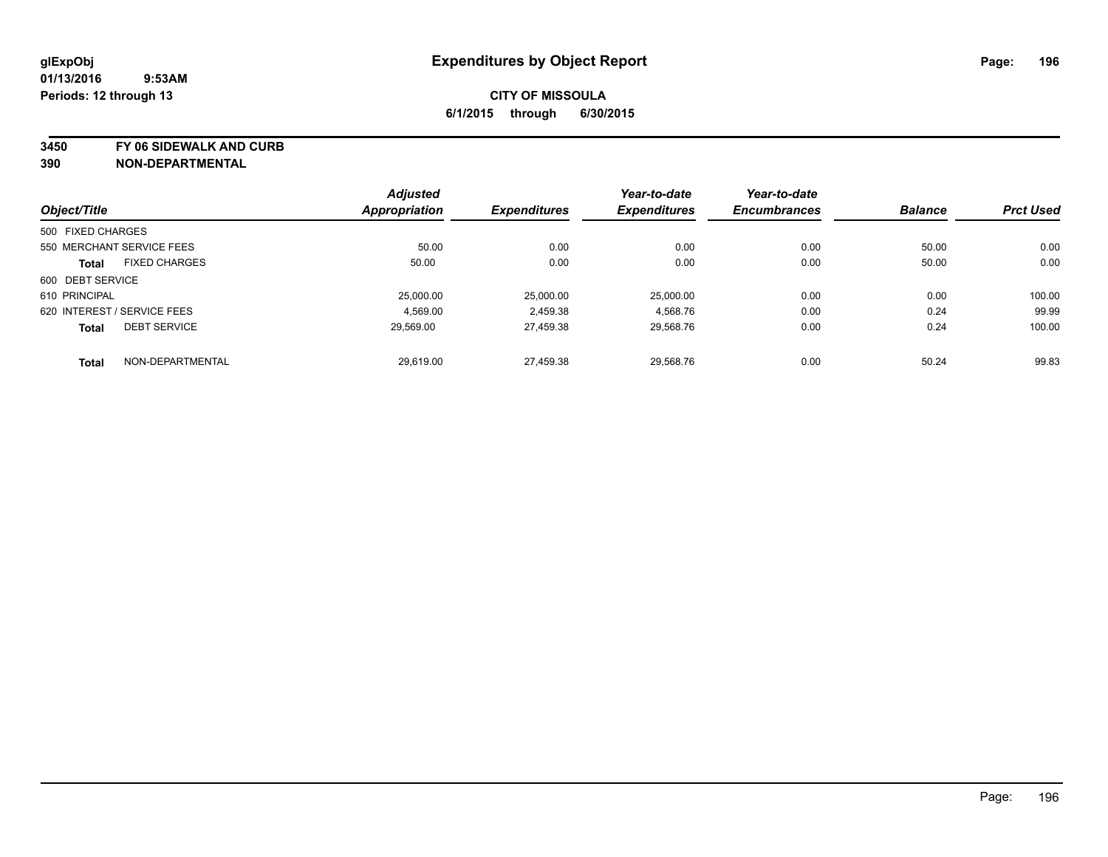**3450 FY 06 SIDEWALK AND CURB**

|                             |                           | <b>Adjusted</b>      |                     | Year-to-date        | Year-to-date        |                |                  |
|-----------------------------|---------------------------|----------------------|---------------------|---------------------|---------------------|----------------|------------------|
| Object/Title                |                           | <b>Appropriation</b> | <b>Expenditures</b> | <b>Expenditures</b> | <b>Encumbrances</b> | <b>Balance</b> | <b>Prct Used</b> |
| 500 FIXED CHARGES           |                           |                      |                     |                     |                     |                |                  |
|                             | 550 MERCHANT SERVICE FEES | 50.00                | 0.00                | 0.00                | 0.00                | 50.00          | 0.00             |
| <b>Total</b>                | <b>FIXED CHARGES</b>      | 50.00                | 0.00                | 0.00                | 0.00                | 50.00          | 0.00             |
| 600 DEBT SERVICE            |                           |                      |                     |                     |                     |                |                  |
| 610 PRINCIPAL               |                           | 25,000.00            | 25,000.00           | 25,000.00           | 0.00                | 0.00           | 100.00           |
| 620 INTEREST / SERVICE FEES |                           | 4.569.00             | 2,459.38            | 4,568.76            | 0.00                | 0.24           | 99.99            |
| <b>Total</b>                | <b>DEBT SERVICE</b>       | 29.569.00            | 27.459.38           | 29.568.76           | 0.00                | 0.24           | 100.00           |
| <b>Total</b>                | NON-DEPARTMENTAL          | 29.619.00            | 27.459.38           | 29.568.76           | 0.00                | 50.24          | 99.83            |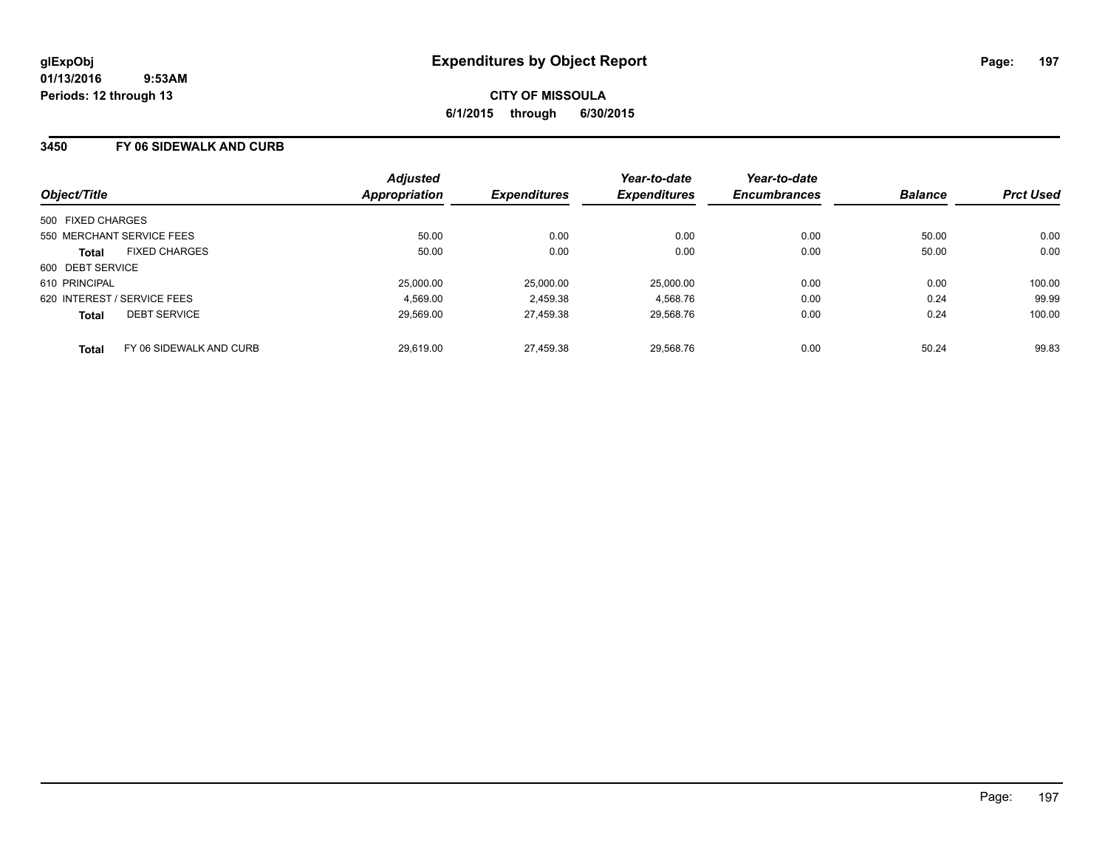### **3450 FY 06 SIDEWALK AND CURB**

| Object/Title                            | <b>Adjusted</b><br>Appropriation | <b>Expenditures</b> | Year-to-date<br><b>Expenditures</b> | Year-to-date<br><b>Encumbrances</b> | <b>Balance</b> | <b>Prct Used</b> |
|-----------------------------------------|----------------------------------|---------------------|-------------------------------------|-------------------------------------|----------------|------------------|
| 500 FIXED CHARGES                       |                                  |                     |                                     |                                     |                |                  |
| 550 MERCHANT SERVICE FEES               | 50.00                            | 0.00                | 0.00                                | 0.00                                | 50.00          | 0.00             |
| <b>FIXED CHARGES</b><br><b>Total</b>    | 50.00                            | 0.00                | 0.00                                | 0.00                                | 50.00          | 0.00             |
| 600 DEBT SERVICE                        |                                  |                     |                                     |                                     |                |                  |
| 610 PRINCIPAL                           | 25,000.00                        | 25.000.00           | 25.000.00                           | 0.00                                | 0.00           | 100.00           |
| 620 INTEREST / SERVICE FEES             | 4.569.00                         | 2,459.38            | 4,568.76                            | 0.00                                | 0.24           | 99.99            |
| <b>DEBT SERVICE</b><br><b>Total</b>     | 29.569.00                        | 27.459.38           | 29.568.76                           | 0.00                                | 0.24           | 100.00           |
| FY 06 SIDEWALK AND CURB<br><b>Total</b> | 29.619.00                        | 27.459.38           | 29.568.76                           | 0.00                                | 50.24          | 99.83            |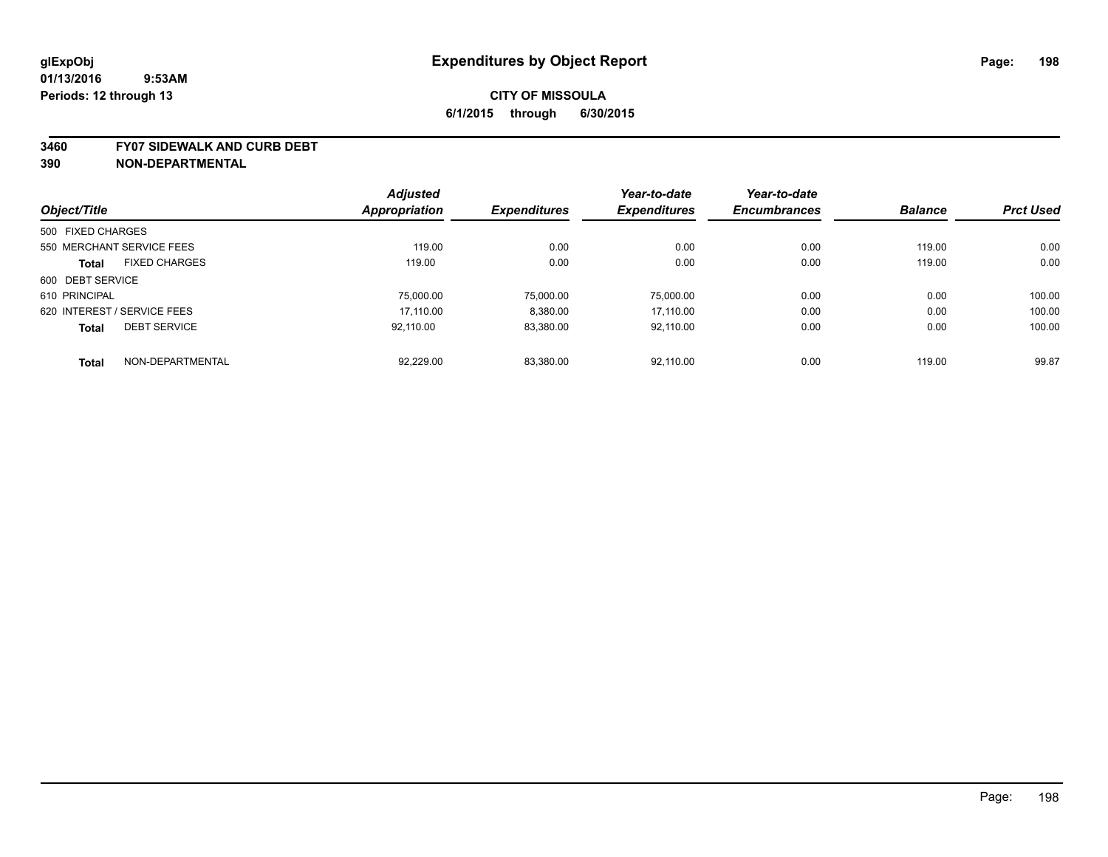#### **3460 FY07 SIDEWALK AND CURB DEBT**

|                             |                      | <b>Adjusted</b> |                     | Year-to-date        | Year-to-date        |                |                  |
|-----------------------------|----------------------|-----------------|---------------------|---------------------|---------------------|----------------|------------------|
| Object/Title                |                      | Appropriation   | <b>Expenditures</b> | <b>Expenditures</b> | <b>Encumbrances</b> | <b>Balance</b> | <b>Prct Used</b> |
| 500 FIXED CHARGES           |                      |                 |                     |                     |                     |                |                  |
| 550 MERCHANT SERVICE FEES   |                      | 119.00          | 0.00                | 0.00                | 0.00                | 119.00         | 0.00             |
| <b>Total</b>                | <b>FIXED CHARGES</b> | 119.00          | 0.00                | 0.00                | 0.00                | 119.00         | 0.00             |
| 600 DEBT SERVICE            |                      |                 |                     |                     |                     |                |                  |
| 610 PRINCIPAL               |                      | 75,000.00       | 75.000.00           | 75.000.00           | 0.00                | 0.00           | 100.00           |
| 620 INTEREST / SERVICE FEES |                      | 17.110.00       | 8.380.00            | 17.110.00           | 0.00                | 0.00           | 100.00           |
| <b>Total</b>                | <b>DEBT SERVICE</b>  | 92.110.00       | 83,380.00           | 92.110.00           | 0.00                | 0.00           | 100.00           |
| <b>Total</b>                | NON-DEPARTMENTAL     | 92,229.00       | 83.380.00           | 92.110.00           | 0.00                | 119.00         | 99.87            |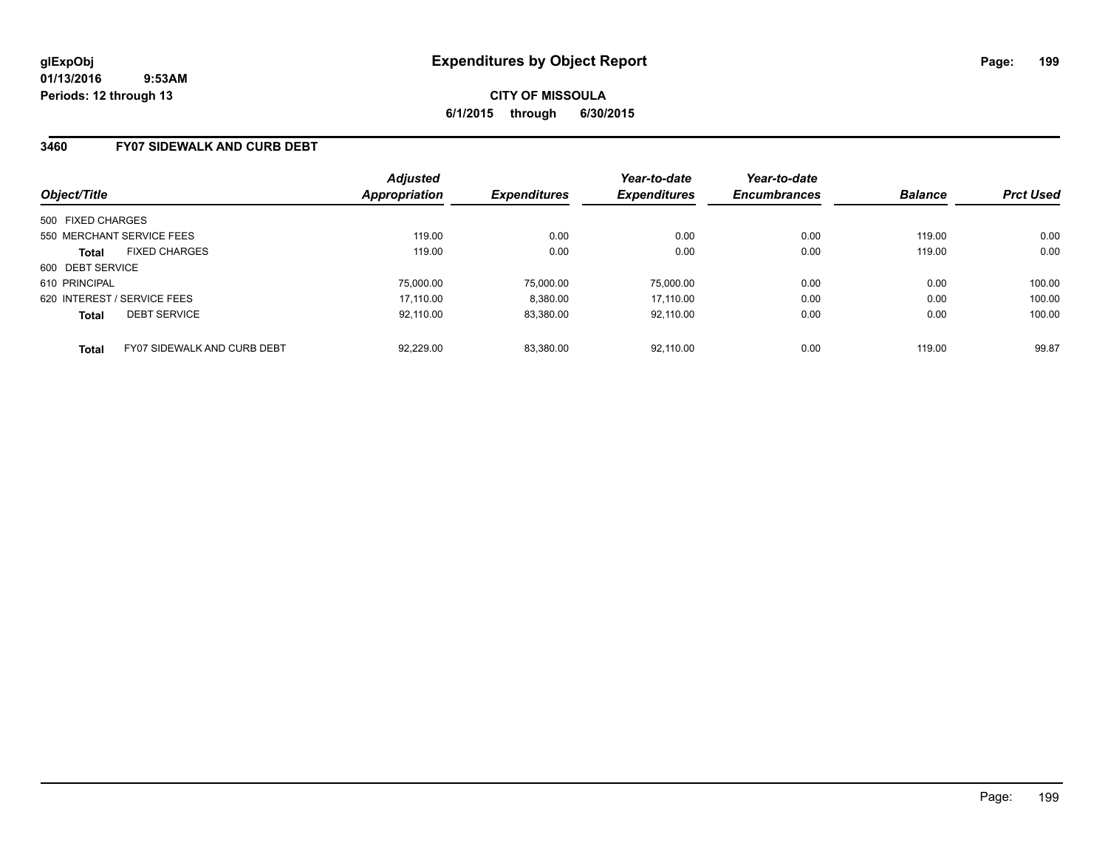**CITY OF MISSOULA 6/1/2015 through 6/30/2015**

### **3460 FY07 SIDEWALK AND CURB DEBT**

| Object/Title                                       | <b>Adjusted</b><br>Appropriation | <b>Expenditures</b> | Year-to-date<br><b>Expenditures</b> | Year-to-date<br><b>Encumbrances</b> | <b>Balance</b> | <b>Prct Used</b> |
|----------------------------------------------------|----------------------------------|---------------------|-------------------------------------|-------------------------------------|----------------|------------------|
| 500 FIXED CHARGES                                  |                                  |                     |                                     |                                     |                |                  |
| 550 MERCHANT SERVICE FEES                          | 119.00                           | 0.00                | 0.00                                | 0.00                                | 119.00         | 0.00             |
| <b>FIXED CHARGES</b><br><b>Total</b>               | 119.00                           | 0.00                | 0.00                                | 0.00                                | 119.00         | 0.00             |
| 600 DEBT SERVICE                                   |                                  |                     |                                     |                                     |                |                  |
| 610 PRINCIPAL                                      | 75,000.00                        | 75.000.00           | 75.000.00                           | 0.00                                | 0.00           | 100.00           |
| 620 INTEREST / SERVICE FEES                        | 17.110.00                        | 8,380.00            | 17.110.00                           | 0.00                                | 0.00           | 100.00           |
| <b>DEBT SERVICE</b><br><b>Total</b>                | 92.110.00                        | 83.380.00           | 92.110.00                           | 0.00                                | 0.00           | 100.00           |
| <b>FY07 SIDEWALK AND CURB DEBT</b><br><b>Total</b> | 92.229.00                        | 83.380.00           | 92.110.00                           | 0.00                                | 119.00         | 99.87            |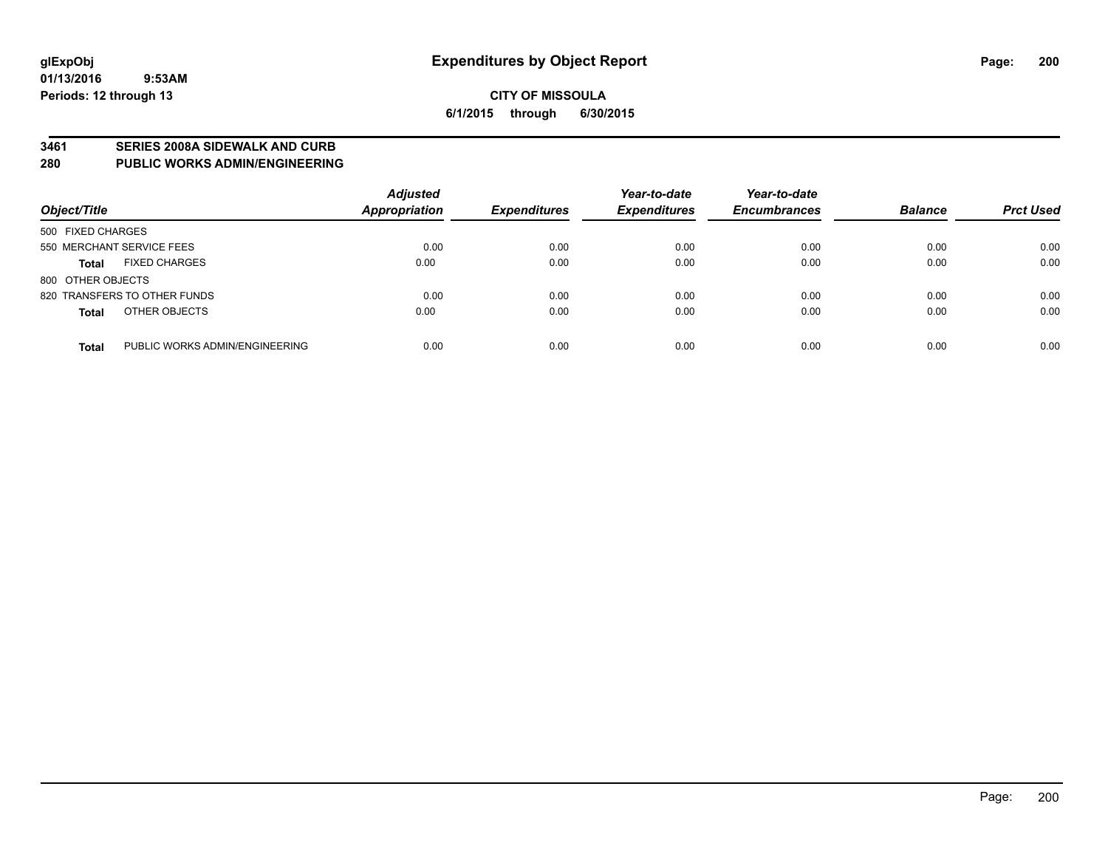#### **3461 SERIES 2008A SIDEWALK AND CURB**

**280 PUBLIC WORKS ADMIN/ENGINEERING**

| Object/Title                                   | <b>Adjusted</b><br>Appropriation | <b>Expenditures</b> | Year-to-date<br><b>Expenditures</b> | Year-to-date<br><b>Encumbrances</b> | <b>Balance</b> | <b>Prct Used</b> |
|------------------------------------------------|----------------------------------|---------------------|-------------------------------------|-------------------------------------|----------------|------------------|
| 500 FIXED CHARGES                              |                                  |                     |                                     |                                     |                |                  |
| 550 MERCHANT SERVICE FEES                      | 0.00                             | 0.00                | 0.00                                | 0.00                                | 0.00           | 0.00             |
| <b>FIXED CHARGES</b><br><b>Total</b>           | 0.00                             | 0.00                | 0.00                                | 0.00                                | 0.00           | 0.00             |
| 800 OTHER OBJECTS                              |                                  |                     |                                     |                                     |                |                  |
| 820 TRANSFERS TO OTHER FUNDS                   | 0.00                             | 0.00                | 0.00                                | 0.00                                | 0.00           | 0.00             |
| OTHER OBJECTS<br><b>Total</b>                  | 0.00                             | 0.00                | 0.00                                | 0.00                                | 0.00           | 0.00             |
| PUBLIC WORKS ADMIN/ENGINEERING<br><b>Total</b> | 0.00                             | 0.00                | 0.00                                | 0.00                                | 0.00           | 0.00             |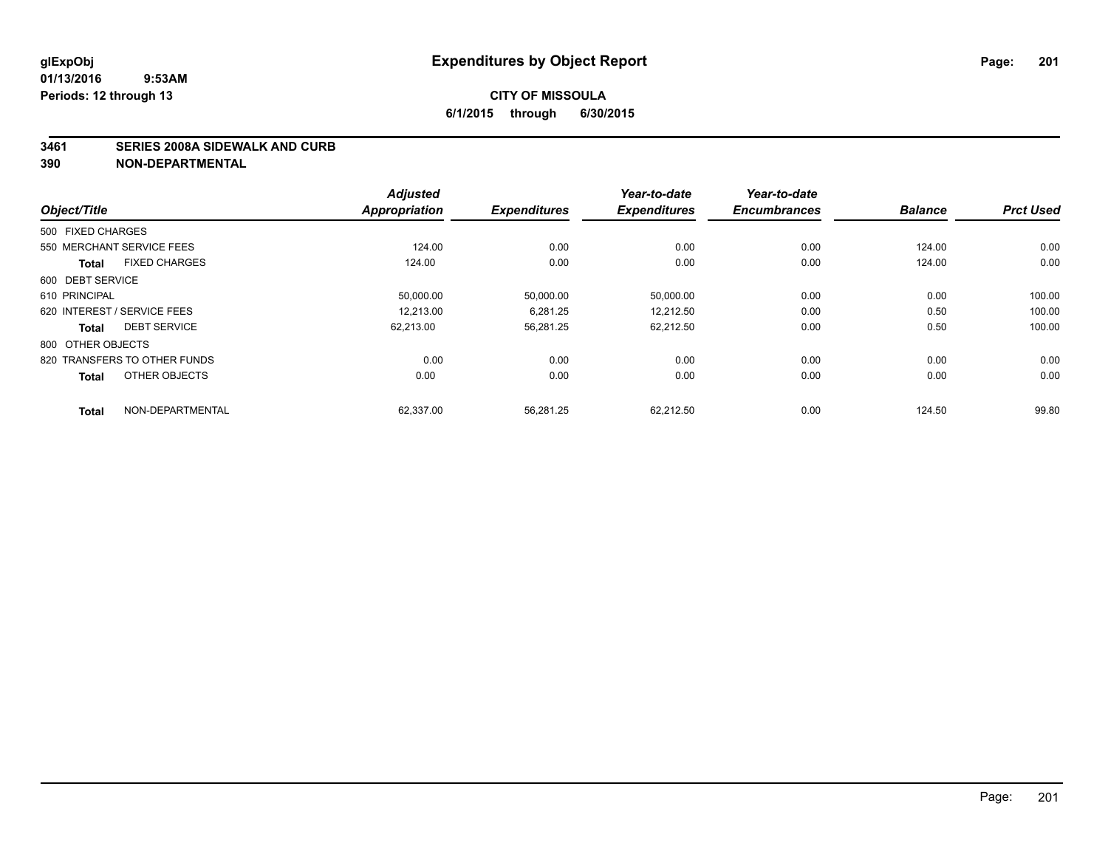#### **3461 SERIES 2008A SIDEWALK AND CURB**

| Object/Title                         | <b>Adjusted</b><br><b>Appropriation</b> | <b>Expenditures</b> | Year-to-date<br><b>Expenditures</b> | Year-to-date<br><b>Encumbrances</b> | <b>Balance</b> | <b>Prct Used</b> |
|--------------------------------------|-----------------------------------------|---------------------|-------------------------------------|-------------------------------------|----------------|------------------|
|                                      |                                         |                     |                                     |                                     |                |                  |
| 500 FIXED CHARGES                    |                                         |                     |                                     |                                     |                |                  |
| 550 MERCHANT SERVICE FEES            | 124.00                                  | 0.00                | 0.00                                | 0.00                                | 124.00         | 0.00             |
| <b>FIXED CHARGES</b><br><b>Total</b> | 124.00                                  | 0.00                | 0.00                                | 0.00                                | 124.00         | 0.00             |
| 600 DEBT SERVICE                     |                                         |                     |                                     |                                     |                |                  |
| 610 PRINCIPAL                        | 50,000.00                               | 50,000.00           | 50,000.00                           | 0.00                                | 0.00           | 100.00           |
| 620 INTEREST / SERVICE FEES          | 12.213.00                               | 6.281.25            | 12.212.50                           | 0.00                                | 0.50           | 100.00           |
| <b>DEBT SERVICE</b><br><b>Total</b>  | 62,213.00                               | 56,281.25           | 62,212.50                           | 0.00                                | 0.50           | 100.00           |
| 800 OTHER OBJECTS                    |                                         |                     |                                     |                                     |                |                  |
| 820 TRANSFERS TO OTHER FUNDS         | 0.00                                    | 0.00                | 0.00                                | 0.00                                | 0.00           | 0.00             |
| OTHER OBJECTS<br><b>Total</b>        | 0.00                                    | 0.00                | 0.00                                | 0.00                                | 0.00           | 0.00             |
| NON-DEPARTMENTAL<br><b>Total</b>     | 62.337.00                               | 56.281.25           | 62.212.50                           | 0.00                                | 124.50         | 99.80            |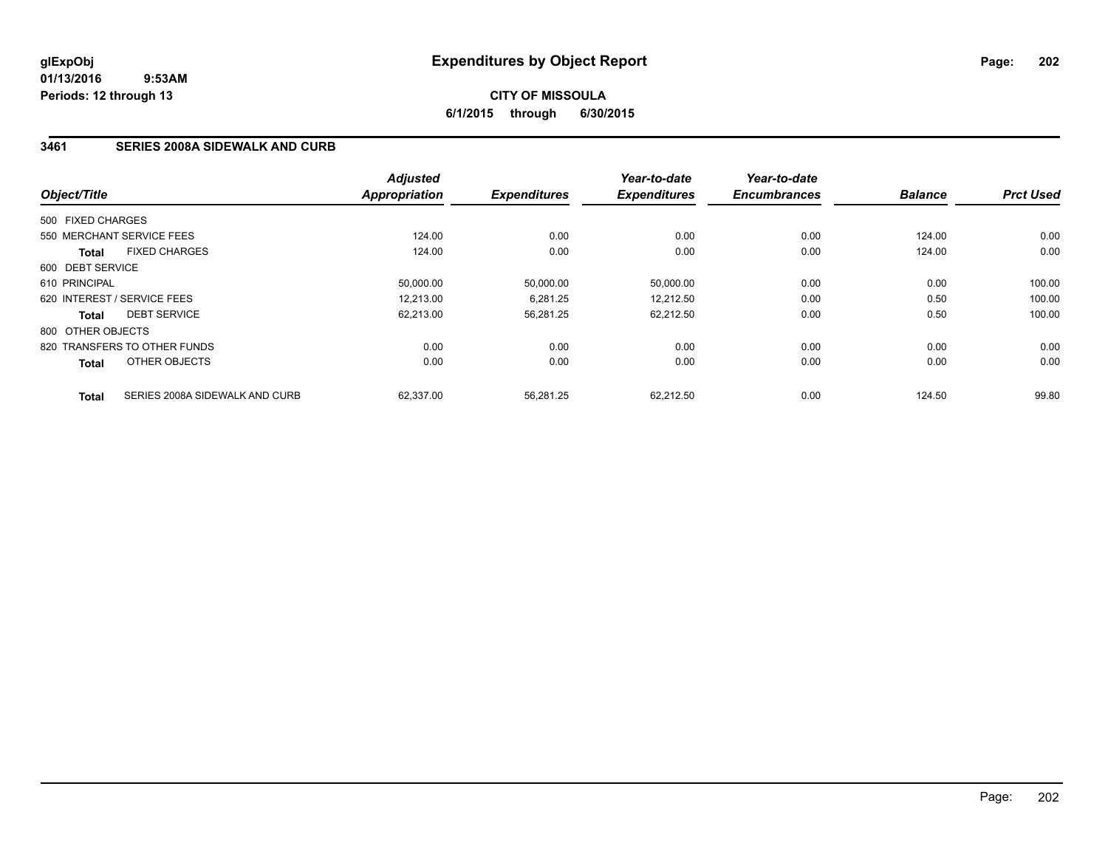# **CITY OF MISSOULA 6/1/2015 through 6/30/2015**

### **3461 SERIES 2008A SIDEWALK AND CURB**

| Object/Title      |                                | <b>Adjusted</b><br><b>Appropriation</b> | <b>Expenditures</b> | Year-to-date<br><b>Expenditures</b> | Year-to-date<br><b>Encumbrances</b> | <b>Balance</b> | <b>Prct Used</b> |
|-------------------|--------------------------------|-----------------------------------------|---------------------|-------------------------------------|-------------------------------------|----------------|------------------|
|                   |                                |                                         |                     |                                     |                                     |                |                  |
| 500 FIXED CHARGES |                                |                                         |                     |                                     |                                     |                |                  |
|                   | 550 MERCHANT SERVICE FEES      | 124.00                                  | 0.00                | 0.00                                | 0.00                                | 124.00         | 0.00             |
| Total             | <b>FIXED CHARGES</b>           | 124.00                                  | 0.00                | 0.00                                | 0.00                                | 124.00         | 0.00             |
| 600 DEBT SERVICE  |                                |                                         |                     |                                     |                                     |                |                  |
| 610 PRINCIPAL     |                                | 50.000.00                               | 50,000.00           | 50,000.00                           | 0.00                                | 0.00           | 100.00           |
|                   | 620 INTEREST / SERVICE FEES    | 12,213.00                               | 6,281.25            | 12,212.50                           | 0.00                                | 0.50           | 100.00           |
| Total             | <b>DEBT SERVICE</b>            | 62,213.00                               | 56,281.25           | 62,212.50                           | 0.00                                | 0.50           | 100.00           |
| 800 OTHER OBJECTS |                                |                                         |                     |                                     |                                     |                |                  |
|                   | 820 TRANSFERS TO OTHER FUNDS   | 0.00                                    | 0.00                | 0.00                                | 0.00                                | 0.00           | 0.00             |
| <b>Total</b>      | OTHER OBJECTS                  | 0.00                                    | 0.00                | 0.00                                | 0.00                                | 0.00           | 0.00             |
| <b>Total</b>      | SERIES 2008A SIDEWALK AND CURB | 62,337.00                               | 56,281.25           | 62.212.50                           | 0.00                                | 124.50         | 99.80            |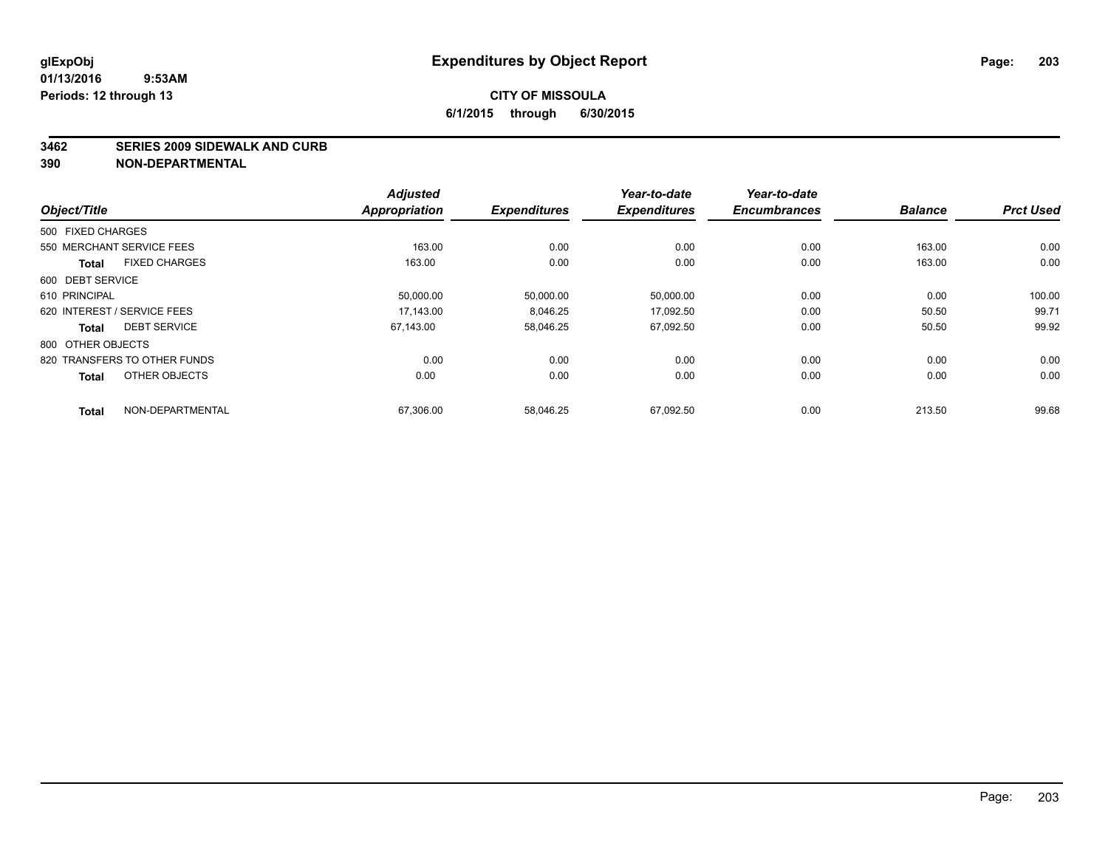#### **3462 SERIES 2009 SIDEWALK AND CURB**

|                                      | <b>Adjusted</b>      |                     | Year-to-date        | Year-to-date<br><b>Encumbrances</b> | <b>Balance</b> | <b>Prct Used</b> |
|--------------------------------------|----------------------|---------------------|---------------------|-------------------------------------|----------------|------------------|
| Object/Title                         | <b>Appropriation</b> | <b>Expenditures</b> | <b>Expenditures</b> |                                     |                |                  |
| 500 FIXED CHARGES                    |                      |                     |                     |                                     |                |                  |
| 550 MERCHANT SERVICE FEES            | 163.00               | 0.00                | 0.00                | 0.00                                | 163.00         | 0.00             |
| <b>FIXED CHARGES</b><br><b>Total</b> | 163.00               | 0.00                | 0.00                | 0.00                                | 163.00         | 0.00             |
| 600 DEBT SERVICE                     |                      |                     |                     |                                     |                |                  |
| 610 PRINCIPAL                        | 50,000.00            | 50,000.00           | 50,000.00           | 0.00                                | 0.00           | 100.00           |
| 620 INTEREST / SERVICE FEES          | 17.143.00            | 8,046.25            | 17.092.50           | 0.00                                | 50.50          | 99.71            |
| <b>DEBT SERVICE</b><br><b>Total</b>  | 67.143.00            | 58,046.25           | 67,092.50           | 0.00                                | 50.50          | 99.92            |
| 800 OTHER OBJECTS                    |                      |                     |                     |                                     |                |                  |
| 820 TRANSFERS TO OTHER FUNDS         | 0.00                 | 0.00                | 0.00                | 0.00                                | 0.00           | 0.00             |
| OTHER OBJECTS<br><b>Total</b>        | 0.00                 | 0.00                | 0.00                | 0.00                                | 0.00           | 0.00             |
| NON-DEPARTMENTAL<br><b>Total</b>     | 67,306.00            | 58,046.25           | 67,092.50           | 0.00                                | 213.50         | 99.68            |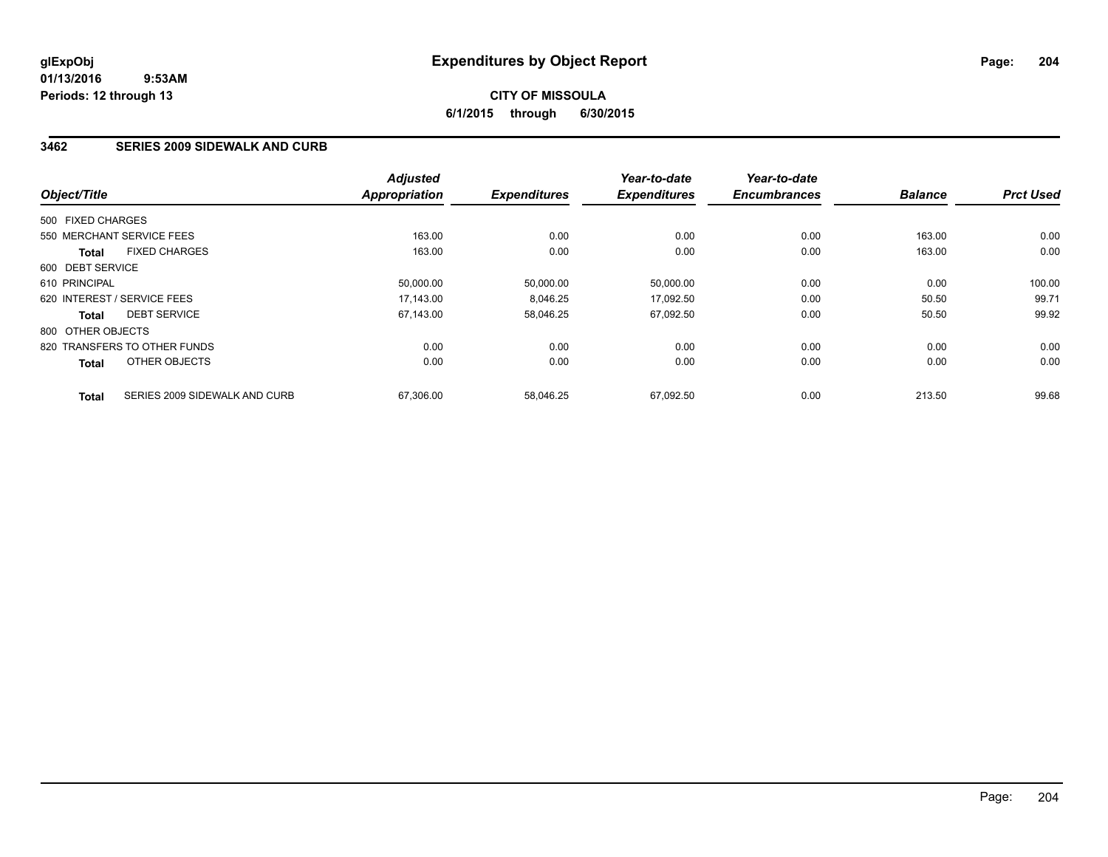# **CITY OF MISSOULA 6/1/2015 through 6/30/2015**

### **3462 SERIES 2009 SIDEWALK AND CURB**

| Object/Title      |                               | <b>Adjusted</b><br><b>Appropriation</b> | <b>Expenditures</b> | Year-to-date<br><b>Expenditures</b> | Year-to-date<br><b>Encumbrances</b> | <b>Balance</b> | <b>Prct Used</b> |
|-------------------|-------------------------------|-----------------------------------------|---------------------|-------------------------------------|-------------------------------------|----------------|------------------|
|                   |                               |                                         |                     |                                     |                                     |                |                  |
| 500 FIXED CHARGES |                               |                                         |                     |                                     |                                     |                |                  |
|                   | 550 MERCHANT SERVICE FEES     | 163.00                                  | 0.00                | 0.00                                | 0.00                                | 163.00         | 0.00             |
| Total             | <b>FIXED CHARGES</b>          | 163.00                                  | 0.00                | 0.00                                | 0.00                                | 163.00         | 0.00             |
| 600 DEBT SERVICE  |                               |                                         |                     |                                     |                                     |                |                  |
| 610 PRINCIPAL     |                               | 50.000.00                               | 50,000.00           | 50,000.00                           | 0.00                                | 0.00           | 100.00           |
|                   | 620 INTEREST / SERVICE FEES   | 17,143.00                               | 8,046.25            | 17,092.50                           | 0.00                                | 50.50          | 99.71            |
| Total             | <b>DEBT SERVICE</b>           | 67,143.00                               | 58,046.25           | 67,092.50                           | 0.00                                | 50.50          | 99.92            |
| 800 OTHER OBJECTS |                               |                                         |                     |                                     |                                     |                |                  |
|                   | 820 TRANSFERS TO OTHER FUNDS  | 0.00                                    | 0.00                | 0.00                                | 0.00                                | 0.00           | 0.00             |
| <b>Total</b>      | OTHER OBJECTS                 | 0.00                                    | 0.00                | 0.00                                | 0.00                                | 0.00           | 0.00             |
| <b>Total</b>      | SERIES 2009 SIDEWALK AND CURB | 67,306.00                               | 58.046.25           | 67.092.50                           | 0.00                                | 213.50         | 99.68            |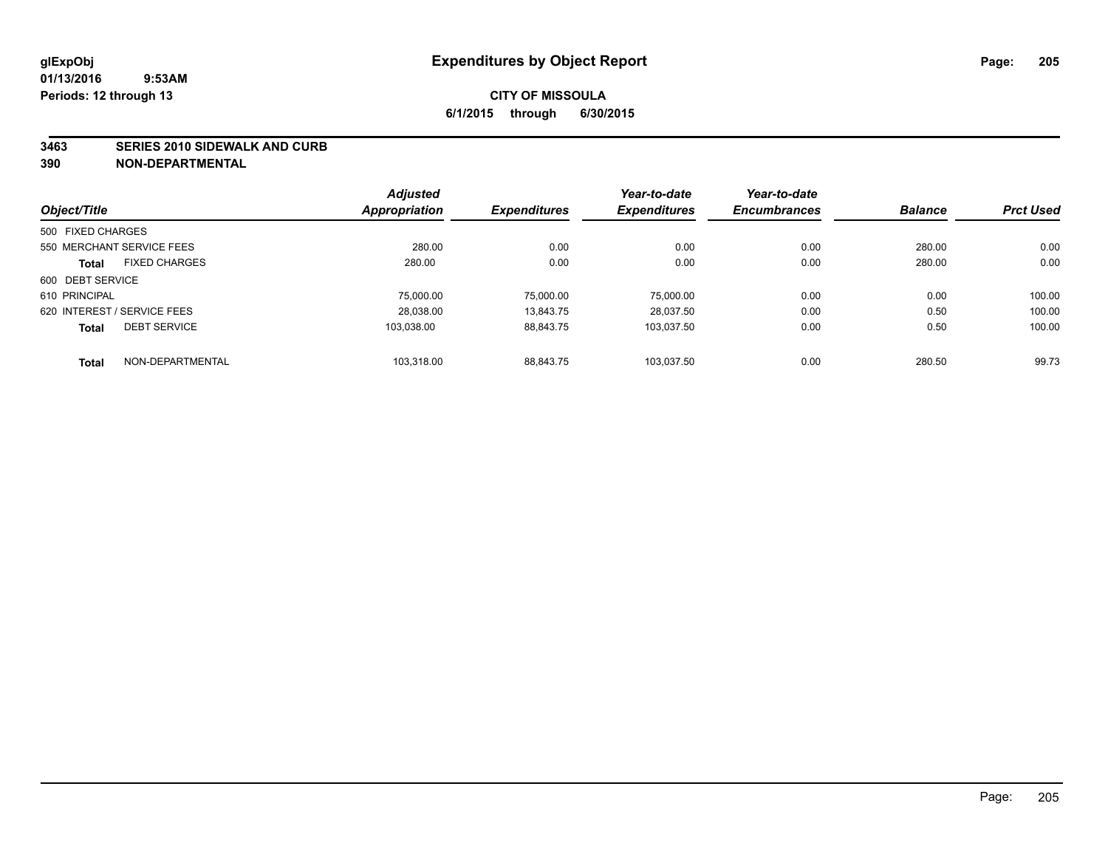#### **3463 SERIES 2010 SIDEWALK AND CURB**

| Object/Title      |                             | <b>Adjusted</b> |                     | Year-to-date        | Year-to-date        |                |                  |
|-------------------|-----------------------------|-----------------|---------------------|---------------------|---------------------|----------------|------------------|
|                   |                             | Appropriation   | <b>Expenditures</b> | <b>Expenditures</b> | <b>Encumbrances</b> | <b>Balance</b> | <b>Prct Used</b> |
| 500 FIXED CHARGES |                             |                 |                     |                     |                     |                |                  |
|                   | 550 MERCHANT SERVICE FEES   | 280.00          | 0.00                | 0.00                | 0.00                | 280.00         | 0.00             |
| <b>Total</b>      | <b>FIXED CHARGES</b>        | 280.00          | 0.00                | 0.00                | 0.00                | 280.00         | 0.00             |
| 600 DEBT SERVICE  |                             |                 |                     |                     |                     |                |                  |
| 610 PRINCIPAL     |                             | 75,000.00       | 75,000.00           | 75,000.00           | 0.00                | 0.00           | 100.00           |
|                   | 620 INTEREST / SERVICE FEES | 28.038.00       | 13.843.75           | 28.037.50           | 0.00                | 0.50           | 100.00           |
| <b>Total</b>      | <b>DEBT SERVICE</b>         | 103.038.00      | 88,843.75           | 103.037.50          | 0.00                | 0.50           | 100.00           |
| <b>Total</b>      | NON-DEPARTMENTAL            | 103.318.00      | 88.843.75           | 103.037.50          | 0.00                | 280.50         | 99.73            |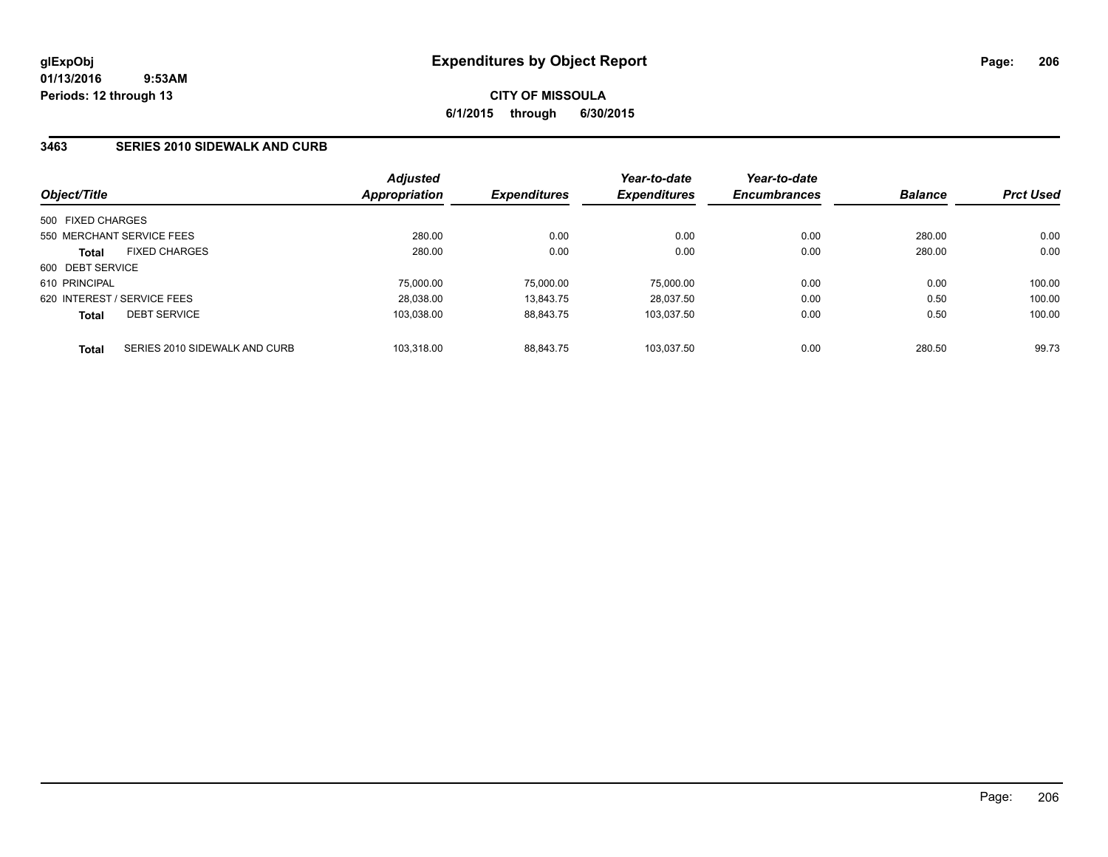**CITY OF MISSOULA 6/1/2015 through 6/30/2015**

### **3463 SERIES 2010 SIDEWALK AND CURB**

|                             |                               | <b>Adjusted</b> |                     | Year-to-date        | Year-to-date<br><b>Encumbrances</b> | <b>Balance</b> | <b>Prct Used</b> |
|-----------------------------|-------------------------------|-----------------|---------------------|---------------------|-------------------------------------|----------------|------------------|
| Object/Title                |                               | Appropriation   | <b>Expenditures</b> | <b>Expenditures</b> |                                     |                |                  |
| 500 FIXED CHARGES           |                               |                 |                     |                     |                                     |                |                  |
| 550 MERCHANT SERVICE FEES   |                               | 280.00          | 0.00                | 0.00                | 0.00                                | 280.00         | 0.00             |
| <b>Total</b>                | <b>FIXED CHARGES</b>          | 280.00          | 0.00                | 0.00                | 0.00                                | 280.00         | 0.00             |
| 600 DEBT SERVICE            |                               |                 |                     |                     |                                     |                |                  |
| 610 PRINCIPAL               |                               | 75,000.00       | 75.000.00           | 75.000.00           | 0.00                                | 0.00           | 100.00           |
| 620 INTEREST / SERVICE FEES |                               | 28,038.00       | 13.843.75           | 28.037.50           | 0.00                                | 0.50           | 100.00           |
| <b>Total</b>                | <b>DEBT SERVICE</b>           | 103.038.00      | 88.843.75           | 103.037.50          | 0.00                                | 0.50           | 100.00           |
| <b>Total</b>                | SERIES 2010 SIDEWALK AND CURB | 103.318.00      | 88.843.75           | 103.037.50          | 0.00                                | 280.50         | 99.73            |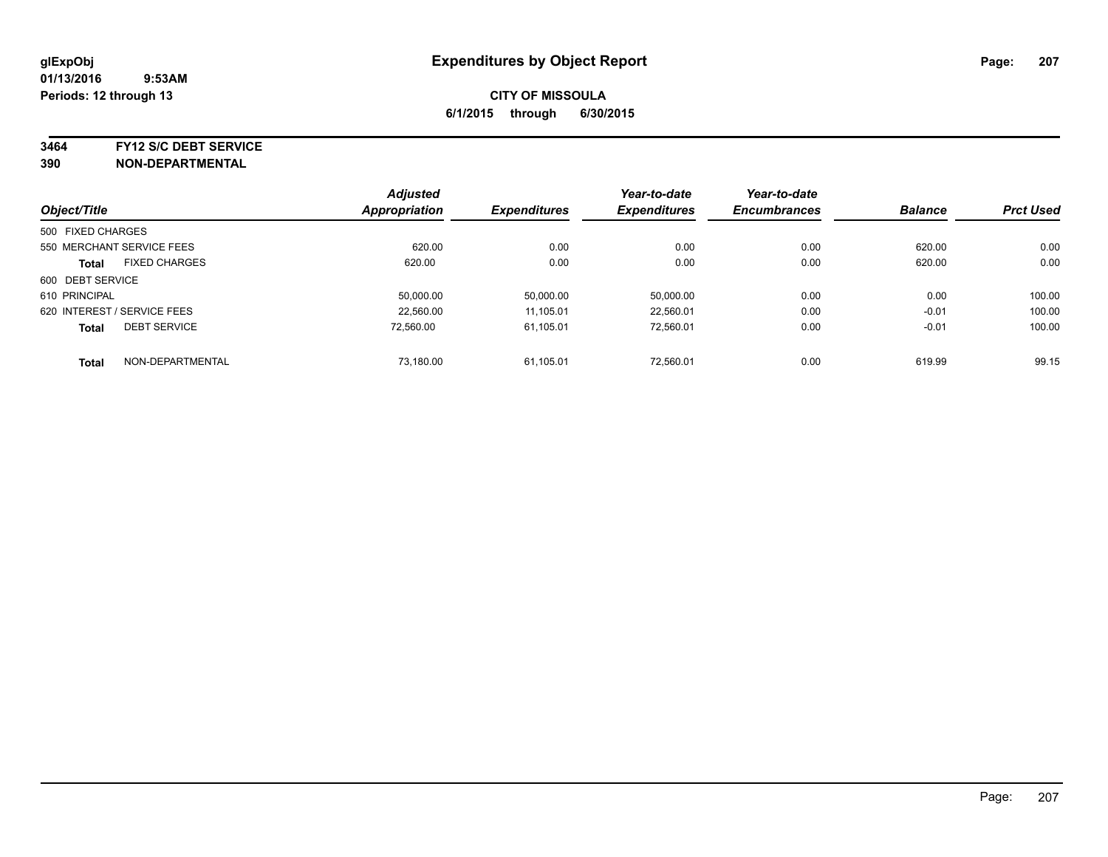#### **3464 FY12 S/C DEBT SERVICE**

|                             |                      | <b>Adjusted</b> |                     | Year-to-date        | Year-to-date        | <b>Balance</b> | <b>Prct Used</b> |
|-----------------------------|----------------------|-----------------|---------------------|---------------------|---------------------|----------------|------------------|
| Object/Title                |                      | Appropriation   | <b>Expenditures</b> | <b>Expenditures</b> | <b>Encumbrances</b> |                |                  |
| 500 FIXED CHARGES           |                      |                 |                     |                     |                     |                |                  |
| 550 MERCHANT SERVICE FEES   |                      | 620.00          | 0.00                | 0.00                | 0.00                | 620.00         | 0.00             |
| <b>Total</b>                | <b>FIXED CHARGES</b> | 620.00          | 0.00                | 0.00                | 0.00                | 620.00         | 0.00             |
| 600 DEBT SERVICE            |                      |                 |                     |                     |                     |                |                  |
| 610 PRINCIPAL               |                      | 50.000.00       | 50,000.00           | 50.000.00           | 0.00                | 0.00           | 100.00           |
| 620 INTEREST / SERVICE FEES |                      | 22,560.00       | 11,105.01           | 22,560.01           | 0.00                | $-0.01$        | 100.00           |
| <b>Total</b>                | <b>DEBT SERVICE</b>  | 72.560.00       | 61,105.01           | 72.560.01           | 0.00                | $-0.01$        | 100.00           |
| <b>Total</b>                | NON-DEPARTMENTAL     | 73,180.00       | 61,105.01           | 72.560.01           | 0.00                | 619.99         | 99.15            |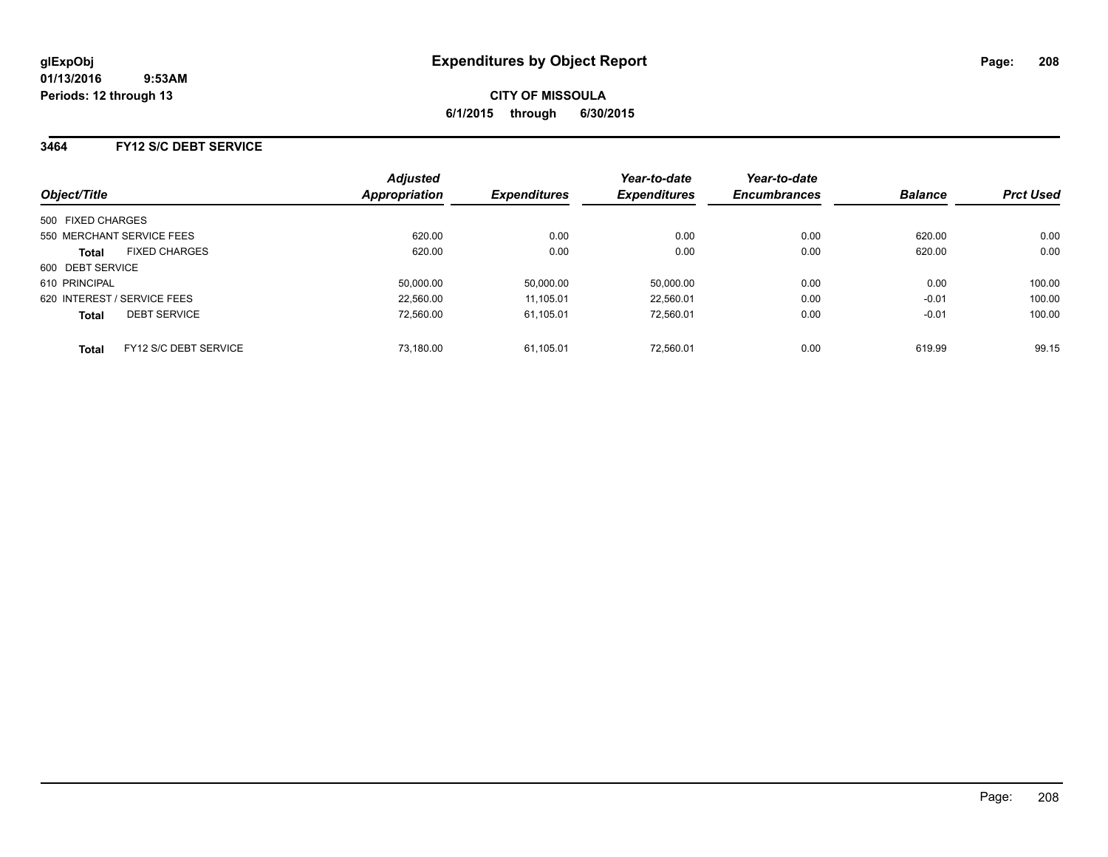### **3464 FY12 S/C DEBT SERVICE**

| Object/Title                                 | <b>Adjusted</b><br>Appropriation | <b>Expenditures</b> | Year-to-date<br><b>Expenditures</b> | Year-to-date<br><b>Encumbrances</b> | <b>Balance</b> | <b>Prct Used</b> |
|----------------------------------------------|----------------------------------|---------------------|-------------------------------------|-------------------------------------|----------------|------------------|
| 500 FIXED CHARGES                            |                                  |                     |                                     |                                     |                |                  |
| 550 MERCHANT SERVICE FEES                    | 620.00                           | 0.00                | 0.00                                | 0.00                                | 620.00         | 0.00             |
| <b>FIXED CHARGES</b><br><b>Total</b>         | 620.00                           | 0.00                | 0.00                                | 0.00                                | 620.00         | 0.00             |
| 600 DEBT SERVICE                             |                                  |                     |                                     |                                     |                |                  |
| 610 PRINCIPAL                                | 50,000.00                        | 50,000.00           | 50,000.00                           | 0.00                                | 0.00           | 100.00           |
| 620 INTEREST / SERVICE FEES                  | 22,560.00                        | 11.105.01           | 22.560.01                           | 0.00                                | $-0.01$        | 100.00           |
| <b>DEBT SERVICE</b><br><b>Total</b>          | 72.560.00                        | 61.105.01           | 72.560.01                           | 0.00                                | $-0.01$        | 100.00           |
| <b>FY12 S/C DEBT SERVICE</b><br><b>Total</b> | 73.180.00                        | 61.105.01           | 72.560.01                           | 0.00                                | 619.99         | 99.15            |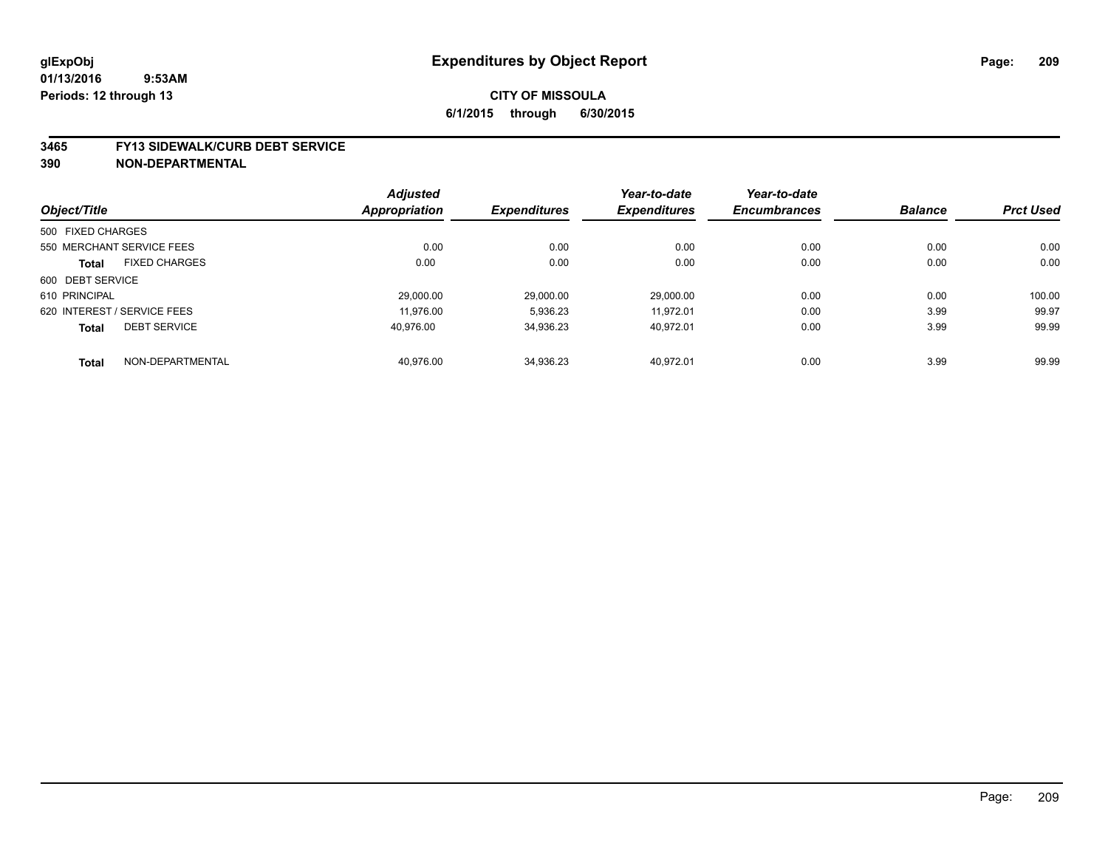#### **3465 FY13 SIDEWALK/CURB DEBT SERVICE**

|                   |                             | <b>Adjusted</b>      |                     | Year-to-date        | Year-to-date        |                |                  |
|-------------------|-----------------------------|----------------------|---------------------|---------------------|---------------------|----------------|------------------|
| Object/Title      |                             | <b>Appropriation</b> | <b>Expenditures</b> | <b>Expenditures</b> | <b>Encumbrances</b> | <b>Balance</b> | <b>Prct Used</b> |
| 500 FIXED CHARGES |                             |                      |                     |                     |                     |                |                  |
|                   | 550 MERCHANT SERVICE FEES   | 0.00                 | 0.00                | 0.00                | 0.00                | 0.00           | 0.00             |
| <b>Total</b>      | <b>FIXED CHARGES</b>        | 0.00                 | 0.00                | 0.00                | 0.00                | 0.00           | 0.00             |
| 600 DEBT SERVICE  |                             |                      |                     |                     |                     |                |                  |
| 610 PRINCIPAL     |                             | 29.000.00            | 29,000.00           | 29.000.00           | 0.00                | 0.00           | 100.00           |
|                   | 620 INTEREST / SERVICE FEES | 11.976.00            | 5,936.23            | 11.972.01           | 0.00                | 3.99           | 99.97            |
| <b>Total</b>      | <b>DEBT SERVICE</b>         | 40.976.00            | 34,936.23           | 40.972.01           | 0.00                | 3.99           | 99.99            |
| <b>Total</b>      | NON-DEPARTMENTAL            | 40.976.00            | 34.936.23           | 40.972.01           | 0.00                | 3.99           | 99.99            |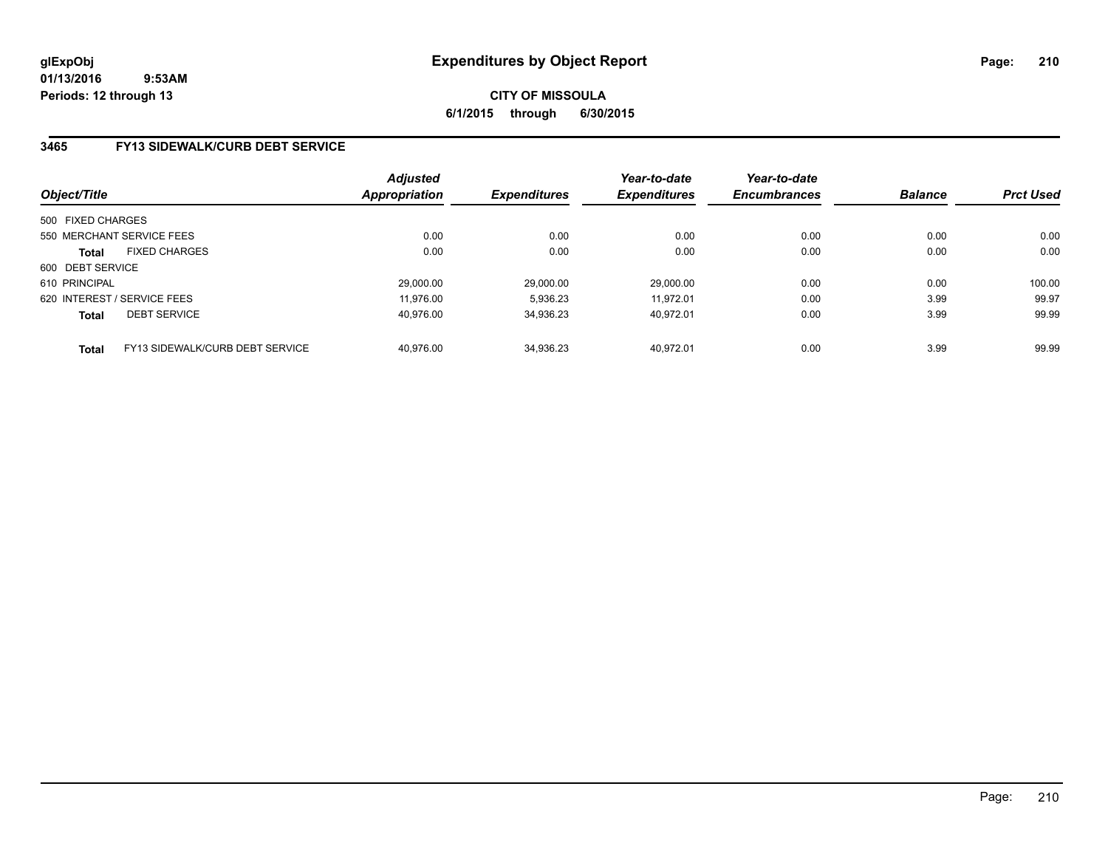**CITY OF MISSOULA 6/1/2015 through 6/30/2015**

### **3465 FY13 SIDEWALK/CURB DEBT SERVICE**

| Object/Title      |                                 | <b>Adjusted</b><br>Appropriation | <b>Expenditures</b> | Year-to-date<br><b>Expenditures</b> | Year-to-date<br><b>Encumbrances</b> | <b>Balance</b> | <b>Prct Used</b> |
|-------------------|---------------------------------|----------------------------------|---------------------|-------------------------------------|-------------------------------------|----------------|------------------|
| 500 FIXED CHARGES |                                 |                                  |                     |                                     |                                     |                |                  |
|                   | 550 MERCHANT SERVICE FEES       | 0.00                             | 0.00                | 0.00                                | 0.00                                | 0.00           | 0.00             |
| <b>Total</b>      | <b>FIXED CHARGES</b>            | 0.00                             | 0.00                | 0.00                                | 0.00                                | 0.00           | 0.00             |
| 600 DEBT SERVICE  |                                 |                                  |                     |                                     |                                     |                |                  |
| 610 PRINCIPAL     |                                 | 29,000.00                        | 29.000.00           | 29.000.00                           | 0.00                                | 0.00           | 100.00           |
|                   | 620 INTEREST / SERVICE FEES     | 11.976.00                        | 5,936.23            | 11.972.01                           | 0.00                                | 3.99           | 99.97            |
| <b>Total</b>      | <b>DEBT SERVICE</b>             | 40.976.00                        | 34,936.23           | 40.972.01                           | 0.00                                | 3.99           | 99.99            |
| <b>Total</b>      | FY13 SIDEWALK/CURB DEBT SERVICE | 40.976.00                        | 34.936.23           | 40.972.01                           | 0.00                                | 3.99           | 99.99            |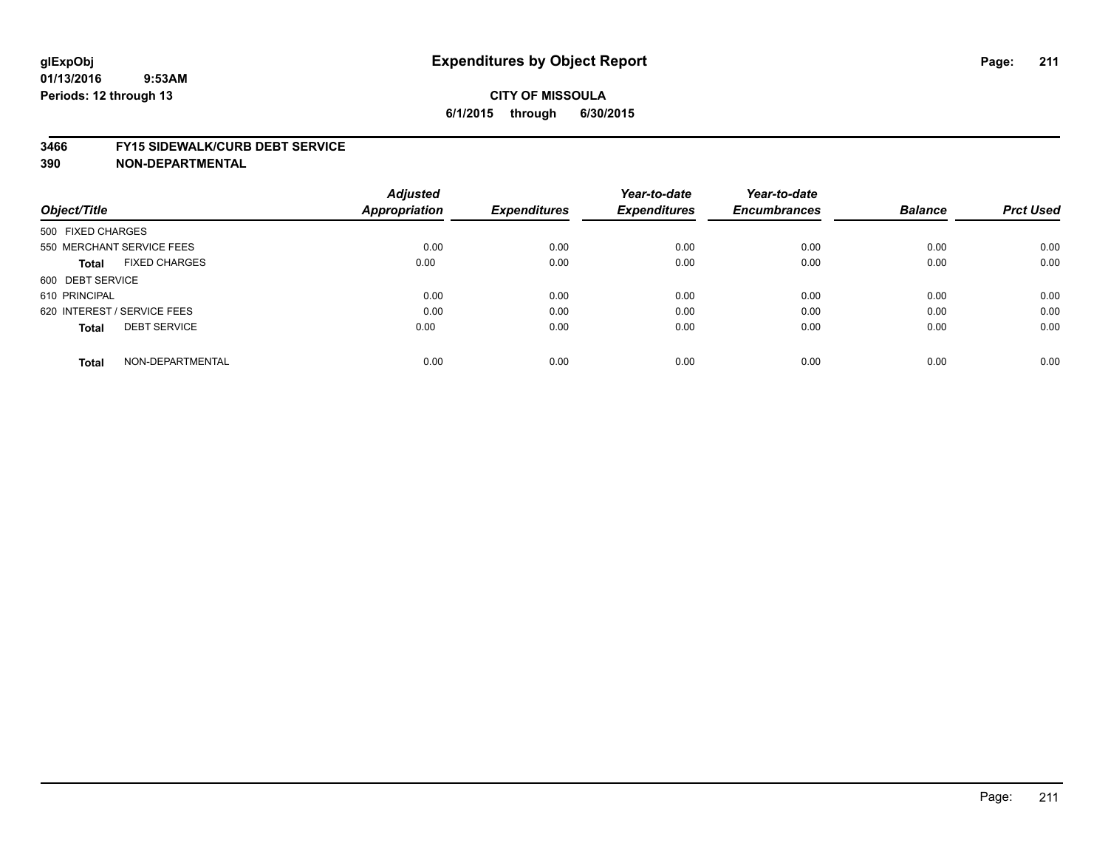# **CITY OF MISSOULA 6/1/2015 through 6/30/2015**

#### **3466 FY15 SIDEWALK/CURB DEBT SERVICE**

| Object/Title                         | <b>Adjusted</b><br><b>Appropriation</b> | <b>Expenditures</b> | Year-to-date<br><b>Expenditures</b> | Year-to-date<br><b>Encumbrances</b> | <b>Balance</b> | <b>Prct Used</b> |
|--------------------------------------|-----------------------------------------|---------------------|-------------------------------------|-------------------------------------|----------------|------------------|
|                                      |                                         |                     |                                     |                                     |                |                  |
| 500 FIXED CHARGES                    |                                         |                     |                                     |                                     |                |                  |
| 550 MERCHANT SERVICE FEES            | 0.00                                    | 0.00                | 0.00                                | 0.00                                | 0.00           | 0.00             |
| <b>FIXED CHARGES</b><br><b>Total</b> | 0.00                                    | 0.00                | 0.00                                | 0.00                                | 0.00           | 0.00             |
| 600 DEBT SERVICE                     |                                         |                     |                                     |                                     |                |                  |
| 610 PRINCIPAL                        | 0.00                                    | 0.00                | 0.00                                | 0.00                                | 0.00           | 0.00             |
| 620 INTEREST / SERVICE FEES          | 0.00                                    | 0.00                | 0.00                                | 0.00                                | 0.00           | 0.00             |
| <b>DEBT SERVICE</b><br><b>Total</b>  | 0.00                                    | 0.00                | 0.00                                | 0.00                                | 0.00           | 0.00             |
| NON-DEPARTMENTAL<br><b>Total</b>     | 0.00                                    | 0.00                | 0.00                                | 0.00                                | 0.00           | 0.00             |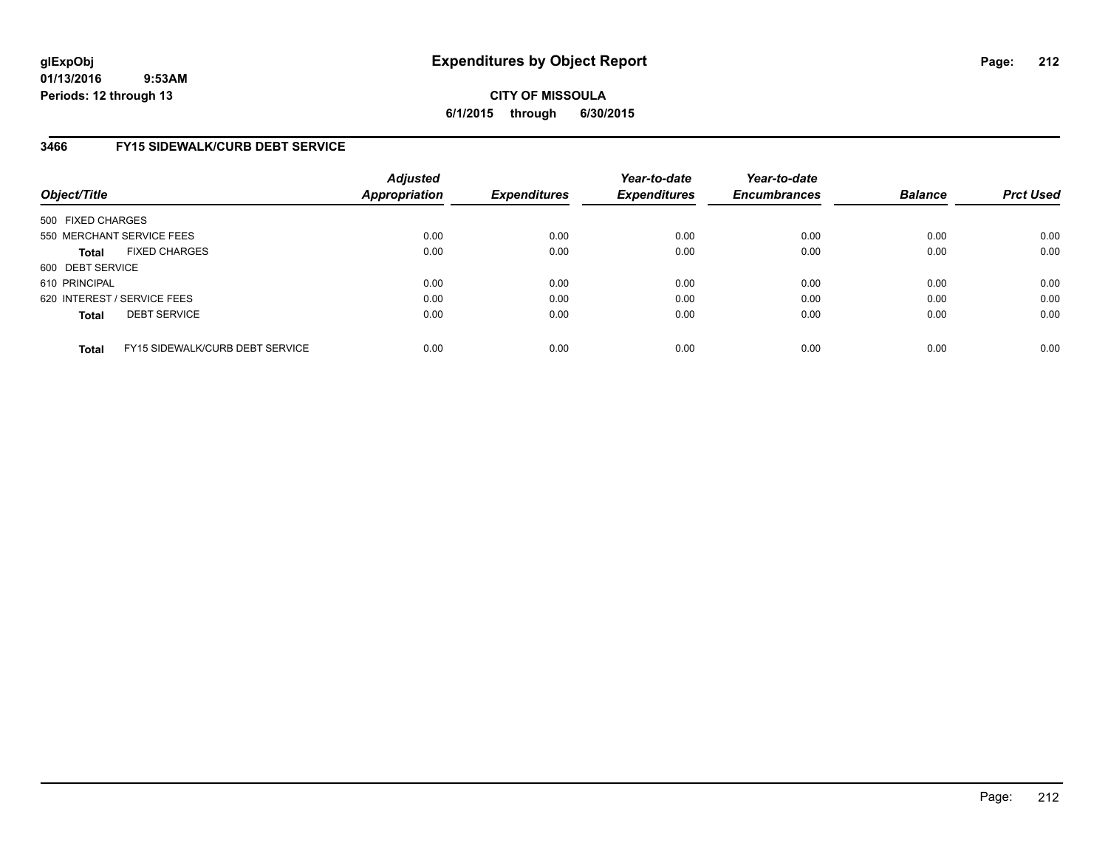**CITY OF MISSOULA 6/1/2015 through 6/30/2015**

### **3466 FY15 SIDEWALK/CURB DEBT SERVICE**

| Object/Title                                    | <b>Adjusted</b><br><b>Appropriation</b> | <b>Expenditures</b> | Year-to-date<br><b>Expenditures</b> | Year-to-date<br><b>Encumbrances</b> | <b>Balance</b> | <b>Prct Used</b> |
|-------------------------------------------------|-----------------------------------------|---------------------|-------------------------------------|-------------------------------------|----------------|------------------|
| 500 FIXED CHARGES                               |                                         |                     |                                     |                                     |                |                  |
| 550 MERCHANT SERVICE FEES                       | 0.00                                    | 0.00                | 0.00                                | 0.00                                | 0.00           | 0.00             |
| <b>FIXED CHARGES</b><br><b>Total</b>            | 0.00                                    | 0.00                | 0.00                                | 0.00                                | 0.00           | 0.00             |
| 600 DEBT SERVICE                                |                                         |                     |                                     |                                     |                |                  |
| 610 PRINCIPAL                                   | 0.00                                    | 0.00                | 0.00                                | 0.00                                | 0.00           | 0.00             |
| 620 INTEREST / SERVICE FEES                     | 0.00                                    | 0.00                | 0.00                                | 0.00                                | 0.00           | 0.00             |
| <b>DEBT SERVICE</b><br><b>Total</b>             | 0.00                                    | 0.00                | 0.00                                | 0.00                                | 0.00           | 0.00             |
|                                                 |                                         |                     |                                     |                                     |                |                  |
| FY15 SIDEWALK/CURB DEBT SERVICE<br><b>Total</b> | 0.00                                    | 0.00                | 0.00                                | 0.00                                | 0.00           | 0.00             |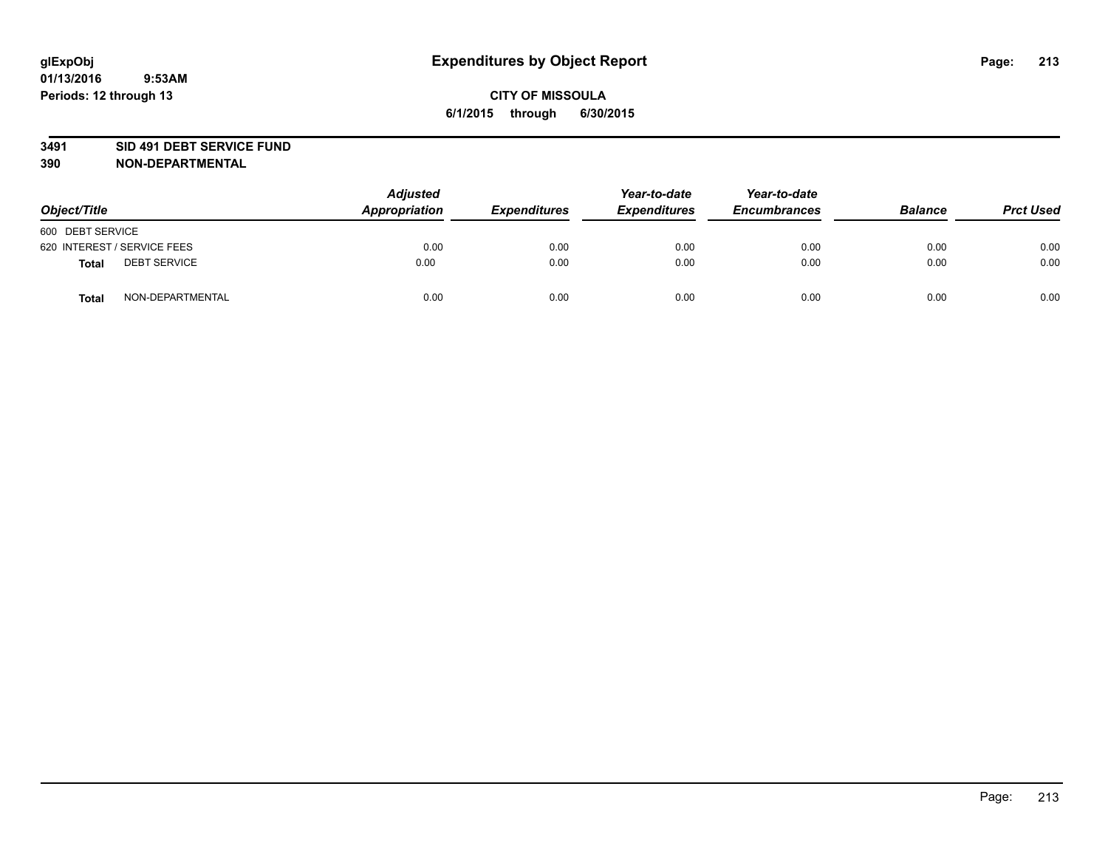### **3491 SID 491 DEBT SERVICE FUND**

| Object/Title                 | <b>Adjusted</b><br>Appropriation | <b>Expenditures</b> | Year-to-date<br><b>Expenditures</b> | Year-to-date<br><b>Encumbrances</b> | <b>Balance</b> | <b>Prct Used</b> |
|------------------------------|----------------------------------|---------------------|-------------------------------------|-------------------------------------|----------------|------------------|
| 600 DEBT SERVICE             |                                  |                     |                                     |                                     |                |                  |
| 620 INTEREST / SERVICE FEES  | 0.00                             | 0.00                | 0.00                                | 0.00                                | 0.00           | 0.00             |
| <b>DEBT SERVICE</b><br>Total | 0.00                             | 0.00                | 0.00                                | 0.00                                | 0.00           | 0.00             |
| NON-DEPARTMENTAL<br>Total    | 0.00                             | 0.00                | 0.00                                | 0.00                                | 0.00           | 0.00             |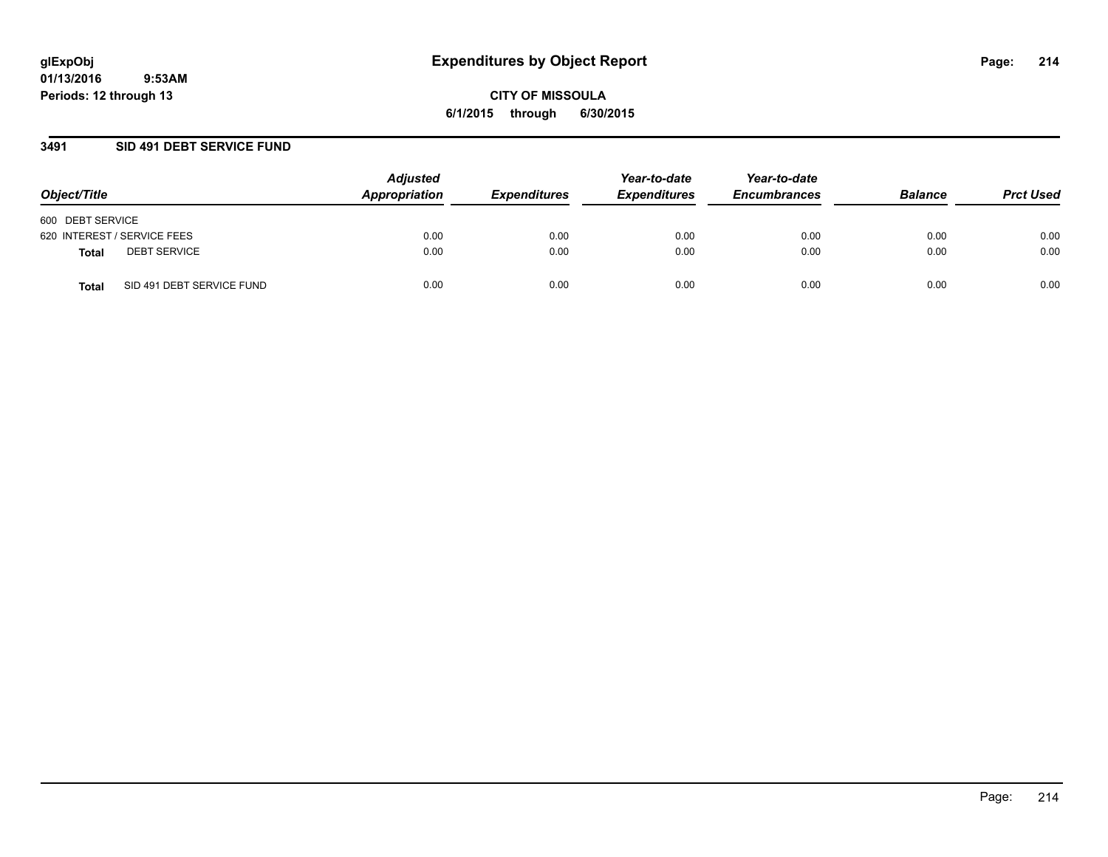### **3491 SID 491 DEBT SERVICE FUND**

| Object/Title                              | <b>Adjusted</b><br>Appropriation | <b>Expenditures</b> | Year-to-date<br><b>Expenditures</b> | Year-to-date<br><b>Encumbrances</b> | <b>Balance</b> | <b>Prct Used</b> |
|-------------------------------------------|----------------------------------|---------------------|-------------------------------------|-------------------------------------|----------------|------------------|
| 600 DEBT SERVICE                          |                                  |                     |                                     |                                     |                |                  |
| 620 INTEREST / SERVICE FEES               | 0.00                             | 0.00                | 0.00                                | 0.00                                | 0.00           | 0.00             |
| <b>DEBT SERVICE</b><br><b>Total</b>       | 0.00                             | 0.00                | 0.00                                | 0.00                                | 0.00           | 0.00             |
| SID 491 DEBT SERVICE FUND<br><b>Total</b> | 0.00                             | 0.00                | 0.00                                | 0.00                                | 0.00           | 0.00             |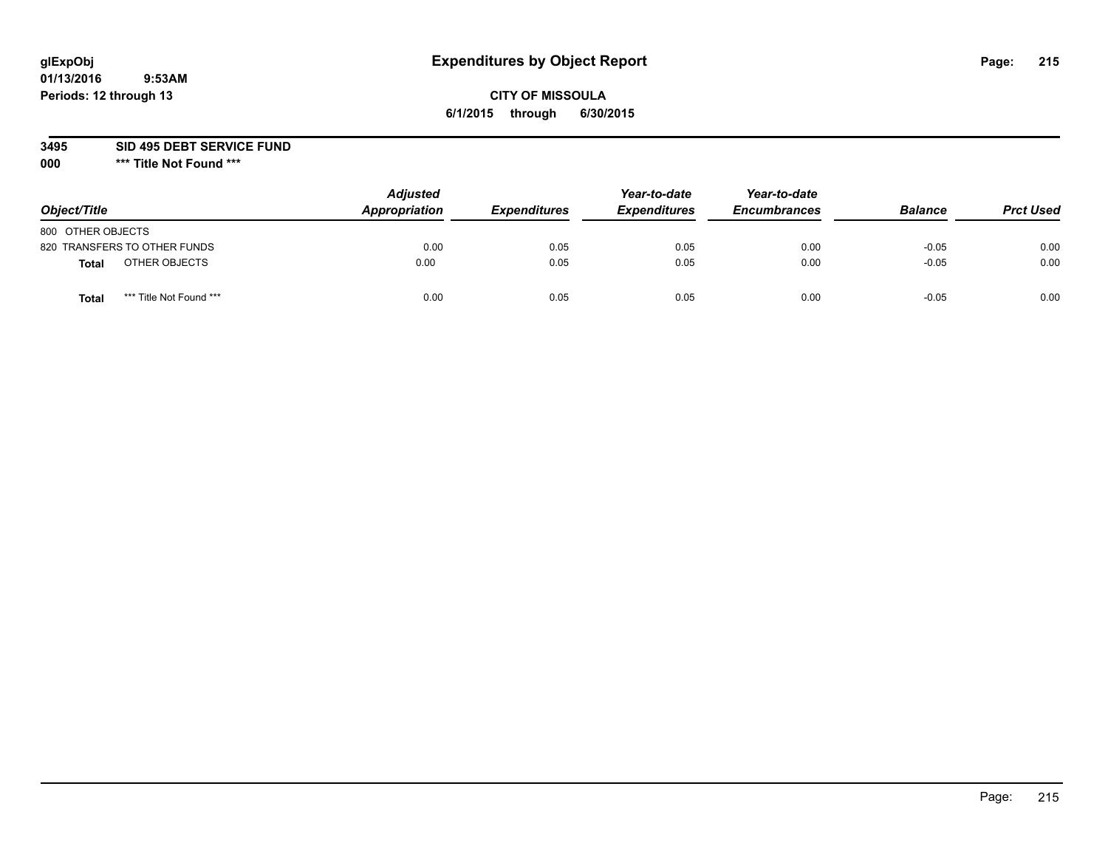# **glExpObj Expenditures by Object Report Page: 215**

# **CITY OF MISSOULA 6/1/2015 through 6/30/2015**

**3495 SID 495 DEBT SERVICE FUND**

**000 \*\*\* Title Not Found \*\*\***

| Object/Title                            | <b>Adjusted</b><br>Appropriation | <b>Expenditures</b> | Year-to-date<br><b>Expenditures</b> | Year-to-date<br><b>Encumbrances</b> | <b>Balance</b> | <b>Prct Used</b> |
|-----------------------------------------|----------------------------------|---------------------|-------------------------------------|-------------------------------------|----------------|------------------|
| 800 OTHER OBJECTS                       |                                  |                     |                                     |                                     |                |                  |
| 820 TRANSFERS TO OTHER FUNDS            | 0.00                             | 0.05                | 0.05                                | 0.00                                | $-0.05$        | 0.00             |
| OTHER OBJECTS<br><b>Total</b>           | 0.00                             | 0.05                | 0.05                                | 0.00                                | $-0.05$        | 0.00             |
| *** Title Not Found ***<br><b>Total</b> | 0.00                             | 0.05                | 0.05                                | 0.00                                | $-0.05$        | 0.00             |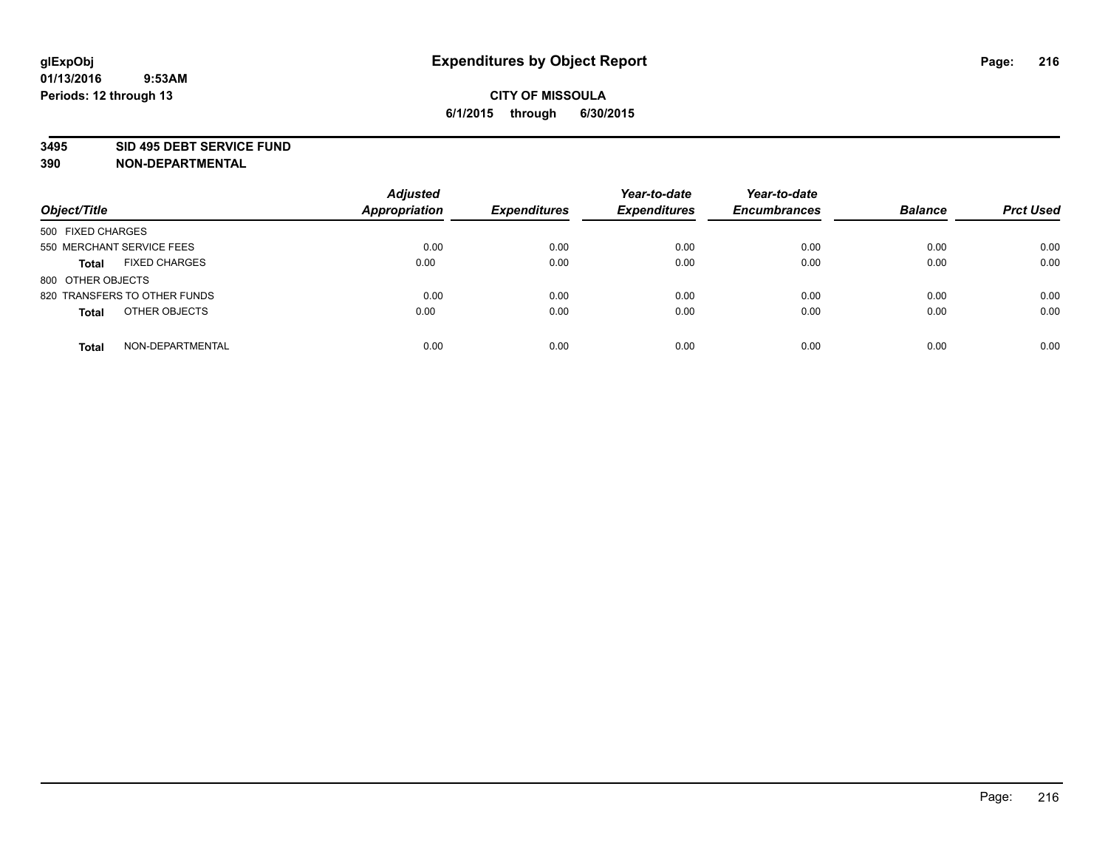#### **3495 SID 495 DEBT SERVICE FUND**

| Object/Title                         | <b>Adjusted</b><br><b>Appropriation</b> | <b>Expenditures</b> | Year-to-date<br><b>Expenditures</b> | Year-to-date<br><b>Encumbrances</b> | <b>Balance</b> | <b>Prct Used</b> |
|--------------------------------------|-----------------------------------------|---------------------|-------------------------------------|-------------------------------------|----------------|------------------|
| 500 FIXED CHARGES                    |                                         |                     |                                     |                                     |                |                  |
| 550 MERCHANT SERVICE FEES            | 0.00                                    | 0.00                | 0.00                                | 0.00                                | 0.00           | 0.00             |
| <b>FIXED CHARGES</b><br><b>Total</b> | 0.00                                    | 0.00                | 0.00                                | 0.00                                | 0.00           | 0.00             |
| 800 OTHER OBJECTS                    |                                         |                     |                                     |                                     |                |                  |
| 820 TRANSFERS TO OTHER FUNDS         | 0.00                                    | 0.00                | 0.00                                | 0.00                                | 0.00           | 0.00             |
| OTHER OBJECTS<br><b>Total</b>        | 0.00                                    | 0.00                | 0.00                                | 0.00                                | 0.00           | 0.00             |
| NON-DEPARTMENTAL<br><b>Total</b>     | 0.00                                    | 0.00                | 0.00                                | 0.00                                | 0.00           | 0.00             |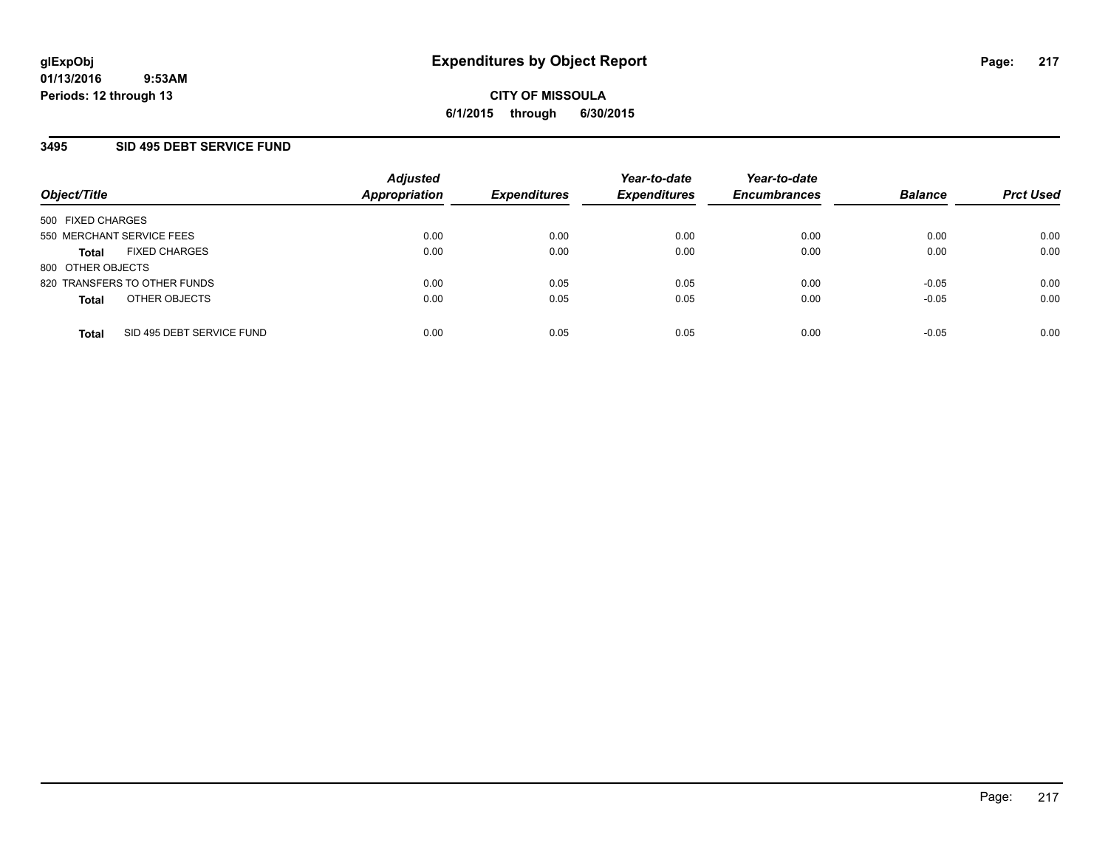## **3495 SID 495 DEBT SERVICE FUND**

| Object/Title              |                              | <b>Adjusted</b><br><b>Appropriation</b> | <b>Expenditures</b> | Year-to-date<br><b>Expenditures</b> | Year-to-date<br><b>Encumbrances</b> | <b>Balance</b> | <b>Prct Used</b> |
|---------------------------|------------------------------|-----------------------------------------|---------------------|-------------------------------------|-------------------------------------|----------------|------------------|
| 500 FIXED CHARGES         |                              |                                         |                     |                                     |                                     |                |                  |
| 550 MERCHANT SERVICE FEES |                              | 0.00                                    | 0.00                | 0.00                                | 0.00                                | 0.00           | 0.00             |
| <b>Total</b>              | <b>FIXED CHARGES</b>         | 0.00                                    | 0.00                | 0.00                                | 0.00                                | 0.00           | 0.00             |
| 800 OTHER OBJECTS         |                              |                                         |                     |                                     |                                     |                |                  |
|                           | 820 TRANSFERS TO OTHER FUNDS | 0.00                                    | 0.05                | 0.05                                | 0.00                                | $-0.05$        | 0.00             |
| <b>Total</b>              | OTHER OBJECTS                | 0.00                                    | 0.05                | 0.05                                | 0.00                                | $-0.05$        | 0.00             |
| <b>Total</b>              | SID 495 DEBT SERVICE FUND    | 0.00                                    | 0.05                | 0.05                                | 0.00                                | $-0.05$        | 0.00             |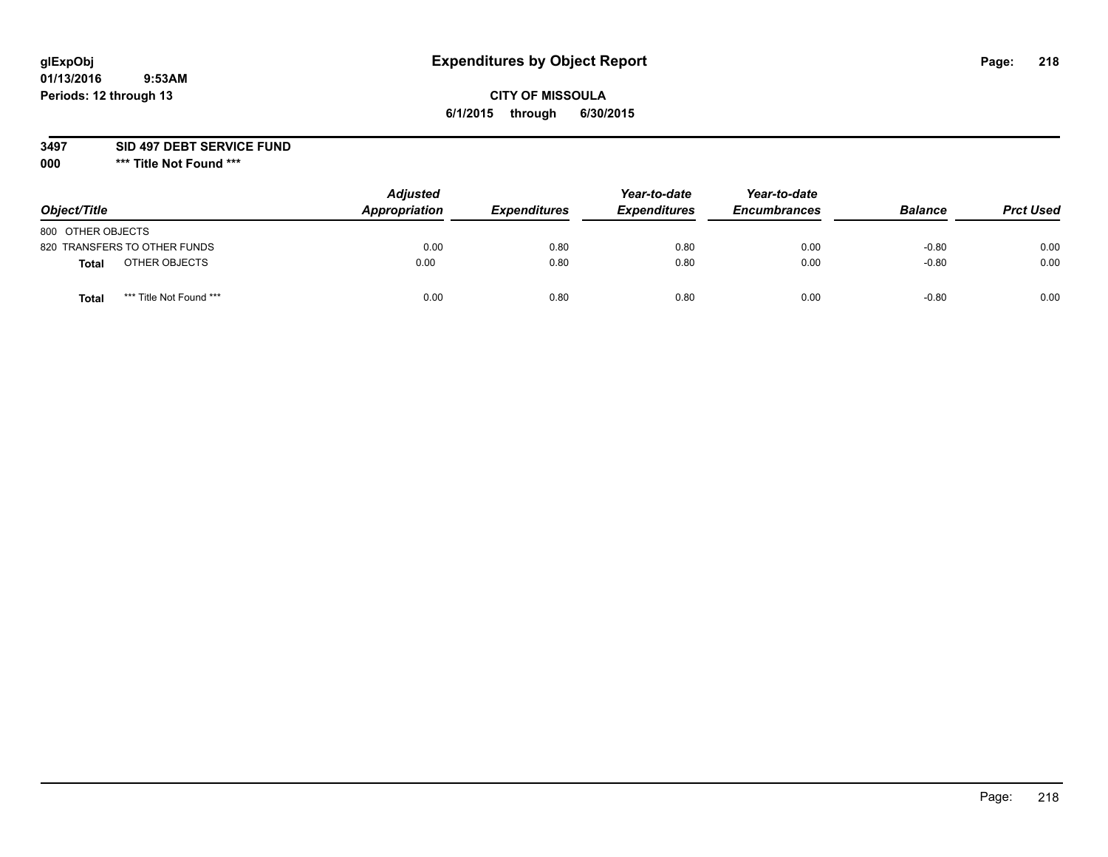# **glExpObj Expenditures by Object Report Page: 218**

## **CITY OF MISSOULA 6/1/2015 through 6/30/2015**

**3497 SID 497 DEBT SERVICE FUND**

| Object/Title                            | <b>Adjusted</b><br>Appropriation | <b>Expenditures</b> | Year-to-date<br><b>Expenditures</b> | Year-to-date<br><b>Encumbrances</b> | <b>Balance</b> | <b>Prct Used</b> |
|-----------------------------------------|----------------------------------|---------------------|-------------------------------------|-------------------------------------|----------------|------------------|
| 800 OTHER OBJECTS                       |                                  |                     |                                     |                                     |                |                  |
| 820 TRANSFERS TO OTHER FUNDS            | 0.00                             | 0.80                | 0.80                                | 0.00                                | $-0.80$        | 0.00             |
| OTHER OBJECTS<br><b>Total</b>           | 0.00                             | 0.80                | 0.80                                | 0.00                                | $-0.80$        | 0.00             |
| *** Title Not Found ***<br><b>Total</b> | 0.00                             | 0.80                | 0.80                                | 0.00                                | $-0.80$        | 0.00             |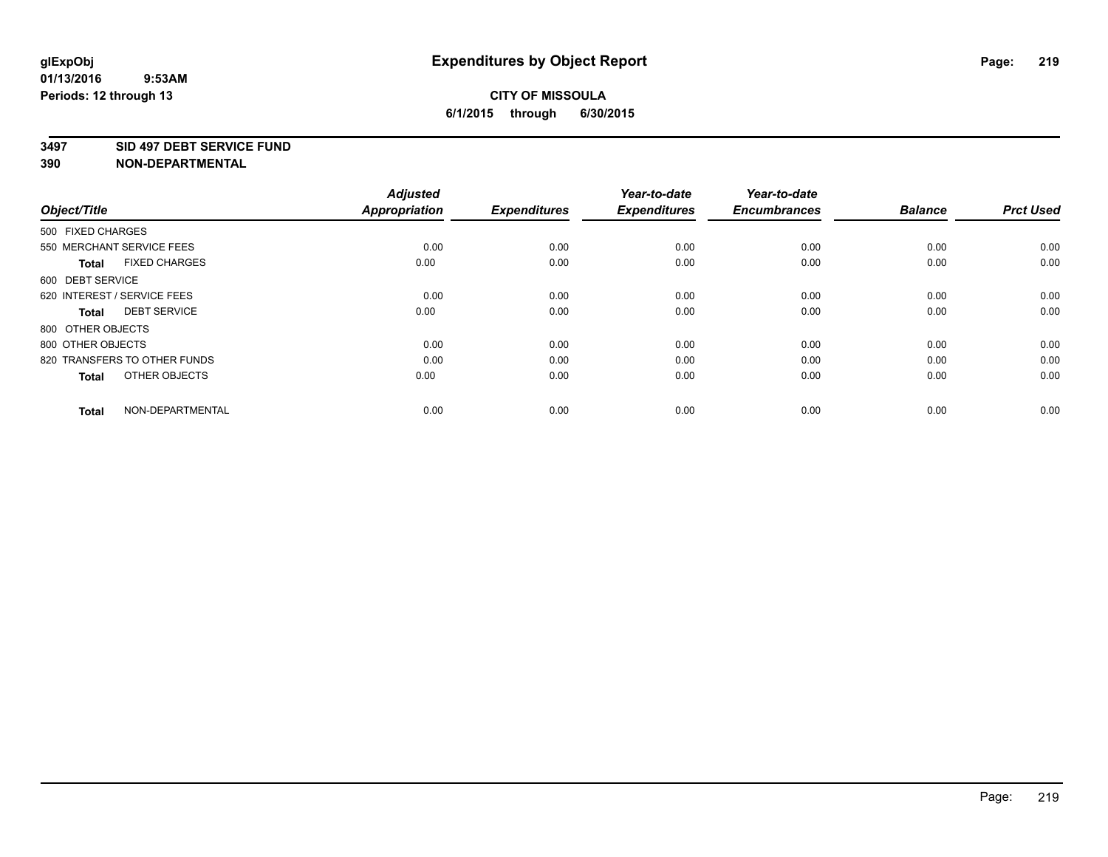#### **3497 SID 497 DEBT SERVICE FUND**

| Object/Title                         | <b>Adjusted</b><br><b>Appropriation</b> | <b>Expenditures</b> | Year-to-date<br><b>Expenditures</b> | Year-to-date<br><b>Encumbrances</b> | <b>Balance</b> | <b>Prct Used</b> |
|--------------------------------------|-----------------------------------------|---------------------|-------------------------------------|-------------------------------------|----------------|------------------|
| 500 FIXED CHARGES                    |                                         |                     |                                     |                                     |                |                  |
| 550 MERCHANT SERVICE FEES            | 0.00                                    | 0.00                | 0.00                                | 0.00                                | 0.00           | 0.00             |
| <b>FIXED CHARGES</b><br><b>Total</b> | 0.00                                    | 0.00                | 0.00                                | 0.00                                | 0.00           | 0.00             |
| 600 DEBT SERVICE                     |                                         |                     |                                     |                                     |                |                  |
| 620 INTEREST / SERVICE FEES          | 0.00                                    | 0.00                | 0.00                                | 0.00                                | 0.00           | 0.00             |
| <b>DEBT SERVICE</b><br><b>Total</b>  | 0.00                                    | 0.00                | 0.00                                | 0.00                                | 0.00           | 0.00             |
| 800 OTHER OBJECTS                    |                                         |                     |                                     |                                     |                |                  |
| 800 OTHER OBJECTS                    | 0.00                                    | 0.00                | 0.00                                | 0.00                                | 0.00           | 0.00             |
| 820 TRANSFERS TO OTHER FUNDS         | 0.00                                    | 0.00                | 0.00                                | 0.00                                | 0.00           | 0.00             |
| OTHER OBJECTS<br><b>Total</b>        | 0.00                                    | 0.00                | 0.00                                | 0.00                                | 0.00           | 0.00             |
|                                      |                                         |                     |                                     |                                     |                |                  |
| NON-DEPARTMENTAL<br><b>Total</b>     | 0.00                                    | 0.00                | 0.00                                | 0.00                                | 0.00           | 0.00             |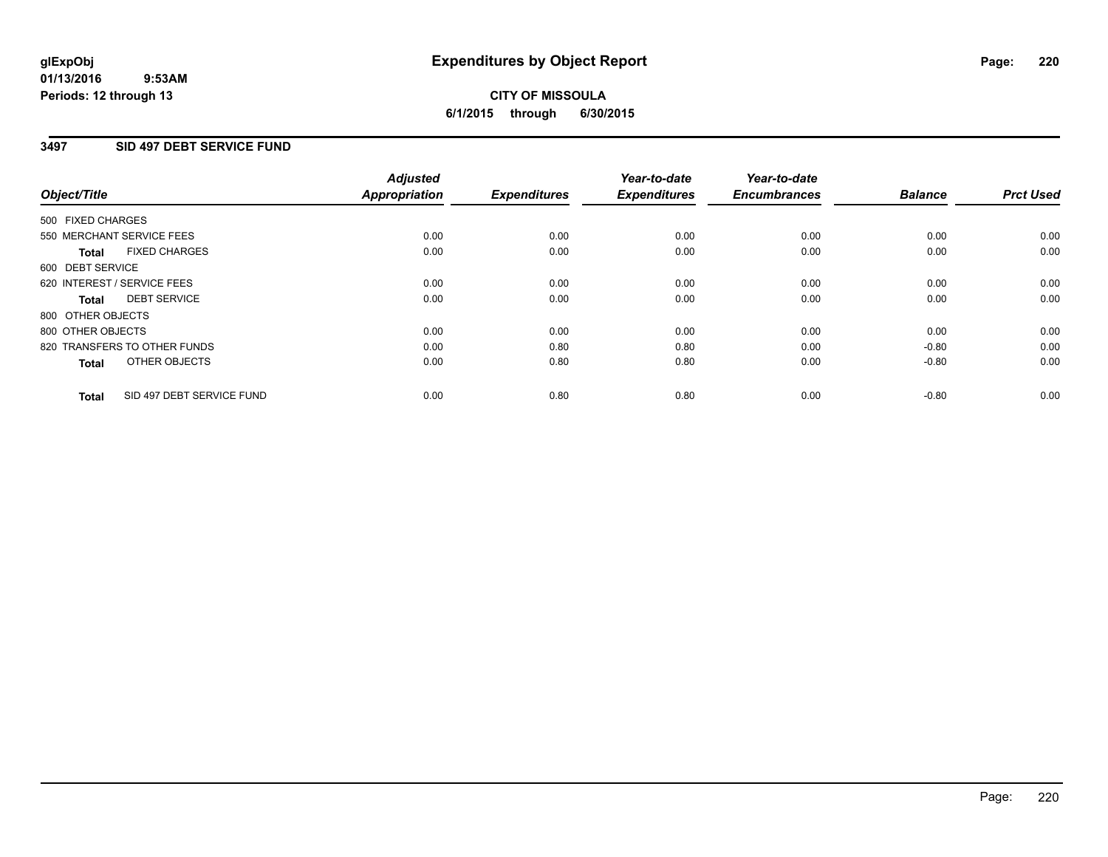## **CITY OF MISSOULA 6/1/2015 through 6/30/2015**

## **3497 SID 497 DEBT SERVICE FUND**

| Object/Title      |                              | <b>Adjusted</b><br>Appropriation | <b>Expenditures</b> | Year-to-date<br><b>Expenditures</b> | Year-to-date<br><b>Encumbrances</b> | <b>Balance</b> | <b>Prct Used</b> |
|-------------------|------------------------------|----------------------------------|---------------------|-------------------------------------|-------------------------------------|----------------|------------------|
| 500 FIXED CHARGES |                              |                                  |                     |                                     |                                     |                |                  |
|                   | 550 MERCHANT SERVICE FEES    | 0.00                             | 0.00                | 0.00                                | 0.00                                | 0.00           | 0.00             |
| <b>Total</b>      | <b>FIXED CHARGES</b>         | 0.00                             | 0.00                | 0.00                                | 0.00                                | 0.00           | 0.00             |
| 600 DEBT SERVICE  |                              |                                  |                     |                                     |                                     |                |                  |
|                   | 620 INTEREST / SERVICE FEES  | 0.00                             | 0.00                | 0.00                                | 0.00                                | 0.00           | 0.00             |
| <b>Total</b>      | <b>DEBT SERVICE</b>          | 0.00                             | 0.00                | 0.00                                | 0.00                                | 0.00           | 0.00             |
| 800 OTHER OBJECTS |                              |                                  |                     |                                     |                                     |                |                  |
| 800 OTHER OBJECTS |                              | 0.00                             | 0.00                | 0.00                                | 0.00                                | 0.00           | 0.00             |
|                   | 820 TRANSFERS TO OTHER FUNDS | 0.00                             | 0.80                | 0.80                                | 0.00                                | $-0.80$        | 0.00             |
| <b>Total</b>      | OTHER OBJECTS                | 0.00                             | 0.80                | 0.80                                | 0.00                                | $-0.80$        | 0.00             |
| <b>Total</b>      | SID 497 DEBT SERVICE FUND    | 0.00                             | 0.80                | 0.80                                | 0.00                                | $-0.80$        | 0.00             |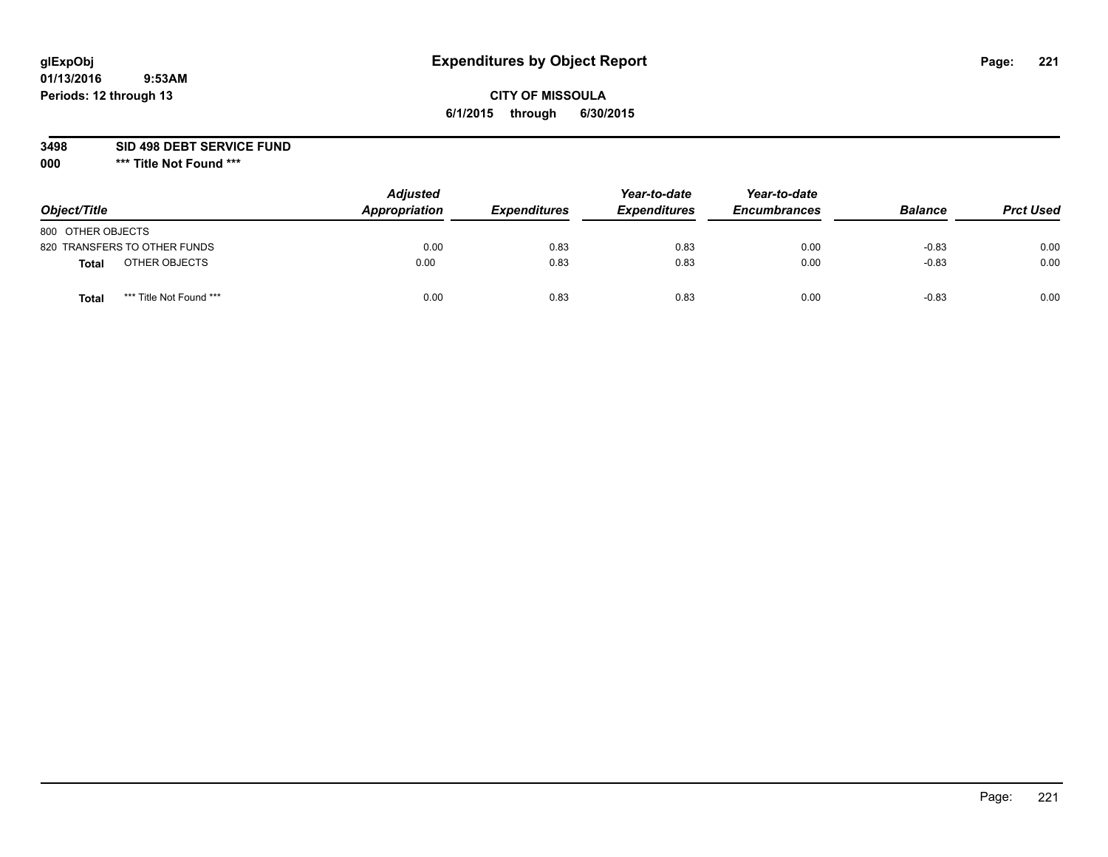# **glExpObj Expenditures by Object Report Page: 221**

## **CITY OF MISSOULA 6/1/2015 through 6/30/2015**

**3498 SID 498 DEBT SERVICE FUND**

| Object/Title                    | <b>Adjusted</b><br>Appropriation | <b>Expenditures</b> | Year-to-date<br><b>Expenditures</b> | Year-to-date<br><b>Encumbrances</b> | <b>Balance</b> | <b>Prct Used</b> |
|---------------------------------|----------------------------------|---------------------|-------------------------------------|-------------------------------------|----------------|------------------|
| 800 OTHER OBJECTS               |                                  |                     |                                     |                                     |                |                  |
| 820 TRANSFERS TO OTHER FUNDS    | 0.00                             | 0.83                | 0.83                                | 0.00                                | $-0.83$        | 0.00             |
| OTHER OBJECTS<br>Total          | 0.00                             | 0.83                | 0.83                                | 0.00                                | $-0.83$        | 0.00             |
| *** Title Not Found ***<br>Tota | 0.00                             | 0.83                | 0.83                                | 0.00                                | $-0.83$        | 0.00             |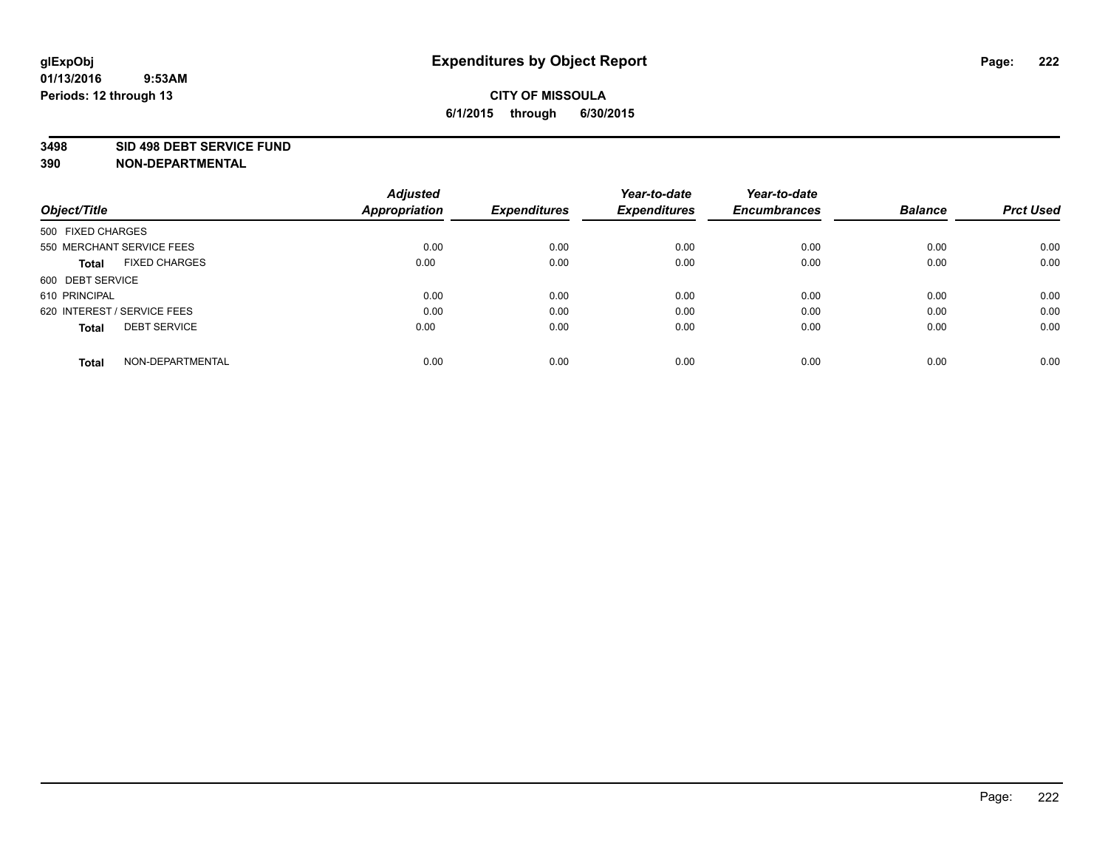#### **3498 SID 498 DEBT SERVICE FUND**

| Object/Title                         | <b>Adjusted</b><br><b>Appropriation</b> | <b>Expenditures</b> | Year-to-date<br><b>Expenditures</b> | Year-to-date<br><b>Encumbrances</b> | <b>Balance</b> | <b>Prct Used</b> |
|--------------------------------------|-----------------------------------------|---------------------|-------------------------------------|-------------------------------------|----------------|------------------|
|                                      |                                         |                     |                                     |                                     |                |                  |
| 500 FIXED CHARGES                    |                                         |                     |                                     |                                     |                |                  |
| 550 MERCHANT SERVICE FEES            | 0.00                                    | 0.00                | 0.00                                | 0.00                                | 0.00           | 0.00             |
| <b>FIXED CHARGES</b><br><b>Total</b> | 0.00                                    | 0.00                | 0.00                                | 0.00                                | 0.00           | 0.00             |
| 600 DEBT SERVICE                     |                                         |                     |                                     |                                     |                |                  |
| 610 PRINCIPAL                        | 0.00                                    | 0.00                | 0.00                                | 0.00                                | 0.00           | 0.00             |
| 620 INTEREST / SERVICE FEES          | 0.00                                    | 0.00                | 0.00                                | 0.00                                | 0.00           | 0.00             |
| <b>DEBT SERVICE</b><br><b>Total</b>  | 0.00                                    | 0.00                | 0.00                                | 0.00                                | 0.00           | 0.00             |
|                                      |                                         |                     |                                     |                                     |                |                  |
| NON-DEPARTMENTAL<br><b>Total</b>     | 0.00                                    | 0.00                | 0.00                                | 0.00                                | 0.00           | 0.00             |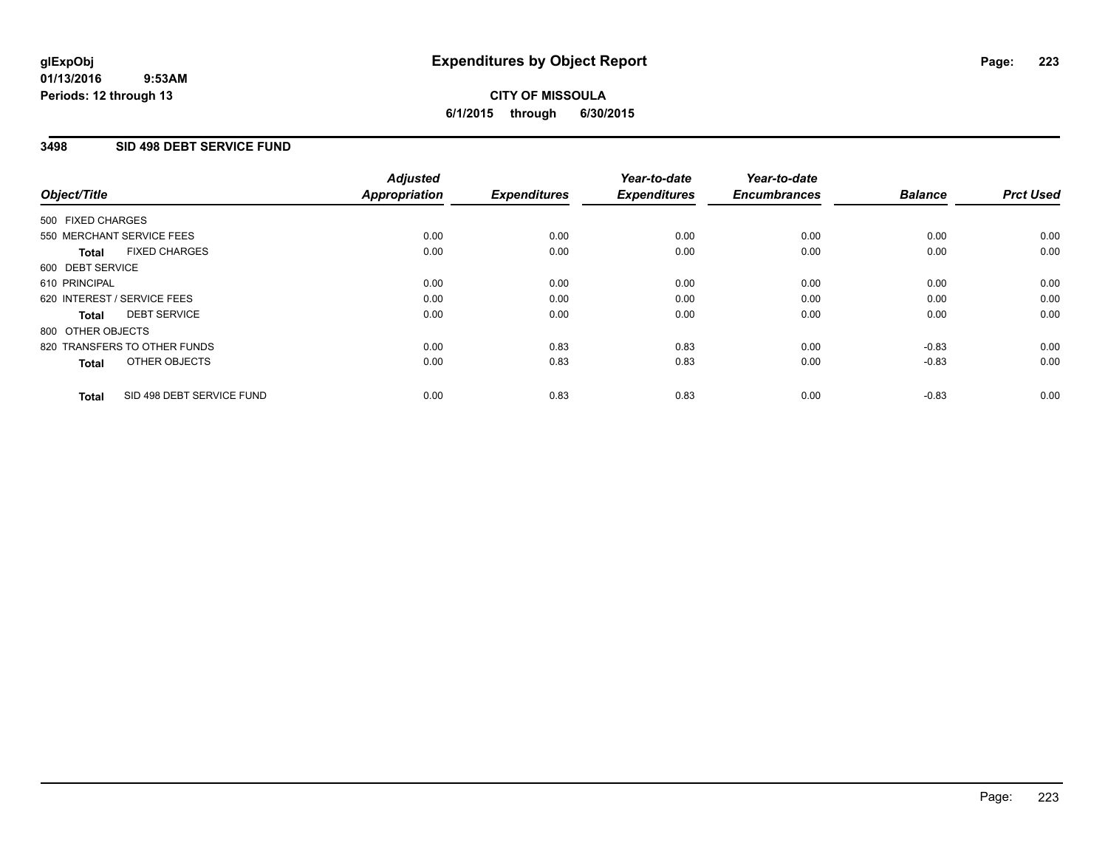## **3498 SID 498 DEBT SERVICE FUND**

| Object/Title      |                              | <b>Adjusted</b><br>Appropriation | <b>Expenditures</b> | Year-to-date<br><b>Expenditures</b> | Year-to-date<br><b>Encumbrances</b> | <b>Balance</b> | <b>Prct Used</b> |
|-------------------|------------------------------|----------------------------------|---------------------|-------------------------------------|-------------------------------------|----------------|------------------|
| 500 FIXED CHARGES |                              |                                  |                     |                                     |                                     |                |                  |
|                   | 550 MERCHANT SERVICE FEES    | 0.00                             | 0.00                | 0.00                                | 0.00                                | 0.00           | 0.00             |
| <b>Total</b>      | <b>FIXED CHARGES</b>         | 0.00                             | 0.00                | 0.00                                | 0.00                                | 0.00           | 0.00             |
| 600 DEBT SERVICE  |                              |                                  |                     |                                     |                                     |                |                  |
| 610 PRINCIPAL     |                              | 0.00                             | 0.00                | 0.00                                | 0.00                                | 0.00           | 0.00             |
|                   | 620 INTEREST / SERVICE FEES  | 0.00                             | 0.00                | 0.00                                | 0.00                                | 0.00           | 0.00             |
| Total             | <b>DEBT SERVICE</b>          | 0.00                             | 0.00                | 0.00                                | 0.00                                | 0.00           | 0.00             |
| 800 OTHER OBJECTS |                              |                                  |                     |                                     |                                     |                |                  |
|                   | 820 TRANSFERS TO OTHER FUNDS | 0.00                             | 0.83                | 0.83                                | 0.00                                | $-0.83$        | 0.00             |
| <b>Total</b>      | OTHER OBJECTS                | 0.00                             | 0.83                | 0.83                                | 0.00                                | $-0.83$        | 0.00             |
| <b>Total</b>      | SID 498 DEBT SERVICE FUND    | 0.00                             | 0.83                | 0.83                                | 0.00                                | $-0.83$        | 0.00             |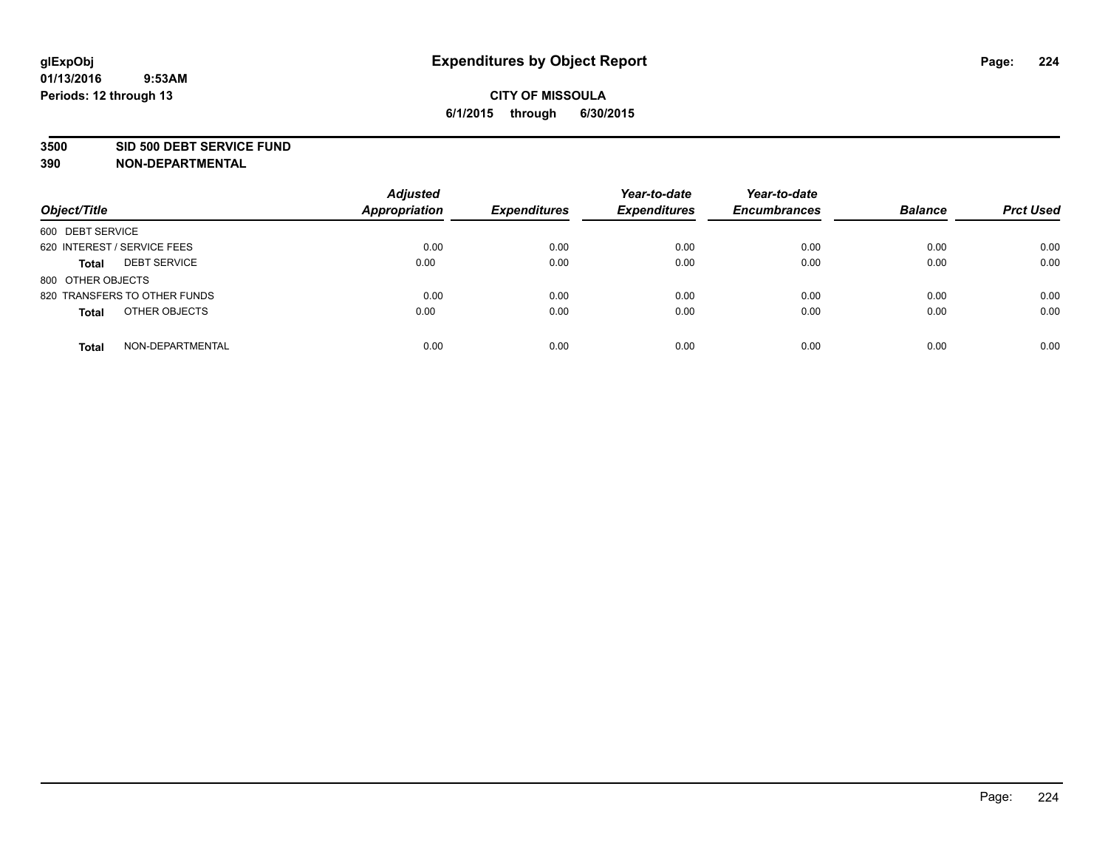#### **3500 SID 500 DEBT SERVICE FUND**

| Object/Title                        | <b>Adjusted</b><br><b>Appropriation</b> | <b>Expenditures</b> | Year-to-date<br><b>Expenditures</b> | Year-to-date<br><b>Encumbrances</b> | <b>Balance</b> | <b>Prct Used</b> |
|-------------------------------------|-----------------------------------------|---------------------|-------------------------------------|-------------------------------------|----------------|------------------|
| 600 DEBT SERVICE                    |                                         |                     |                                     |                                     |                |                  |
| 620 INTEREST / SERVICE FEES         | 0.00                                    | 0.00                | 0.00                                | 0.00                                | 0.00           | 0.00             |
| <b>DEBT SERVICE</b><br><b>Total</b> | 0.00                                    | 0.00                | 0.00                                | 0.00                                | 0.00           | 0.00             |
| 800 OTHER OBJECTS                   |                                         |                     |                                     |                                     |                |                  |
| 820 TRANSFERS TO OTHER FUNDS        | 0.00                                    | 0.00                | 0.00                                | 0.00                                | 0.00           | 0.00             |
| OTHER OBJECTS<br><b>Total</b>       | 0.00                                    | 0.00                | 0.00                                | 0.00                                | 0.00           | 0.00             |
| NON-DEPARTMENTAL<br><b>Total</b>    | 0.00                                    | 0.00                | 0.00                                | 0.00                                | 0.00           | 0.00             |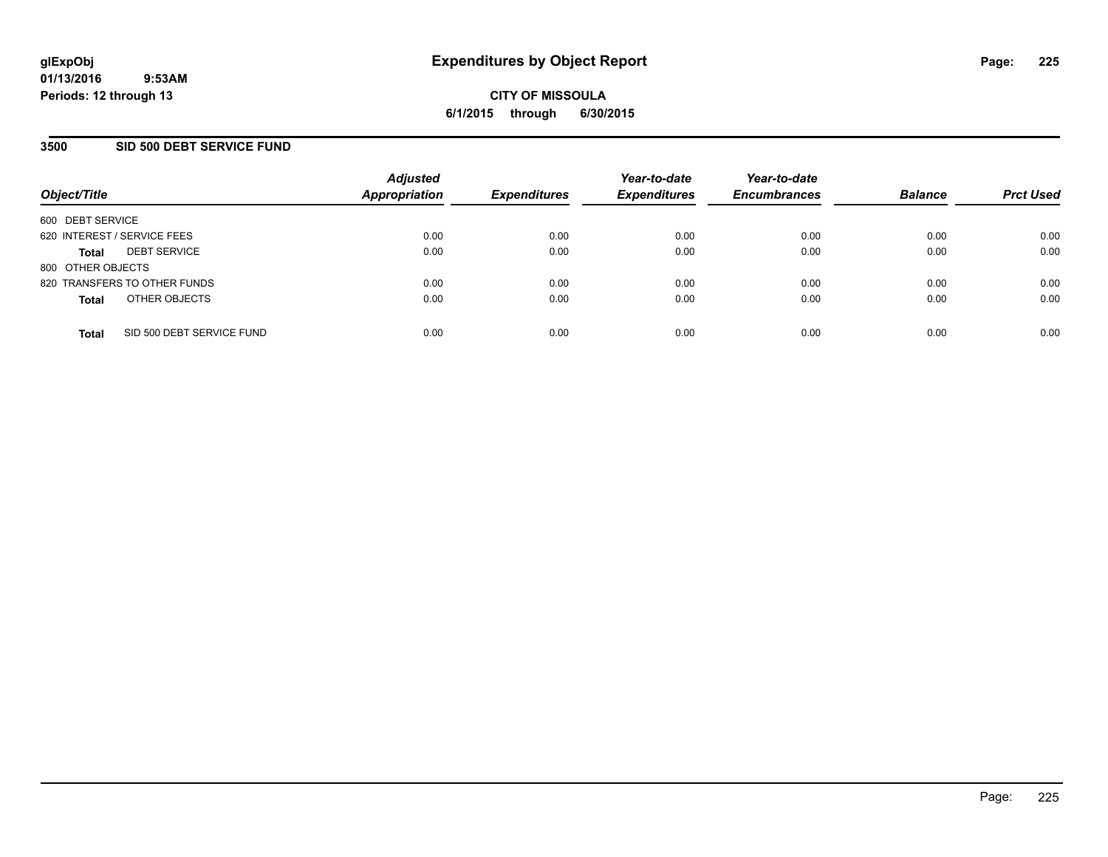## **3500 SID 500 DEBT SERVICE FUND**

| Object/Title                |                              | <b>Adjusted</b><br><b>Appropriation</b> | <b>Expenditures</b> | Year-to-date<br><b>Expenditures</b> | Year-to-date<br><b>Encumbrances</b> | <b>Balance</b> | <b>Prct Used</b> |
|-----------------------------|------------------------------|-----------------------------------------|---------------------|-------------------------------------|-------------------------------------|----------------|------------------|
| 600 DEBT SERVICE            |                              |                                         |                     |                                     |                                     |                |                  |
| 620 INTEREST / SERVICE FEES |                              | 0.00                                    | 0.00                | 0.00                                | 0.00                                | 0.00           | 0.00             |
| <b>Total</b>                | <b>DEBT SERVICE</b>          | 0.00                                    | 0.00                | 0.00                                | 0.00                                | 0.00           | 0.00             |
| 800 OTHER OBJECTS           |                              |                                         |                     |                                     |                                     |                |                  |
|                             | 820 TRANSFERS TO OTHER FUNDS | 0.00                                    | 0.00                | 0.00                                | 0.00                                | 0.00           | 0.00             |
| <b>Total</b>                | OTHER OBJECTS                | 0.00                                    | 0.00                | 0.00                                | 0.00                                | 0.00           | 0.00             |
| <b>Total</b>                | SID 500 DEBT SERVICE FUND    | 0.00                                    | 0.00                | 0.00                                | 0.00                                | 0.00           | 0.00             |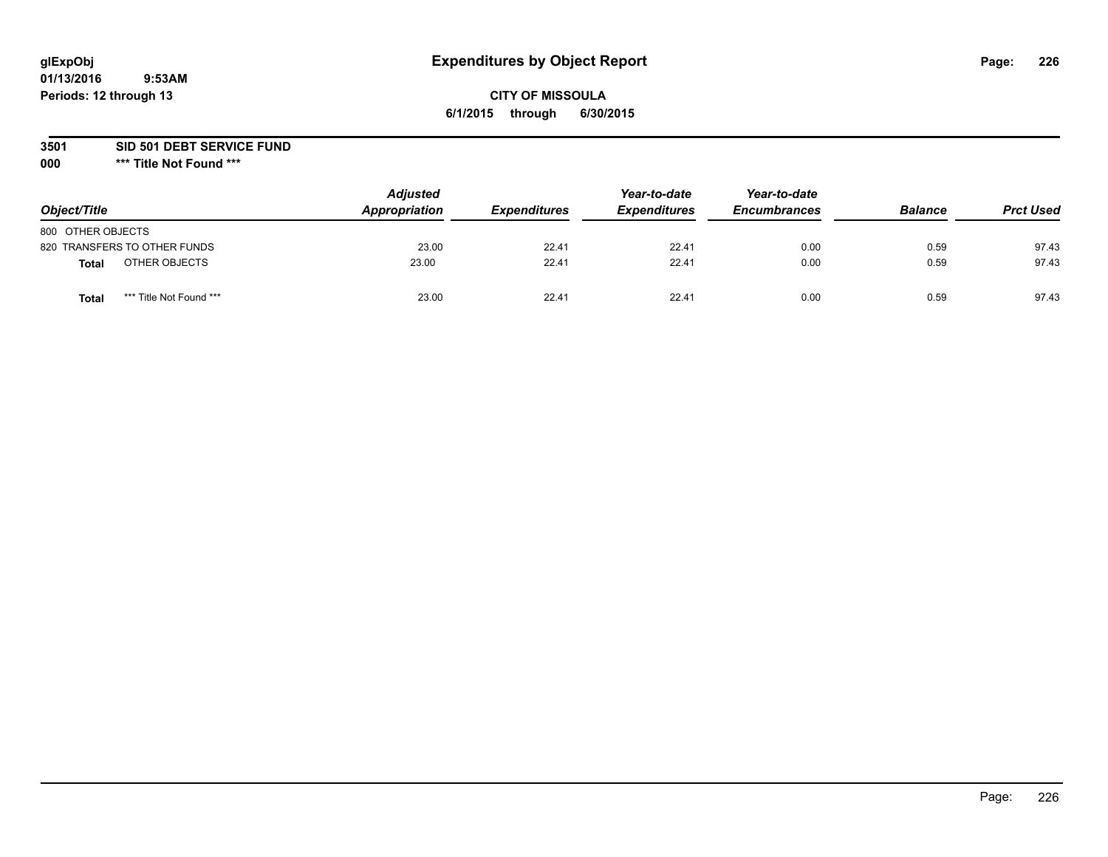### **3501 SID 501 DEBT SERVICE FUND**

| Object/Title                            | <b>Adjusted</b><br>Appropriation | <b>Expenditures</b> | Year-to-date<br><b>Expenditures</b> | Year-to-date<br><b>Encumbrances</b> | <b>Balance</b> | <b>Prct Used</b> |
|-----------------------------------------|----------------------------------|---------------------|-------------------------------------|-------------------------------------|----------------|------------------|
| 800 OTHER OBJECTS                       |                                  |                     |                                     |                                     |                |                  |
| 820 TRANSFERS TO OTHER FUNDS            | 23.00                            | 22.41               | 22.41                               | 0.00                                | 0.59           | 97.43            |
| OTHER OBJECTS<br><b>Total</b>           | 23.00                            | 22.41               | 22.41                               | 0.00                                | 0.59           | 97.43            |
| *** Title Not Found ***<br><b>Total</b> | 23.00                            | 22.41               | 22.41                               | 0.00                                | 0.59           | 97.43            |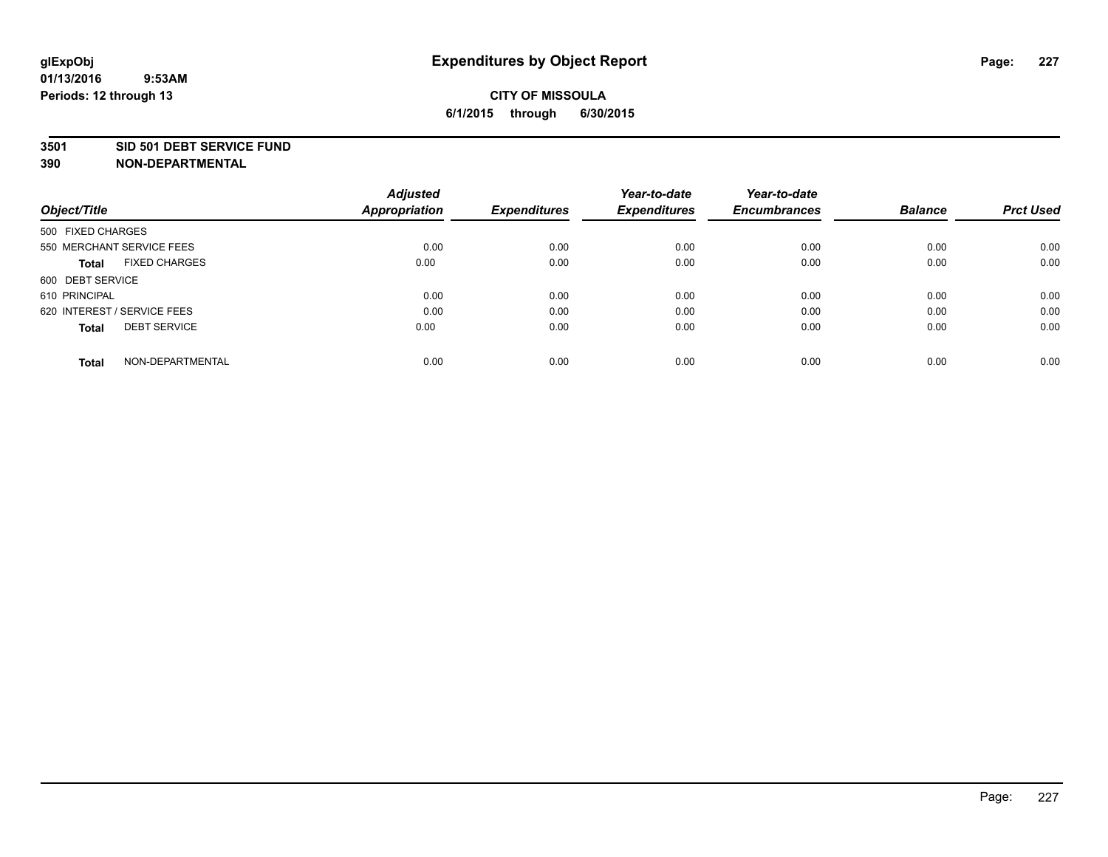#### **3501 SID 501 DEBT SERVICE FUND**

| Object/Title                         | <b>Adjusted</b><br><b>Appropriation</b> | <b>Expenditures</b> | Year-to-date<br><b>Expenditures</b> | Year-to-date<br><b>Encumbrances</b> | <b>Balance</b> | <b>Prct Used</b> |
|--------------------------------------|-----------------------------------------|---------------------|-------------------------------------|-------------------------------------|----------------|------------------|
|                                      |                                         |                     |                                     |                                     |                |                  |
| 500 FIXED CHARGES                    |                                         |                     |                                     |                                     |                |                  |
| 550 MERCHANT SERVICE FEES            | 0.00                                    | 0.00                | 0.00                                | 0.00                                | 0.00           | 0.00             |
| <b>FIXED CHARGES</b><br><b>Total</b> | 0.00                                    | 0.00                | 0.00                                | 0.00                                | 0.00           | 0.00             |
| 600 DEBT SERVICE                     |                                         |                     |                                     |                                     |                |                  |
| 610 PRINCIPAL                        | 0.00                                    | 0.00                | 0.00                                | 0.00                                | 0.00           | 0.00             |
| 620 INTEREST / SERVICE FEES          | 0.00                                    | 0.00                | 0.00                                | 0.00                                | 0.00           | 0.00             |
| <b>DEBT SERVICE</b><br><b>Total</b>  | 0.00                                    | 0.00                | 0.00                                | 0.00                                | 0.00           | 0.00             |
|                                      |                                         |                     |                                     |                                     |                |                  |
| NON-DEPARTMENTAL<br><b>Total</b>     | 0.00                                    | 0.00                | 0.00                                | 0.00                                | 0.00           | 0.00             |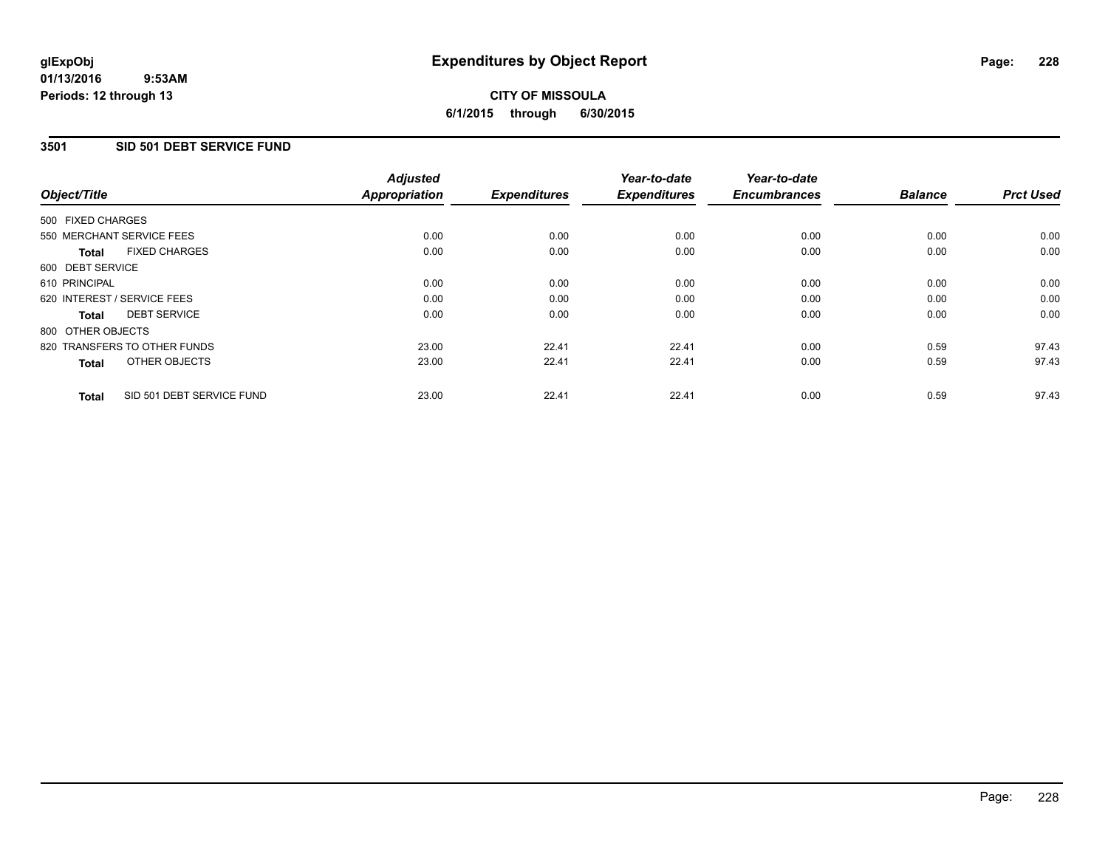## **3501 SID 501 DEBT SERVICE FUND**

| Object/Title      |                              | <b>Adjusted</b><br><b>Appropriation</b> | <b>Expenditures</b> | Year-to-date<br><b>Expenditures</b> | Year-to-date<br><b>Encumbrances</b> | <b>Balance</b> | <b>Prct Used</b> |
|-------------------|------------------------------|-----------------------------------------|---------------------|-------------------------------------|-------------------------------------|----------------|------------------|
| 500 FIXED CHARGES |                              |                                         |                     |                                     |                                     |                |                  |
|                   | 550 MERCHANT SERVICE FEES    | 0.00                                    | 0.00                | 0.00                                | 0.00                                | 0.00           | 0.00             |
| <b>Total</b>      | <b>FIXED CHARGES</b>         | 0.00                                    | 0.00                | 0.00                                | 0.00                                | 0.00           | 0.00             |
| 600 DEBT SERVICE  |                              |                                         |                     |                                     |                                     |                |                  |
| 610 PRINCIPAL     |                              | 0.00                                    | 0.00                | 0.00                                | 0.00                                | 0.00           | 0.00             |
|                   | 620 INTEREST / SERVICE FEES  | 0.00                                    | 0.00                | 0.00                                | 0.00                                | 0.00           | 0.00             |
| <b>Total</b>      | <b>DEBT SERVICE</b>          | 0.00                                    | 0.00                | 0.00                                | 0.00                                | 0.00           | 0.00             |
| 800 OTHER OBJECTS |                              |                                         |                     |                                     |                                     |                |                  |
|                   | 820 TRANSFERS TO OTHER FUNDS | 23.00                                   | 22.41               | 22.41                               | 0.00                                | 0.59           | 97.43            |
| <b>Total</b>      | OTHER OBJECTS                | 23.00                                   | 22.41               | 22.41                               | 0.00                                | 0.59           | 97.43            |
| <b>Total</b>      | SID 501 DEBT SERVICE FUND    | 23.00                                   | 22.41               | 22.41                               | 0.00                                | 0.59           | 97.43            |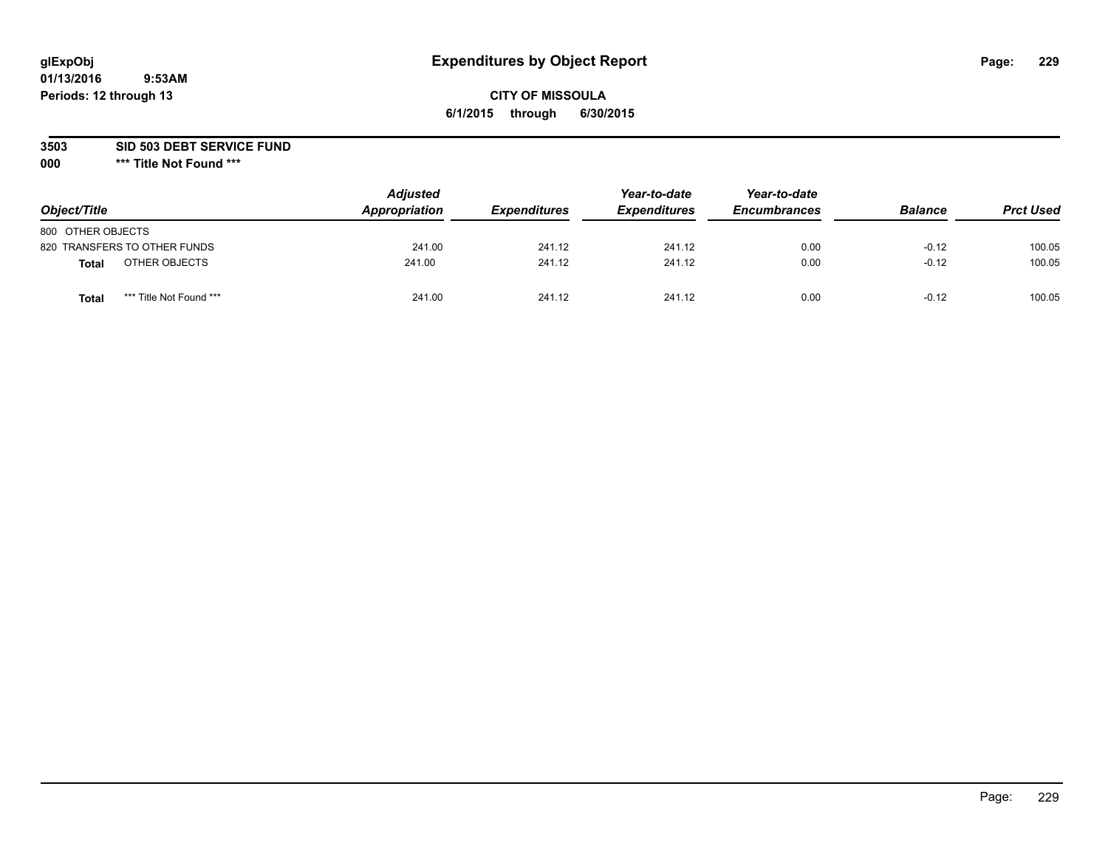## **CITY OF MISSOULA 6/1/2015 through 6/30/2015**

**3503 SID 503 DEBT SERVICE FUND**

| Object/Title                            | <b>Adjusted</b><br>Appropriation | <b>Expenditures</b> | Year-to-date<br><b>Expenditures</b> | Year-to-date<br><b>Encumbrances</b> | <b>Balance</b> | <b>Prct Used</b> |
|-----------------------------------------|----------------------------------|---------------------|-------------------------------------|-------------------------------------|----------------|------------------|
| 800 OTHER OBJECTS                       |                                  |                     |                                     |                                     |                |                  |
| 820 TRANSFERS TO OTHER FUNDS            | 241.00                           | 241.12              | 241.12                              | 0.00                                | $-0.12$        | 100.05           |
| OTHER OBJECTS<br>Total                  | 241.00                           | 241.12              | 241.12                              | 0.00                                | $-0.12$        | 100.05           |
| *** Title Not Found ***<br><b>Total</b> | 241.00                           | 241.12              | 241.12                              | 0.00                                | $-0.12$        | 100.05           |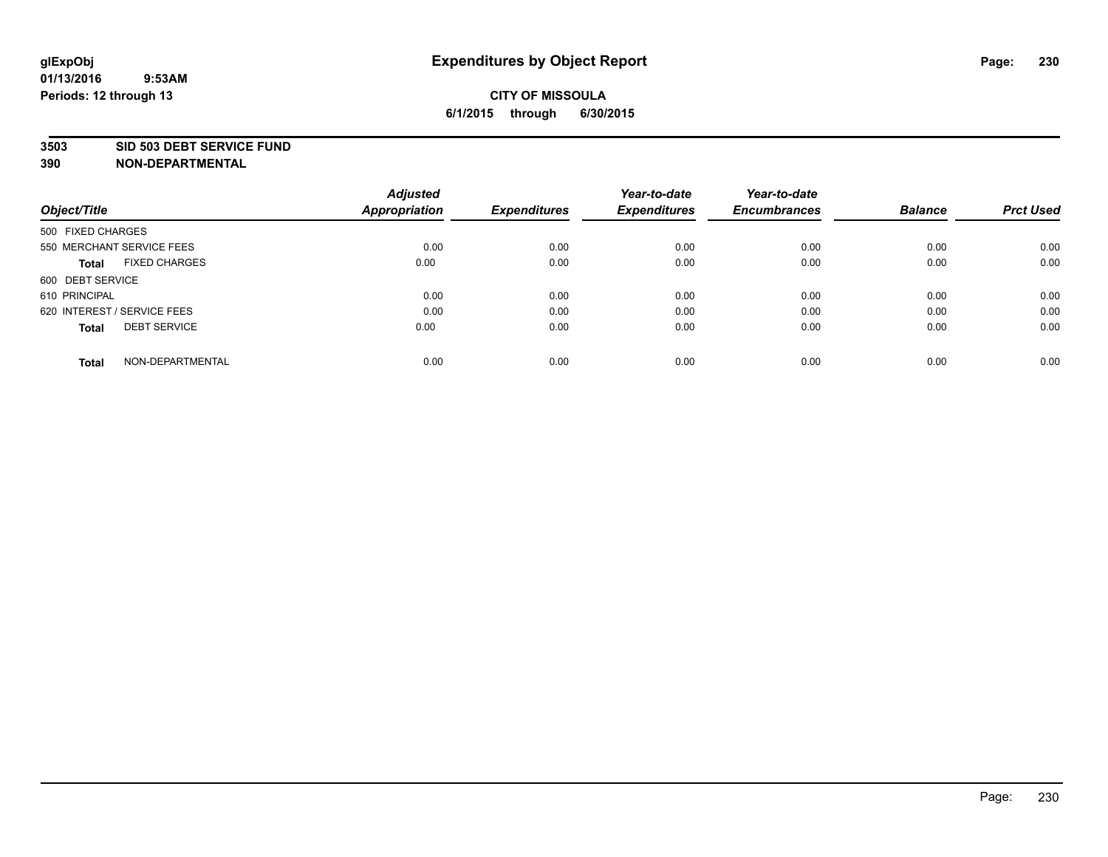#### **3503 SID 503 DEBT SERVICE FUND**

| Object/Title                         | <b>Adjusted</b><br><b>Appropriation</b> | <b>Expenditures</b> | Year-to-date<br><b>Expenditures</b> | Year-to-date<br><b>Encumbrances</b> | <b>Balance</b> | <b>Prct Used</b> |
|--------------------------------------|-----------------------------------------|---------------------|-------------------------------------|-------------------------------------|----------------|------------------|
|                                      |                                         |                     |                                     |                                     |                |                  |
| 500 FIXED CHARGES                    |                                         |                     |                                     |                                     |                |                  |
| 550 MERCHANT SERVICE FEES            | 0.00                                    | 0.00                | 0.00                                | 0.00                                | 0.00           | 0.00             |
| <b>FIXED CHARGES</b><br><b>Total</b> | 0.00                                    | 0.00                | 0.00                                | 0.00                                | 0.00           | 0.00             |
| 600 DEBT SERVICE                     |                                         |                     |                                     |                                     |                |                  |
| 610 PRINCIPAL                        | 0.00                                    | 0.00                | 0.00                                | 0.00                                | 0.00           | 0.00             |
| 620 INTEREST / SERVICE FEES          | 0.00                                    | 0.00                | 0.00                                | 0.00                                | 0.00           | 0.00             |
| <b>DEBT SERVICE</b><br><b>Total</b>  | 0.00                                    | 0.00                | 0.00                                | 0.00                                | 0.00           | 0.00             |
|                                      |                                         |                     |                                     |                                     |                |                  |
| NON-DEPARTMENTAL<br><b>Total</b>     | 0.00                                    | 0.00                | 0.00                                | 0.00                                | 0.00           | 0.00             |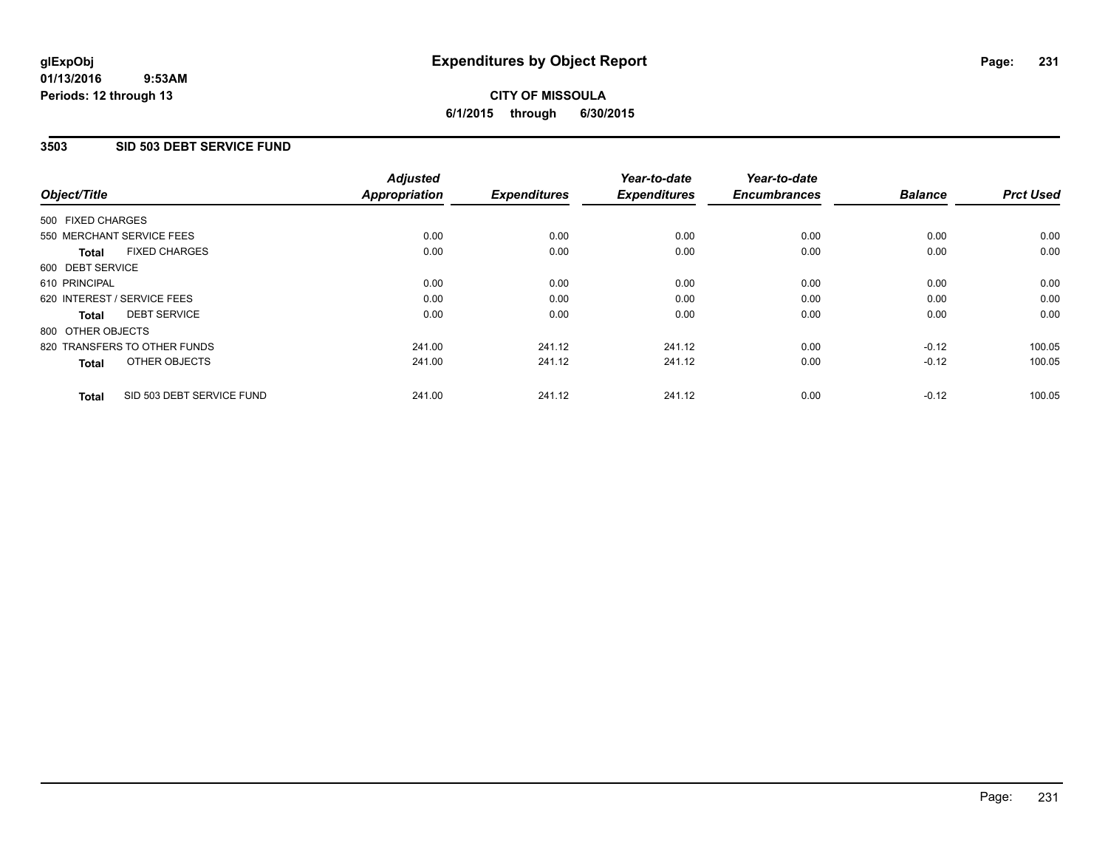## **CITY OF MISSOULA 6/1/2015 through 6/30/2015**

## **3503 SID 503 DEBT SERVICE FUND**

| Object/Title                |                              | <b>Adjusted</b><br><b>Appropriation</b> | <b>Expenditures</b> | Year-to-date<br><b>Expenditures</b> | Year-to-date<br><b>Encumbrances</b> | <b>Balance</b> | <b>Prct Used</b> |
|-----------------------------|------------------------------|-----------------------------------------|---------------------|-------------------------------------|-------------------------------------|----------------|------------------|
|                             |                              |                                         |                     |                                     |                                     |                |                  |
| 500 FIXED CHARGES           |                              |                                         |                     |                                     |                                     |                |                  |
| 550 MERCHANT SERVICE FEES   |                              | 0.00                                    | 0.00                | 0.00                                | 0.00                                | 0.00           | 0.00             |
| <b>Total</b>                | <b>FIXED CHARGES</b>         | 0.00                                    | 0.00                | 0.00                                | 0.00                                | 0.00           | 0.00             |
| 600 DEBT SERVICE            |                              |                                         |                     |                                     |                                     |                |                  |
| 610 PRINCIPAL               |                              | 0.00                                    | 0.00                | 0.00                                | 0.00                                | 0.00           | 0.00             |
| 620 INTEREST / SERVICE FEES |                              | 0.00                                    | 0.00                | 0.00                                | 0.00                                | 0.00           | 0.00             |
| Total                       | <b>DEBT SERVICE</b>          | 0.00                                    | 0.00                | 0.00                                | 0.00                                | 0.00           | 0.00             |
| 800 OTHER OBJECTS           |                              |                                         |                     |                                     |                                     |                |                  |
|                             | 820 TRANSFERS TO OTHER FUNDS | 241.00                                  | 241.12              | 241.12                              | 0.00                                | $-0.12$        | 100.05           |
| <b>Total</b>                | OTHER OBJECTS                | 241.00                                  | 241.12              | 241.12                              | 0.00                                | $-0.12$        | 100.05           |
| <b>Total</b>                | SID 503 DEBT SERVICE FUND    | 241.00                                  | 241.12              | 241.12                              | 0.00                                | $-0.12$        | 100.05           |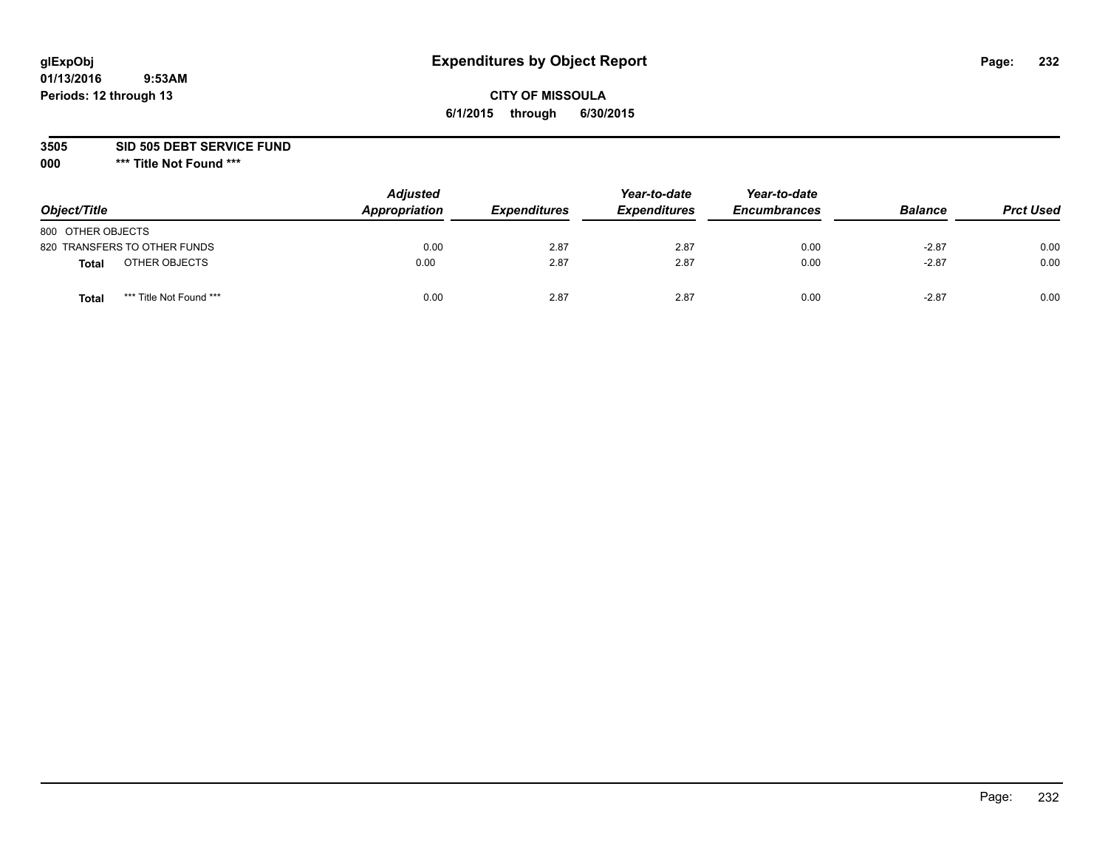# **glExpObj Expenditures by Object Report Page: 232**

## **CITY OF MISSOULA 6/1/2015 through 6/30/2015**

**3505 SID 505 DEBT SERVICE FUND**

| Object/Title                            | <b>Adjusted</b><br>Appropriation | <b>Expenditures</b> | Year-to-date<br><b>Expenditures</b> | Year-to-date<br><b>Encumbrances</b> | <b>Balance</b> | <b>Prct Used</b> |
|-----------------------------------------|----------------------------------|---------------------|-------------------------------------|-------------------------------------|----------------|------------------|
| 800 OTHER OBJECTS                       |                                  |                     |                                     |                                     |                |                  |
| 820 TRANSFERS TO OTHER FUNDS            | 0.00                             | 2.87                | 2.87                                | 0.00                                | $-2.87$        | 0.00             |
| OTHER OBJECTS<br><b>Total</b>           | 0.00                             | 2.87                | 2.87                                | 0.00                                | $-2.87$        | 0.00             |
| *** Title Not Found ***<br><b>Total</b> | 0.00                             | 2.87                | 2.87                                | 0.00                                | $-2.87$        | 0.00             |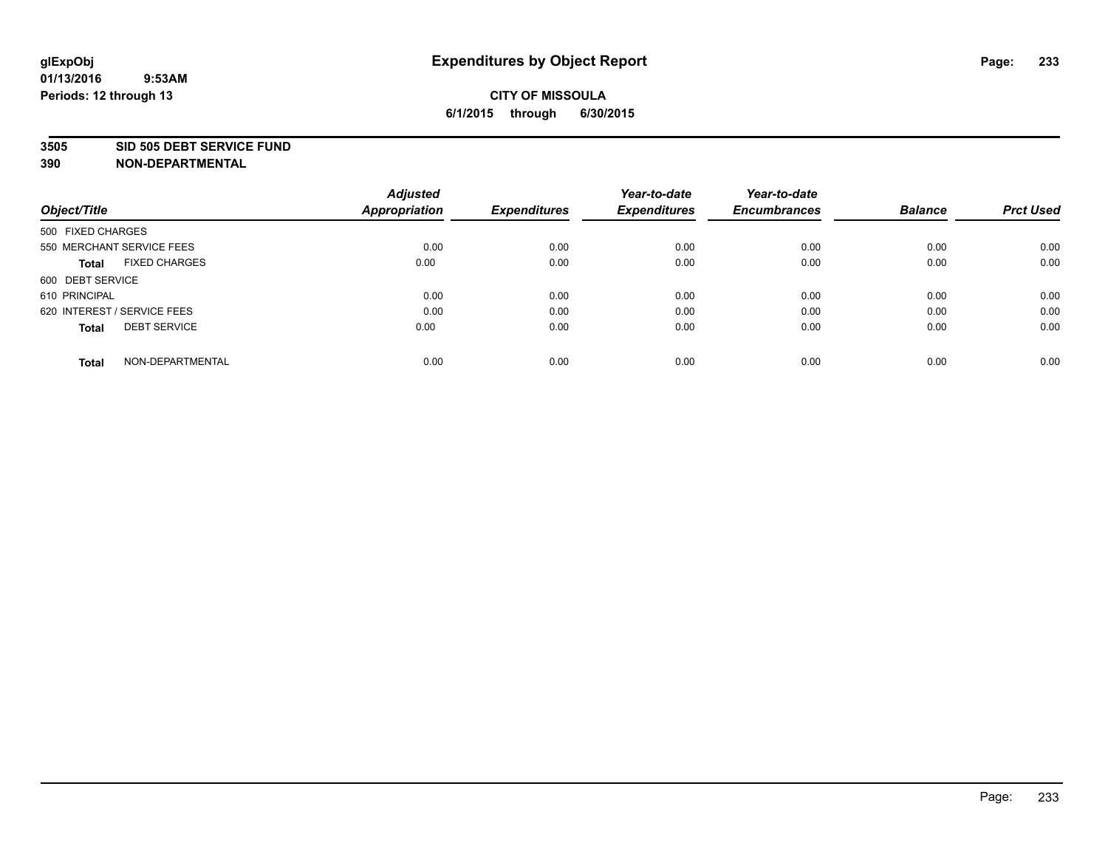#### **3505 SID 505 DEBT SERVICE FUND**

| Object/Title                         | <b>Adjusted</b><br><b>Appropriation</b> | <b>Expenditures</b> | Year-to-date<br><b>Expenditures</b> | Year-to-date<br><b>Encumbrances</b> | <b>Balance</b> | <b>Prct Used</b> |
|--------------------------------------|-----------------------------------------|---------------------|-------------------------------------|-------------------------------------|----------------|------------------|
|                                      |                                         |                     |                                     |                                     |                |                  |
| 500 FIXED CHARGES                    |                                         |                     |                                     |                                     |                |                  |
| 550 MERCHANT SERVICE FEES            | 0.00                                    | 0.00                | 0.00                                | 0.00                                | 0.00           | 0.00             |
| <b>FIXED CHARGES</b><br><b>Total</b> | 0.00                                    | 0.00                | 0.00                                | 0.00                                | 0.00           | 0.00             |
| 600 DEBT SERVICE                     |                                         |                     |                                     |                                     |                |                  |
| 610 PRINCIPAL                        | 0.00                                    | 0.00                | 0.00                                | 0.00                                | 0.00           | 0.00             |
| 620 INTEREST / SERVICE FEES          | 0.00                                    | 0.00                | 0.00                                | 0.00                                | 0.00           | 0.00             |
| <b>DEBT SERVICE</b><br><b>Total</b>  | 0.00                                    | 0.00                | 0.00                                | 0.00                                | 0.00           | 0.00             |
|                                      |                                         |                     |                                     |                                     |                |                  |
| NON-DEPARTMENTAL<br><b>Total</b>     | 0.00                                    | 0.00                | 0.00                                | 0.00                                | 0.00           | 0.00             |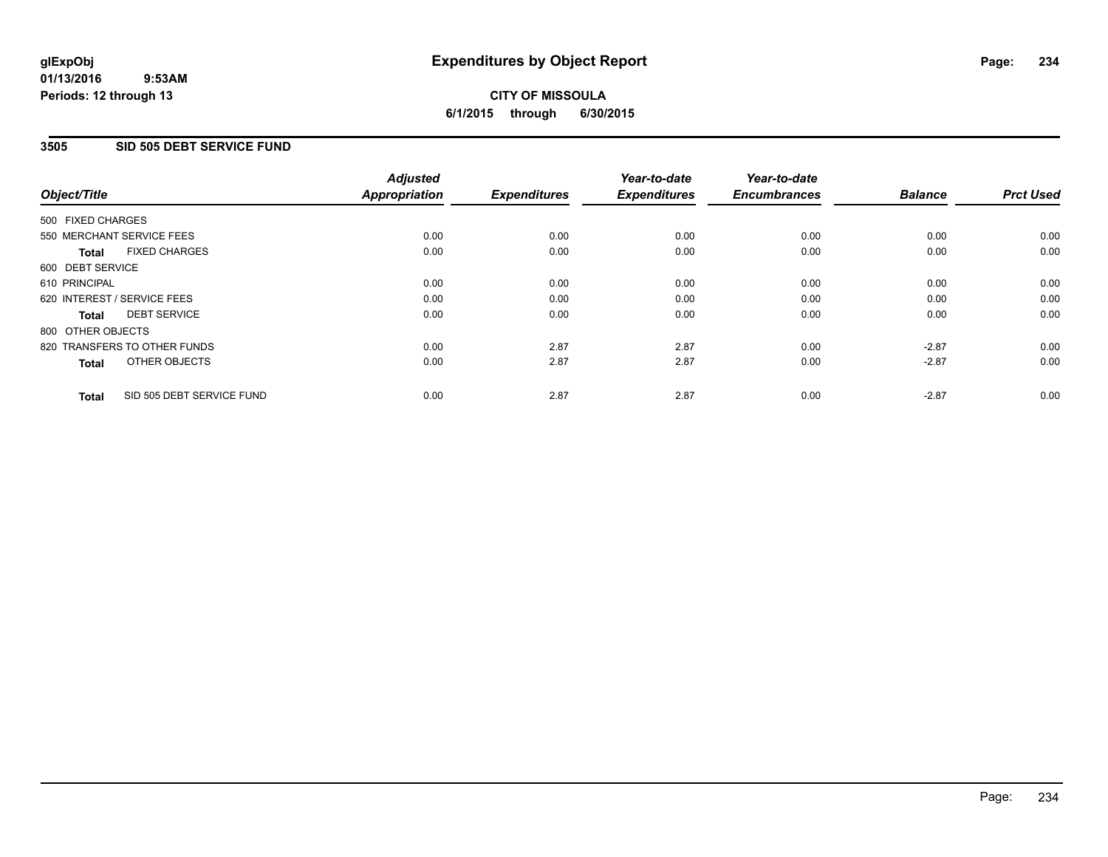## **CITY OF MISSOULA 6/1/2015 through 6/30/2015**

## **3505 SID 505 DEBT SERVICE FUND**

| Object/Title                |                              | <b>Adjusted</b><br><b>Appropriation</b> | <b>Expenditures</b> | Year-to-date<br><b>Expenditures</b> | Year-to-date<br><b>Encumbrances</b> | <b>Balance</b> | <b>Prct Used</b> |
|-----------------------------|------------------------------|-----------------------------------------|---------------------|-------------------------------------|-------------------------------------|----------------|------------------|
| 500 FIXED CHARGES           |                              |                                         |                     |                                     |                                     |                |                  |
|                             | 550 MERCHANT SERVICE FEES    | 0.00                                    | 0.00                | 0.00                                | 0.00                                | 0.00           | 0.00             |
| <b>Total</b>                | <b>FIXED CHARGES</b>         | 0.00                                    | 0.00                | 0.00                                | 0.00                                | 0.00           | 0.00             |
| 600 DEBT SERVICE            |                              |                                         |                     |                                     |                                     |                |                  |
| 610 PRINCIPAL               |                              | 0.00                                    | 0.00                | 0.00                                | 0.00                                | 0.00           | 0.00             |
| 620 INTEREST / SERVICE FEES |                              | 0.00                                    | 0.00                | 0.00                                | 0.00                                | 0.00           | 0.00             |
| Total                       | <b>DEBT SERVICE</b>          | 0.00                                    | 0.00                | 0.00                                | 0.00                                | 0.00           | 0.00             |
| 800 OTHER OBJECTS           |                              |                                         |                     |                                     |                                     |                |                  |
|                             | 820 TRANSFERS TO OTHER FUNDS | 0.00                                    | 2.87                | 2.87                                | 0.00                                | $-2.87$        | 0.00             |
| <b>Total</b>                | OTHER OBJECTS                | 0.00                                    | 2.87                | 2.87                                | 0.00                                | $-2.87$        | 0.00             |
| <b>Total</b>                | SID 505 DEBT SERVICE FUND    | 0.00                                    | 2.87                | 2.87                                | 0.00                                | $-2.87$        | 0.00             |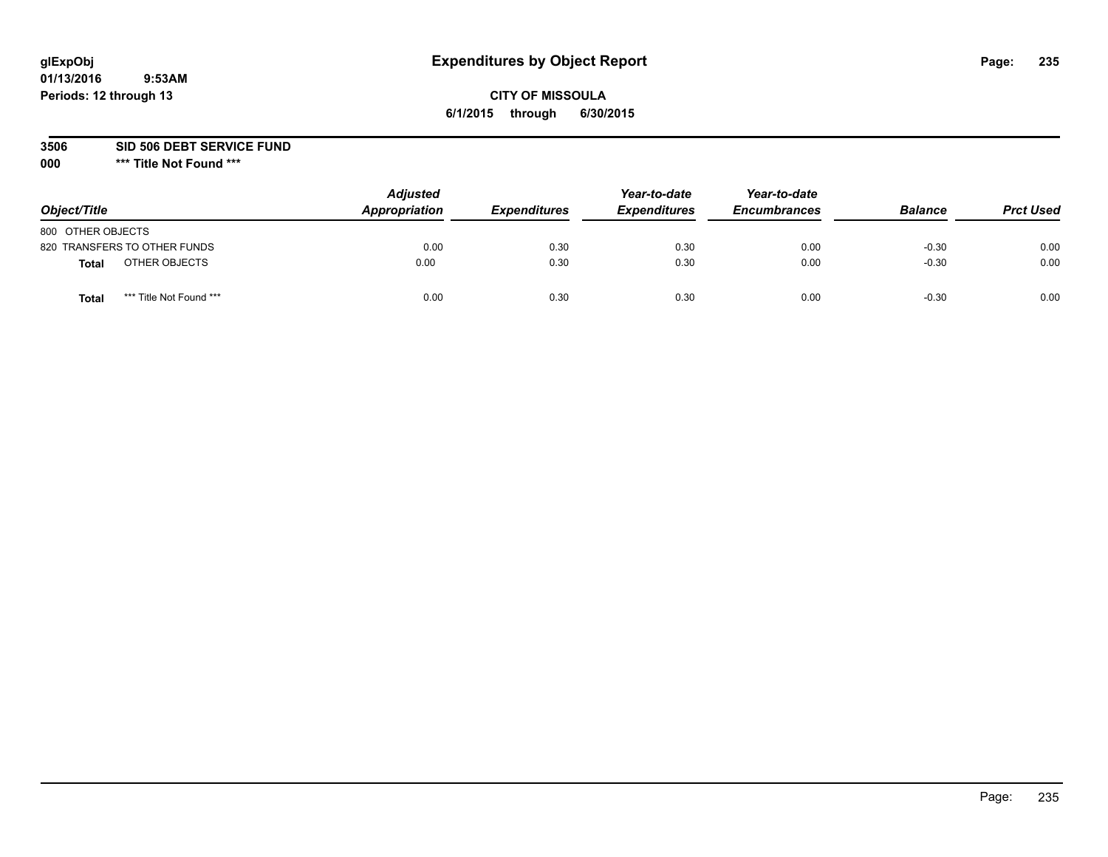# **glExpObj Expenditures by Object Report Page: 235**

## **CITY OF MISSOULA 6/1/2015 through 6/30/2015**

**3506 SID 506 DEBT SERVICE FUND**

| Object/Title                            | <b>Adjusted</b><br>Appropriation | <b>Expenditures</b> | Year-to-date<br><b>Expenditures</b> | Year-to-date<br><b>Encumbrances</b> | <b>Balance</b> | <b>Prct Used</b> |
|-----------------------------------------|----------------------------------|---------------------|-------------------------------------|-------------------------------------|----------------|------------------|
| 800 OTHER OBJECTS                       |                                  |                     |                                     |                                     |                |                  |
| 820 TRANSFERS TO OTHER FUNDS            | 0.00                             | 0.30                | 0.30                                | 0.00                                | $-0.30$        | 0.00             |
| OTHER OBJECTS<br><b>Total</b>           | 0.00                             | 0.30                | 0.30                                | 0.00                                | $-0.30$        | 0.00             |
| *** Title Not Found ***<br><b>Total</b> | 0.00                             | 0.30                | 0.30                                | 0.00                                | $-0.30$        | 0.00             |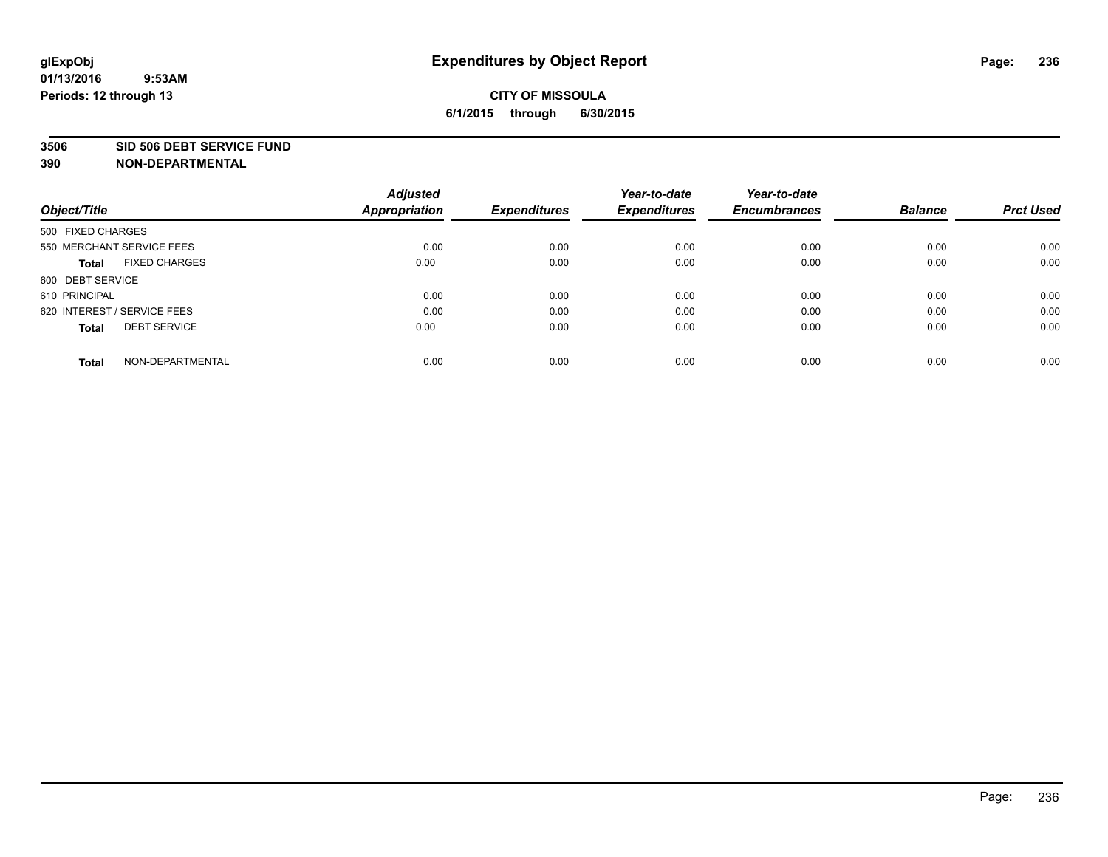#### **3506 SID 506 DEBT SERVICE FUND**

| Object/Title                         | <b>Adjusted</b><br><b>Appropriation</b> | <b>Expenditures</b> | Year-to-date<br><b>Expenditures</b> | Year-to-date<br><b>Encumbrances</b> | <b>Balance</b> | <b>Prct Used</b> |
|--------------------------------------|-----------------------------------------|---------------------|-------------------------------------|-------------------------------------|----------------|------------------|
|                                      |                                         |                     |                                     |                                     |                |                  |
| 500 FIXED CHARGES                    |                                         |                     |                                     |                                     |                |                  |
| 550 MERCHANT SERVICE FEES            | 0.00                                    | 0.00                | 0.00                                | 0.00                                | 0.00           | 0.00             |
| <b>FIXED CHARGES</b><br><b>Total</b> | 0.00                                    | 0.00                | 0.00                                | 0.00                                | 0.00           | 0.00             |
| 600 DEBT SERVICE                     |                                         |                     |                                     |                                     |                |                  |
| 610 PRINCIPAL                        | 0.00                                    | 0.00                | 0.00                                | 0.00                                | 0.00           | 0.00             |
| 620 INTEREST / SERVICE FEES          | 0.00                                    | 0.00                | 0.00                                | 0.00                                | 0.00           | 0.00             |
| <b>DEBT SERVICE</b><br><b>Total</b>  | 0.00                                    | 0.00                | 0.00                                | 0.00                                | 0.00           | 0.00             |
| NON-DEPARTMENTAL<br><b>Total</b>     | 0.00                                    | 0.00                | 0.00                                | 0.00                                | 0.00           | 0.00             |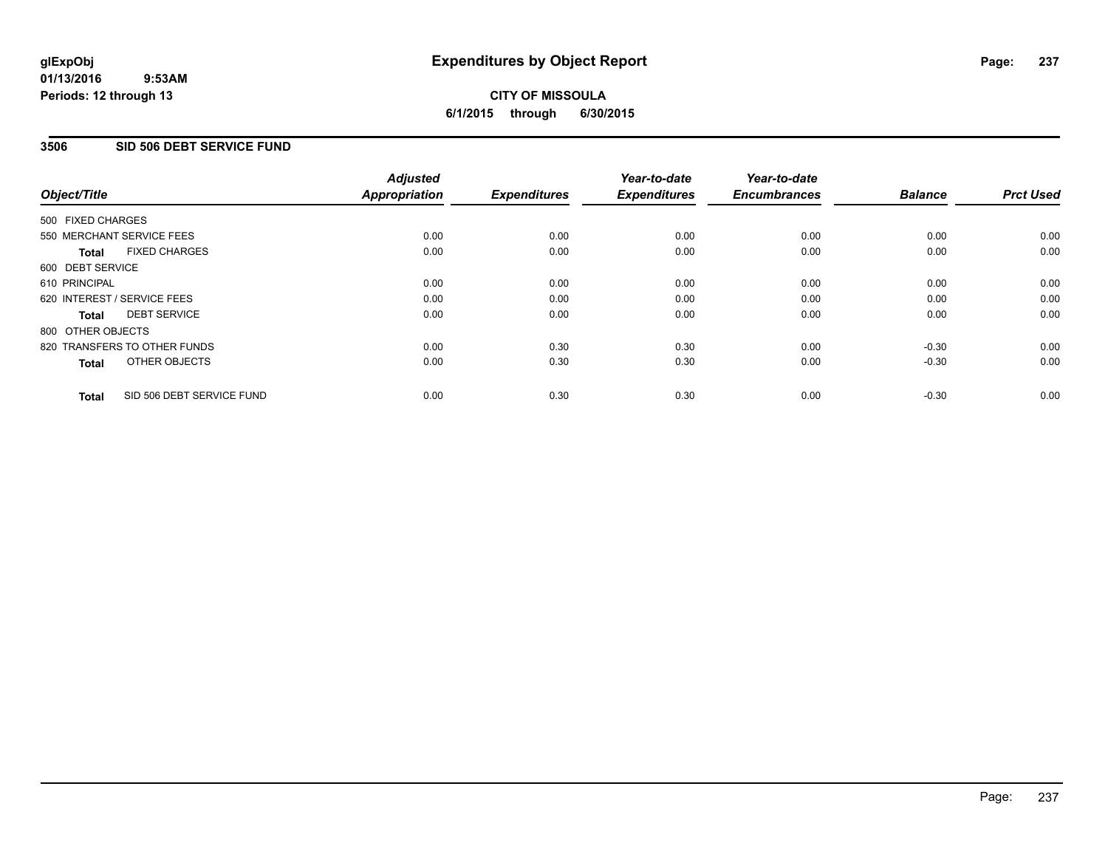## **CITY OF MISSOULA 6/1/2015 through 6/30/2015**

## **3506 SID 506 DEBT SERVICE FUND**

| Object/Title      |                              | <b>Adjusted</b><br>Appropriation | <b>Expenditures</b> | Year-to-date<br><b>Expenditures</b> | Year-to-date<br><b>Encumbrances</b> | <b>Balance</b> | <b>Prct Used</b> |
|-------------------|------------------------------|----------------------------------|---------------------|-------------------------------------|-------------------------------------|----------------|------------------|
| 500 FIXED CHARGES |                              |                                  |                     |                                     |                                     |                |                  |
|                   | 550 MERCHANT SERVICE FEES    | 0.00                             | 0.00                | 0.00                                | 0.00                                | 0.00           | 0.00             |
| <b>Total</b>      | <b>FIXED CHARGES</b>         | 0.00                             | 0.00                | 0.00                                | 0.00                                | 0.00           | 0.00             |
| 600 DEBT SERVICE  |                              |                                  |                     |                                     |                                     |                |                  |
| 610 PRINCIPAL     |                              | 0.00                             | 0.00                | 0.00                                | 0.00                                | 0.00           | 0.00             |
|                   | 620 INTEREST / SERVICE FEES  | 0.00                             | 0.00                | 0.00                                | 0.00                                | 0.00           | 0.00             |
| Total             | <b>DEBT SERVICE</b>          | 0.00                             | 0.00                | 0.00                                | 0.00                                | 0.00           | 0.00             |
| 800 OTHER OBJECTS |                              |                                  |                     |                                     |                                     |                |                  |
|                   | 820 TRANSFERS TO OTHER FUNDS | 0.00                             | 0.30                | 0.30                                | 0.00                                | $-0.30$        | 0.00             |
| <b>Total</b>      | OTHER OBJECTS                | 0.00                             | 0.30                | 0.30                                | 0.00                                | $-0.30$        | 0.00             |
| <b>Total</b>      | SID 506 DEBT SERVICE FUND    | 0.00                             | 0.30                | 0.30                                | 0.00                                | $-0.30$        | 0.00             |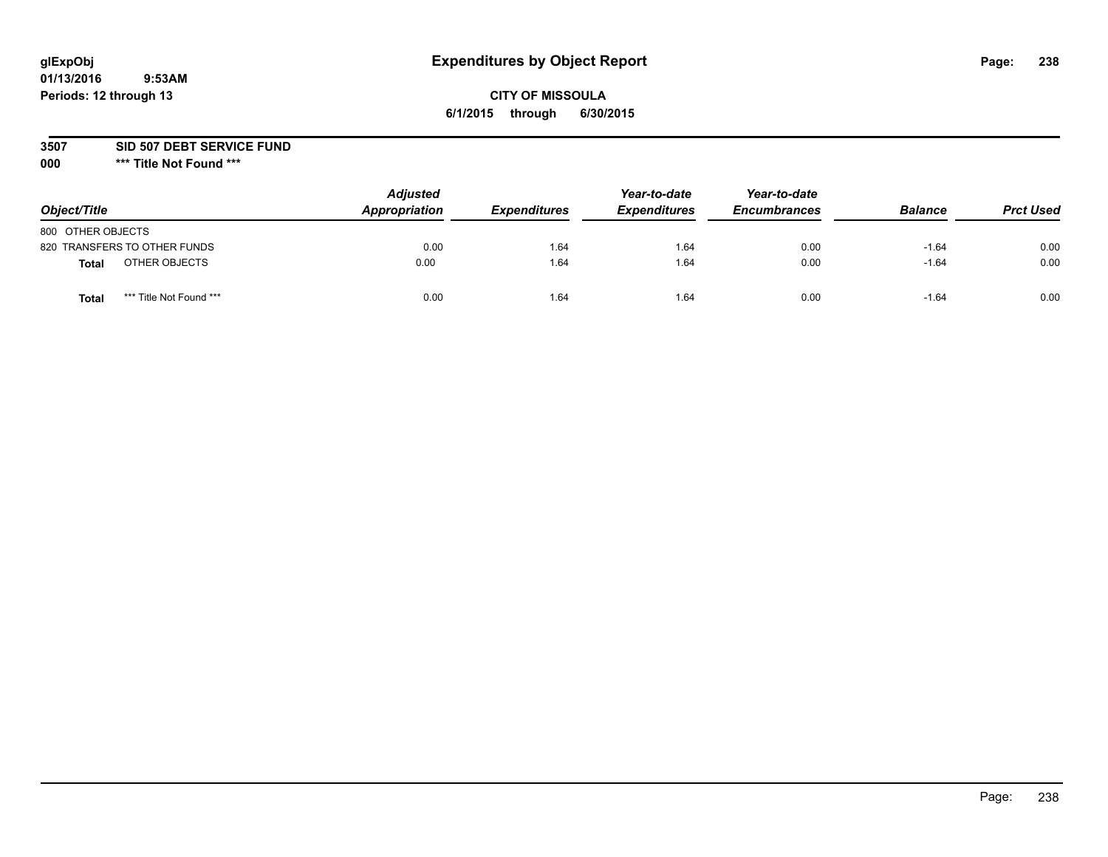# **glExpObj Expenditures by Object Report Page: 238**

## **CITY OF MISSOULA 6/1/2015 through 6/30/2015**

**3507 SID 507 DEBT SERVICE FUND**

| Object/Title      |                              | <b>Adjusted</b><br>Appropriation | <b>Expenditures</b> | Year-to-date<br><b>Expenditures</b> | Year-to-date<br><b>Encumbrances</b> | <b>Balance</b> | <b>Prct Used</b> |
|-------------------|------------------------------|----------------------------------|---------------------|-------------------------------------|-------------------------------------|----------------|------------------|
| 800 OTHER OBJECTS |                              |                                  |                     |                                     |                                     |                |                  |
|                   | 820 TRANSFERS TO OTHER FUNDS | 0.00                             | 1.64                | 1.64                                | 0.00                                | $-1.64$        | 0.00             |
| Total             | OTHER OBJECTS                | 0.00                             | 1.64                | 1.64                                | 0.00                                | $-1.64$        | 0.00             |
| Tota              | *** Title Not Found ***      | 0.00                             | 1.64                | 1.64                                | 0.00                                | $-1.64$        | 0.00             |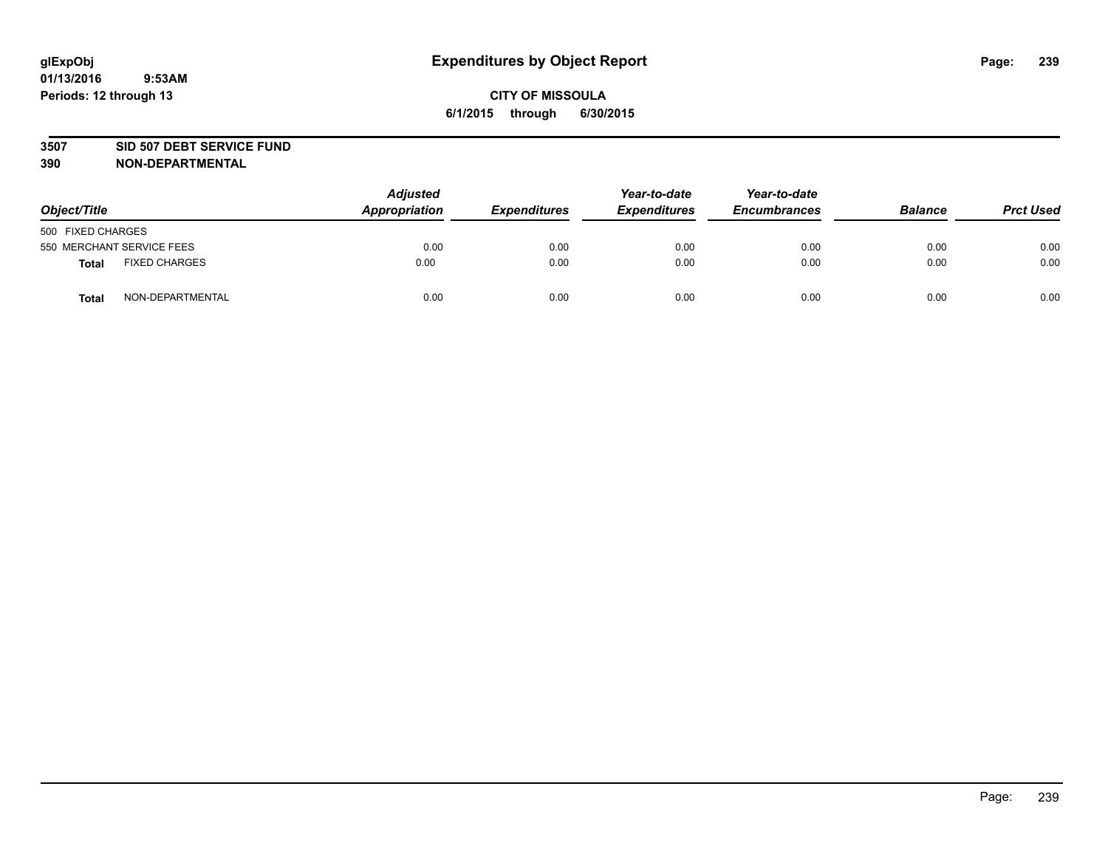#### **3507 SID 507 DEBT SERVICE FUND**

| Object/Title      |                           | <b>Adjusted</b><br>Appropriation | <b>Expenditures</b> | Year-to-date<br><b>Expenditures</b> | Year-to-date<br><b>Encumbrances</b> | <b>Balance</b> | <b>Prct Used</b> |
|-------------------|---------------------------|----------------------------------|---------------------|-------------------------------------|-------------------------------------|----------------|------------------|
| 500 FIXED CHARGES |                           |                                  |                     |                                     |                                     |                |                  |
|                   | 550 MERCHANT SERVICE FEES | 0.00                             | 0.00                | 0.00                                | 0.00                                | 0.00           | 0.00             |
| <b>Total</b>      | <b>FIXED CHARGES</b>      | 0.00                             | 0.00                | 0.00                                | 0.00                                | 0.00           | 0.00             |
| <b>Total</b>      | NON-DEPARTMENTAL          | 0.00                             | 0.00                | 0.00                                | 0.00                                | 0.00           | 0.00             |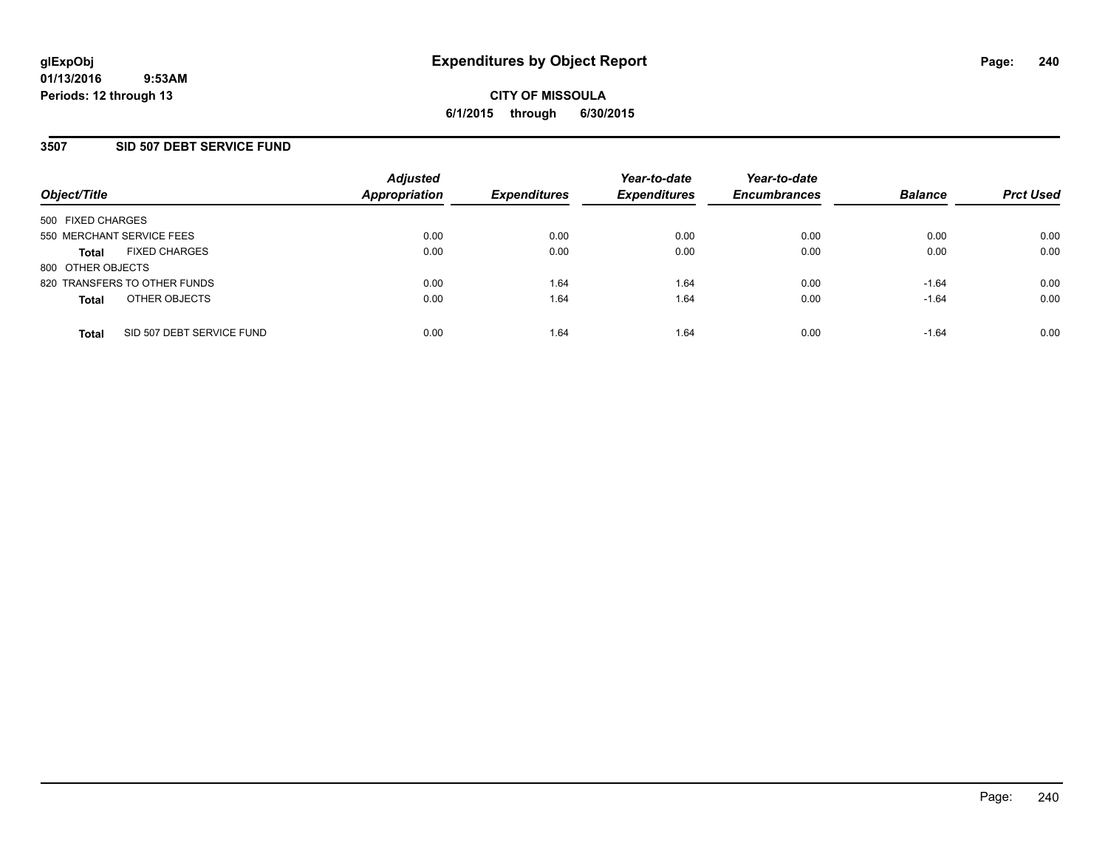## **3507 SID 507 DEBT SERVICE FUND**

| Object/Title                 |                           | <b>Adjusted</b><br><b>Appropriation</b> | <b>Expenditures</b> | Year-to-date<br><b>Expenditures</b> | Year-to-date<br><b>Encumbrances</b> | <b>Balance</b> | <b>Prct Used</b> |
|------------------------------|---------------------------|-----------------------------------------|---------------------|-------------------------------------|-------------------------------------|----------------|------------------|
| 500 FIXED CHARGES            |                           |                                         |                     |                                     |                                     |                |                  |
| 550 MERCHANT SERVICE FEES    |                           | 0.00                                    | 0.00                | 0.00                                | 0.00                                | 0.00           | 0.00             |
| <b>Total</b>                 | <b>FIXED CHARGES</b>      | 0.00                                    | 0.00                | 0.00                                | 0.00                                | 0.00           | 0.00             |
| 800 OTHER OBJECTS            |                           |                                         |                     |                                     |                                     |                |                  |
| 820 TRANSFERS TO OTHER FUNDS |                           | 0.00                                    | 1.64                | 1.64                                | 0.00                                | $-1.64$        | 0.00             |
| <b>Total</b>                 | OTHER OBJECTS             | 0.00                                    | 1.64                | 1.64                                | 0.00                                | $-1.64$        | 0.00             |
| <b>Total</b>                 | SID 507 DEBT SERVICE FUND | 0.00                                    | 1.64                | 1.64                                | 0.00                                | $-1.64$        | 0.00             |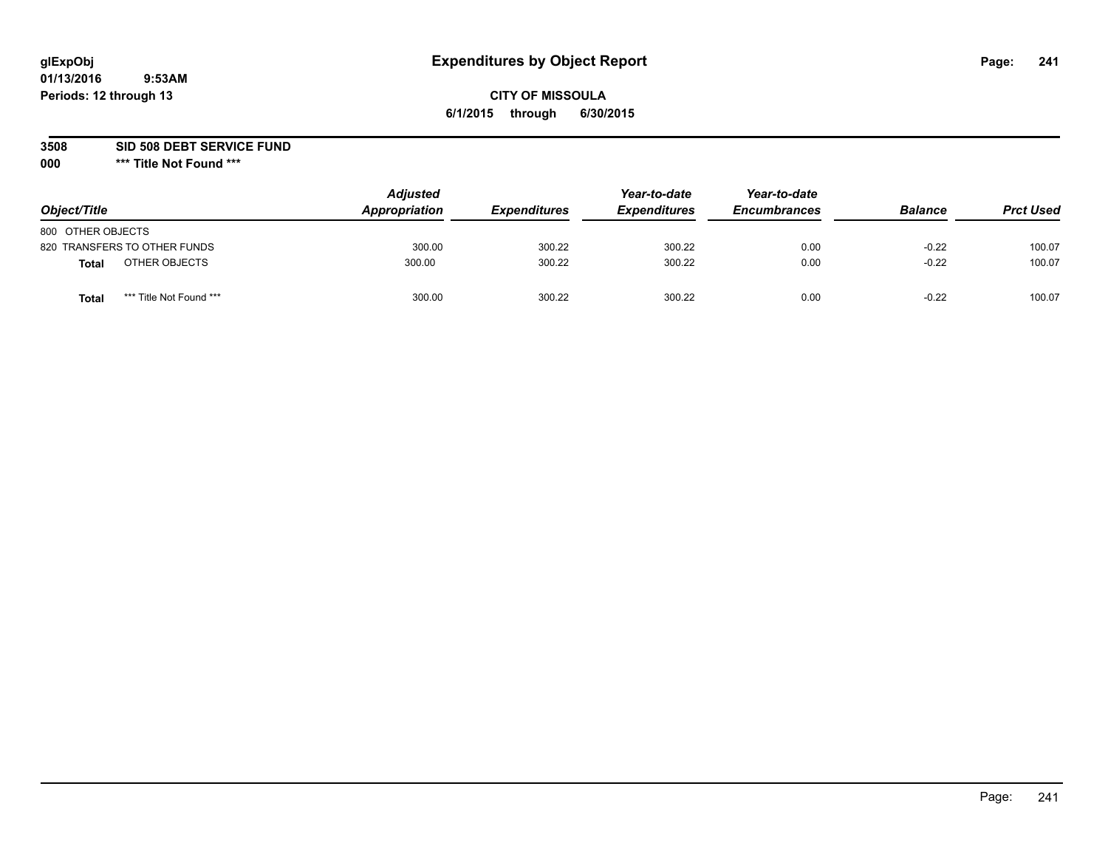## **CITY OF MISSOULA 6/1/2015 through 6/30/2015**

**3508 SID 508 DEBT SERVICE FUND**

| Object/Title                     | <b>Adjusted</b><br>Appropriation | <b>Expenditures</b> | Year-to-date<br><b>Expenditures</b> | Year-to-date<br><b>Encumbrances</b> | <b>Balance</b> | <b>Prct Used</b> |
|----------------------------------|----------------------------------|---------------------|-------------------------------------|-------------------------------------|----------------|------------------|
| 800 OTHER OBJECTS                |                                  |                     |                                     |                                     |                |                  |
| 820 TRANSFERS TO OTHER FUNDS     | 300.00                           | 300.22              | 300.22                              | 0.00                                | $-0.22$        | 100.07           |
| OTHER OBJECTS<br>Total           | 300.00                           | 300.22              | 300.22                              | 0.00                                | $-0.22$        | 100.07           |
| *** Title Not Found ***<br>Total | 300.00                           | 300.22              | 300.22                              | 0.00                                | $-0.22$        | 100.07           |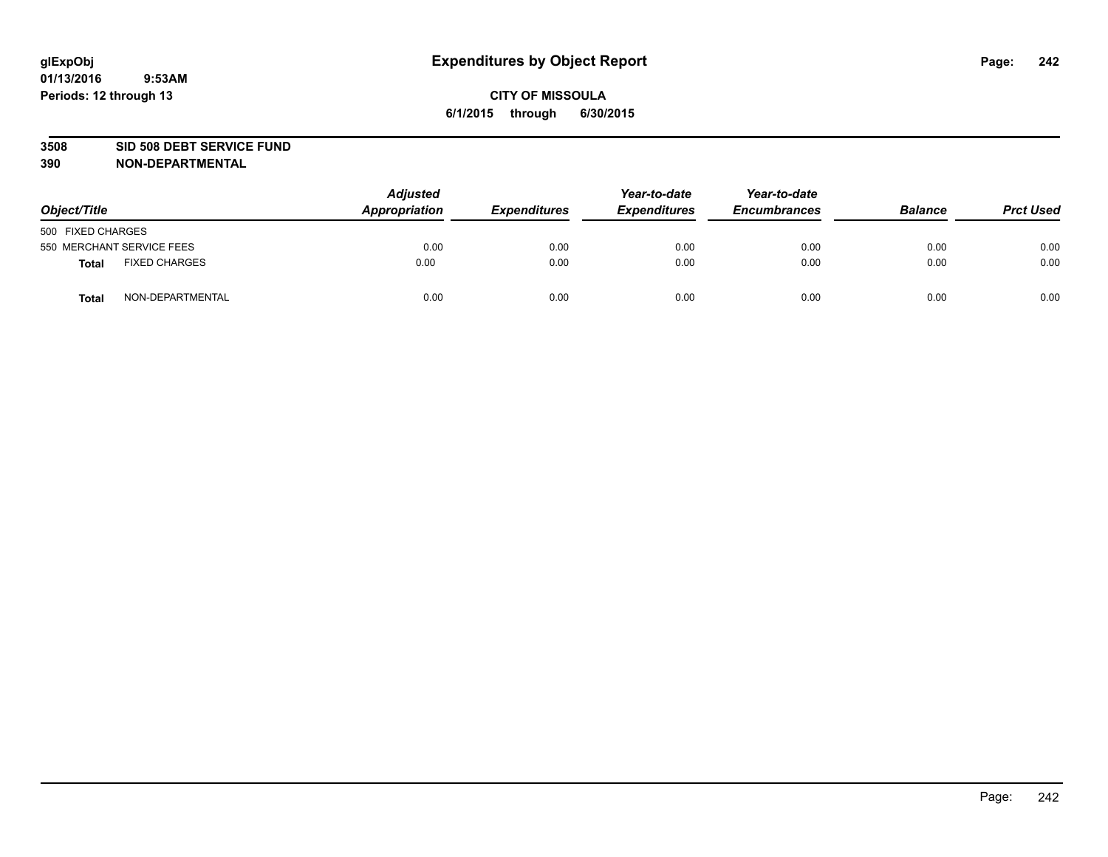#### **3508 SID 508 DEBT SERVICE FUND**

| Object/Title      |                           | <b>Adjusted</b><br>Appropriation | <b>Expenditures</b> | Year-to-date<br><b>Expenditures</b> | Year-to-date<br><b>Encumbrances</b> | <b>Balance</b> | <b>Prct Used</b> |
|-------------------|---------------------------|----------------------------------|---------------------|-------------------------------------|-------------------------------------|----------------|------------------|
| 500 FIXED CHARGES |                           |                                  |                     |                                     |                                     |                |                  |
|                   | 550 MERCHANT SERVICE FEES | 0.00                             | 0.00                | 0.00                                | 0.00                                | 0.00           | 0.00             |
| <b>Total</b>      | <b>FIXED CHARGES</b>      | 0.00                             | 0.00                | 0.00                                | 0.00                                | 0.00           | 0.00             |
| <b>Total</b>      | NON-DEPARTMENTAL          | 0.00                             | 0.00                | 0.00                                | 0.00                                | 0.00           | 0.00             |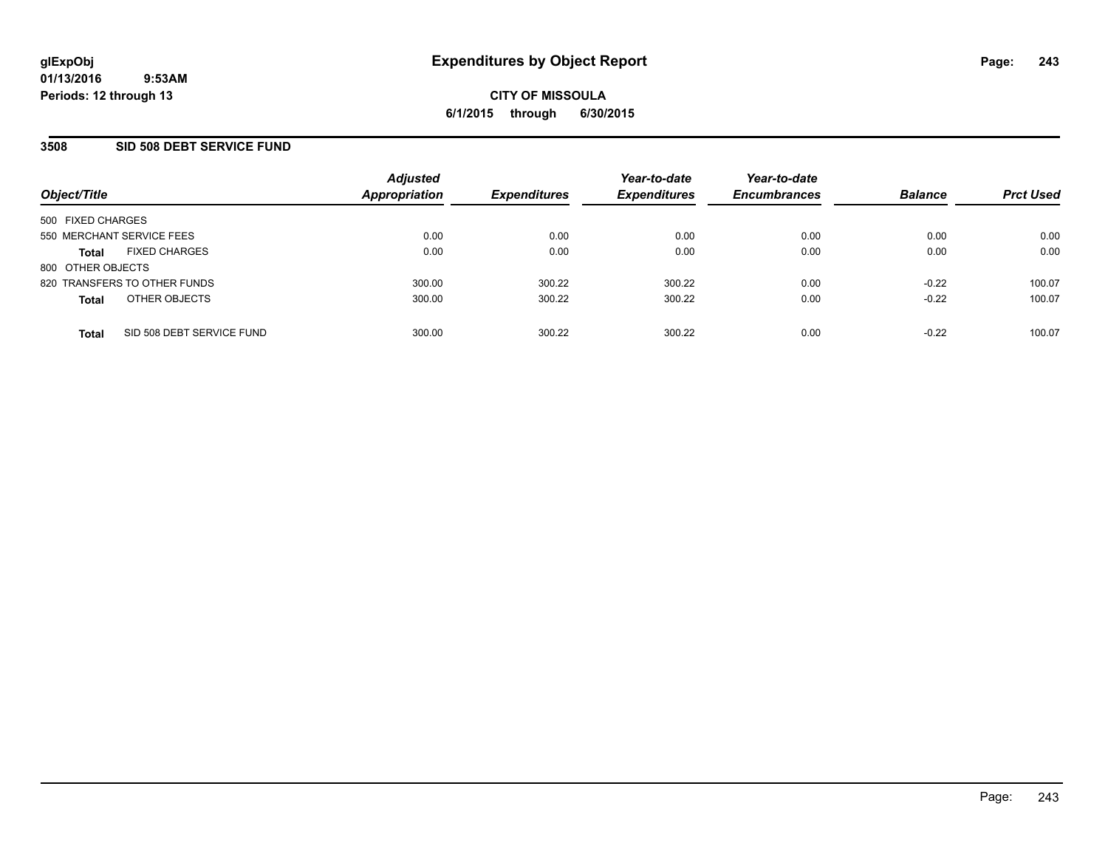## **3508 SID 508 DEBT SERVICE FUND**

| Object/Title              |                              | <b>Adjusted</b><br><b>Appropriation</b> | <b>Expenditures</b> | Year-to-date<br><b>Expenditures</b> | Year-to-date<br><b>Encumbrances</b> | <b>Balance</b> | <b>Prct Used</b> |
|---------------------------|------------------------------|-----------------------------------------|---------------------|-------------------------------------|-------------------------------------|----------------|------------------|
| 500 FIXED CHARGES         |                              |                                         |                     |                                     |                                     |                |                  |
| 550 MERCHANT SERVICE FEES |                              | 0.00                                    | 0.00                | 0.00                                | 0.00                                | 0.00           | 0.00             |
| <b>Total</b>              | <b>FIXED CHARGES</b>         | 0.00                                    | 0.00                | 0.00                                | 0.00                                | 0.00           | 0.00             |
| 800 OTHER OBJECTS         |                              |                                         |                     |                                     |                                     |                |                  |
|                           | 820 TRANSFERS TO OTHER FUNDS | 300.00                                  | 300.22              | 300.22                              | 0.00                                | $-0.22$        | 100.07           |
| <b>Total</b>              | OTHER OBJECTS                | 300.00                                  | 300.22              | 300.22                              | 0.00                                | $-0.22$        | 100.07           |
| <b>Total</b>              | SID 508 DEBT SERVICE FUND    | 300.00                                  | 300.22              | 300.22                              | 0.00                                | $-0.22$        | 100.07           |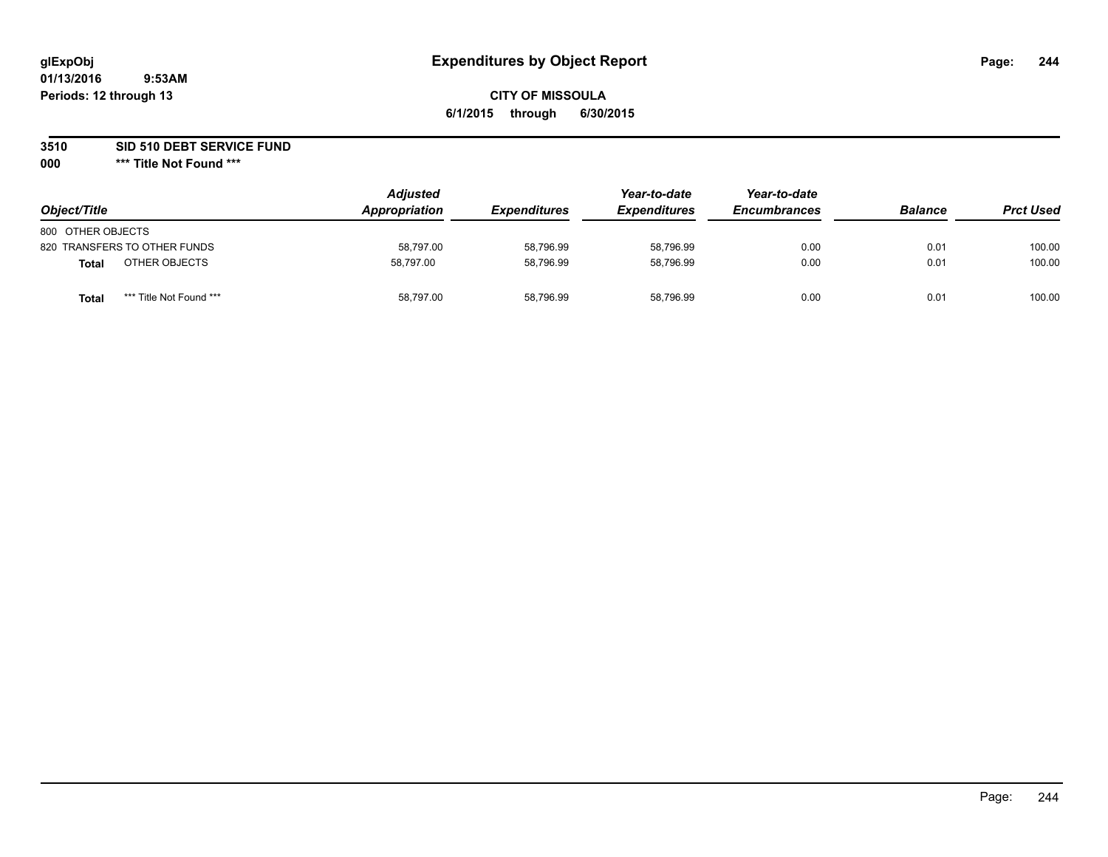## **CITY OF MISSOULA 6/1/2015 through 6/30/2015**

**3510 SID 510 DEBT SERVICE FUND**

| Object/Title                     | <b>Adjusted</b><br>Appropriation | <b>Expenditures</b> | Year-to-date<br><b>Expenditures</b> | Year-to-date<br><b>Encumbrances</b> | <b>Balance</b> | <b>Prct Used</b> |
|----------------------------------|----------------------------------|---------------------|-------------------------------------|-------------------------------------|----------------|------------------|
| 800 OTHER OBJECTS                |                                  |                     |                                     |                                     |                |                  |
| 820 TRANSFERS TO OTHER FUNDS     | 58.797.00                        | 58,796.99           | 58.796.99                           | 0.00                                | 0.01           | 100.00           |
| OTHER OBJECTS<br>Total           | 58,797.00                        | 58,796.99           | 58.796.99                           | 0.00                                | 0.01           | 100.00           |
| *** Title Not Found ***<br>Total | 58.797.00                        | 58,796.99           | 58.796.99                           | 0.00                                | 0.01           | 100.00           |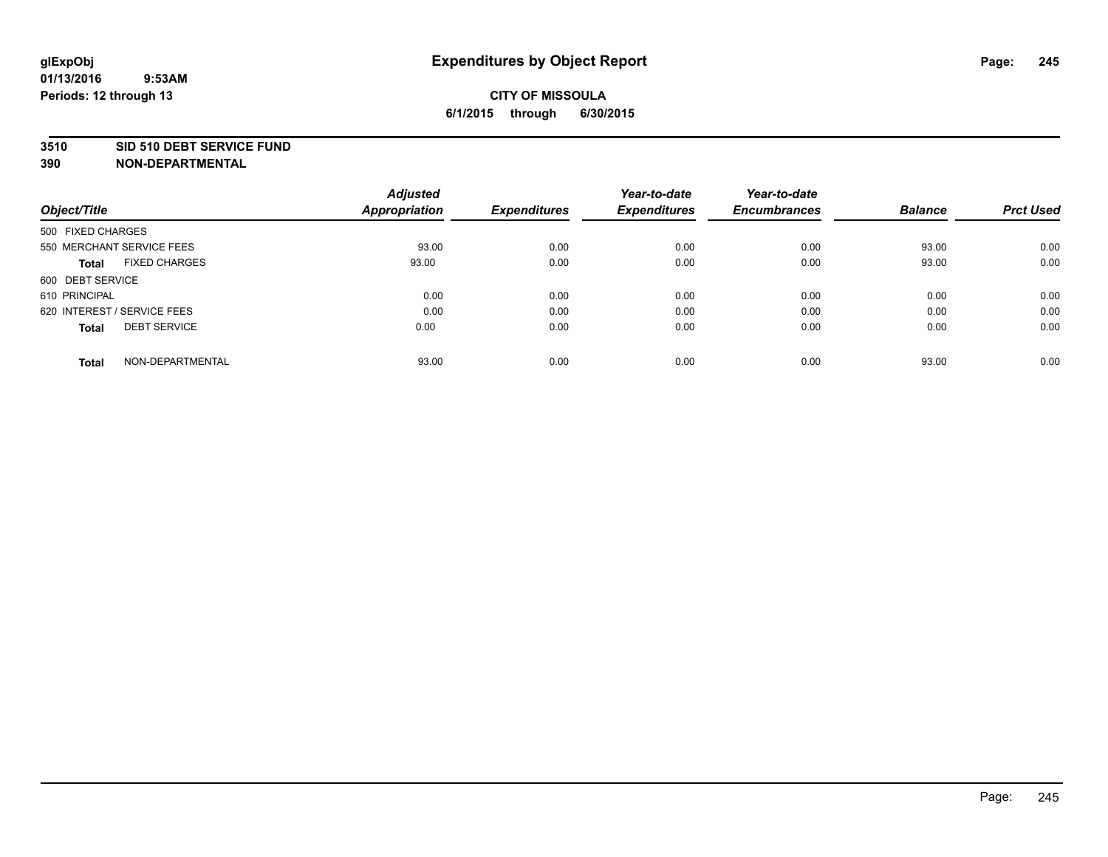#### **3510 SID 510 DEBT SERVICE FUND**

| Object/Title                         | <b>Adjusted</b><br><b>Appropriation</b> | <b>Expenditures</b> | Year-to-date<br><b>Expenditures</b> | Year-to-date<br><b>Encumbrances</b> | <b>Balance</b> | <b>Prct Used</b> |
|--------------------------------------|-----------------------------------------|---------------------|-------------------------------------|-------------------------------------|----------------|------------------|
|                                      |                                         |                     |                                     |                                     |                |                  |
| 500 FIXED CHARGES                    |                                         |                     |                                     |                                     |                |                  |
| 550 MERCHANT SERVICE FEES            | 93.00                                   | 0.00                | 0.00                                | 0.00                                | 93.00          | 0.00             |
| <b>FIXED CHARGES</b><br><b>Total</b> | 93.00                                   | 0.00                | 0.00                                | 0.00                                | 93.00          | 0.00             |
| 600 DEBT SERVICE                     |                                         |                     |                                     |                                     |                |                  |
| 610 PRINCIPAL                        | 0.00                                    | 0.00                | 0.00                                | 0.00                                | 0.00           | 0.00             |
| 620 INTEREST / SERVICE FEES          | 0.00                                    | 0.00                | 0.00                                | 0.00                                | 0.00           | 0.00             |
| <b>DEBT SERVICE</b><br>Total         | 0.00                                    | 0.00                | 0.00                                | 0.00                                | 0.00           | 0.00             |
|                                      |                                         |                     |                                     |                                     |                |                  |
| NON-DEPARTMENTAL<br><b>Total</b>     | 93.00                                   | 0.00                | 0.00                                | 0.00                                | 93.00          | 0.00             |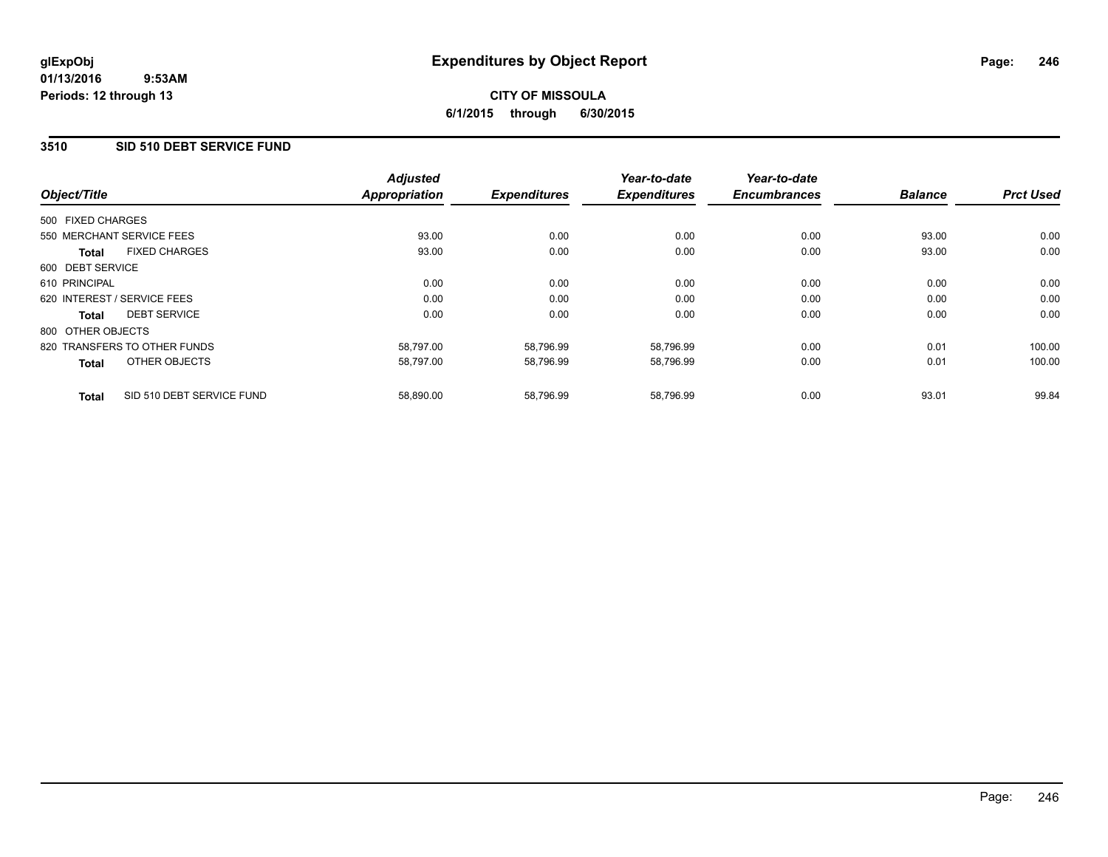## **3510 SID 510 DEBT SERVICE FUND**

| Object/Title      |                              | <b>Adjusted</b><br><b>Appropriation</b> | <b>Expenditures</b> | Year-to-date<br><b>Expenditures</b> | Year-to-date<br><b>Encumbrances</b> | <b>Balance</b> | <b>Prct Used</b> |
|-------------------|------------------------------|-----------------------------------------|---------------------|-------------------------------------|-------------------------------------|----------------|------------------|
|                   |                              |                                         |                     |                                     |                                     |                |                  |
| 500 FIXED CHARGES |                              |                                         |                     |                                     |                                     |                |                  |
|                   | 550 MERCHANT SERVICE FEES    | 93.00                                   | 0.00                | 0.00                                | 0.00                                | 93.00          | 0.00             |
| <b>Total</b>      | <b>FIXED CHARGES</b>         | 93.00                                   | 0.00                | 0.00                                | 0.00                                | 93.00          | 0.00             |
| 600 DEBT SERVICE  |                              |                                         |                     |                                     |                                     |                |                  |
| 610 PRINCIPAL     |                              | 0.00                                    | 0.00                | 0.00                                | 0.00                                | 0.00           | 0.00             |
|                   | 620 INTEREST / SERVICE FEES  | 0.00                                    | 0.00                | 0.00                                | 0.00                                | 0.00           | 0.00             |
| <b>Total</b>      | <b>DEBT SERVICE</b>          | 0.00                                    | 0.00                | 0.00                                | 0.00                                | 0.00           | 0.00             |
| 800 OTHER OBJECTS |                              |                                         |                     |                                     |                                     |                |                  |
|                   | 820 TRANSFERS TO OTHER FUNDS | 58,797.00                               | 58,796.99           | 58,796.99                           | 0.00                                | 0.01           | 100.00           |
| <b>Total</b>      | OTHER OBJECTS                | 58,797.00                               | 58,796.99           | 58,796.99                           | 0.00                                | 0.01           | 100.00           |
| <b>Total</b>      | SID 510 DEBT SERVICE FUND    | 58,890.00                               | 58,796.99           | 58,796.99                           | 0.00                                | 93.01          | 99.84            |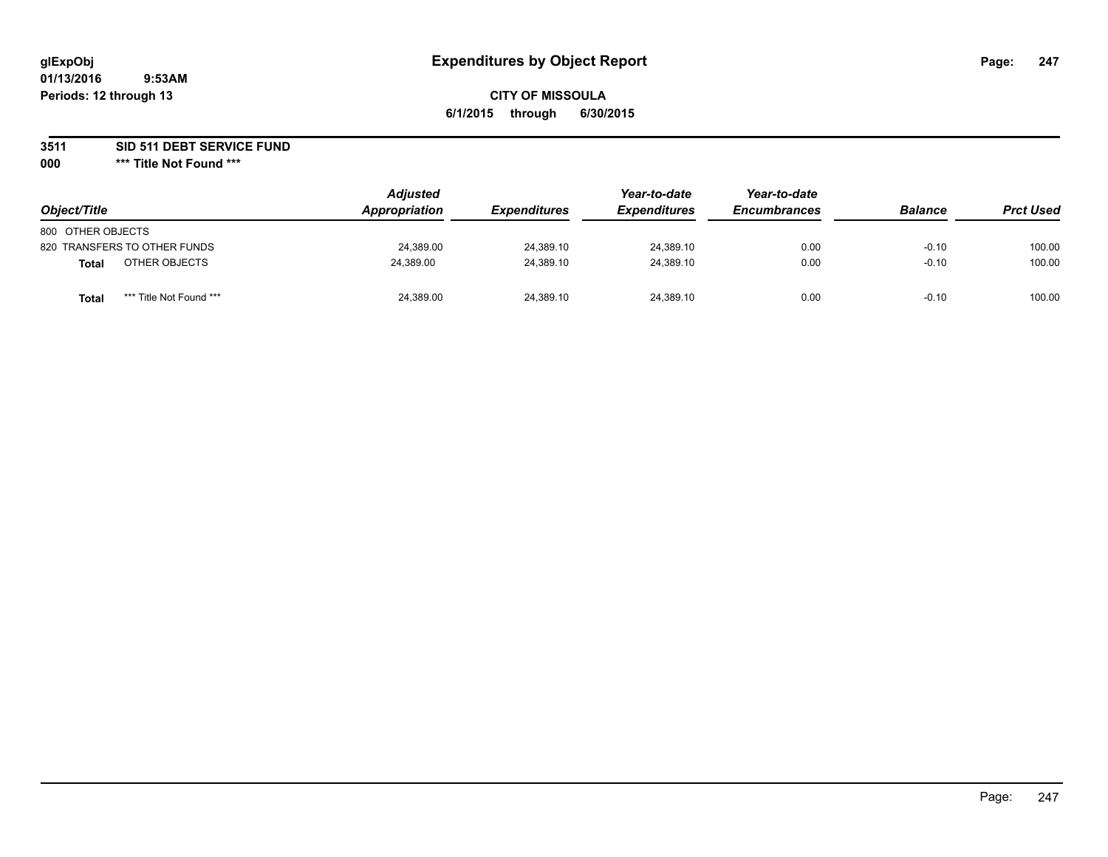## **CITY OF MISSOULA 6/1/2015 through 6/30/2015**

**3511 SID 511 DEBT SERVICE FUND**

| Object/Title                     | <b>Adjusted</b><br>Appropriation | <i><b>Expenditures</b></i> | Year-to-date<br><b>Expenditures</b> | Year-to-date<br><b>Encumbrances</b> | <b>Balance</b> | <b>Prct Used</b> |
|----------------------------------|----------------------------------|----------------------------|-------------------------------------|-------------------------------------|----------------|------------------|
| 800 OTHER OBJECTS                |                                  |                            |                                     |                                     |                |                  |
| 820 TRANSFERS TO OTHER FUNDS     | 24,389.00                        | 24,389.10                  | 24,389.10                           | 0.00                                | $-0.10$        | 100.00           |
| OTHER OBJECTS<br><b>Total</b>    | 24,389.00                        | 24,389.10                  | 24,389.10                           | 0.00                                | $-0.10$        | 100.00           |
| *** Title Not Found ***<br>Total | 24,389.00                        | 24,389.10                  | 24,389.10                           | 0.00                                | $-0.10$        | 100.00           |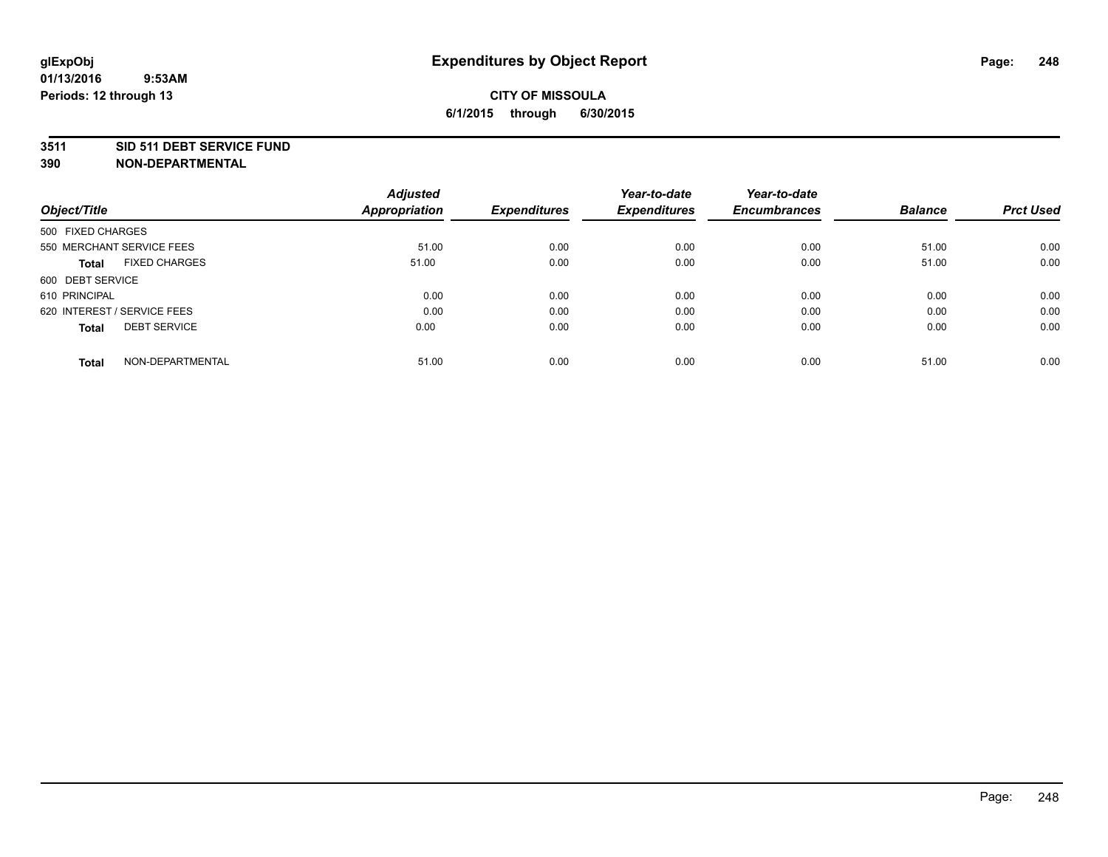#### **3511 SID 511 DEBT SERVICE FUND**

| Object/Title                         | <b>Adjusted</b><br><b>Appropriation</b> | <b>Expenditures</b> | Year-to-date<br><b>Expenditures</b> | Year-to-date<br><b>Encumbrances</b> | <b>Balance</b> | <b>Prct Used</b> |
|--------------------------------------|-----------------------------------------|---------------------|-------------------------------------|-------------------------------------|----------------|------------------|
|                                      |                                         |                     |                                     |                                     |                |                  |
| 500 FIXED CHARGES                    |                                         |                     |                                     |                                     |                |                  |
| 550 MERCHANT SERVICE FEES            | 51.00                                   | 0.00                | 0.00                                | 0.00                                | 51.00          | 0.00             |
| <b>FIXED CHARGES</b><br><b>Total</b> | 51.00                                   | 0.00                | 0.00                                | 0.00                                | 51.00          | 0.00             |
| 600 DEBT SERVICE                     |                                         |                     |                                     |                                     |                |                  |
| 610 PRINCIPAL                        | 0.00                                    | 0.00                | 0.00                                | 0.00                                | 0.00           | 0.00             |
| 620 INTEREST / SERVICE FEES          | 0.00                                    | 0.00                | 0.00                                | 0.00                                | 0.00           | 0.00             |
| <b>DEBT SERVICE</b><br>Total         | 0.00                                    | 0.00                | 0.00                                | 0.00                                | 0.00           | 0.00             |
| NON-DEPARTMENTAL<br><b>Total</b>     | 51.00                                   | 0.00                | 0.00                                | 0.00                                | 51.00          | 0.00             |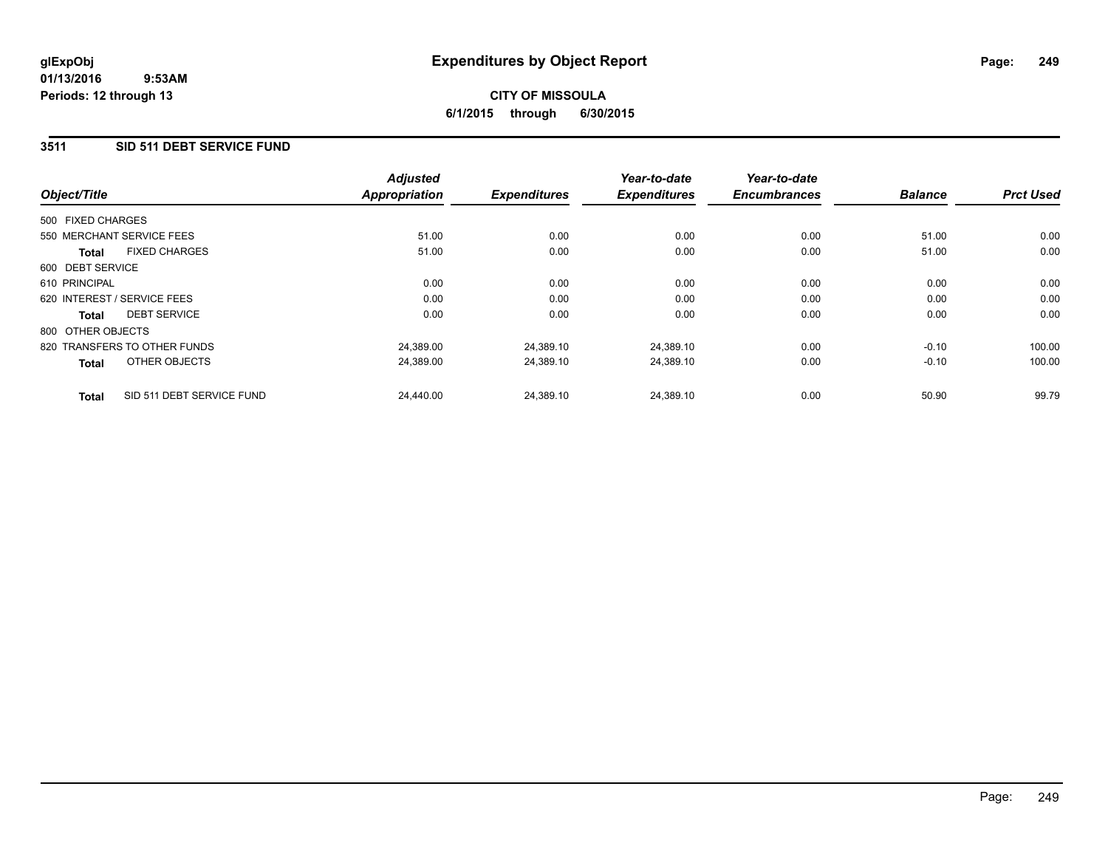## **CITY OF MISSOULA 6/1/2015 through 6/30/2015**

## **3511 SID 511 DEBT SERVICE FUND**

|                   |                              | <b>Adjusted</b>      |                     | Year-to-date        | Year-to-date        |                |                  |
|-------------------|------------------------------|----------------------|---------------------|---------------------|---------------------|----------------|------------------|
| Object/Title      |                              | <b>Appropriation</b> | <b>Expenditures</b> | <b>Expenditures</b> | <b>Encumbrances</b> | <b>Balance</b> | <b>Prct Used</b> |
| 500 FIXED CHARGES |                              |                      |                     |                     |                     |                |                  |
|                   | 550 MERCHANT SERVICE FEES    | 51.00                | 0.00                | 0.00                | 0.00                | 51.00          | 0.00             |
| Total             | <b>FIXED CHARGES</b>         | 51.00                | 0.00                | 0.00                | 0.00                | 51.00          | 0.00             |
| 600 DEBT SERVICE  |                              |                      |                     |                     |                     |                |                  |
| 610 PRINCIPAL     |                              | 0.00                 | 0.00                | 0.00                | 0.00                | 0.00           | 0.00             |
|                   | 620 INTEREST / SERVICE FEES  | 0.00                 | 0.00                | 0.00                | 0.00                | 0.00           | 0.00             |
| Total             | <b>DEBT SERVICE</b>          | 0.00                 | 0.00                | 0.00                | 0.00                | 0.00           | 0.00             |
| 800 OTHER OBJECTS |                              |                      |                     |                     |                     |                |                  |
|                   | 820 TRANSFERS TO OTHER FUNDS | 24,389.00            | 24,389.10           | 24,389.10           | 0.00                | $-0.10$        | 100.00           |
| <b>Total</b>      | OTHER OBJECTS                | 24.389.00            | 24,389.10           | 24,389.10           | 0.00                | $-0.10$        | 100.00           |
| <b>Total</b>      | SID 511 DEBT SERVICE FUND    | 24.440.00            | 24,389.10           | 24.389.10           | 0.00                | 50.90          | 99.79            |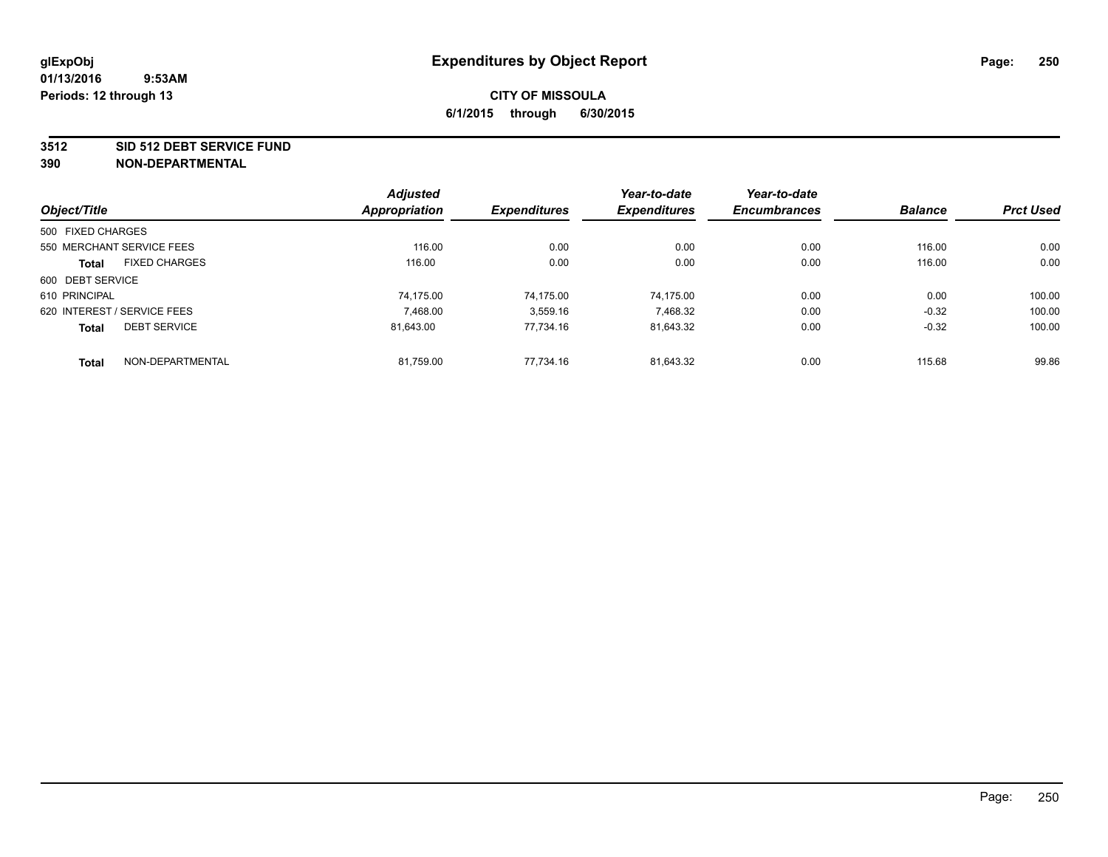#### **3512 SID 512 DEBT SERVICE FUND**

|                   |                             | <b>Adjusted</b> |                     | Year-to-date        | Year-to-date        |                |                  |
|-------------------|-----------------------------|-----------------|---------------------|---------------------|---------------------|----------------|------------------|
| Object/Title      |                             | Appropriation   | <b>Expenditures</b> | <b>Expenditures</b> | <b>Encumbrances</b> | <b>Balance</b> | <b>Prct Used</b> |
| 500 FIXED CHARGES |                             |                 |                     |                     |                     |                |                  |
|                   | 550 MERCHANT SERVICE FEES   | 116.00          | 0.00                | 0.00                | 0.00                | 116.00         | 0.00             |
| <b>Total</b>      | <b>FIXED CHARGES</b>        | 116.00          | 0.00                | 0.00                | 0.00                | 116.00         | 0.00             |
| 600 DEBT SERVICE  |                             |                 |                     |                     |                     |                |                  |
| 610 PRINCIPAL     |                             | 74.175.00       | 74.175.00           | 74.175.00           | 0.00                | 0.00           | 100.00           |
|                   | 620 INTEREST / SERVICE FEES | 7.468.00        | 3,559.16            | 7,468.32            | 0.00                | $-0.32$        | 100.00           |
| <b>Total</b>      | <b>DEBT SERVICE</b>         | 81.643.00       | 77.734.16           | 81,643.32           | 0.00                | $-0.32$        | 100.00           |
| <b>Total</b>      | NON-DEPARTMENTAL            | 81,759.00       | 77.734.16           | 81.643.32           | 0.00                | 115.68         | 99.86            |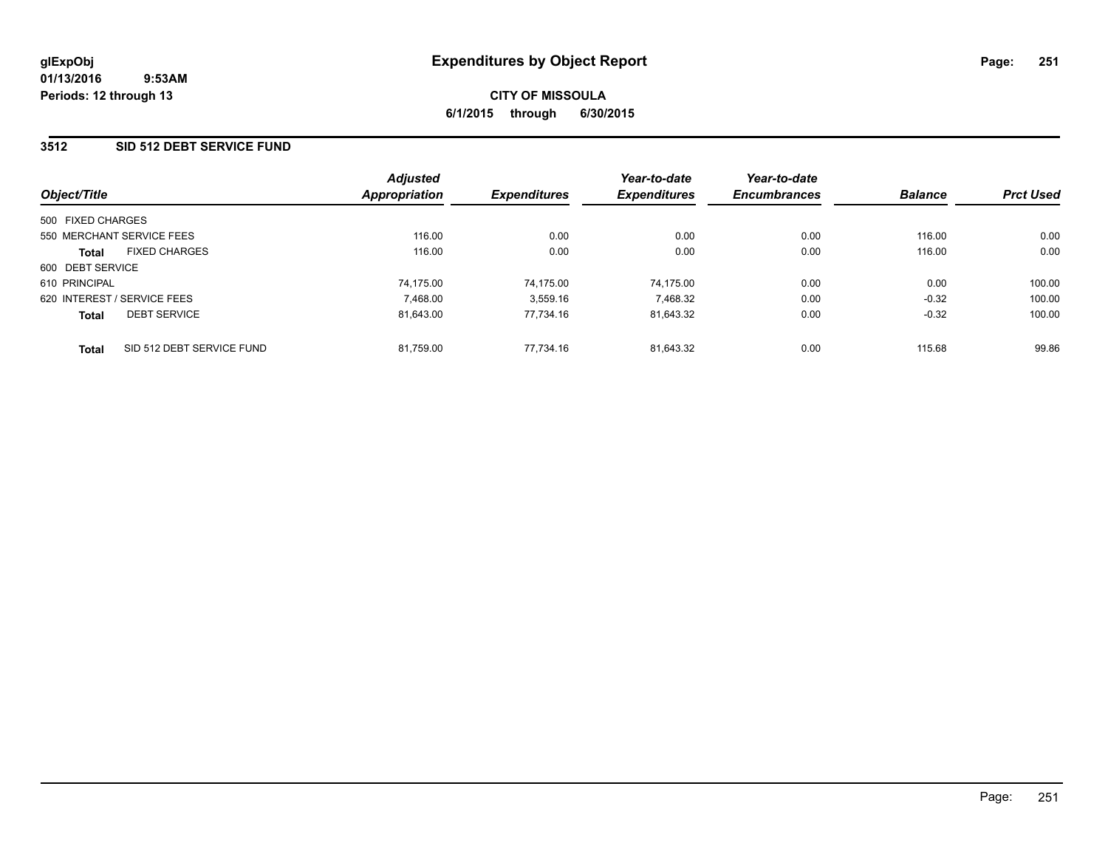## **3512 SID 512 DEBT SERVICE FUND**

|                             |                           | <b>Adjusted</b> |                     | Year-to-date        | Year-to-date        |                |                  |
|-----------------------------|---------------------------|-----------------|---------------------|---------------------|---------------------|----------------|------------------|
| Object/Title                |                           | Appropriation   | <b>Expenditures</b> | <b>Expenditures</b> | <b>Encumbrances</b> | <b>Balance</b> | <b>Prct Used</b> |
| 500 FIXED CHARGES           |                           |                 |                     |                     |                     |                |                  |
| 550 MERCHANT SERVICE FEES   |                           | 116.00          | 0.00                | 0.00                | 0.00                | 116.00         | 0.00             |
| <b>Total</b>                | <b>FIXED CHARGES</b>      | 116.00          | 0.00                | 0.00                | 0.00                | 116.00         | 0.00             |
| 600 DEBT SERVICE            |                           |                 |                     |                     |                     |                |                  |
| 610 PRINCIPAL               |                           | 74.175.00       | 74.175.00           | 74.175.00           | 0.00                | 0.00           | 100.00           |
| 620 INTEREST / SERVICE FEES |                           | 7.468.00        | 3,559.16            | 7.468.32            | 0.00                | $-0.32$        | 100.00           |
| <b>Total</b>                | <b>DEBT SERVICE</b>       | 81.643.00       | 77.734.16           | 81.643.32           | 0.00                | $-0.32$        | 100.00           |
| <b>Total</b>                | SID 512 DEBT SERVICE FUND | 81.759.00       | 77.734.16           | 81.643.32           | 0.00                | 115.68         | 99.86            |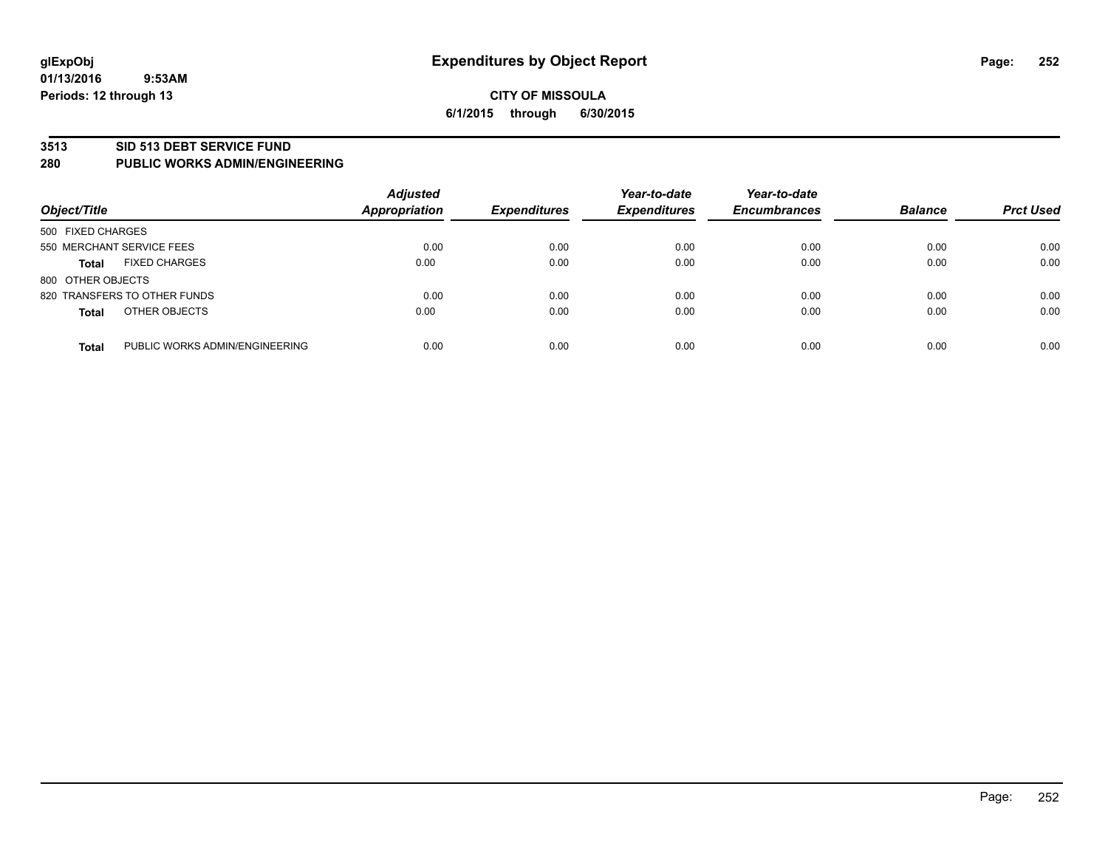#### **3513 SID 513 DEBT SERVICE FUND**

#### **280 PUBLIC WORKS ADMIN/ENGINEERING**

| Object/Title                 |                                | <b>Adjusted</b><br><b>Appropriation</b> | <b>Expenditures</b> | Year-to-date<br><b>Expenditures</b> | Year-to-date<br><b>Encumbrances</b> | <b>Balance</b> | <b>Prct Used</b> |
|------------------------------|--------------------------------|-----------------------------------------|---------------------|-------------------------------------|-------------------------------------|----------------|------------------|
| 500 FIXED CHARGES            |                                |                                         |                     |                                     |                                     |                |                  |
| 550 MERCHANT SERVICE FEES    |                                | 0.00                                    | 0.00                | 0.00                                | 0.00                                | 0.00           | 0.00             |
| <b>Total</b>                 | <b>FIXED CHARGES</b>           | 0.00                                    | 0.00                | 0.00                                | 0.00                                | 0.00           | 0.00             |
| 800 OTHER OBJECTS            |                                |                                         |                     |                                     |                                     |                |                  |
| 820 TRANSFERS TO OTHER FUNDS |                                | 0.00                                    | 0.00                | 0.00                                | 0.00                                | 0.00           | 0.00             |
| <b>Total</b>                 | OTHER OBJECTS                  | 0.00                                    | 0.00                | 0.00                                | 0.00                                | 0.00           | 0.00             |
| <b>Total</b>                 | PUBLIC WORKS ADMIN/ENGINEERING | 0.00                                    | 0.00                | 0.00                                | 0.00                                | 0.00           | 0.00             |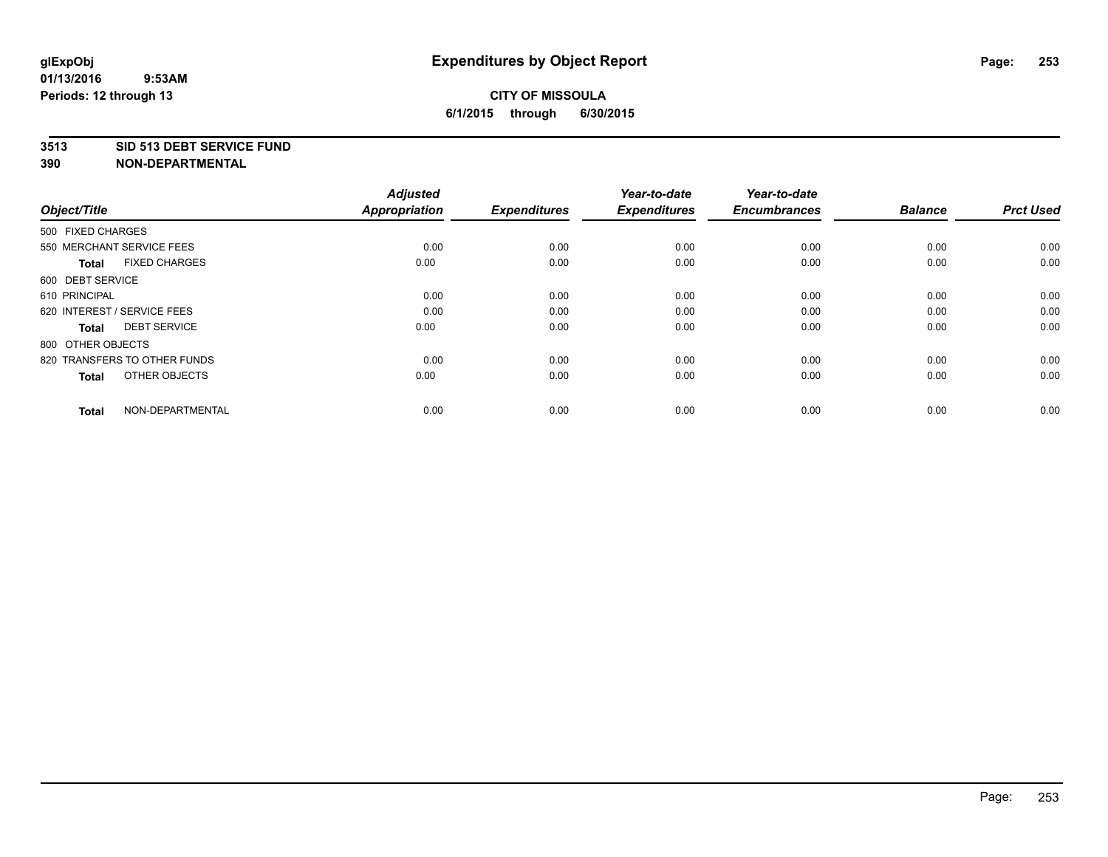#### **3513 SID 513 DEBT SERVICE FUND**

| Object/Title                         | <b>Adjusted</b><br><b>Appropriation</b> | <b>Expenditures</b> | Year-to-date<br><b>Expenditures</b> | Year-to-date<br><b>Encumbrances</b> | <b>Balance</b> | <b>Prct Used</b> |
|--------------------------------------|-----------------------------------------|---------------------|-------------------------------------|-------------------------------------|----------------|------------------|
| 500 FIXED CHARGES                    |                                         |                     |                                     |                                     |                |                  |
| 550 MERCHANT SERVICE FEES            | 0.00                                    | 0.00                | 0.00                                | 0.00                                | 0.00           | 0.00             |
| <b>FIXED CHARGES</b><br><b>Total</b> | 0.00                                    | 0.00                | 0.00                                | 0.00                                | 0.00           | 0.00             |
| 600 DEBT SERVICE                     |                                         |                     |                                     |                                     |                |                  |
| 610 PRINCIPAL                        | 0.00                                    | 0.00                | 0.00                                | 0.00                                | 0.00           | 0.00             |
| 620 INTEREST / SERVICE FEES          | 0.00                                    | 0.00                | 0.00                                | 0.00                                | 0.00           | 0.00             |
| <b>DEBT SERVICE</b><br><b>Total</b>  | 0.00                                    | 0.00                | 0.00                                | 0.00                                | 0.00           | 0.00             |
| 800 OTHER OBJECTS                    |                                         |                     |                                     |                                     |                |                  |
| 820 TRANSFERS TO OTHER FUNDS         | 0.00                                    | 0.00                | 0.00                                | 0.00                                | 0.00           | 0.00             |
| OTHER OBJECTS<br><b>Total</b>        | 0.00                                    | 0.00                | 0.00                                | 0.00                                | 0.00           | 0.00             |
|                                      |                                         |                     |                                     |                                     |                |                  |
| NON-DEPARTMENTAL<br><b>Total</b>     | 0.00                                    | 0.00                | 0.00                                | 0.00                                | 0.00           | 0.00             |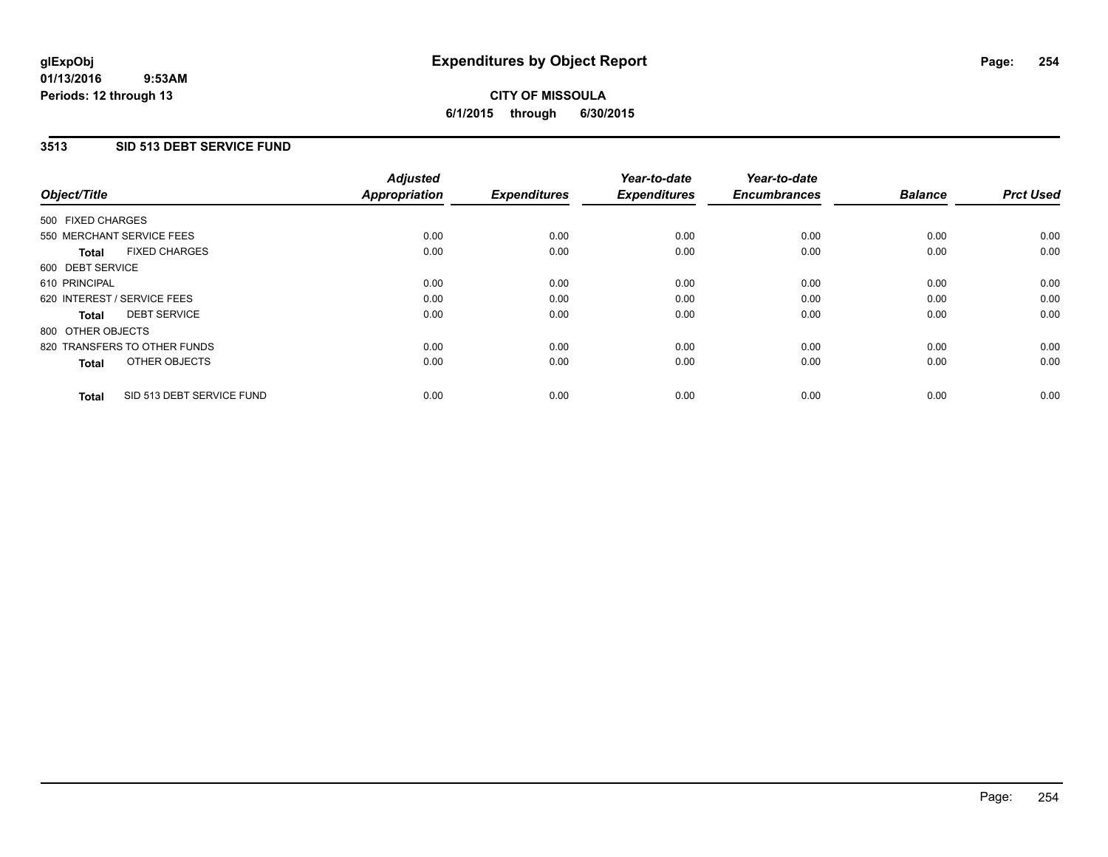### **3513 SID 513 DEBT SERVICE FUND**

| Object/Title      |                              | <b>Adjusted</b><br>Appropriation | <b>Expenditures</b> | Year-to-date<br><b>Expenditures</b> | Year-to-date<br><b>Encumbrances</b> | <b>Balance</b> | <b>Prct Used</b> |
|-------------------|------------------------------|----------------------------------|---------------------|-------------------------------------|-------------------------------------|----------------|------------------|
| 500 FIXED CHARGES |                              |                                  |                     |                                     |                                     |                |                  |
|                   | 550 MERCHANT SERVICE FEES    | 0.00                             | 0.00                | 0.00                                | 0.00                                | 0.00           | 0.00             |
| <b>Total</b>      | <b>FIXED CHARGES</b>         | 0.00                             | 0.00                | 0.00                                | 0.00                                | 0.00           | 0.00             |
| 600 DEBT SERVICE  |                              |                                  |                     |                                     |                                     |                |                  |
| 610 PRINCIPAL     |                              | 0.00                             | 0.00                | 0.00                                | 0.00                                | 0.00           | 0.00             |
|                   | 620 INTEREST / SERVICE FEES  | 0.00                             | 0.00                | 0.00                                | 0.00                                | 0.00           | 0.00             |
| Total             | <b>DEBT SERVICE</b>          | 0.00                             | 0.00                | 0.00                                | 0.00                                | 0.00           | 0.00             |
| 800 OTHER OBJECTS |                              |                                  |                     |                                     |                                     |                |                  |
|                   | 820 TRANSFERS TO OTHER FUNDS | 0.00                             | 0.00                | 0.00                                | 0.00                                | 0.00           | 0.00             |
| <b>Total</b>      | OTHER OBJECTS                | 0.00                             | 0.00                | 0.00                                | 0.00                                | 0.00           | 0.00             |
| <b>Total</b>      | SID 513 DEBT SERVICE FUND    | 0.00                             | 0.00                | 0.00                                | 0.00                                | 0.00           | 0.00             |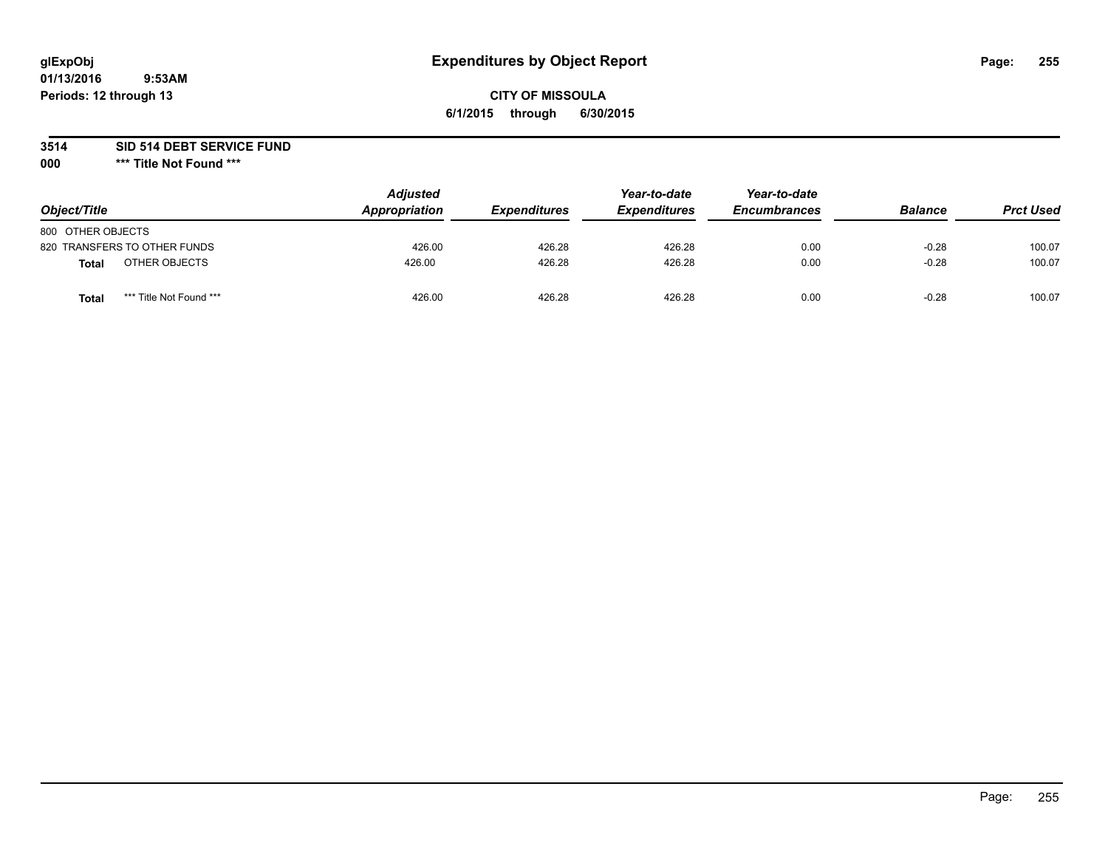#### **01/13/2016 9:53AM Periods: 12 through 13**

### **CITY OF MISSOULA 6/1/2015 through 6/30/2015**

### **3514 SID 514 DEBT SERVICE FUND**

**000 \*\*\* Title Not Found \*\*\***

| Object/Title                     | <b>Adjusted</b><br>Appropriation | <b>Expenditures</b> | Year-to-date<br><b>Expenditures</b> | Year-to-date<br><b>Encumbrances</b> | <b>Balance</b> | <b>Prct Used</b> |
|----------------------------------|----------------------------------|---------------------|-------------------------------------|-------------------------------------|----------------|------------------|
| 800 OTHER OBJECTS                |                                  |                     |                                     |                                     |                |                  |
| 820 TRANSFERS TO OTHER FUNDS     | 426.00                           | 426.28              | 426.28                              | 0.00                                | $-0.28$        | 100.07           |
| OTHER OBJECTS<br>Total           | 426.00                           | 426.28              | 426.28                              | 0.00                                | $-0.28$        | 100.07           |
| *** Title Not Found ***<br>Total | 426.00                           | 426.28              | 426.28                              | 0.00                                | $-0.28$        | 100.07           |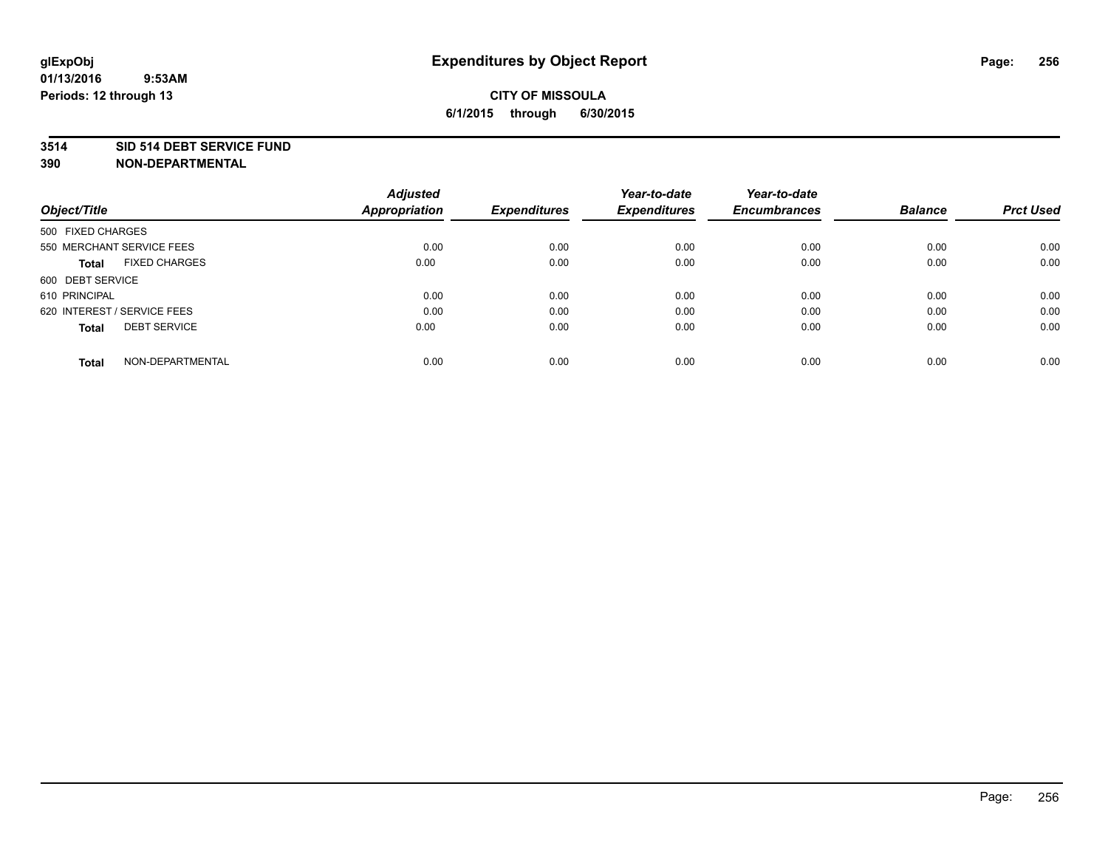#### **3514 SID 514 DEBT SERVICE FUND**

| Object/Title                        | <b>Adjusted</b><br><b>Appropriation</b> | <b>Expenditures</b> | Year-to-date<br><b>Expenditures</b> | Year-to-date<br><b>Encumbrances</b> | <b>Balance</b> | <b>Prct Used</b> |
|-------------------------------------|-----------------------------------------|---------------------|-------------------------------------|-------------------------------------|----------------|------------------|
|                                     |                                         |                     |                                     |                                     |                |                  |
| 500 FIXED CHARGES                   |                                         |                     |                                     |                                     |                |                  |
| 550 MERCHANT SERVICE FEES           | 0.00                                    | 0.00                | 0.00                                | 0.00                                | 0.00           | 0.00             |
| <b>FIXED CHARGES</b><br>Total       | 0.00                                    | 0.00                | 0.00                                | 0.00                                | 0.00           | 0.00             |
| 600 DEBT SERVICE                    |                                         |                     |                                     |                                     |                |                  |
| 610 PRINCIPAL                       | 0.00                                    | 0.00                | 0.00                                | 0.00                                | 0.00           | 0.00             |
| 620 INTEREST / SERVICE FEES         | 0.00                                    | 0.00                | 0.00                                | 0.00                                | 0.00           | 0.00             |
| <b>DEBT SERVICE</b><br><b>Total</b> | 0.00                                    | 0.00                | 0.00                                | 0.00                                | 0.00           | 0.00             |
| NON-DEPARTMENTAL<br><b>Total</b>    | 0.00                                    | 0.00                | 0.00                                | 0.00                                | 0.00           | 0.00             |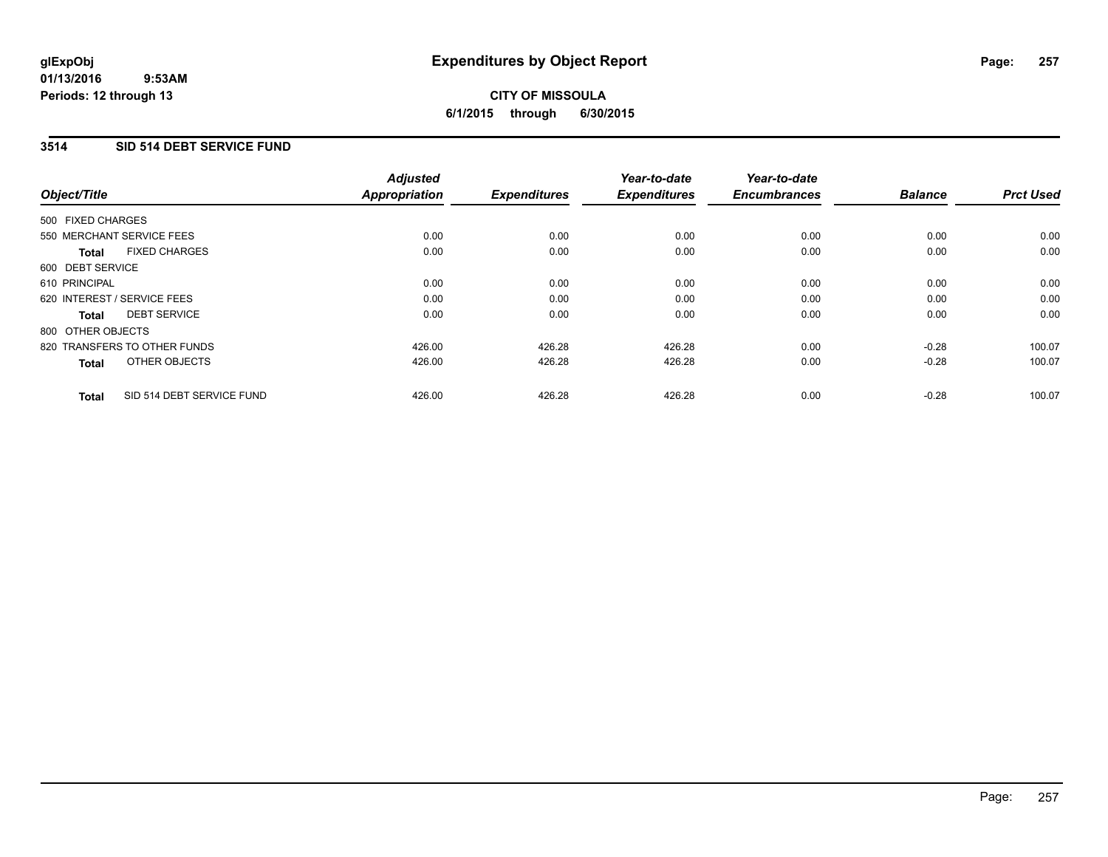#### **01/13/2016 9:53AM Periods: 12 through 13**

# **CITY OF MISSOULA 6/1/2015 through 6/30/2015**

### **3514 SID 514 DEBT SERVICE FUND**

| Object/Title                              | <b>Adjusted</b><br><b>Appropriation</b> | <b>Expenditures</b> | Year-to-date<br><b>Expenditures</b> | Year-to-date<br><b>Encumbrances</b> | <b>Balance</b> | <b>Prct Used</b> |
|-------------------------------------------|-----------------------------------------|---------------------|-------------------------------------|-------------------------------------|----------------|------------------|
|                                           |                                         |                     |                                     |                                     |                |                  |
| 500 FIXED CHARGES                         |                                         |                     |                                     |                                     |                |                  |
| 550 MERCHANT SERVICE FEES                 | 0.00                                    | 0.00                | 0.00                                | 0.00                                | 0.00           | 0.00             |
| <b>FIXED CHARGES</b><br><b>Total</b>      | 0.00                                    | 0.00                | 0.00                                | 0.00                                | 0.00           | 0.00             |
| 600 DEBT SERVICE                          |                                         |                     |                                     |                                     |                |                  |
| 610 PRINCIPAL                             | 0.00                                    | 0.00                | 0.00                                | 0.00                                | 0.00           | 0.00             |
| 620 INTEREST / SERVICE FEES               | 0.00                                    | 0.00                | 0.00                                | 0.00                                | 0.00           | 0.00             |
| <b>DEBT SERVICE</b><br>Total              | 0.00                                    | 0.00                | 0.00                                | 0.00                                | 0.00           | 0.00             |
| 800 OTHER OBJECTS                         |                                         |                     |                                     |                                     |                |                  |
| 820 TRANSFERS TO OTHER FUNDS              | 426.00                                  | 426.28              | 426.28                              | 0.00                                | $-0.28$        | 100.07           |
| OTHER OBJECTS<br><b>Total</b>             | 426.00                                  | 426.28              | 426.28                              | 0.00                                | $-0.28$        | 100.07           |
| SID 514 DEBT SERVICE FUND<br><b>Total</b> | 426.00                                  | 426.28              | 426.28                              | 0.00                                | $-0.28$        | 100.07           |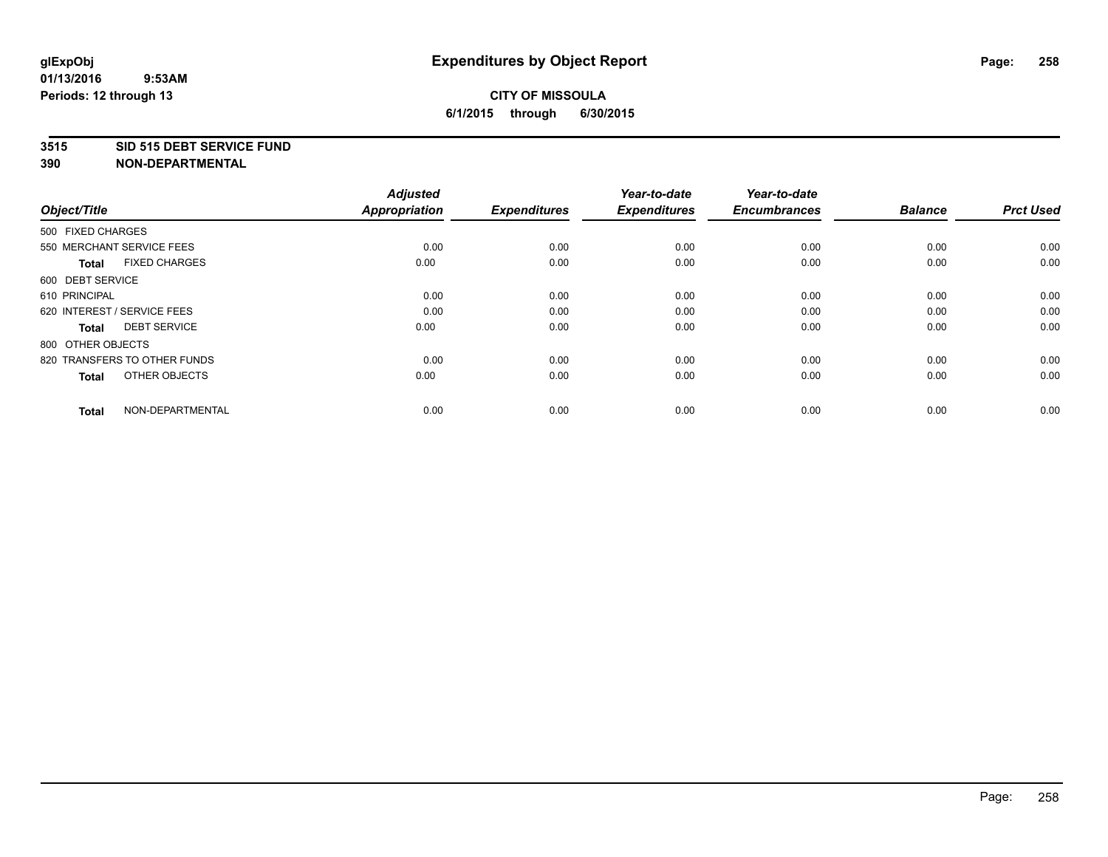#### **3515 SID 515 DEBT SERVICE FUND**

| Object/Title                         | <b>Adjusted</b><br><b>Appropriation</b> | <b>Expenditures</b> | Year-to-date<br><b>Expenditures</b> | Year-to-date<br><b>Encumbrances</b> | <b>Balance</b> | <b>Prct Used</b> |
|--------------------------------------|-----------------------------------------|---------------------|-------------------------------------|-------------------------------------|----------------|------------------|
| 500 FIXED CHARGES                    |                                         |                     |                                     |                                     |                |                  |
| 550 MERCHANT SERVICE FEES            | 0.00                                    | 0.00                | 0.00                                | 0.00                                | 0.00           | 0.00             |
| <b>FIXED CHARGES</b><br><b>Total</b> | 0.00                                    | 0.00                | 0.00                                | 0.00                                | 0.00           | 0.00             |
| 600 DEBT SERVICE                     |                                         |                     |                                     |                                     |                |                  |
| 610 PRINCIPAL                        | 0.00                                    | 0.00                | 0.00                                | 0.00                                | 0.00           | 0.00             |
| 620 INTEREST / SERVICE FEES          | 0.00                                    | 0.00                | 0.00                                | 0.00                                | 0.00           | 0.00             |
| <b>DEBT SERVICE</b><br><b>Total</b>  | 0.00                                    | 0.00                | 0.00                                | 0.00                                | 0.00           | 0.00             |
| 800 OTHER OBJECTS                    |                                         |                     |                                     |                                     |                |                  |
| 820 TRANSFERS TO OTHER FUNDS         | 0.00                                    | 0.00                | 0.00                                | 0.00                                | 0.00           | 0.00             |
| OTHER OBJECTS<br><b>Total</b>        | 0.00                                    | 0.00                | 0.00                                | 0.00                                | 0.00           | 0.00             |
|                                      |                                         |                     |                                     |                                     |                |                  |
| NON-DEPARTMENTAL<br><b>Total</b>     | 0.00                                    | 0.00                | 0.00                                | 0.00                                | 0.00           | 0.00             |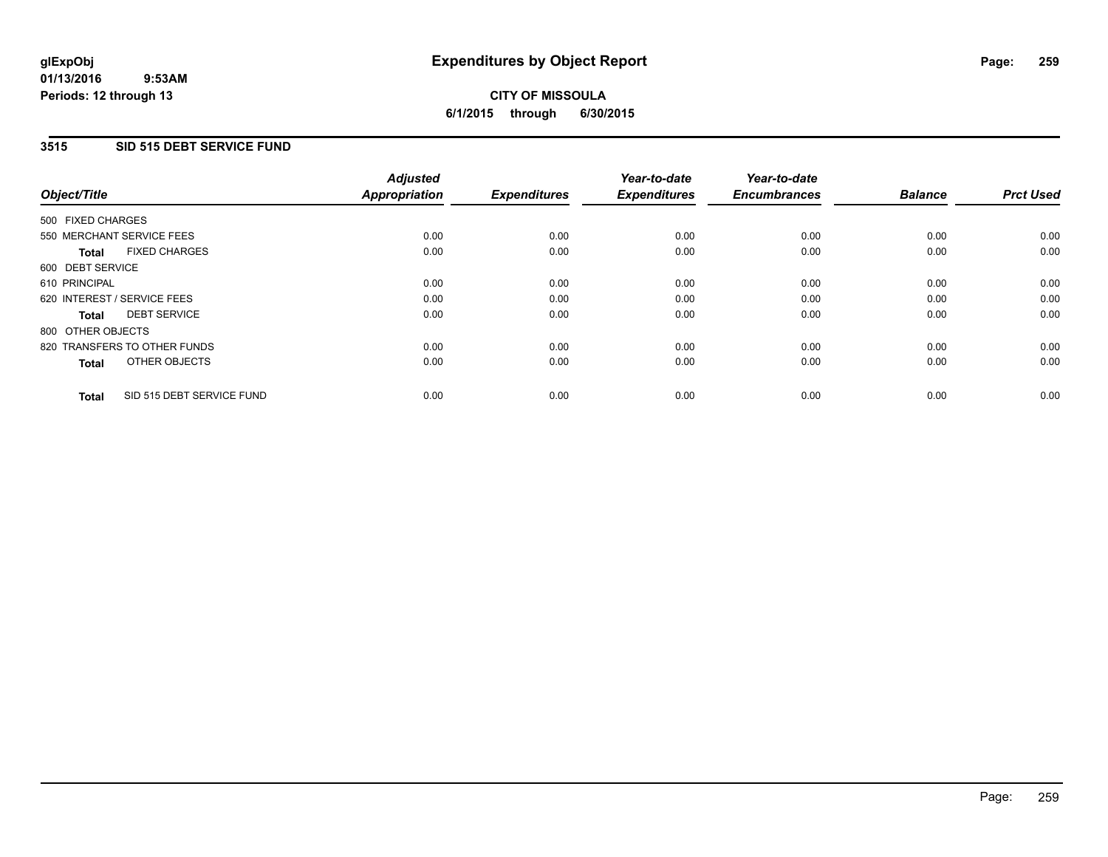### **3515 SID 515 DEBT SERVICE FUND**

|                                           | <b>Adjusted</b>      |                     | Year-to-date        | Year-to-date        |                |                  |
|-------------------------------------------|----------------------|---------------------|---------------------|---------------------|----------------|------------------|
| Object/Title                              | <b>Appropriation</b> | <b>Expenditures</b> | <b>Expenditures</b> | <b>Encumbrances</b> | <b>Balance</b> | <b>Prct Used</b> |
| 500 FIXED CHARGES                         |                      |                     |                     |                     |                |                  |
| 550 MERCHANT SERVICE FEES                 | 0.00                 | 0.00                | 0.00                | 0.00                | 0.00           | 0.00             |
| <b>FIXED CHARGES</b><br>Total             | 0.00                 | 0.00                | 0.00                | 0.00                | 0.00           | 0.00             |
| 600 DEBT SERVICE                          |                      |                     |                     |                     |                |                  |
| 610 PRINCIPAL                             | 0.00                 | 0.00                | 0.00                | 0.00                | 0.00           | 0.00             |
| 620 INTEREST / SERVICE FEES               | 0.00                 | 0.00                | 0.00                | 0.00                | 0.00           | 0.00             |
| <b>DEBT SERVICE</b><br>Total              | 0.00                 | 0.00                | 0.00                | 0.00                | 0.00           | 0.00             |
| 800 OTHER OBJECTS                         |                      |                     |                     |                     |                |                  |
| 820 TRANSFERS TO OTHER FUNDS              | 0.00                 | 0.00                | 0.00                | 0.00                | 0.00           | 0.00             |
| OTHER OBJECTS<br><b>Total</b>             | 0.00                 | 0.00                | 0.00                | 0.00                | 0.00           | 0.00             |
| SID 515 DEBT SERVICE FUND<br><b>Total</b> | 0.00                 | 0.00                | 0.00                | 0.00                | 0.00           | 0.00             |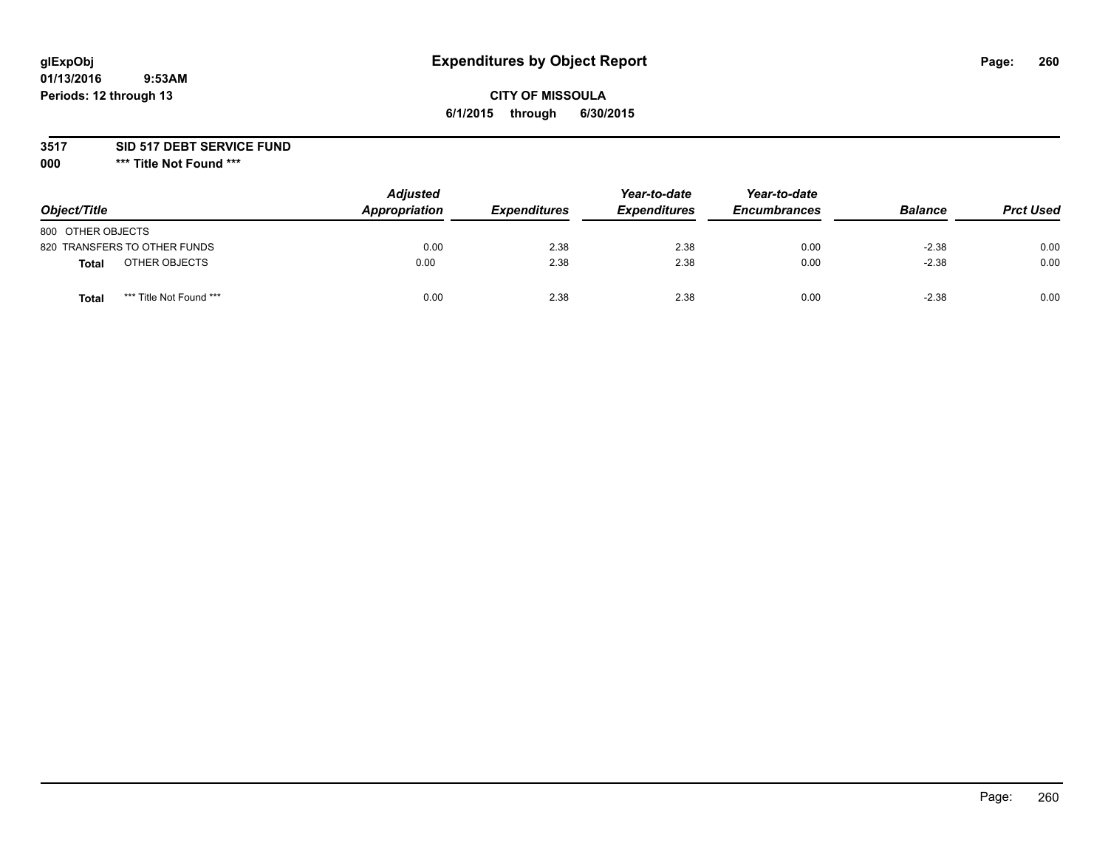# **glExpObj Expenditures by Object Report Page: 260**

## **CITY OF MISSOULA 6/1/2015 through 6/30/2015**

### **3517 SID 517 DEBT SERVICE FUND**

**000 \*\*\* Title Not Found \*\*\***

| Object/Title                     | <b>Adjusted</b><br>Appropriation | <b>Expenditures</b> | Year-to-date<br><b>Expenditures</b> | Year-to-date<br><b>Encumbrances</b> | <b>Balance</b> | <b>Prct Used</b> |
|----------------------------------|----------------------------------|---------------------|-------------------------------------|-------------------------------------|----------------|------------------|
| 800 OTHER OBJECTS                |                                  |                     |                                     |                                     |                |                  |
| 820 TRANSFERS TO OTHER FUNDS     | 0.00                             | 2.38                | 2.38                                | 0.00                                | $-2.38$        | 0.00             |
| OTHER OBJECTS<br><b>Total</b>    | 0.00                             | 2.38                | 2.38                                | 0.00                                | $-2.38$        | 0.00             |
| *** Title Not Found ***<br>Total | 0.00                             | 2.38                | 2.38                                | 0.00                                | $-2.38$        | 0.00             |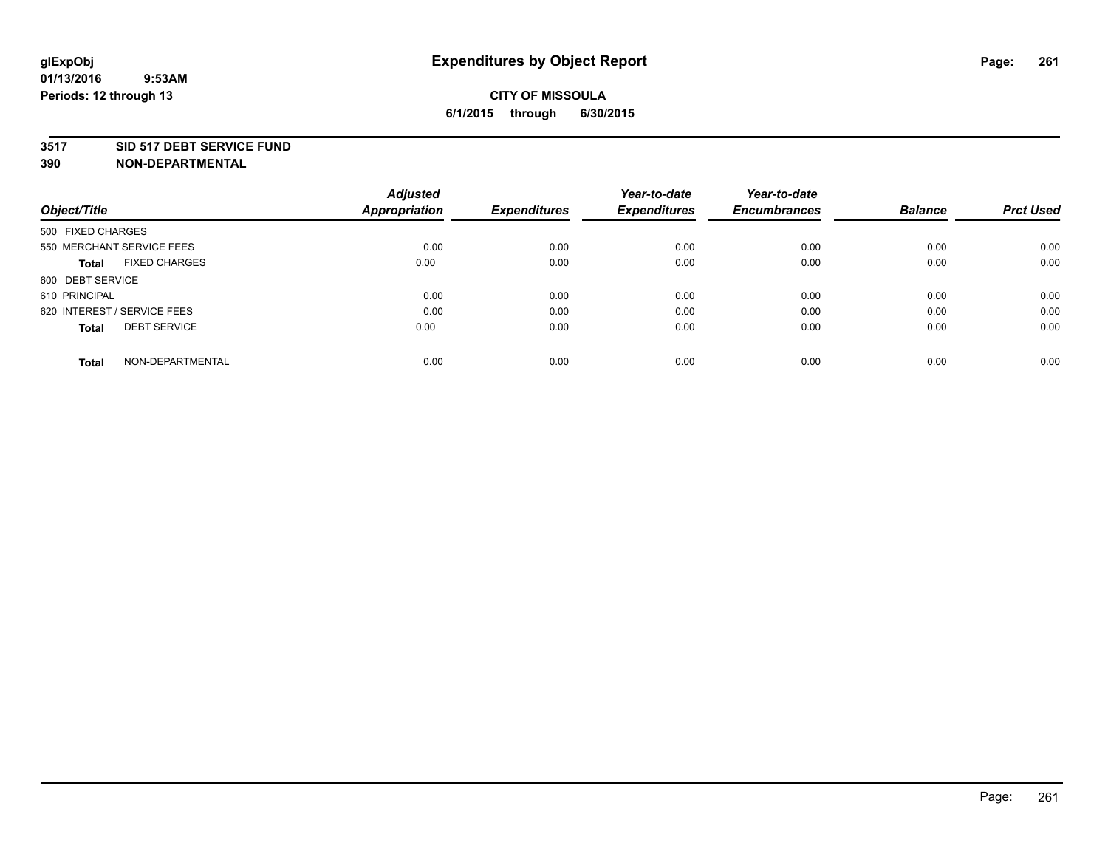#### **3517 SID 517 DEBT SERVICE FUND**

| Object/Title                        | <b>Adjusted</b><br><b>Appropriation</b> | <b>Expenditures</b> | Year-to-date<br><b>Expenditures</b> | Year-to-date<br><b>Encumbrances</b> | <b>Balance</b> | <b>Prct Used</b> |
|-------------------------------------|-----------------------------------------|---------------------|-------------------------------------|-------------------------------------|----------------|------------------|
|                                     |                                         |                     |                                     |                                     |                |                  |
| 500 FIXED CHARGES                   |                                         |                     |                                     |                                     |                |                  |
| 550 MERCHANT SERVICE FEES           | 0.00                                    | 0.00                | 0.00                                | 0.00                                | 0.00           | 0.00             |
| <b>FIXED CHARGES</b><br>Total       | 0.00                                    | 0.00                | 0.00                                | 0.00                                | 0.00           | 0.00             |
| 600 DEBT SERVICE                    |                                         |                     |                                     |                                     |                |                  |
| 610 PRINCIPAL                       | 0.00                                    | 0.00                | 0.00                                | 0.00                                | 0.00           | 0.00             |
| 620 INTEREST / SERVICE FEES         | 0.00                                    | 0.00                | 0.00                                | 0.00                                | 0.00           | 0.00             |
| <b>DEBT SERVICE</b><br><b>Total</b> | 0.00                                    | 0.00                | 0.00                                | 0.00                                | 0.00           | 0.00             |
| NON-DEPARTMENTAL<br><b>Total</b>    | 0.00                                    | 0.00                | 0.00                                | 0.00                                | 0.00           | 0.00             |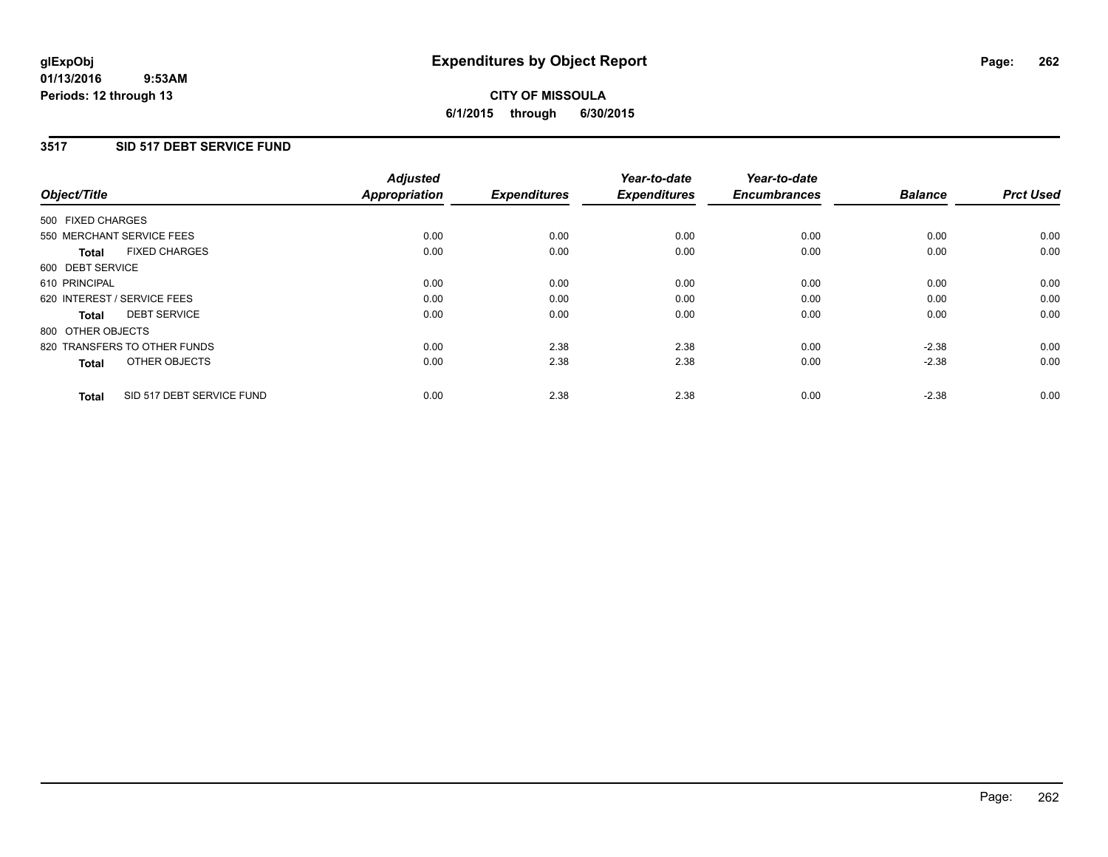### **3517 SID 517 DEBT SERVICE FUND**

| Object/Title      |                              | <b>Adjusted</b><br>Appropriation | <b>Expenditures</b> | Year-to-date<br><b>Expenditures</b> | Year-to-date<br><b>Encumbrances</b> | <b>Balance</b> | <b>Prct Used</b> |
|-------------------|------------------------------|----------------------------------|---------------------|-------------------------------------|-------------------------------------|----------------|------------------|
| 500 FIXED CHARGES |                              |                                  |                     |                                     |                                     |                |                  |
|                   | 550 MERCHANT SERVICE FEES    | 0.00                             | 0.00                | 0.00                                | 0.00                                | 0.00           | 0.00             |
| <b>Total</b>      | <b>FIXED CHARGES</b>         | 0.00                             | 0.00                | 0.00                                | 0.00                                | 0.00           | 0.00             |
| 600 DEBT SERVICE  |                              |                                  |                     |                                     |                                     |                |                  |
| 610 PRINCIPAL     |                              | 0.00                             | 0.00                | 0.00                                | 0.00                                | 0.00           | 0.00             |
|                   | 620 INTEREST / SERVICE FEES  | 0.00                             | 0.00                | 0.00                                | 0.00                                | 0.00           | 0.00             |
| Total             | <b>DEBT SERVICE</b>          | 0.00                             | 0.00                | 0.00                                | 0.00                                | 0.00           | 0.00             |
| 800 OTHER OBJECTS |                              |                                  |                     |                                     |                                     |                |                  |
|                   | 820 TRANSFERS TO OTHER FUNDS | 0.00                             | 2.38                | 2.38                                | 0.00                                | $-2.38$        | 0.00             |
| <b>Total</b>      | OTHER OBJECTS                | 0.00                             | 2.38                | 2.38                                | 0.00                                | $-2.38$        | 0.00             |
| <b>Total</b>      | SID 517 DEBT SERVICE FUND    | 0.00                             | 2.38                | 2.38                                | 0.00                                | $-2.38$        | 0.00             |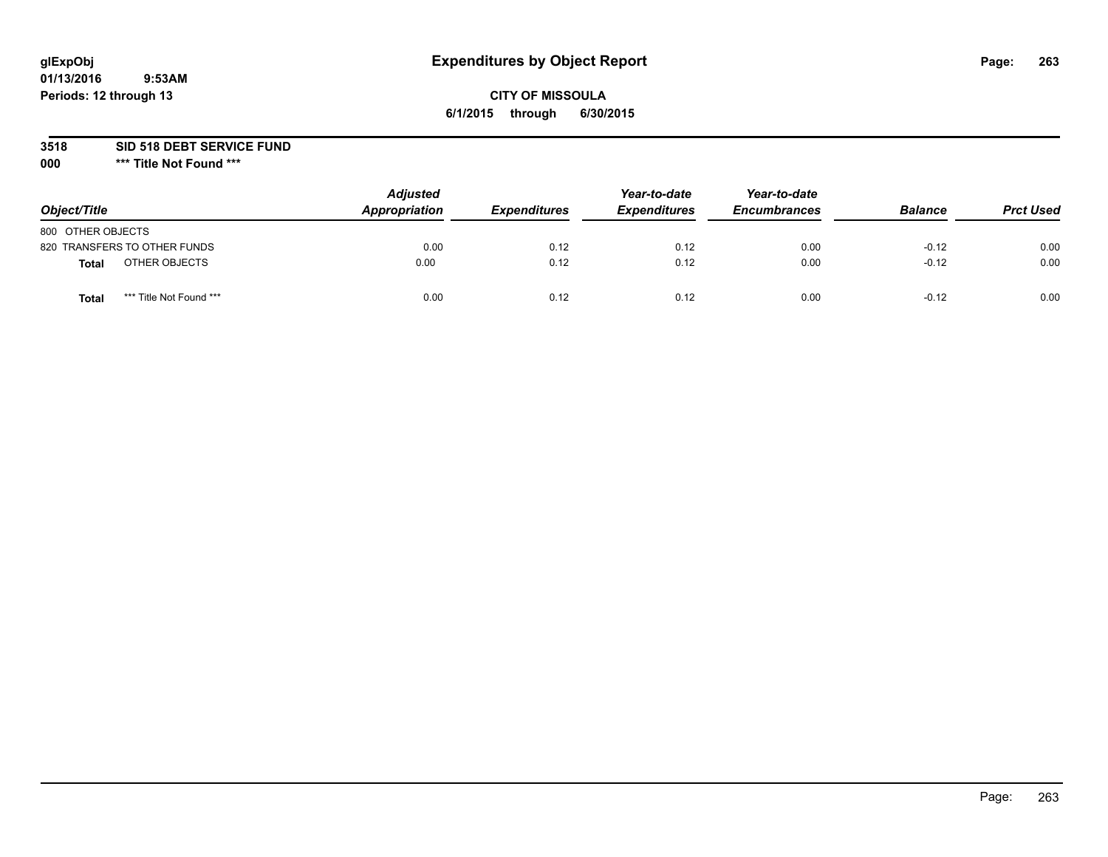# **glExpObj Expenditures by Object Report Page: 263**

### **CITY OF MISSOULA 6/1/2015 through 6/30/2015**

**3518 SID 518 DEBT SERVICE FUND**

**000 \*\*\* Title Not Found \*\*\***

| Object/Title                     | <b>Adjusted</b><br>Appropriation | <b>Expenditures</b> | Year-to-date<br><b>Expenditures</b> | Year-to-date<br><b>Encumbrances</b> | <b>Balance</b> | <b>Prct Used</b> |
|----------------------------------|----------------------------------|---------------------|-------------------------------------|-------------------------------------|----------------|------------------|
| 800 OTHER OBJECTS                |                                  |                     |                                     |                                     |                |                  |
| 820 TRANSFERS TO OTHER FUNDS     | 0.00                             | 0.12                | 0.12                                | 0.00                                | $-0.12$        | 0.00             |
| OTHER OBJECTS<br><b>Total</b>    | 0.00                             | 0.12                | 0.12                                | 0.00                                | $-0.12$        | 0.00             |
| *** Title Not Found ***<br>Total | 0.00                             | 0.12                | 0.12                                | 0.00                                | $-0.12$        | 0.00             |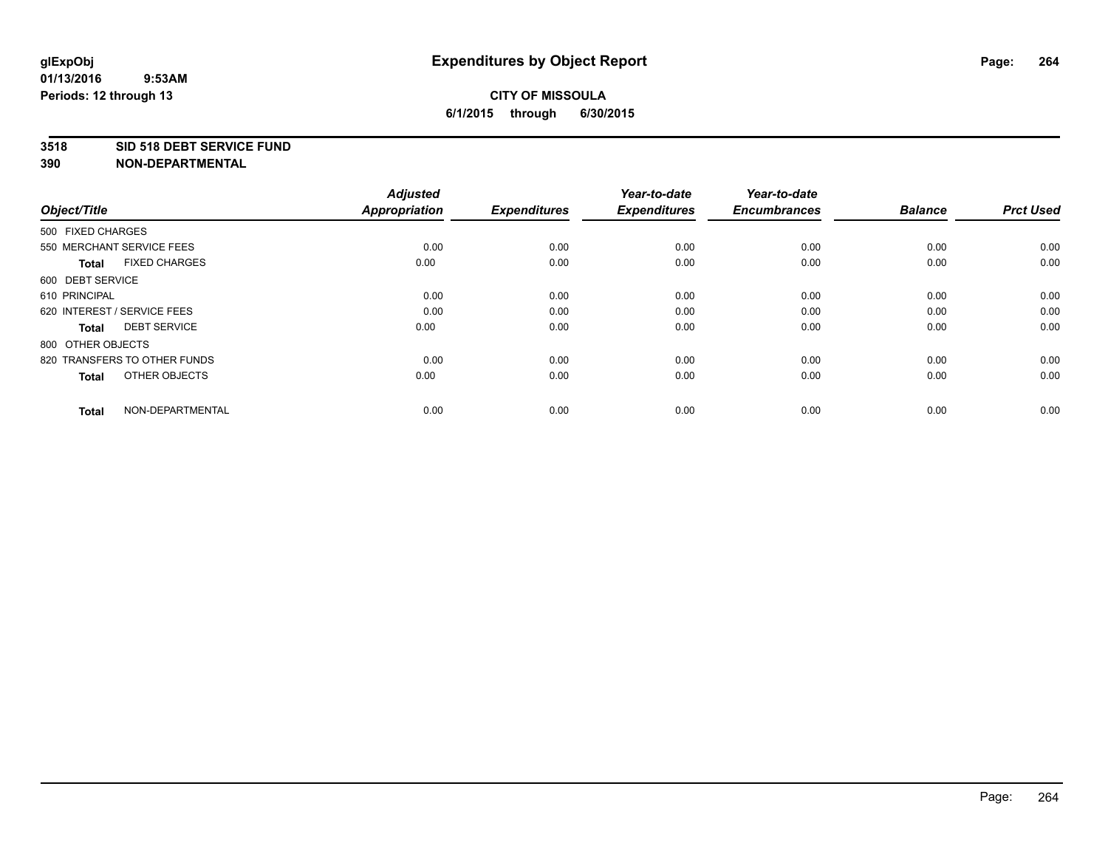#### **3518 SID 518 DEBT SERVICE FUND**

| Object/Title                         | <b>Adjusted</b><br><b>Appropriation</b> | <b>Expenditures</b> | Year-to-date<br><b>Expenditures</b> | Year-to-date<br><b>Encumbrances</b> | <b>Balance</b> | <b>Prct Used</b> |
|--------------------------------------|-----------------------------------------|---------------------|-------------------------------------|-------------------------------------|----------------|------------------|
| 500 FIXED CHARGES                    |                                         |                     |                                     |                                     |                |                  |
| 550 MERCHANT SERVICE FEES            | 0.00                                    | 0.00                | 0.00                                | 0.00                                | 0.00           | 0.00             |
| <b>FIXED CHARGES</b><br><b>Total</b> | 0.00                                    | 0.00                | 0.00                                | 0.00                                | 0.00           | 0.00             |
| 600 DEBT SERVICE                     |                                         |                     |                                     |                                     |                |                  |
| 610 PRINCIPAL                        | 0.00                                    | 0.00                | 0.00                                | 0.00                                | 0.00           | 0.00             |
| 620 INTEREST / SERVICE FEES          | 0.00                                    | 0.00                | 0.00                                | 0.00                                | 0.00           | 0.00             |
| <b>DEBT SERVICE</b><br><b>Total</b>  | 0.00                                    | 0.00                | 0.00                                | 0.00                                | 0.00           | 0.00             |
| 800 OTHER OBJECTS                    |                                         |                     |                                     |                                     |                |                  |
| 820 TRANSFERS TO OTHER FUNDS         | 0.00                                    | 0.00                | 0.00                                | 0.00                                | 0.00           | 0.00             |
| OTHER OBJECTS<br><b>Total</b>        | 0.00                                    | 0.00                | 0.00                                | 0.00                                | 0.00           | 0.00             |
|                                      |                                         |                     |                                     |                                     |                |                  |
| NON-DEPARTMENTAL<br><b>Total</b>     | 0.00                                    | 0.00                | 0.00                                | 0.00                                | 0.00           | 0.00             |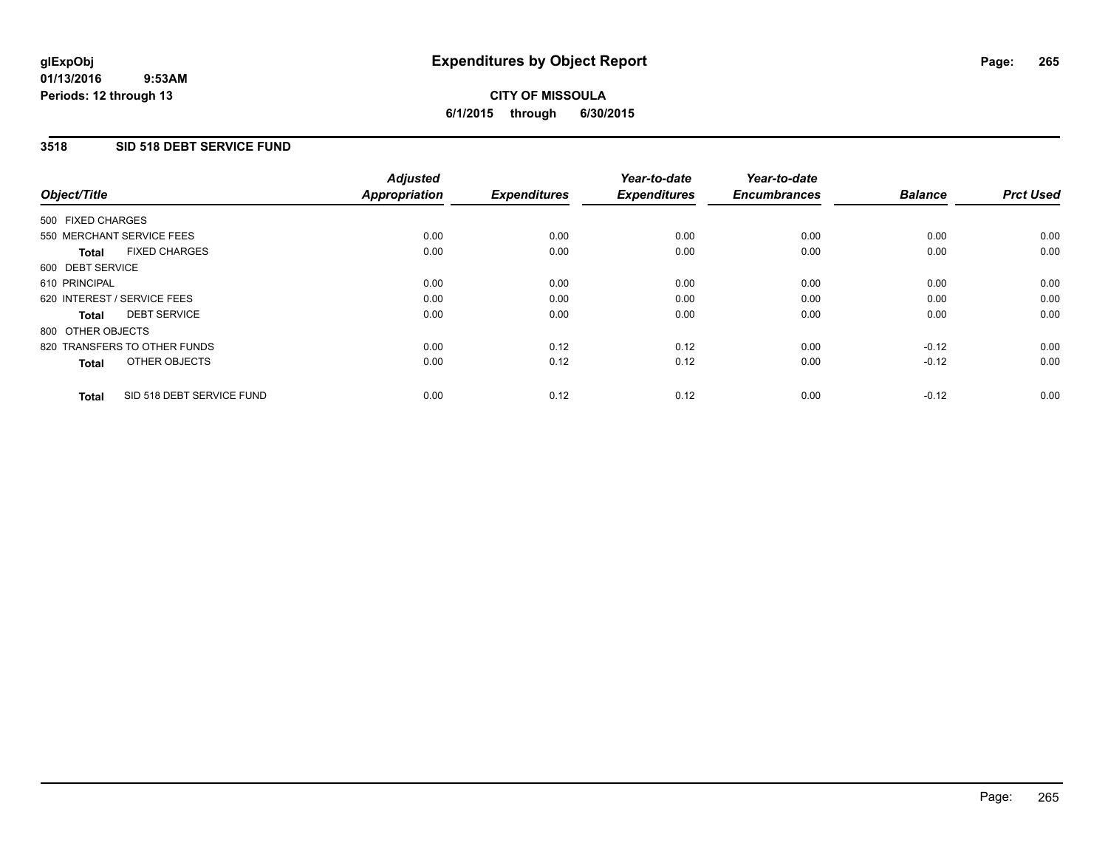### **3518 SID 518 DEBT SERVICE FUND**

| Object/Title                              | <b>Adjusted</b><br><b>Appropriation</b> | <b>Expenditures</b> | Year-to-date<br><b>Expenditures</b> | Year-to-date<br><b>Encumbrances</b> | <b>Balance</b> | <b>Prct Used</b> |
|-------------------------------------------|-----------------------------------------|---------------------|-------------------------------------|-------------------------------------|----------------|------------------|
|                                           |                                         |                     |                                     |                                     |                |                  |
| 500 FIXED CHARGES                         |                                         |                     |                                     |                                     |                |                  |
| 550 MERCHANT SERVICE FEES                 | 0.00                                    | 0.00                | 0.00                                | 0.00                                | 0.00           | 0.00             |
| <b>FIXED CHARGES</b><br>Total             | 0.00                                    | 0.00                | 0.00                                | 0.00                                | 0.00           | 0.00             |
| 600 DEBT SERVICE                          |                                         |                     |                                     |                                     |                |                  |
| 610 PRINCIPAL                             | 0.00                                    | 0.00                | 0.00                                | 0.00                                | 0.00           | 0.00             |
| 620 INTEREST / SERVICE FEES               | 0.00                                    | 0.00                | 0.00                                | 0.00                                | 0.00           | 0.00             |
| <b>DEBT SERVICE</b><br>Total              | 0.00                                    | 0.00                | 0.00                                | 0.00                                | 0.00           | 0.00             |
| 800 OTHER OBJECTS                         |                                         |                     |                                     |                                     |                |                  |
| 820 TRANSFERS TO OTHER FUNDS              | 0.00                                    | 0.12                | 0.12                                | 0.00                                | $-0.12$        | 0.00             |
| OTHER OBJECTS<br><b>Total</b>             | 0.00                                    | 0.12                | 0.12                                | 0.00                                | $-0.12$        | 0.00             |
| SID 518 DEBT SERVICE FUND<br><b>Total</b> | 0.00                                    | 0.12                | 0.12                                | 0.00                                | $-0.12$        | 0.00             |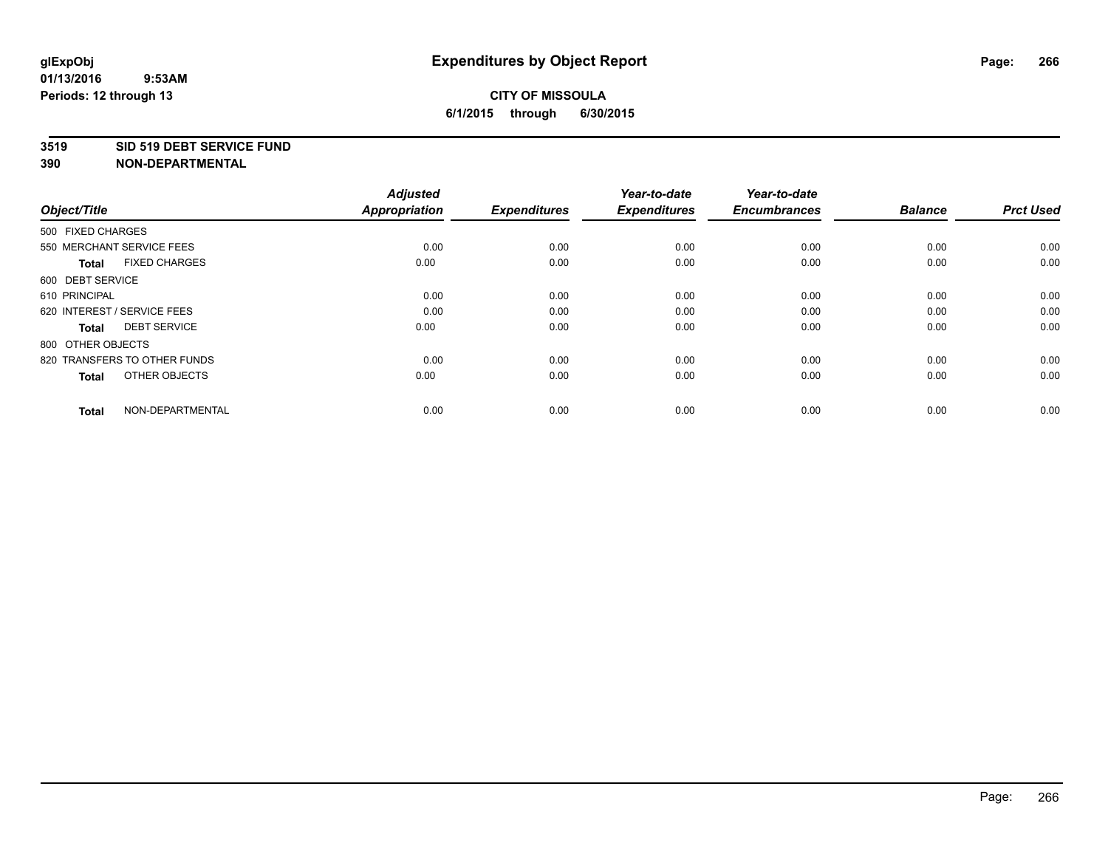#### **3519 SID 519 DEBT SERVICE FUND**

| Object/Title                         | <b>Adjusted</b><br><b>Appropriation</b> | <b>Expenditures</b> | Year-to-date<br><b>Expenditures</b> | Year-to-date<br><b>Encumbrances</b> | <b>Balance</b> | <b>Prct Used</b> |
|--------------------------------------|-----------------------------------------|---------------------|-------------------------------------|-------------------------------------|----------------|------------------|
| 500 FIXED CHARGES                    |                                         |                     |                                     |                                     |                |                  |
| 550 MERCHANT SERVICE FEES            | 0.00                                    | 0.00                | 0.00                                | 0.00                                | 0.00           | 0.00             |
| <b>FIXED CHARGES</b><br><b>Total</b> | 0.00                                    | 0.00                | 0.00                                | 0.00                                | 0.00           | 0.00             |
| 600 DEBT SERVICE                     |                                         |                     |                                     |                                     |                |                  |
| 610 PRINCIPAL                        | 0.00                                    | 0.00                | 0.00                                | 0.00                                | 0.00           | 0.00             |
| 620 INTEREST / SERVICE FEES          | 0.00                                    | 0.00                | 0.00                                | 0.00                                | 0.00           | 0.00             |
| <b>DEBT SERVICE</b><br><b>Total</b>  | 0.00                                    | 0.00                | 0.00                                | 0.00                                | 0.00           | 0.00             |
| 800 OTHER OBJECTS                    |                                         |                     |                                     |                                     |                |                  |
| 820 TRANSFERS TO OTHER FUNDS         | 0.00                                    | 0.00                | 0.00                                | 0.00                                | 0.00           | 0.00             |
| OTHER OBJECTS<br><b>Total</b>        | 0.00                                    | 0.00                | 0.00                                | 0.00                                | 0.00           | 0.00             |
|                                      |                                         |                     |                                     |                                     |                |                  |
| NON-DEPARTMENTAL<br><b>Total</b>     | 0.00                                    | 0.00                | 0.00                                | 0.00                                | 0.00           | 0.00             |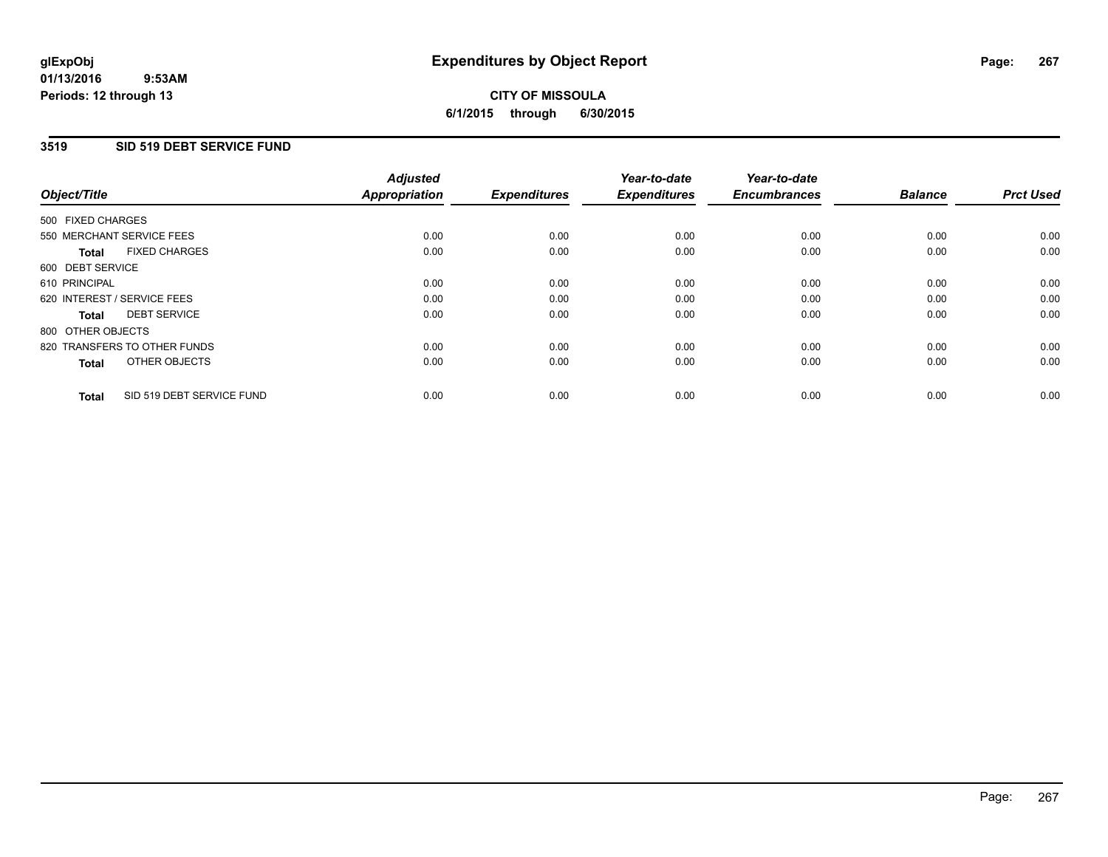### **3519 SID 519 DEBT SERVICE FUND**

| Object/Title                              | <b>Adjusted</b><br><b>Appropriation</b> | <b>Expenditures</b> | Year-to-date<br><b>Expenditures</b> | Year-to-date<br><b>Encumbrances</b> | <b>Balance</b> | <b>Prct Used</b> |
|-------------------------------------------|-----------------------------------------|---------------------|-------------------------------------|-------------------------------------|----------------|------------------|
|                                           |                                         |                     |                                     |                                     |                |                  |
| 500 FIXED CHARGES                         |                                         |                     |                                     |                                     |                |                  |
| 550 MERCHANT SERVICE FEES                 | 0.00                                    | 0.00                | 0.00                                | 0.00                                | 0.00           | 0.00             |
| <b>FIXED CHARGES</b><br>Total             | 0.00                                    | 0.00                | 0.00                                | 0.00                                | 0.00           | 0.00             |
| 600 DEBT SERVICE                          |                                         |                     |                                     |                                     |                |                  |
| 610 PRINCIPAL                             | 0.00                                    | 0.00                | 0.00                                | 0.00                                | 0.00           | 0.00             |
| 620 INTEREST / SERVICE FEES               | 0.00                                    | 0.00                | 0.00                                | 0.00                                | 0.00           | 0.00             |
| <b>DEBT SERVICE</b><br><b>Total</b>       | 0.00                                    | 0.00                | 0.00                                | 0.00                                | 0.00           | 0.00             |
| 800 OTHER OBJECTS                         |                                         |                     |                                     |                                     |                |                  |
| 820 TRANSFERS TO OTHER FUNDS              | 0.00                                    | 0.00                | 0.00                                | 0.00                                | 0.00           | 0.00             |
| OTHER OBJECTS<br><b>Total</b>             | 0.00                                    | 0.00                | 0.00                                | 0.00                                | 0.00           | 0.00             |
|                                           |                                         |                     |                                     |                                     |                |                  |
| SID 519 DEBT SERVICE FUND<br><b>Total</b> | 0.00                                    | 0.00                | 0.00                                | 0.00                                | 0.00           | 0.00             |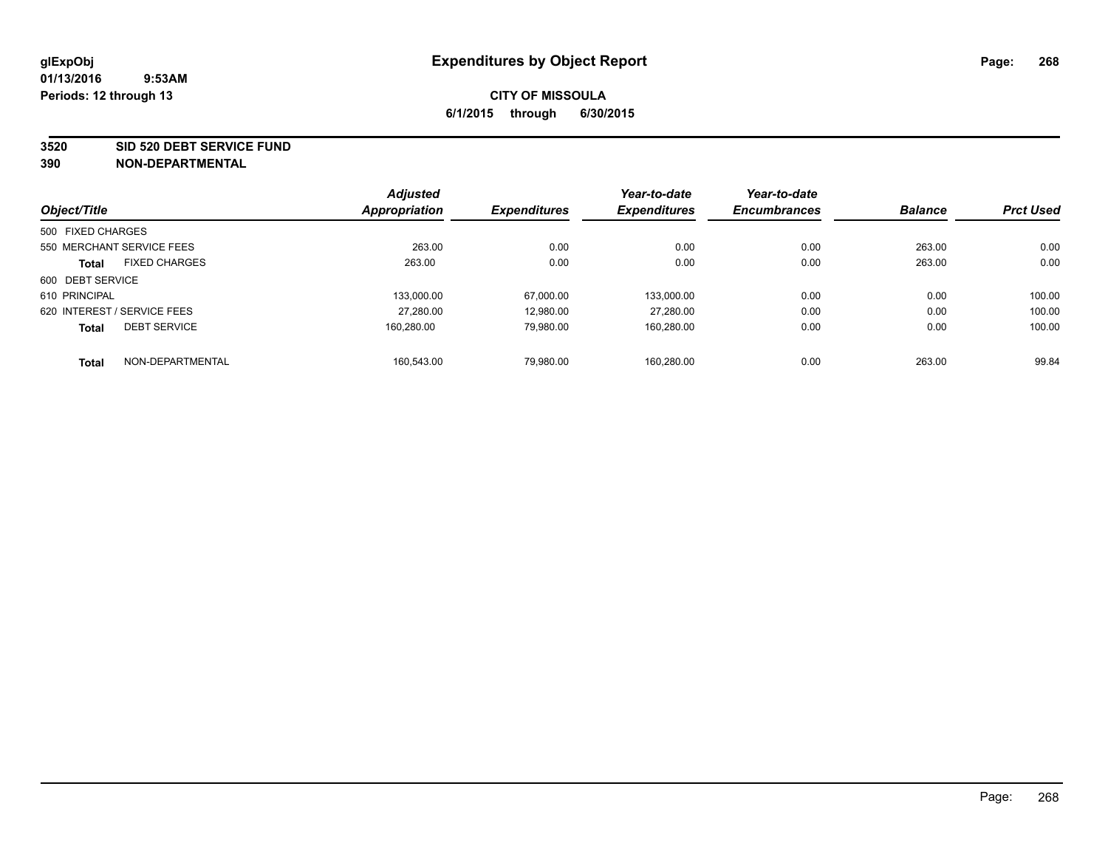**3520 SID 520 DEBT SERVICE FUND**

|                   |                             | <b>Adjusted</b> |                     | Year-to-date        | Year-to-date        |                |                  |
|-------------------|-----------------------------|-----------------|---------------------|---------------------|---------------------|----------------|------------------|
| Object/Title      |                             | Appropriation   | <b>Expenditures</b> | <b>Expenditures</b> | <b>Encumbrances</b> | <b>Balance</b> | <b>Prct Used</b> |
| 500 FIXED CHARGES |                             |                 |                     |                     |                     |                |                  |
|                   | 550 MERCHANT SERVICE FEES   | 263.00          | 0.00                | 0.00                | 0.00                | 263.00         | 0.00             |
| <b>Total</b>      | <b>FIXED CHARGES</b>        | 263.00          | 0.00                | 0.00                | 0.00                | 263.00         | 0.00             |
| 600 DEBT SERVICE  |                             |                 |                     |                     |                     |                |                  |
| 610 PRINCIPAL     |                             | 133.000.00      | 67.000.00           | 133,000.00          | 0.00                | 0.00           | 100.00           |
|                   | 620 INTEREST / SERVICE FEES | 27.280.00       | 12.980.00           | 27.280.00           | 0.00                | 0.00           | 100.00           |
| <b>Total</b>      | <b>DEBT SERVICE</b>         | 160.280.00      | 79.980.00           | 160,280.00          | 0.00                | 0.00           | 100.00           |
| <b>Total</b>      | NON-DEPARTMENTAL            | 160.543.00      | 79.980.00           | 160.280.00          | 0.00                | 263.00         | 99.84            |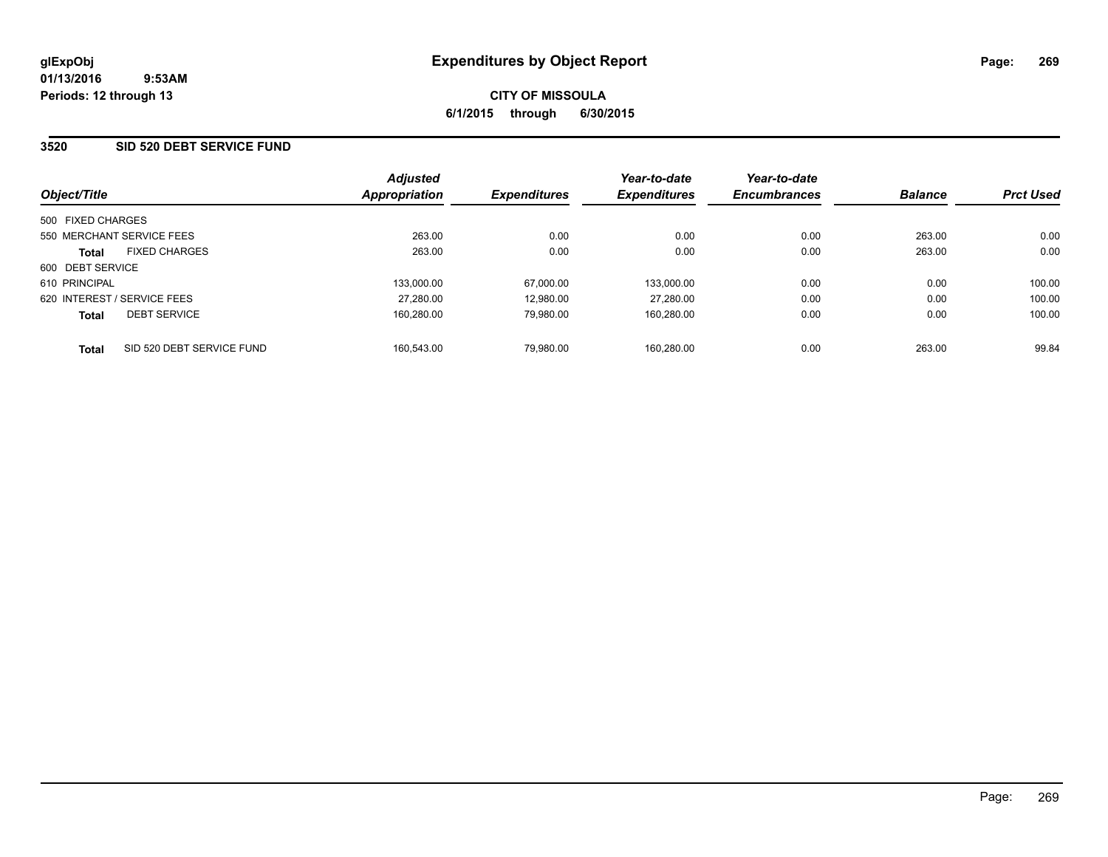### **3520 SID 520 DEBT SERVICE FUND**

| Object/Title                         |                           | <b>Adjusted</b><br>Appropriation | <b>Expenditures</b> | Year-to-date<br><b>Expenditures</b> | Year-to-date<br><b>Encumbrances</b> | <b>Balance</b> | <b>Prct Used</b> |
|--------------------------------------|---------------------------|----------------------------------|---------------------|-------------------------------------|-------------------------------------|----------------|------------------|
| 500 FIXED CHARGES                    |                           |                                  |                     |                                     |                                     |                |                  |
| 550 MERCHANT SERVICE FEES            |                           | 263.00                           | 0.00                | 0.00                                | 0.00                                | 263.00         | 0.00             |
| <b>FIXED CHARGES</b><br><b>Total</b> |                           | 263.00                           | 0.00                | 0.00                                | 0.00                                | 263.00         | 0.00             |
| 600 DEBT SERVICE                     |                           |                                  |                     |                                     |                                     |                |                  |
| 610 PRINCIPAL                        |                           | 133.000.00                       | 67.000.00           | 133.000.00                          | 0.00                                | 0.00           | 100.00           |
| 620 INTEREST / SERVICE FEES          |                           | 27.280.00                        | 12.980.00           | 27.280.00                           | 0.00                                | 0.00           | 100.00           |
| <b>DEBT SERVICE</b><br><b>Total</b>  |                           | 160.280.00                       | 79.980.00           | 160.280.00                          | 0.00                                | 0.00           | 100.00           |
| <b>Total</b>                         | SID 520 DEBT SERVICE FUND | 160.543.00                       | 79.980.00           | 160.280.00                          | 0.00                                | 263.00         | 99.84            |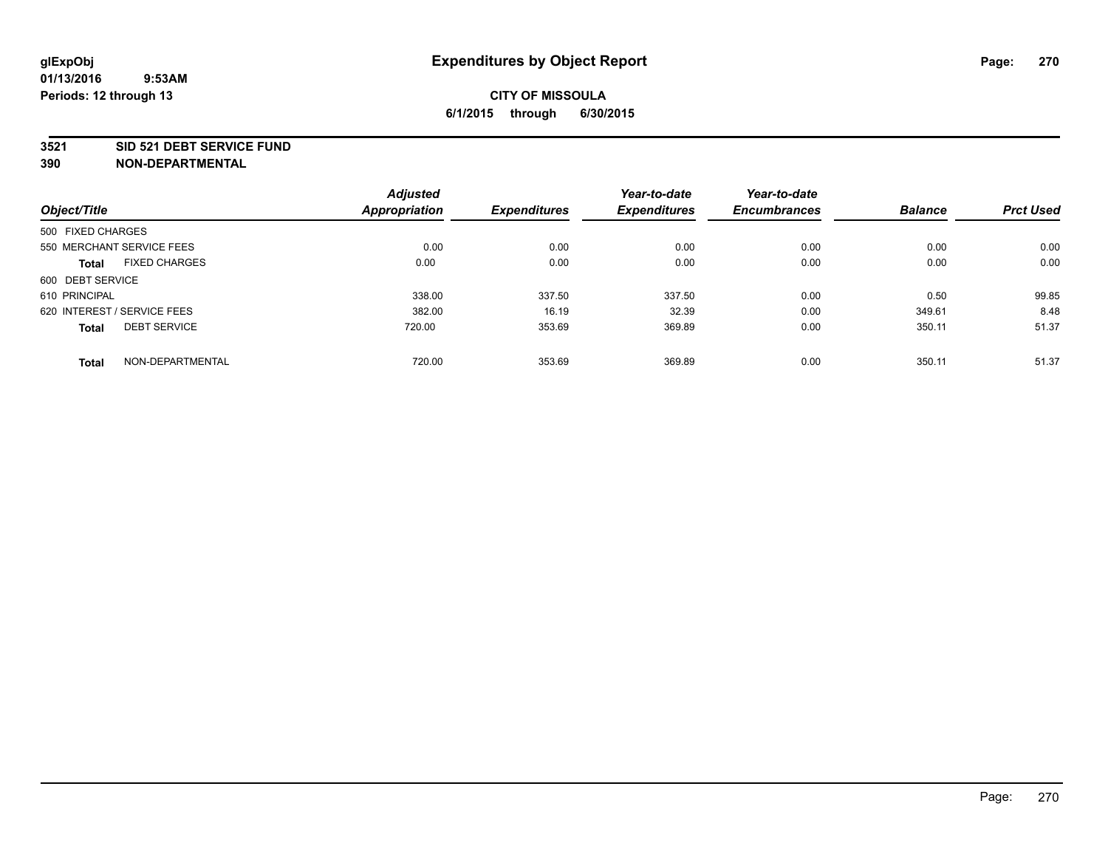#### **3521 SID 521 DEBT SERVICE FUND**

|                                      | <b>Adjusted</b>      |                     | Year-to-date        | Year-to-date        |                |                  |
|--------------------------------------|----------------------|---------------------|---------------------|---------------------|----------------|------------------|
| Object/Title                         | <b>Appropriation</b> | <b>Expenditures</b> | <b>Expenditures</b> | <b>Encumbrances</b> | <b>Balance</b> | <b>Prct Used</b> |
| 500 FIXED CHARGES                    |                      |                     |                     |                     |                |                  |
| 550 MERCHANT SERVICE FEES            | 0.00                 | 0.00                | 0.00                | 0.00                | 0.00           | 0.00             |
| <b>FIXED CHARGES</b><br><b>Total</b> | 0.00                 | 0.00                | 0.00                | 0.00                | 0.00           | 0.00             |
| 600 DEBT SERVICE                     |                      |                     |                     |                     |                |                  |
| 610 PRINCIPAL                        | 338.00               | 337.50              | 337.50              | 0.00                | 0.50           | 99.85            |
| 620 INTEREST / SERVICE FEES          | 382.00               | 16.19               | 32.39               | 0.00                | 349.61         | 8.48             |
| <b>DEBT SERVICE</b><br><b>Total</b>  | 720.00               | 353.69              | 369.89              | 0.00                | 350.11         | 51.37            |
| NON-DEPARTMENTAL<br><b>Total</b>     | 720.00               | 353.69              | 369.89              | 0.00                | 350.11         | 51.37            |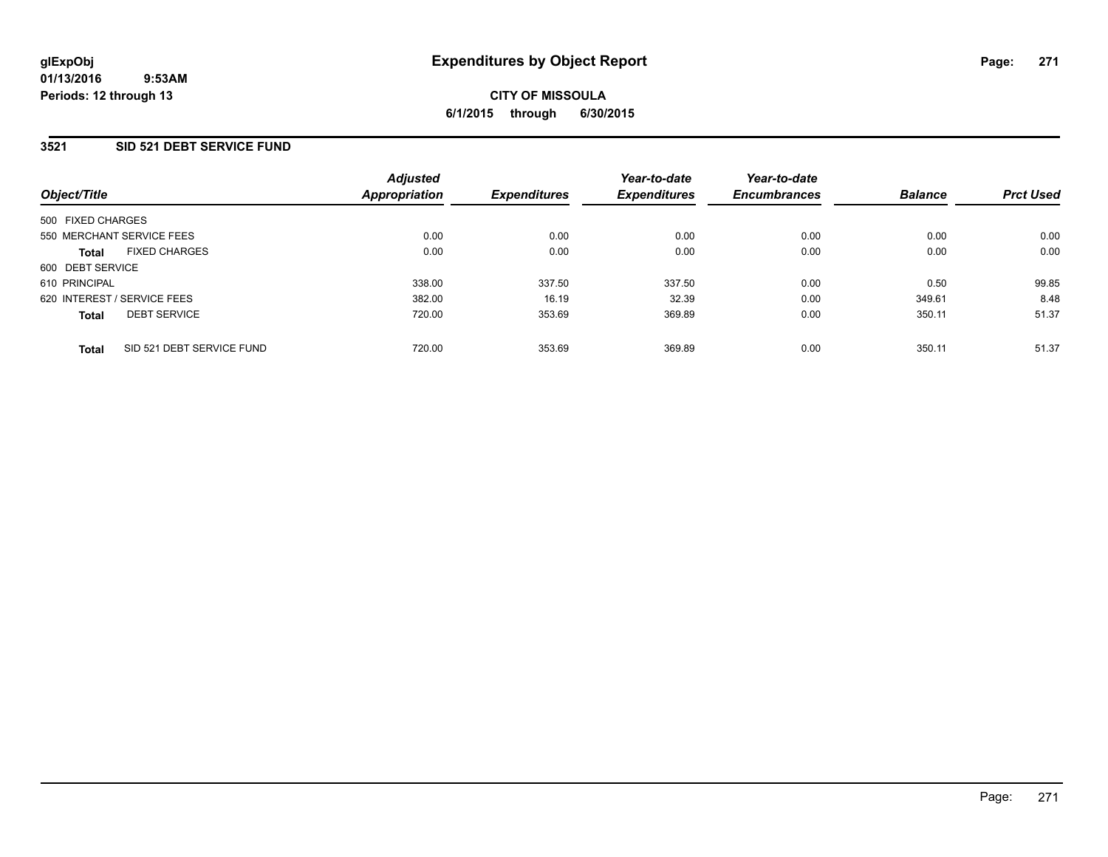### **3521 SID 521 DEBT SERVICE FUND**

| Object/Title                              | <b>Adjusted</b><br>Appropriation | <b>Expenditures</b> | Year-to-date<br><b>Expenditures</b> | Year-to-date<br><b>Encumbrances</b> | <b>Balance</b> | <b>Prct Used</b> |
|-------------------------------------------|----------------------------------|---------------------|-------------------------------------|-------------------------------------|----------------|------------------|
| 500 FIXED CHARGES                         |                                  |                     |                                     |                                     |                |                  |
| 550 MERCHANT SERVICE FEES                 | 0.00                             | 0.00                | 0.00                                | 0.00                                | 0.00           | 0.00             |
| <b>FIXED CHARGES</b><br><b>Total</b>      | 0.00                             | 0.00                | 0.00                                | 0.00                                | 0.00           | 0.00             |
| 600 DEBT SERVICE                          |                                  |                     |                                     |                                     |                |                  |
| 610 PRINCIPAL                             | 338.00                           | 337.50              | 337.50                              | 0.00                                | 0.50           | 99.85            |
| 620 INTEREST / SERVICE FEES               | 382.00                           | 16.19               | 32.39                               | 0.00                                | 349.61         | 8.48             |
| <b>DEBT SERVICE</b><br><b>Total</b>       | 720.00                           | 353.69              | 369.89                              | 0.00                                | 350.11         | 51.37            |
| SID 521 DEBT SERVICE FUND<br><b>Total</b> | 720.00                           | 353.69              | 369.89                              | 0.00                                | 350.11         | 51.37            |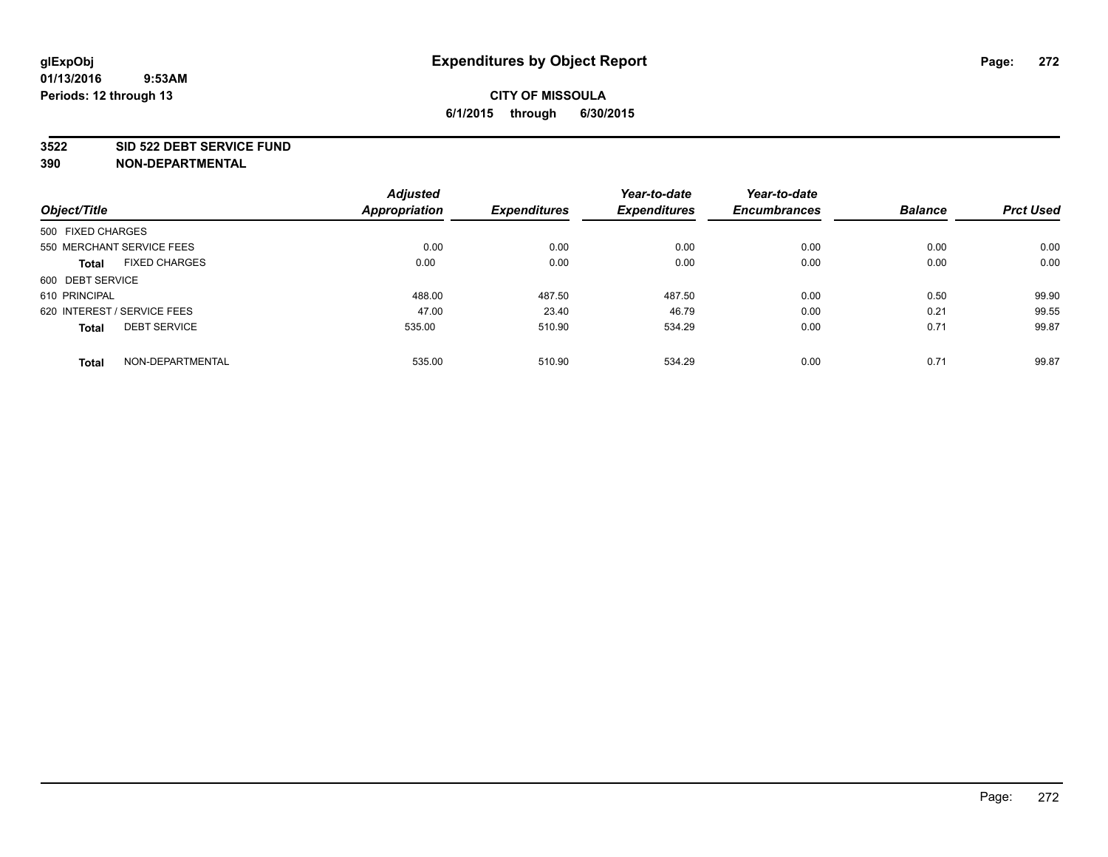#### **3522 SID 522 DEBT SERVICE FUND**

|                                      | <b>Adjusted</b>      |                     | Year-to-date        | Year-to-date        |                |                  |
|--------------------------------------|----------------------|---------------------|---------------------|---------------------|----------------|------------------|
| Object/Title                         | <b>Appropriation</b> | <b>Expenditures</b> | <b>Expenditures</b> | <b>Encumbrances</b> | <b>Balance</b> | <b>Prct Used</b> |
| 500 FIXED CHARGES                    |                      |                     |                     |                     |                |                  |
| 550 MERCHANT SERVICE FEES            | 0.00                 | 0.00                | 0.00                | 0.00                | 0.00           | 0.00             |
| <b>FIXED CHARGES</b><br><b>Total</b> | 0.00                 | 0.00                | 0.00                | 0.00                | 0.00           | 0.00             |
| 600 DEBT SERVICE                     |                      |                     |                     |                     |                |                  |
| 610 PRINCIPAL                        | 488.00               | 487.50              | 487.50              | 0.00                | 0.50           | 99.90            |
| 620 INTEREST / SERVICE FEES          | 47.00                | 23.40               | 46.79               | 0.00                | 0.21           | 99.55            |
| <b>DEBT SERVICE</b><br><b>Total</b>  | 535.00               | 510.90              | 534.29              | 0.00                | 0.71           | 99.87            |
| NON-DEPARTMENTAL<br><b>Total</b>     | 535.00               | 510.90              | 534.29              | 0.00                | 0.71           | 99.87            |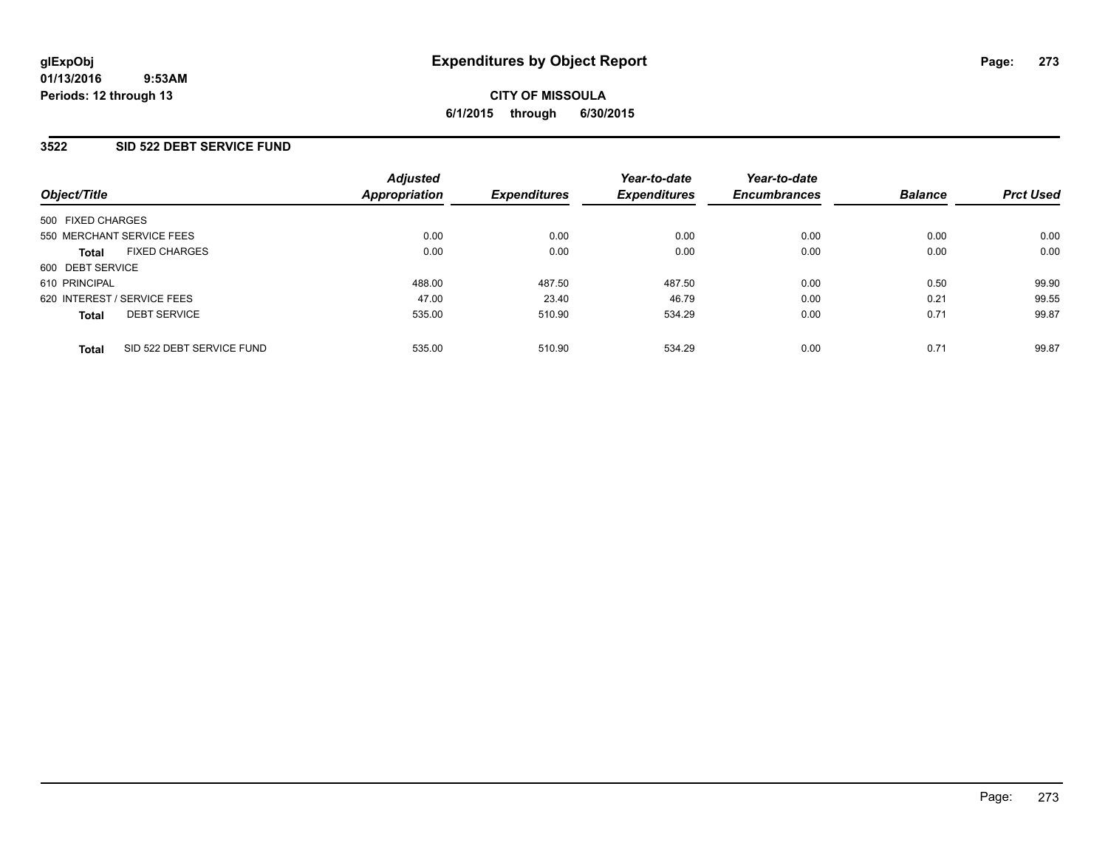#### **01/13/2016 9:53AM Periods: 12 through 13**

# **CITY OF MISSOULA 6/1/2015 through 6/30/2015**

### **3522 SID 522 DEBT SERVICE FUND**

| Object/Title                              | <b>Adjusted</b><br>Appropriation | <b>Expenditures</b> | Year-to-date<br><b>Expenditures</b> | Year-to-date<br><b>Encumbrances</b> | <b>Balance</b> | <b>Prct Used</b> |
|-------------------------------------------|----------------------------------|---------------------|-------------------------------------|-------------------------------------|----------------|------------------|
| 500 FIXED CHARGES                         |                                  |                     |                                     |                                     |                |                  |
| 550 MERCHANT SERVICE FEES                 | 0.00                             | 0.00                | 0.00                                | 0.00                                | 0.00           | 0.00             |
| <b>FIXED CHARGES</b><br><b>Total</b>      | 0.00                             | 0.00                | 0.00                                | 0.00                                | 0.00           | 0.00             |
| 600 DEBT SERVICE                          |                                  |                     |                                     |                                     |                |                  |
| 610 PRINCIPAL                             | 488.00                           | 487.50              | 487.50                              | 0.00                                | 0.50           | 99.90            |
| 620 INTEREST / SERVICE FEES               | 47.00                            | 23.40               | 46.79                               | 0.00                                | 0.21           | 99.55            |
| <b>DEBT SERVICE</b><br><b>Total</b>       | 535.00                           | 510.90              | 534.29                              | 0.00                                | 0.71           | 99.87            |
| SID 522 DEBT SERVICE FUND<br><b>Total</b> | 535.00                           | 510.90              | 534.29                              | 0.00                                | 0.71           | 99.87            |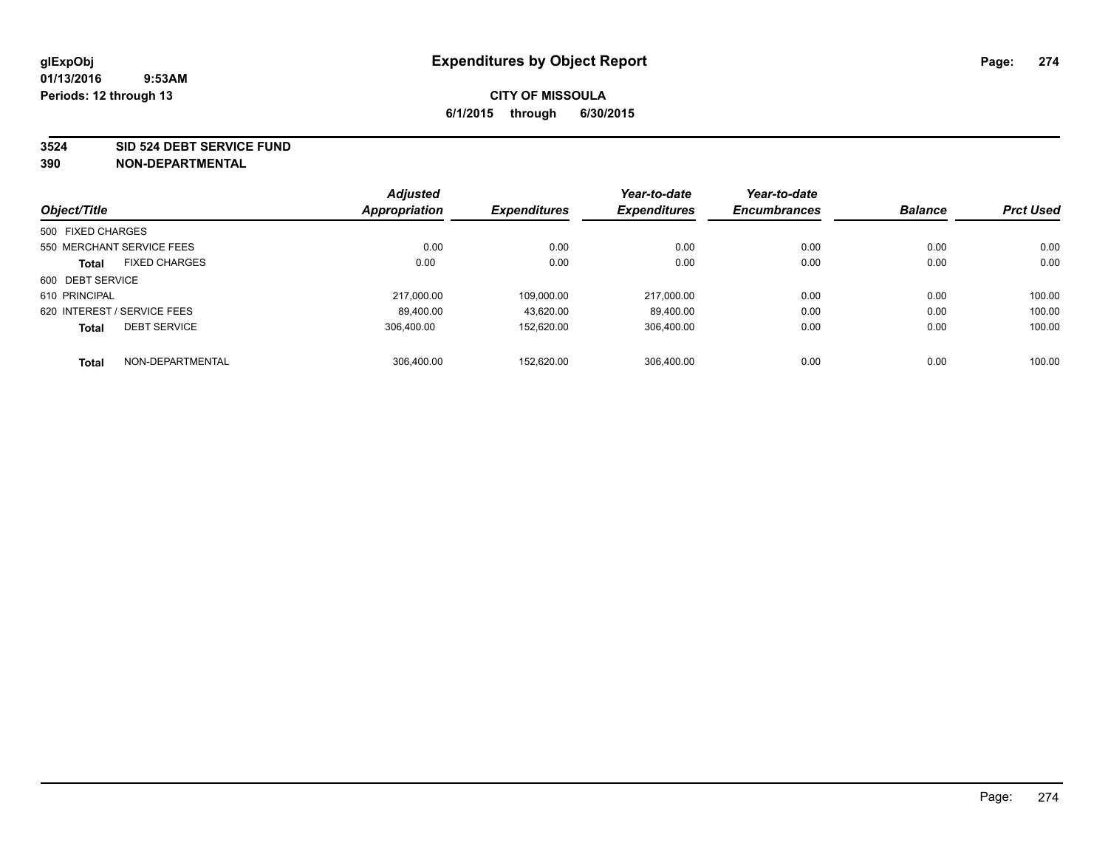#### **3524 SID 524 DEBT SERVICE FUND**

|                             |                      | <b>Adjusted</b> |                     | Year-to-date        | Year-to-date        |                |                  |
|-----------------------------|----------------------|-----------------|---------------------|---------------------|---------------------|----------------|------------------|
| Object/Title                |                      | Appropriation   | <b>Expenditures</b> | <b>Expenditures</b> | <b>Encumbrances</b> | <b>Balance</b> | <b>Prct Used</b> |
| 500 FIXED CHARGES           |                      |                 |                     |                     |                     |                |                  |
| 550 MERCHANT SERVICE FEES   |                      | 0.00            | 0.00                | 0.00                | 0.00                | 0.00           | 0.00             |
| <b>Total</b>                | <b>FIXED CHARGES</b> | 0.00            | 0.00                | 0.00                | 0.00                | 0.00           | 0.00             |
| 600 DEBT SERVICE            |                      |                 |                     |                     |                     |                |                  |
| 610 PRINCIPAL               |                      | 217,000.00      | 109.000.00          | 217,000.00          | 0.00                | 0.00           | 100.00           |
| 620 INTEREST / SERVICE FEES |                      | 89.400.00       | 43.620.00           | 89.400.00           | 0.00                | 0.00           | 100.00           |
| <b>Total</b>                | <b>DEBT SERVICE</b>  | 306.400.00      | 152.620.00          | 306.400.00          | 0.00                | 0.00           | 100.00           |
| <b>Total</b>                | NON-DEPARTMENTAL     | 306.400.00      | 152.620.00          | 306.400.00          | 0.00                | 0.00           | 100.00           |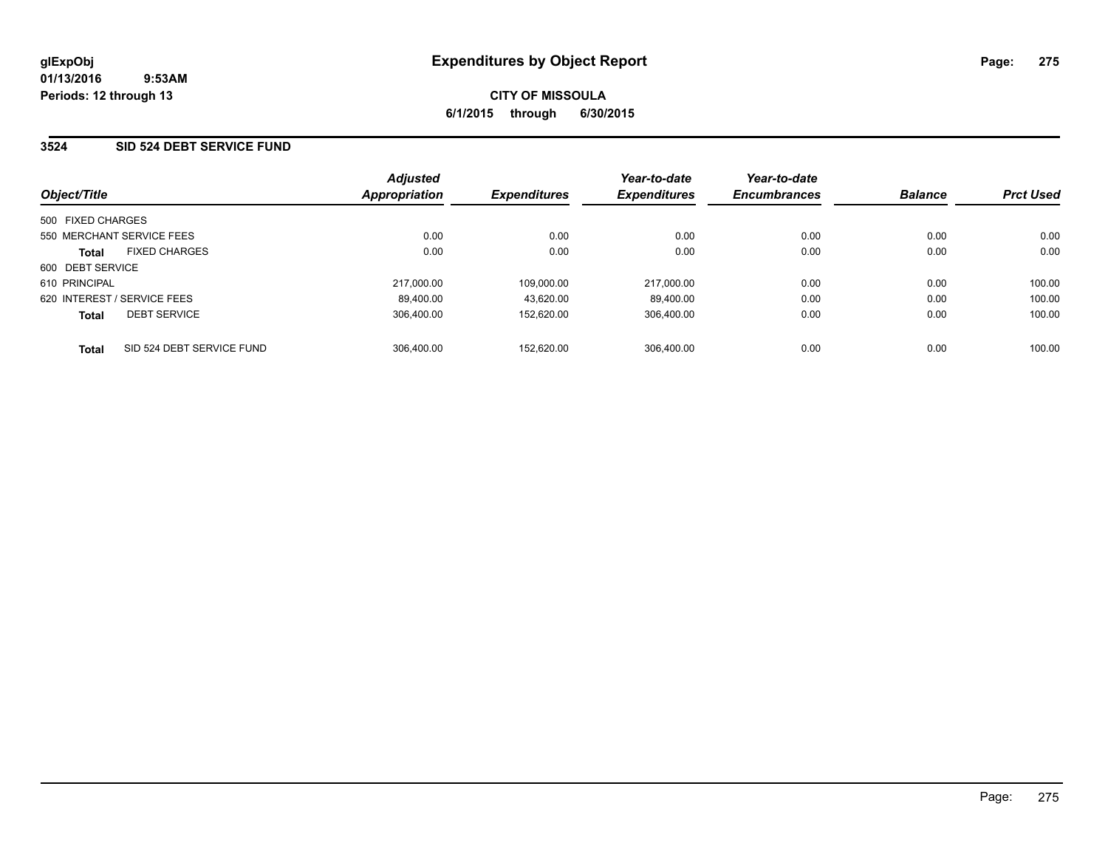### **3524 SID 524 DEBT SERVICE FUND**

| Object/Title                |                           | <b>Adjusted</b><br>Appropriation | <b>Expenditures</b> | Year-to-date<br><b>Expenditures</b> | Year-to-date<br><b>Encumbrances</b> | <b>Balance</b> | <b>Prct Used</b> |
|-----------------------------|---------------------------|----------------------------------|---------------------|-------------------------------------|-------------------------------------|----------------|------------------|
|                             |                           |                                  |                     |                                     |                                     |                |                  |
| 500 FIXED CHARGES           |                           |                                  |                     |                                     |                                     |                |                  |
|                             | 550 MERCHANT SERVICE FEES | 0.00                             | 0.00                | 0.00                                | 0.00                                | 0.00           | 0.00             |
| <b>Total</b>                | <b>FIXED CHARGES</b>      | 0.00                             | 0.00                | 0.00                                | 0.00                                | 0.00           | 0.00             |
| 600 DEBT SERVICE            |                           |                                  |                     |                                     |                                     |                |                  |
| 610 PRINCIPAL               |                           | 217.000.00                       | 109.000.00          | 217.000.00                          | 0.00                                | 0.00           | 100.00           |
| 620 INTEREST / SERVICE FEES |                           | 89.400.00                        | 43.620.00           | 89.400.00                           | 0.00                                | 0.00           | 100.00           |
| <b>Total</b>                | <b>DEBT SERVICE</b>       | 306.400.00                       | 152.620.00          | 306.400.00                          | 0.00                                | 0.00           | 100.00           |
| <b>Total</b>                | SID 524 DEBT SERVICE FUND | 306.400.00                       | 152.620.00          | 306.400.00                          | 0.00                                | 0.00           | 100.00           |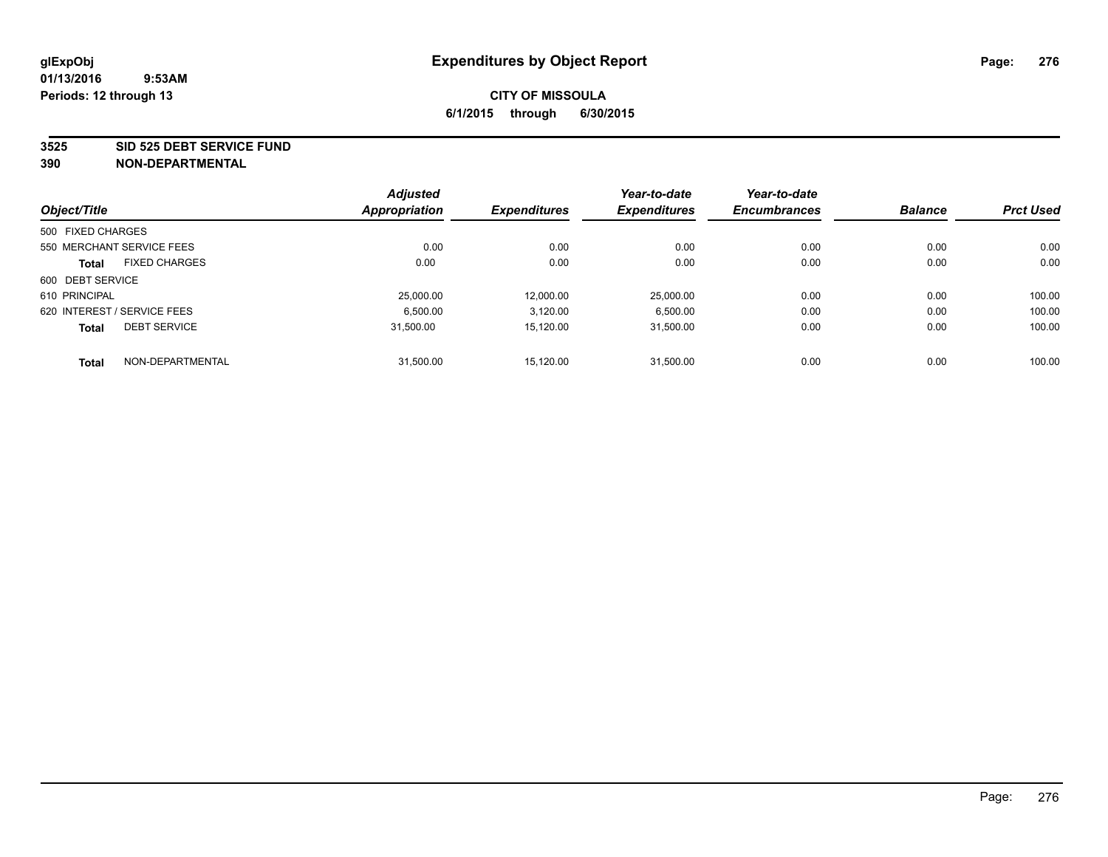#### **3525 SID 525 DEBT SERVICE FUND**

|                   |                             | <b>Adjusted</b> |                     | Year-to-date        | Year-to-date        | <b>Balance</b> | <b>Prct Used</b> |
|-------------------|-----------------------------|-----------------|---------------------|---------------------|---------------------|----------------|------------------|
| Object/Title      |                             | Appropriation   | <b>Expenditures</b> | <b>Expenditures</b> | <b>Encumbrances</b> |                |                  |
| 500 FIXED CHARGES |                             |                 |                     |                     |                     |                |                  |
|                   | 550 MERCHANT SERVICE FEES   | 0.00            | 0.00                | 0.00                | 0.00                | 0.00           | 0.00             |
| <b>Total</b>      | <b>FIXED CHARGES</b>        | 0.00            | 0.00                | 0.00                | 0.00                | 0.00           | 0.00             |
| 600 DEBT SERVICE  |                             |                 |                     |                     |                     |                |                  |
| 610 PRINCIPAL     |                             | 25,000.00       | 12.000.00           | 25.000.00           | 0.00                | 0.00           | 100.00           |
|                   | 620 INTEREST / SERVICE FEES | 6.500.00        | 3,120.00            | 6,500.00            | 0.00                | 0.00           | 100.00           |
| <b>Total</b>      | <b>DEBT SERVICE</b>         | 31.500.00       | 15.120.00           | 31.500.00           | 0.00                | 0.00           | 100.00           |
| <b>Total</b>      | NON-DEPARTMENTAL            | 31,500.00       | 15.120.00           | 31.500.00           | 0.00                | 0.00           | 100.00           |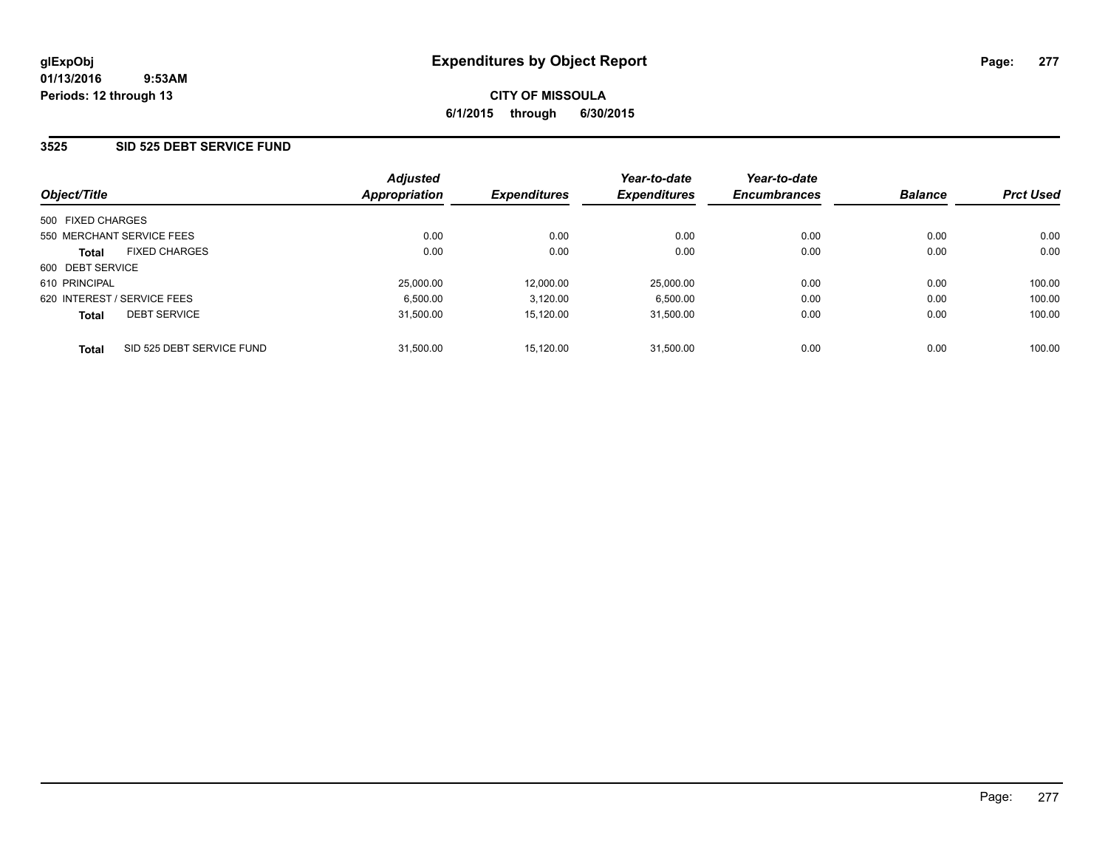### **3525 SID 525 DEBT SERVICE FUND**

| Object/Title                              | <b>Adjusted</b><br>Appropriation | <b>Expenditures</b> | Year-to-date<br><b>Expenditures</b> | Year-to-date<br><b>Encumbrances</b> | <b>Balance</b> | <b>Prct Used</b> |
|-------------------------------------------|----------------------------------|---------------------|-------------------------------------|-------------------------------------|----------------|------------------|
| 500 FIXED CHARGES                         |                                  |                     |                                     |                                     |                |                  |
| 550 MERCHANT SERVICE FEES                 | 0.00                             | 0.00                | 0.00                                | 0.00                                | 0.00           | 0.00             |
| <b>FIXED CHARGES</b><br><b>Total</b>      | 0.00                             | 0.00                | 0.00                                | 0.00                                | 0.00           | 0.00             |
| 600 DEBT SERVICE                          |                                  |                     |                                     |                                     |                |                  |
| 610 PRINCIPAL                             | 25,000.00                        | 12.000.00           | 25.000.00                           | 0.00                                | 0.00           | 100.00           |
| 620 INTEREST / SERVICE FEES               | 6,500.00                         | 3,120.00            | 6,500.00                            | 0.00                                | 0.00           | 100.00           |
| <b>DEBT SERVICE</b><br><b>Total</b>       | 31.500.00                        | 15.120.00           | 31.500.00                           | 0.00                                | 0.00           | 100.00           |
| SID 525 DEBT SERVICE FUND<br><b>Total</b> | 31.500.00                        | 15.120.00           | 31.500.00                           | 0.00                                | 0.00           | 100.00           |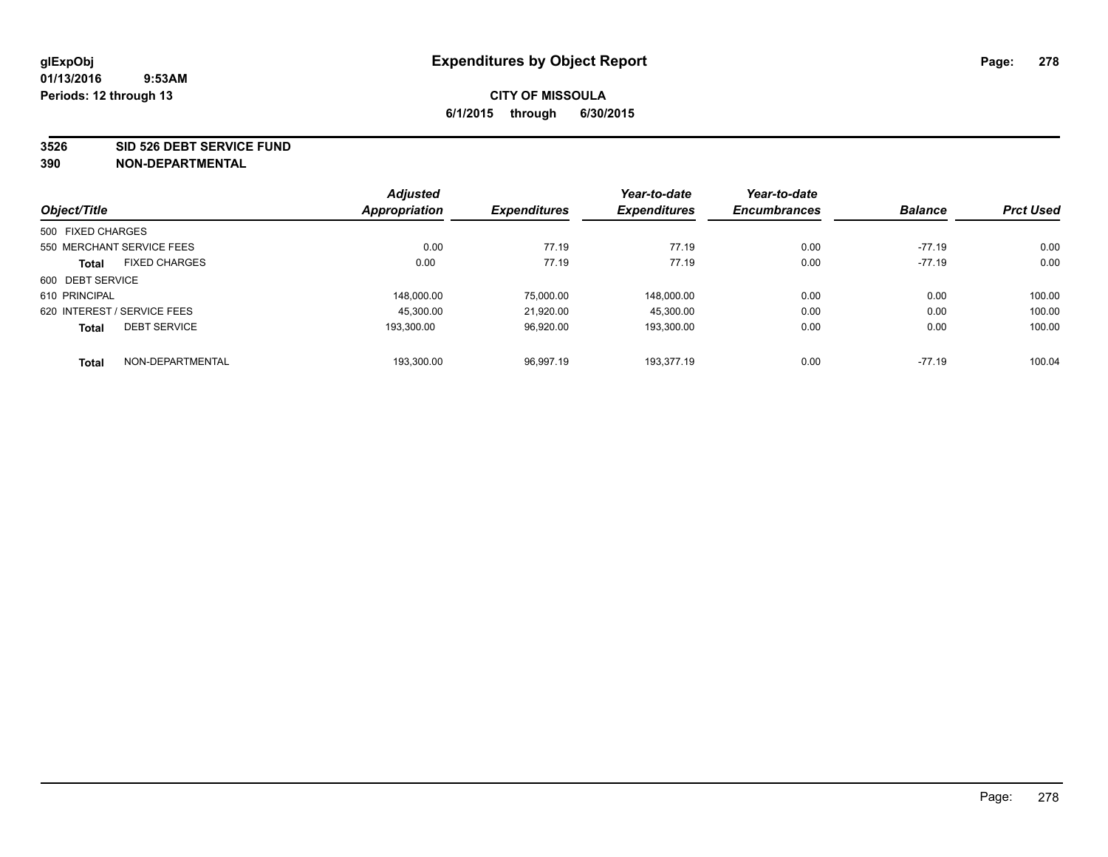#### **3526 SID 526 DEBT SERVICE FUND**

|                   |                             | <b>Adjusted</b> |                     | Year-to-date        | Year-to-date        |                |                  |
|-------------------|-----------------------------|-----------------|---------------------|---------------------|---------------------|----------------|------------------|
| Object/Title      |                             | Appropriation   | <b>Expenditures</b> | <b>Expenditures</b> | <b>Encumbrances</b> | <b>Balance</b> | <b>Prct Used</b> |
| 500 FIXED CHARGES |                             |                 |                     |                     |                     |                |                  |
|                   | 550 MERCHANT SERVICE FEES   | 0.00            | 77.19               | 77.19               | 0.00                | $-77.19$       | 0.00             |
| <b>Total</b>      | <b>FIXED CHARGES</b>        | 0.00            | 77.19               | 77.19               | 0.00                | $-77.19$       | 0.00             |
| 600 DEBT SERVICE  |                             |                 |                     |                     |                     |                |                  |
| 610 PRINCIPAL     |                             | 148.000.00      | 75,000.00           | 148.000.00          | 0.00                | 0.00           | 100.00           |
|                   | 620 INTEREST / SERVICE FEES | 45.300.00       | 21.920.00           | 45,300.00           | 0.00                | 0.00           | 100.00           |
| <b>Total</b>      | <b>DEBT SERVICE</b>         | 193.300.00      | 96,920.00           | 193.300.00          | 0.00                | 0.00           | 100.00           |
| <b>Total</b>      | NON-DEPARTMENTAL            | 193,300.00      | 96,997.19           | 193.377.19          | 0.00                | $-77.19$       | 100.04           |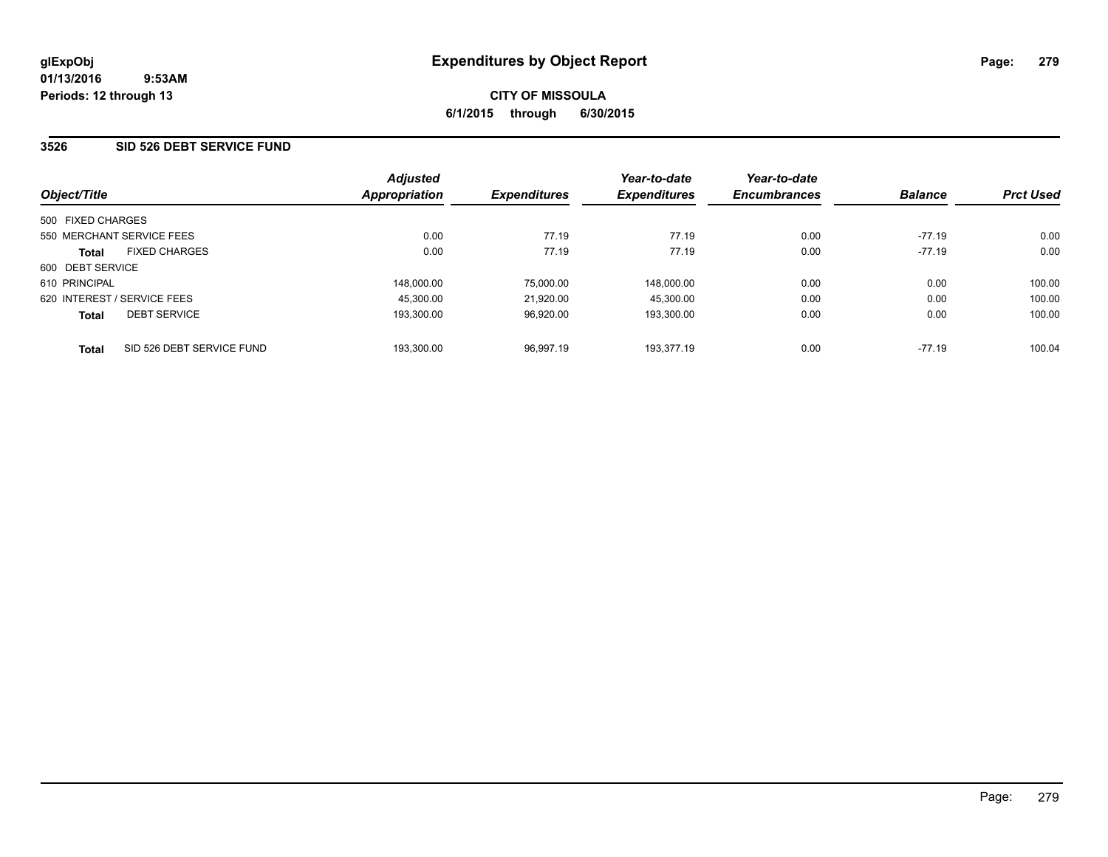### **3526 SID 526 DEBT SERVICE FUND**

| Object/Title                |                           | <b>Adjusted</b><br>Appropriation | <b>Expenditures</b> | Year-to-date<br><b>Expenditures</b> | Year-to-date<br><b>Encumbrances</b> | <b>Balance</b> | <b>Prct Used</b> |
|-----------------------------|---------------------------|----------------------------------|---------------------|-------------------------------------|-------------------------------------|----------------|------------------|
|                             |                           |                                  |                     |                                     |                                     |                |                  |
| 500 FIXED CHARGES           |                           |                                  |                     |                                     |                                     |                |                  |
| 550 MERCHANT SERVICE FEES   |                           | 0.00                             | 77.19               | 77.19                               | 0.00                                | $-77.19$       | 0.00             |
| <b>Total</b>                | <b>FIXED CHARGES</b>      | 0.00                             | 77.19               | 77.19                               | 0.00                                | $-77.19$       | 0.00             |
| 600 DEBT SERVICE            |                           |                                  |                     |                                     |                                     |                |                  |
| 610 PRINCIPAL               |                           | 148,000.00                       | 75.000.00           | 148,000.00                          | 0.00                                | 0.00           | 100.00           |
| 620 INTEREST / SERVICE FEES |                           | 45.300.00                        | 21.920.00           | 45.300.00                           | 0.00                                | 0.00           | 100.00           |
| <b>Total</b>                | <b>DEBT SERVICE</b>       | 193.300.00                       | 96,920.00           | 193,300.00                          | 0.00                                | 0.00           | 100.00           |
| <b>Total</b>                | SID 526 DEBT SERVICE FUND | 193,300.00                       | 96.997.19           | 193.377.19                          | 0.00                                | $-77.19$       | 100.04           |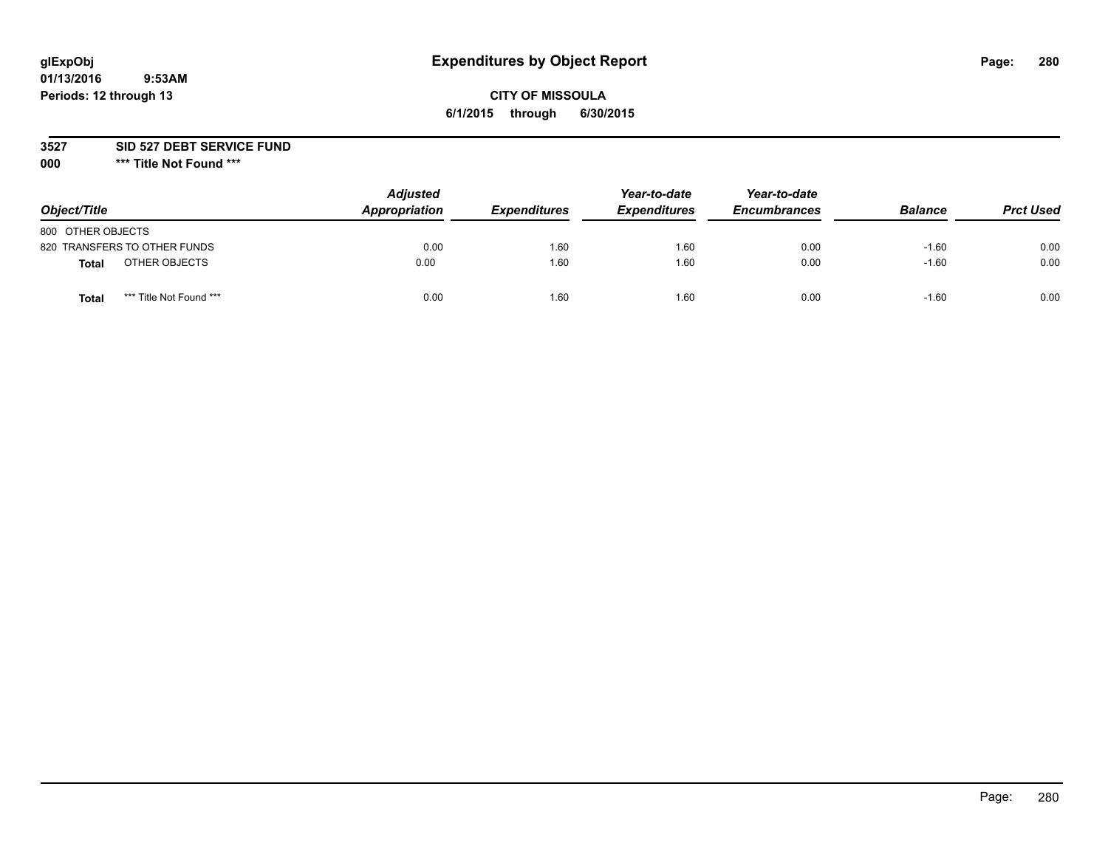# **glExpObj Expenditures by Object Report Page: 280**

## **CITY OF MISSOULA 6/1/2015 through 6/30/2015**

**3527 SID 527 DEBT SERVICE FUND**

**000 \*\*\* Title Not Found \*\*\***

| Object/Title                            | <b>Adjusted</b><br>Appropriation | <b>Expenditures</b> | Year-to-date<br><b>Expenditures</b> | Year-to-date<br><b>Encumbrances</b> | <b>Balance</b> | <b>Prct Used</b> |
|-----------------------------------------|----------------------------------|---------------------|-------------------------------------|-------------------------------------|----------------|------------------|
| 800 OTHER OBJECTS                       |                                  |                     |                                     |                                     |                |                  |
| 820 TRANSFERS TO OTHER FUNDS            | 0.00                             | 1.60                | 1.60                                | 0.00                                | $-1.60$        | 0.00             |
| OTHER OBJECTS<br><b>Total</b>           | 0.00                             | 1.60                | 1.60                                | 0.00                                | $-1.60$        | 0.00             |
| *** Title Not Found ***<br><b>Total</b> | 0.00                             | 1.60                | 1.60                                | 0.00                                | $-1.60$        | 0.00             |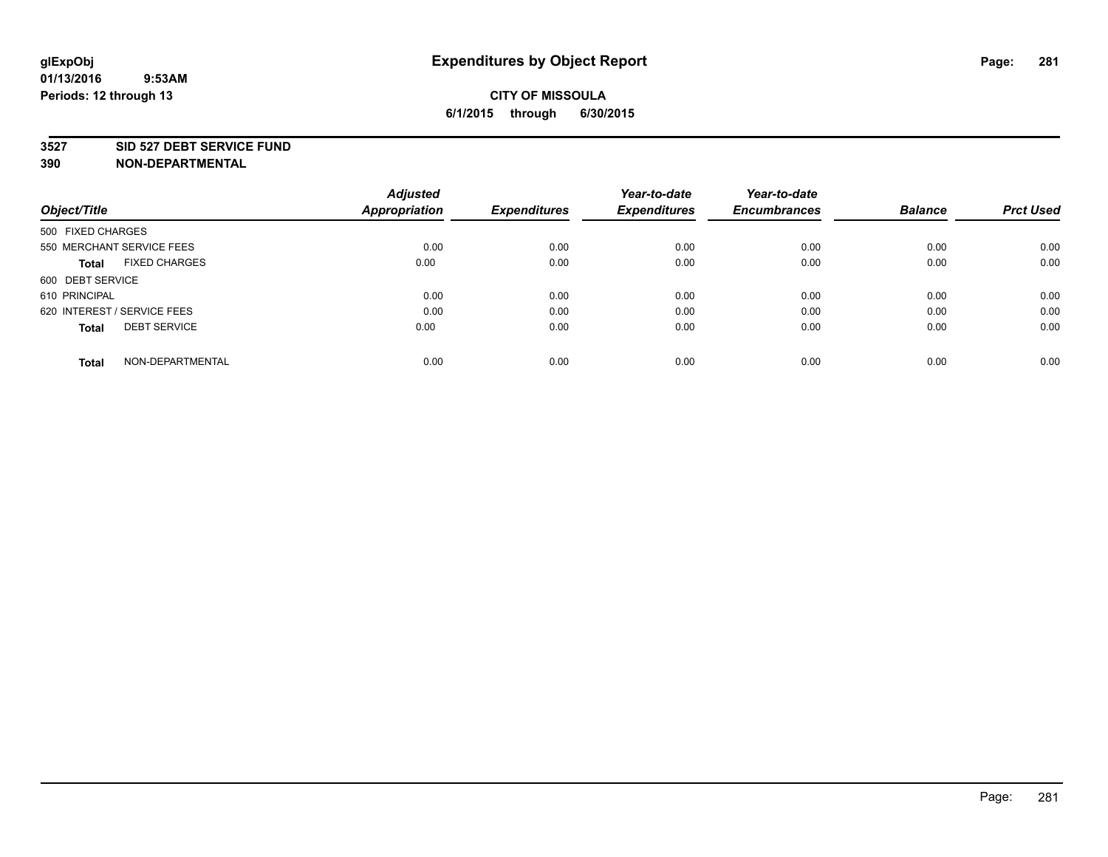#### **3527 SID 527 DEBT SERVICE FUND**

| Object/Title                         | <b>Adjusted</b><br><b>Appropriation</b> | <b>Expenditures</b> | Year-to-date<br><b>Expenditures</b> | Year-to-date<br><b>Encumbrances</b> | <b>Balance</b> | <b>Prct Used</b> |
|--------------------------------------|-----------------------------------------|---------------------|-------------------------------------|-------------------------------------|----------------|------------------|
|                                      |                                         |                     |                                     |                                     |                |                  |
| 500 FIXED CHARGES                    |                                         |                     |                                     |                                     |                |                  |
| 550 MERCHANT SERVICE FEES            | 0.00                                    | 0.00                | 0.00                                | 0.00                                | 0.00           | 0.00             |
| <b>FIXED CHARGES</b><br><b>Total</b> | 0.00                                    | 0.00                | 0.00                                | 0.00                                | 0.00           | 0.00             |
| 600 DEBT SERVICE                     |                                         |                     |                                     |                                     |                |                  |
| 610 PRINCIPAL                        | 0.00                                    | 0.00                | 0.00                                | 0.00                                | 0.00           | 0.00             |
| 620 INTEREST / SERVICE FEES          | 0.00                                    | 0.00                | 0.00                                | 0.00                                | 0.00           | 0.00             |
| <b>DEBT SERVICE</b><br><b>Total</b>  | 0.00                                    | 0.00                | 0.00                                | 0.00                                | 0.00           | 0.00             |
|                                      |                                         |                     |                                     |                                     |                |                  |
| NON-DEPARTMENTAL<br><b>Total</b>     | 0.00                                    | 0.00                | 0.00                                | 0.00                                | 0.00           | 0.00             |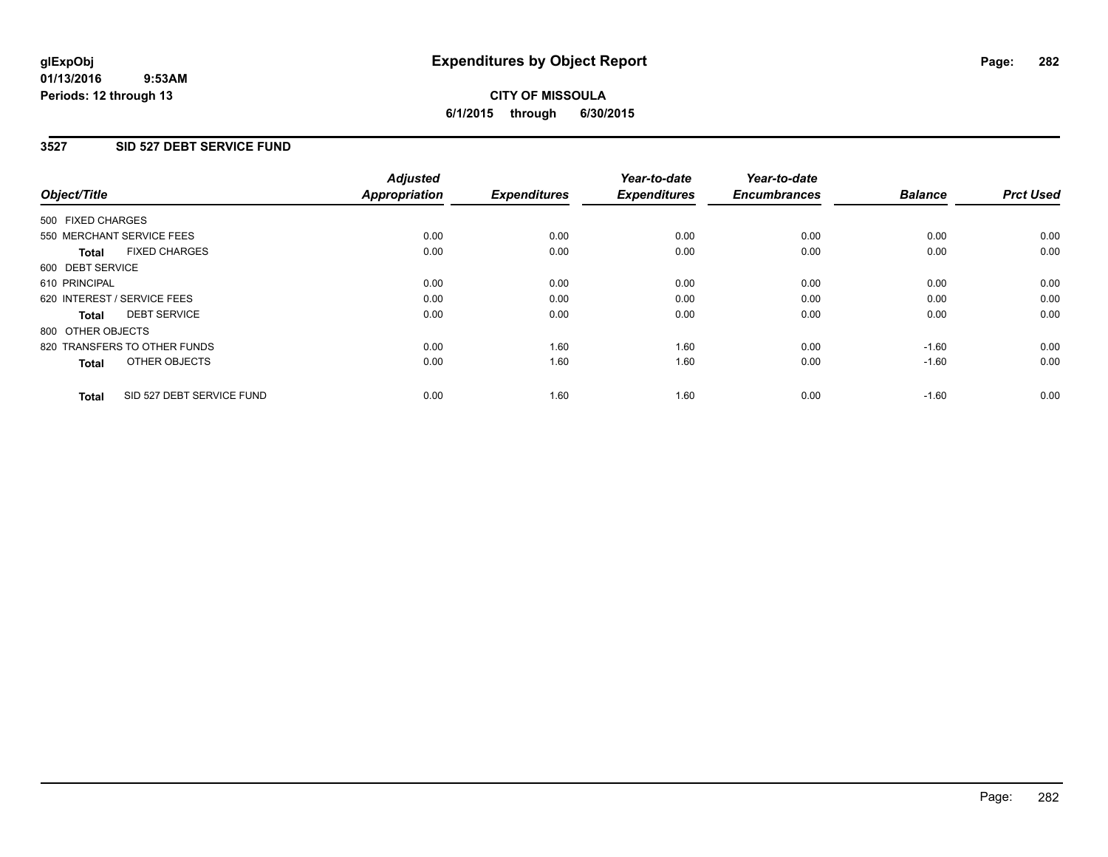#### **01/13/2016 9:53AM Periods: 12 through 13**

# **CITY OF MISSOULA 6/1/2015 through 6/30/2015**

### **3527 SID 527 DEBT SERVICE FUND**

| Object/Title                              | <b>Adjusted</b><br><b>Appropriation</b> | <b>Expenditures</b> | Year-to-date<br><b>Expenditures</b> | Year-to-date<br><b>Encumbrances</b> | <b>Balance</b> | <b>Prct Used</b> |
|-------------------------------------------|-----------------------------------------|---------------------|-------------------------------------|-------------------------------------|----------------|------------------|
|                                           |                                         |                     |                                     |                                     |                |                  |
| 500 FIXED CHARGES                         |                                         |                     |                                     |                                     |                |                  |
| 550 MERCHANT SERVICE FEES                 | 0.00                                    | 0.00                | 0.00                                | 0.00                                | 0.00           | 0.00             |
| <b>FIXED CHARGES</b><br>Total             | 0.00                                    | 0.00                | 0.00                                | 0.00                                | 0.00           | 0.00             |
| 600 DEBT SERVICE                          |                                         |                     |                                     |                                     |                |                  |
| 610 PRINCIPAL                             | 0.00                                    | 0.00                | 0.00                                | 0.00                                | 0.00           | 0.00             |
| 620 INTEREST / SERVICE FEES               | 0.00                                    | 0.00                | 0.00                                | 0.00                                | 0.00           | 0.00             |
| <b>DEBT SERVICE</b><br><b>Total</b>       | 0.00                                    | 0.00                | 0.00                                | 0.00                                | 0.00           | 0.00             |
| 800 OTHER OBJECTS                         |                                         |                     |                                     |                                     |                |                  |
| 820 TRANSFERS TO OTHER FUNDS              | 0.00                                    | 1.60                | 1.60                                | 0.00                                | $-1.60$        | 0.00             |
| OTHER OBJECTS<br><b>Total</b>             | 0.00                                    | 1.60                | 1.60                                | 0.00                                | $-1.60$        | 0.00             |
|                                           |                                         |                     |                                     |                                     |                |                  |
| SID 527 DEBT SERVICE FUND<br><b>Total</b> | 0.00                                    | 1.60                | 1.60                                | 0.00                                | $-1.60$        | 0.00             |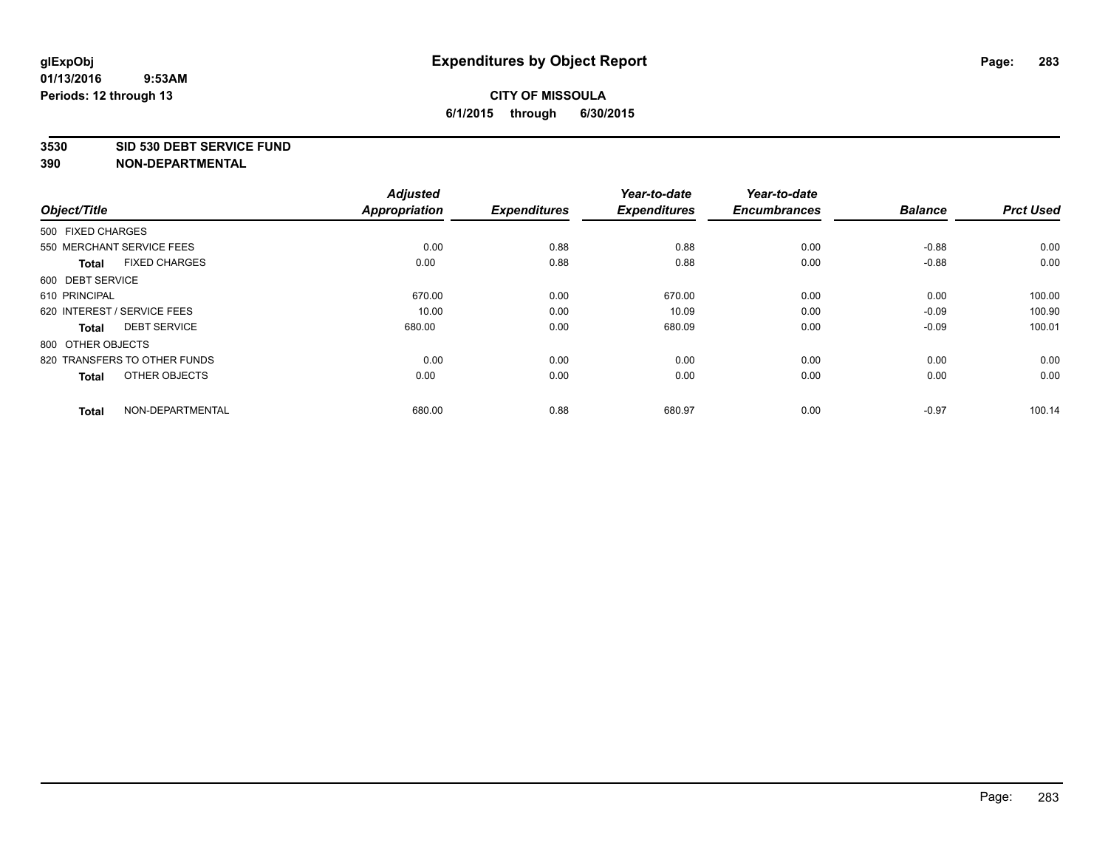#### **3530 SID 530 DEBT SERVICE FUND**

|                                      | <b>Adjusted</b> |                     | Year-to-date        | Year-to-date        |                |                  |
|--------------------------------------|-----------------|---------------------|---------------------|---------------------|----------------|------------------|
| Object/Title                         | Appropriation   | <b>Expenditures</b> | <b>Expenditures</b> | <b>Encumbrances</b> | <b>Balance</b> | <b>Prct Used</b> |
| 500 FIXED CHARGES                    |                 |                     |                     |                     |                |                  |
| 550 MERCHANT SERVICE FEES            | 0.00            | 0.88                | 0.88                | 0.00                | $-0.88$        | 0.00             |
| <b>FIXED CHARGES</b><br><b>Total</b> | 0.00            | 0.88                | 0.88                | 0.00                | $-0.88$        | 0.00             |
| 600 DEBT SERVICE                     |                 |                     |                     |                     |                |                  |
| 610 PRINCIPAL                        | 670.00          | 0.00                | 670.00              | 0.00                | 0.00           | 100.00           |
| 620 INTEREST / SERVICE FEES          | 10.00           | 0.00                | 10.09               | 0.00                | $-0.09$        | 100.90           |
| <b>DEBT SERVICE</b><br><b>Total</b>  | 680.00          | 0.00                | 680.09              | 0.00                | $-0.09$        | 100.01           |
| 800 OTHER OBJECTS                    |                 |                     |                     |                     |                |                  |
| 820 TRANSFERS TO OTHER FUNDS         | 0.00            | 0.00                | 0.00                | 0.00                | 0.00           | 0.00             |
| OTHER OBJECTS<br><b>Total</b>        | 0.00            | 0.00                | 0.00                | 0.00                | 0.00           | 0.00             |
|                                      |                 |                     |                     |                     |                |                  |
| NON-DEPARTMENTAL<br><b>Total</b>     | 680.00          | 0.88                | 680.97              | 0.00                | $-0.97$        | 100.14           |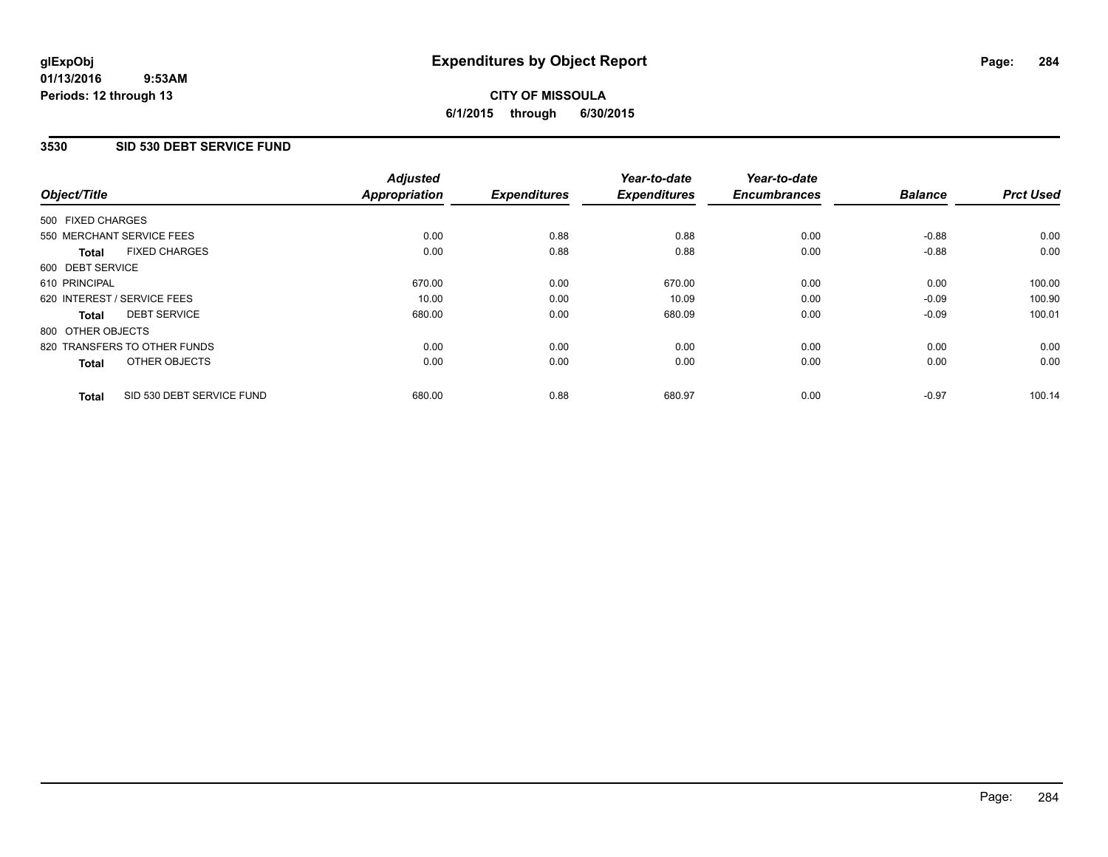#### **01/13/2016 9:53AM Periods: 12 through 13**

# **CITY OF MISSOULA 6/1/2015 through 6/30/2015**

### **3530 SID 530 DEBT SERVICE FUND**

|                   |                              | <b>Adjusted</b>      |                     | Year-to-date        | Year-to-date        |                |                  |
|-------------------|------------------------------|----------------------|---------------------|---------------------|---------------------|----------------|------------------|
| Object/Title      |                              | <b>Appropriation</b> | <b>Expenditures</b> | <b>Expenditures</b> | <b>Encumbrances</b> | <b>Balance</b> | <b>Prct Used</b> |
| 500 FIXED CHARGES |                              |                      |                     |                     |                     |                |                  |
|                   | 550 MERCHANT SERVICE FEES    | 0.00                 | 0.88                | 0.88                | 0.00                | $-0.88$        | 0.00             |
| <b>Total</b>      | <b>FIXED CHARGES</b>         | 0.00                 | 0.88                | 0.88                | 0.00                | $-0.88$        | 0.00             |
| 600 DEBT SERVICE  |                              |                      |                     |                     |                     |                |                  |
| 610 PRINCIPAL     |                              | 670.00               | 0.00                | 670.00              | 0.00                | 0.00           | 100.00           |
|                   | 620 INTEREST / SERVICE FEES  | 10.00                | 0.00                | 10.09               | 0.00                | $-0.09$        | 100.90           |
| <b>Total</b>      | <b>DEBT SERVICE</b>          | 680.00               | 0.00                | 680.09              | 0.00                | $-0.09$        | 100.01           |
| 800 OTHER OBJECTS |                              |                      |                     |                     |                     |                |                  |
|                   | 820 TRANSFERS TO OTHER FUNDS | 0.00                 | 0.00                | 0.00                | 0.00                | 0.00           | 0.00             |
| <b>Total</b>      | OTHER OBJECTS                | 0.00                 | 0.00                | 0.00                | 0.00                | 0.00           | 0.00             |
| <b>Total</b>      | SID 530 DEBT SERVICE FUND    | 680.00               | 0.88                | 680.97              | 0.00                | $-0.97$        | 100.14           |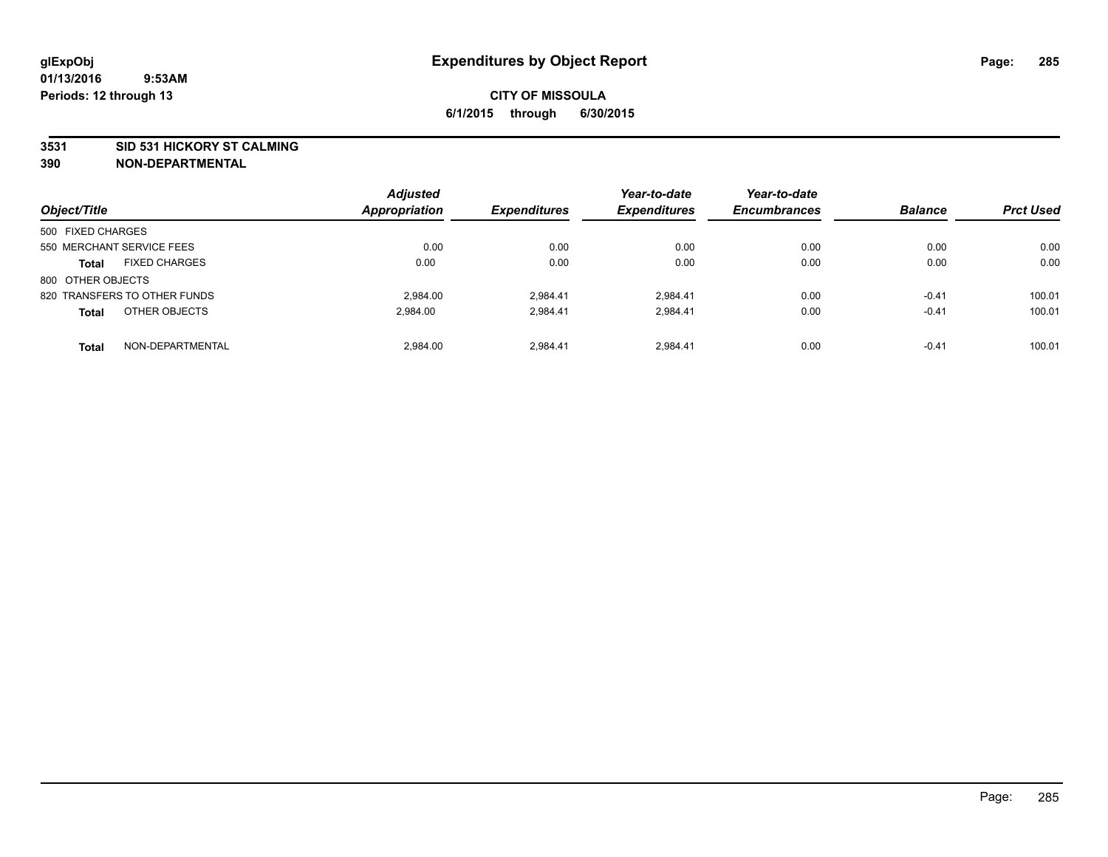#### **3531 SID 531 HICKORY ST CALMING**

| Object/Title                         | <b>Adjusted</b><br>Appropriation | <b>Expenditures</b> | Year-to-date<br><b>Expenditures</b> | Year-to-date<br><b>Encumbrances</b> | <b>Balance</b> | <b>Prct Used</b> |
|--------------------------------------|----------------------------------|---------------------|-------------------------------------|-------------------------------------|----------------|------------------|
| 500 FIXED CHARGES                    |                                  |                     |                                     |                                     |                |                  |
| 550 MERCHANT SERVICE FEES            | 0.00                             | 0.00                | 0.00                                | 0.00                                | 0.00           | 0.00             |
| <b>FIXED CHARGES</b><br><b>Total</b> | 0.00                             | 0.00                | 0.00                                | 0.00                                | 0.00           | 0.00             |
| 800 OTHER OBJECTS                    |                                  |                     |                                     |                                     |                |                  |
| 820 TRANSFERS TO OTHER FUNDS         | 2.984.00                         | 2.984.41            | 2.984.41                            | 0.00                                | $-0.41$        | 100.01           |
| OTHER OBJECTS<br><b>Total</b>        | 2.984.00                         | 2.984.41            | 2.984.41                            | 0.00                                | $-0.41$        | 100.01           |
| NON-DEPARTMENTAL<br><b>Total</b>     | 2.984.00                         | 2.984.41            | 2.984.41                            | 0.00                                | $-0.41$        | 100.01           |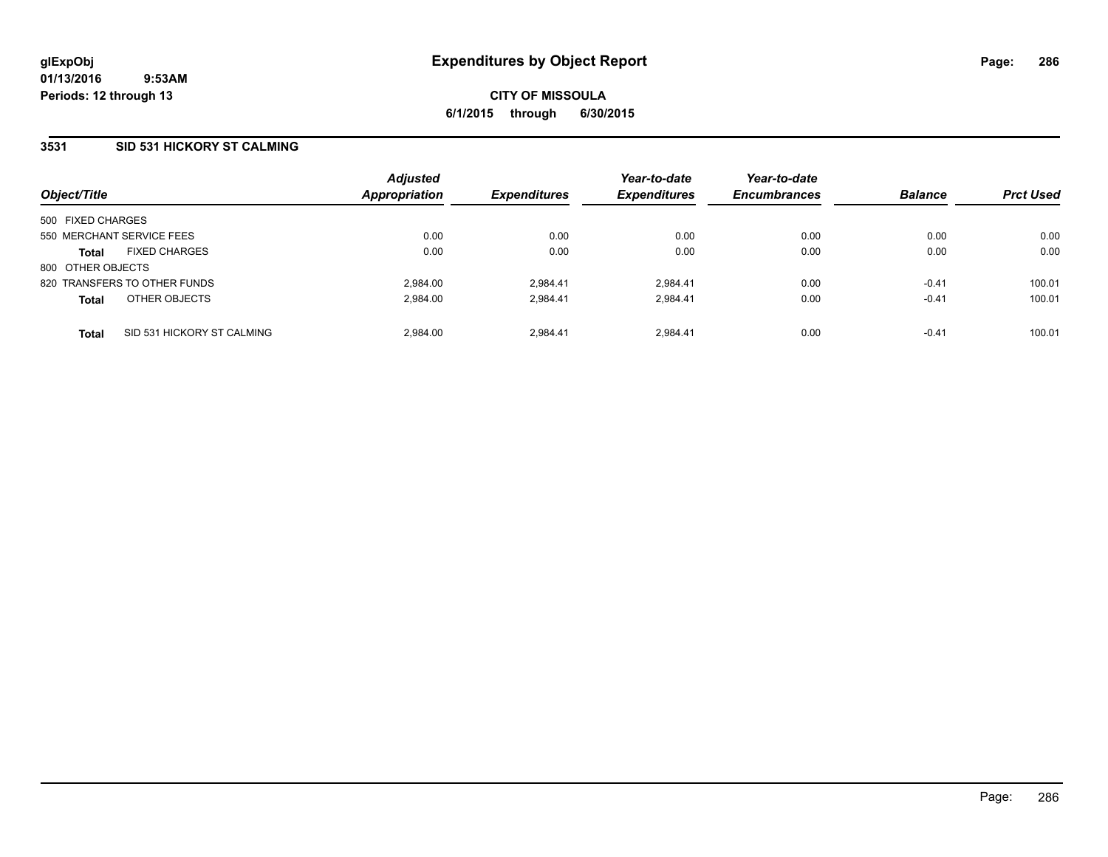### **3531 SID 531 HICKORY ST CALMING**

| Object/Title      |                              | <b>Adjusted</b><br><b>Appropriation</b> | <b>Expenditures</b> | Year-to-date<br><b>Expenditures</b> | Year-to-date<br><b>Encumbrances</b> | <b>Balance</b> | <b>Prct Used</b> |
|-------------------|------------------------------|-----------------------------------------|---------------------|-------------------------------------|-------------------------------------|----------------|------------------|
| 500 FIXED CHARGES |                              |                                         |                     |                                     |                                     |                |                  |
|                   | 550 MERCHANT SERVICE FEES    | 0.00                                    | 0.00                | 0.00                                | 0.00                                | 0.00           | 0.00             |
| <b>Total</b>      | <b>FIXED CHARGES</b>         | 0.00                                    | 0.00                | 0.00                                | 0.00                                | 0.00           | 0.00             |
| 800 OTHER OBJECTS |                              |                                         |                     |                                     |                                     |                |                  |
|                   | 820 TRANSFERS TO OTHER FUNDS | 2.984.00                                | 2.984.41            | 2.984.41                            | 0.00                                | $-0.41$        | 100.01           |
| <b>Total</b>      | OTHER OBJECTS                | 2.984.00                                | 2.984.41            | 2.984.41                            | 0.00                                | $-0.41$        | 100.01           |
| <b>Total</b>      | SID 531 HICKORY ST CALMING   | 2.984.00                                | 2.984.41            | 2.984.41                            | 0.00                                | $-0.41$        | 100.01           |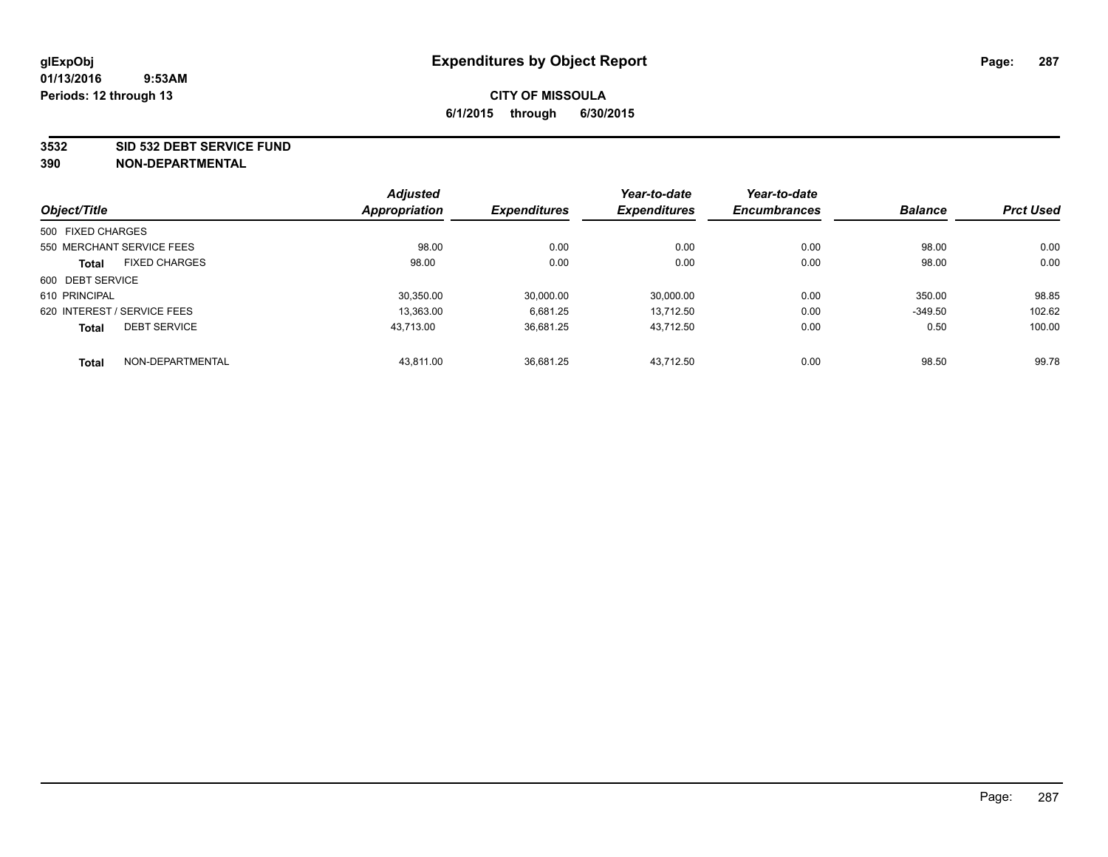#### **3532 SID 532 DEBT SERVICE FUND**

|                                      | <b>Adjusted</b> |                     | Year-to-date        | Year-to-date        |                |                  |
|--------------------------------------|-----------------|---------------------|---------------------|---------------------|----------------|------------------|
| Object/Title                         | Appropriation   | <b>Expenditures</b> | <b>Expenditures</b> | <b>Encumbrances</b> | <b>Balance</b> | <b>Prct Used</b> |
| 500 FIXED CHARGES                    |                 |                     |                     |                     |                |                  |
| 550 MERCHANT SERVICE FEES            | 98.00           | 0.00                | 0.00                | 0.00                | 98.00          | 0.00             |
| <b>FIXED CHARGES</b><br><b>Total</b> | 98.00           | 0.00                | 0.00                | 0.00                | 98.00          | 0.00             |
| 600 DEBT SERVICE                     |                 |                     |                     |                     |                |                  |
| 610 PRINCIPAL                        | 30.350.00       | 30.000.00           | 30,000.00           | 0.00                | 350.00         | 98.85            |
| 620 INTEREST / SERVICE FEES          | 13.363.00       | 6,681.25            | 13.712.50           | 0.00                | $-349.50$      | 102.62           |
| <b>DEBT SERVICE</b><br><b>Total</b>  | 43.713.00       | 36,681.25           | 43.712.50           | 0.00                | 0.50           | 100.00           |
| NON-DEPARTMENTAL<br><b>Total</b>     | 43.811.00       | 36.681.25           | 43.712.50           | 0.00                | 98.50          | 99.78            |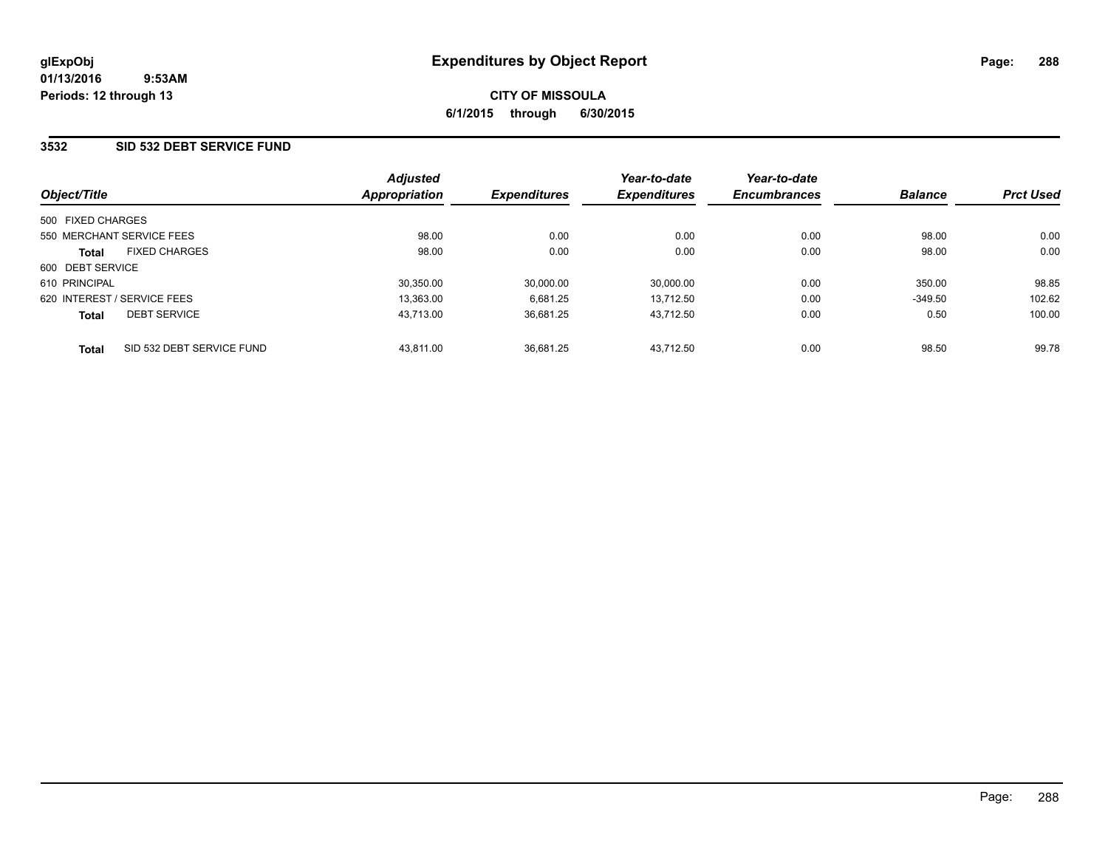### **3532 SID 532 DEBT SERVICE FUND**

| Object/Title                |                           | <b>Adjusted</b><br><b>Appropriation</b> | <b>Expenditures</b> | Year-to-date<br><b>Expenditures</b> | Year-to-date<br><b>Encumbrances</b> | <b>Balance</b> | <b>Prct Used</b> |
|-----------------------------|---------------------------|-----------------------------------------|---------------------|-------------------------------------|-------------------------------------|----------------|------------------|
| 500 FIXED CHARGES           |                           |                                         |                     |                                     |                                     |                |                  |
| 550 MERCHANT SERVICE FEES   |                           | 98.00                                   | 0.00                | 0.00                                | 0.00                                | 98.00          | 0.00             |
| <b>Total</b>                | <b>FIXED CHARGES</b>      | 98.00                                   | 0.00                | 0.00                                | 0.00                                | 98.00          | 0.00             |
| 600 DEBT SERVICE            |                           |                                         |                     |                                     |                                     |                |                  |
| 610 PRINCIPAL               |                           | 30,350.00                               | 30,000.00           | 30,000.00                           | 0.00                                | 350.00         | 98.85            |
| 620 INTEREST / SERVICE FEES |                           | 13.363.00                               | 6.681.25            | 13.712.50                           | 0.00                                | $-349.50$      | 102.62           |
| <b>Total</b>                | <b>DEBT SERVICE</b>       | 43.713.00                               | 36.681.25           | 43.712.50                           | 0.00                                | 0.50           | 100.00           |
| <b>Total</b>                | SID 532 DEBT SERVICE FUND | 43.811.00                               | 36.681.25           | 43.712.50                           | 0.00                                | 98.50          | 99.78            |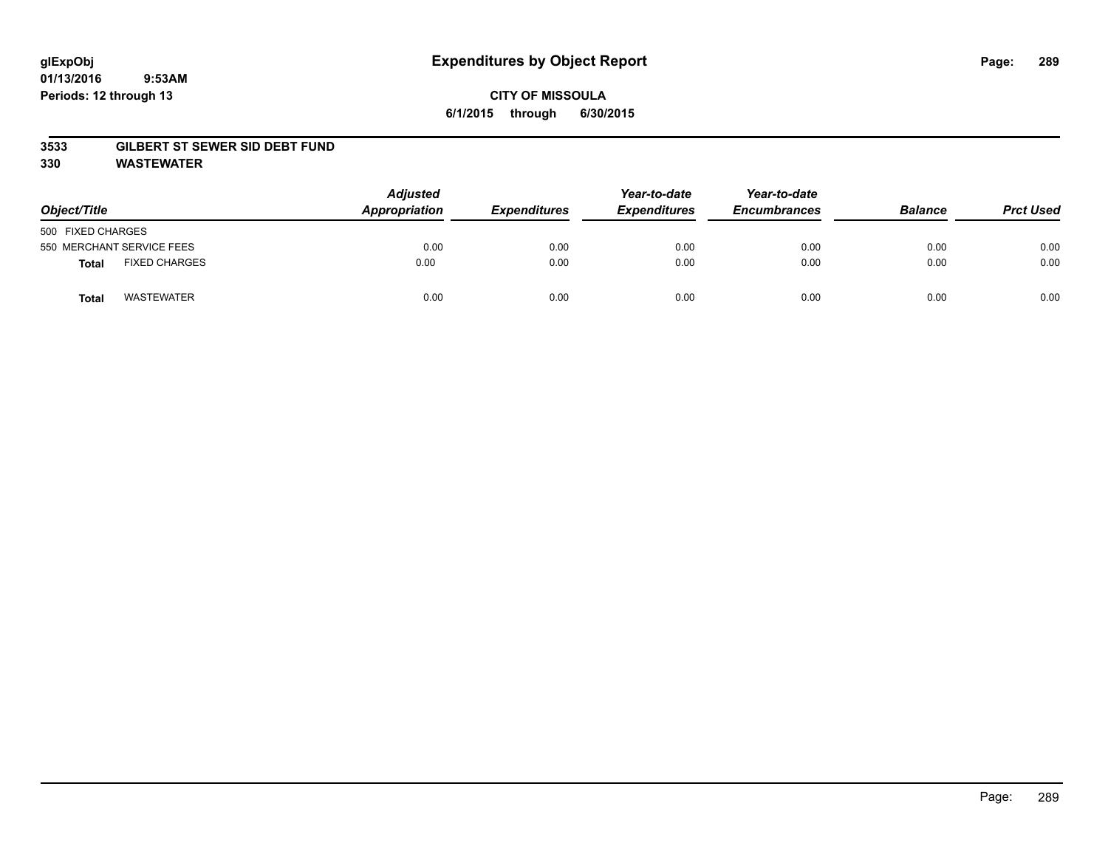# **CITY OF MISSOULA 6/1/2015 through 6/30/2015**

### **3533 GILBERT ST SEWER SID DEBT FUND**

**330 WASTEWATER**

| Object/Title                         | <b>Adjusted</b><br>Appropriation | <b>Expenditures</b> | Year-to-date<br><b>Expenditures</b> | Year-to-date<br><b>Encumbrances</b> | <b>Balance</b> | <b>Prct Used</b> |
|--------------------------------------|----------------------------------|---------------------|-------------------------------------|-------------------------------------|----------------|------------------|
| 500 FIXED CHARGES                    |                                  |                     |                                     |                                     |                |                  |
| 550 MERCHANT SERVICE FEES            | 0.00                             | 0.00                | 0.00                                | 0.00                                | 0.00           | 0.00             |
| <b>FIXED CHARGES</b><br><b>Total</b> | 0.00                             | 0.00                | 0.00                                | 0.00                                | 0.00           | 0.00             |
| <b>WASTEWATER</b><br>Total           | 0.00                             | 0.00                | 0.00                                | 0.00                                | 0.00           | 0.00             |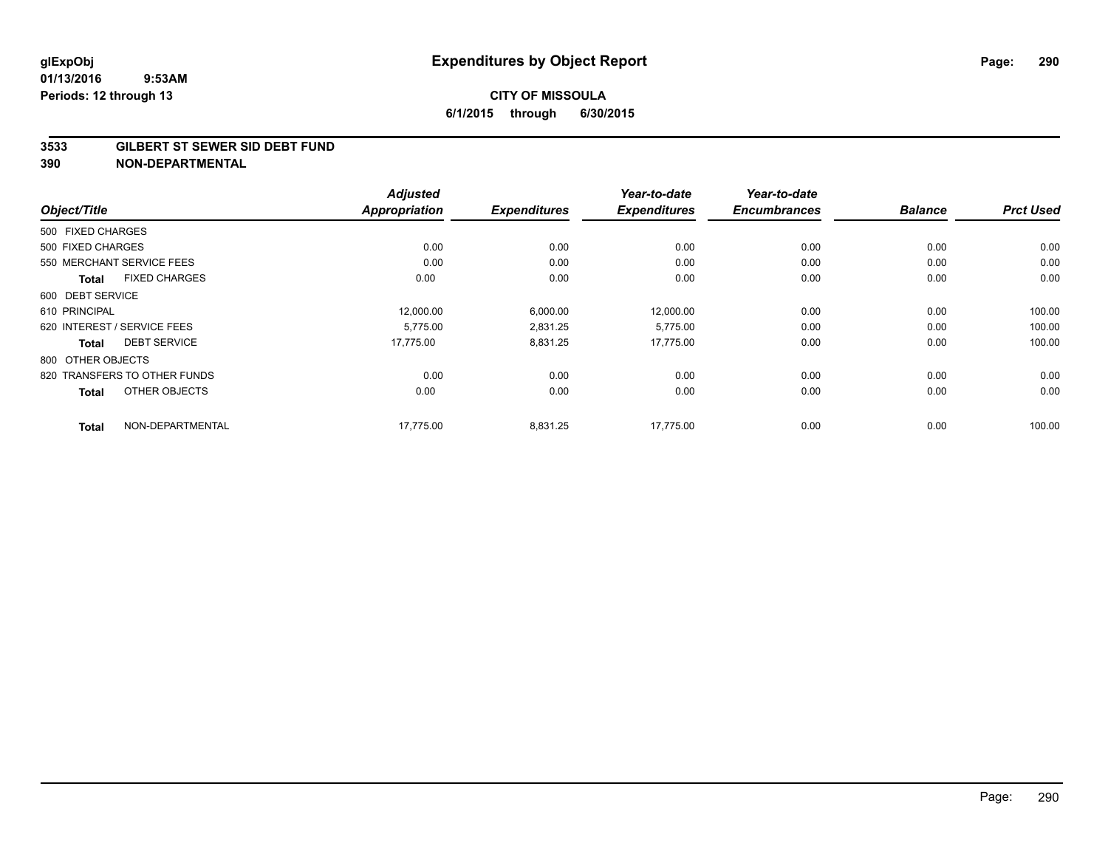### **3533 GILBERT ST SEWER SID DEBT FUND**

|                                      | <b>Adjusted</b>      |                     | Year-to-date        | Year-to-date        |                |                  |
|--------------------------------------|----------------------|---------------------|---------------------|---------------------|----------------|------------------|
| Object/Title                         | <b>Appropriation</b> | <b>Expenditures</b> | <b>Expenditures</b> | <b>Encumbrances</b> | <b>Balance</b> | <b>Prct Used</b> |
| 500 FIXED CHARGES                    |                      |                     |                     |                     |                |                  |
| 500 FIXED CHARGES                    | 0.00                 | 0.00                | 0.00                | 0.00                | 0.00           | 0.00             |
| 550 MERCHANT SERVICE FEES            | 0.00                 | 0.00                | 0.00                | 0.00                | 0.00           | 0.00             |
| <b>FIXED CHARGES</b><br><b>Total</b> | 0.00                 | 0.00                | 0.00                | 0.00                | 0.00           | 0.00             |
| 600 DEBT SERVICE                     |                      |                     |                     |                     |                |                  |
| 610 PRINCIPAL                        | 12,000.00            | 6,000.00            | 12,000.00           | 0.00                | 0.00           | 100.00           |
| 620 INTEREST / SERVICE FEES          | 5,775.00             | 2,831.25            | 5,775.00            | 0.00                | 0.00           | 100.00           |
| <b>DEBT SERVICE</b><br>Total         | 17,775.00            | 8,831.25            | 17,775.00           | 0.00                | 0.00           | 100.00           |
| 800 OTHER OBJECTS                    |                      |                     |                     |                     |                |                  |
| 820 TRANSFERS TO OTHER FUNDS         | 0.00                 | 0.00                | 0.00                | 0.00                | 0.00           | 0.00             |
| OTHER OBJECTS<br><b>Total</b>        | 0.00                 | 0.00                | 0.00                | 0.00                | 0.00           | 0.00             |
| NON-DEPARTMENTAL<br><b>Total</b>     | 17,775.00            | 8,831.25            | 17.775.00           | 0.00                | 0.00           | 100.00           |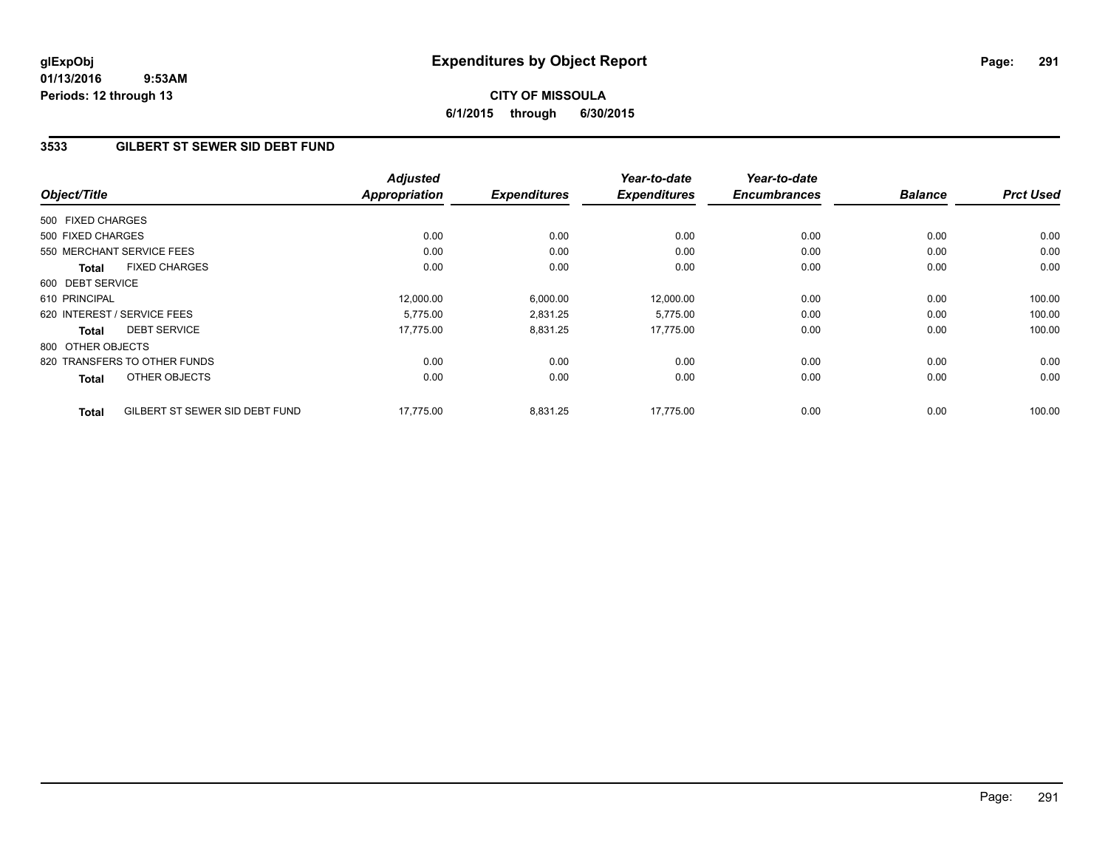# **CITY OF MISSOULA 6/1/2015 through 6/30/2015**

## **3533 GILBERT ST SEWER SID DEBT FUND**

| Object/Title      |                                | <b>Adjusted</b><br><b>Appropriation</b> | <b>Expenditures</b> | Year-to-date<br><b>Expenditures</b> | Year-to-date<br><b>Encumbrances</b> | <b>Balance</b> | <b>Prct Used</b> |
|-------------------|--------------------------------|-----------------------------------------|---------------------|-------------------------------------|-------------------------------------|----------------|------------------|
|                   |                                |                                         |                     |                                     |                                     |                |                  |
| 500 FIXED CHARGES |                                |                                         |                     |                                     |                                     |                |                  |
| 500 FIXED CHARGES |                                | 0.00                                    | 0.00                | 0.00                                | 0.00                                | 0.00           | 0.00             |
|                   | 550 MERCHANT SERVICE FEES      | 0.00                                    | 0.00                | 0.00                                | 0.00                                | 0.00           | 0.00             |
| <b>Total</b>      | <b>FIXED CHARGES</b>           | 0.00                                    | 0.00                | 0.00                                | 0.00                                | 0.00           | 0.00             |
| 600 DEBT SERVICE  |                                |                                         |                     |                                     |                                     |                |                  |
| 610 PRINCIPAL     |                                | 12,000.00                               | 6,000.00            | 12,000.00                           | 0.00                                | 0.00           | 100.00           |
|                   | 620 INTEREST / SERVICE FEES    | 5.775.00                                | 2,831.25            | 5,775.00                            | 0.00                                | 0.00           | 100.00           |
| <b>Total</b>      | <b>DEBT SERVICE</b>            | 17,775.00                               | 8,831.25            | 17.775.00                           | 0.00                                | 0.00           | 100.00           |
| 800 OTHER OBJECTS |                                |                                         |                     |                                     |                                     |                |                  |
|                   | 820 TRANSFERS TO OTHER FUNDS   | 0.00                                    | 0.00                | 0.00                                | 0.00                                | 0.00           | 0.00             |
| <b>Total</b>      | OTHER OBJECTS                  | 0.00                                    | 0.00                | 0.00                                | 0.00                                | 0.00           | 0.00             |
| <b>Total</b>      | GILBERT ST SEWER SID DEBT FUND | 17.775.00                               | 8,831.25            | 17.775.00                           | 0.00                                | 0.00           | 100.00           |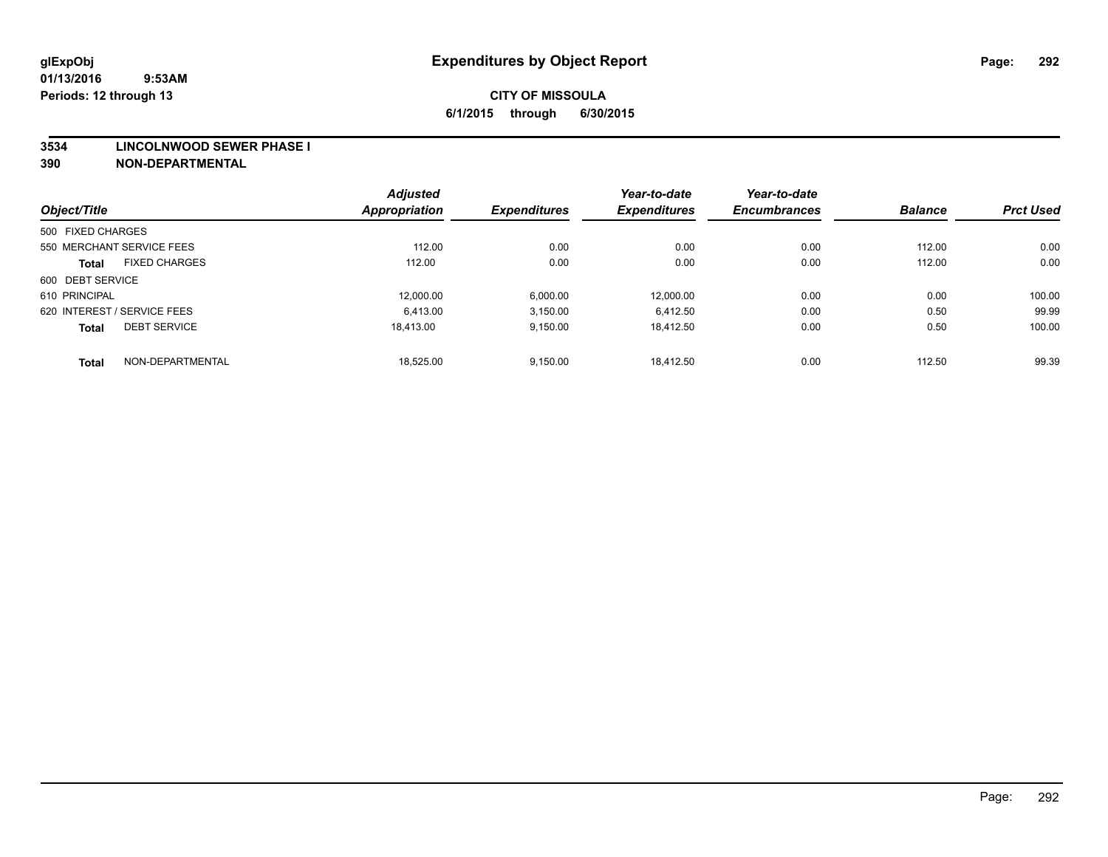### **3534 LINCOLNWOOD SEWER PHASE I**

|                             |                      | <b>Adjusted</b>      |                     | Year-to-date        | Year-to-date        | <b>Balance</b> | <b>Prct Used</b> |
|-----------------------------|----------------------|----------------------|---------------------|---------------------|---------------------|----------------|------------------|
| Object/Title                |                      | <b>Appropriation</b> | <b>Expenditures</b> | <b>Expenditures</b> | <b>Encumbrances</b> |                |                  |
| 500 FIXED CHARGES           |                      |                      |                     |                     |                     |                |                  |
| 550 MERCHANT SERVICE FEES   |                      | 112.00               | 0.00                | 0.00                | 0.00                | 112.00         | 0.00             |
| <b>Total</b>                | <b>FIXED CHARGES</b> | 112.00               | 0.00                | 0.00                | 0.00                | 112.00         | 0.00             |
| 600 DEBT SERVICE            |                      |                      |                     |                     |                     |                |                  |
| 610 PRINCIPAL               |                      | 12.000.00            | 6,000.00            | 12.000.00           | 0.00                | 0.00           | 100.00           |
| 620 INTEREST / SERVICE FEES |                      | 6,413.00             | 3,150.00            | 6.412.50            | 0.00                | 0.50           | 99.99            |
| <b>Total</b>                | <b>DEBT SERVICE</b>  | 18.413.00            | 9,150.00            | 18.412.50           | 0.00                | 0.50           | 100.00           |
| <b>Total</b>                | NON-DEPARTMENTAL     | 18,525.00            | 9.150.00            | 18.412.50           | 0.00                | 112.50         | 99.39            |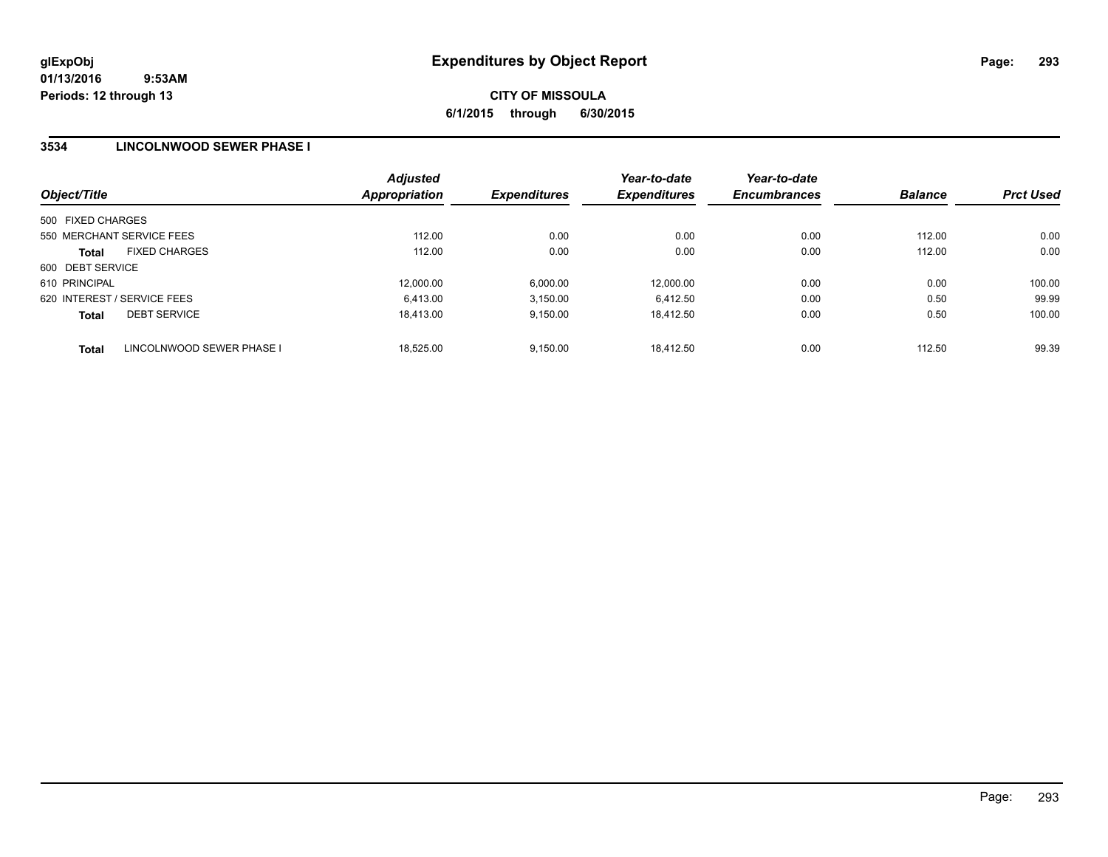**CITY OF MISSOULA 6/1/2015 through 6/30/2015**

### **3534 LINCOLNWOOD SEWER PHASE I**

| Object/Title      |                             | <b>Adjusted</b><br><b>Appropriation</b> | <b>Expenditures</b> | Year-to-date<br><b>Expenditures</b> | Year-to-date<br><b>Encumbrances</b> | <b>Balance</b> | <b>Prct Used</b> |
|-------------------|-----------------------------|-----------------------------------------|---------------------|-------------------------------------|-------------------------------------|----------------|------------------|
| 500 FIXED CHARGES |                             |                                         |                     |                                     |                                     |                |                  |
|                   | 550 MERCHANT SERVICE FEES   | 112.00                                  | 0.00                | 0.00                                | 0.00                                | 112.00         | 0.00             |
| <b>Total</b>      | <b>FIXED CHARGES</b>        | 112.00                                  | 0.00                | 0.00                                | 0.00                                | 112.00         | 0.00             |
| 600 DEBT SERVICE  |                             |                                         |                     |                                     |                                     |                |                  |
| 610 PRINCIPAL     |                             | 12,000.00                               | 6,000.00            | 12.000.00                           | 0.00                                | 0.00           | 100.00           |
|                   | 620 INTEREST / SERVICE FEES | 6,413.00                                | 3.150.00            | 6.412.50                            | 0.00                                | 0.50           | 99.99            |
| <b>Total</b>      | <b>DEBT SERVICE</b>         | 18.413.00                               | 9.150.00            | 18.412.50                           | 0.00                                | 0.50           | 100.00           |
| <b>Total</b>      | LINCOLNWOOD SEWER PHASE I   | 18,525.00                               | 9.150.00            | 18.412.50                           | 0.00                                | 112.50         | 99.39            |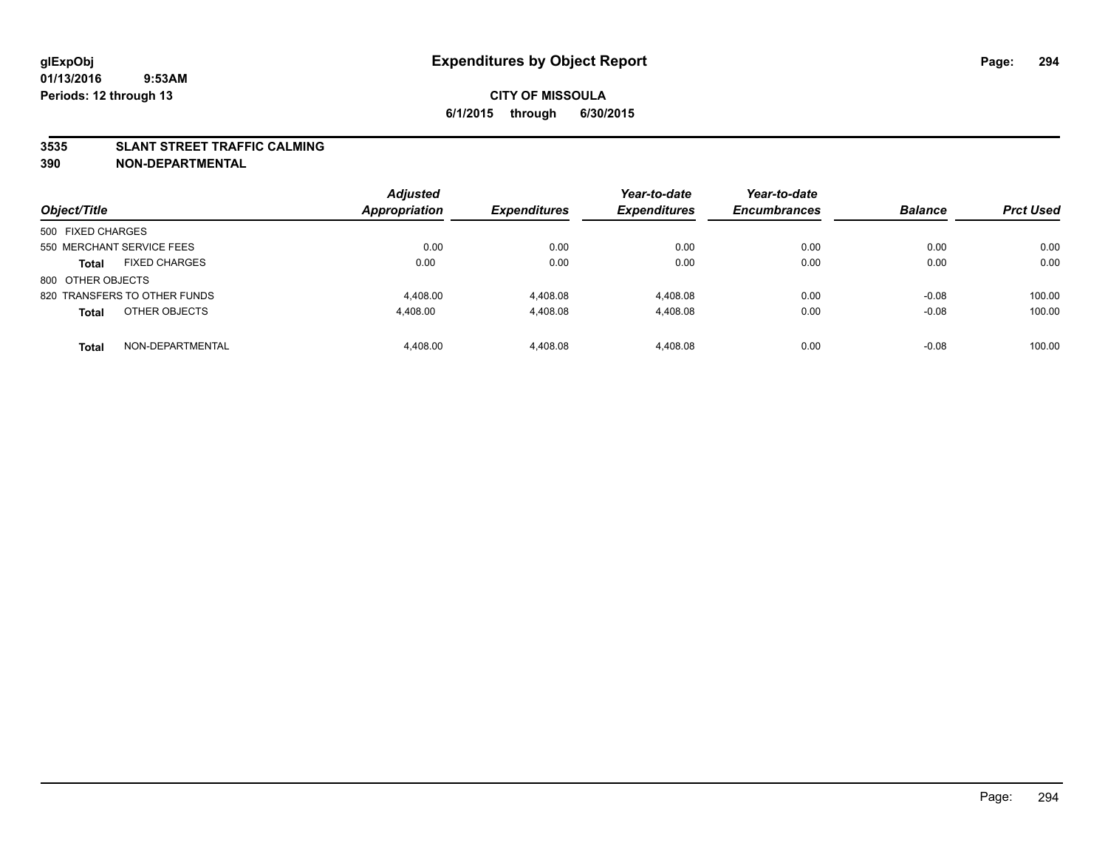### **3535 SLANT STREET TRAFFIC CALMING**

| Object/Title                         |                  | <b>Adjusted</b><br><b>Appropriation</b> | <b>Expenditures</b> | Year-to-date<br><b>Expenditures</b> | Year-to-date<br><b>Encumbrances</b> | <b>Balance</b> | <b>Prct Used</b> |
|--------------------------------------|------------------|-----------------------------------------|---------------------|-------------------------------------|-------------------------------------|----------------|------------------|
| 500 FIXED CHARGES                    |                  |                                         |                     |                                     |                                     |                |                  |
| 550 MERCHANT SERVICE FEES            |                  | 0.00                                    | 0.00                | 0.00                                | 0.00                                | 0.00           | 0.00             |
| <b>FIXED CHARGES</b><br><b>Total</b> |                  | 0.00                                    | 0.00                | 0.00                                | 0.00                                | 0.00           | 0.00             |
| 800 OTHER OBJECTS                    |                  |                                         |                     |                                     |                                     |                |                  |
| 820 TRANSFERS TO OTHER FUNDS         |                  | 4.408.00                                | 4,408.08            | 4.408.08                            | 0.00                                | $-0.08$        | 100.00           |
| OTHER OBJECTS<br><b>Total</b>        |                  | 4,408.00                                | 4,408.08            | 4,408.08                            | 0.00                                | $-0.08$        | 100.00           |
| <b>Total</b>                         | NON-DEPARTMENTAL | 4.408.00                                | 4.408.08            | 4.408.08                            | 0.00                                | $-0.08$        | 100.00           |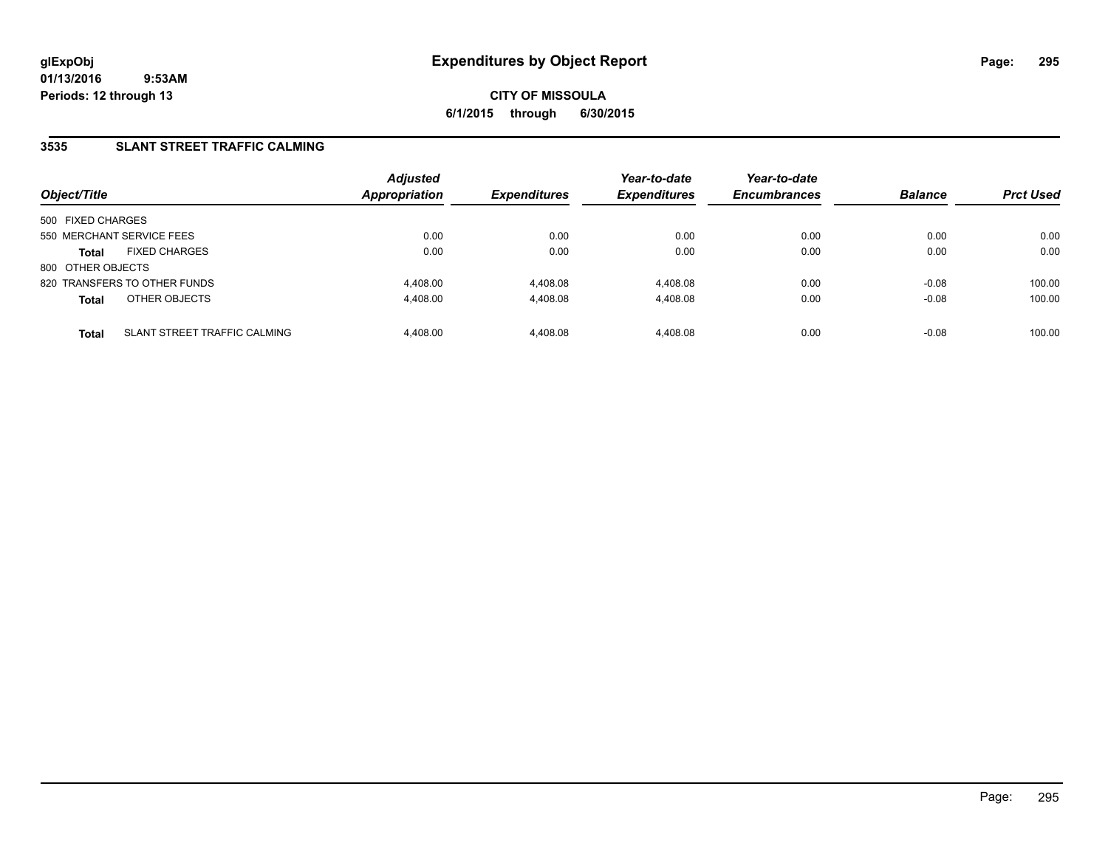## **3535 SLANT STREET TRAFFIC CALMING**

| Object/Title              |                              | <b>Adjusted</b><br><b>Appropriation</b> | <b>Expenditures</b> | Year-to-date<br><b>Expenditures</b> | Year-to-date<br><b>Encumbrances</b> | <b>Balance</b> | <b>Prct Used</b> |
|---------------------------|------------------------------|-----------------------------------------|---------------------|-------------------------------------|-------------------------------------|----------------|------------------|
| 500 FIXED CHARGES         |                              |                                         |                     |                                     |                                     |                |                  |
| 550 MERCHANT SERVICE FEES |                              | 0.00                                    | 0.00                | 0.00                                | 0.00                                | 0.00           | 0.00             |
| <b>Total</b>              | <b>FIXED CHARGES</b>         | 0.00                                    | 0.00                | 0.00                                | 0.00                                | 0.00           | 0.00             |
| 800 OTHER OBJECTS         |                              |                                         |                     |                                     |                                     |                |                  |
|                           | 820 TRANSFERS TO OTHER FUNDS | 4.408.00                                | 4,408.08            | 4.408.08                            | 0.00                                | $-0.08$        | 100.00           |
| <b>Total</b>              | OTHER OBJECTS                | 4.408.00                                | 4,408.08            | 4.408.08                            | 0.00                                | $-0.08$        | 100.00           |
| <b>Total</b>              | SLANT STREET TRAFFIC CALMING | 4,408.00                                | 4,408.08            | 4.408.08                            | 0.00                                | $-0.08$        | 100.00           |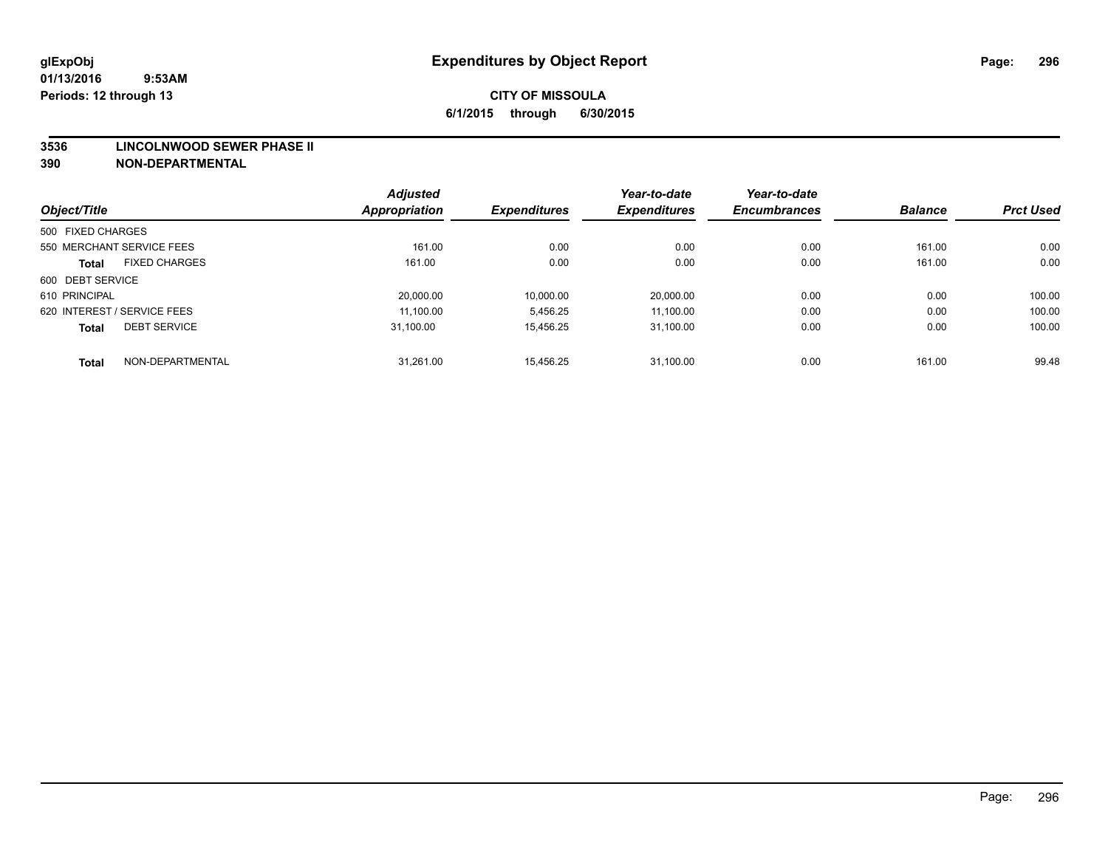### **3536 LINCOLNWOOD SEWER PHASE II**

|                                      | <b>Adjusted</b> |                     | Year-to-date        | Year-to-date        |                |                  |
|--------------------------------------|-----------------|---------------------|---------------------|---------------------|----------------|------------------|
| Object/Title                         | Appropriation   | <b>Expenditures</b> | <b>Expenditures</b> | <b>Encumbrances</b> | <b>Balance</b> | <b>Prct Used</b> |
| 500 FIXED CHARGES                    |                 |                     |                     |                     |                |                  |
| 550 MERCHANT SERVICE FEES            | 161.00          | 0.00                | 0.00                | 0.00                | 161.00         | 0.00             |
| <b>FIXED CHARGES</b><br><b>Total</b> | 161.00          | 0.00                | 0.00                | 0.00                | 161.00         | 0.00             |
| 600 DEBT SERVICE                     |                 |                     |                     |                     |                |                  |
| 610 PRINCIPAL                        | 20,000.00       | 10,000.00           | 20,000.00           | 0.00                | 0.00           | 100.00           |
| 620 INTEREST / SERVICE FEES          | 11.100.00       | 5,456.25            | 11.100.00           | 0.00                | 0.00           | 100.00           |
| <b>DEBT SERVICE</b><br><b>Total</b>  | 31.100.00       | 15.456.25           | 31.100.00           | 0.00                | 0.00           | 100.00           |
| NON-DEPARTMENTAL<br><b>Total</b>     | 31.261.00       | 15.456.25           | 31.100.00           | 0.00                | 161.00         | 99.48            |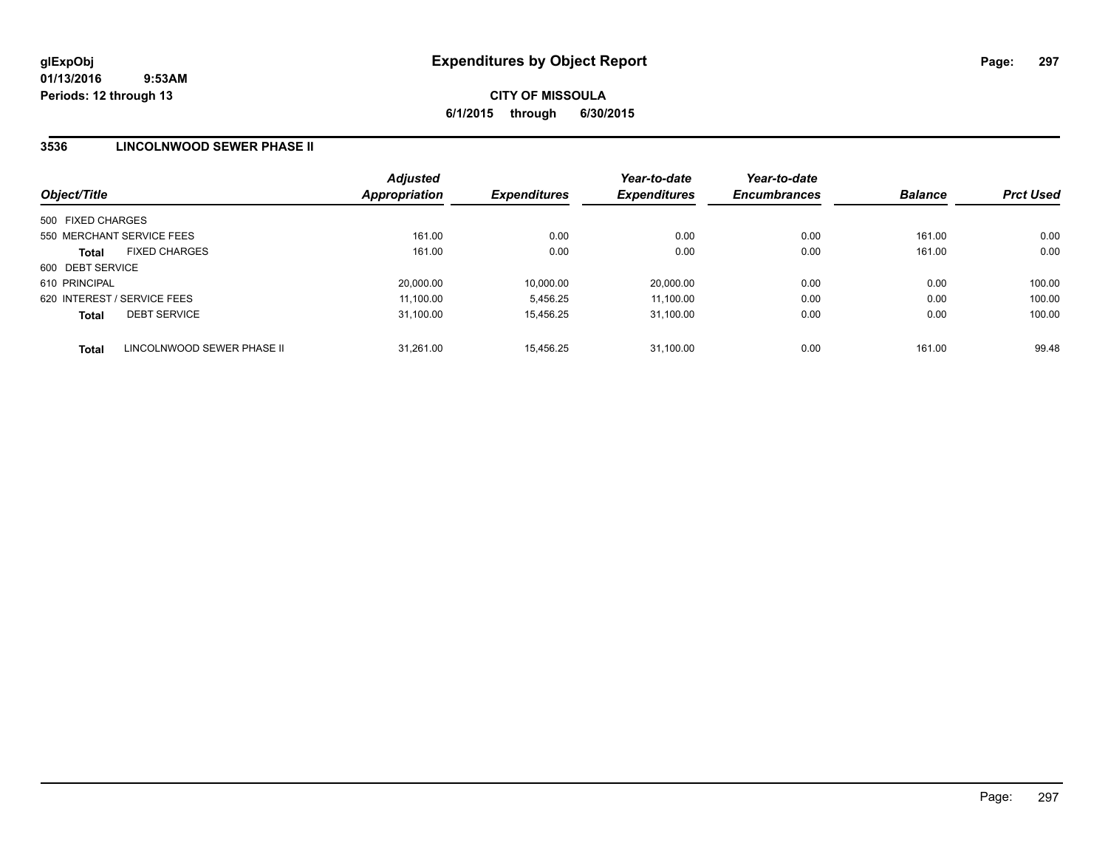**CITY OF MISSOULA 6/1/2015 through 6/30/2015**

### **3536 LINCOLNWOOD SEWER PHASE II**

| Object/Title                |                            | <b>Adjusted</b><br>Appropriation | <b>Expenditures</b> | Year-to-date<br><b>Expenditures</b> | Year-to-date<br><b>Encumbrances</b> | <b>Balance</b> | <b>Prct Used</b> |
|-----------------------------|----------------------------|----------------------------------|---------------------|-------------------------------------|-------------------------------------|----------------|------------------|
| 500 FIXED CHARGES           |                            |                                  |                     |                                     |                                     |                |                  |
| 550 MERCHANT SERVICE FEES   |                            | 161.00                           | 0.00                | 0.00                                | 0.00                                | 161.00         | 0.00             |
| <b>Total</b>                | <b>FIXED CHARGES</b>       | 161.00                           | 0.00                | 0.00                                | 0.00                                | 161.00         | 0.00             |
| 600 DEBT SERVICE            |                            |                                  |                     |                                     |                                     |                |                  |
| 610 PRINCIPAL               |                            | 20,000.00                        | 10,000.00           | 20,000.00                           | 0.00                                | 0.00           | 100.00           |
| 620 INTEREST / SERVICE FEES |                            | 11.100.00                        | 5.456.25            | 11.100.00                           | 0.00                                | 0.00           | 100.00           |
| <b>Total</b>                | <b>DEBT SERVICE</b>        | 31.100.00                        | 15.456.25           | 31.100.00                           | 0.00                                | 0.00           | 100.00           |
| <b>Total</b>                | LINCOLNWOOD SEWER PHASE II | 31.261.00                        | 15.456.25           | 31.100.00                           | 0.00                                | 161.00         | 99.48            |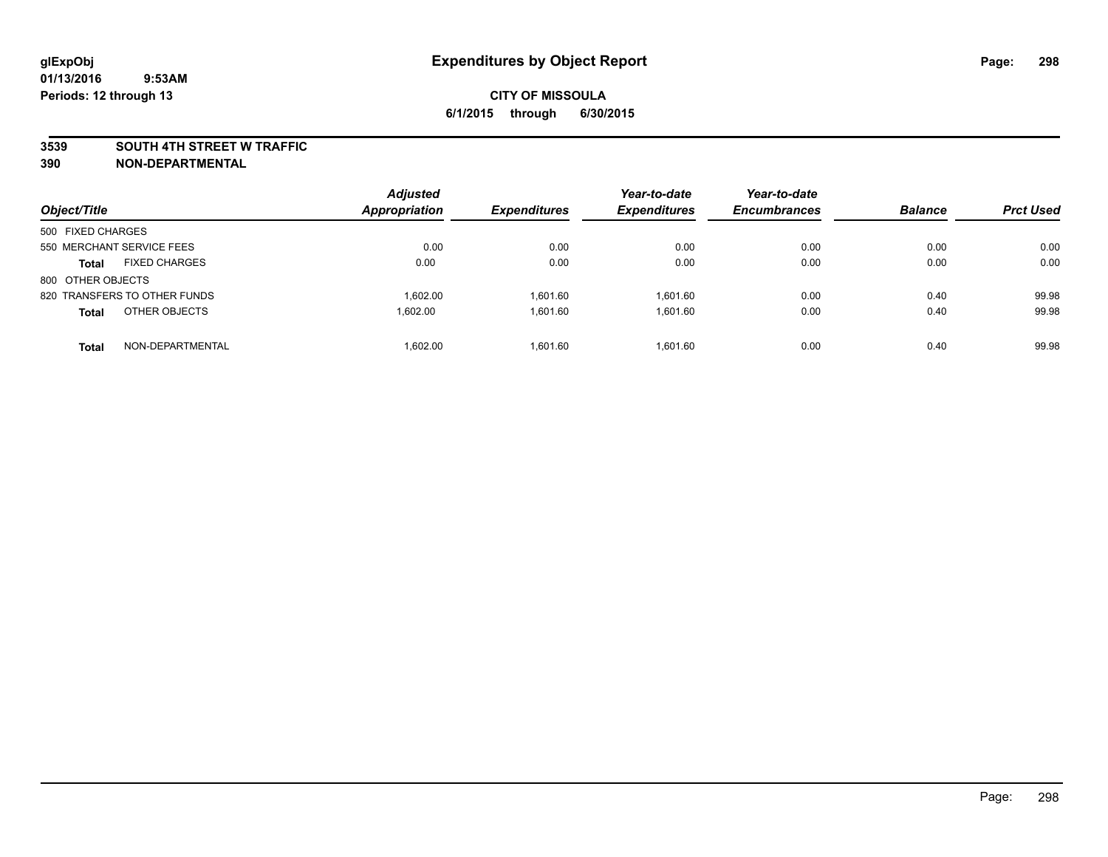### **3539 SOUTH 4TH STREET W TRAFFIC**

| Object/Title                         | <b>Adjusted</b><br><b>Appropriation</b> | <b>Expenditures</b> | Year-to-date<br><b>Expenditures</b> | Year-to-date<br><b>Encumbrances</b> | <b>Balance</b> | <b>Prct Used</b> |
|--------------------------------------|-----------------------------------------|---------------------|-------------------------------------|-------------------------------------|----------------|------------------|
| 500 FIXED CHARGES                    |                                         |                     |                                     |                                     |                |                  |
| 550 MERCHANT SERVICE FEES            | 0.00                                    | 0.00                | 0.00                                | 0.00                                | 0.00           | 0.00             |
| <b>FIXED CHARGES</b><br><b>Total</b> | 0.00                                    | 0.00                | 0.00                                | 0.00                                | 0.00           | 0.00             |
| 800 OTHER OBJECTS                    |                                         |                     |                                     |                                     |                |                  |
| 820 TRANSFERS TO OTHER FUNDS         | 1.602.00                                | 1.601.60            | 1.601.60                            | 0.00                                | 0.40           | 99.98            |
| OTHER OBJECTS<br><b>Total</b>        | 1,602.00                                | 1,601.60            | 1.601.60                            | 0.00                                | 0.40           | 99.98            |
| NON-DEPARTMENTAL<br><b>Total</b>     | 1.602.00                                | 1.601.60            | 1.601.60                            | 0.00                                | 0.40           | 99.98            |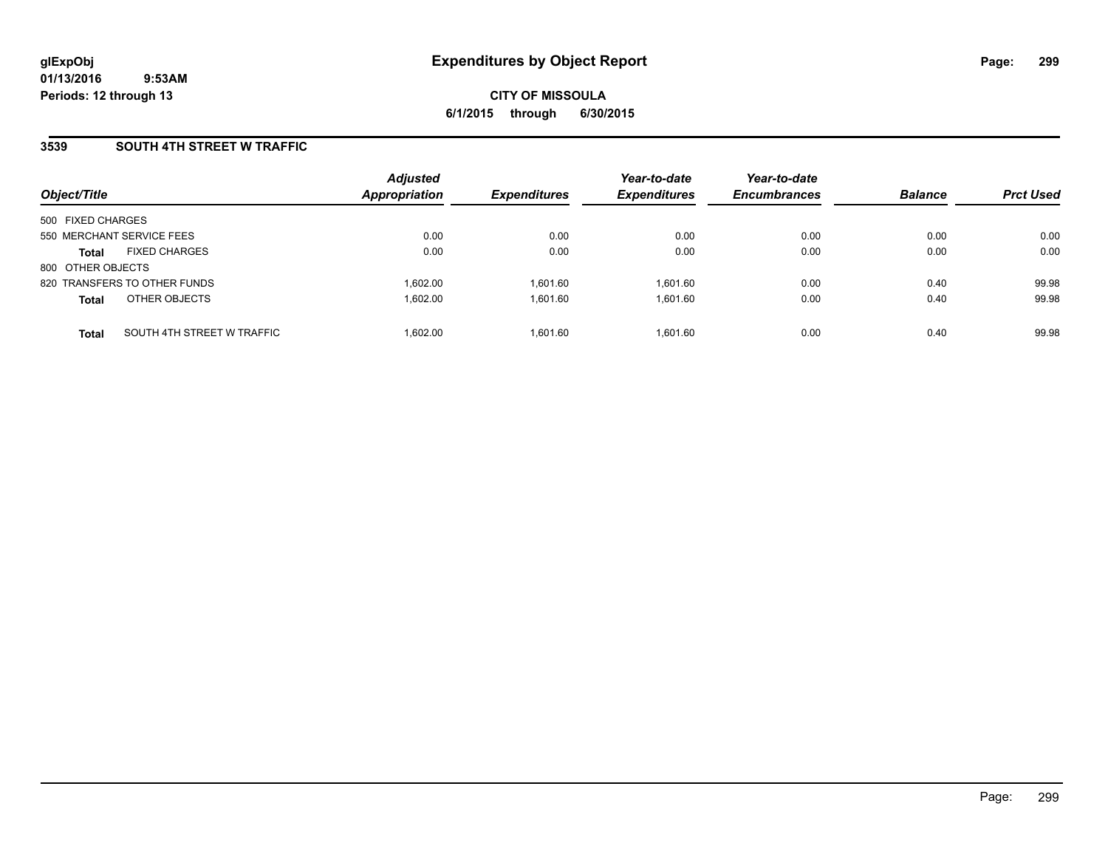## **3539 SOUTH 4TH STREET W TRAFFIC**

| Object/Title              |                              | <b>Adjusted</b><br><b>Appropriation</b> | <b>Expenditures</b> | Year-to-date<br><b>Expenditures</b> | Year-to-date<br><b>Encumbrances</b> | <b>Balance</b> | <b>Prct Used</b> |
|---------------------------|------------------------------|-----------------------------------------|---------------------|-------------------------------------|-------------------------------------|----------------|------------------|
| 500 FIXED CHARGES         |                              |                                         |                     |                                     |                                     |                |                  |
| 550 MERCHANT SERVICE FEES |                              | 0.00                                    | 0.00                | 0.00                                | 0.00                                | 0.00           | 0.00             |
| <b>Total</b>              | <b>FIXED CHARGES</b>         | 0.00                                    | 0.00                | 0.00                                | 0.00                                | 0.00           | 0.00             |
| 800 OTHER OBJECTS         |                              |                                         |                     |                                     |                                     |                |                  |
|                           | 820 TRANSFERS TO OTHER FUNDS | 1.602.00                                | 1.601.60            | 1.601.60                            | 0.00                                | 0.40           | 99.98            |
| <b>Total</b>              | OTHER OBJECTS                | 1.602.00                                | 1,601.60            | 1,601.60                            | 0.00                                | 0.40           | 99.98            |
| <b>Total</b>              | SOUTH 4TH STREET W TRAFFIC   | 1.602.00                                | 1.601.60            | 1.601.60                            | 0.00                                | 0.40           | 99.98            |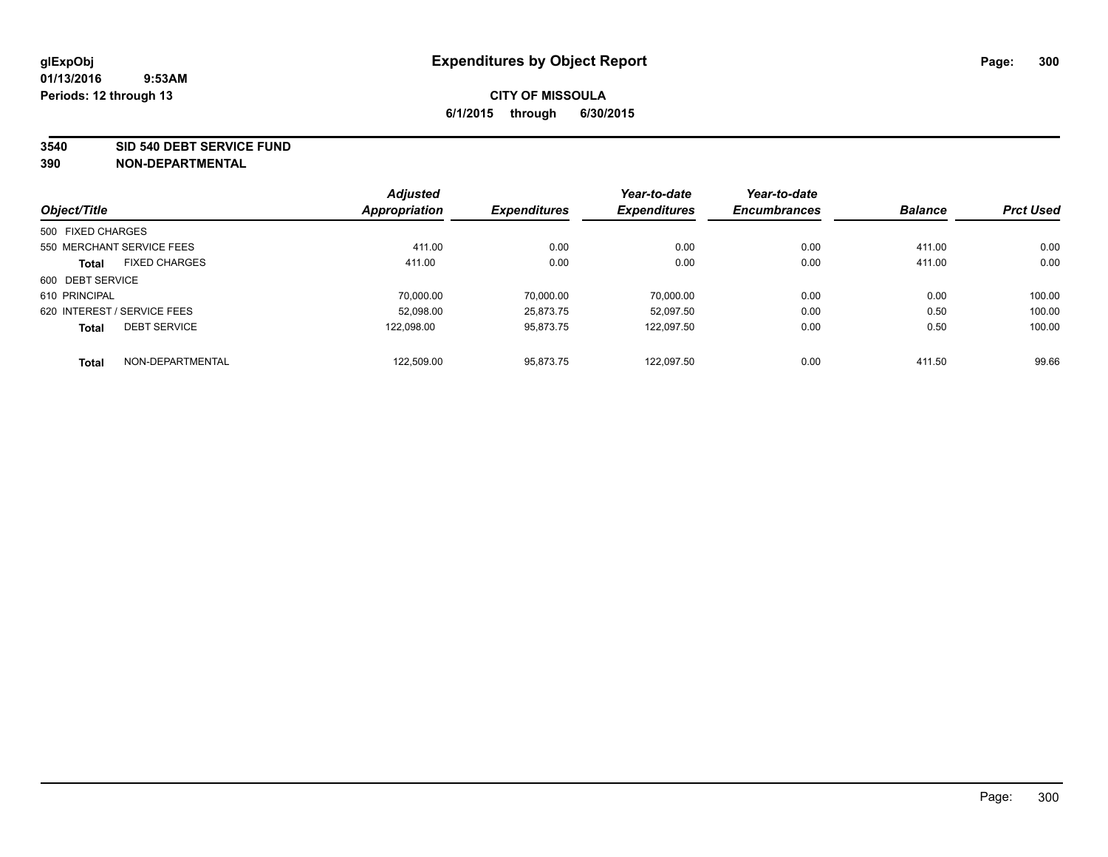### **3540 SID 540 DEBT SERVICE FUND**

|                   |                             | <b>Adjusted</b> |                     | Year-to-date        | Year-to-date        |                |                  |
|-------------------|-----------------------------|-----------------|---------------------|---------------------|---------------------|----------------|------------------|
| Object/Title      |                             | Appropriation   | <b>Expenditures</b> | <b>Expenditures</b> | <b>Encumbrances</b> | <b>Balance</b> | <b>Prct Used</b> |
| 500 FIXED CHARGES |                             |                 |                     |                     |                     |                |                  |
|                   | 550 MERCHANT SERVICE FEES   | 411.00          | 0.00                | 0.00                | 0.00                | 411.00         | 0.00             |
| <b>Total</b>      | <b>FIXED CHARGES</b>        | 411.00          | 0.00                | 0.00                | 0.00                | 411.00         | 0.00             |
| 600 DEBT SERVICE  |                             |                 |                     |                     |                     |                |                  |
| 610 PRINCIPAL     |                             | 70.000.00       | 70.000.00           | 70.000.00           | 0.00                | 0.00           | 100.00           |
|                   | 620 INTEREST / SERVICE FEES | 52,098.00       | 25.873.75           | 52.097.50           | 0.00                | 0.50           | 100.00           |
| <b>Total</b>      | <b>DEBT SERVICE</b>         | 122.098.00      | 95.873.75           | 122.097.50          | 0.00                | 0.50           | 100.00           |
| <b>Total</b>      | NON-DEPARTMENTAL            | 122,509.00      | 95.873.75           | 122.097.50          | 0.00                | 411.50         | 99.66            |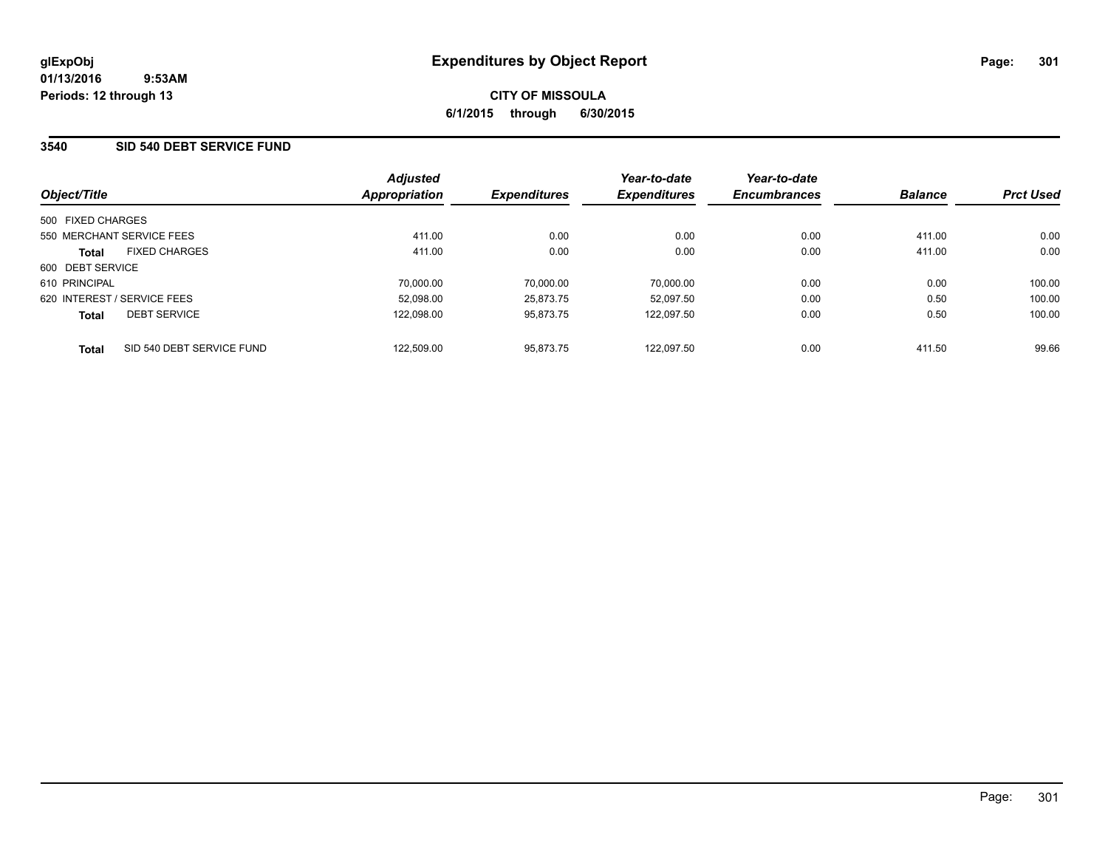## **3540 SID 540 DEBT SERVICE FUND**

| Object/Title                |                           | <b>Adjusted</b><br>Appropriation | <b>Expenditures</b> | Year-to-date<br><b>Expenditures</b> | Year-to-date<br><b>Encumbrances</b> | <b>Balance</b> | <b>Prct Used</b> |
|-----------------------------|---------------------------|----------------------------------|---------------------|-------------------------------------|-------------------------------------|----------------|------------------|
|                             |                           |                                  |                     |                                     |                                     |                |                  |
| 500 FIXED CHARGES           |                           |                                  |                     |                                     |                                     |                |                  |
| 550 MERCHANT SERVICE FEES   |                           | 411.00                           | 0.00                | 0.00                                | 0.00                                | 411.00         | 0.00             |
| <b>Total</b>                | <b>FIXED CHARGES</b>      | 411.00                           | 0.00                | 0.00                                | 0.00                                | 411.00         | 0.00             |
| 600 DEBT SERVICE            |                           |                                  |                     |                                     |                                     |                |                  |
| 610 PRINCIPAL               |                           | 70,000.00                        | 70.000.00           | 70.000.00                           | 0.00                                | 0.00           | 100.00           |
| 620 INTEREST / SERVICE FEES |                           | 52.098.00                        | 25.873.75           | 52.097.50                           | 0.00                                | 0.50           | 100.00           |
| <b>Total</b>                | <b>DEBT SERVICE</b>       | 122.098.00                       | 95.873.75           | 122.097.50                          | 0.00                                | 0.50           | 100.00           |
| <b>Total</b>                | SID 540 DEBT SERVICE FUND | 122,509.00                       | 95.873.75           | 122.097.50                          | 0.00                                | 411.50         | 99.66            |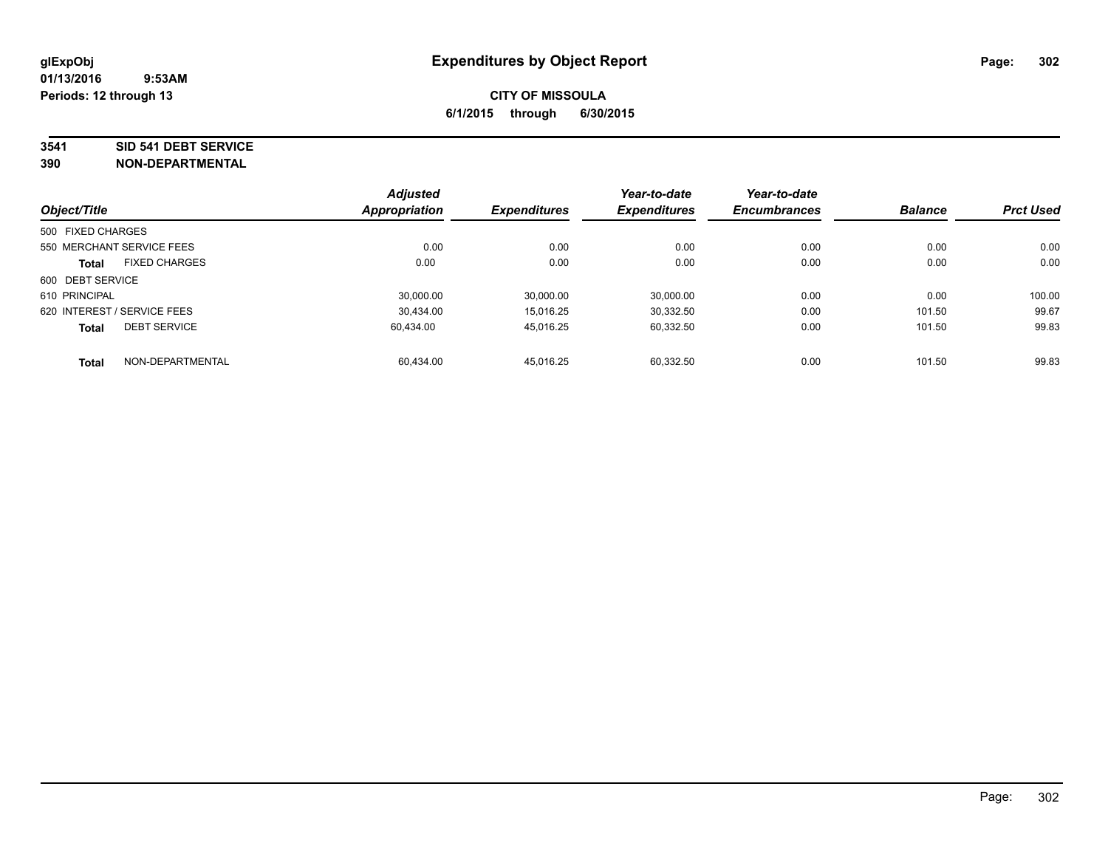### **3541 SID 541 DEBT SERVICE**

|                                      | <b>Adjusted</b>      |                     | Year-to-date        | Year-to-date        |                |                  |
|--------------------------------------|----------------------|---------------------|---------------------|---------------------|----------------|------------------|
| Object/Title                         | <b>Appropriation</b> | <b>Expenditures</b> | <b>Expenditures</b> | <b>Encumbrances</b> | <b>Balance</b> | <b>Prct Used</b> |
| 500 FIXED CHARGES                    |                      |                     |                     |                     |                |                  |
| 550 MERCHANT SERVICE FEES            |                      | 0.00<br>0.00        | 0.00                | 0.00                | 0.00           | 0.00             |
| <b>FIXED CHARGES</b><br><b>Total</b> |                      | 0.00<br>0.00        | 0.00                | 0.00                | 0.00           | 0.00             |
| 600 DEBT SERVICE                     |                      |                     |                     |                     |                |                  |
| 610 PRINCIPAL                        | 30.000.00            | 30,000.00           | 30.000.00           | 0.00                | 0.00           | 100.00           |
| 620 INTEREST / SERVICE FEES          | 30,434.00            | 15.016.25           | 30.332.50           | 0.00                | 101.50         | 99.67            |
| <b>DEBT SERVICE</b><br><b>Total</b>  | 60.434.00            | 45,016.25           | 60.332.50           | 0.00                | 101.50         | 99.83            |
| NON-DEPARTMENTAL<br><b>Total</b>     | 60,434.00            | 45.016.25           | 60.332.50           | 0.00                | 101.50         | 99.83            |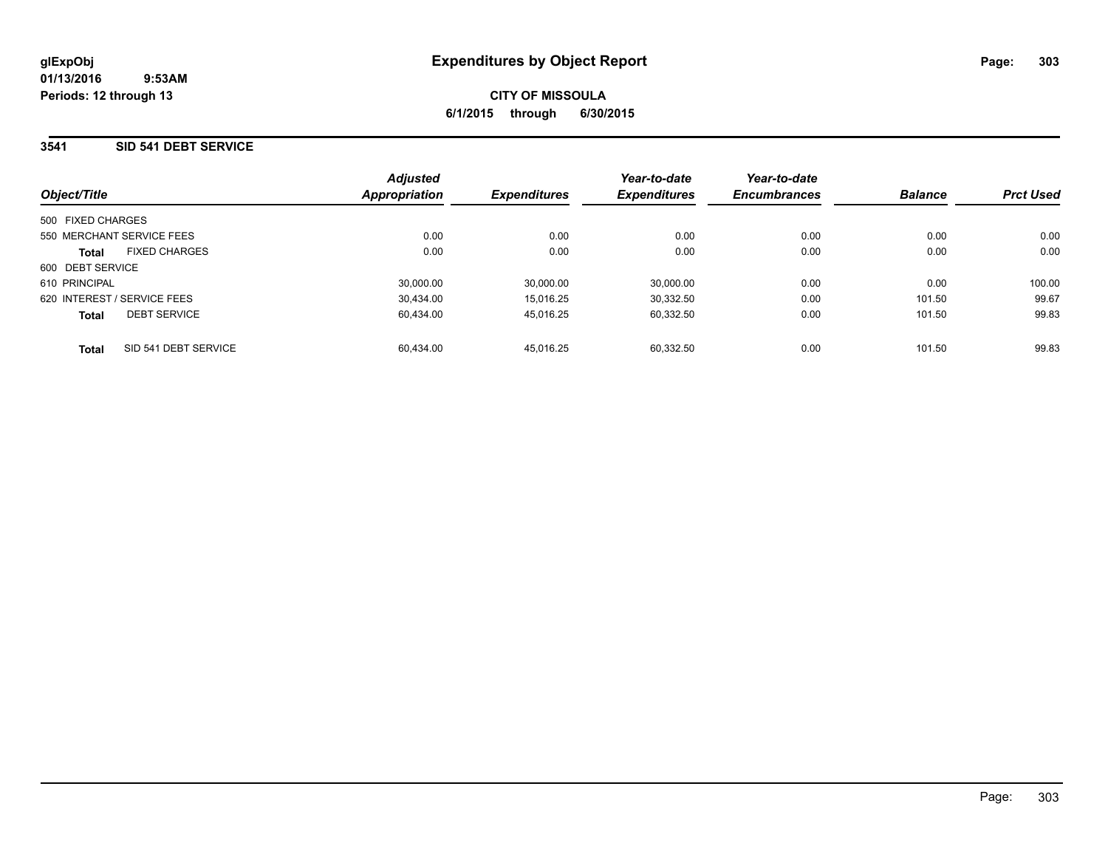### **3541 SID 541 DEBT SERVICE**

| Object/Title                         | <b>Adjusted</b><br><b>Appropriation</b> | <b>Expenditures</b> | Year-to-date<br><b>Expenditures</b> | Year-to-date<br><b>Encumbrances</b> | <b>Balance</b> | <b>Prct Used</b> |
|--------------------------------------|-----------------------------------------|---------------------|-------------------------------------|-------------------------------------|----------------|------------------|
| 500 FIXED CHARGES                    |                                         |                     |                                     |                                     |                |                  |
| 550 MERCHANT SERVICE FEES            | 0.00                                    | 0.00                | 0.00                                | 0.00                                | 0.00           | 0.00             |
| <b>FIXED CHARGES</b><br><b>Total</b> | 0.00                                    | 0.00                | 0.00                                | 0.00                                | 0.00           | 0.00             |
| 600 DEBT SERVICE                     |                                         |                     |                                     |                                     |                |                  |
| 610 PRINCIPAL                        | 30.000.00                               | 30.000.00           | 30.000.00                           | 0.00                                | 0.00           | 100.00           |
| 620 INTEREST / SERVICE FEES          | 30.434.00                               | 15.016.25           | 30.332.50                           | 0.00                                | 101.50         | 99.67            |
| <b>DEBT SERVICE</b><br><b>Total</b>  | 60.434.00                               | 45.016.25           | 60,332.50                           | 0.00                                | 101.50         | 99.83            |
| SID 541 DEBT SERVICE<br>Total        | 60.434.00                               | 45.016.25           | 60.332.50                           | 0.00                                | 101.50         | 99.83            |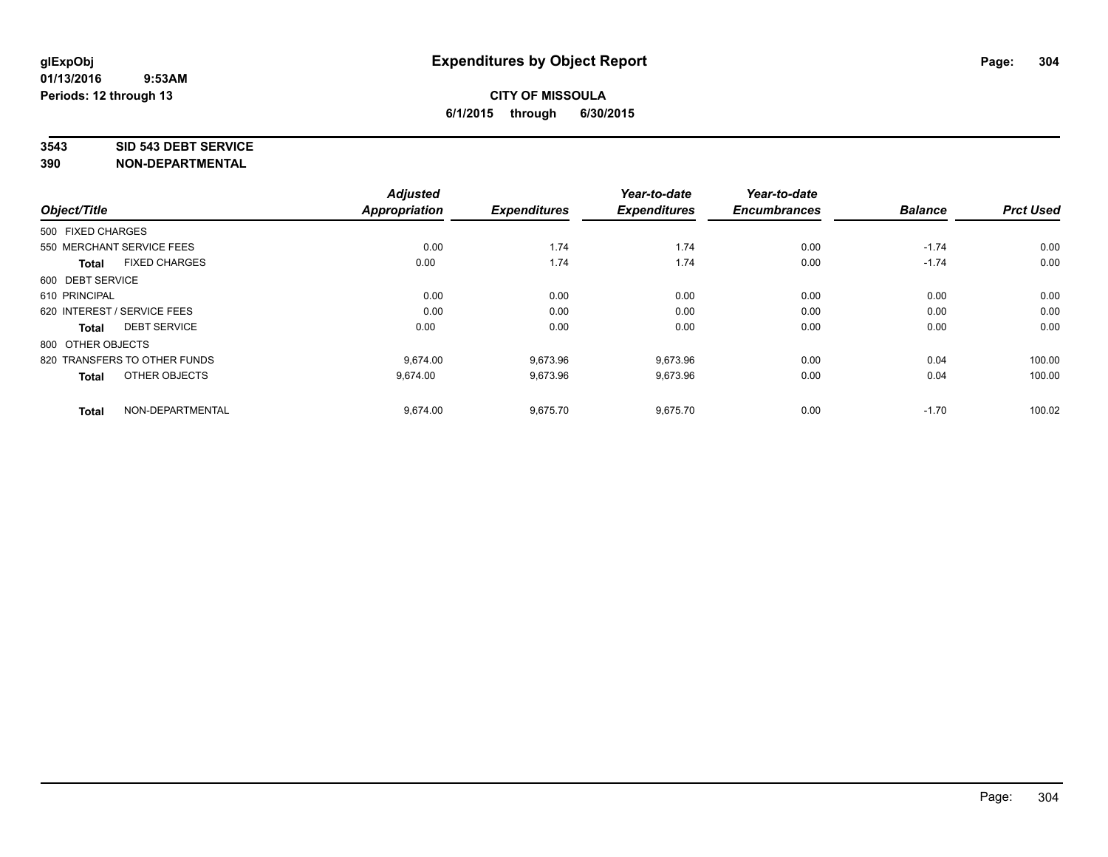### **3543 SID 543 DEBT SERVICE**

| Object/Title                 |                      | <b>Adjusted</b><br>Appropriation | <b>Expenditures</b> | Year-to-date<br><b>Expenditures</b> | Year-to-date<br><b>Encumbrances</b> | <b>Balance</b> | <b>Prct Used</b> |
|------------------------------|----------------------|----------------------------------|---------------------|-------------------------------------|-------------------------------------|----------------|------------------|
|                              |                      |                                  |                     |                                     |                                     |                |                  |
| 500 FIXED CHARGES            |                      |                                  |                     |                                     |                                     |                |                  |
| 550 MERCHANT SERVICE FEES    |                      | 0.00                             | 1.74                | 1.74                                | 0.00                                | $-1.74$        | 0.00             |
| <b>Total</b>                 | <b>FIXED CHARGES</b> | 0.00                             | 1.74                | 1.74                                | 0.00                                | $-1.74$        | 0.00             |
| 600 DEBT SERVICE             |                      |                                  |                     |                                     |                                     |                |                  |
| 610 PRINCIPAL                |                      | 0.00                             | 0.00                | 0.00                                | 0.00                                | 0.00           | 0.00             |
| 620 INTEREST / SERVICE FEES  |                      | 0.00                             | 0.00                | 0.00                                | 0.00                                | 0.00           | 0.00             |
| Total                        | <b>DEBT SERVICE</b>  | 0.00                             | 0.00                | 0.00                                | 0.00                                | 0.00           | 0.00             |
| 800 OTHER OBJECTS            |                      |                                  |                     |                                     |                                     |                |                  |
| 820 TRANSFERS TO OTHER FUNDS |                      | 9.674.00                         | 9,673.96            | 9,673.96                            | 0.00                                | 0.04           | 100.00           |
| <b>Total</b>                 | OTHER OBJECTS        | 9,674.00                         | 9,673.96            | 9,673.96                            | 0.00                                | 0.04           | 100.00           |
| <b>Total</b>                 | NON-DEPARTMENTAL     | 9,674.00                         | 9,675.70            | 9,675.70                            | 0.00                                | $-1.70$        | 100.02           |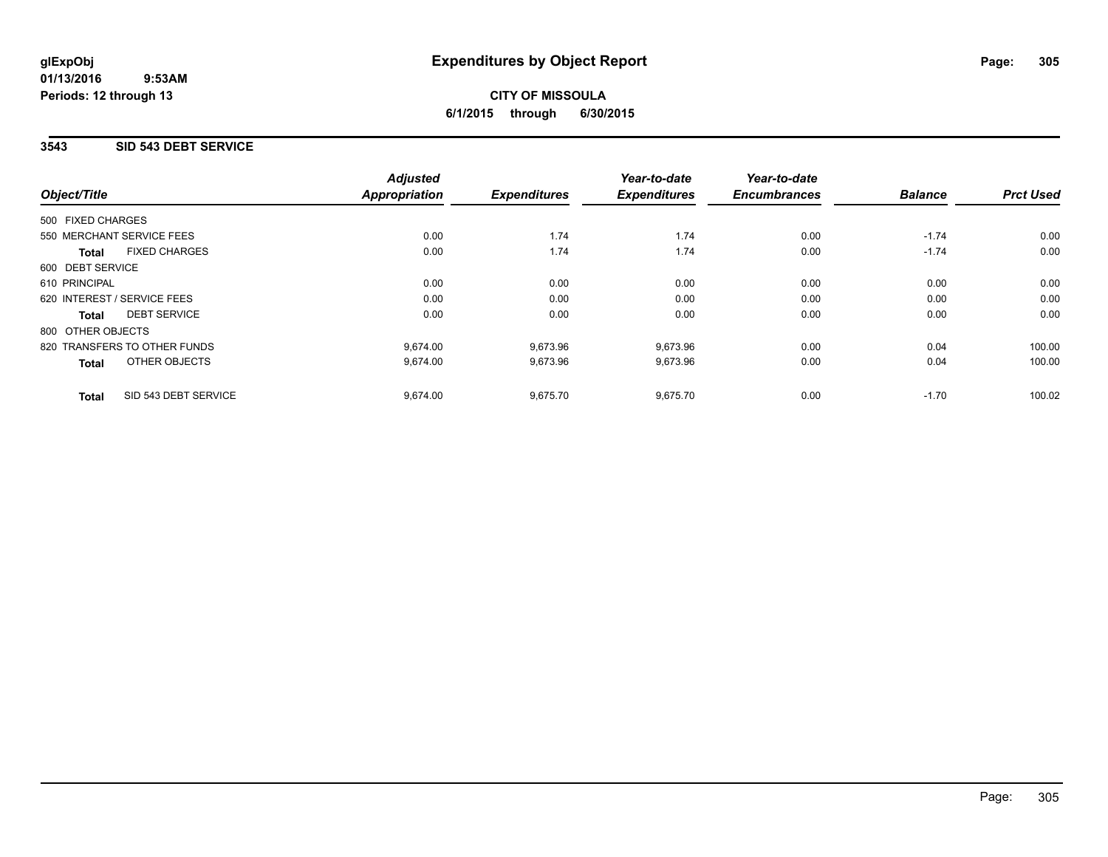# **CITY OF MISSOULA 6/1/2015 through 6/30/2015**

## **3543 SID 543 DEBT SERVICE**

|                                      | <b>Adjusted</b>      |                     | Year-to-date        | Year-to-date        |                |                  |
|--------------------------------------|----------------------|---------------------|---------------------|---------------------|----------------|------------------|
| Object/Title                         | <b>Appropriation</b> | <b>Expenditures</b> | <b>Expenditures</b> | <b>Encumbrances</b> | <b>Balance</b> | <b>Prct Used</b> |
| 500 FIXED CHARGES                    |                      |                     |                     |                     |                |                  |
| 550 MERCHANT SERVICE FEES            | 0.00                 | 1.74                | 1.74                | 0.00                | $-1.74$        | 0.00             |
| <b>FIXED CHARGES</b><br>Total        | 0.00                 | 1.74                | 1.74                | 0.00                | $-1.74$        | 0.00             |
| 600 DEBT SERVICE                     |                      |                     |                     |                     |                |                  |
| 610 PRINCIPAL                        | 0.00                 | 0.00                | 0.00                | 0.00                | 0.00           | 0.00             |
| 620 INTEREST / SERVICE FEES          | 0.00                 | 0.00                | 0.00                | 0.00                | 0.00           | 0.00             |
| <b>DEBT SERVICE</b><br>Total         | 0.00                 | 0.00                | 0.00                | 0.00                | 0.00           | 0.00             |
| 800 OTHER OBJECTS                    |                      |                     |                     |                     |                |                  |
| 820 TRANSFERS TO OTHER FUNDS         | 9.674.00             | 9,673.96            | 9.673.96            | 0.00                | 0.04           | 100.00           |
| OTHER OBJECTS<br><b>Total</b>        | 9,674.00             | 9,673.96            | 9,673.96            | 0.00                | 0.04           | 100.00           |
| SID 543 DEBT SERVICE<br><b>Total</b> | 9,674.00             | 9,675.70            | 9,675.70            | 0.00                | $-1.70$        | 100.02           |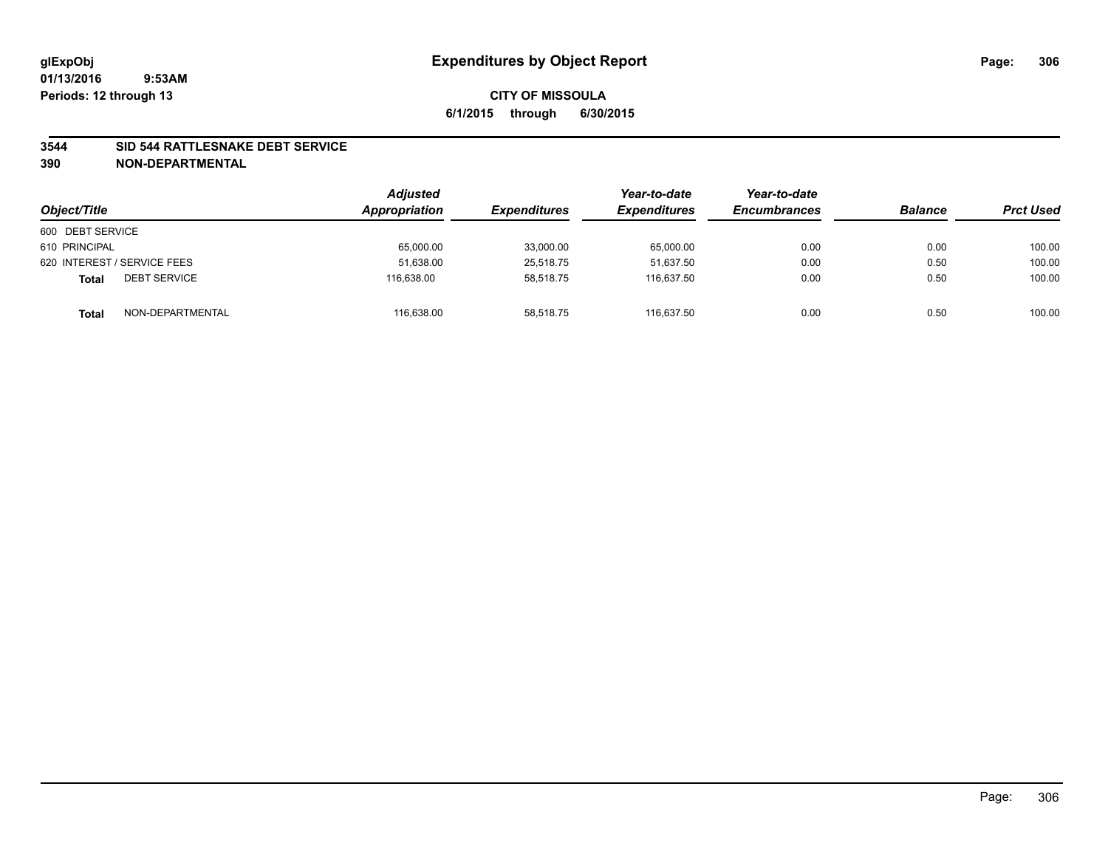### **3544 SID 544 RATTLESNAKE DEBT SERVICE**

| Object/Title                        | <b>Adjusted</b><br>Appropriation | <b>Expenditures</b> | Year-to-date<br><b>Expenditures</b> | Year-to-date<br><b>Encumbrances</b> | <b>Balance</b> | <b>Prct Used</b> |
|-------------------------------------|----------------------------------|---------------------|-------------------------------------|-------------------------------------|----------------|------------------|
| 600 DEBT SERVICE                    |                                  |                     |                                     |                                     |                |                  |
| 610 PRINCIPAL                       | 65,000.00                        | 33,000.00           | 65,000.00                           | 0.00                                | 0.00           | 100.00           |
| 620 INTEREST / SERVICE FEES         | 51,638.00                        | 25,518.75           | 51.637.50                           | 0.00                                | 0.50           | 100.00           |
| <b>DEBT SERVICE</b><br><b>Total</b> | 116.638.00                       | 58,518.75           | 116,637.50                          | 0.00                                | 0.50           | 100.00           |
| NON-DEPARTMENTAL<br><b>Total</b>    | 116,638.00                       | 58,518.75           | 116.637.50                          | 0.00                                | 0.50           | 100.00           |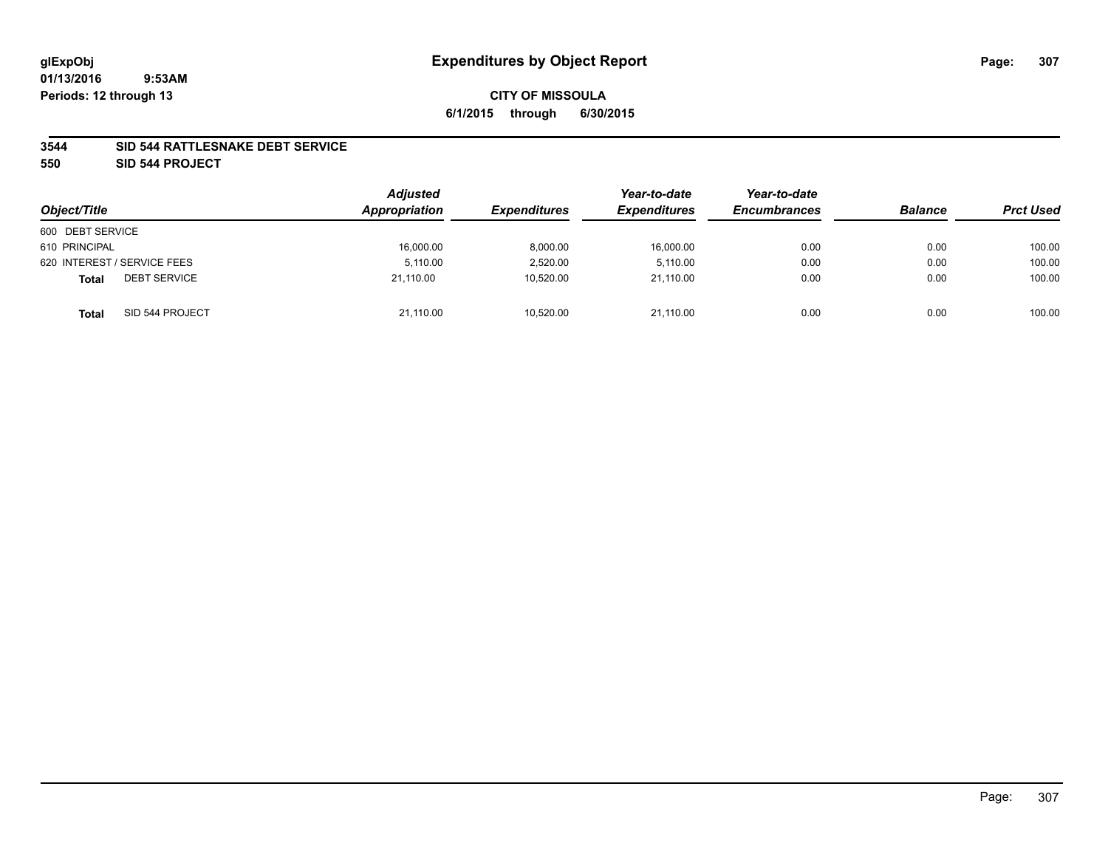### **3544 SID 544 RATTLESNAKE DEBT SERVICE**

**550 SID 544 PROJECT**

| Object/Title                        | <b>Adjusted</b><br>Appropriation | <b>Expenditures</b> | Year-to-date<br><b>Expenditures</b> | Year-to-date<br><b>Encumbrances</b> | <b>Balance</b> | <b>Prct Used</b> |
|-------------------------------------|----------------------------------|---------------------|-------------------------------------|-------------------------------------|----------------|------------------|
| 600 DEBT SERVICE                    |                                  |                     |                                     |                                     |                |                  |
| 610 PRINCIPAL                       | 16,000.00                        | 8,000.00            | 16,000.00                           | 0.00                                | 0.00           | 100.00           |
| 620 INTEREST / SERVICE FEES         | 5.110.00                         | 2,520.00            | 5,110.00                            | 0.00                                | 0.00           | 100.00           |
| <b>DEBT SERVICE</b><br><b>Total</b> | 21.110.00                        | 10,520.00           | 21.110.00                           | 0.00                                | 0.00           | 100.00           |
| SID 544 PROJECT<br><b>Total</b>     | 21,110.00                        | 10,520.00           | 21,110.00                           | 0.00                                | 0.00           | 100.00           |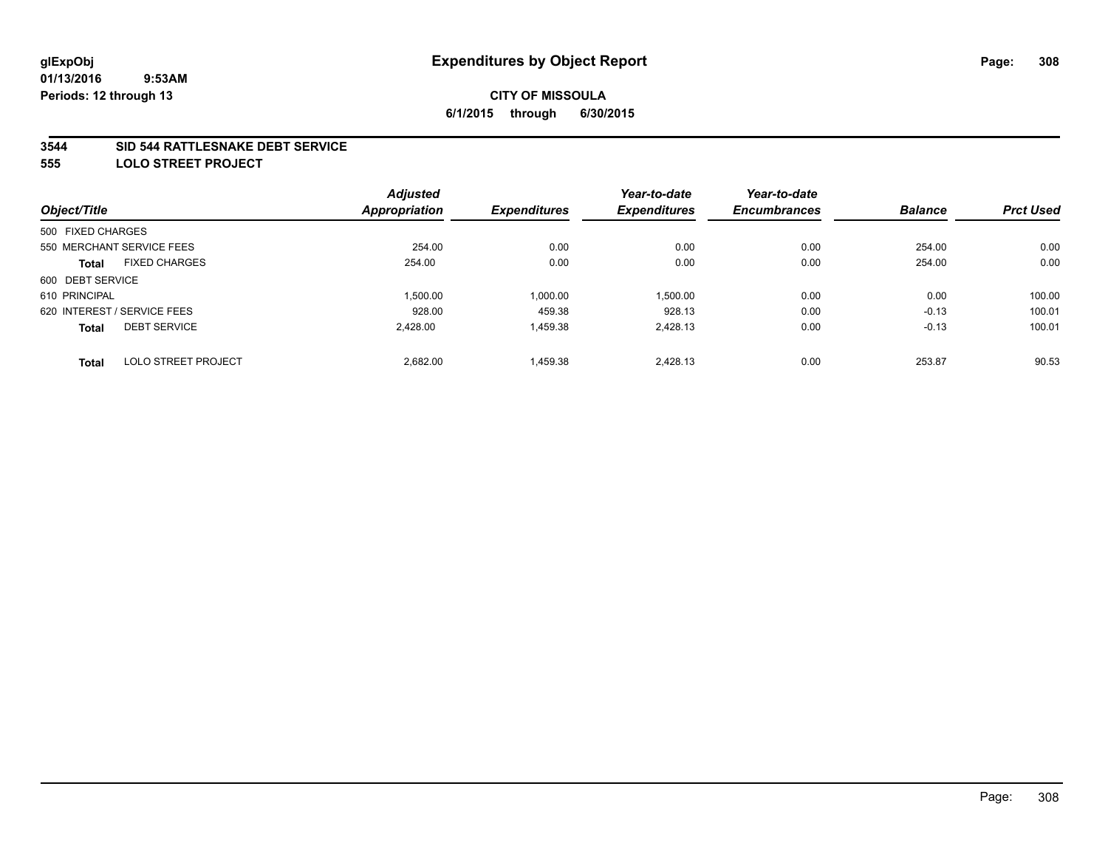### **3544 SID 544 RATTLESNAKE DEBT SERVICE**

**555 LOLO STREET PROJECT**

| Object/Title                |                            | <b>Adjusted</b> |                     | Year-to-date        | Year-to-date        |                |                  |
|-----------------------------|----------------------------|-----------------|---------------------|---------------------|---------------------|----------------|------------------|
|                             |                            | Appropriation   | <b>Expenditures</b> | <b>Expenditures</b> | <b>Encumbrances</b> | <b>Balance</b> | <b>Prct Used</b> |
| 500 FIXED CHARGES           |                            |                 |                     |                     |                     |                |                  |
| 550 MERCHANT SERVICE FEES   |                            | 254.00          | 0.00                | 0.00                | 0.00                | 254.00         | 0.00             |
| Total                       | <b>FIXED CHARGES</b>       | 254.00          | 0.00                | 0.00                | 0.00                | 254.00         | 0.00             |
| 600 DEBT SERVICE            |                            |                 |                     |                     |                     |                |                  |
| 610 PRINCIPAL               |                            | 1,500.00        | 1,000.00            | 1,500.00            | 0.00                | 0.00           | 100.00           |
| 620 INTEREST / SERVICE FEES |                            | 928.00          | 459.38              | 928.13              | 0.00                | $-0.13$        | 100.01           |
| <b>Total</b>                | <b>DEBT SERVICE</b>        | 2.428.00        | 1,459.38            | 2.428.13            | 0.00                | $-0.13$        | 100.01           |
| <b>Total</b>                | <b>LOLO STREET PROJECT</b> | 2,682.00        | 1.459.38            | 2.428.13            | 0.00                | 253.87         | 90.53            |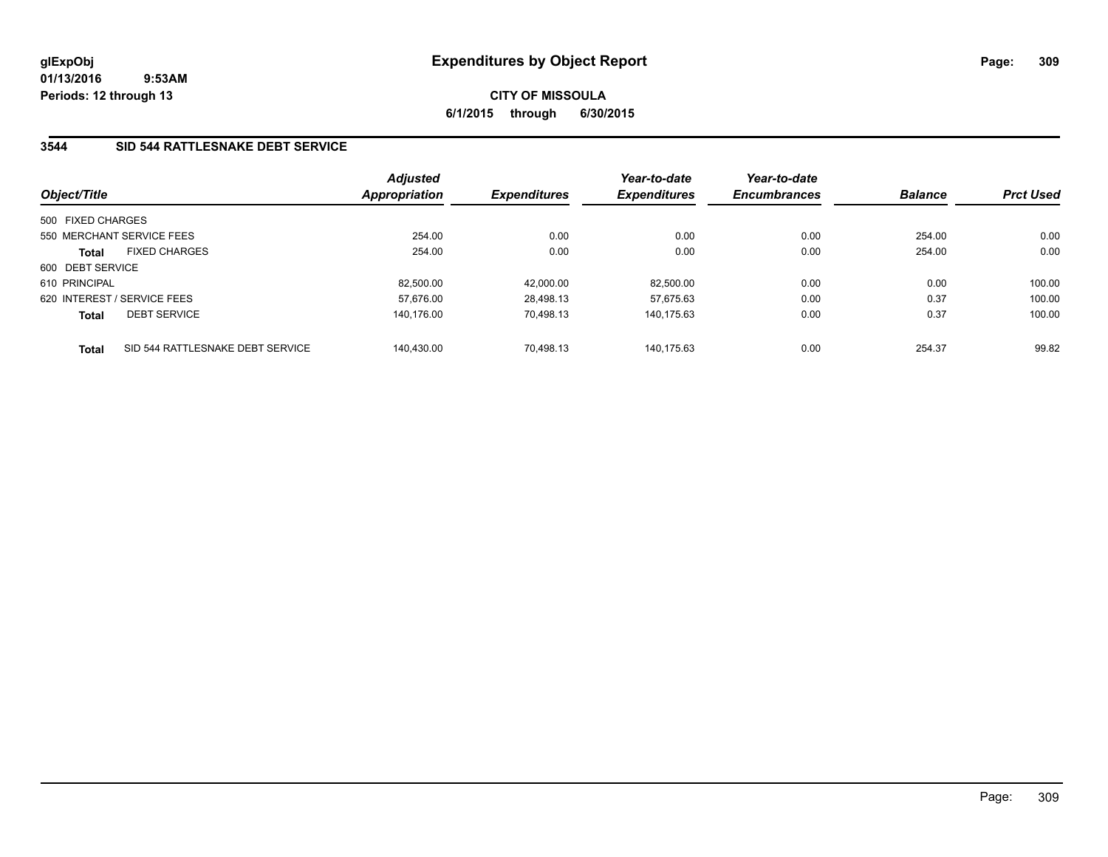**CITY OF MISSOULA 6/1/2015 through 6/30/2015**

## **3544 SID 544 RATTLESNAKE DEBT SERVICE**

| Object/Title      |                                  | <b>Adjusted</b><br>Appropriation | <b>Expenditures</b> | Year-to-date<br><b>Expenditures</b> | Year-to-date<br><b>Encumbrances</b> | <b>Balance</b> | <b>Prct Used</b> |
|-------------------|----------------------------------|----------------------------------|---------------------|-------------------------------------|-------------------------------------|----------------|------------------|
| 500 FIXED CHARGES |                                  |                                  |                     |                                     |                                     |                |                  |
|                   | 550 MERCHANT SERVICE FEES        | 254.00                           | 0.00                | 0.00                                | 0.00                                | 254.00         | 0.00             |
| <b>Total</b>      | <b>FIXED CHARGES</b>             | 254.00                           | 0.00                | 0.00                                | 0.00                                | 254.00         | 0.00             |
| 600 DEBT SERVICE  |                                  |                                  |                     |                                     |                                     |                |                  |
| 610 PRINCIPAL     |                                  | 82.500.00                        | 42,000.00           | 82.500.00                           | 0.00                                | 0.00           | 100.00           |
|                   | 620 INTEREST / SERVICE FEES      | 57.676.00                        | 28.498.13           | 57.675.63                           | 0.00                                | 0.37           | 100.00           |
| Total             | <b>DEBT SERVICE</b>              | 140.176.00                       | 70.498.13           | 140.175.63                          | 0.00                                | 0.37           | 100.00           |
| <b>Total</b>      | SID 544 RATTLESNAKE DEBT SERVICE | 140.430.00                       | 70.498.13           | 140.175.63                          | 0.00                                | 254.37         | 99.82            |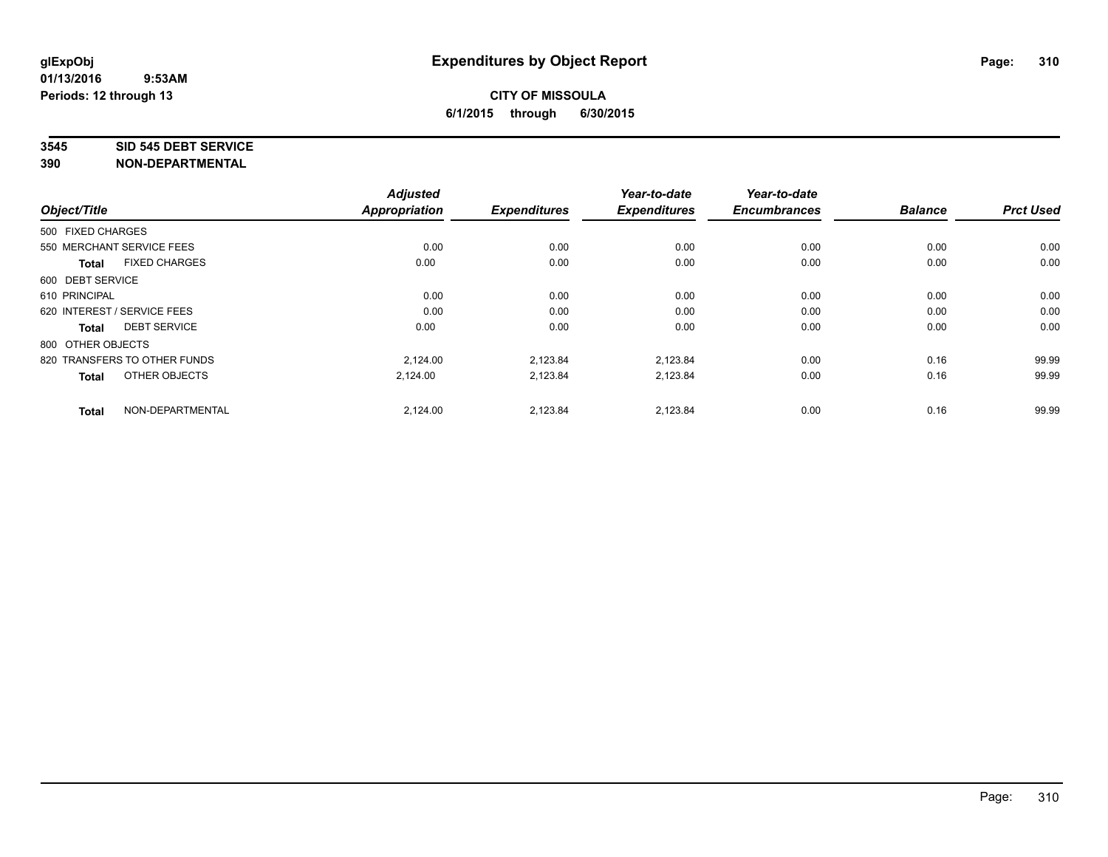### **3545 SID 545 DEBT SERVICE**

|                                      | <b>Adjusted</b>      |                     | Year-to-date        | Year-to-date<br><b>Encumbrances</b> | <b>Balance</b> | <b>Prct Used</b> |
|--------------------------------------|----------------------|---------------------|---------------------|-------------------------------------|----------------|------------------|
| Object/Title                         | <b>Appropriation</b> | <b>Expenditures</b> | <b>Expenditures</b> |                                     |                |                  |
| 500 FIXED CHARGES                    |                      |                     |                     |                                     |                |                  |
| 550 MERCHANT SERVICE FEES            | 0.00                 | 0.00                | 0.00                | 0.00                                | 0.00           | 0.00             |
| <b>FIXED CHARGES</b><br><b>Total</b> | 0.00                 | 0.00                | 0.00                | 0.00                                | 0.00           | 0.00             |
| 600 DEBT SERVICE                     |                      |                     |                     |                                     |                |                  |
| 610 PRINCIPAL                        | 0.00                 | 0.00                | 0.00                | 0.00                                | 0.00           | 0.00             |
| 620 INTEREST / SERVICE FEES          | 0.00                 | 0.00                | 0.00                | 0.00                                | 0.00           | 0.00             |
| <b>DEBT SERVICE</b><br><b>Total</b>  | 0.00                 | 0.00                | 0.00                | 0.00                                | 0.00           | 0.00             |
| 800 OTHER OBJECTS                    |                      |                     |                     |                                     |                |                  |
| 820 TRANSFERS TO OTHER FUNDS         | 2,124.00             | 2,123.84            | 2,123.84            | 0.00                                | 0.16           | 99.99            |
| OTHER OBJECTS<br><b>Total</b>        | 2,124.00             | 2,123.84            | 2,123.84            | 0.00                                | 0.16           | 99.99            |
|                                      |                      |                     |                     |                                     |                |                  |
| NON-DEPARTMENTAL<br><b>Total</b>     | 2,124.00             | 2,123.84            | 2,123.84            | 0.00                                | 0.16           | 99.99            |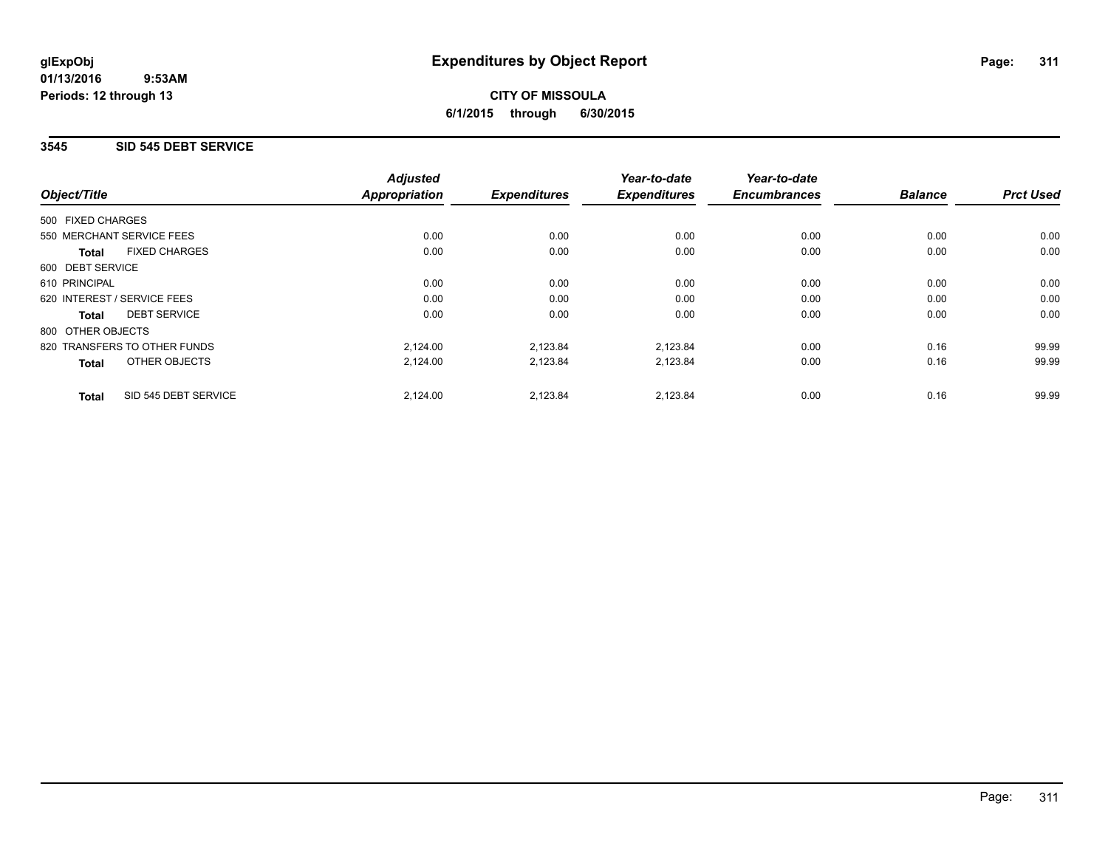**CITY OF MISSOULA 6/1/2015 through 6/30/2015**

## **3545 SID 545 DEBT SERVICE**

|                                      | <b>Adjusted</b><br><b>Appropriation</b> |                     | Year-to-date<br><b>Expenditures</b> | Year-to-date<br><b>Encumbrances</b> | <b>Balance</b> | <b>Prct Used</b> |
|--------------------------------------|-----------------------------------------|---------------------|-------------------------------------|-------------------------------------|----------------|------------------|
| Object/Title                         |                                         | <b>Expenditures</b> |                                     |                                     |                |                  |
| 500 FIXED CHARGES                    |                                         |                     |                                     |                                     |                |                  |
| 550 MERCHANT SERVICE FEES            | 0.00                                    | 0.00                | 0.00                                | 0.00                                | 0.00           | 0.00             |
| <b>FIXED CHARGES</b><br>Total        | 0.00                                    | 0.00                | 0.00                                | 0.00                                | 0.00           | 0.00             |
| 600 DEBT SERVICE                     |                                         |                     |                                     |                                     |                |                  |
| 610 PRINCIPAL                        | 0.00                                    | 0.00                | 0.00                                | 0.00                                | 0.00           | 0.00             |
| 620 INTEREST / SERVICE FEES          | 0.00                                    | 0.00                | 0.00                                | 0.00                                | 0.00           | 0.00             |
| <b>DEBT SERVICE</b><br><b>Total</b>  | 0.00                                    | 0.00                | 0.00                                | 0.00                                | 0.00           | 0.00             |
| 800 OTHER OBJECTS                    |                                         |                     |                                     |                                     |                |                  |
| 820 TRANSFERS TO OTHER FUNDS         | 2,124.00                                | 2,123.84            | 2,123.84                            | 0.00                                | 0.16           | 99.99            |
| OTHER OBJECTS<br><b>Total</b>        | 2,124.00                                | 2,123.84            | 2,123.84                            | 0.00                                | 0.16           | 99.99            |
| SID 545 DEBT SERVICE<br><b>Total</b> | 2,124.00                                | 2,123.84            | 2,123.84                            | 0.00                                | 0.16           | 99.99            |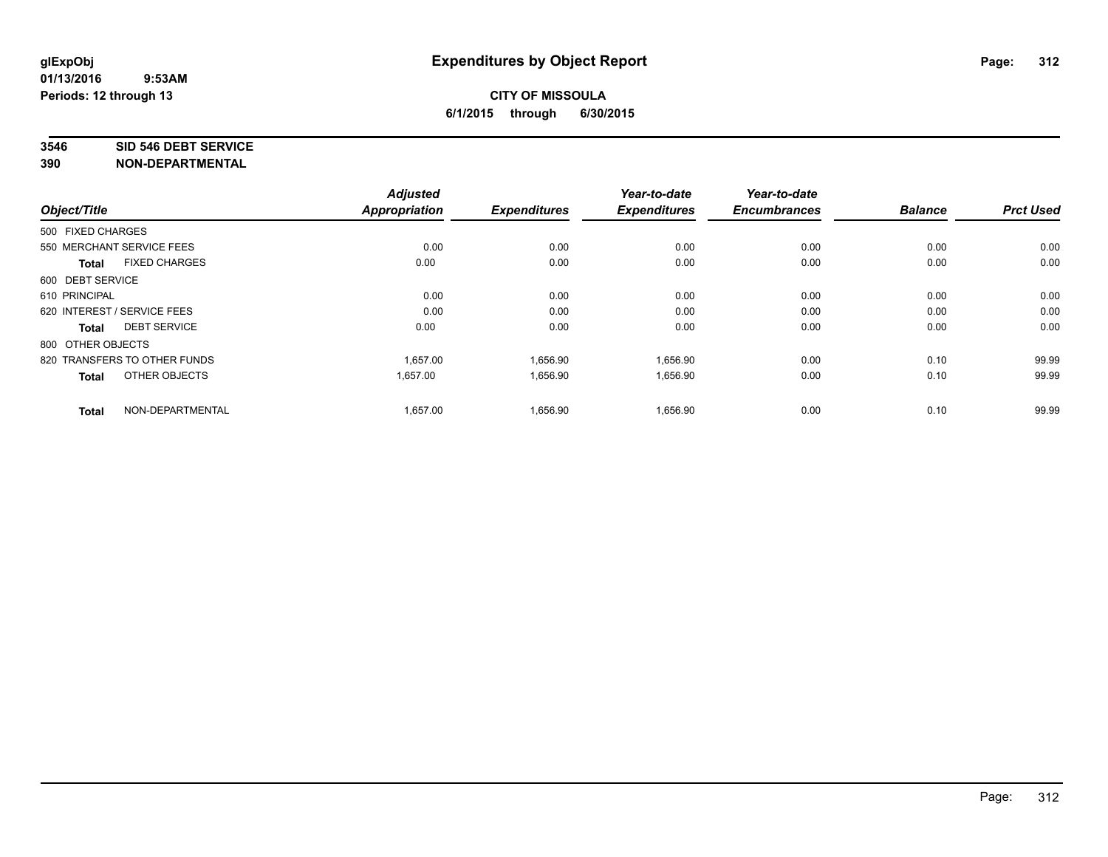### **3546 SID 546 DEBT SERVICE**

| Object/Title                         | <b>Adjusted</b><br>Appropriation | <b>Expenditures</b> | Year-to-date<br><b>Expenditures</b> | Year-to-date<br><b>Encumbrances</b> | <b>Balance</b> | <b>Prct Used</b> |
|--------------------------------------|----------------------------------|---------------------|-------------------------------------|-------------------------------------|----------------|------------------|
| 500 FIXED CHARGES                    |                                  |                     |                                     |                                     |                |                  |
| 550 MERCHANT SERVICE FEES            | 0.00                             | 0.00                | 0.00                                | 0.00                                | 0.00           | 0.00             |
| <b>FIXED CHARGES</b><br><b>Total</b> | 0.00                             | 0.00                | 0.00                                | 0.00                                | 0.00           | 0.00             |
| 600 DEBT SERVICE                     |                                  |                     |                                     |                                     |                |                  |
| 610 PRINCIPAL                        | 0.00                             | 0.00                | 0.00                                | 0.00                                | 0.00           | 0.00             |
| 620 INTEREST / SERVICE FEES          | 0.00                             | 0.00                | 0.00                                | 0.00                                | 0.00           | 0.00             |
| <b>DEBT SERVICE</b><br>Total         | 0.00                             | 0.00                | 0.00                                | 0.00                                | 0.00           | 0.00             |
| 800 OTHER OBJECTS                    |                                  |                     |                                     |                                     |                |                  |
| 820 TRANSFERS TO OTHER FUNDS         | 1.657.00                         | 1,656.90            | 1,656.90                            | 0.00                                | 0.10           | 99.99            |
| OTHER OBJECTS<br><b>Total</b>        | 1,657.00                         | 1,656.90            | 1,656.90                            | 0.00                                | 0.10           | 99.99            |
| NON-DEPARTMENTAL<br><b>Total</b>     | 1,657.00                         | 1,656.90            | 1,656.90                            | 0.00                                | 0.10           | 99.99            |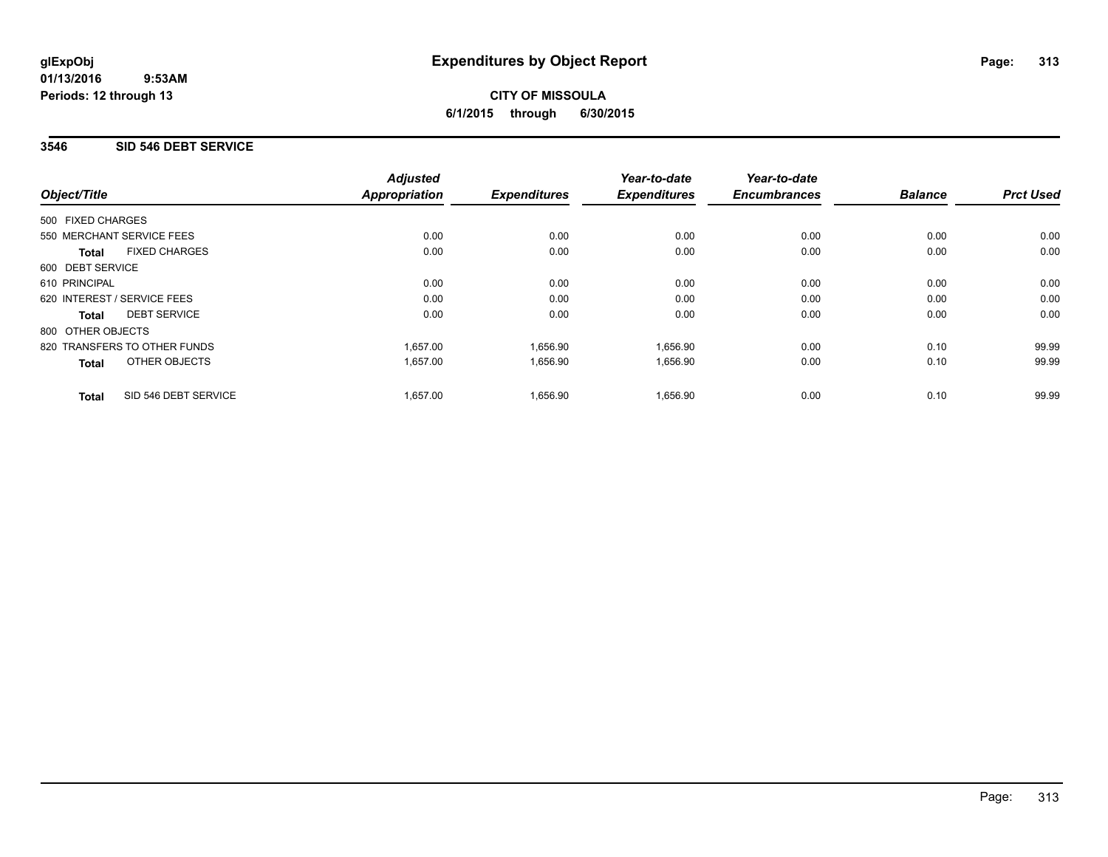**CITY OF MISSOULA 6/1/2015 through 6/30/2015**

## **3546 SID 546 DEBT SERVICE**

|                                      | <b>Adjusted</b> |                     | Year-to-date        | Year-to-date        |                |                  |
|--------------------------------------|-----------------|---------------------|---------------------|---------------------|----------------|------------------|
| Object/Title                         | Appropriation   | <b>Expenditures</b> | <b>Expenditures</b> | <b>Encumbrances</b> | <b>Balance</b> | <b>Prct Used</b> |
| 500 FIXED CHARGES                    |                 |                     |                     |                     |                |                  |
| 550 MERCHANT SERVICE FEES            | 0.00            | 0.00                | 0.00                | 0.00                | 0.00           | 0.00             |
| <b>FIXED CHARGES</b><br><b>Total</b> | 0.00            | 0.00                | 0.00                | 0.00                | 0.00           | 0.00             |
| 600 DEBT SERVICE                     |                 |                     |                     |                     |                |                  |
| 610 PRINCIPAL                        | 0.00            | 0.00                | 0.00                | 0.00                | 0.00           | 0.00             |
| 620 INTEREST / SERVICE FEES          | 0.00            | 0.00                | 0.00                | 0.00                | 0.00           | 0.00             |
| <b>DEBT SERVICE</b><br><b>Total</b>  | 0.00            | 0.00                | 0.00                | 0.00                | 0.00           | 0.00             |
| 800 OTHER OBJECTS                    |                 |                     |                     |                     |                |                  |
| 820 TRANSFERS TO OTHER FUNDS         | 1.657.00        | 1,656.90            | 1,656.90            | 0.00                | 0.10           | 99.99            |
| OTHER OBJECTS<br><b>Total</b>        | 1,657.00        | 1,656.90            | 1,656.90            | 0.00                | 0.10           | 99.99            |
| SID 546 DEBT SERVICE<br><b>Total</b> | 1,657.00        | 1,656.90            | 1,656.90            | 0.00                | 0.10           | 99.99            |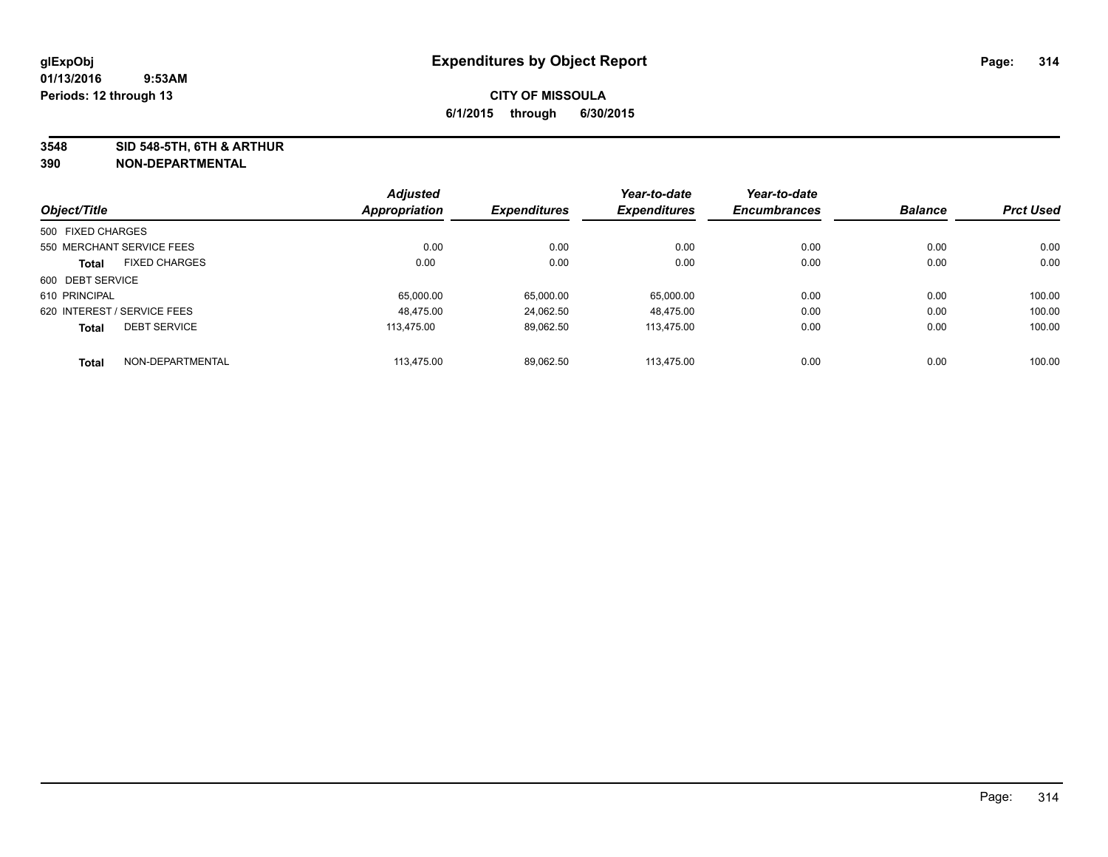**3548 SID 548-5TH, 6TH & ARTHUR**

|                   |                             | <b>Adjusted</b>      |                     | Year-to-date        | Year-to-date        |                |                  |
|-------------------|-----------------------------|----------------------|---------------------|---------------------|---------------------|----------------|------------------|
| Object/Title      |                             | <b>Appropriation</b> | <b>Expenditures</b> | <b>Expenditures</b> | <b>Encumbrances</b> | <b>Balance</b> | <b>Prct Used</b> |
| 500 FIXED CHARGES |                             |                      |                     |                     |                     |                |                  |
|                   | 550 MERCHANT SERVICE FEES   | 0.00                 | 0.00                | 0.00                | 0.00                | 0.00           | 0.00             |
| <b>Total</b>      | <b>FIXED CHARGES</b>        | 0.00                 | 0.00                | 0.00                | 0.00                | 0.00           | 0.00             |
| 600 DEBT SERVICE  |                             |                      |                     |                     |                     |                |                  |
| 610 PRINCIPAL     |                             | 65.000.00            | 65.000.00           | 65.000.00           | 0.00                | 0.00           | 100.00           |
|                   | 620 INTEREST / SERVICE FEES | 48.475.00            | 24,062.50           | 48.475.00           | 0.00                | 0.00           | 100.00           |
| <b>Total</b>      | <b>DEBT SERVICE</b>         | 113.475.00           | 89,062.50           | 113.475.00          | 0.00                | 0.00           | 100.00           |
| <b>Total</b>      | NON-DEPARTMENTAL            | 113.475.00           | 89,062.50           | 113.475.00          | 0.00                | 0.00           | 100.00           |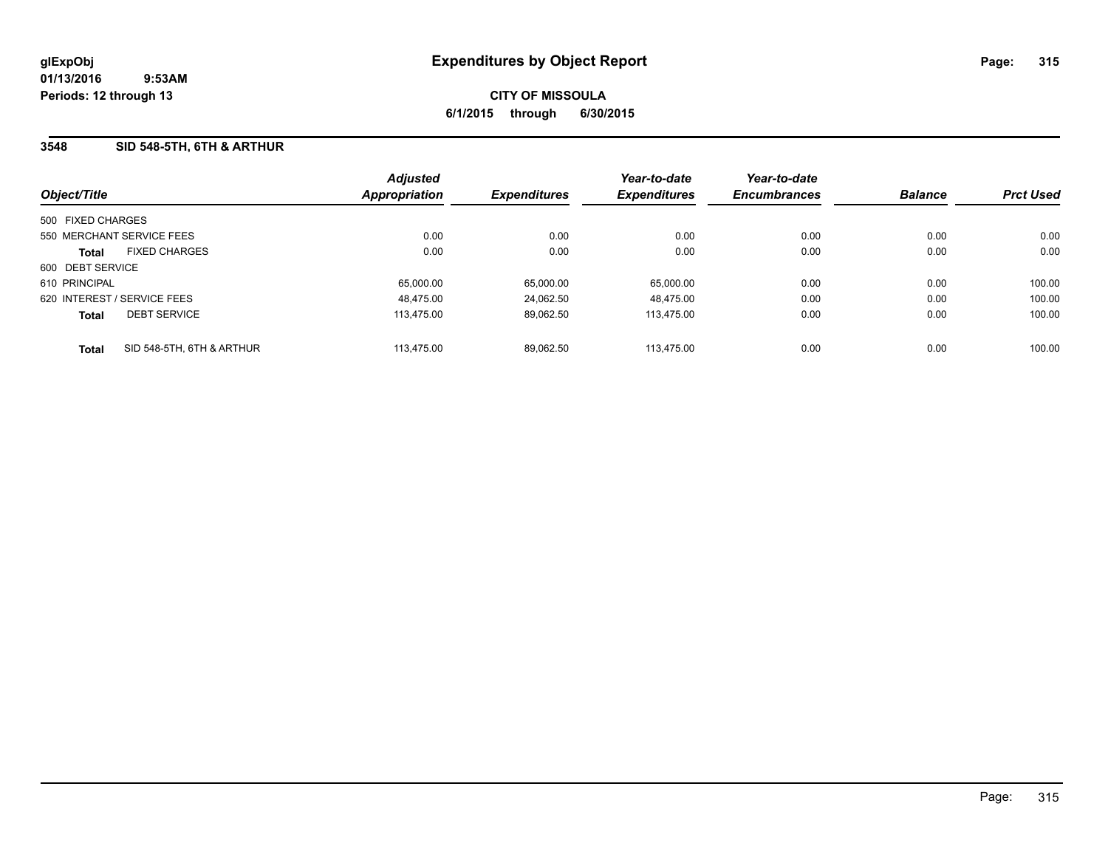## **3548 SID 548-5TH, 6TH & ARTHUR**

| Object/Title                              | <b>Adjusted</b><br><b>Appropriation</b> | <b>Expenditures</b> | Year-to-date<br><b>Expenditures</b> | Year-to-date<br><b>Encumbrances</b> | <b>Balance</b> | <b>Prct Used</b> |
|-------------------------------------------|-----------------------------------------|---------------------|-------------------------------------|-------------------------------------|----------------|------------------|
| 500 FIXED CHARGES                         |                                         |                     |                                     |                                     |                |                  |
| 550 MERCHANT SERVICE FEES                 | 0.00                                    | 0.00                | 0.00                                | 0.00                                | 0.00           | 0.00             |
| <b>FIXED CHARGES</b><br><b>Total</b>      | 0.00                                    | 0.00                | 0.00                                | 0.00                                | 0.00           | 0.00             |
| 600 DEBT SERVICE                          |                                         |                     |                                     |                                     |                |                  |
| 610 PRINCIPAL                             | 65,000.00                               | 65,000.00           | 65,000.00                           | 0.00                                | 0.00           | 100.00           |
| 620 INTEREST / SERVICE FEES               | 48.475.00                               | 24.062.50           | 48.475.00                           | 0.00                                | 0.00           | 100.00           |
| <b>DEBT SERVICE</b><br><b>Total</b>       | 113.475.00                              | 89.062.50           | 113.475.00                          | 0.00                                | 0.00           | 100.00           |
| SID 548-5TH, 6TH & ARTHUR<br><b>Total</b> | 113.475.00                              | 89.062.50           | 113.475.00                          | 0.00                                | 0.00           | 100.00           |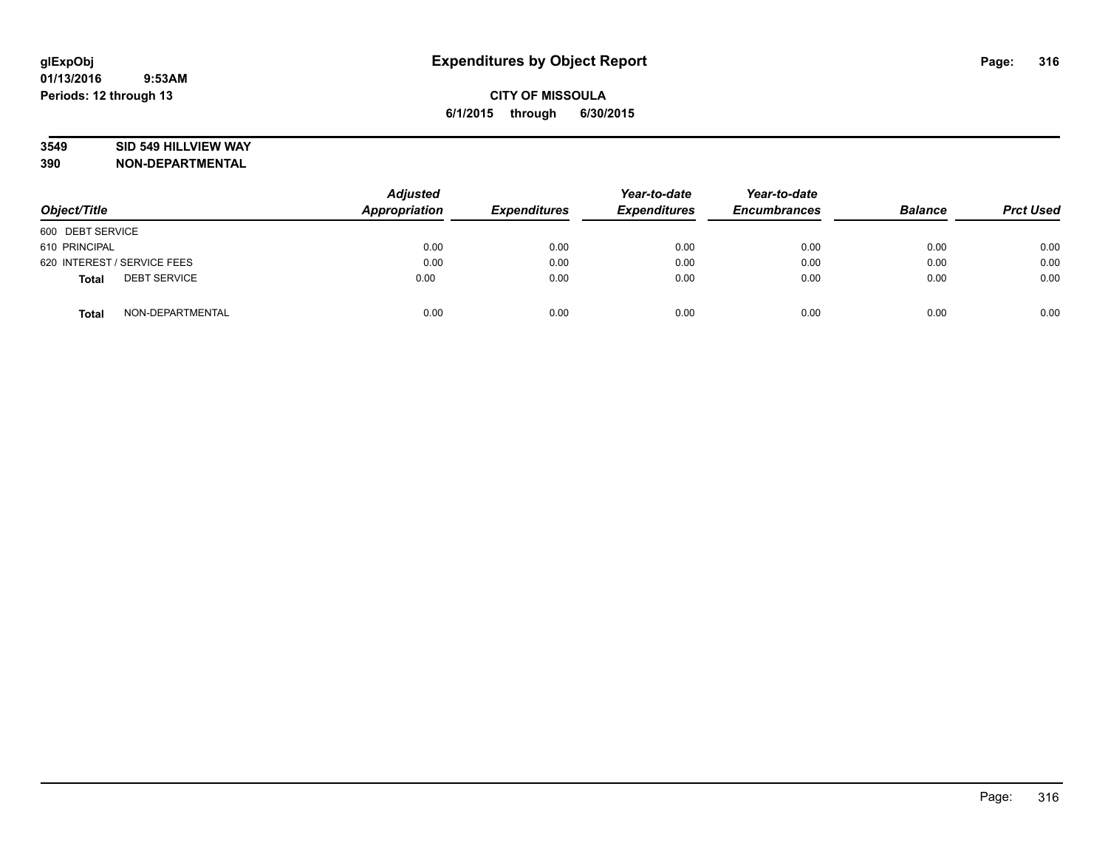## **3549 SID 549 HILLVIEW WAY**

| Object/Title                        | <b>Adjusted</b><br><b>Appropriation</b> | <b>Expenditures</b> | Year-to-date<br><b>Expenditures</b> | Year-to-date<br><b>Encumbrances</b> | <b>Balance</b> | <b>Prct Used</b> |
|-------------------------------------|-----------------------------------------|---------------------|-------------------------------------|-------------------------------------|----------------|------------------|
| 600 DEBT SERVICE                    |                                         |                     |                                     |                                     |                |                  |
| 610 PRINCIPAL                       | 0.00                                    | 0.00                | 0.00                                | 0.00                                | 0.00           | 0.00             |
| 620 INTEREST / SERVICE FEES         | 0.00                                    | 0.00                | 0.00                                | 0.00                                | 0.00           | 0.00             |
| <b>DEBT SERVICE</b><br><b>Total</b> | 0.00                                    | 0.00                | 0.00                                | 0.00                                | 0.00           | 0.00             |
| NON-DEPARTMENTAL<br><b>Total</b>    | 0.00                                    | 0.00                | 0.00                                | 0.00                                | 0.00           | 0.00             |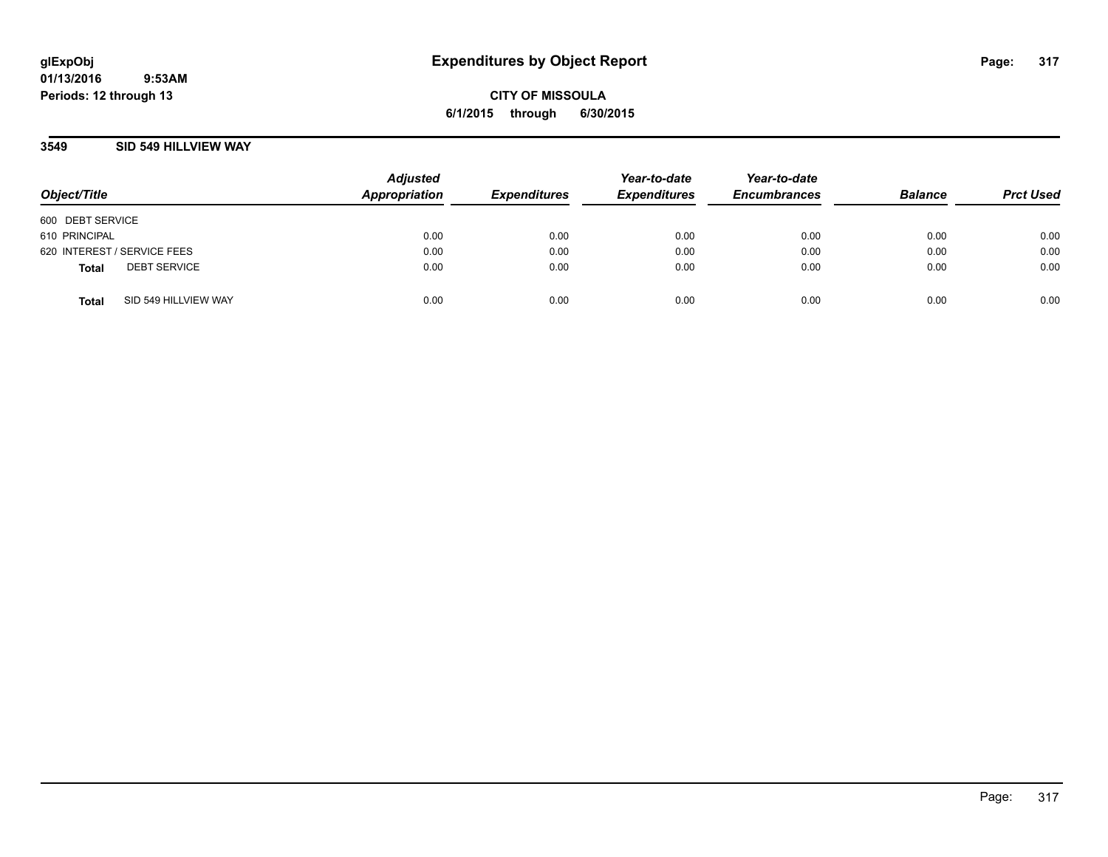**CITY OF MISSOULA 6/1/2015 through 6/30/2015**

## **3549 SID 549 HILLVIEW WAY**

| Object/Title                |                      | <b>Adjusted</b><br>Appropriation | <b>Expenditures</b> | Year-to-date<br><b>Expenditures</b> | Year-to-date<br><b>Encumbrances</b> | <b>Balance</b> | <b>Prct Used</b> |
|-----------------------------|----------------------|----------------------------------|---------------------|-------------------------------------|-------------------------------------|----------------|------------------|
| 600 DEBT SERVICE            |                      |                                  |                     |                                     |                                     |                |                  |
| 610 PRINCIPAL               |                      | 0.00                             | 0.00                | 0.00                                | 0.00                                | 0.00           | 0.00             |
| 620 INTEREST / SERVICE FEES |                      | 0.00                             | 0.00                | 0.00                                | 0.00                                | 0.00           | 0.00             |
| <b>Total</b>                | <b>DEBT SERVICE</b>  | 0.00                             | 0.00                | 0.00                                | 0.00                                | 0.00           | 0.00             |
| <b>Total</b>                | SID 549 HILLVIEW WAY | 0.00                             | 0.00                | 0.00                                | 0.00                                | 0.00           | 0.00             |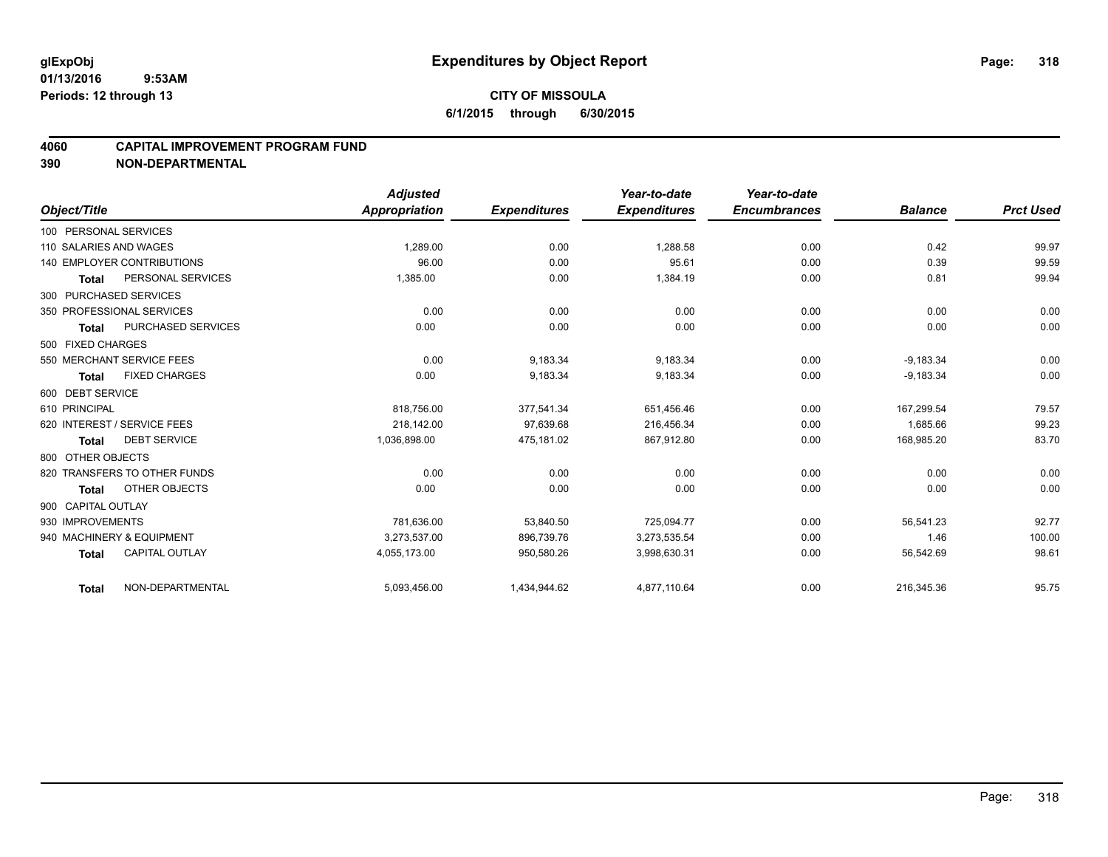## **CITY OF MISSOULA 6/1/2015 through 6/30/2015**

## **4060 CAPITAL IMPROVEMENT PROGRAM FUND**

|                        |                                   | <b>Adjusted</b> |                     | Year-to-date        | Year-to-date        |                |                  |
|------------------------|-----------------------------------|-----------------|---------------------|---------------------|---------------------|----------------|------------------|
| Object/Title           |                                   | Appropriation   | <b>Expenditures</b> | <b>Expenditures</b> | <b>Encumbrances</b> | <b>Balance</b> | <b>Prct Used</b> |
| 100 PERSONAL SERVICES  |                                   |                 |                     |                     |                     |                |                  |
| 110 SALARIES AND WAGES |                                   | 1.289.00        | 0.00                | 1,288.58            | 0.00                | 0.42           | 99.97            |
|                        | <b>140 EMPLOYER CONTRIBUTIONS</b> | 96.00           | 0.00                | 95.61               | 0.00                | 0.39           | 99.59            |
| Total                  | PERSONAL SERVICES                 | 1,385.00        | 0.00                | 1,384.19            | 0.00                | 0.81           | 99.94            |
| 300 PURCHASED SERVICES |                                   |                 |                     |                     |                     |                |                  |
|                        | 350 PROFESSIONAL SERVICES         | 0.00            | 0.00                | 0.00                | 0.00                | 0.00           | 0.00             |
| <b>Total</b>           | PURCHASED SERVICES                | 0.00            | 0.00                | 0.00                | 0.00                | 0.00           | 0.00             |
| 500 FIXED CHARGES      |                                   |                 |                     |                     |                     |                |                  |
|                        | 550 MERCHANT SERVICE FEES         | 0.00            | 9,183.34            | 9,183.34            | 0.00                | $-9,183.34$    | 0.00             |
| <b>Total</b>           | <b>FIXED CHARGES</b>              | 0.00            | 9,183.34            | 9,183.34            | 0.00                | $-9,183.34$    | 0.00             |
| 600 DEBT SERVICE       |                                   |                 |                     |                     |                     |                |                  |
| 610 PRINCIPAL          |                                   | 818,756.00      | 377.541.34          | 651,456.46          | 0.00                | 167.299.54     | 79.57            |
|                        | 620 INTEREST / SERVICE FEES       | 218,142.00      | 97,639.68           | 216,456.34          | 0.00                | 1,685.66       | 99.23            |
| <b>Total</b>           | <b>DEBT SERVICE</b>               | 1,036,898.00    | 475,181.02          | 867,912.80          | 0.00                | 168,985.20     | 83.70            |
| 800 OTHER OBJECTS      |                                   |                 |                     |                     |                     |                |                  |
|                        | 820 TRANSFERS TO OTHER FUNDS      | 0.00            | 0.00                | 0.00                | 0.00                | 0.00           | 0.00             |
| Total                  | OTHER OBJECTS                     | 0.00            | 0.00                | 0.00                | 0.00                | 0.00           | 0.00             |
| 900 CAPITAL OUTLAY     |                                   |                 |                     |                     |                     |                |                  |
| 930 IMPROVEMENTS       |                                   | 781,636.00      | 53,840.50           | 725,094.77          | 0.00                | 56,541.23      | 92.77            |
|                        | 940 MACHINERY & EQUIPMENT         | 3.273.537.00    | 896,739.76          | 3,273,535.54        | 0.00                | 1.46           | 100.00           |
| <b>Total</b>           | <b>CAPITAL OUTLAY</b>             | 4,055,173.00    | 950,580.26          | 3,998,630.31        | 0.00                | 56,542.69      | 98.61            |
| <b>Total</b>           | NON-DEPARTMENTAL                  | 5,093,456.00    | 1,434,944.62        | 4,877,110.64        | 0.00                | 216,345.36     | 95.75            |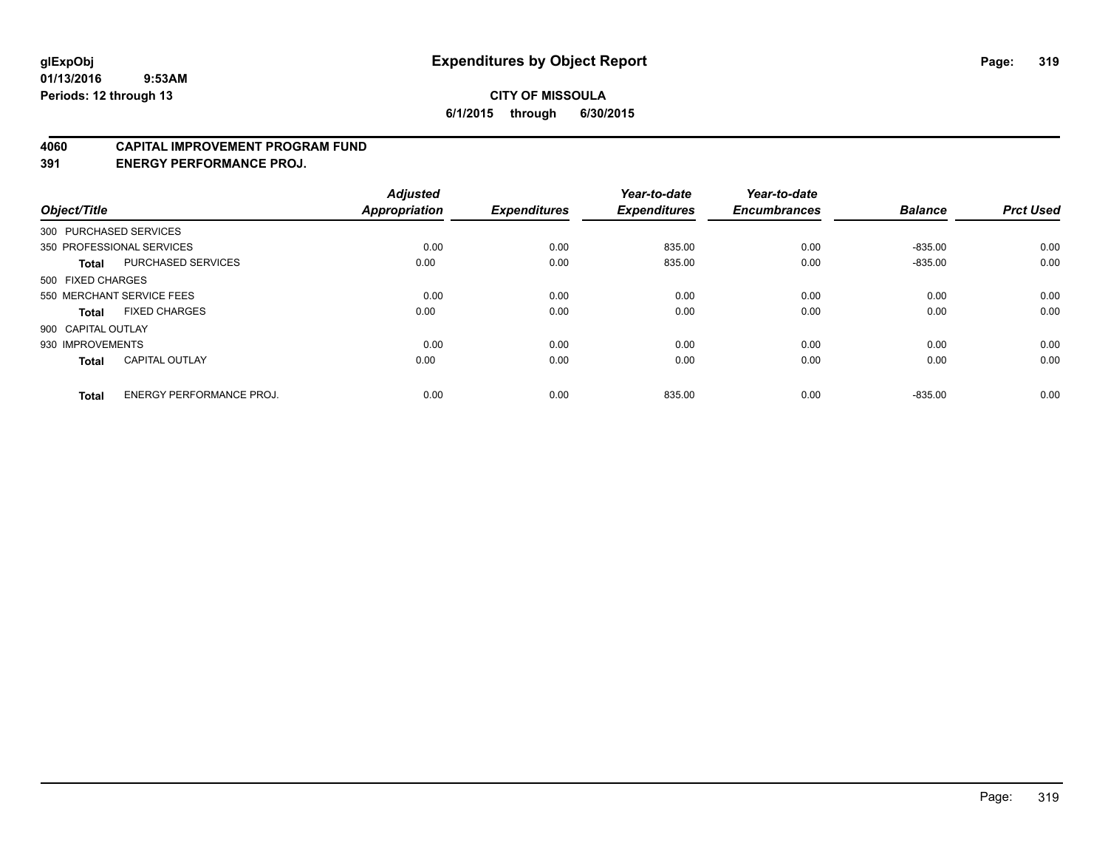### **4060 CAPITAL IMPROVEMENT PROGRAM FUND**

**391 ENERGY PERFORMANCE PROJ.**

| Object/Title       |                                 | <b>Adjusted</b><br>Appropriation | <b>Expenditures</b> | Year-to-date<br><b>Expenditures</b> | Year-to-date<br><b>Encumbrances</b> | <b>Balance</b> | <b>Prct Used</b> |
|--------------------|---------------------------------|----------------------------------|---------------------|-------------------------------------|-------------------------------------|----------------|------------------|
|                    | 300 PURCHASED SERVICES          |                                  |                     |                                     |                                     |                |                  |
|                    | 350 PROFESSIONAL SERVICES       | 0.00                             | 0.00                | 835.00                              | 0.00                                | $-835.00$      | 0.00             |
| <b>Total</b>       | <b>PURCHASED SERVICES</b>       | 0.00                             | 0.00                | 835.00                              | 0.00                                | $-835.00$      | 0.00             |
| 500 FIXED CHARGES  |                                 |                                  |                     |                                     |                                     |                |                  |
|                    | 550 MERCHANT SERVICE FEES       | 0.00                             | 0.00                | 0.00                                | 0.00                                | 0.00           | 0.00             |
| <b>Total</b>       | <b>FIXED CHARGES</b>            | 0.00                             | 0.00                | 0.00                                | 0.00                                | 0.00           | 0.00             |
| 900 CAPITAL OUTLAY |                                 |                                  |                     |                                     |                                     |                |                  |
| 930 IMPROVEMENTS   |                                 | 0.00                             | 0.00                | 0.00                                | 0.00                                | 0.00           | 0.00             |
| <b>Total</b>       | <b>CAPITAL OUTLAY</b>           | 0.00                             | 0.00                | 0.00                                | 0.00                                | 0.00           | 0.00             |
| <b>Total</b>       | <b>ENERGY PERFORMANCE PROJ.</b> | 0.00                             | 0.00                | 835.00                              | 0.00                                | $-835.00$      | 0.00             |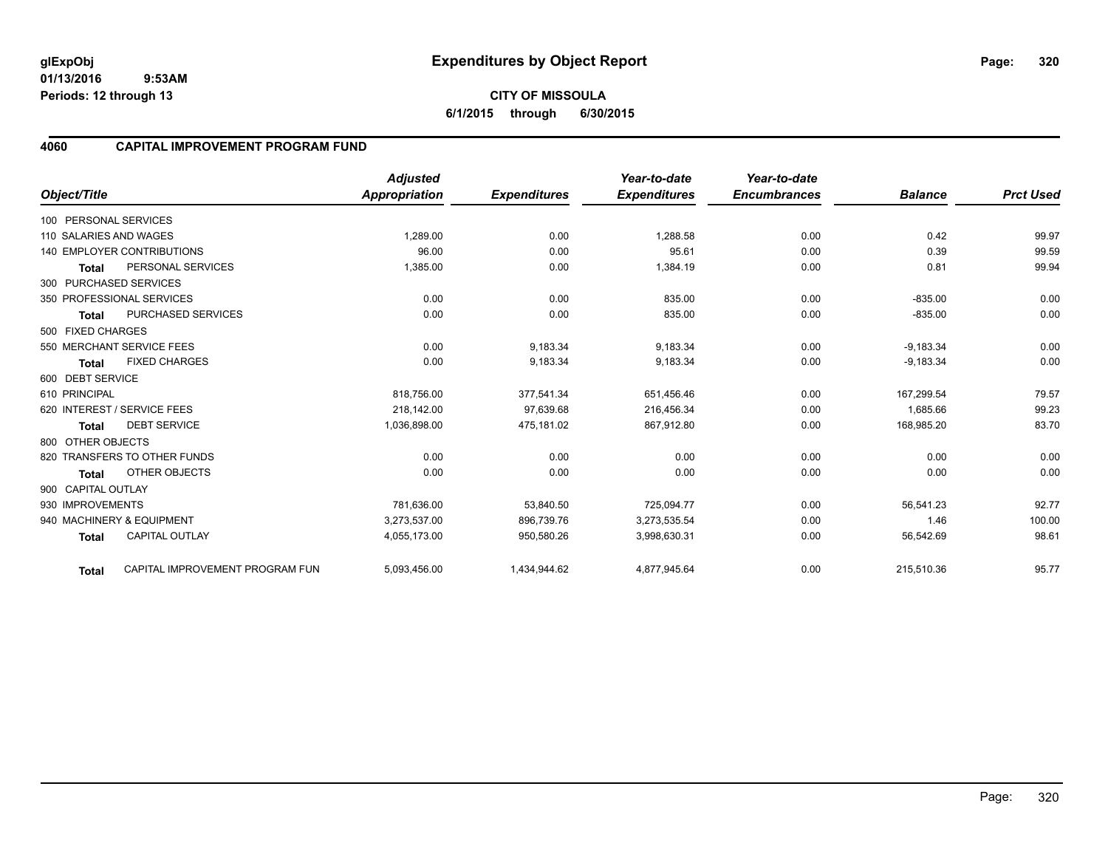# **4060 CAPITAL IMPROVEMENT PROGRAM FUND**

|                        |                                   | <b>Adjusted</b>      |                     | Year-to-date        | Year-to-date        |                |                  |
|------------------------|-----------------------------------|----------------------|---------------------|---------------------|---------------------|----------------|------------------|
| Object/Title           |                                   | <b>Appropriation</b> | <b>Expenditures</b> | <b>Expenditures</b> | <b>Encumbrances</b> | <b>Balance</b> | <b>Prct Used</b> |
| 100 PERSONAL SERVICES  |                                   |                      |                     |                     |                     |                |                  |
| 110 SALARIES AND WAGES |                                   | 1,289.00             | 0.00                | 1,288.58            | 0.00                | 0.42           | 99.97            |
|                        | <b>140 EMPLOYER CONTRIBUTIONS</b> | 96.00                | 0.00                | 95.61               | 0.00                | 0.39           | 99.59            |
| <b>Total</b>           | PERSONAL SERVICES                 | 1,385.00             | 0.00                | 1,384.19            | 0.00                | 0.81           | 99.94            |
| 300 PURCHASED SERVICES |                                   |                      |                     |                     |                     |                |                  |
|                        | 350 PROFESSIONAL SERVICES         | 0.00                 | 0.00                | 835.00              | 0.00                | $-835.00$      | 0.00             |
| <b>Total</b>           | <b>PURCHASED SERVICES</b>         | 0.00                 | 0.00                | 835.00              | 0.00                | $-835.00$      | 0.00             |
| 500 FIXED CHARGES      |                                   |                      |                     |                     |                     |                |                  |
|                        | 550 MERCHANT SERVICE FEES         | 0.00                 | 9,183.34            | 9,183.34            | 0.00                | $-9,183.34$    | 0.00             |
| <b>Total</b>           | <b>FIXED CHARGES</b>              | 0.00                 | 9,183.34            | 9,183.34            | 0.00                | $-9,183.34$    | 0.00             |
| 600 DEBT SERVICE       |                                   |                      |                     |                     |                     |                |                  |
| 610 PRINCIPAL          |                                   | 818,756.00           | 377,541.34          | 651,456.46          | 0.00                | 167.299.54     | 79.57            |
|                        | 620 INTEREST / SERVICE FEES       | 218.142.00           | 97,639.68           | 216.456.34          | 0.00                | 1,685.66       | 99.23            |
| <b>Total</b>           | <b>DEBT SERVICE</b>               | 1,036,898.00         | 475,181.02          | 867,912.80          | 0.00                | 168,985.20     | 83.70            |
| 800 OTHER OBJECTS      |                                   |                      |                     |                     |                     |                |                  |
|                        | 820 TRANSFERS TO OTHER FUNDS      | 0.00                 | 0.00                | 0.00                | 0.00                | 0.00           | 0.00             |
| <b>Total</b>           | <b>OTHER OBJECTS</b>              | 0.00                 | 0.00                | 0.00                | 0.00                | 0.00           | 0.00             |
| 900 CAPITAL OUTLAY     |                                   |                      |                     |                     |                     |                |                  |
| 930 IMPROVEMENTS       |                                   | 781,636.00           | 53,840.50           | 725,094.77          | 0.00                | 56,541.23      | 92.77            |
|                        | 940 MACHINERY & EQUIPMENT         | 3.273.537.00         | 896,739.76          | 3,273,535.54        | 0.00                | 1.46           | 100.00           |
| <b>Total</b>           | <b>CAPITAL OUTLAY</b>             | 4,055,173.00         | 950,580.26          | 3,998,630.31        | 0.00                | 56,542.69      | 98.61            |
| <b>Total</b>           | CAPITAL IMPROVEMENT PROGRAM FUN   | 5,093,456.00         | 1,434,944.62        | 4,877,945.64        | 0.00                | 215,510.36     | 95.77            |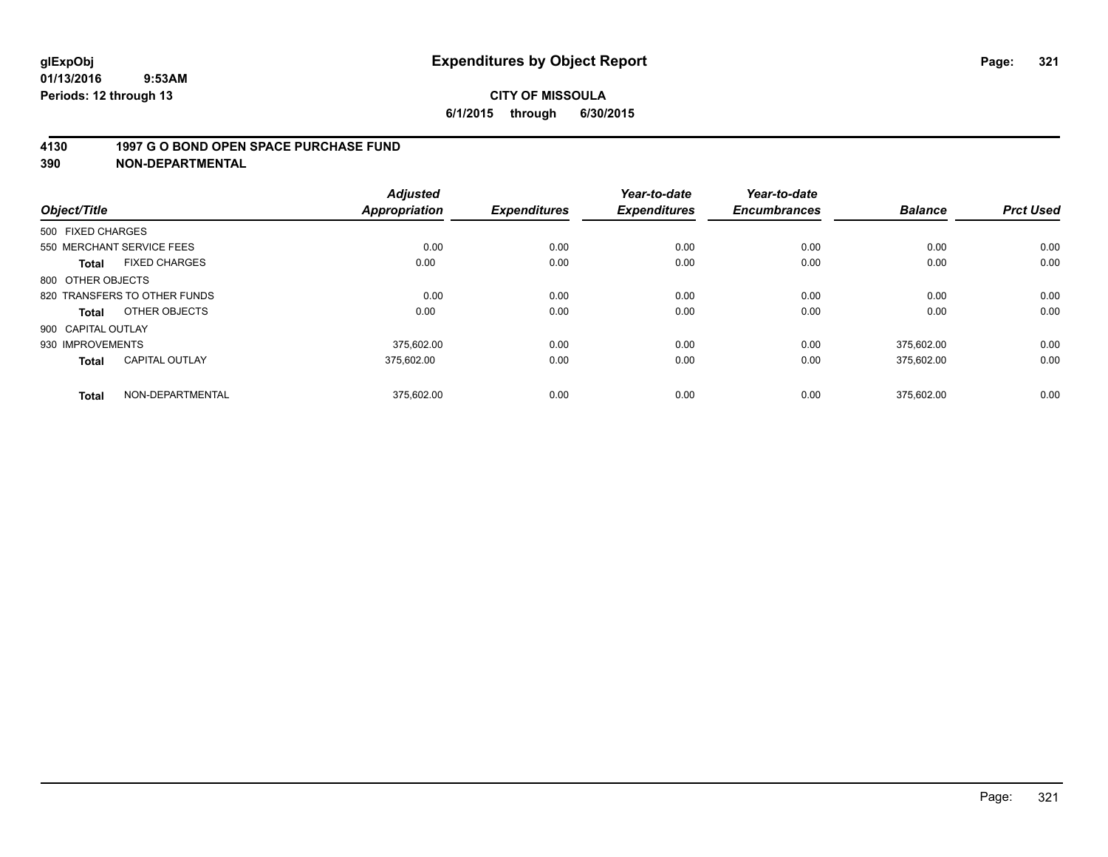### **4130 1997 G O BOND OPEN SPACE PURCHASE FUND**

| Object/Title                          | <b>Adjusted</b><br><b>Appropriation</b> | <b>Expenditures</b> | Year-to-date<br><b>Expenditures</b> | Year-to-date<br><b>Encumbrances</b> | <b>Balance</b> | <b>Prct Used</b> |
|---------------------------------------|-----------------------------------------|---------------------|-------------------------------------|-------------------------------------|----------------|------------------|
| 500 FIXED CHARGES                     |                                         |                     |                                     |                                     |                |                  |
| 550 MERCHANT SERVICE FEES             |                                         | 0.00<br>0.00        | 0.00                                | 0.00                                | 0.00           | 0.00             |
| <b>FIXED CHARGES</b><br><b>Total</b>  | 0.00                                    | 0.00                | 0.00                                | 0.00                                | 0.00           | 0.00             |
| 800 OTHER OBJECTS                     |                                         |                     |                                     |                                     |                |                  |
| 820 TRANSFERS TO OTHER FUNDS          |                                         | 0.00<br>0.00        | 0.00                                | 0.00                                | 0.00           | 0.00             |
| OTHER OBJECTS<br>Total                | 0.00                                    | 0.00                | 0.00                                | 0.00                                | 0.00           | 0.00             |
| 900 CAPITAL OUTLAY                    |                                         |                     |                                     |                                     |                |                  |
| 930 IMPROVEMENTS                      | 375.602.00                              | 0.00                | 0.00                                | 0.00                                | 375.602.00     | 0.00             |
| <b>CAPITAL OUTLAY</b><br><b>Total</b> | 375.602.00                              | 0.00                | 0.00                                | 0.00                                | 375,602.00     | 0.00             |
| NON-DEPARTMENTAL<br><b>Total</b>      | 375,602.00                              | 0.00                | 0.00                                | 0.00                                | 375.602.00     | 0.00             |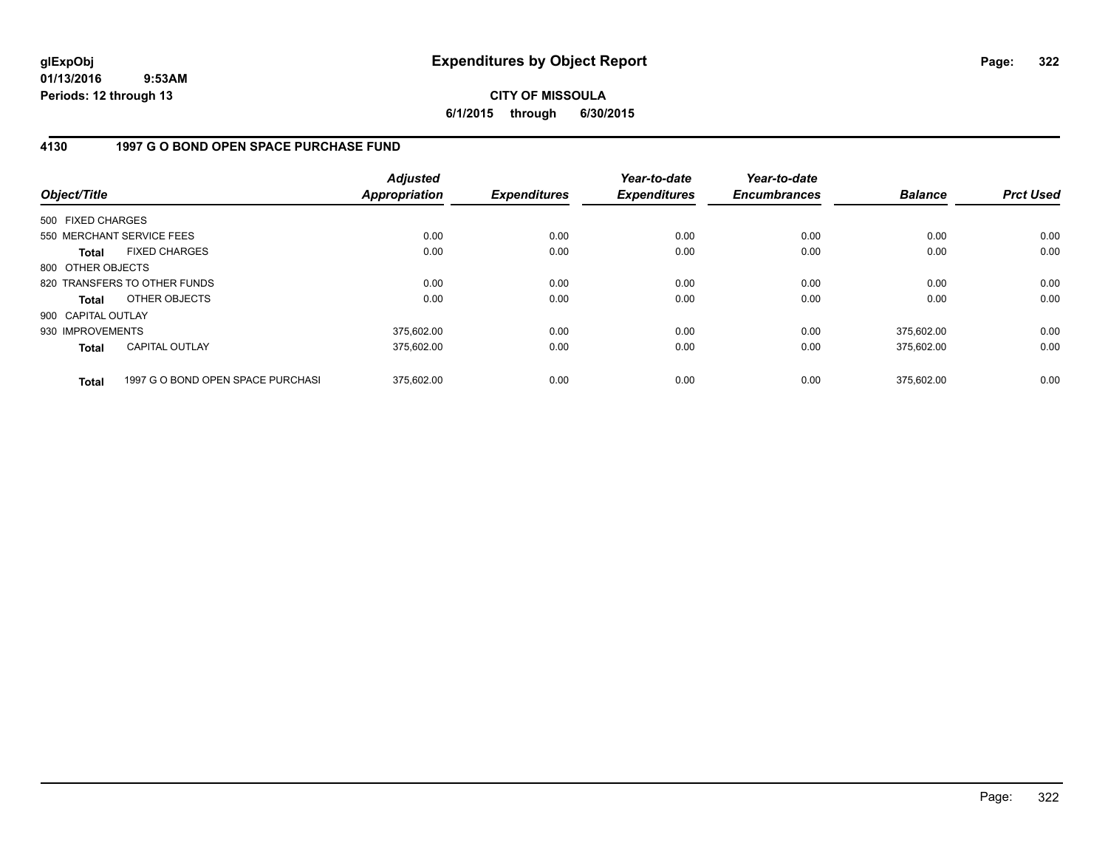**CITY OF MISSOULA 6/1/2015 through 6/30/2015**

## **4130 1997 G O BOND OPEN SPACE PURCHASE FUND**

| Object/Title       |                                   | <b>Adjusted</b><br>Appropriation | <b>Expenditures</b> | Year-to-date<br><b>Expenditures</b> | Year-to-date<br><b>Encumbrances</b> | <b>Balance</b> | <b>Prct Used</b> |
|--------------------|-----------------------------------|----------------------------------|---------------------|-------------------------------------|-------------------------------------|----------------|------------------|
| 500 FIXED CHARGES  |                                   |                                  |                     |                                     |                                     |                |                  |
|                    | 550 MERCHANT SERVICE FEES         | 0.00                             | 0.00                | 0.00                                | 0.00                                | 0.00           | 0.00             |
| <b>Total</b>       | <b>FIXED CHARGES</b>              | 0.00                             | 0.00                | 0.00                                | 0.00                                | 0.00           | 0.00             |
| 800 OTHER OBJECTS  |                                   |                                  |                     |                                     |                                     |                |                  |
|                    | 820 TRANSFERS TO OTHER FUNDS      | 0.00                             | 0.00                | 0.00                                | 0.00                                | 0.00           | 0.00             |
| <b>Total</b>       | OTHER OBJECTS                     | 0.00                             | 0.00                | 0.00                                | 0.00                                | 0.00           | 0.00             |
| 900 CAPITAL OUTLAY |                                   |                                  |                     |                                     |                                     |                |                  |
| 930 IMPROVEMENTS   |                                   | 375.602.00                       | 0.00                | 0.00                                | 0.00                                | 375.602.00     | 0.00             |
| <b>Total</b>       | <b>CAPITAL OUTLAY</b>             | 375.602.00                       | 0.00                | 0.00                                | 0.00                                | 375.602.00     | 0.00             |
| <b>Total</b>       | 1997 G O BOND OPEN SPACE PURCHASI | 375.602.00                       | 0.00                | 0.00                                | 0.00                                | 375.602.00     | 0.00             |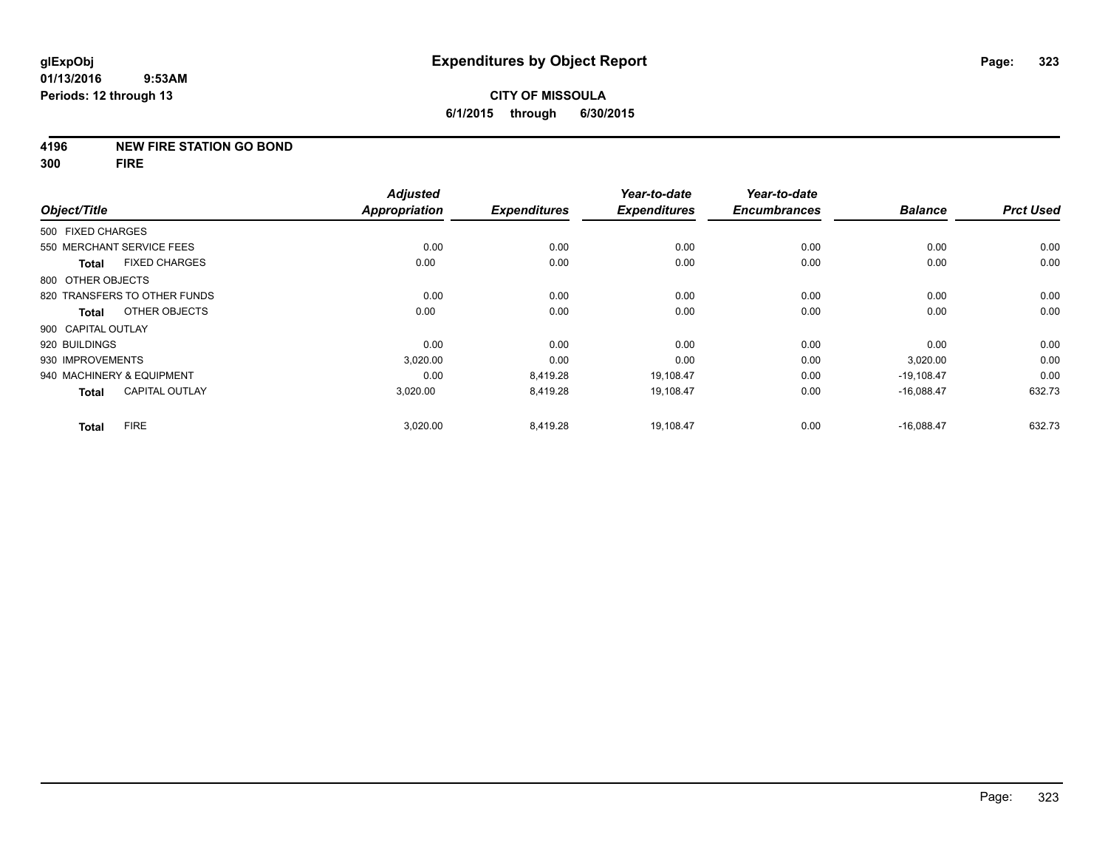### **4196 NEW FIRE STATION GO BOND**

**300 FIRE**

|                    |                              | <b>Adjusted</b> |                     | Year-to-date        | Year-to-date        |                |                  |
|--------------------|------------------------------|-----------------|---------------------|---------------------|---------------------|----------------|------------------|
| Object/Title       |                              | Appropriation   | <b>Expenditures</b> | <b>Expenditures</b> | <b>Encumbrances</b> | <b>Balance</b> | <b>Prct Used</b> |
| 500 FIXED CHARGES  |                              |                 |                     |                     |                     |                |                  |
|                    | 550 MERCHANT SERVICE FEES    | 0.00            | 0.00                | 0.00                | 0.00                | 0.00           | 0.00             |
| <b>Total</b>       | <b>FIXED CHARGES</b>         | 0.00            | 0.00                | 0.00                | 0.00                | 0.00           | 0.00             |
| 800 OTHER OBJECTS  |                              |                 |                     |                     |                     |                |                  |
|                    | 820 TRANSFERS TO OTHER FUNDS | 0.00            | 0.00                | 0.00                | 0.00                | 0.00           | 0.00             |
| <b>Total</b>       | OTHER OBJECTS                | 0.00            | 0.00                | 0.00                | 0.00                | 0.00           | 0.00             |
| 900 CAPITAL OUTLAY |                              |                 |                     |                     |                     |                |                  |
| 920 BUILDINGS      |                              | 0.00            | 0.00                | 0.00                | 0.00                | 0.00           | 0.00             |
| 930 IMPROVEMENTS   |                              | 3,020.00        | 0.00                | 0.00                | 0.00                | 3,020.00       | 0.00             |
|                    | 940 MACHINERY & EQUIPMENT    | 0.00            | 8,419.28            | 19,108.47           | 0.00                | $-19,108.47$   | 0.00             |
| <b>Total</b>       | <b>CAPITAL OUTLAY</b>        | 3,020.00        | 8,419.28            | 19,108.47           | 0.00                | $-16,088.47$   | 632.73           |
| <b>Total</b>       | <b>FIRE</b>                  | 3,020.00        | 8,419.28            | 19,108.47           | 0.00                | $-16,088.47$   | 632.73           |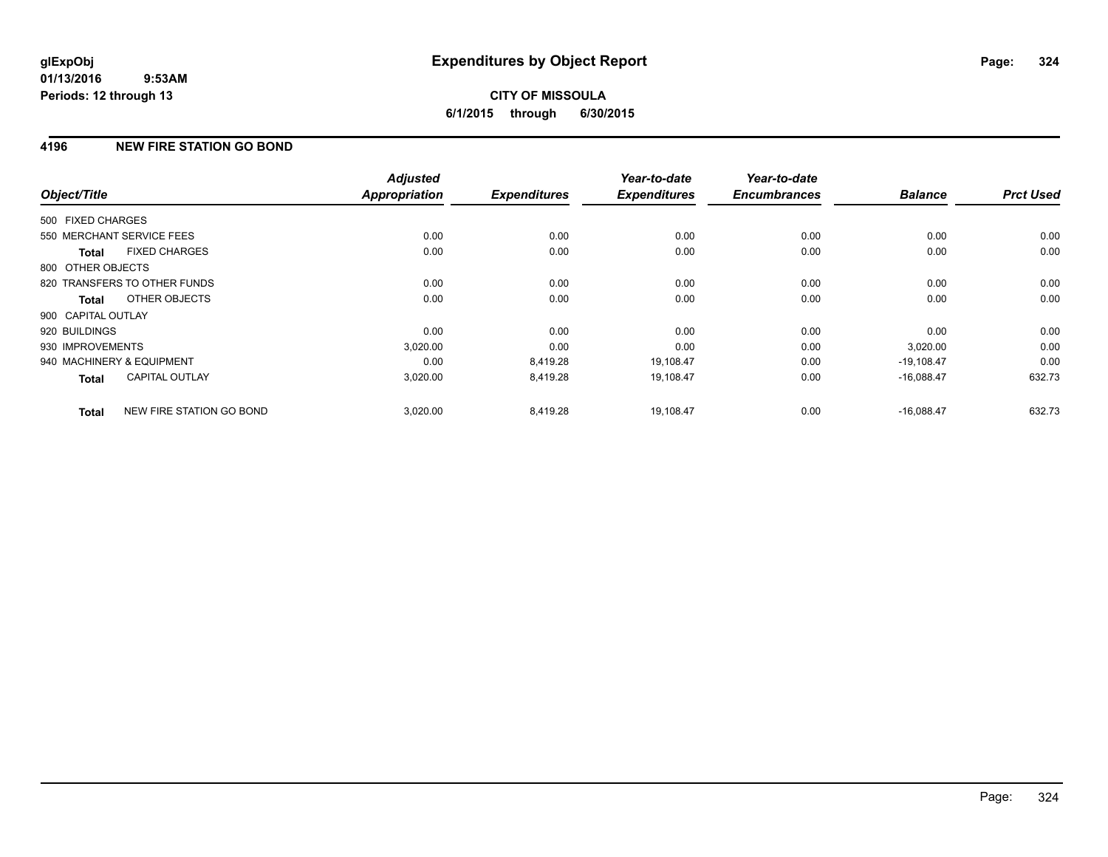# **4196 NEW FIRE STATION GO BOND**

|                    |                              | <b>Adjusted</b>      |                     | Year-to-date        | Year-to-date        | <b>Balance</b> | <b>Prct Used</b> |
|--------------------|------------------------------|----------------------|---------------------|---------------------|---------------------|----------------|------------------|
| Object/Title       |                              | <b>Appropriation</b> | <b>Expenditures</b> | <b>Expenditures</b> | <b>Encumbrances</b> |                |                  |
| 500 FIXED CHARGES  |                              |                      |                     |                     |                     |                |                  |
|                    | 550 MERCHANT SERVICE FEES    | 0.00                 | 0.00                | 0.00                | 0.00                | 0.00           | 0.00             |
| <b>Total</b>       | <b>FIXED CHARGES</b>         | 0.00                 | 0.00                | 0.00                | 0.00                | 0.00           | 0.00             |
| 800 OTHER OBJECTS  |                              |                      |                     |                     |                     |                |                  |
|                    | 820 TRANSFERS TO OTHER FUNDS | 0.00                 | 0.00                | 0.00                | 0.00                | 0.00           | 0.00             |
| <b>Total</b>       | OTHER OBJECTS                | 0.00                 | 0.00                | 0.00                | 0.00                | 0.00           | 0.00             |
| 900 CAPITAL OUTLAY |                              |                      |                     |                     |                     |                |                  |
| 920 BUILDINGS      |                              | 0.00                 | 0.00                | 0.00                | 0.00                | 0.00           | 0.00             |
| 930 IMPROVEMENTS   |                              | 3,020.00             | 0.00                | 0.00                | 0.00                | 3,020.00       | 0.00             |
|                    | 940 MACHINERY & EQUIPMENT    | 0.00                 | 8,419.28            | 19,108.47           | 0.00                | $-19,108.47$   | 0.00             |
| <b>Total</b>       | <b>CAPITAL OUTLAY</b>        | 3,020.00             | 8,419.28            | 19,108.47           | 0.00                | $-16,088.47$   | 632.73           |
| <b>Total</b>       | NEW FIRE STATION GO BOND     | 3,020.00             | 8.419.28            | 19.108.47           | 0.00                | $-16.088.47$   | 632.73           |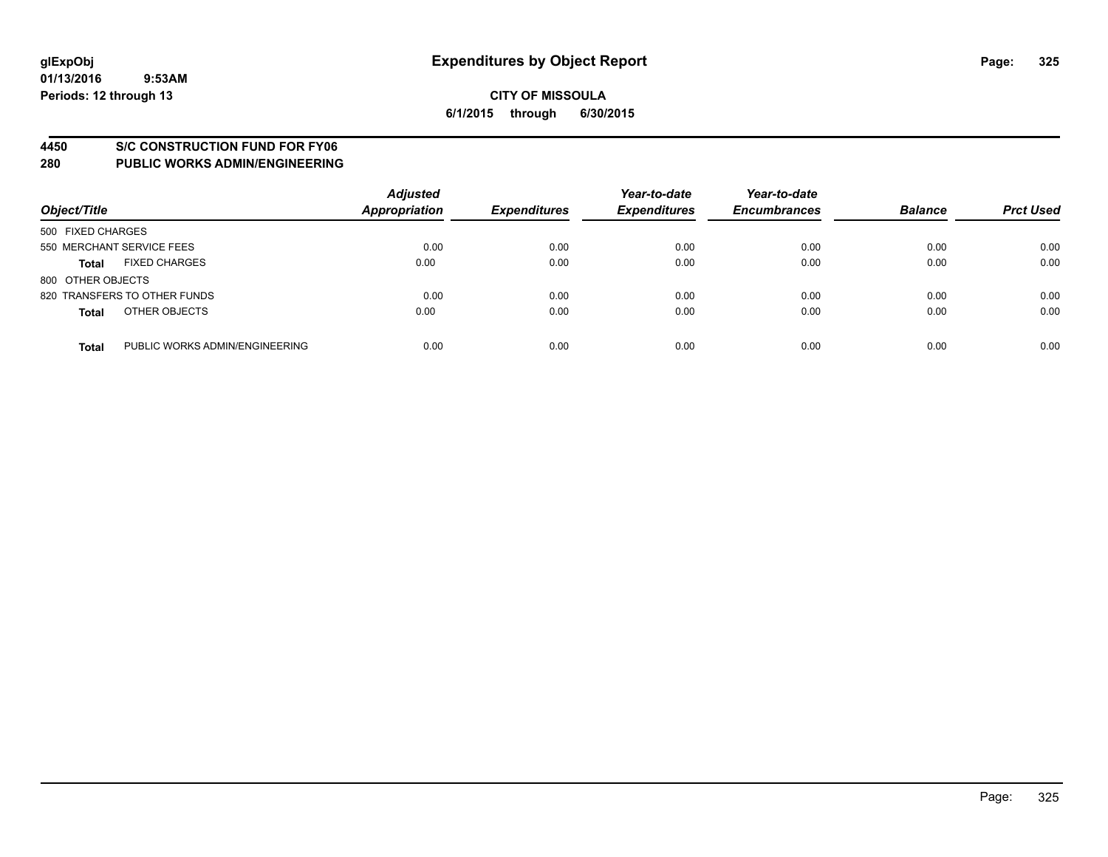#### **4450 S/C CONSTRUCTION FUND FOR FY06**

| Object/Title                                   | <b>Adjusted</b><br><b>Appropriation</b> | <b>Expenditures</b> | Year-to-date<br><b>Expenditures</b> | Year-to-date<br><b>Encumbrances</b> | <b>Balance</b> | <b>Prct Used</b> |
|------------------------------------------------|-----------------------------------------|---------------------|-------------------------------------|-------------------------------------|----------------|------------------|
| 500 FIXED CHARGES                              |                                         |                     |                                     |                                     |                |                  |
| 550 MERCHANT SERVICE FEES                      | 0.00                                    | 0.00                | 0.00                                | 0.00                                | 0.00           | 0.00             |
| <b>FIXED CHARGES</b><br><b>Total</b>           | 0.00                                    | 0.00                | 0.00                                | 0.00                                | 0.00           | 0.00             |
| 800 OTHER OBJECTS                              |                                         |                     |                                     |                                     |                |                  |
| 820 TRANSFERS TO OTHER FUNDS                   | 0.00                                    | 0.00                | 0.00                                | 0.00                                | 0.00           | 0.00             |
| OTHER OBJECTS<br><b>Total</b>                  | 0.00                                    | 0.00                | 0.00                                | 0.00                                | 0.00           | 0.00             |
| PUBLIC WORKS ADMIN/ENGINEERING<br><b>Total</b> | 0.00                                    | 0.00                | 0.00                                | 0.00                                | 0.00           | 0.00             |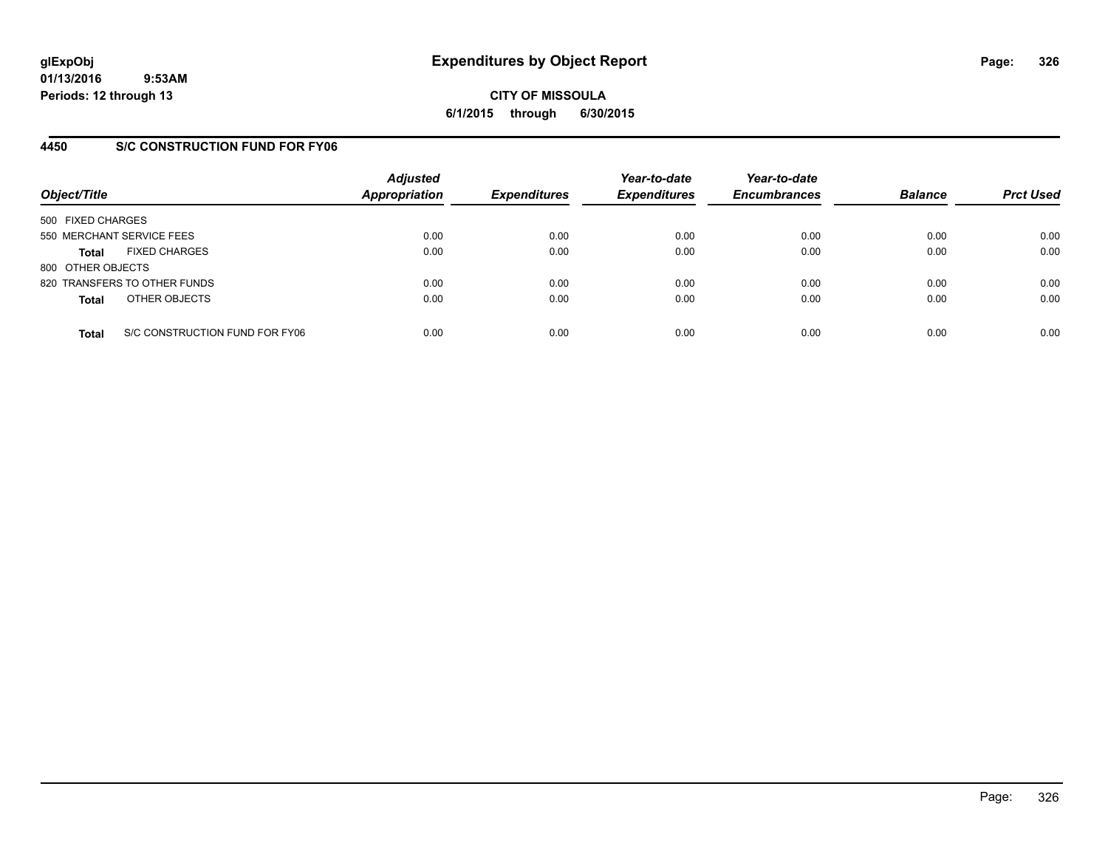**CITY OF MISSOULA 6/1/2015 through 6/30/2015**

### **4450 S/C CONSTRUCTION FUND FOR FY06**

| Object/Title                         |                                | <b>Adjusted</b><br><b>Appropriation</b> | <b>Expenditures</b> | Year-to-date<br><b>Expenditures</b> | Year-to-date<br><b>Encumbrances</b> | <b>Balance</b> | <b>Prct Used</b> |
|--------------------------------------|--------------------------------|-----------------------------------------|---------------------|-------------------------------------|-------------------------------------|----------------|------------------|
| 500 FIXED CHARGES                    |                                |                                         |                     |                                     |                                     |                |                  |
| 550 MERCHANT SERVICE FEES            |                                | 0.00                                    | 0.00                | 0.00                                | 0.00                                | 0.00           | 0.00             |
| <b>FIXED CHARGES</b><br><b>Total</b> |                                | 0.00                                    | 0.00                | 0.00                                | 0.00                                | 0.00           | 0.00             |
| 800 OTHER OBJECTS                    |                                |                                         |                     |                                     |                                     |                |                  |
| 820 TRANSFERS TO OTHER FUNDS         |                                | 0.00                                    | 0.00                | 0.00                                | 0.00                                | 0.00           | 0.00             |
| OTHER OBJECTS<br><b>Total</b>        |                                | 0.00                                    | 0.00                | 0.00                                | 0.00                                | 0.00           | 0.00             |
| <b>Total</b>                         | S/C CONSTRUCTION FUND FOR FY06 | 0.00                                    | 0.00                | 0.00                                | 0.00                                | 0.00           | 0.00             |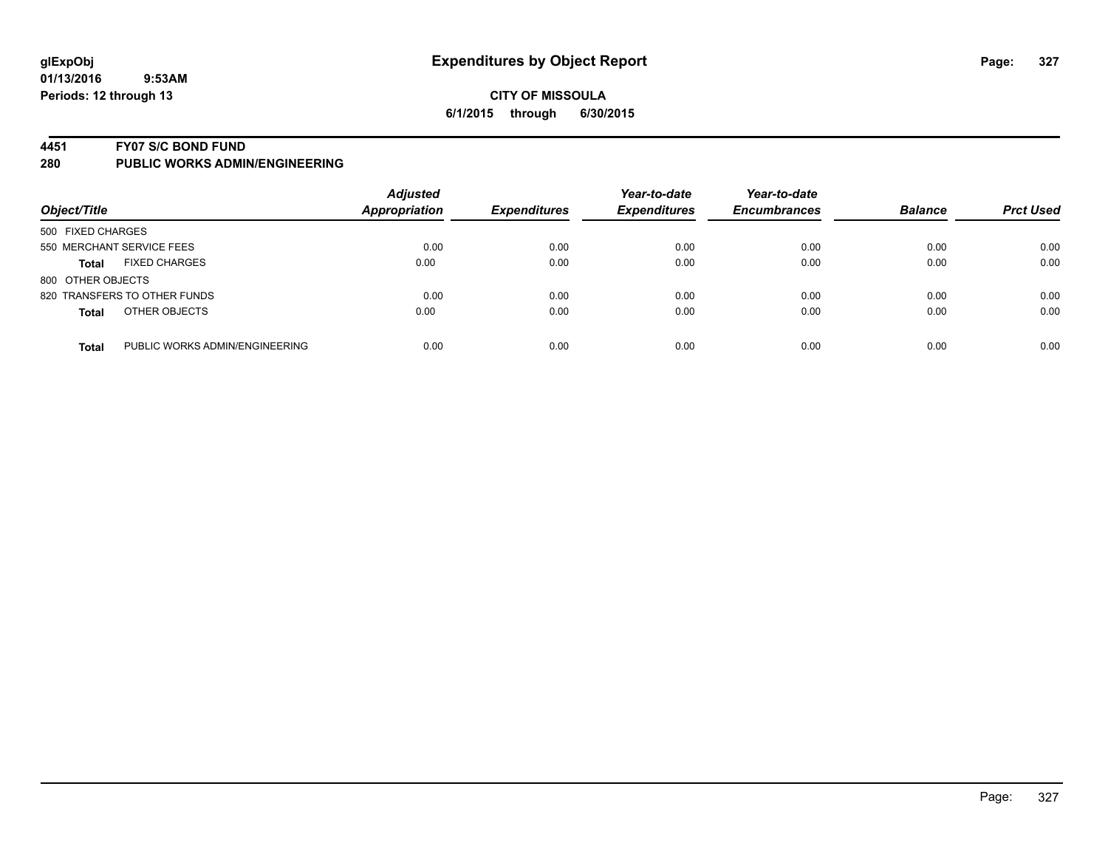#### **4451 FY07 S/C BOND FUND**

| Object/Title                         |                                | <b>Adjusted</b><br><b>Appropriation</b> | <b>Expenditures</b> | Year-to-date<br><b>Expenditures</b> | Year-to-date<br><b>Encumbrances</b> | <b>Balance</b> | <b>Prct Used</b> |
|--------------------------------------|--------------------------------|-----------------------------------------|---------------------|-------------------------------------|-------------------------------------|----------------|------------------|
| 500 FIXED CHARGES                    |                                |                                         |                     |                                     |                                     |                |                  |
| 550 MERCHANT SERVICE FEES            |                                | 0.00                                    | 0.00                | 0.00                                | 0.00                                | 0.00           | 0.00             |
| <b>FIXED CHARGES</b><br><b>Total</b> |                                | 0.00                                    | 0.00                | 0.00                                | 0.00                                | 0.00           | 0.00             |
| 800 OTHER OBJECTS                    |                                |                                         |                     |                                     |                                     |                |                  |
| 820 TRANSFERS TO OTHER FUNDS         |                                | 0.00                                    | 0.00                | 0.00                                | 0.00                                | 0.00           | 0.00             |
| OTHER OBJECTS<br><b>Total</b>        |                                | 0.00                                    | 0.00                | 0.00                                | 0.00                                | 0.00           | 0.00             |
| <b>Total</b>                         | PUBLIC WORKS ADMIN/ENGINEERING | 0.00                                    | 0.00                | 0.00                                | 0.00                                | 0.00           | 0.00             |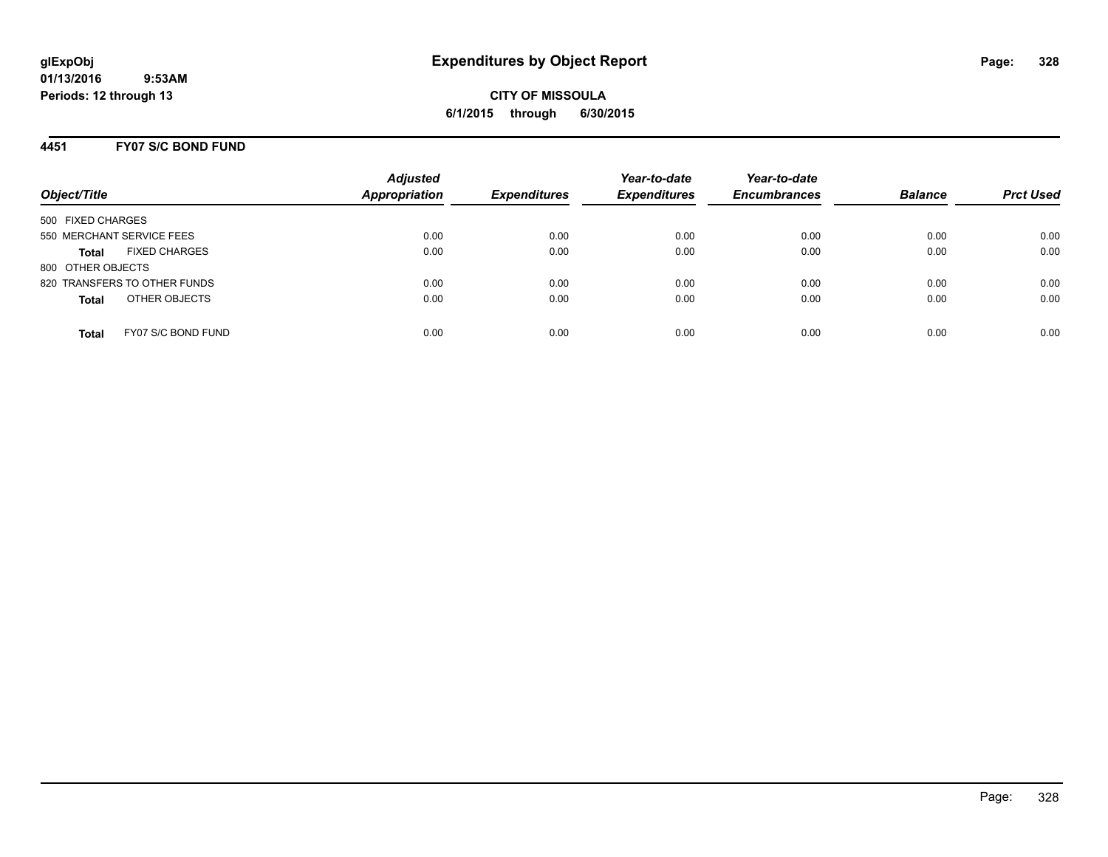**CITY OF MISSOULA 6/1/2015 through 6/30/2015**

### **4451 FY07 S/C BOND FUND**

| Object/Title                         | <b>Adjusted</b><br><b>Appropriation</b> | <b>Expenditures</b> | Year-to-date<br><b>Expenditures</b> | Year-to-date<br><b>Encumbrances</b> | <b>Balance</b> | <b>Prct Used</b> |
|--------------------------------------|-----------------------------------------|---------------------|-------------------------------------|-------------------------------------|----------------|------------------|
| 500 FIXED CHARGES                    |                                         |                     |                                     |                                     |                |                  |
| 550 MERCHANT SERVICE FEES            | 0.00                                    | 0.00                | 0.00                                | 0.00                                | 0.00           | 0.00             |
| <b>FIXED CHARGES</b><br><b>Total</b> | 0.00                                    | 0.00                | 0.00                                | 0.00                                | 0.00           | 0.00             |
| 800 OTHER OBJECTS                    |                                         |                     |                                     |                                     |                |                  |
| 820 TRANSFERS TO OTHER FUNDS         | 0.00                                    | 0.00                | 0.00                                | 0.00                                | 0.00           | 0.00             |
| OTHER OBJECTS<br><b>Total</b>        | 0.00                                    | 0.00                | 0.00                                | 0.00                                | 0.00           | 0.00             |
| FY07 S/C BOND FUND<br>Total          | 0.00                                    | 0.00                | 0.00                                | 0.00                                | 0.00           | 0.00             |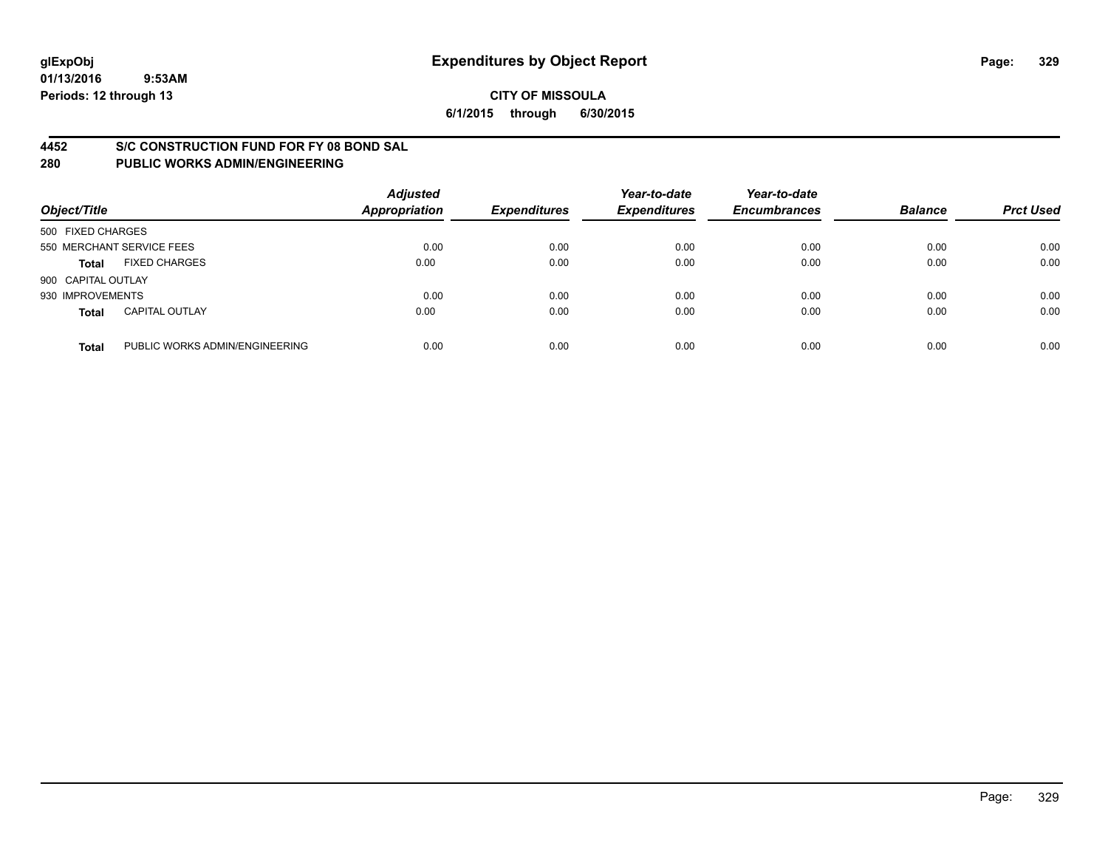#### **4452 S/C CONSTRUCTION FUND FOR FY 08 BOND SAL**

| Object/Title       |                                | <b>Adjusted</b><br><b>Appropriation</b> | <b>Expenditures</b> | Year-to-date<br><b>Expenditures</b> | Year-to-date<br><b>Encumbrances</b> | <b>Balance</b> | <b>Prct Used</b> |
|--------------------|--------------------------------|-----------------------------------------|---------------------|-------------------------------------|-------------------------------------|----------------|------------------|
| 500 FIXED CHARGES  |                                |                                         |                     |                                     |                                     |                |                  |
|                    | 550 MERCHANT SERVICE FEES      | 0.00                                    | 0.00                | 0.00                                | 0.00                                | 0.00           | 0.00             |
| <b>Total</b>       | <b>FIXED CHARGES</b>           | 0.00                                    | 0.00                | 0.00                                | 0.00                                | 0.00           | 0.00             |
| 900 CAPITAL OUTLAY |                                |                                         |                     |                                     |                                     |                |                  |
| 930 IMPROVEMENTS   |                                | 0.00                                    | 0.00                | 0.00                                | 0.00                                | 0.00           | 0.00             |
| <b>Total</b>       | <b>CAPITAL OUTLAY</b>          | 0.00                                    | 0.00                | 0.00                                | 0.00                                | 0.00           | 0.00             |
| <b>Total</b>       | PUBLIC WORKS ADMIN/ENGINEERING | 0.00                                    | 0.00                | 0.00                                | 0.00                                | 0.00           | 0.00             |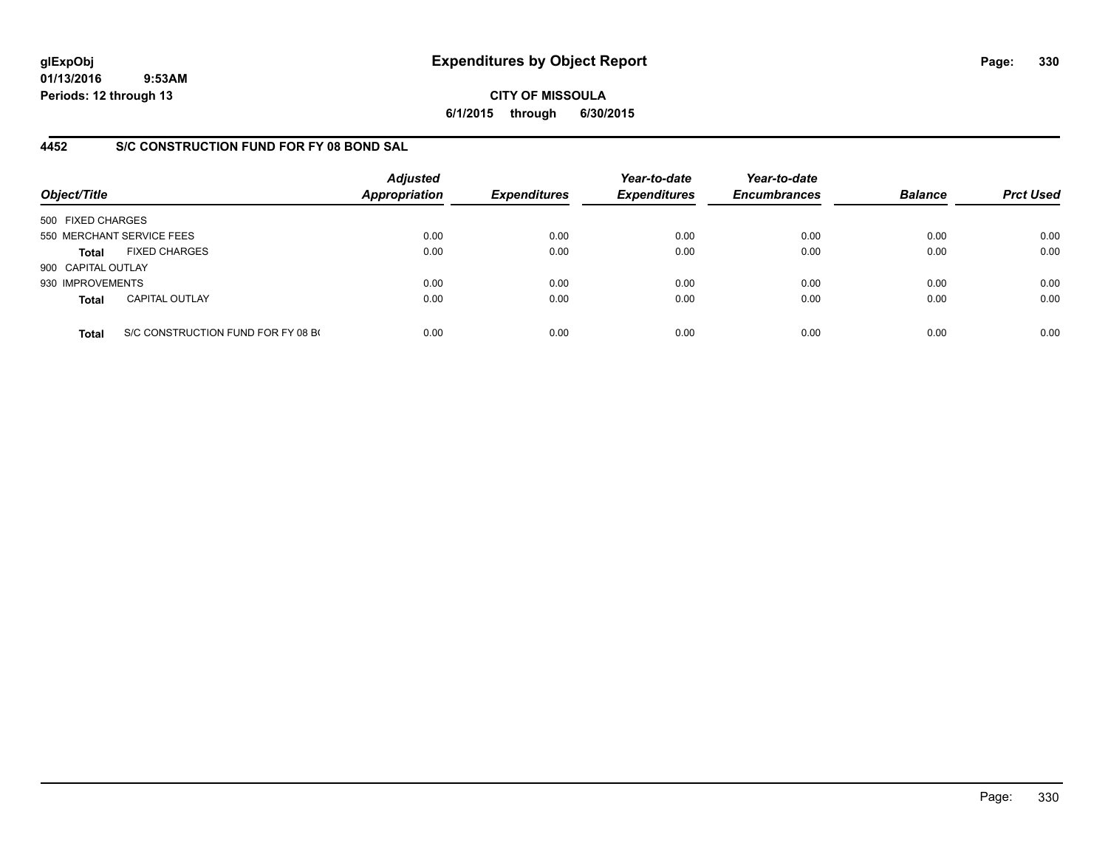**CITY OF MISSOULA 6/1/2015 through 6/30/2015**

### **4452 S/C CONSTRUCTION FUND FOR FY 08 BOND SAL**

| Object/Title       |                                    | <b>Adjusted</b><br>Appropriation | <b>Expenditures</b> | Year-to-date<br><b>Expenditures</b> | Year-to-date<br><b>Encumbrances</b> | <b>Balance</b> | <b>Prct Used</b> |
|--------------------|------------------------------------|----------------------------------|---------------------|-------------------------------------|-------------------------------------|----------------|------------------|
| 500 FIXED CHARGES  |                                    |                                  |                     |                                     |                                     |                |                  |
|                    | 550 MERCHANT SERVICE FEES          | 0.00                             | 0.00                | 0.00                                | 0.00                                | 0.00           | 0.00             |
| <b>Total</b>       | <b>FIXED CHARGES</b>               | 0.00                             | 0.00                | 0.00                                | 0.00                                | 0.00           | 0.00             |
| 900 CAPITAL OUTLAY |                                    |                                  |                     |                                     |                                     |                |                  |
| 930 IMPROVEMENTS   |                                    | 0.00                             | 0.00                | 0.00                                | 0.00                                | 0.00           | 0.00             |
| <b>Total</b>       | <b>CAPITAL OUTLAY</b>              | 0.00                             | 0.00                | 0.00                                | 0.00                                | 0.00           | 0.00             |
| <b>Total</b>       | S/C CONSTRUCTION FUND FOR FY 08 BO | 0.00                             | 0.00                | 0.00                                | 0.00                                | 0.00           | 0.00             |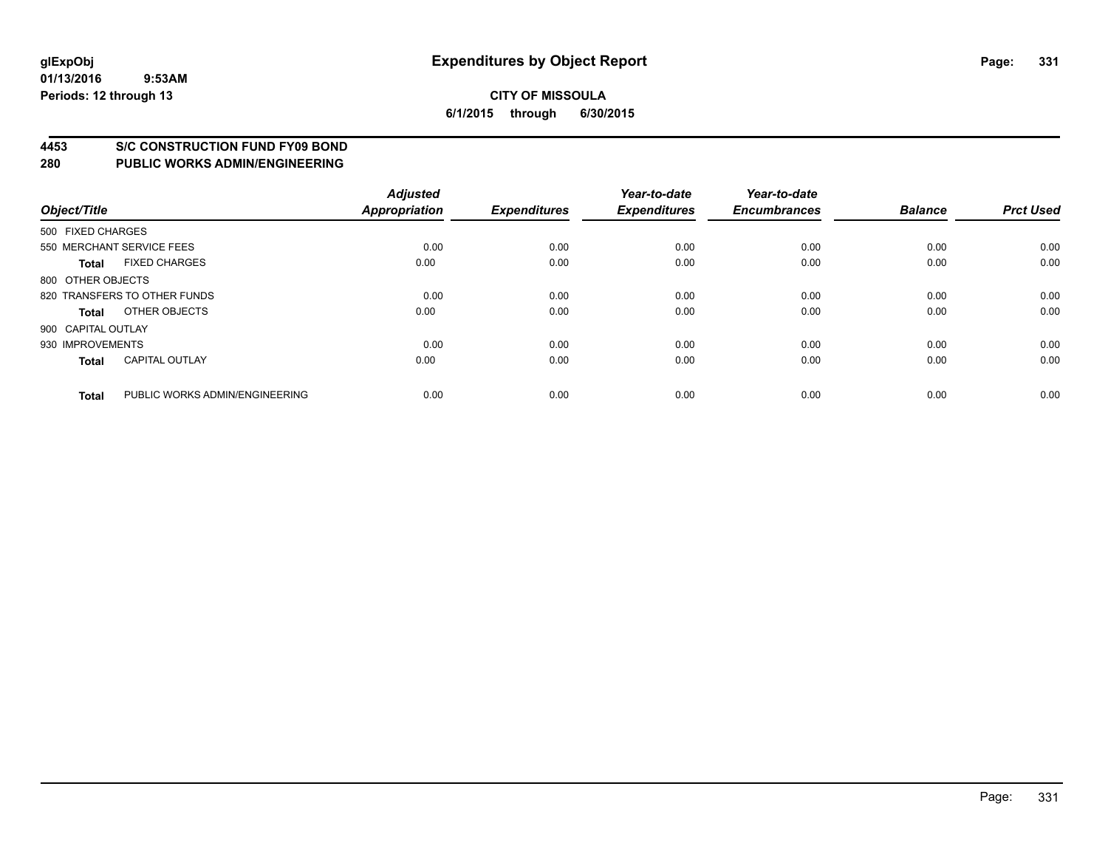#### **4453 S/C CONSTRUCTION FUND FY09 BOND**

| Object/Title       |                                | <b>Adjusted</b><br><b>Appropriation</b> | <b>Expenditures</b> | Year-to-date<br><b>Expenditures</b> | Year-to-date<br><b>Encumbrances</b> | <b>Balance</b> | <b>Prct Used</b> |
|--------------------|--------------------------------|-----------------------------------------|---------------------|-------------------------------------|-------------------------------------|----------------|------------------|
| 500 FIXED CHARGES  |                                |                                         |                     |                                     |                                     |                |                  |
|                    | 550 MERCHANT SERVICE FEES      | 0.00                                    | 0.00                | 0.00                                | 0.00                                | 0.00           | 0.00             |
| <b>Total</b>       | <b>FIXED CHARGES</b>           | 0.00                                    | 0.00                | 0.00                                | 0.00                                | 0.00           | 0.00             |
| 800 OTHER OBJECTS  |                                |                                         |                     |                                     |                                     |                |                  |
|                    | 820 TRANSFERS TO OTHER FUNDS   | 0.00                                    | 0.00                | 0.00                                | 0.00                                | 0.00           | 0.00             |
| Total              | OTHER OBJECTS                  | 0.00                                    | 0.00                | 0.00                                | 0.00                                | 0.00           | 0.00             |
| 900 CAPITAL OUTLAY |                                |                                         |                     |                                     |                                     |                |                  |
| 930 IMPROVEMENTS   |                                | 0.00                                    | 0.00                | 0.00                                | 0.00                                | 0.00           | 0.00             |
| <b>Total</b>       | <b>CAPITAL OUTLAY</b>          | 0.00                                    | 0.00                | 0.00                                | 0.00                                | 0.00           | 0.00             |
| <b>Total</b>       | PUBLIC WORKS ADMIN/ENGINEERING | 0.00                                    | 0.00                | 0.00                                | 0.00                                | 0.00           | 0.00             |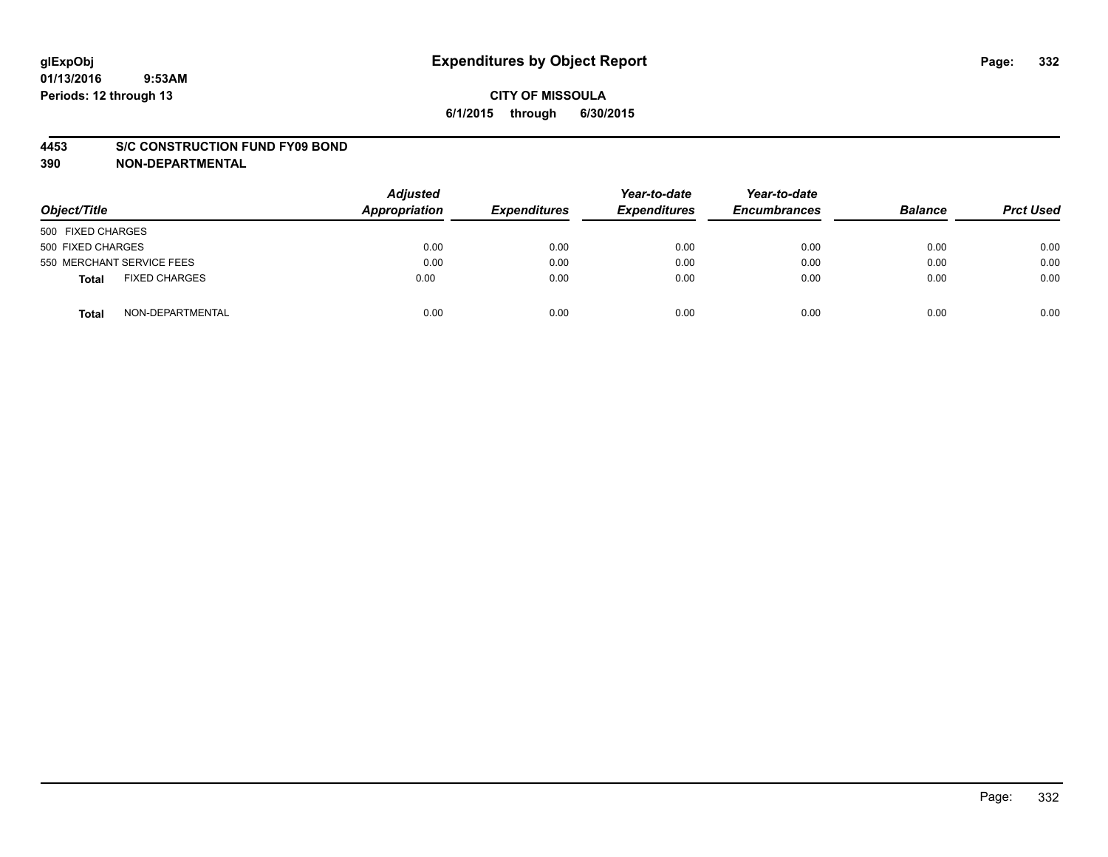#### **4453 S/C CONSTRUCTION FUND FY09 BOND**

**390 NON-DEPARTMENTAL**

| Object/Title                  | <b>Adjusted</b><br>Appropriation | <b>Expenditures</b> | Year-to-date<br><b>Expenditures</b> | Year-to-date<br><b>Encumbrances</b> | <b>Balance</b> | <b>Prct Used</b> |
|-------------------------------|----------------------------------|---------------------|-------------------------------------|-------------------------------------|----------------|------------------|
| 500 FIXED CHARGES             |                                  |                     |                                     |                                     |                |                  |
| 500 FIXED CHARGES             | 0.00                             | 0.00                | 0.00                                | 0.00                                | 0.00           | 0.00             |
| 550 MERCHANT SERVICE FEES     | 0.00                             | 0.00                | 0.00                                | 0.00                                | 0.00           | 0.00             |
| <b>FIXED CHARGES</b><br>Total | 0.00                             | 0.00                | 0.00                                | 0.00                                | 0.00           | 0.00             |
| NON-DEPARTMENTAL<br>Total     | 0.00                             | 0.00                | 0.00                                | 0.00                                | 0.00           | 0.00             |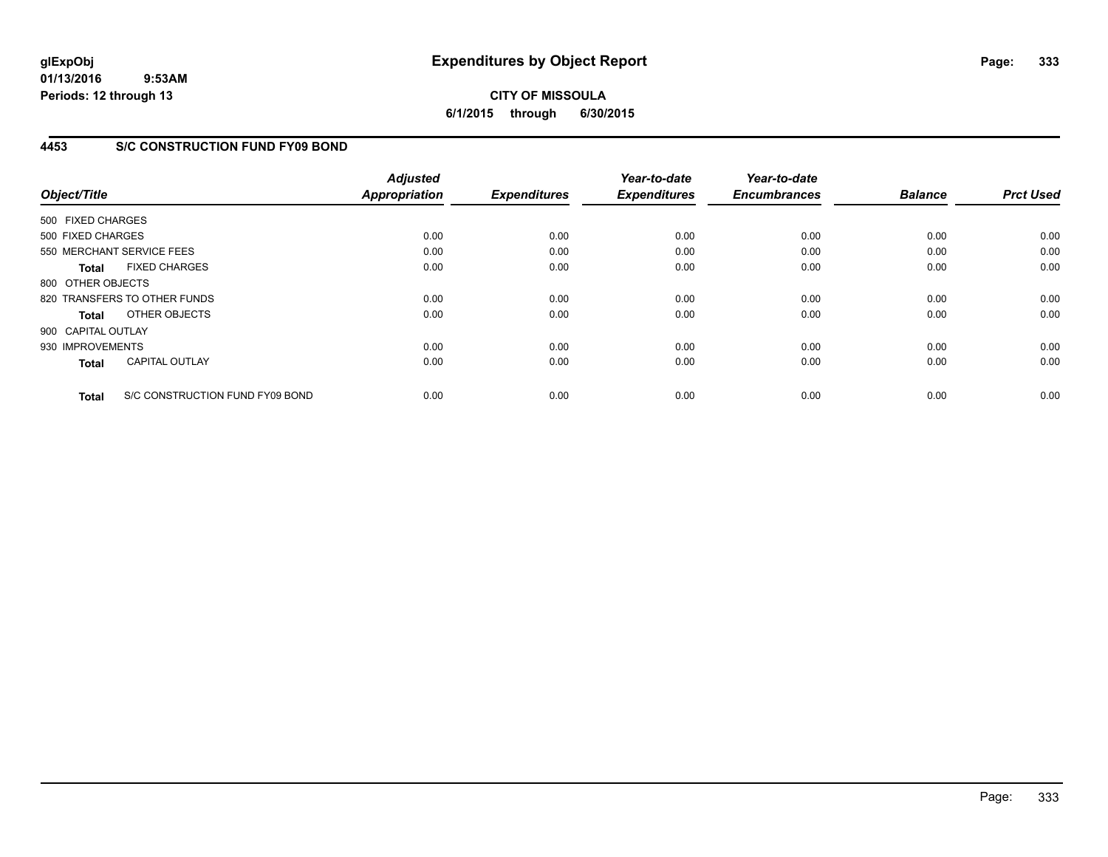## **CITY OF MISSOULA 6/1/2015 through 6/30/2015**

### **4453 S/C CONSTRUCTION FUND FY09 BOND**

| Object/Title                 |                                 | <b>Adjusted</b><br><b>Appropriation</b> | <b>Expenditures</b> | Year-to-date<br><b>Expenditures</b> | Year-to-date<br><b>Encumbrances</b> | <b>Balance</b> | <b>Prct Used</b> |
|------------------------------|---------------------------------|-----------------------------------------|---------------------|-------------------------------------|-------------------------------------|----------------|------------------|
| 500 FIXED CHARGES            |                                 |                                         |                     |                                     |                                     |                |                  |
| 500 FIXED CHARGES            |                                 | 0.00                                    | 0.00                | 0.00                                | 0.00                                | 0.00           | 0.00             |
| 550 MERCHANT SERVICE FEES    |                                 | 0.00                                    | 0.00                | 0.00                                | 0.00                                | 0.00           | 0.00             |
| <b>Total</b>                 | <b>FIXED CHARGES</b>            | 0.00                                    | 0.00                | 0.00                                | 0.00                                | 0.00           | 0.00             |
| 800 OTHER OBJECTS            |                                 |                                         |                     |                                     |                                     |                |                  |
| 820 TRANSFERS TO OTHER FUNDS |                                 | 0.00                                    | 0.00                | 0.00                                | 0.00                                | 0.00           | 0.00             |
| <b>Total</b>                 | OTHER OBJECTS                   | 0.00                                    | 0.00                | 0.00                                | 0.00                                | 0.00           | 0.00             |
| 900 CAPITAL OUTLAY           |                                 |                                         |                     |                                     |                                     |                |                  |
| 930 IMPROVEMENTS             |                                 | 0.00                                    | 0.00                | 0.00                                | 0.00                                | 0.00           | 0.00             |
| <b>Total</b>                 | <b>CAPITAL OUTLAY</b>           | 0.00                                    | 0.00                | 0.00                                | 0.00                                | 0.00           | 0.00             |
| <b>Total</b>                 | S/C CONSTRUCTION FUND FY09 BOND | 0.00                                    | 0.00                | 0.00                                | 0.00                                | 0.00           | 0.00             |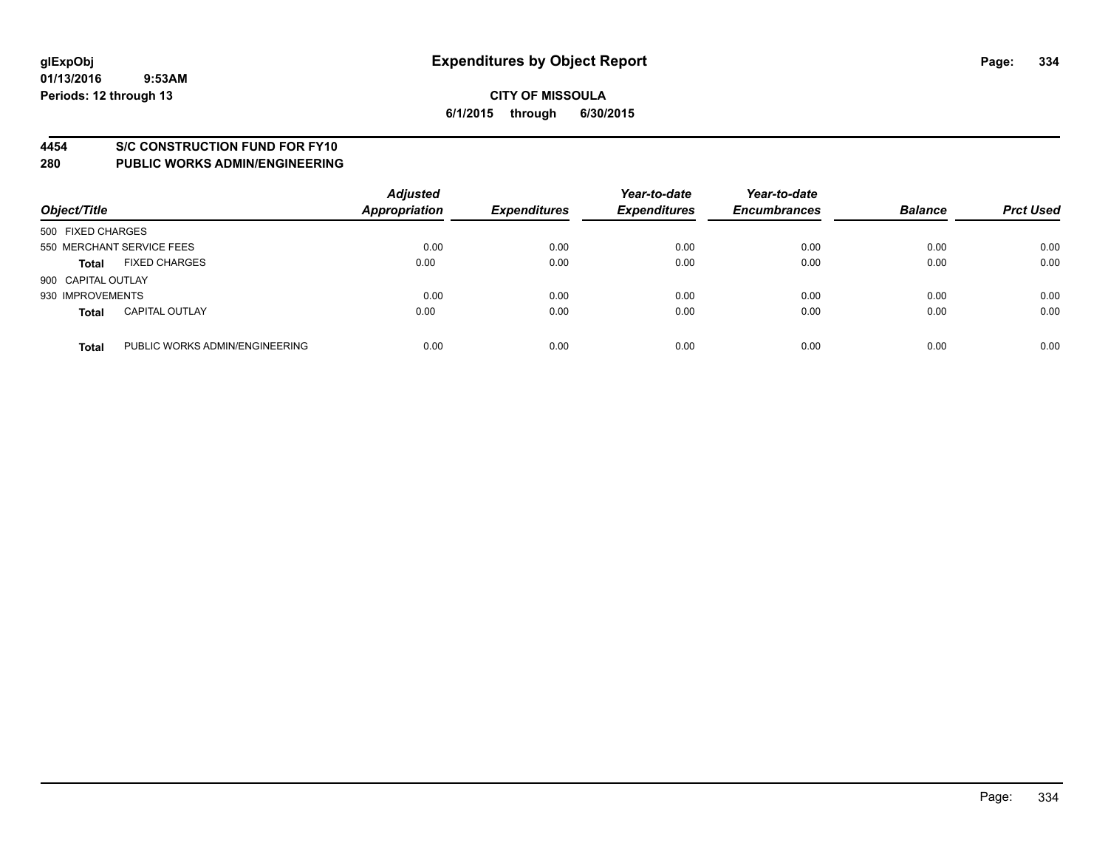#### **4454 S/C CONSTRUCTION FUND FOR FY10**

| Object/Title       |                                | <b>Adjusted</b><br>Appropriation | <b>Expenditures</b> | Year-to-date<br><b>Expenditures</b> | Year-to-date<br><b>Encumbrances</b> | <b>Balance</b> | <b>Prct Used</b> |
|--------------------|--------------------------------|----------------------------------|---------------------|-------------------------------------|-------------------------------------|----------------|------------------|
| 500 FIXED CHARGES  |                                |                                  |                     |                                     |                                     |                |                  |
|                    | 550 MERCHANT SERVICE FEES      | 0.00                             | 0.00                | 0.00                                | 0.00                                | 0.00           | 0.00             |
| <b>Total</b>       | <b>FIXED CHARGES</b>           | 0.00                             | 0.00                | 0.00                                | 0.00                                | 0.00           | 0.00             |
| 900 CAPITAL OUTLAY |                                |                                  |                     |                                     |                                     |                |                  |
| 930 IMPROVEMENTS   |                                | 0.00                             | 0.00                | 0.00                                | 0.00                                | 0.00           | 0.00             |
| <b>Total</b>       | <b>CAPITAL OUTLAY</b>          | 0.00                             | 0.00                | 0.00                                | 0.00                                | 0.00           | 0.00             |
| <b>Total</b>       | PUBLIC WORKS ADMIN/ENGINEERING | 0.00                             | 0.00                | 0.00                                | 0.00                                | 0.00           | 0.00             |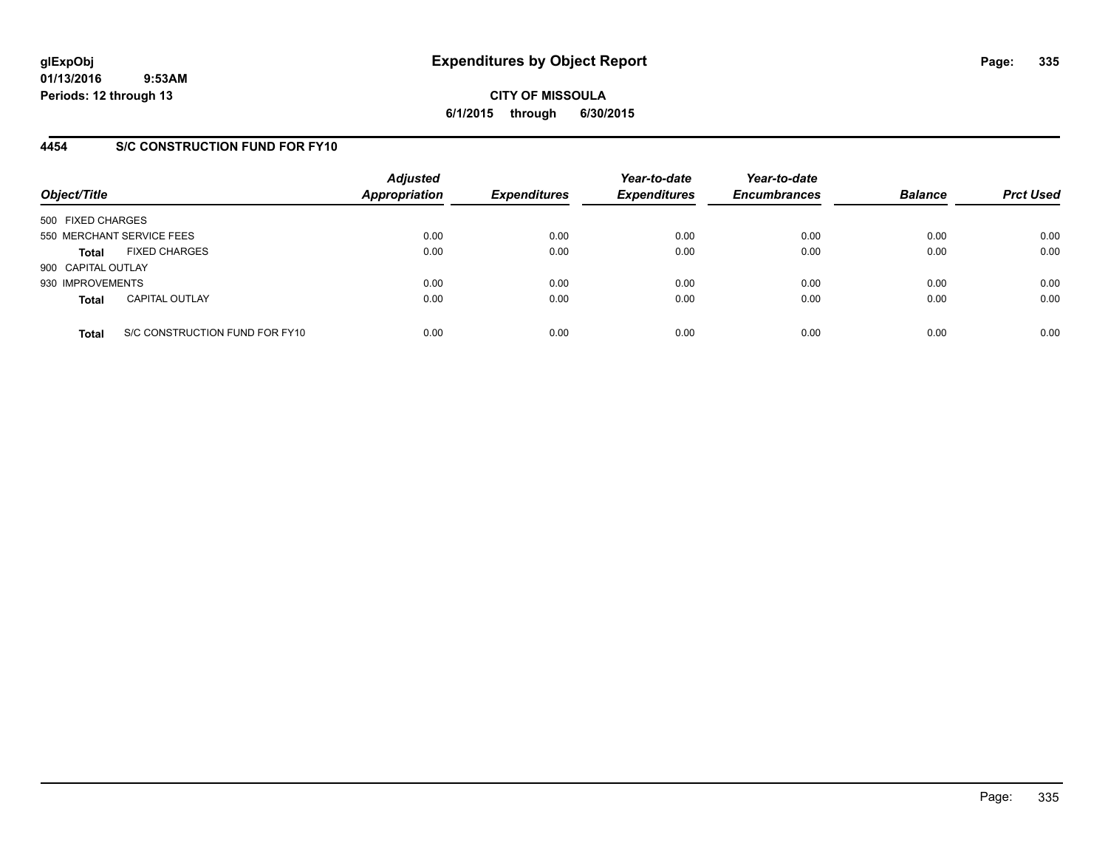**CITY OF MISSOULA 6/1/2015 through 6/30/2015**

### **4454 S/C CONSTRUCTION FUND FOR FY10**

| Object/Title       |                                | <b>Adjusted</b><br><b>Appropriation</b> | <b>Expenditures</b> | Year-to-date<br><b>Expenditures</b> | Year-to-date<br><b>Encumbrances</b> | <b>Balance</b> | <b>Prct Used</b> |
|--------------------|--------------------------------|-----------------------------------------|---------------------|-------------------------------------|-------------------------------------|----------------|------------------|
| 500 FIXED CHARGES  |                                |                                         |                     |                                     |                                     |                |                  |
|                    | 550 MERCHANT SERVICE FEES      | 0.00                                    | 0.00                | 0.00                                | 0.00                                | 0.00           | 0.00             |
| <b>Total</b>       | <b>FIXED CHARGES</b>           | 0.00                                    | 0.00                | 0.00                                | 0.00                                | 0.00           | 0.00             |
| 900 CAPITAL OUTLAY |                                |                                         |                     |                                     |                                     |                |                  |
| 930 IMPROVEMENTS   |                                | 0.00                                    | 0.00                | 0.00                                | 0.00                                | 0.00           | 0.00             |
| <b>Total</b>       | <b>CAPITAL OUTLAY</b>          | 0.00                                    | 0.00                | 0.00                                | 0.00                                | 0.00           | 0.00             |
| <b>Total</b>       | S/C CONSTRUCTION FUND FOR FY10 | 0.00                                    | 0.00                | 0.00                                | 0.00                                | 0.00           | 0.00             |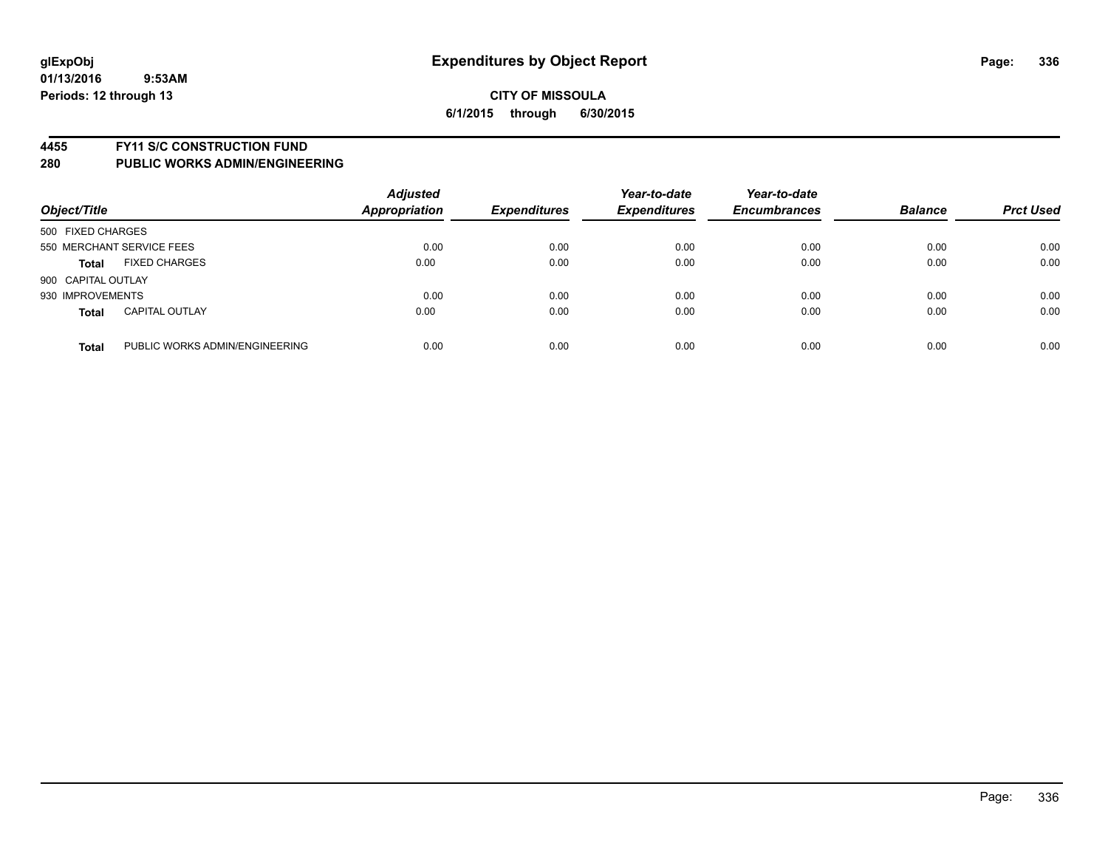#### **4455 FY11 S/C CONSTRUCTION FUND**

| Object/Title       |                                | <b>Adjusted</b><br><b>Appropriation</b> | <b>Expenditures</b> | Year-to-date<br><b>Expenditures</b> | Year-to-date<br><b>Encumbrances</b> | <b>Balance</b> | <b>Prct Used</b> |
|--------------------|--------------------------------|-----------------------------------------|---------------------|-------------------------------------|-------------------------------------|----------------|------------------|
| 500 FIXED CHARGES  |                                |                                         |                     |                                     |                                     |                |                  |
|                    | 550 MERCHANT SERVICE FEES      | 0.00                                    | 0.00                | 0.00                                | 0.00                                | 0.00           | 0.00             |
| <b>Total</b>       | <b>FIXED CHARGES</b>           | 0.00                                    | 0.00                | 0.00                                | 0.00                                | 0.00           | 0.00             |
| 900 CAPITAL OUTLAY |                                |                                         |                     |                                     |                                     |                |                  |
| 930 IMPROVEMENTS   |                                | 0.00                                    | 0.00                | 0.00                                | 0.00                                | 0.00           | 0.00             |
| <b>Total</b>       | <b>CAPITAL OUTLAY</b>          | 0.00                                    | 0.00                | 0.00                                | 0.00                                | 0.00           | 0.00             |
| <b>Total</b>       | PUBLIC WORKS ADMIN/ENGINEERING | 0.00                                    | 0.00                | 0.00                                | 0.00                                | 0.00           | 0.00             |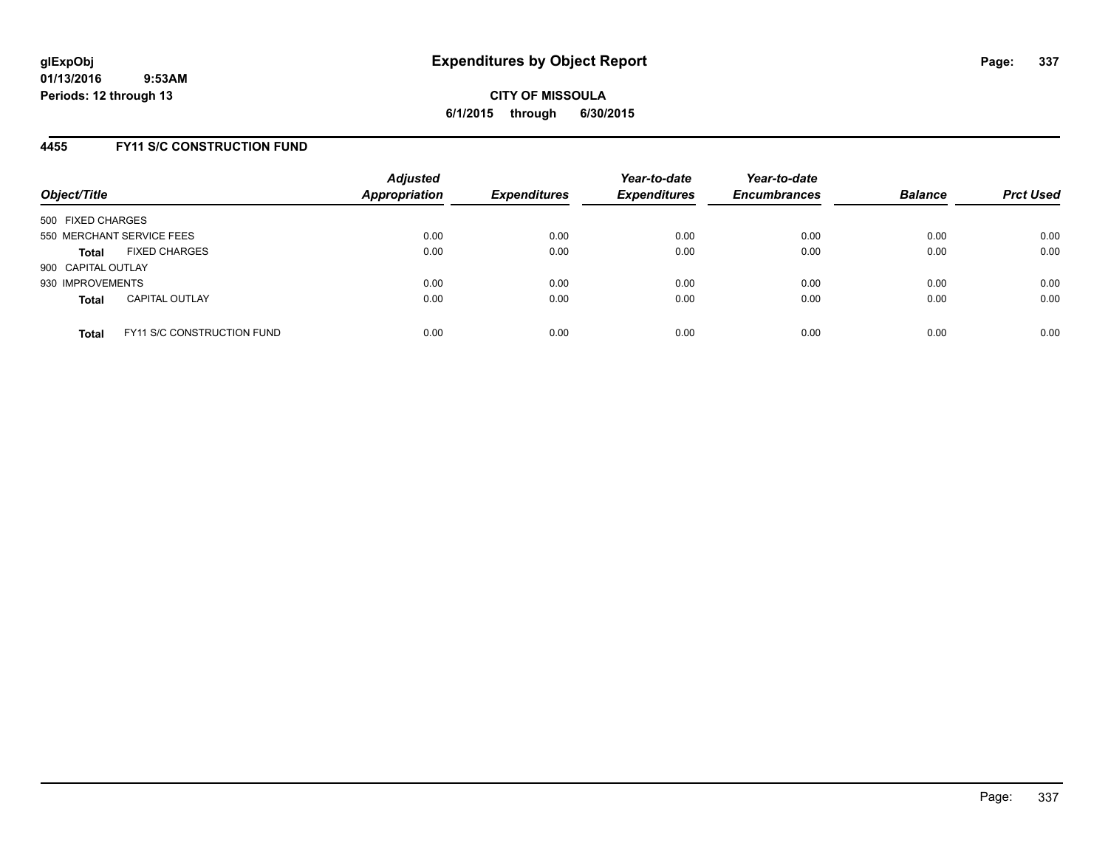### **4455 FY11 S/C CONSTRUCTION FUND**

| Object/Title       |                                   | <b>Adjusted</b><br><b>Appropriation</b> | <b>Expenditures</b> | Year-to-date<br><b>Expenditures</b> | Year-to-date<br><b>Encumbrances</b> | <b>Balance</b> | <b>Prct Used</b> |
|--------------------|-----------------------------------|-----------------------------------------|---------------------|-------------------------------------|-------------------------------------|----------------|------------------|
| 500 FIXED CHARGES  |                                   |                                         |                     |                                     |                                     |                |                  |
|                    | 550 MERCHANT SERVICE FEES         | 0.00                                    | 0.00                | 0.00                                | 0.00                                | 0.00           | 0.00             |
| <b>Total</b>       | <b>FIXED CHARGES</b>              | 0.00                                    | 0.00                | 0.00                                | 0.00                                | 0.00           | 0.00             |
| 900 CAPITAL OUTLAY |                                   |                                         |                     |                                     |                                     |                |                  |
| 930 IMPROVEMENTS   |                                   | 0.00                                    | 0.00                | 0.00                                | 0.00                                | 0.00           | 0.00             |
| <b>Total</b>       | <b>CAPITAL OUTLAY</b>             | 0.00                                    | 0.00                | 0.00                                | 0.00                                | 0.00           | 0.00             |
| <b>Total</b>       | <b>FY11 S/C CONSTRUCTION FUND</b> | 0.00                                    | 0.00                | 0.00                                | 0.00                                | 0.00           | 0.00             |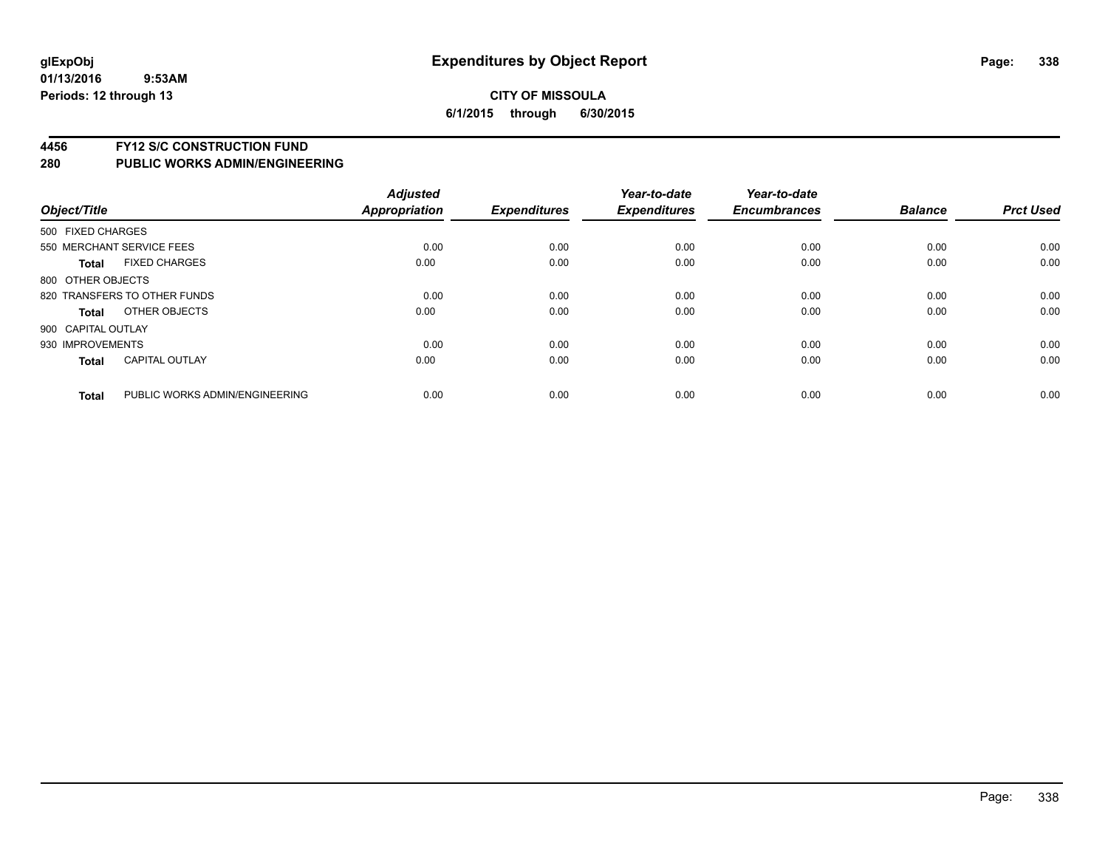### **CITY OF MISSOULA 6/1/2015 through 6/30/2015**

#### **4456 FY12 S/C CONSTRUCTION FUND**

| Object/Title       |                                | <b>Adjusted</b><br><b>Appropriation</b> | <b>Expenditures</b> | Year-to-date<br><b>Expenditures</b> | Year-to-date<br><b>Encumbrances</b> | <b>Balance</b> | <b>Prct Used</b> |
|--------------------|--------------------------------|-----------------------------------------|---------------------|-------------------------------------|-------------------------------------|----------------|------------------|
| 500 FIXED CHARGES  |                                |                                         |                     |                                     |                                     |                |                  |
|                    | 550 MERCHANT SERVICE FEES      | 0.00                                    | 0.00                | 0.00                                | 0.00                                | 0.00           | 0.00             |
| <b>Total</b>       | <b>FIXED CHARGES</b>           | 0.00                                    | 0.00                | 0.00                                | 0.00                                | 0.00           | 0.00             |
| 800 OTHER OBJECTS  |                                |                                         |                     |                                     |                                     |                |                  |
|                    | 820 TRANSFERS TO OTHER FUNDS   | 0.00                                    | 0.00                | 0.00                                | 0.00                                | 0.00           | 0.00             |
| Total              | OTHER OBJECTS                  | 0.00                                    | 0.00                | 0.00                                | 0.00                                | 0.00           | 0.00             |
| 900 CAPITAL OUTLAY |                                |                                         |                     |                                     |                                     |                |                  |
| 930 IMPROVEMENTS   |                                | 0.00                                    | 0.00                | 0.00                                | 0.00                                | 0.00           | 0.00             |
| Total              | <b>CAPITAL OUTLAY</b>          | 0.00                                    | 0.00                | 0.00                                | 0.00                                | 0.00           | 0.00             |
| <b>Total</b>       | PUBLIC WORKS ADMIN/ENGINEERING | 0.00                                    | 0.00                | 0.00                                | 0.00                                | 0.00           | 0.00             |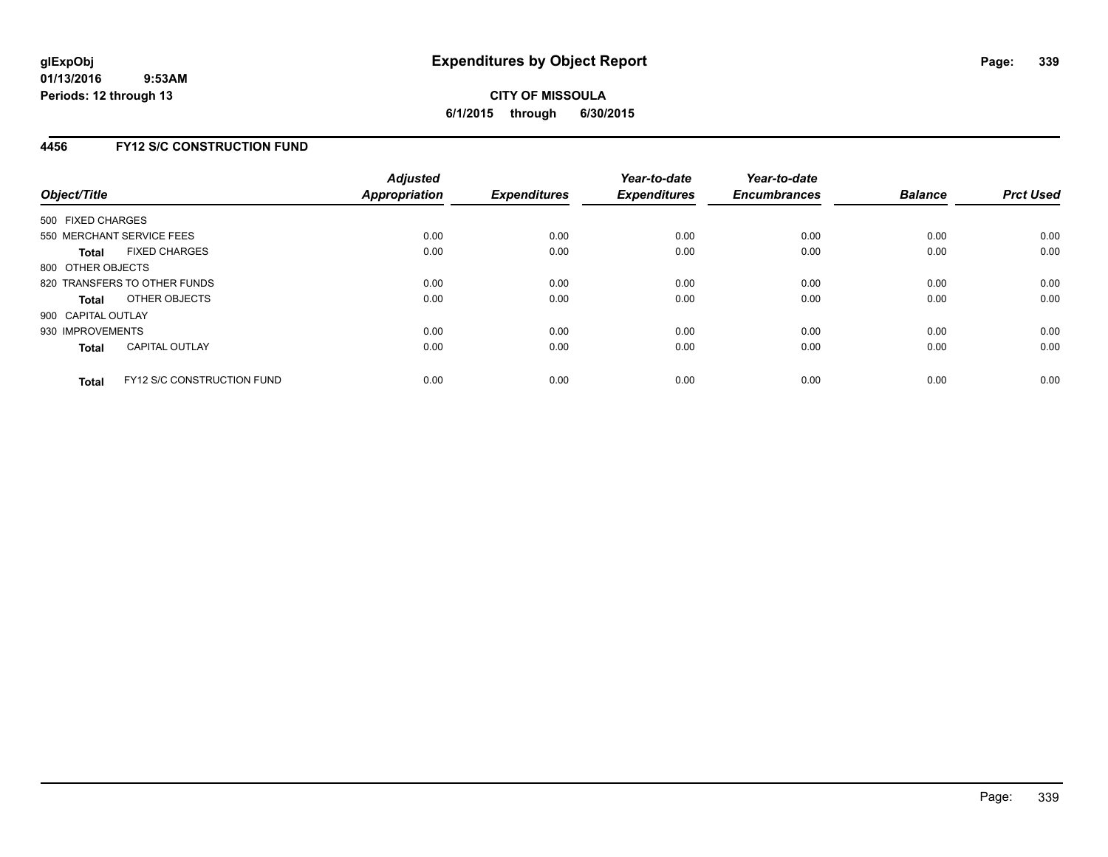# **4456 FY12 S/C CONSTRUCTION FUND**

| Object/Title                 |                                   | <b>Adjusted</b><br>Appropriation | <b>Expenditures</b> | Year-to-date<br><b>Expenditures</b> | Year-to-date<br><b>Encumbrances</b> | <b>Balance</b> | <b>Prct Used</b> |
|------------------------------|-----------------------------------|----------------------------------|---------------------|-------------------------------------|-------------------------------------|----------------|------------------|
| 500 FIXED CHARGES            |                                   |                                  |                     |                                     |                                     |                |                  |
| 550 MERCHANT SERVICE FEES    |                                   | 0.00                             | 0.00                | 0.00                                | 0.00                                | 0.00           | 0.00             |
| <b>Total</b>                 | <b>FIXED CHARGES</b>              | 0.00                             | 0.00                | 0.00                                | 0.00                                | 0.00           | 0.00             |
| 800 OTHER OBJECTS            |                                   |                                  |                     |                                     |                                     |                |                  |
| 820 TRANSFERS TO OTHER FUNDS |                                   | 0.00                             | 0.00                | 0.00                                | 0.00                                | 0.00           | 0.00             |
| <b>Total</b>                 | OTHER OBJECTS                     | 0.00                             | 0.00                | 0.00                                | 0.00                                | 0.00           | 0.00             |
| 900 CAPITAL OUTLAY           |                                   |                                  |                     |                                     |                                     |                |                  |
| 930 IMPROVEMENTS             |                                   | 0.00                             | 0.00                | 0.00                                | 0.00                                | 0.00           | 0.00             |
| <b>Total</b>                 | <b>CAPITAL OUTLAY</b>             | 0.00                             | 0.00                | 0.00                                | 0.00                                | 0.00           | 0.00             |
| <b>Total</b>                 | <b>FY12 S/C CONSTRUCTION FUND</b> | 0.00                             | 0.00                | 0.00                                | 0.00                                | 0.00           | 0.00             |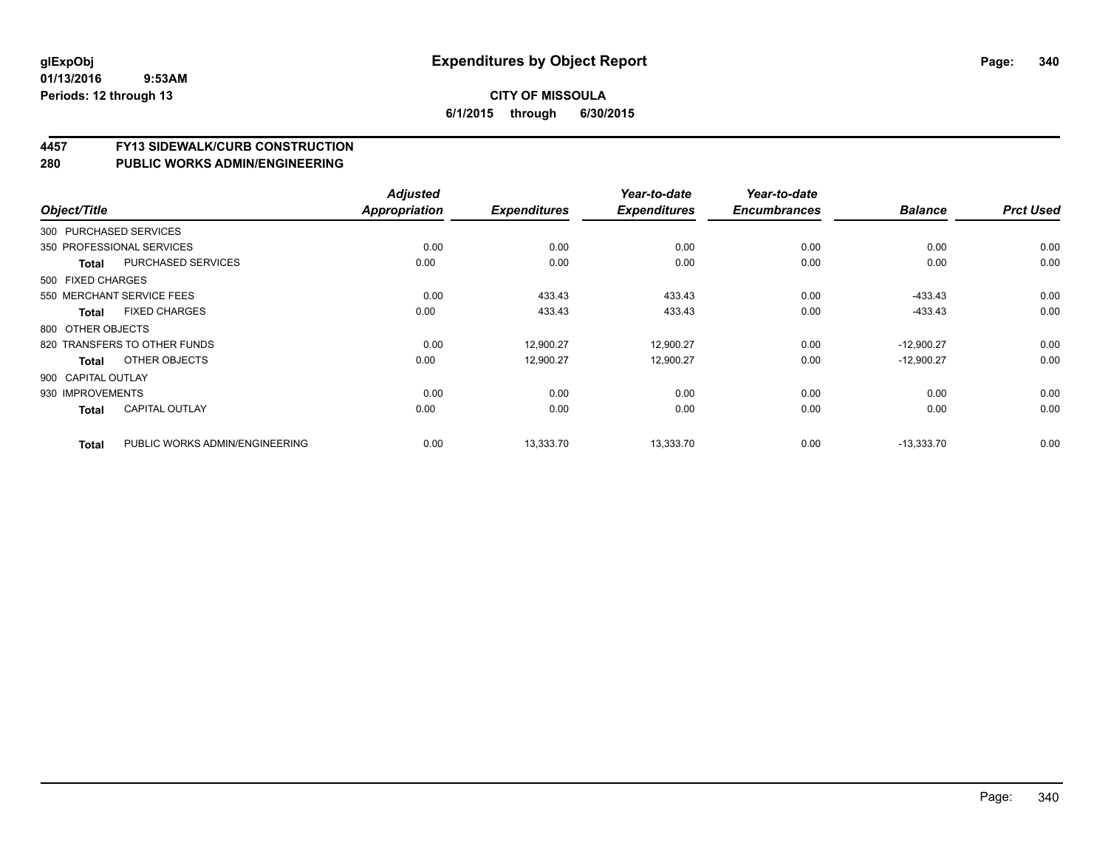# **4457 FY13 SIDEWALK/CURB CONSTRUCTION**

| Object/Title       |                                | <b>Adjusted</b><br>Appropriation | <b>Expenditures</b> | Year-to-date<br><b>Expenditures</b> | Year-to-date<br><b>Encumbrances</b> | <b>Balance</b> | <b>Prct Used</b> |
|--------------------|--------------------------------|----------------------------------|---------------------|-------------------------------------|-------------------------------------|----------------|------------------|
|                    | 300 PURCHASED SERVICES         |                                  |                     |                                     |                                     |                |                  |
|                    | 350 PROFESSIONAL SERVICES      | 0.00                             | 0.00                | 0.00                                | 0.00                                | 0.00           | 0.00             |
| Total              | PURCHASED SERVICES             | 0.00                             | 0.00                | 0.00                                | 0.00                                | 0.00           | 0.00             |
| 500 FIXED CHARGES  |                                |                                  |                     |                                     |                                     |                |                  |
|                    | 550 MERCHANT SERVICE FEES      | 0.00                             | 433.43              | 433.43                              | 0.00                                | $-433.43$      | 0.00             |
| Total              | <b>FIXED CHARGES</b>           | 0.00                             | 433.43              | 433.43                              | 0.00                                | $-433.43$      | 0.00             |
| 800 OTHER OBJECTS  |                                |                                  |                     |                                     |                                     |                |                  |
|                    | 820 TRANSFERS TO OTHER FUNDS   | 0.00                             | 12,900.27           | 12,900.27                           | 0.00                                | $-12,900.27$   | 0.00             |
| Total              | OTHER OBJECTS                  | 0.00                             | 12,900.27           | 12,900.27                           | 0.00                                | $-12,900.27$   | 0.00             |
| 900 CAPITAL OUTLAY |                                |                                  |                     |                                     |                                     |                |                  |
| 930 IMPROVEMENTS   |                                | 0.00                             | 0.00                | 0.00                                | 0.00                                | 0.00           | 0.00             |
| <b>Total</b>       | <b>CAPITAL OUTLAY</b>          | 0.00                             | 0.00                | 0.00                                | 0.00                                | 0.00           | 0.00             |
| <b>Total</b>       | PUBLIC WORKS ADMIN/ENGINEERING | 0.00                             | 13,333.70           | 13,333.70                           | 0.00                                | $-13,333.70$   | 0.00             |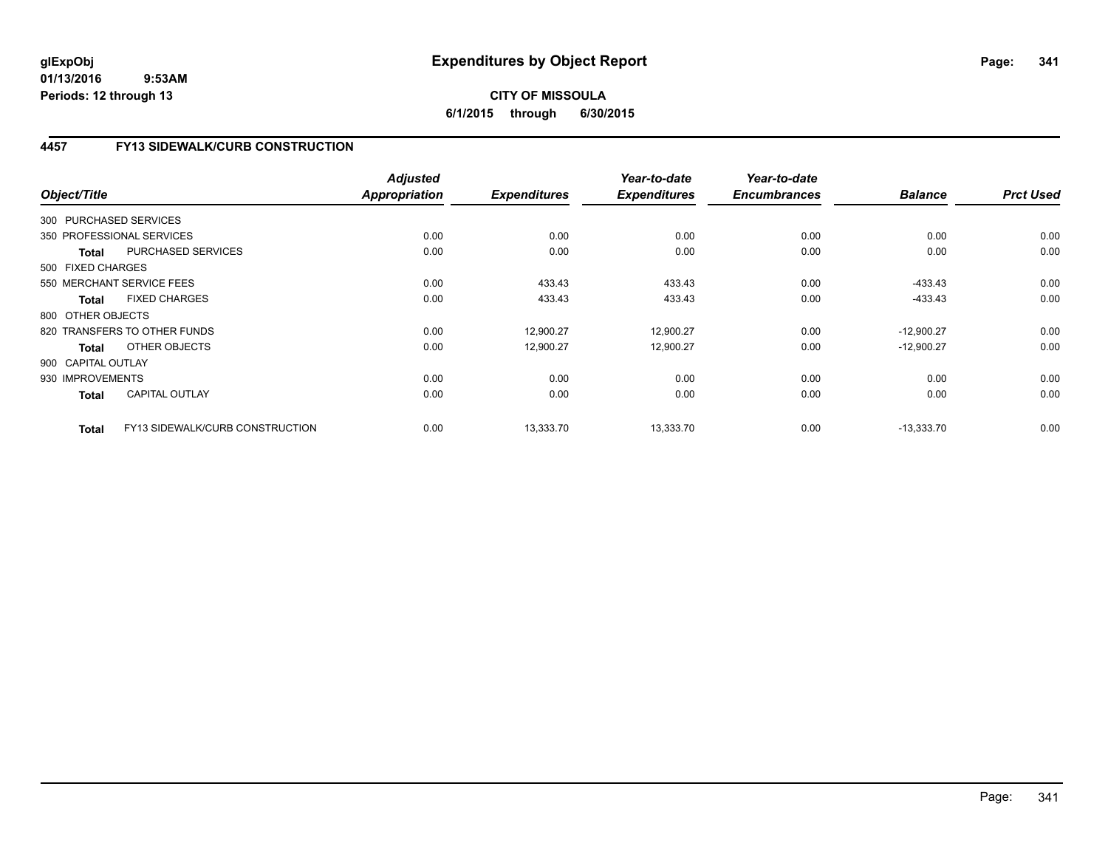# **CITY OF MISSOULA 6/1/2015 through 6/30/2015**

# **4457 FY13 SIDEWALK/CURB CONSTRUCTION**

| Object/Title       |                                 | <b>Adjusted</b><br>Appropriation | <b>Expenditures</b> | Year-to-date<br><b>Expenditures</b> | Year-to-date<br><b>Encumbrances</b> | <b>Balance</b> | <b>Prct Used</b> |
|--------------------|---------------------------------|----------------------------------|---------------------|-------------------------------------|-------------------------------------|----------------|------------------|
|                    | 300 PURCHASED SERVICES          |                                  |                     |                                     |                                     |                |                  |
|                    | 350 PROFESSIONAL SERVICES       | 0.00                             | 0.00                | 0.00                                | 0.00                                | 0.00           | 0.00             |
| <b>Total</b>       | <b>PURCHASED SERVICES</b>       | 0.00                             | 0.00                | 0.00                                | 0.00                                | 0.00           | 0.00             |
| 500 FIXED CHARGES  |                                 |                                  |                     |                                     |                                     |                |                  |
|                    | 550 MERCHANT SERVICE FEES       | 0.00                             | 433.43              | 433.43                              | 0.00                                | $-433.43$      | 0.00             |
| Total              | <b>FIXED CHARGES</b>            | 0.00                             | 433.43              | 433.43                              | 0.00                                | $-433.43$      | 0.00             |
| 800 OTHER OBJECTS  |                                 |                                  |                     |                                     |                                     |                |                  |
|                    | 820 TRANSFERS TO OTHER FUNDS    | 0.00                             | 12,900.27           | 12,900.27                           | 0.00                                | $-12,900.27$   | 0.00             |
| <b>Total</b>       | OTHER OBJECTS                   | 0.00                             | 12,900.27           | 12,900.27                           | 0.00                                | $-12,900.27$   | 0.00             |
| 900 CAPITAL OUTLAY |                                 |                                  |                     |                                     |                                     |                |                  |
| 930 IMPROVEMENTS   |                                 | 0.00                             | 0.00                | 0.00                                | 0.00                                | 0.00           | 0.00             |
| Total              | <b>CAPITAL OUTLAY</b>           | 0.00                             | 0.00                | 0.00                                | 0.00                                | 0.00           | 0.00             |
| <b>Total</b>       | FY13 SIDEWALK/CURB CONSTRUCTION | 0.00                             | 13,333.70           | 13,333.70                           | 0.00                                | $-13,333.70$   | 0.00             |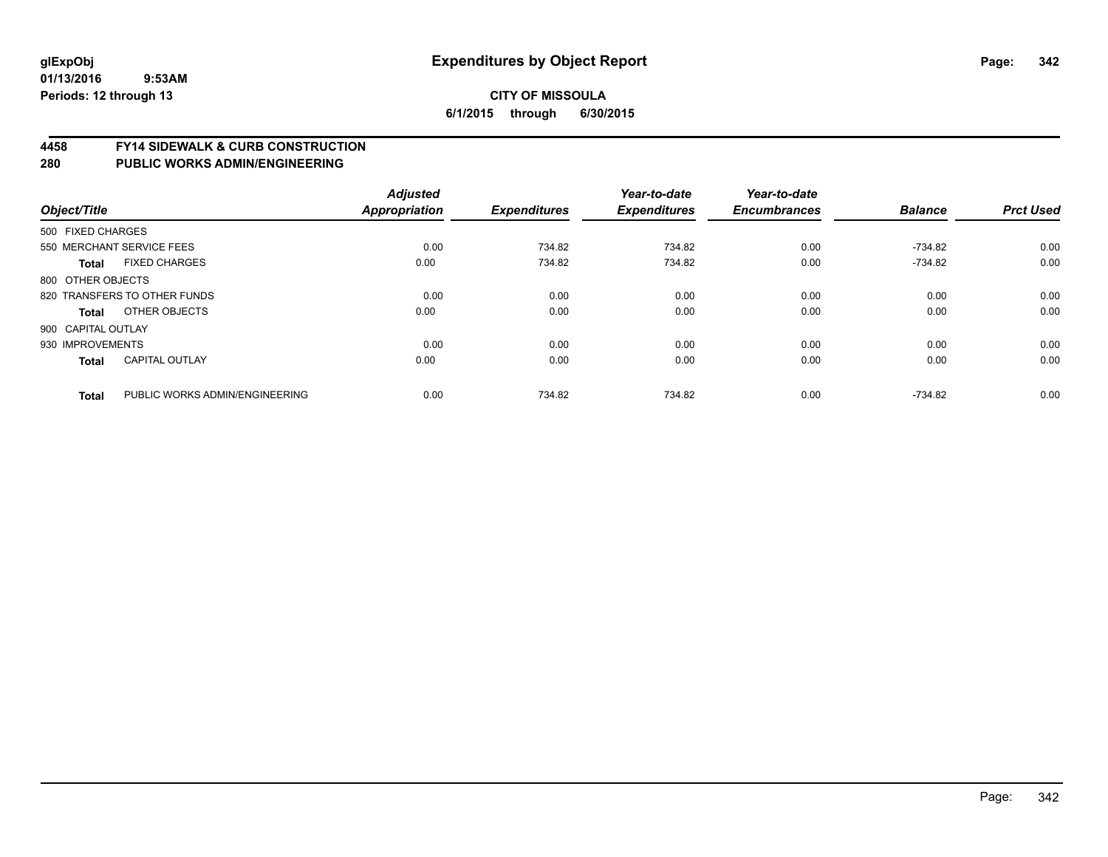#### **4458 FY14 SIDEWALK & CURB CONSTRUCTION**

| Object/Title       |                                | <b>Adjusted</b><br><b>Appropriation</b> | <b>Expenditures</b> | Year-to-date<br><b>Expenditures</b> | Year-to-date<br><b>Encumbrances</b> | <b>Balance</b> | <b>Prct Used</b> |
|--------------------|--------------------------------|-----------------------------------------|---------------------|-------------------------------------|-------------------------------------|----------------|------------------|
| 500 FIXED CHARGES  |                                |                                         |                     |                                     |                                     |                |                  |
|                    | 550 MERCHANT SERVICE FEES      | 0.00                                    | 734.82              | 734.82                              | 0.00                                | $-734.82$      | 0.00             |
| Total              | <b>FIXED CHARGES</b>           | 0.00                                    | 734.82              | 734.82                              | 0.00                                | $-734.82$      | 0.00             |
| 800 OTHER OBJECTS  |                                |                                         |                     |                                     |                                     |                |                  |
|                    | 820 TRANSFERS TO OTHER FUNDS   | 0.00                                    | 0.00                | 0.00                                | 0.00                                | 0.00           | 0.00             |
| <b>Total</b>       | OTHER OBJECTS                  | 0.00                                    | 0.00                | 0.00                                | 0.00                                | 0.00           | 0.00             |
| 900 CAPITAL OUTLAY |                                |                                         |                     |                                     |                                     |                |                  |
| 930 IMPROVEMENTS   |                                | 0.00                                    | 0.00                | 0.00                                | 0.00                                | 0.00           | 0.00             |
| <b>Total</b>       | <b>CAPITAL OUTLAY</b>          | 0.00                                    | 0.00                | 0.00                                | 0.00                                | 0.00           | 0.00             |
| <b>Total</b>       | PUBLIC WORKS ADMIN/ENGINEERING | 0.00                                    | 734.82              | 734.82                              | 0.00                                | $-734.82$      | 0.00             |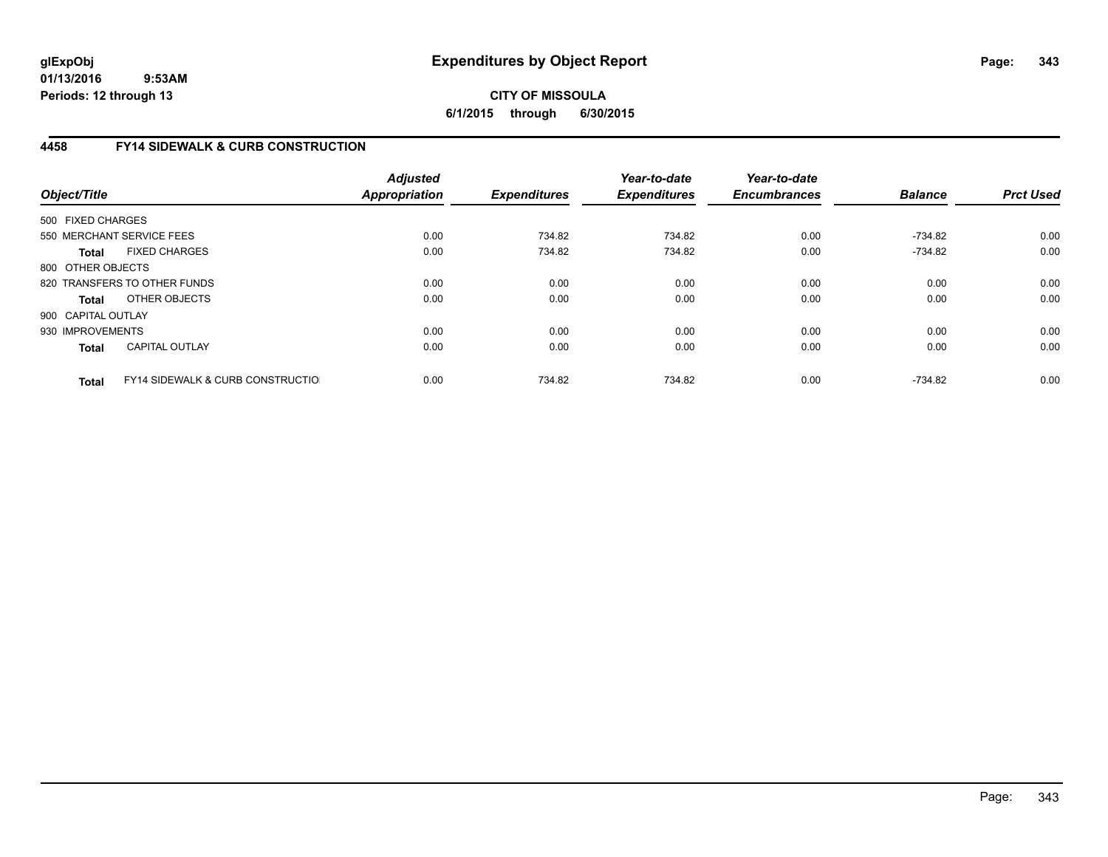**CITY OF MISSOULA 6/1/2015 through 6/30/2015**

# **4458 FY14 SIDEWALK & CURB CONSTRUCTION**

| Object/Title       |                                              | <b>Adjusted</b><br><b>Appropriation</b> | <b>Expenditures</b> | Year-to-date<br><b>Expenditures</b> | Year-to-date<br><b>Encumbrances</b> | <b>Balance</b> | <b>Prct Used</b> |
|--------------------|----------------------------------------------|-----------------------------------------|---------------------|-------------------------------------|-------------------------------------|----------------|------------------|
| 500 FIXED CHARGES  |                                              |                                         |                     |                                     |                                     |                |                  |
|                    | 550 MERCHANT SERVICE FEES                    | 0.00                                    | 734.82              | 734.82                              | 0.00                                | $-734.82$      | 0.00             |
| <b>Total</b>       | <b>FIXED CHARGES</b>                         | 0.00                                    | 734.82              | 734.82                              | 0.00                                | -734.82        | 0.00             |
| 800 OTHER OBJECTS  |                                              |                                         |                     |                                     |                                     |                |                  |
|                    | 820 TRANSFERS TO OTHER FUNDS                 | 0.00                                    | 0.00                | 0.00                                | 0.00                                | 0.00           | 0.00             |
| <b>Total</b>       | OTHER OBJECTS                                | 0.00                                    | 0.00                | 0.00                                | 0.00                                | 0.00           | 0.00             |
| 900 CAPITAL OUTLAY |                                              |                                         |                     |                                     |                                     |                |                  |
| 930 IMPROVEMENTS   |                                              | 0.00                                    | 0.00                | 0.00                                | 0.00                                | 0.00           | 0.00             |
| <b>Total</b>       | <b>CAPITAL OUTLAY</b>                        | 0.00                                    | 0.00                | 0.00                                | 0.00                                | 0.00           | 0.00             |
| <b>Total</b>       | <b>FY14 SIDEWALK &amp; CURB CONSTRUCTIOL</b> | 0.00                                    | 734.82              | 734.82                              | 0.00                                | -734.82        | 0.00             |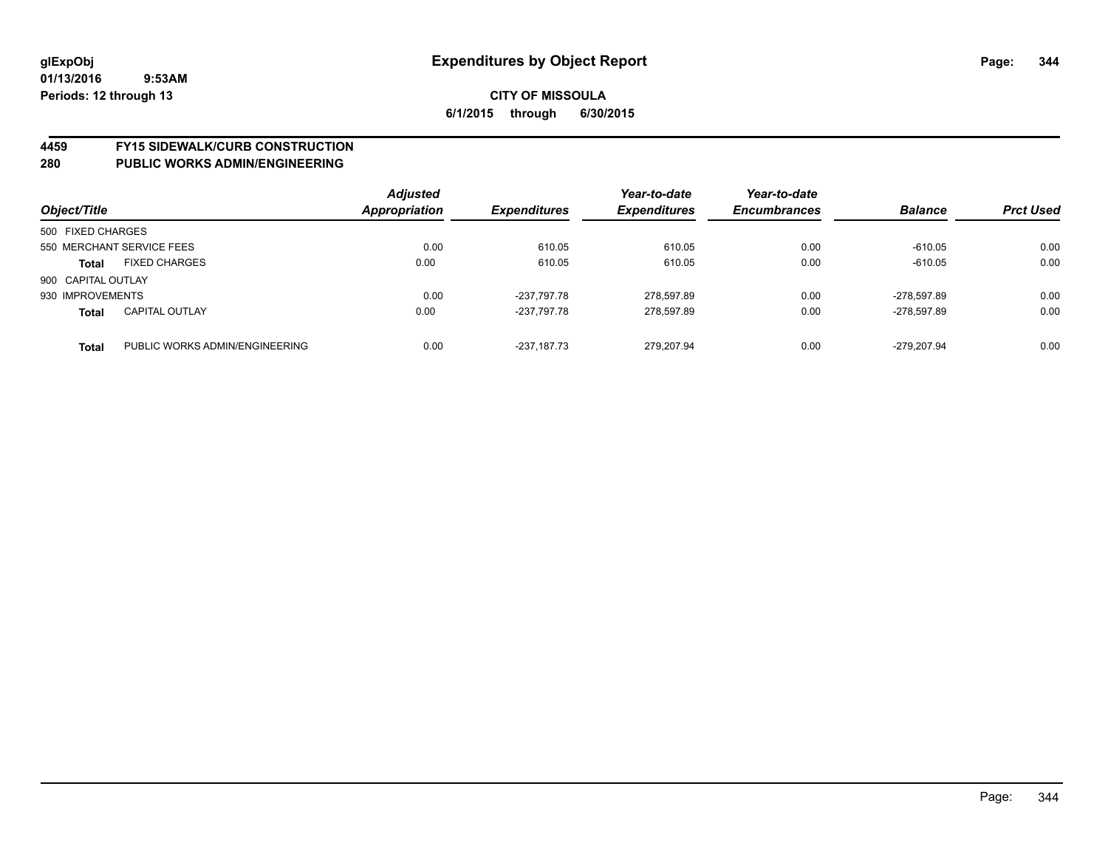# **4459 FY15 SIDEWALK/CURB CONSTRUCTION**

| Object/Title       |                                | <b>Adjusted</b><br><b>Appropriation</b> | <b>Expenditures</b> | Year-to-date<br><b>Expenditures</b> | Year-to-date<br><b>Encumbrances</b> | <b>Balance</b> | <b>Prct Used</b> |
|--------------------|--------------------------------|-----------------------------------------|---------------------|-------------------------------------|-------------------------------------|----------------|------------------|
| 500 FIXED CHARGES  |                                |                                         |                     |                                     |                                     |                |                  |
|                    | 550 MERCHANT SERVICE FEES      | 0.00                                    | 610.05              | 610.05                              | 0.00                                | $-610.05$      | 0.00             |
| <b>Total</b>       | <b>FIXED CHARGES</b>           | 0.00                                    | 610.05              | 610.05                              | 0.00                                | $-610.05$      | 0.00             |
| 900 CAPITAL OUTLAY |                                |                                         |                     |                                     |                                     |                |                  |
| 930 IMPROVEMENTS   |                                | 0.00                                    | -237.797.78         | 278.597.89                          | 0.00                                | $-278.597.89$  | 0.00             |
| <b>Total</b>       | <b>CAPITAL OUTLAY</b>          | 0.00                                    | -237.797.78         | 278.597.89                          | 0.00                                | -278.597.89    | 0.00             |
| <b>Total</b>       | PUBLIC WORKS ADMIN/ENGINEERING | 0.00                                    | $-237.187.73$       | 279.207.94                          | 0.00                                | $-279.207.94$  | 0.00             |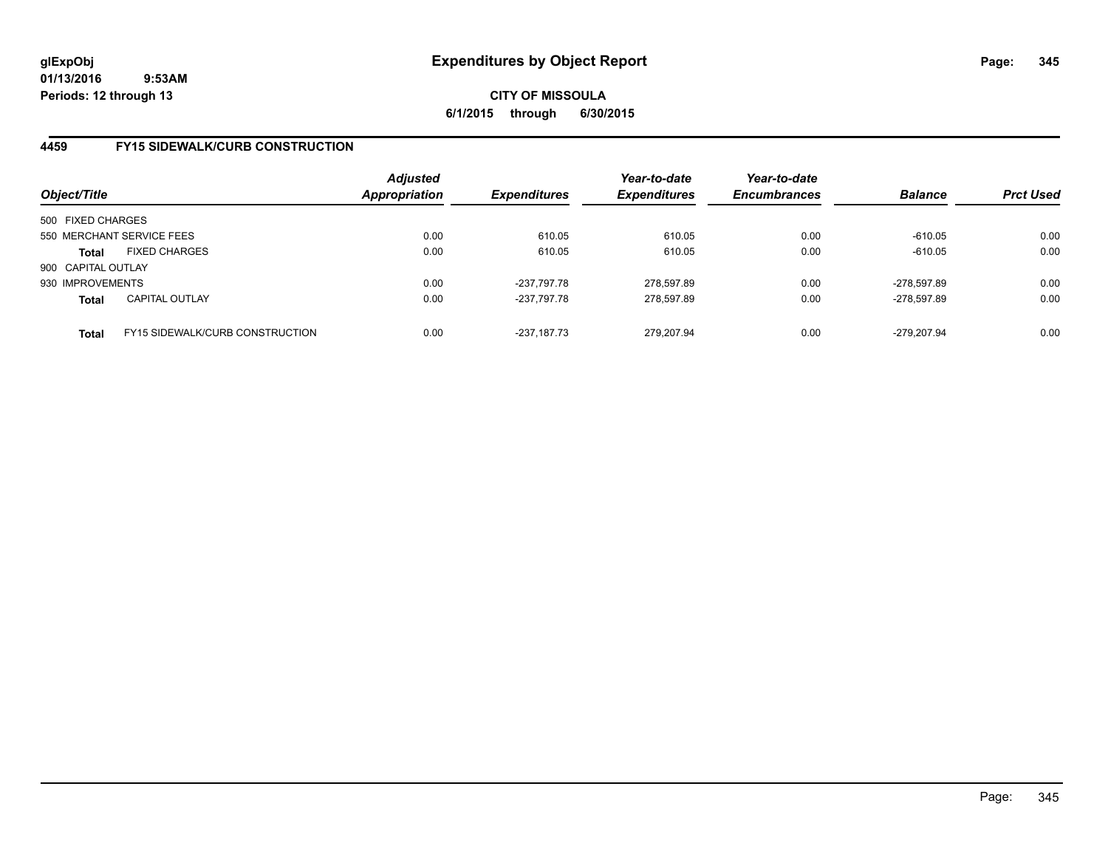# **CITY OF MISSOULA 6/1/2015 through 6/30/2015**

# **4459 FY15 SIDEWALK/CURB CONSTRUCTION**

| Object/Title       |                                        | <b>Adjusted</b><br><b>Appropriation</b> | <b>Expenditures</b> | Year-to-date<br><b>Expenditures</b> | Year-to-date<br><b>Encumbrances</b> | <b>Balance</b> | <b>Prct Used</b> |
|--------------------|----------------------------------------|-----------------------------------------|---------------------|-------------------------------------|-------------------------------------|----------------|------------------|
| 500 FIXED CHARGES  |                                        |                                         |                     |                                     |                                     |                |                  |
|                    | 550 MERCHANT SERVICE FEES              | 0.00                                    | 610.05              | 610.05                              | 0.00                                | $-610.05$      | 0.00             |
| Total              | <b>FIXED CHARGES</b>                   | 0.00                                    | 610.05              | 610.05                              | 0.00                                | $-610.05$      | 0.00             |
| 900 CAPITAL OUTLAY |                                        |                                         |                     |                                     |                                     |                |                  |
| 930 IMPROVEMENTS   |                                        | 0.00                                    | -237.797.78         | 278.597.89                          | 0.00                                | -278.597.89    | 0.00             |
| <b>Total</b>       | <b>CAPITAL OUTLAY</b>                  | 0.00                                    | -237.797.78         | 278,597.89                          | 0.00                                | -278,597.89    | 0.00             |
| <b>Total</b>       | <b>FY15 SIDEWALK/CURB CONSTRUCTION</b> | 0.00                                    | $-237.187.73$       | 279.207.94                          | 0.00                                | -279.207.94    | 0.00             |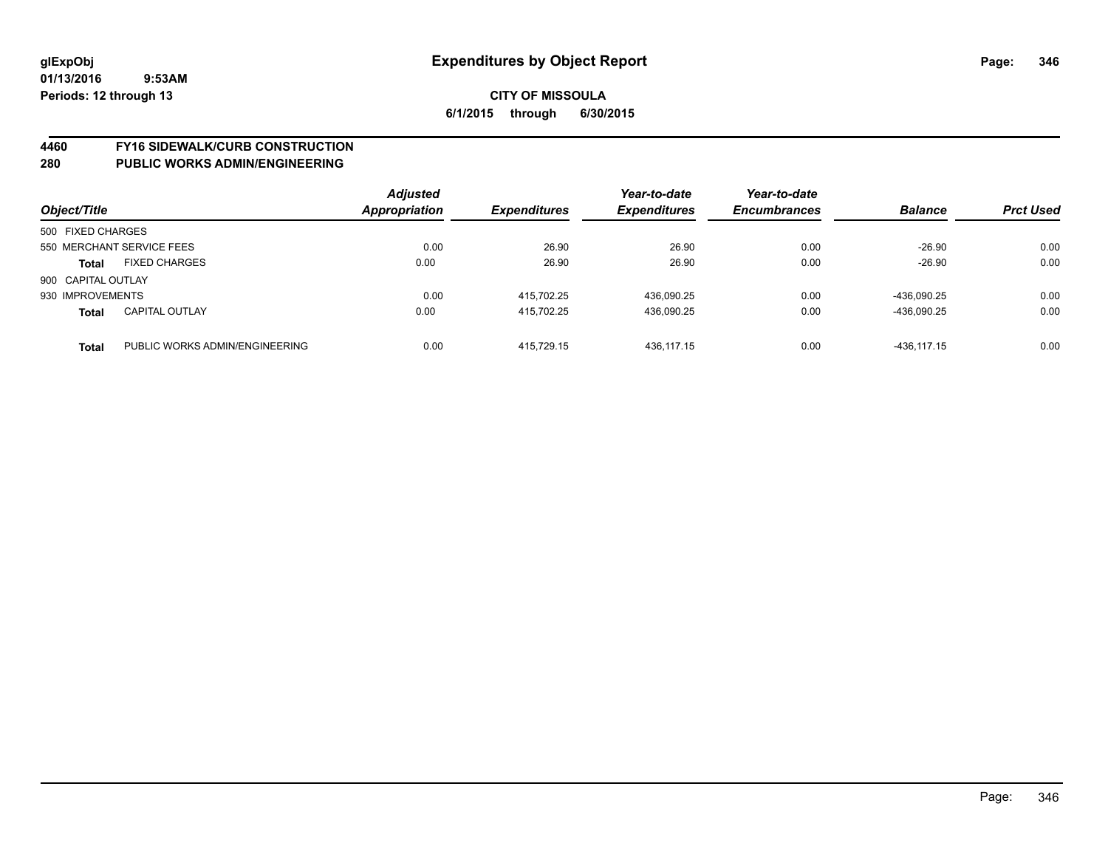# **4460 FY16 SIDEWALK/CURB CONSTRUCTION**

| Object/Title       |                                | <b>Adjusted</b><br>Appropriation | <b>Expenditures</b> | Year-to-date<br><b>Expenditures</b> | Year-to-date<br><b>Encumbrances</b> | <b>Balance</b> | <b>Prct Used</b> |
|--------------------|--------------------------------|----------------------------------|---------------------|-------------------------------------|-------------------------------------|----------------|------------------|
| 500 FIXED CHARGES  |                                |                                  |                     |                                     |                                     |                |                  |
|                    | 550 MERCHANT SERVICE FEES      | 0.00                             | 26.90               | 26.90                               | 0.00                                | $-26.90$       | 0.00             |
| <b>Total</b>       | <b>FIXED CHARGES</b>           | 0.00                             | 26.90               | 26.90                               | 0.00                                | $-26.90$       | 0.00             |
| 900 CAPITAL OUTLAY |                                |                                  |                     |                                     |                                     |                |                  |
| 930 IMPROVEMENTS   |                                | 0.00                             | 415.702.25          | 436,090.25                          | 0.00                                | -436.090.25    | 0.00             |
| <b>Total</b>       | <b>CAPITAL OUTLAY</b>          | 0.00                             | 415.702.25          | 436.090.25                          | 0.00                                | -436.090.25    | 0.00             |
| <b>Total</b>       | PUBLIC WORKS ADMIN/ENGINEERING | 0.00                             | 415.729.15          | 436.117.15                          | 0.00                                | -436.117.15    | 0.00             |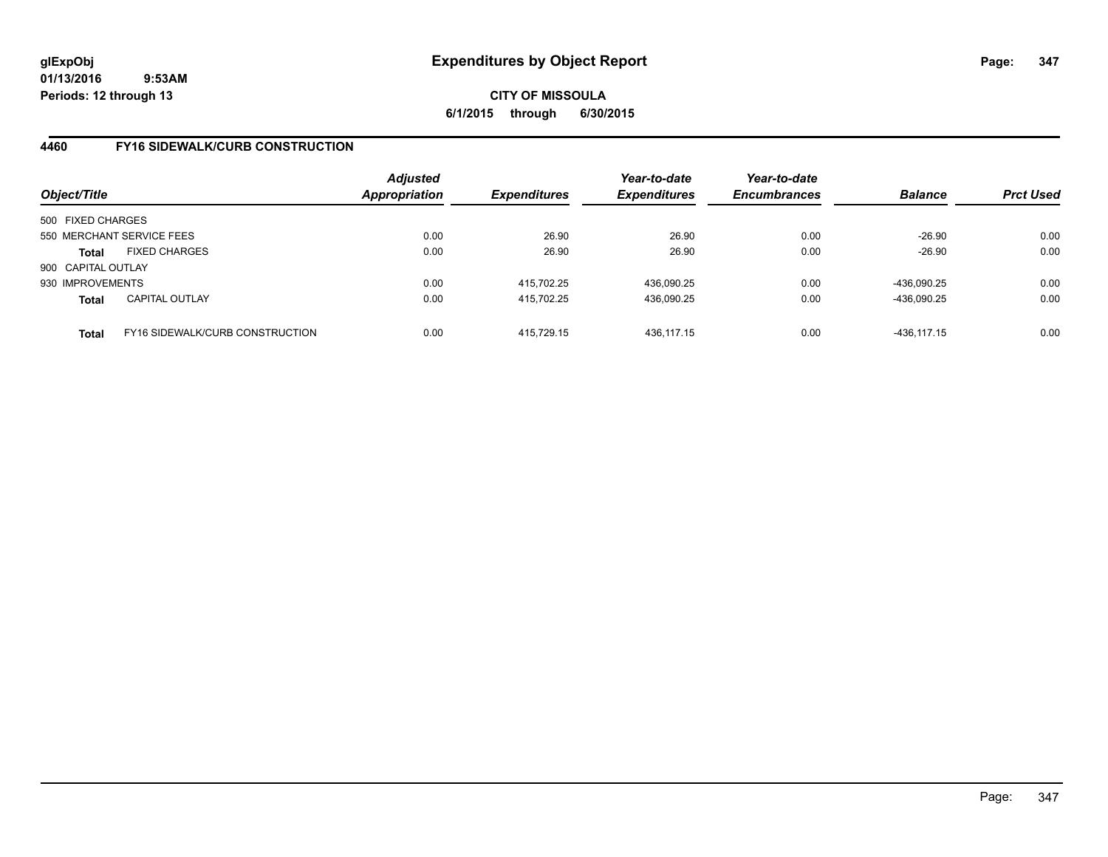# **CITY OF MISSOULA 6/1/2015 through 6/30/2015**

# **4460 FY16 SIDEWALK/CURB CONSTRUCTION**

| Object/Title       |                                        | <b>Adjusted</b><br><b>Appropriation</b> | <b>Expenditures</b> | Year-to-date<br><b>Expenditures</b> | Year-to-date<br><b>Encumbrances</b> | <b>Balance</b> | <b>Prct Used</b> |
|--------------------|----------------------------------------|-----------------------------------------|---------------------|-------------------------------------|-------------------------------------|----------------|------------------|
| 500 FIXED CHARGES  |                                        |                                         |                     |                                     |                                     |                |                  |
|                    | 550 MERCHANT SERVICE FEES              | 0.00                                    | 26.90               | 26.90                               | 0.00                                | $-26.90$       | 0.00             |
| Total              | <b>FIXED CHARGES</b>                   | 0.00                                    | 26.90               | 26.90                               | 0.00                                | $-26.90$       | 0.00             |
| 900 CAPITAL OUTLAY |                                        |                                         |                     |                                     |                                     |                |                  |
| 930 IMPROVEMENTS   |                                        | 0.00                                    | 415.702.25          | 436.090.25                          | 0.00                                | -436.090.25    | 0.00             |
| <b>Total</b>       | <b>CAPITAL OUTLAY</b>                  | 0.00                                    | 415.702.25          | 436,090.25                          | 0.00                                | -436,090.25    | 0.00             |
| <b>Total</b>       | <b>FY16 SIDEWALK/CURB CONSTRUCTION</b> | 0.00                                    | 415.729.15          | 436.117.15                          | 0.00                                | -436,117.15    | 0.00             |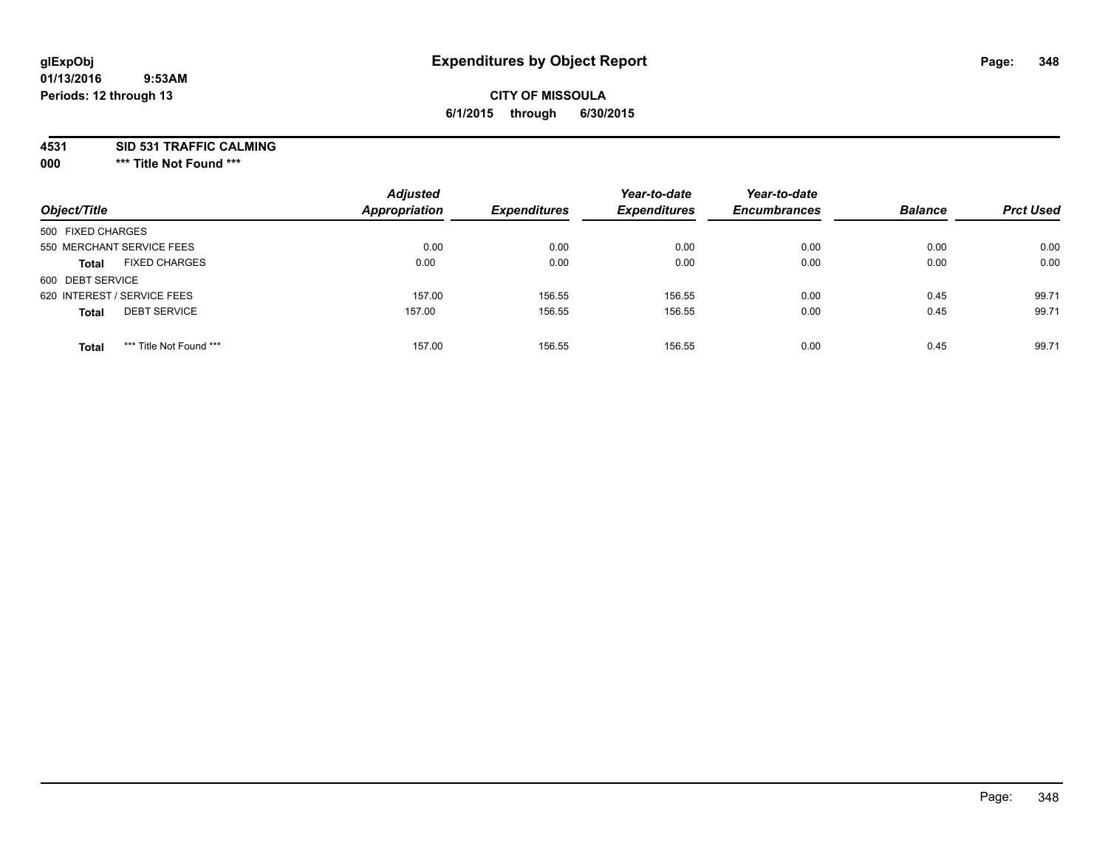# **CITY OF MISSOULA 6/1/2015 through 6/30/2015**

**4531 SID 531 TRAFFIC CALMING**

**000 \*\*\* Title Not Found \*\*\***

| Object/Title                            | <b>Adjusted</b><br><b>Appropriation</b> | <b>Expenditures</b> | Year-to-date<br><b>Expenditures</b> | Year-to-date<br><b>Encumbrances</b> | <b>Balance</b> | <b>Prct Used</b> |
|-----------------------------------------|-----------------------------------------|---------------------|-------------------------------------|-------------------------------------|----------------|------------------|
| 500 FIXED CHARGES                       |                                         |                     |                                     |                                     |                |                  |
| 550 MERCHANT SERVICE FEES               | 0.00                                    | 0.00                | 0.00                                | 0.00                                | 0.00           | 0.00             |
| <b>FIXED CHARGES</b><br><b>Total</b>    | 0.00                                    | 0.00                | 0.00                                | 0.00                                | 0.00           | 0.00             |
| 600 DEBT SERVICE                        |                                         |                     |                                     |                                     |                |                  |
| 620 INTEREST / SERVICE FEES             | 157.00                                  | 156.55              | 156.55                              | 0.00                                | 0.45           | 99.71            |
| <b>DEBT SERVICE</b><br><b>Total</b>     | 157.00                                  | 156.55              | 156.55                              | 0.00                                | 0.45           | 99.71            |
| *** Title Not Found ***<br><b>Total</b> | 157.00                                  | 156.55              | 156.55                              | 0.00                                | 0.45           | 99.71            |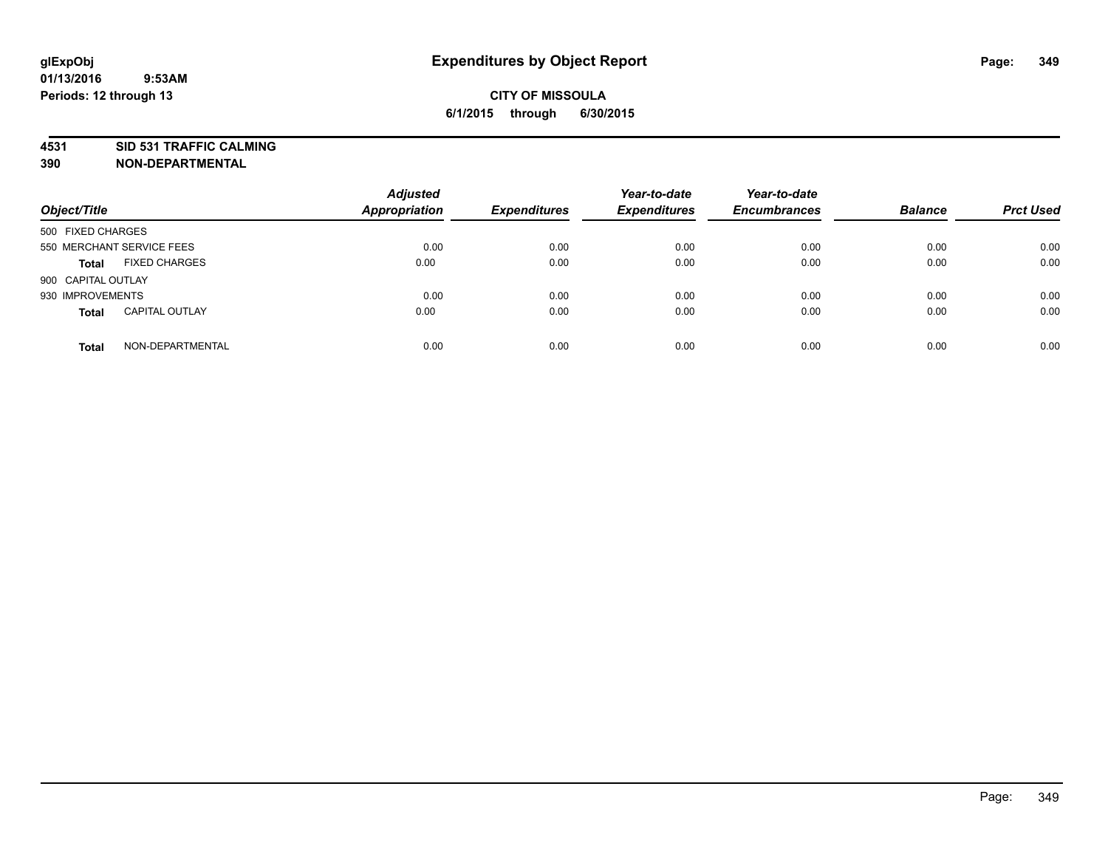# **4531 SID 531 TRAFFIC CALMING**

**390 NON-DEPARTMENTAL**

| Object/Title       |                           | <b>Adjusted</b><br><b>Appropriation</b> | <b>Expenditures</b> | Year-to-date<br><b>Expenditures</b> | Year-to-date<br><b>Encumbrances</b> | <b>Balance</b> | <b>Prct Used</b> |
|--------------------|---------------------------|-----------------------------------------|---------------------|-------------------------------------|-------------------------------------|----------------|------------------|
| 500 FIXED CHARGES  |                           |                                         |                     |                                     |                                     |                |                  |
|                    | 550 MERCHANT SERVICE FEES | 0.00                                    | 0.00                | 0.00                                | 0.00                                | 0.00           | 0.00             |
| <b>Total</b>       | <b>FIXED CHARGES</b>      | 0.00                                    | 0.00                | 0.00                                | 0.00                                | 0.00           | 0.00             |
| 900 CAPITAL OUTLAY |                           |                                         |                     |                                     |                                     |                |                  |
| 930 IMPROVEMENTS   |                           | 0.00                                    | 0.00                | 0.00                                | 0.00                                | 0.00           | 0.00             |
| <b>Total</b>       | <b>CAPITAL OUTLAY</b>     | 0.00                                    | 0.00                | 0.00                                | 0.00                                | 0.00           | 0.00             |
| <b>Total</b>       | NON-DEPARTMENTAL          | 0.00                                    | 0.00                | 0.00                                | 0.00                                | 0.00           | 0.00             |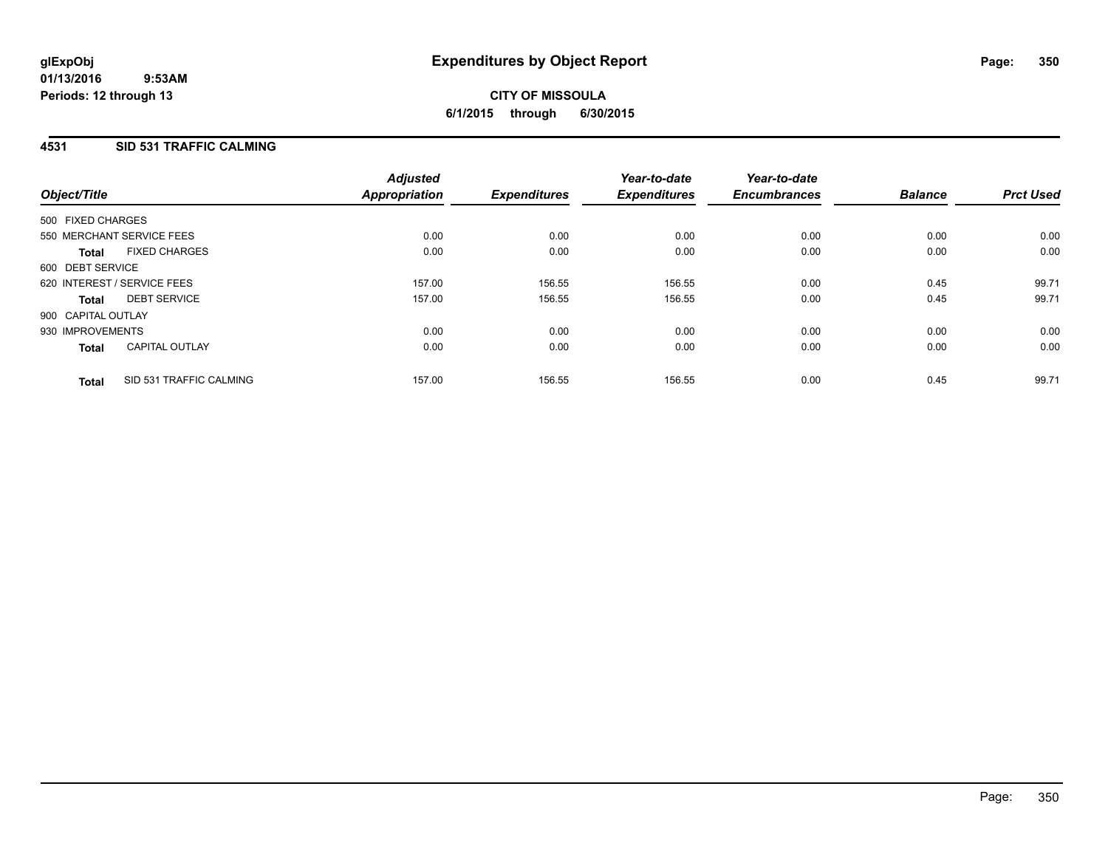# **4531 SID 531 TRAFFIC CALMING**

| Object/Title       |                             | <b>Adjusted</b><br>Appropriation | <b>Expenditures</b> | Year-to-date<br><b>Expenditures</b> | Year-to-date<br><b>Encumbrances</b> | <b>Balance</b> | <b>Prct Used</b> |
|--------------------|-----------------------------|----------------------------------|---------------------|-------------------------------------|-------------------------------------|----------------|------------------|
| 500 FIXED CHARGES  |                             |                                  |                     |                                     |                                     |                |                  |
|                    | 550 MERCHANT SERVICE FEES   | 0.00                             | 0.00                | 0.00                                | 0.00                                | 0.00           | 0.00             |
| <b>Total</b>       | <b>FIXED CHARGES</b>        | 0.00                             | 0.00                | 0.00                                | 0.00                                | 0.00           | 0.00             |
| 600 DEBT SERVICE   |                             |                                  |                     |                                     |                                     |                |                  |
|                    | 620 INTEREST / SERVICE FEES | 157.00                           | 156.55              | 156.55                              | 0.00                                | 0.45           | 99.71            |
| <b>Total</b>       | <b>DEBT SERVICE</b>         | 157.00                           | 156.55              | 156.55                              | 0.00                                | 0.45           | 99.71            |
| 900 CAPITAL OUTLAY |                             |                                  |                     |                                     |                                     |                |                  |
| 930 IMPROVEMENTS   |                             | 0.00                             | 0.00                | 0.00                                | 0.00                                | 0.00           | 0.00             |
| <b>Total</b>       | <b>CAPITAL OUTLAY</b>       | 0.00                             | 0.00                | 0.00                                | 0.00                                | 0.00           | 0.00             |
| <b>Total</b>       | SID 531 TRAFFIC CALMING     | 157.00                           | 156.55              | 156.55                              | 0.00                                | 0.45           | 99.71            |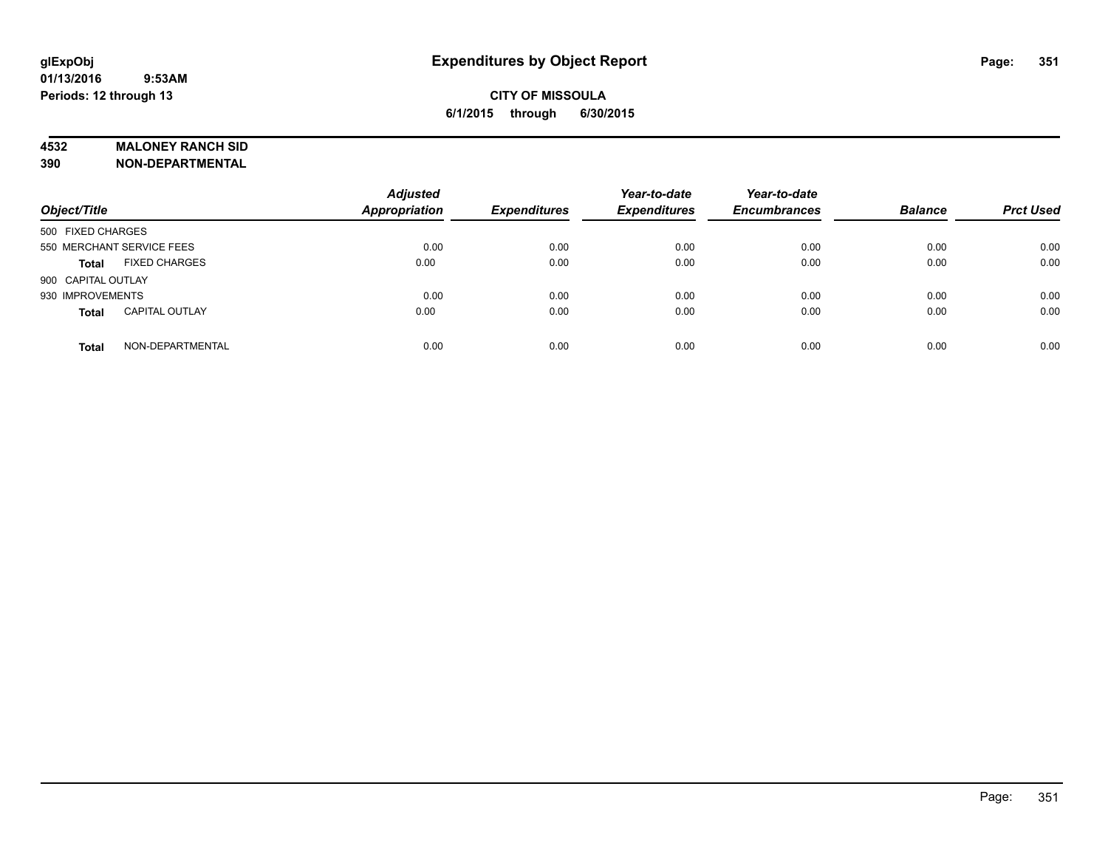#### **4532 MALONEY RANCH SID**

**390 NON-DEPARTMENTAL**

| Object/Title                          | <b>Adjusted</b><br><b>Appropriation</b> | <b>Expenditures</b> | Year-to-date<br><b>Expenditures</b> | Year-to-date<br><b>Encumbrances</b> | <b>Balance</b> | <b>Prct Used</b> |
|---------------------------------------|-----------------------------------------|---------------------|-------------------------------------|-------------------------------------|----------------|------------------|
| 500 FIXED CHARGES                     |                                         |                     |                                     |                                     |                |                  |
| 550 MERCHANT SERVICE FEES             | 0.00                                    | 0.00                | 0.00                                | 0.00                                | 0.00           | 0.00             |
| <b>FIXED CHARGES</b><br><b>Total</b>  | 0.00                                    | 0.00                | 0.00                                | 0.00                                | 0.00           | 0.00             |
| 900 CAPITAL OUTLAY                    |                                         |                     |                                     |                                     |                |                  |
| 930 IMPROVEMENTS                      | 0.00                                    | 0.00                | 0.00                                | 0.00                                | 0.00           | 0.00             |
| <b>CAPITAL OUTLAY</b><br><b>Total</b> | 0.00                                    | 0.00                | 0.00                                | 0.00                                | 0.00           | 0.00             |
| NON-DEPARTMENTAL<br><b>Total</b>      | 0.00                                    | 0.00                | 0.00                                | 0.00                                | 0.00           | 0.00             |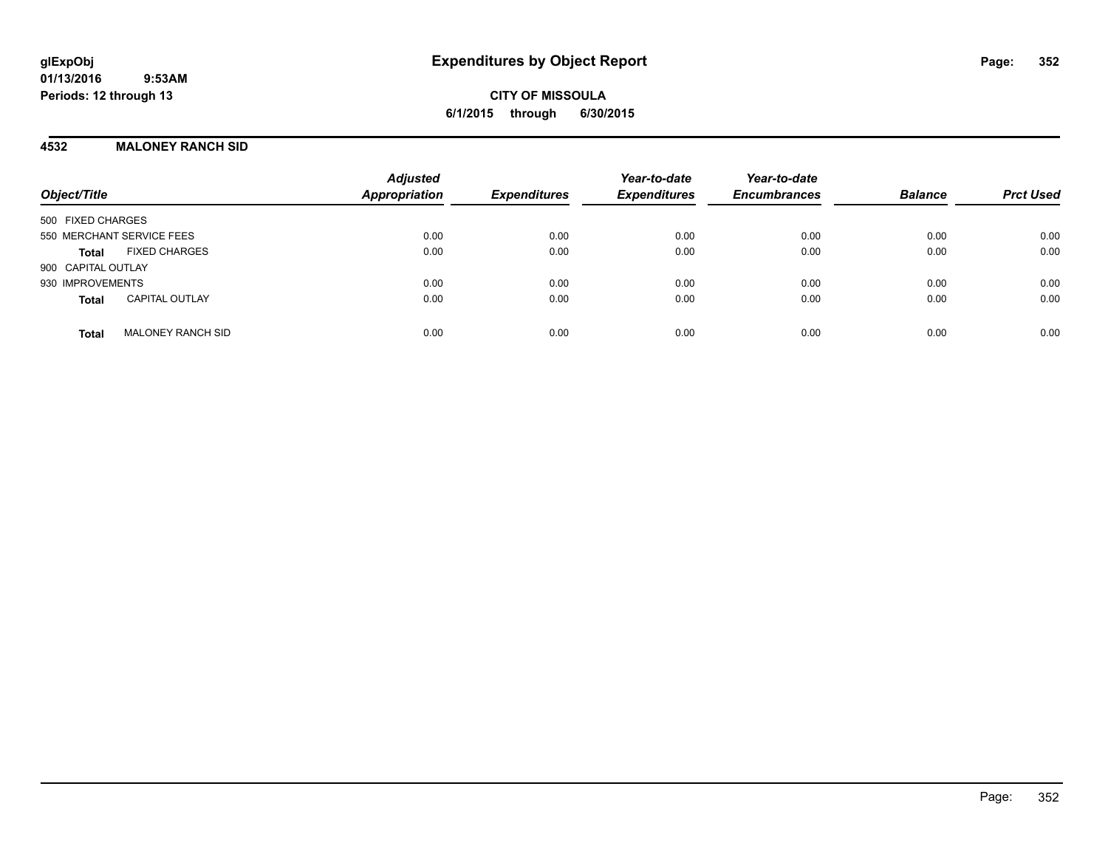**CITY OF MISSOULA 6/1/2015 through 6/30/2015**

### **4532 MALONEY RANCH SID**

| Object/Title                             | <b>Adjusted</b><br><b>Appropriation</b> | <b>Expenditures</b> | Year-to-date<br><b>Expenditures</b> | Year-to-date<br><b>Encumbrances</b> | <b>Balance</b> | <b>Prct Used</b> |
|------------------------------------------|-----------------------------------------|---------------------|-------------------------------------|-------------------------------------|----------------|------------------|
| 500 FIXED CHARGES                        |                                         |                     |                                     |                                     |                |                  |
| 550 MERCHANT SERVICE FEES                | 0.00                                    | 0.00                | 0.00                                | 0.00                                | 0.00           | 0.00             |
| <b>FIXED CHARGES</b><br><b>Total</b>     | 0.00                                    | 0.00                | 0.00                                | 0.00                                | 0.00           | 0.00             |
| 900 CAPITAL OUTLAY                       |                                         |                     |                                     |                                     |                |                  |
| 930 IMPROVEMENTS                         | 0.00                                    | 0.00                | 0.00                                | 0.00                                | 0.00           | 0.00             |
| <b>CAPITAL OUTLAY</b><br><b>Total</b>    | 0.00                                    | 0.00                | 0.00                                | 0.00                                | 0.00           | 0.00             |
| <b>MALONEY RANCH SID</b><br><b>Total</b> | 0.00                                    | 0.00                | 0.00                                | 0.00                                | 0.00           | 0.00             |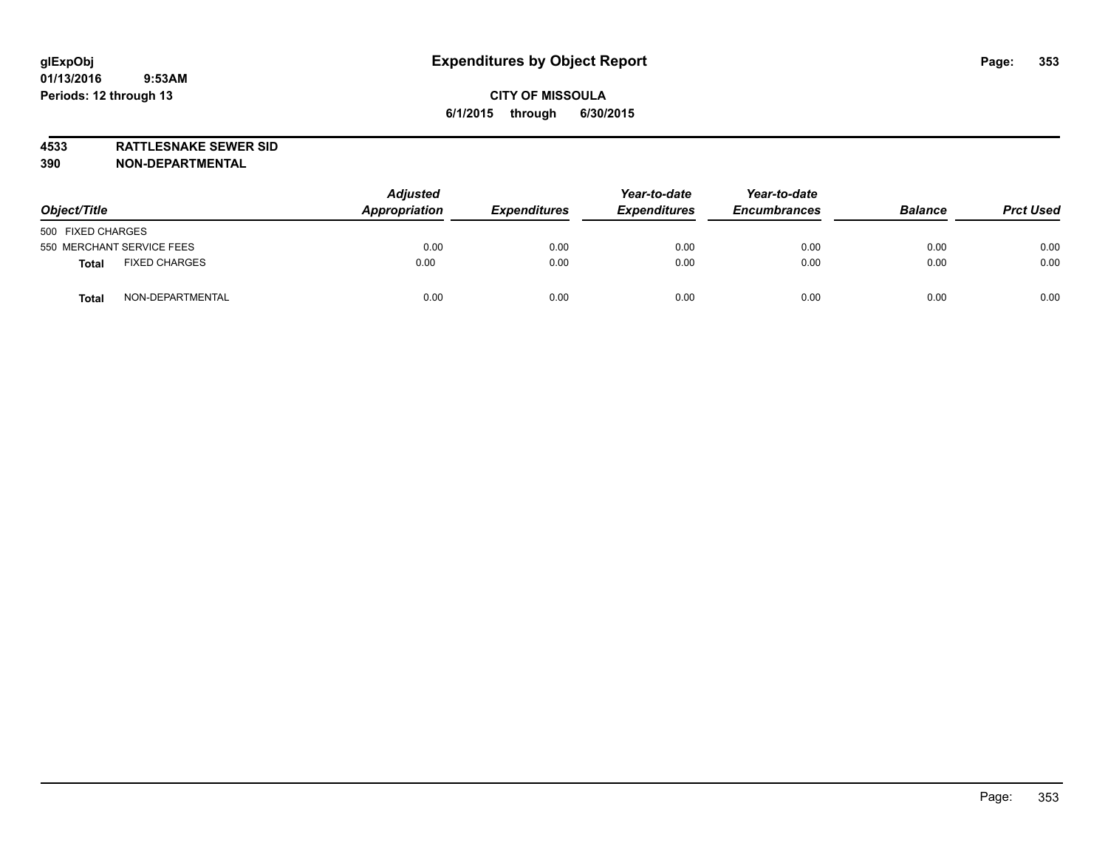**4533 RATTLESNAKE SEWER SID 390 NON-DEPARTMENTAL**

| Object/Title                         | <b>Adjusted</b><br>Appropriation | <b>Expenditures</b> | Year-to-date<br><b>Expenditures</b> | Year-to-date<br><b>Encumbrances</b> | <b>Balance</b> | <b>Prct Used</b> |
|--------------------------------------|----------------------------------|---------------------|-------------------------------------|-------------------------------------|----------------|------------------|
| 500 FIXED CHARGES                    |                                  |                     |                                     |                                     |                |                  |
| 550 MERCHANT SERVICE FEES            | 0.00                             | 0.00                | 0.00                                | 0.00                                | 0.00           | 0.00             |
| <b>FIXED CHARGES</b><br><b>Total</b> | 0.00                             | 0.00                | 0.00                                | 0.00                                | 0.00           | 0.00             |
| NON-DEPARTMENTAL<br><b>Total</b>     | 0.00                             | 0.00                | 0.00                                | 0.00                                | 0.00           | 0.00             |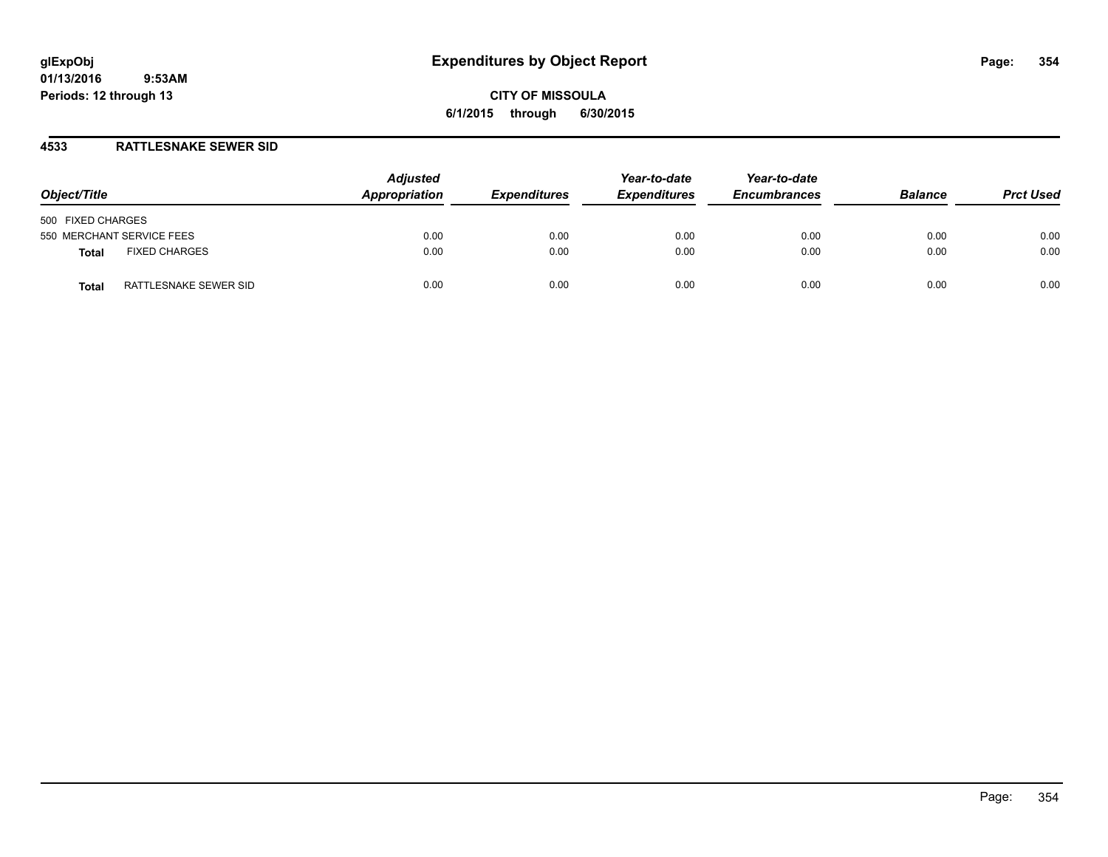### **4533 RATTLESNAKE SEWER SID**

| Object/Title                         | <b>Adjusted</b><br>Appropriation | <b>Expenditures</b> | Year-to-date<br><b>Expenditures</b> | Year-to-date<br><b>Encumbrances</b> | <b>Balance</b> | <b>Prct Used</b> |
|--------------------------------------|----------------------------------|---------------------|-------------------------------------|-------------------------------------|----------------|------------------|
| 500 FIXED CHARGES                    |                                  |                     |                                     |                                     |                |                  |
| 550 MERCHANT SERVICE FEES            | 0.00                             | 0.00                | 0.00                                | 0.00                                | 0.00           | 0.00             |
| <b>FIXED CHARGES</b><br><b>Total</b> | 0.00                             | 0.00                | 0.00                                | 0.00                                | 0.00           | 0.00             |
| RATTLESNAKE SEWER SID<br>Total       | 0.00                             | 0.00                | 0.00                                | 0.00                                | 0.00           | 0.00             |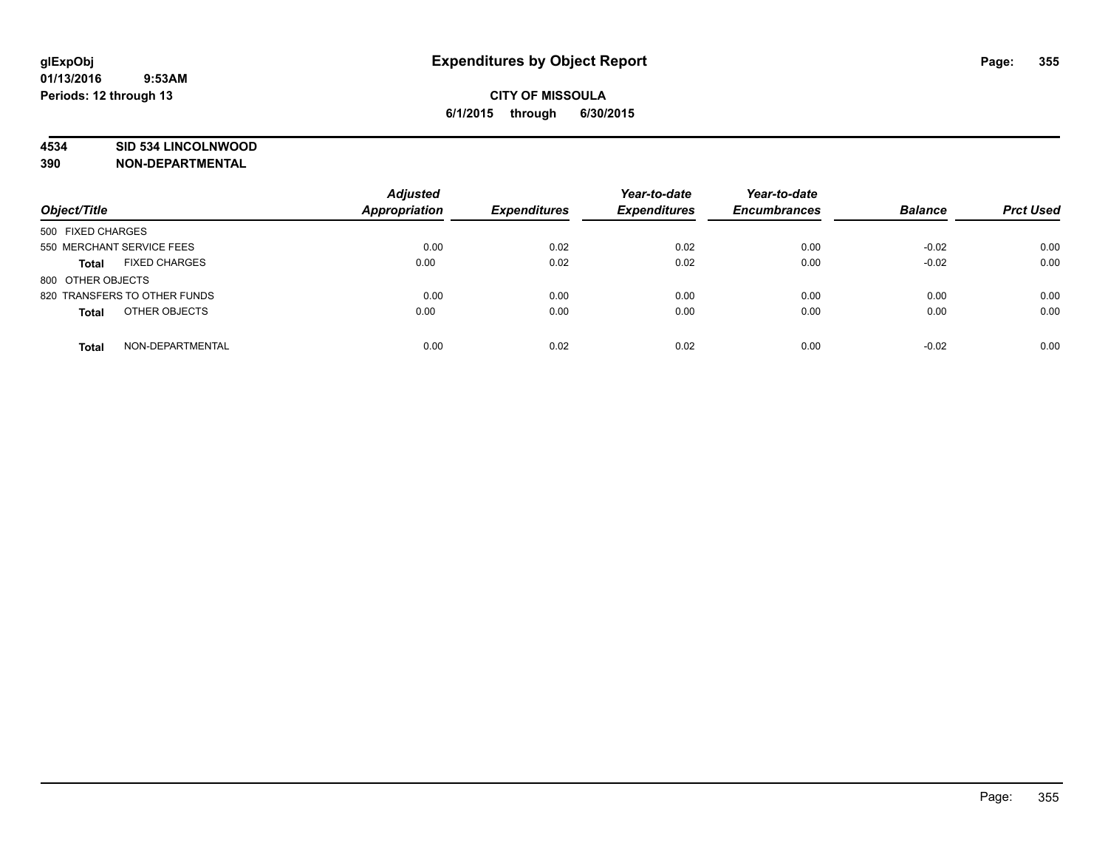### **4534 SID 534 LINCOLNWOOD**

**390 NON-DEPARTMENTAL**

| Object/Title                         | <b>Adjusted</b><br><b>Appropriation</b> | <b>Expenditures</b> | Year-to-date<br><b>Expenditures</b> | Year-to-date<br><b>Encumbrances</b> | <b>Balance</b> | <b>Prct Used</b> |
|--------------------------------------|-----------------------------------------|---------------------|-------------------------------------|-------------------------------------|----------------|------------------|
| 500 FIXED CHARGES                    |                                         |                     |                                     |                                     |                |                  |
| 550 MERCHANT SERVICE FEES            | 0.00                                    | 0.02                | 0.02                                | 0.00                                | $-0.02$        | 0.00             |
| <b>FIXED CHARGES</b><br><b>Total</b> | 0.00                                    | 0.02                | 0.02                                | 0.00                                | $-0.02$        | 0.00             |
| 800 OTHER OBJECTS                    |                                         |                     |                                     |                                     |                |                  |
| 820 TRANSFERS TO OTHER FUNDS         | 0.00                                    | 0.00                | 0.00                                | 0.00                                | 0.00           | 0.00             |
| OTHER OBJECTS<br><b>Total</b>        | 0.00                                    | 0.00                | 0.00                                | 0.00                                | 0.00           | 0.00             |
| NON-DEPARTMENTAL<br><b>Total</b>     | 0.00                                    | 0.02                | 0.02                                | 0.00                                | $-0.02$        | 0.00             |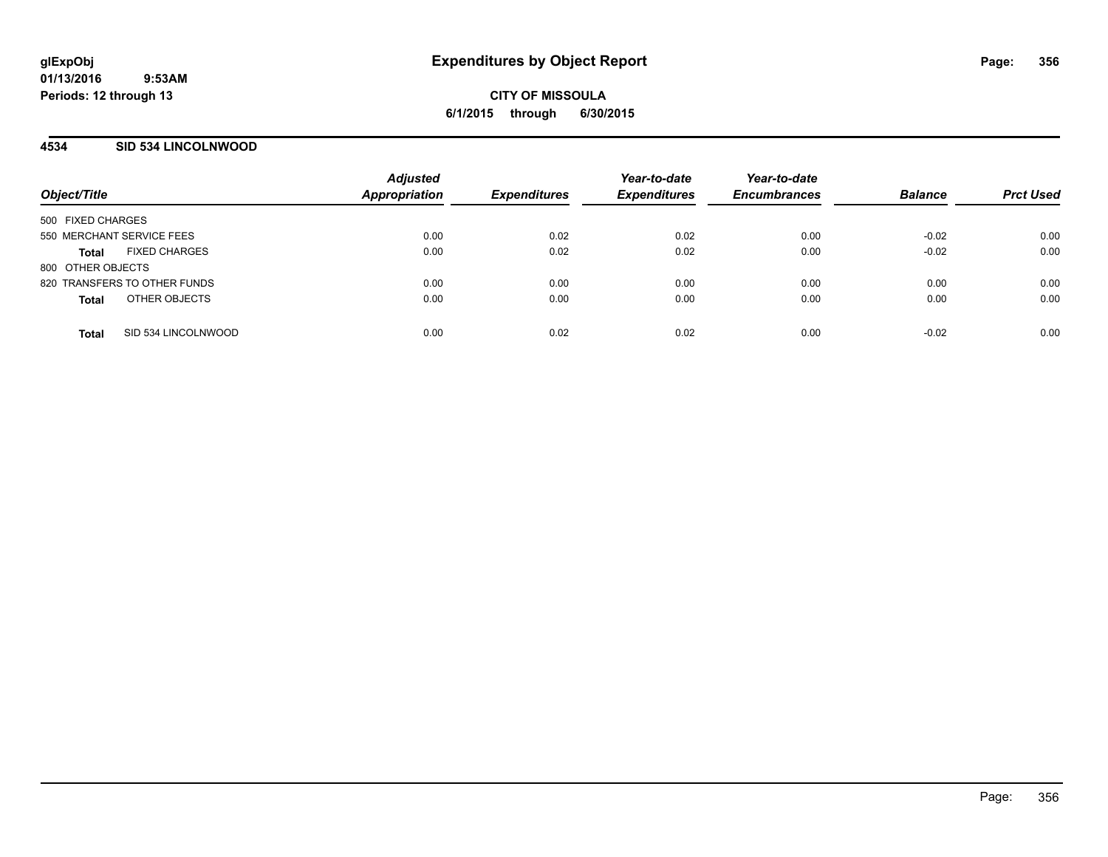**CITY OF MISSOULA 6/1/2015 through 6/30/2015**

### **4534 SID 534 LINCOLNWOOD**

| Object/Title                         | <b>Adjusted</b><br><b>Appropriation</b> | <b>Expenditures</b> | Year-to-date<br><b>Expenditures</b> | Year-to-date<br><b>Encumbrances</b> | <b>Balance</b> | <b>Prct Used</b> |
|--------------------------------------|-----------------------------------------|---------------------|-------------------------------------|-------------------------------------|----------------|------------------|
| 500 FIXED CHARGES                    |                                         |                     |                                     |                                     |                |                  |
| 550 MERCHANT SERVICE FEES            | 0.00                                    | 0.02                | 0.02                                | 0.00                                | $-0.02$        | 0.00             |
| <b>FIXED CHARGES</b><br><b>Total</b> | 0.00                                    | 0.02                | 0.02                                | 0.00                                | $-0.02$        | 0.00             |
| 800 OTHER OBJECTS                    |                                         |                     |                                     |                                     |                |                  |
| 820 TRANSFERS TO OTHER FUNDS         | 0.00                                    | 0.00                | 0.00                                | 0.00                                | 0.00           | 0.00             |
| OTHER OBJECTS<br><b>Total</b>        | 0.00                                    | 0.00                | 0.00                                | 0.00                                | 0.00           | 0.00             |
|                                      |                                         |                     |                                     |                                     |                |                  |
| SID 534 LINCOLNWOOD<br><b>Total</b>  | 0.00                                    | 0.02                | 0.02                                | 0.00                                | $-0.02$        | 0.00             |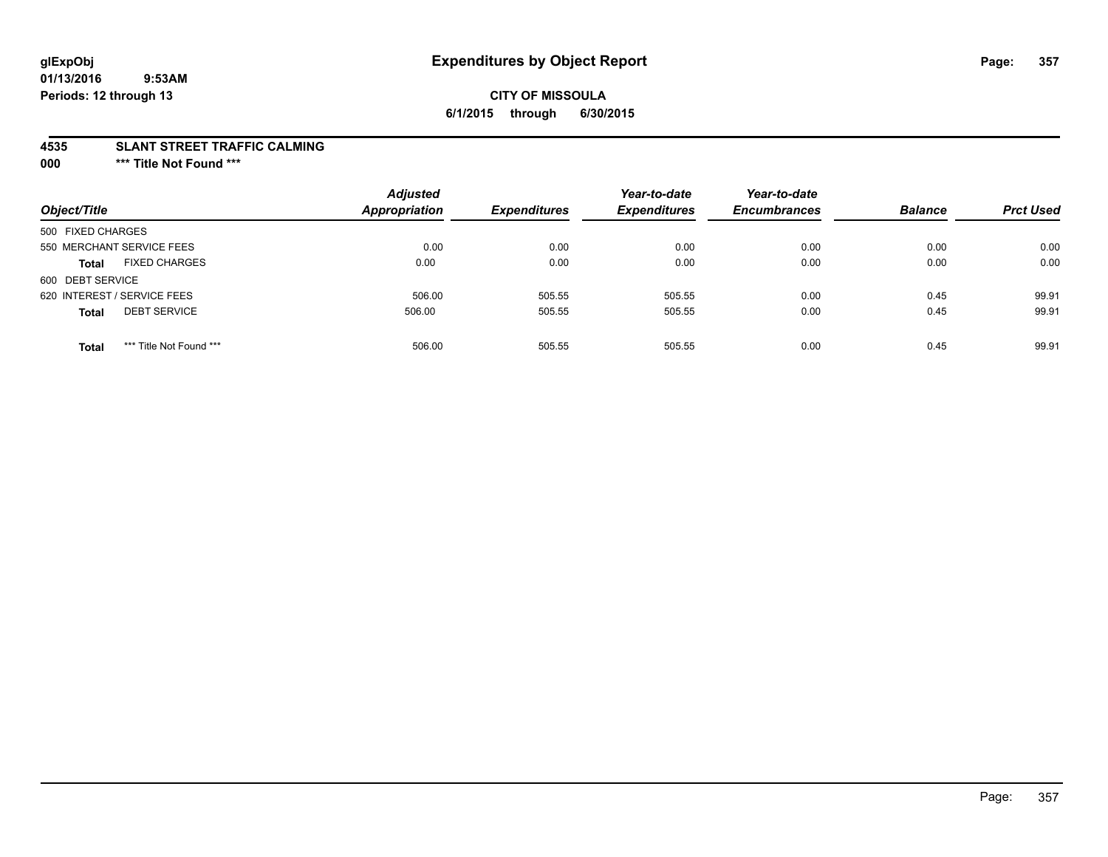# **CITY OF MISSOULA 6/1/2015 through 6/30/2015**

#### **4535 SLANT STREET TRAFFIC CALMING**

**000 \*\*\* Title Not Found \*\*\***

| Object/Title                            | <b>Adjusted</b><br>Appropriation | <b>Expenditures</b> | Year-to-date<br><b>Expenditures</b> | Year-to-date<br><b>Encumbrances</b> | <b>Balance</b> | <b>Prct Used</b> |
|-----------------------------------------|----------------------------------|---------------------|-------------------------------------|-------------------------------------|----------------|------------------|
| 500 FIXED CHARGES                       |                                  |                     |                                     |                                     |                |                  |
| 550 MERCHANT SERVICE FEES               | 0.00                             | 0.00                | 0.00                                | 0.00                                | 0.00           | 0.00             |
| <b>FIXED CHARGES</b><br><b>Total</b>    | 0.00                             | 0.00                | 0.00                                | 0.00                                | 0.00           | 0.00             |
| 600 DEBT SERVICE                        |                                  |                     |                                     |                                     |                |                  |
| 620 INTEREST / SERVICE FEES             | 506.00                           | 505.55              | 505.55                              | 0.00                                | 0.45           | 99.91            |
| <b>DEBT SERVICE</b><br><b>Total</b>     | 506.00                           | 505.55              | 505.55                              | 0.00                                | 0.45           | 99.91            |
| *** Title Not Found ***<br><b>Total</b> | 506.00                           | 505.55              | 505.55                              | 0.00                                | 0.45           | 99.91            |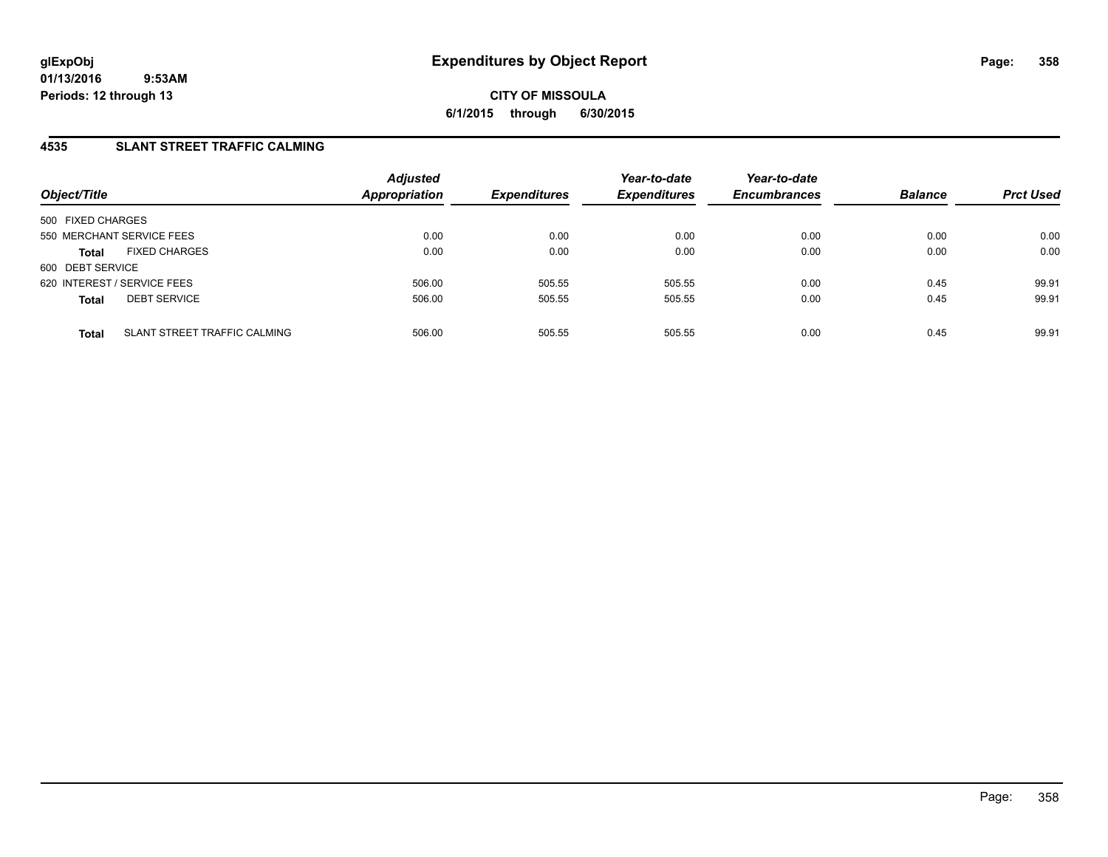**CITY OF MISSOULA 6/1/2015 through 6/30/2015**

### **4535 SLANT STREET TRAFFIC CALMING**

| Object/Title                                 | <b>Adjusted</b><br><b>Appropriation</b> | <b>Expenditures</b> | Year-to-date<br><b>Expenditures</b> | Year-to-date<br><b>Encumbrances</b> | <b>Balance</b> | <b>Prct Used</b> |
|----------------------------------------------|-----------------------------------------|---------------------|-------------------------------------|-------------------------------------|----------------|------------------|
| 500 FIXED CHARGES                            |                                         |                     |                                     |                                     |                |                  |
| 550 MERCHANT SERVICE FEES                    | 0.00                                    | 0.00                | 0.00                                | 0.00                                | 0.00           | 0.00             |
| <b>FIXED CHARGES</b><br><b>Total</b>         | 0.00                                    | 0.00                | 0.00                                | 0.00                                | 0.00           | 0.00             |
| 600 DEBT SERVICE                             |                                         |                     |                                     |                                     |                |                  |
| 620 INTEREST / SERVICE FEES                  | 506.00                                  | 505.55              | 505.55                              | 0.00                                | 0.45           | 99.91            |
| <b>DEBT SERVICE</b><br><b>Total</b>          | 506.00                                  | 505.55              | 505.55                              | 0.00                                | 0.45           | 99.91            |
| SLANT STREET TRAFFIC CALMING<br><b>Total</b> | 506.00                                  | 505.55              | 505.55                              | 0.00                                | 0.45           | 99.91            |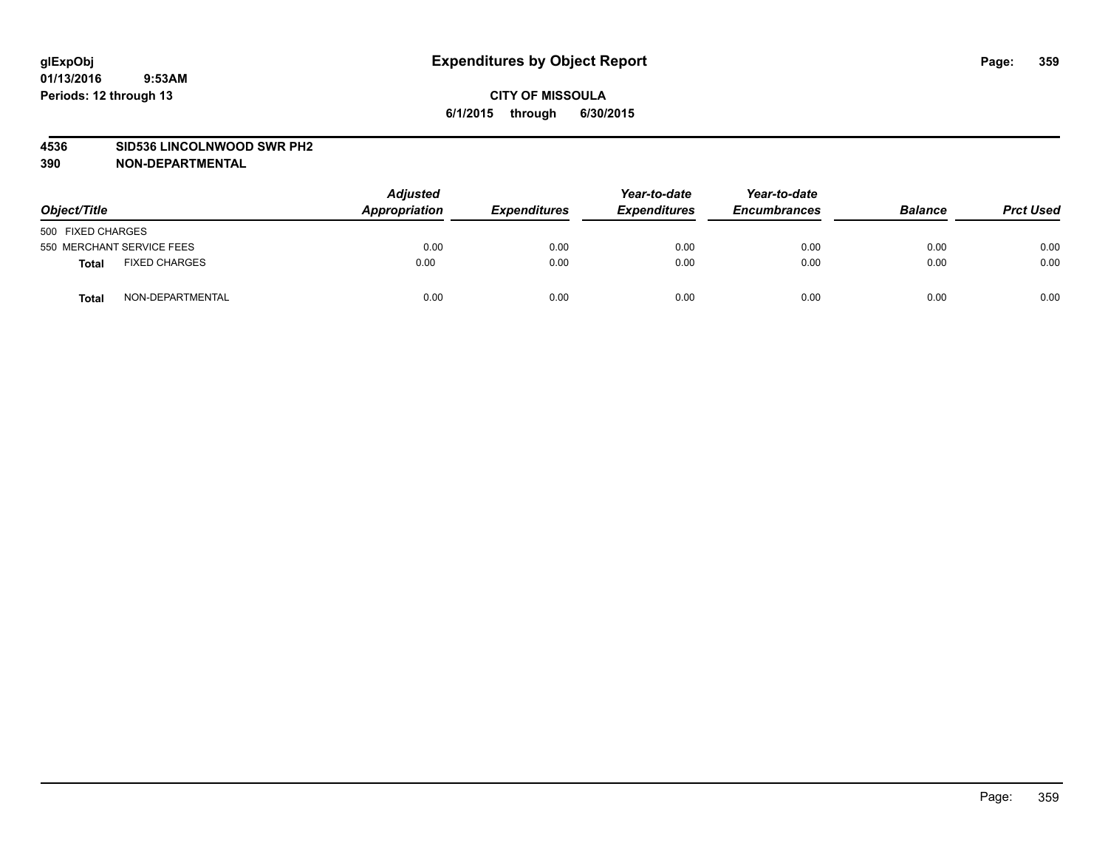#### **4536 SID536 LINCOLNWOOD SWR PH2**

**390 NON-DEPARTMENTAL**

| Object/Title                         | <b>Adjusted</b><br>Appropriation | <b>Expenditures</b> | Year-to-date<br><b>Expenditures</b> | Year-to-date<br><b>Encumbrances</b> | <b>Balance</b> | <b>Prct Used</b> |
|--------------------------------------|----------------------------------|---------------------|-------------------------------------|-------------------------------------|----------------|------------------|
| 500 FIXED CHARGES                    |                                  |                     |                                     |                                     |                |                  |
| 550 MERCHANT SERVICE FEES            | 0.00                             | 0.00                | 0.00                                | 0.00                                | 0.00           | 0.00             |
| <b>FIXED CHARGES</b><br><b>Total</b> | 0.00                             | 0.00                | 0.00                                | 0.00                                | 0.00           | 0.00             |
| NON-DEPARTMENTAL<br><b>Total</b>     | 0.00                             | 0.00                | 0.00                                | 0.00                                | 0.00           | 0.00             |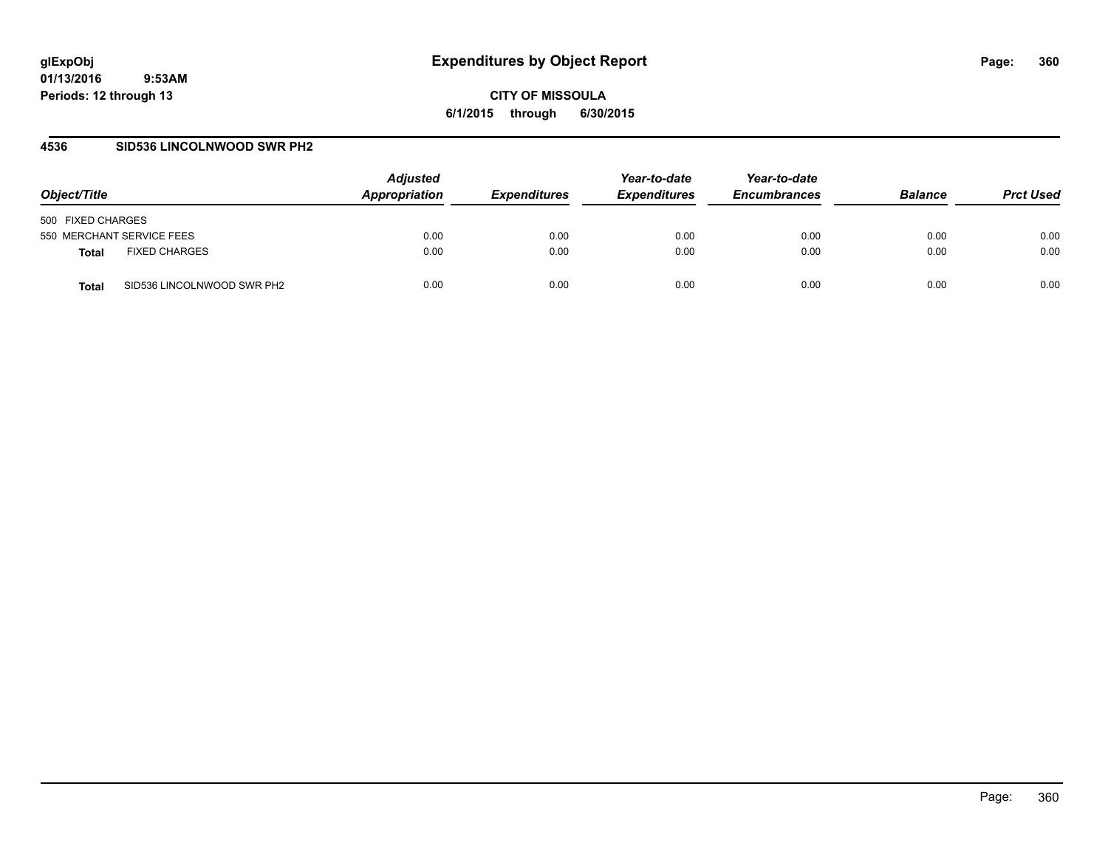**CITY OF MISSOULA 6/1/2015 through 6/30/2015**

### **4536 SID536 LINCOLNWOOD SWR PH2**

| Object/Title                               | <b>Adjusted</b><br>Appropriation | <b>Expenditures</b> | Year-to-date<br><b>Expenditures</b> | Year-to-date<br><b>Encumbrances</b> | <b>Balance</b> | <b>Prct Used</b> |
|--------------------------------------------|----------------------------------|---------------------|-------------------------------------|-------------------------------------|----------------|------------------|
| 500 FIXED CHARGES                          |                                  |                     |                                     |                                     |                |                  |
| 550 MERCHANT SERVICE FEES                  | 0.00                             | 0.00                | 0.00                                | 0.00                                | 0.00           | 0.00             |
| <b>FIXED CHARGES</b><br>Total              | 0.00                             | 0.00                | 0.00                                | 0.00                                | 0.00           | 0.00             |
| SID536 LINCOLNWOOD SWR PH2<br><b>Total</b> | 0.00                             | 0.00                | 0.00                                | 0.00                                | 0.00           | 0.00             |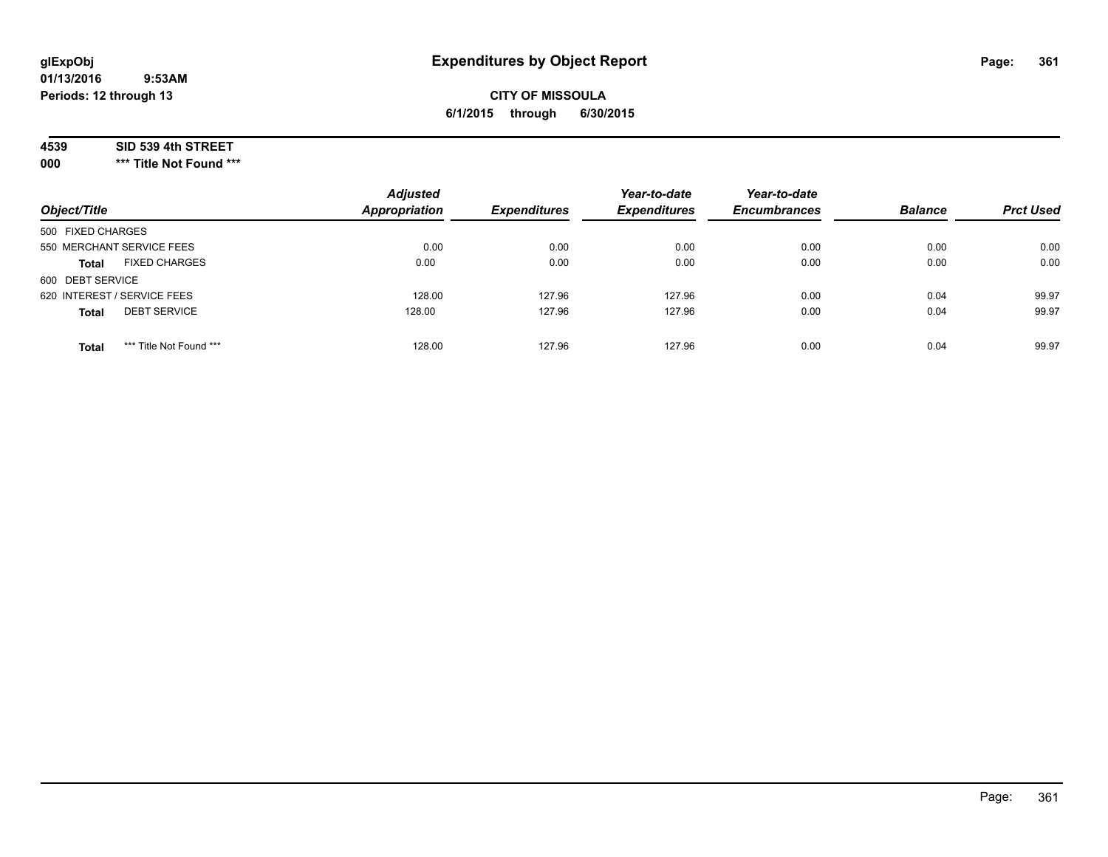# **CITY OF MISSOULA 6/1/2015 through 6/30/2015**

#### **4539 SID 539 4th STREET**

**000 \*\*\* Title Not Found \*\*\***

| Object/Title                            | <b>Adjusted</b><br><b>Appropriation</b> | <b>Expenditures</b> | Year-to-date<br><b>Expenditures</b> | Year-to-date<br><b>Encumbrances</b> | <b>Balance</b> | <b>Prct Used</b> |
|-----------------------------------------|-----------------------------------------|---------------------|-------------------------------------|-------------------------------------|----------------|------------------|
| 500 FIXED CHARGES                       |                                         |                     |                                     |                                     |                |                  |
| 550 MERCHANT SERVICE FEES               | 0.00                                    | 0.00                | 0.00                                | 0.00                                | 0.00           | 0.00             |
| <b>FIXED CHARGES</b><br><b>Total</b>    | 0.00                                    | 0.00                | 0.00                                | 0.00                                | 0.00           | 0.00             |
| 600 DEBT SERVICE                        |                                         |                     |                                     |                                     |                |                  |
| 620 INTEREST / SERVICE FEES             | 128.00                                  | 127.96              | 127.96                              | 0.00                                | 0.04           | 99.97            |
| <b>DEBT SERVICE</b><br><b>Total</b>     | 128.00                                  | 127.96              | 127.96                              | 0.00                                | 0.04           | 99.97            |
| *** Title Not Found ***<br><b>Total</b> | 128.00                                  | 127.96              | 127.96                              | 0.00                                | 0.04           | 99.97            |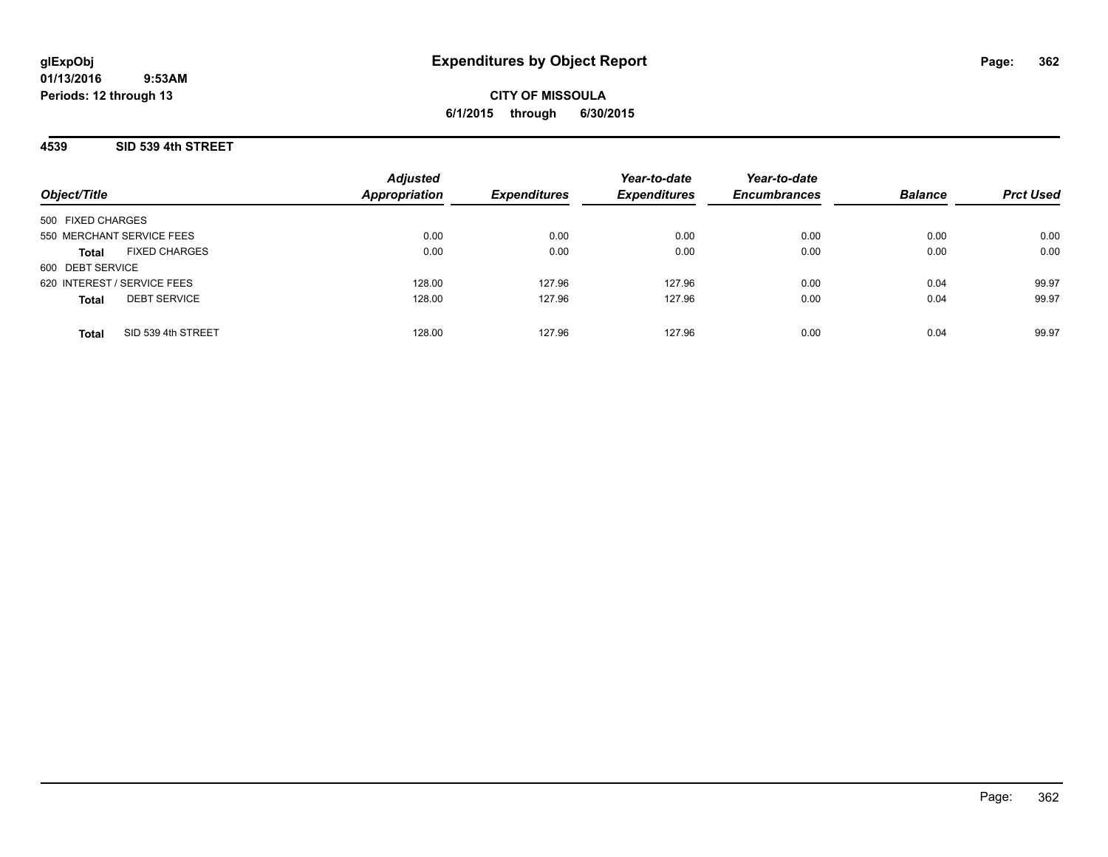### **4539 SID 539 4th STREET**

| Object/Title                         | <b>Adjusted</b><br><b>Appropriation</b> | <b>Expenditures</b> | Year-to-date<br><b>Expenditures</b> | Year-to-date<br><b>Encumbrances</b> | <b>Balance</b> | <b>Prct Used</b> |
|--------------------------------------|-----------------------------------------|---------------------|-------------------------------------|-------------------------------------|----------------|------------------|
| 500 FIXED CHARGES                    |                                         |                     |                                     |                                     |                |                  |
| 550 MERCHANT SERVICE FEES            | 0.00                                    | 0.00                | 0.00                                | 0.00                                | 0.00           | 0.00             |
| <b>FIXED CHARGES</b><br><b>Total</b> | 0.00                                    | 0.00                | 0.00                                | 0.00                                | 0.00           | 0.00             |
| 600 DEBT SERVICE                     |                                         |                     |                                     |                                     |                |                  |
| 620 INTEREST / SERVICE FEES          | 128.00                                  | 127.96              | 127.96                              | 0.00                                | 0.04           | 99.97            |
| <b>DEBT SERVICE</b><br><b>Total</b>  | 128.00                                  | 127.96              | 127.96                              | 0.00                                | 0.04           | 99.97            |
| SID 539 4th STREET<br><b>Total</b>   | 128.00                                  | 127.96              | 127.96                              | 0.00                                | 0.04           | 99.97            |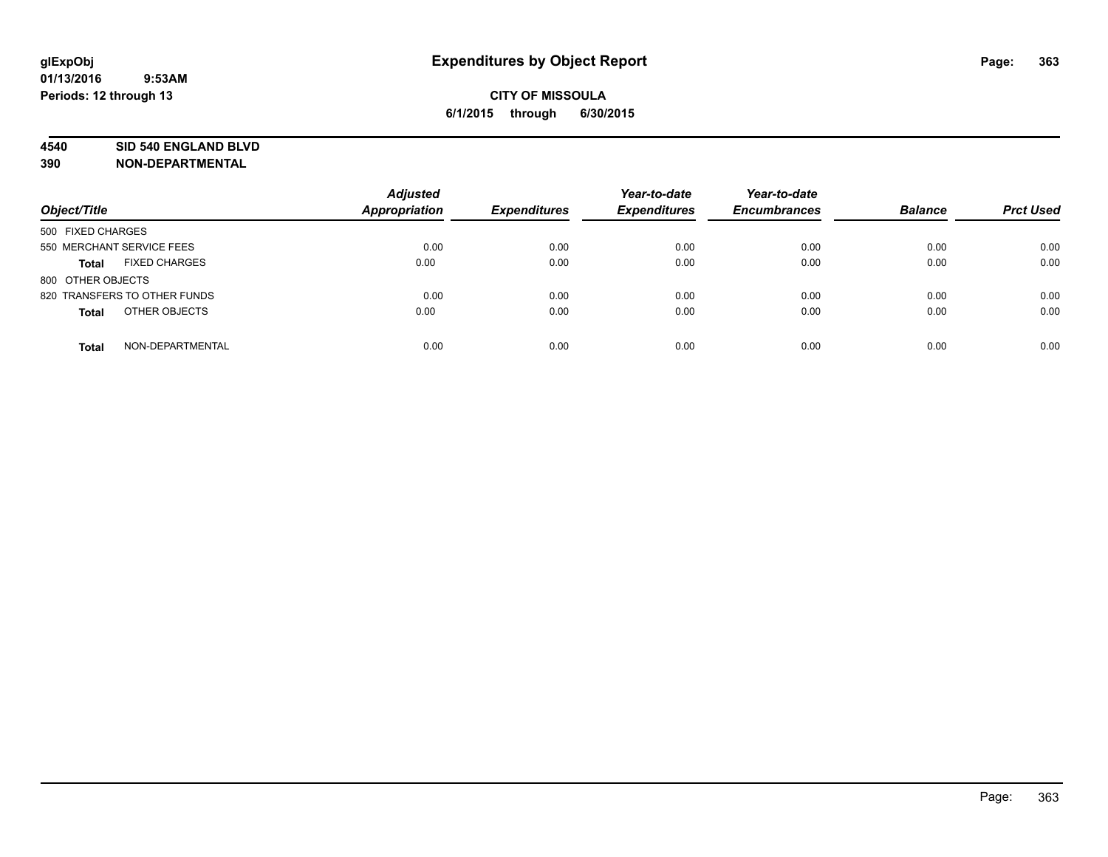#### **4540 SID 540 ENGLAND BLVD**

| Object/Title                         | <b>Adjusted</b><br>Appropriation | <b>Expenditures</b> | Year-to-date<br><b>Expenditures</b> | Year-to-date<br><b>Encumbrances</b> | <b>Balance</b> | <b>Prct Used</b> |
|--------------------------------------|----------------------------------|---------------------|-------------------------------------|-------------------------------------|----------------|------------------|
| 500 FIXED CHARGES                    |                                  |                     |                                     |                                     |                |                  |
| 550 MERCHANT SERVICE FEES            | 0.00                             | 0.00                | 0.00                                | 0.00                                | 0.00           | 0.00             |
| <b>FIXED CHARGES</b><br><b>Total</b> | 0.00                             | 0.00                | 0.00                                | 0.00                                | 0.00           | 0.00             |
| 800 OTHER OBJECTS                    |                                  |                     |                                     |                                     |                |                  |
| 820 TRANSFERS TO OTHER FUNDS         | 0.00                             | 0.00                | 0.00                                | 0.00                                | 0.00           | 0.00             |
| OTHER OBJECTS<br><b>Total</b>        | 0.00                             | 0.00                | 0.00                                | 0.00                                | 0.00           | 0.00             |
| NON-DEPARTMENTAL<br><b>Total</b>     | 0.00                             | 0.00                | 0.00                                | 0.00                                | 0.00           | 0.00             |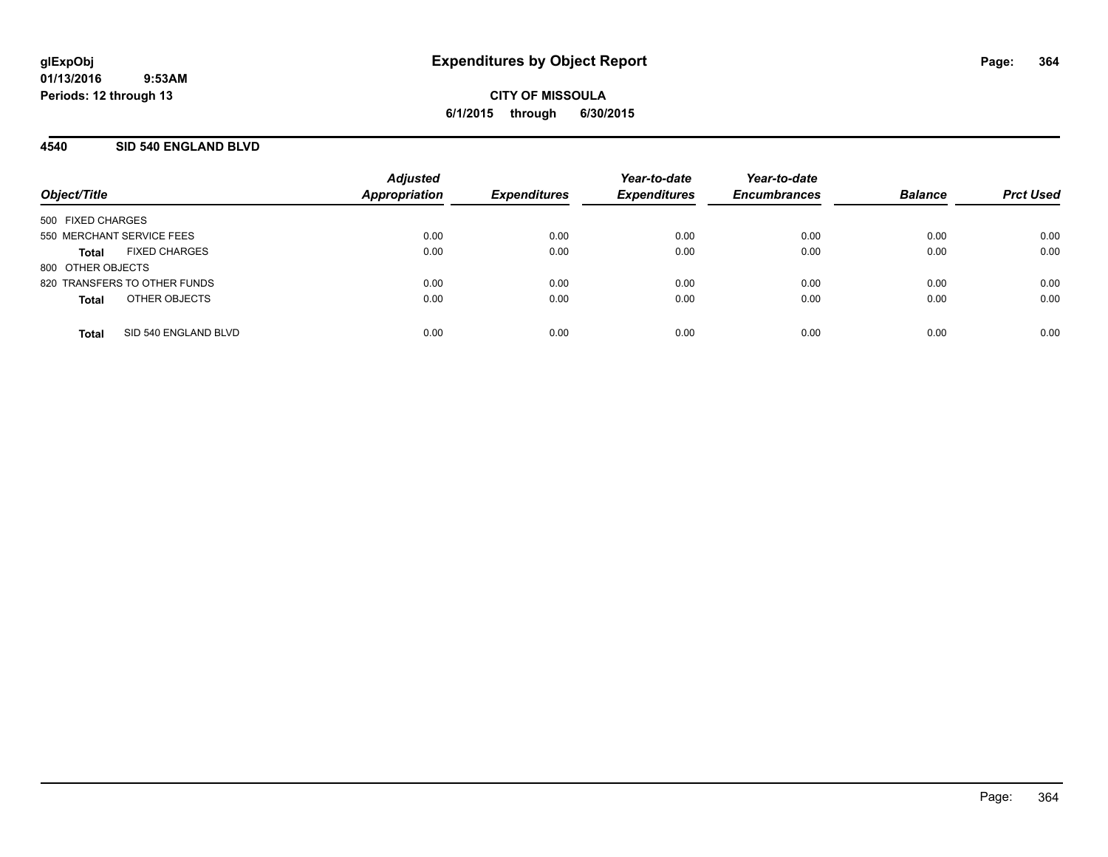### **4540 SID 540 ENGLAND BLVD**

| Object/Title                         | <b>Adjusted</b><br><b>Appropriation</b> | <b>Expenditures</b> | Year-to-date<br><b>Expenditures</b> | Year-to-date<br><b>Encumbrances</b> | <b>Balance</b> | <b>Prct Used</b> |
|--------------------------------------|-----------------------------------------|---------------------|-------------------------------------|-------------------------------------|----------------|------------------|
| 500 FIXED CHARGES                    |                                         |                     |                                     |                                     |                |                  |
| 550 MERCHANT SERVICE FEES            | 0.00                                    | 0.00                | 0.00                                | 0.00                                | 0.00           | 0.00             |
| <b>FIXED CHARGES</b><br><b>Total</b> | 0.00                                    | 0.00                | 0.00                                | 0.00                                | 0.00           | 0.00             |
| 800 OTHER OBJECTS                    |                                         |                     |                                     |                                     |                |                  |
| 820 TRANSFERS TO OTHER FUNDS         | 0.00                                    | 0.00                | 0.00                                | 0.00                                | 0.00           | 0.00             |
| OTHER OBJECTS<br><b>Total</b>        | 0.00                                    | 0.00                | 0.00                                | 0.00                                | 0.00           | 0.00             |
| SID 540 ENGLAND BLVD<br><b>Total</b> | 0.00                                    | 0.00                | 0.00                                | 0.00                                | 0.00           | 0.00             |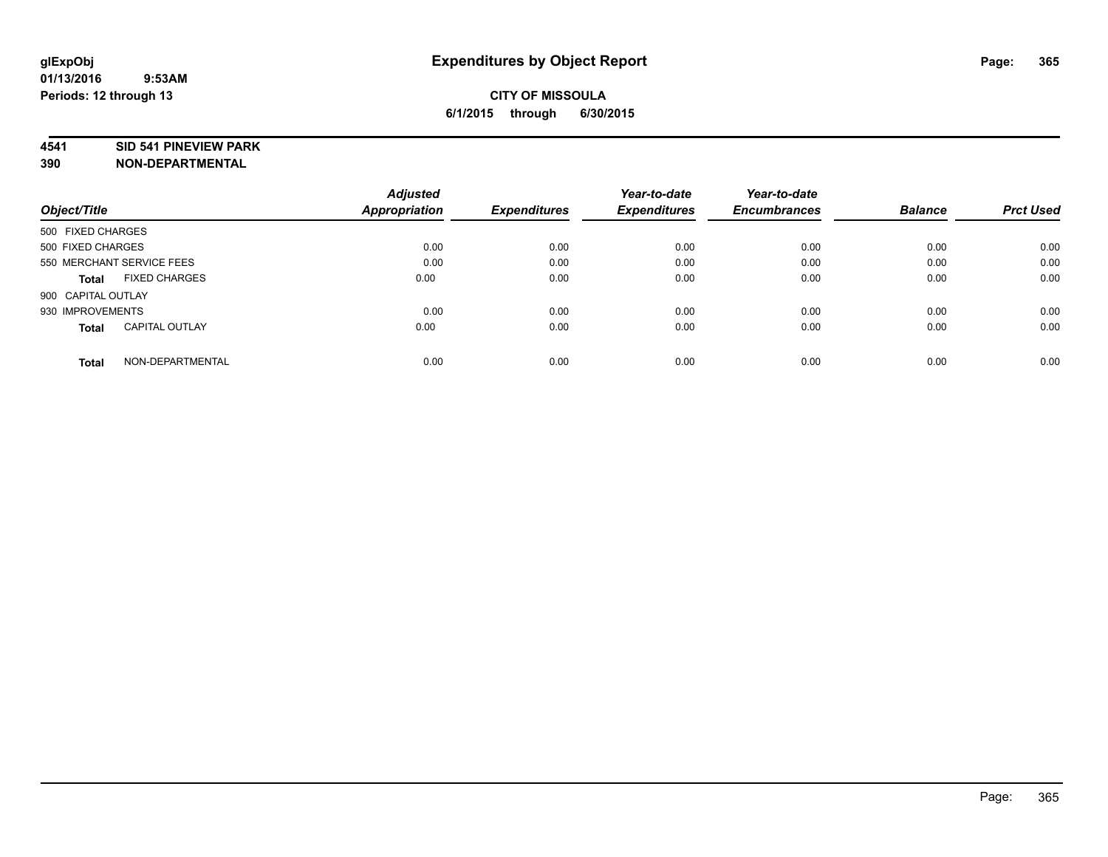#### **4541 SID 541 PINEVIEW PARK**

|                                       | <b>Adjusted</b> |                     | Year-to-date        | Year-to-date        |                |                  |
|---------------------------------------|-----------------|---------------------|---------------------|---------------------|----------------|------------------|
| Object/Title                          | Appropriation   | <b>Expenditures</b> | <b>Expenditures</b> | <b>Encumbrances</b> | <b>Balance</b> | <b>Prct Used</b> |
| 500 FIXED CHARGES                     |                 |                     |                     |                     |                |                  |
| 500 FIXED CHARGES                     | 0.00            | 0.00                | 0.00                | 0.00                | 0.00           | 0.00             |
| 550 MERCHANT SERVICE FEES             | 0.00            | 0.00                | 0.00                | 0.00                | 0.00           | 0.00             |
| <b>FIXED CHARGES</b><br><b>Total</b>  | 0.00            | 0.00                | 0.00                | 0.00                | 0.00           | 0.00             |
| 900 CAPITAL OUTLAY                    |                 |                     |                     |                     |                |                  |
| 930 IMPROVEMENTS                      | 0.00            | 0.00                | 0.00                | 0.00                | 0.00           | 0.00             |
| <b>CAPITAL OUTLAY</b><br><b>Total</b> | 0.00            | 0.00                | 0.00                | 0.00                | 0.00           | 0.00             |
| NON-DEPARTMENTAL<br><b>Total</b>      | 0.00            | 0.00                | 0.00                | 0.00                | 0.00           | 0.00             |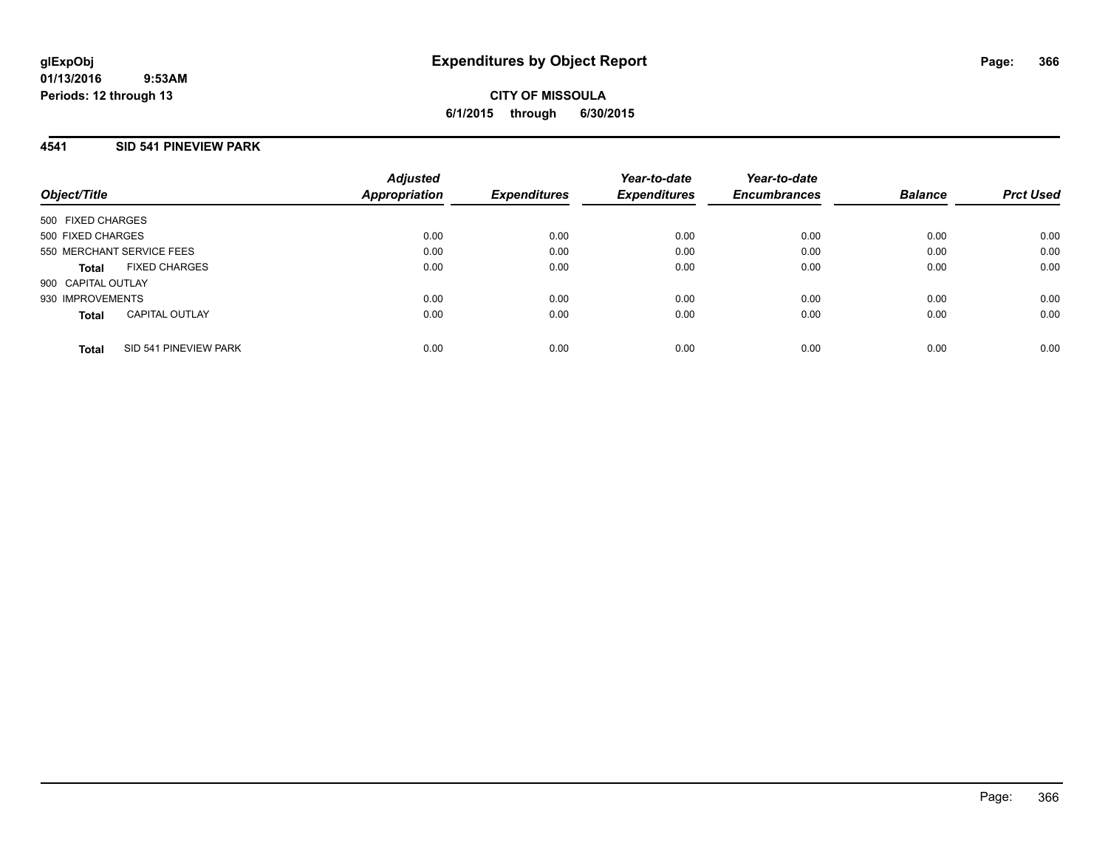# **4541 SID 541 PINEVIEW PARK**

| Object/Title              |                       | <b>Adjusted</b><br><b>Appropriation</b> | <b>Expenditures</b> | Year-to-date<br><b>Expenditures</b> | Year-to-date<br><b>Encumbrances</b> | <b>Balance</b> | <b>Prct Used</b> |
|---------------------------|-----------------------|-----------------------------------------|---------------------|-------------------------------------|-------------------------------------|----------------|------------------|
| 500 FIXED CHARGES         |                       |                                         |                     |                                     |                                     |                |                  |
| 500 FIXED CHARGES         |                       | 0.00                                    | 0.00                | 0.00                                | 0.00                                | 0.00           | 0.00             |
| 550 MERCHANT SERVICE FEES |                       | 0.00                                    | 0.00                | 0.00                                | 0.00                                | 0.00           | 0.00             |
| Total                     | <b>FIXED CHARGES</b>  | 0.00                                    | 0.00                | 0.00                                | 0.00                                | 0.00           | 0.00             |
| 900 CAPITAL OUTLAY        |                       |                                         |                     |                                     |                                     |                |                  |
| 930 IMPROVEMENTS          |                       | 0.00                                    | 0.00                | 0.00                                | 0.00                                | 0.00           | 0.00             |
| <b>Total</b>              | <b>CAPITAL OUTLAY</b> | 0.00                                    | 0.00                | 0.00                                | 0.00                                | 0.00           | 0.00             |
| Total                     | SID 541 PINEVIEW PARK | 0.00                                    | 0.00                | 0.00                                | 0.00                                | 0.00           | 0.00             |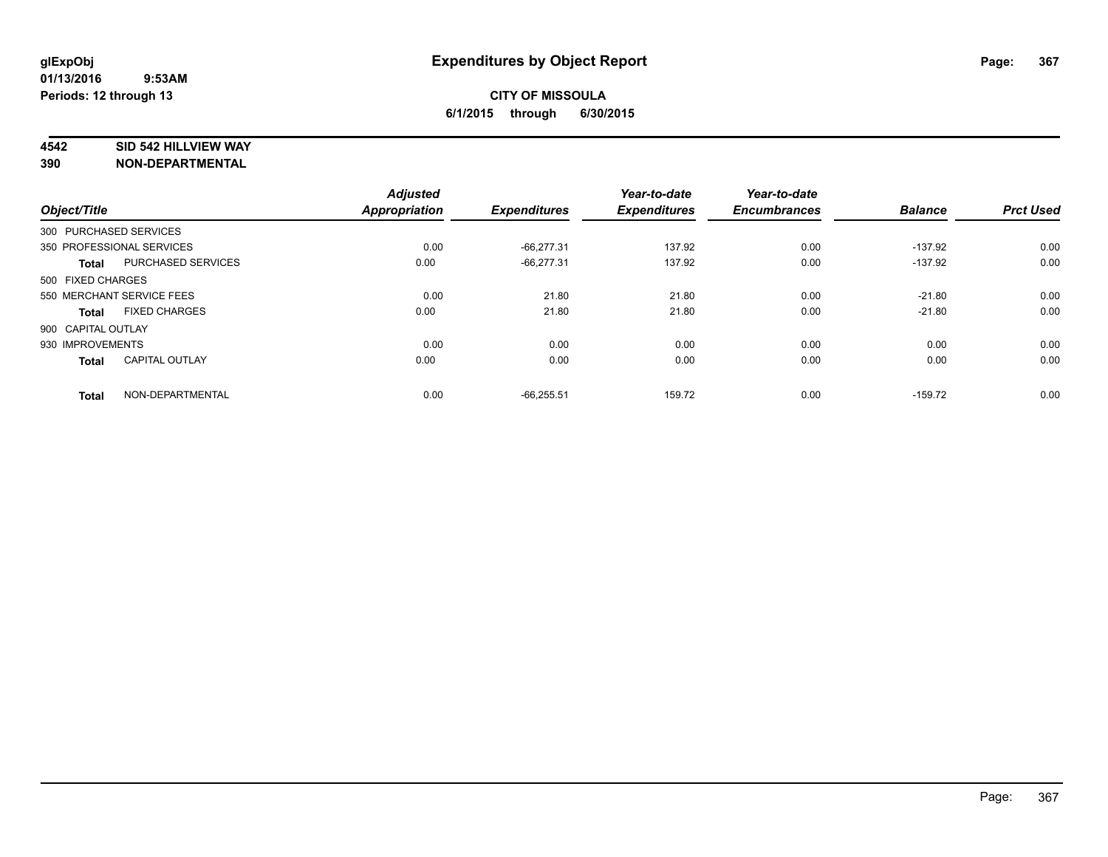#### **4542 SID 542 HILLVIEW WAY**

|                           | <b>Adjusted</b>                                                                                                                                                                                                                                     |                                      | Year-to-date                                        | Year-to-date                            |                                     | <b>Prct Used</b>                         |
|---------------------------|-----------------------------------------------------------------------------------------------------------------------------------------------------------------------------------------------------------------------------------------------------|--------------------------------------|-----------------------------------------------------|-----------------------------------------|-------------------------------------|------------------------------------------|
|                           |                                                                                                                                                                                                                                                     |                                      |                                                     |                                         |                                     |                                          |
|                           |                                                                                                                                                                                                                                                     |                                      |                                                     |                                         |                                     |                                          |
|                           |                                                                                                                                                                                                                                                     |                                      |                                                     |                                         |                                     | 0.00                                     |
| <b>PURCHASED SERVICES</b> | 0.00                                                                                                                                                                                                                                                | $-66.277.31$                         | 137.92                                              | 0.00                                    | $-137.92$                           | 0.00                                     |
|                           |                                                                                                                                                                                                                                                     |                                      |                                                     |                                         |                                     |                                          |
|                           | 0.00                                                                                                                                                                                                                                                | 21.80                                | 21.80                                               | 0.00                                    | $-21.80$                            | 0.00                                     |
| <b>FIXED CHARGES</b>      | 0.00                                                                                                                                                                                                                                                | 21.80                                | 21.80                                               | 0.00                                    | $-21.80$                            | 0.00                                     |
|                           |                                                                                                                                                                                                                                                     |                                      |                                                     |                                         |                                     |                                          |
|                           | 0.00                                                                                                                                                                                                                                                | 0.00                                 | 0.00                                                | 0.00                                    | 0.00                                | 0.00                                     |
| <b>CAPITAL OUTLAY</b>     | 0.00                                                                                                                                                                                                                                                | 0.00                                 | 0.00                                                | 0.00                                    | 0.00                                | 0.00                                     |
|                           |                                                                                                                                                                                                                                                     |                                      |                                                     |                                         |                                     | 0.00                                     |
|                           | Object/Title<br>300 PURCHASED SERVICES<br>350 PROFESSIONAL SERVICES<br><b>Total</b><br>500 FIXED CHARGES<br>550 MERCHANT SERVICE FEES<br><b>Total</b><br>900 CAPITAL OUTLAY<br>930 IMPROVEMENTS<br><b>Total</b><br>NON-DEPARTMENTAL<br><b>Total</b> | <b>Appropriation</b><br>0.00<br>0.00 | <b>Expenditures</b><br>$-66,277.31$<br>$-66,255.51$ | <b>Expenditures</b><br>137.92<br>159.72 | <b>Encumbrances</b><br>0.00<br>0.00 | <b>Balance</b><br>$-137.92$<br>$-159.72$ |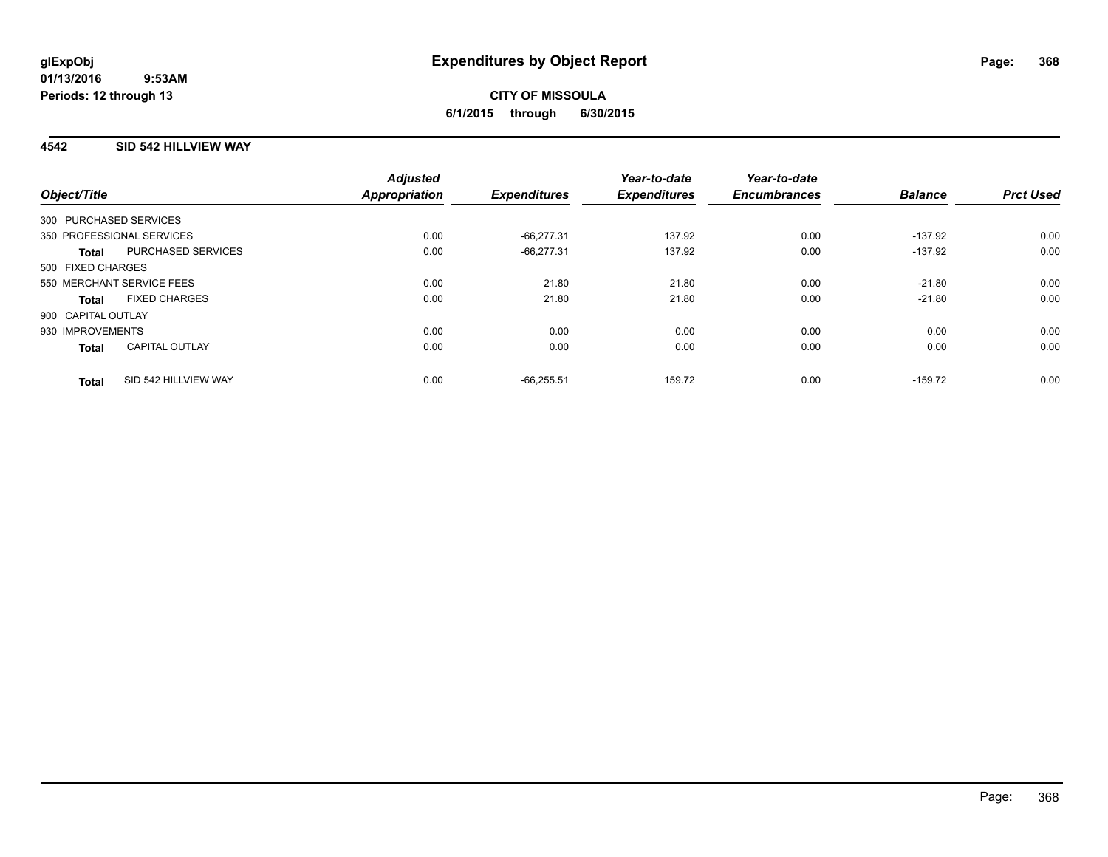## **4542 SID 542 HILLVIEW WAY**

| Object/Title           |                           | <b>Adjusted</b><br><b>Appropriation</b> | <b>Expenditures</b> | Year-to-date<br><b>Expenditures</b> | Year-to-date<br><b>Encumbrances</b> | <b>Balance</b> | <b>Prct Used</b> |
|------------------------|---------------------------|-----------------------------------------|---------------------|-------------------------------------|-------------------------------------|----------------|------------------|
| 300 PURCHASED SERVICES |                           |                                         |                     |                                     |                                     |                |                  |
|                        | 350 PROFESSIONAL SERVICES | 0.00                                    | $-66.277.31$        | 137.92                              | 0.00                                | $-137.92$      | 0.00             |
| <b>Total</b>           | PURCHASED SERVICES        | 0.00                                    | $-66.277.31$        | 137.92                              | 0.00                                | $-137.92$      | 0.00             |
| 500 FIXED CHARGES      |                           |                                         |                     |                                     |                                     |                |                  |
|                        | 550 MERCHANT SERVICE FEES | 0.00                                    | 21.80               | 21.80                               | 0.00                                | $-21.80$       | 0.00             |
| <b>Total</b>           | <b>FIXED CHARGES</b>      | 0.00                                    | 21.80               | 21.80                               | 0.00                                | $-21.80$       | 0.00             |
| 900 CAPITAL OUTLAY     |                           |                                         |                     |                                     |                                     |                |                  |
| 930 IMPROVEMENTS       |                           | 0.00                                    | 0.00                | 0.00                                | 0.00                                | 0.00           | 0.00             |
| <b>Total</b>           | <b>CAPITAL OUTLAY</b>     | 0.00                                    | 0.00                | 0.00                                | 0.00                                | 0.00           | 0.00             |
| <b>Total</b>           | SID 542 HILLVIEW WAY      | 0.00                                    | $-66.255.51$        | 159.72                              | 0.00                                | $-159.72$      | 0.00             |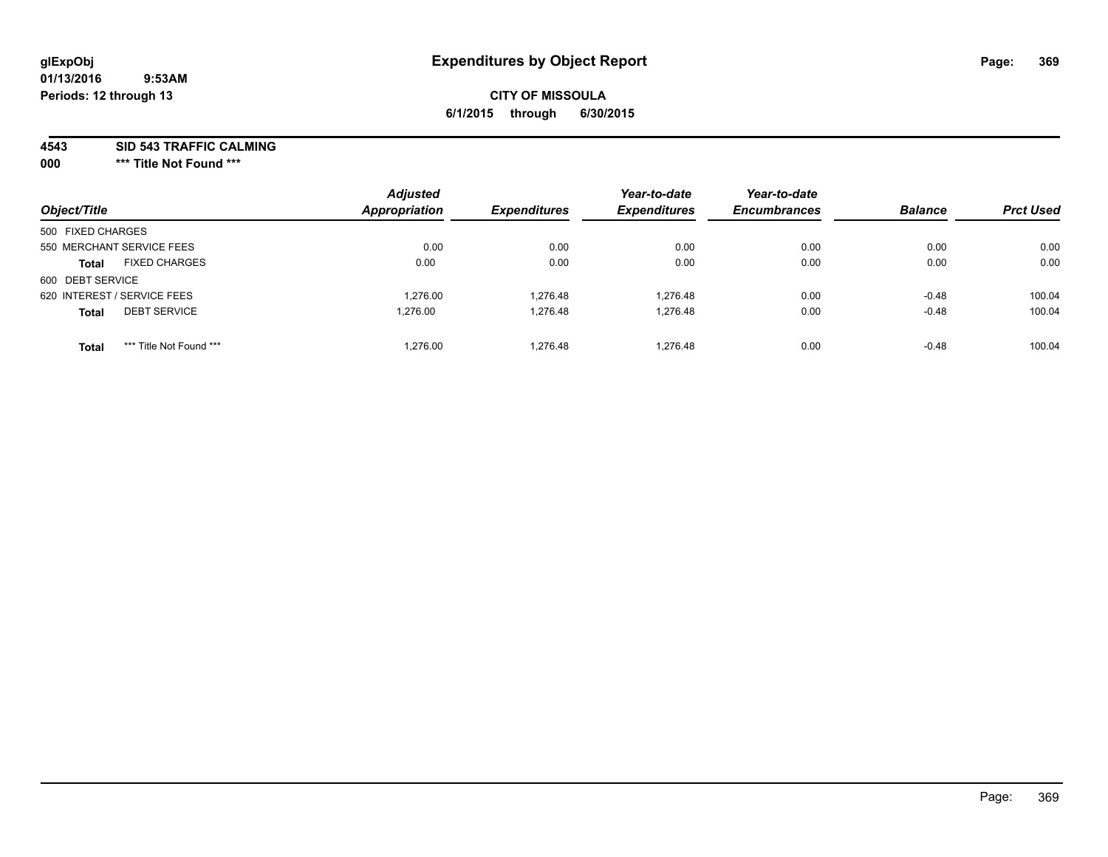# **CITY OF MISSOULA 6/1/2015 through 6/30/2015**

**4543 SID 543 TRAFFIC CALMING**

**000 \*\*\* Title Not Found \*\*\***

| Object/Title                            | <b>Adjusted</b><br><b>Appropriation</b> | <b>Expenditures</b> | Year-to-date<br><b>Expenditures</b> | Year-to-date<br><b>Encumbrances</b> | <b>Balance</b> | <b>Prct Used</b> |
|-----------------------------------------|-----------------------------------------|---------------------|-------------------------------------|-------------------------------------|----------------|------------------|
| 500 FIXED CHARGES                       |                                         |                     |                                     |                                     |                |                  |
| 550 MERCHANT SERVICE FEES               | 0.00                                    | 0.00                | 0.00                                | 0.00                                | 0.00           | 0.00             |
| <b>FIXED CHARGES</b><br><b>Total</b>    | 0.00                                    | 0.00                | 0.00                                | 0.00                                | 0.00           | 0.00             |
| 600 DEBT SERVICE                        |                                         |                     |                                     |                                     |                |                  |
| 620 INTEREST / SERVICE FEES             | 1.276.00                                | 1.276.48            | 1.276.48                            | 0.00                                | $-0.48$        | 100.04           |
| <b>DEBT SERVICE</b><br><b>Total</b>     | 1.276.00                                | 1.276.48            | 1.276.48                            | 0.00                                | $-0.48$        | 100.04           |
| *** Title Not Found ***<br><b>Total</b> | 1.276.00                                | 1.276.48            | 1.276.48                            | 0.00                                | $-0.48$        | 100.04           |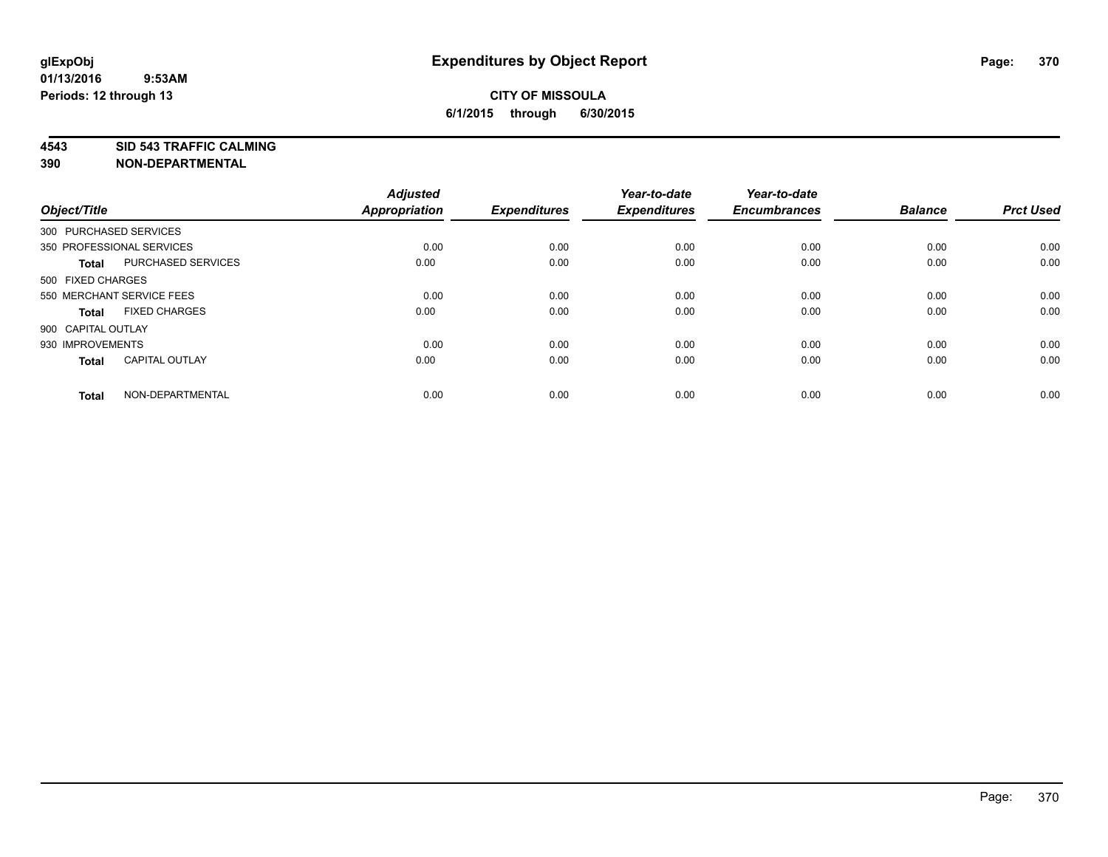**4543 SID 543 TRAFFIC CALMING**

| Object/Title           |                           | <b>Adjusted</b><br>Appropriation | <b>Expenditures</b> | Year-to-date<br><b>Expenditures</b> | Year-to-date<br><b>Encumbrances</b> | <b>Balance</b> | <b>Prct Used</b> |
|------------------------|---------------------------|----------------------------------|---------------------|-------------------------------------|-------------------------------------|----------------|------------------|
| 300 PURCHASED SERVICES |                           |                                  |                     |                                     |                                     |                |                  |
|                        | 350 PROFESSIONAL SERVICES | 0.00                             | 0.00                | 0.00                                | 0.00                                | 0.00           | 0.00             |
| <b>Total</b>           | PURCHASED SERVICES        | 0.00                             | 0.00                | 0.00                                | 0.00                                | 0.00           | 0.00             |
| 500 FIXED CHARGES      |                           |                                  |                     |                                     |                                     |                |                  |
|                        | 550 MERCHANT SERVICE FEES | 0.00                             | 0.00                | 0.00                                | 0.00                                | 0.00           | 0.00             |
| Total                  | <b>FIXED CHARGES</b>      | 0.00                             | 0.00                | 0.00                                | 0.00                                | 0.00           | 0.00             |
| 900 CAPITAL OUTLAY     |                           |                                  |                     |                                     |                                     |                |                  |
| 930 IMPROVEMENTS       |                           | 0.00                             | 0.00                | 0.00                                | 0.00                                | 0.00           | 0.00             |
| Total                  | <b>CAPITAL OUTLAY</b>     | 0.00                             | 0.00                | 0.00                                | 0.00                                | 0.00           | 0.00             |
| <b>Total</b>           | NON-DEPARTMENTAL          | 0.00                             | 0.00                | 0.00                                | 0.00                                | 0.00           | 0.00             |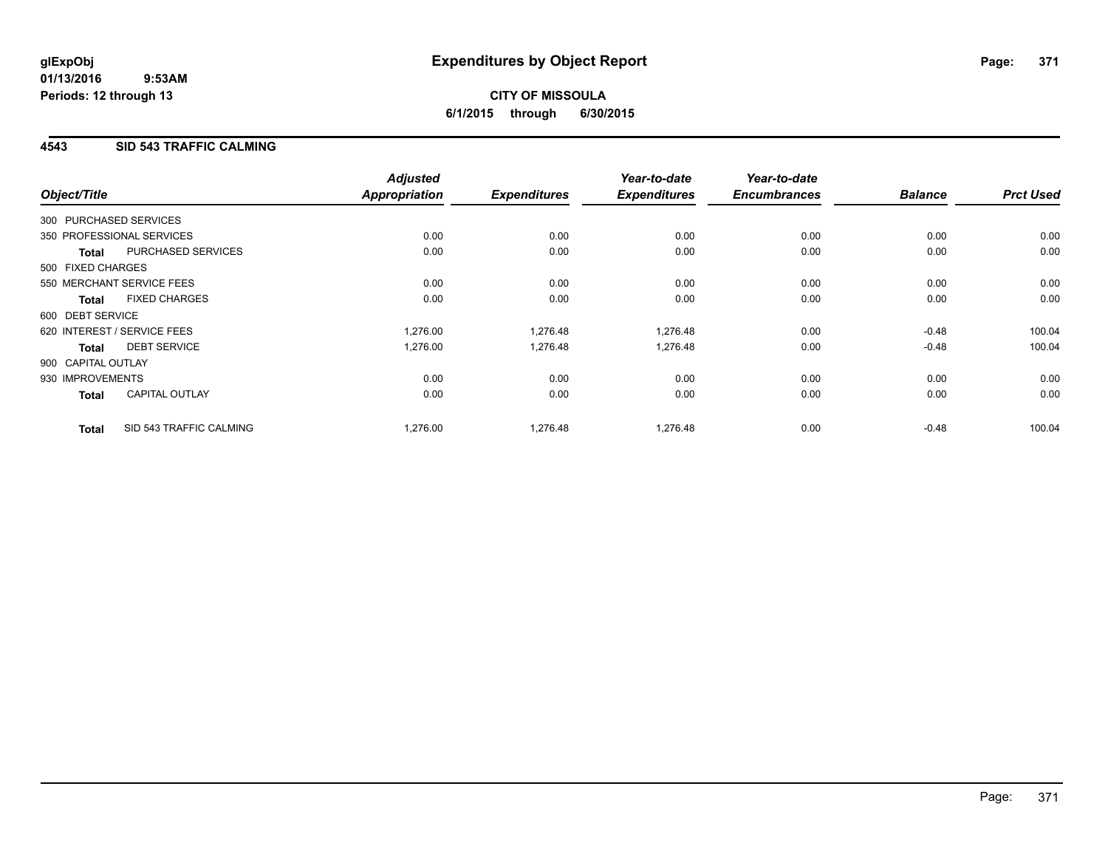## **4543 SID 543 TRAFFIC CALMING**

|                    |                             | <b>Adjusted</b>      |                     | Year-to-date        | Year-to-date        |                |                  |
|--------------------|-----------------------------|----------------------|---------------------|---------------------|---------------------|----------------|------------------|
| Object/Title       |                             | <b>Appropriation</b> | <b>Expenditures</b> | <b>Expenditures</b> | <b>Encumbrances</b> | <b>Balance</b> | <b>Prct Used</b> |
|                    | 300 PURCHASED SERVICES      |                      |                     |                     |                     |                |                  |
|                    | 350 PROFESSIONAL SERVICES   | 0.00                 | 0.00                | 0.00                | 0.00                | 0.00           | 0.00             |
| <b>Total</b>       | PURCHASED SERVICES          | 0.00                 | 0.00                | 0.00                | 0.00                | 0.00           | 0.00             |
| 500 FIXED CHARGES  |                             |                      |                     |                     |                     |                |                  |
|                    | 550 MERCHANT SERVICE FEES   | 0.00                 | 0.00                | 0.00                | 0.00                | 0.00           | 0.00             |
| <b>Total</b>       | <b>FIXED CHARGES</b>        | 0.00                 | 0.00                | 0.00                | 0.00                | 0.00           | 0.00             |
| 600 DEBT SERVICE   |                             |                      |                     |                     |                     |                |                  |
|                    | 620 INTEREST / SERVICE FEES | 1,276.00             | 1,276.48            | 1,276.48            | 0.00                | $-0.48$        | 100.04           |
| <b>Total</b>       | <b>DEBT SERVICE</b>         | 1,276.00             | 1,276.48            | 1,276.48            | 0.00                | $-0.48$        | 100.04           |
| 900 CAPITAL OUTLAY |                             |                      |                     |                     |                     |                |                  |
| 930 IMPROVEMENTS   |                             | 0.00                 | 0.00                | 0.00                | 0.00                | 0.00           | 0.00             |
| <b>Total</b>       | <b>CAPITAL OUTLAY</b>       | 0.00                 | 0.00                | 0.00                | 0.00                | 0.00           | 0.00             |
| <b>Total</b>       | SID 543 TRAFFIC CALMING     | 1,276.00             | 1,276.48            | 1,276.48            | 0.00                | $-0.48$        | 100.04           |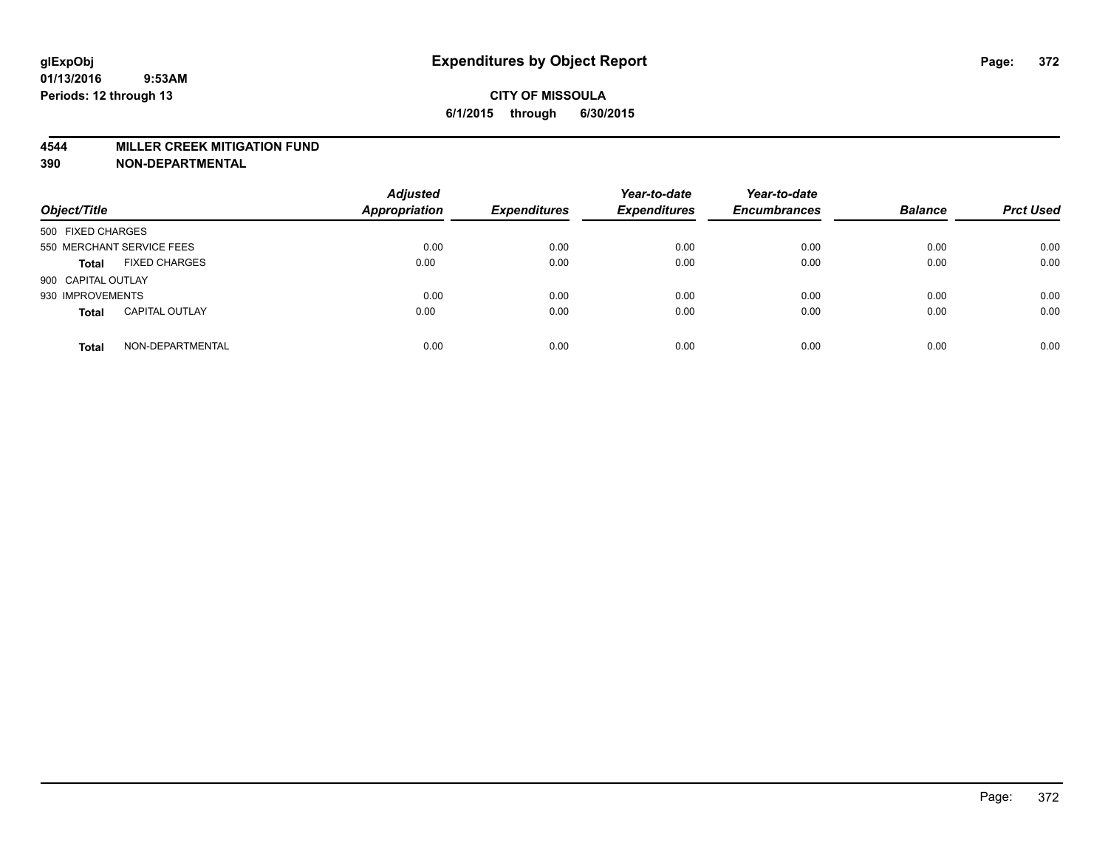#### **4544 MILLER CREEK MITIGATION FUND**

| Object/Title                          | <b>Adjusted</b><br><b>Appropriation</b> | <b>Expenditures</b> | Year-to-date<br><b>Expenditures</b> | Year-to-date<br><b>Encumbrances</b> | <b>Balance</b> | <b>Prct Used</b> |
|---------------------------------------|-----------------------------------------|---------------------|-------------------------------------|-------------------------------------|----------------|------------------|
| 500 FIXED CHARGES                     |                                         |                     |                                     |                                     |                |                  |
| 550 MERCHANT SERVICE FEES             | 0.00                                    | 0.00                | 0.00                                | 0.00                                | 0.00           | 0.00             |
| <b>FIXED CHARGES</b><br><b>Total</b>  | 0.00                                    | 0.00                | 0.00                                | 0.00                                | 0.00           | 0.00             |
| 900 CAPITAL OUTLAY                    |                                         |                     |                                     |                                     |                |                  |
| 930 IMPROVEMENTS                      | 0.00                                    | 0.00                | 0.00                                | 0.00                                | 0.00           | 0.00             |
| <b>CAPITAL OUTLAY</b><br><b>Total</b> | 0.00                                    | 0.00                | 0.00                                | 0.00                                | 0.00           | 0.00             |
| NON-DEPARTMENTAL<br><b>Total</b>      | 0.00                                    | 0.00                | 0.00                                | 0.00                                | 0.00           | 0.00             |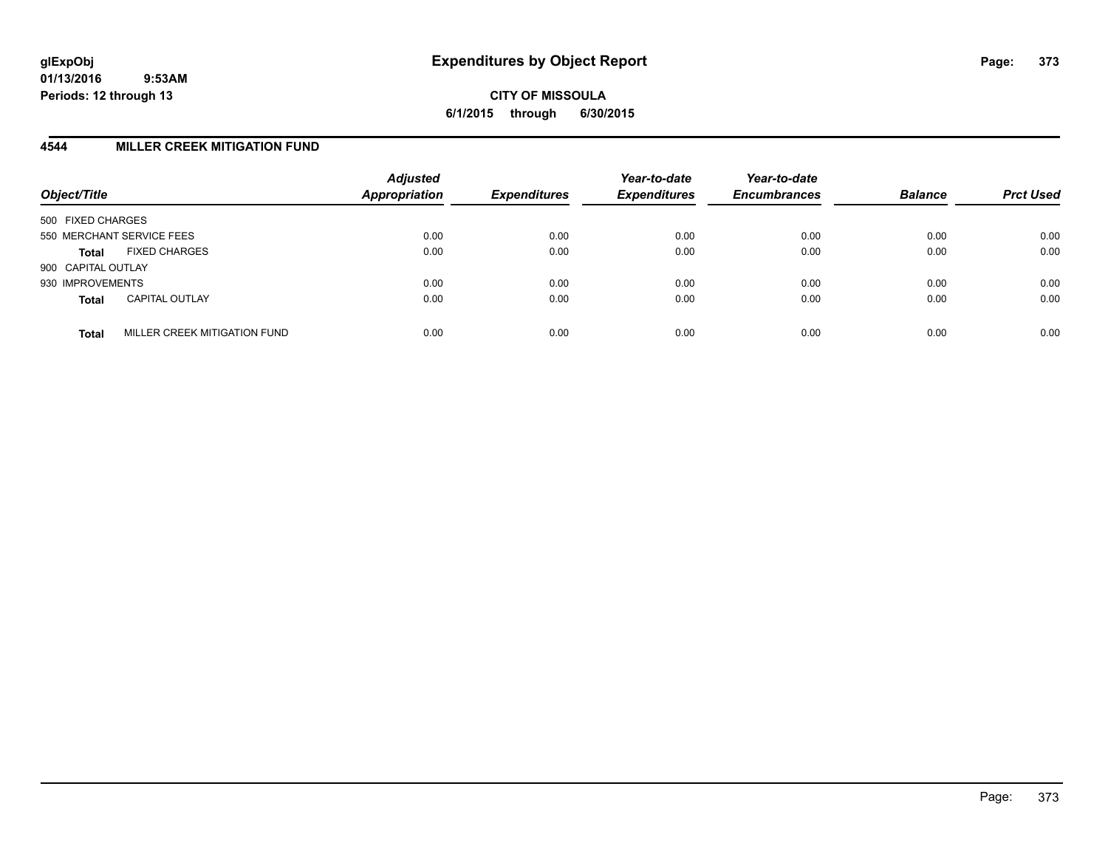**CITY OF MISSOULA 6/1/2015 through 6/30/2015**

### **4544 MILLER CREEK MITIGATION FUND**

| Object/Title                                 | <b>Adjusted</b><br><b>Appropriation</b> | <b>Expenditures</b> | Year-to-date<br><b>Expenditures</b> | Year-to-date<br><b>Encumbrances</b> | <b>Balance</b> | <b>Prct Used</b> |
|----------------------------------------------|-----------------------------------------|---------------------|-------------------------------------|-------------------------------------|----------------|------------------|
| 500 FIXED CHARGES                            |                                         |                     |                                     |                                     |                |                  |
| 550 MERCHANT SERVICE FEES                    | 0.00                                    | 0.00                | 0.00                                | 0.00                                | 0.00           | 0.00             |
| <b>FIXED CHARGES</b><br><b>Total</b>         | 0.00                                    | 0.00                | 0.00                                | 0.00                                | 0.00           | 0.00             |
| 900 CAPITAL OUTLAY                           |                                         |                     |                                     |                                     |                |                  |
| 930 IMPROVEMENTS                             | 0.00                                    | 0.00                | 0.00                                | 0.00                                | 0.00           | 0.00             |
| <b>CAPITAL OUTLAY</b><br><b>Total</b>        | 0.00                                    | 0.00                | 0.00                                | 0.00                                | 0.00           | 0.00             |
| MILLER CREEK MITIGATION FUND<br><b>Total</b> | 0.00                                    | 0.00                | 0.00                                | 0.00                                | 0.00           | 0.00             |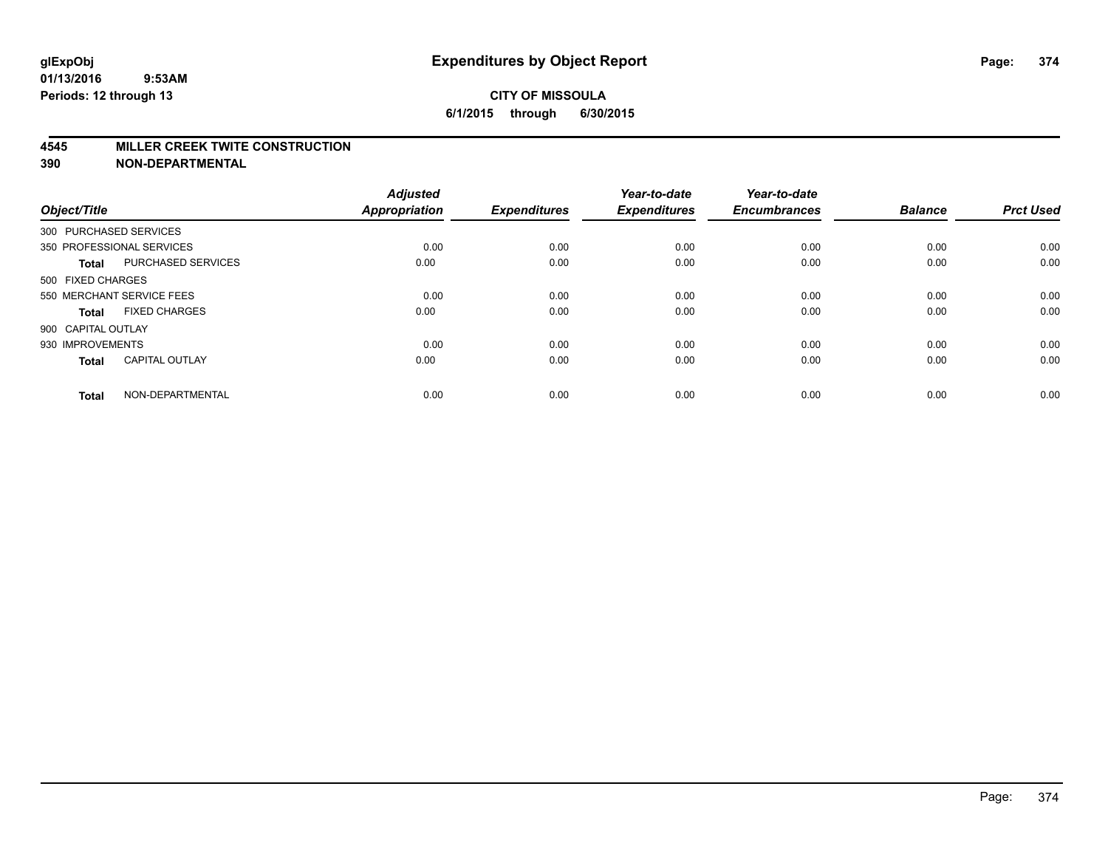### **CITY OF MISSOULA 6/1/2015 through 6/30/2015**

#### **4545 MILLER CREEK TWITE CONSTRUCTION**

| Object/Title       |                           | <b>Adjusted</b><br><b>Appropriation</b> | <b>Expenditures</b> | Year-to-date<br><b>Expenditures</b> | Year-to-date<br><b>Encumbrances</b> | <b>Balance</b> | <b>Prct Used</b> |
|--------------------|---------------------------|-----------------------------------------|---------------------|-------------------------------------|-------------------------------------|----------------|------------------|
|                    | 300 PURCHASED SERVICES    |                                         |                     |                                     |                                     |                |                  |
|                    | 350 PROFESSIONAL SERVICES | 0.00                                    | 0.00                | 0.00                                | 0.00                                | 0.00           | 0.00             |
| <b>Total</b>       | <b>PURCHASED SERVICES</b> | 0.00                                    | 0.00                | 0.00                                | 0.00                                | 0.00           | 0.00             |
| 500 FIXED CHARGES  |                           |                                         |                     |                                     |                                     |                |                  |
|                    | 550 MERCHANT SERVICE FEES | 0.00                                    | 0.00                | 0.00                                | 0.00                                | 0.00           | 0.00             |
| Total              | <b>FIXED CHARGES</b>      | 0.00                                    | 0.00                | 0.00                                | 0.00                                | 0.00           | 0.00             |
| 900 CAPITAL OUTLAY |                           |                                         |                     |                                     |                                     |                |                  |
| 930 IMPROVEMENTS   |                           | 0.00                                    | 0.00                | 0.00                                | 0.00                                | 0.00           | 0.00             |
| Total              | <b>CAPITAL OUTLAY</b>     | 0.00                                    | 0.00                | 0.00                                | 0.00                                | 0.00           | 0.00             |
| <b>Total</b>       | NON-DEPARTMENTAL          | 0.00                                    | 0.00                | 0.00                                | 0.00                                | 0.00           | 0.00             |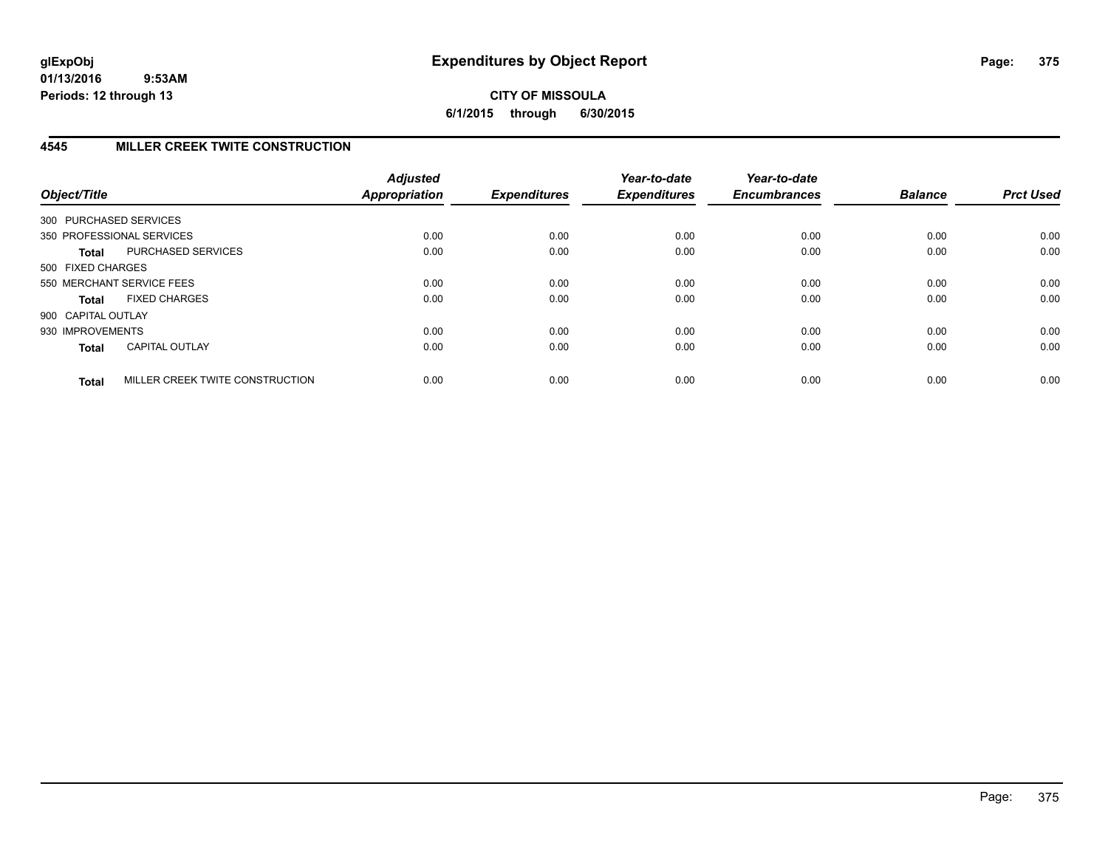# **CITY OF MISSOULA 6/1/2015 through 6/30/2015**

# **4545 MILLER CREEK TWITE CONSTRUCTION**

| Object/Title           |                                 | <b>Adjusted</b><br>Appropriation | <b>Expenditures</b> | Year-to-date<br><b>Expenditures</b> | Year-to-date<br><b>Encumbrances</b> | <b>Balance</b> | <b>Prct Used</b> |
|------------------------|---------------------------------|----------------------------------|---------------------|-------------------------------------|-------------------------------------|----------------|------------------|
| 300 PURCHASED SERVICES |                                 |                                  |                     |                                     |                                     |                |                  |
|                        | 350 PROFESSIONAL SERVICES       | 0.00                             | 0.00                | 0.00                                | 0.00                                | 0.00           | 0.00             |
| Total                  | PURCHASED SERVICES              | 0.00                             | 0.00                | 0.00                                | 0.00                                | 0.00           | 0.00             |
| 500 FIXED CHARGES      |                                 |                                  |                     |                                     |                                     |                |                  |
|                        | 550 MERCHANT SERVICE FEES       | 0.00                             | 0.00                | 0.00                                | 0.00                                | 0.00           | 0.00             |
| Total                  | <b>FIXED CHARGES</b>            | 0.00                             | 0.00                | 0.00                                | 0.00                                | 0.00           | 0.00             |
| 900 CAPITAL OUTLAY     |                                 |                                  |                     |                                     |                                     |                |                  |
| 930 IMPROVEMENTS       |                                 | 0.00                             | 0.00                | 0.00                                | 0.00                                | 0.00           | 0.00             |
| <b>Total</b>           | <b>CAPITAL OUTLAY</b>           | 0.00                             | 0.00                | 0.00                                | 0.00                                | 0.00           | 0.00             |
| <b>Total</b>           | MILLER CREEK TWITE CONSTRUCTION | 0.00                             | 0.00                | 0.00                                | 0.00                                | 0.00           | 0.00             |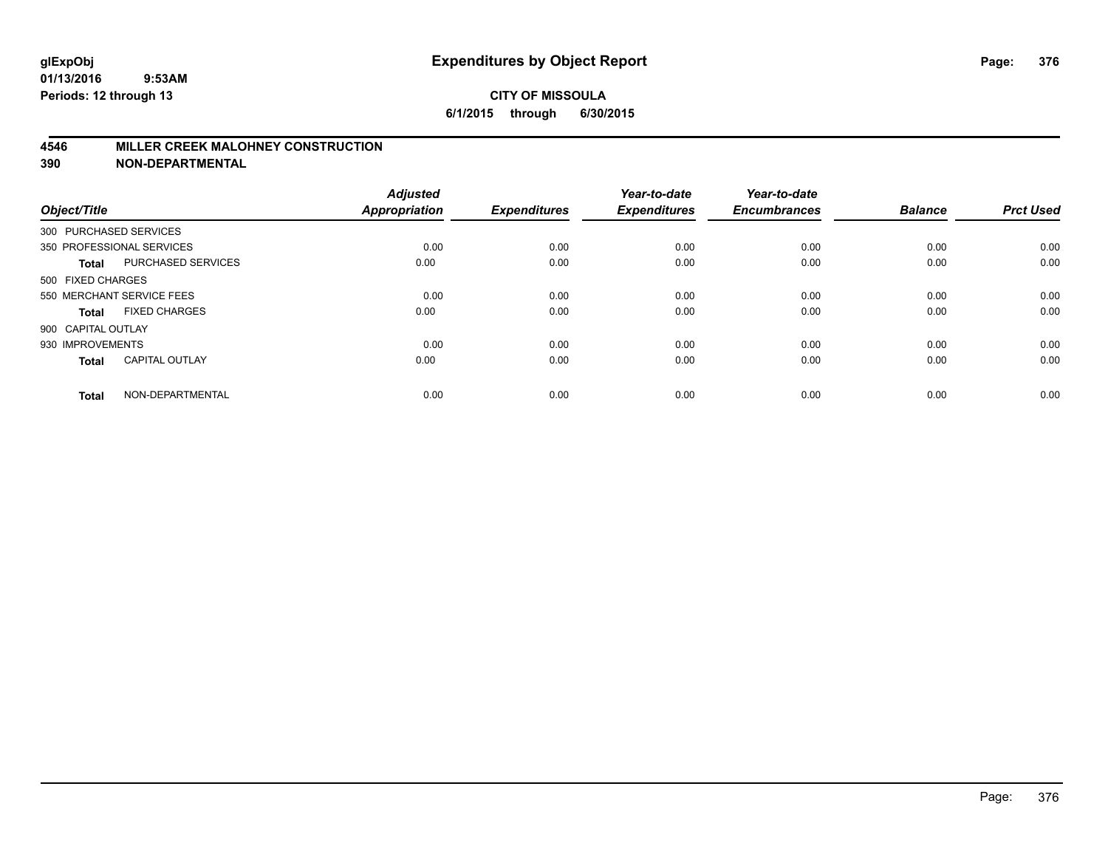### **4546 MILLER CREEK MALOHNEY CONSTRUCTION**

| Object/Title           |                           | <b>Adjusted</b><br><b>Appropriation</b> | <b>Expenditures</b> | Year-to-date<br><b>Expenditures</b> | Year-to-date<br><b>Encumbrances</b> | <b>Balance</b> | <b>Prct Used</b> |
|------------------------|---------------------------|-----------------------------------------|---------------------|-------------------------------------|-------------------------------------|----------------|------------------|
| 300 PURCHASED SERVICES |                           |                                         |                     |                                     |                                     |                |                  |
|                        | 350 PROFESSIONAL SERVICES | 0.00                                    | 0.00                | 0.00                                | 0.00                                | 0.00           | 0.00             |
| <b>Total</b>           | PURCHASED SERVICES        | 0.00                                    | 0.00                | 0.00                                | 0.00                                | 0.00           | 0.00             |
| 500 FIXED CHARGES      |                           |                                         |                     |                                     |                                     |                |                  |
|                        | 550 MERCHANT SERVICE FEES | 0.00                                    | 0.00                | 0.00                                | 0.00                                | 0.00           | 0.00             |
| <b>Total</b>           | <b>FIXED CHARGES</b>      | 0.00                                    | 0.00                | 0.00                                | 0.00                                | 0.00           | 0.00             |
| 900 CAPITAL OUTLAY     |                           |                                         |                     |                                     |                                     |                |                  |
| 930 IMPROVEMENTS       |                           | 0.00                                    | 0.00                | 0.00                                | 0.00                                | 0.00           | 0.00             |
| <b>Total</b>           | <b>CAPITAL OUTLAY</b>     | 0.00                                    | 0.00                | 0.00                                | 0.00                                | 0.00           | 0.00             |
| <b>Total</b>           | NON-DEPARTMENTAL          | 0.00                                    | 0.00                | 0.00                                | 0.00                                | 0.00           | 0.00             |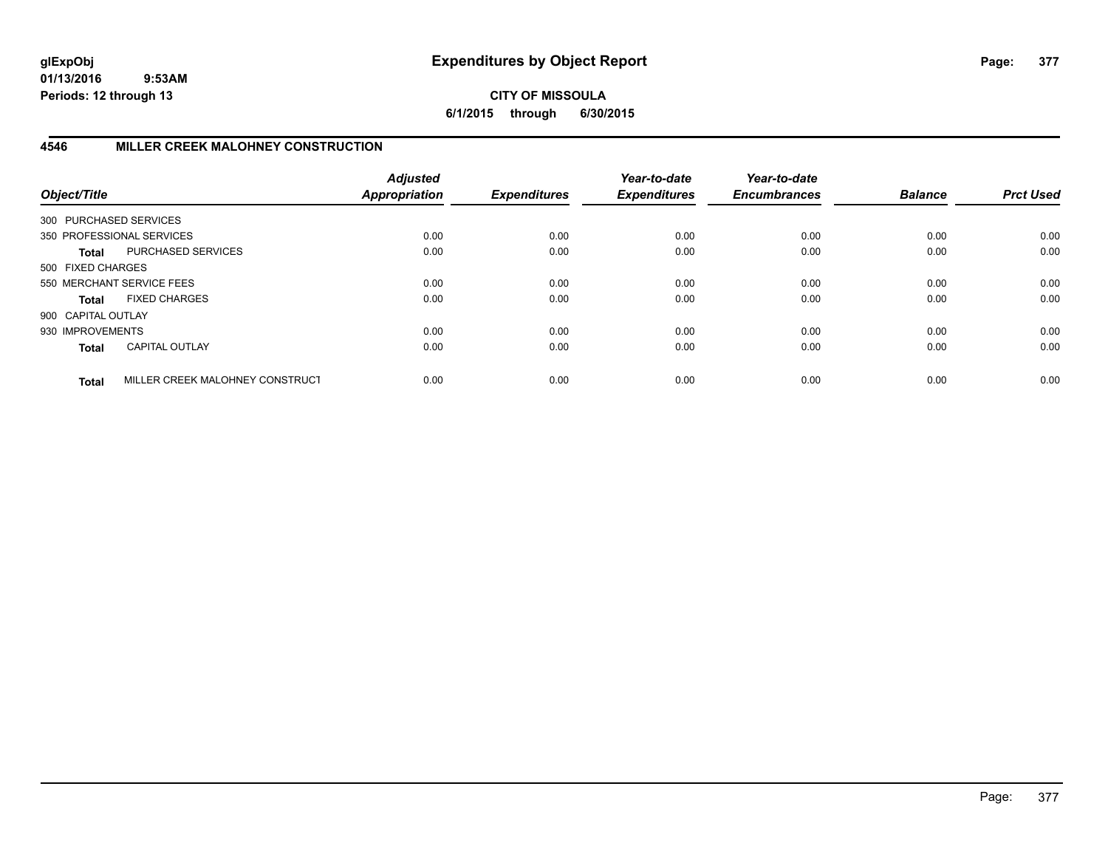**CITY OF MISSOULA 6/1/2015 through 6/30/2015**

# **4546 MILLER CREEK MALOHNEY CONSTRUCTION**

| Object/Title           |                                 | <b>Adjusted</b><br><b>Appropriation</b> | <b>Expenditures</b> | Year-to-date<br><b>Expenditures</b> | Year-to-date<br><b>Encumbrances</b> | <b>Balance</b> | <b>Prct Used</b> |
|------------------------|---------------------------------|-----------------------------------------|---------------------|-------------------------------------|-------------------------------------|----------------|------------------|
| 300 PURCHASED SERVICES |                                 |                                         |                     |                                     |                                     |                |                  |
|                        | 350 PROFESSIONAL SERVICES       | 0.00                                    | 0.00                | 0.00                                | 0.00                                | 0.00           | 0.00             |
| Total                  | PURCHASED SERVICES              | 0.00                                    | 0.00                | 0.00                                | 0.00                                | 0.00           | 0.00             |
| 500 FIXED CHARGES      |                                 |                                         |                     |                                     |                                     |                |                  |
|                        | 550 MERCHANT SERVICE FEES       | 0.00                                    | 0.00                | 0.00                                | 0.00                                | 0.00           | 0.00             |
| <b>Total</b>           | <b>FIXED CHARGES</b>            | 0.00                                    | 0.00                | 0.00                                | 0.00                                | 0.00           | 0.00             |
| 900 CAPITAL OUTLAY     |                                 |                                         |                     |                                     |                                     |                |                  |
| 930 IMPROVEMENTS       |                                 | 0.00                                    | 0.00                | 0.00                                | 0.00                                | 0.00           | 0.00             |
| <b>Total</b>           | <b>CAPITAL OUTLAY</b>           | 0.00                                    | 0.00                | 0.00                                | 0.00                                | 0.00           | 0.00             |
| <b>Total</b>           | MILLER CREEK MALOHNEY CONSTRUCT | 0.00                                    | 0.00                | 0.00                                | 0.00                                | 0.00           | 0.00             |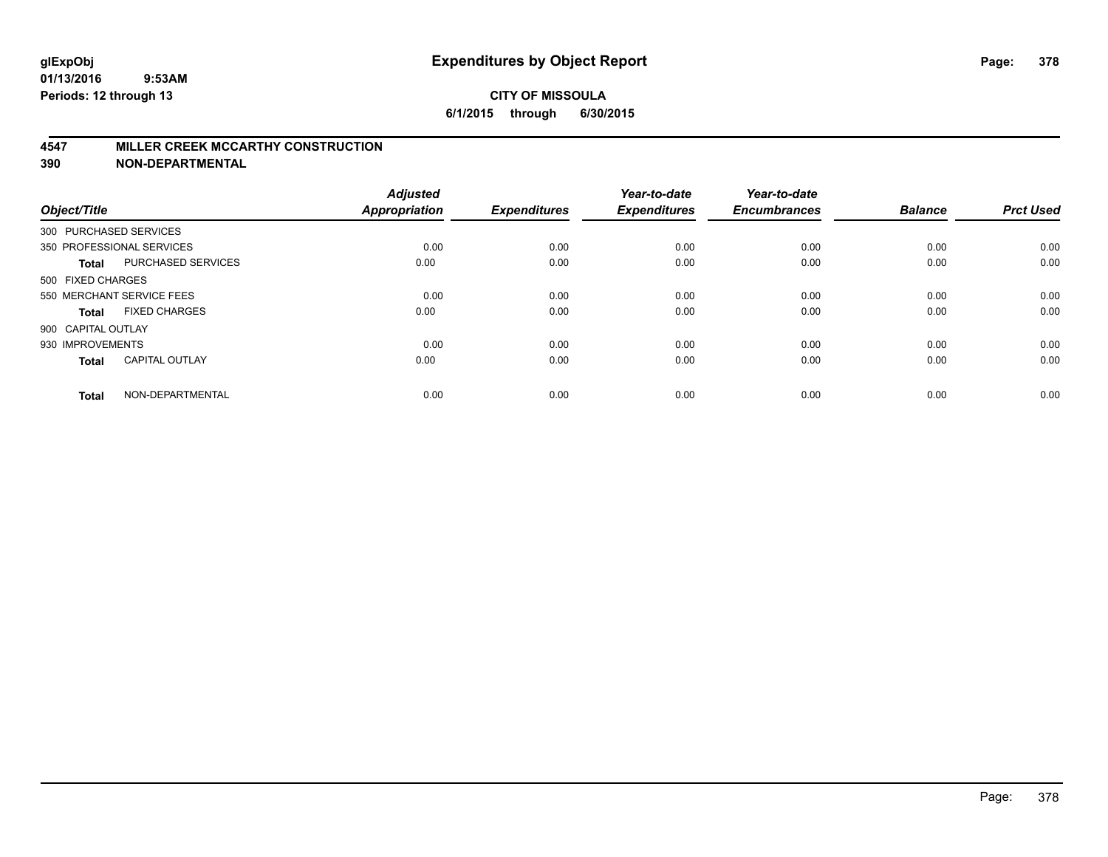#### **4547 MILLER CREEK MCCARTHY CONSTRUCTION**

| Object/Title           |                           | <b>Adjusted</b><br><b>Appropriation</b> | <b>Expenditures</b> | Year-to-date<br><b>Expenditures</b> | Year-to-date<br><b>Encumbrances</b> | <b>Balance</b> | <b>Prct Used</b> |
|------------------------|---------------------------|-----------------------------------------|---------------------|-------------------------------------|-------------------------------------|----------------|------------------|
| 300 PURCHASED SERVICES |                           |                                         |                     |                                     |                                     |                |                  |
|                        | 350 PROFESSIONAL SERVICES | 0.00                                    | 0.00                | 0.00                                | 0.00                                | 0.00           | 0.00             |
| <b>Total</b>           | <b>PURCHASED SERVICES</b> | 0.00                                    | 0.00                | 0.00                                | 0.00                                | 0.00           | 0.00             |
| 500 FIXED CHARGES      |                           |                                         |                     |                                     |                                     |                |                  |
|                        | 550 MERCHANT SERVICE FEES | 0.00                                    | 0.00                | 0.00                                | 0.00                                | 0.00           | 0.00             |
| Total                  | <b>FIXED CHARGES</b>      | 0.00                                    | 0.00                | 0.00                                | 0.00                                | 0.00           | 0.00             |
| 900 CAPITAL OUTLAY     |                           |                                         |                     |                                     |                                     |                |                  |
| 930 IMPROVEMENTS       |                           | 0.00                                    | 0.00                | 0.00                                | 0.00                                | 0.00           | 0.00             |
| Total                  | <b>CAPITAL OUTLAY</b>     | 0.00                                    | 0.00                | 0.00                                | 0.00                                | 0.00           | 0.00             |
| <b>Total</b>           | NON-DEPARTMENTAL          | 0.00                                    | 0.00                | 0.00                                | 0.00                                | 0.00           | 0.00             |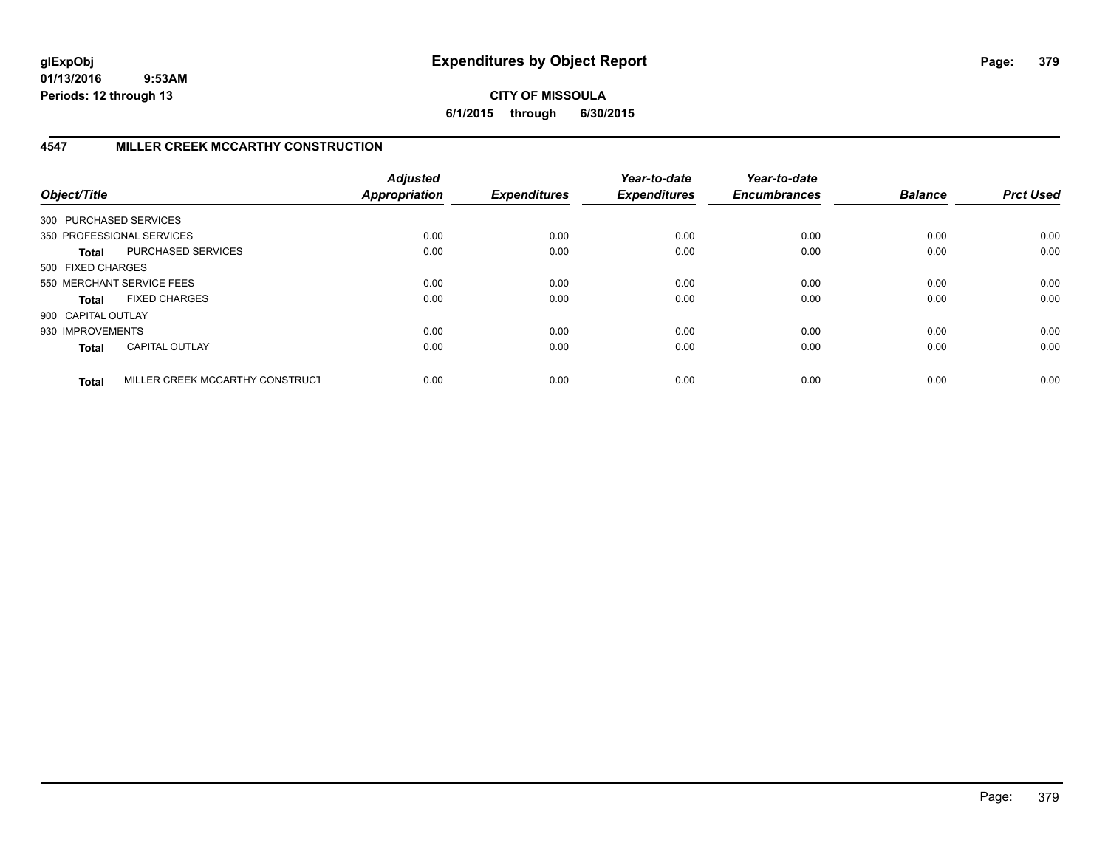**CITY OF MISSOULA 6/1/2015 through 6/30/2015**

# **4547 MILLER CREEK MCCARTHY CONSTRUCTION**

| Object/Title           |                                 | <b>Adjusted</b><br><b>Appropriation</b> | <b>Expenditures</b> | Year-to-date<br><b>Expenditures</b> | Year-to-date<br><b>Encumbrances</b> | <b>Balance</b> | <b>Prct Used</b> |
|------------------------|---------------------------------|-----------------------------------------|---------------------|-------------------------------------|-------------------------------------|----------------|------------------|
| 300 PURCHASED SERVICES |                                 |                                         |                     |                                     |                                     |                |                  |
|                        | 350 PROFESSIONAL SERVICES       | 0.00                                    | 0.00                | 0.00                                | 0.00                                | 0.00           | 0.00             |
| <b>Total</b>           | PURCHASED SERVICES              | 0.00                                    | 0.00                | 0.00                                | 0.00                                | 0.00           | 0.00             |
| 500 FIXED CHARGES      |                                 |                                         |                     |                                     |                                     |                |                  |
|                        | 550 MERCHANT SERVICE FEES       | 0.00                                    | 0.00                | 0.00                                | 0.00                                | 0.00           | 0.00             |
| <b>Total</b>           | <b>FIXED CHARGES</b>            | 0.00                                    | 0.00                | 0.00                                | 0.00                                | 0.00           | 0.00             |
| 900 CAPITAL OUTLAY     |                                 |                                         |                     |                                     |                                     |                |                  |
| 930 IMPROVEMENTS       |                                 | 0.00                                    | 0.00                | 0.00                                | 0.00                                | 0.00           | 0.00             |
| <b>Total</b>           | <b>CAPITAL OUTLAY</b>           | 0.00                                    | 0.00                | 0.00                                | 0.00                                | 0.00           | 0.00             |
| <b>Total</b>           | MILLER CREEK MCCARTHY CONSTRUCT | 0.00                                    | 0.00                | 0.00                                | 0.00                                | 0.00           | 0.00             |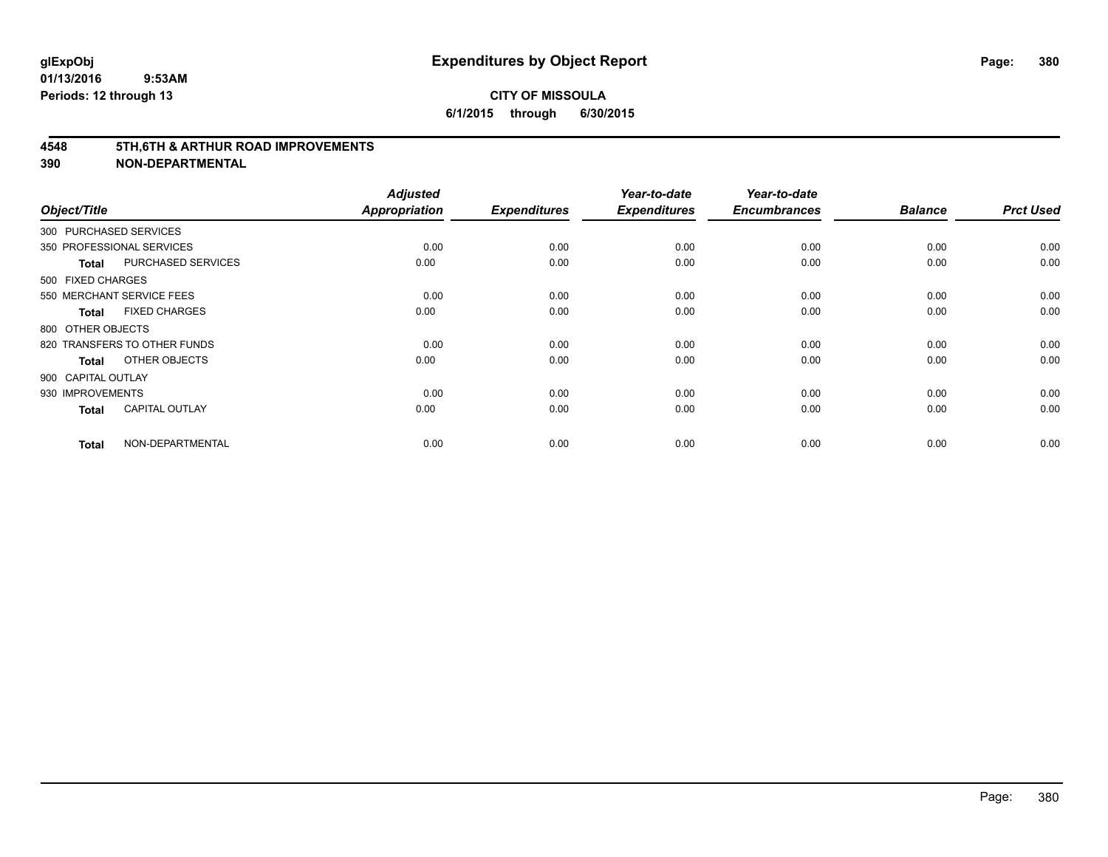#### **4548 5TH,6TH & ARTHUR ROAD IMPROVEMENTS**

| Object/Title           |                              | <b>Adjusted</b><br><b>Appropriation</b> | <b>Expenditures</b> | Year-to-date<br><b>Expenditures</b> | Year-to-date<br><b>Encumbrances</b> | <b>Balance</b> | <b>Prct Used</b> |
|------------------------|------------------------------|-----------------------------------------|---------------------|-------------------------------------|-------------------------------------|----------------|------------------|
| 300 PURCHASED SERVICES |                              |                                         |                     |                                     |                                     |                |                  |
|                        | 350 PROFESSIONAL SERVICES    | 0.00                                    | 0.00                | 0.00                                | 0.00                                | 0.00           | 0.00             |
| <b>Total</b>           | <b>PURCHASED SERVICES</b>    | 0.00                                    | 0.00                | 0.00                                | 0.00                                | 0.00           | 0.00             |
| 500 FIXED CHARGES      |                              |                                         |                     |                                     |                                     |                |                  |
|                        | 550 MERCHANT SERVICE FEES    | 0.00                                    | 0.00                | 0.00                                | 0.00                                | 0.00           | 0.00             |
| <b>Total</b>           | <b>FIXED CHARGES</b>         | 0.00                                    | 0.00                | 0.00                                | 0.00                                | 0.00           | 0.00             |
| 800 OTHER OBJECTS      |                              |                                         |                     |                                     |                                     |                |                  |
|                        | 820 TRANSFERS TO OTHER FUNDS | 0.00                                    | 0.00                | 0.00                                | 0.00                                | 0.00           | 0.00             |
| Total                  | OTHER OBJECTS                | 0.00                                    | 0.00                | 0.00                                | 0.00                                | 0.00           | 0.00             |
| 900 CAPITAL OUTLAY     |                              |                                         |                     |                                     |                                     |                |                  |
| 930 IMPROVEMENTS       |                              | 0.00                                    | 0.00                | 0.00                                | 0.00                                | 0.00           | 0.00             |
| <b>Total</b>           | <b>CAPITAL OUTLAY</b>        | 0.00                                    | 0.00                | 0.00                                | 0.00                                | 0.00           | 0.00             |
| <b>Total</b>           | NON-DEPARTMENTAL             | 0.00                                    | 0.00                | 0.00                                | 0.00                                | 0.00           | 0.00             |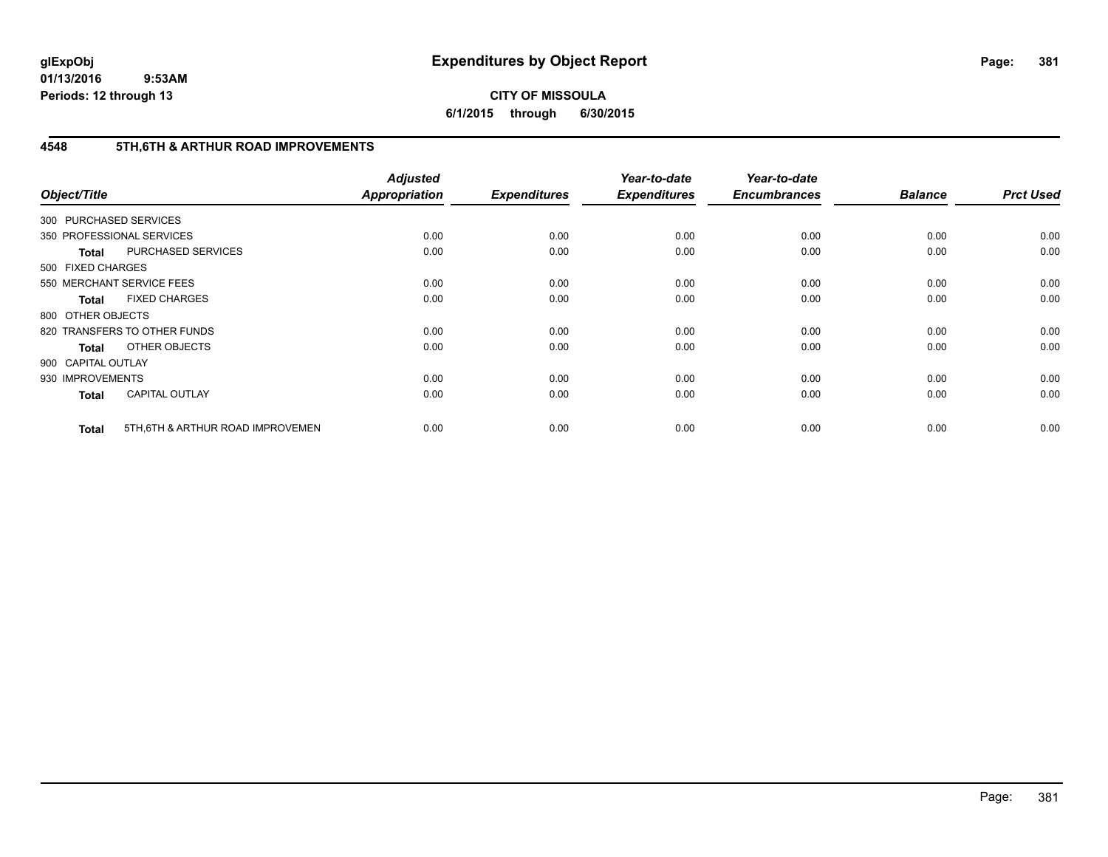# **CITY OF MISSOULA 6/1/2015 through 6/30/2015**

# **4548 5TH,6TH & ARTHUR ROAD IMPROVEMENTS**

| Object/Title           |                                   | <b>Adjusted</b><br><b>Appropriation</b> | <b>Expenditures</b> | Year-to-date<br><b>Expenditures</b> | Year-to-date<br><b>Encumbrances</b> | <b>Balance</b> | <b>Prct Used</b> |
|------------------------|-----------------------------------|-----------------------------------------|---------------------|-------------------------------------|-------------------------------------|----------------|------------------|
| 300 PURCHASED SERVICES |                                   |                                         |                     |                                     |                                     |                |                  |
|                        | 350 PROFESSIONAL SERVICES         | 0.00                                    | 0.00                | 0.00                                | 0.00                                | 0.00           | 0.00             |
| <b>Total</b>           | PURCHASED SERVICES                | 0.00                                    | 0.00                | 0.00                                | 0.00                                | 0.00           | 0.00             |
| 500 FIXED CHARGES      |                                   |                                         |                     |                                     |                                     |                |                  |
|                        | 550 MERCHANT SERVICE FEES         | 0.00                                    | 0.00                | 0.00                                | 0.00                                | 0.00           | 0.00             |
| <b>Total</b>           | <b>FIXED CHARGES</b>              | 0.00                                    | 0.00                | 0.00                                | 0.00                                | 0.00           | 0.00             |
| 800 OTHER OBJECTS      |                                   |                                         |                     |                                     |                                     |                |                  |
|                        | 820 TRANSFERS TO OTHER FUNDS      | 0.00                                    | 0.00                | 0.00                                | 0.00                                | 0.00           | 0.00             |
| <b>Total</b>           | OTHER OBJECTS                     | 0.00                                    | 0.00                | 0.00                                | 0.00                                | 0.00           | 0.00             |
| 900 CAPITAL OUTLAY     |                                   |                                         |                     |                                     |                                     |                |                  |
| 930 IMPROVEMENTS       |                                   | 0.00                                    | 0.00                | 0.00                                | 0.00                                | 0.00           | 0.00             |
| <b>Total</b>           | <b>CAPITAL OUTLAY</b>             | 0.00                                    | 0.00                | 0.00                                | 0.00                                | 0.00           | 0.00             |
| <b>Total</b>           | 5TH, 6TH & ARTHUR ROAD IMPROVEMEN | 0.00                                    | 0.00                | 0.00                                | 0.00                                | 0.00           | 0.00             |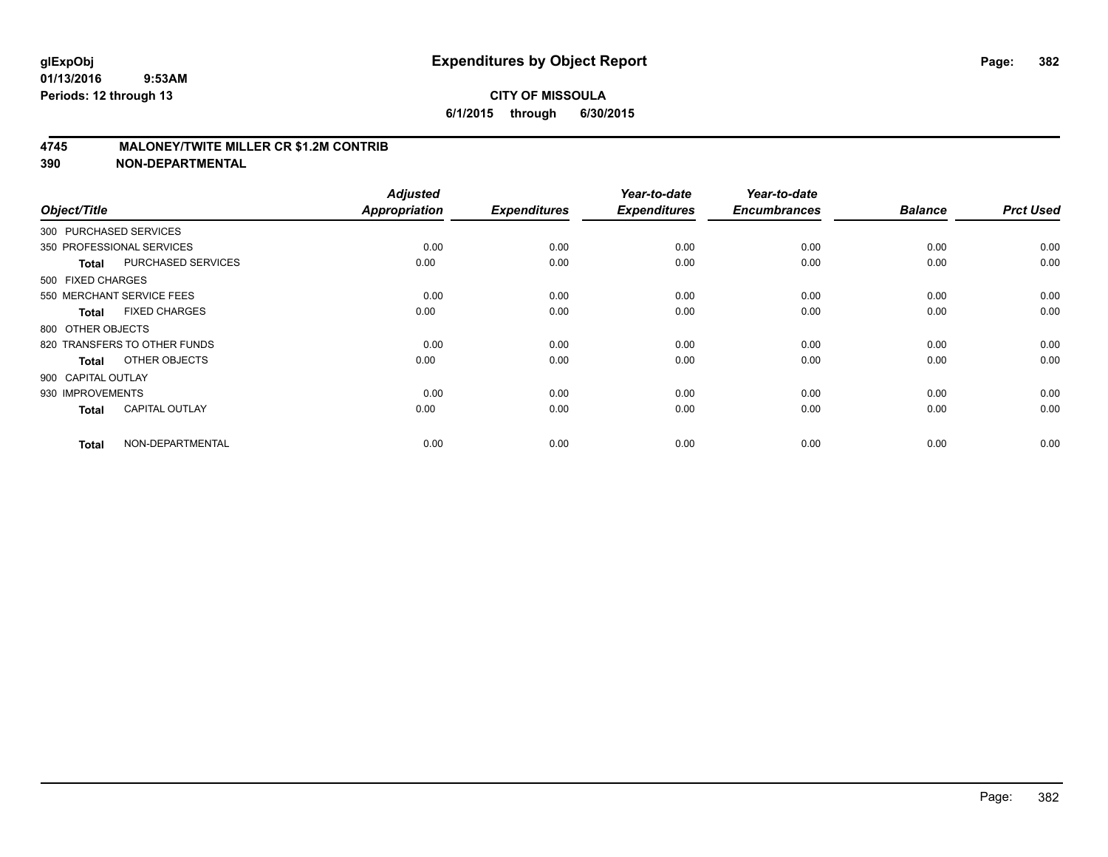### **4745 MALONEY/TWITE MILLER CR \$1.2M CONTRIB**

| Object/Title           |                              | <b>Adjusted</b><br><b>Appropriation</b> | <b>Expenditures</b> | Year-to-date<br><b>Expenditures</b> | Year-to-date<br><b>Encumbrances</b> | <b>Balance</b> | <b>Prct Used</b> |
|------------------------|------------------------------|-----------------------------------------|---------------------|-------------------------------------|-------------------------------------|----------------|------------------|
| 300 PURCHASED SERVICES |                              |                                         |                     |                                     |                                     |                |                  |
|                        | 350 PROFESSIONAL SERVICES    | 0.00                                    | 0.00                | 0.00                                | 0.00                                | 0.00           | 0.00             |
| <b>Total</b>           | PURCHASED SERVICES           | 0.00                                    | 0.00                | 0.00                                | 0.00                                | 0.00           | 0.00             |
| 500 FIXED CHARGES      |                              |                                         |                     |                                     |                                     |                |                  |
|                        | 550 MERCHANT SERVICE FEES    | 0.00                                    | 0.00                | 0.00                                | 0.00                                | 0.00           | 0.00             |
| <b>Total</b>           | <b>FIXED CHARGES</b>         | 0.00                                    | 0.00                | 0.00                                | 0.00                                | 0.00           | 0.00             |
| 800 OTHER OBJECTS      |                              |                                         |                     |                                     |                                     |                |                  |
|                        | 820 TRANSFERS TO OTHER FUNDS | 0.00                                    | 0.00                | 0.00                                | 0.00                                | 0.00           | 0.00             |
| <b>Total</b>           | OTHER OBJECTS                | 0.00                                    | 0.00                | 0.00                                | 0.00                                | 0.00           | 0.00             |
| 900 CAPITAL OUTLAY     |                              |                                         |                     |                                     |                                     |                |                  |
| 930 IMPROVEMENTS       |                              | 0.00                                    | 0.00                | 0.00                                | 0.00                                | 0.00           | 0.00             |
| <b>Total</b>           | <b>CAPITAL OUTLAY</b>        | 0.00                                    | 0.00                | 0.00                                | 0.00                                | 0.00           | 0.00             |
| <b>Total</b>           | NON-DEPARTMENTAL             | 0.00                                    | 0.00                | 0.00                                | 0.00                                | 0.00           | 0.00             |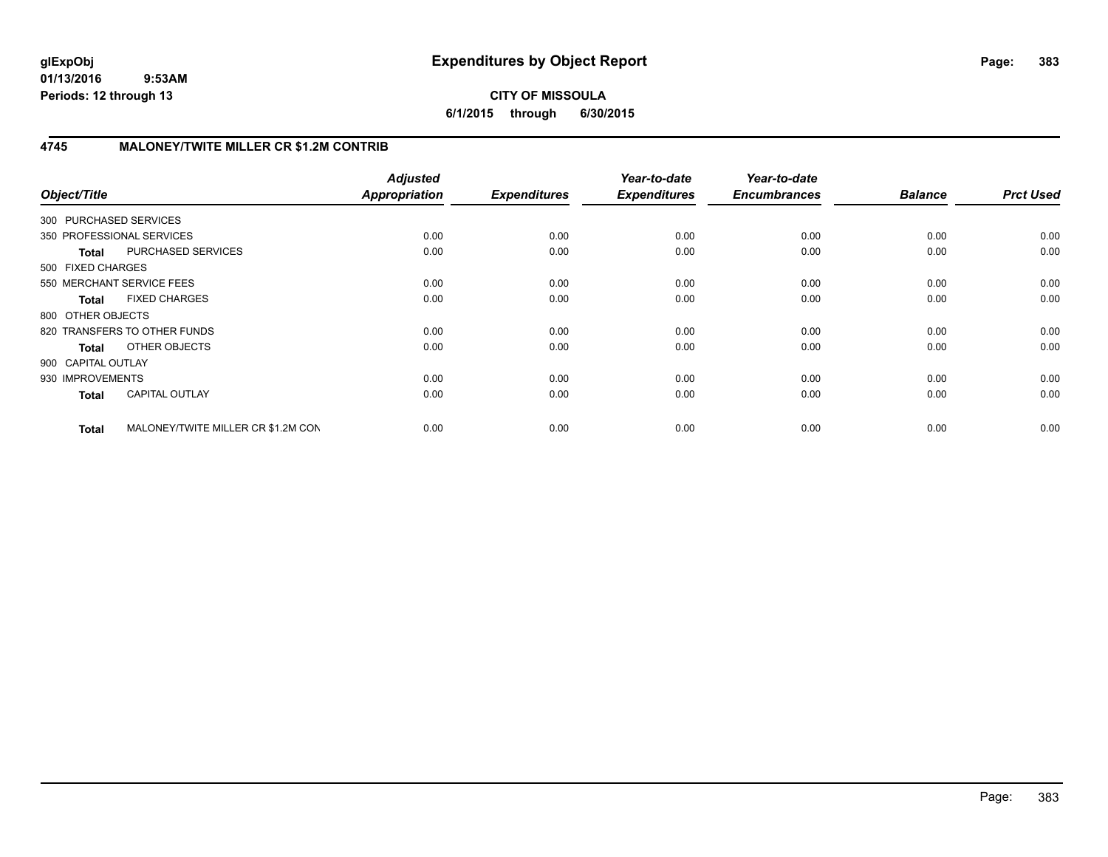**CITY OF MISSOULA 6/1/2015 through 6/30/2015**

# **4745 MALONEY/TWITE MILLER CR \$1.2M CONTRIB**

| Object/Title              |                                    | <b>Adjusted</b><br><b>Appropriation</b> | <b>Expenditures</b> | Year-to-date<br><b>Expenditures</b> | Year-to-date<br><b>Encumbrances</b> | <b>Balance</b> | <b>Prct Used</b> |
|---------------------------|------------------------------------|-----------------------------------------|---------------------|-------------------------------------|-------------------------------------|----------------|------------------|
| 300 PURCHASED SERVICES    |                                    |                                         |                     |                                     |                                     |                |                  |
| 350 PROFESSIONAL SERVICES |                                    | 0.00                                    | 0.00                | 0.00                                | 0.00                                | 0.00           | 0.00             |
| <b>Total</b>              | PURCHASED SERVICES                 | 0.00                                    | 0.00                | 0.00                                | 0.00                                | 0.00           | 0.00             |
| 500 FIXED CHARGES         |                                    |                                         |                     |                                     |                                     |                |                  |
| 550 MERCHANT SERVICE FEES |                                    | 0.00                                    | 0.00                | 0.00                                | 0.00                                | 0.00           | 0.00             |
| <b>Total</b>              | <b>FIXED CHARGES</b>               | 0.00                                    | 0.00                | 0.00                                | 0.00                                | 0.00           | 0.00             |
| 800 OTHER OBJECTS         |                                    |                                         |                     |                                     |                                     |                |                  |
|                           | 820 TRANSFERS TO OTHER FUNDS       | 0.00                                    | 0.00                | 0.00                                | 0.00                                | 0.00           | 0.00             |
| Total                     | OTHER OBJECTS                      | 0.00                                    | 0.00                | 0.00                                | 0.00                                | 0.00           | 0.00             |
| 900 CAPITAL OUTLAY        |                                    |                                         |                     |                                     |                                     |                |                  |
| 930 IMPROVEMENTS          |                                    | 0.00                                    | 0.00                | 0.00                                | 0.00                                | 0.00           | 0.00             |
| <b>Total</b>              | <b>CAPITAL OUTLAY</b>              | 0.00                                    | 0.00                | 0.00                                | 0.00                                | 0.00           | 0.00             |
| <b>Total</b>              | MALONEY/TWITE MILLER CR \$1.2M CON | 0.00                                    | 0.00                | 0.00                                | 0.00                                | 0.00           | 0.00             |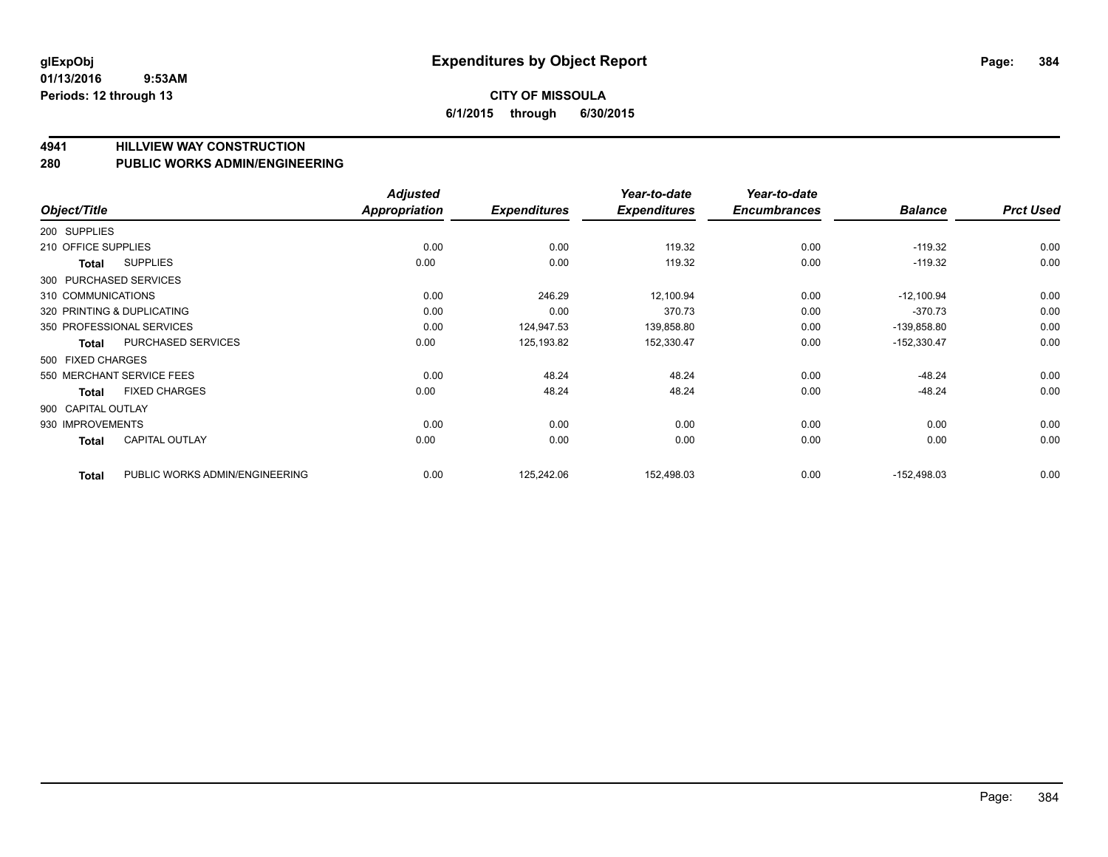#### **4941 HILLVIEW WAY CONSTRUCTION**

#### **280 PUBLIC WORKS ADMIN/ENGINEERING**

| Object/Title        |                                | <b>Adjusted</b><br>Appropriation | <b>Expenditures</b> | Year-to-date<br><b>Expenditures</b> | Year-to-date<br><b>Encumbrances</b> | <b>Balance</b> | <b>Prct Used</b> |
|---------------------|--------------------------------|----------------------------------|---------------------|-------------------------------------|-------------------------------------|----------------|------------------|
| 200 SUPPLIES        |                                |                                  |                     |                                     |                                     |                |                  |
| 210 OFFICE SUPPLIES |                                | 0.00                             | 0.00                | 119.32                              | 0.00                                | $-119.32$      | 0.00             |
| Total               | <b>SUPPLIES</b>                | 0.00                             | 0.00                | 119.32                              | 0.00                                | $-119.32$      | 0.00             |
|                     | 300 PURCHASED SERVICES         |                                  |                     |                                     |                                     |                |                  |
| 310 COMMUNICATIONS  |                                | 0.00                             | 246.29              | 12,100.94                           | 0.00                                | $-12,100.94$   | 0.00             |
|                     | 320 PRINTING & DUPLICATING     | 0.00                             | 0.00                | 370.73                              | 0.00                                | $-370.73$      | 0.00             |
|                     | 350 PROFESSIONAL SERVICES      | 0.00                             | 124,947.53          | 139,858.80                          | 0.00                                | -139,858.80    | 0.00             |
| Total               | PURCHASED SERVICES             | 0.00                             | 125,193.82          | 152,330.47                          | 0.00                                | $-152,330.47$  | 0.00             |
| 500 FIXED CHARGES   |                                |                                  |                     |                                     |                                     |                |                  |
|                     | 550 MERCHANT SERVICE FEES      | 0.00                             | 48.24               | 48.24                               | 0.00                                | $-48.24$       | 0.00             |
| Total               | <b>FIXED CHARGES</b>           | 0.00                             | 48.24               | 48.24                               | 0.00                                | $-48.24$       | 0.00             |
| 900 CAPITAL OUTLAY  |                                |                                  |                     |                                     |                                     |                |                  |
| 930 IMPROVEMENTS    |                                | 0.00                             | 0.00                | 0.00                                | 0.00                                | 0.00           | 0.00             |
| Total               | <b>CAPITAL OUTLAY</b>          | 0.00                             | 0.00                | 0.00                                | 0.00                                | 0.00           | 0.00             |
| <b>Total</b>        | PUBLIC WORKS ADMIN/ENGINEERING | 0.00                             | 125,242.06          | 152,498.03                          | 0.00                                | $-152,498.03$  | 0.00             |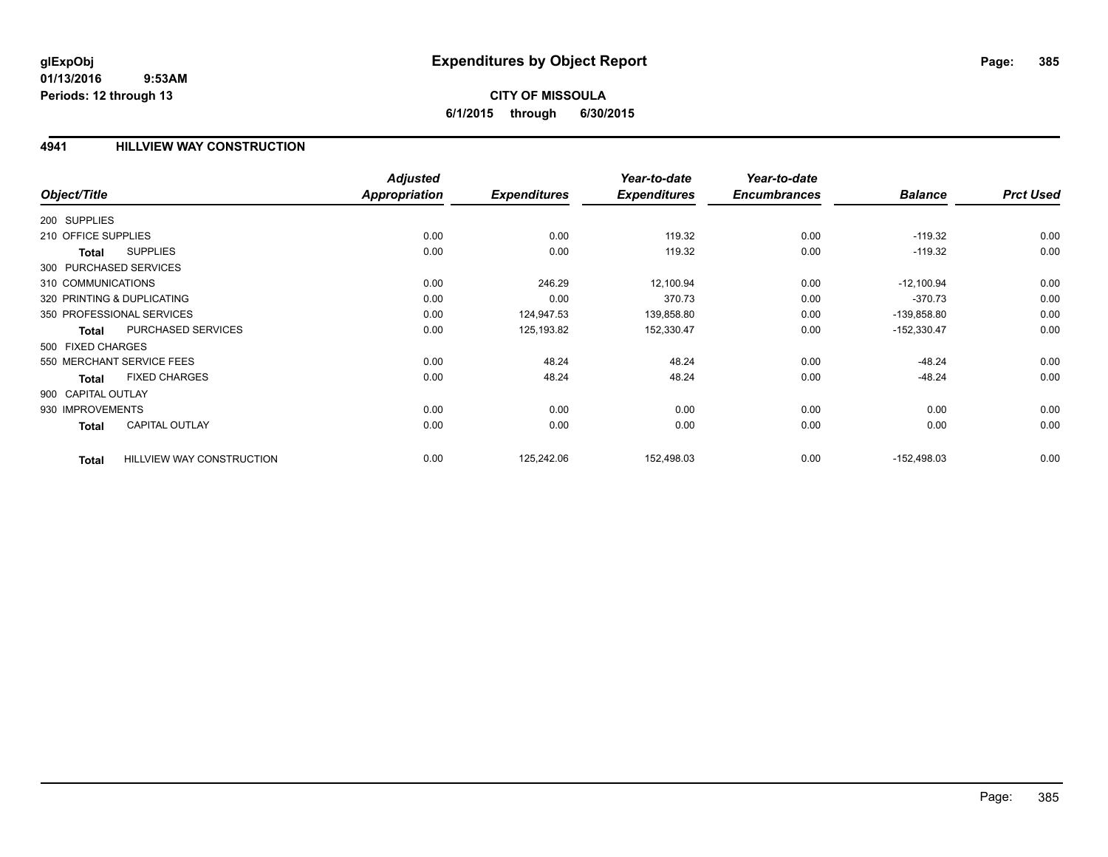### **4941 HILLVIEW WAY CONSTRUCTION**

| Object/Title           |                                  | <b>Adjusted</b><br><b>Appropriation</b> | <b>Expenditures</b> | Year-to-date<br><b>Expenditures</b> | Year-to-date<br><b>Encumbrances</b> | <b>Balance</b> | <b>Prct Used</b> |
|------------------------|----------------------------------|-----------------------------------------|---------------------|-------------------------------------|-------------------------------------|----------------|------------------|
| 200 SUPPLIES           |                                  |                                         |                     |                                     |                                     |                |                  |
| 210 OFFICE SUPPLIES    |                                  | 0.00                                    | 0.00                | 119.32                              | 0.00                                | $-119.32$      | 0.00             |
| <b>Total</b>           | <b>SUPPLIES</b>                  | 0.00                                    | 0.00                | 119.32                              | 0.00                                | $-119.32$      | 0.00             |
| 300 PURCHASED SERVICES |                                  |                                         |                     |                                     |                                     |                |                  |
| 310 COMMUNICATIONS     |                                  | 0.00                                    | 246.29              | 12,100.94                           | 0.00                                | $-12,100.94$   | 0.00             |
|                        | 320 PRINTING & DUPLICATING       | 0.00                                    | 0.00                | 370.73                              | 0.00                                | $-370.73$      | 0.00             |
|                        | 350 PROFESSIONAL SERVICES        | 0.00                                    | 124,947.53          | 139,858.80                          | 0.00                                | $-139,858.80$  | 0.00             |
| <b>Total</b>           | PURCHASED SERVICES               | 0.00                                    | 125,193.82          | 152,330.47                          | 0.00                                | $-152,330.47$  | 0.00             |
| 500 FIXED CHARGES      |                                  |                                         |                     |                                     |                                     |                |                  |
|                        | 550 MERCHANT SERVICE FEES        | 0.00                                    | 48.24               | 48.24                               | 0.00                                | $-48.24$       | 0.00             |
| <b>Total</b>           | <b>FIXED CHARGES</b>             | 0.00                                    | 48.24               | 48.24                               | 0.00                                | $-48.24$       | 0.00             |
| 900 CAPITAL OUTLAY     |                                  |                                         |                     |                                     |                                     |                |                  |
| 930 IMPROVEMENTS       |                                  | 0.00                                    | 0.00                | 0.00                                | 0.00                                | 0.00           | 0.00             |
| <b>Total</b>           | <b>CAPITAL OUTLAY</b>            | 0.00                                    | 0.00                | 0.00                                | 0.00                                | 0.00           | 0.00             |
| <b>Total</b>           | <b>HILLVIEW WAY CONSTRUCTION</b> | 0.00                                    | 125,242.06          | 152,498.03                          | 0.00                                | $-152,498.03$  | 0.00             |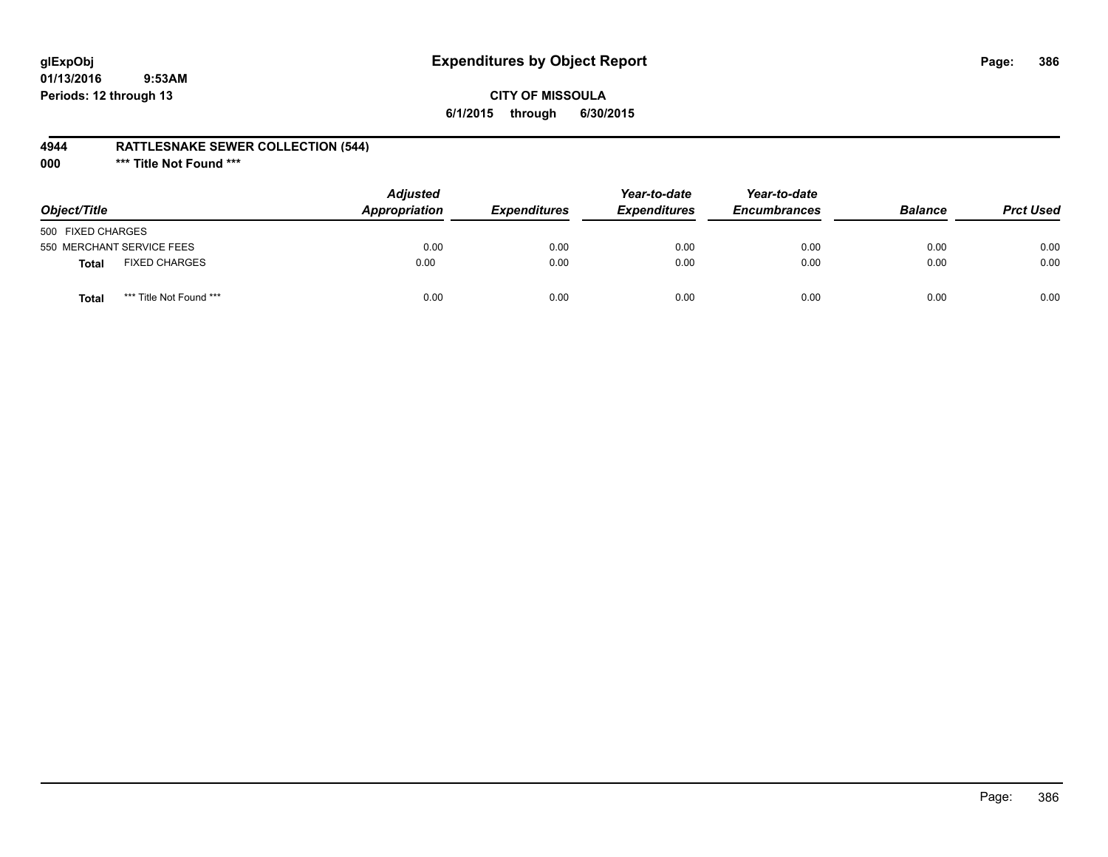# **glExpObj Expenditures by Object Report Page: 386**

### **CITY OF MISSOULA 6/1/2015 through 6/30/2015**

### **4944 RATTLESNAKE SEWER COLLECTION (544)**

**000 \*\*\* Title Not Found \*\*\***

| Object/Title              |                         | <b>Adjusted</b><br><b>Appropriation</b> | <i><b>Expenditures</b></i> | Year-to-date<br><b>Expenditures</b> | Year-to-date<br><b>Encumbrances</b> | <b>Balance</b> | <b>Prct Used</b> |
|---------------------------|-------------------------|-----------------------------------------|----------------------------|-------------------------------------|-------------------------------------|----------------|------------------|
| 500 FIXED CHARGES         |                         |                                         |                            |                                     |                                     |                |                  |
| 550 MERCHANT SERVICE FEES |                         | 0.00                                    | 0.00                       | 0.00                                | 0.00                                | 0.00           | 0.00             |
| Total                     | <b>FIXED CHARGES</b>    | 0.00                                    | 0.00                       | 0.00                                | 0.00                                | 0.00           | 0.00             |
| <b>Total</b>              | *** Title Not Found *** | 0.00                                    | 0.00                       | 0.00                                | 0.00                                | 0.00           | 0.00             |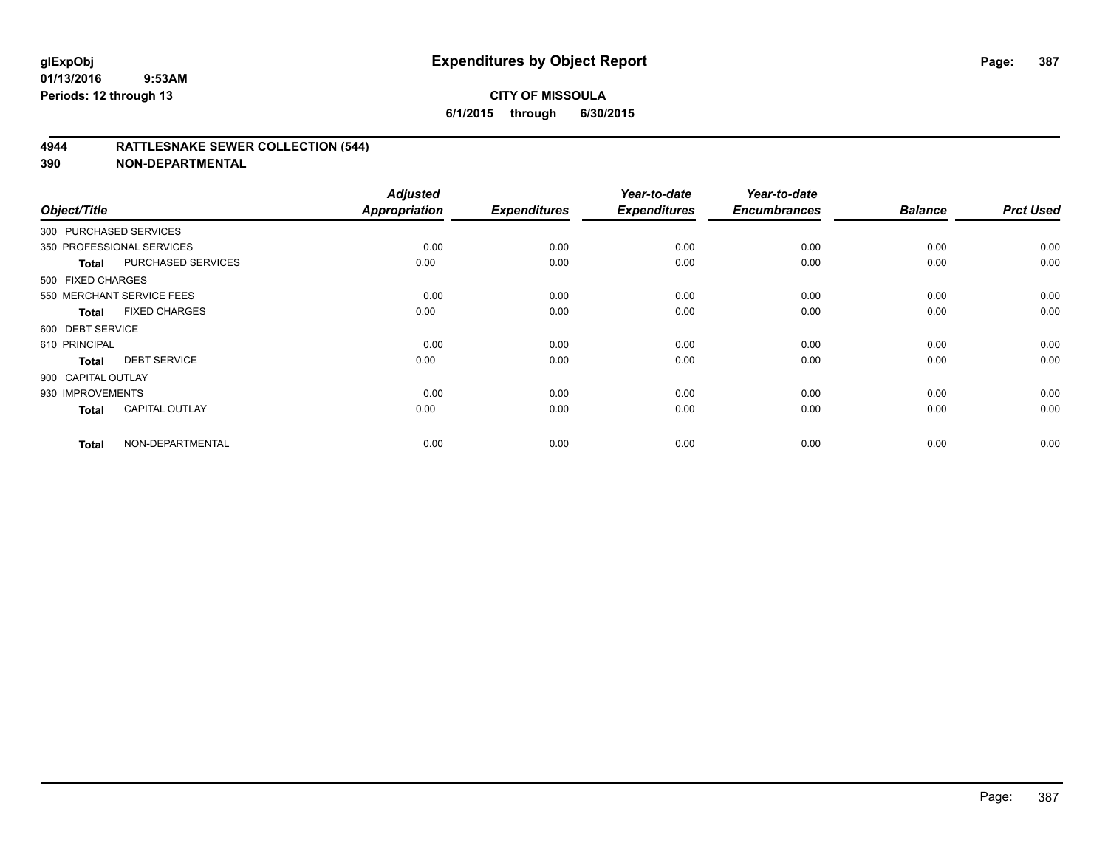### **4944 RATTLESNAKE SEWER COLLECTION (544)**

| Object/Title           |                           | <b>Adjusted</b><br><b>Appropriation</b> | <b>Expenditures</b> | Year-to-date<br><b>Expenditures</b> | Year-to-date<br><b>Encumbrances</b> | <b>Balance</b> | <b>Prct Used</b> |
|------------------------|---------------------------|-----------------------------------------|---------------------|-------------------------------------|-------------------------------------|----------------|------------------|
| 300 PURCHASED SERVICES |                           |                                         |                     |                                     |                                     |                |                  |
|                        | 350 PROFESSIONAL SERVICES | 0.00                                    | 0.00                | 0.00                                | 0.00                                | 0.00           | 0.00             |
| Total                  | PURCHASED SERVICES        | 0.00                                    | 0.00                | 0.00                                | 0.00                                | 0.00           | 0.00             |
| 500 FIXED CHARGES      |                           |                                         |                     |                                     |                                     |                |                  |
|                        | 550 MERCHANT SERVICE FEES | 0.00                                    | 0.00                | 0.00                                | 0.00                                | 0.00           | 0.00             |
| <b>Total</b>           | <b>FIXED CHARGES</b>      | 0.00                                    | 0.00                | 0.00                                | 0.00                                | 0.00           | 0.00             |
| 600 DEBT SERVICE       |                           |                                         |                     |                                     |                                     |                |                  |
| 610 PRINCIPAL          |                           | 0.00                                    | 0.00                | 0.00                                | 0.00                                | 0.00           | 0.00             |
| <b>Total</b>           | <b>DEBT SERVICE</b>       | 0.00                                    | 0.00                | 0.00                                | 0.00                                | 0.00           | 0.00             |
| 900 CAPITAL OUTLAY     |                           |                                         |                     |                                     |                                     |                |                  |
| 930 IMPROVEMENTS       |                           | 0.00                                    | 0.00                | 0.00                                | 0.00                                | 0.00           | 0.00             |
| <b>Total</b>           | <b>CAPITAL OUTLAY</b>     | 0.00                                    | 0.00                | 0.00                                | 0.00                                | 0.00           | 0.00             |
| <b>Total</b>           | NON-DEPARTMENTAL          | 0.00                                    | 0.00                | 0.00                                | 0.00                                | 0.00           | 0.00             |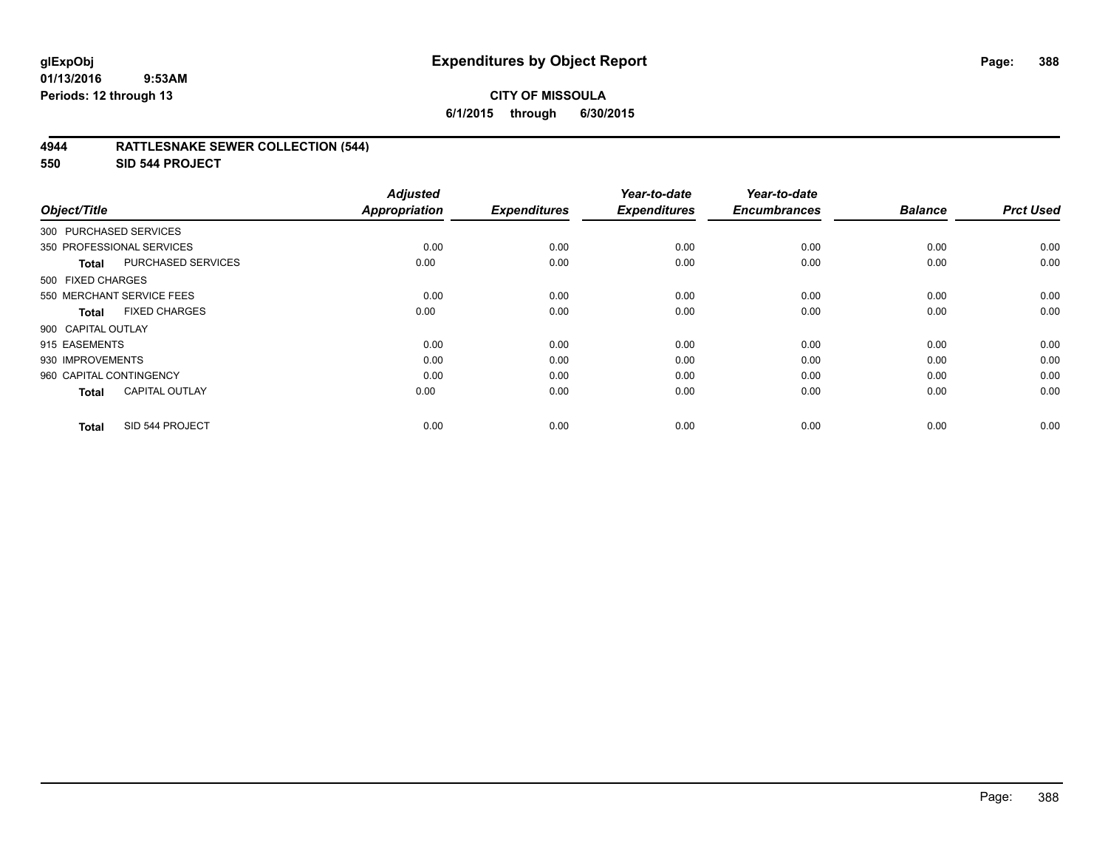## **CITY OF MISSOULA 6/1/2015 through 6/30/2015**

### **4944 RATTLESNAKE SEWER COLLECTION (544)**

**550 SID 544 PROJECT**

| Object/Title            |                           | <b>Adjusted</b><br><b>Appropriation</b> | <b>Expenditures</b> | Year-to-date<br><b>Expenditures</b> | Year-to-date<br><b>Encumbrances</b> | <b>Balance</b> | <b>Prct Used</b> |
|-------------------------|---------------------------|-----------------------------------------|---------------------|-------------------------------------|-------------------------------------|----------------|------------------|
| 300 PURCHASED SERVICES  |                           |                                         |                     |                                     |                                     |                |                  |
|                         | 350 PROFESSIONAL SERVICES | 0.00                                    | 0.00                | 0.00                                | 0.00                                | 0.00           | 0.00             |
| Total                   | PURCHASED SERVICES        | 0.00                                    | 0.00                | 0.00                                | 0.00                                | 0.00           | 0.00             |
| 500 FIXED CHARGES       |                           |                                         |                     |                                     |                                     |                |                  |
|                         | 550 MERCHANT SERVICE FEES | 0.00                                    | 0.00                | 0.00                                | 0.00                                | 0.00           | 0.00             |
| Total                   | <b>FIXED CHARGES</b>      | 0.00                                    | 0.00                | 0.00                                | 0.00                                | 0.00           | 0.00             |
| 900 CAPITAL OUTLAY      |                           |                                         |                     |                                     |                                     |                |                  |
| 915 EASEMENTS           |                           | 0.00                                    | 0.00                | 0.00                                | 0.00                                | 0.00           | 0.00             |
| 930 IMPROVEMENTS        |                           | 0.00                                    | 0.00                | 0.00                                | 0.00                                | 0.00           | 0.00             |
| 960 CAPITAL CONTINGENCY |                           | 0.00                                    | 0.00                | 0.00                                | 0.00                                | 0.00           | 0.00             |
| Total                   | <b>CAPITAL OUTLAY</b>     | 0.00                                    | 0.00                | 0.00                                | 0.00                                | 0.00           | 0.00             |
| <b>Total</b>            | SID 544 PROJECT           | 0.00                                    | 0.00                | 0.00                                | 0.00                                | 0.00           | 0.00             |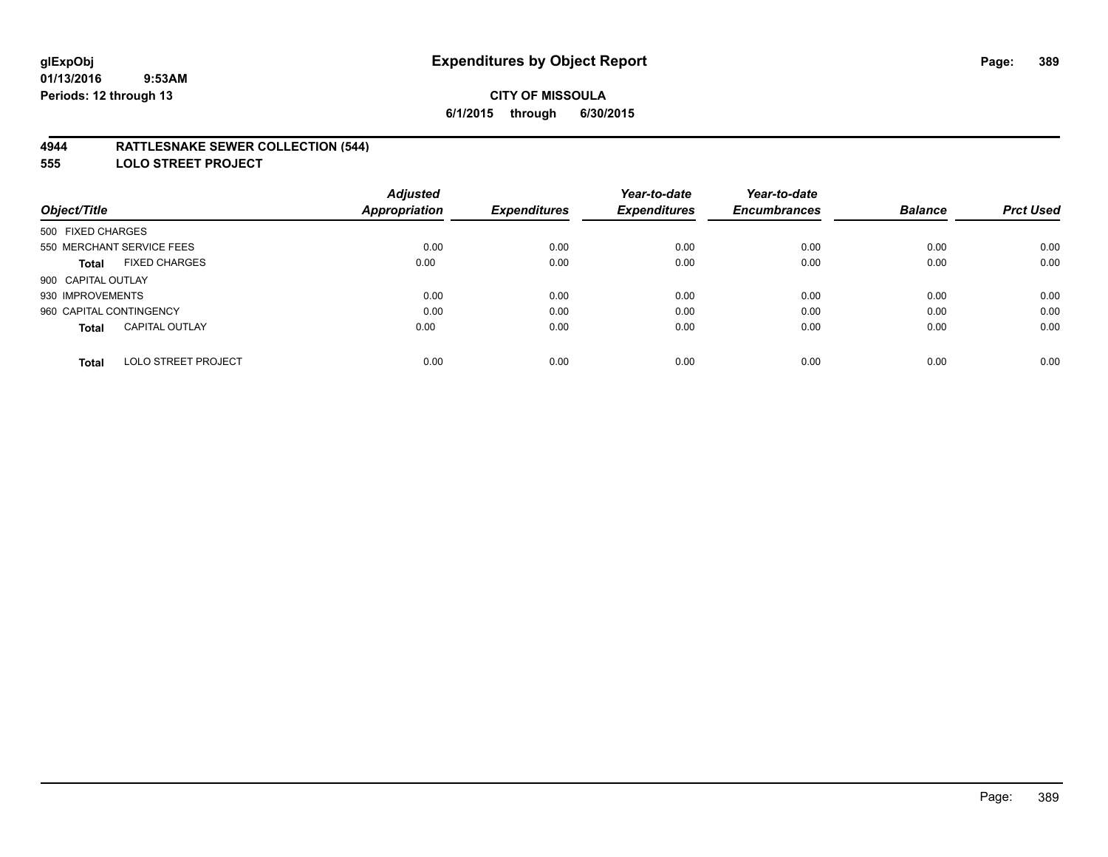### **4944 RATTLESNAKE SEWER COLLECTION (544)**

**555 LOLO STREET PROJECT**

|                                            | <b>Adjusted</b>      |                     | Year-to-date        | Year-to-date        |                |                  |
|--------------------------------------------|----------------------|---------------------|---------------------|---------------------|----------------|------------------|
| Object/Title                               | <b>Appropriation</b> | <b>Expenditures</b> | <b>Expenditures</b> | <b>Encumbrances</b> | <b>Balance</b> | <b>Prct Used</b> |
| 500 FIXED CHARGES                          |                      |                     |                     |                     |                |                  |
| 550 MERCHANT SERVICE FEES                  | 0.00                 | 0.00                | 0.00                | 0.00                | 0.00           | 0.00             |
| <b>FIXED CHARGES</b><br>Total              | 0.00                 | 0.00                | 0.00                | 0.00                | 0.00           | 0.00             |
| 900 CAPITAL OUTLAY                         |                      |                     |                     |                     |                |                  |
| 930 IMPROVEMENTS                           | 0.00                 | 0.00                | 0.00                | 0.00                | 0.00           | 0.00             |
| 960 CAPITAL CONTINGENCY                    | 0.00                 | 0.00                | 0.00                | 0.00                | 0.00           | 0.00             |
| <b>CAPITAL OUTLAY</b><br><b>Total</b>      | 0.00                 | 0.00                | 0.00                | 0.00                | 0.00           | 0.00             |
| <b>LOLO STREET PROJECT</b><br><b>Total</b> | 0.00                 | 0.00                | 0.00                | 0.00                | 0.00           | 0.00             |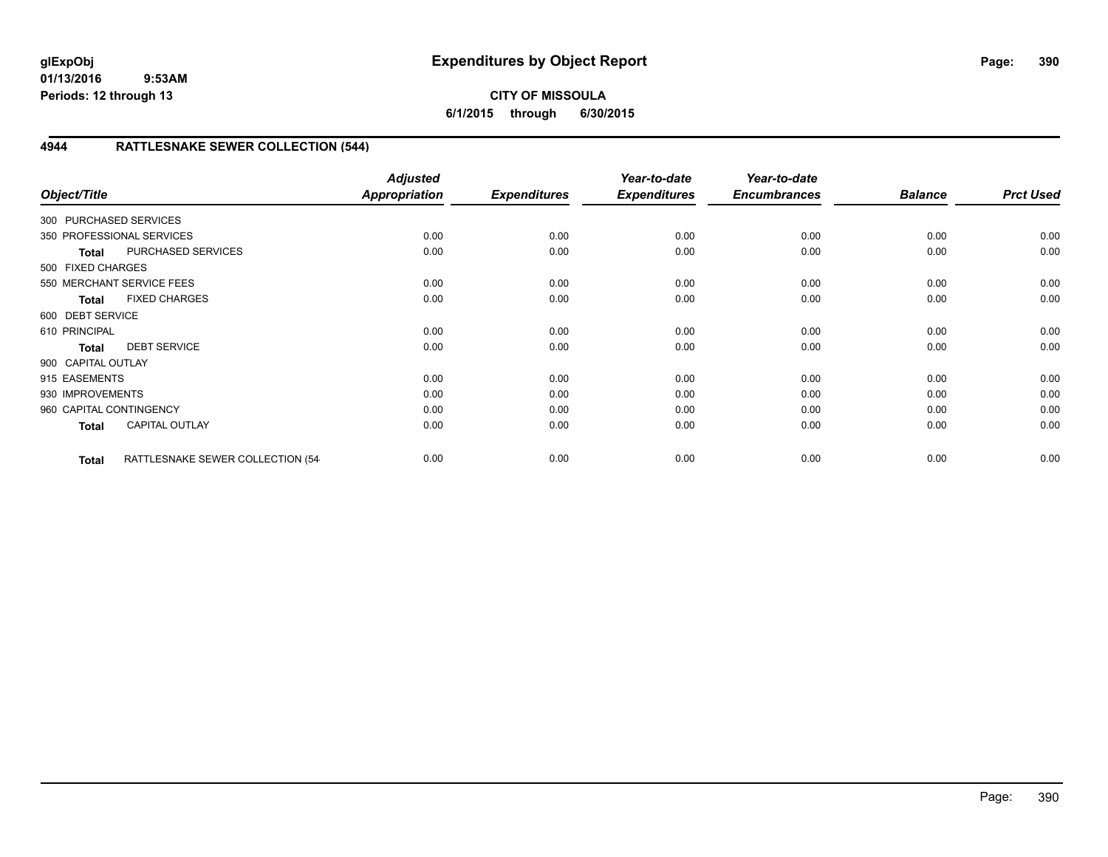# **CITY OF MISSOULA 6/1/2015 through 6/30/2015**

# **4944 RATTLESNAKE SEWER COLLECTION (544)**

| Object/Title            |                                   | <b>Adjusted</b><br>Appropriation | <b>Expenditures</b> | Year-to-date<br><b>Expenditures</b> | Year-to-date<br><b>Encumbrances</b> | <b>Balance</b> | <b>Prct Used</b> |
|-------------------------|-----------------------------------|----------------------------------|---------------------|-------------------------------------|-------------------------------------|----------------|------------------|
| 300 PURCHASED SERVICES  |                                   |                                  |                     |                                     |                                     |                |                  |
|                         | 350 PROFESSIONAL SERVICES         | 0.00                             | 0.00                | 0.00                                | 0.00                                | 0.00           | 0.00             |
| <b>Total</b>            | PURCHASED SERVICES                | 0.00                             | 0.00                | 0.00                                | 0.00                                | 0.00           | 0.00             |
| 500 FIXED CHARGES       |                                   |                                  |                     |                                     |                                     |                |                  |
|                         | 550 MERCHANT SERVICE FEES         | 0.00                             | 0.00                | 0.00                                | 0.00                                | 0.00           | 0.00             |
| <b>Total</b>            | <b>FIXED CHARGES</b>              | 0.00                             | 0.00                | 0.00                                | 0.00                                | 0.00           | 0.00             |
| 600 DEBT SERVICE        |                                   |                                  |                     |                                     |                                     |                |                  |
| 610 PRINCIPAL           |                                   | 0.00                             | 0.00                | 0.00                                | 0.00                                | 0.00           | 0.00             |
| <b>Total</b>            | <b>DEBT SERVICE</b>               | 0.00                             | 0.00                | 0.00                                | 0.00                                | 0.00           | 0.00             |
| 900 CAPITAL OUTLAY      |                                   |                                  |                     |                                     |                                     |                |                  |
| 915 EASEMENTS           |                                   | 0.00                             | 0.00                | 0.00                                | 0.00                                | 0.00           | 0.00             |
| 930 IMPROVEMENTS        |                                   | 0.00                             | 0.00                | 0.00                                | 0.00                                | 0.00           | 0.00             |
| 960 CAPITAL CONTINGENCY |                                   | 0.00                             | 0.00                | 0.00                                | 0.00                                | 0.00           | 0.00             |
| <b>Total</b>            | <b>CAPITAL OUTLAY</b>             | 0.00                             | 0.00                | 0.00                                | 0.00                                | 0.00           | 0.00             |
| <b>Total</b>            | RATTLESNAKE SEWER COLLECTION (54- | 0.00                             | 0.00                | 0.00                                | 0.00                                | 0.00           | 0.00             |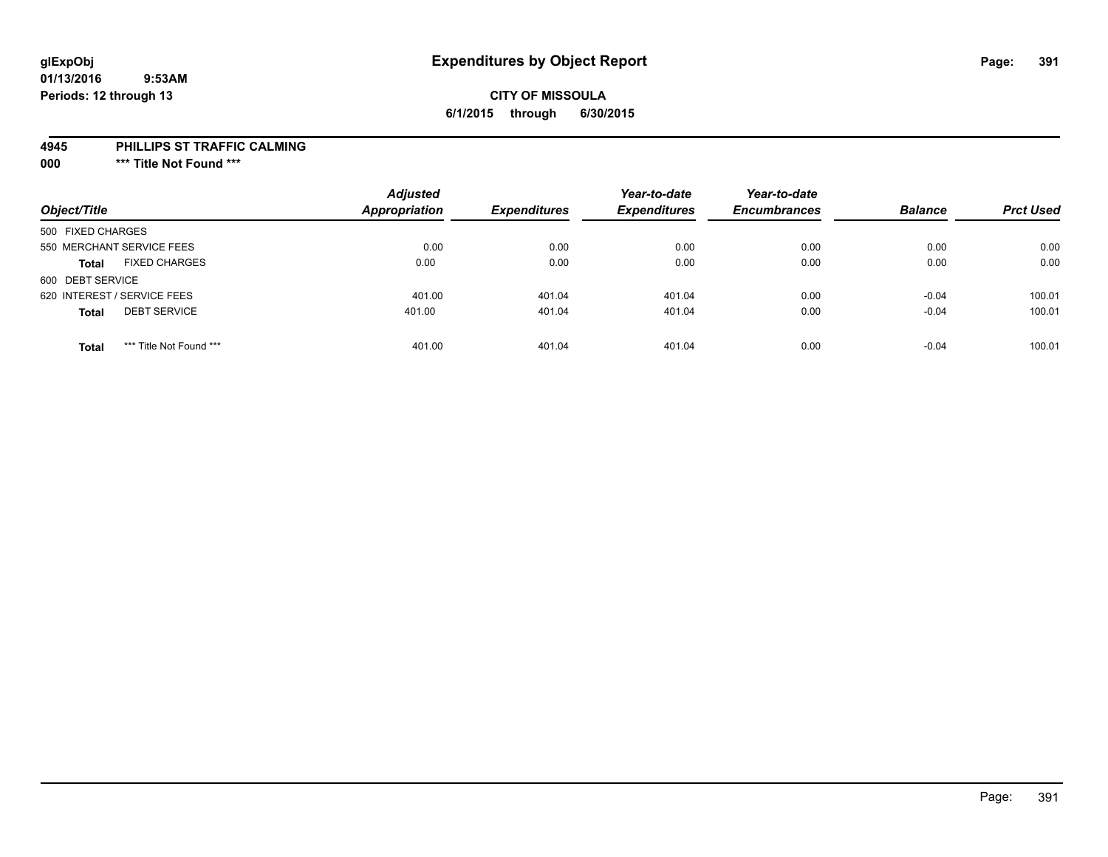# **CITY OF MISSOULA 6/1/2015 through 6/30/2015**

#### **4945 PHILLIPS ST TRAFFIC CALMING**

**000 \*\*\* Title Not Found \*\*\***

| Object/Title                            | <b>Adjusted</b><br>Appropriation | <b>Expenditures</b> | Year-to-date<br><b>Expenditures</b> | Year-to-date<br><b>Encumbrances</b> | <b>Balance</b> | <b>Prct Used</b> |
|-----------------------------------------|----------------------------------|---------------------|-------------------------------------|-------------------------------------|----------------|------------------|
| 500 FIXED CHARGES                       |                                  |                     |                                     |                                     |                |                  |
| 550 MERCHANT SERVICE FEES               | 0.00                             | 0.00                | 0.00                                | 0.00                                | 0.00           | 0.00             |
| <b>FIXED CHARGES</b><br><b>Total</b>    | 0.00                             | 0.00                | 0.00                                | 0.00                                | 0.00           | 0.00             |
| 600 DEBT SERVICE                        |                                  |                     |                                     |                                     |                |                  |
| 620 INTEREST / SERVICE FEES             | 401.00                           | 401.04              | 401.04                              | 0.00                                | $-0.04$        | 100.01           |
| <b>DEBT SERVICE</b><br><b>Total</b>     | 401.00                           | 401.04              | 401.04                              | 0.00                                | $-0.04$        | 100.01           |
| *** Title Not Found ***<br><b>Total</b> | 401.00                           | 401.04              | 401.04                              | 0.00                                | $-0.04$        | 100.01           |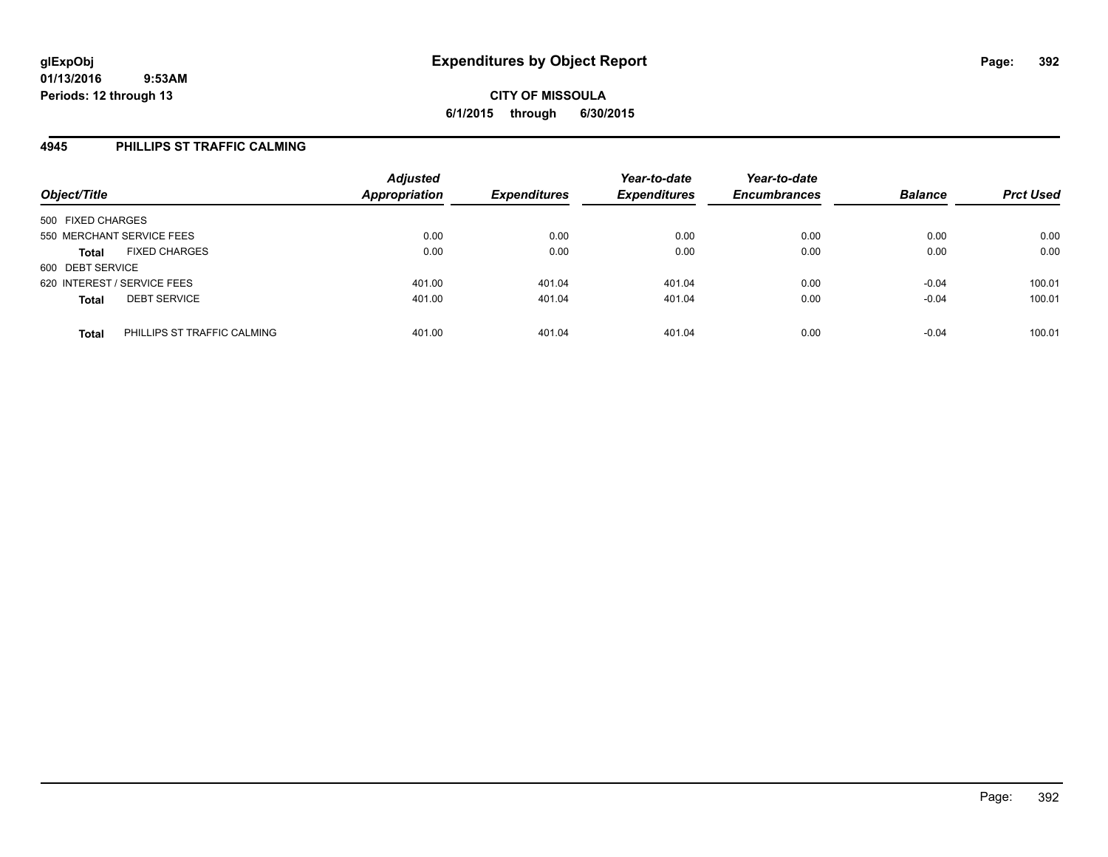### **4945 PHILLIPS ST TRAFFIC CALMING**

| Object/Title                                | <b>Adjusted</b><br>Appropriation | <b>Expenditures</b> | Year-to-date<br><b>Expenditures</b> | Year-to-date<br><b>Encumbrances</b> | <b>Balance</b> | <b>Prct Used</b> |
|---------------------------------------------|----------------------------------|---------------------|-------------------------------------|-------------------------------------|----------------|------------------|
| 500 FIXED CHARGES                           |                                  |                     |                                     |                                     |                |                  |
| 550 MERCHANT SERVICE FEES                   | 0.00                             | 0.00                | 0.00                                | 0.00                                | 0.00           | 0.00             |
| <b>FIXED CHARGES</b><br><b>Total</b>        | 0.00                             | 0.00                | 0.00                                | 0.00                                | 0.00           | 0.00             |
| 600 DEBT SERVICE                            |                                  |                     |                                     |                                     |                |                  |
| 620 INTEREST / SERVICE FEES                 | 401.00                           | 401.04              | 401.04                              | 0.00                                | $-0.04$        | 100.01           |
| <b>DEBT SERVICE</b><br><b>Total</b>         | 401.00                           | 401.04              | 401.04                              | 0.00                                | $-0.04$        | 100.01           |
| PHILLIPS ST TRAFFIC CALMING<br><b>Total</b> | 401.00                           | 401.04              | 401.04                              | 0.00                                | $-0.04$        | 100.01           |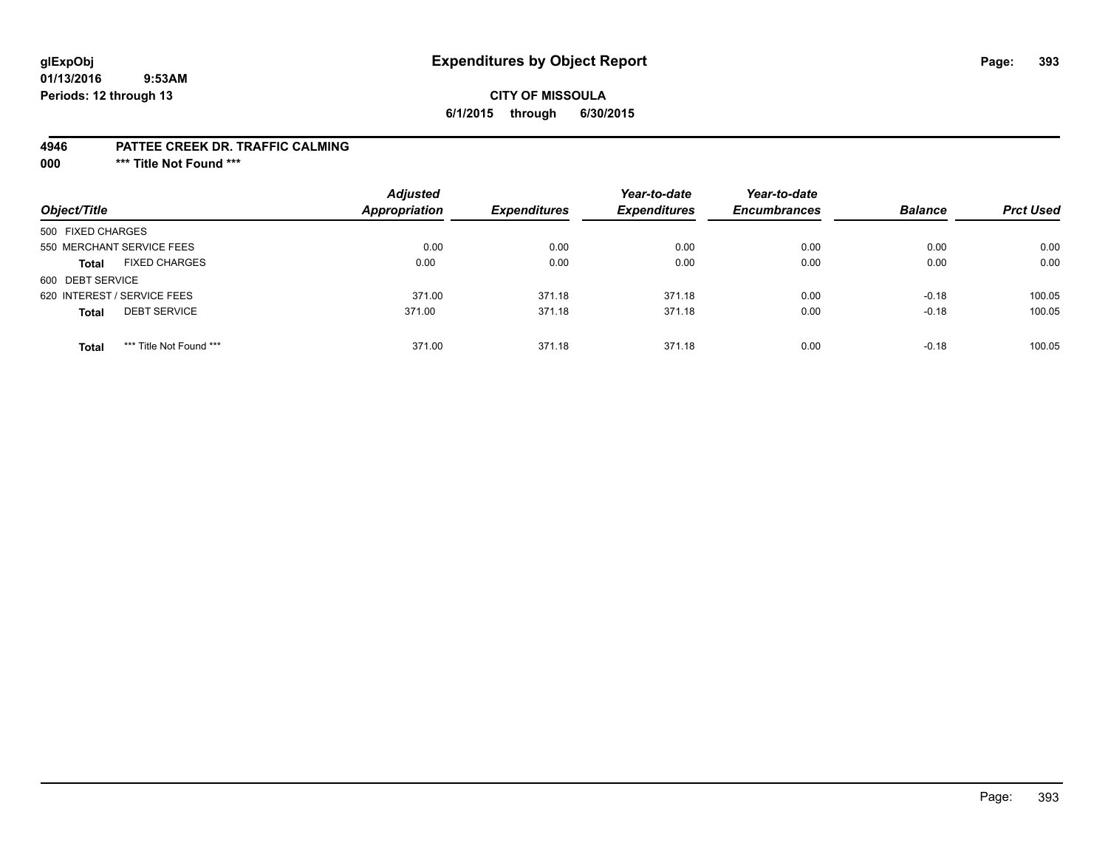# **glExpObj Expenditures by Object Report Page: 393**

### **CITY OF MISSOULA 6/1/2015 through 6/30/2015**

#### **4946 PATTEE CREEK DR. TRAFFIC CALMING**

**000 \*\*\* Title Not Found \*\*\***

| Object/Title                            | <b>Adjusted</b><br><b>Appropriation</b> | <b>Expenditures</b> | Year-to-date<br><b>Expenditures</b> | Year-to-date<br><b>Encumbrances</b> | <b>Balance</b> | <b>Prct Used</b> |
|-----------------------------------------|-----------------------------------------|---------------------|-------------------------------------|-------------------------------------|----------------|------------------|
| 500 FIXED CHARGES                       |                                         |                     |                                     |                                     |                |                  |
| 550 MERCHANT SERVICE FEES               | 0.00                                    | 0.00                | 0.00                                | 0.00                                | 0.00           | 0.00             |
| <b>FIXED CHARGES</b><br><b>Total</b>    | 0.00                                    | 0.00                | 0.00                                | 0.00                                | 0.00           | 0.00             |
| 600 DEBT SERVICE                        |                                         |                     |                                     |                                     |                |                  |
| 620 INTEREST / SERVICE FEES             | 371.00                                  | 371.18              | 371.18                              | 0.00                                | $-0.18$        | 100.05           |
| <b>DEBT SERVICE</b><br><b>Total</b>     | 371.00                                  | 371.18              | 371.18                              | 0.00                                | $-0.18$        | 100.05           |
| *** Title Not Found ***<br><b>Total</b> | 371.00                                  | 371.18              | 371.18                              | 0.00                                | $-0.18$        | 100.05           |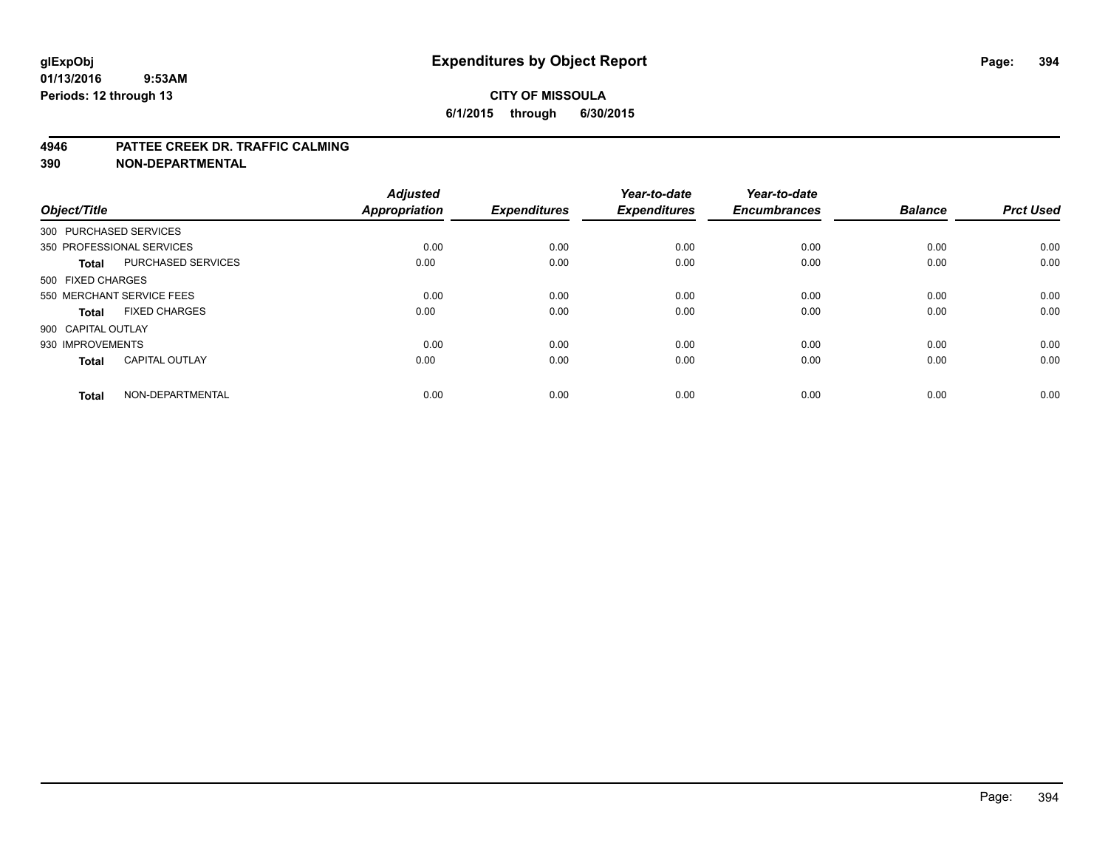### **CITY OF MISSOULA 6/1/2015 through 6/30/2015**

#### **4946 PATTEE CREEK DR. TRAFFIC CALMING**

| Object/Title           |                           | <b>Adjusted</b><br><b>Appropriation</b> | <b>Expenditures</b> | Year-to-date<br><b>Expenditures</b> | Year-to-date<br><b>Encumbrances</b> | <b>Balance</b> | <b>Prct Used</b> |
|------------------------|---------------------------|-----------------------------------------|---------------------|-------------------------------------|-------------------------------------|----------------|------------------|
| 300 PURCHASED SERVICES |                           |                                         |                     |                                     |                                     |                |                  |
|                        | 350 PROFESSIONAL SERVICES | 0.00                                    | 0.00                | 0.00                                | 0.00                                | 0.00           | 0.00             |
| <b>Total</b>           | <b>PURCHASED SERVICES</b> | 0.00                                    | 0.00                | 0.00                                | 0.00                                | 0.00           | 0.00             |
| 500 FIXED CHARGES      |                           |                                         |                     |                                     |                                     |                |                  |
|                        | 550 MERCHANT SERVICE FEES | 0.00                                    | 0.00                | 0.00                                | 0.00                                | 0.00           | 0.00             |
| Total                  | <b>FIXED CHARGES</b>      | 0.00                                    | 0.00                | 0.00                                | 0.00                                | 0.00           | 0.00             |
| 900 CAPITAL OUTLAY     |                           |                                         |                     |                                     |                                     |                |                  |
| 930 IMPROVEMENTS       |                           | 0.00                                    | 0.00                | 0.00                                | 0.00                                | 0.00           | 0.00             |
| Total                  | <b>CAPITAL OUTLAY</b>     | 0.00                                    | 0.00                | 0.00                                | 0.00                                | 0.00           | 0.00             |
| <b>Total</b>           | NON-DEPARTMENTAL          | 0.00                                    | 0.00                | 0.00                                | 0.00                                | 0.00           | 0.00             |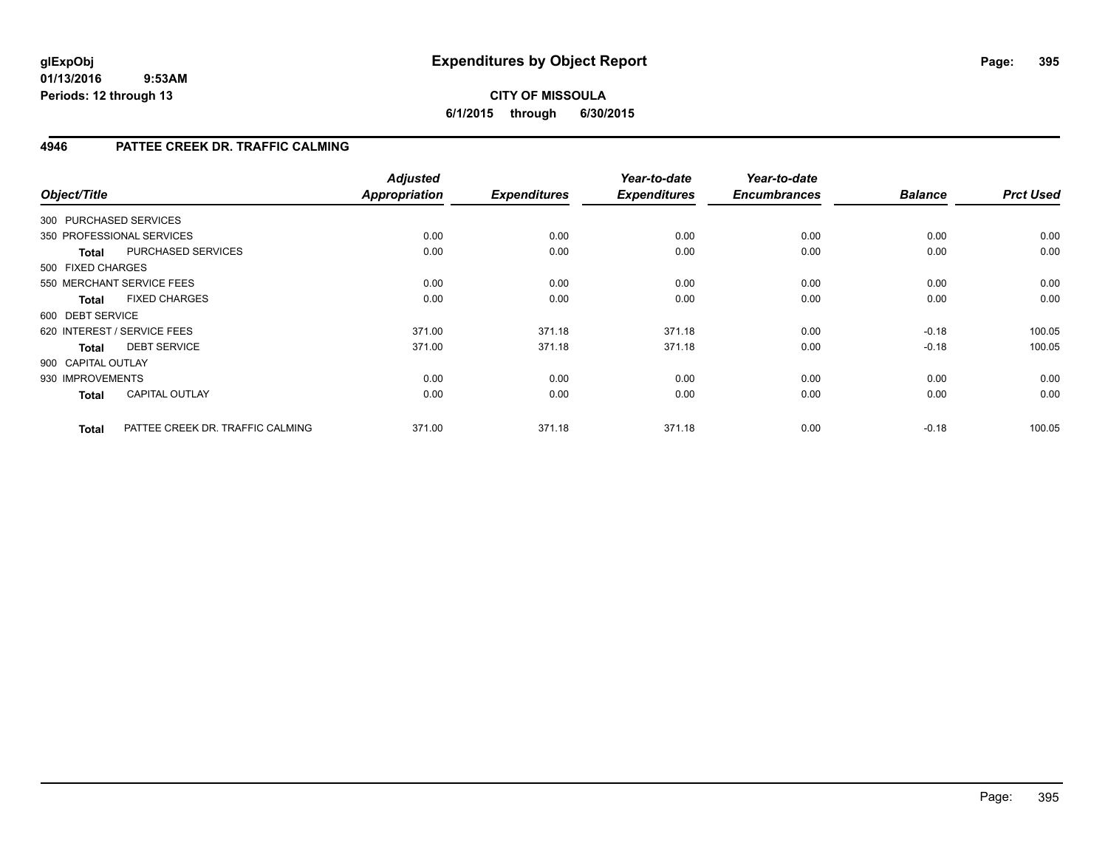# **CITY OF MISSOULA 6/1/2015 through 6/30/2015**

# **4946 PATTEE CREEK DR. TRAFFIC CALMING**

| Object/Title           |                                  | <b>Adjusted</b><br><b>Appropriation</b> | <b>Expenditures</b> | Year-to-date<br><b>Expenditures</b> | Year-to-date<br><b>Encumbrances</b> | <b>Balance</b> | <b>Prct Used</b> |
|------------------------|----------------------------------|-----------------------------------------|---------------------|-------------------------------------|-------------------------------------|----------------|------------------|
| 300 PURCHASED SERVICES |                                  |                                         |                     |                                     |                                     |                |                  |
|                        | 350 PROFESSIONAL SERVICES        | 0.00                                    | 0.00                | 0.00                                | 0.00                                | 0.00           | 0.00             |
| Total                  | PURCHASED SERVICES               | 0.00                                    | 0.00                | 0.00                                | 0.00                                | 0.00           | 0.00             |
| 500 FIXED CHARGES      |                                  |                                         |                     |                                     |                                     |                |                  |
|                        | 550 MERCHANT SERVICE FEES        | 0.00                                    | 0.00                | 0.00                                | 0.00                                | 0.00           | 0.00             |
| <b>Total</b>           | <b>FIXED CHARGES</b>             | 0.00                                    | 0.00                | 0.00                                | 0.00                                | 0.00           | 0.00             |
| 600 DEBT SERVICE       |                                  |                                         |                     |                                     |                                     |                |                  |
|                        | 620 INTEREST / SERVICE FEES      | 371.00                                  | 371.18              | 371.18                              | 0.00                                | $-0.18$        | 100.05           |
| <b>Total</b>           | <b>DEBT SERVICE</b>              | 371.00                                  | 371.18              | 371.18                              | 0.00                                | $-0.18$        | 100.05           |
| 900 CAPITAL OUTLAY     |                                  |                                         |                     |                                     |                                     |                |                  |
| 930 IMPROVEMENTS       |                                  | 0.00                                    | 0.00                | 0.00                                | 0.00                                | 0.00           | 0.00             |
| <b>Total</b>           | <b>CAPITAL OUTLAY</b>            | 0.00                                    | 0.00                | 0.00                                | 0.00                                | 0.00           | 0.00             |
| <b>Total</b>           | PATTEE CREEK DR. TRAFFIC CALMING | 371.00                                  | 371.18              | 371.18                              | 0.00                                | $-0.18$        | 100.05           |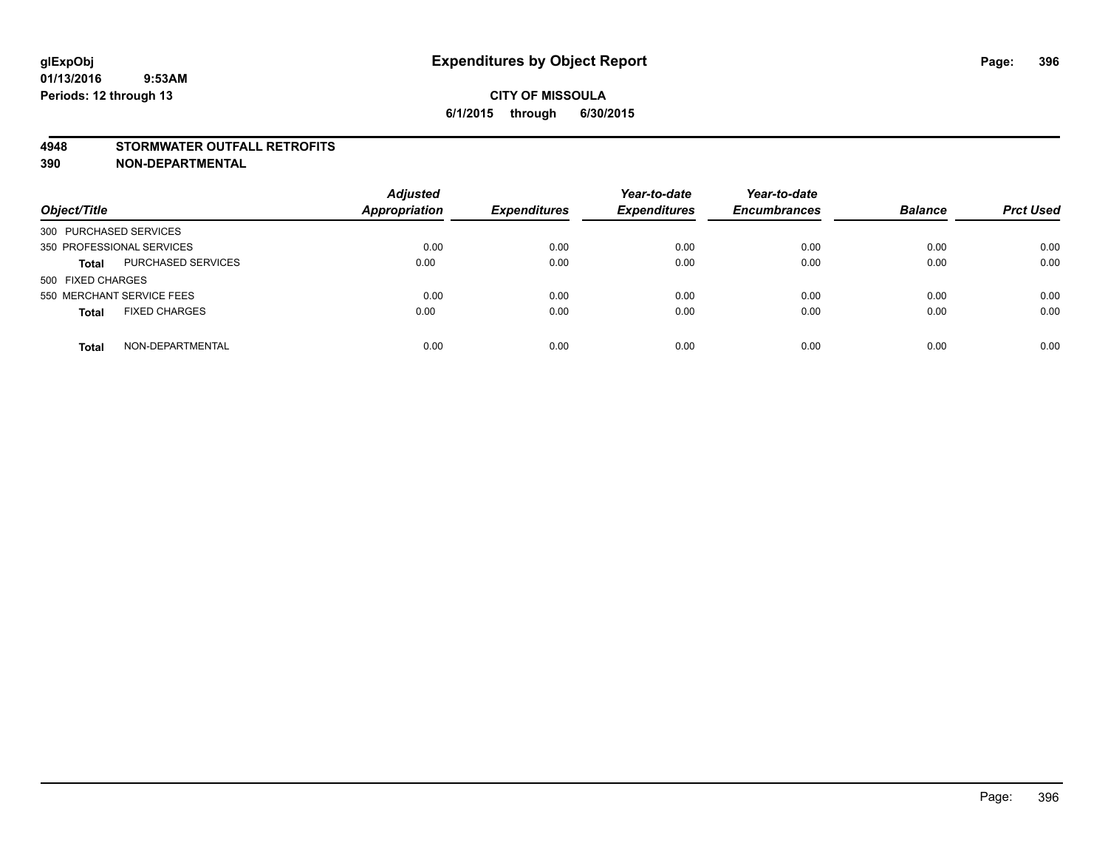#### **4948 STORMWATER OUTFALL RETROFITS**

| Object/Title                              | <b>Adjusted</b><br><b>Appropriation</b> | <b>Expenditures</b> | Year-to-date<br><b>Expenditures</b> | Year-to-date<br><b>Encumbrances</b> | <b>Balance</b> | <b>Prct Used</b> |
|-------------------------------------------|-----------------------------------------|---------------------|-------------------------------------|-------------------------------------|----------------|------------------|
| 300 PURCHASED SERVICES                    |                                         |                     |                                     |                                     |                |                  |
| 350 PROFESSIONAL SERVICES                 | 0.00                                    | 0.00                | 0.00                                | 0.00                                | 0.00           | 0.00             |
| <b>PURCHASED SERVICES</b><br><b>Total</b> | 0.00                                    | 0.00                | 0.00                                | 0.00                                | 0.00           | 0.00             |
| 500 FIXED CHARGES                         |                                         |                     |                                     |                                     |                |                  |
| 550 MERCHANT SERVICE FEES                 | 0.00                                    | 0.00                | 0.00                                | 0.00                                | 0.00           | 0.00             |
| <b>FIXED CHARGES</b><br><b>Total</b>      | 0.00                                    | 0.00                | 0.00                                | 0.00                                | 0.00           | 0.00             |
| NON-DEPARTMENTAL<br><b>Total</b>          | 0.00                                    | 0.00                | 0.00                                | 0.00                                | 0.00           | 0.00             |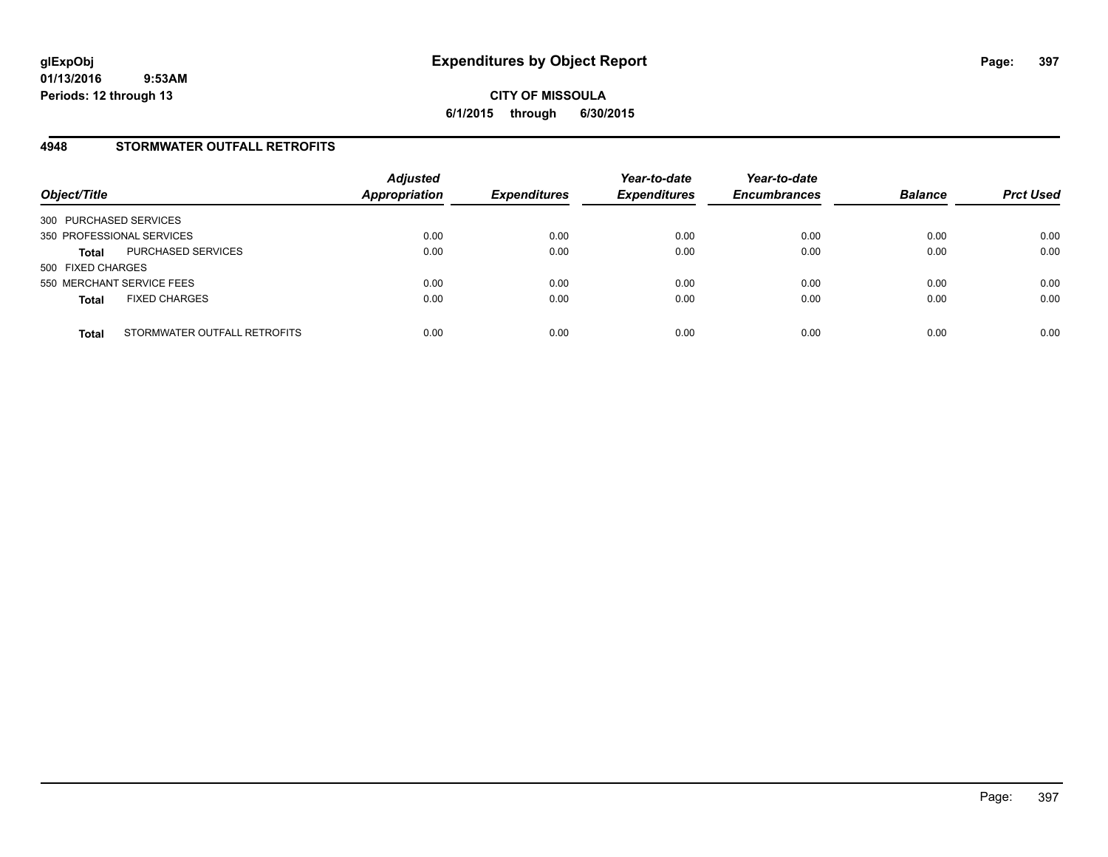### **4948 STORMWATER OUTFALL RETROFITS**

| Object/Title                                 | <b>Adjusted</b><br>Appropriation | <b>Expenditures</b> | Year-to-date<br><b>Expenditures</b> | Year-to-date<br><b>Encumbrances</b> | <b>Balance</b> | <b>Prct Used</b> |
|----------------------------------------------|----------------------------------|---------------------|-------------------------------------|-------------------------------------|----------------|------------------|
| 300 PURCHASED SERVICES                       |                                  |                     |                                     |                                     |                |                  |
| 350 PROFESSIONAL SERVICES                    | 0.00                             | 0.00                | 0.00                                | 0.00                                | 0.00           | 0.00             |
| PURCHASED SERVICES<br><b>Total</b>           | 0.00                             | 0.00                | 0.00                                | 0.00                                | 0.00           | 0.00             |
| 500 FIXED CHARGES                            |                                  |                     |                                     |                                     |                |                  |
| 550 MERCHANT SERVICE FEES                    | 0.00                             | 0.00                | 0.00                                | 0.00                                | 0.00           | 0.00             |
| <b>FIXED CHARGES</b><br><b>Total</b>         | 0.00                             | 0.00                | 0.00                                | 0.00                                | 0.00           | 0.00             |
| STORMWATER OUTFALL RETROFITS<br><b>Total</b> | 0.00                             | 0.00                | 0.00                                | 0.00                                | 0.00           | 0.00             |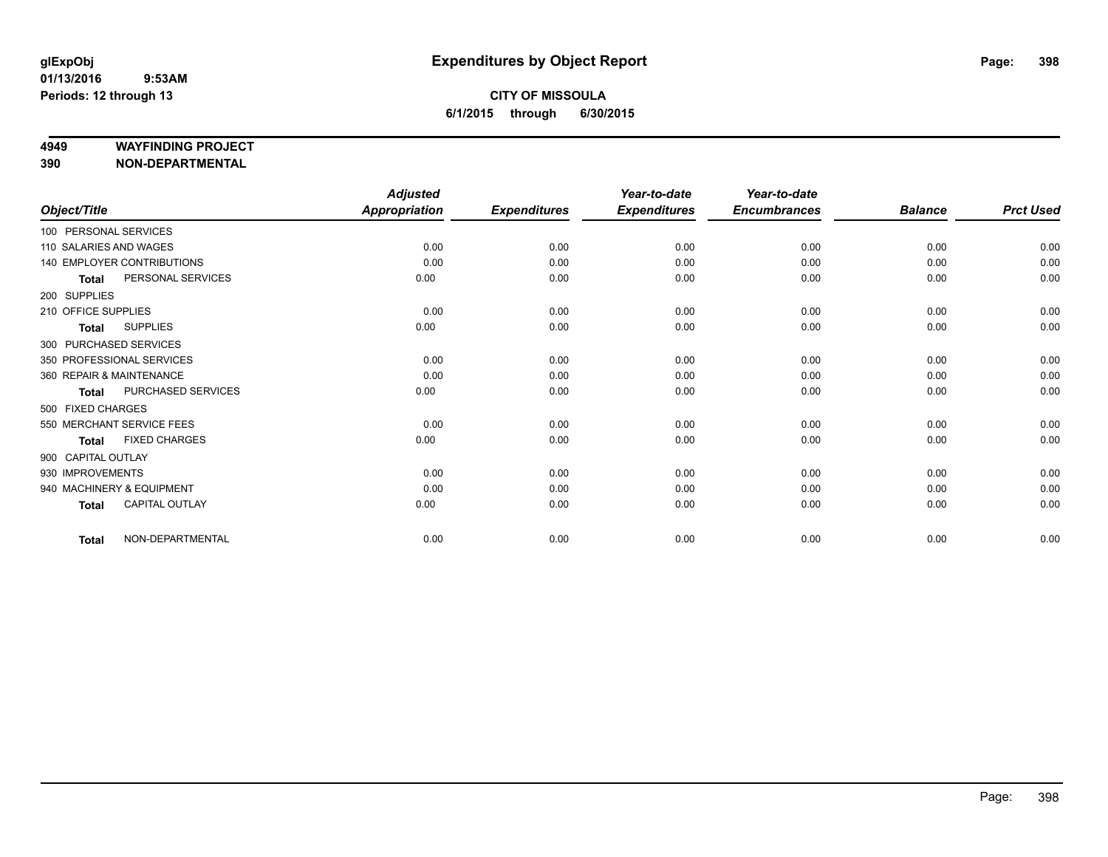#### **4949 WAYFINDING PROJECT**

**390 NON-DEPARTMENTAL**

|                        |                            | <b>Adjusted</b> |                     | Year-to-date        | Year-to-date        |                |                  |
|------------------------|----------------------------|-----------------|---------------------|---------------------|---------------------|----------------|------------------|
| Object/Title           |                            | Appropriation   | <b>Expenditures</b> | <b>Expenditures</b> | <b>Encumbrances</b> | <b>Balance</b> | <b>Prct Used</b> |
| 100 PERSONAL SERVICES  |                            |                 |                     |                     |                     |                |                  |
| 110 SALARIES AND WAGES |                            | 0.00            | 0.00                | 0.00                | 0.00                | 0.00           | 0.00             |
|                        | 140 EMPLOYER CONTRIBUTIONS | 0.00            | 0.00                | 0.00                | 0.00                | 0.00           | 0.00             |
| <b>Total</b>           | PERSONAL SERVICES          | 0.00            | 0.00                | 0.00                | 0.00                | 0.00           | 0.00             |
| 200 SUPPLIES           |                            |                 |                     |                     |                     |                |                  |
| 210 OFFICE SUPPLIES    |                            | 0.00            | 0.00                | 0.00                | 0.00                | 0.00           | 0.00             |
| <b>Total</b>           | <b>SUPPLIES</b>            | 0.00            | 0.00                | 0.00                | 0.00                | 0.00           | 0.00             |
|                        | 300 PURCHASED SERVICES     |                 |                     |                     |                     |                |                  |
|                        | 350 PROFESSIONAL SERVICES  | 0.00            | 0.00                | 0.00                | 0.00                | 0.00           | 0.00             |
|                        | 360 REPAIR & MAINTENANCE   | 0.00            | 0.00                | 0.00                | 0.00                | 0.00           | 0.00             |
| <b>Total</b>           | PURCHASED SERVICES         | 0.00            | 0.00                | 0.00                | 0.00                | 0.00           | 0.00             |
| 500 FIXED CHARGES      |                            |                 |                     |                     |                     |                |                  |
|                        | 550 MERCHANT SERVICE FEES  | 0.00            | 0.00                | 0.00                | 0.00                | 0.00           | 0.00             |
| <b>Total</b>           | <b>FIXED CHARGES</b>       | 0.00            | 0.00                | 0.00                | 0.00                | 0.00           | 0.00             |
| 900 CAPITAL OUTLAY     |                            |                 |                     |                     |                     |                |                  |
| 930 IMPROVEMENTS       |                            | 0.00            | 0.00                | 0.00                | 0.00                | 0.00           | 0.00             |
|                        | 940 MACHINERY & EQUIPMENT  | 0.00            | 0.00                | 0.00                | 0.00                | 0.00           | 0.00             |
| <b>Total</b>           | CAPITAL OUTLAY             | 0.00            | 0.00                | 0.00                | 0.00                | 0.00           | 0.00             |
| <b>Total</b>           | NON-DEPARTMENTAL           | 0.00            | 0.00                | 0.00                | 0.00                | 0.00           | 0.00             |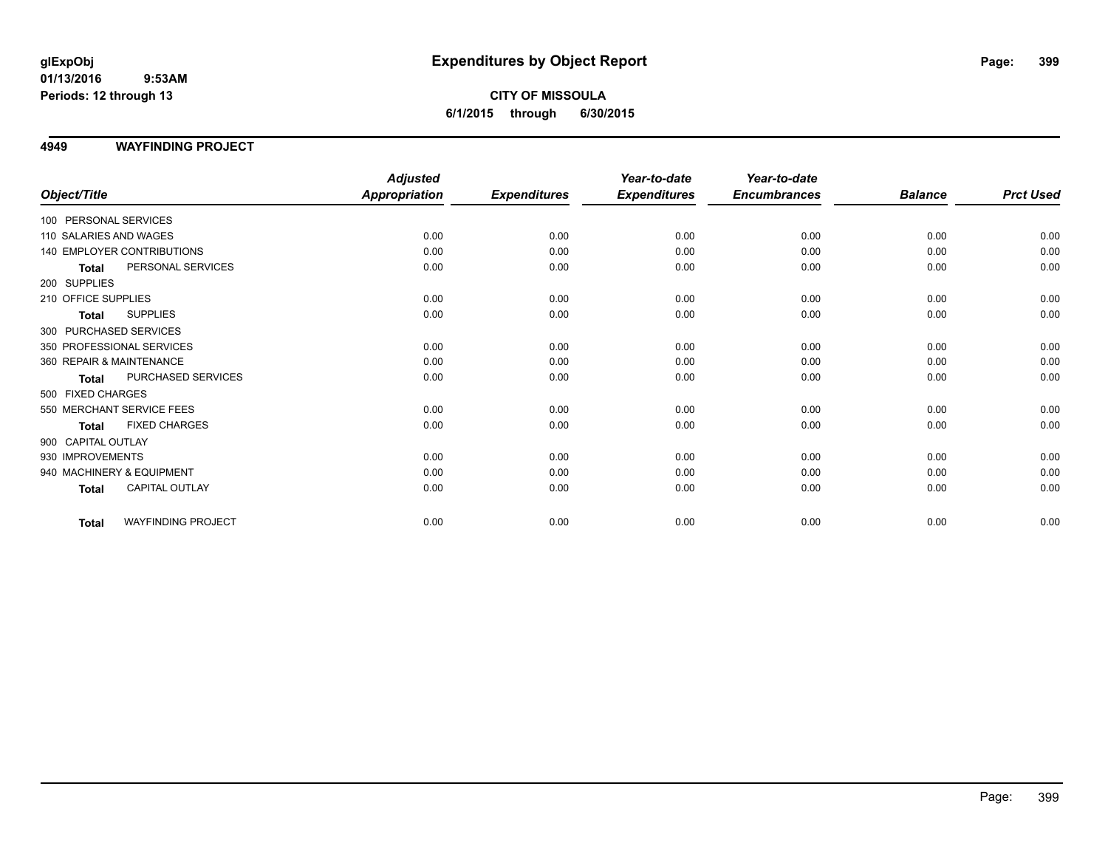**CITY OF MISSOULA 6/1/2015 through 6/30/2015**

### **4949 WAYFINDING PROJECT**

|                                           | <b>Adjusted</b>      |                     | Year-to-date        | Year-to-date        |                |                  |
|-------------------------------------------|----------------------|---------------------|---------------------|---------------------|----------------|------------------|
| Object/Title                              | <b>Appropriation</b> | <b>Expenditures</b> | <b>Expenditures</b> | <b>Encumbrances</b> | <b>Balance</b> | <b>Prct Used</b> |
| 100 PERSONAL SERVICES                     |                      |                     |                     |                     |                |                  |
| 110 SALARIES AND WAGES                    | 0.00                 | 0.00                | 0.00                | 0.00                | 0.00           | 0.00             |
| 140 EMPLOYER CONTRIBUTIONS                | 0.00                 | 0.00                | 0.00                | 0.00                | 0.00           | 0.00             |
| PERSONAL SERVICES<br><b>Total</b>         | 0.00                 | 0.00                | 0.00                | 0.00                | 0.00           | 0.00             |
| 200 SUPPLIES                              |                      |                     |                     |                     |                |                  |
| 210 OFFICE SUPPLIES                       | 0.00                 | 0.00                | 0.00                | 0.00                | 0.00           | 0.00             |
| <b>SUPPLIES</b><br><b>Total</b>           | 0.00                 | 0.00                | 0.00                | 0.00                | 0.00           | 0.00             |
| 300 PURCHASED SERVICES                    |                      |                     |                     |                     |                |                  |
| 350 PROFESSIONAL SERVICES                 | 0.00                 | 0.00                | 0.00                | 0.00                | 0.00           | 0.00             |
| 360 REPAIR & MAINTENANCE                  | 0.00                 | 0.00                | 0.00                | 0.00                | 0.00           | 0.00             |
| PURCHASED SERVICES<br><b>Total</b>        | 0.00                 | 0.00                | 0.00                | 0.00                | 0.00           | 0.00             |
| 500 FIXED CHARGES                         |                      |                     |                     |                     |                |                  |
| 550 MERCHANT SERVICE FEES                 | 0.00                 | 0.00                | 0.00                | 0.00                | 0.00           | 0.00             |
| <b>FIXED CHARGES</b><br><b>Total</b>      | 0.00                 | 0.00                | 0.00                | 0.00                | 0.00           | 0.00             |
| 900 CAPITAL OUTLAY                        |                      |                     |                     |                     |                |                  |
| 930 IMPROVEMENTS                          | 0.00                 | 0.00                | 0.00                | 0.00                | 0.00           | 0.00             |
| 940 MACHINERY & EQUIPMENT                 | 0.00                 | 0.00                | 0.00                | 0.00                | 0.00           | 0.00             |
| <b>CAPITAL OUTLAY</b><br><b>Total</b>     | 0.00                 | 0.00                | 0.00                | 0.00                | 0.00           | 0.00             |
| <b>WAYFINDING PROJECT</b><br><b>Total</b> | 0.00                 | 0.00                | 0.00                | 0.00                | 0.00           | 0.00             |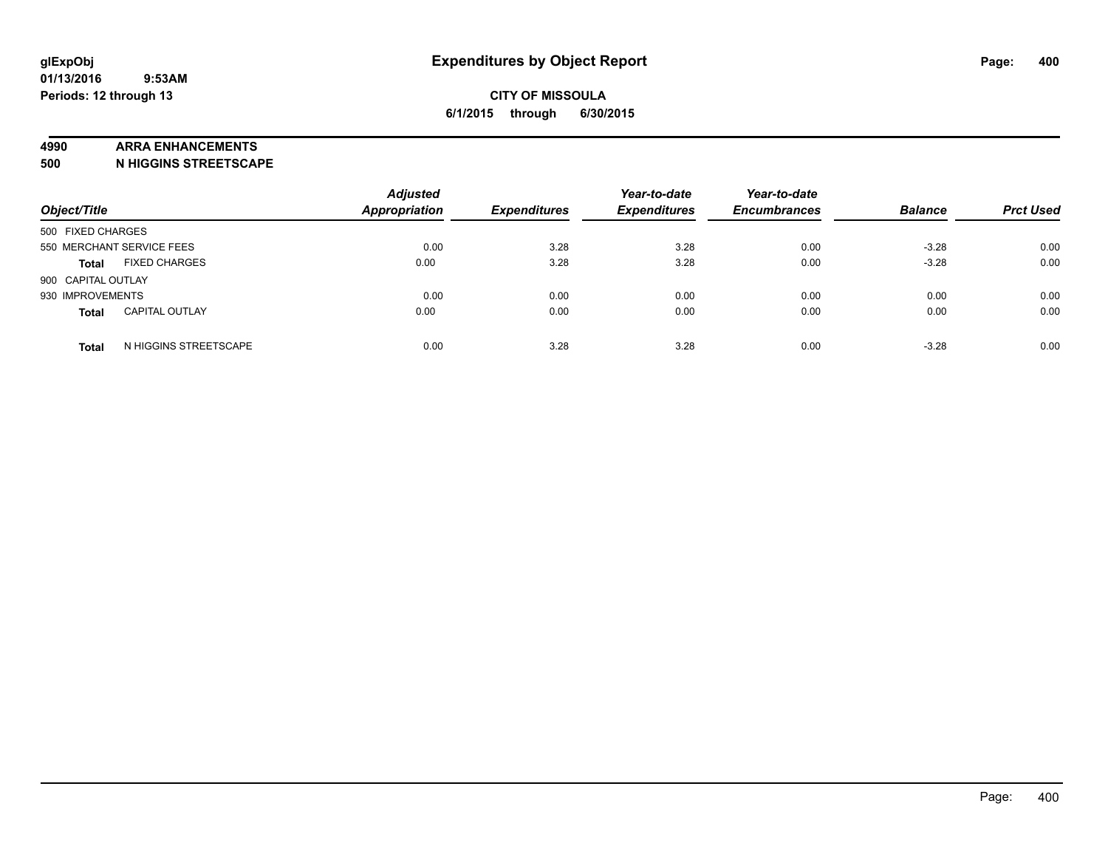### **4990 ARRA ENHANCEMENTS**

**500 N HIGGINS STREETSCAPE**

| Object/Title              |                       | <b>Adjusted</b><br><b>Appropriation</b> | <b>Expenditures</b> | Year-to-date<br><b>Expenditures</b> | Year-to-date<br><b>Encumbrances</b> | <b>Balance</b> | <b>Prct Used</b> |
|---------------------------|-----------------------|-----------------------------------------|---------------------|-------------------------------------|-------------------------------------|----------------|------------------|
| 500 FIXED CHARGES         |                       |                                         |                     |                                     |                                     |                |                  |
| 550 MERCHANT SERVICE FEES |                       | 0.00                                    | 3.28                | 3.28                                | 0.00                                | $-3.28$        | 0.00             |
| <b>Total</b>              | <b>FIXED CHARGES</b>  | 0.00                                    | 3.28                | 3.28                                | 0.00                                | $-3.28$        | 0.00             |
| 900 CAPITAL OUTLAY        |                       |                                         |                     |                                     |                                     |                |                  |
| 930 IMPROVEMENTS          |                       | 0.00                                    | 0.00                | 0.00                                | 0.00                                | 0.00           | 0.00             |
| Total                     | <b>CAPITAL OUTLAY</b> | 0.00                                    | 0.00                | 0.00                                | 0.00                                | 0.00           | 0.00             |
| <b>Total</b>              | N HIGGINS STREETSCAPE | 0.00                                    | 3.28                | 3.28                                | 0.00                                | $-3.28$        | 0.00             |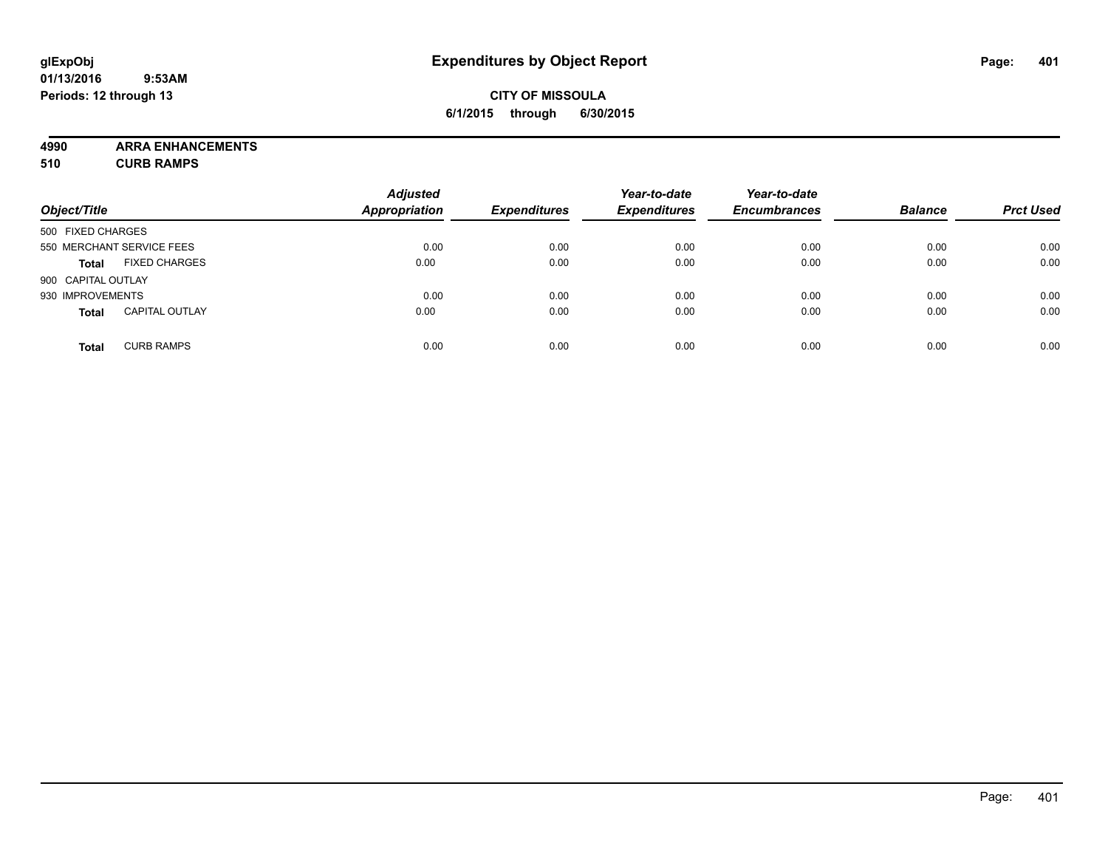### **CITY OF MISSOULA 6/1/2015 through 6/30/2015**

**4990 ARRA ENHANCEMENTS**

**510 CURB RAMPS**

| Object/Title       |                           | <b>Adjusted</b><br><b>Appropriation</b> | <b>Expenditures</b> | Year-to-date<br><b>Expenditures</b> | Year-to-date<br><b>Encumbrances</b> | <b>Balance</b> | <b>Prct Used</b> |
|--------------------|---------------------------|-----------------------------------------|---------------------|-------------------------------------|-------------------------------------|----------------|------------------|
| 500 FIXED CHARGES  |                           |                                         |                     |                                     |                                     |                |                  |
|                    | 550 MERCHANT SERVICE FEES | 0.00                                    | 0.00                | 0.00                                | 0.00                                | 0.00           | 0.00             |
| <b>Total</b>       | <b>FIXED CHARGES</b>      | 0.00                                    | 0.00                | 0.00                                | 0.00                                | 0.00           | 0.00             |
| 900 CAPITAL OUTLAY |                           |                                         |                     |                                     |                                     |                |                  |
| 930 IMPROVEMENTS   |                           | 0.00                                    | 0.00                | 0.00                                | 0.00                                | 0.00           | 0.00             |
| <b>Total</b>       | <b>CAPITAL OUTLAY</b>     | 0.00                                    | 0.00                | 0.00                                | 0.00                                | 0.00           | 0.00             |
| <b>Total</b>       | <b>CURB RAMPS</b>         | 0.00                                    | 0.00                | 0.00                                | 0.00                                | 0.00           | 0.00             |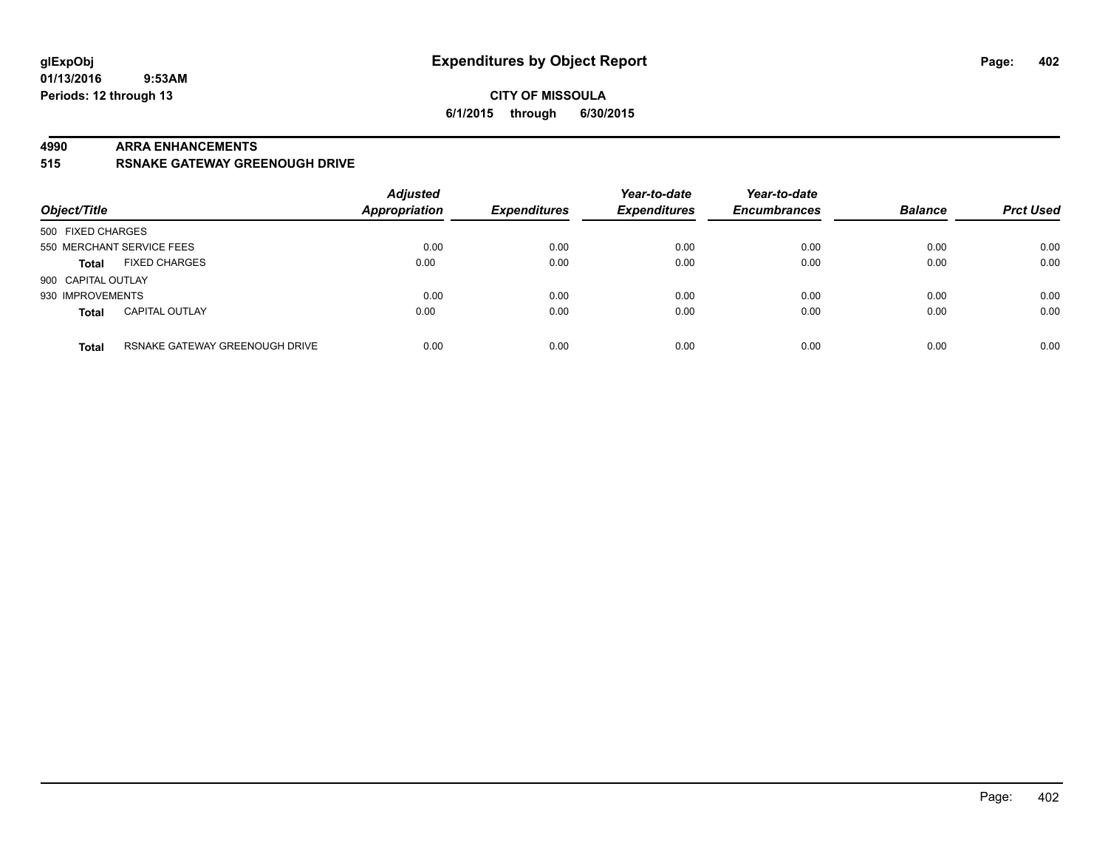#### **4990 ARRA ENHANCEMENTS**

**515 RSNAKE GATEWAY GREENOUGH DRIVE**

| Object/Title       |                                | <b>Adjusted</b><br><b>Appropriation</b> | <b>Expenditures</b> | Year-to-date<br><b>Expenditures</b> | Year-to-date<br><b>Encumbrances</b> | <b>Balance</b> | <b>Prct Used</b> |
|--------------------|--------------------------------|-----------------------------------------|---------------------|-------------------------------------|-------------------------------------|----------------|------------------|
| 500 FIXED CHARGES  |                                |                                         |                     |                                     |                                     |                |                  |
|                    | 550 MERCHANT SERVICE FEES      | 0.00                                    | 0.00                | 0.00                                | 0.00                                | 0.00           | 0.00             |
| <b>Total</b>       | <b>FIXED CHARGES</b>           | 0.00                                    | 0.00                | 0.00                                | 0.00                                | 0.00           | 0.00             |
| 900 CAPITAL OUTLAY |                                |                                         |                     |                                     |                                     |                |                  |
| 930 IMPROVEMENTS   |                                | 0.00                                    | 0.00                | 0.00                                | 0.00                                | 0.00           | 0.00             |
| <b>Total</b>       | <b>CAPITAL OUTLAY</b>          | 0.00                                    | 0.00                | 0.00                                | 0.00                                | 0.00           | 0.00             |
| <b>Total</b>       | RSNAKE GATEWAY GREENOUGH DRIVE | 0.00                                    | 0.00                | 0.00                                | 0.00                                | 0.00           | 0.00             |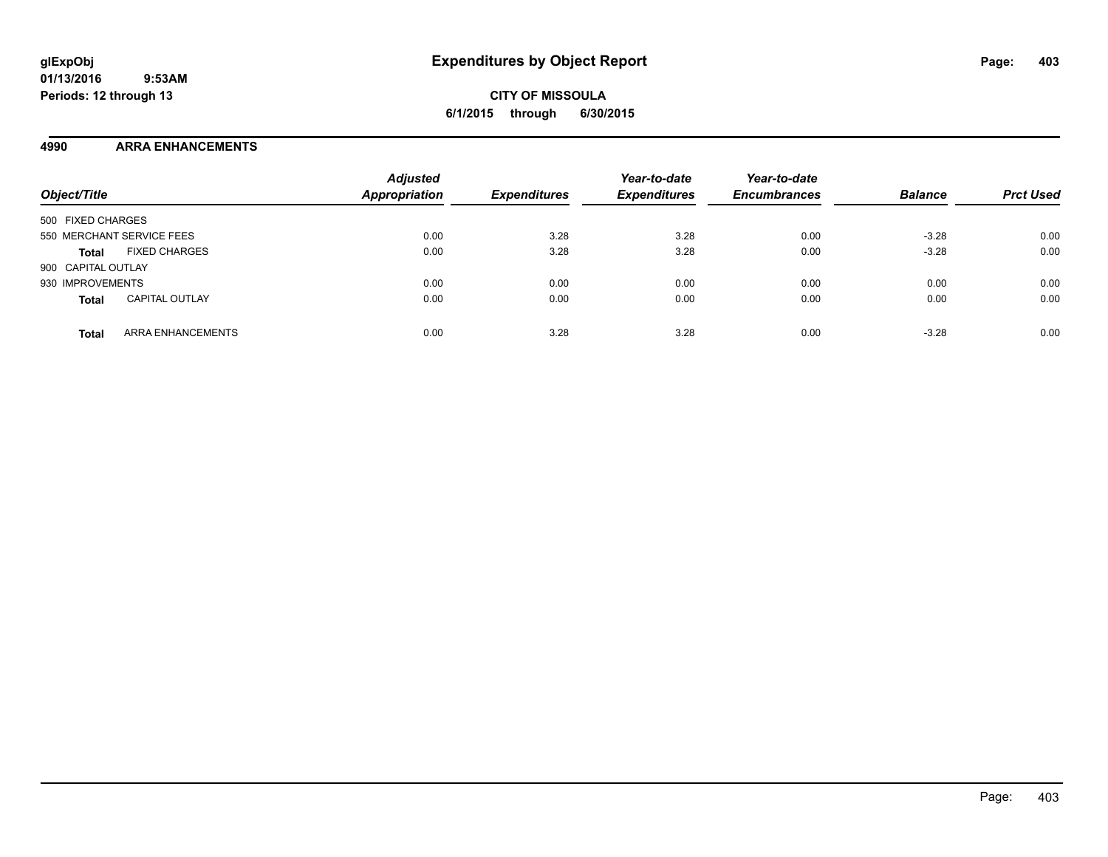### **4990 ARRA ENHANCEMENTS**

| Object/Title                             | <b>Adjusted</b><br>Appropriation | <b>Expenditures</b> | Year-to-date<br><b>Expenditures</b> | Year-to-date<br><b>Encumbrances</b> | <b>Balance</b> | <b>Prct Used</b> |
|------------------------------------------|----------------------------------|---------------------|-------------------------------------|-------------------------------------|----------------|------------------|
| 500 FIXED CHARGES                        |                                  |                     |                                     |                                     |                |                  |
| 550 MERCHANT SERVICE FEES                | 0.00                             | 3.28                | 3.28                                | 0.00                                | $-3.28$        | 0.00             |
| <b>FIXED CHARGES</b><br><b>Total</b>     | 0.00                             | 3.28                | 3.28                                | 0.00                                | $-3.28$        | 0.00             |
| 900 CAPITAL OUTLAY                       |                                  |                     |                                     |                                     |                |                  |
| 930 IMPROVEMENTS                         | 0.00                             | 0.00                | 0.00                                | 0.00                                | 0.00           | 0.00             |
| <b>CAPITAL OUTLAY</b><br><b>Total</b>    | 0.00                             | 0.00                | 0.00                                | 0.00                                | 0.00           | 0.00             |
| <b>ARRA ENHANCEMENTS</b><br><b>Total</b> | 0.00                             | 3.28                | 3.28                                | 0.00                                | $-3.28$        | 0.00             |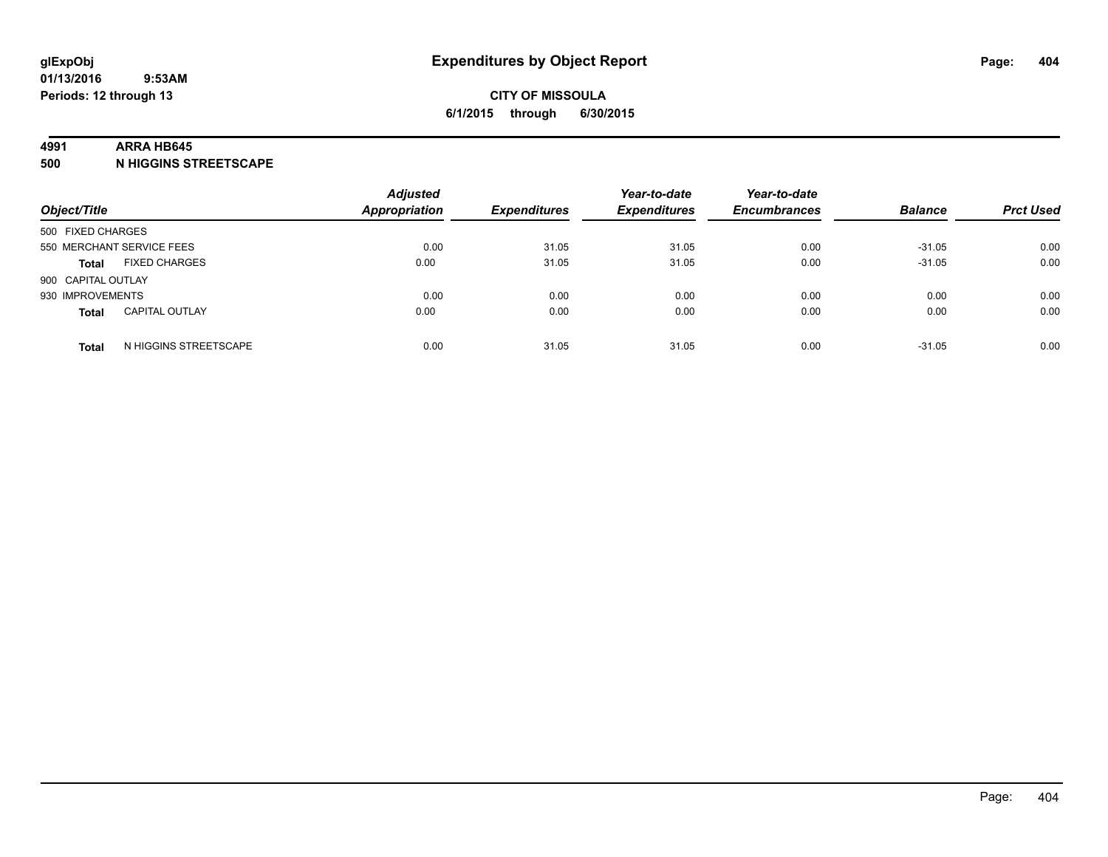#### **4991 ARRA HB645**

**500 N HIGGINS STREETSCAPE**

| Object/Title                          | <b>Adjusted</b><br><b>Appropriation</b> | <b>Expenditures</b> | Year-to-date<br><b>Expenditures</b> | Year-to-date<br><b>Encumbrances</b> | <b>Balance</b> | <b>Prct Used</b> |
|---------------------------------------|-----------------------------------------|---------------------|-------------------------------------|-------------------------------------|----------------|------------------|
| 500 FIXED CHARGES                     |                                         |                     |                                     |                                     |                |                  |
| 550 MERCHANT SERVICE FEES             | 0.00                                    | 31.05               | 31.05                               | 0.00                                | $-31.05$       | 0.00             |
| <b>FIXED CHARGES</b><br><b>Total</b>  | 0.00                                    | 31.05               | 31.05                               | 0.00                                | $-31.05$       | 0.00             |
| 900 CAPITAL OUTLAY                    |                                         |                     |                                     |                                     |                |                  |
| 930 IMPROVEMENTS                      | 0.00                                    | 0.00                | 0.00                                | 0.00                                | 0.00           | 0.00             |
| <b>CAPITAL OUTLAY</b><br><b>Total</b> | 0.00                                    | 0.00                | 0.00                                | 0.00                                | 0.00           | 0.00             |
| N HIGGINS STREETSCAPE<br><b>Total</b> | 0.00                                    | 31.05               | 31.05                               | 0.00                                | $-31.05$       | 0.00             |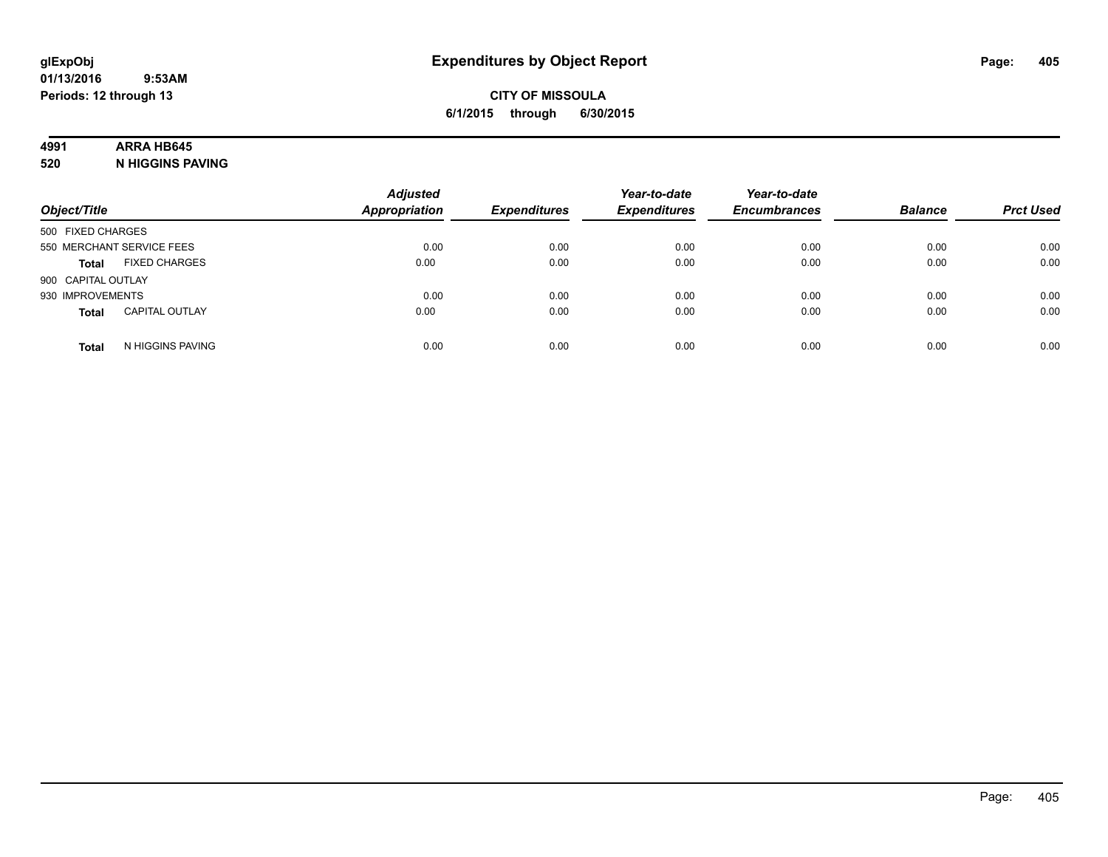### **4991 ARRA HB645**

**520 N HIGGINS PAVING**

| Object/Title       |                           | <b>Adjusted</b><br><b>Appropriation</b> | <b>Expenditures</b> | Year-to-date<br><b>Expenditures</b> | Year-to-date<br><b>Encumbrances</b> | <b>Balance</b> | <b>Prct Used</b> |
|--------------------|---------------------------|-----------------------------------------|---------------------|-------------------------------------|-------------------------------------|----------------|------------------|
| 500 FIXED CHARGES  |                           |                                         |                     |                                     |                                     |                |                  |
|                    | 550 MERCHANT SERVICE FEES | 0.00                                    | 0.00                | 0.00                                | 0.00                                | 0.00           | 0.00             |
| <b>Total</b>       | <b>FIXED CHARGES</b>      | 0.00                                    | 0.00                | 0.00                                | 0.00                                | 0.00           | 0.00             |
| 900 CAPITAL OUTLAY |                           |                                         |                     |                                     |                                     |                |                  |
| 930 IMPROVEMENTS   |                           | 0.00                                    | 0.00                | 0.00                                | 0.00                                | 0.00           | 0.00             |
| <b>Total</b>       | <b>CAPITAL OUTLAY</b>     | 0.00                                    | 0.00                | 0.00                                | 0.00                                | 0.00           | 0.00             |
| <b>Total</b>       | N HIGGINS PAVING          | 0.00                                    | 0.00                | 0.00                                | 0.00                                | 0.00           | 0.00             |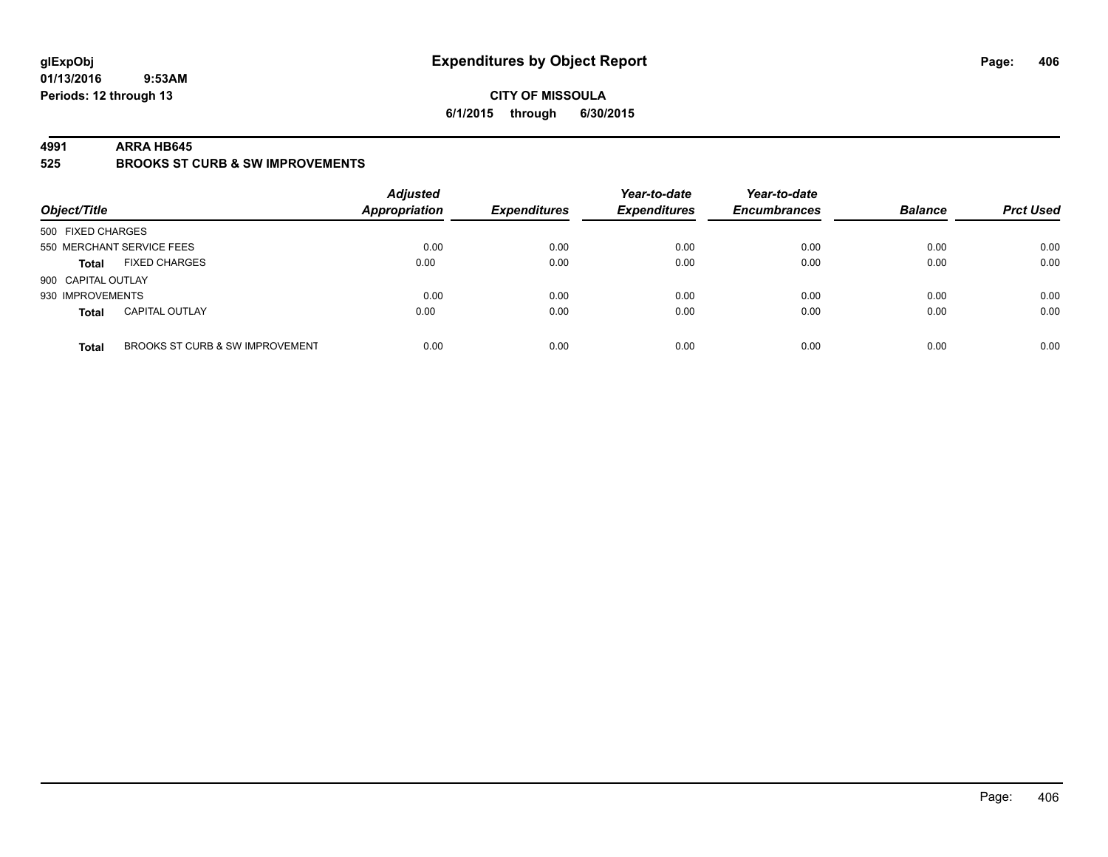### **CITY OF MISSOULA 6/1/2015 through 6/30/2015**

#### **4991 ARRA HB645**

**525 BROOKS ST CURB & SW IMPROVEMENTS**

| Object/Title       |                                 | <b>Adjusted</b><br><b>Appropriation</b> | <b>Expenditures</b> | Year-to-date<br><b>Expenditures</b> | Year-to-date<br><b>Encumbrances</b> | <b>Balance</b> | <b>Prct Used</b> |
|--------------------|---------------------------------|-----------------------------------------|---------------------|-------------------------------------|-------------------------------------|----------------|------------------|
| 500 FIXED CHARGES  |                                 |                                         |                     |                                     |                                     |                |                  |
|                    | 550 MERCHANT SERVICE FEES       | 0.00                                    | 0.00                | 0.00                                | 0.00                                | 0.00           | 0.00             |
| <b>Total</b>       | <b>FIXED CHARGES</b>            | 0.00                                    | 0.00                | 0.00                                | 0.00                                | 0.00           | 0.00             |
| 900 CAPITAL OUTLAY |                                 |                                         |                     |                                     |                                     |                |                  |
| 930 IMPROVEMENTS   |                                 | 0.00                                    | 0.00                | 0.00                                | 0.00                                | 0.00           | 0.00             |
| <b>Total</b>       | <b>CAPITAL OUTLAY</b>           | 0.00                                    | 0.00                | 0.00                                | 0.00                                | 0.00           | 0.00             |
| <b>Total</b>       | BROOKS ST CURB & SW IMPROVEMENT | 0.00                                    | 0.00                | 0.00                                | 0.00                                | 0.00           | 0.00             |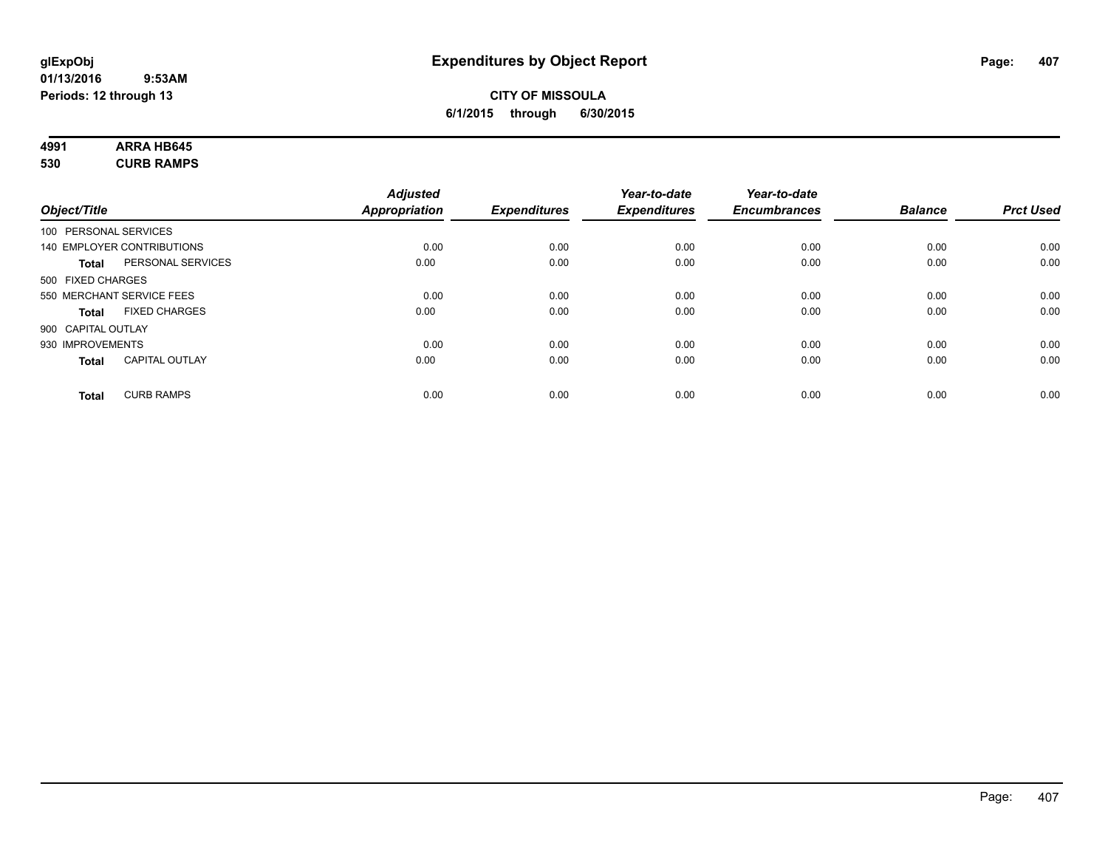# **4991 ARRA HB645**

**530 CURB RAMPS**

|              |                                   | <b>Adjusted</b>      |                     | Year-to-date        | Year-to-date        |                |                  |
|--------------|-----------------------------------|----------------------|---------------------|---------------------|---------------------|----------------|------------------|
| Object/Title |                                   | <b>Appropriation</b> | <b>Expenditures</b> | <b>Expenditures</b> | <b>Encumbrances</b> | <b>Balance</b> | <b>Prct Used</b> |
|              | 100 PERSONAL SERVICES             |                      |                     |                     |                     |                |                  |
|              | 140 EMPLOYER CONTRIBUTIONS        | 0.00                 | 0.00                | 0.00                | 0.00                | 0.00           | 0.00             |
|              | PERSONAL SERVICES<br><b>Total</b> | 0.00                 | 0.00                | 0.00                | 0.00                | 0.00           | 0.00             |
|              | 500 FIXED CHARGES                 |                      |                     |                     |                     |                |                  |
|              | 550 MERCHANT SERVICE FEES         | 0.00                 | 0.00                | 0.00                | 0.00                | 0.00           | 0.00             |
|              | <b>FIXED CHARGES</b><br>Total     | 0.00                 | 0.00                | 0.00                | 0.00                | 0.00           | 0.00             |
|              | 900 CAPITAL OUTLAY                |                      |                     |                     |                     |                |                  |
|              | 930 IMPROVEMENTS                  | 0.00                 | 0.00                | 0.00                | 0.00                | 0.00           | 0.00             |
|              | <b>CAPITAL OUTLAY</b><br>Total    | 0.00                 | 0.00                | 0.00                | 0.00                | 0.00           | 0.00             |
|              | <b>CURB RAMPS</b><br><b>Total</b> | 0.00                 | 0.00                | 0.00                | 0.00                | 0.00           | 0.00             |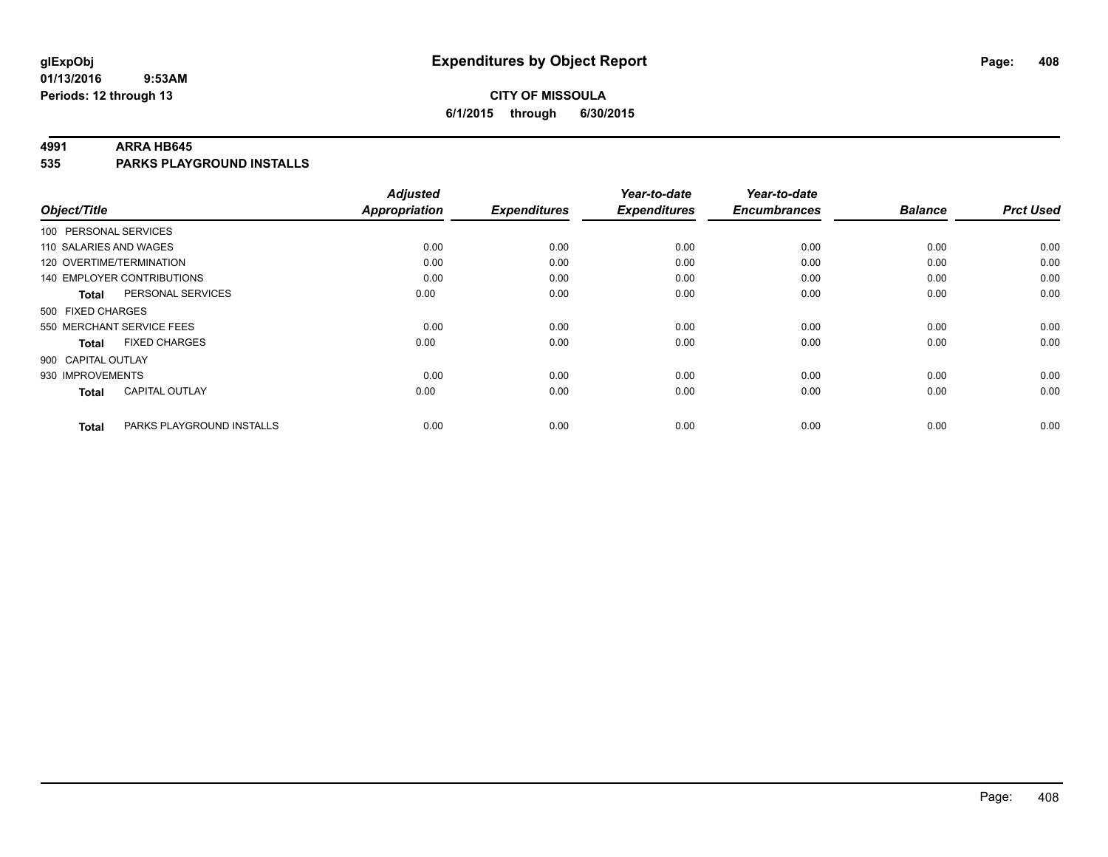### **CITY OF MISSOULA 6/1/2015 through 6/30/2015**

#### **4991 ARRA HB645**

**535 PARKS PLAYGROUND INSTALLS**

| Object/Title                              | <b>Adjusted</b><br><b>Appropriation</b> | <b>Expenditures</b> | Year-to-date<br><b>Expenditures</b> | Year-to-date<br><b>Encumbrances</b> | <b>Balance</b> | <b>Prct Used</b> |
|-------------------------------------------|-----------------------------------------|---------------------|-------------------------------------|-------------------------------------|----------------|------------------|
|                                           |                                         |                     |                                     |                                     |                |                  |
| 100 PERSONAL SERVICES                     |                                         |                     |                                     |                                     |                |                  |
| 110 SALARIES AND WAGES                    | 0.00                                    | 0.00                | 0.00                                | 0.00                                | 0.00           | 0.00             |
| 120 OVERTIME/TERMINATION                  | 0.00                                    | 0.00                | 0.00                                | 0.00                                | 0.00           | 0.00             |
| 140 EMPLOYER CONTRIBUTIONS                | 0.00                                    | 0.00                | 0.00                                | 0.00                                | 0.00           | 0.00             |
| PERSONAL SERVICES<br><b>Total</b>         | 0.00                                    | 0.00                | 0.00                                | 0.00                                | 0.00           | 0.00             |
| 500 FIXED CHARGES                         |                                         |                     |                                     |                                     |                |                  |
| 550 MERCHANT SERVICE FEES                 | 0.00                                    | 0.00                | 0.00                                | 0.00                                | 0.00           | 0.00             |
| <b>FIXED CHARGES</b><br><b>Total</b>      | 0.00                                    | 0.00                | 0.00                                | 0.00                                | 0.00           | 0.00             |
| 900 CAPITAL OUTLAY                        |                                         |                     |                                     |                                     |                |                  |
| 930 IMPROVEMENTS                          | 0.00                                    | 0.00                | 0.00                                | 0.00                                | 0.00           | 0.00             |
| <b>CAPITAL OUTLAY</b><br><b>Total</b>     | 0.00                                    | 0.00                | 0.00                                | 0.00                                | 0.00           | 0.00             |
| PARKS PLAYGROUND INSTALLS<br><b>Total</b> | 0.00                                    | 0.00                | 0.00                                | 0.00                                | 0.00           | 0.00             |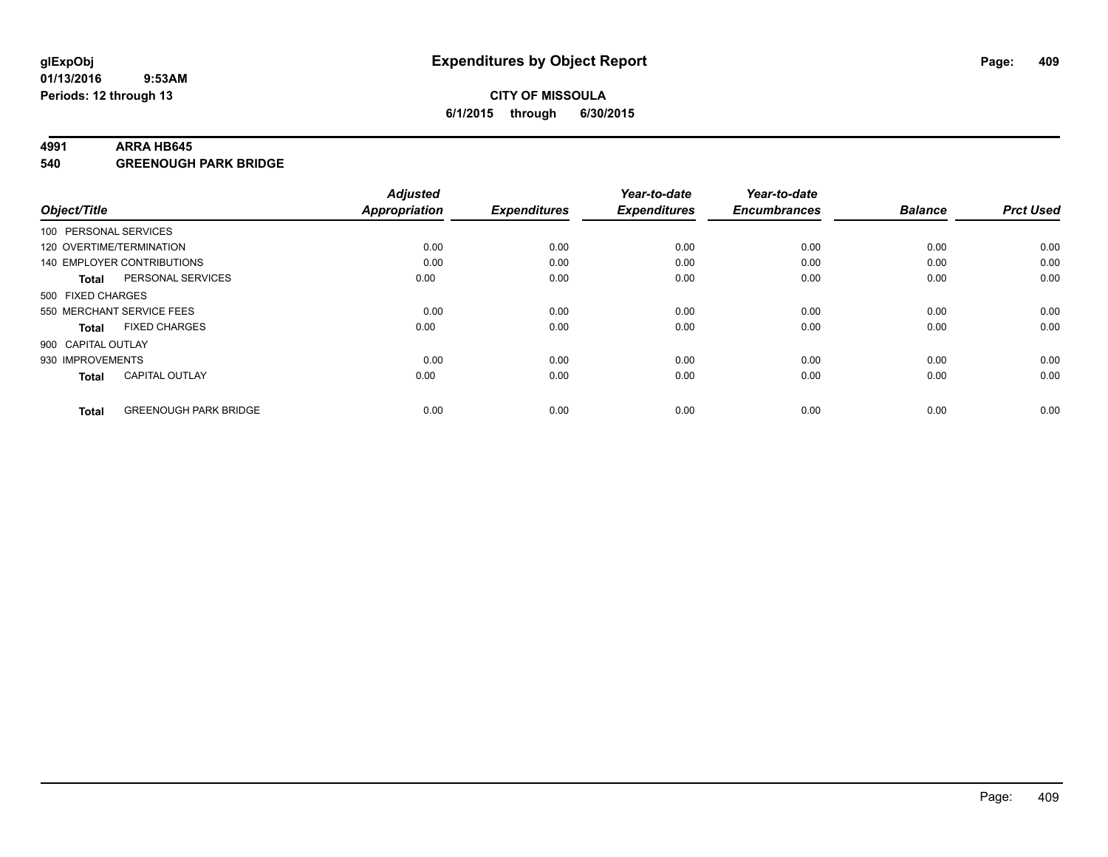#### **4991 ARRA HB645**

**540 GREENOUGH PARK BRIDGE**

| Object/Title       |                              | <b>Adjusted</b><br><b>Appropriation</b> | <b>Expenditures</b> | Year-to-date<br><b>Expenditures</b> | Year-to-date<br><b>Encumbrances</b> | <b>Balance</b> | <b>Prct Used</b> |
|--------------------|------------------------------|-----------------------------------------|---------------------|-------------------------------------|-------------------------------------|----------------|------------------|
|                    | 100 PERSONAL SERVICES        |                                         |                     |                                     |                                     |                |                  |
|                    | 120 OVERTIME/TERMINATION     | 0.00                                    | 0.00                | 0.00                                | 0.00                                | 0.00           | 0.00             |
|                    | 140 EMPLOYER CONTRIBUTIONS   | 0.00                                    | 0.00                | 0.00                                | 0.00                                | 0.00           | 0.00             |
| Total              | PERSONAL SERVICES            | 0.00                                    | 0.00                | 0.00                                | 0.00                                | 0.00           | 0.00             |
| 500 FIXED CHARGES  |                              |                                         |                     |                                     |                                     |                |                  |
|                    | 550 MERCHANT SERVICE FEES    | 0.00                                    | 0.00                | 0.00                                | 0.00                                | 0.00           | 0.00             |
| <b>Total</b>       | <b>FIXED CHARGES</b>         | 0.00                                    | 0.00                | 0.00                                | 0.00                                | 0.00           | 0.00             |
| 900 CAPITAL OUTLAY |                              |                                         |                     |                                     |                                     |                |                  |
| 930 IMPROVEMENTS   |                              | 0.00                                    | 0.00                | 0.00                                | 0.00                                | 0.00           | 0.00             |
| <b>Total</b>       | <b>CAPITAL OUTLAY</b>        | 0.00                                    | 0.00                | 0.00                                | 0.00                                | 0.00           | 0.00             |
| <b>Total</b>       | <b>GREENOUGH PARK BRIDGE</b> | 0.00                                    | 0.00                | 0.00                                | 0.00                                | 0.00           | 0.00             |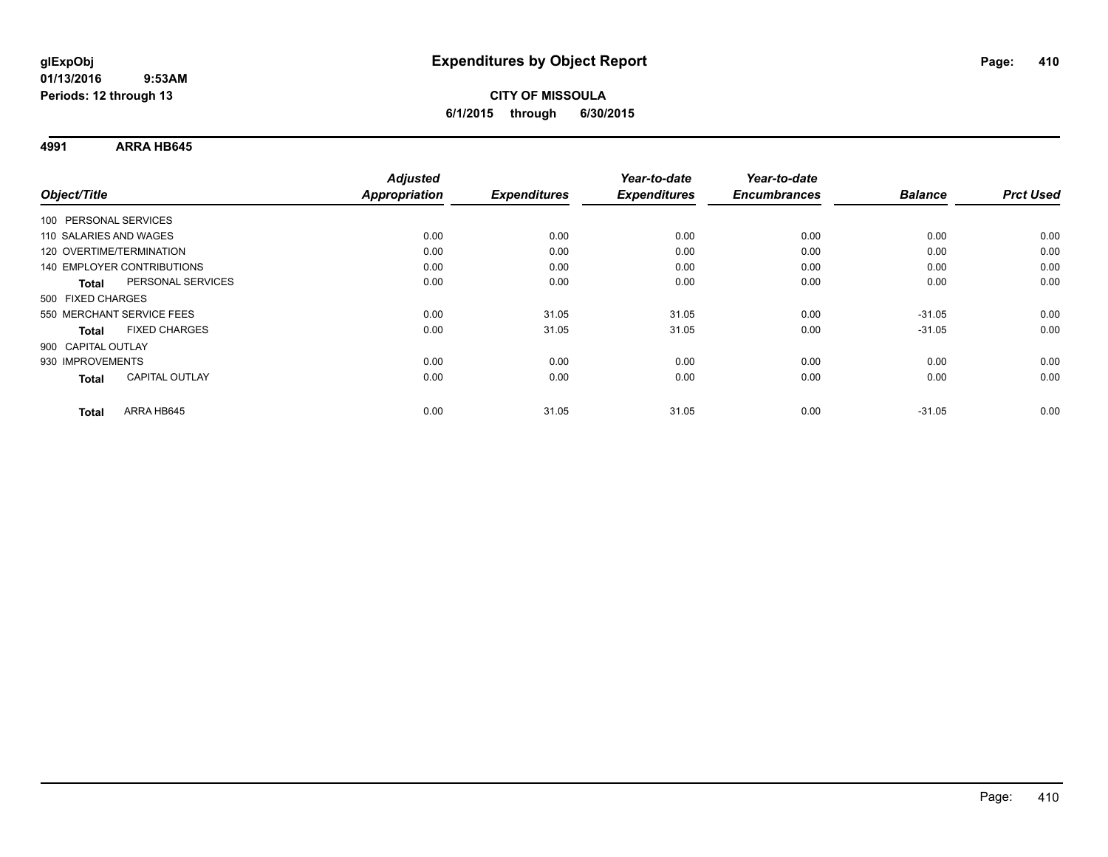**4991 ARRA HB645**

|                           |                                   | <b>Adjusted</b> |                     | Year-to-date        | Year-to-date        |                |                  |
|---------------------------|-----------------------------------|-----------------|---------------------|---------------------|---------------------|----------------|------------------|
| Object/Title              |                                   | Appropriation   | <b>Expenditures</b> | <b>Expenditures</b> | <b>Encumbrances</b> | <b>Balance</b> | <b>Prct Used</b> |
| 100 PERSONAL SERVICES     |                                   |                 |                     |                     |                     |                |                  |
| 110 SALARIES AND WAGES    |                                   | 0.00            | 0.00                | 0.00                | 0.00                | 0.00           | 0.00             |
| 120 OVERTIME/TERMINATION  |                                   | 0.00            | 0.00                | 0.00                | 0.00                | 0.00           | 0.00             |
|                           | <b>140 EMPLOYER CONTRIBUTIONS</b> | 0.00            | 0.00                | 0.00                | 0.00                | 0.00           | 0.00             |
| Total                     | PERSONAL SERVICES                 | 0.00            | 0.00                | 0.00                | 0.00                | 0.00           | 0.00             |
| 500 FIXED CHARGES         |                                   |                 |                     |                     |                     |                |                  |
| 550 MERCHANT SERVICE FEES |                                   | 0.00            | 31.05               | 31.05               | 0.00                | $-31.05$       | 0.00             |
| Total                     | <b>FIXED CHARGES</b>              | 0.00            | 31.05               | 31.05               | 0.00                | $-31.05$       | 0.00             |
| 900 CAPITAL OUTLAY        |                                   |                 |                     |                     |                     |                |                  |
| 930 IMPROVEMENTS          |                                   | 0.00            | 0.00                | 0.00                | 0.00                | 0.00           | 0.00             |
| Total                     | <b>CAPITAL OUTLAY</b>             | 0.00            | 0.00                | 0.00                | 0.00                | 0.00           | 0.00             |
| <b>Total</b>              | ARRA HB645                        | 0.00            | 31.05               | 31.05               | 0.00                | $-31.05$       | 0.00             |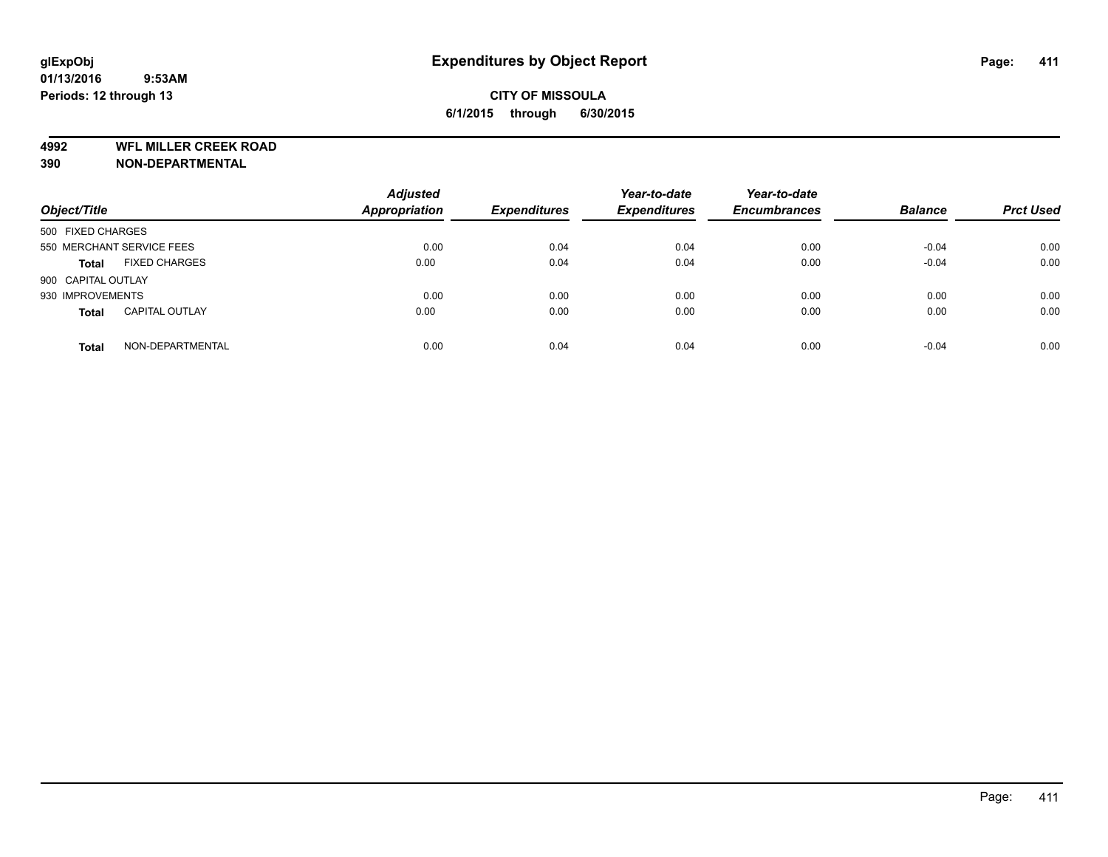**4992 WFL MILLER CREEK ROAD**

**390 NON-DEPARTMENTAL**

| Object/Title       |                           | <b>Adjusted</b><br>Appropriation | <b>Expenditures</b> | Year-to-date<br><b>Expenditures</b> | Year-to-date<br><b>Encumbrances</b> | <b>Balance</b> | <b>Prct Used</b> |
|--------------------|---------------------------|----------------------------------|---------------------|-------------------------------------|-------------------------------------|----------------|------------------|
| 500 FIXED CHARGES  |                           |                                  |                     |                                     |                                     |                |                  |
|                    | 550 MERCHANT SERVICE FEES | 0.00                             | 0.04                | 0.04                                | 0.00                                | $-0.04$        | 0.00             |
| <b>Total</b>       | <b>FIXED CHARGES</b>      | 0.00                             | 0.04                | 0.04                                | 0.00                                | $-0.04$        | 0.00             |
| 900 CAPITAL OUTLAY |                           |                                  |                     |                                     |                                     |                |                  |
| 930 IMPROVEMENTS   |                           | 0.00                             | 0.00                | 0.00                                | 0.00                                | 0.00           | 0.00             |
| <b>Total</b>       | <b>CAPITAL OUTLAY</b>     | 0.00                             | 0.00                | 0.00                                | 0.00                                | 0.00           | 0.00             |
| <b>Total</b>       | NON-DEPARTMENTAL          | 0.00                             | 0.04                | 0.04                                | 0.00                                | $-0.04$        | 0.00             |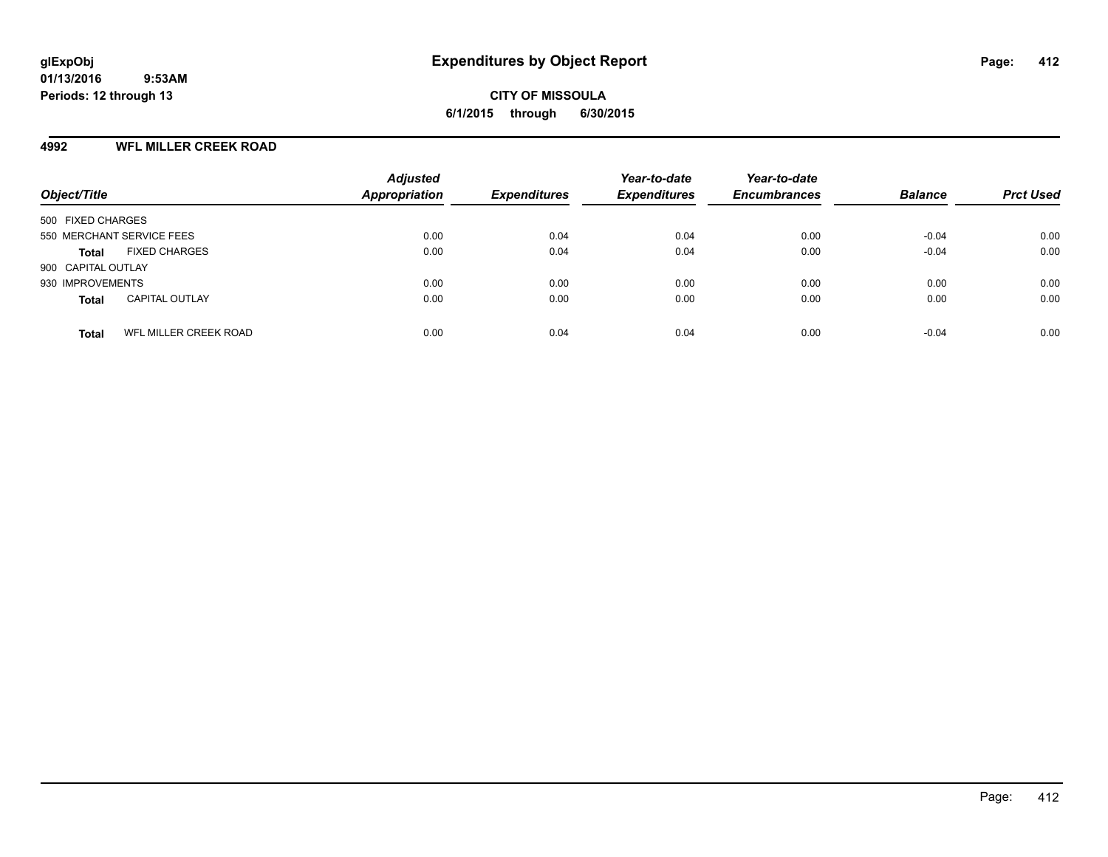### **4992 WFL MILLER CREEK ROAD**

| Object/Title                          | <b>Adjusted</b><br>Appropriation | <b>Expenditures</b> | Year-to-date<br><b>Expenditures</b> | Year-to-date<br><b>Encumbrances</b> | <b>Balance</b> | <b>Prct Used</b> |
|---------------------------------------|----------------------------------|---------------------|-------------------------------------|-------------------------------------|----------------|------------------|
| 500 FIXED CHARGES                     |                                  |                     |                                     |                                     |                |                  |
| 550 MERCHANT SERVICE FEES             | 0.00                             | 0.04                | 0.04                                | 0.00                                | $-0.04$        | 0.00             |
| <b>FIXED CHARGES</b><br><b>Total</b>  | 0.00                             | 0.04                | 0.04                                | 0.00                                | $-0.04$        | 0.00             |
| 900 CAPITAL OUTLAY                    |                                  |                     |                                     |                                     |                |                  |
| 930 IMPROVEMENTS                      | 0.00                             | 0.00                | 0.00                                | 0.00                                | 0.00           | 0.00             |
| <b>CAPITAL OUTLAY</b><br><b>Total</b> | 0.00                             | 0.00                | 0.00                                | 0.00                                | 0.00           | 0.00             |
| WFL MILLER CREEK ROAD<br><b>Total</b> | 0.00                             | 0.04                | 0.04                                | 0.00                                | $-0.04$        | 0.00             |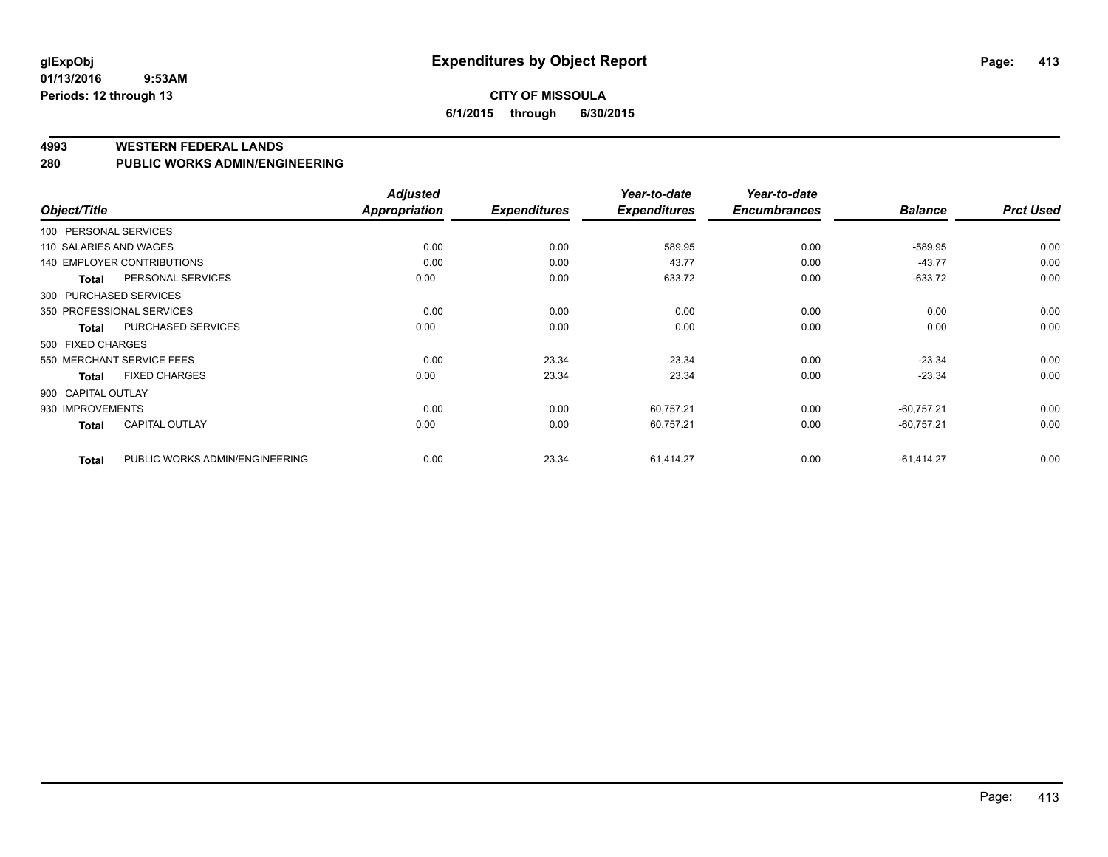### **CITY OF MISSOULA 6/1/2015 through 6/30/2015**

#### **4993 WESTERN FEDERAL LANDS**

#### **280 PUBLIC WORKS ADMIN/ENGINEERING**

| Object/Title           |                                   | <b>Adjusted</b><br><b>Appropriation</b> | <b>Expenditures</b> | Year-to-date<br><b>Expenditures</b> | Year-to-date<br><b>Encumbrances</b> | <b>Balance</b> | <b>Prct Used</b> |
|------------------------|-----------------------------------|-----------------------------------------|---------------------|-------------------------------------|-------------------------------------|----------------|------------------|
|                        |                                   |                                         |                     |                                     |                                     |                |                  |
| 100 PERSONAL SERVICES  |                                   |                                         |                     |                                     |                                     |                |                  |
| 110 SALARIES AND WAGES |                                   | 0.00                                    | 0.00                | 589.95                              | 0.00                                | $-589.95$      | 0.00             |
|                        | <b>140 EMPLOYER CONTRIBUTIONS</b> | 0.00                                    | 0.00                | 43.77                               | 0.00                                | $-43.77$       | 0.00             |
| <b>Total</b>           | PERSONAL SERVICES                 | 0.00                                    | 0.00                | 633.72                              | 0.00                                | $-633.72$      | 0.00             |
|                        | 300 PURCHASED SERVICES            |                                         |                     |                                     |                                     |                |                  |
|                        | 350 PROFESSIONAL SERVICES         | 0.00                                    | 0.00                | 0.00                                | 0.00                                | 0.00           | 0.00             |
| <b>Total</b>           | PURCHASED SERVICES                | 0.00                                    | 0.00                | 0.00                                | 0.00                                | 0.00           | 0.00             |
| 500 FIXED CHARGES      |                                   |                                         |                     |                                     |                                     |                |                  |
|                        | 550 MERCHANT SERVICE FEES         | 0.00                                    | 23.34               | 23.34                               | 0.00                                | $-23.34$       | 0.00             |
| <b>Total</b>           | <b>FIXED CHARGES</b>              | 0.00                                    | 23.34               | 23.34                               | 0.00                                | $-23.34$       | 0.00             |
| 900 CAPITAL OUTLAY     |                                   |                                         |                     |                                     |                                     |                |                  |
| 930 IMPROVEMENTS       |                                   | 0.00                                    | 0.00                | 60,757.21                           | 0.00                                | $-60,757.21$   | 0.00             |
| Total                  | <b>CAPITAL OUTLAY</b>             | 0.00                                    | 0.00                | 60,757.21                           | 0.00                                | $-60,757.21$   | 0.00             |
| <b>Total</b>           | PUBLIC WORKS ADMIN/ENGINEERING    | 0.00                                    | 23.34               | 61,414.27                           | 0.00                                | $-61,414.27$   | 0.00             |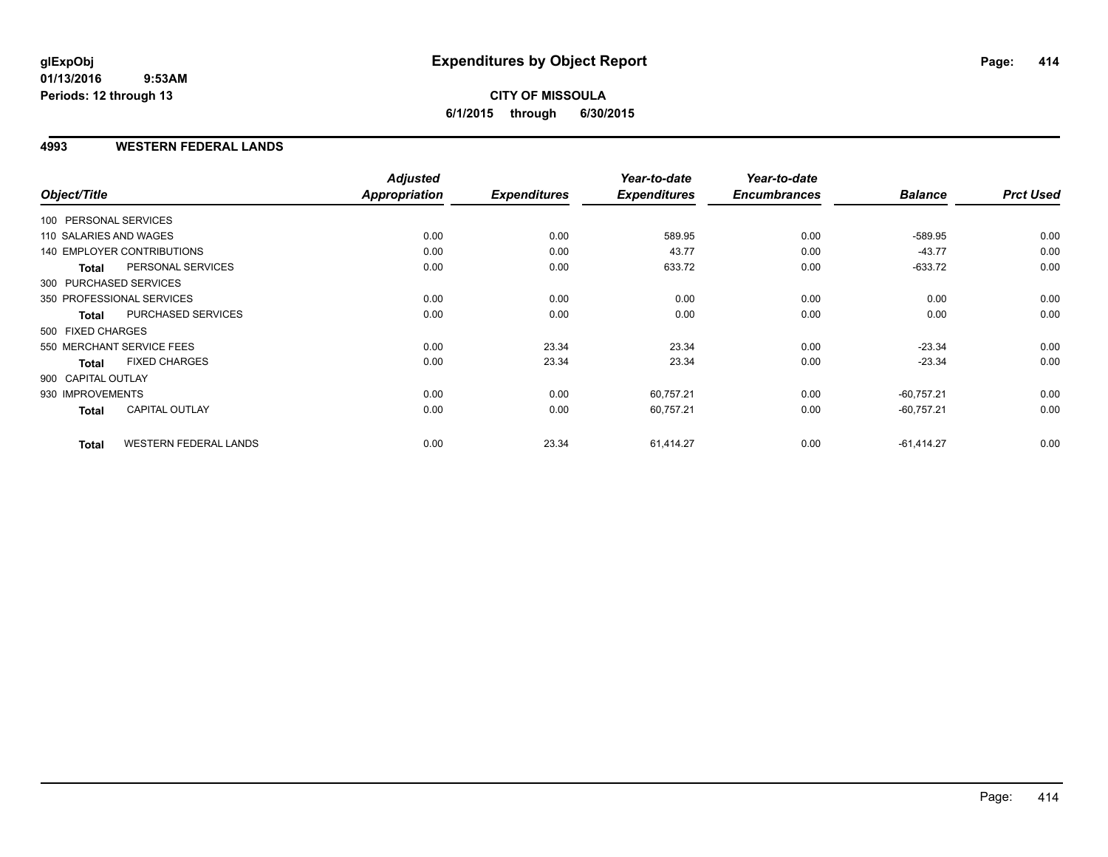### **CITY OF MISSOULA 6/1/2015 through 6/30/2015**

### **4993 WESTERN FEDERAL LANDS**

| Object/Title           |                                   | <b>Adjusted</b><br>Appropriation | <b>Expenditures</b> | Year-to-date<br><b>Expenditures</b> | Year-to-date<br><b>Encumbrances</b> | <b>Balance</b> | <b>Prct Used</b> |
|------------------------|-----------------------------------|----------------------------------|---------------------|-------------------------------------|-------------------------------------|----------------|------------------|
| 100 PERSONAL SERVICES  |                                   |                                  |                     |                                     |                                     |                |                  |
| 110 SALARIES AND WAGES |                                   | 0.00                             | 0.00                | 589.95                              | 0.00                                | $-589.95$      | 0.00             |
|                        | <b>140 EMPLOYER CONTRIBUTIONS</b> | 0.00                             | 0.00                | 43.77                               | 0.00                                | $-43.77$       | 0.00             |
| <b>Total</b>           | PERSONAL SERVICES                 | 0.00                             | 0.00                | 633.72                              | 0.00                                | $-633.72$      | 0.00             |
| 300 PURCHASED SERVICES |                                   |                                  |                     |                                     |                                     |                |                  |
|                        | 350 PROFESSIONAL SERVICES         | 0.00                             | 0.00                | 0.00                                | 0.00                                | 0.00           | 0.00             |
| <b>Total</b>           | PURCHASED SERVICES                | 0.00                             | 0.00                | 0.00                                | 0.00                                | 0.00           | 0.00             |
| 500 FIXED CHARGES      |                                   |                                  |                     |                                     |                                     |                |                  |
|                        | 550 MERCHANT SERVICE FEES         | 0.00                             | 23.34               | 23.34                               | 0.00                                | $-23.34$       | 0.00             |
| <b>Total</b>           | <b>FIXED CHARGES</b>              | 0.00                             | 23.34               | 23.34                               | 0.00                                | $-23.34$       | 0.00             |
| 900 CAPITAL OUTLAY     |                                   |                                  |                     |                                     |                                     |                |                  |
| 930 IMPROVEMENTS       |                                   | 0.00                             | 0.00                | 60,757.21                           | 0.00                                | $-60,757.21$   | 0.00             |
| Total                  | <b>CAPITAL OUTLAY</b>             | 0.00                             | 0.00                | 60,757.21                           | 0.00                                | $-60,757.21$   | 0.00             |
| <b>Total</b>           | <b>WESTERN FEDERAL LANDS</b>      | 0.00                             | 23.34               | 61,414.27                           | 0.00                                | $-61,414.27$   | 0.00             |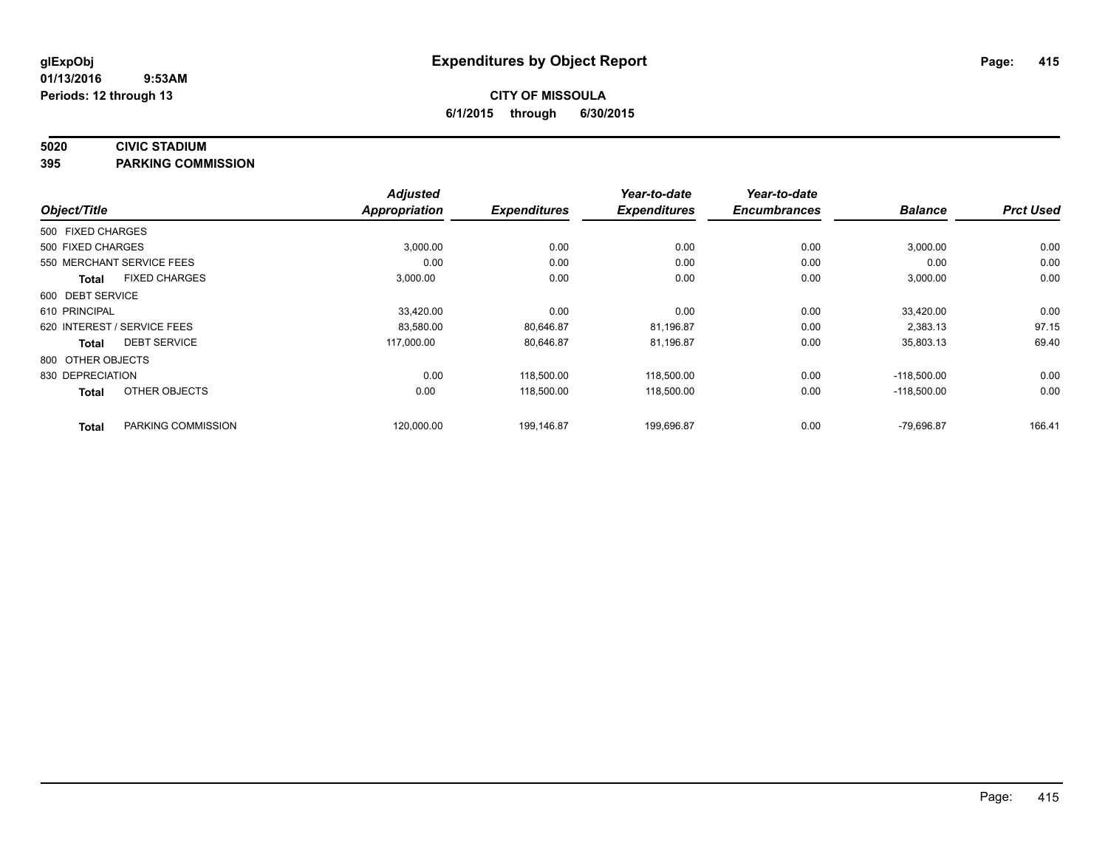#### **5020 CIVIC STADIUM**

**395 PARKING COMMISSION**

| Object/Title                |                      | <b>Adjusted</b><br><b>Appropriation</b> | <b>Expenditures</b> | Year-to-date<br><b>Expenditures</b> | Year-to-date<br><b>Encumbrances</b> | <b>Balance</b> | <b>Prct Used</b> |
|-----------------------------|----------------------|-----------------------------------------|---------------------|-------------------------------------|-------------------------------------|----------------|------------------|
|                             |                      |                                         |                     |                                     |                                     |                |                  |
| 500 FIXED CHARGES           |                      |                                         |                     |                                     |                                     |                |                  |
| 500 FIXED CHARGES           |                      | 3,000.00                                | 0.00                | 0.00                                | 0.00                                | 3,000.00       | 0.00             |
| 550 MERCHANT SERVICE FEES   |                      | 0.00                                    | 0.00                | 0.00                                | 0.00                                | 0.00           | 0.00             |
| <b>Total</b>                | <b>FIXED CHARGES</b> | 3,000.00                                | 0.00                | 0.00                                | 0.00                                | 3,000.00       | 0.00             |
| 600 DEBT SERVICE            |                      |                                         |                     |                                     |                                     |                |                  |
| 610 PRINCIPAL               |                      | 33,420.00                               | 0.00                | 0.00                                | 0.00                                | 33,420.00      | 0.00             |
| 620 INTEREST / SERVICE FEES |                      | 83,580.00                               | 80,646.87           | 81,196.87                           | 0.00                                | 2,383.13       | 97.15            |
| <b>Total</b>                | <b>DEBT SERVICE</b>  | 117,000.00                              | 80,646.87           | 81,196.87                           | 0.00                                | 35,803.13      | 69.40            |
| 800 OTHER OBJECTS           |                      |                                         |                     |                                     |                                     |                |                  |
| 830 DEPRECIATION            |                      | 0.00                                    | 118,500.00          | 118,500.00                          | 0.00                                | $-118,500.00$  | 0.00             |
| <b>Total</b>                | OTHER OBJECTS        | 0.00                                    | 118,500.00          | 118,500.00                          | 0.00                                | $-118,500.00$  | 0.00             |
| <b>Total</b>                | PARKING COMMISSION   | 120,000.00                              | 199,146.87          | 199,696.87                          | 0.00                                | $-79,696.87$   | 166.41           |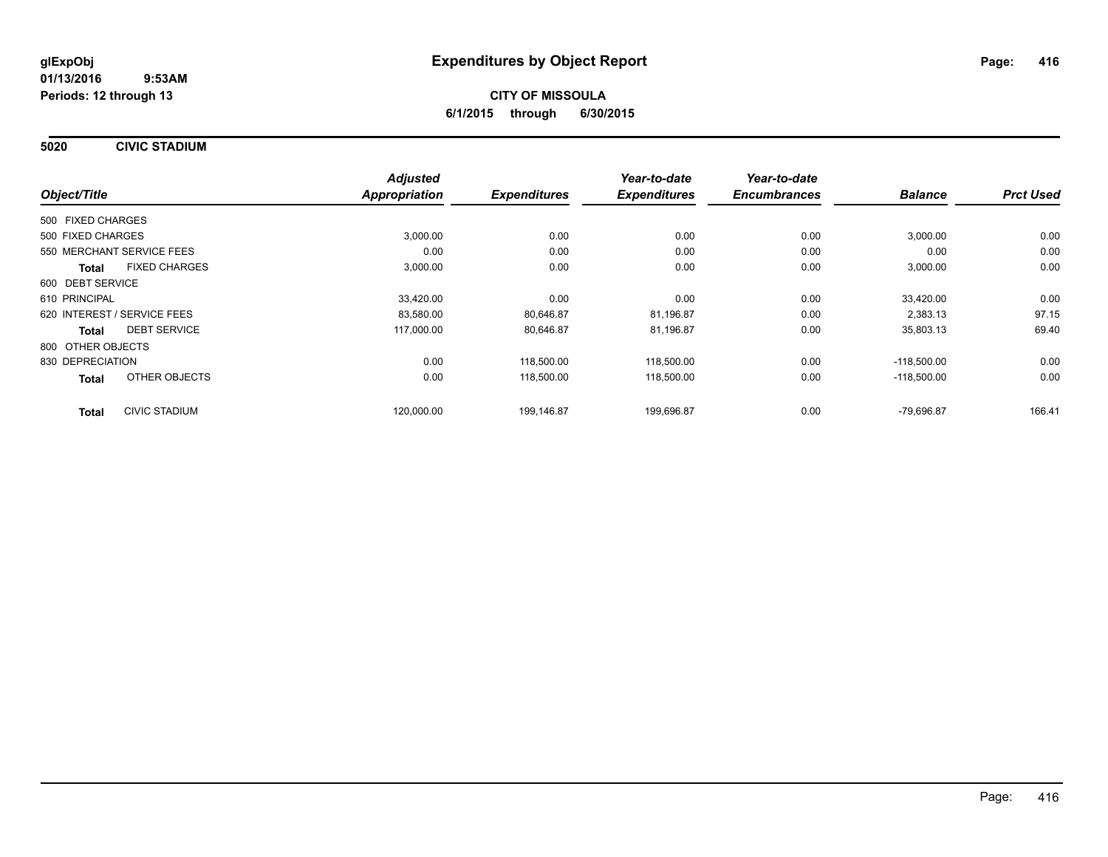**5020 CIVIC STADIUM**

|                                      | <b>Adjusted</b>      |                     | Year-to-date        | Year-to-date        |                |                  |
|--------------------------------------|----------------------|---------------------|---------------------|---------------------|----------------|------------------|
| Object/Title                         | <b>Appropriation</b> | <b>Expenditures</b> | <b>Expenditures</b> | <b>Encumbrances</b> | <b>Balance</b> | <b>Prct Used</b> |
| 500 FIXED CHARGES                    |                      |                     |                     |                     |                |                  |
| 500 FIXED CHARGES                    | 3,000.00             | 0.00                | 0.00                | 0.00                | 3,000.00       | 0.00             |
| 550 MERCHANT SERVICE FEES            | 0.00                 | 0.00                | 0.00                | 0.00                | 0.00           | 0.00             |
| <b>FIXED CHARGES</b><br><b>Total</b> | 3,000.00             | 0.00                | 0.00                | 0.00                | 3,000.00       | 0.00             |
| 600 DEBT SERVICE                     |                      |                     |                     |                     |                |                  |
| 610 PRINCIPAL                        | 33,420.00            | 0.00                | 0.00                | 0.00                | 33.420.00      | 0.00             |
| 620 INTEREST / SERVICE FEES          | 83,580.00            | 80,646.87           | 81,196.87           | 0.00                | 2,383.13       | 97.15            |
| <b>DEBT SERVICE</b><br>Total         | 117,000.00           | 80,646.87           | 81,196.87           | 0.00                | 35,803.13      | 69.40            |
| 800 OTHER OBJECTS                    |                      |                     |                     |                     |                |                  |
| 830 DEPRECIATION                     | 0.00                 | 118,500.00          | 118,500.00          | 0.00                | $-118,500.00$  | 0.00             |
| OTHER OBJECTS<br><b>Total</b>        | 0.00                 | 118,500.00          | 118,500.00          | 0.00                | $-118,500.00$  | 0.00             |
| <b>CIVIC STADIUM</b><br><b>Total</b> | 120,000.00           | 199.146.87          | 199.696.87          | 0.00                | -79.696.87     | 166.41           |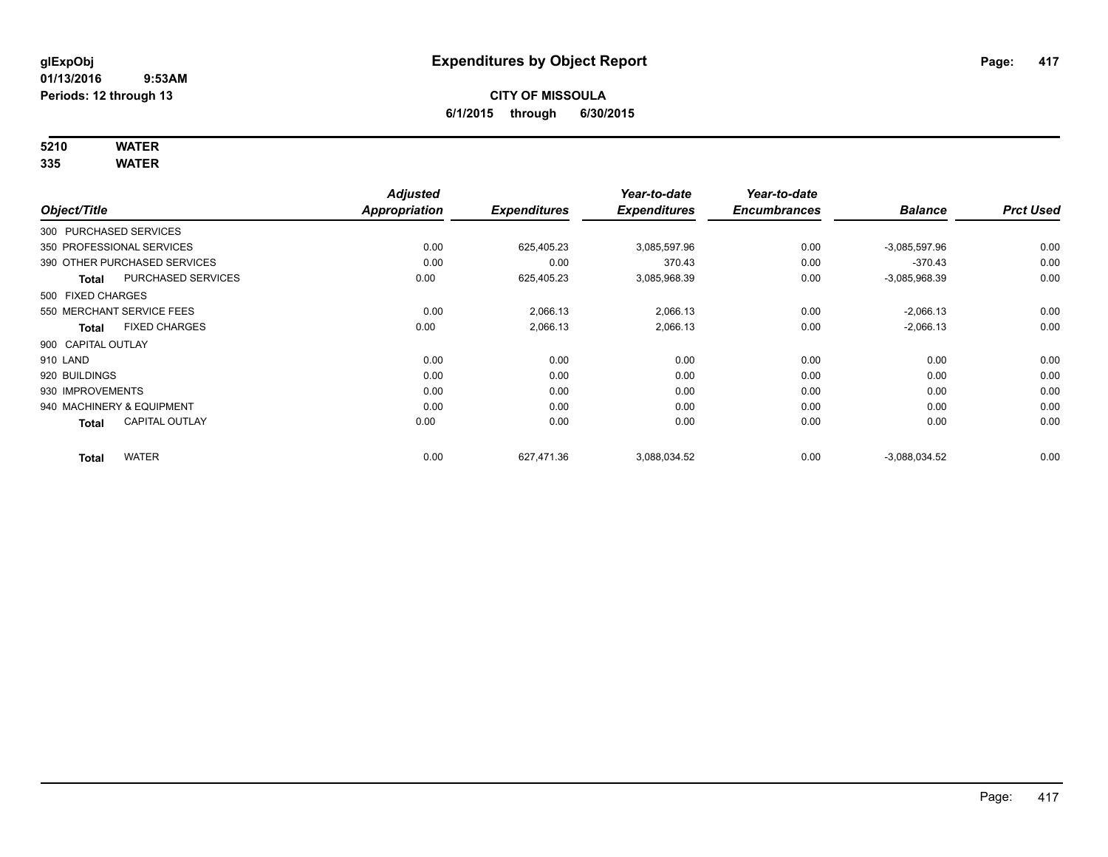# **5210 WATER**

**335 WATER**

|                        |                              | <b>Adjusted</b>      |                     | Year-to-date        | Year-to-date        |                 |                  |
|------------------------|------------------------------|----------------------|---------------------|---------------------|---------------------|-----------------|------------------|
| Object/Title           |                              | <b>Appropriation</b> | <b>Expenditures</b> | <b>Expenditures</b> | <b>Encumbrances</b> | <b>Balance</b>  | <b>Prct Used</b> |
| 300 PURCHASED SERVICES |                              |                      |                     |                     |                     |                 |                  |
|                        | 350 PROFESSIONAL SERVICES    | 0.00                 | 625,405.23          | 3,085,597.96        | 0.00                | $-3,085,597.96$ | 0.00             |
|                        | 390 OTHER PURCHASED SERVICES | 0.00                 | 0.00                | 370.43              | 0.00                | $-370.43$       | 0.00             |
| <b>Total</b>           | PURCHASED SERVICES           | 0.00                 | 625,405.23          | 3,085,968.39        | 0.00                | $-3,085,968.39$ | 0.00             |
| 500 FIXED CHARGES      |                              |                      |                     |                     |                     |                 |                  |
|                        | 550 MERCHANT SERVICE FEES    | 0.00                 | 2,066.13            | 2,066.13            | 0.00                | $-2,066.13$     | 0.00             |
| Total                  | <b>FIXED CHARGES</b>         | 0.00                 | 2,066.13            | 2,066.13            | 0.00                | $-2,066.13$     | 0.00             |
| 900 CAPITAL OUTLAY     |                              |                      |                     |                     |                     |                 |                  |
| 910 LAND               |                              | 0.00                 | 0.00                | 0.00                | 0.00                | 0.00            | 0.00             |
| 920 BUILDINGS          |                              | 0.00                 | 0.00                | 0.00                | 0.00                | 0.00            | 0.00             |
| 930 IMPROVEMENTS       |                              | 0.00                 | 0.00                | 0.00                | 0.00                | 0.00            | 0.00             |
|                        | 940 MACHINERY & EQUIPMENT    | 0.00                 | 0.00                | 0.00                | 0.00                | 0.00            | 0.00             |
| <b>Total</b>           | <b>CAPITAL OUTLAY</b>        | 0.00                 | 0.00                | 0.00                | 0.00                | 0.00            | 0.00             |
| <b>Total</b>           | <b>WATER</b>                 | 0.00                 | 627.471.36          | 3.088.034.52        | 0.00                | $-3,088,034.52$ | 0.00             |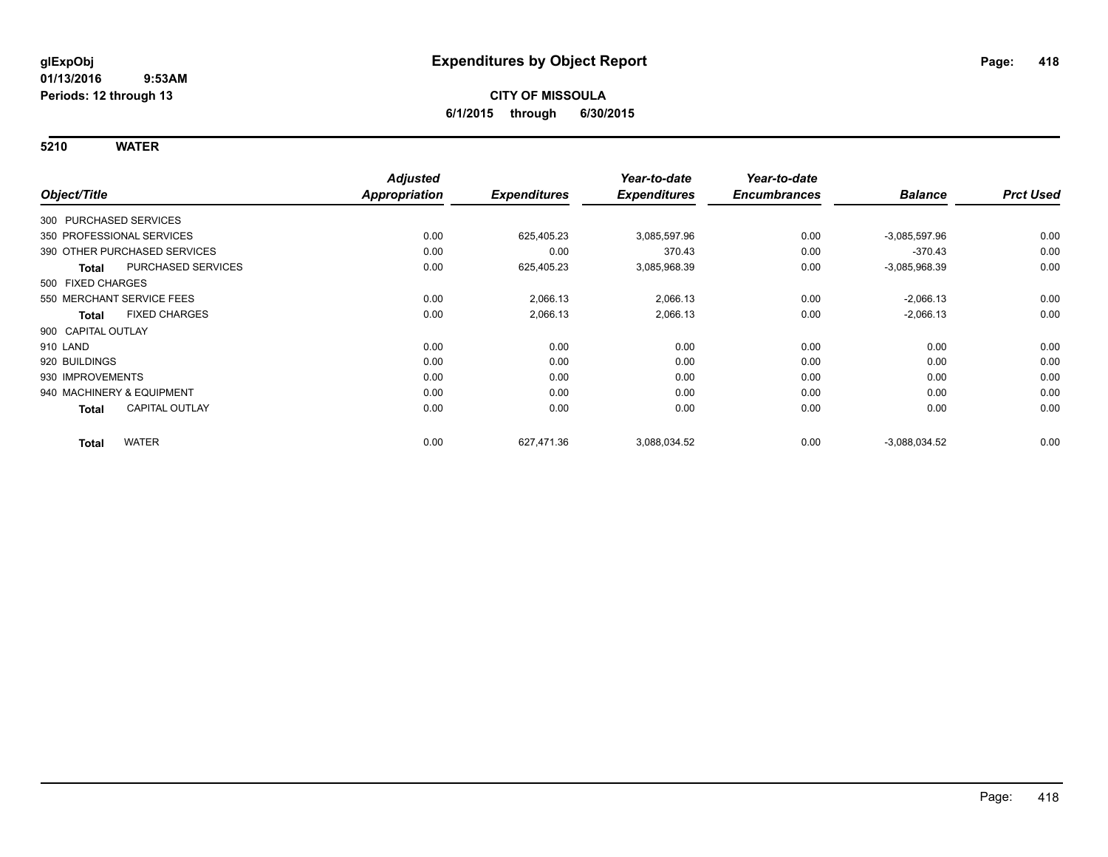**5210 WATER**

|                        |                              | <b>Adjusted</b>      |                     | Year-to-date        | Year-to-date        |                 |                  |
|------------------------|------------------------------|----------------------|---------------------|---------------------|---------------------|-----------------|------------------|
| Object/Title           |                              | <b>Appropriation</b> | <b>Expenditures</b> | <b>Expenditures</b> | <b>Encumbrances</b> | <b>Balance</b>  | <b>Prct Used</b> |
| 300 PURCHASED SERVICES |                              |                      |                     |                     |                     |                 |                  |
|                        | 350 PROFESSIONAL SERVICES    | 0.00                 | 625,405.23          | 3,085,597.96        | 0.00                | $-3.085,597.96$ | 0.00             |
|                        | 390 OTHER PURCHASED SERVICES | 0.00                 | 0.00                | 370.43              | 0.00                | $-370.43$       | 0.00             |
| <b>Total</b>           | PURCHASED SERVICES           | 0.00                 | 625,405.23          | 3,085,968.39        | 0.00                | $-3,085,968.39$ | 0.00             |
| 500 FIXED CHARGES      |                              |                      |                     |                     |                     |                 |                  |
|                        | 550 MERCHANT SERVICE FEES    | 0.00                 | 2,066.13            | 2,066.13            | 0.00                | $-2,066.13$     | 0.00             |
| <b>Total</b>           | <b>FIXED CHARGES</b>         | 0.00                 | 2,066.13            | 2,066.13            | 0.00                | $-2,066.13$     | 0.00             |
| 900 CAPITAL OUTLAY     |                              |                      |                     |                     |                     |                 |                  |
| 910 LAND               |                              | 0.00                 | 0.00                | 0.00                | 0.00                | 0.00            | 0.00             |
| 920 BUILDINGS          |                              | 0.00                 | 0.00                | 0.00                | 0.00                | 0.00            | 0.00             |
| 930 IMPROVEMENTS       |                              | 0.00                 | 0.00                | 0.00                | 0.00                | 0.00            | 0.00             |
|                        | 940 MACHINERY & EQUIPMENT    | 0.00                 | 0.00                | 0.00                | 0.00                | 0.00            | 0.00             |
| Total                  | <b>CAPITAL OUTLAY</b>        | 0.00                 | 0.00                | 0.00                | 0.00                | 0.00            | 0.00             |
| <b>Total</b>           | <b>WATER</b>                 | 0.00                 | 627,471.36          | 3,088,034.52        | 0.00                | $-3,088,034.52$ | 0.00             |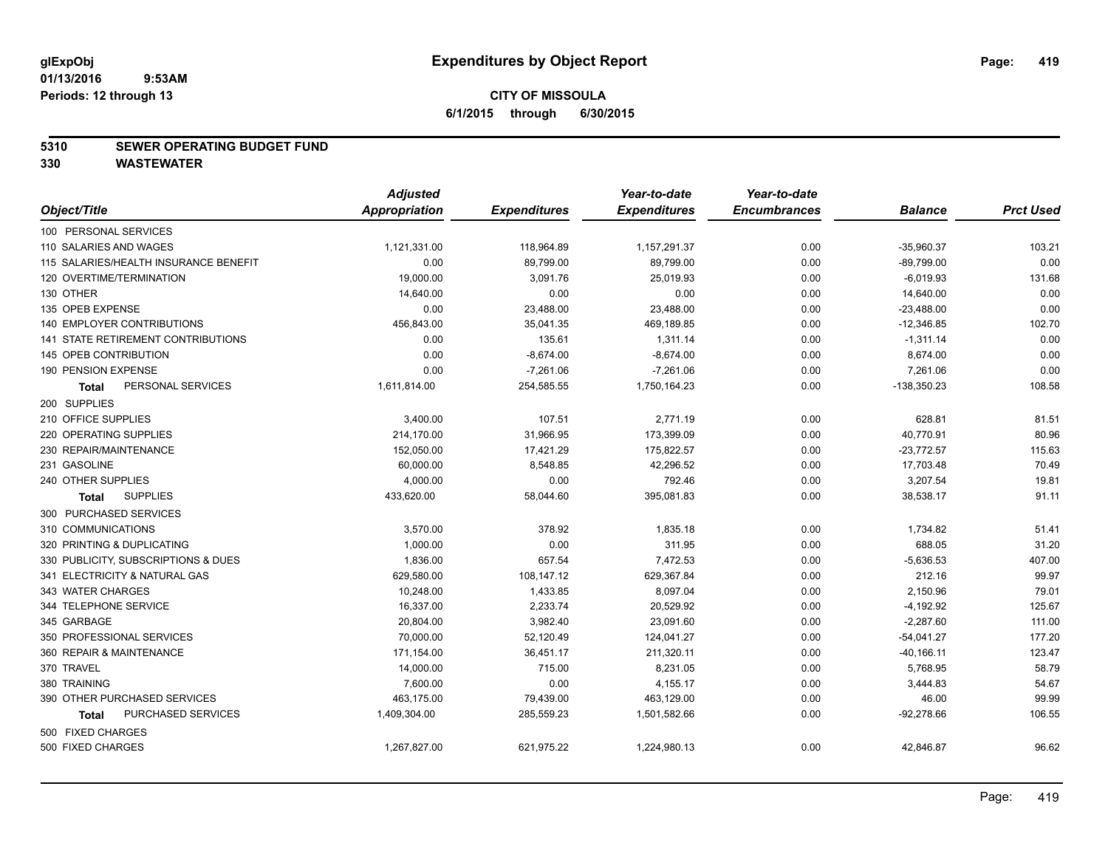### **5310 SEWER OPERATING BUDGET FUND**

**330 WASTEWATER**

|                                       | <b>Adjusted</b> |                     | Year-to-date        | Year-to-date        |                |                  |
|---------------------------------------|-----------------|---------------------|---------------------|---------------------|----------------|------------------|
| Object/Title                          | Appropriation   | <b>Expenditures</b> | <b>Expenditures</b> | <b>Encumbrances</b> | <b>Balance</b> | <b>Prct Used</b> |
| 100 PERSONAL SERVICES                 |                 |                     |                     |                     |                |                  |
| 110 SALARIES AND WAGES                | 1,121,331.00    | 118,964.89          | 1,157,291.37        | 0.00                | $-35,960.37$   | 103.21           |
| 115 SALARIES/HEALTH INSURANCE BENEFIT | 0.00            | 89,799.00           | 89,799.00           | 0.00                | $-89,799.00$   | 0.00             |
| 120 OVERTIME/TERMINATION              | 19,000.00       | 3,091.76            | 25,019.93           | 0.00                | $-6,019.93$    | 131.68           |
| 130 OTHER                             | 14,640.00       | 0.00                | 0.00                | 0.00                | 14,640.00      | 0.00             |
| 135 OPEB EXPENSE                      | 0.00            | 23,488.00           | 23,488.00           | 0.00                | $-23,488.00$   | 0.00             |
| 140 EMPLOYER CONTRIBUTIONS            | 456,843.00      | 35,041.35           | 469,189.85          | 0.00                | $-12,346.85$   | 102.70           |
| 141 STATE RETIREMENT CONTRIBUTIONS    | 0.00            | 135.61              | 1,311.14            | 0.00                | $-1,311.14$    | 0.00             |
| 145 OPEB CONTRIBUTION                 | 0.00            | $-8,674.00$         | $-8,674.00$         | 0.00                | 8,674.00       | 0.00             |
| 190 PENSION EXPENSE                   | 0.00            | $-7,261.06$         | $-7,261.06$         | 0.00                | 7,261.06       | 0.00             |
| PERSONAL SERVICES<br>Total            | 1,611,814.00    | 254,585.55          | 1,750,164.23        | 0.00                | $-138,350.23$  | 108.58           |
| 200 SUPPLIES                          |                 |                     |                     |                     |                |                  |
| 210 OFFICE SUPPLIES                   | 3,400.00        | 107.51              | 2,771.19            | 0.00                | 628.81         | 81.51            |
| 220 OPERATING SUPPLIES                | 214,170.00      | 31,966.95           | 173,399.09          | 0.00                | 40,770.91      | 80.96            |
| 230 REPAIR/MAINTENANCE                | 152,050.00      | 17,421.29           | 175,822.57          | 0.00                | $-23,772.57$   | 115.63           |
| 231 GASOLINE                          | 60,000.00       | 8,548.85            | 42,296.52           | 0.00                | 17,703.48      | 70.49            |
| 240 OTHER SUPPLIES                    | 4,000.00        | 0.00                | 792.46              | 0.00                | 3,207.54       | 19.81            |
| <b>SUPPLIES</b><br><b>Total</b>       | 433,620.00      | 58,044.60           | 395,081.83          | 0.00                | 38,538.17      | 91.11            |
| 300 PURCHASED SERVICES                |                 |                     |                     |                     |                |                  |
| 310 COMMUNICATIONS                    | 3,570.00        | 378.92              | 1,835.18            | 0.00                | 1,734.82       | 51.41            |
| 320 PRINTING & DUPLICATING            | 1,000.00        | 0.00                | 311.95              | 0.00                | 688.05         | 31.20            |
| 330 PUBLICITY, SUBSCRIPTIONS & DUES   | 1,836.00        | 657.54              | 7,472.53            | 0.00                | $-5,636.53$    | 407.00           |
| 341 ELECTRICITY & NATURAL GAS         | 629,580.00      | 108,147.12          | 629,367.84          | 0.00                | 212.16         | 99.97            |
| 343 WATER CHARGES                     | 10,248.00       | 1,433.85            | 8,097.04            | 0.00                | 2,150.96       | 79.01            |
| 344 TELEPHONE SERVICE                 | 16,337.00       | 2,233.74            | 20,529.92           | 0.00                | $-4,192.92$    | 125.67           |
| 345 GARBAGE                           | 20,804.00       | 3,982.40            | 23,091.60           | 0.00                | $-2,287.60$    | 111.00           |
| 350 PROFESSIONAL SERVICES             | 70,000.00       | 52,120.49           | 124,041.27          | 0.00                | $-54,041.27$   | 177.20           |
| 360 REPAIR & MAINTENANCE              | 171,154.00      | 36,451.17           | 211,320.11          | 0.00                | $-40,166.11$   | 123.47           |
| 370 TRAVEL                            | 14,000.00       | 715.00              | 8,231.05            | 0.00                | 5,768.95       | 58.79            |
| 380 TRAINING                          | 7,600.00        | 0.00                | 4,155.17            | 0.00                | 3,444.83       | 54.67            |
| 390 OTHER PURCHASED SERVICES          | 463,175.00      | 79,439.00           | 463,129.00          | 0.00                | 46.00          | 99.99            |
| PURCHASED SERVICES<br><b>Total</b>    | 1,409,304.00    | 285,559.23          | 1,501,582.66        | 0.00                | $-92,278.66$   | 106.55           |
| 500 FIXED CHARGES                     |                 |                     |                     |                     |                |                  |
| 500 FIXED CHARGES                     | 1,267,827.00    | 621,975.22          | 1,224,980.13        | 0.00                | 42,846.87      | 96.62            |
|                                       |                 |                     |                     |                     |                |                  |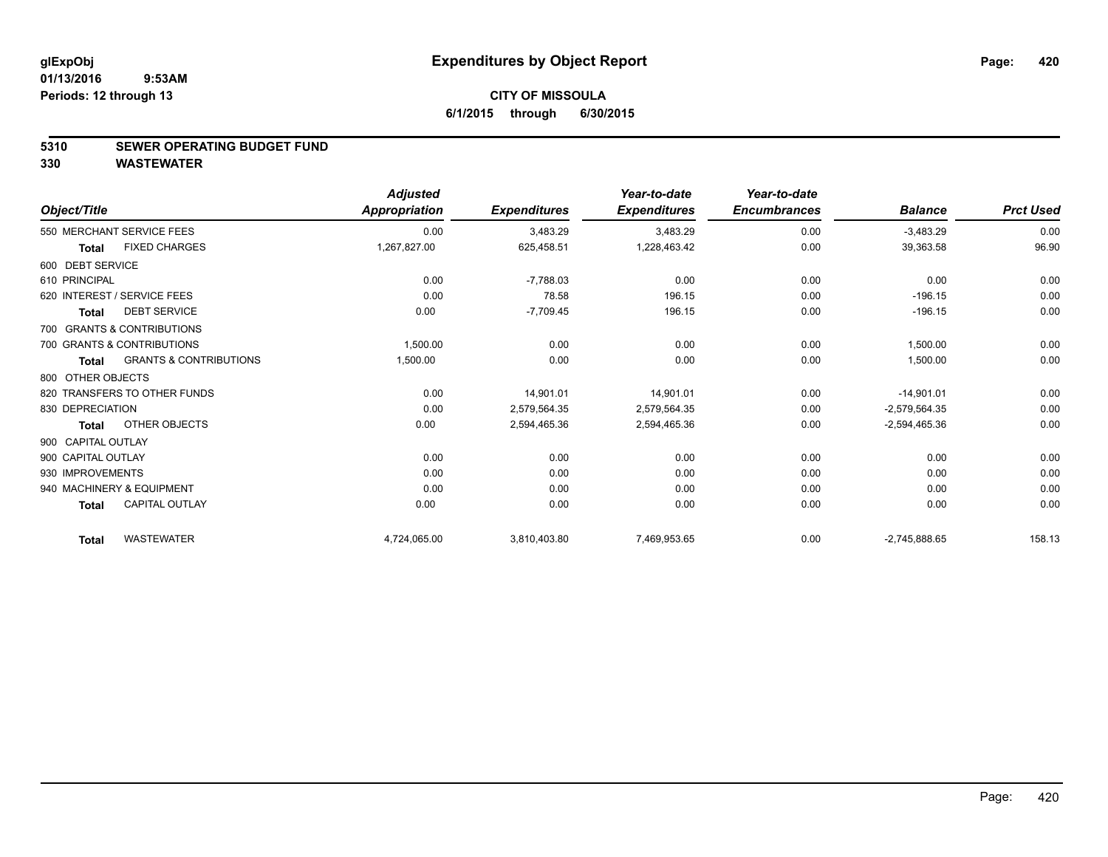#### **5310 SEWER OPERATING BUDGET FUND**

**330 WASTEWATER**

|                    |                                   | <b>Adjusted</b>      |                     | Year-to-date        | Year-to-date        |                 |                  |
|--------------------|-----------------------------------|----------------------|---------------------|---------------------|---------------------|-----------------|------------------|
| Object/Title       |                                   | <b>Appropriation</b> | <b>Expenditures</b> | <b>Expenditures</b> | <b>Encumbrances</b> | <b>Balance</b>  | <b>Prct Used</b> |
|                    | 550 MERCHANT SERVICE FEES         | 0.00                 | 3,483.29            | 3,483.29            | 0.00                | $-3,483.29$     | 0.00             |
| <b>Total</b>       | <b>FIXED CHARGES</b>              | 1,267,827.00         | 625,458.51          | 1,228,463.42        | 0.00                | 39,363.58       | 96.90            |
| 600 DEBT SERVICE   |                                   |                      |                     |                     |                     |                 |                  |
| 610 PRINCIPAL      |                                   | 0.00                 | $-7,788.03$         | 0.00                | 0.00                | 0.00            | 0.00             |
|                    | 620 INTEREST / SERVICE FEES       | 0.00                 | 78.58               | 196.15              | 0.00                | $-196.15$       | 0.00             |
| <b>Total</b>       | <b>DEBT SERVICE</b>               | 0.00                 | $-7,709.45$         | 196.15              | 0.00                | $-196.15$       | 0.00             |
|                    | 700 GRANTS & CONTRIBUTIONS        |                      |                     |                     |                     |                 |                  |
|                    | 700 GRANTS & CONTRIBUTIONS        | 1,500.00             | 0.00                | 0.00                | 0.00                | 1,500.00        | 0.00             |
| <b>Total</b>       | <b>GRANTS &amp; CONTRIBUTIONS</b> | 1,500.00             | 0.00                | 0.00                | 0.00                | 1,500.00        | 0.00             |
| 800 OTHER OBJECTS  |                                   |                      |                     |                     |                     |                 |                  |
|                    | 820 TRANSFERS TO OTHER FUNDS      | 0.00                 | 14,901.01           | 14,901.01           | 0.00                | $-14,901.01$    | 0.00             |
| 830 DEPRECIATION   |                                   | 0.00                 | 2,579,564.35        | 2,579,564.35        | 0.00                | $-2,579,564.35$ | 0.00             |
| <b>Total</b>       | OTHER OBJECTS                     | 0.00                 | 2,594,465.36        | 2,594,465.36        | 0.00                | $-2,594,465.36$ | 0.00             |
| 900 CAPITAL OUTLAY |                                   |                      |                     |                     |                     |                 |                  |
| 900 CAPITAL OUTLAY |                                   | 0.00                 | 0.00                | 0.00                | 0.00                | 0.00            | 0.00             |
| 930 IMPROVEMENTS   |                                   | 0.00                 | 0.00                | 0.00                | 0.00                | 0.00            | 0.00             |
|                    | 940 MACHINERY & EQUIPMENT         | 0.00                 | 0.00                | 0.00                | 0.00                | 0.00            | 0.00             |
| <b>Total</b>       | <b>CAPITAL OUTLAY</b>             | 0.00                 | 0.00                | 0.00                | 0.00                | 0.00            | 0.00             |
| <b>Total</b>       | <b>WASTEWATER</b>                 | 4,724,065.00         | 3,810,403.80        | 7,469,953.65        | 0.00                | $-2,745,888.65$ | 158.13           |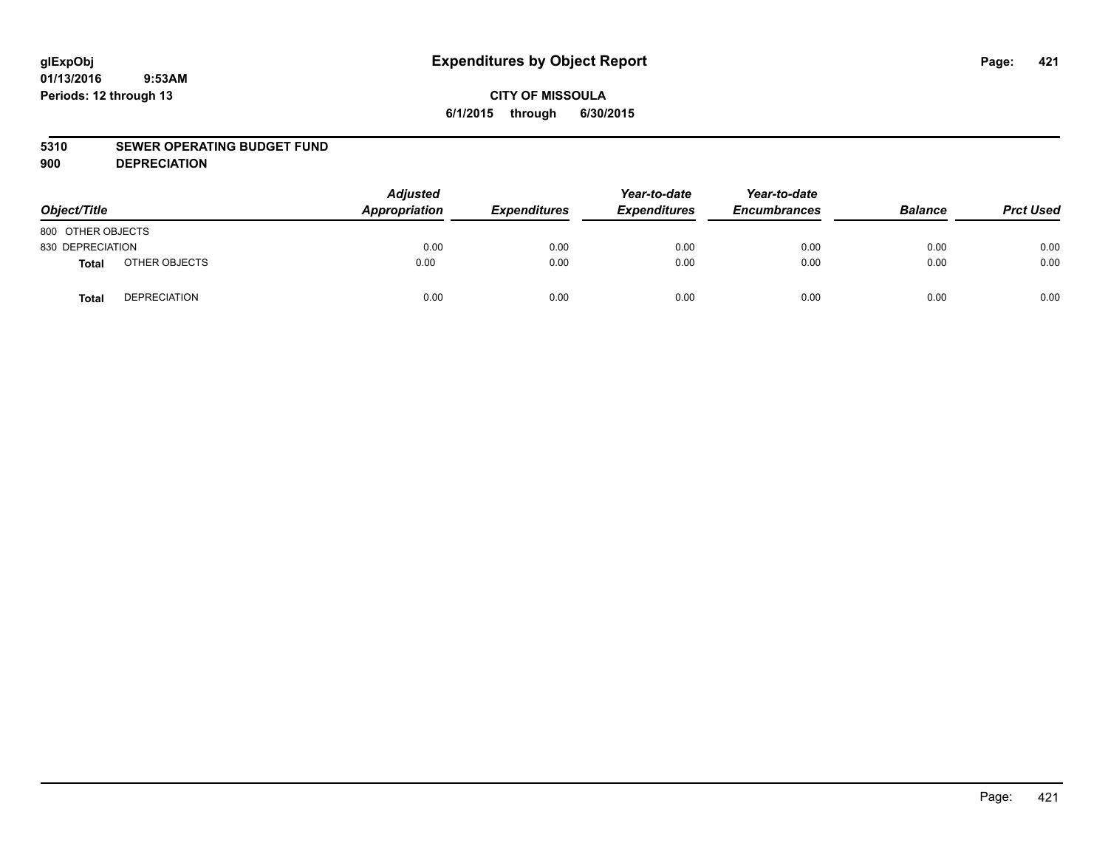### **CITY OF MISSOULA 6/1/2015 through 6/30/2015**

### **5310 SEWER OPERATING BUDGET FUND**

**900 DEPRECIATION**

| Object/Title      |                     | <b>Adjusted</b><br>Appropriation | <b>Expenditures</b> | Year-to-date<br><b>Expenditures</b> | Year-to-date<br><b>Encumbrances</b> | <b>Balance</b> | <b>Prct Used</b> |
|-------------------|---------------------|----------------------------------|---------------------|-------------------------------------|-------------------------------------|----------------|------------------|
| 800 OTHER OBJECTS |                     |                                  |                     |                                     |                                     |                |                  |
| 830 DEPRECIATION  |                     | 0.00                             | 0.00                | 0.00                                | 0.00                                | 0.00           | 0.00             |
| Total             | OTHER OBJECTS       | 0.00                             | 0.00                | 0.00                                | 0.00                                | 0.00           | 0.00             |
| <b>Total</b>      | <b>DEPRECIATION</b> | 0.00                             | 0.00                | 0.00                                | 0.00                                | 0.00           | 0.00             |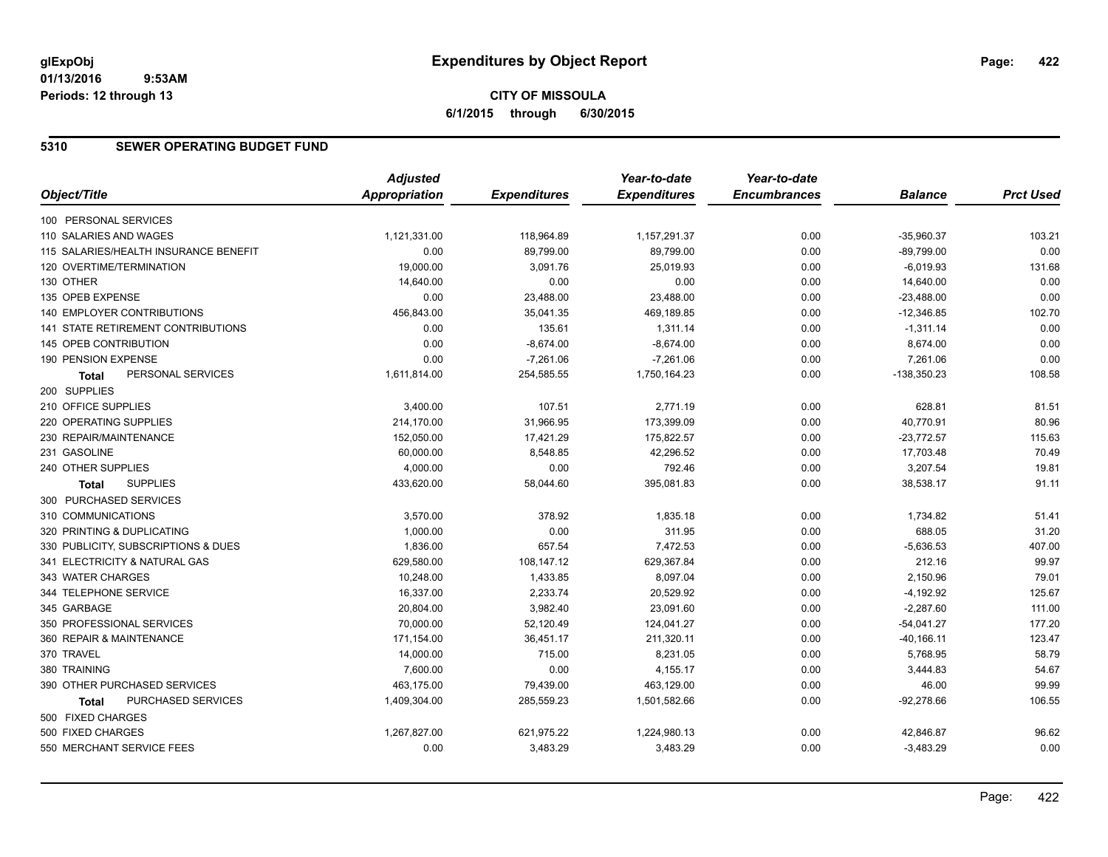### **CITY OF MISSOULA 6/1/2015 through 6/30/2015**

### **5310 SEWER OPERATING BUDGET FUND**

|                                       | <b>Adjusted</b>      |                     | Year-to-date        | Year-to-date        |                |                  |
|---------------------------------------|----------------------|---------------------|---------------------|---------------------|----------------|------------------|
| Object/Title                          | <b>Appropriation</b> | <b>Expenditures</b> | <b>Expenditures</b> | <b>Encumbrances</b> | <b>Balance</b> | <b>Prct Used</b> |
| 100 PERSONAL SERVICES                 |                      |                     |                     |                     |                |                  |
| 110 SALARIES AND WAGES                | 1,121,331.00         | 118,964.89          | 1,157,291.37        | 0.00                | $-35,960.37$   | 103.21           |
| 115 SALARIES/HEALTH INSURANCE BENEFIT | 0.00                 | 89,799.00           | 89,799.00           | 0.00                | $-89,799.00$   | 0.00             |
| 120 OVERTIME/TERMINATION              | 19,000.00            | 3,091.76            | 25,019.93           | 0.00                | $-6,019.93$    | 131.68           |
| 130 OTHER                             | 14,640.00            | 0.00                | 0.00                | 0.00                | 14,640.00      | 0.00             |
| 135 OPEB EXPENSE                      | 0.00                 | 23,488.00           | 23,488.00           | 0.00                | $-23,488.00$   | 0.00             |
| 140 EMPLOYER CONTRIBUTIONS            | 456,843.00           | 35,041.35           | 469,189.85          | 0.00                | $-12,346.85$   | 102.70           |
| 141 STATE RETIREMENT CONTRIBUTIONS    | 0.00                 | 135.61              | 1,311.14            | 0.00                | $-1,311.14$    | 0.00             |
| 145 OPEB CONTRIBUTION                 | 0.00                 | $-8,674.00$         | $-8,674.00$         | 0.00                | 8,674.00       | 0.00             |
| 190 PENSION EXPENSE                   | 0.00                 | $-7,261.06$         | $-7,261.06$         | 0.00                | 7,261.06       | 0.00             |
| PERSONAL SERVICES<br>Total            | 1,611,814.00         | 254,585.55          | 1,750,164.23        | 0.00                | $-138,350.23$  | 108.58           |
| 200 SUPPLIES                          |                      |                     |                     |                     |                |                  |
| 210 OFFICE SUPPLIES                   | 3,400.00             | 107.51              | 2,771.19            | 0.00                | 628.81         | 81.51            |
| 220 OPERATING SUPPLIES                | 214,170.00           | 31,966.95           | 173,399.09          | 0.00                | 40,770.91      | 80.96            |
| 230 REPAIR/MAINTENANCE                | 152,050.00           | 17,421.29           | 175,822.57          | 0.00                | $-23,772.57$   | 115.63           |
| 231 GASOLINE                          | 60,000.00            | 8,548.85            | 42,296.52           | 0.00                | 17,703.48      | 70.49            |
| 240 OTHER SUPPLIES                    | 4,000.00             | 0.00                | 792.46              | 0.00                | 3,207.54       | 19.81            |
| <b>SUPPLIES</b><br><b>Total</b>       | 433,620.00           | 58,044.60           | 395,081.83          | 0.00                | 38,538.17      | 91.11            |
| 300 PURCHASED SERVICES                |                      |                     |                     |                     |                |                  |
| 310 COMMUNICATIONS                    | 3,570.00             | 378.92              | 1,835.18            | 0.00                | 1,734.82       | 51.41            |
| 320 PRINTING & DUPLICATING            | 1,000.00             | 0.00                | 311.95              | 0.00                | 688.05         | 31.20            |
| 330 PUBLICITY, SUBSCRIPTIONS & DUES   | 1,836.00             | 657.54              | 7,472.53            | 0.00                | $-5,636.53$    | 407.00           |
| 341 ELECTRICITY & NATURAL GAS         | 629,580.00           | 108,147.12          | 629,367.84          | 0.00                | 212.16         | 99.97            |
| 343 WATER CHARGES                     | 10,248.00            | 1,433.85            | 8,097.04            | 0.00                | 2,150.96       | 79.01            |
| 344 TELEPHONE SERVICE                 | 16,337.00            | 2,233.74            | 20,529.92           | 0.00                | $-4,192.92$    | 125.67           |
| 345 GARBAGE                           | 20,804.00            | 3,982.40            | 23,091.60           | 0.00                | $-2,287.60$    | 111.00           |
| 350 PROFESSIONAL SERVICES             | 70,000.00            | 52,120.49           | 124,041.27          | 0.00                | $-54,041.27$   | 177.20           |
| 360 REPAIR & MAINTENANCE              | 171,154.00           | 36,451.17           | 211,320.11          | 0.00                | $-40, 166.11$  | 123.47           |
| 370 TRAVEL                            | 14,000.00            | 715.00              | 8,231.05            | 0.00                | 5,768.95       | 58.79            |
| 380 TRAINING                          | 7,600.00             | 0.00                | 4,155.17            | 0.00                | 3,444.83       | 54.67            |
| 390 OTHER PURCHASED SERVICES          | 463,175.00           | 79,439.00           | 463,129.00          | 0.00                | 46.00          | 99.99            |
| PURCHASED SERVICES<br>Total           | 1,409,304.00         | 285,559.23          | 1,501,582.66        | 0.00                | $-92,278.66$   | 106.55           |
| 500 FIXED CHARGES                     |                      |                     |                     |                     |                |                  |
| 500 FIXED CHARGES                     | 1,267,827.00         | 621,975.22          | 1,224,980.13        | 0.00                | 42,846.87      | 96.62            |
| 550 MERCHANT SERVICE FEES             | 0.00                 | 3,483.29            | 3,483.29            | 0.00                | $-3,483.29$    | 0.00             |
|                                       |                      |                     |                     |                     |                |                  |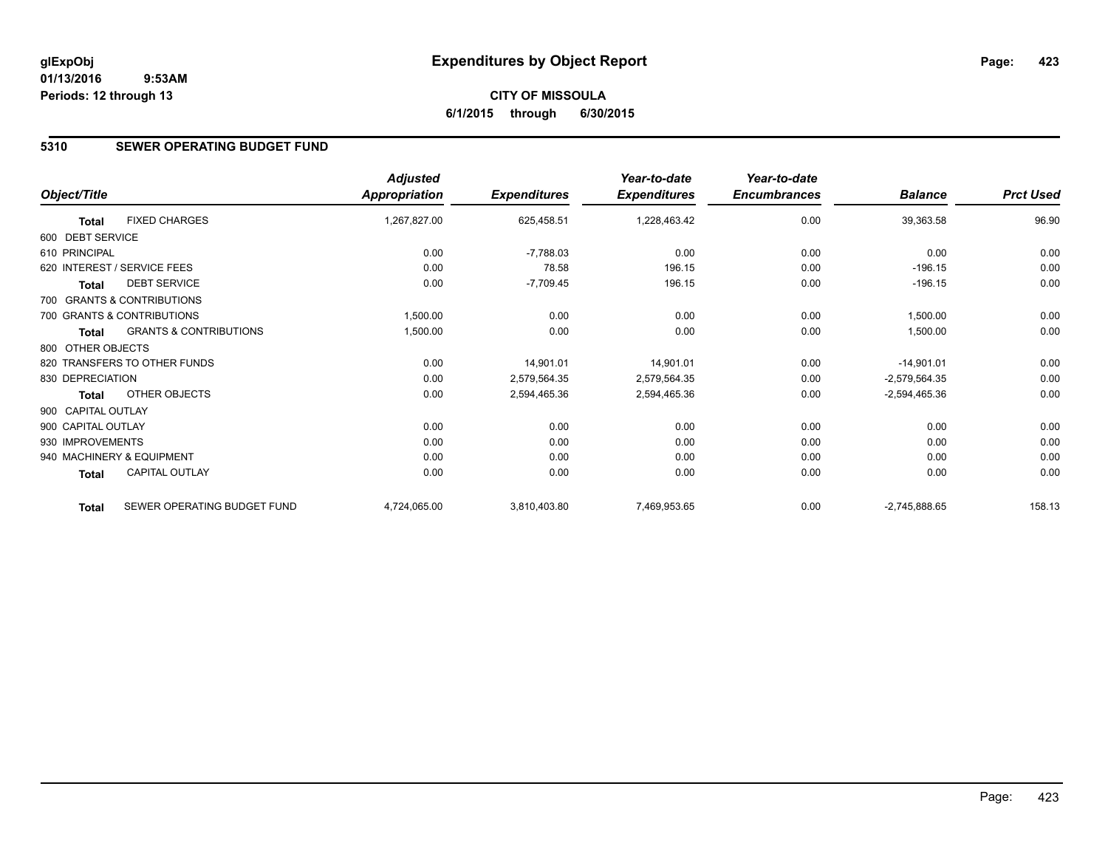### **5310 SEWER OPERATING BUDGET FUND**

|                    |                                   | <b>Adjusted</b>      |                     | Year-to-date        | Year-to-date        |                 |                  |
|--------------------|-----------------------------------|----------------------|---------------------|---------------------|---------------------|-----------------|------------------|
| Object/Title       |                                   | <b>Appropriation</b> | <b>Expenditures</b> | <b>Expenditures</b> | <b>Encumbrances</b> | <b>Balance</b>  | <b>Prct Used</b> |
| <b>Total</b>       | <b>FIXED CHARGES</b>              | 1,267,827.00         | 625,458.51          | 1,228,463.42        | 0.00                | 39,363.58       | 96.90            |
| 600 DEBT SERVICE   |                                   |                      |                     |                     |                     |                 |                  |
| 610 PRINCIPAL      |                                   | 0.00                 | $-7,788.03$         | 0.00                | 0.00                | 0.00            | 0.00             |
|                    | 620 INTEREST / SERVICE FEES       | 0.00                 | 78.58               | 196.15              | 0.00                | $-196.15$       | 0.00             |
| <b>Total</b>       | <b>DEBT SERVICE</b>               | 0.00                 | $-7,709.45$         | 196.15              | 0.00                | $-196.15$       | 0.00             |
|                    | 700 GRANTS & CONTRIBUTIONS        |                      |                     |                     |                     |                 |                  |
|                    | 700 GRANTS & CONTRIBUTIONS        | 1,500.00             | 0.00                | 0.00                | 0.00                | 1,500.00        | 0.00             |
| <b>Total</b>       | <b>GRANTS &amp; CONTRIBUTIONS</b> | 1,500.00             | 0.00                | 0.00                | 0.00                | 1,500.00        | 0.00             |
| 800 OTHER OBJECTS  |                                   |                      |                     |                     |                     |                 |                  |
|                    | 820 TRANSFERS TO OTHER FUNDS      | 0.00                 | 14,901.01           | 14,901.01           | 0.00                | $-14,901.01$    | 0.00             |
| 830 DEPRECIATION   |                                   | 0.00                 | 2,579,564.35        | 2,579,564.35        | 0.00                | $-2,579,564.35$ | 0.00             |
| <b>Total</b>       | OTHER OBJECTS                     | 0.00                 | 2,594,465.36        | 2,594,465.36        | 0.00                | $-2,594,465.36$ | 0.00             |
| 900 CAPITAL OUTLAY |                                   |                      |                     |                     |                     |                 |                  |
| 900 CAPITAL OUTLAY |                                   | 0.00                 | 0.00                | 0.00                | 0.00                | 0.00            | 0.00             |
| 930 IMPROVEMENTS   |                                   | 0.00                 | 0.00                | 0.00                | 0.00                | 0.00            | 0.00             |
|                    | 940 MACHINERY & EQUIPMENT         | 0.00                 | 0.00                | 0.00                | 0.00                | 0.00            | 0.00             |
| Total              | <b>CAPITAL OUTLAY</b>             | 0.00                 | 0.00                | 0.00                | 0.00                | 0.00            | 0.00             |
| <b>Total</b>       | SEWER OPERATING BUDGET FUND       | 4,724,065.00         | 3,810,403.80        | 7,469,953.65        | 0.00                | $-2,745,888.65$ | 158.13           |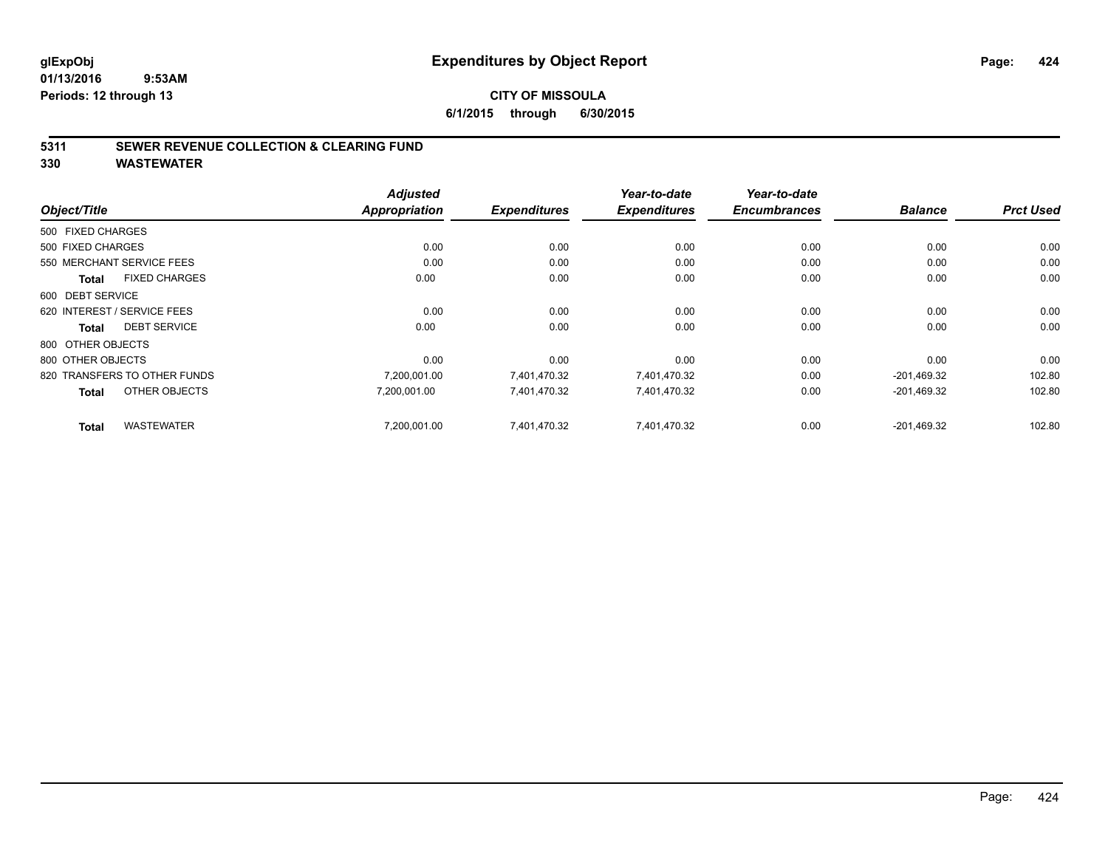### **5311 SEWER REVENUE COLLECTION & CLEARING FUND**

**330 WASTEWATER**

|                                      | <b>Adjusted</b>      |                     | Year-to-date        | Year-to-date        |                |                  |
|--------------------------------------|----------------------|---------------------|---------------------|---------------------|----------------|------------------|
| Object/Title                         | <b>Appropriation</b> | <b>Expenditures</b> | <b>Expenditures</b> | <b>Encumbrances</b> | <b>Balance</b> | <b>Prct Used</b> |
| 500 FIXED CHARGES                    |                      |                     |                     |                     |                |                  |
| 500 FIXED CHARGES                    | 0.00                 | 0.00                | 0.00                | 0.00                | 0.00           | 0.00             |
| 550 MERCHANT SERVICE FEES            | 0.00                 | 0.00                | 0.00                | 0.00                | 0.00           | 0.00             |
| <b>FIXED CHARGES</b><br><b>Total</b> | 0.00                 | 0.00                | 0.00                | 0.00                | 0.00           | 0.00             |
| 600 DEBT SERVICE                     |                      |                     |                     |                     |                |                  |
| 620 INTEREST / SERVICE FEES          | 0.00                 | 0.00                | 0.00                | 0.00                | 0.00           | 0.00             |
| <b>DEBT SERVICE</b><br><b>Total</b>  | 0.00                 | 0.00                | 0.00                | 0.00                | 0.00           | 0.00             |
| 800 OTHER OBJECTS                    |                      |                     |                     |                     |                |                  |
| 800 OTHER OBJECTS                    | 0.00                 | 0.00                | 0.00                | 0.00                | 0.00           | 0.00             |
| 820 TRANSFERS TO OTHER FUNDS         | 7,200,001.00         | 7,401,470.32        | 7,401,470.32        | 0.00                | $-201,469.32$  | 102.80           |
| OTHER OBJECTS<br><b>Total</b>        | 7,200,001.00         | 7,401,470.32        | 7,401,470.32        | 0.00                | $-201,469.32$  | 102.80           |
| <b>WASTEWATER</b><br><b>Total</b>    | 7,200,001.00         | 7,401,470.32        | 7,401,470.32        | 0.00                | $-201,469.32$  | 102.80           |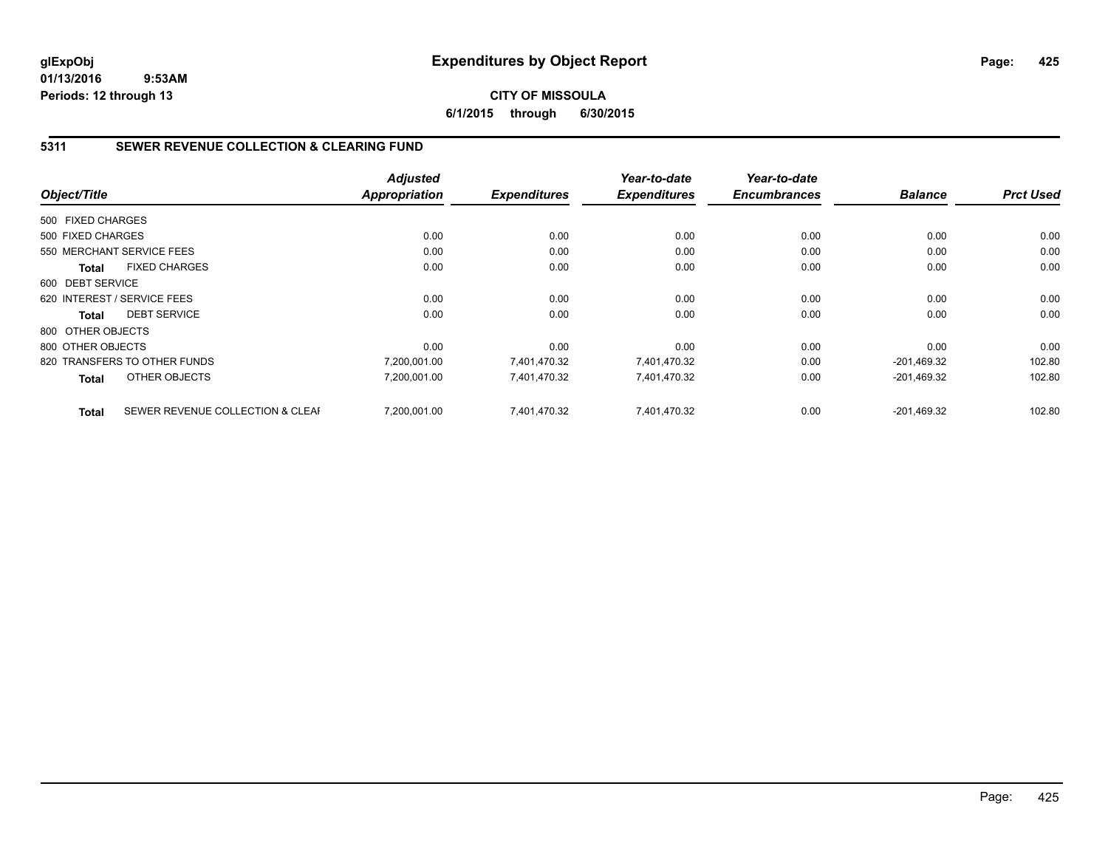### **CITY OF MISSOULA 6/1/2015 through 6/30/2015**

### **5311 SEWER REVENUE COLLECTION & CLEARING FUND**

|                   |                                  | <b>Adjusted</b> |                     | Year-to-date        | Year-to-date        |                |                  |
|-------------------|----------------------------------|-----------------|---------------------|---------------------|---------------------|----------------|------------------|
| Object/Title      |                                  | Appropriation   | <b>Expenditures</b> | <b>Expenditures</b> | <b>Encumbrances</b> | <b>Balance</b> | <b>Prct Used</b> |
| 500 FIXED CHARGES |                                  |                 |                     |                     |                     |                |                  |
| 500 FIXED CHARGES |                                  | 0.00            | 0.00                | 0.00                | 0.00                | 0.00           | 0.00             |
|                   | 550 MERCHANT SERVICE FEES        | 0.00            | 0.00                | 0.00                | 0.00                | 0.00           | 0.00             |
| <b>Total</b>      | <b>FIXED CHARGES</b>             | 0.00            | 0.00                | 0.00                | 0.00                | 0.00           | 0.00             |
| 600 DEBT SERVICE  |                                  |                 |                     |                     |                     |                |                  |
|                   | 620 INTEREST / SERVICE FEES      | 0.00            | 0.00                | 0.00                | 0.00                | 0.00           | 0.00             |
| Total             | <b>DEBT SERVICE</b>              | 0.00            | 0.00                | 0.00                | 0.00                | 0.00           | 0.00             |
| 800 OTHER OBJECTS |                                  |                 |                     |                     |                     |                |                  |
| 800 OTHER OBJECTS |                                  | 0.00            | 0.00                | 0.00                | 0.00                | 0.00           | 0.00             |
|                   | 820 TRANSFERS TO OTHER FUNDS     | 7.200.001.00    | 7.401.470.32        | 7,401,470.32        | 0.00                | $-201,469.32$  | 102.80           |
| <b>Total</b>      | OTHER OBJECTS                    | 7,200,001.00    | 7,401,470.32        | 7,401,470.32        | 0.00                | $-201,469.32$  | 102.80           |
| <b>Total</b>      | SEWER REVENUE COLLECTION & CLEAF | 7,200,001.00    | 7.401.470.32        | 7,401,470.32        | 0.00                | $-201.469.32$  | 102.80           |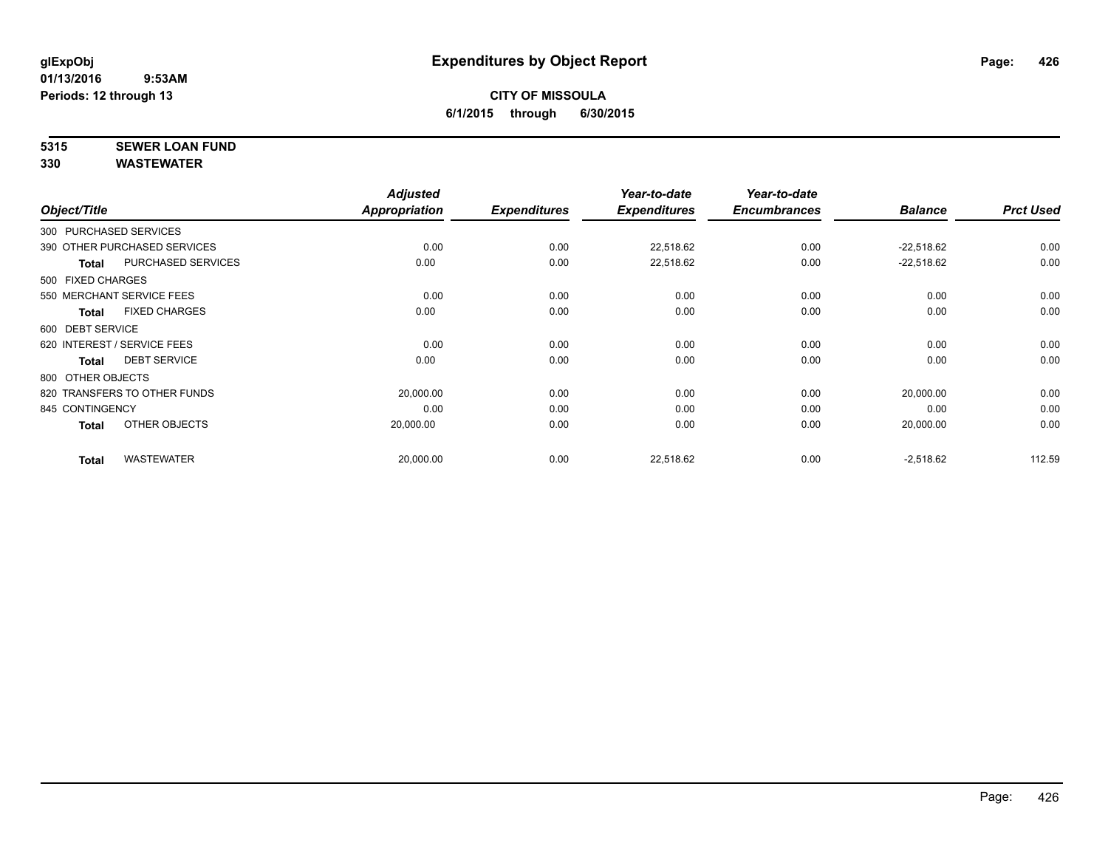## **5315 SEWER LOAN FUND**

**330 WASTEWATER**

|                                     | <b>Adjusted</b> |                     | Year-to-date        | Year-to-date        |                |                  |
|-------------------------------------|-----------------|---------------------|---------------------|---------------------|----------------|------------------|
| Object/Title                        | Appropriation   | <b>Expenditures</b> | <b>Expenditures</b> | <b>Encumbrances</b> | <b>Balance</b> | <b>Prct Used</b> |
| 300 PURCHASED SERVICES              |                 |                     |                     |                     |                |                  |
| 390 OTHER PURCHASED SERVICES        | 0.00            | 0.00                | 22,518.62           | 0.00                | $-22,518.62$   | 0.00             |
| PURCHASED SERVICES<br><b>Total</b>  | 0.00            | 0.00                | 22,518.62           | 0.00                | $-22,518.62$   | 0.00             |
| 500 FIXED CHARGES                   |                 |                     |                     |                     |                |                  |
| 550 MERCHANT SERVICE FEES           | 0.00            | 0.00                | 0.00                | 0.00                | 0.00           | 0.00             |
| <b>FIXED CHARGES</b><br>Total       | 0.00            | 0.00                | 0.00                | 0.00                | 0.00           | 0.00             |
| 600 DEBT SERVICE                    |                 |                     |                     |                     |                |                  |
| 620 INTEREST / SERVICE FEES         | 0.00            | 0.00                | 0.00                | 0.00                | 0.00           | 0.00             |
| <b>DEBT SERVICE</b><br><b>Total</b> | 0.00            | 0.00                | 0.00                | 0.00                | 0.00           | 0.00             |
| 800 OTHER OBJECTS                   |                 |                     |                     |                     |                |                  |
| 820 TRANSFERS TO OTHER FUNDS        | 20,000.00       | 0.00                | 0.00                | 0.00                | 20,000.00      | 0.00             |
| 845 CONTINGENCY                     | 0.00            | 0.00                | 0.00                | 0.00                | 0.00           | 0.00             |
| OTHER OBJECTS<br>Total              | 20,000.00       | 0.00                | 0.00                | 0.00                | 20,000.00      | 0.00             |
| <b>WASTEWATER</b><br><b>Total</b>   | 20,000.00       | 0.00                | 22,518.62           | 0.00                | $-2,518.62$    | 112.59           |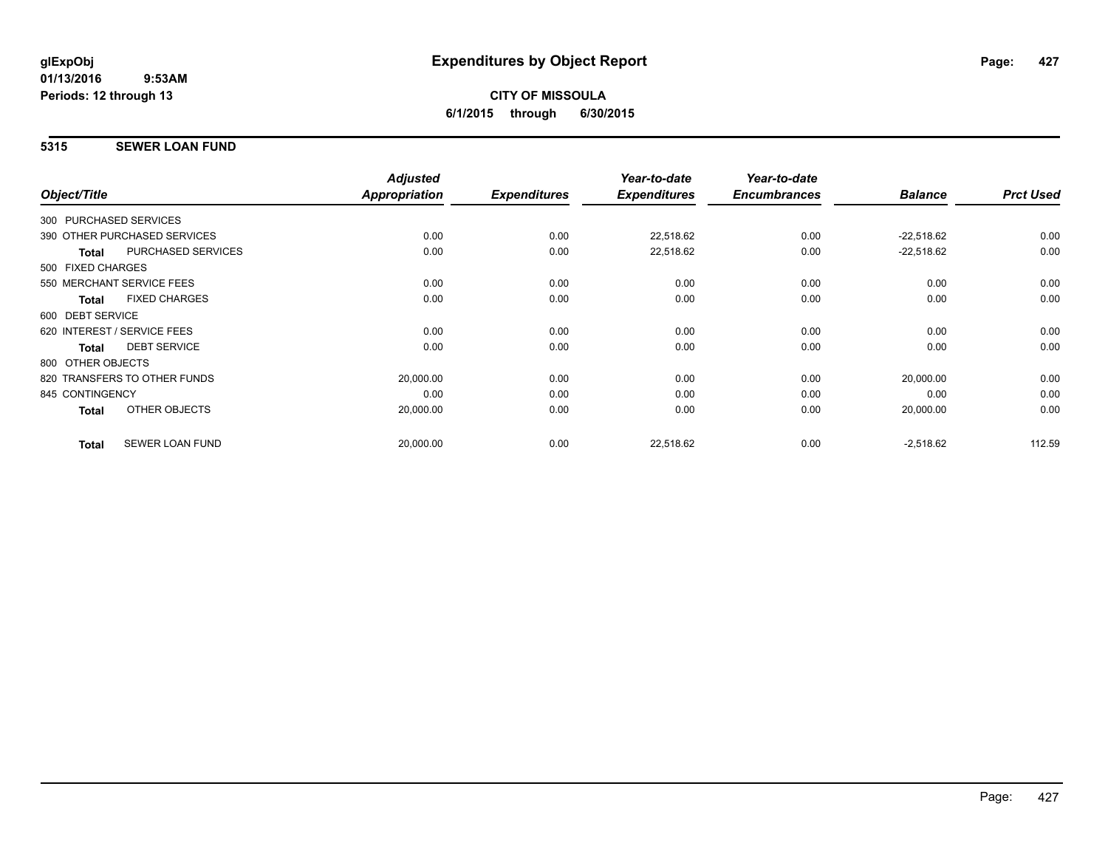## **5315 SEWER LOAN FUND**

|                                           | <b>Adjusted</b> |                     | Year-to-date        | Year-to-date        |                |                  |
|-------------------------------------------|-----------------|---------------------|---------------------|---------------------|----------------|------------------|
| Object/Title                              | Appropriation   | <b>Expenditures</b> | <b>Expenditures</b> | <b>Encumbrances</b> | <b>Balance</b> | <b>Prct Used</b> |
| 300 PURCHASED SERVICES                    |                 |                     |                     |                     |                |                  |
| 390 OTHER PURCHASED SERVICES              | 0.00            | 0.00                | 22,518.62           | 0.00                | $-22,518.62$   | 0.00             |
| <b>PURCHASED SERVICES</b><br><b>Total</b> | 0.00            | 0.00                | 22,518.62           | 0.00                | $-22,518.62$   | 0.00             |
| 500 FIXED CHARGES                         |                 |                     |                     |                     |                |                  |
| 550 MERCHANT SERVICE FEES                 | 0.00            | 0.00                | 0.00                | 0.00                | 0.00           | 0.00             |
| <b>FIXED CHARGES</b><br><b>Total</b>      | 0.00            | 0.00                | 0.00                | 0.00                | 0.00           | 0.00             |
| 600 DEBT SERVICE                          |                 |                     |                     |                     |                |                  |
| 620 INTEREST / SERVICE FEES               | 0.00            | 0.00                | 0.00                | 0.00                | 0.00           | 0.00             |
| <b>DEBT SERVICE</b><br><b>Total</b>       | 0.00            | 0.00                | 0.00                | 0.00                | 0.00           | 0.00             |
| 800 OTHER OBJECTS                         |                 |                     |                     |                     |                |                  |
| 820 TRANSFERS TO OTHER FUNDS              | 20,000.00       | 0.00                | 0.00                | 0.00                | 20,000.00      | 0.00             |
| 845 CONTINGENCY                           | 0.00            | 0.00                | 0.00                | 0.00                | 0.00           | 0.00             |
| OTHER OBJECTS<br><b>Total</b>             | 20,000.00       | 0.00                | 0.00                | 0.00                | 20,000.00      | 0.00             |
|                                           |                 |                     |                     |                     |                |                  |
| <b>SEWER LOAN FUND</b><br><b>Total</b>    | 20,000.00       | 0.00                | 22,518.62           | 0.00                | $-2,518.62$    | 112.59           |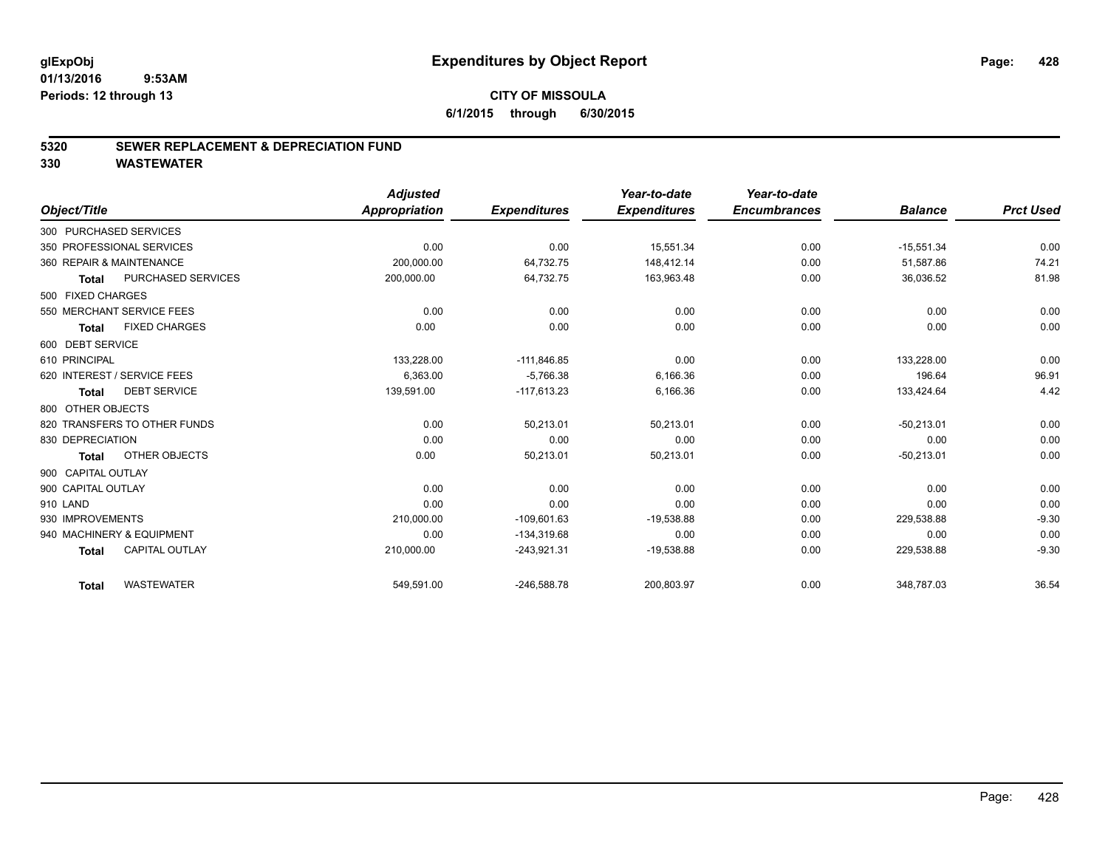### **5320 SEWER REPLACEMENT & DEPRECIATION FUND**

**330 WASTEWATER**

|                                       | <b>Adjusted</b> |                     | Year-to-date        | Year-to-date        |                |                  |
|---------------------------------------|-----------------|---------------------|---------------------|---------------------|----------------|------------------|
| Object/Title                          | Appropriation   | <b>Expenditures</b> | <b>Expenditures</b> | <b>Encumbrances</b> | <b>Balance</b> | <b>Prct Used</b> |
| 300 PURCHASED SERVICES                |                 |                     |                     |                     |                |                  |
| 350 PROFESSIONAL SERVICES             | 0.00            | 0.00                | 15,551.34           | 0.00                | $-15,551.34$   | 0.00             |
| 360 REPAIR & MAINTENANCE              | 200,000.00      | 64,732.75           | 148.412.14          | 0.00                | 51.587.86      | 74.21            |
| PURCHASED SERVICES<br>Total           | 200,000.00      | 64,732.75           | 163,963.48          | 0.00                | 36,036.52      | 81.98            |
| 500 FIXED CHARGES                     |                 |                     |                     |                     |                |                  |
| 550 MERCHANT SERVICE FEES             | 0.00            | 0.00                | 0.00                | 0.00                | 0.00           | 0.00             |
| <b>FIXED CHARGES</b><br><b>Total</b>  | 0.00            | 0.00                | 0.00                | 0.00                | 0.00           | 0.00             |
| 600 DEBT SERVICE                      |                 |                     |                     |                     |                |                  |
| 610 PRINCIPAL                         | 133,228.00      | $-111,846.85$       | 0.00                | 0.00                | 133.228.00     | 0.00             |
| 620 INTEREST / SERVICE FEES           | 6,363.00        | $-5,766.38$         | 6,166.36            | 0.00                | 196.64         | 96.91            |
| <b>DEBT SERVICE</b><br>Total          | 139,591.00      | $-117,613.23$       | 6,166.36            | 0.00                | 133,424.64     | 4.42             |
| 800 OTHER OBJECTS                     |                 |                     |                     |                     |                |                  |
| 820 TRANSFERS TO OTHER FUNDS          | 0.00            | 50,213.01           | 50,213.01           | 0.00                | $-50,213.01$   | 0.00             |
| 830 DEPRECIATION                      | 0.00            | 0.00                | 0.00                | 0.00                | 0.00           | 0.00             |
| OTHER OBJECTS<br>Total                | 0.00            | 50,213.01           | 50,213.01           | 0.00                | $-50,213.01$   | 0.00             |
| 900 CAPITAL OUTLAY                    |                 |                     |                     |                     |                |                  |
| 900 CAPITAL OUTLAY                    | 0.00            | 0.00                | 0.00                | 0.00                | 0.00           | 0.00             |
| 910 LAND                              | 0.00            | 0.00                | 0.00                | 0.00                | 0.00           | 0.00             |
| 930 IMPROVEMENTS                      | 210,000.00      | $-109,601.63$       | $-19,538.88$        | 0.00                | 229,538.88     | $-9.30$          |
| 940 MACHINERY & EQUIPMENT             | 0.00            | $-134,319.68$       | 0.00                | 0.00                | 0.00           | 0.00             |
| <b>CAPITAL OUTLAY</b><br><b>Total</b> | 210,000.00      | $-243,921.31$       | $-19,538.88$        | 0.00                | 229,538.88     | $-9.30$          |
| <b>WASTEWATER</b><br><b>Total</b>     | 549,591.00      | $-246,588.78$       | 200,803.97          | 0.00                | 348,787.03     | 36.54            |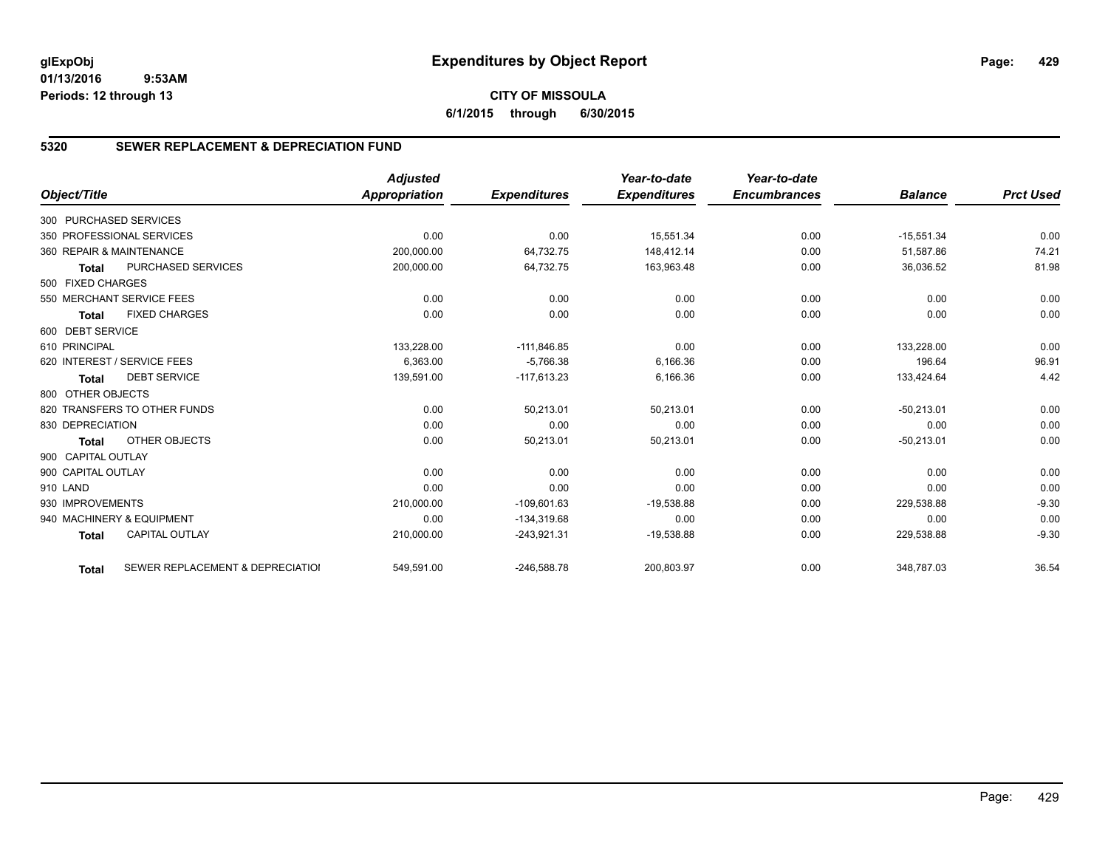### **CITY OF MISSOULA 6/1/2015 through 6/30/2015**

### **5320 SEWER REPLACEMENT & DEPRECIATION FUND**

|                        |                                  | <b>Adjusted</b> |                     | Year-to-date        | Year-to-date        |                |                  |
|------------------------|----------------------------------|-----------------|---------------------|---------------------|---------------------|----------------|------------------|
| Object/Title           |                                  | Appropriation   | <b>Expenditures</b> | <b>Expenditures</b> | <b>Encumbrances</b> | <b>Balance</b> | <b>Prct Used</b> |
| 300 PURCHASED SERVICES |                                  |                 |                     |                     |                     |                |                  |
|                        | 350 PROFESSIONAL SERVICES        | 0.00            | 0.00                | 15,551.34           | 0.00                | $-15,551.34$   | 0.00             |
|                        | 360 REPAIR & MAINTENANCE         | 200,000.00      | 64,732.75           | 148,412.14          | 0.00                | 51,587.86      | 74.21            |
| <b>Total</b>           | <b>PURCHASED SERVICES</b>        | 200,000.00      | 64,732.75           | 163,963.48          | 0.00                | 36,036.52      | 81.98            |
| 500 FIXED CHARGES      |                                  |                 |                     |                     |                     |                |                  |
|                        | 550 MERCHANT SERVICE FEES        | 0.00            | 0.00                | 0.00                | 0.00                | 0.00           | 0.00             |
| <b>Total</b>           | <b>FIXED CHARGES</b>             | 0.00            | 0.00                | 0.00                | 0.00                | 0.00           | 0.00             |
| 600 DEBT SERVICE       |                                  |                 |                     |                     |                     |                |                  |
| 610 PRINCIPAL          |                                  | 133,228.00      | $-111,846.85$       | 0.00                | 0.00                | 133,228.00     | 0.00             |
|                        | 620 INTEREST / SERVICE FEES      | 6,363.00        | $-5,766.38$         | 6,166.36            | 0.00                | 196.64         | 96.91            |
| <b>Total</b>           | <b>DEBT SERVICE</b>              | 139,591.00      | $-117,613.23$       | 6,166.36            | 0.00                | 133,424.64     | 4.42             |
| 800 OTHER OBJECTS      |                                  |                 |                     |                     |                     |                |                  |
|                        | 820 TRANSFERS TO OTHER FUNDS     | 0.00            | 50,213.01           | 50,213.01           | 0.00                | $-50,213.01$   | 0.00             |
| 830 DEPRECIATION       |                                  | 0.00            | 0.00                | 0.00                | 0.00                | 0.00           | 0.00             |
| <b>Total</b>           | OTHER OBJECTS                    | 0.00            | 50,213.01           | 50,213.01           | 0.00                | $-50,213.01$   | 0.00             |
| 900 CAPITAL OUTLAY     |                                  |                 |                     |                     |                     |                |                  |
| 900 CAPITAL OUTLAY     |                                  | 0.00            | 0.00                | 0.00                | 0.00                | 0.00           | 0.00             |
| 910 LAND               |                                  | 0.00            | 0.00                | 0.00                | 0.00                | 0.00           | 0.00             |
| 930 IMPROVEMENTS       |                                  | 210,000.00      | $-109,601.63$       | $-19,538.88$        | 0.00                | 229,538.88     | $-9.30$          |
|                        | 940 MACHINERY & EQUIPMENT        | 0.00            | $-134,319.68$       | 0.00                | 0.00                | 0.00           | 0.00             |
| <b>Total</b>           | <b>CAPITAL OUTLAY</b>            | 210,000.00      | $-243,921.31$       | $-19,538.88$        | 0.00                | 229,538.88     | $-9.30$          |
| <b>Total</b>           | SEWER REPLACEMENT & DEPRECIATION | 549,591.00      | $-246,588.78$       | 200,803.97          | 0.00                | 348,787.03     | 36.54            |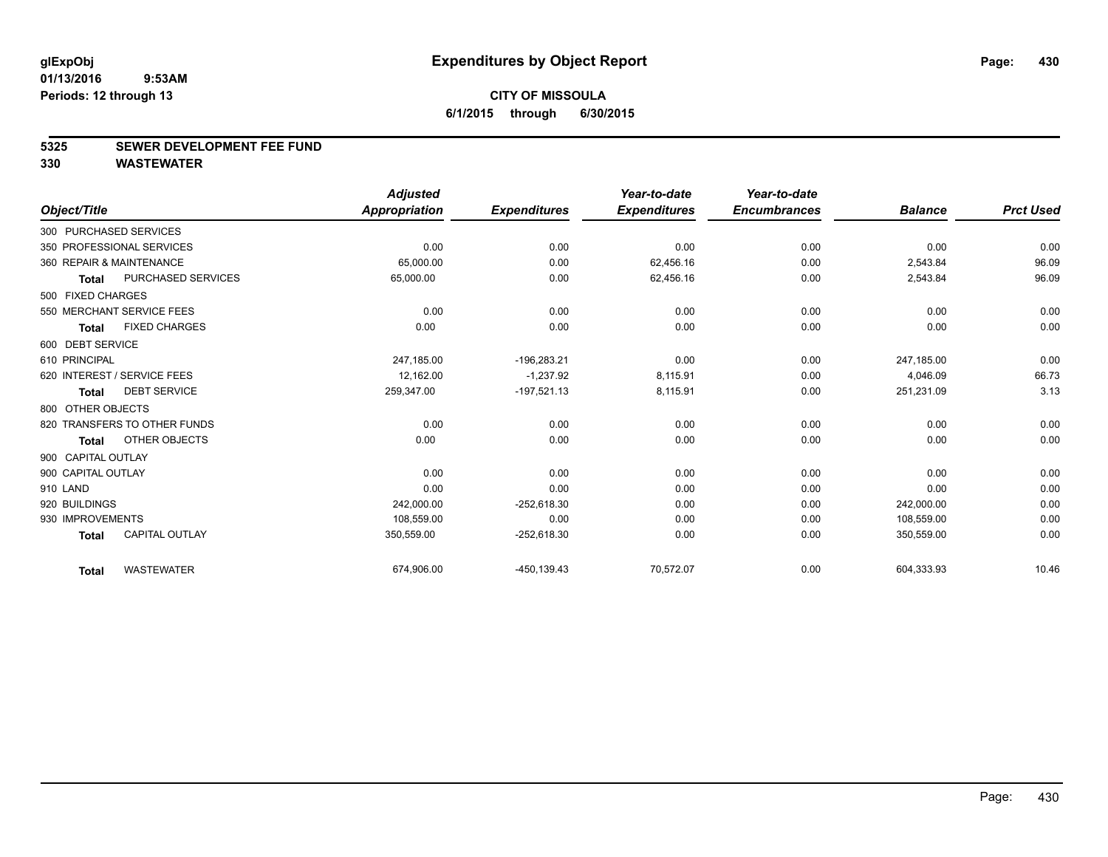#### **5325 SEWER DEVELOPMENT FEE FUND**

**330 WASTEWATER**

|                        |                              | <b>Adjusted</b> |                     | Year-to-date        | Year-to-date        |                |                  |
|------------------------|------------------------------|-----------------|---------------------|---------------------|---------------------|----------------|------------------|
| Object/Title           |                              | Appropriation   | <b>Expenditures</b> | <b>Expenditures</b> | <b>Encumbrances</b> | <b>Balance</b> | <b>Prct Used</b> |
| 300 PURCHASED SERVICES |                              |                 |                     |                     |                     |                |                  |
|                        | 350 PROFESSIONAL SERVICES    | 0.00            | 0.00                | 0.00                | 0.00                | 0.00           | 0.00             |
|                        | 360 REPAIR & MAINTENANCE     | 65,000.00       | 0.00                | 62,456.16           | 0.00                | 2,543.84       | 96.09            |
| <b>Total</b>           | PURCHASED SERVICES           | 65,000.00       | 0.00                | 62,456.16           | 0.00                | 2,543.84       | 96.09            |
| 500 FIXED CHARGES      |                              |                 |                     |                     |                     |                |                  |
|                        | 550 MERCHANT SERVICE FEES    | 0.00            | 0.00                | 0.00                | 0.00                | 0.00           | 0.00             |
| <b>Total</b>           | <b>FIXED CHARGES</b>         | 0.00            | 0.00                | 0.00                | 0.00                | 0.00           | 0.00             |
| 600 DEBT SERVICE       |                              |                 |                     |                     |                     |                |                  |
| 610 PRINCIPAL          |                              | 247,185.00      | $-196,283.21$       | 0.00                | 0.00                | 247,185.00     | 0.00             |
|                        | 620 INTEREST / SERVICE FEES  | 12.162.00       | $-1.237.92$         | 8,115.91            | 0.00                | 4,046.09       | 66.73            |
| <b>Total</b>           | <b>DEBT SERVICE</b>          | 259,347.00      | $-197,521.13$       | 8,115.91            | 0.00                | 251,231.09     | 3.13             |
| 800 OTHER OBJECTS      |                              |                 |                     |                     |                     |                |                  |
|                        | 820 TRANSFERS TO OTHER FUNDS | 0.00            | 0.00                | 0.00                | 0.00                | 0.00           | 0.00             |
| <b>Total</b>           | OTHER OBJECTS                | 0.00            | 0.00                | 0.00                | 0.00                | 0.00           | 0.00             |
| 900 CAPITAL OUTLAY     |                              |                 |                     |                     |                     |                |                  |
| 900 CAPITAL OUTLAY     |                              | 0.00            | 0.00                | 0.00                | 0.00                | 0.00           | 0.00             |
| 910 LAND               |                              | 0.00            | 0.00                | 0.00                | 0.00                | 0.00           | 0.00             |
| 920 BUILDINGS          |                              | 242,000.00      | $-252,618.30$       | 0.00                | 0.00                | 242,000.00     | 0.00             |
| 930 IMPROVEMENTS       |                              | 108,559.00      | 0.00                | 0.00                | 0.00                | 108,559.00     | 0.00             |
| <b>Total</b>           | <b>CAPITAL OUTLAY</b>        | 350,559.00      | $-252,618.30$       | 0.00                | 0.00                | 350,559.00     | 0.00             |
| <b>Total</b>           | <b>WASTEWATER</b>            | 674,906.00      | $-450, 139.43$      | 70,572.07           | 0.00                | 604,333.93     | 10.46            |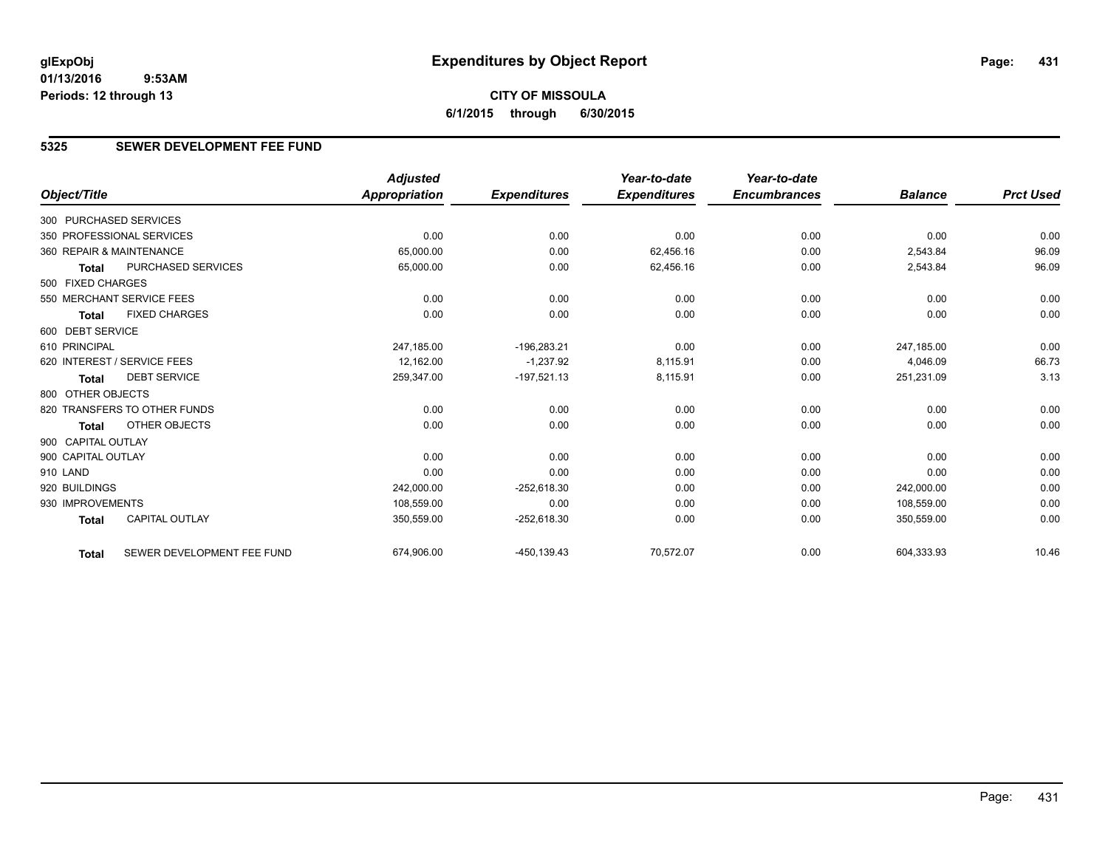### **5325 SEWER DEVELOPMENT FEE FUND**

|                        |                              | <b>Adjusted</b>      |                     | Year-to-date        | Year-to-date        |                |                  |
|------------------------|------------------------------|----------------------|---------------------|---------------------|---------------------|----------------|------------------|
| Object/Title           |                              | <b>Appropriation</b> | <b>Expenditures</b> | <b>Expenditures</b> | <b>Encumbrances</b> | <b>Balance</b> | <b>Prct Used</b> |
| 300 PURCHASED SERVICES |                              |                      |                     |                     |                     |                |                  |
|                        | 350 PROFESSIONAL SERVICES    | 0.00                 | 0.00                | 0.00                | 0.00                | 0.00           | 0.00             |
|                        | 360 REPAIR & MAINTENANCE     | 65,000.00            | 0.00                | 62,456.16           | 0.00                | 2,543.84       | 96.09            |
| <b>Total</b>           | <b>PURCHASED SERVICES</b>    | 65,000.00            | 0.00                | 62,456.16           | 0.00                | 2,543.84       | 96.09            |
| 500 FIXED CHARGES      |                              |                      |                     |                     |                     |                |                  |
|                        | 550 MERCHANT SERVICE FEES    | 0.00                 | 0.00                | 0.00                | 0.00                | 0.00           | 0.00             |
| Total                  | <b>FIXED CHARGES</b>         | 0.00                 | 0.00                | 0.00                | 0.00                | 0.00           | 0.00             |
| 600 DEBT SERVICE       |                              |                      |                     |                     |                     |                |                  |
| 610 PRINCIPAL          |                              | 247,185.00           | $-196,283.21$       | 0.00                | 0.00                | 247.185.00     | 0.00             |
|                        | 620 INTEREST / SERVICE FEES  | 12,162.00            | $-1,237.92$         | 8,115.91            | 0.00                | 4,046.09       | 66.73            |
| <b>Total</b>           | <b>DEBT SERVICE</b>          | 259,347.00           | $-197,521.13$       | 8,115.91            | 0.00                | 251,231.09     | 3.13             |
| 800 OTHER OBJECTS      |                              |                      |                     |                     |                     |                |                  |
|                        | 820 TRANSFERS TO OTHER FUNDS | 0.00                 | 0.00                | 0.00                | 0.00                | 0.00           | 0.00             |
| Total                  | OTHER OBJECTS                | 0.00                 | 0.00                | 0.00                | 0.00                | 0.00           | 0.00             |
| 900 CAPITAL OUTLAY     |                              |                      |                     |                     |                     |                |                  |
| 900 CAPITAL OUTLAY     |                              | 0.00                 | 0.00                | 0.00                | 0.00                | 0.00           | 0.00             |
| 910 LAND               |                              | 0.00                 | 0.00                | 0.00                | 0.00                | 0.00           | 0.00             |
| 920 BUILDINGS          |                              | 242,000.00           | $-252,618.30$       | 0.00                | 0.00                | 242,000.00     | 0.00             |
| 930 IMPROVEMENTS       |                              | 108,559.00           | 0.00                | 0.00                | 0.00                | 108.559.00     | 0.00             |
| <b>Total</b>           | <b>CAPITAL OUTLAY</b>        | 350,559.00           | $-252,618.30$       | 0.00                | 0.00                | 350,559.00     | 0.00             |
| Total                  | SEWER DEVELOPMENT FEE FUND   | 674,906.00           | $-450, 139.43$      | 70,572.07           | 0.00                | 604,333.93     | 10.46            |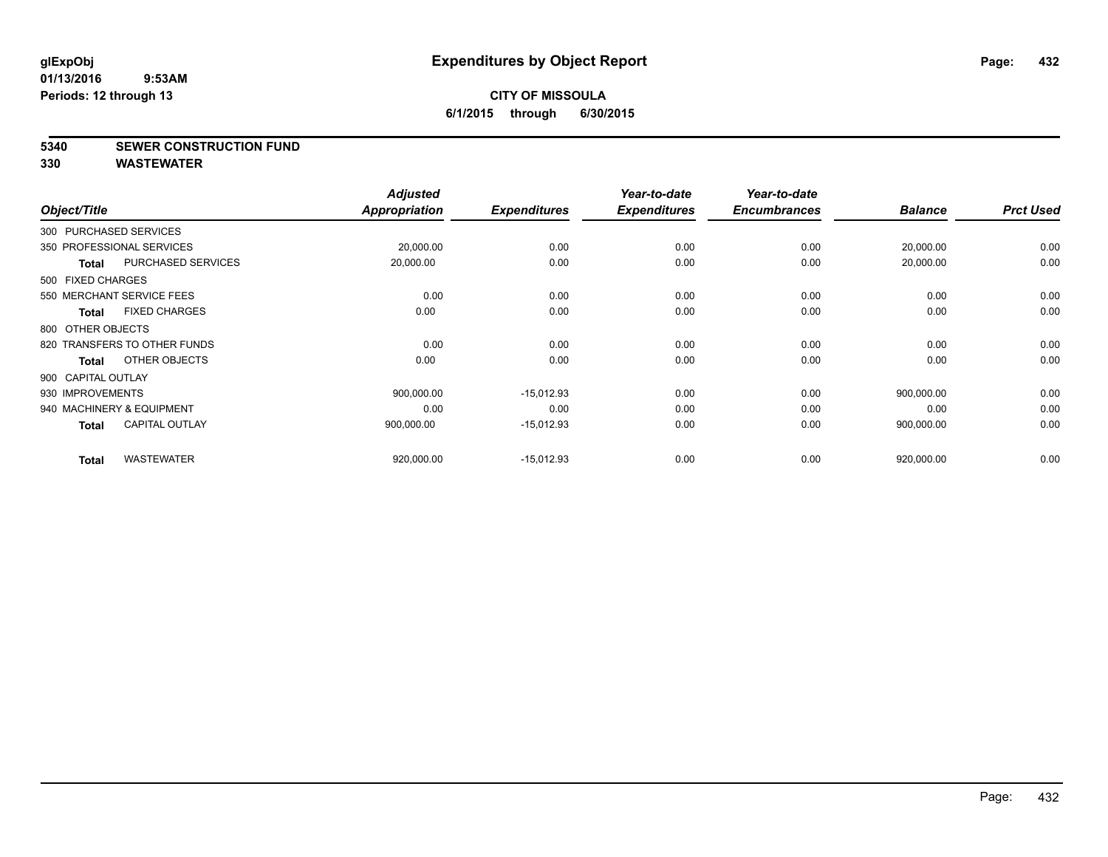### **5340 SEWER CONSTRUCTION FUND**

**330 WASTEWATER**

| Object/Title                              | <b>Adjusted</b><br>Appropriation | <b>Expenditures</b> | Year-to-date<br><b>Expenditures</b> | Year-to-date<br><b>Encumbrances</b> | <b>Balance</b> | <b>Prct Used</b> |
|-------------------------------------------|----------------------------------|---------------------|-------------------------------------|-------------------------------------|----------------|------------------|
| 300 PURCHASED SERVICES                    |                                  |                     |                                     |                                     |                |                  |
| 350 PROFESSIONAL SERVICES                 | 20,000.00                        | 0.00                | 0.00                                | 0.00                                | 20,000.00      | 0.00             |
| <b>PURCHASED SERVICES</b><br><b>Total</b> | 20,000.00                        | 0.00                | 0.00                                | 0.00                                | 20,000.00      | 0.00             |
| 500 FIXED CHARGES                         |                                  |                     |                                     |                                     |                |                  |
| 550 MERCHANT SERVICE FEES                 | 0.00                             | 0.00                | 0.00                                | 0.00                                | 0.00           | 0.00             |
| <b>FIXED CHARGES</b><br>Total             | 0.00                             | 0.00                | 0.00                                | 0.00                                | 0.00           | 0.00             |
| 800 OTHER OBJECTS                         |                                  |                     |                                     |                                     |                |                  |
| 820 TRANSFERS TO OTHER FUNDS              | 0.00                             | 0.00                | 0.00                                | 0.00                                | 0.00           | 0.00             |
| OTHER OBJECTS<br><b>Total</b>             | 0.00                             | 0.00                | 0.00                                | 0.00                                | 0.00           | 0.00             |
| 900 CAPITAL OUTLAY                        |                                  |                     |                                     |                                     |                |                  |
| 930 IMPROVEMENTS                          | 900,000.00                       | $-15,012.93$        | 0.00                                | 0.00                                | 900,000.00     | 0.00             |
| 940 MACHINERY & EQUIPMENT                 | 0.00                             | 0.00                | 0.00                                | 0.00                                | 0.00           | 0.00             |
| <b>CAPITAL OUTLAY</b><br>Total            | 900,000.00                       | $-15,012.93$        | 0.00                                | 0.00                                | 900,000.00     | 0.00             |
| <b>WASTEWATER</b><br><b>Total</b>         | 920,000.00                       | $-15,012.93$        | 0.00                                | 0.00                                | 920,000.00     | 0.00             |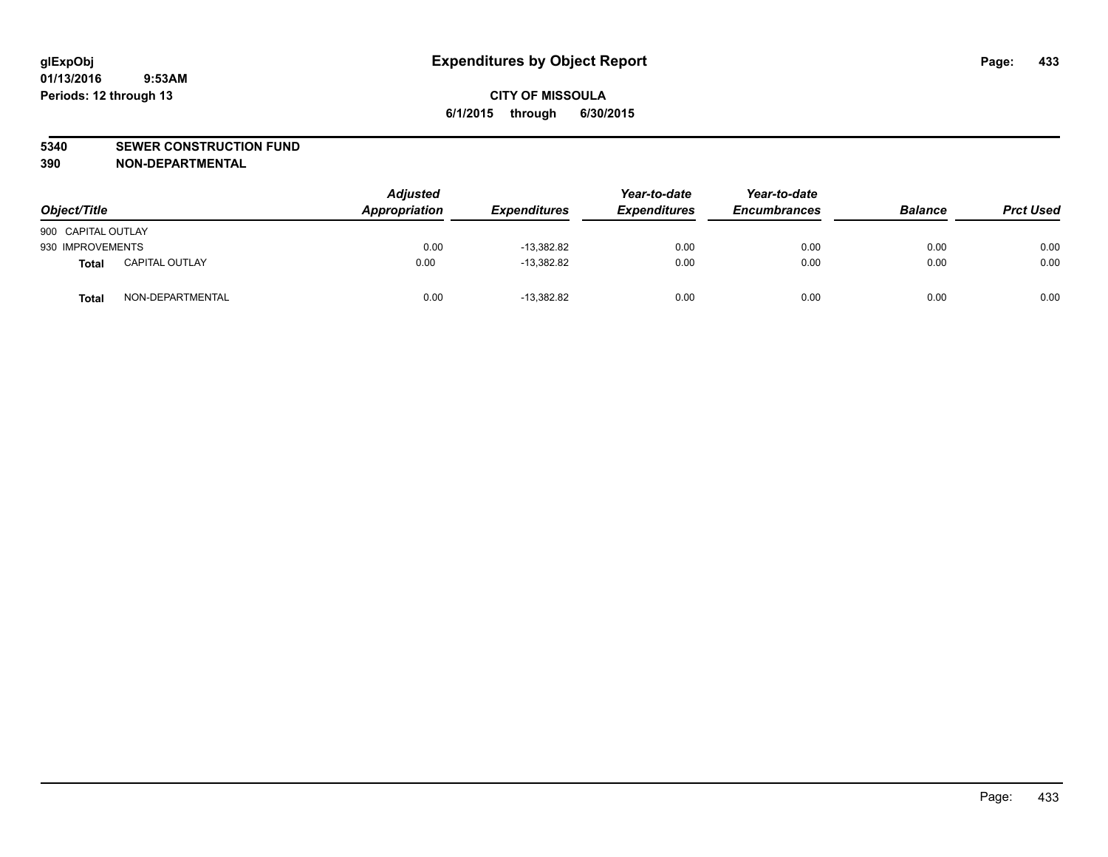#### **5340 SEWER CONSTRUCTION FUND**

**390 NON-DEPARTMENTAL**

| Object/Title       |                       | <b>Adjusted</b><br>Appropriation | <b>Expenditures</b> | Year-to-date<br><b>Expenditures</b> | Year-to-date<br><b>Encumbrances</b> | <b>Balance</b> | <b>Prct Used</b> |
|--------------------|-----------------------|----------------------------------|---------------------|-------------------------------------|-------------------------------------|----------------|------------------|
| 900 CAPITAL OUTLAY |                       |                                  |                     |                                     |                                     |                |                  |
| 930 IMPROVEMENTS   |                       | 0.00                             | $-13,382.82$        | 0.00                                | 0.00                                | 0.00           | 0.00             |
| <b>Total</b>       | <b>CAPITAL OUTLAY</b> | 0.00                             | $-13,382.82$        | 0.00                                | 0.00                                | 0.00           | 0.00             |
| Total              | NON-DEPARTMENTAL      | 0.00                             | $-13,382.82$        | 0.00                                | 0.00                                | 0.00           | 0.00             |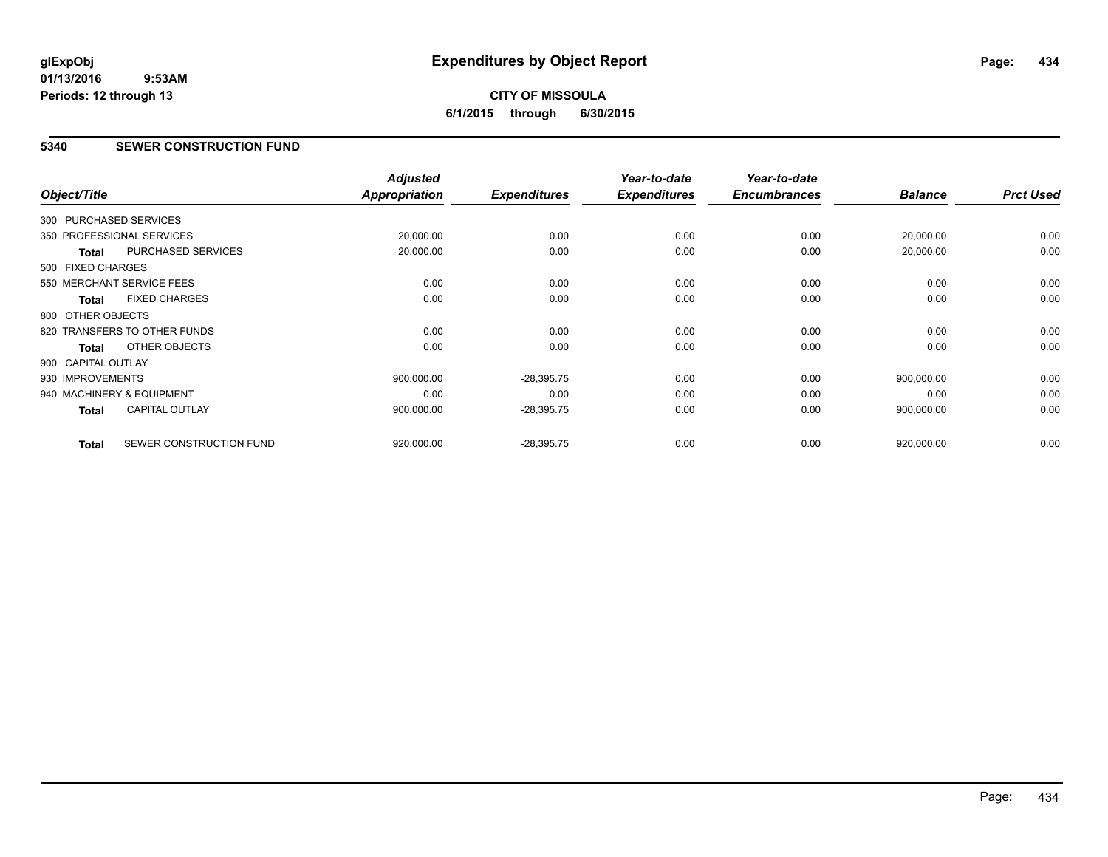# **CITY OF MISSOULA 6/1/2015 through 6/30/2015**

#### **5340 SEWER CONSTRUCTION FUND**

| Object/Title           |                              | <b>Adjusted</b><br>Appropriation | <b>Expenditures</b> | Year-to-date<br><b>Expenditures</b> | Year-to-date<br><b>Encumbrances</b> | <b>Balance</b> | <b>Prct Used</b> |
|------------------------|------------------------------|----------------------------------|---------------------|-------------------------------------|-------------------------------------|----------------|------------------|
|                        |                              |                                  |                     |                                     |                                     |                |                  |
| 300 PURCHASED SERVICES |                              |                                  |                     |                                     |                                     |                |                  |
|                        | 350 PROFESSIONAL SERVICES    | 20,000.00                        | 0.00                | 0.00                                | 0.00                                | 20,000.00      | 0.00             |
| Total                  | PURCHASED SERVICES           | 20,000.00                        | 0.00                | 0.00                                | 0.00                                | 20,000.00      | 0.00             |
| 500 FIXED CHARGES      |                              |                                  |                     |                                     |                                     |                |                  |
|                        | 550 MERCHANT SERVICE FEES    | 0.00                             | 0.00                | 0.00                                | 0.00                                | 0.00           | 0.00             |
| <b>Total</b>           | <b>FIXED CHARGES</b>         | 0.00                             | 0.00                | 0.00                                | 0.00                                | 0.00           | 0.00             |
| 800 OTHER OBJECTS      |                              |                                  |                     |                                     |                                     |                |                  |
|                        | 820 TRANSFERS TO OTHER FUNDS | 0.00                             | 0.00                | 0.00                                | 0.00                                | 0.00           | 0.00             |
| Total                  | OTHER OBJECTS                | 0.00                             | 0.00                | 0.00                                | 0.00                                | 0.00           | 0.00             |
| 900 CAPITAL OUTLAY     |                              |                                  |                     |                                     |                                     |                |                  |
| 930 IMPROVEMENTS       |                              | 900,000.00                       | $-28,395.75$        | 0.00                                | 0.00                                | 900,000.00     | 0.00             |
|                        | 940 MACHINERY & EQUIPMENT    | 0.00                             | 0.00                | 0.00                                | 0.00                                | 0.00           | 0.00             |
| <b>Total</b>           | <b>CAPITAL OUTLAY</b>        | 900,000.00                       | $-28,395.75$        | 0.00                                | 0.00                                | 900,000.00     | 0.00             |
| <b>Total</b>           | SEWER CONSTRUCTION FUND      | 920,000.00                       | $-28,395.75$        | 0.00                                | 0.00                                | 920,000.00     | 0.00             |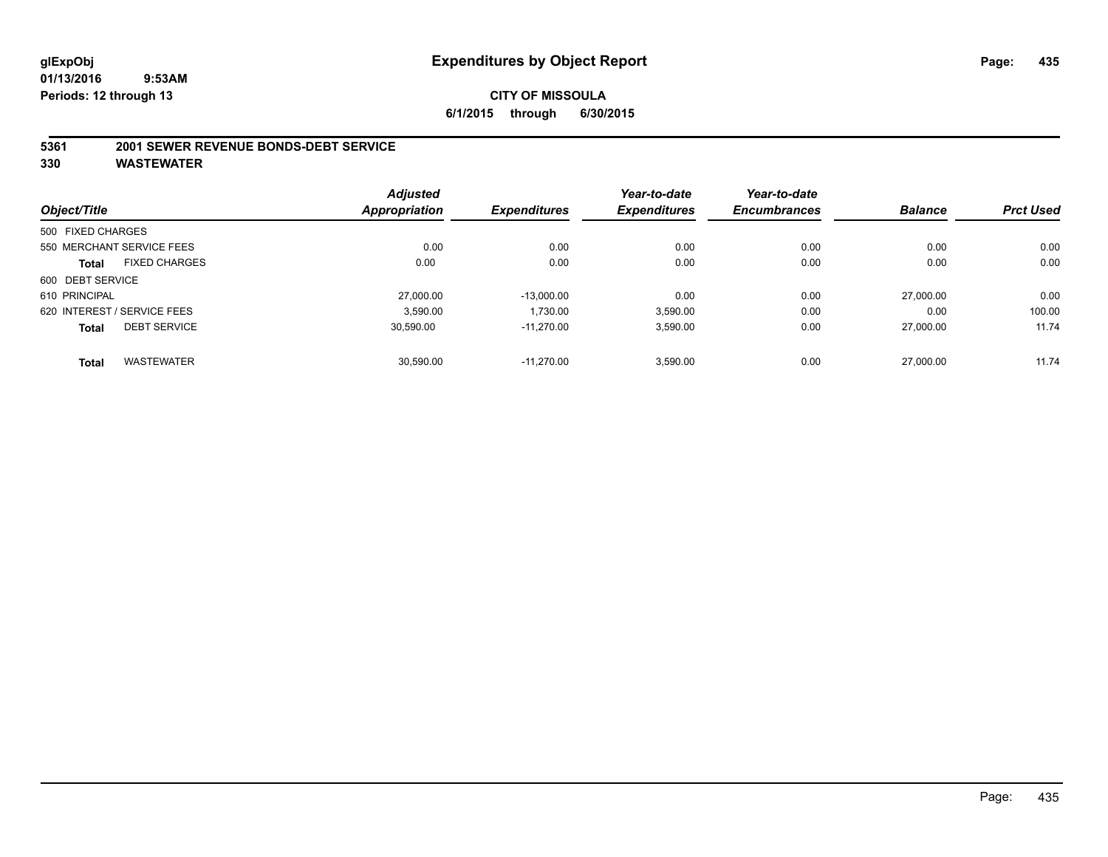#### **5361 2001 SEWER REVENUE BONDS-DEBT SERVICE**

|                   |                             | <b>Adjusted</b> |                     | Year-to-date        | Year-to-date        |                |                  |
|-------------------|-----------------------------|-----------------|---------------------|---------------------|---------------------|----------------|------------------|
| Object/Title      |                             | Appropriation   | <b>Expenditures</b> | <b>Expenditures</b> | <b>Encumbrances</b> | <b>Balance</b> | <b>Prct Used</b> |
| 500 FIXED CHARGES |                             |                 |                     |                     |                     |                |                  |
|                   | 550 MERCHANT SERVICE FEES   | 0.00            | 0.00                | 0.00                | 0.00                | 0.00           | 0.00             |
| <b>Total</b>      | <b>FIXED CHARGES</b>        | 0.00            | 0.00                | 0.00                | 0.00                | 0.00           | 0.00             |
| 600 DEBT SERVICE  |                             |                 |                     |                     |                     |                |                  |
| 610 PRINCIPAL     |                             | 27,000.00       | $-13.000.00$        | 0.00                | 0.00                | 27,000.00      | 0.00             |
|                   | 620 INTEREST / SERVICE FEES | 3.590.00        | 1.730.00            | 3,590.00            | 0.00                | 0.00           | 100.00           |
| <b>Total</b>      | <b>DEBT SERVICE</b>         | 30,590.00       | $-11.270.00$        | 3,590.00            | 0.00                | 27,000.00      | 11.74            |
| <b>Total</b>      | <b>WASTEWATER</b>           | 30.590.00       | $-11.270.00$        | 3,590.00            | 0.00                | 27,000.00      | 11.74            |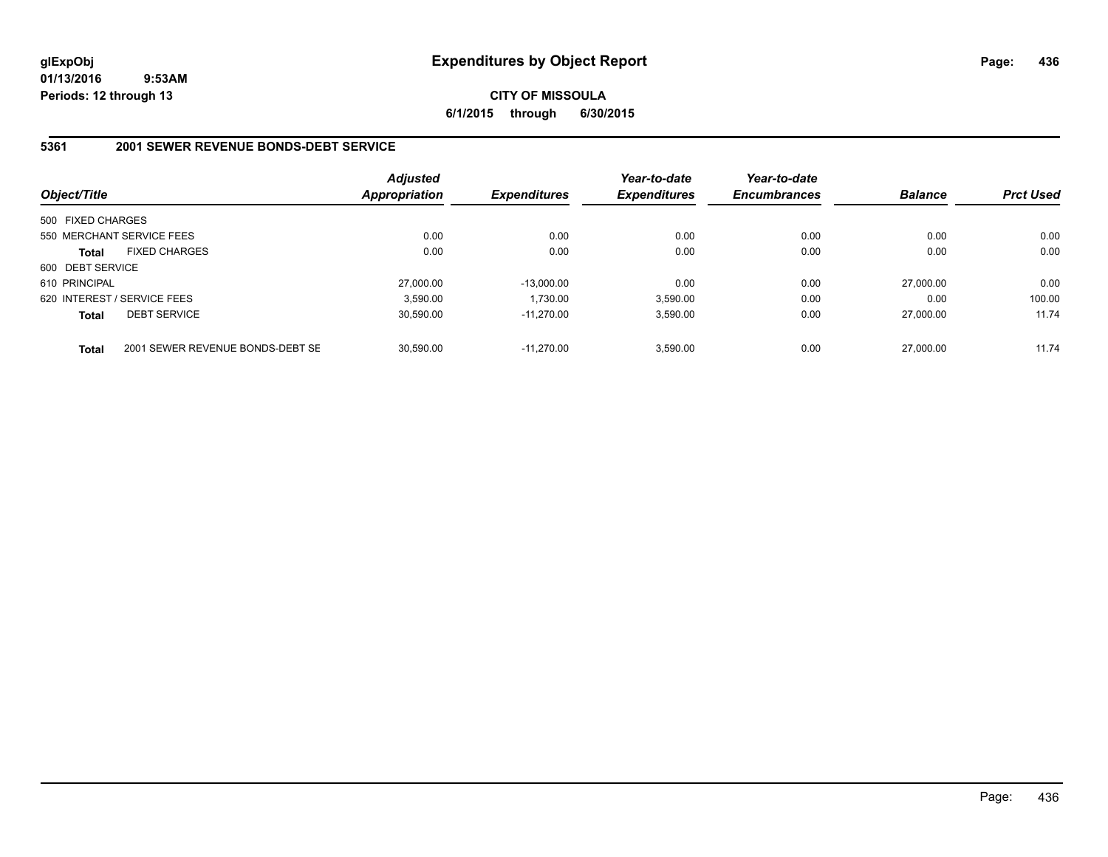#### **CITY OF MISSOULA 6/1/2015 through 6/30/2015**

#### **5361 2001 SEWER REVENUE BONDS-DEBT SERVICE**

| Object/Title      |                                  | <b>Adjusted</b><br><b>Appropriation</b> | <b>Expenditures</b> | Year-to-date<br><b>Expenditures</b> | Year-to-date<br><b>Encumbrances</b> | <b>Balance</b> | <b>Prct Used</b> |
|-------------------|----------------------------------|-----------------------------------------|---------------------|-------------------------------------|-------------------------------------|----------------|------------------|
| 500 FIXED CHARGES |                                  |                                         |                     |                                     |                                     |                |                  |
|                   | 550 MERCHANT SERVICE FEES        | 0.00                                    | 0.00                | 0.00                                | 0.00                                | 0.00           | 0.00             |
| <b>Total</b>      | <b>FIXED CHARGES</b>             | 0.00                                    | 0.00                | 0.00                                | 0.00                                | 0.00           | 0.00             |
| 600 DEBT SERVICE  |                                  |                                         |                     |                                     |                                     |                |                  |
| 610 PRINCIPAL     |                                  | 27.000.00                               | $-13.000.00$        | 0.00                                | 0.00                                | 27.000.00      | 0.00             |
|                   | 620 INTEREST / SERVICE FEES      | 3.590.00                                | 1.730.00            | 3.590.00                            | 0.00                                | 0.00           | 100.00           |
| <b>Total</b>      | <b>DEBT SERVICE</b>              | 30.590.00                               | $-11.270.00$        | 3,590.00                            | 0.00                                | 27.000.00      | 11.74            |
| <b>Total</b>      | 2001 SEWER REVENUE BONDS-DEBT SE | 30.590.00                               | $-11.270.00$        | 3,590.00                            | 0.00                                | 27,000.00      | 11.74            |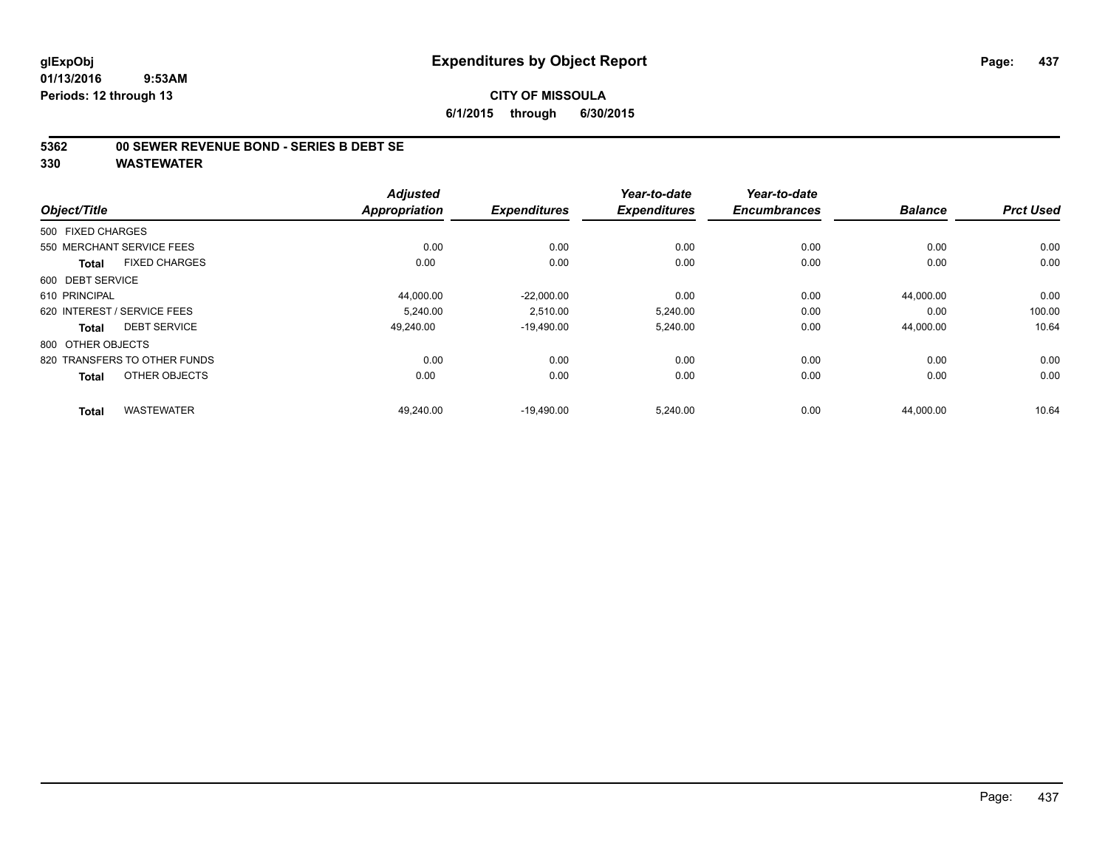## **CITY OF MISSOULA 6/1/2015 through 6/30/2015**

#### **5362 00 SEWER REVENUE BOND - SERIES B DEBT SE**

|                                      | <b>Adjusted</b> |                     | Year-to-date        | Year-to-date        |                |                  |
|--------------------------------------|-----------------|---------------------|---------------------|---------------------|----------------|------------------|
| Object/Title                         | Appropriation   | <b>Expenditures</b> | <b>Expenditures</b> | <b>Encumbrances</b> | <b>Balance</b> | <b>Prct Used</b> |
| 500 FIXED CHARGES                    |                 |                     |                     |                     |                |                  |
| 550 MERCHANT SERVICE FEES            | 0.00            | 0.00                | 0.00                | 0.00                | 0.00           | 0.00             |
| <b>FIXED CHARGES</b><br><b>Total</b> | 0.00            | 0.00                | 0.00                | 0.00                | 0.00           | 0.00             |
| 600 DEBT SERVICE                     |                 |                     |                     |                     |                |                  |
| 610 PRINCIPAL                        | 44,000.00       | $-22,000.00$        | 0.00                | 0.00                | 44,000.00      | 0.00             |
| 620 INTEREST / SERVICE FEES          | 5.240.00        | 2.510.00            | 5.240.00            | 0.00                | 0.00           | 100.00           |
| <b>DEBT SERVICE</b><br><b>Total</b>  | 49.240.00       | $-19,490.00$        | 5,240.00            | 0.00                | 44,000.00      | 10.64            |
| 800 OTHER OBJECTS                    |                 |                     |                     |                     |                |                  |
| 820 TRANSFERS TO OTHER FUNDS         | 0.00            | 0.00                | 0.00                | 0.00                | 0.00           | 0.00             |
| OTHER OBJECTS<br><b>Total</b>        | 0.00            | 0.00                | 0.00                | 0.00                | 0.00           | 0.00             |
| <b>WASTEWATER</b><br><b>Total</b>    | 49.240.00       | $-19.490.00$        | 5.240.00            | 0.00                | 44.000.00      | 10.64            |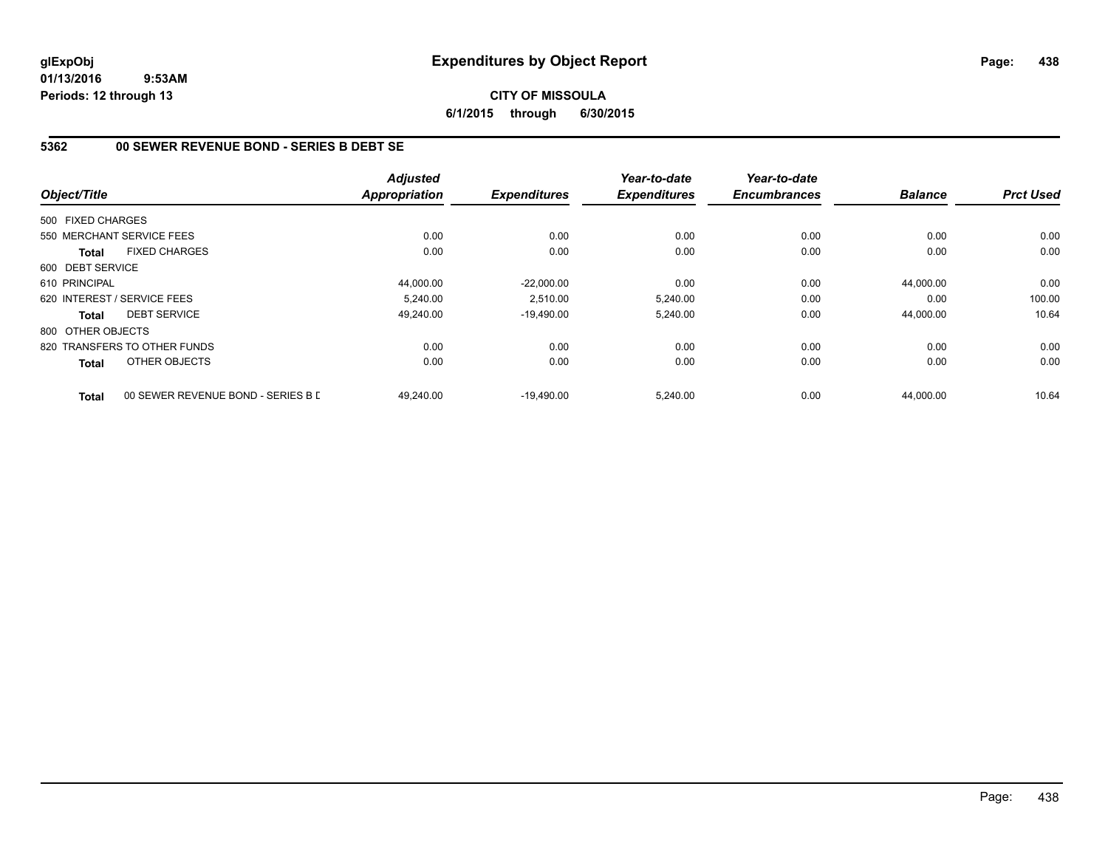#### **CITY OF MISSOULA 6/1/2015 through 6/30/2015**

## **5362 00 SEWER REVENUE BOND - SERIES B DEBT SE**

| Object/Title      |                                    | <b>Adjusted</b><br><b>Appropriation</b> | <b>Expenditures</b> | Year-to-date<br><b>Expenditures</b> | Year-to-date<br><b>Encumbrances</b> | <b>Balance</b> | <b>Prct Used</b> |
|-------------------|------------------------------------|-----------------------------------------|---------------------|-------------------------------------|-------------------------------------|----------------|------------------|
|                   |                                    |                                         |                     |                                     |                                     |                |                  |
| 500 FIXED CHARGES |                                    |                                         |                     |                                     |                                     |                |                  |
|                   | 550 MERCHANT SERVICE FEES          | 0.00                                    | 0.00                | 0.00                                | 0.00                                | 0.00           | 0.00             |
| <b>Total</b>      | <b>FIXED CHARGES</b>               | 0.00                                    | 0.00                | 0.00                                | 0.00                                | 0.00           | 0.00             |
| 600 DEBT SERVICE  |                                    |                                         |                     |                                     |                                     |                |                  |
| 610 PRINCIPAL     |                                    | 44,000.00                               | $-22,000.00$        | 0.00                                | 0.00                                | 44,000.00      | 0.00             |
|                   | 620 INTEREST / SERVICE FEES        | 5.240.00                                | 2,510.00            | 5,240.00                            | 0.00                                | 0.00           | 100.00           |
| <b>Total</b>      | <b>DEBT SERVICE</b>                | 49,240.00                               | $-19.490.00$        | 5,240.00                            | 0.00                                | 44,000.00      | 10.64            |
| 800 OTHER OBJECTS |                                    |                                         |                     |                                     |                                     |                |                  |
|                   | 820 TRANSFERS TO OTHER FUNDS       | 0.00                                    | 0.00                | 0.00                                | 0.00                                | 0.00           | 0.00             |
| <b>Total</b>      | OTHER OBJECTS                      | 0.00                                    | 0.00                | 0.00                                | 0.00                                | 0.00           | 0.00             |
| <b>Total</b>      | 00 SEWER REVENUE BOND - SERIES B L | 49.240.00                               | $-19.490.00$        | 5.240.00                            | 0.00                                | 44.000.00      | 10.64            |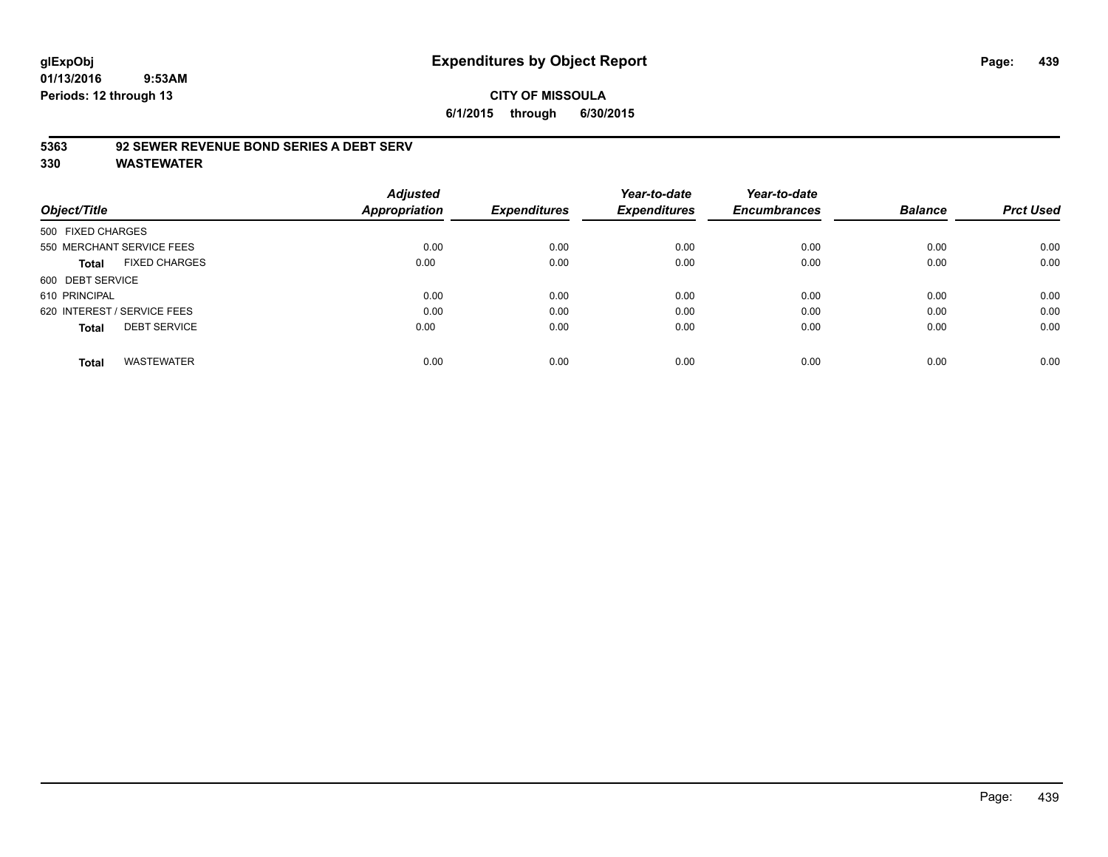#### **CITY OF MISSOULA 6/1/2015 through 6/30/2015**

#### **5363 92 SEWER REVENUE BOND SERIES A DEBT SERV**

| Object/Title                |                           | <b>Adjusted</b><br>Appropriation | <b>Expenditures</b> | Year-to-date<br><b>Expenditures</b> | Year-to-date<br><b>Encumbrances</b> | <b>Balance</b> | <b>Prct Used</b> |
|-----------------------------|---------------------------|----------------------------------|---------------------|-------------------------------------|-------------------------------------|----------------|------------------|
| 500 FIXED CHARGES           |                           |                                  |                     |                                     |                                     |                |                  |
|                             | 550 MERCHANT SERVICE FEES | 0.00                             | 0.00                | 0.00                                | 0.00                                | 0.00           | 0.00             |
| Total                       | <b>FIXED CHARGES</b>      | 0.00                             | 0.00                | 0.00                                | 0.00                                | 0.00           | 0.00             |
| 600 DEBT SERVICE            |                           |                                  |                     |                                     |                                     |                |                  |
| 610 PRINCIPAL               |                           | 0.00                             | 0.00                | 0.00                                | 0.00                                | 0.00           | 0.00             |
| 620 INTEREST / SERVICE FEES |                           | 0.00                             | 0.00                | 0.00                                | 0.00                                | 0.00           | 0.00             |
| <b>Total</b>                | <b>DEBT SERVICE</b>       | 0.00                             | 0.00                | 0.00                                | 0.00                                | 0.00           | 0.00             |
| <b>Total</b>                | <b>WASTEWATER</b>         | 0.00                             | 0.00                | 0.00                                | 0.00                                | 0.00           | 0.00             |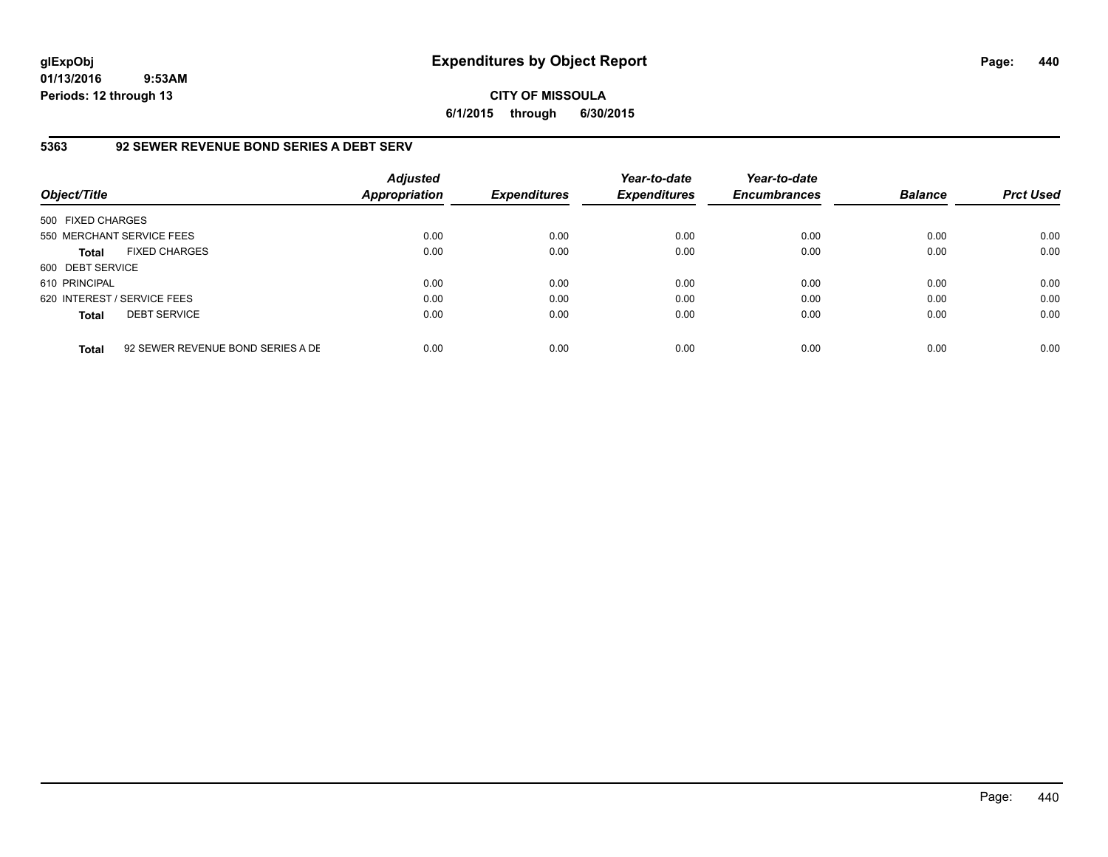# **CITY OF MISSOULA 6/1/2015 through 6/30/2015**

## **5363 92 SEWER REVENUE BOND SERIES A DEBT SERV**

| Object/Title                |                                   | <b>Adjusted</b><br>Appropriation | <b>Expenditures</b> | Year-to-date<br><b>Expenditures</b> | Year-to-date<br><b>Encumbrances</b> | <b>Balance</b> | <b>Prct Used</b> |
|-----------------------------|-----------------------------------|----------------------------------|---------------------|-------------------------------------|-------------------------------------|----------------|------------------|
| 500 FIXED CHARGES           |                                   |                                  |                     |                                     |                                     |                |                  |
| 550 MERCHANT SERVICE FEES   |                                   | 0.00                             | 0.00                | 0.00                                | 0.00                                | 0.00           | 0.00             |
| <b>Total</b>                | <b>FIXED CHARGES</b>              | 0.00                             | 0.00                | 0.00                                | 0.00                                | 0.00           | 0.00             |
| 600 DEBT SERVICE            |                                   |                                  |                     |                                     |                                     |                |                  |
| 610 PRINCIPAL               |                                   | 0.00                             | 0.00                | 0.00                                | 0.00                                | 0.00           | 0.00             |
| 620 INTEREST / SERVICE FEES |                                   | 0.00                             | 0.00                | 0.00                                | 0.00                                | 0.00           | 0.00             |
| <b>Total</b>                | <b>DEBT SERVICE</b>               | 0.00                             | 0.00                | 0.00                                | 0.00                                | 0.00           | 0.00             |
| <b>Total</b>                | 92 SEWER REVENUE BOND SERIES A DE | 0.00                             | 0.00                | 0.00                                | 0.00                                | 0.00           | 0.00             |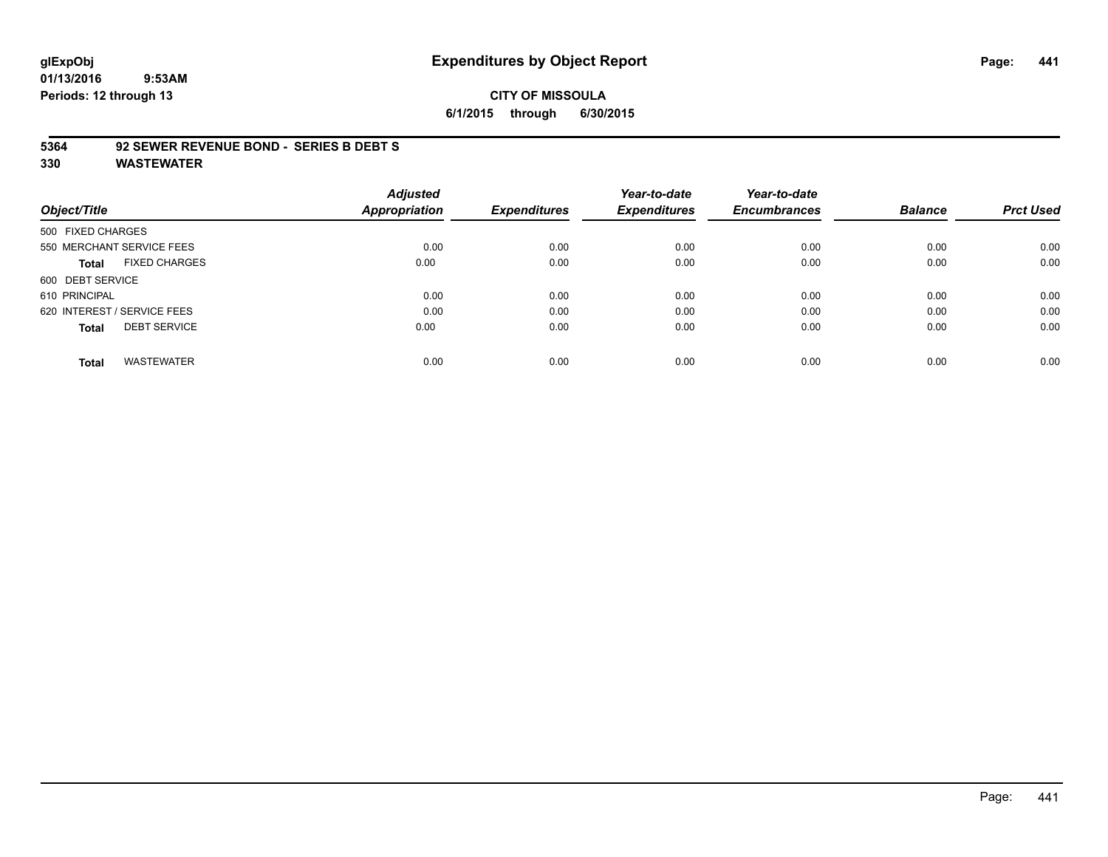# **glExpObj Expenditures by Object Report Page: 441**

**01/13/2016 9:53AM Periods: 12 through 13**

# **CITY OF MISSOULA 6/1/2015 through 6/30/2015**

#### **5364 92 SEWER REVENUE BOND - SERIES B DEBT S**

|                             |                           | <b>Adjusted</b>      |                     | Year-to-date        | Year-to-date        |                |                  |
|-----------------------------|---------------------------|----------------------|---------------------|---------------------|---------------------|----------------|------------------|
| Object/Title                |                           | <b>Appropriation</b> | <b>Expenditures</b> | <b>Expenditures</b> | <b>Encumbrances</b> | <b>Balance</b> | <b>Prct Used</b> |
| 500 FIXED CHARGES           |                           |                      |                     |                     |                     |                |                  |
|                             | 550 MERCHANT SERVICE FEES | 0.00                 | 0.00                | 0.00                | 0.00                | 0.00           | 0.00             |
| Total                       | <b>FIXED CHARGES</b>      | 0.00                 | 0.00                | 0.00                | 0.00                | 0.00           | 0.00             |
| 600 DEBT SERVICE            |                           |                      |                     |                     |                     |                |                  |
| 610 PRINCIPAL               |                           | 0.00                 | 0.00                | 0.00                | 0.00                | 0.00           | 0.00             |
| 620 INTEREST / SERVICE FEES |                           | 0.00                 | 0.00                | 0.00                | 0.00                | 0.00           | 0.00             |
| <b>Total</b>                | <b>DEBT SERVICE</b>       | 0.00                 | 0.00                | 0.00                | 0.00                | 0.00           | 0.00             |
| <b>Total</b>                | <b>WASTEWATER</b>         | 0.00                 | 0.00                | 0.00                | 0.00                | 0.00           | 0.00             |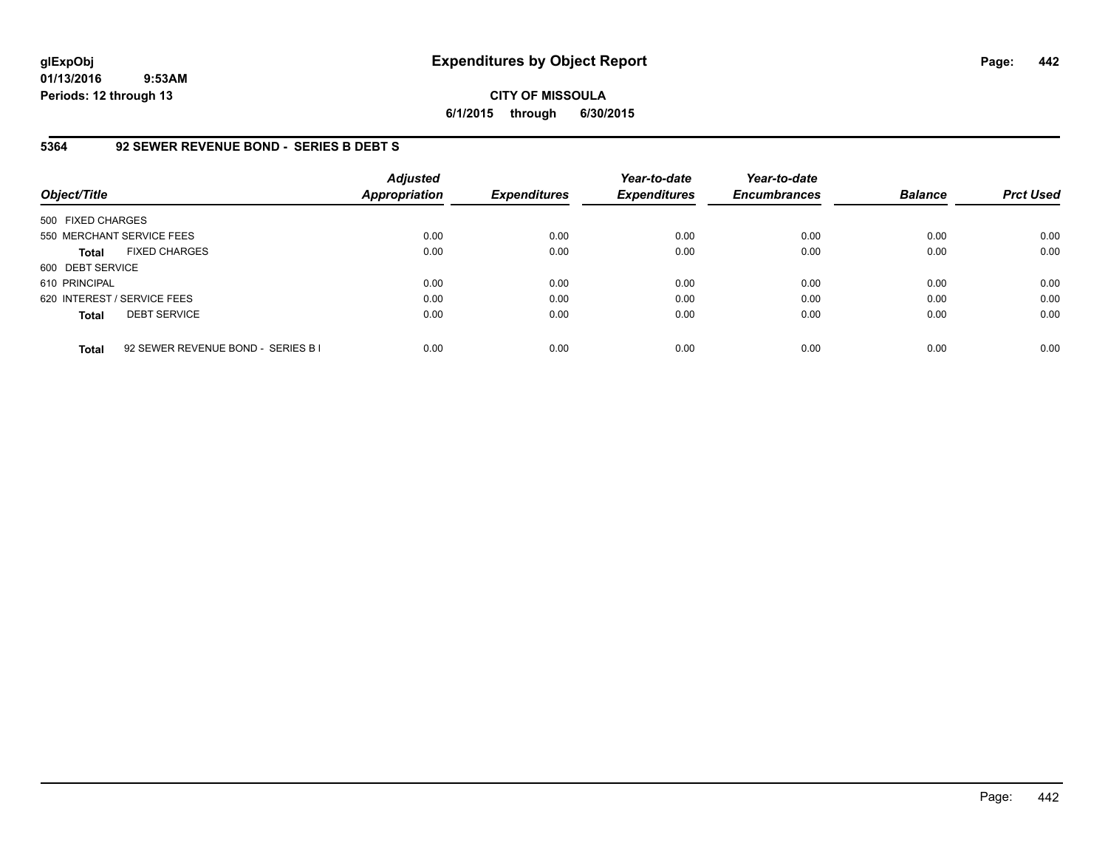# **CITY OF MISSOULA 6/1/2015 through 6/30/2015**

## **5364 92 SEWER REVENUE BOND - SERIES B DEBT S**

| Object/Title                |                                    | <b>Adjusted</b><br><b>Appropriation</b> | <b>Expenditures</b> | Year-to-date<br><b>Expenditures</b> | Year-to-date<br><b>Encumbrances</b> | <b>Balance</b> | <b>Prct Used</b> |
|-----------------------------|------------------------------------|-----------------------------------------|---------------------|-------------------------------------|-------------------------------------|----------------|------------------|
| 500 FIXED CHARGES           |                                    |                                         |                     |                                     |                                     |                |                  |
| 550 MERCHANT SERVICE FEES   |                                    | 0.00                                    | 0.00                | 0.00                                | 0.00                                | 0.00           | 0.00             |
| <b>Total</b>                | <b>FIXED CHARGES</b>               | 0.00                                    | 0.00                | 0.00                                | 0.00                                | 0.00           | 0.00             |
| 600 DEBT SERVICE            |                                    |                                         |                     |                                     |                                     |                |                  |
| 610 PRINCIPAL               |                                    | 0.00                                    | 0.00                | 0.00                                | 0.00                                | 0.00           | 0.00             |
| 620 INTEREST / SERVICE FEES |                                    | 0.00                                    | 0.00                | 0.00                                | 0.00                                | 0.00           | 0.00             |
| <b>Total</b>                | <b>DEBT SERVICE</b>                | 0.00                                    | 0.00                | 0.00                                | 0.00                                | 0.00           | 0.00             |
| <b>Total</b>                | 92 SEWER REVENUE BOND - SERIES B I | 0.00                                    | 0.00                | 0.00                                | 0.00                                | 0.00           | 0.00             |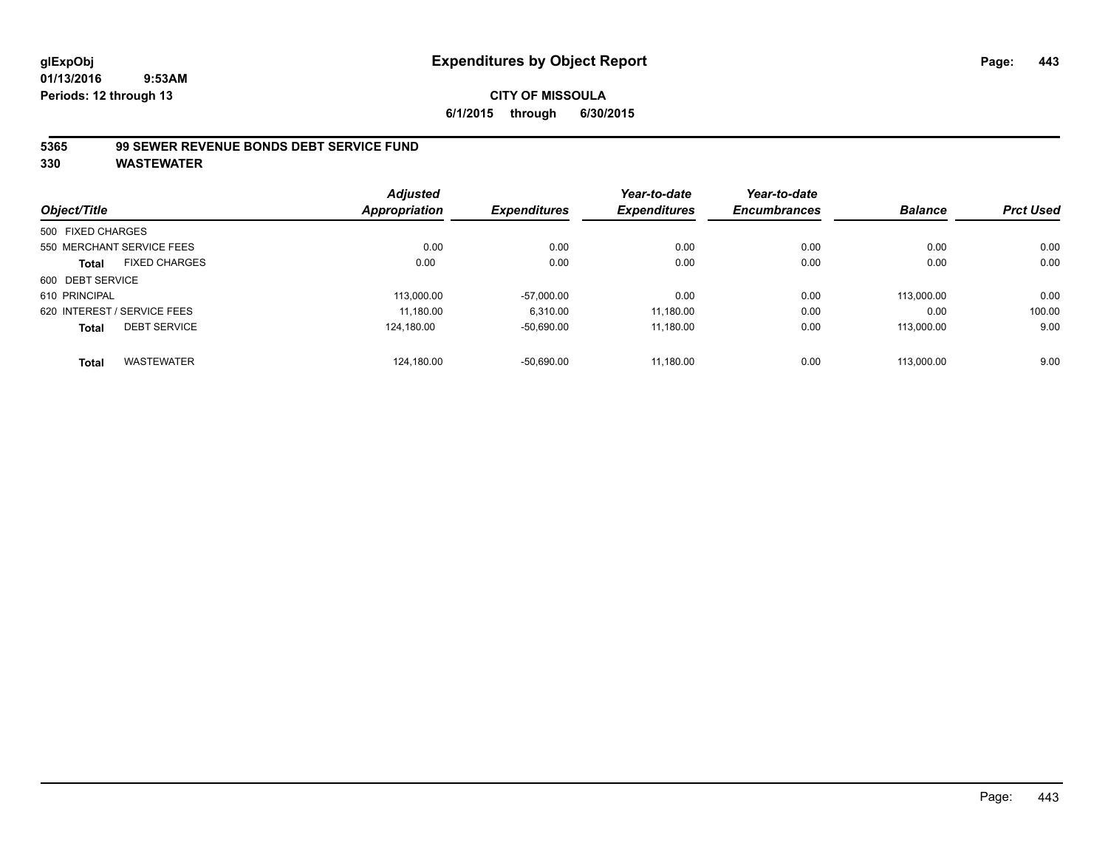#### **5365 99 SEWER REVENUE BONDS DEBT SERVICE FUND**

|                                      | <b>Adjusted</b><br><b>Appropriation</b> | <b>Expenditures</b> | Year-to-date<br><b>Expenditures</b> | Year-to-date<br><b>Encumbrances</b> | <b>Balance</b> | <b>Prct Used</b> |
|--------------------------------------|-----------------------------------------|---------------------|-------------------------------------|-------------------------------------|----------------|------------------|
| Object/Title                         |                                         |                     |                                     |                                     |                |                  |
| 500 FIXED CHARGES                    |                                         |                     |                                     |                                     |                |                  |
| 550 MERCHANT SERVICE FEES            | 0.00                                    | 0.00                | 0.00                                | 0.00                                | 0.00           | 0.00             |
| <b>FIXED CHARGES</b><br><b>Total</b> | 0.00                                    | 0.00                | 0.00                                | 0.00                                | 0.00           | 0.00             |
| 600 DEBT SERVICE                     |                                         |                     |                                     |                                     |                |                  |
| 610 PRINCIPAL                        | 113.000.00                              | $-57,000.00$        | 0.00                                | 0.00                                | 113,000.00     | 0.00             |
| 620 INTEREST / SERVICE FEES          | 11,180.00                               | 6,310.00            | 11,180.00                           | 0.00                                | 0.00           | 100.00           |
| <b>DEBT SERVICE</b><br><b>Total</b>  | 124.180.00                              | $-50,690.00$        | 11.180.00                           | 0.00                                | 113.000.00     | 9.00             |
| <b>WASTEWATER</b><br><b>Total</b>    | 124,180.00                              | $-50,690.00$        | 11.180.00                           | 0.00                                | 113.000.00     | 9.00             |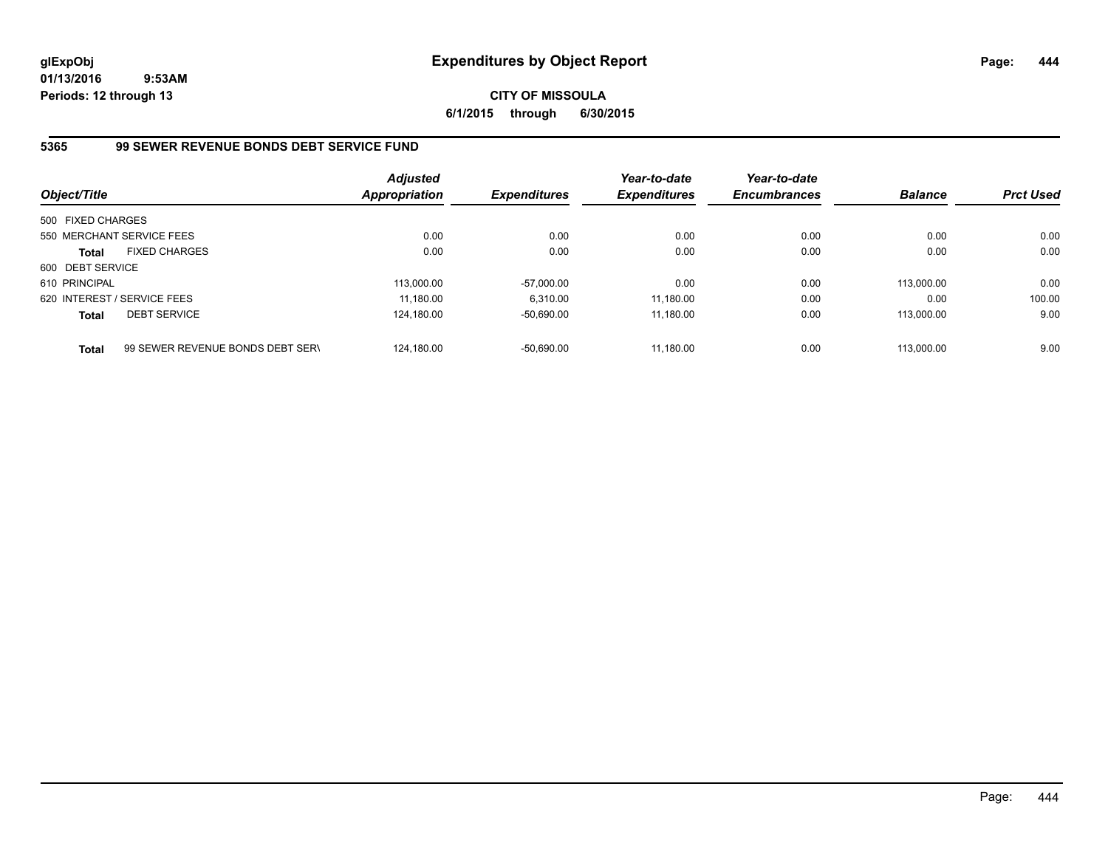# **CITY OF MISSOULA 6/1/2015 through 6/30/2015**

# **5365 99 SEWER REVENUE BONDS DEBT SERVICE FUND**

| Object/Title                |                                  | Adjusted<br>Appropriation | <b>Expenditures</b> | Year-to-date<br><b>Expenditures</b> | Year-to-date<br><b>Encumbrances</b> | <b>Balance</b> | <b>Prct Used</b> |
|-----------------------------|----------------------------------|---------------------------|---------------------|-------------------------------------|-------------------------------------|----------------|------------------|
| 500 FIXED CHARGES           |                                  |                           |                     |                                     |                                     |                |                  |
|                             | 550 MERCHANT SERVICE FEES        | 0.00                      | 0.00                | 0.00                                | 0.00                                | 0.00           | 0.00             |
| <b>Total</b>                | <b>FIXED CHARGES</b>             | 0.00                      | 0.00                | 0.00                                | 0.00                                | 0.00           | 0.00             |
| 600 DEBT SERVICE            |                                  |                           |                     |                                     |                                     |                |                  |
| 610 PRINCIPAL               |                                  | 113.000.00                | $-57.000.00$        | 0.00                                | 0.00                                | 113.000.00     | 0.00             |
| 620 INTEREST / SERVICE FEES |                                  | 11.180.00                 | 6.310.00            | 11.180.00                           | 0.00                                | 0.00           | 100.00           |
| Total                       | <b>DEBT SERVICE</b>              | 124,180.00                | $-50,690.00$        | 11,180.00                           | 0.00                                | 113.000.00     | 9.00             |
| <b>Total</b>                | 99 SEWER REVENUE BONDS DEBT SERN | 124.180.00                | $-50,690.00$        | 11.180.00                           | 0.00                                | 113.000.00     | 9.00             |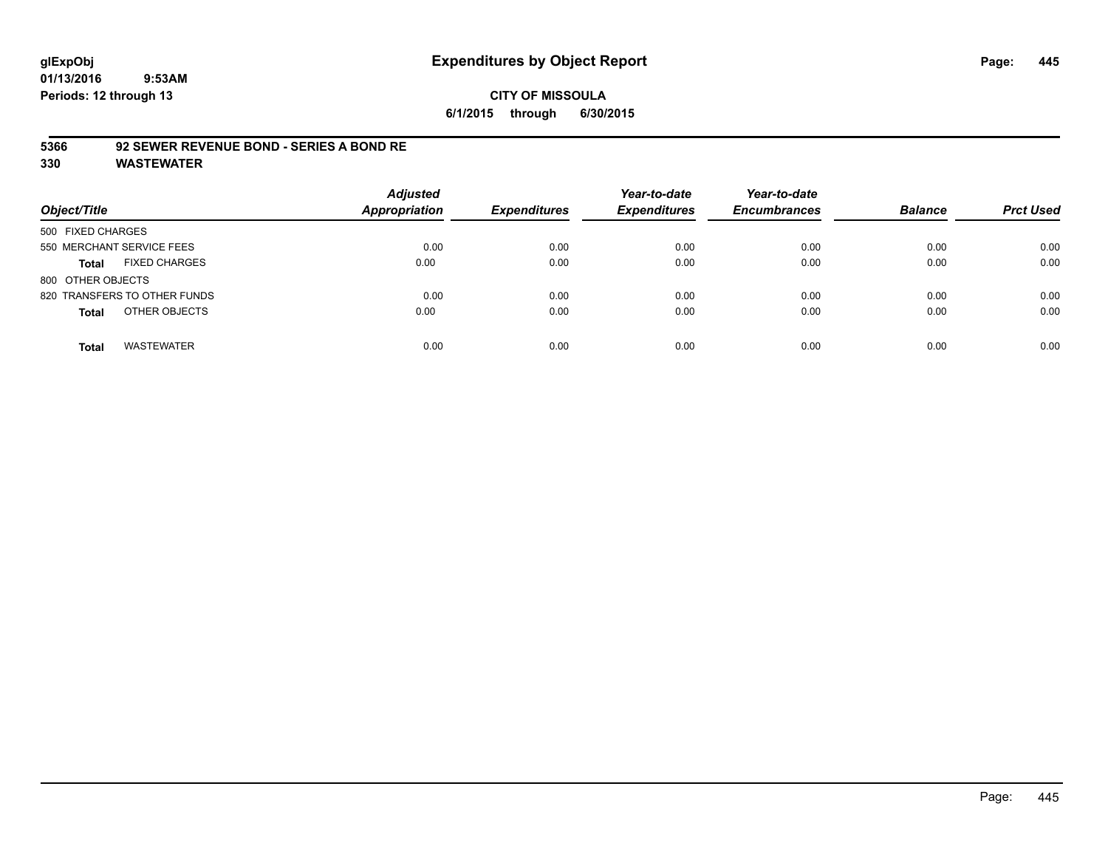## **CITY OF MISSOULA 6/1/2015 through 6/30/2015**

#### **5366 92 SEWER REVENUE BOND - SERIES A BOND RE**

| Object/Title                         | <b>Adjusted</b><br>Appropriation | <b>Expenditures</b> | Year-to-date<br><b>Expenditures</b> | Year-to-date<br><b>Encumbrances</b> | <b>Balance</b> | <b>Prct Used</b> |
|--------------------------------------|----------------------------------|---------------------|-------------------------------------|-------------------------------------|----------------|------------------|
| 500 FIXED CHARGES                    |                                  |                     |                                     |                                     |                |                  |
| 550 MERCHANT SERVICE FEES            | 0.00                             | 0.00                | 0.00                                | 0.00                                | 0.00           | 0.00             |
| <b>FIXED CHARGES</b><br><b>Total</b> | 0.00                             | 0.00                | 0.00                                | 0.00                                | 0.00           | 0.00             |
| 800 OTHER OBJECTS                    |                                  |                     |                                     |                                     |                |                  |
| 820 TRANSFERS TO OTHER FUNDS         | 0.00                             | 0.00                | 0.00                                | 0.00                                | 0.00           | 0.00             |
| OTHER OBJECTS<br><b>Total</b>        | 0.00                             | 0.00                | 0.00                                | 0.00                                | 0.00           | 0.00             |
| <b>WASTEWATER</b><br><b>Total</b>    | 0.00                             | 0.00                | 0.00                                | 0.00                                | 0.00           | 0.00             |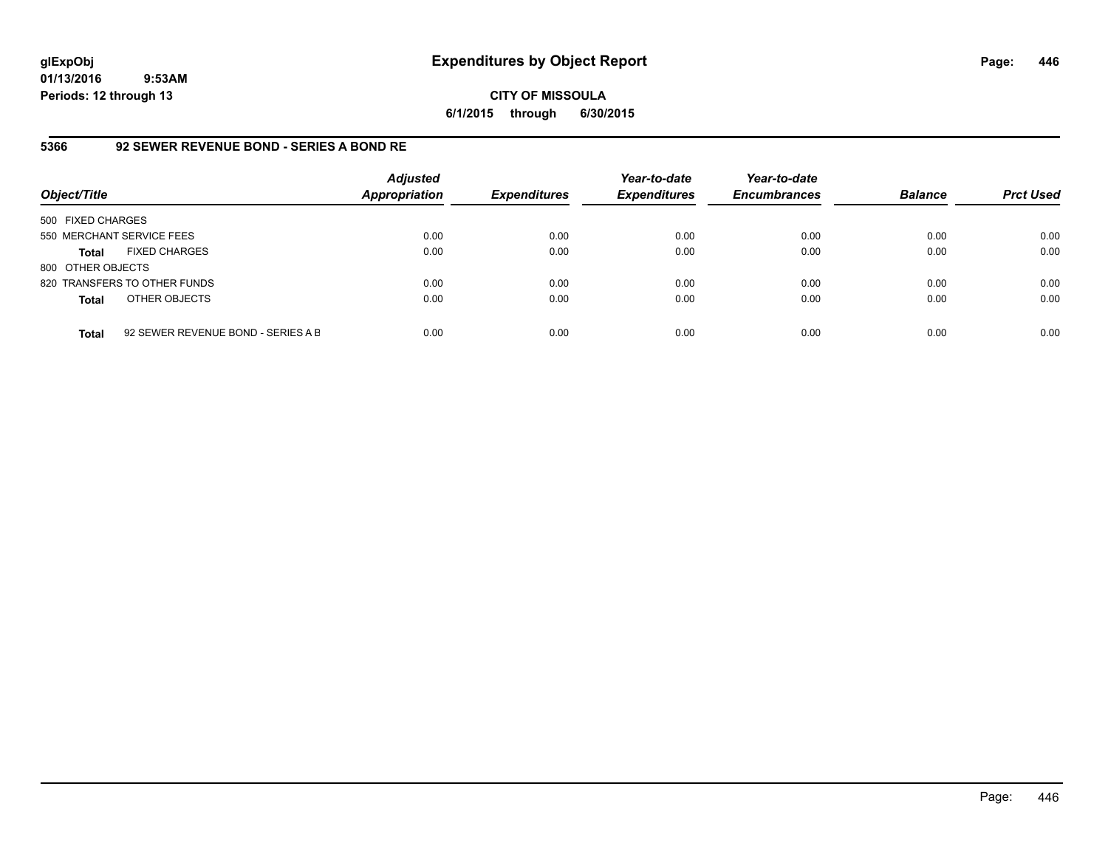#### **CITY OF MISSOULA 6/1/2015 through 6/30/2015**

## **5366 92 SEWER REVENUE BOND - SERIES A BOND RE**

| Object/Title              |                                    | <b>Adjusted</b><br><b>Appropriation</b> | <b>Expenditures</b> | Year-to-date<br><b>Expenditures</b> | Year-to-date<br><b>Encumbrances</b> | <b>Balance</b> | <b>Prct Used</b> |
|---------------------------|------------------------------------|-----------------------------------------|---------------------|-------------------------------------|-------------------------------------|----------------|------------------|
| 500 FIXED CHARGES         |                                    |                                         |                     |                                     |                                     |                |                  |
| 550 MERCHANT SERVICE FEES |                                    | 0.00                                    | 0.00                | 0.00                                | 0.00                                | 0.00           | 0.00             |
| Total                     | <b>FIXED CHARGES</b>               | 0.00                                    | 0.00                | 0.00                                | 0.00                                | 0.00           | 0.00             |
| 800 OTHER OBJECTS         |                                    |                                         |                     |                                     |                                     |                |                  |
|                           | 820 TRANSFERS TO OTHER FUNDS       | 0.00                                    | 0.00                | 0.00                                | 0.00                                | 0.00           | 0.00             |
| <b>Total</b>              | OTHER OBJECTS                      | 0.00                                    | 0.00                | 0.00                                | 0.00                                | 0.00           | 0.00             |
| <b>Total</b>              | 92 SEWER REVENUE BOND - SERIES A B | 0.00                                    | 0.00                | 0.00                                | 0.00                                | 0.00           | 0.00             |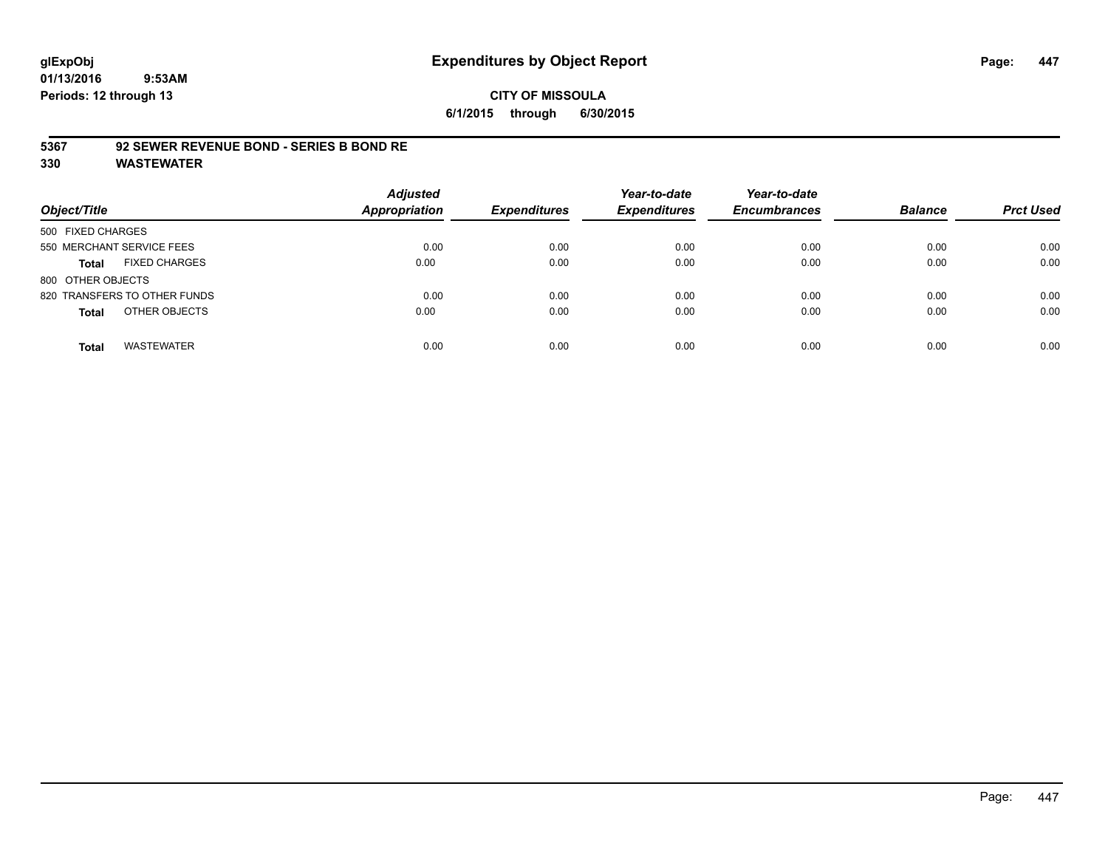# **CITY OF MISSOULA 6/1/2015 through 6/30/2015**

#### **5367 92 SEWER REVENUE BOND - SERIES B BOND RE**

| Object/Title                         | <b>Adjusted</b><br><b>Appropriation</b> | <b>Expenditures</b> | Year-to-date<br><b>Expenditures</b> | Year-to-date<br><b>Encumbrances</b> | <b>Balance</b> | <b>Prct Used</b> |
|--------------------------------------|-----------------------------------------|---------------------|-------------------------------------|-------------------------------------|----------------|------------------|
| 500 FIXED CHARGES                    |                                         |                     |                                     |                                     |                |                  |
| 550 MERCHANT SERVICE FEES            | 0.00                                    | 0.00                | 0.00                                | 0.00                                | 0.00           | 0.00             |
| <b>FIXED CHARGES</b><br><b>Total</b> | 0.00                                    | 0.00                | 0.00                                | 0.00                                | 0.00           | 0.00             |
| 800 OTHER OBJECTS                    |                                         |                     |                                     |                                     |                |                  |
| 820 TRANSFERS TO OTHER FUNDS         | 0.00                                    | 0.00                | 0.00                                | 0.00                                | 0.00           | 0.00             |
| OTHER OBJECTS<br><b>Total</b>        | 0.00                                    | 0.00                | 0.00                                | 0.00                                | 0.00           | 0.00             |
| <b>WASTEWATER</b><br><b>Total</b>    | 0.00                                    | 0.00                | 0.00                                | 0.00                                | 0.00           | 0.00             |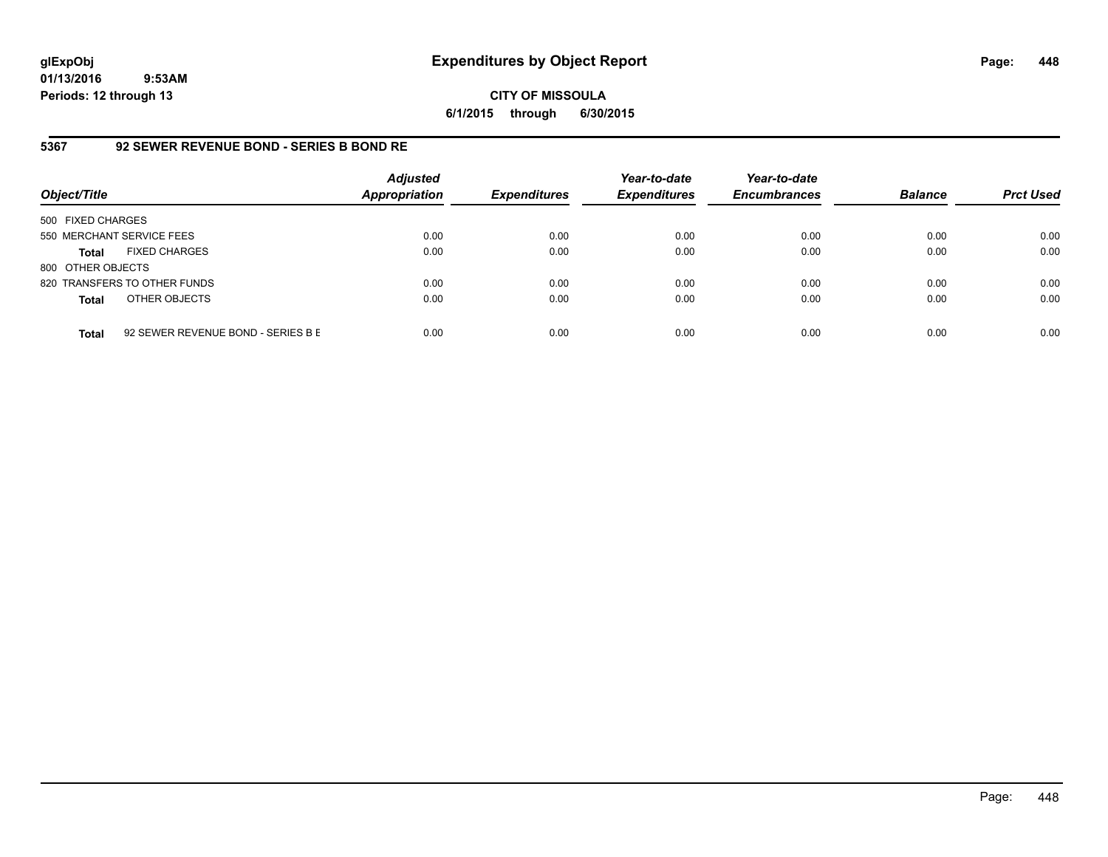# **CITY OF MISSOULA 6/1/2015 through 6/30/2015**

# **5367 92 SEWER REVENUE BOND - SERIES B BOND RE**

| Object/Title              |                                    | <b>Adjusted</b><br><b>Appropriation</b> | <b>Expenditures</b> | Year-to-date<br><b>Expenditures</b> | Year-to-date<br><b>Encumbrances</b> | <b>Balance</b> | <b>Prct Used</b> |
|---------------------------|------------------------------------|-----------------------------------------|---------------------|-------------------------------------|-------------------------------------|----------------|------------------|
| 500 FIXED CHARGES         |                                    |                                         |                     |                                     |                                     |                |                  |
| 550 MERCHANT SERVICE FEES |                                    | 0.00                                    | 0.00                | 0.00                                | 0.00                                | 0.00           | 0.00             |
| Total                     | <b>FIXED CHARGES</b>               | 0.00                                    | 0.00                | 0.00                                | 0.00                                | 0.00           | 0.00             |
| 800 OTHER OBJECTS         |                                    |                                         |                     |                                     |                                     |                |                  |
|                           | 820 TRANSFERS TO OTHER FUNDS       | 0.00                                    | 0.00                | 0.00                                | 0.00                                | 0.00           | 0.00             |
| <b>Total</b>              | OTHER OBJECTS                      | 0.00                                    | 0.00                | 0.00                                | 0.00                                | 0.00           | 0.00             |
| <b>Total</b>              | 92 SEWER REVENUE BOND - SERIES B E | 0.00                                    | 0.00                | 0.00                                | 0.00                                | 0.00           | 0.00             |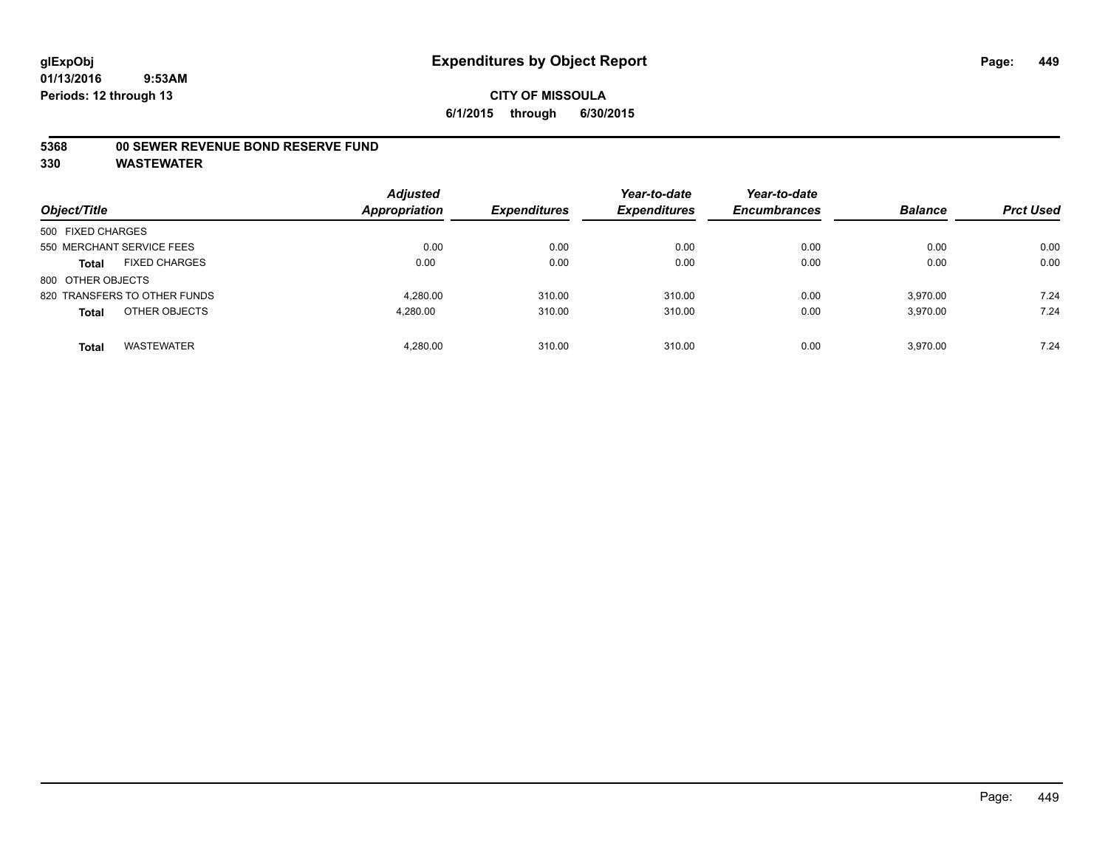#### **5368 00 SEWER REVENUE BOND RESERVE FUND**

| Object/Title                         | <b>Adjusted</b><br><b>Appropriation</b> | <b>Expenditures</b> | Year-to-date<br><b>Expenditures</b> | Year-to-date<br><b>Encumbrances</b> | <b>Balance</b> | <b>Prct Used</b> |
|--------------------------------------|-----------------------------------------|---------------------|-------------------------------------|-------------------------------------|----------------|------------------|
| 500 FIXED CHARGES                    |                                         |                     |                                     |                                     |                |                  |
| 550 MERCHANT SERVICE FEES            | 0.00                                    | 0.00                | 0.00                                | 0.00                                | 0.00           | 0.00             |
| <b>FIXED CHARGES</b><br><b>Total</b> | 0.00                                    | 0.00                | 0.00                                | 0.00                                | 0.00           | 0.00             |
| 800 OTHER OBJECTS                    |                                         |                     |                                     |                                     |                |                  |
| 820 TRANSFERS TO OTHER FUNDS         | 4.280.00                                | 310.00              | 310.00                              | 0.00                                | 3.970.00       | 7.24             |
| OTHER OBJECTS<br><b>Total</b>        | 4,280.00                                | 310.00              | 310.00                              | 0.00                                | 3.970.00       | 7.24             |
| <b>WASTEWATER</b><br>Total           | 4.280.00                                | 310.00              | 310.00                              | 0.00                                | 3.970.00       | 7.24             |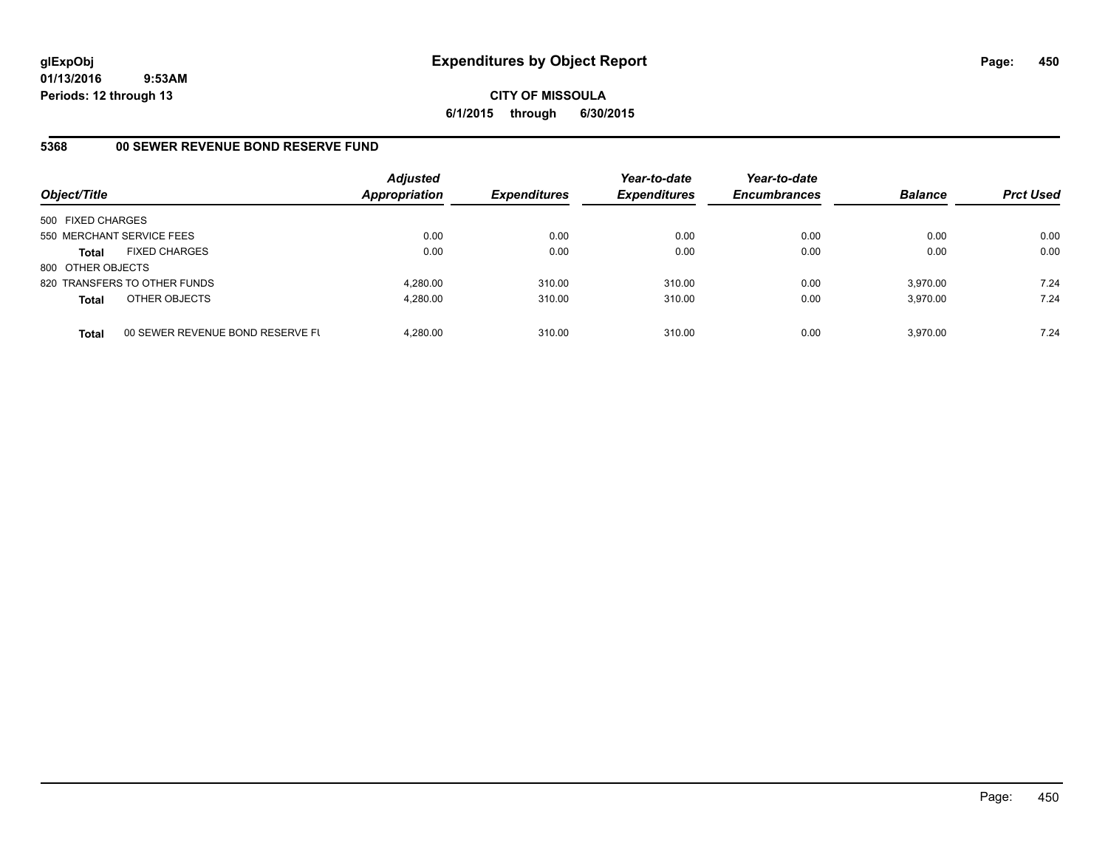**CITY OF MISSOULA 6/1/2015 through 6/30/2015**

## **5368 00 SEWER REVENUE BOND RESERVE FUND**

| Object/Title              |                                  | <b>Adjusted</b><br><b>Appropriation</b> | <b>Expenditures</b> | Year-to-date<br><b>Expenditures</b> | Year-to-date<br><b>Encumbrances</b> | <b>Balance</b> | <b>Prct Used</b> |
|---------------------------|----------------------------------|-----------------------------------------|---------------------|-------------------------------------|-------------------------------------|----------------|------------------|
| 500 FIXED CHARGES         |                                  |                                         |                     |                                     |                                     |                |                  |
| 550 MERCHANT SERVICE FEES |                                  | 0.00                                    | 0.00                | 0.00                                | 0.00                                | 0.00           | 0.00             |
| <b>Total</b>              | <b>FIXED CHARGES</b>             | 0.00                                    | 0.00                | 0.00                                | 0.00                                | 0.00           | 0.00             |
| 800 OTHER OBJECTS         |                                  |                                         |                     |                                     |                                     |                |                  |
|                           | 820 TRANSFERS TO OTHER FUNDS     | 4.280.00                                | 310.00              | 310.00                              | 0.00                                | 3.970.00       | 7.24             |
| <b>Total</b>              | OTHER OBJECTS                    | 4,280.00                                | 310.00              | 310.00                              | 0.00                                | 3,970.00       | 7.24             |
| <b>Total</b>              | 00 SEWER REVENUE BOND RESERVE FL | 4.280.00                                | 310.00              | 310.00                              | 0.00                                | 3.970.00       | 7.24             |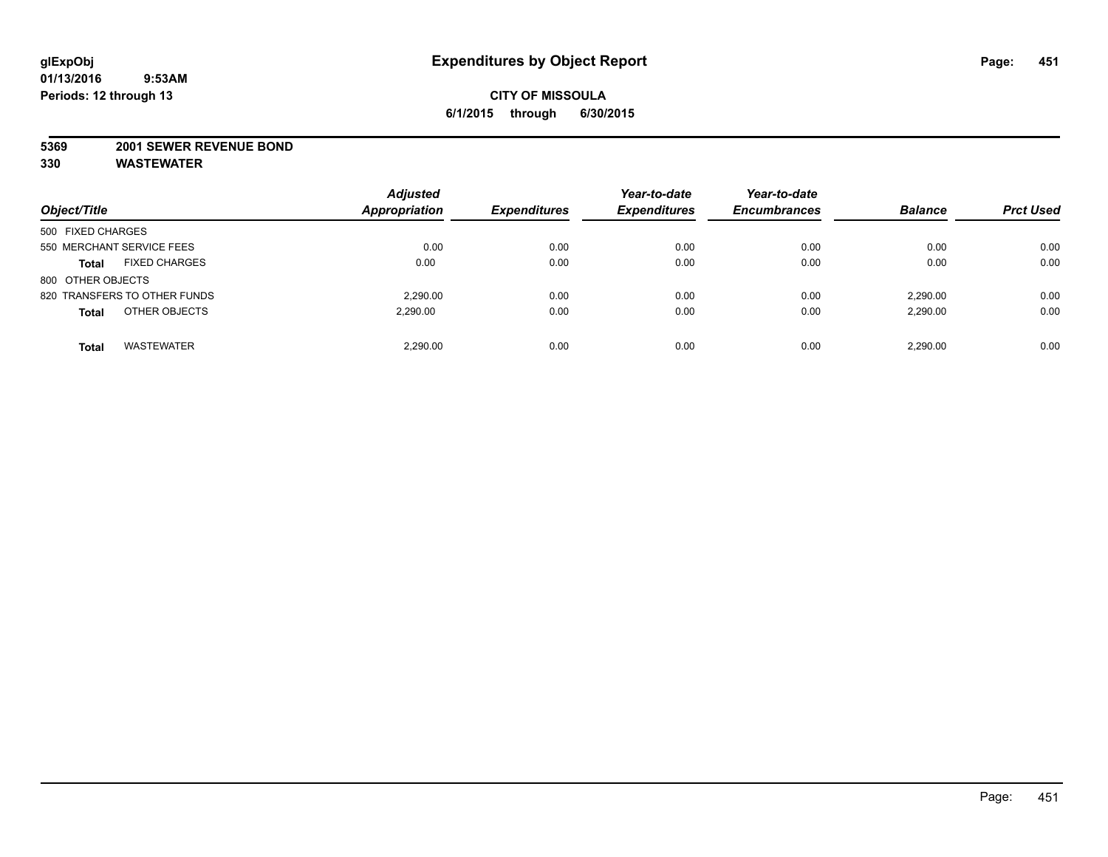#### **5369 2001 SEWER REVENUE BOND**

| Object/Title                      | <b>Adjusted</b><br>Appropriation | <b>Expenditures</b> | Year-to-date<br><b>Expenditures</b> | Year-to-date<br><b>Encumbrances</b> | <b>Balance</b> | <b>Prct Used</b> |
|-----------------------------------|----------------------------------|---------------------|-------------------------------------|-------------------------------------|----------------|------------------|
| 500 FIXED CHARGES                 |                                  |                     |                                     |                                     |                |                  |
| 550 MERCHANT SERVICE FEES         | 0.00                             | 0.00                | 0.00                                | 0.00                                | 0.00           | 0.00             |
| <b>FIXED CHARGES</b><br>Total     | 0.00                             | 0.00                | 0.00                                | 0.00                                | 0.00           | 0.00             |
| 800 OTHER OBJECTS                 |                                  |                     |                                     |                                     |                |                  |
| 820 TRANSFERS TO OTHER FUNDS      | 2.290.00                         | 0.00                | 0.00                                | 0.00                                | 2.290.00       | 0.00             |
| OTHER OBJECTS<br><b>Total</b>     | 2.290.00                         | 0.00                | 0.00                                | 0.00                                | 2,290.00       | 0.00             |
| <b>WASTEWATER</b><br><b>Total</b> | 2.290.00                         | 0.00                | 0.00                                | 0.00                                | 2.290.00       | 0.00             |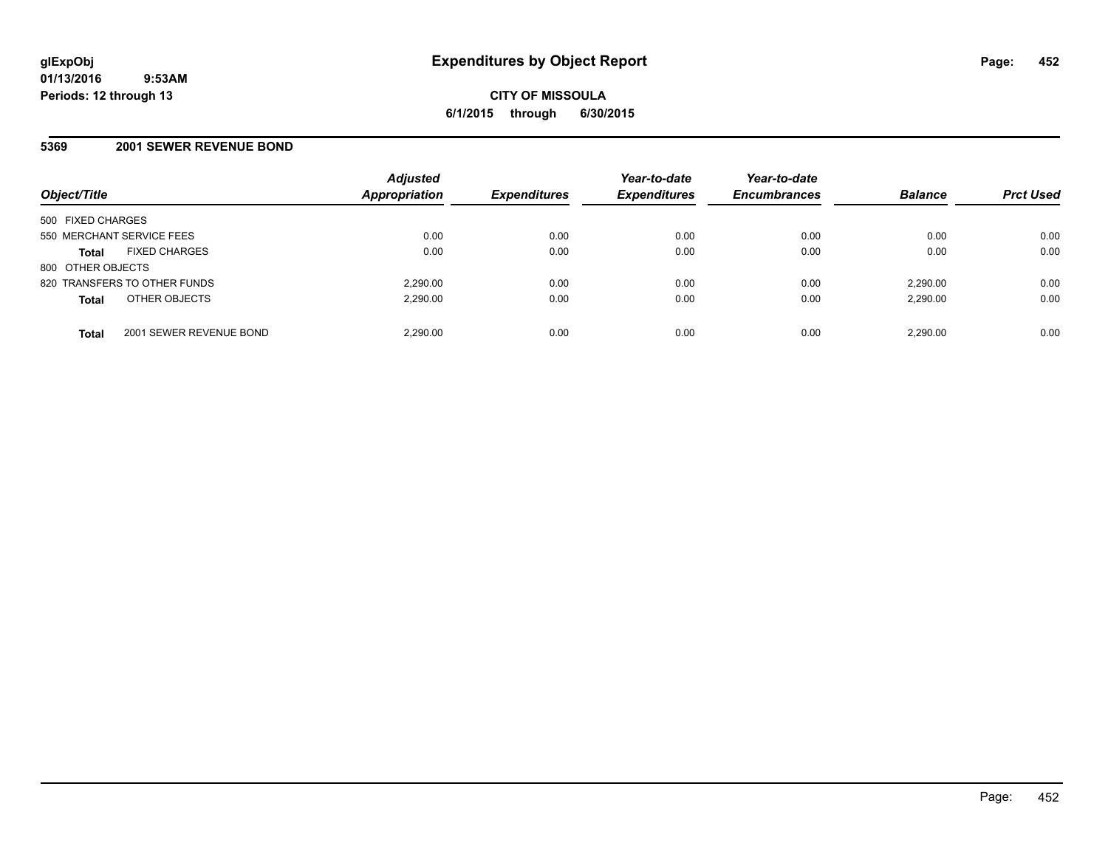#### **5369 2001 SEWER REVENUE BOND**

| Object/Title                            | <b>Adjusted</b><br>Appropriation | <b>Expenditures</b> | Year-to-date<br><b>Expenditures</b> | Year-to-date<br><b>Encumbrances</b> | <b>Balance</b> | <b>Prct Used</b> |
|-----------------------------------------|----------------------------------|---------------------|-------------------------------------|-------------------------------------|----------------|------------------|
| 500 FIXED CHARGES                       |                                  |                     |                                     |                                     |                |                  |
| 550 MERCHANT SERVICE FEES               | 0.00                             | 0.00                | 0.00                                | 0.00                                | 0.00           | 0.00             |
| <b>FIXED CHARGES</b><br><b>Total</b>    | 0.00                             | 0.00                | 0.00                                | 0.00                                | 0.00           | 0.00             |
| 800 OTHER OBJECTS                       |                                  |                     |                                     |                                     |                |                  |
| 820 TRANSFERS TO OTHER FUNDS            | 2.290.00                         | 0.00                | 0.00                                | 0.00                                | 2,290.00       | 0.00             |
| OTHER OBJECTS<br><b>Total</b>           | 2,290.00                         | 0.00                | 0.00                                | 0.00                                | 2,290.00       | 0.00             |
| 2001 SEWER REVENUE BOND<br><b>Total</b> | 2,290.00                         | 0.00                | 0.00                                | 0.00                                | 2,290.00       | 0.00             |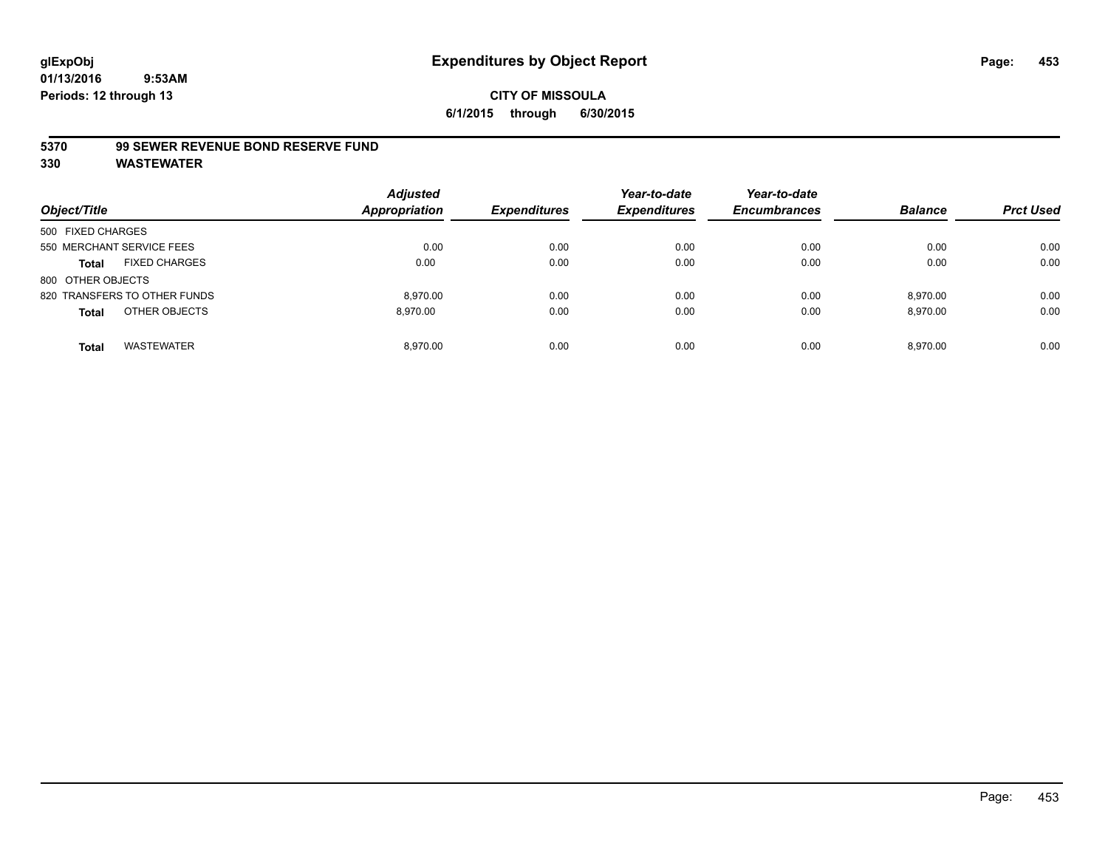#### **5370 99 SEWER REVENUE BOND RESERVE FUND**

| Object/Title                         | <b>Adjusted</b><br>Appropriation | <b>Expenditures</b> | Year-to-date<br><b>Expenditures</b> | Year-to-date<br><b>Encumbrances</b> | <b>Balance</b> | <b>Prct Used</b> |
|--------------------------------------|----------------------------------|---------------------|-------------------------------------|-------------------------------------|----------------|------------------|
| 500 FIXED CHARGES                    |                                  |                     |                                     |                                     |                |                  |
| 550 MERCHANT SERVICE FEES            | 0.00                             | 0.00                | 0.00                                | 0.00                                | 0.00           | 0.00             |
| <b>FIXED CHARGES</b><br><b>Total</b> | 0.00                             | 0.00                | 0.00                                | 0.00                                | 0.00           | 0.00             |
| 800 OTHER OBJECTS                    |                                  |                     |                                     |                                     |                |                  |
| 820 TRANSFERS TO OTHER FUNDS         | 8.970.00                         | 0.00                | 0.00                                | 0.00                                | 8.970.00       | 0.00             |
| OTHER OBJECTS<br><b>Total</b>        | 8.970.00                         | 0.00                | 0.00                                | 0.00                                | 8.970.00       | 0.00             |
| <b>WASTEWATER</b><br>Total           | 8.970.00                         | 0.00                | 0.00                                | 0.00                                | 8.970.00       | 0.00             |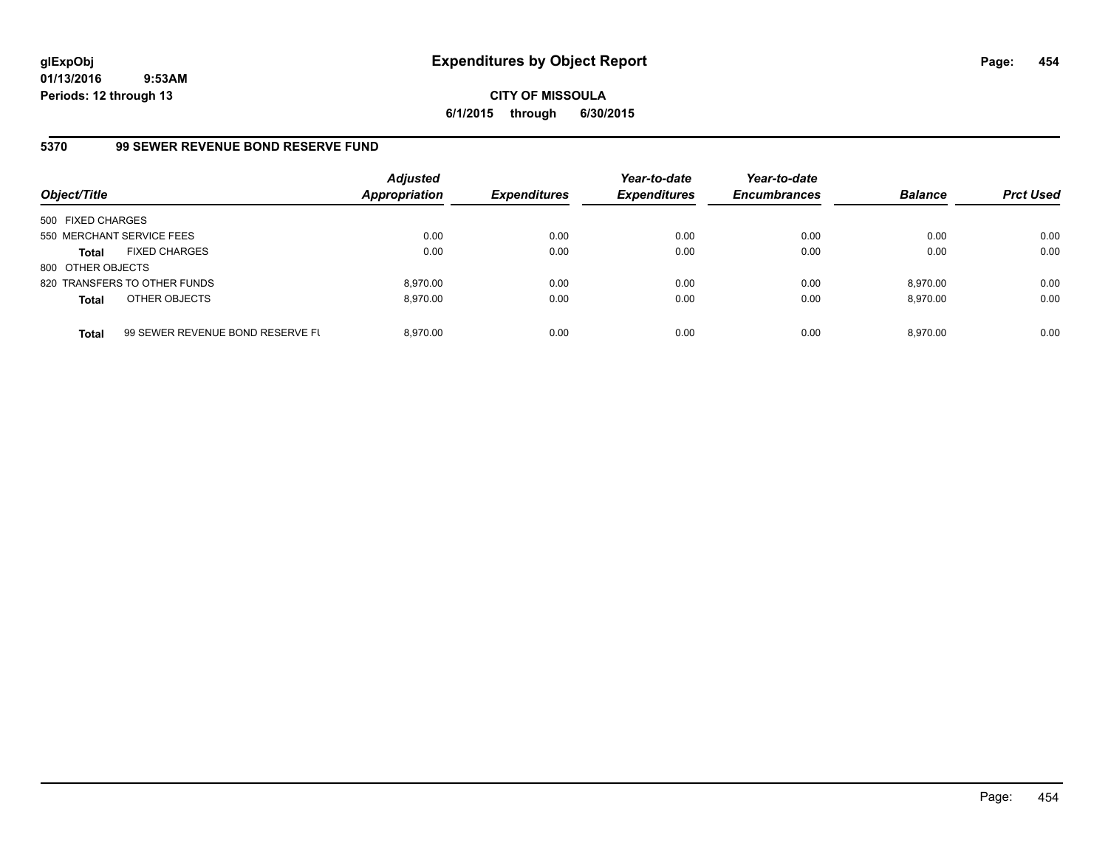**CITY OF MISSOULA 6/1/2015 through 6/30/2015**

## **5370 99 SEWER REVENUE BOND RESERVE FUND**

| Object/Title              |                                  | <b>Adjusted</b><br><b>Appropriation</b> | <b>Expenditures</b> | Year-to-date<br><b>Expenditures</b> | Year-to-date<br><b>Encumbrances</b> | <b>Balance</b> | <b>Prct Used</b> |
|---------------------------|----------------------------------|-----------------------------------------|---------------------|-------------------------------------|-------------------------------------|----------------|------------------|
| 500 FIXED CHARGES         |                                  |                                         |                     |                                     |                                     |                |                  |
| 550 MERCHANT SERVICE FEES |                                  | 0.00                                    | 0.00                | 0.00                                | 0.00                                | 0.00           | 0.00             |
| <b>Total</b>              | <b>FIXED CHARGES</b>             | 0.00                                    | 0.00                | 0.00                                | 0.00                                | 0.00           | 0.00             |
| 800 OTHER OBJECTS         |                                  |                                         |                     |                                     |                                     |                |                  |
|                           | 820 TRANSFERS TO OTHER FUNDS     | 8.970.00                                | 0.00                | 0.00                                | 0.00                                | 8.970.00       | 0.00             |
| <b>Total</b>              | OTHER OBJECTS                    | 8.970.00                                | 0.00                | 0.00                                | 0.00                                | 8,970.00       | 0.00             |
| <b>Total</b>              | 99 SEWER REVENUE BOND RESERVE FL | 8.970.00                                | 0.00                | 0.00                                | 0.00                                | 8.970.00       | 0.00             |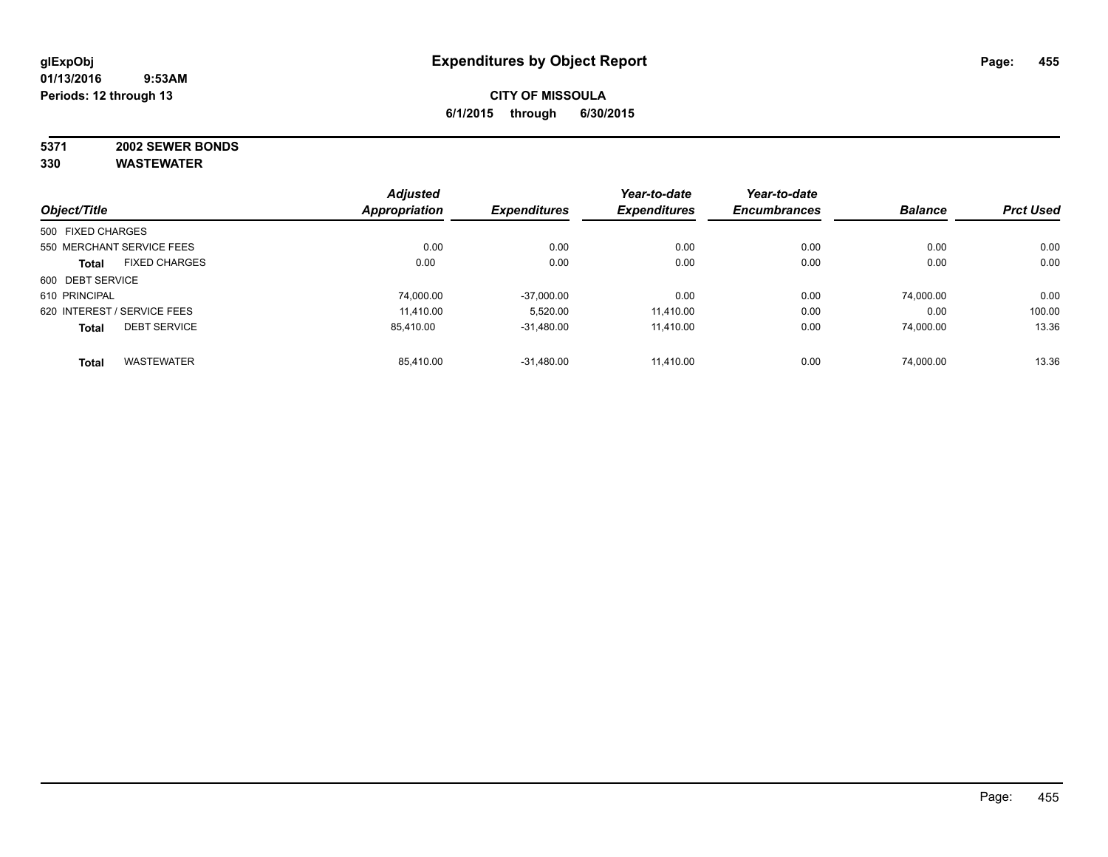# **5371 2002 SEWER BONDS**

| Object/Title                |                      | <b>Adjusted</b>      | <b>Expenditures</b> | Year-to-date<br><b>Expenditures</b> | Year-to-date        | <b>Balance</b> | <b>Prct Used</b> |
|-----------------------------|----------------------|----------------------|---------------------|-------------------------------------|---------------------|----------------|------------------|
|                             |                      | <b>Appropriation</b> |                     |                                     | <b>Encumbrances</b> |                |                  |
| 500 FIXED CHARGES           |                      |                      |                     |                                     |                     |                |                  |
| 550 MERCHANT SERVICE FEES   |                      | 0.00                 | 0.00                | 0.00                                | 0.00                | 0.00           | 0.00             |
| <b>Total</b>                | <b>FIXED CHARGES</b> | 0.00                 | 0.00                | 0.00                                | 0.00                | 0.00           | 0.00             |
| 600 DEBT SERVICE            |                      |                      |                     |                                     |                     |                |                  |
| 610 PRINCIPAL               |                      | 74,000.00            | $-37,000.00$        | 0.00                                | 0.00                | 74.000.00      | 0.00             |
| 620 INTEREST / SERVICE FEES |                      | 11.410.00            | 5,520.00            | 11.410.00                           | 0.00                | 0.00           | 100.00           |
| <b>Total</b>                | <b>DEBT SERVICE</b>  | 85,410.00            | $-31,480.00$        | 11.410.00                           | 0.00                | 74,000.00      | 13.36            |
| <b>Total</b>                | <b>WASTEWATER</b>    | 85,410.00            | $-31.480.00$        | 11.410.00                           | 0.00                | 74.000.00      | 13.36            |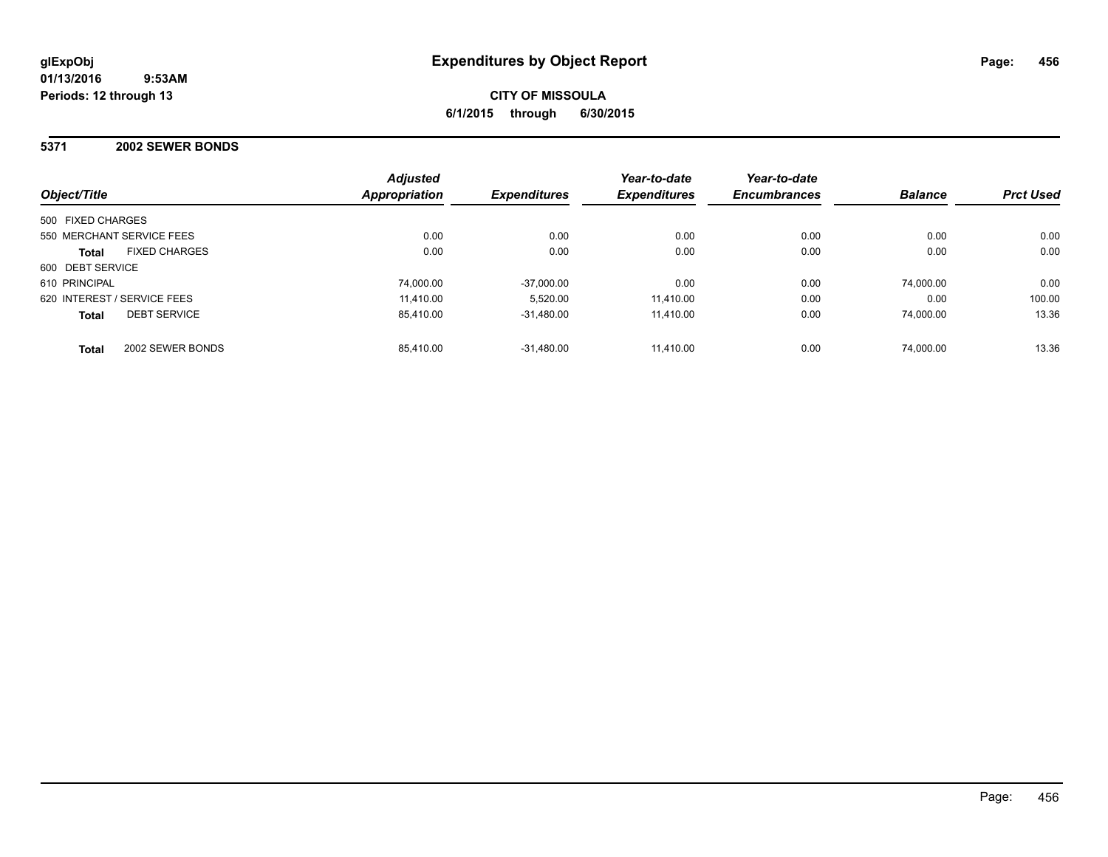#### **5371 2002 SEWER BONDS**

|                                      | <b>Adjusted</b> |                     | Year-to-date        | Year-to-date        |                |                  |
|--------------------------------------|-----------------|---------------------|---------------------|---------------------|----------------|------------------|
| Object/Title                         | Appropriation   | <b>Expenditures</b> | <b>Expenditures</b> | <b>Encumbrances</b> | <b>Balance</b> | <b>Prct Used</b> |
| 500 FIXED CHARGES                    |                 |                     |                     |                     |                |                  |
| 550 MERCHANT SERVICE FEES            | 0.00            | 0.00                | 0.00                | 0.00                | 0.00           | 0.00             |
| <b>FIXED CHARGES</b><br><b>Total</b> | 0.00            | 0.00                | 0.00                | 0.00                | 0.00           | 0.00             |
| 600 DEBT SERVICE                     |                 |                     |                     |                     |                |                  |
| 610 PRINCIPAL                        | 74,000.00       | $-37,000.00$        | 0.00                | 0.00                | 74.000.00      | 0.00             |
| 620 INTEREST / SERVICE FEES          | 11,410.00       | 5.520.00            | 11.410.00           | 0.00                | 0.00           | 100.00           |
| <b>DEBT SERVICE</b><br><b>Total</b>  | 85.410.00       | $-31.480.00$        | 11.410.00           | 0.00                | 74.000.00      | 13.36            |
| 2002 SEWER BONDS<br><b>Total</b>     | 85.410.00       | $-31.480.00$        | 11.410.00           | 0.00                | 74.000.00      | 13.36            |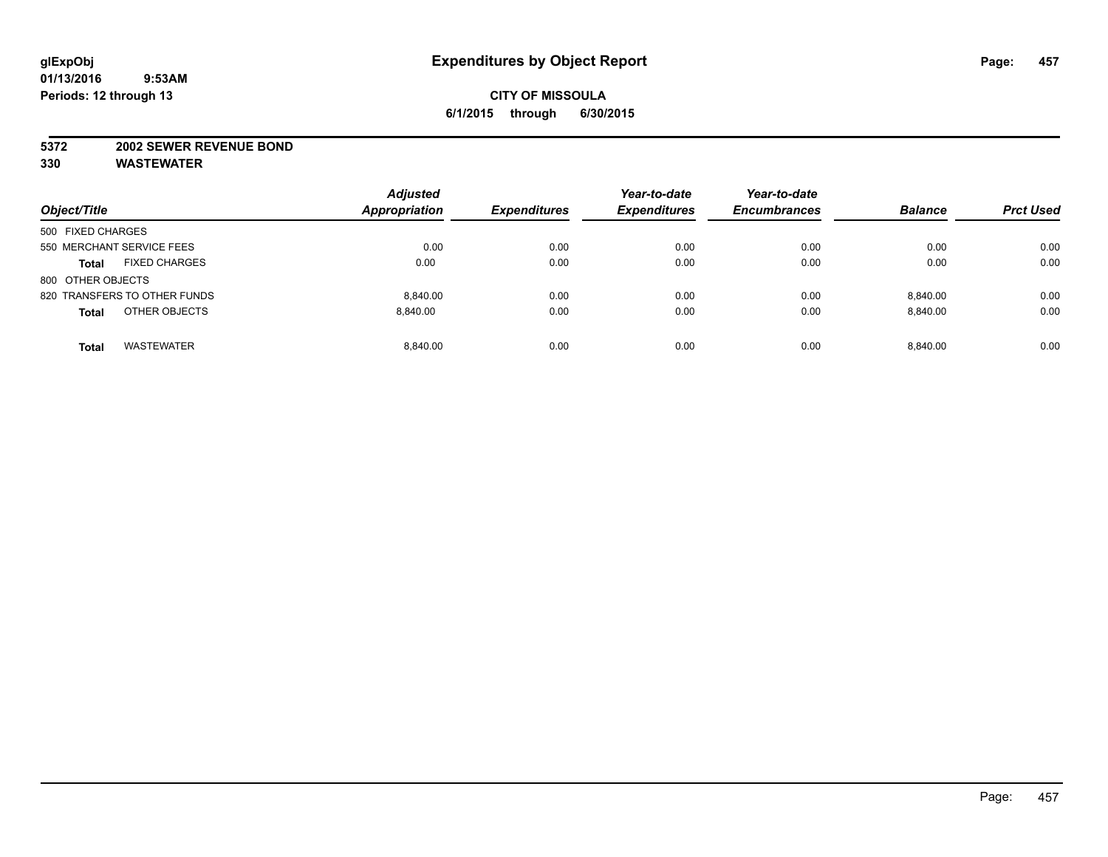#### **5372 2002 SEWER REVENUE BOND**

| Object/Title                         | <b>Adjusted</b><br><b>Appropriation</b> | <b>Expenditures</b> | Year-to-date<br><b>Expenditures</b> | Year-to-date<br><b>Encumbrances</b> | <b>Balance</b> | <b>Prct Used</b> |
|--------------------------------------|-----------------------------------------|---------------------|-------------------------------------|-------------------------------------|----------------|------------------|
| 500 FIXED CHARGES                    |                                         |                     |                                     |                                     |                |                  |
| 550 MERCHANT SERVICE FEES            | 0.00                                    | 0.00                | 0.00                                | 0.00                                | 0.00           | 0.00             |
| <b>FIXED CHARGES</b><br><b>Total</b> | 0.00                                    | 0.00                | 0.00                                | 0.00                                | 0.00           | 0.00             |
| 800 OTHER OBJECTS                    |                                         |                     |                                     |                                     |                |                  |
| 820 TRANSFERS TO OTHER FUNDS         | 8.840.00                                | 0.00                | 0.00                                | 0.00                                | 8.840.00       | 0.00             |
| OTHER OBJECTS<br><b>Total</b>        | 8.840.00                                | 0.00                | 0.00                                | 0.00                                | 8,840.00       | 0.00             |
| <b>WASTEWATER</b><br><b>Total</b>    | 8.840.00                                | 0.00                | 0.00                                | 0.00                                | 8.840.00       | 0.00             |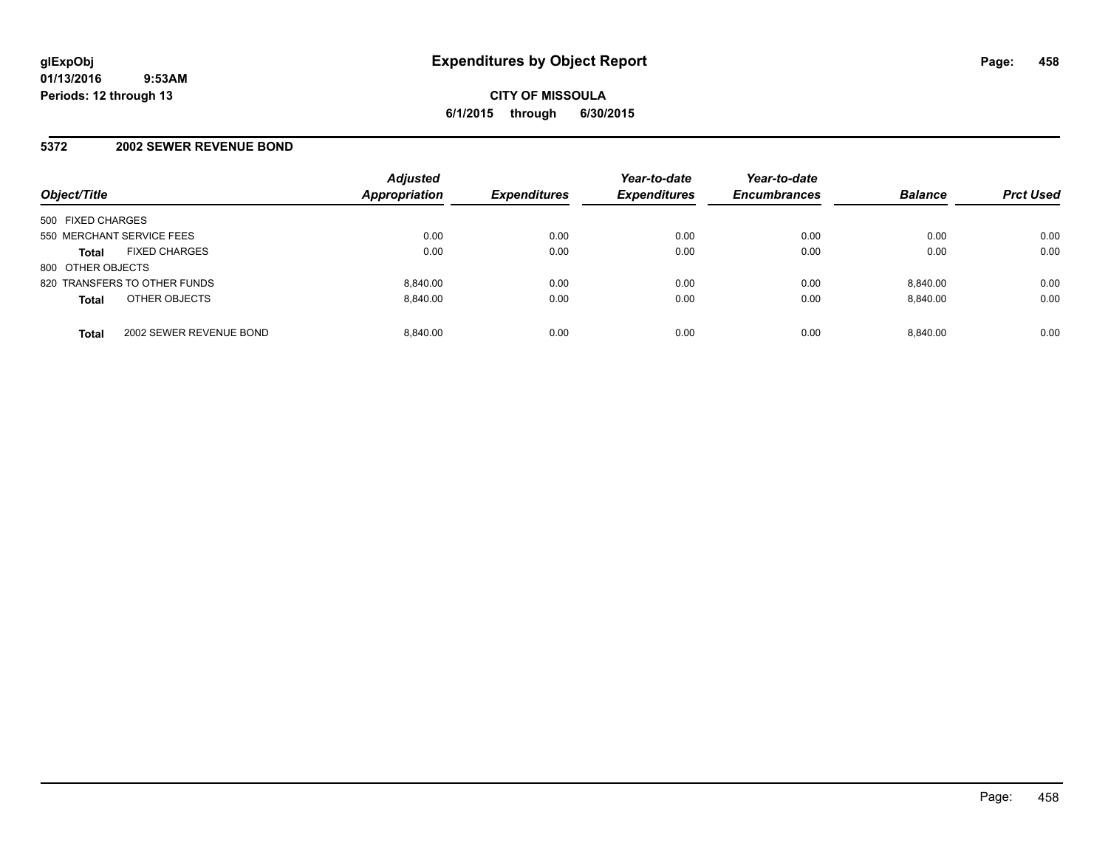#### **5372 2002 SEWER REVENUE BOND**

| Object/Title                 |                         | <b>Adjusted</b><br><b>Appropriation</b> | <b>Expenditures</b> | Year-to-date<br><b>Expenditures</b> | Year-to-date<br><b>Encumbrances</b> | <b>Balance</b> | <b>Prct Used</b> |
|------------------------------|-------------------------|-----------------------------------------|---------------------|-------------------------------------|-------------------------------------|----------------|------------------|
| 500 FIXED CHARGES            |                         |                                         |                     |                                     |                                     |                |                  |
| 550 MERCHANT SERVICE FEES    |                         | 0.00                                    | 0.00                | 0.00                                | 0.00                                | 0.00           | 0.00             |
| <b>Total</b>                 | <b>FIXED CHARGES</b>    | 0.00                                    | 0.00                | 0.00                                | 0.00                                | 0.00           | 0.00             |
| 800 OTHER OBJECTS            |                         |                                         |                     |                                     |                                     |                |                  |
| 820 TRANSFERS TO OTHER FUNDS |                         | 8.840.00                                | 0.00                | 0.00                                | 0.00                                | 8.840.00       | 0.00             |
| <b>Total</b>                 | OTHER OBJECTS           | 8.840.00                                | 0.00                | 0.00                                | 0.00                                | 8.840.00       | 0.00             |
| <b>Total</b>                 | 2002 SEWER REVENUE BOND | 8.840.00                                | 0.00                | 0.00                                | 0.00                                | 8.840.00       | 0.00             |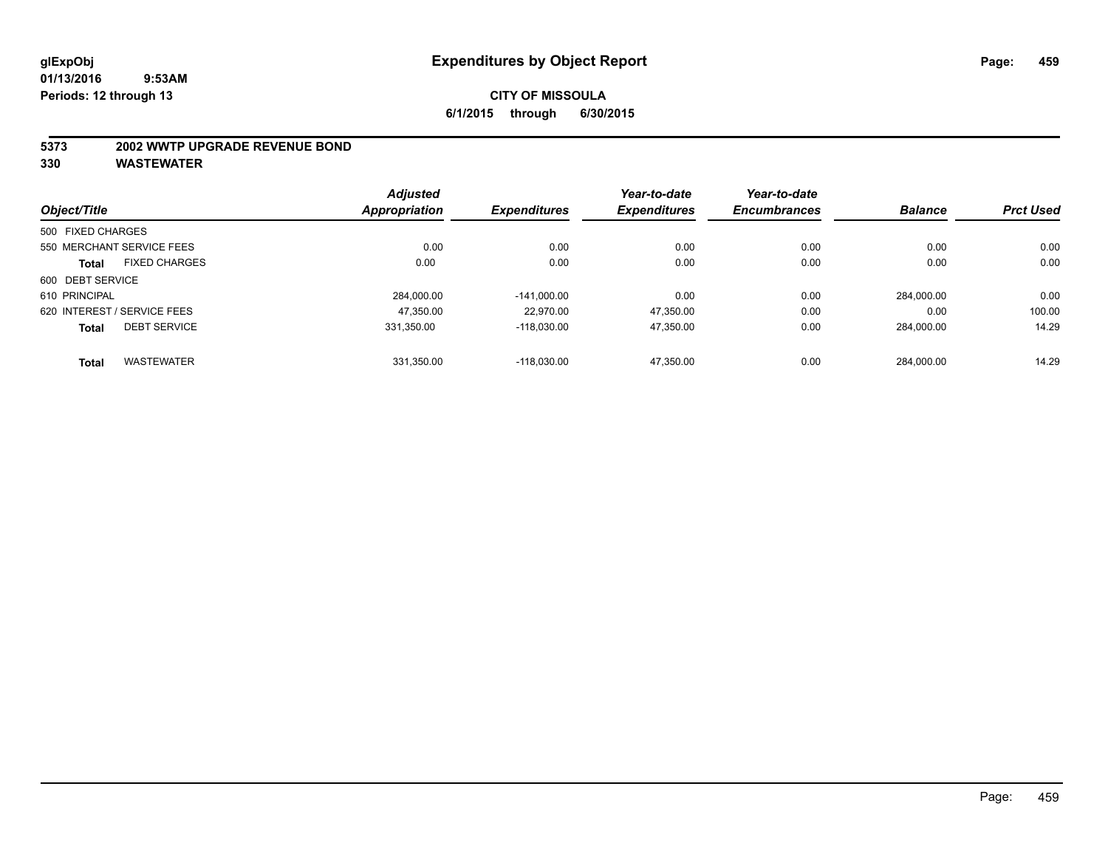#### **5373 2002 WWTP UPGRADE REVENUE BOND**

|                   |                             | <b>Adjusted</b>      |                     | Year-to-date        | Year-to-date        |                |                  |
|-------------------|-----------------------------|----------------------|---------------------|---------------------|---------------------|----------------|------------------|
| Object/Title      |                             | <b>Appropriation</b> | <b>Expenditures</b> | <b>Expenditures</b> | <b>Encumbrances</b> | <b>Balance</b> | <b>Prct Used</b> |
| 500 FIXED CHARGES |                             |                      |                     |                     |                     |                |                  |
|                   | 550 MERCHANT SERVICE FEES   | 0.00                 | 0.00                | 0.00                | 0.00                | 0.00           | 0.00             |
| <b>Total</b>      | <b>FIXED CHARGES</b>        | 0.00                 | 0.00                | 0.00                | 0.00                | 0.00           | 0.00             |
| 600 DEBT SERVICE  |                             |                      |                     |                     |                     |                |                  |
| 610 PRINCIPAL     |                             | 284.000.00           | $-141.000.00$       | 0.00                | 0.00                | 284.000.00     | 0.00             |
|                   | 620 INTEREST / SERVICE FEES | 47.350.00            | 22.970.00           | 47,350.00           | 0.00                | 0.00           | 100.00           |
| <b>Total</b>      | <b>DEBT SERVICE</b>         | 331.350.00           | $-118.030.00$       | 47,350.00           | 0.00                | 284.000.00     | 14.29            |
| <b>Total</b>      | <b>WASTEWATER</b>           | 331.350.00           | $-118.030.00$       | 47,350.00           | 0.00                | 284.000.00     | 14.29            |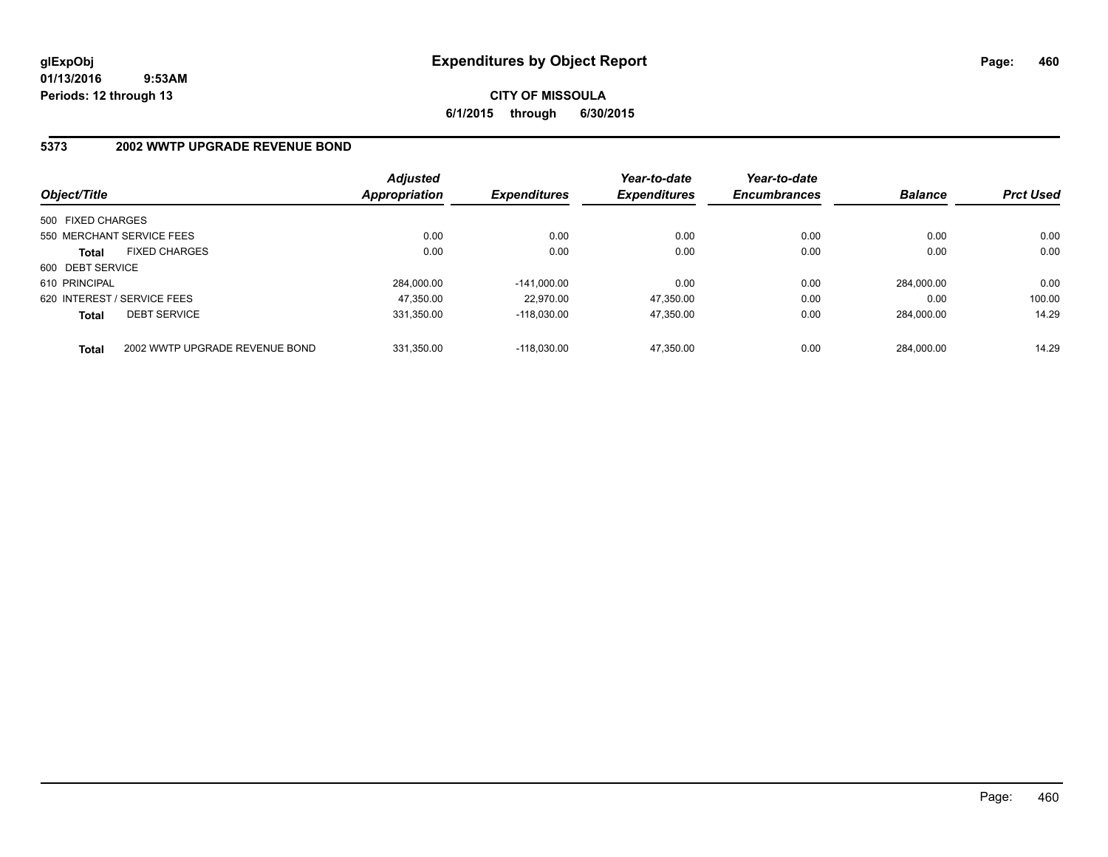# **CITY OF MISSOULA 6/1/2015 through 6/30/2015**

## **5373 2002 WWTP UPGRADE REVENUE BOND**

| Object/Title                |                                | <b>Adjusted</b><br><b>Appropriation</b> | <b>Expenditures</b> | Year-to-date<br><b>Expenditures</b> | Year-to-date<br><b>Encumbrances</b> | <b>Balance</b> | <b>Prct Used</b> |
|-----------------------------|--------------------------------|-----------------------------------------|---------------------|-------------------------------------|-------------------------------------|----------------|------------------|
| 500 FIXED CHARGES           |                                |                                         |                     |                                     |                                     |                |                  |
|                             | 550 MERCHANT SERVICE FEES      | 0.00                                    | 0.00                | 0.00                                | 0.00                                | 0.00           | 0.00             |
| <b>Total</b>                | <b>FIXED CHARGES</b>           | 0.00                                    | 0.00                | 0.00                                | 0.00                                | 0.00           | 0.00             |
| 600 DEBT SERVICE            |                                |                                         |                     |                                     |                                     |                |                  |
| 610 PRINCIPAL               |                                | 284.000.00                              | $-141.000.00$       | 0.00                                | 0.00                                | 284.000.00     | 0.00             |
| 620 INTEREST / SERVICE FEES |                                | 47,350.00                               | 22.970.00           | 47,350.00                           | 0.00                                | 0.00           | 100.00           |
| <b>Total</b>                | <b>DEBT SERVICE</b>            | 331.350.00                              | $-118.030.00$       | 47.350.00                           | 0.00                                | 284.000.00     | 14.29            |
| <b>Total</b>                | 2002 WWTP UPGRADE REVENUE BOND | 331.350.00                              | $-118.030.00$       | 47.350.00                           | 0.00                                | 284.000.00     | 14.29            |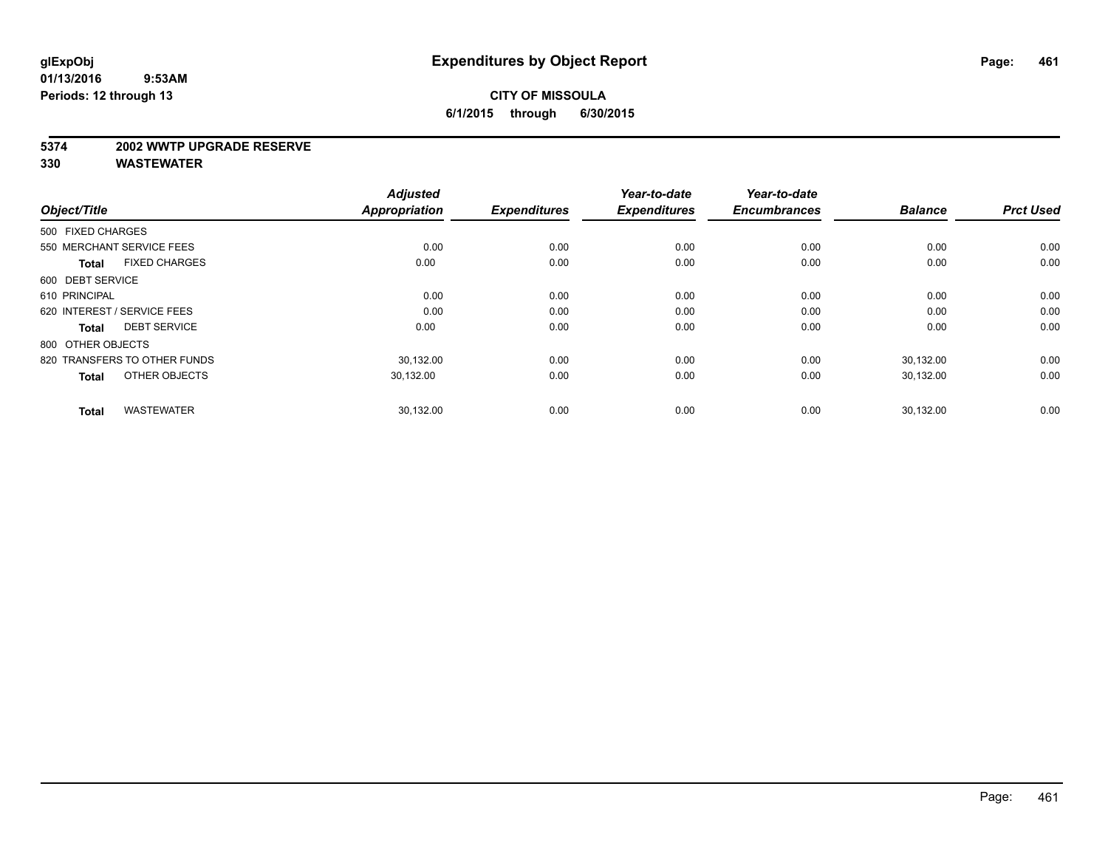#### **5374 2002 WWTP UPGRADE RESERVE**

| Object/Title                         | <b>Adjusted</b><br><b>Appropriation</b> | <b>Expenditures</b> | Year-to-date<br><b>Expenditures</b> | Year-to-date<br><b>Encumbrances</b> | <b>Balance</b> | <b>Prct Used</b> |
|--------------------------------------|-----------------------------------------|---------------------|-------------------------------------|-------------------------------------|----------------|------------------|
| 500 FIXED CHARGES                    |                                         |                     |                                     |                                     |                |                  |
| 550 MERCHANT SERVICE FEES            | 0.00                                    | 0.00                | 0.00                                | 0.00                                | 0.00           | 0.00             |
| <b>FIXED CHARGES</b><br><b>Total</b> | 0.00                                    | 0.00                | 0.00                                | 0.00                                | 0.00           | 0.00             |
| 600 DEBT SERVICE                     |                                         |                     |                                     |                                     |                |                  |
| 610 PRINCIPAL                        | 0.00                                    | 0.00                | 0.00                                | 0.00                                | 0.00           | 0.00             |
| 620 INTEREST / SERVICE FEES          | 0.00                                    | 0.00                | 0.00                                | 0.00                                | 0.00           | 0.00             |
| <b>DEBT SERVICE</b><br><b>Total</b>  | 0.00                                    | 0.00                | 0.00                                | 0.00                                | 0.00           | 0.00             |
| 800 OTHER OBJECTS                    |                                         |                     |                                     |                                     |                |                  |
| 820 TRANSFERS TO OTHER FUNDS         | 30.132.00                               | 0.00                | 0.00                                | 0.00                                | 30,132.00      | 0.00             |
| OTHER OBJECTS<br><b>Total</b>        | 30,132.00                               | 0.00                | 0.00                                | 0.00                                | 30,132.00      | 0.00             |
|                                      |                                         |                     |                                     |                                     |                |                  |
| <b>WASTEWATER</b><br><b>Total</b>    | 30,132.00                               | 0.00                | 0.00                                | 0.00                                | 30,132.00      | 0.00             |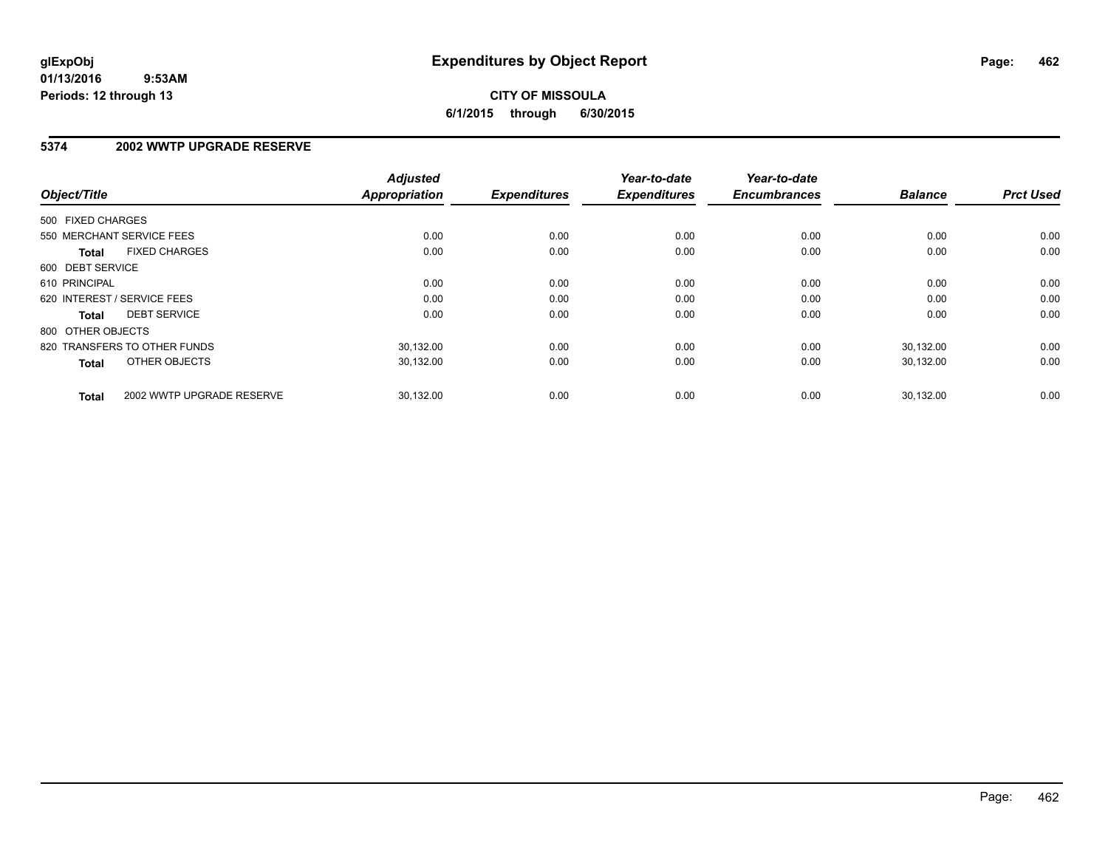# **CITY OF MISSOULA 6/1/2015 through 6/30/2015**

#### **5374 2002 WWTP UPGRADE RESERVE**

| Object/Title      |                              | <b>Adjusted</b><br>Appropriation | <b>Expenditures</b> | Year-to-date<br><b>Expenditures</b> | Year-to-date<br><b>Encumbrances</b> | <b>Balance</b> | <b>Prct Used</b> |
|-------------------|------------------------------|----------------------------------|---------------------|-------------------------------------|-------------------------------------|----------------|------------------|
| 500 FIXED CHARGES |                              |                                  |                     |                                     |                                     |                |                  |
|                   | 550 MERCHANT SERVICE FEES    | 0.00                             | 0.00                | 0.00                                | 0.00                                | 0.00           | 0.00             |
| <b>Total</b>      | <b>FIXED CHARGES</b>         | 0.00                             | 0.00                | 0.00                                | 0.00                                | 0.00           | 0.00             |
| 600 DEBT SERVICE  |                              |                                  |                     |                                     |                                     |                |                  |
| 610 PRINCIPAL     |                              | 0.00                             | 0.00                | 0.00                                | 0.00                                | 0.00           | 0.00             |
|                   | 620 INTEREST / SERVICE FEES  | 0.00                             | 0.00                | 0.00                                | 0.00                                | 0.00           | 0.00             |
| Total             | <b>DEBT SERVICE</b>          | 0.00                             | 0.00                | 0.00                                | 0.00                                | 0.00           | 0.00             |
| 800 OTHER OBJECTS |                              |                                  |                     |                                     |                                     |                |                  |
|                   | 820 TRANSFERS TO OTHER FUNDS | 30,132.00                        | 0.00                | 0.00                                | 0.00                                | 30,132.00      | 0.00             |
| <b>Total</b>      | OTHER OBJECTS                | 30,132.00                        | 0.00                | 0.00                                | 0.00                                | 30,132.00      | 0.00             |
| <b>Total</b>      | 2002 WWTP UPGRADE RESERVE    | 30,132.00                        | 0.00                | 0.00                                | 0.00                                | 30.132.00      | 0.00             |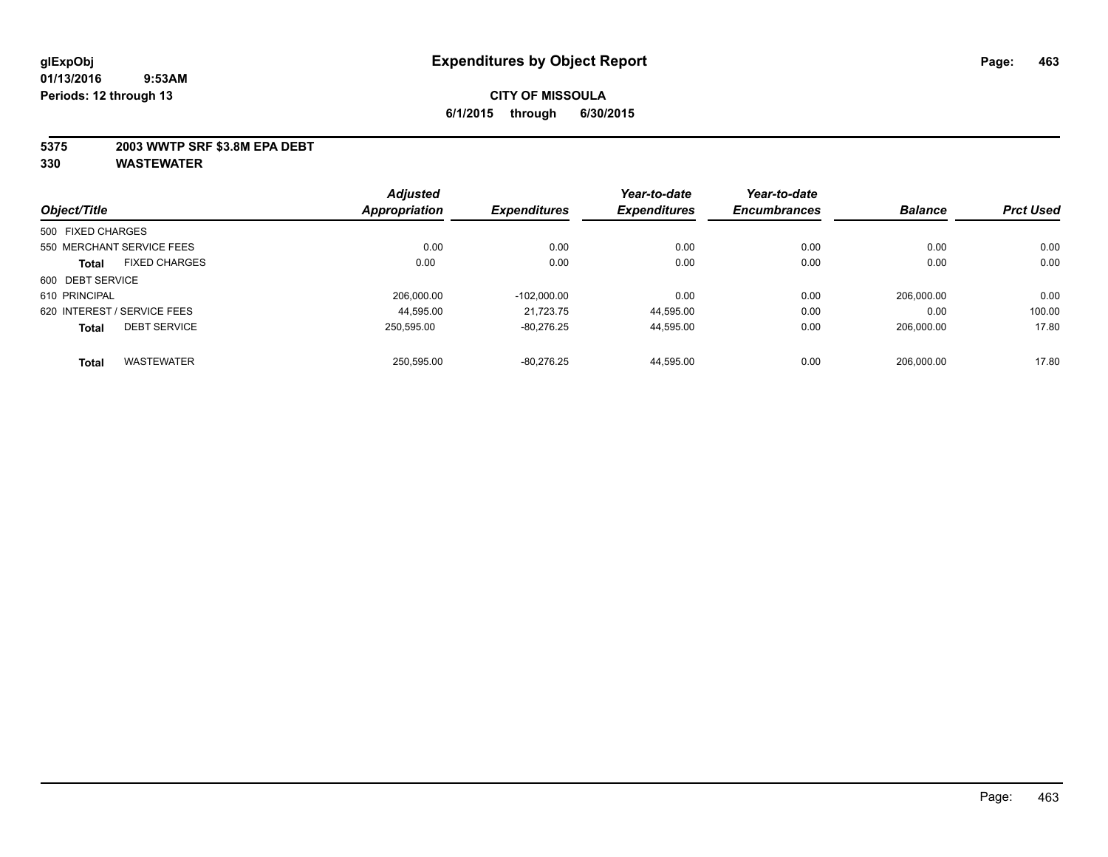#### **5375 2003 WWTP SRF \$3.8M EPA DEBT**

|                   |                             | <b>Adjusted</b>      |                     | Year-to-date        | Year-to-date        |                |                  |
|-------------------|-----------------------------|----------------------|---------------------|---------------------|---------------------|----------------|------------------|
| Object/Title      |                             | <b>Appropriation</b> | <b>Expenditures</b> | <b>Expenditures</b> | <b>Encumbrances</b> | <b>Balance</b> | <b>Prct Used</b> |
| 500 FIXED CHARGES |                             |                      |                     |                     |                     |                |                  |
|                   | 550 MERCHANT SERVICE FEES   | 0.00                 | 0.00                | 0.00                | 0.00                | 0.00           | 0.00             |
| <b>Total</b>      | <b>FIXED CHARGES</b>        | 0.00                 | 0.00                | 0.00                | 0.00                | 0.00           | 0.00             |
| 600 DEBT SERVICE  |                             |                      |                     |                     |                     |                |                  |
| 610 PRINCIPAL     |                             | 206.000.00           | $-102.000.00$       | 0.00                | 0.00                | 206.000.00     | 0.00             |
|                   | 620 INTEREST / SERVICE FEES | 44.595.00            | 21.723.75           | 44,595.00           | 0.00                | 0.00           | 100.00           |
| <b>Total</b>      | <b>DEBT SERVICE</b>         | 250.595.00           | $-80.276.25$        | 44,595.00           | 0.00                | 206.000.00     | 17.80            |
| <b>Total</b>      | <b>WASTEWATER</b>           | 250.595.00           | $-80.276.25$        | 44.595.00           | 0.00                | 206.000.00     | 17.80            |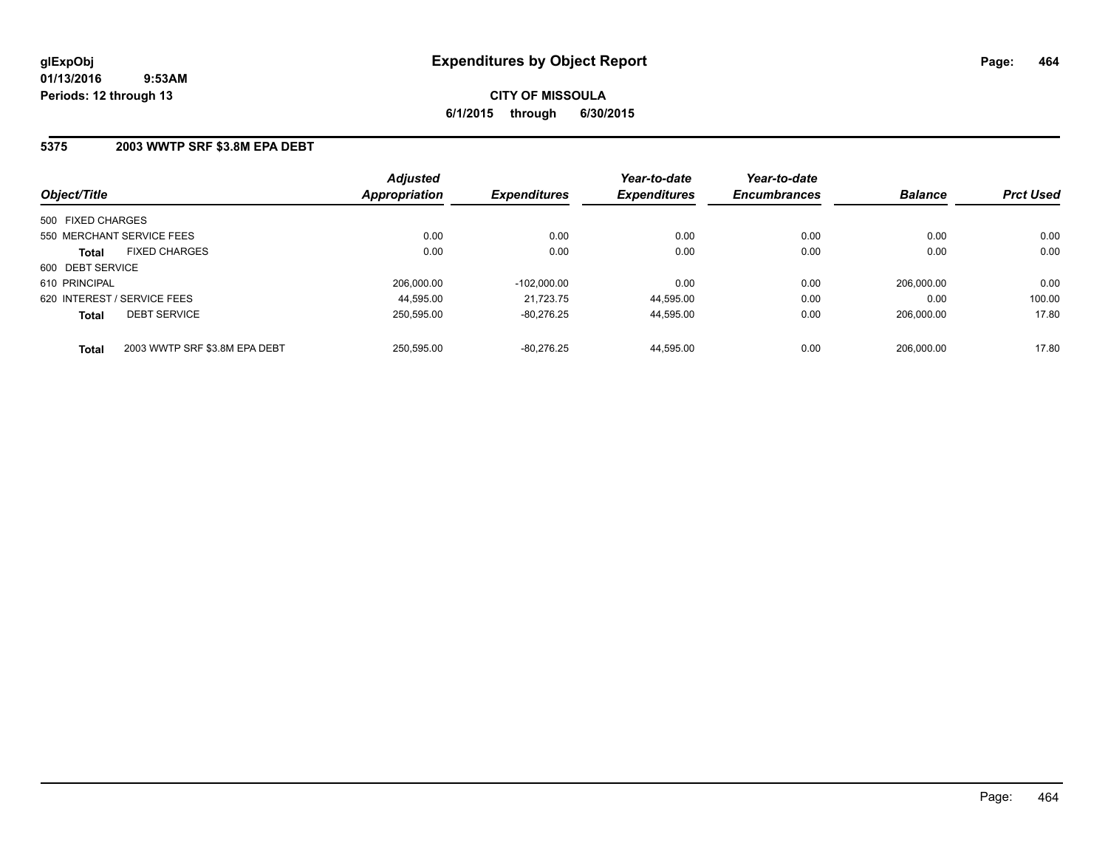**CITY OF MISSOULA 6/1/2015 through 6/30/2015**

#### **5375 2003 WWTP SRF \$3.8M EPA DEBT**

| Object/Title                                  | <b>Adjusted</b><br><b>Appropriation</b> | <b>Expenditures</b> | Year-to-date<br><b>Expenditures</b> | Year-to-date<br><b>Encumbrances</b> | <b>Balance</b> | <b>Prct Used</b> |
|-----------------------------------------------|-----------------------------------------|---------------------|-------------------------------------|-------------------------------------|----------------|------------------|
| 500 FIXED CHARGES                             |                                         |                     |                                     |                                     |                |                  |
| 550 MERCHANT SERVICE FEES                     | 0.00                                    | 0.00                | 0.00                                | 0.00                                | 0.00           | 0.00             |
| <b>FIXED CHARGES</b><br><b>Total</b>          | 0.00                                    | 0.00                | 0.00                                | 0.00                                | 0.00           | 0.00             |
| 600 DEBT SERVICE                              |                                         |                     |                                     |                                     |                |                  |
| 610 PRINCIPAL                                 | 206.000.00                              | $-102.000.00$       | 0.00                                | 0.00                                | 206.000.00     | 0.00             |
| 620 INTEREST / SERVICE FEES                   | 44.595.00                               | 21.723.75           | 44.595.00                           | 0.00                                | 0.00           | 100.00           |
| <b>DEBT SERVICE</b><br><b>Total</b>           | 250.595.00                              | $-80.276.25$        | 44.595.00                           | 0.00                                | 206.000.00     | 17.80            |
| 2003 WWTP SRF \$3.8M EPA DEBT<br><b>Total</b> | 250.595.00                              | $-80.276.25$        | 44.595.00                           | 0.00                                | 206.000.00     | 17.80            |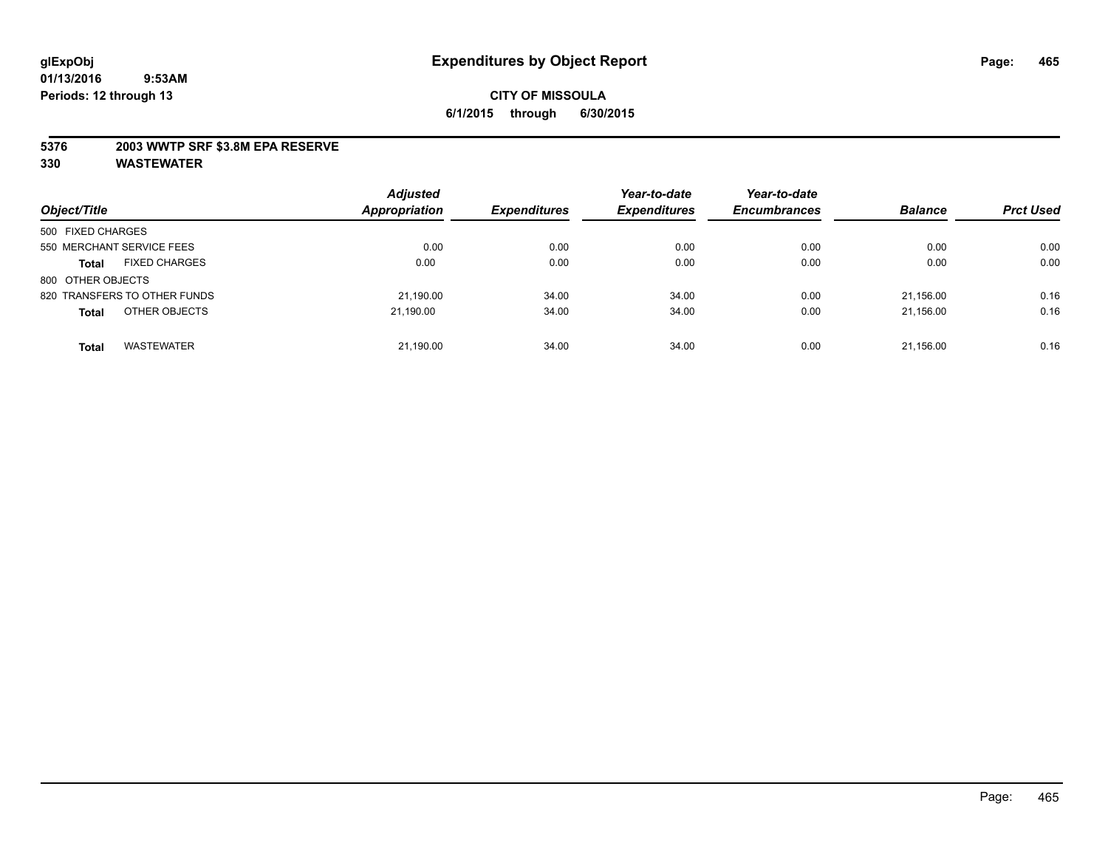#### **5376 2003 WWTP SRF \$3.8M EPA RESERVE**

| Object/Title                         | <b>Adjusted</b><br><b>Appropriation</b> | <b>Expenditures</b> | Year-to-date<br><b>Expenditures</b> | Year-to-date<br><b>Encumbrances</b> | <b>Balance</b> | <b>Prct Used</b> |
|--------------------------------------|-----------------------------------------|---------------------|-------------------------------------|-------------------------------------|----------------|------------------|
| 500 FIXED CHARGES                    |                                         |                     |                                     |                                     |                |                  |
| 550 MERCHANT SERVICE FEES            | 0.00                                    | 0.00                | 0.00                                | 0.00                                | 0.00           | 0.00             |
| <b>FIXED CHARGES</b><br><b>Total</b> | 0.00                                    | 0.00                | 0.00                                | 0.00                                | 0.00           | 0.00             |
| 800 OTHER OBJECTS                    |                                         |                     |                                     |                                     |                |                  |
| 820 TRANSFERS TO OTHER FUNDS         | 21,190.00                               | 34.00               | 34.00                               | 0.00                                | 21.156.00      | 0.16             |
| OTHER OBJECTS<br><b>Total</b>        | 21.190.00                               | 34.00               | 34.00                               | 0.00                                | 21,156.00      | 0.16             |
| <b>WASTEWATER</b><br><b>Total</b>    | 21,190.00                               | 34.00               | 34.00                               | 0.00                                | 21,156.00      | 0.16             |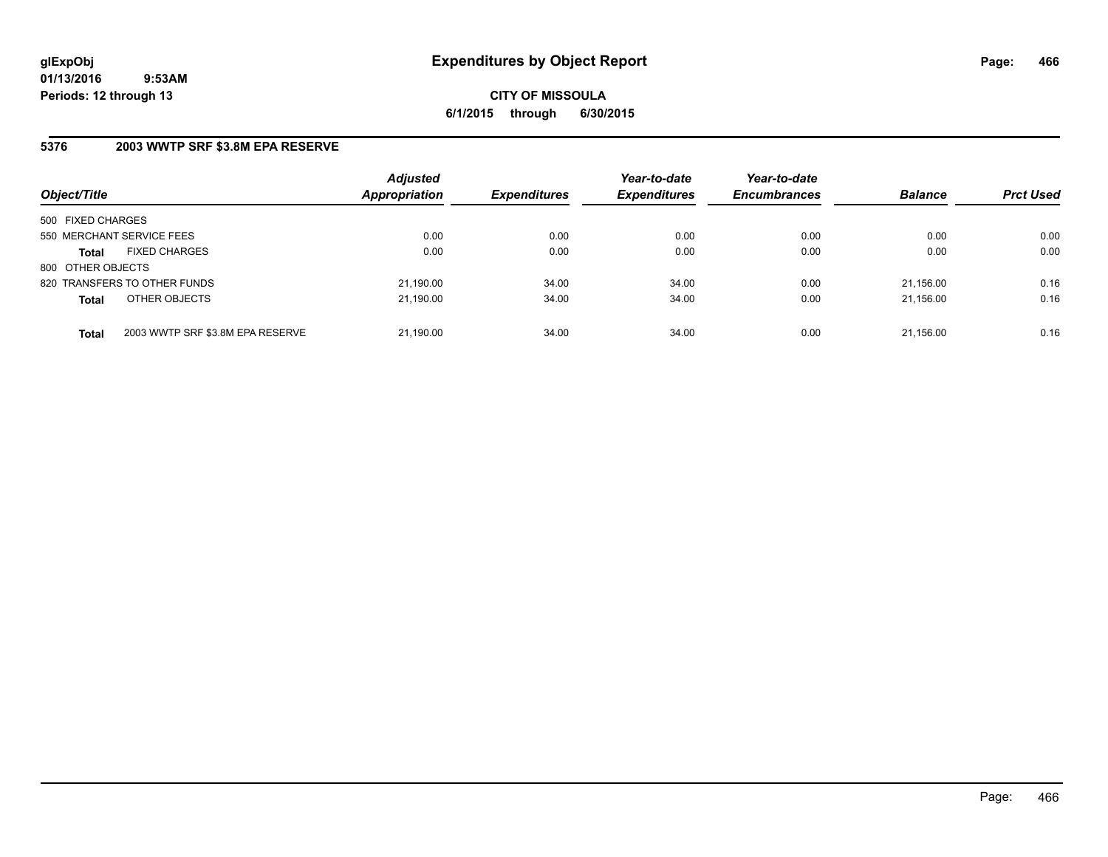**CITY OF MISSOULA 6/1/2015 through 6/30/2015**

#### **5376 2003 WWTP SRF \$3.8M EPA RESERVE**

| Object/Title              |                                  | <b>Adjusted</b><br>Appropriation | <b>Expenditures</b> | Year-to-date<br><b>Expenditures</b> | Year-to-date<br><b>Encumbrances</b> | <b>Balance</b> | <b>Prct Used</b> |
|---------------------------|----------------------------------|----------------------------------|---------------------|-------------------------------------|-------------------------------------|----------------|------------------|
| 500 FIXED CHARGES         |                                  |                                  |                     |                                     |                                     |                |                  |
| 550 MERCHANT SERVICE FEES |                                  | 0.00                             | 0.00                | 0.00                                | 0.00                                | 0.00           | 0.00             |
| <b>Total</b>              | <b>FIXED CHARGES</b>             | 0.00                             | 0.00                | 0.00                                | 0.00                                | 0.00           | 0.00             |
| 800 OTHER OBJECTS         |                                  |                                  |                     |                                     |                                     |                |                  |
|                           | 820 TRANSFERS TO OTHER FUNDS     | 21,190.00                        | 34.00               | 34.00                               | 0.00                                | 21.156.00      | 0.16             |
| <b>Total</b>              | OTHER OBJECTS                    | 21,190.00                        | 34.00               | 34.00                               | 0.00                                | 21,156.00      | 0.16             |
| <b>Total</b>              | 2003 WWTP SRF \$3.8M EPA RESERVE | 21,190.00                        | 34.00               | 34.00                               | 0.00                                | 21,156.00      | 0.16             |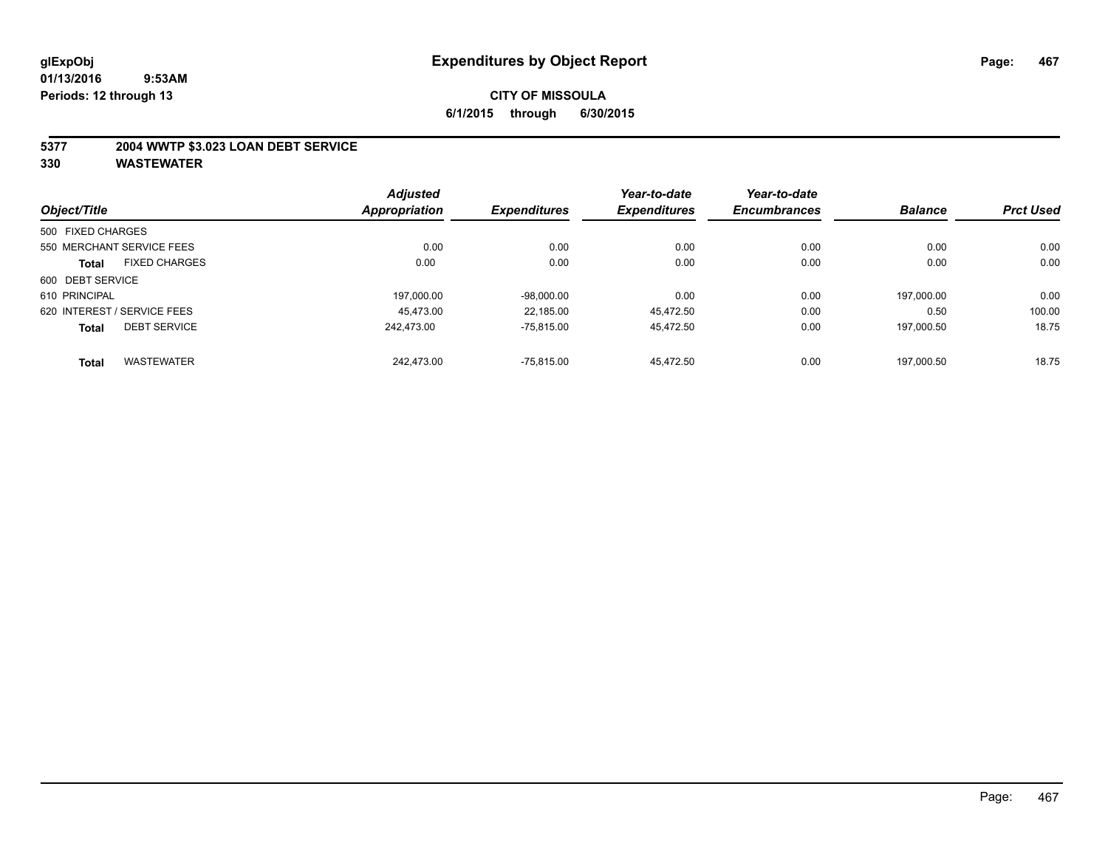#### **5377 2004 WWTP \$3.023 LOAN DEBT SERVICE**

|                   |                             | <b>Adjusted</b>      |                     | Year-to-date        | Year-to-date        |                |                  |
|-------------------|-----------------------------|----------------------|---------------------|---------------------|---------------------|----------------|------------------|
| Object/Title      |                             | <b>Appropriation</b> | <b>Expenditures</b> | <b>Expenditures</b> | <b>Encumbrances</b> | <b>Balance</b> | <b>Prct Used</b> |
| 500 FIXED CHARGES |                             |                      |                     |                     |                     |                |                  |
|                   | 550 MERCHANT SERVICE FEES   | 0.00                 | 0.00                | 0.00                | 0.00                | 0.00           | 0.00             |
| <b>Total</b>      | <b>FIXED CHARGES</b>        | 0.00                 | 0.00                | 0.00                | 0.00                | 0.00           | 0.00             |
| 600 DEBT SERVICE  |                             |                      |                     |                     |                     |                |                  |
| 610 PRINCIPAL     |                             | 197.000.00           | $-98,000.00$        | 0.00                | 0.00                | 197.000.00     | 0.00             |
|                   | 620 INTEREST / SERVICE FEES | 45.473.00            | 22,185.00           | 45.472.50           | 0.00                | 0.50           | 100.00           |
| <b>Total</b>      | <b>DEBT SERVICE</b>         | 242.473.00           | $-75.815.00$        | 45.472.50           | 0.00                | 197.000.50     | 18.75            |
| <b>Total</b>      | <b>WASTEWATER</b>           | 242.473.00           | $-75.815.00$        | 45.472.50           | 0.00                | 197.000.50     | 18.75            |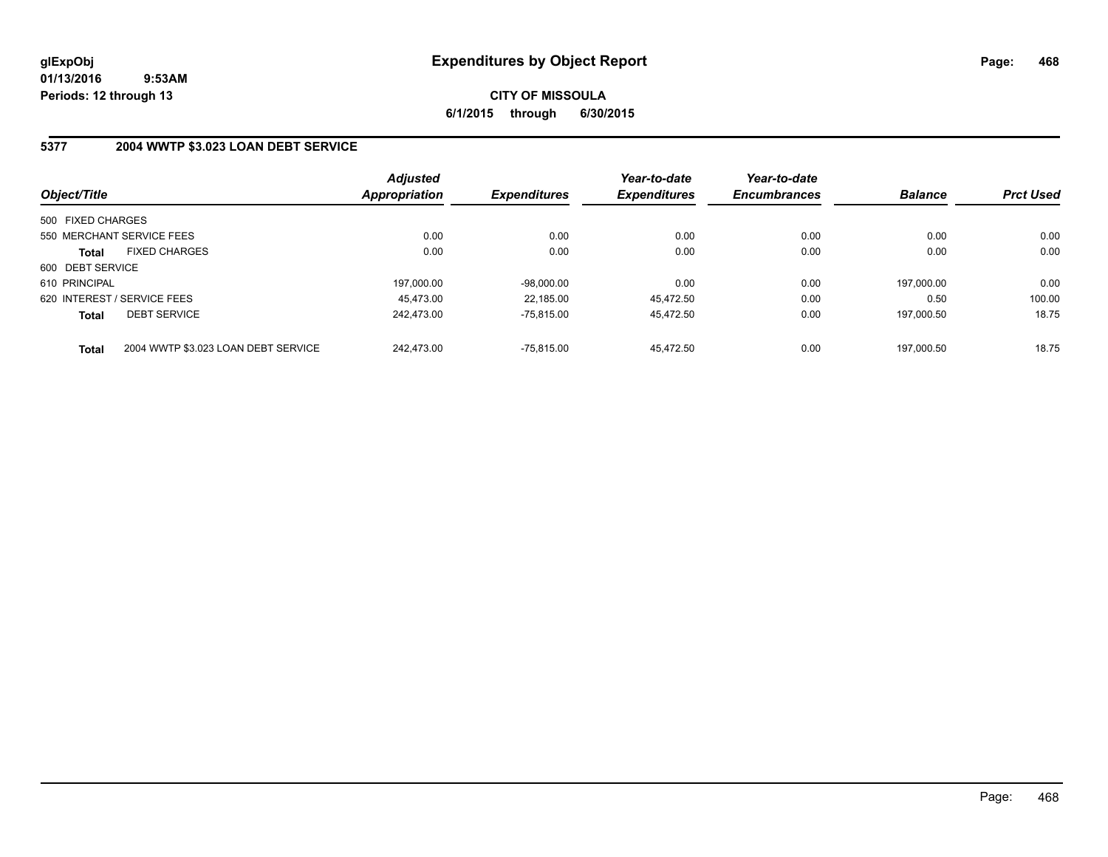# **CITY OF MISSOULA 6/1/2015 through 6/30/2015**

## **5377 2004 WWTP \$3.023 LOAN DEBT SERVICE**

| Object/Title                |                                     | <b>Adjusted</b><br><b>Appropriation</b> | <b>Expenditures</b> | Year-to-date<br><b>Expenditures</b> | Year-to-date<br><b>Encumbrances</b> | <b>Balance</b> | <b>Prct Used</b> |
|-----------------------------|-------------------------------------|-----------------------------------------|---------------------|-------------------------------------|-------------------------------------|----------------|------------------|
| 500 FIXED CHARGES           |                                     |                                         |                     |                                     |                                     |                |                  |
|                             | 550 MERCHANT SERVICE FEES           | 0.00                                    | 0.00                | 0.00                                | 0.00                                | 0.00           | 0.00             |
| Total                       | <b>FIXED CHARGES</b>                | 0.00                                    | 0.00                | 0.00                                | 0.00                                | 0.00           | 0.00             |
| 600 DEBT SERVICE            |                                     |                                         |                     |                                     |                                     |                |                  |
| 610 PRINCIPAL               |                                     | 197.000.00                              | $-98.000.00$        | 0.00                                | 0.00                                | 197.000.00     | 0.00             |
| 620 INTEREST / SERVICE FEES |                                     | 45.473.00                               | 22.185.00           | 45.472.50                           | 0.00                                | 0.50           | 100.00           |
| <b>Total</b>                | <b>DEBT SERVICE</b>                 | 242.473.00                              | $-75.815.00$        | 45.472.50                           | 0.00                                | 197.000.50     | 18.75            |
| <b>Total</b>                | 2004 WWTP \$3.023 LOAN DEBT SERVICE | 242.473.00                              | $-75.815.00$        | 45.472.50                           | 0.00                                | 197.000.50     | 18.75            |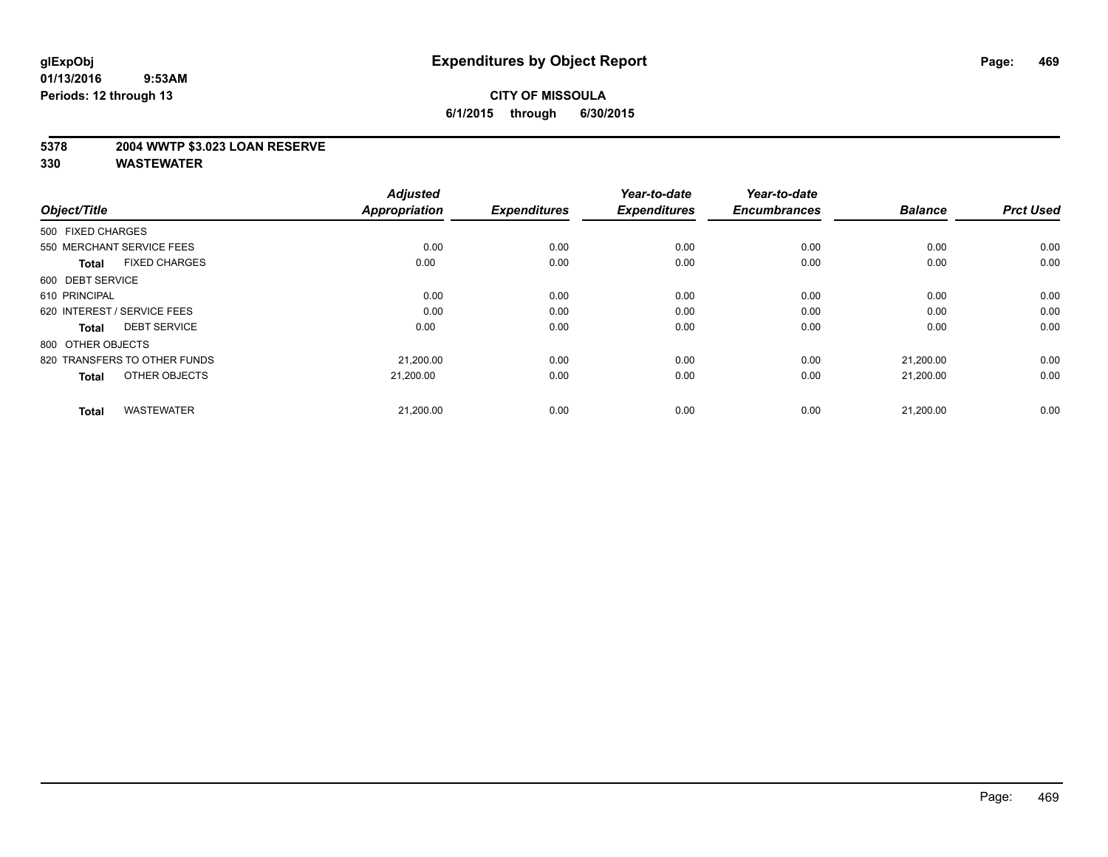### **5378 2004 WWTP \$3.023 LOAN RESERVE**

| Object/Title                         | <b>Adjusted</b><br><b>Appropriation</b> | <b>Expenditures</b> | Year-to-date<br><b>Expenditures</b> | Year-to-date<br><b>Encumbrances</b> | <b>Balance</b> | <b>Prct Used</b> |
|--------------------------------------|-----------------------------------------|---------------------|-------------------------------------|-------------------------------------|----------------|------------------|
| 500 FIXED CHARGES                    |                                         |                     |                                     |                                     |                |                  |
| 550 MERCHANT SERVICE FEES            | 0.00                                    | 0.00                | 0.00                                | 0.00                                | 0.00           | 0.00             |
| <b>FIXED CHARGES</b><br><b>Total</b> | 0.00                                    | 0.00                | 0.00                                | 0.00                                | 0.00           | 0.00             |
| 600 DEBT SERVICE                     |                                         |                     |                                     |                                     |                |                  |
| 610 PRINCIPAL                        | 0.00                                    | 0.00                | 0.00                                | 0.00                                | 0.00           | 0.00             |
| 620 INTEREST / SERVICE FEES          | 0.00                                    | 0.00                | 0.00                                | 0.00                                | 0.00           | 0.00             |
| <b>DEBT SERVICE</b><br><b>Total</b>  | 0.00                                    | 0.00                | 0.00                                | 0.00                                | 0.00           | 0.00             |
| 800 OTHER OBJECTS                    |                                         |                     |                                     |                                     |                |                  |
| 820 TRANSFERS TO OTHER FUNDS         | 21,200.00                               | 0.00                | 0.00                                | 0.00                                | 21,200.00      | 0.00             |
| OTHER OBJECTS<br><b>Total</b>        | 21,200.00                               | 0.00                | 0.00                                | 0.00                                | 21,200.00      | 0.00             |
|                                      |                                         |                     |                                     |                                     |                |                  |
| <b>WASTEWATER</b><br><b>Total</b>    | 21,200.00                               | 0.00                | 0.00                                | 0.00                                | 21,200.00      | 0.00             |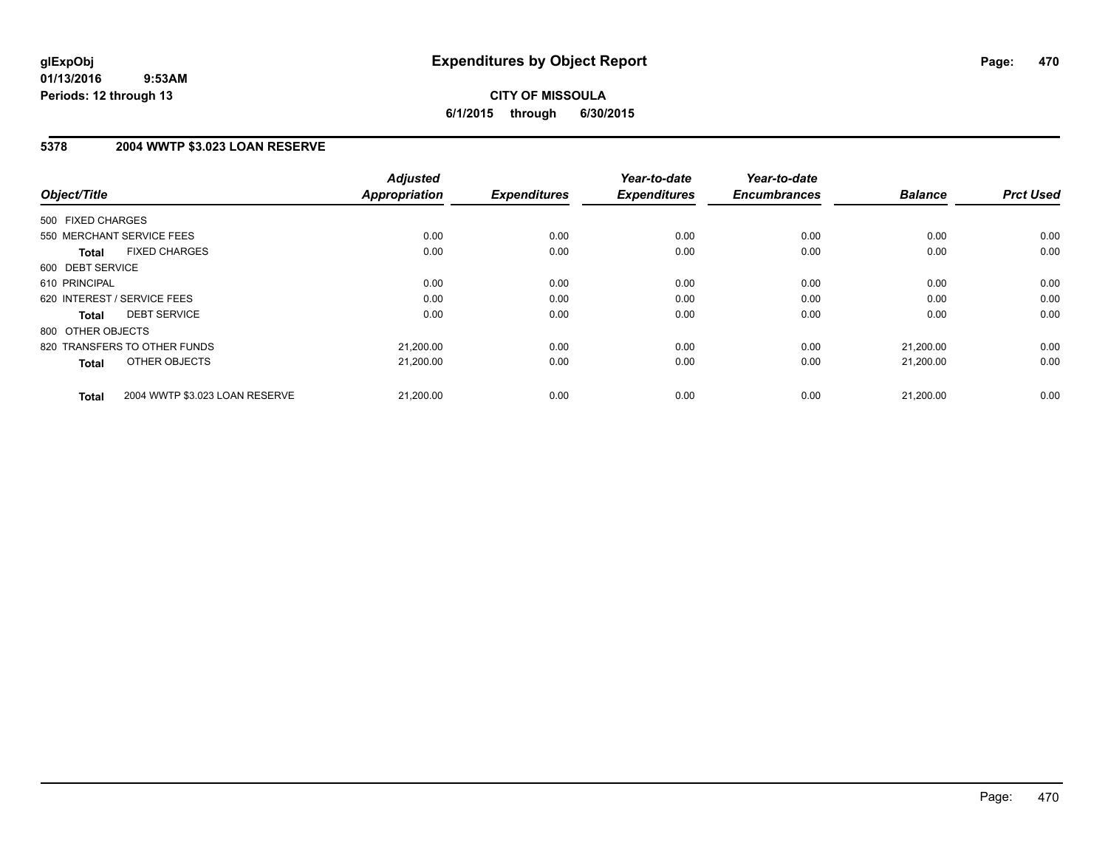# **CITY OF MISSOULA 6/1/2015 through 6/30/2015**

### **5378 2004 WWTP \$3.023 LOAN RESERVE**

| Object/Title      |                                | <b>Adjusted</b><br><b>Appropriation</b> | <b>Expenditures</b> | Year-to-date<br><b>Expenditures</b> | Year-to-date<br><b>Encumbrances</b> | <b>Balance</b> | <b>Prct Used</b> |
|-------------------|--------------------------------|-----------------------------------------|---------------------|-------------------------------------|-------------------------------------|----------------|------------------|
| 500 FIXED CHARGES |                                |                                         |                     |                                     |                                     |                |                  |
|                   |                                |                                         |                     |                                     |                                     |                |                  |
|                   | 550 MERCHANT SERVICE FEES      | 0.00                                    | 0.00                | 0.00                                | 0.00                                | 0.00           | 0.00             |
| <b>Total</b>      | <b>FIXED CHARGES</b>           | 0.00                                    | 0.00                | 0.00                                | 0.00                                | 0.00           | 0.00             |
| 600 DEBT SERVICE  |                                |                                         |                     |                                     |                                     |                |                  |
| 610 PRINCIPAL     |                                | 0.00                                    | 0.00                | 0.00                                | 0.00                                | 0.00           | 0.00             |
|                   | 620 INTEREST / SERVICE FEES    | 0.00                                    | 0.00                | 0.00                                | 0.00                                | 0.00           | 0.00             |
| Total             | <b>DEBT SERVICE</b>            | 0.00                                    | 0.00                | 0.00                                | 0.00                                | 0.00           | 0.00             |
| 800 OTHER OBJECTS |                                |                                         |                     |                                     |                                     |                |                  |
|                   | 820 TRANSFERS TO OTHER FUNDS   | 21,200.00                               | 0.00                | 0.00                                | 0.00                                | 21.200.00      | 0.00             |
| <b>Total</b>      | OTHER OBJECTS                  | 21,200.00                               | 0.00                | 0.00                                | 0.00                                | 21,200.00      | 0.00             |
| <b>Total</b>      | 2004 WWTP \$3.023 LOAN RESERVE | 21,200.00                               | 0.00                | 0.00                                | 0.00                                | 21.200.00      | 0.00             |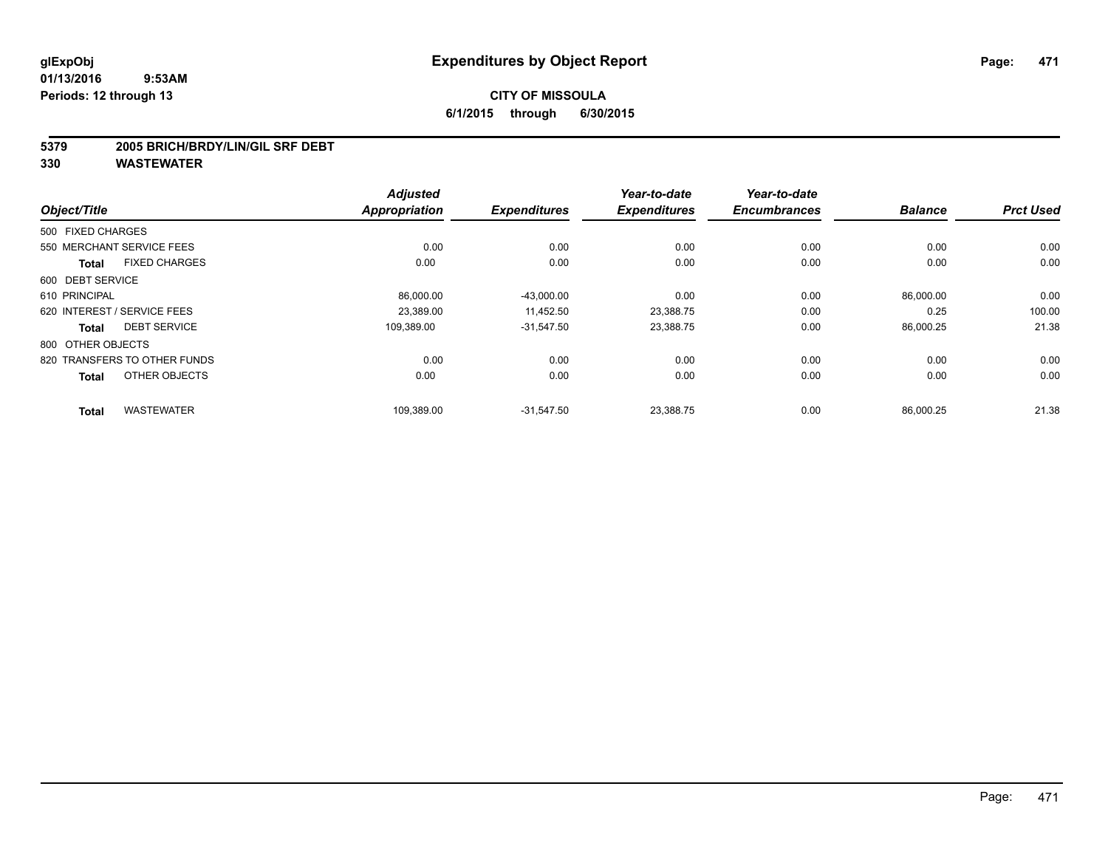#### **5379 2005 BRICH/BRDY/LIN/GIL SRF DEBT**

| Object/Title                         | <b>Adjusted</b><br><b>Appropriation</b> | <b>Expenditures</b> | Year-to-date<br><b>Expenditures</b> | Year-to-date<br><b>Encumbrances</b> | <b>Balance</b> | <b>Prct Used</b> |
|--------------------------------------|-----------------------------------------|---------------------|-------------------------------------|-------------------------------------|----------------|------------------|
|                                      |                                         |                     |                                     |                                     |                |                  |
| 500 FIXED CHARGES                    |                                         |                     |                                     |                                     |                |                  |
| 550 MERCHANT SERVICE FEES            | 0.00                                    | 0.00                | 0.00                                | 0.00                                | 0.00           | 0.00             |
| <b>FIXED CHARGES</b><br><b>Total</b> | 0.00                                    | 0.00                | 0.00                                | 0.00                                | 0.00           | 0.00             |
| 600 DEBT SERVICE                     |                                         |                     |                                     |                                     |                |                  |
| 610 PRINCIPAL                        | 86,000.00                               | $-43,000.00$        | 0.00                                | 0.00                                | 86,000.00      | 0.00             |
| 620 INTEREST / SERVICE FEES          | 23.389.00                               | 11.452.50           | 23.388.75                           | 0.00                                | 0.25           | 100.00           |
| <b>DEBT SERVICE</b><br><b>Total</b>  | 109.389.00                              | $-31,547.50$        | 23,388.75                           | 0.00                                | 86,000.25      | 21.38            |
| 800 OTHER OBJECTS                    |                                         |                     |                                     |                                     |                |                  |
| 820 TRANSFERS TO OTHER FUNDS         | 0.00                                    | 0.00                | 0.00                                | 0.00                                | 0.00           | 0.00             |
| OTHER OBJECTS<br><b>Total</b>        | 0.00                                    | 0.00                | 0.00                                | 0.00                                | 0.00           | 0.00             |
| <b>WASTEWATER</b><br><b>Total</b>    | 109,389.00                              | $-31,547.50$        | 23,388.75                           | 0.00                                | 86,000.25      | 21.38            |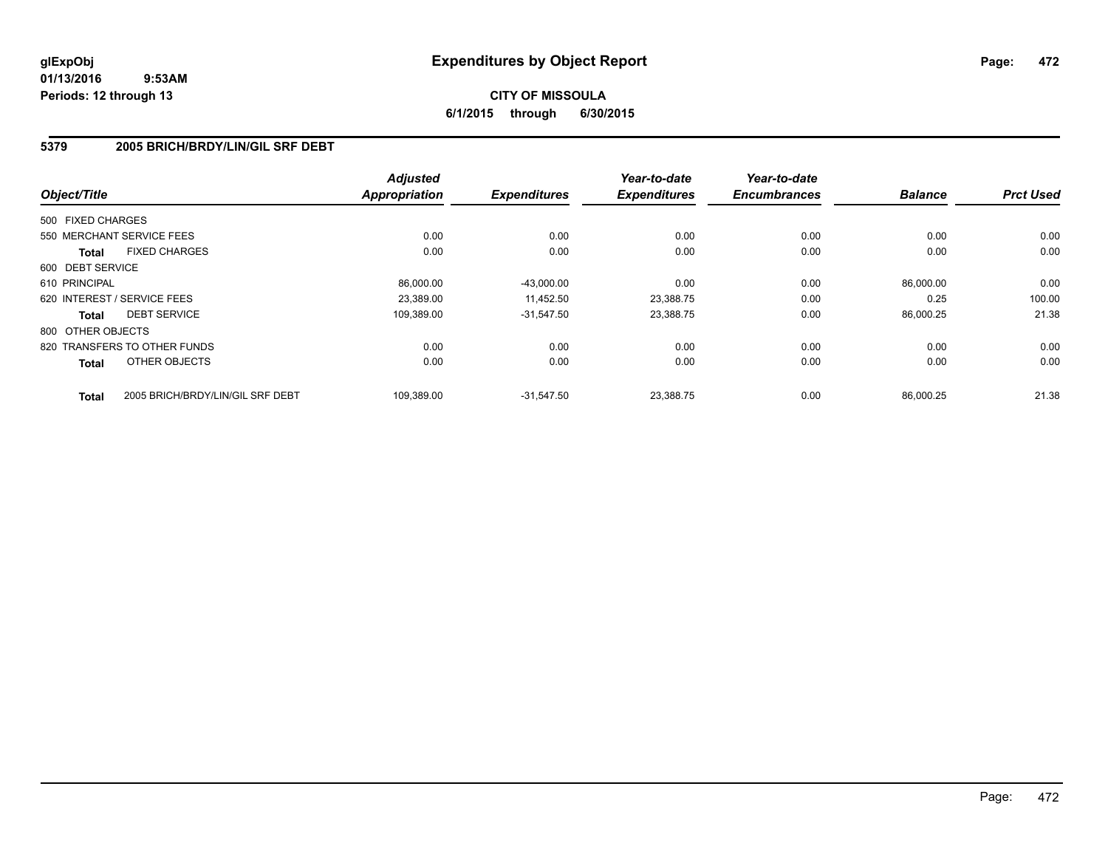# **CITY OF MISSOULA 6/1/2015 through 6/30/2015**

### **5379 2005 BRICH/BRDY/LIN/GIL SRF DEBT**

| Object/Title      |                                  | <b>Adjusted</b><br><b>Appropriation</b> | <b>Expenditures</b> | Year-to-date<br><b>Expenditures</b> | Year-to-date<br><b>Encumbrances</b> | <b>Balance</b> | <b>Prct Used</b> |
|-------------------|----------------------------------|-----------------------------------------|---------------------|-------------------------------------|-------------------------------------|----------------|------------------|
| 500 FIXED CHARGES |                                  |                                         |                     |                                     |                                     |                |                  |
|                   |                                  |                                         |                     |                                     |                                     |                |                  |
|                   | 550 MERCHANT SERVICE FEES        | 0.00                                    | 0.00                | 0.00                                | 0.00                                | 0.00           | 0.00             |
| <b>Total</b>      | <b>FIXED CHARGES</b>             | 0.00                                    | 0.00                | 0.00                                | 0.00                                | 0.00           | 0.00             |
| 600 DEBT SERVICE  |                                  |                                         |                     |                                     |                                     |                |                  |
| 610 PRINCIPAL     |                                  | 86.000.00                               | $-43,000.00$        | 0.00                                | 0.00                                | 86,000.00      | 0.00             |
|                   | 620 INTEREST / SERVICE FEES      | 23,389.00                               | 11,452.50           | 23,388.75                           | 0.00                                | 0.25           | 100.00           |
| <b>Total</b>      | <b>DEBT SERVICE</b>              | 109.389.00                              | $-31,547.50$        | 23,388.75                           | 0.00                                | 86,000.25      | 21.38            |
| 800 OTHER OBJECTS |                                  |                                         |                     |                                     |                                     |                |                  |
|                   | 820 TRANSFERS TO OTHER FUNDS     | 0.00                                    | 0.00                | 0.00                                | 0.00                                | 0.00           | 0.00             |
| <b>Total</b>      | OTHER OBJECTS                    | 0.00                                    | 0.00                | 0.00                                | 0.00                                | 0.00           | 0.00             |
| <b>Total</b>      | 2005 BRICH/BRDY/LIN/GIL SRF DEBT | 109.389.00                              | $-31.547.50$        | 23.388.75                           | 0.00                                | 86.000.25      | 21.38            |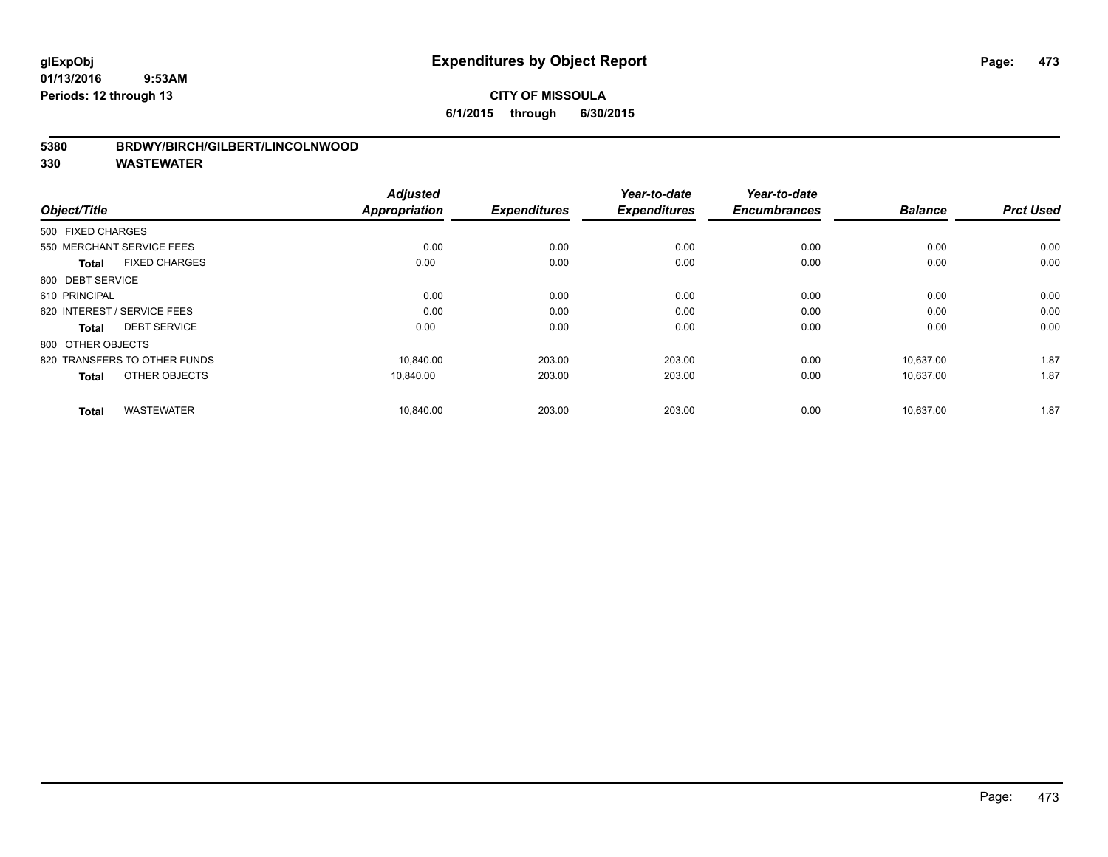### **5380 BRDWY/BIRCH/GILBERT/LINCOLNWOOD**

| Object/Title                         | <b>Adjusted</b><br>Appropriation | <b>Expenditures</b> | Year-to-date<br><b>Expenditures</b> | Year-to-date<br><b>Encumbrances</b> | <b>Balance</b> | <b>Prct Used</b> |
|--------------------------------------|----------------------------------|---------------------|-------------------------------------|-------------------------------------|----------------|------------------|
| 500 FIXED CHARGES                    |                                  |                     |                                     |                                     |                |                  |
|                                      |                                  |                     |                                     |                                     |                |                  |
| 550 MERCHANT SERVICE FEES            | 0.00                             | 0.00                | 0.00                                | 0.00                                | 0.00           | 0.00             |
| <b>FIXED CHARGES</b><br><b>Total</b> | 0.00                             | 0.00                | 0.00                                | 0.00                                | 0.00           | 0.00             |
| 600 DEBT SERVICE                     |                                  |                     |                                     |                                     |                |                  |
| 610 PRINCIPAL                        | 0.00                             | 0.00                | 0.00                                | 0.00                                | 0.00           | 0.00             |
| 620 INTEREST / SERVICE FEES          | 0.00                             | 0.00                | 0.00                                | 0.00                                | 0.00           | 0.00             |
| <b>DEBT SERVICE</b><br><b>Total</b>  | 0.00                             | 0.00                | 0.00                                | 0.00                                | 0.00           | 0.00             |
| 800 OTHER OBJECTS                    |                                  |                     |                                     |                                     |                |                  |
| 820 TRANSFERS TO OTHER FUNDS         | 10,840.00                        | 203.00              | 203.00                              | 0.00                                | 10,637.00      | 1.87             |
| OTHER OBJECTS<br><b>Total</b>        | 10,840.00                        | 203.00              | 203.00                              | 0.00                                | 10,637.00      | 1.87             |
|                                      |                                  |                     |                                     |                                     |                |                  |
| <b>WASTEWATER</b><br><b>Total</b>    | 10,840.00                        | 203.00              | 203.00                              | 0.00                                | 10,637.00      | 1.87             |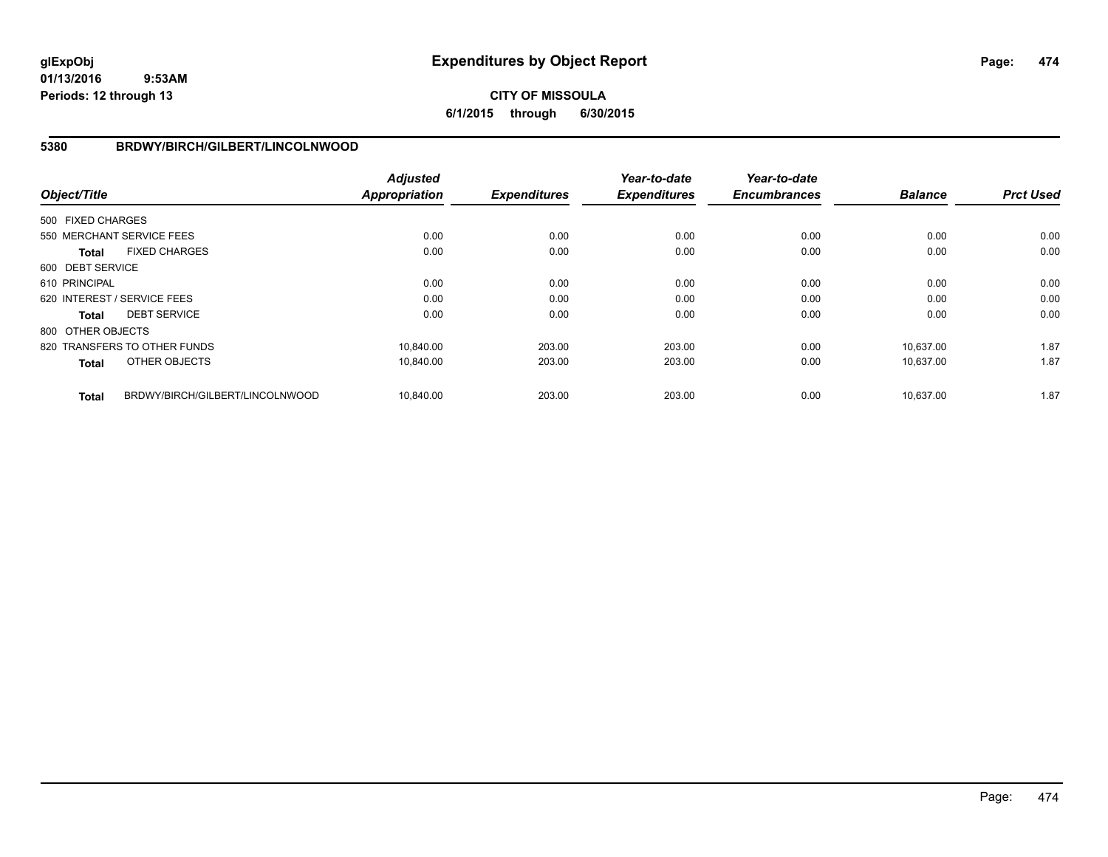# **CITY OF MISSOULA 6/1/2015 through 6/30/2015**

### **5380 BRDWY/BIRCH/GILBERT/LINCOLNWOOD**

| Object/Title      |                                 | <b>Adjusted</b><br><b>Appropriation</b> | <b>Expenditures</b> | Year-to-date<br><b>Expenditures</b> | Year-to-date<br><b>Encumbrances</b> | <b>Balance</b> | <b>Prct Used</b> |
|-------------------|---------------------------------|-----------------------------------------|---------------------|-------------------------------------|-------------------------------------|----------------|------------------|
| 500 FIXED CHARGES |                                 |                                         |                     |                                     |                                     |                |                  |
|                   |                                 |                                         |                     |                                     |                                     |                |                  |
|                   | 550 MERCHANT SERVICE FEES       | 0.00                                    | 0.00                | 0.00                                | 0.00                                | 0.00           | 0.00             |
| Total             | <b>FIXED CHARGES</b>            | 0.00                                    | 0.00                | 0.00                                | 0.00                                | 0.00           | 0.00             |
| 600 DEBT SERVICE  |                                 |                                         |                     |                                     |                                     |                |                  |
| 610 PRINCIPAL     |                                 | 0.00                                    | 0.00                | 0.00                                | 0.00                                | 0.00           | 0.00             |
|                   | 620 INTEREST / SERVICE FEES     | 0.00                                    | 0.00                | 0.00                                | 0.00                                | 0.00           | 0.00             |
| Total             | <b>DEBT SERVICE</b>             | 0.00                                    | 0.00                | 0.00                                | 0.00                                | 0.00           | 0.00             |
| 800 OTHER OBJECTS |                                 |                                         |                     |                                     |                                     |                |                  |
|                   | 820 TRANSFERS TO OTHER FUNDS    | 10.840.00                               | 203.00              | 203.00                              | 0.00                                | 10.637.00      | 1.87             |
| <b>Total</b>      | OTHER OBJECTS                   | 10,840.00                               | 203.00              | 203.00                              | 0.00                                | 10,637.00      | 1.87             |
| <b>Total</b>      | BRDWY/BIRCH/GILBERT/LINCOLNWOOD | 10,840.00                               | 203.00              | 203.00                              | 0.00                                | 10,637.00      | 1.87             |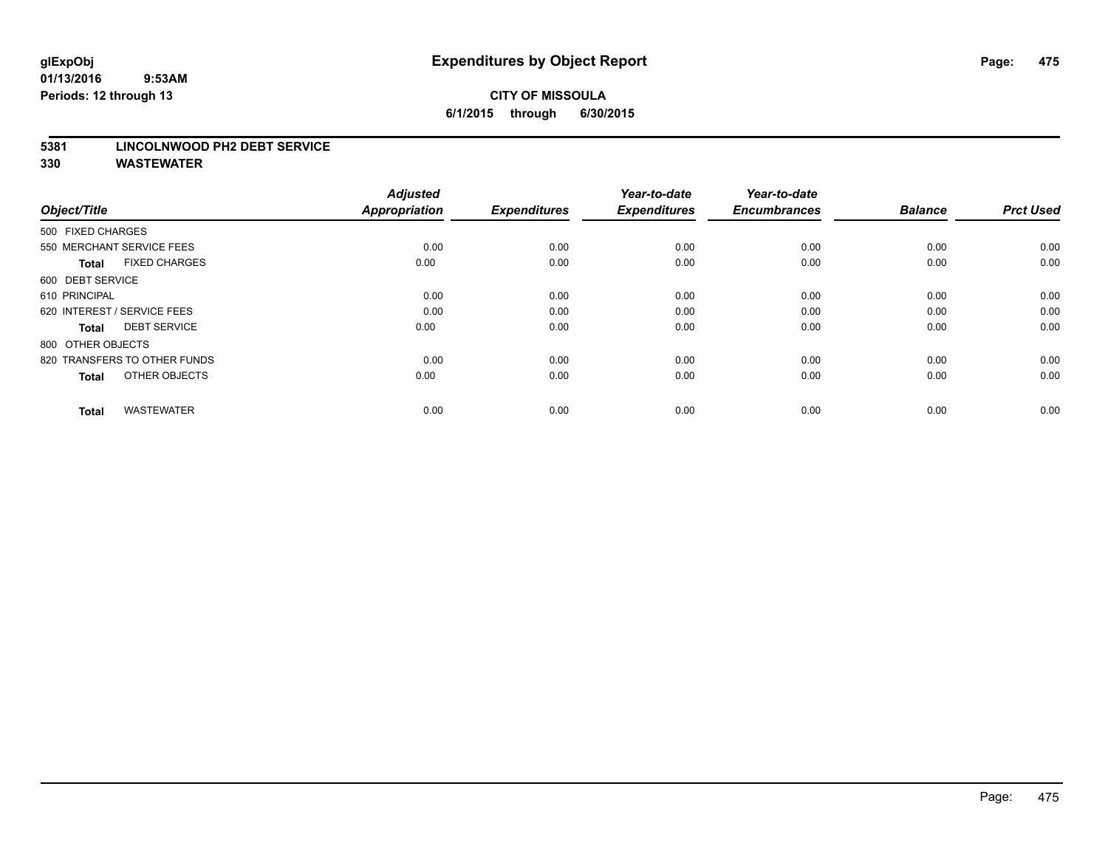# **CITY OF MISSOULA 6/1/2015 through 6/30/2015**

#### **5381 LINCOLNWOOD PH2 DEBT SERVICE**

| Object/Title                         | <b>Adjusted</b><br><b>Appropriation</b> | <b>Expenditures</b> | Year-to-date<br><b>Expenditures</b> | Year-to-date<br><b>Encumbrances</b> | <b>Balance</b> | <b>Prct Used</b> |
|--------------------------------------|-----------------------------------------|---------------------|-------------------------------------|-------------------------------------|----------------|------------------|
| 500 FIXED CHARGES                    |                                         |                     |                                     |                                     |                |                  |
| 550 MERCHANT SERVICE FEES            | 0.00                                    | 0.00                | 0.00                                | 0.00                                | 0.00           | 0.00             |
| <b>FIXED CHARGES</b><br><b>Total</b> | 0.00                                    | 0.00                | 0.00                                | 0.00                                | 0.00           | 0.00             |
| 600 DEBT SERVICE                     |                                         |                     |                                     |                                     |                |                  |
| 610 PRINCIPAL                        | 0.00                                    | 0.00                | 0.00                                | 0.00                                | 0.00           | 0.00             |
| 620 INTEREST / SERVICE FEES          | 0.00                                    | 0.00                | 0.00                                | 0.00                                | 0.00           | 0.00             |
| <b>DEBT SERVICE</b><br><b>Total</b>  | 0.00                                    | 0.00                | 0.00                                | 0.00                                | 0.00           | 0.00             |
| 800 OTHER OBJECTS                    |                                         |                     |                                     |                                     |                |                  |
| 820 TRANSFERS TO OTHER FUNDS         | 0.00                                    | 0.00                | 0.00                                | 0.00                                | 0.00           | 0.00             |
| OTHER OBJECTS<br><b>Total</b>        | 0.00                                    | 0.00                | 0.00                                | 0.00                                | 0.00           | 0.00             |
|                                      |                                         |                     |                                     |                                     |                |                  |
| <b>WASTEWATER</b><br><b>Total</b>    | 0.00                                    | 0.00                | 0.00                                | 0.00                                | 0.00           | 0.00             |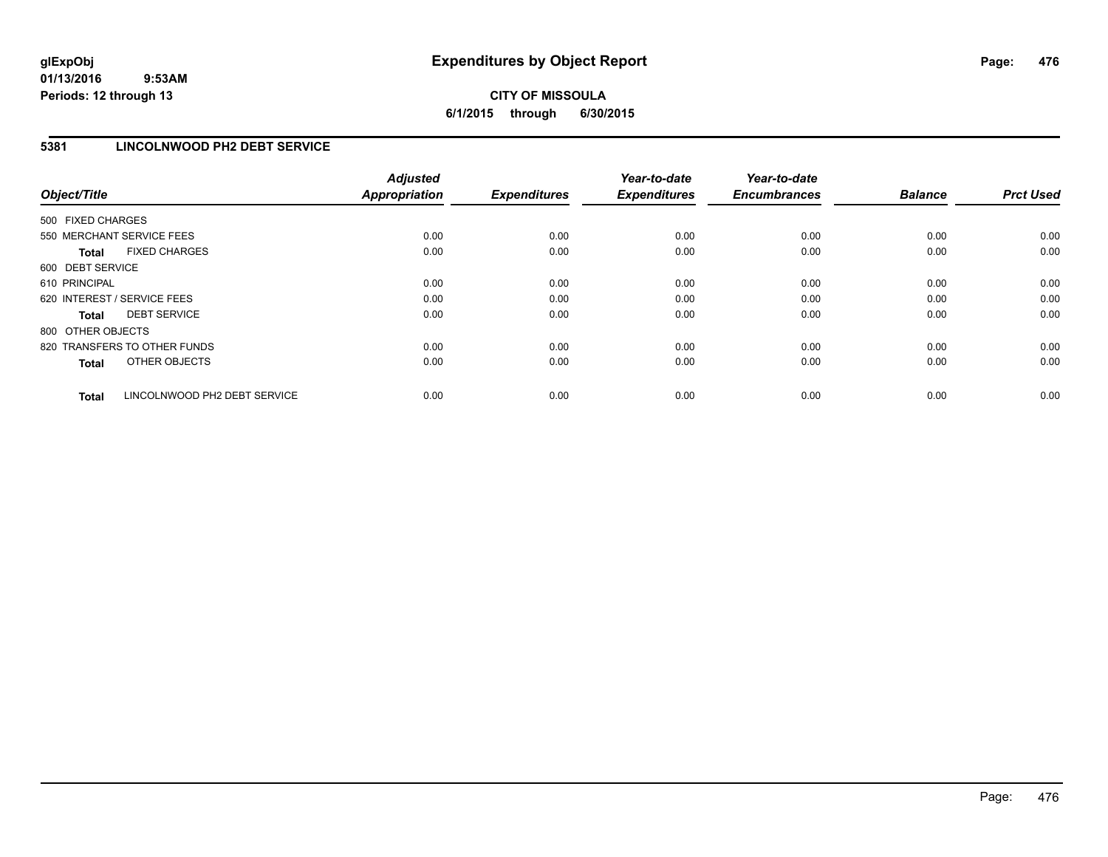# **CITY OF MISSOULA 6/1/2015 through 6/30/2015**

### **5381 LINCOLNWOOD PH2 DEBT SERVICE**

| Object/Title      |                              | <b>Adjusted</b><br><b>Appropriation</b> | <b>Expenditures</b> | Year-to-date<br><b>Expenditures</b> | Year-to-date<br><b>Encumbrances</b> | <b>Balance</b> | <b>Prct Used</b> |
|-------------------|------------------------------|-----------------------------------------|---------------------|-------------------------------------|-------------------------------------|----------------|------------------|
| 500 FIXED CHARGES |                              |                                         |                     |                                     |                                     |                |                  |
|                   | 550 MERCHANT SERVICE FEES    | 0.00                                    | 0.00                | 0.00                                | 0.00                                | 0.00           | 0.00             |
| <b>Total</b>      | <b>FIXED CHARGES</b>         | 0.00                                    | 0.00                | 0.00                                | 0.00                                | 0.00           | 0.00             |
| 600 DEBT SERVICE  |                              |                                         |                     |                                     |                                     |                |                  |
| 610 PRINCIPAL     |                              | 0.00                                    | 0.00                | 0.00                                | 0.00                                | 0.00           | 0.00             |
|                   | 620 INTEREST / SERVICE FEES  | 0.00                                    | 0.00                | 0.00                                | 0.00                                | 0.00           | 0.00             |
| Total             | <b>DEBT SERVICE</b>          | 0.00                                    | 0.00                | 0.00                                | 0.00                                | 0.00           | 0.00             |
| 800 OTHER OBJECTS |                              |                                         |                     |                                     |                                     |                |                  |
|                   | 820 TRANSFERS TO OTHER FUNDS | 0.00                                    | 0.00                | 0.00                                | 0.00                                | 0.00           | 0.00             |
| <b>Total</b>      | OTHER OBJECTS                | 0.00                                    | 0.00                | 0.00                                | 0.00                                | 0.00           | 0.00             |
| <b>Total</b>      | LINCOLNWOOD PH2 DEBT SERVICE | 0.00                                    | 0.00                | 0.00                                | 0.00                                | 0.00           | 0.00             |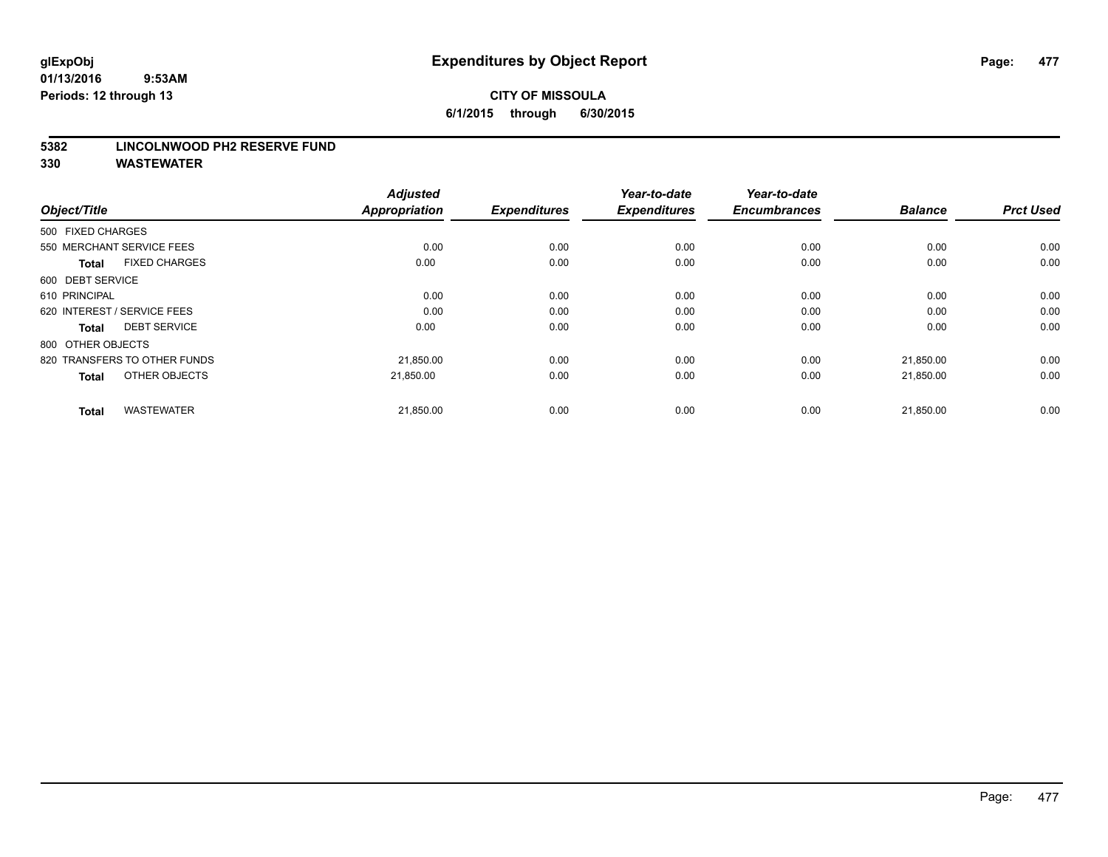#### **5382 LINCOLNWOOD PH2 RESERVE FUND**

| Object/Title                         | <b>Adjusted</b><br><b>Appropriation</b> | <b>Expenditures</b> | Year-to-date<br><b>Expenditures</b> | Year-to-date<br><b>Encumbrances</b> | <b>Balance</b> | <b>Prct Used</b> |
|--------------------------------------|-----------------------------------------|---------------------|-------------------------------------|-------------------------------------|----------------|------------------|
| 500 FIXED CHARGES                    |                                         |                     |                                     |                                     |                |                  |
| 550 MERCHANT SERVICE FEES            | 0.00                                    | 0.00                | 0.00                                | 0.00                                | 0.00           | 0.00             |
| <b>FIXED CHARGES</b><br><b>Total</b> | 0.00                                    | 0.00                | 0.00                                | 0.00                                | 0.00           | 0.00             |
| 600 DEBT SERVICE                     |                                         |                     |                                     |                                     |                |                  |
| 610 PRINCIPAL                        | 0.00                                    | 0.00                | 0.00                                | 0.00                                | 0.00           | 0.00             |
| 620 INTEREST / SERVICE FEES          | 0.00                                    | 0.00                | 0.00                                | 0.00                                | 0.00           | 0.00             |
| <b>DEBT SERVICE</b><br><b>Total</b>  | 0.00                                    | 0.00                | 0.00                                | 0.00                                | 0.00           | 0.00             |
| 800 OTHER OBJECTS                    |                                         |                     |                                     |                                     |                |                  |
| 820 TRANSFERS TO OTHER FUNDS         | 21,850.00                               | 0.00                | 0.00                                | 0.00                                | 21,850.00      | 0.00             |
| OTHER OBJECTS<br><b>Total</b>        | 21,850.00                               | 0.00                | 0.00                                | 0.00                                | 21,850.00      | 0.00             |
|                                      |                                         |                     |                                     |                                     |                |                  |
| <b>WASTEWATER</b><br><b>Total</b>    | 21,850.00                               | 0.00                | 0.00                                | 0.00                                | 21,850.00      | 0.00             |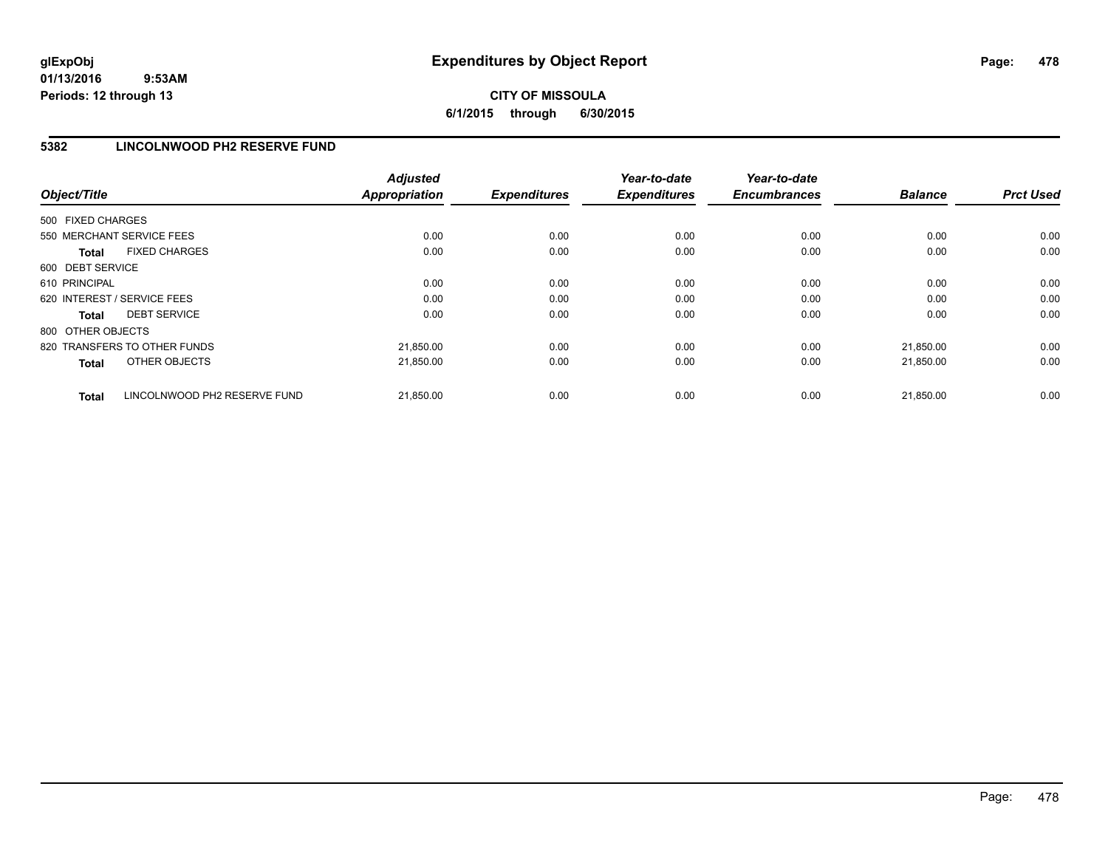# **CITY OF MISSOULA 6/1/2015 through 6/30/2015**

### **5382 LINCOLNWOOD PH2 RESERVE FUND**

| Object/Title                                 | <b>Adjusted</b><br><b>Appropriation</b> | <b>Expenditures</b> | Year-to-date<br><b>Expenditures</b> | Year-to-date<br><b>Encumbrances</b> | <b>Balance</b> | <b>Prct Used</b> |
|----------------------------------------------|-----------------------------------------|---------------------|-------------------------------------|-------------------------------------|----------------|------------------|
| 500 FIXED CHARGES                            |                                         |                     |                                     |                                     |                |                  |
| 550 MERCHANT SERVICE FEES                    | 0.00                                    | 0.00                | 0.00                                | 0.00                                | 0.00           | 0.00             |
| <b>FIXED CHARGES</b><br><b>Total</b>         | 0.00                                    | 0.00                | 0.00                                | 0.00                                | 0.00           | 0.00             |
| 600 DEBT SERVICE                             |                                         |                     |                                     |                                     |                |                  |
| 610 PRINCIPAL                                | 0.00                                    | 0.00                | 0.00                                | 0.00                                | 0.00           | 0.00             |
| 620 INTEREST / SERVICE FEES                  | 0.00                                    | 0.00                | 0.00                                | 0.00                                | 0.00           | 0.00             |
| <b>DEBT SERVICE</b><br><b>Total</b>          | 0.00                                    | 0.00                | 0.00                                | 0.00                                | 0.00           | 0.00             |
| 800 OTHER OBJECTS                            |                                         |                     |                                     |                                     |                |                  |
| 820 TRANSFERS TO OTHER FUNDS                 | 21,850.00                               | 0.00                | 0.00                                | 0.00                                | 21.850.00      | 0.00             |
| <b>OTHER OBJECTS</b><br><b>Total</b>         | 21,850.00                               | 0.00                | 0.00                                | 0.00                                | 21,850.00      | 0.00             |
| LINCOLNWOOD PH2 RESERVE FUND<br><b>Total</b> | 21,850.00                               | 0.00                | 0.00                                | 0.00                                | 21.850.00      | 0.00             |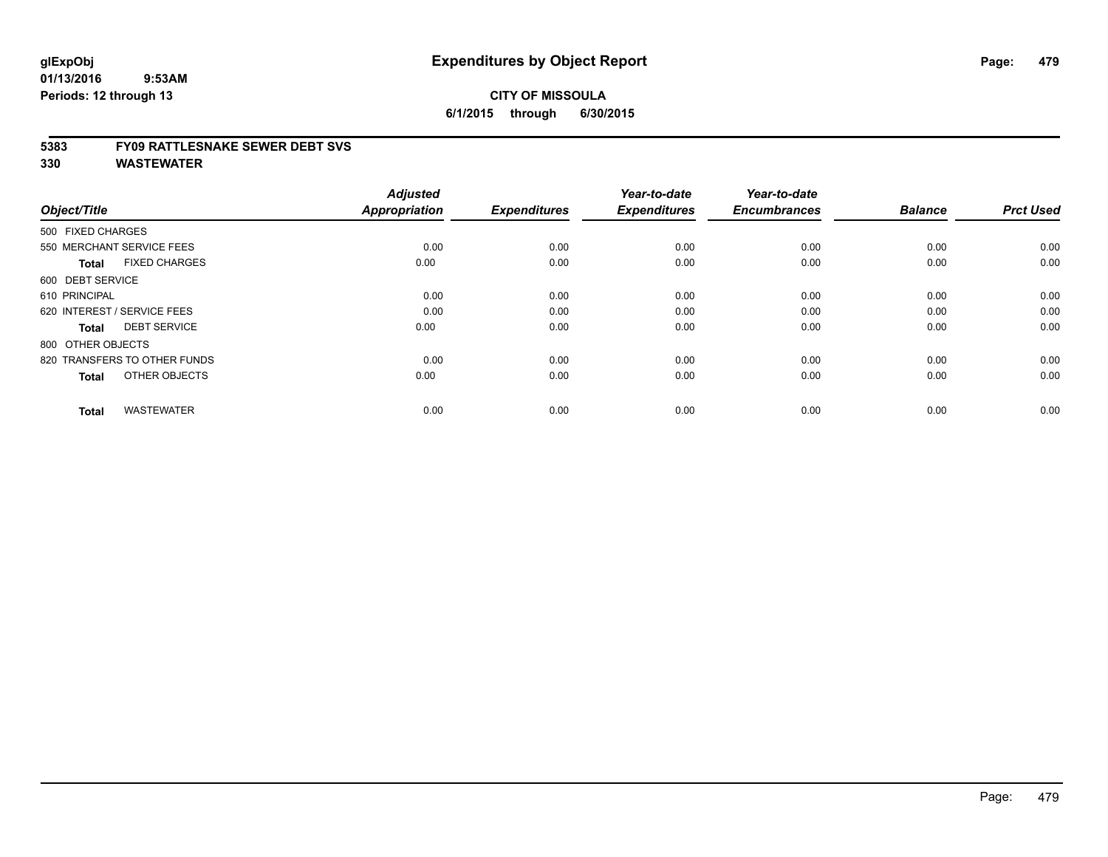#### **5383 FY09 RATTLESNAKE SEWER DEBT SVS**

| Object/Title                         | <b>Adjusted</b><br><b>Appropriation</b> | <b>Expenditures</b> | Year-to-date<br><b>Expenditures</b> | Year-to-date<br><b>Encumbrances</b> | <b>Balance</b> | <b>Prct Used</b> |
|--------------------------------------|-----------------------------------------|---------------------|-------------------------------------|-------------------------------------|----------------|------------------|
| 500 FIXED CHARGES                    |                                         |                     |                                     |                                     |                |                  |
| 550 MERCHANT SERVICE FEES            | 0.00                                    | 0.00                | 0.00                                | 0.00                                | 0.00           | 0.00             |
| <b>FIXED CHARGES</b><br><b>Total</b> | 0.00                                    | 0.00                | 0.00                                | 0.00                                | 0.00           | 0.00             |
| 600 DEBT SERVICE                     |                                         |                     |                                     |                                     |                |                  |
| 610 PRINCIPAL                        | 0.00                                    | 0.00                | 0.00                                | 0.00                                | 0.00           | 0.00             |
| 620 INTEREST / SERVICE FEES          | 0.00                                    | 0.00                | 0.00                                | 0.00                                | 0.00           | 0.00             |
| <b>DEBT SERVICE</b><br><b>Total</b>  | 0.00                                    | 0.00                | 0.00                                | 0.00                                | 0.00           | 0.00             |
| 800 OTHER OBJECTS                    |                                         |                     |                                     |                                     |                |                  |
| 820 TRANSFERS TO OTHER FUNDS         | 0.00                                    | 0.00                | 0.00                                | 0.00                                | 0.00           | 0.00             |
| OTHER OBJECTS<br><b>Total</b>        | 0.00                                    | 0.00                | 0.00                                | 0.00                                | 0.00           | 0.00             |
|                                      |                                         |                     |                                     |                                     |                |                  |
| <b>WASTEWATER</b><br><b>Total</b>    | 0.00                                    | 0.00                | 0.00                                | 0.00                                | 0.00           | 0.00             |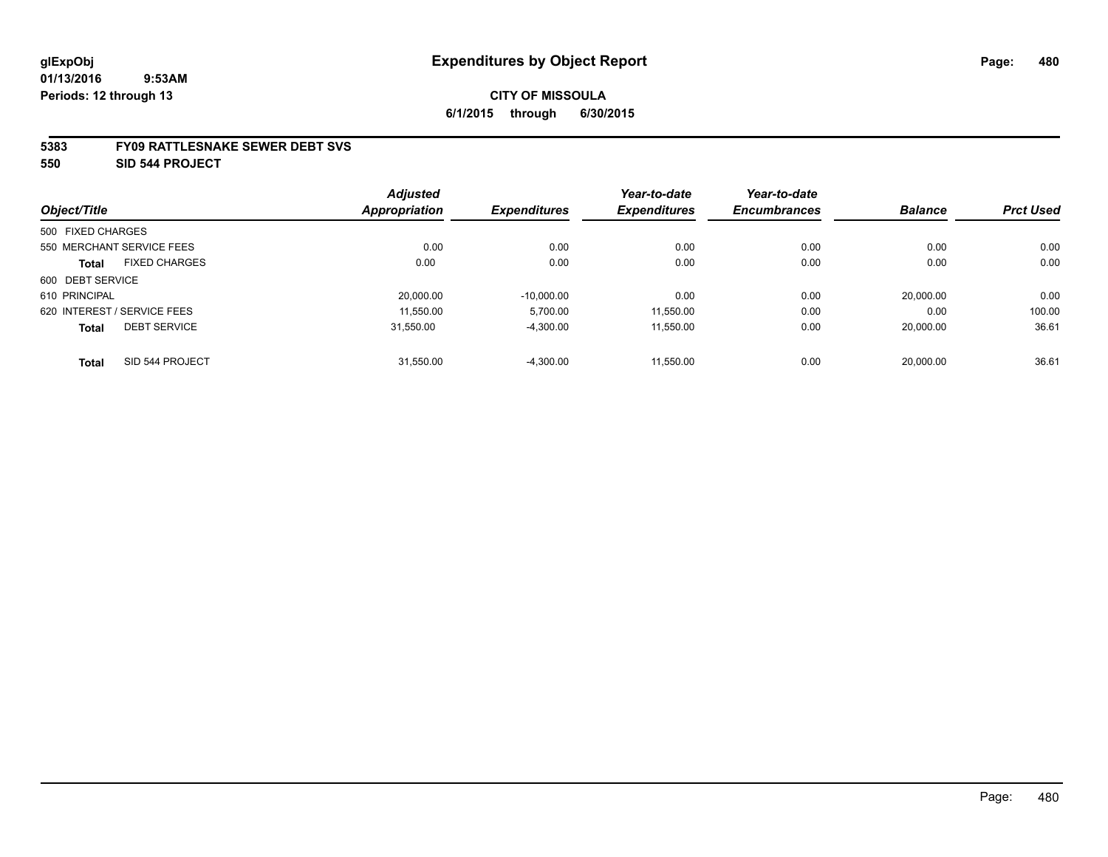#### **5383 FY09 RATTLESNAKE SEWER DEBT SVS**

**550 SID 544 PROJECT**

|                   |                             | <b>Adjusted</b>      |                     | Year-to-date        | Year-to-date        |                |                  |
|-------------------|-----------------------------|----------------------|---------------------|---------------------|---------------------|----------------|------------------|
| Object/Title      |                             | <b>Appropriation</b> | <b>Expenditures</b> | <b>Expenditures</b> | <b>Encumbrances</b> | <b>Balance</b> | <b>Prct Used</b> |
| 500 FIXED CHARGES |                             |                      |                     |                     |                     |                |                  |
|                   | 550 MERCHANT SERVICE FEES   | 0.00                 | 0.00                | 0.00                | 0.00                | 0.00           | 0.00             |
| <b>Total</b>      | <b>FIXED CHARGES</b>        | 0.00                 | 0.00                | 0.00                | 0.00                | 0.00           | 0.00             |
| 600 DEBT SERVICE  |                             |                      |                     |                     |                     |                |                  |
| 610 PRINCIPAL     |                             | 20.000.00            | $-10.000.00$        | 0.00                | 0.00                | 20.000.00      | 0.00             |
|                   | 620 INTEREST / SERVICE FEES | 11,550.00            | 5,700.00            | 11,550.00           | 0.00                | 0.00           | 100.00           |
| <b>Total</b>      | <b>DEBT SERVICE</b>         | 31.550.00            | $-4,300.00$         | 11.550.00           | 0.00                | 20.000.00      | 36.61            |
| <b>Total</b>      | SID 544 PROJECT             | 31,550.00            | $-4,300.00$         | 11.550.00           | 0.00                | 20,000.00      | 36.61            |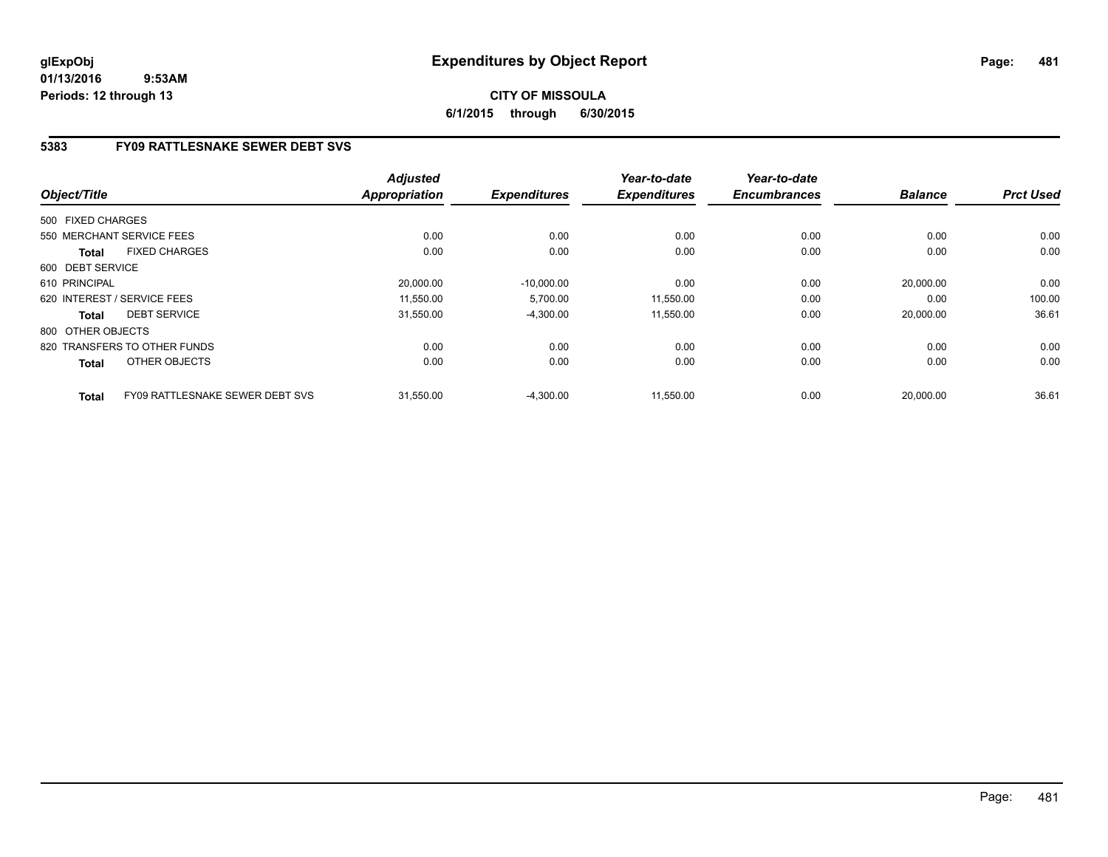# **5383 FY09 RATTLESNAKE SEWER DEBT SVS**

| Object/Title      |                                 | <b>Adjusted</b><br>Appropriation | <b>Expenditures</b> | Year-to-date<br><b>Expenditures</b> | Year-to-date<br><b>Encumbrances</b> | <b>Balance</b> | <b>Prct Used</b> |
|-------------------|---------------------------------|----------------------------------|---------------------|-------------------------------------|-------------------------------------|----------------|------------------|
|                   |                                 |                                  |                     |                                     |                                     |                |                  |
| 500 FIXED CHARGES |                                 |                                  |                     |                                     |                                     |                |                  |
|                   | 550 MERCHANT SERVICE FEES       | 0.00                             | 0.00                | 0.00                                | 0.00                                | 0.00           | 0.00             |
| <b>Total</b>      | <b>FIXED CHARGES</b>            | 0.00                             | 0.00                | 0.00                                | 0.00                                | 0.00           | 0.00             |
| 600 DEBT SERVICE  |                                 |                                  |                     |                                     |                                     |                |                  |
| 610 PRINCIPAL     |                                 | 20,000.00                        | $-10,000.00$        | 0.00                                | 0.00                                | 20,000.00      | 0.00             |
|                   | 620 INTEREST / SERVICE FEES     | 11,550.00                        | 5,700.00            | 11,550.00                           | 0.00                                | 0.00           | 100.00           |
| <b>Total</b>      | <b>DEBT SERVICE</b>             | 31,550.00                        | $-4,300.00$         | 11,550.00                           | 0.00                                | 20,000.00      | 36.61            |
| 800 OTHER OBJECTS |                                 |                                  |                     |                                     |                                     |                |                  |
|                   | 820 TRANSFERS TO OTHER FUNDS    | 0.00                             | 0.00                | 0.00                                | 0.00                                | 0.00           | 0.00             |
| <b>Total</b>      | OTHER OBJECTS                   | 0.00                             | 0.00                | 0.00                                | 0.00                                | 0.00           | 0.00             |
| <b>Total</b>      | FY09 RATTLESNAKE SEWER DEBT SVS | 31.550.00                        | $-4,300.00$         | 11.550.00                           | 0.00                                | 20.000.00      | 36.61            |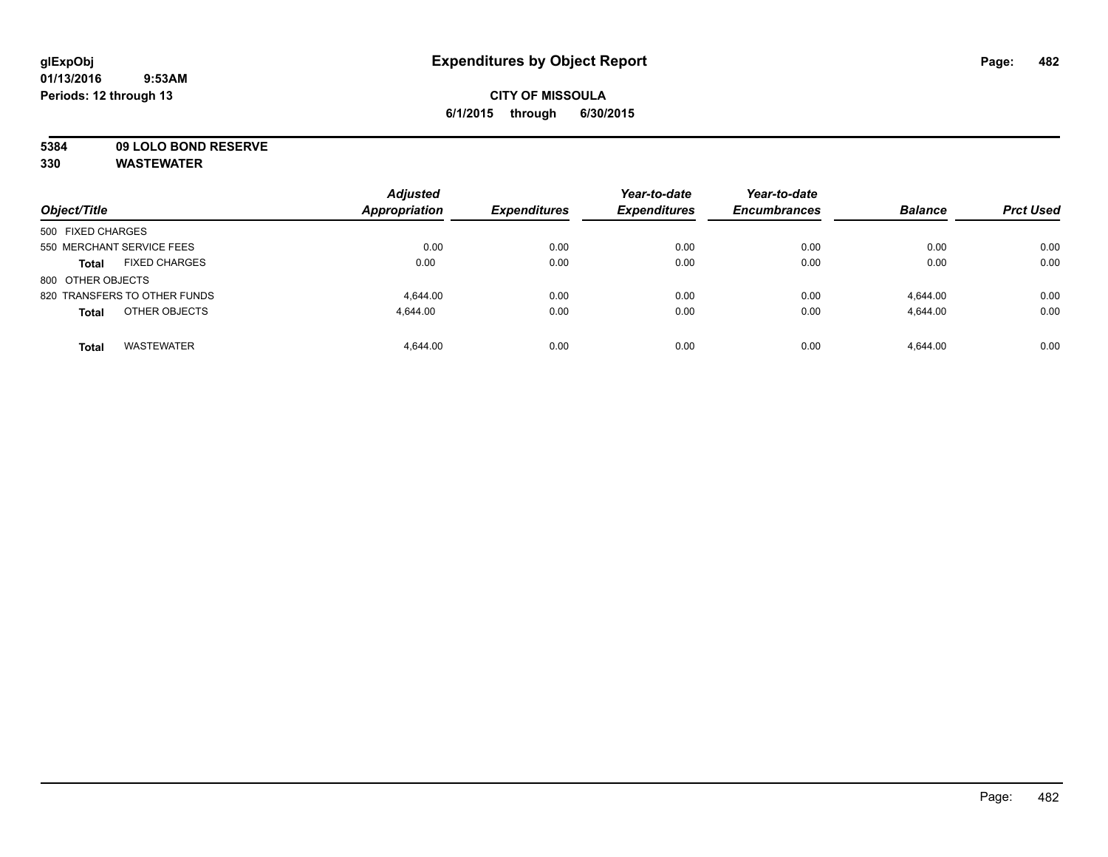# **CITY OF MISSOULA 6/1/2015 through 6/30/2015**

# **5384 09 LOLO BOND RESERVE**

| Object/Title                         | <b>Adjusted</b><br>Appropriation | <b>Expenditures</b> | Year-to-date<br><b>Expenditures</b> | Year-to-date<br><b>Encumbrances</b> | <b>Balance</b> | <b>Prct Used</b> |
|--------------------------------------|----------------------------------|---------------------|-------------------------------------|-------------------------------------|----------------|------------------|
| 500 FIXED CHARGES                    |                                  |                     |                                     |                                     |                |                  |
| 550 MERCHANT SERVICE FEES            | 0.00                             | 0.00                | 0.00                                | 0.00                                | 0.00           | 0.00             |
| <b>FIXED CHARGES</b><br><b>Total</b> | 0.00                             | 0.00                | 0.00                                | 0.00                                | 0.00           | 0.00             |
| 800 OTHER OBJECTS                    |                                  |                     |                                     |                                     |                |                  |
| 820 TRANSFERS TO OTHER FUNDS         | 4.644.00                         | 0.00                | 0.00                                | 0.00                                | 4.644.00       | 0.00             |
| OTHER OBJECTS<br><b>Total</b>        | 4.644.00                         | 0.00                | 0.00                                | 0.00                                | 4,644.00       | 0.00             |
| <b>WASTEWATER</b><br><b>Total</b>    | 4.644.00                         | 0.00                | 0.00                                | 0.00                                | 4.644.00       | 0.00             |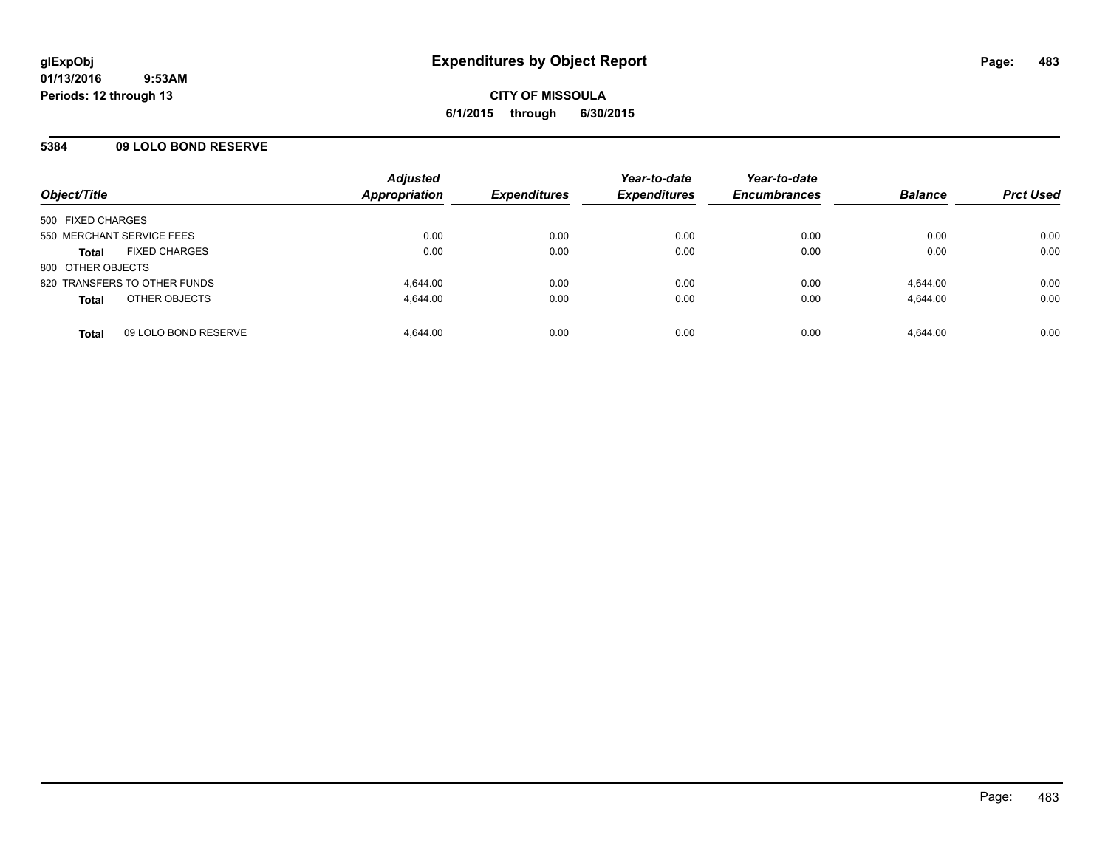### **5384 09 LOLO BOND RESERVE**

| Object/Title              |                              | <b>Adjusted</b><br>Appropriation | <b>Expenditures</b> | Year-to-date<br><b>Expenditures</b> | Year-to-date<br><b>Encumbrances</b> | <b>Balance</b> | <b>Prct Used</b> |
|---------------------------|------------------------------|----------------------------------|---------------------|-------------------------------------|-------------------------------------|----------------|------------------|
| 500 FIXED CHARGES         |                              |                                  |                     |                                     |                                     |                |                  |
| 550 MERCHANT SERVICE FEES |                              | 0.00                             | 0.00                | 0.00                                | 0.00                                | 0.00           | 0.00             |
| <b>Total</b>              | <b>FIXED CHARGES</b>         | 0.00                             | 0.00                | 0.00                                | 0.00                                | 0.00           | 0.00             |
| 800 OTHER OBJECTS         |                              |                                  |                     |                                     |                                     |                |                  |
|                           | 820 TRANSFERS TO OTHER FUNDS | 4.644.00                         | 0.00                | 0.00                                | 0.00                                | 4.644.00       | 0.00             |
| <b>Total</b>              | OTHER OBJECTS                | 4.644.00                         | 0.00                | 0.00                                | 0.00                                | 4.644.00       | 0.00             |
| <b>Total</b>              | 09 LOLO BOND RESERVE         | 4.644.00                         | 0.00                | 0.00                                | 0.00                                | 4.644.00       | 0.00             |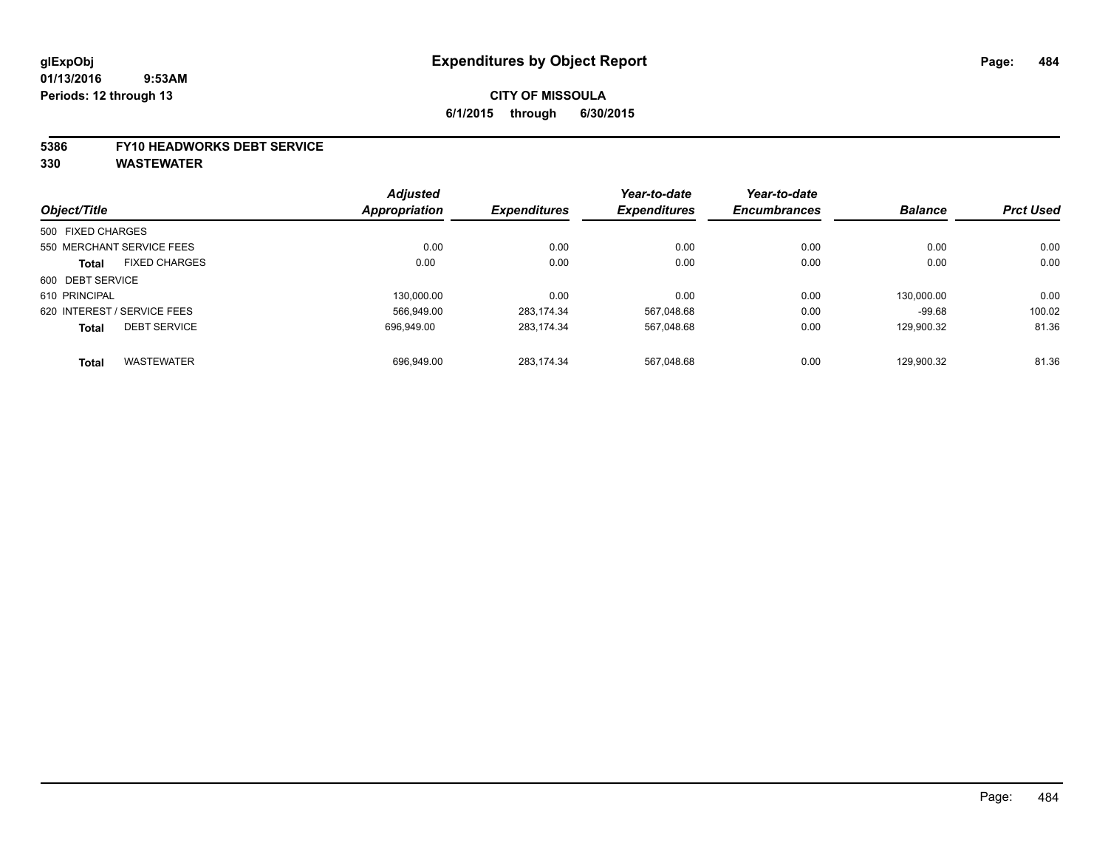# **CITY OF MISSOULA 6/1/2015 through 6/30/2015**

#### **5386 FY10 HEADWORKS DEBT SERVICE**

|                                      | <b>Adjusted</b> |                     | Year-to-date        | Year-to-date        |                |                  |
|--------------------------------------|-----------------|---------------------|---------------------|---------------------|----------------|------------------|
| Object/Title                         | Appropriation   | <b>Expenditures</b> | <b>Expenditures</b> | <b>Encumbrances</b> | <b>Balance</b> | <b>Prct Used</b> |
| 500 FIXED CHARGES                    |                 |                     |                     |                     |                |                  |
| 550 MERCHANT SERVICE FEES            | 0.00            | 0.00                | 0.00                | 0.00                | 0.00           | 0.00             |
| <b>FIXED CHARGES</b><br><b>Total</b> | 0.00            | 0.00                | 0.00                | 0.00                | 0.00           | 0.00             |
| 600 DEBT SERVICE                     |                 |                     |                     |                     |                |                  |
| 610 PRINCIPAL                        | 130.000.00      | 0.00                | 0.00                | 0.00                | 130.000.00     | 0.00             |
| 620 INTEREST / SERVICE FEES          | 566.949.00      | 283.174.34          | 567,048.68          | 0.00                | $-99.68$       | 100.02           |
| <b>DEBT SERVICE</b><br><b>Total</b>  | 696.949.00      | 283.174.34          | 567,048.68          | 0.00                | 129.900.32     | 81.36            |
| <b>WASTEWATER</b><br><b>Total</b>    | 696.949.00      | 283.174.34          | 567.048.68          | 0.00                | 129.900.32     | 81.36            |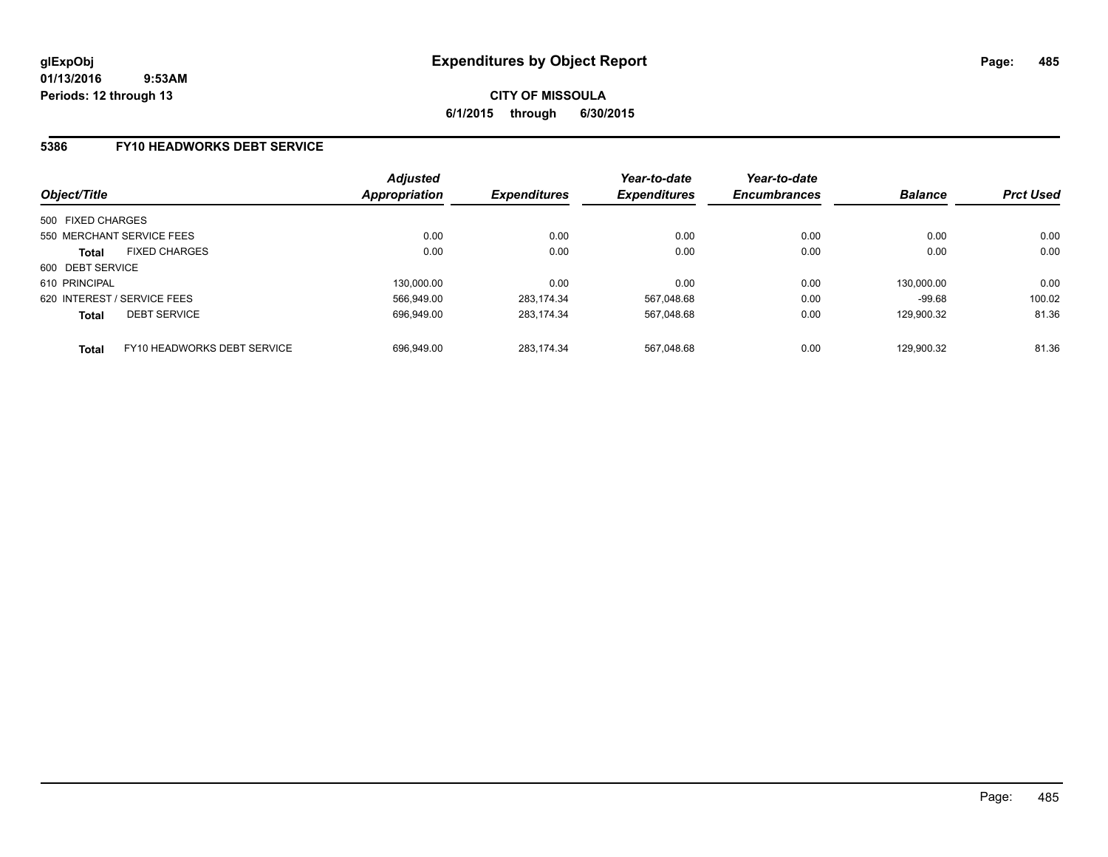**CITY OF MISSOULA 6/1/2015 through 6/30/2015**

### **5386 FY10 HEADWORKS DEBT SERVICE**

| Object/Title                |                             | <b>Adjusted</b><br><b>Appropriation</b> | <b>Expenditures</b> | Year-to-date<br><b>Expenditures</b> | Year-to-date<br><b>Encumbrances</b> | <b>Balance</b> | <b>Prct Used</b> |
|-----------------------------|-----------------------------|-----------------------------------------|---------------------|-------------------------------------|-------------------------------------|----------------|------------------|
|                             |                             |                                         |                     |                                     |                                     |                |                  |
| 500 FIXED CHARGES           |                             |                                         |                     |                                     |                                     |                |                  |
| 550 MERCHANT SERVICE FEES   |                             | 0.00                                    | 0.00                | 0.00                                | 0.00                                | 0.00           | 0.00             |
| <b>Total</b>                | <b>FIXED CHARGES</b>        | 0.00                                    | 0.00                | 0.00                                | 0.00                                | 0.00           | 0.00             |
| 600 DEBT SERVICE            |                             |                                         |                     |                                     |                                     |                |                  |
| 610 PRINCIPAL               |                             | 130,000.00                              | 0.00                | 0.00                                | 0.00                                | 130.000.00     | 0.00             |
| 620 INTEREST / SERVICE FEES |                             | 566,949.00                              | 283.174.34          | 567.048.68                          | 0.00                                | $-99.68$       | 100.02           |
| <b>Total</b>                | <b>DEBT SERVICE</b>         | 696.949.00                              | 283.174.34          | 567,048.68                          | 0.00                                | 129.900.32     | 81.36            |
| <b>Total</b>                | FY10 HEADWORKS DEBT SERVICE | 696.949.00                              | 283.174.34          | 567.048.68                          | 0.00                                | 129.900.32     | 81.36            |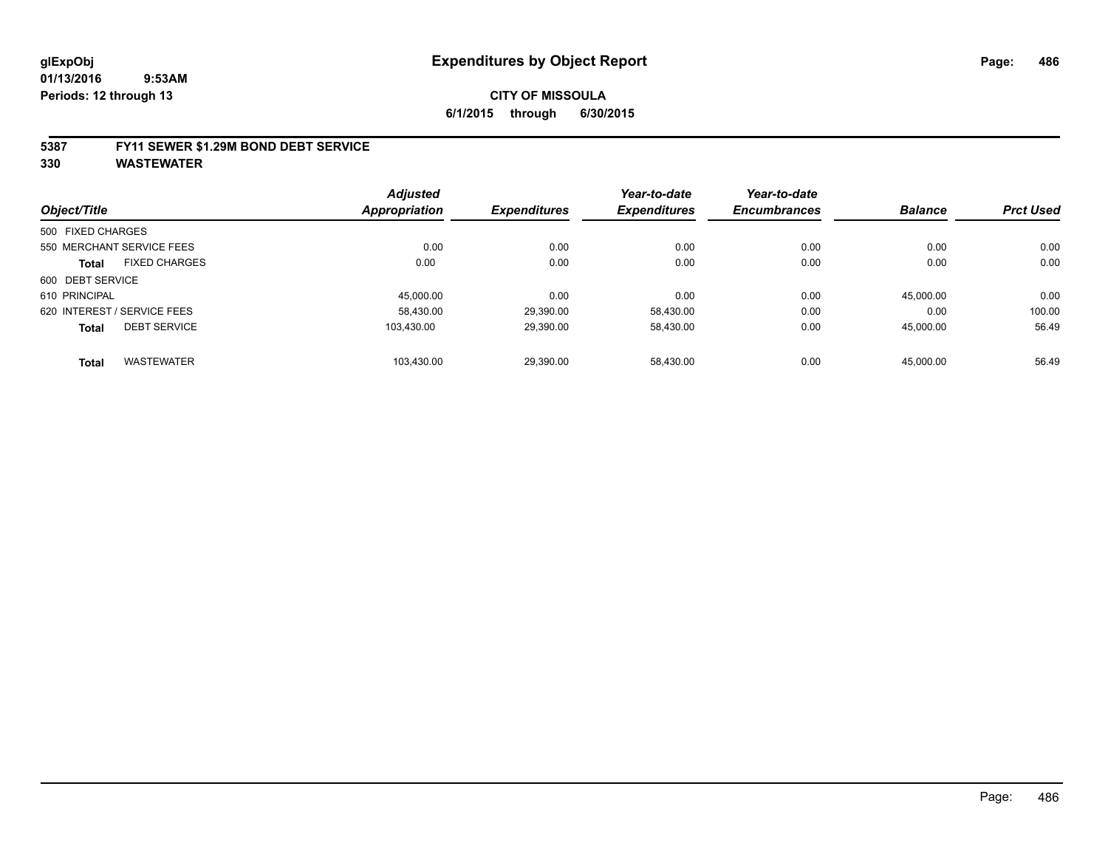#### **5387 FY11 SEWER \$1.29M BOND DEBT SERVICE**

|                   |                             | <b>Adjusted</b> |                     | Year-to-date        | Year-to-date        |                |                  |
|-------------------|-----------------------------|-----------------|---------------------|---------------------|---------------------|----------------|------------------|
| Object/Title      |                             | Appropriation   | <b>Expenditures</b> | <b>Expenditures</b> | <b>Encumbrances</b> | <b>Balance</b> | <b>Prct Used</b> |
| 500 FIXED CHARGES |                             |                 |                     |                     |                     |                |                  |
|                   | 550 MERCHANT SERVICE FEES   | 0.00            | 0.00                | 0.00                | 0.00                | 0.00           | 0.00             |
| <b>Total</b>      | <b>FIXED CHARGES</b>        | 0.00            | 0.00                | 0.00                | 0.00                | 0.00           | 0.00             |
| 600 DEBT SERVICE  |                             |                 |                     |                     |                     |                |                  |
| 610 PRINCIPAL     |                             | 45.000.00       | 0.00                | 0.00                | 0.00                | 45.000.00      | 0.00             |
|                   | 620 INTEREST / SERVICE FEES | 58,430.00       | 29,390.00           | 58,430.00           | 0.00                | 0.00           | 100.00           |
| <b>Total</b>      | <b>DEBT SERVICE</b>         | 103.430.00      | 29.390.00           | 58.430.00           | 0.00                | 45.000.00      | 56.49            |
| <b>Total</b>      | <b>WASTEWATER</b>           | 103,430.00      | 29.390.00           | 58.430.00           | 0.00                | 45,000.00      | 56.49            |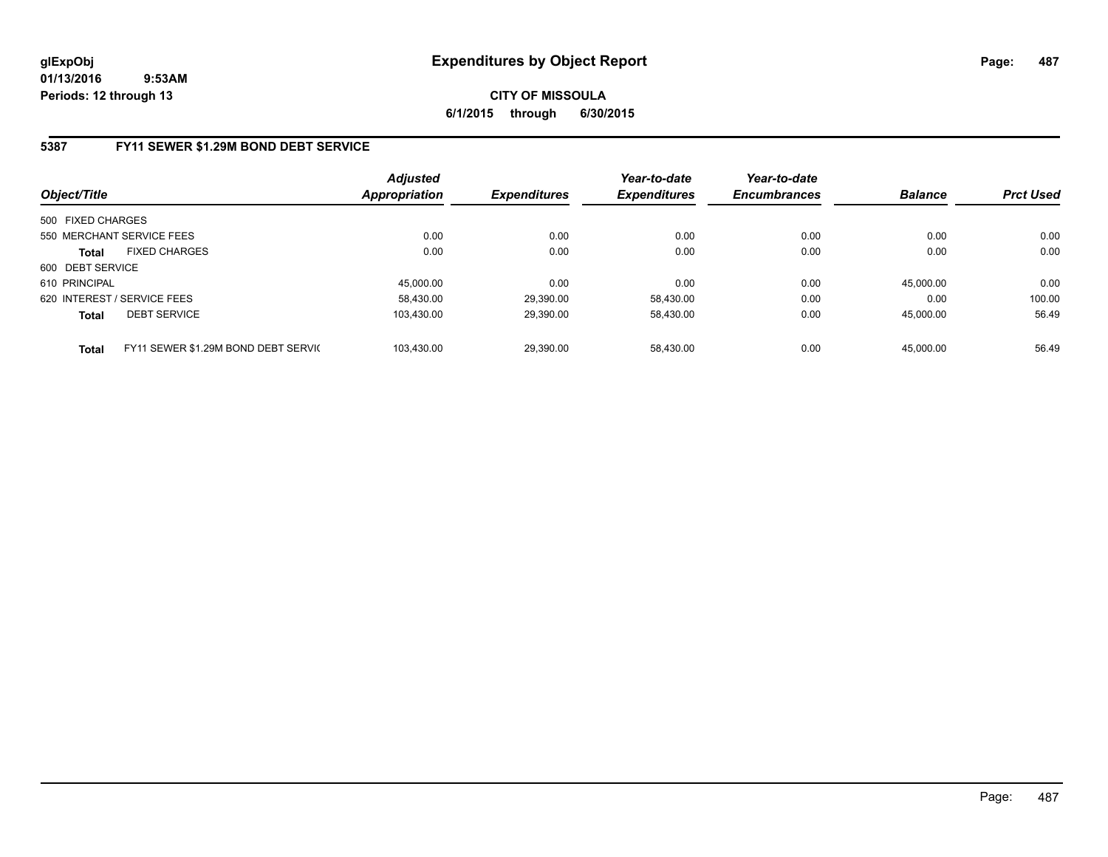# **CITY OF MISSOULA 6/1/2015 through 6/30/2015**

### **5387 FY11 SEWER \$1.29M BOND DEBT SERVICE**

| Object/Title      |                                     | <b>Adjusted</b><br><b>Appropriation</b> | <b>Expenditures</b> | Year-to-date<br><b>Expenditures</b> | Year-to-date<br><b>Encumbrances</b> | <b>Balance</b> | <b>Prct Used</b> |
|-------------------|-------------------------------------|-----------------------------------------|---------------------|-------------------------------------|-------------------------------------|----------------|------------------|
| 500 FIXED CHARGES |                                     |                                         |                     |                                     |                                     |                |                  |
|                   | 550 MERCHANT SERVICE FEES           | 0.00                                    | 0.00                | 0.00                                | 0.00                                | 0.00           | 0.00             |
| <b>Total</b>      | <b>FIXED CHARGES</b>                | 0.00                                    | 0.00                | 0.00                                | 0.00                                | 0.00           | 0.00             |
| 600 DEBT SERVICE  |                                     |                                         |                     |                                     |                                     |                |                  |
| 610 PRINCIPAL     |                                     | 45.000.00                               | 0.00                | 0.00                                | 0.00                                | 45.000.00      | 0.00             |
|                   | 620 INTEREST / SERVICE FEES         | 58.430.00                               | 29,390.00           | 58.430.00                           | 0.00                                | 0.00           | 100.00           |
| <b>Total</b>      | <b>DEBT SERVICE</b>                 | 103.430.00                              | 29,390.00           | 58,430.00                           | 0.00                                | 45.000.00      | 56.49            |
| <b>Total</b>      | FY11 SEWER \$1.29M BOND DEBT SERVIC | 103.430.00                              | 29,390.00           | 58.430.00                           | 0.00                                | 45.000.00      | 56.49            |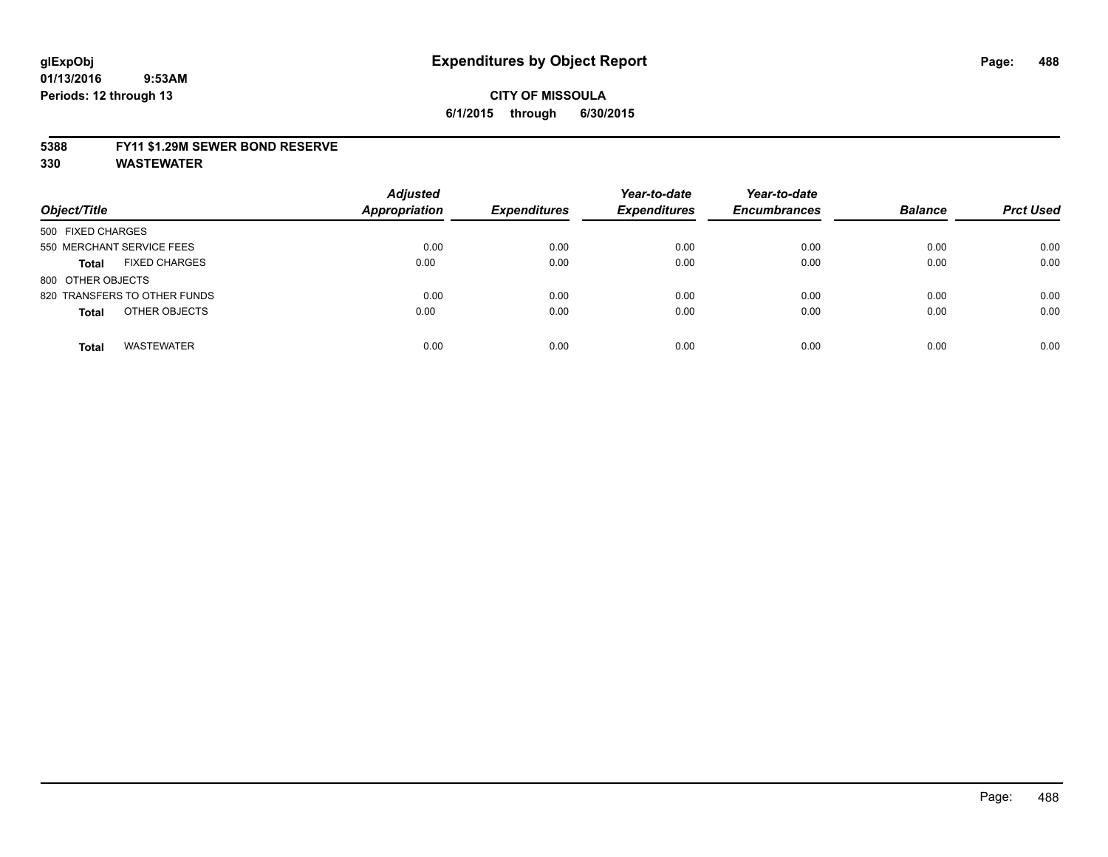#### **5388 FY11 \$1.29M SEWER BOND RESERVE**

| Object/Title                         | <b>Adjusted</b><br><b>Appropriation</b> | <b>Expenditures</b> | Year-to-date<br><b>Expenditures</b> | Year-to-date<br><b>Encumbrances</b> | <b>Balance</b> | <b>Prct Used</b> |
|--------------------------------------|-----------------------------------------|---------------------|-------------------------------------|-------------------------------------|----------------|------------------|
| 500 FIXED CHARGES                    |                                         |                     |                                     |                                     |                |                  |
| 550 MERCHANT SERVICE FEES            | 0.00                                    | 0.00                | 0.00                                | 0.00                                | 0.00           | 0.00             |
| <b>FIXED CHARGES</b><br><b>Total</b> | 0.00                                    | 0.00                | 0.00                                | 0.00                                | 0.00           | 0.00             |
| 800 OTHER OBJECTS                    |                                         |                     |                                     |                                     |                |                  |
| 820 TRANSFERS TO OTHER FUNDS         | 0.00                                    | 0.00                | 0.00                                | 0.00                                | 0.00           | 0.00             |
| OTHER OBJECTS<br><b>Total</b>        | 0.00                                    | 0.00                | 0.00                                | 0.00                                | 0.00           | 0.00             |
| <b>WASTEWATER</b><br><b>Total</b>    | 0.00                                    | 0.00                | 0.00                                | 0.00                                | 0.00           | 0.00             |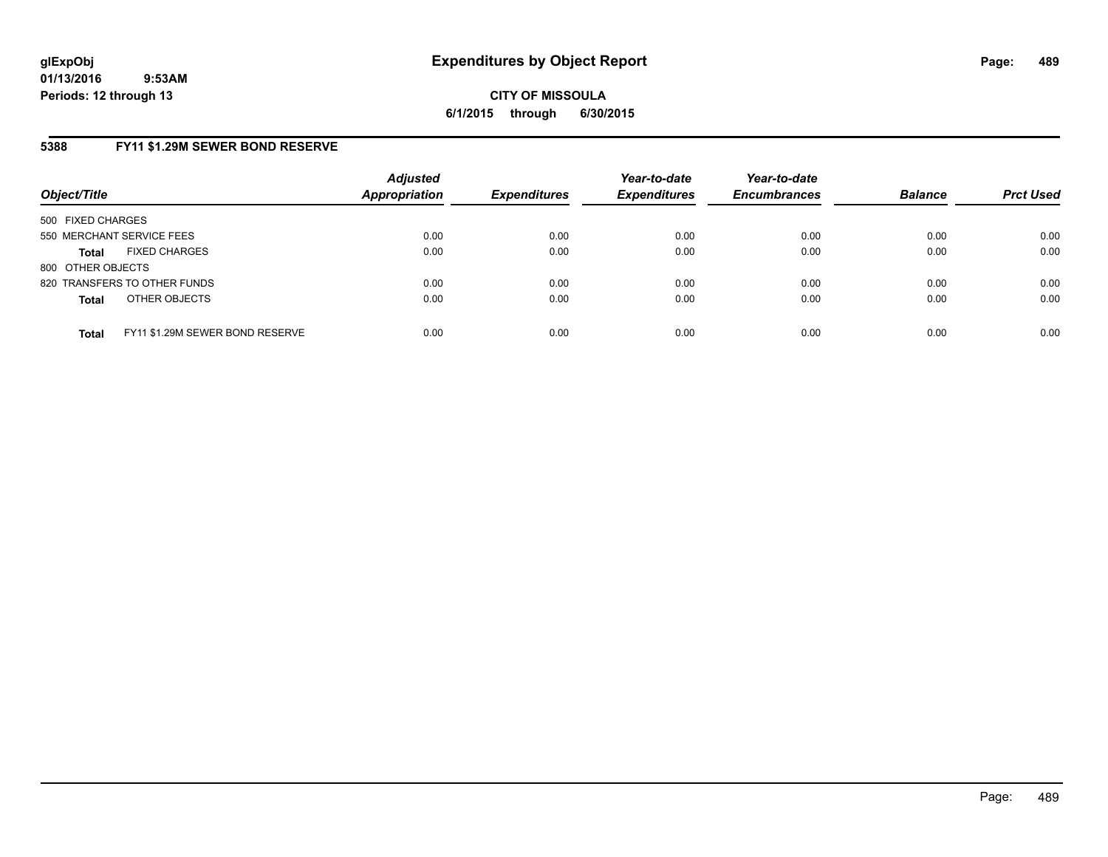**CITY OF MISSOULA 6/1/2015 through 6/30/2015**

### **5388 FY11 \$1.29M SEWER BOND RESERVE**

| Object/Title                         |                                 | <b>Adjusted</b><br><b>Appropriation</b> | <b>Expenditures</b> | Year-to-date<br><b>Expenditures</b> | Year-to-date<br><b>Encumbrances</b> | <b>Balance</b> | <b>Prct Used</b> |
|--------------------------------------|---------------------------------|-----------------------------------------|---------------------|-------------------------------------|-------------------------------------|----------------|------------------|
| 500 FIXED CHARGES                    |                                 |                                         |                     |                                     |                                     |                |                  |
| 550 MERCHANT SERVICE FEES            |                                 | 0.00                                    | 0.00                | 0.00                                | 0.00                                | 0.00           | 0.00             |
| <b>FIXED CHARGES</b><br><b>Total</b> |                                 | 0.00                                    | 0.00                | 0.00                                | 0.00                                | 0.00           | 0.00             |
| 800 OTHER OBJECTS                    |                                 |                                         |                     |                                     |                                     |                |                  |
| 820 TRANSFERS TO OTHER FUNDS         |                                 | 0.00                                    | 0.00                | 0.00                                | 0.00                                | 0.00           | 0.00             |
| OTHER OBJECTS<br><b>Total</b>        |                                 | 0.00                                    | 0.00                | 0.00                                | 0.00                                | 0.00           | 0.00             |
| <b>Total</b>                         | FY11 \$1.29M SEWER BOND RESERVE | 0.00                                    | 0.00                | 0.00                                | 0.00                                | 0.00           | 0.00             |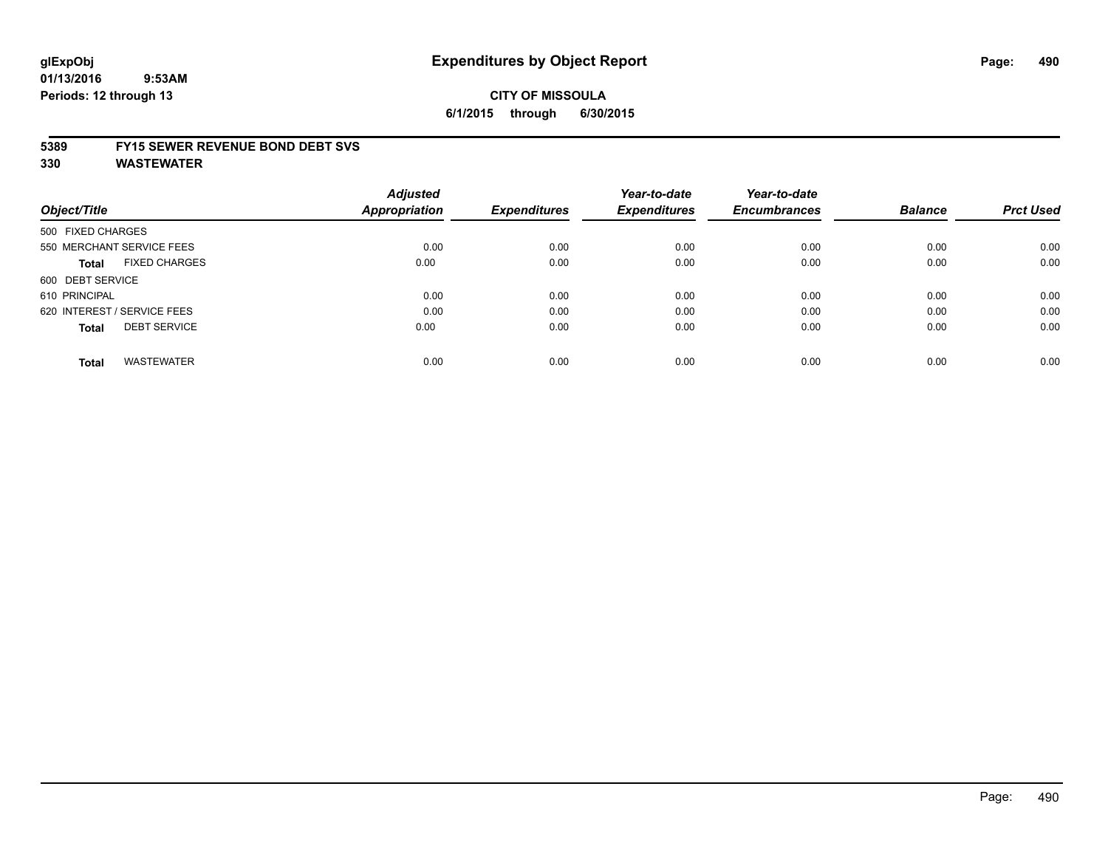# **glExpObj Expenditures by Object Report Page: 490**

#### **01/13/2016 9:53AM Periods: 12 through 13**

### **CITY OF MISSOULA 6/1/2015 through 6/30/2015**

#### **5389 FY15 SEWER REVENUE BOND DEBT SVS**

| Object/Title                |                           | <b>Adjusted</b><br>Appropriation | <b>Expenditures</b> | Year-to-date<br><b>Expenditures</b> | Year-to-date<br><b>Encumbrances</b> | <b>Balance</b> | <b>Prct Used</b> |
|-----------------------------|---------------------------|----------------------------------|---------------------|-------------------------------------|-------------------------------------|----------------|------------------|
| 500 FIXED CHARGES           |                           |                                  |                     |                                     |                                     |                |                  |
|                             | 550 MERCHANT SERVICE FEES | 0.00                             | 0.00                | 0.00                                | 0.00                                | 0.00           | 0.00             |
| Total                       | <b>FIXED CHARGES</b>      | 0.00                             | 0.00                | 0.00                                | 0.00                                | 0.00           | 0.00             |
| 600 DEBT SERVICE            |                           |                                  |                     |                                     |                                     |                |                  |
| 610 PRINCIPAL               |                           | 0.00                             | 0.00                | 0.00                                | 0.00                                | 0.00           | 0.00             |
| 620 INTEREST / SERVICE FEES |                           | 0.00                             | 0.00                | 0.00                                | 0.00                                | 0.00           | 0.00             |
| <b>Total</b>                | <b>DEBT SERVICE</b>       | 0.00                             | 0.00                | 0.00                                | 0.00                                | 0.00           | 0.00             |
| <b>Total</b>                | <b>WASTEWATER</b>         | 0.00                             | 0.00                | 0.00                                | 0.00                                | 0.00           | 0.00             |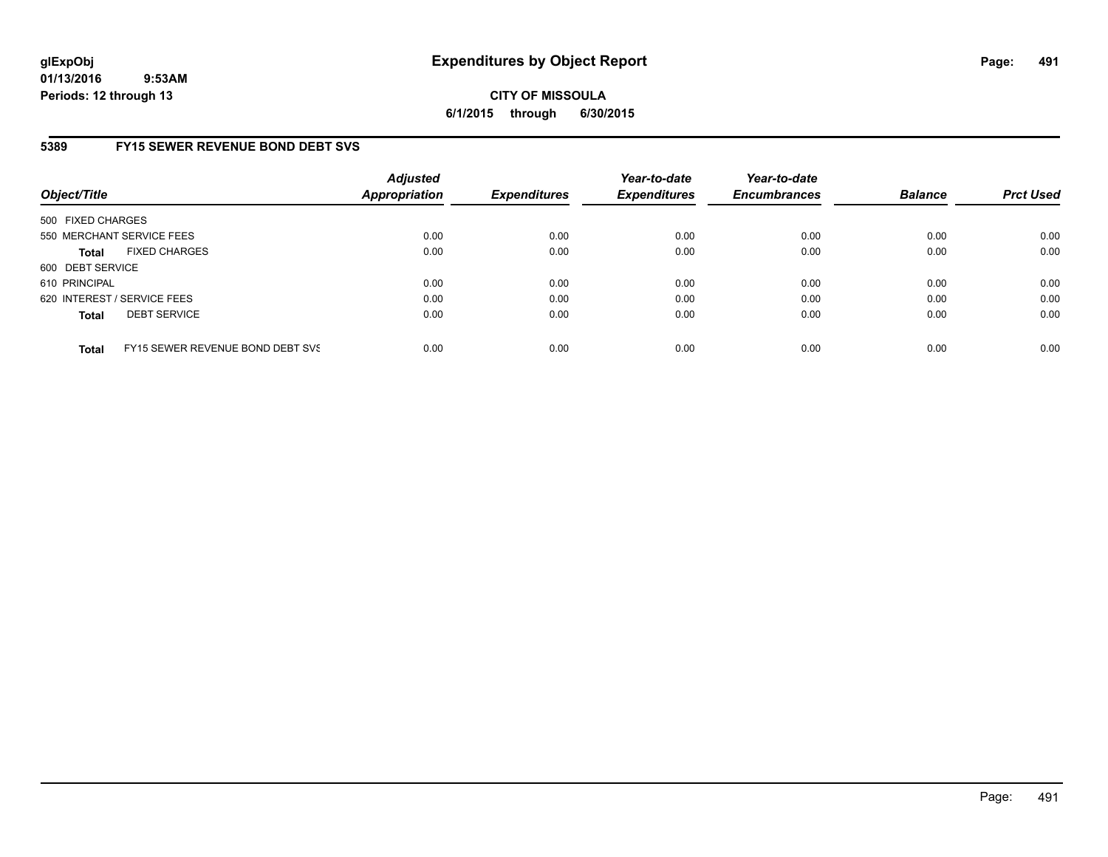# **CITY OF MISSOULA 6/1/2015 through 6/30/2015**

# **5389 FY15 SEWER REVENUE BOND DEBT SVS**

| Object/Title      |                                  | Adjusted<br><b>Appropriation</b> | <b>Expenditures</b> | Year-to-date<br><b>Expenditures</b> | Year-to-date<br><b>Encumbrances</b> | <b>Balance</b> | <b>Prct Used</b> |
|-------------------|----------------------------------|----------------------------------|---------------------|-------------------------------------|-------------------------------------|----------------|------------------|
| 500 FIXED CHARGES |                                  |                                  |                     |                                     |                                     |                |                  |
|                   | 550 MERCHANT SERVICE FEES        | 0.00                             | 0.00                | 0.00                                | 0.00                                | 0.00           | 0.00             |
| <b>Total</b>      | <b>FIXED CHARGES</b>             | 0.00                             | 0.00                | 0.00                                | 0.00                                | 0.00           | 0.00             |
| 600 DEBT SERVICE  |                                  |                                  |                     |                                     |                                     |                |                  |
| 610 PRINCIPAL     |                                  | 0.00                             | 0.00                | 0.00                                | 0.00                                | 0.00           | 0.00             |
|                   | 620 INTEREST / SERVICE FEES      | 0.00                             | 0.00                | 0.00                                | 0.00                                | 0.00           | 0.00             |
| <b>Total</b>      | <b>DEBT SERVICE</b>              | 0.00                             | 0.00                | 0.00                                | 0.00                                | 0.00           | 0.00             |
| <b>Total</b>      | FY15 SEWER REVENUE BOND DEBT SVS | 0.00                             | 0.00                | 0.00                                | 0.00                                | 0.00           | 0.00             |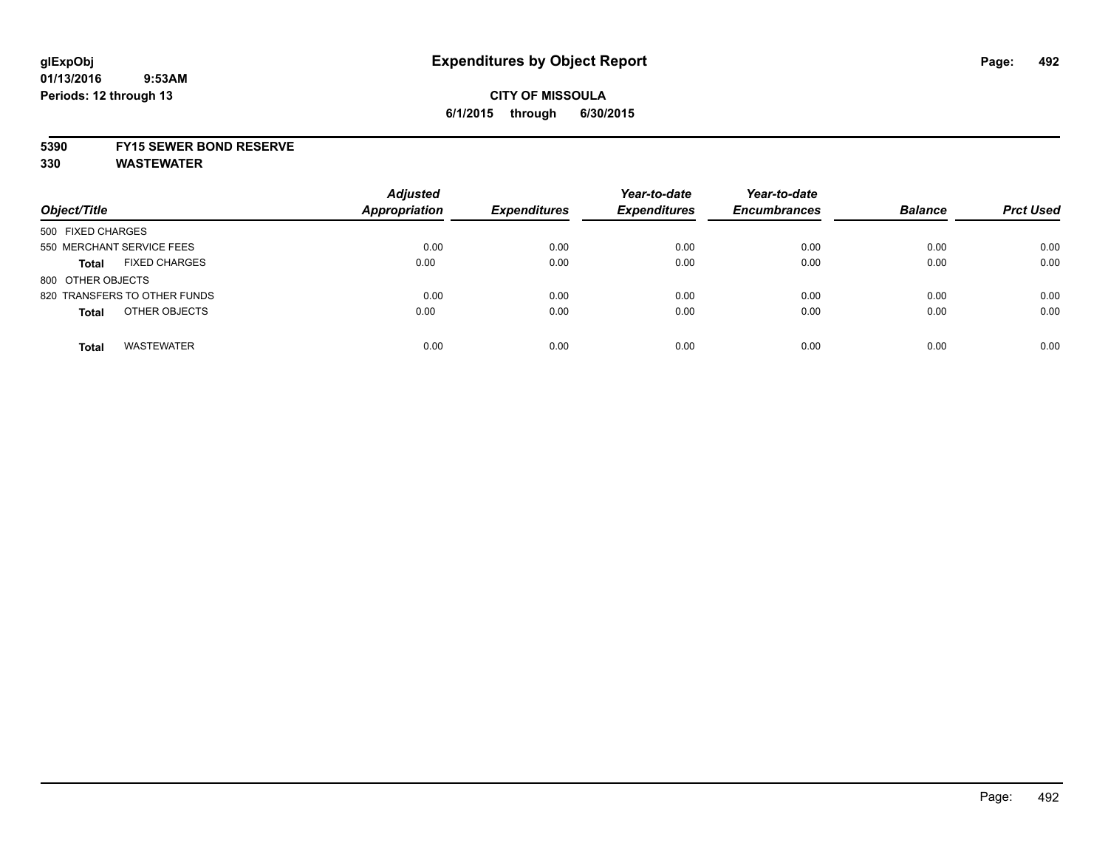# **CITY OF MISSOULA 6/1/2015 through 6/30/2015**

### **5390 FY15 SEWER BOND RESERVE**

| Object/Title                         | <b>Adjusted</b><br><b>Appropriation</b> | <b>Expenditures</b> | Year-to-date<br><b>Expenditures</b> | Year-to-date<br><b>Encumbrances</b> | <b>Balance</b> | <b>Prct Used</b> |
|--------------------------------------|-----------------------------------------|---------------------|-------------------------------------|-------------------------------------|----------------|------------------|
| 500 FIXED CHARGES                    |                                         |                     |                                     |                                     |                |                  |
| 550 MERCHANT SERVICE FEES            | 0.00                                    | 0.00                | 0.00                                | 0.00                                | 0.00           | 0.00             |
| <b>FIXED CHARGES</b><br><b>Total</b> | 0.00                                    | 0.00                | 0.00                                | 0.00                                | 0.00           | 0.00             |
| 800 OTHER OBJECTS                    |                                         |                     |                                     |                                     |                |                  |
| 820 TRANSFERS TO OTHER FUNDS         | 0.00                                    | 0.00                | 0.00                                | 0.00                                | 0.00           | 0.00             |
| OTHER OBJECTS<br><b>Total</b>        | 0.00                                    | 0.00                | 0.00                                | 0.00                                | 0.00           | 0.00             |
| <b>WASTEWATER</b><br><b>Total</b>    | 0.00                                    | 0.00                | 0.00                                | 0.00                                | 0.00           | 0.00             |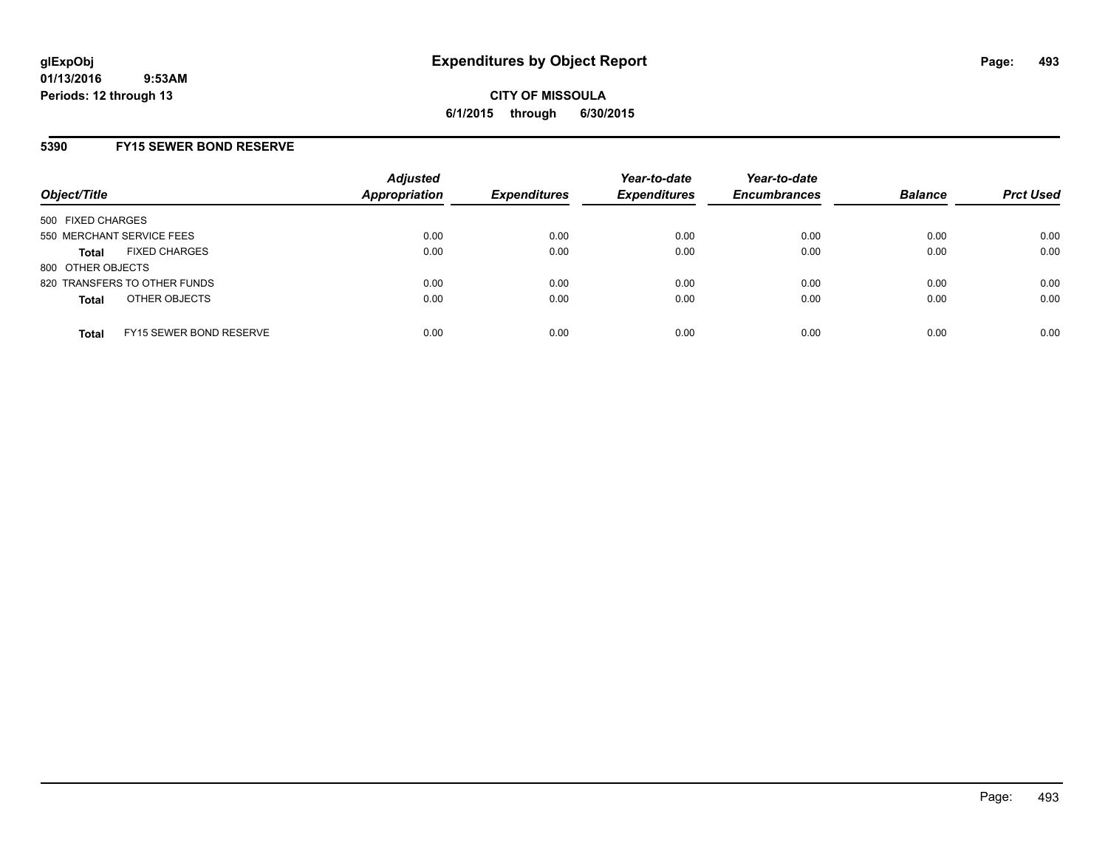### **5390 FY15 SEWER BOND RESERVE**

| Object/Title                                   | <b>Adjusted</b><br><b>Appropriation</b> | <b>Expenditures</b> | Year-to-date<br><b>Expenditures</b> | Year-to-date<br><b>Encumbrances</b> | <b>Balance</b> | <b>Prct Used</b> |
|------------------------------------------------|-----------------------------------------|---------------------|-------------------------------------|-------------------------------------|----------------|------------------|
| 500 FIXED CHARGES                              |                                         |                     |                                     |                                     |                |                  |
| 550 MERCHANT SERVICE FEES                      | 0.00                                    | 0.00                | 0.00                                | 0.00                                | 0.00           | 0.00             |
| <b>FIXED CHARGES</b><br><b>Total</b>           | 0.00                                    | 0.00                | 0.00                                | 0.00                                | 0.00           | 0.00             |
| 800 OTHER OBJECTS                              |                                         |                     |                                     |                                     |                |                  |
| 820 TRANSFERS TO OTHER FUNDS                   | 0.00                                    | 0.00                | 0.00                                | 0.00                                | 0.00           | 0.00             |
| OTHER OBJECTS<br><b>Total</b>                  | 0.00                                    | 0.00                | 0.00                                | 0.00                                | 0.00           | 0.00             |
| <b>FY15 SEWER BOND RESERVE</b><br><b>Total</b> | 0.00                                    | 0.00                | 0.00                                | 0.00                                | 0.00           | 0.00             |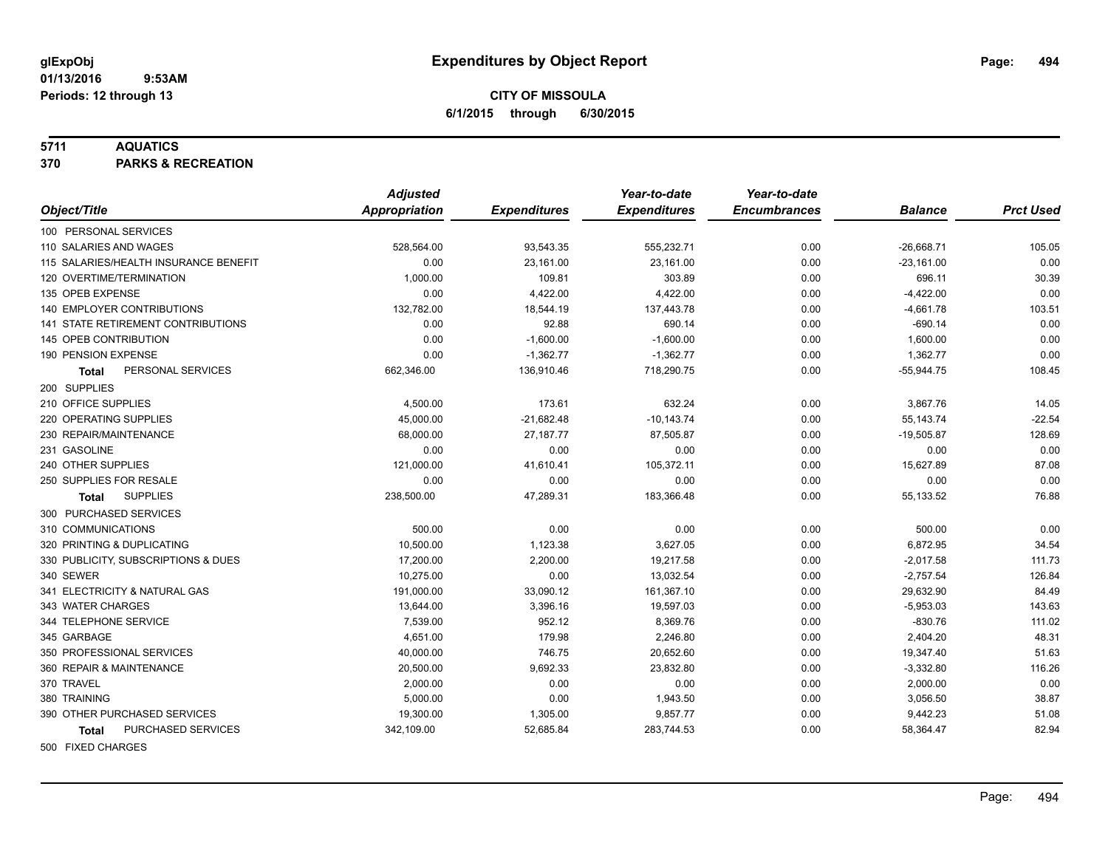#### **5711 AQUATICS**

**370 PARKS & RECREATION**

|                                           | <b>Adjusted</b> |                     | Year-to-date        | Year-to-date        |                |                  |
|-------------------------------------------|-----------------|---------------------|---------------------|---------------------|----------------|------------------|
| Object/Title                              | Appropriation   | <b>Expenditures</b> | <b>Expenditures</b> | <b>Encumbrances</b> | <b>Balance</b> | <b>Prct Used</b> |
| 100 PERSONAL SERVICES                     |                 |                     |                     |                     |                |                  |
| 110 SALARIES AND WAGES                    | 528,564.00      | 93,543.35           | 555,232.71          | 0.00                | $-26,668.71$   | 105.05           |
| 115 SALARIES/HEALTH INSURANCE BENEFIT     | 0.00            | 23,161.00           | 23,161.00           | 0.00                | $-23,161.00$   | 0.00             |
| 120 OVERTIME/TERMINATION                  | 1,000.00        | 109.81              | 303.89              | 0.00                | 696.11         | 30.39            |
| 135 OPEB EXPENSE                          | 0.00            | 4,422.00            | 4,422.00            | 0.00                | $-4,422.00$    | 0.00             |
| <b>140 EMPLOYER CONTRIBUTIONS</b>         | 132,782.00      | 18,544.19           | 137,443.78          | 0.00                | $-4,661.78$    | 103.51           |
| <b>141 STATE RETIREMENT CONTRIBUTIONS</b> | 0.00            | 92.88               | 690.14              | 0.00                | $-690.14$      | 0.00             |
| 145 OPEB CONTRIBUTION                     | 0.00            | $-1,600.00$         | $-1,600.00$         | 0.00                | 1,600.00       | 0.00             |
| 190 PENSION EXPENSE                       | 0.00            | $-1,362.77$         | $-1,362.77$         | 0.00                | 1,362.77       | 0.00             |
| PERSONAL SERVICES<br>Total                | 662,346.00      | 136,910.46          | 718,290.75          | 0.00                | $-55,944.75$   | 108.45           |
| 200 SUPPLIES                              |                 |                     |                     |                     |                |                  |
| 210 OFFICE SUPPLIES                       | 4,500.00        | 173.61              | 632.24              | 0.00                | 3,867.76       | 14.05            |
| 220 OPERATING SUPPLIES                    | 45,000.00       | $-21,682.48$        | $-10,143.74$        | 0.00                | 55,143.74      | $-22.54$         |
| 230 REPAIR/MAINTENANCE                    | 68,000.00       | 27,187.77           | 87,505.87           | 0.00                | $-19,505.87$   | 128.69           |
| 231 GASOLINE                              | 0.00            | 0.00                | 0.00                | 0.00                | 0.00           | 0.00             |
| 240 OTHER SUPPLIES                        | 121,000.00      | 41,610.41           | 105,372.11          | 0.00                | 15,627.89      | 87.08            |
| 250 SUPPLIES FOR RESALE                   | 0.00            | 0.00                | 0.00                | 0.00                | 0.00           | 0.00             |
| <b>SUPPLIES</b><br>Total                  | 238,500.00      | 47,289.31           | 183,366.48          | 0.00                | 55,133.52      | 76.88            |
| 300 PURCHASED SERVICES                    |                 |                     |                     |                     |                |                  |
| 310 COMMUNICATIONS                        | 500.00          | 0.00                | 0.00                | 0.00                | 500.00         | 0.00             |
| 320 PRINTING & DUPLICATING                | 10,500.00       | 1,123.38            | 3,627.05            | 0.00                | 6,872.95       | 34.54            |
| 330 PUBLICITY, SUBSCRIPTIONS & DUES       | 17,200.00       | 2,200.00            | 19,217.58           | 0.00                | $-2,017.58$    | 111.73           |
| 340 SEWER                                 | 10,275.00       | 0.00                | 13,032.54           | 0.00                | $-2,757.54$    | 126.84           |
| 341 ELECTRICITY & NATURAL GAS             | 191,000.00      | 33,090.12           | 161,367.10          | 0.00                | 29,632.90      | 84.49            |
| 343 WATER CHARGES                         | 13,644.00       | 3,396.16            | 19,597.03           | 0.00                | $-5,953.03$    | 143.63           |
| 344 TELEPHONE SERVICE                     | 7,539.00        | 952.12              | 8,369.76            | 0.00                | $-830.76$      | 111.02           |
| 345 GARBAGE                               | 4,651.00        | 179.98              | 2,246.80            | 0.00                | 2,404.20       | 48.31            |
| 350 PROFESSIONAL SERVICES                 | 40,000.00       | 746.75              | 20,652.60           | 0.00                | 19,347.40      | 51.63            |
| 360 REPAIR & MAINTENANCE                  | 20,500.00       | 9,692.33            | 23,832.80           | 0.00                | $-3,332.80$    | 116.26           |
| 370 TRAVEL                                | 2,000.00        | 0.00                | 0.00                | 0.00                | 2,000.00       | 0.00             |
| 380 TRAINING                              | 5,000.00        | 0.00                | 1,943.50            | 0.00                | 3,056.50       | 38.87            |
| 390 OTHER PURCHASED SERVICES              | 19,300.00       | 1,305.00            | 9,857.77            | 0.00                | 9,442.23       | 51.08            |
| PURCHASED SERVICES<br><b>Total</b>        | 342,109.00      | 52,685.84           | 283,744.53          | 0.00                | 58,364.47      | 82.94            |
| 500 FIXED CHARGES                         |                 |                     |                     |                     |                |                  |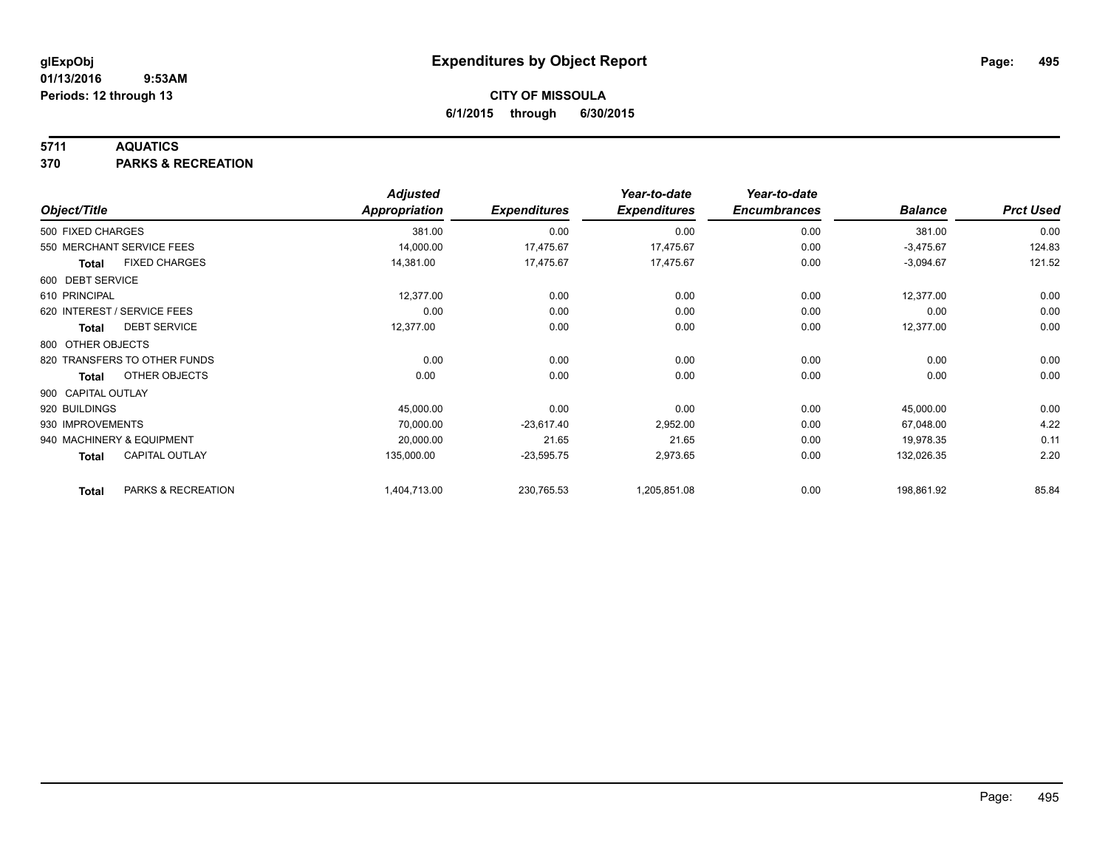### **5711 AQUATICS**

**370 PARKS & RECREATION**

|                    |                              | <b>Adjusted</b>      |                     | Year-to-date        | Year-to-date        |                |                  |
|--------------------|------------------------------|----------------------|---------------------|---------------------|---------------------|----------------|------------------|
| Object/Title       |                              | <b>Appropriation</b> | <b>Expenditures</b> | <b>Expenditures</b> | <b>Encumbrances</b> | <b>Balance</b> | <b>Prct Used</b> |
| 500 FIXED CHARGES  |                              | 381.00               | 0.00                | 0.00                | 0.00                | 381.00         | 0.00             |
|                    | 550 MERCHANT SERVICE FEES    | 14,000.00            | 17,475.67           | 17,475.67           | 0.00                | $-3,475.67$    | 124.83           |
| Total              | <b>FIXED CHARGES</b>         | 14,381.00            | 17,475.67           | 17,475.67           | 0.00                | $-3,094.67$    | 121.52           |
| 600 DEBT SERVICE   |                              |                      |                     |                     |                     |                |                  |
| 610 PRINCIPAL      |                              | 12,377.00            | 0.00                | 0.00                | 0.00                | 12,377.00      | 0.00             |
|                    | 620 INTEREST / SERVICE FEES  | 0.00                 | 0.00                | 0.00                | 0.00                | 0.00           | 0.00             |
| Total              | <b>DEBT SERVICE</b>          | 12,377.00            | 0.00                | 0.00                | 0.00                | 12,377.00      | 0.00             |
| 800 OTHER OBJECTS  |                              |                      |                     |                     |                     |                |                  |
|                    | 820 TRANSFERS TO OTHER FUNDS | 0.00                 | 0.00                | 0.00                | 0.00                | 0.00           | 0.00             |
| Total              | OTHER OBJECTS                | 0.00                 | 0.00                | 0.00                | 0.00                | 0.00           | 0.00             |
| 900 CAPITAL OUTLAY |                              |                      |                     |                     |                     |                |                  |
| 920 BUILDINGS      |                              | 45,000.00            | 0.00                | 0.00                | 0.00                | 45,000.00      | 0.00             |
| 930 IMPROVEMENTS   |                              | 70,000.00            | $-23,617.40$        | 2,952.00            | 0.00                | 67,048.00      | 4.22             |
|                    | 940 MACHINERY & EQUIPMENT    | 20,000.00            | 21.65               | 21.65               | 0.00                | 19,978.35      | 0.11             |
| <b>Total</b>       | <b>CAPITAL OUTLAY</b>        | 135,000.00           | $-23,595.75$        | 2,973.65            | 0.00                | 132,026.35     | 2.20             |
| <b>Total</b>       | PARKS & RECREATION           | 1,404,713.00         | 230,765.53          | 1,205,851.08        | 0.00                | 198,861.92     | 85.84            |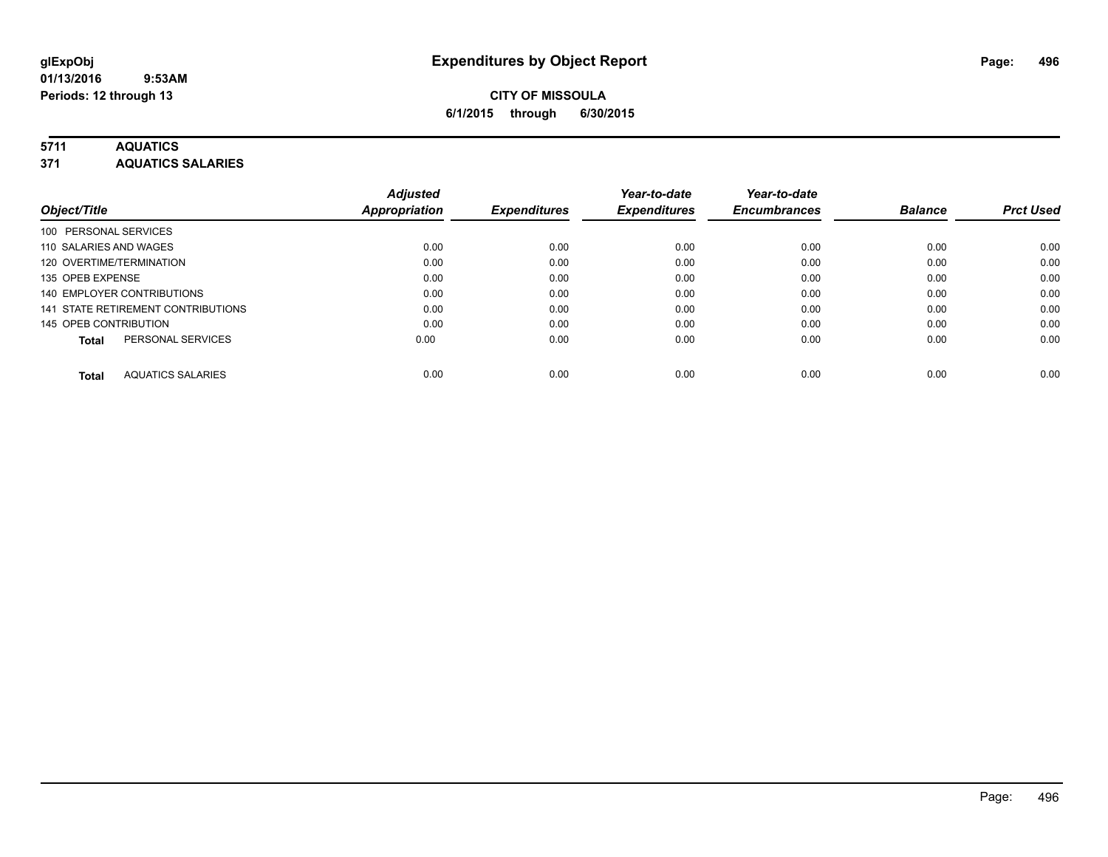### **5711 AQUATICS**

**371 AQUATICS SALARIES**

| Object/Title                             | <b>Adjusted</b><br><b>Appropriation</b> | <b>Expenditures</b> | Year-to-date<br><b>Expenditures</b> | Year-to-date<br><b>Encumbrances</b> | <b>Balance</b> | <b>Prct Used</b> |
|------------------------------------------|-----------------------------------------|---------------------|-------------------------------------|-------------------------------------|----------------|------------------|
| 100 PERSONAL SERVICES                    |                                         |                     |                                     |                                     |                |                  |
| 110 SALARIES AND WAGES                   | 0.00                                    | 0.00                | 0.00                                | 0.00                                | 0.00           | 0.00             |
| 120 OVERTIME/TERMINATION                 | 0.00                                    | 0.00                | 0.00                                | 0.00                                | 0.00           | 0.00             |
| 135 OPEB EXPENSE                         | 0.00                                    | 0.00                | 0.00                                | 0.00                                | 0.00           | 0.00             |
| 140 EMPLOYER CONTRIBUTIONS               | 0.00                                    | 0.00                | 0.00                                | 0.00                                | 0.00           | 0.00             |
| 141 STATE RETIREMENT CONTRIBUTIONS       | 0.00                                    | 0.00                | 0.00                                | 0.00                                | 0.00           | 0.00             |
| 145 OPEB CONTRIBUTION                    | 0.00                                    | 0.00                | 0.00                                | 0.00                                | 0.00           | 0.00             |
| PERSONAL SERVICES<br><b>Total</b>        | 0.00                                    | 0.00                | 0.00                                | 0.00                                | 0.00           | 0.00             |
| <b>AQUATICS SALARIES</b><br><b>Total</b> | 0.00                                    | 0.00                | 0.00                                | 0.00                                | 0.00           | 0.00             |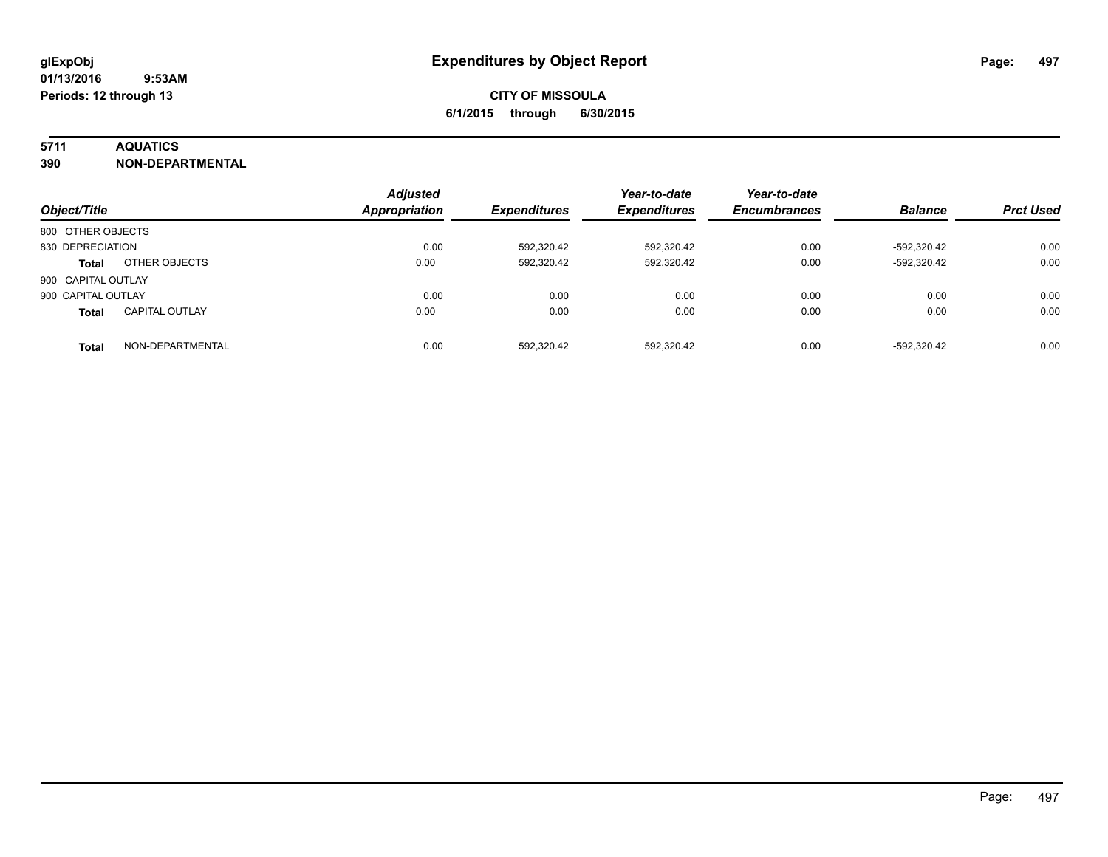### **5711 AQUATICS**

**390 NON-DEPARTMENTAL**

| Object/Title       |                       | <b>Adjusted</b><br><b>Appropriation</b> | <b>Expenditures</b> | Year-to-date<br><b>Expenditures</b> | Year-to-date<br><b>Encumbrances</b> | <b>Balance</b> | <b>Prct Used</b> |
|--------------------|-----------------------|-----------------------------------------|---------------------|-------------------------------------|-------------------------------------|----------------|------------------|
| 800 OTHER OBJECTS  |                       |                                         |                     |                                     |                                     |                |                  |
| 830 DEPRECIATION   |                       | 0.00                                    | 592,320.42          | 592,320.42                          | 0.00                                | -592.320.42    | 0.00             |
| <b>Total</b>       | OTHER OBJECTS         | 0.00                                    | 592,320.42          | 592,320.42                          | 0.00                                | -592,320.42    | 0.00             |
| 900 CAPITAL OUTLAY |                       |                                         |                     |                                     |                                     |                |                  |
| 900 CAPITAL OUTLAY |                       | 0.00                                    | 0.00                | 0.00                                | 0.00                                | 0.00           | 0.00             |
| <b>Total</b>       | <b>CAPITAL OUTLAY</b> | 0.00                                    | 0.00                | 0.00                                | 0.00                                | 0.00           | 0.00             |
| <b>Total</b>       | NON-DEPARTMENTAL      | 0.00                                    | 592.320.42          | 592,320.42                          | 0.00                                | -592.320.42    | 0.00             |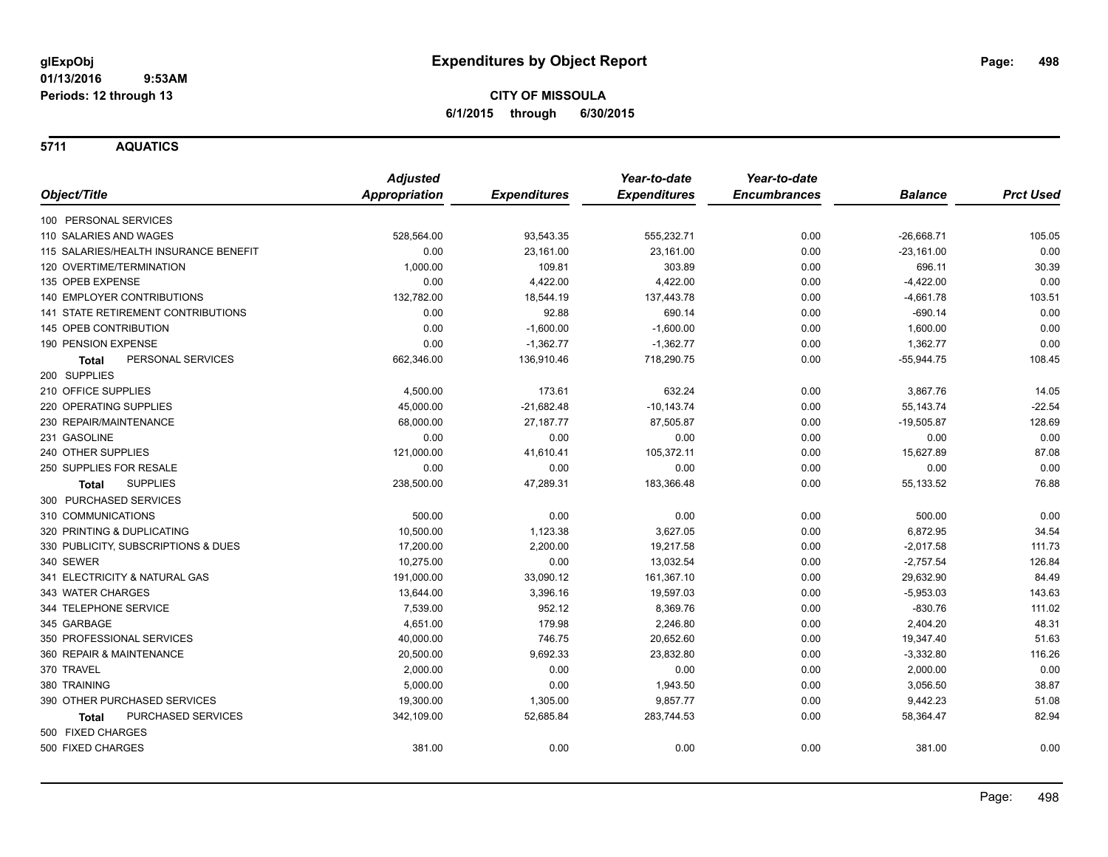**5711 AQUATICS**

|                                       | <b>Adjusted</b>      |                     | Year-to-date        | Year-to-date        |                |                  |
|---------------------------------------|----------------------|---------------------|---------------------|---------------------|----------------|------------------|
| Object/Title                          | <b>Appropriation</b> | <b>Expenditures</b> | <b>Expenditures</b> | <b>Encumbrances</b> | <b>Balance</b> | <b>Prct Used</b> |
| 100 PERSONAL SERVICES                 |                      |                     |                     |                     |                |                  |
| 110 SALARIES AND WAGES                | 528,564.00           | 93,543.35           | 555,232.71          | 0.00                | $-26,668.71$   | 105.05           |
| 115 SALARIES/HEALTH INSURANCE BENEFIT | 0.00                 | 23,161.00           | 23,161.00           | 0.00                | $-23,161.00$   | 0.00             |
| 120 OVERTIME/TERMINATION              | 1,000.00             | 109.81              | 303.89              | 0.00                | 696.11         | 30.39            |
| 135 OPEB EXPENSE                      | 0.00                 | 4,422.00            | 4,422.00            | 0.00                | $-4,422.00$    | 0.00             |
| 140 EMPLOYER CONTRIBUTIONS            | 132,782.00           | 18,544.19           | 137,443.78          | 0.00                | $-4,661.78$    | 103.51           |
| 141 STATE RETIREMENT CONTRIBUTIONS    | 0.00                 | 92.88               | 690.14              | 0.00                | $-690.14$      | 0.00             |
| 145 OPEB CONTRIBUTION                 | 0.00                 | $-1,600.00$         | $-1,600.00$         | 0.00                | 1,600.00       | 0.00             |
| 190 PENSION EXPENSE                   | 0.00                 | $-1,362.77$         | $-1,362.77$         | 0.00                | 1,362.77       | 0.00             |
| PERSONAL SERVICES<br><b>Total</b>     | 662,346.00           | 136,910.46          | 718,290.75          | 0.00                | $-55,944.75$   | 108.45           |
| 200 SUPPLIES                          |                      |                     |                     |                     |                |                  |
| 210 OFFICE SUPPLIES                   | 4,500.00             | 173.61              | 632.24              | 0.00                | 3,867.76       | 14.05            |
| 220 OPERATING SUPPLIES                | 45,000.00            | $-21,682.48$        | $-10, 143.74$       | 0.00                | 55,143.74      | $-22.54$         |
| 230 REPAIR/MAINTENANCE                | 68,000.00            | 27,187.77           | 87,505.87           | 0.00                | $-19,505.87$   | 128.69           |
| 231 GASOLINE                          | 0.00                 | 0.00                | 0.00                | 0.00                | 0.00           | 0.00             |
| 240 OTHER SUPPLIES                    | 121,000.00           | 41,610.41           | 105,372.11          | 0.00                | 15,627.89      | 87.08            |
| 250 SUPPLIES FOR RESALE               | 0.00                 | 0.00                | 0.00                | 0.00                | 0.00           | 0.00             |
| <b>SUPPLIES</b><br><b>Total</b>       | 238,500.00           | 47,289.31           | 183,366.48          | 0.00                | 55,133.52      | 76.88            |
| 300 PURCHASED SERVICES                |                      |                     |                     |                     |                |                  |
| 310 COMMUNICATIONS                    | 500.00               | 0.00                | 0.00                | 0.00                | 500.00         | 0.00             |
| 320 PRINTING & DUPLICATING            | 10,500.00            | 1,123.38            | 3,627.05            | 0.00                | 6,872.95       | 34.54            |
| 330 PUBLICITY, SUBSCRIPTIONS & DUES   | 17,200.00            | 2,200.00            | 19,217.58           | 0.00                | $-2,017.58$    | 111.73           |
| 340 SEWER                             | 10,275.00            | 0.00                | 13,032.54           | 0.00                | $-2,757.54$    | 126.84           |
| 341 ELECTRICITY & NATURAL GAS         | 191,000.00           | 33,090.12           | 161,367.10          | 0.00                | 29,632.90      | 84.49            |
| 343 WATER CHARGES                     | 13,644.00            | 3,396.16            | 19,597.03           | 0.00                | $-5,953.03$    | 143.63           |
| 344 TELEPHONE SERVICE                 | 7,539.00             | 952.12              | 8,369.76            | 0.00                | $-830.76$      | 111.02           |
| 345 GARBAGE                           | 4,651.00             | 179.98              | 2,246.80            | 0.00                | 2,404.20       | 48.31            |
| 350 PROFESSIONAL SERVICES             | 40,000.00            | 746.75              | 20,652.60           | 0.00                | 19,347.40      | 51.63            |
| 360 REPAIR & MAINTENANCE              | 20,500.00            | 9,692.33            | 23,832.80           | 0.00                | $-3,332.80$    | 116.26           |
| 370 TRAVEL                            | 2,000.00             | 0.00                | 0.00                | 0.00                | 2,000.00       | 0.00             |
| 380 TRAINING                          | 5,000.00             | 0.00                | 1,943.50            | 0.00                | 3,056.50       | 38.87            |
| 390 OTHER PURCHASED SERVICES          | 19,300.00            | 1,305.00            | 9,857.77            | 0.00                | 9,442.23       | 51.08            |
| PURCHASED SERVICES<br><b>Total</b>    | 342,109.00           | 52,685.84           | 283,744.53          | 0.00                | 58,364.47      | 82.94            |
| 500 FIXED CHARGES                     |                      |                     |                     |                     |                |                  |
| 500 FIXED CHARGES                     | 381.00               | 0.00                | 0.00                | 0.00                | 381.00         | 0.00             |
|                                       |                      |                     |                     |                     |                |                  |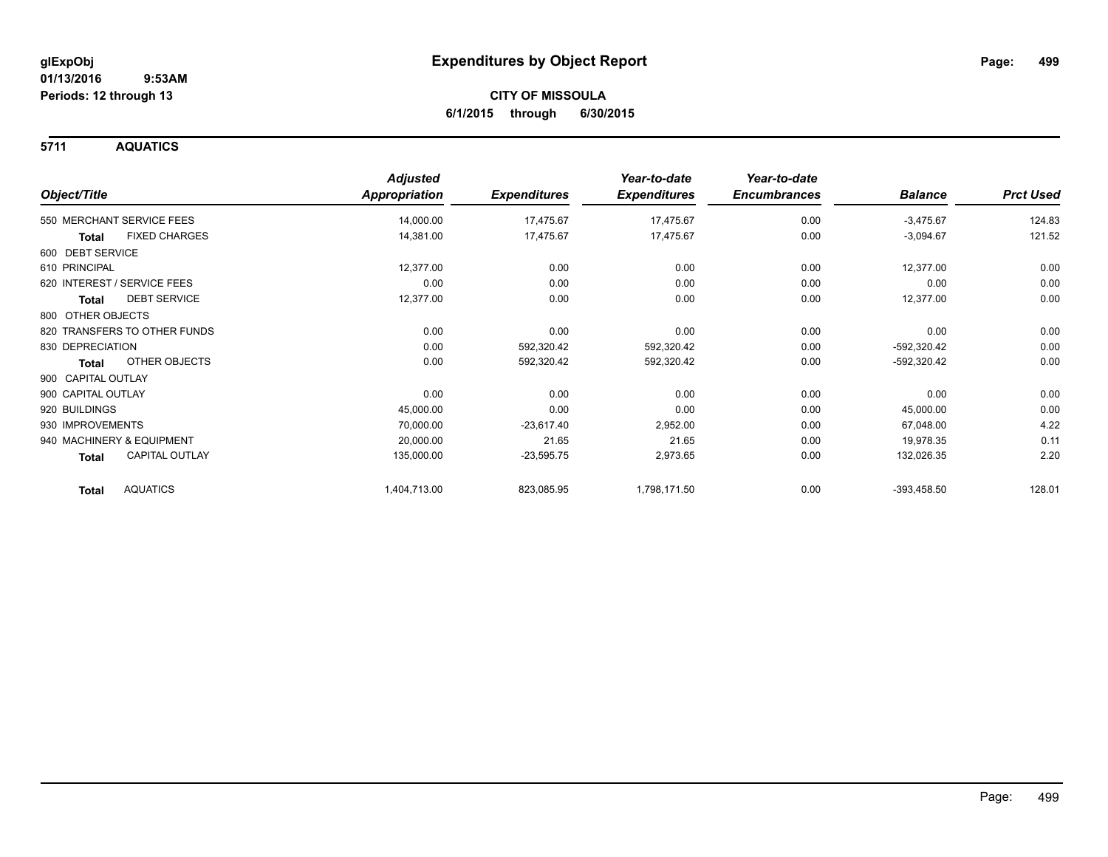**5711 AQUATICS**

|                                 | <b>Adjusted</b>      |                     | Year-to-date        | Year-to-date        |                |                  |
|---------------------------------|----------------------|---------------------|---------------------|---------------------|----------------|------------------|
| Object/Title                    | <b>Appropriation</b> | <b>Expenditures</b> | <b>Expenditures</b> | <b>Encumbrances</b> | <b>Balance</b> | <b>Prct Used</b> |
| 550 MERCHANT SERVICE FEES       | 14,000.00            | 17,475.67           | 17,475.67           | 0.00                | $-3,475.67$    | 124.83           |
| <b>FIXED CHARGES</b><br>Total   | 14,381.00            | 17,475.67           | 17,475.67           | 0.00                | $-3,094.67$    | 121.52           |
| 600 DEBT SERVICE                |                      |                     |                     |                     |                |                  |
| 610 PRINCIPAL                   | 12,377.00            | 0.00                | 0.00                | 0.00                | 12,377.00      | 0.00             |
| 620 INTEREST / SERVICE FEES     | 0.00                 | 0.00                | 0.00                | 0.00                | 0.00           | 0.00             |
| <b>DEBT SERVICE</b><br>Total    | 12,377.00            | 0.00                | 0.00                | 0.00                | 12,377.00      | 0.00             |
| 800 OTHER OBJECTS               |                      |                     |                     |                     |                |                  |
| 820 TRANSFERS TO OTHER FUNDS    | 0.00                 | 0.00                | 0.00                | 0.00                | 0.00           | 0.00             |
| 830 DEPRECIATION                | 0.00                 | 592,320.42          | 592,320.42          | 0.00                | -592,320.42    | 0.00             |
| OTHER OBJECTS<br>Total          | 0.00                 | 592,320.42          | 592,320.42          | 0.00                | -592,320.42    | 0.00             |
| 900 CAPITAL OUTLAY              |                      |                     |                     |                     |                |                  |
| 900 CAPITAL OUTLAY              | 0.00                 | 0.00                | 0.00                | 0.00                | 0.00           | 0.00             |
| 920 BUILDINGS                   | 45,000.00            | 0.00                | 0.00                | 0.00                | 45,000.00      | 0.00             |
| 930 IMPROVEMENTS                | 70,000.00            | $-23,617.40$        | 2,952.00            | 0.00                | 67,048.00      | 4.22             |
| 940 MACHINERY & EQUIPMENT       | 20,000.00            | 21.65               | 21.65               | 0.00                | 19,978.35      | 0.11             |
| <b>CAPITAL OUTLAY</b><br>Total  | 135,000.00           | $-23,595.75$        | 2,973.65            | 0.00                | 132,026.35     | 2.20             |
| <b>AQUATICS</b><br><b>Total</b> | 1,404,713.00         | 823,085.95          | 1,798,171.50        | 0.00                | $-393,458.50$  | 128.01           |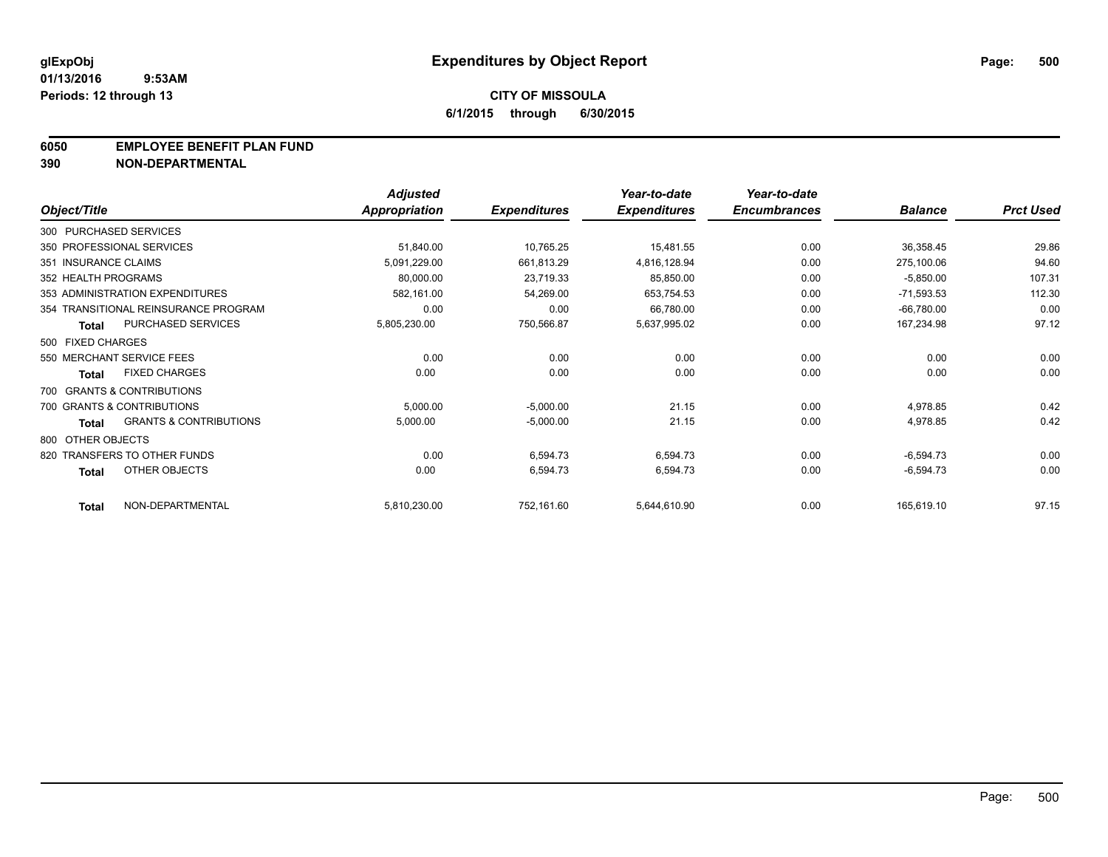#### **6050 EMPLOYEE BENEFIT PLAN FUND**

**390 NON-DEPARTMENTAL**

|                      |                                      | <b>Adjusted</b> |                     | Year-to-date        | Year-to-date        |                |                  |
|----------------------|--------------------------------------|-----------------|---------------------|---------------------|---------------------|----------------|------------------|
| Object/Title         |                                      | Appropriation   | <b>Expenditures</b> | <b>Expenditures</b> | <b>Encumbrances</b> | <b>Balance</b> | <b>Prct Used</b> |
|                      | 300 PURCHASED SERVICES               |                 |                     |                     |                     |                |                  |
|                      | 350 PROFESSIONAL SERVICES            | 51,840.00       | 10,765.25           | 15,481.55           | 0.00                | 36,358.45      | 29.86            |
| 351 INSURANCE CLAIMS |                                      | 5,091,229.00    | 661,813.29          | 4,816,128.94        | 0.00                | 275,100.06     | 94.60            |
| 352 HEALTH PROGRAMS  |                                      | 80,000.00       | 23,719.33           | 85,850.00           | 0.00                | $-5,850.00$    | 107.31           |
|                      | 353 ADMINISTRATION EXPENDITURES      | 582.161.00      | 54,269.00           | 653,754.53          | 0.00                | $-71,593.53$   | 112.30           |
|                      | 354 TRANSITIONAL REINSURANCE PROGRAM | 0.00            | 0.00                | 66,780.00           | 0.00                | $-66,780.00$   | 0.00             |
| <b>Total</b>         | PURCHASED SERVICES                   | 5,805,230.00    | 750,566.87          | 5,637,995.02        | 0.00                | 167,234.98     | 97.12            |
| 500 FIXED CHARGES    |                                      |                 |                     |                     |                     |                |                  |
|                      | 550 MERCHANT SERVICE FEES            | 0.00            | 0.00                | 0.00                | 0.00                | 0.00           | 0.00             |
| Total                | <b>FIXED CHARGES</b>                 | 0.00            | 0.00                | 0.00                | 0.00                | 0.00           | 0.00             |
|                      | 700 GRANTS & CONTRIBUTIONS           |                 |                     |                     |                     |                |                  |
|                      | 700 GRANTS & CONTRIBUTIONS           | 5,000.00        | $-5,000.00$         | 21.15               | 0.00                | 4,978.85       | 0.42             |
| <b>Total</b>         | <b>GRANTS &amp; CONTRIBUTIONS</b>    | 5,000.00        | $-5,000.00$         | 21.15               | 0.00                | 4,978.85       | 0.42             |
| 800 OTHER OBJECTS    |                                      |                 |                     |                     |                     |                |                  |
|                      | 820 TRANSFERS TO OTHER FUNDS         | 0.00            | 6,594.73            | 6,594.73            | 0.00                | $-6,594.73$    | 0.00             |
| <b>Total</b>         | OTHER OBJECTS                        | 0.00            | 6,594.73            | 6,594.73            | 0.00                | $-6,594.73$    | 0.00             |
| <b>Total</b>         | NON-DEPARTMENTAL                     | 5,810,230.00    | 752,161.60          | 5,644,610.90        | 0.00                | 165,619.10     | 97.15            |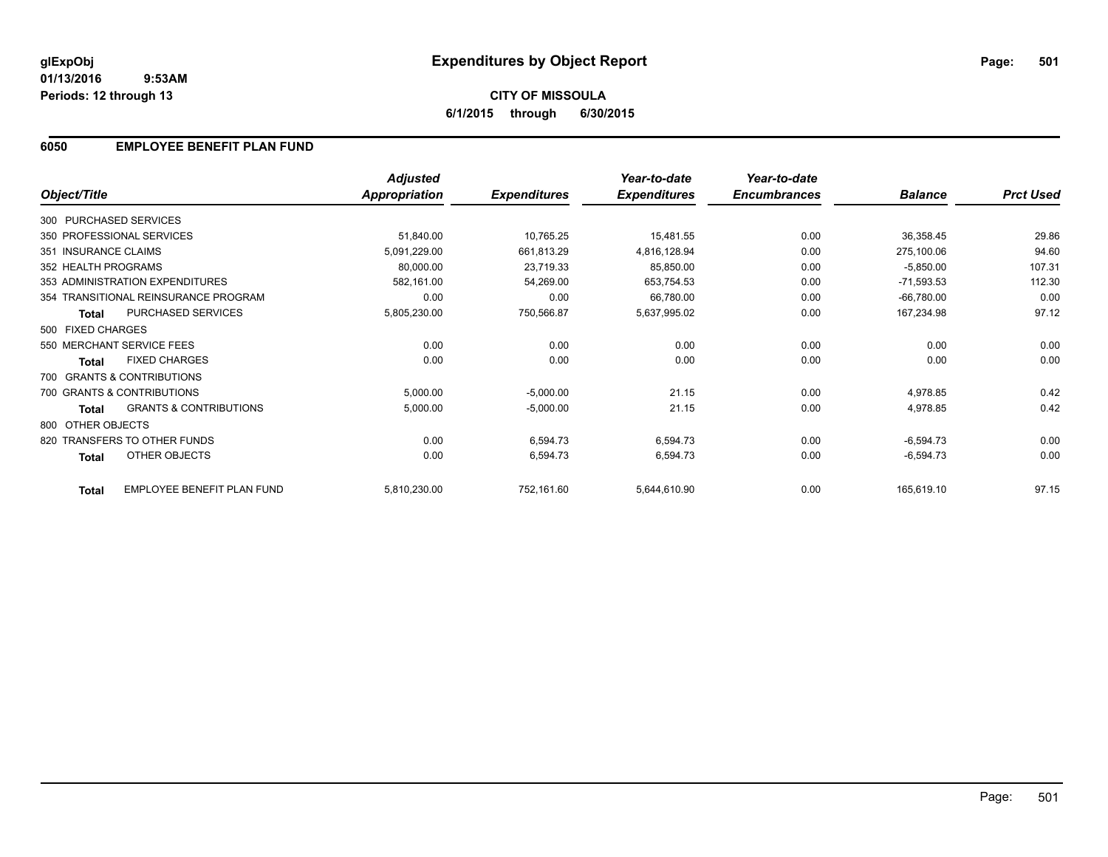### **6050 EMPLOYEE BENEFIT PLAN FUND**

| Object/Title           |                                      | <b>Adjusted</b><br>Appropriation | <b>Expenditures</b> | Year-to-date<br><b>Expenditures</b> | Year-to-date<br><b>Encumbrances</b> | <b>Balance</b> | <b>Prct Used</b> |
|------------------------|--------------------------------------|----------------------------------|---------------------|-------------------------------------|-------------------------------------|----------------|------------------|
|                        |                                      |                                  |                     |                                     |                                     |                |                  |
| 300 PURCHASED SERVICES |                                      |                                  |                     |                                     |                                     |                |                  |
|                        | 350 PROFESSIONAL SERVICES            | 51,840.00                        | 10,765.25           | 15,481.55                           | 0.00                                | 36,358.45      | 29.86            |
| 351 INSURANCE CLAIMS   |                                      | 5,091,229.00                     | 661,813.29          | 4,816,128.94                        | 0.00                                | 275,100.06     | 94.60            |
| 352 HEALTH PROGRAMS    |                                      | 80,000.00                        | 23,719.33           | 85,850.00                           | 0.00                                | $-5,850.00$    | 107.31           |
|                        | 353 ADMINISTRATION EXPENDITURES      | 582,161.00                       | 54,269.00           | 653,754.53                          | 0.00                                | $-71,593.53$   | 112.30           |
|                        | 354 TRANSITIONAL REINSURANCE PROGRAM | 0.00                             | 0.00                | 66,780.00                           | 0.00                                | $-66,780.00$   | 0.00             |
| <b>Total</b>           | PURCHASED SERVICES                   | 5,805,230.00                     | 750,566.87          | 5,637,995.02                        | 0.00                                | 167,234.98     | 97.12            |
| 500 FIXED CHARGES      |                                      |                                  |                     |                                     |                                     |                |                  |
|                        | 550 MERCHANT SERVICE FEES            | 0.00                             | 0.00                | 0.00                                | 0.00                                | 0.00           | 0.00             |
| <b>Total</b>           | <b>FIXED CHARGES</b>                 | 0.00                             | 0.00                | 0.00                                | 0.00                                | 0.00           | 0.00             |
|                        | 700 GRANTS & CONTRIBUTIONS           |                                  |                     |                                     |                                     |                |                  |
|                        | 700 GRANTS & CONTRIBUTIONS           | 5,000.00                         | $-5,000.00$         | 21.15                               | 0.00                                | 4,978.85       | 0.42             |
| <b>Total</b>           | <b>GRANTS &amp; CONTRIBUTIONS</b>    | 5,000.00                         | $-5,000.00$         | 21.15                               | 0.00                                | 4,978.85       | 0.42             |
| 800 OTHER OBJECTS      |                                      |                                  |                     |                                     |                                     |                |                  |
|                        | 820 TRANSFERS TO OTHER FUNDS         | 0.00                             | 6,594.73            | 6,594.73                            | 0.00                                | $-6,594.73$    | 0.00             |
| <b>Total</b>           | OTHER OBJECTS                        | 0.00                             | 6,594.73            | 6,594.73                            | 0.00                                | $-6,594.73$    | 0.00             |
| <b>Total</b>           | EMPLOYEE BENEFIT PLAN FUND           | 5,810,230.00                     | 752,161.60          | 5,644,610.90                        | 0.00                                | 165,619.10     | 97.15            |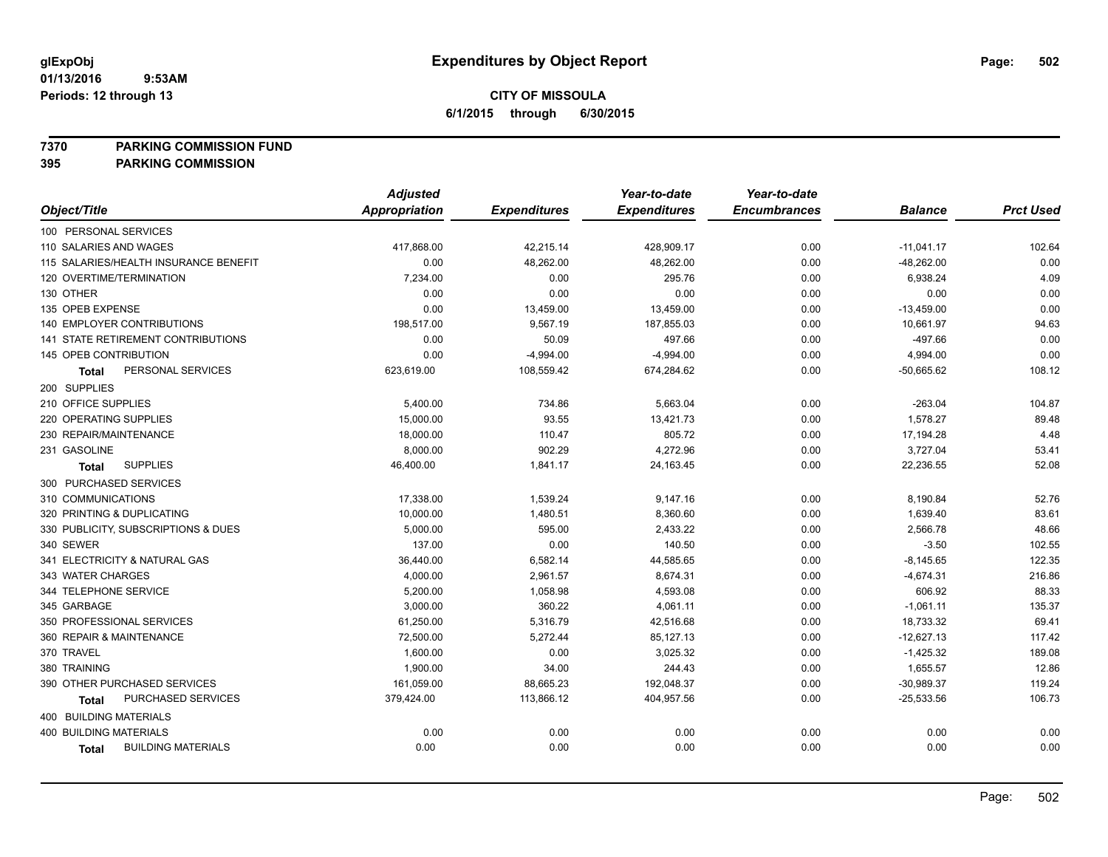**7370 PARKING COMMISSION FUND**

**395 PARKING COMMISSION**

|                                       | <b>Adjusted</b> |                     | Year-to-date        | Year-to-date        |                |                  |
|---------------------------------------|-----------------|---------------------|---------------------|---------------------|----------------|------------------|
| Object/Title                          | Appropriation   | <b>Expenditures</b> | <b>Expenditures</b> | <b>Encumbrances</b> | <b>Balance</b> | <b>Prct Used</b> |
| 100 PERSONAL SERVICES                 |                 |                     |                     |                     |                |                  |
| 110 SALARIES AND WAGES                | 417,868.00      | 42,215.14           | 428,909.17          | 0.00                | $-11,041.17$   | 102.64           |
| 115 SALARIES/HEALTH INSURANCE BENEFIT | 0.00            | 48,262.00           | 48,262.00           | 0.00                | $-48,262.00$   | 0.00             |
| 120 OVERTIME/TERMINATION              | 7,234.00        | 0.00                | 295.76              | 0.00                | 6,938.24       | 4.09             |
| 130 OTHER                             | 0.00            | 0.00                | 0.00                | 0.00                | 0.00           | 0.00             |
| 135 OPEB EXPENSE                      | 0.00            | 13,459.00           | 13,459.00           | 0.00                | $-13,459.00$   | 0.00             |
| <b>140 EMPLOYER CONTRIBUTIONS</b>     | 198,517.00      | 9,567.19            | 187,855.03          | 0.00                | 10,661.97      | 94.63            |
| 141 STATE RETIREMENT CONTRIBUTIONS    | 0.00            | 50.09               | 497.66              | 0.00                | $-497.66$      | 0.00             |
| 145 OPEB CONTRIBUTION                 | 0.00            | $-4,994.00$         | $-4,994.00$         | 0.00                | 4,994.00       | 0.00             |
| PERSONAL SERVICES<br><b>Total</b>     | 623,619.00      | 108,559.42          | 674,284.62          | 0.00                | -50,665.62     | 108.12           |
| 200 SUPPLIES                          |                 |                     |                     |                     |                |                  |
| 210 OFFICE SUPPLIES                   | 5,400.00        | 734.86              | 5,663.04            | 0.00                | $-263.04$      | 104.87           |
| 220 OPERATING SUPPLIES                | 15,000.00       | 93.55               | 13,421.73           | 0.00                | 1,578.27       | 89.48            |
| 230 REPAIR/MAINTENANCE                | 18,000.00       | 110.47              | 805.72              | 0.00                | 17,194.28      | 4.48             |
| 231 GASOLINE                          | 8,000.00        | 902.29              | 4,272.96            | 0.00                | 3,727.04       | 53.41            |
| <b>SUPPLIES</b><br><b>Total</b>       | 46,400.00       | 1,841.17            | 24,163.45           | 0.00                | 22,236.55      | 52.08            |
| 300 PURCHASED SERVICES                |                 |                     |                     |                     |                |                  |
| 310 COMMUNICATIONS                    | 17,338.00       | 1,539.24            | 9,147.16            | 0.00                | 8,190.84       | 52.76            |
| 320 PRINTING & DUPLICATING            | 10,000.00       | 1,480.51            | 8,360.60            | 0.00                | 1,639.40       | 83.61            |
| 330 PUBLICITY, SUBSCRIPTIONS & DUES   | 5,000.00        | 595.00              | 2,433.22            | 0.00                | 2,566.78       | 48.66            |
| 340 SEWER                             | 137.00          | 0.00                | 140.50              | 0.00                | $-3.50$        | 102.55           |
| 341 ELECTRICITY & NATURAL GAS         | 36,440.00       | 6,582.14            | 44,585.65           | 0.00                | $-8,145.65$    | 122.35           |
| 343 WATER CHARGES                     | 4,000.00        | 2,961.57            | 8,674.31            | 0.00                | $-4,674.31$    | 216.86           |
| 344 TELEPHONE SERVICE                 | 5,200.00        | 1,058.98            | 4,593.08            | 0.00                | 606.92         | 88.33            |
| 345 GARBAGE                           | 3,000.00        | 360.22              | 4,061.11            | 0.00                | $-1,061.11$    | 135.37           |
| 350 PROFESSIONAL SERVICES             | 61,250.00       | 5,316.79            | 42,516.68           | 0.00                | 18,733.32      | 69.41            |
| 360 REPAIR & MAINTENANCE              | 72,500.00       | 5,272.44            | 85,127.13           | 0.00                | $-12,627.13$   | 117.42           |
| 370 TRAVEL                            | 1,600.00        | 0.00                | 3,025.32            | 0.00                | $-1,425.32$    | 189.08           |
| 380 TRAINING                          | 1,900.00        | 34.00               | 244.43              | 0.00                | 1,655.57       | 12.86            |
| 390 OTHER PURCHASED SERVICES          | 161,059.00      | 88,665.23           | 192,048.37          | 0.00                | $-30,989.37$   | 119.24           |
| PURCHASED SERVICES<br><b>Total</b>    | 379,424.00      | 113,866.12          | 404,957.56          | 0.00                | $-25,533.56$   | 106.73           |
| 400 BUILDING MATERIALS                |                 |                     |                     |                     |                |                  |
| <b>400 BUILDING MATERIALS</b>         | 0.00            | 0.00                | 0.00                | 0.00                | 0.00           | 0.00             |
| <b>BUILDING MATERIALS</b><br>Total    | 0.00            | 0.00                | 0.00                | 0.00                | 0.00           | 0.00             |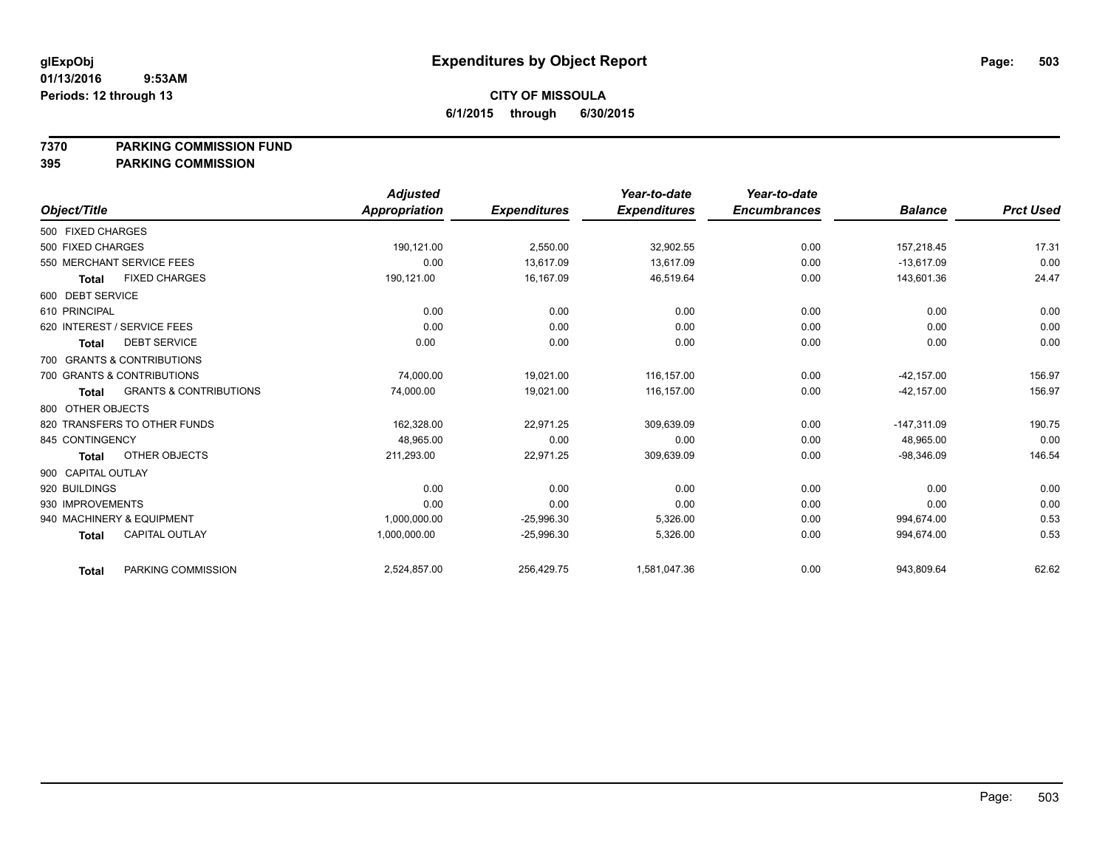#### **7370 PARKING COMMISSION FUND**

#### **395 PARKING COMMISSION**

|                    |                                   | <b>Adjusted</b> |                     | Year-to-date        | Year-to-date        |                |                  |
|--------------------|-----------------------------------|-----------------|---------------------|---------------------|---------------------|----------------|------------------|
| Object/Title       |                                   | Appropriation   | <b>Expenditures</b> | <b>Expenditures</b> | <b>Encumbrances</b> | <b>Balance</b> | <b>Prct Used</b> |
| 500 FIXED CHARGES  |                                   |                 |                     |                     |                     |                |                  |
| 500 FIXED CHARGES  |                                   | 190,121.00      | 2,550.00            | 32,902.55           | 0.00                | 157,218.45     | 17.31            |
|                    | 550 MERCHANT SERVICE FEES         | 0.00            | 13.617.09           | 13.617.09           | 0.00                | $-13.617.09$   | 0.00             |
| <b>Total</b>       | <b>FIXED CHARGES</b>              | 190,121.00      | 16,167.09           | 46,519.64           | 0.00                | 143,601.36     | 24.47            |
| 600 DEBT SERVICE   |                                   |                 |                     |                     |                     |                |                  |
| 610 PRINCIPAL      |                                   | 0.00            | 0.00                | 0.00                | 0.00                | 0.00           | 0.00             |
|                    | 620 INTEREST / SERVICE FEES       | 0.00            | 0.00                | 0.00                | 0.00                | 0.00           | 0.00             |
| <b>Total</b>       | <b>DEBT SERVICE</b>               | 0.00            | 0.00                | 0.00                | 0.00                | 0.00           | 0.00             |
|                    | 700 GRANTS & CONTRIBUTIONS        |                 |                     |                     |                     |                |                  |
|                    | 700 GRANTS & CONTRIBUTIONS        | 74,000.00       | 19.021.00           | 116.157.00          | 0.00                | $-42.157.00$   | 156.97           |
| <b>Total</b>       | <b>GRANTS &amp; CONTRIBUTIONS</b> | 74,000.00       | 19,021.00           | 116,157.00          | 0.00                | $-42, 157.00$  | 156.97           |
| 800 OTHER OBJECTS  |                                   |                 |                     |                     |                     |                |                  |
|                    | 820 TRANSFERS TO OTHER FUNDS      | 162,328.00      | 22,971.25           | 309,639.09          | 0.00                | $-147,311.09$  | 190.75           |
| 845 CONTINGENCY    |                                   | 48,965.00       | 0.00                | 0.00                | 0.00                | 48,965.00      | 0.00             |
| <b>Total</b>       | OTHER OBJECTS                     | 211,293.00      | 22,971.25           | 309,639.09          | 0.00                | $-98,346.09$   | 146.54           |
| 900 CAPITAL OUTLAY |                                   |                 |                     |                     |                     |                |                  |
| 920 BUILDINGS      |                                   | 0.00            | 0.00                | 0.00                | 0.00                | 0.00           | 0.00             |
| 930 IMPROVEMENTS   |                                   | 0.00            | 0.00                | 0.00                | 0.00                | 0.00           | 0.00             |
|                    | 940 MACHINERY & EQUIPMENT         | 1,000,000.00    | $-25,996.30$        | 5,326.00            | 0.00                | 994.674.00     | 0.53             |
| <b>Total</b>       | <b>CAPITAL OUTLAY</b>             | 1,000,000.00    | $-25,996.30$        | 5,326.00            | 0.00                | 994,674.00     | 0.53             |
| <b>Total</b>       | PARKING COMMISSION                | 2,524,857.00    | 256,429.75          | 1,581,047.36        | 0.00                | 943,809.64     | 62.62            |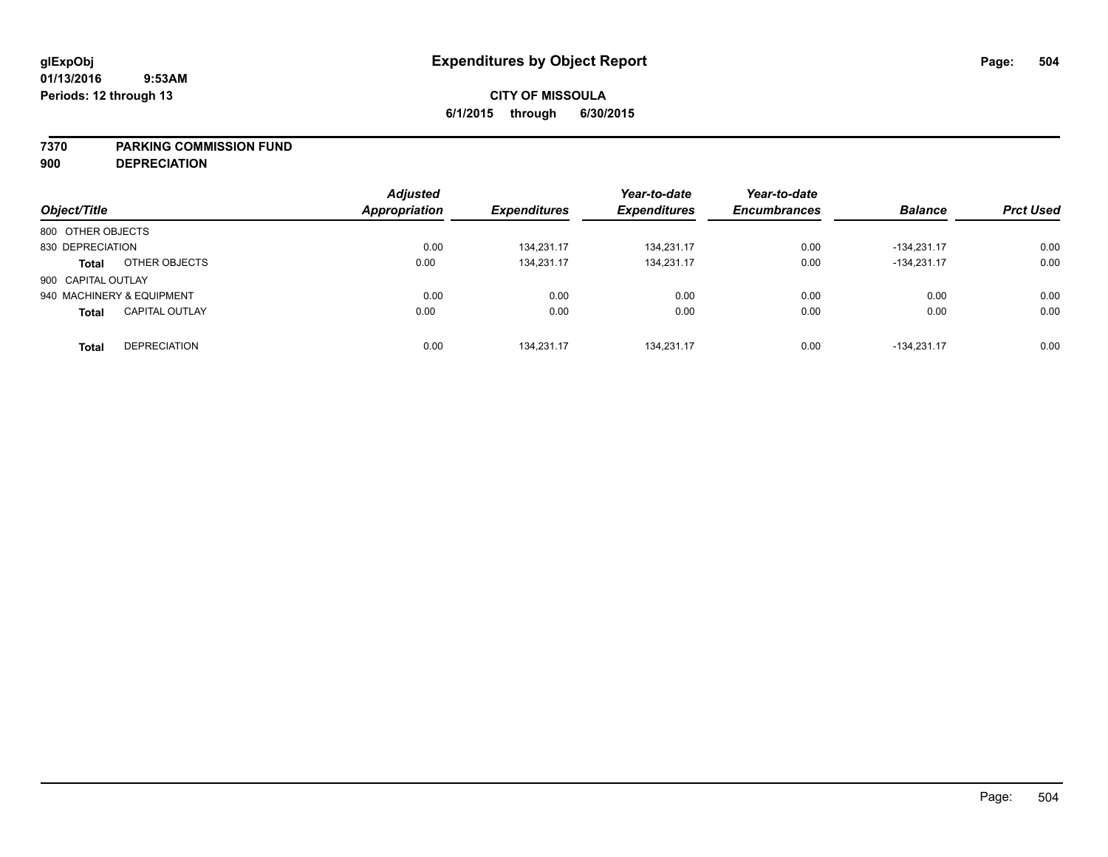#### **7370 PARKING COMMISSION FUND**

**900 DEPRECIATION**

|                                       |  | <b>Adjusted</b>      |                     | Year-to-date        | Year-to-date        |                |                  |
|---------------------------------------|--|----------------------|---------------------|---------------------|---------------------|----------------|------------------|
| Object/Title                          |  | <b>Appropriation</b> | <b>Expenditures</b> | <b>Expenditures</b> | <b>Encumbrances</b> | <b>Balance</b> | <b>Prct Used</b> |
| 800 OTHER OBJECTS                     |  |                      |                     |                     |                     |                |                  |
| 830 DEPRECIATION                      |  | 0.00                 | 134,231.17          | 134,231.17          | 0.00                | $-134.231.17$  | 0.00             |
| OTHER OBJECTS<br><b>Total</b>         |  | 0.00                 | 134.231.17          | 134.231.17          | 0.00                | $-134.231.17$  | 0.00             |
| 900 CAPITAL OUTLAY                    |  |                      |                     |                     |                     |                |                  |
| 940 MACHINERY & EQUIPMENT             |  | 0.00                 | 0.00                | 0.00                | 0.00                | 0.00           | 0.00             |
| <b>CAPITAL OUTLAY</b><br><b>Total</b> |  | 0.00                 | 0.00                | 0.00                | 0.00                | 0.00           | 0.00             |
| <b>DEPRECIATION</b><br><b>Total</b>   |  | 0.00                 | 134.231.17          | 134.231.17          | 0.00                | $-134.231.17$  | 0.00             |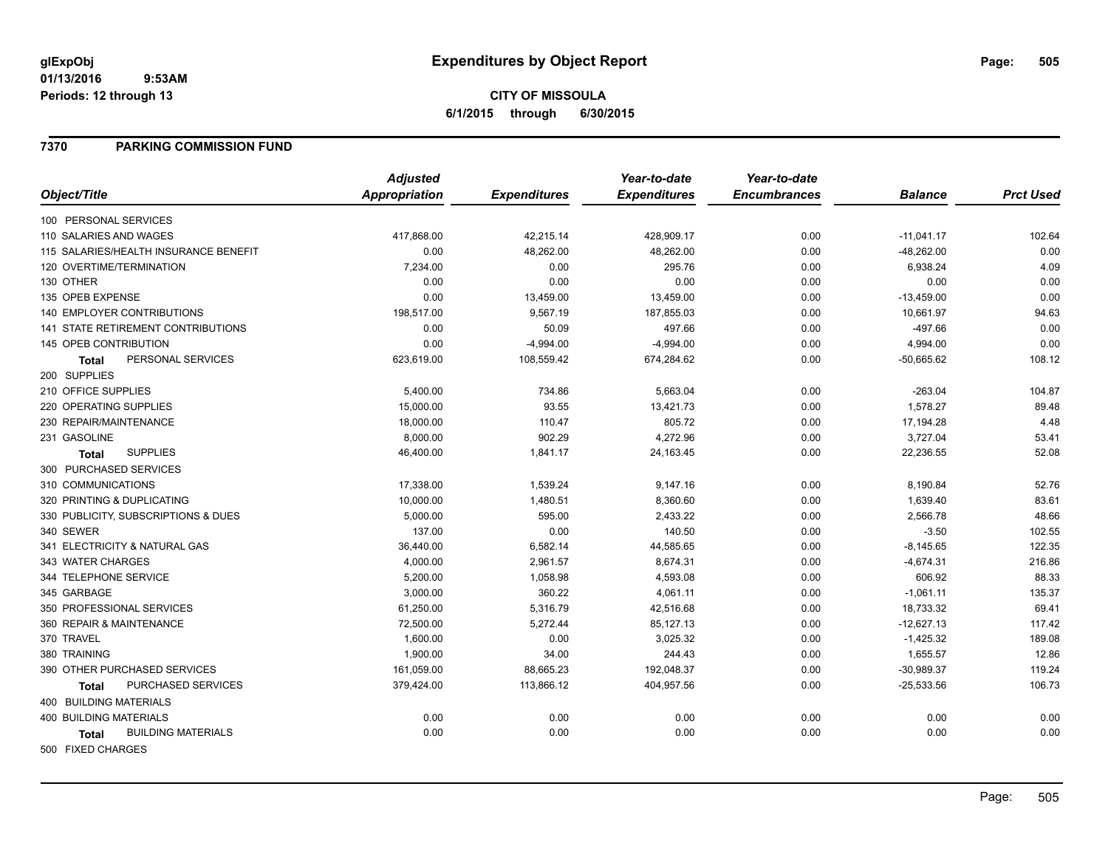## **CITY OF MISSOULA 6/1/2015 through 6/30/2015**

## **7370 PARKING COMMISSION FUND**

|                                           | <b>Adjusted</b> |                     | Year-to-date        | Year-to-date        |                |                  |
|-------------------------------------------|-----------------|---------------------|---------------------|---------------------|----------------|------------------|
| Object/Title                              | Appropriation   | <b>Expenditures</b> | <b>Expenditures</b> | <b>Encumbrances</b> | <b>Balance</b> | <b>Prct Used</b> |
| 100 PERSONAL SERVICES                     |                 |                     |                     |                     |                |                  |
| 110 SALARIES AND WAGES                    | 417,868.00      | 42,215.14           | 428,909.17          | 0.00                | $-11,041.17$   | 102.64           |
| 115 SALARIES/HEALTH INSURANCE BENEFIT     | 0.00            | 48,262.00           | 48,262.00           | 0.00                | $-48,262.00$   | 0.00             |
| 120 OVERTIME/TERMINATION                  | 7,234.00        | 0.00                | 295.76              | 0.00                | 6,938.24       | 4.09             |
| 130 OTHER                                 | 0.00            | 0.00                | 0.00                | 0.00                | 0.00           | 0.00             |
| 135 OPEB EXPENSE                          | 0.00            | 13,459.00           | 13,459.00           | 0.00                | $-13,459.00$   | 0.00             |
| <b>140 EMPLOYER CONTRIBUTIONS</b>         | 198,517.00      | 9,567.19            | 187,855.03          | 0.00                | 10,661.97      | 94.63            |
| 141 STATE RETIREMENT CONTRIBUTIONS        | 0.00            | 50.09               | 497.66              | 0.00                | $-497.66$      | 0.00             |
| <b>145 OPEB CONTRIBUTION</b>              | 0.00            | $-4,994.00$         | $-4,994.00$         | 0.00                | 4,994.00       | 0.00             |
| PERSONAL SERVICES<br><b>Total</b>         | 623,619.00      | 108,559.42          | 674,284.62          | 0.00                | $-50,665.62$   | 108.12           |
| 200 SUPPLIES                              |                 |                     |                     |                     |                |                  |
| 210 OFFICE SUPPLIES                       | 5,400.00        | 734.86              | 5,663.04            | 0.00                | $-263.04$      | 104.87           |
| 220 OPERATING SUPPLIES                    | 15,000.00       | 93.55               | 13,421.73           | 0.00                | 1,578.27       | 89.48            |
| 230 REPAIR/MAINTENANCE                    | 18,000.00       | 110.47              | 805.72              | 0.00                | 17,194.28      | 4.48             |
| 231 GASOLINE                              | 8,000.00        | 902.29              | 4,272.96            | 0.00                | 3,727.04       | 53.41            |
| <b>SUPPLIES</b><br><b>Total</b>           | 46,400.00       | 1,841.17            | 24,163.45           | 0.00                | 22,236.55      | 52.08            |
| 300 PURCHASED SERVICES                    |                 |                     |                     |                     |                |                  |
| 310 COMMUNICATIONS                        | 17,338.00       | 1,539.24            | 9,147.16            | 0.00                | 8,190.84       | 52.76            |
| 320 PRINTING & DUPLICATING                | 10,000.00       | 1,480.51            | 8,360.60            | 0.00                | 1,639.40       | 83.61            |
| 330 PUBLICITY, SUBSCRIPTIONS & DUES       | 5,000.00        | 595.00              | 2,433.22            | 0.00                | 2,566.78       | 48.66            |
| 340 SEWER                                 | 137.00          | 0.00                | 140.50              | 0.00                | $-3.50$        | 102.55           |
| 341 ELECTRICITY & NATURAL GAS             | 36,440.00       | 6,582.14            | 44,585.65           | 0.00                | $-8,145.65$    | 122.35           |
| 343 WATER CHARGES                         | 4,000.00        | 2,961.57            | 8,674.31            | 0.00                | $-4,674.31$    | 216.86           |
| 344 TELEPHONE SERVICE                     | 5,200.00        | 1,058.98            | 4,593.08            | 0.00                | 606.92         | 88.33            |
| 345 GARBAGE                               | 3,000.00        | 360.22              | 4,061.11            | 0.00                | $-1,061.11$    | 135.37           |
| 350 PROFESSIONAL SERVICES                 | 61,250.00       | 5,316.79            | 42,516.68           | 0.00                | 18,733.32      | 69.41            |
| 360 REPAIR & MAINTENANCE                  | 72,500.00       | 5,272.44            | 85,127.13           | 0.00                | $-12,627.13$   | 117.42           |
| 370 TRAVEL                                | 1,600.00        | 0.00                | 3,025.32            | 0.00                | $-1,425.32$    | 189.08           |
| 380 TRAINING                              | 1,900.00        | 34.00               | 244.43              | 0.00                | 1,655.57       | 12.86            |
| 390 OTHER PURCHASED SERVICES              | 161,059.00      | 88,665.23           | 192,048.37          | 0.00                | $-30,989.37$   | 119.24           |
| PURCHASED SERVICES<br><b>Total</b>        | 379,424.00      | 113,866.12          | 404,957.56          | 0.00                | $-25,533.56$   | 106.73           |
| 400 BUILDING MATERIALS                    |                 |                     |                     |                     |                |                  |
| <b>400 BUILDING MATERIALS</b>             | 0.00            | 0.00                | 0.00                | 0.00                | 0.00           | 0.00             |
| <b>BUILDING MATERIALS</b><br><b>Total</b> | 0.00            | 0.00                | 0.00                | 0.00                | 0.00           | 0.00             |
| 500 FIXED CHARGES                         |                 |                     |                     |                     |                |                  |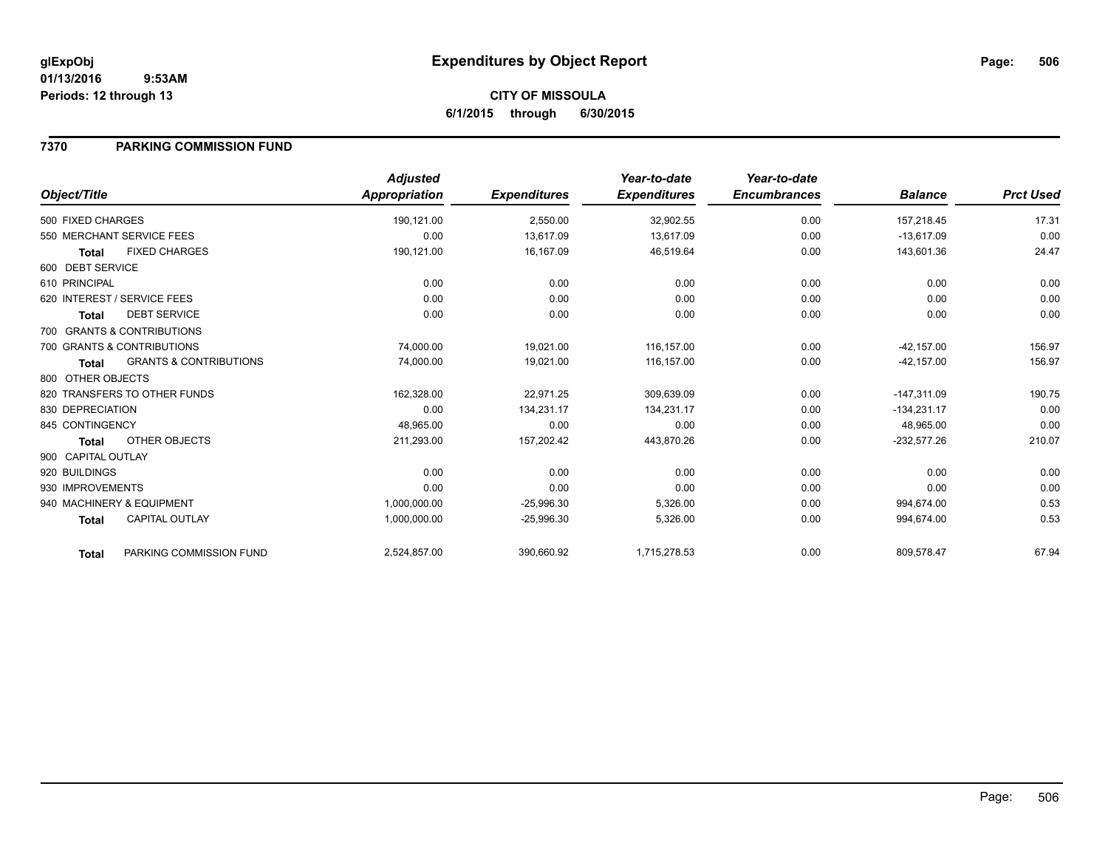**CITY OF MISSOULA 6/1/2015 through 6/30/2015**

## **7370 PARKING COMMISSION FUND**

|                    |                                   | <b>Adjusted</b> |                     | Year-to-date        | Year-to-date        |                |                  |
|--------------------|-----------------------------------|-----------------|---------------------|---------------------|---------------------|----------------|------------------|
| Object/Title       |                                   | Appropriation   | <b>Expenditures</b> | <b>Expenditures</b> | <b>Encumbrances</b> | <b>Balance</b> | <b>Prct Used</b> |
| 500 FIXED CHARGES  |                                   | 190,121.00      | 2,550.00            | 32,902.55           | 0.00                | 157,218.45     | 17.31            |
|                    | 550 MERCHANT SERVICE FEES         | 0.00            | 13,617.09           | 13.617.09           | 0.00                | $-13,617.09$   | 0.00             |
| Total              | <b>FIXED CHARGES</b>              | 190,121.00      | 16,167.09           | 46,519.64           | 0.00                | 143,601.36     | 24.47            |
| 600 DEBT SERVICE   |                                   |                 |                     |                     |                     |                |                  |
| 610 PRINCIPAL      |                                   | 0.00            | 0.00                | 0.00                | 0.00                | 0.00           | 0.00             |
|                    | 620 INTEREST / SERVICE FEES       | 0.00            | 0.00                | 0.00                | 0.00                | 0.00           | 0.00             |
| Total              | <b>DEBT SERVICE</b>               | 0.00            | 0.00                | 0.00                | 0.00                | 0.00           | 0.00             |
|                    | 700 GRANTS & CONTRIBUTIONS        |                 |                     |                     |                     |                |                  |
|                    | 700 GRANTS & CONTRIBUTIONS        | 74,000.00       | 19,021.00           | 116,157.00          | 0.00                | $-42, 157.00$  | 156.97           |
| Total              | <b>GRANTS &amp; CONTRIBUTIONS</b> | 74,000.00       | 19,021.00           | 116,157.00          | 0.00                | $-42, 157.00$  | 156.97           |
| 800 OTHER OBJECTS  |                                   |                 |                     |                     |                     |                |                  |
|                    | 820 TRANSFERS TO OTHER FUNDS      | 162,328.00      | 22,971.25           | 309,639.09          | 0.00                | $-147,311.09$  | 190.75           |
| 830 DEPRECIATION   |                                   | 0.00            | 134,231.17          | 134,231.17          | 0.00                | $-134,231.17$  | 0.00             |
| 845 CONTINGENCY    |                                   | 48,965.00       | 0.00                | 0.00                | 0.00                | 48,965.00      | 0.00             |
| Total              | OTHER OBJECTS                     | 211,293.00      | 157,202.42          | 443,870.26          | 0.00                | $-232,577.26$  | 210.07           |
| 900 CAPITAL OUTLAY |                                   |                 |                     |                     |                     |                |                  |
| 920 BUILDINGS      |                                   | 0.00            | 0.00                | 0.00                | 0.00                | 0.00           | 0.00             |
| 930 IMPROVEMENTS   |                                   | 0.00            | 0.00                | 0.00                | 0.00                | 0.00           | 0.00             |
|                    | 940 MACHINERY & EQUIPMENT         | 1,000,000.00    | $-25,996.30$        | 5,326.00            | 0.00                | 994,674.00     | 0.53             |
| <b>Total</b>       | <b>CAPITAL OUTLAY</b>             | 1,000,000.00    | $-25,996.30$        | 5,326.00            | 0.00                | 994,674.00     | 0.53             |
| <b>Total</b>       | PARKING COMMISSION FUND           | 2,524,857.00    | 390,660.92          | 1,715,278.53        | 0.00                | 809,578.47     | 67.94            |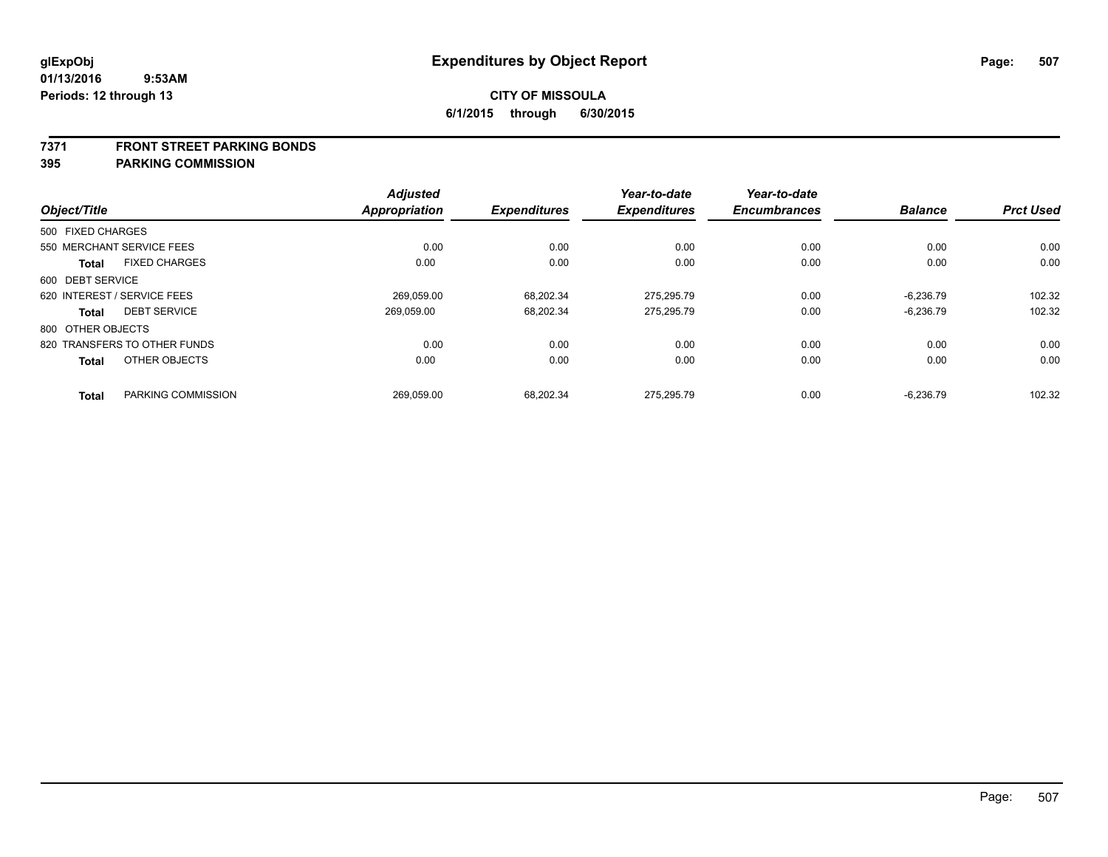#### **7371 FRONT STREET PARKING BONDS**

| Object/Title      |                              | <b>Adjusted</b><br>Appropriation | <b>Expenditures</b> | Year-to-date<br><b>Expenditures</b> | Year-to-date<br><b>Encumbrances</b> | <b>Balance</b> | <b>Prct Used</b> |
|-------------------|------------------------------|----------------------------------|---------------------|-------------------------------------|-------------------------------------|----------------|------------------|
| 500 FIXED CHARGES |                              |                                  |                     |                                     |                                     |                |                  |
|                   | 550 MERCHANT SERVICE FEES    | 0.00                             | 0.00                | 0.00                                | 0.00                                | 0.00           | 0.00             |
| <b>Total</b>      | <b>FIXED CHARGES</b>         | 0.00                             | 0.00                | 0.00                                | 0.00                                | 0.00           | 0.00             |
| 600 DEBT SERVICE  |                              |                                  |                     |                                     |                                     |                |                  |
|                   | 620 INTEREST / SERVICE FEES  | 269.059.00                       | 68.202.34           | 275.295.79                          | 0.00                                | $-6.236.79$    | 102.32           |
| <b>Total</b>      | <b>DEBT SERVICE</b>          | 269.059.00                       | 68,202.34           | 275,295.79                          | 0.00                                | $-6,236.79$    | 102.32           |
| 800 OTHER OBJECTS |                              |                                  |                     |                                     |                                     |                |                  |
|                   | 820 TRANSFERS TO OTHER FUNDS | 0.00                             | 0.00                | 0.00                                | 0.00                                | 0.00           | 0.00             |
| <b>Total</b>      | OTHER OBJECTS                | 0.00                             | 0.00                | 0.00                                | 0.00                                | 0.00           | 0.00             |
| <b>Total</b>      | PARKING COMMISSION           | 269.059.00                       | 68.202.34           | 275.295.79                          | 0.00                                | $-6.236.79$    | 102.32           |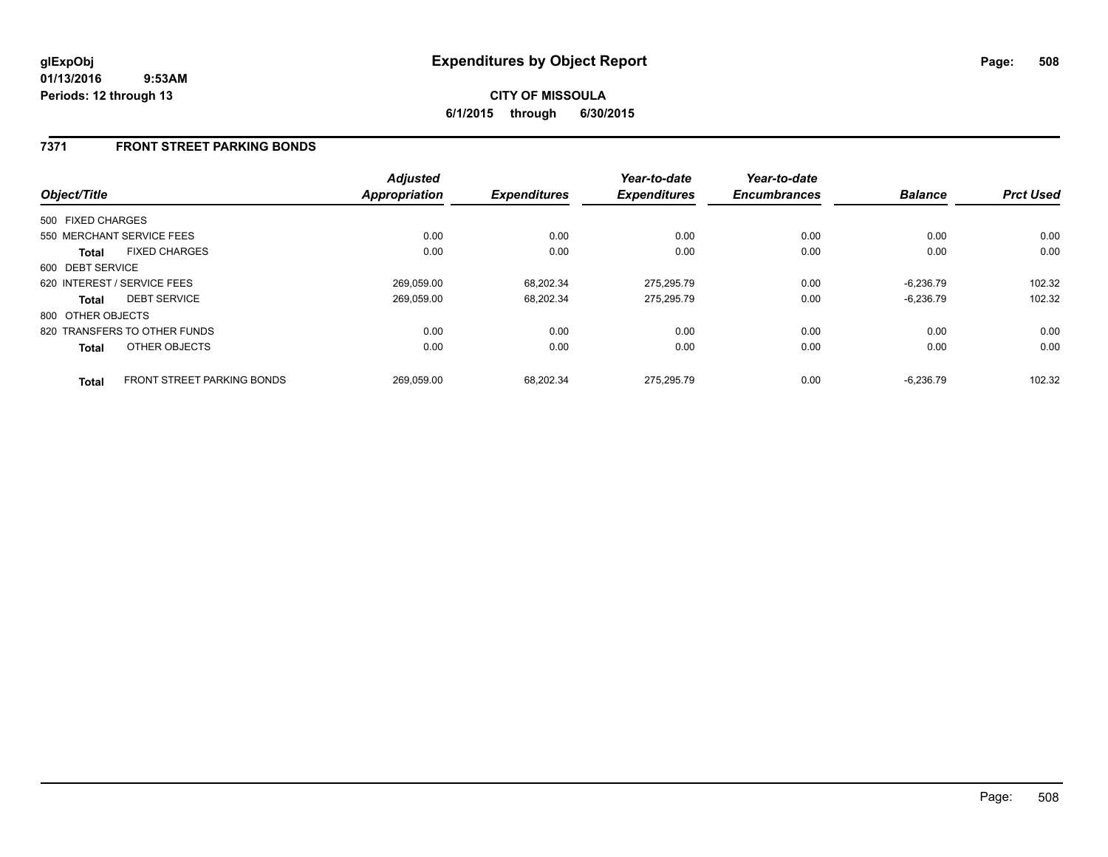# **CITY OF MISSOULA 6/1/2015 through 6/30/2015**

## **7371 FRONT STREET PARKING BONDS**

| Object/Title      |                              | Adjusted<br><b>Appropriation</b> | <b>Expenditures</b> | Year-to-date<br><b>Expenditures</b> | Year-to-date<br><b>Encumbrances</b> | <b>Balance</b> | <b>Prct Used</b> |
|-------------------|------------------------------|----------------------------------|---------------------|-------------------------------------|-------------------------------------|----------------|------------------|
| 500 FIXED CHARGES |                              |                                  |                     |                                     |                                     |                |                  |
|                   | 550 MERCHANT SERVICE FEES    | 0.00                             | 0.00                | 0.00                                | 0.00                                | 0.00           | 0.00             |
| Total             | <b>FIXED CHARGES</b>         | 0.00                             | 0.00                | 0.00                                | 0.00                                | 0.00           | 0.00             |
| 600 DEBT SERVICE  |                              |                                  |                     |                                     |                                     |                |                  |
|                   | 620 INTEREST / SERVICE FEES  | 269,059.00                       | 68.202.34           | 275.295.79                          | 0.00                                | $-6.236.79$    | 102.32           |
| <b>Total</b>      | <b>DEBT SERVICE</b>          | 269.059.00                       | 68,202.34           | 275.295.79                          | 0.00                                | $-6.236.79$    | 102.32           |
| 800 OTHER OBJECTS |                              |                                  |                     |                                     |                                     |                |                  |
|                   | 820 TRANSFERS TO OTHER FUNDS | 0.00                             | 0.00                | 0.00                                | 0.00                                | 0.00           | 0.00             |
| <b>Total</b>      | OTHER OBJECTS                | 0.00                             | 0.00                | 0.00                                | 0.00                                | 0.00           | 0.00             |
| <b>Total</b>      | FRONT STREET PARKING BONDS   | 269.059.00                       | 68.202.34           | 275.295.79                          | 0.00                                | $-6.236.79$    | 102.32           |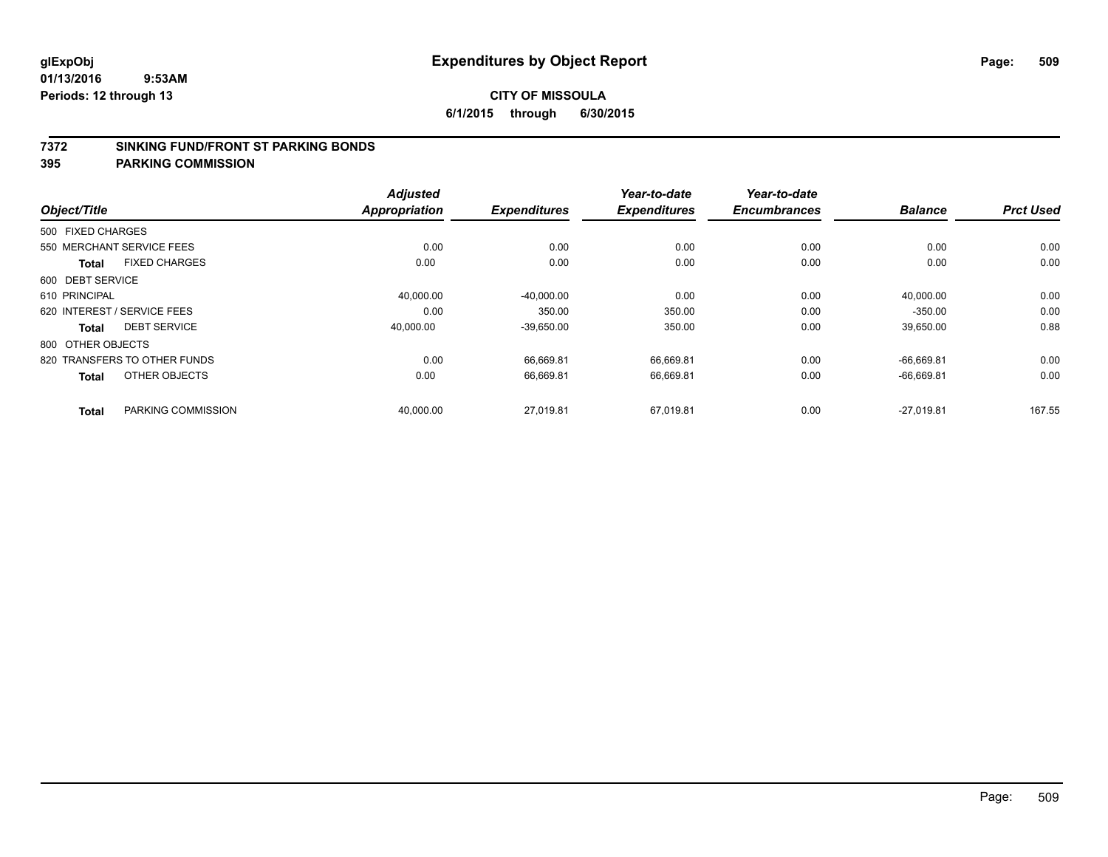#### **7372 SINKING FUND/FRONT ST PARKING BONDS**

| Object/Title      |                              | <b>Adjusted</b><br><b>Appropriation</b> | <b>Expenditures</b> | Year-to-date<br><b>Expenditures</b> | Year-to-date<br><b>Encumbrances</b> | <b>Balance</b> | <b>Prct Used</b> |
|-------------------|------------------------------|-----------------------------------------|---------------------|-------------------------------------|-------------------------------------|----------------|------------------|
|                   |                              |                                         |                     |                                     |                                     |                |                  |
| 500 FIXED CHARGES |                              |                                         |                     |                                     |                                     |                |                  |
|                   | 550 MERCHANT SERVICE FEES    | 0.00                                    | 0.00                | 0.00                                | 0.00                                | 0.00           | 0.00             |
| <b>Total</b>      | <b>FIXED CHARGES</b>         | 0.00                                    | 0.00                | 0.00                                | 0.00                                | 0.00           | 0.00             |
| 600 DEBT SERVICE  |                              |                                         |                     |                                     |                                     |                |                  |
| 610 PRINCIPAL     |                              | 40,000.00                               | $-40,000.00$        | 0.00                                | 0.00                                | 40,000.00      | 0.00             |
|                   | 620 INTEREST / SERVICE FEES  | 0.00                                    | 350.00              | 350.00                              | 0.00                                | $-350.00$      | 0.00             |
| Total             | <b>DEBT SERVICE</b>          | 40,000.00                               | $-39,650.00$        | 350.00                              | 0.00                                | 39,650.00      | 0.88             |
| 800 OTHER OBJECTS |                              |                                         |                     |                                     |                                     |                |                  |
|                   | 820 TRANSFERS TO OTHER FUNDS | 0.00                                    | 66.669.81           | 66,669.81                           | 0.00                                | $-66.669.81$   | 0.00             |
| <b>Total</b>      | OTHER OBJECTS                | 0.00                                    | 66,669.81           | 66,669.81                           | 0.00                                | $-66,669.81$   | 0.00             |
|                   |                              |                                         |                     |                                     |                                     |                |                  |
| <b>Total</b>      | PARKING COMMISSION           | 40,000.00                               | 27,019.81           | 67,019.81                           | 0.00                                | $-27,019.81$   | 167.55           |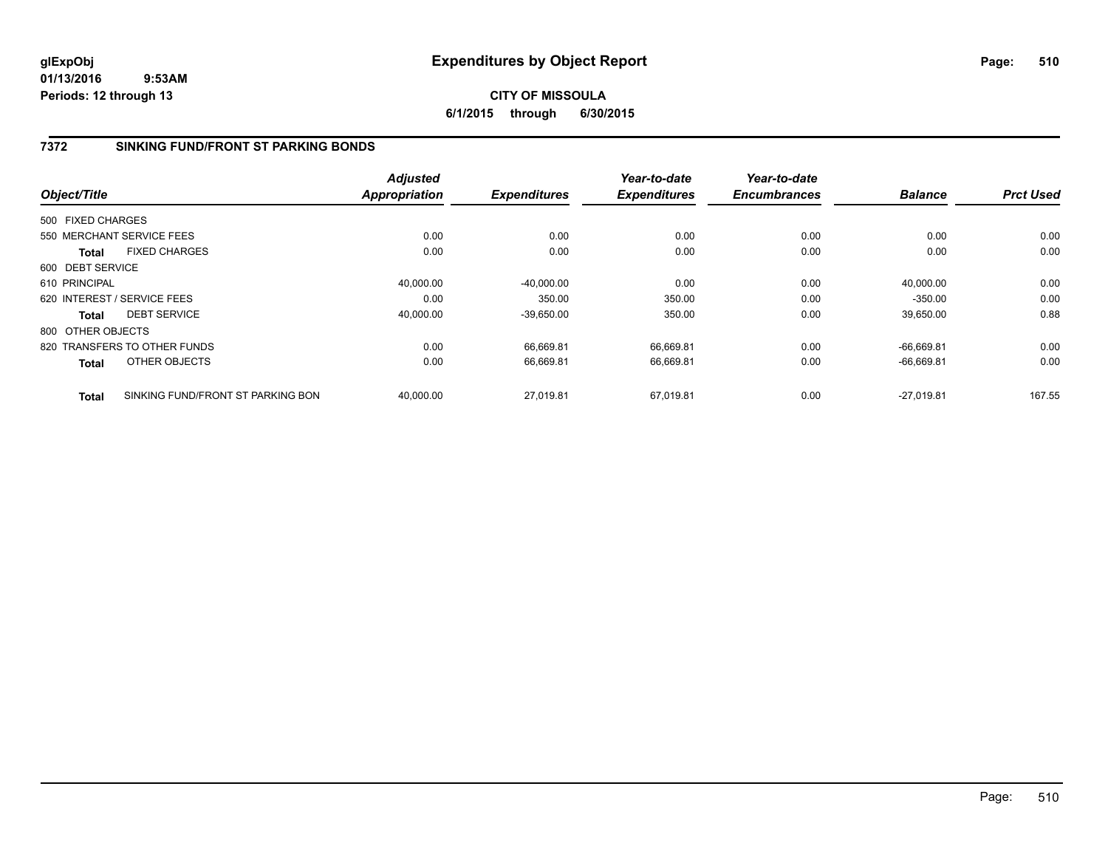**CITY OF MISSOULA 6/1/2015 through 6/30/2015**

# **7372 SINKING FUND/FRONT ST PARKING BONDS**

| Object/Title      |                                   | <b>Adjusted</b><br><b>Appropriation</b> | <b>Expenditures</b> | Year-to-date<br><b>Expenditures</b> | Year-to-date<br><b>Encumbrances</b> | <b>Balance</b> | <b>Prct Used</b> |
|-------------------|-----------------------------------|-----------------------------------------|---------------------|-------------------------------------|-------------------------------------|----------------|------------------|
|                   |                                   |                                         |                     |                                     |                                     |                |                  |
| 500 FIXED CHARGES |                                   |                                         |                     |                                     |                                     |                |                  |
|                   | 550 MERCHANT SERVICE FEES         | 0.00                                    | 0.00                | 0.00                                | 0.00                                | 0.00           | 0.00             |
| <b>Total</b>      | <b>FIXED CHARGES</b>              | 0.00                                    | 0.00                | 0.00                                | 0.00                                | 0.00           | 0.00             |
| 600 DEBT SERVICE  |                                   |                                         |                     |                                     |                                     |                |                  |
| 610 PRINCIPAL     |                                   | 40,000.00                               | $-40,000.00$        | 0.00                                | 0.00                                | 40,000.00      | 0.00             |
|                   | 620 INTEREST / SERVICE FEES       | 0.00                                    | 350.00              | 350.00                              | 0.00                                | $-350.00$      | 0.00             |
| <b>Total</b>      | <b>DEBT SERVICE</b>               | 40,000.00                               | $-39,650.00$        | 350.00                              | 0.00                                | 39,650.00      | 0.88             |
| 800 OTHER OBJECTS |                                   |                                         |                     |                                     |                                     |                |                  |
|                   | 820 TRANSFERS TO OTHER FUNDS      | 0.00                                    | 66.669.81           | 66.669.81                           | 0.00                                | $-66.669.81$   | 0.00             |
| <b>Total</b>      | OTHER OBJECTS                     | 0.00                                    | 66,669.81           | 66,669.81                           | 0.00                                | $-66,669.81$   | 0.00             |
| <b>Total</b>      | SINKING FUND/FRONT ST PARKING BON | 40.000.00                               | 27.019.81           | 67.019.81                           | 0.00                                | $-27.019.81$   | 167.55           |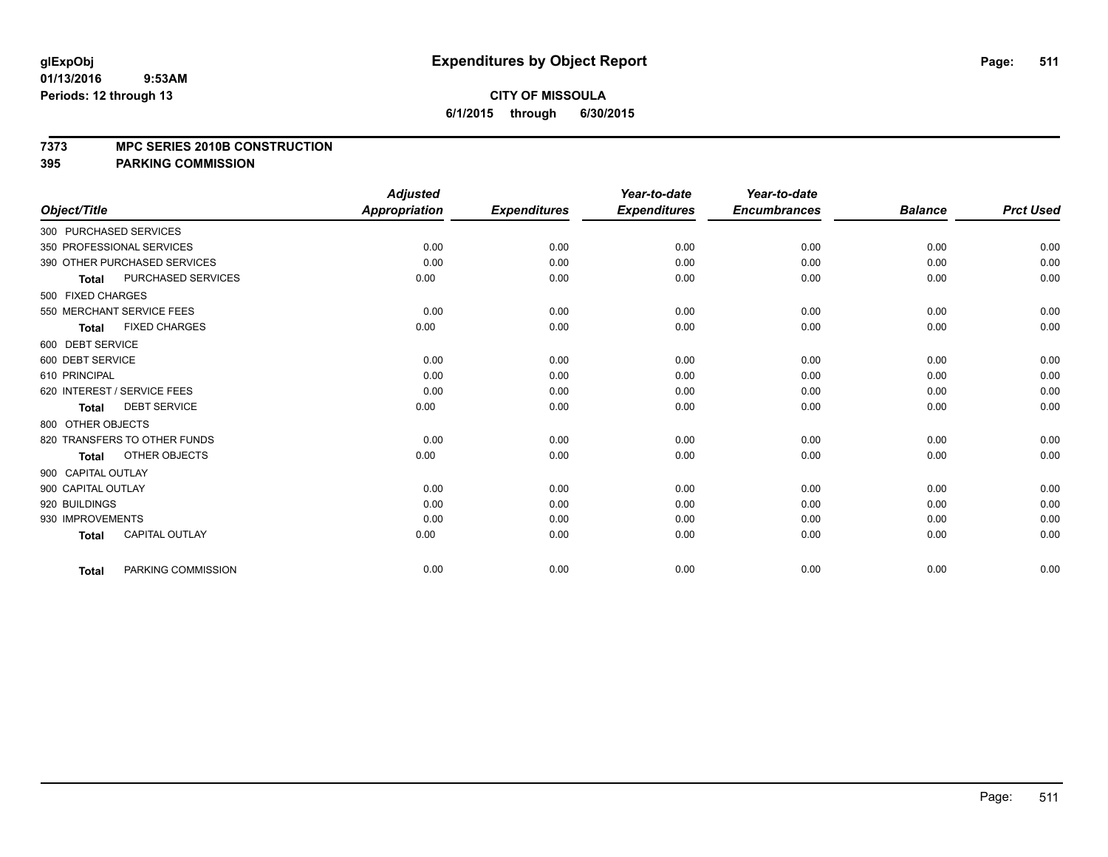#### **7373 MPC SERIES 2010B CONSTRUCTION**

|                              |                       | <b>Adjusted</b>      |                     | Year-to-date        | Year-to-date        |                |                  |
|------------------------------|-----------------------|----------------------|---------------------|---------------------|---------------------|----------------|------------------|
| Object/Title                 |                       | <b>Appropriation</b> | <b>Expenditures</b> | <b>Expenditures</b> | <b>Encumbrances</b> | <b>Balance</b> | <b>Prct Used</b> |
| 300 PURCHASED SERVICES       |                       |                      |                     |                     |                     |                |                  |
| 350 PROFESSIONAL SERVICES    |                       | 0.00                 | 0.00                | 0.00                | 0.00                | 0.00           | 0.00             |
| 390 OTHER PURCHASED SERVICES |                       | 0.00                 | 0.00                | 0.00                | 0.00                | 0.00           | 0.00             |
| <b>Total</b>                 | PURCHASED SERVICES    | 0.00                 | 0.00                | 0.00                | 0.00                | 0.00           | 0.00             |
| 500 FIXED CHARGES            |                       |                      |                     |                     |                     |                |                  |
| 550 MERCHANT SERVICE FEES    |                       | 0.00                 | 0.00                | 0.00                | 0.00                | 0.00           | 0.00             |
| <b>Total</b>                 | <b>FIXED CHARGES</b>  | 0.00                 | 0.00                | 0.00                | 0.00                | 0.00           | 0.00             |
| 600 DEBT SERVICE             |                       |                      |                     |                     |                     |                |                  |
| 600 DEBT SERVICE             |                       | 0.00                 | 0.00                | 0.00                | 0.00                | 0.00           | 0.00             |
| 610 PRINCIPAL                |                       | 0.00                 | 0.00                | 0.00                | 0.00                | 0.00           | 0.00             |
| 620 INTEREST / SERVICE FEES  |                       | 0.00                 | 0.00                | 0.00                | 0.00                | 0.00           | 0.00             |
| <b>Total</b>                 | <b>DEBT SERVICE</b>   | 0.00                 | 0.00                | 0.00                | 0.00                | 0.00           | 0.00             |
| 800 OTHER OBJECTS            |                       |                      |                     |                     |                     |                |                  |
| 820 TRANSFERS TO OTHER FUNDS |                       | 0.00                 | 0.00                | 0.00                | 0.00                | 0.00           | 0.00             |
| <b>Total</b>                 | OTHER OBJECTS         | 0.00                 | 0.00                | 0.00                | 0.00                | 0.00           | 0.00             |
| 900 CAPITAL OUTLAY           |                       |                      |                     |                     |                     |                |                  |
| 900 CAPITAL OUTLAY           |                       | 0.00                 | 0.00                | 0.00                | 0.00                | 0.00           | 0.00             |
| 920 BUILDINGS                |                       | 0.00                 | 0.00                | 0.00                | 0.00                | 0.00           | 0.00             |
| 930 IMPROVEMENTS             |                       | 0.00                 | 0.00                | 0.00                | 0.00                | 0.00           | 0.00             |
| <b>Total</b>                 | <b>CAPITAL OUTLAY</b> | 0.00                 | 0.00                | 0.00                | 0.00                | 0.00           | 0.00             |
| <b>Total</b>                 | PARKING COMMISSION    | 0.00                 | 0.00                | 0.00                | 0.00                | 0.00           | 0.00             |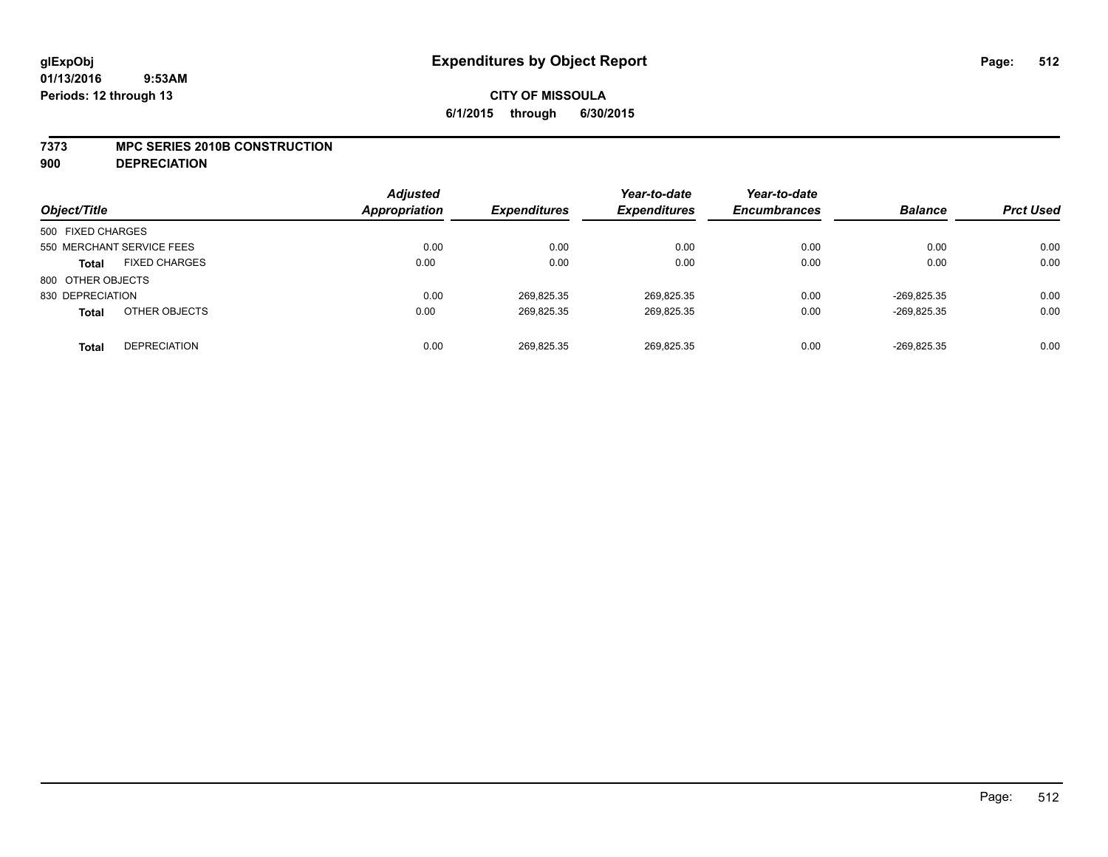#### **7373 MPC SERIES 2010B CONSTRUCTION**

**900 DEPRECIATION**

| Object/Title              |                      | <b>Adjusted</b><br><b>Appropriation</b> | <b>Expenditures</b> | Year-to-date<br><b>Expenditures</b> | Year-to-date<br><b>Encumbrances</b> | <b>Balance</b> | <b>Prct Used</b> |
|---------------------------|----------------------|-----------------------------------------|---------------------|-------------------------------------|-------------------------------------|----------------|------------------|
| 500 FIXED CHARGES         |                      |                                         |                     |                                     |                                     |                |                  |
| 550 MERCHANT SERVICE FEES |                      | 0.00                                    | 0.00                | 0.00                                | 0.00                                | 0.00           | 0.00             |
| <b>Total</b>              | <b>FIXED CHARGES</b> | 0.00                                    | 0.00                | 0.00                                | 0.00                                | 0.00           | 0.00             |
| 800 OTHER OBJECTS         |                      |                                         |                     |                                     |                                     |                |                  |
| 830 DEPRECIATION          |                      | 0.00                                    | 269.825.35          | 269.825.35                          | 0.00                                | -269.825.35    | 0.00             |
| <b>Total</b>              | OTHER OBJECTS        | 0.00                                    | 269.825.35          | 269.825.35                          | 0.00                                | -269.825.35    | 0.00             |
| <b>Total</b>              | <b>DEPRECIATION</b>  | 0.00                                    | 269.825.35          | 269.825.35                          | 0.00                                | -269.825.35    | 0.00             |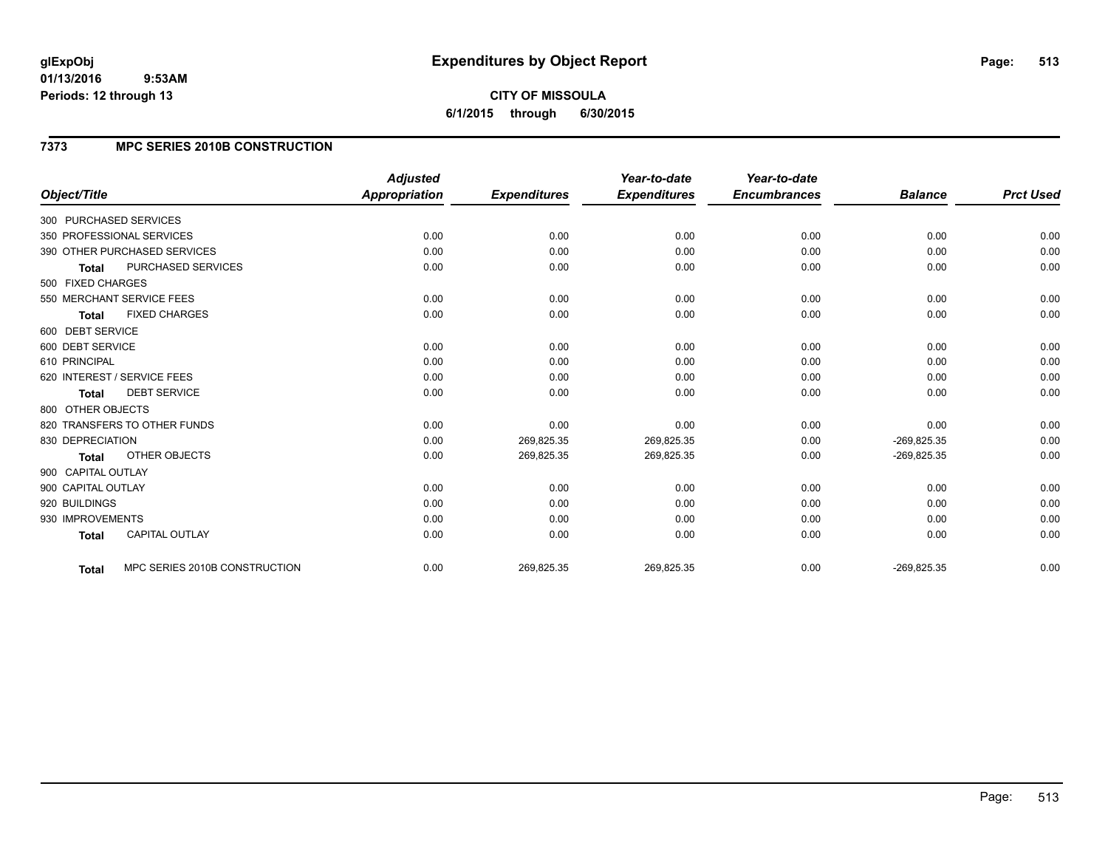# **7373 MPC SERIES 2010B CONSTRUCTION**

|                                       |                               | <b>Adjusted</b>      |                     | Year-to-date        | Year-to-date<br><b>Encumbrances</b> | <b>Balance</b> | <b>Prct Used</b> |
|---------------------------------------|-------------------------------|----------------------|---------------------|---------------------|-------------------------------------|----------------|------------------|
| Object/Title                          |                               | <b>Appropriation</b> | <b>Expenditures</b> | <b>Expenditures</b> |                                     |                |                  |
| 300 PURCHASED SERVICES                |                               |                      |                     |                     |                                     |                |                  |
| 350 PROFESSIONAL SERVICES             |                               | 0.00                 | 0.00                | 0.00                | 0.00                                | 0.00           | 0.00             |
| 390 OTHER PURCHASED SERVICES          |                               | 0.00                 | 0.00                | 0.00                | 0.00                                | 0.00           | 0.00             |
| <b>Total</b>                          | PURCHASED SERVICES            | 0.00                 | 0.00                | 0.00                | 0.00                                | 0.00           | 0.00             |
| 500 FIXED CHARGES                     |                               |                      |                     |                     |                                     |                |                  |
| 550 MERCHANT SERVICE FEES             |                               | 0.00                 | 0.00                | 0.00                | 0.00                                | 0.00           | 0.00             |
| <b>FIXED CHARGES</b><br><b>Total</b>  |                               | 0.00                 | 0.00                | 0.00                | 0.00                                | 0.00           | 0.00             |
| 600 DEBT SERVICE                      |                               |                      |                     |                     |                                     |                |                  |
| 600 DEBT SERVICE                      |                               | 0.00                 | 0.00                | 0.00                | 0.00                                | 0.00           | 0.00             |
| 610 PRINCIPAL                         |                               | 0.00                 | 0.00                | 0.00                | 0.00                                | 0.00           | 0.00             |
| 620 INTEREST / SERVICE FEES           |                               | 0.00                 | 0.00                | 0.00                | 0.00                                | 0.00           | 0.00             |
| <b>DEBT SERVICE</b><br><b>Total</b>   |                               | 0.00                 | 0.00                | 0.00                | 0.00                                | 0.00           | 0.00             |
| 800 OTHER OBJECTS                     |                               |                      |                     |                     |                                     |                |                  |
| 820 TRANSFERS TO OTHER FUNDS          |                               | 0.00                 | 0.00                | 0.00                | 0.00                                | 0.00           | 0.00             |
| 830 DEPRECIATION                      |                               | 0.00                 | 269,825.35          | 269,825.35          | 0.00                                | $-269,825.35$  | 0.00             |
| OTHER OBJECTS<br><b>Total</b>         |                               | 0.00                 | 269,825.35          | 269,825.35          | 0.00                                | $-269,825.35$  | 0.00             |
| 900 CAPITAL OUTLAY                    |                               |                      |                     |                     |                                     |                |                  |
| 900 CAPITAL OUTLAY                    |                               | 0.00                 | 0.00                | 0.00                | 0.00                                | 0.00           | 0.00             |
| 920 BUILDINGS                         |                               | 0.00                 | 0.00                | 0.00                | 0.00                                | 0.00           | 0.00             |
| 930 IMPROVEMENTS                      |                               | 0.00                 | 0.00                | 0.00                | 0.00                                | 0.00           | 0.00             |
| <b>CAPITAL OUTLAY</b><br><b>Total</b> |                               | 0.00                 | 0.00                | 0.00                | 0.00                                | 0.00           | 0.00             |
| <b>Total</b>                          | MPC SERIES 2010B CONSTRUCTION | 0.00                 | 269,825.35          | 269,825.35          | 0.00                                | $-269,825.35$  | 0.00             |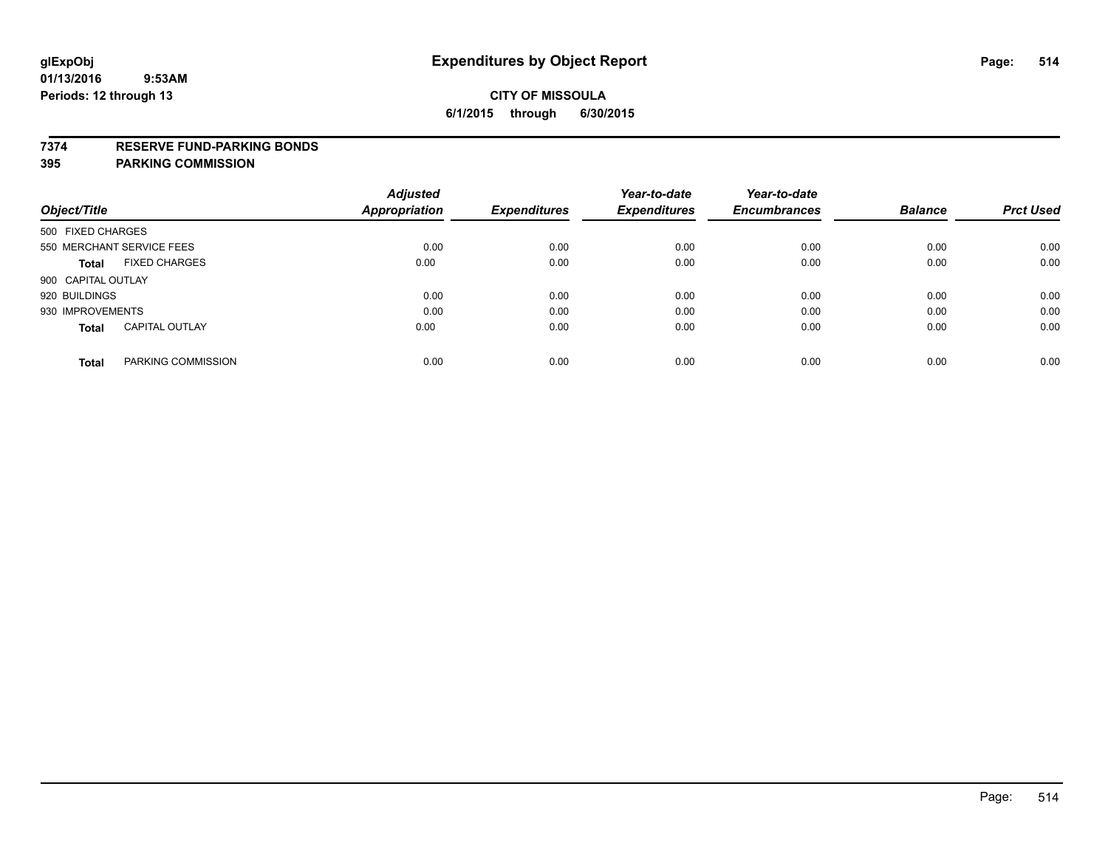### **7374 RESERVE FUND-PARKING BONDS**

| Object/Title              |                       | <b>Adjusted</b><br><b>Appropriation</b> | <b>Expenditures</b> | Year-to-date<br><b>Expenditures</b> | Year-to-date<br><b>Encumbrances</b> | <b>Balance</b> | <b>Prct Used</b> |
|---------------------------|-----------------------|-----------------------------------------|---------------------|-------------------------------------|-------------------------------------|----------------|------------------|
| 500 FIXED CHARGES         |                       |                                         |                     |                                     |                                     |                |                  |
| 550 MERCHANT SERVICE FEES |                       | 0.00                                    | 0.00                | 0.00                                | 0.00                                | 0.00           | 0.00             |
| Total                     | <b>FIXED CHARGES</b>  | 0.00                                    | 0.00                | 0.00                                | 0.00                                | 0.00           | 0.00             |
| 900 CAPITAL OUTLAY        |                       |                                         |                     |                                     |                                     |                |                  |
| 920 BUILDINGS             |                       | 0.00                                    | 0.00                | 0.00                                | 0.00                                | 0.00           | 0.00             |
| 930 IMPROVEMENTS          |                       | 0.00                                    | 0.00                | 0.00                                | 0.00                                | 0.00           | 0.00             |
| <b>Total</b>              | <b>CAPITAL OUTLAY</b> | 0.00                                    | 0.00                | 0.00                                | 0.00                                | 0.00           | 0.00             |
| <b>Total</b>              | PARKING COMMISSION    | 0.00                                    | 0.00                | 0.00                                | 0.00                                | 0.00           | 0.00             |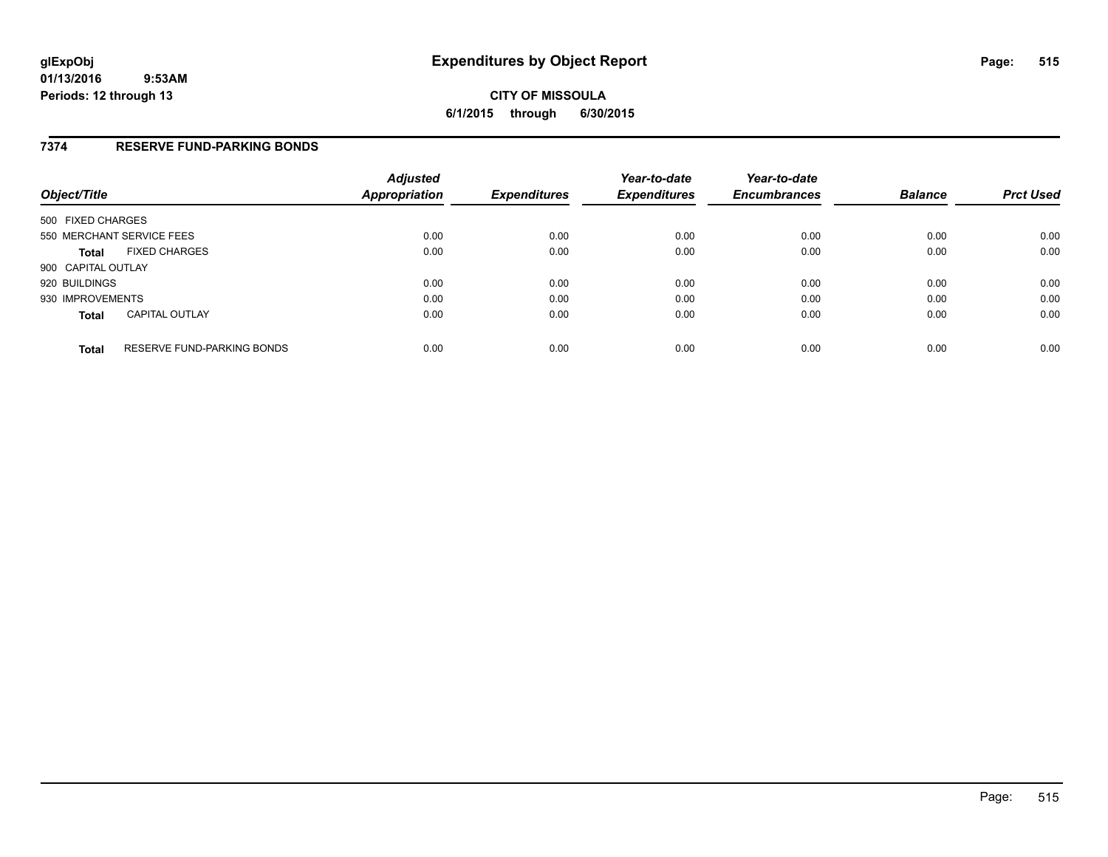# **7374 RESERVE FUND-PARKING BONDS**

| Object/Title              |                                   | <b>Adjusted</b><br>Appropriation | <b>Expenditures</b> | Year-to-date<br><b>Expenditures</b> | Year-to-date<br><b>Encumbrances</b> | <b>Balance</b> | <b>Prct Used</b> |
|---------------------------|-----------------------------------|----------------------------------|---------------------|-------------------------------------|-------------------------------------|----------------|------------------|
| 500 FIXED CHARGES         |                                   |                                  |                     |                                     |                                     |                |                  |
| 550 MERCHANT SERVICE FEES |                                   | 0.00                             | 0.00                | 0.00                                | 0.00                                | 0.00           | 0.00             |
| <b>Total</b>              | <b>FIXED CHARGES</b>              | 0.00                             | 0.00                | 0.00                                | 0.00                                | 0.00           | 0.00             |
| 900 CAPITAL OUTLAY        |                                   |                                  |                     |                                     |                                     |                |                  |
| 920 BUILDINGS             |                                   | 0.00                             | 0.00                | 0.00                                | 0.00                                | 0.00           | 0.00             |
| 930 IMPROVEMENTS          |                                   | 0.00                             | 0.00                | 0.00                                | 0.00                                | 0.00           | 0.00             |
| <b>Total</b>              | <b>CAPITAL OUTLAY</b>             | 0.00                             | 0.00                | 0.00                                | 0.00                                | 0.00           | 0.00             |
| <b>Total</b>              | <b>RESERVE FUND-PARKING BONDS</b> | 0.00                             | 0.00                | 0.00                                | 0.00                                | 0.00           | 0.00             |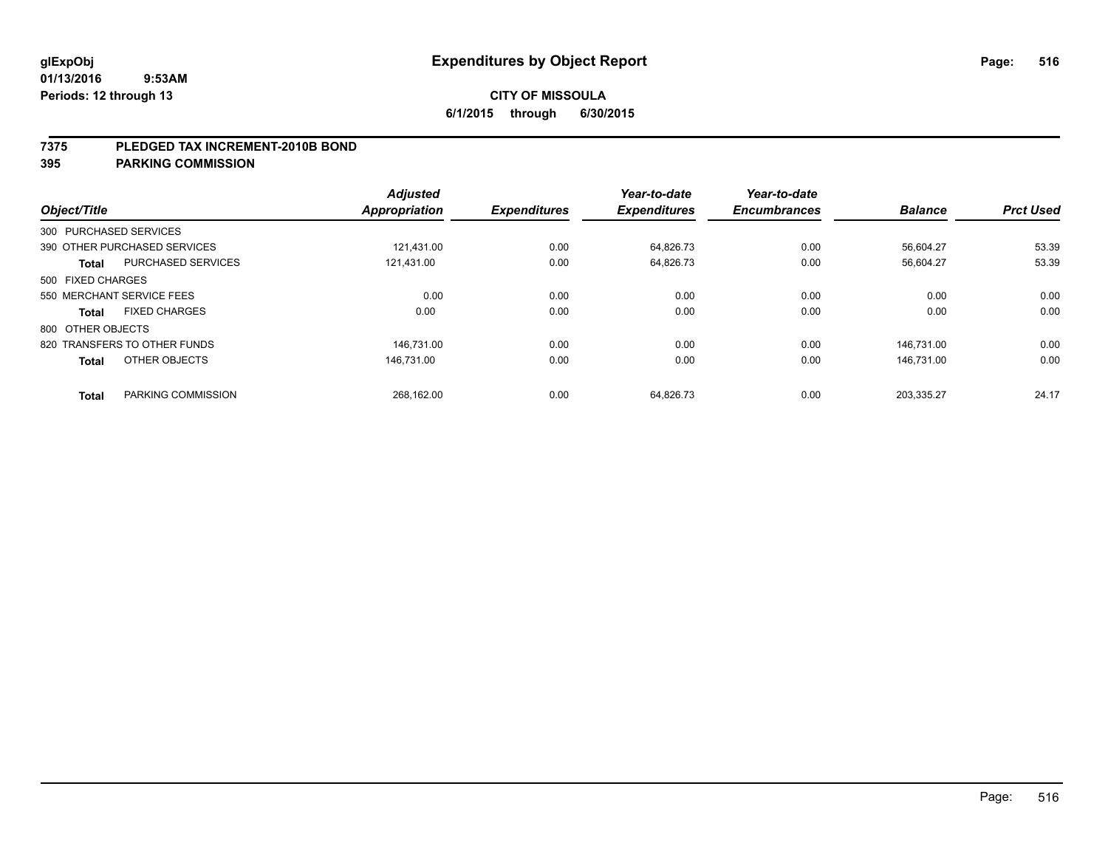#### **7375 PLEDGED TAX INCREMENT-2010B BOND**

| Object/Title      |                              | <b>Adjusted</b><br>Appropriation | <b>Expenditures</b> | Year-to-date<br><b>Expenditures</b> | Year-to-date<br><b>Encumbrances</b> | <b>Balance</b> | <b>Prct Used</b> |
|-------------------|------------------------------|----------------------------------|---------------------|-------------------------------------|-------------------------------------|----------------|------------------|
|                   | 300 PURCHASED SERVICES       |                                  |                     |                                     |                                     |                |                  |
|                   | 390 OTHER PURCHASED SERVICES | 121.431.00                       | 0.00                | 64.826.73                           | 0.00                                | 56.604.27      | 53.39            |
| <b>Total</b>      | <b>PURCHASED SERVICES</b>    | 121.431.00                       | 0.00                | 64,826.73                           | 0.00                                | 56,604.27      | 53.39            |
| 500 FIXED CHARGES |                              |                                  |                     |                                     |                                     |                |                  |
|                   | 550 MERCHANT SERVICE FEES    | 0.00                             | 0.00                | 0.00                                | 0.00                                | 0.00           | 0.00             |
| <b>Total</b>      | <b>FIXED CHARGES</b>         | 0.00                             | 0.00                | 0.00                                | 0.00                                | 0.00           | 0.00             |
| 800 OTHER OBJECTS |                              |                                  |                     |                                     |                                     |                |                  |
|                   | 820 TRANSFERS TO OTHER FUNDS | 146.731.00                       | 0.00                | 0.00                                | 0.00                                | 146.731.00     | 0.00             |
| <b>Total</b>      | OTHER OBJECTS                | 146.731.00                       | 0.00                | 0.00                                | 0.00                                | 146.731.00     | 0.00             |
| <b>Total</b>      | PARKING COMMISSION           | 268.162.00                       | 0.00                | 64,826.73                           | 0.00                                | 203.335.27     | 24.17            |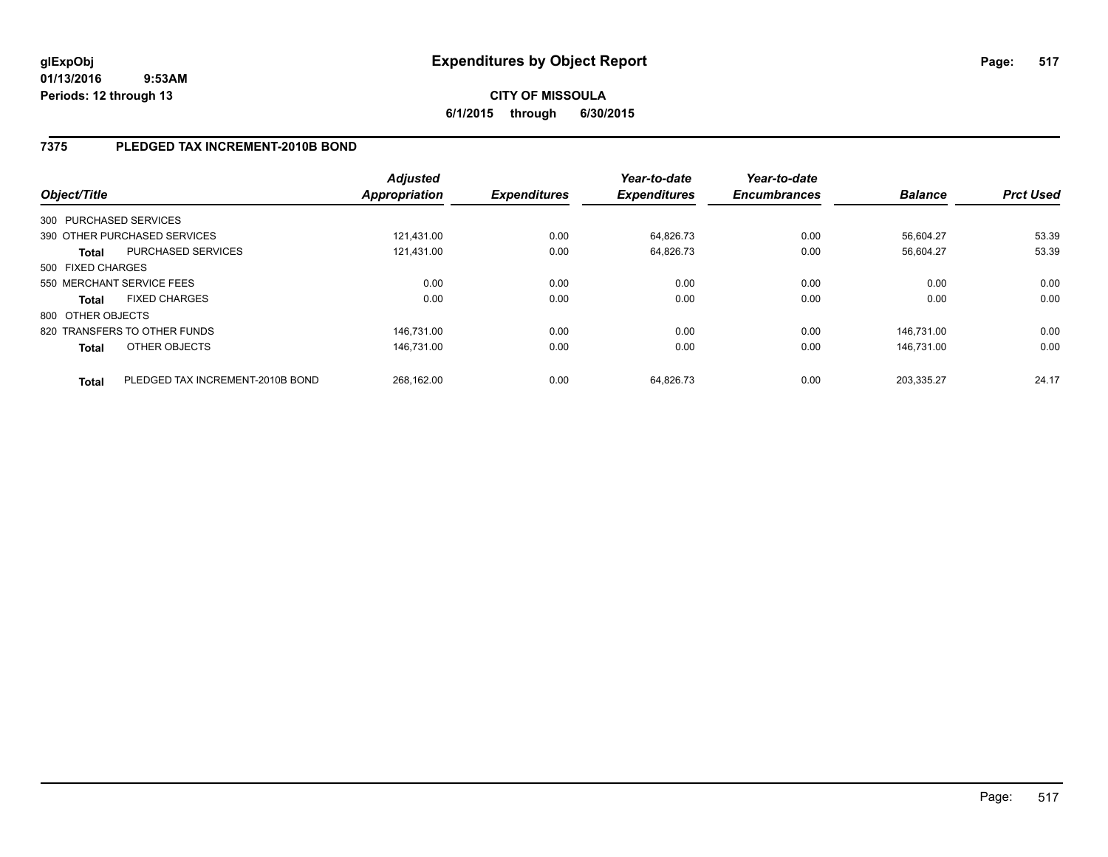**CITY OF MISSOULA 6/1/2015 through 6/30/2015**

# **7375 PLEDGED TAX INCREMENT-2010B BOND**

| Object/Title      |                                  | <b>Adjusted</b><br><b>Appropriation</b> | <b>Expenditures</b> | Year-to-date<br><b>Expenditures</b> | Year-to-date<br><b>Encumbrances</b> | <b>Balance</b> | <b>Prct Used</b> |
|-------------------|----------------------------------|-----------------------------------------|---------------------|-------------------------------------|-------------------------------------|----------------|------------------|
|                   | 300 PURCHASED SERVICES           |                                         |                     |                                     |                                     |                |                  |
|                   | 390 OTHER PURCHASED SERVICES     | 121.431.00                              | 0.00                | 64,826.73                           | 0.00                                | 56.604.27      | 53.39            |
| <b>Total</b>      | <b>PURCHASED SERVICES</b>        | 121,431.00                              | 0.00                | 64,826.73                           | 0.00                                | 56,604.27      | 53.39            |
| 500 FIXED CHARGES |                                  |                                         |                     |                                     |                                     |                |                  |
|                   | 550 MERCHANT SERVICE FEES        | 0.00                                    | 0.00                | 0.00                                | 0.00                                | 0.00           | 0.00             |
| <b>Total</b>      | <b>FIXED CHARGES</b>             | 0.00                                    | 0.00                | 0.00                                | 0.00                                | 0.00           | 0.00             |
| 800 OTHER OBJECTS |                                  |                                         |                     |                                     |                                     |                |                  |
|                   | 820 TRANSFERS TO OTHER FUNDS     | 146.731.00                              | 0.00                | 0.00                                | 0.00                                | 146.731.00     | 0.00             |
| <b>Total</b>      | OTHER OBJECTS                    | 146.731.00                              | 0.00                | 0.00                                | 0.00                                | 146.731.00     | 0.00             |
| <b>Total</b>      | PLEDGED TAX INCREMENT-2010B BOND | 268.162.00                              | 0.00                | 64.826.73                           | 0.00                                | 203.335.27     | 24.17            |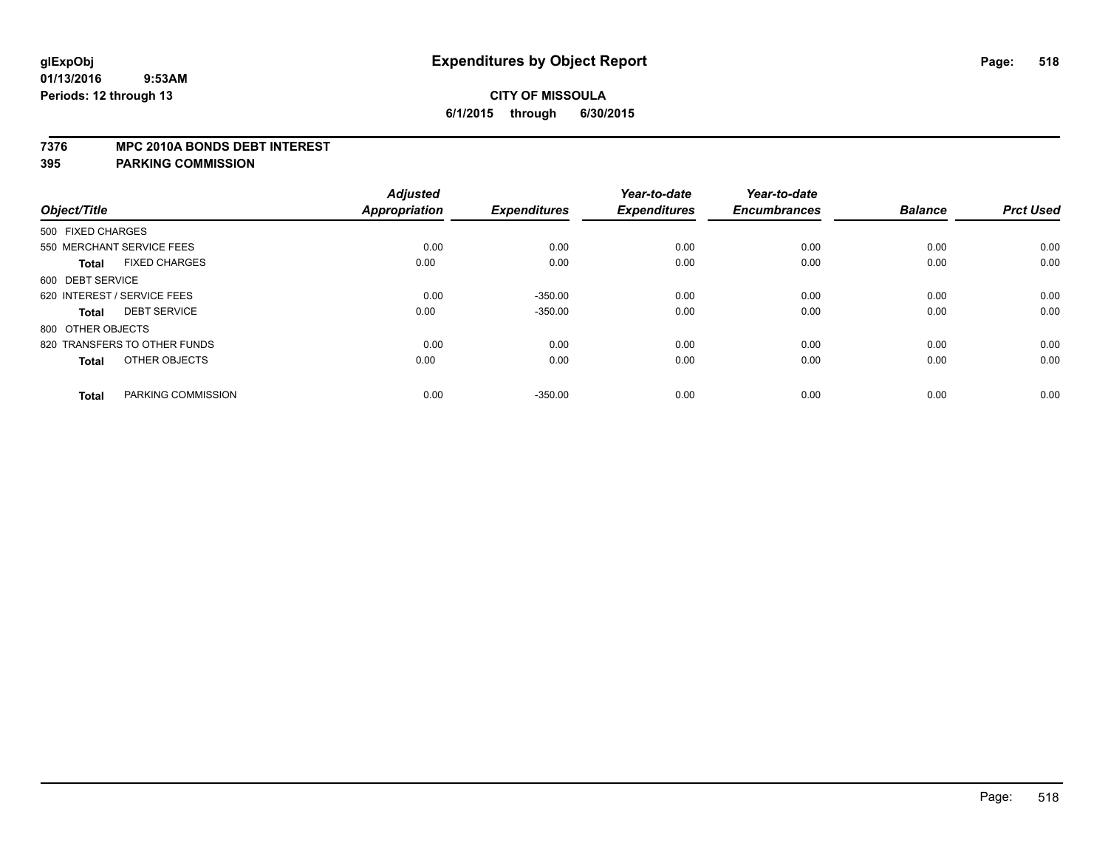#### **7376 MPC 2010A BONDS DEBT INTEREST**

|                                      | <b>Adjusted</b> |                     | Year-to-date        | Year-to-date        |                |                  |
|--------------------------------------|-----------------|---------------------|---------------------|---------------------|----------------|------------------|
| Object/Title                         | Appropriation   | <b>Expenditures</b> | <b>Expenditures</b> | <b>Encumbrances</b> | <b>Balance</b> | <b>Prct Used</b> |
| 500 FIXED CHARGES                    |                 |                     |                     |                     |                |                  |
| 550 MERCHANT SERVICE FEES            | 0.00            | 0.00                | 0.00                | 0.00                | 0.00           | 0.00             |
| <b>FIXED CHARGES</b><br><b>Total</b> | 0.00            | 0.00                | 0.00                | 0.00                | 0.00           | 0.00             |
| 600 DEBT SERVICE                     |                 |                     |                     |                     |                |                  |
| 620 INTEREST / SERVICE FEES          | 0.00            | $-350.00$           | 0.00                | 0.00                | 0.00           | 0.00             |
| <b>DEBT SERVICE</b><br><b>Total</b>  | 0.00            | $-350.00$           | 0.00                | 0.00                | 0.00           | 0.00             |
| 800 OTHER OBJECTS                    |                 |                     |                     |                     |                |                  |
| 820 TRANSFERS TO OTHER FUNDS         | 0.00            | 0.00                | 0.00                | 0.00                | 0.00           | 0.00             |
| OTHER OBJECTS<br><b>Total</b>        | 0.00            | 0.00                | 0.00                | 0.00                | 0.00           | 0.00             |
|                                      |                 |                     |                     |                     |                |                  |
| PARKING COMMISSION<br><b>Total</b>   | 0.00            | $-350.00$           | 0.00                | 0.00                | 0.00           | 0.00             |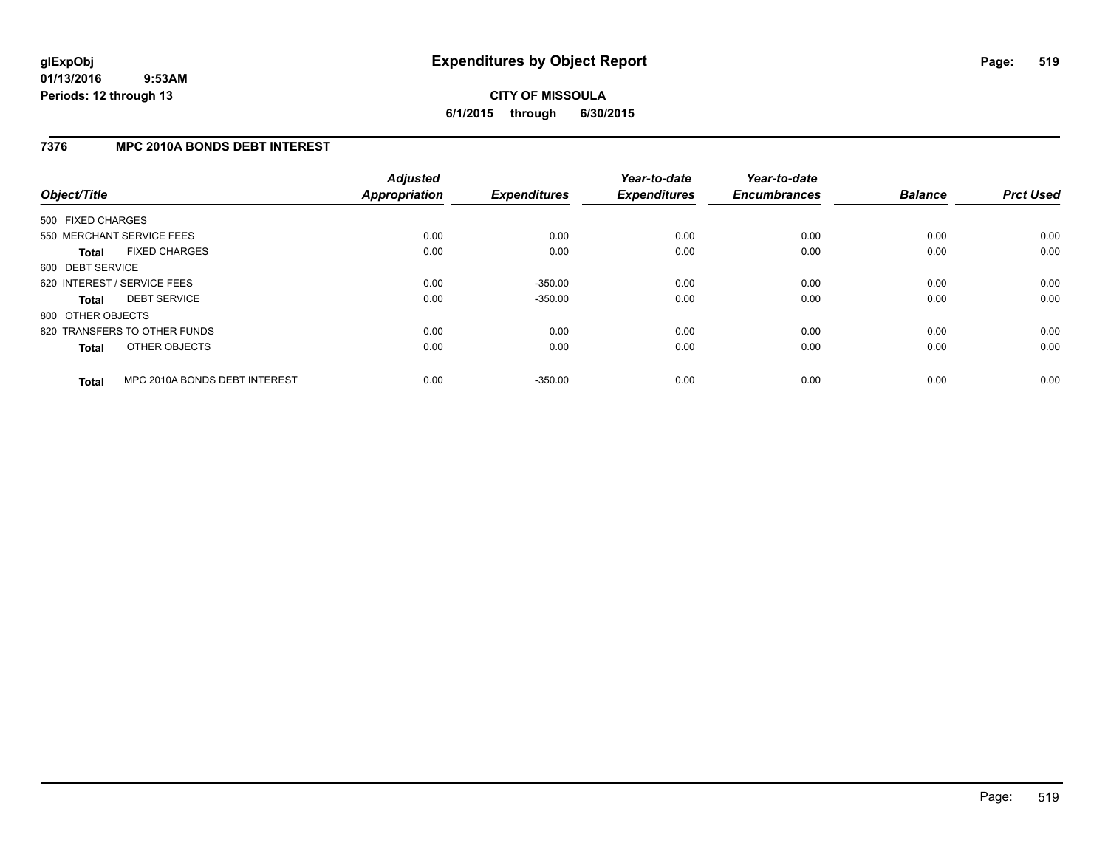# **CITY OF MISSOULA 6/1/2015 through 6/30/2015**

# **7376 MPC 2010A BONDS DEBT INTEREST**

| Object/Title      |                               | <b>Adjusted</b><br>Appropriation | <b>Expenditures</b> | Year-to-date<br><b>Expenditures</b> | Year-to-date<br><b>Encumbrances</b> | <b>Balance</b> | <b>Prct Used</b> |
|-------------------|-------------------------------|----------------------------------|---------------------|-------------------------------------|-------------------------------------|----------------|------------------|
| 500 FIXED CHARGES |                               |                                  |                     |                                     |                                     |                |                  |
|                   | 550 MERCHANT SERVICE FEES     | 0.00                             | 0.00                | 0.00                                | 0.00                                | 0.00           | 0.00             |
| <b>Total</b>      | <b>FIXED CHARGES</b>          | 0.00                             | 0.00                | 0.00                                | 0.00                                | 0.00           | 0.00             |
| 600 DEBT SERVICE  |                               |                                  |                     |                                     |                                     |                |                  |
|                   | 620 INTEREST / SERVICE FEES   | 0.00                             | $-350.00$           | 0.00                                | 0.00                                | 0.00           | 0.00             |
| <b>Total</b>      | <b>DEBT SERVICE</b>           | 0.00                             | $-350.00$           | 0.00                                | 0.00                                | 0.00           | 0.00             |
| 800 OTHER OBJECTS |                               |                                  |                     |                                     |                                     |                |                  |
|                   | 820 TRANSFERS TO OTHER FUNDS  | 0.00                             | 0.00                | 0.00                                | 0.00                                | 0.00           | 0.00             |
| <b>Total</b>      | OTHER OBJECTS                 | 0.00                             | 0.00                | 0.00                                | 0.00                                | 0.00           | 0.00             |
| <b>Total</b>      | MPC 2010A BONDS DEBT INTEREST | 0.00                             | $-350.00$           | 0.00                                | 0.00                                | 0.00           | 0.00             |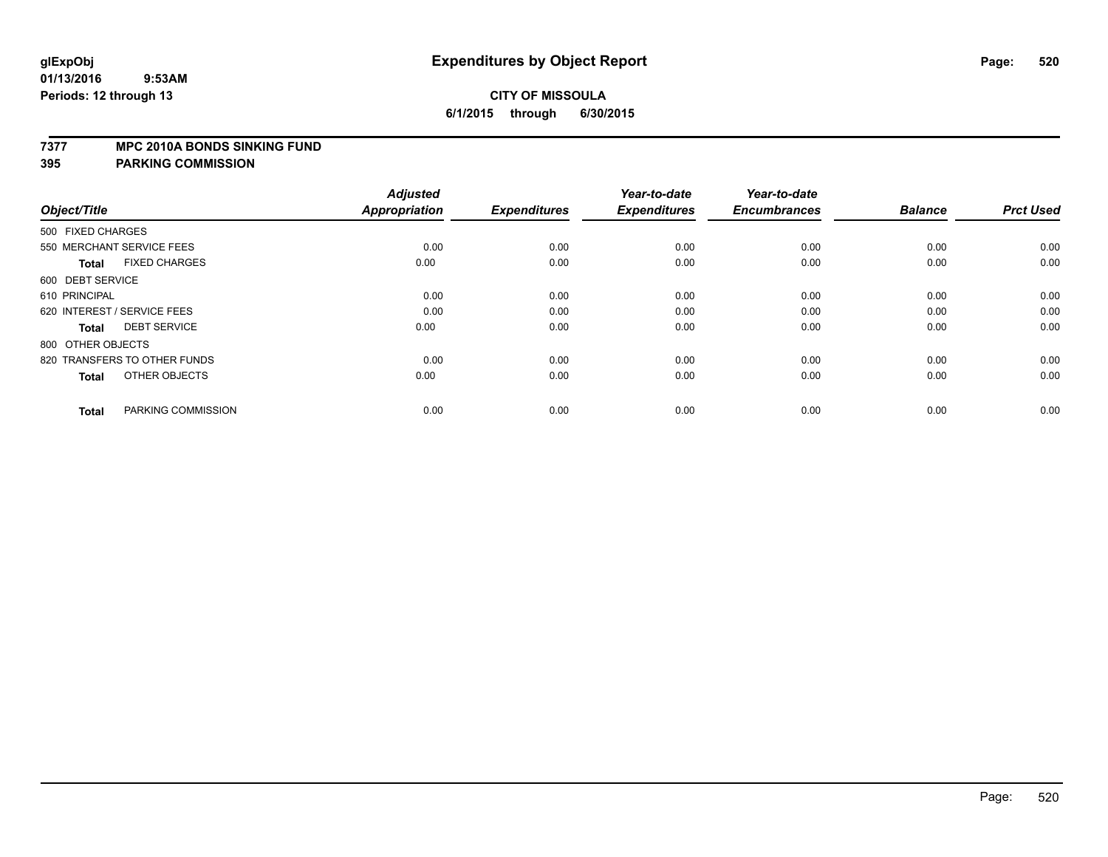#### **7377 MPC 2010A BONDS SINKING FUND**

| Object/Title                         | <b>Adjusted</b><br><b>Appropriation</b> | <b>Expenditures</b> | Year-to-date<br><b>Expenditures</b> | Year-to-date<br><b>Encumbrances</b> | <b>Balance</b> | <b>Prct Used</b> |
|--------------------------------------|-----------------------------------------|---------------------|-------------------------------------|-------------------------------------|----------------|------------------|
| 500 FIXED CHARGES                    |                                         |                     |                                     |                                     |                |                  |
| 550 MERCHANT SERVICE FEES            | 0.00                                    | 0.00                | 0.00                                | 0.00                                | 0.00           | 0.00             |
| <b>FIXED CHARGES</b><br><b>Total</b> | 0.00                                    | 0.00                | 0.00                                | 0.00                                | 0.00           | 0.00             |
| 600 DEBT SERVICE                     |                                         |                     |                                     |                                     |                |                  |
| 610 PRINCIPAL                        | 0.00                                    | 0.00                | 0.00                                | 0.00                                | 0.00           | 0.00             |
| 620 INTEREST / SERVICE FEES          | 0.00                                    | 0.00                | 0.00                                | 0.00                                | 0.00           | 0.00             |
| <b>DEBT SERVICE</b><br><b>Total</b>  | 0.00                                    | 0.00                | 0.00                                | 0.00                                | 0.00           | 0.00             |
| 800 OTHER OBJECTS                    |                                         |                     |                                     |                                     |                |                  |
| 820 TRANSFERS TO OTHER FUNDS         | 0.00                                    | 0.00                | 0.00                                | 0.00                                | 0.00           | 0.00             |
| OTHER OBJECTS<br><b>Total</b>        | 0.00                                    | 0.00                | 0.00                                | 0.00                                | 0.00           | 0.00             |
|                                      |                                         |                     |                                     |                                     |                |                  |
| PARKING COMMISSION<br><b>Total</b>   | 0.00                                    | 0.00                | 0.00                                | 0.00                                | 0.00           | 0.00             |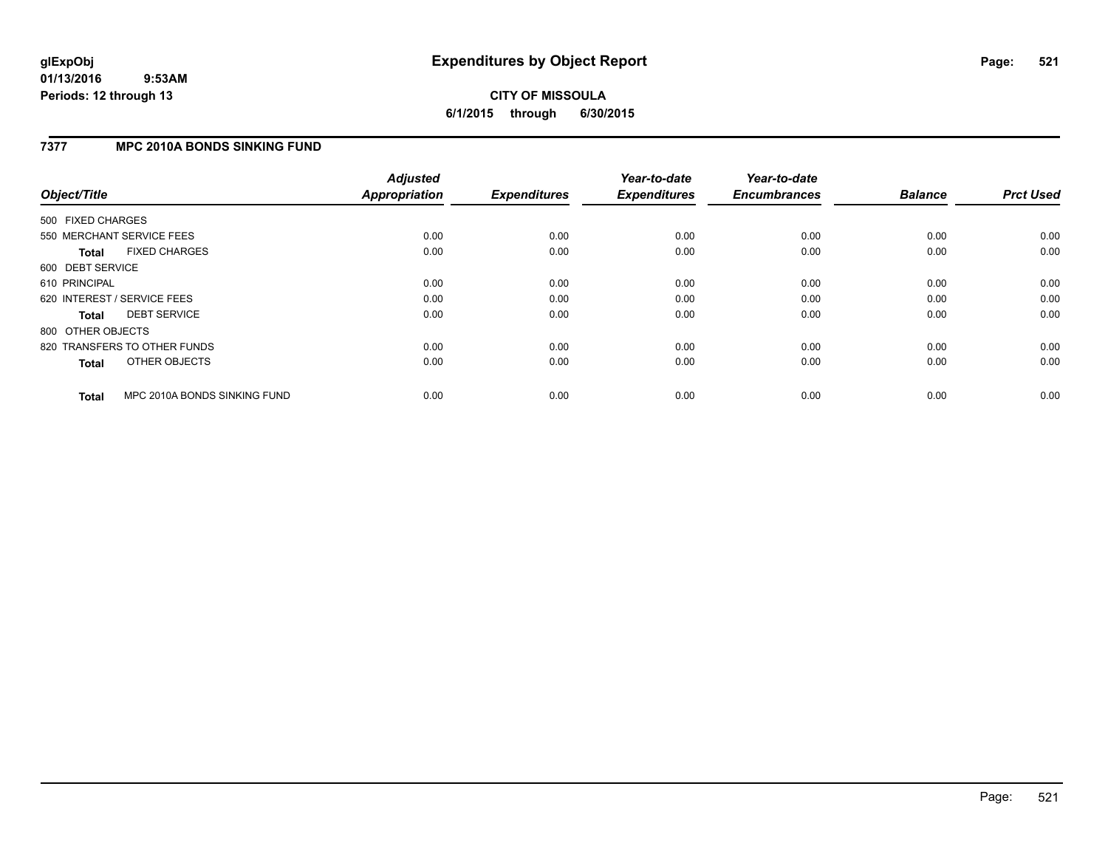# **CITY OF MISSOULA 6/1/2015 through 6/30/2015**

# **7377 MPC 2010A BONDS SINKING FUND**

| Object/Title      |                              | <b>Adjusted</b><br><b>Appropriation</b> | <b>Expenditures</b> | Year-to-date<br><b>Expenditures</b> | Year-to-date<br><b>Encumbrances</b> | <b>Balance</b> | <b>Prct Used</b> |
|-------------------|------------------------------|-----------------------------------------|---------------------|-------------------------------------|-------------------------------------|----------------|------------------|
| 500 FIXED CHARGES |                              |                                         |                     |                                     |                                     |                |                  |
|                   | 550 MERCHANT SERVICE FEES    | 0.00                                    | 0.00                | 0.00                                | 0.00                                | 0.00           | 0.00             |
| <b>Total</b>      | <b>FIXED CHARGES</b>         | 0.00                                    | 0.00                | 0.00                                | 0.00                                | 0.00           | 0.00             |
| 600 DEBT SERVICE  |                              |                                         |                     |                                     |                                     |                |                  |
| 610 PRINCIPAL     |                              | 0.00                                    | 0.00                | 0.00                                | 0.00                                | 0.00           | 0.00             |
|                   | 620 INTEREST / SERVICE FEES  | 0.00                                    | 0.00                | 0.00                                | 0.00                                | 0.00           | 0.00             |
| Total             | <b>DEBT SERVICE</b>          | 0.00                                    | 0.00                | 0.00                                | 0.00                                | 0.00           | 0.00             |
| 800 OTHER OBJECTS |                              |                                         |                     |                                     |                                     |                |                  |
|                   | 820 TRANSFERS TO OTHER FUNDS | 0.00                                    | 0.00                | 0.00                                | 0.00                                | 0.00           | 0.00             |
| <b>Total</b>      | OTHER OBJECTS                | 0.00                                    | 0.00                | 0.00                                | 0.00                                | 0.00           | 0.00             |
| <b>Total</b>      | MPC 2010A BONDS SINKING FUND | 0.00                                    | 0.00                | 0.00                                | 0.00                                | 0.00           | 0.00             |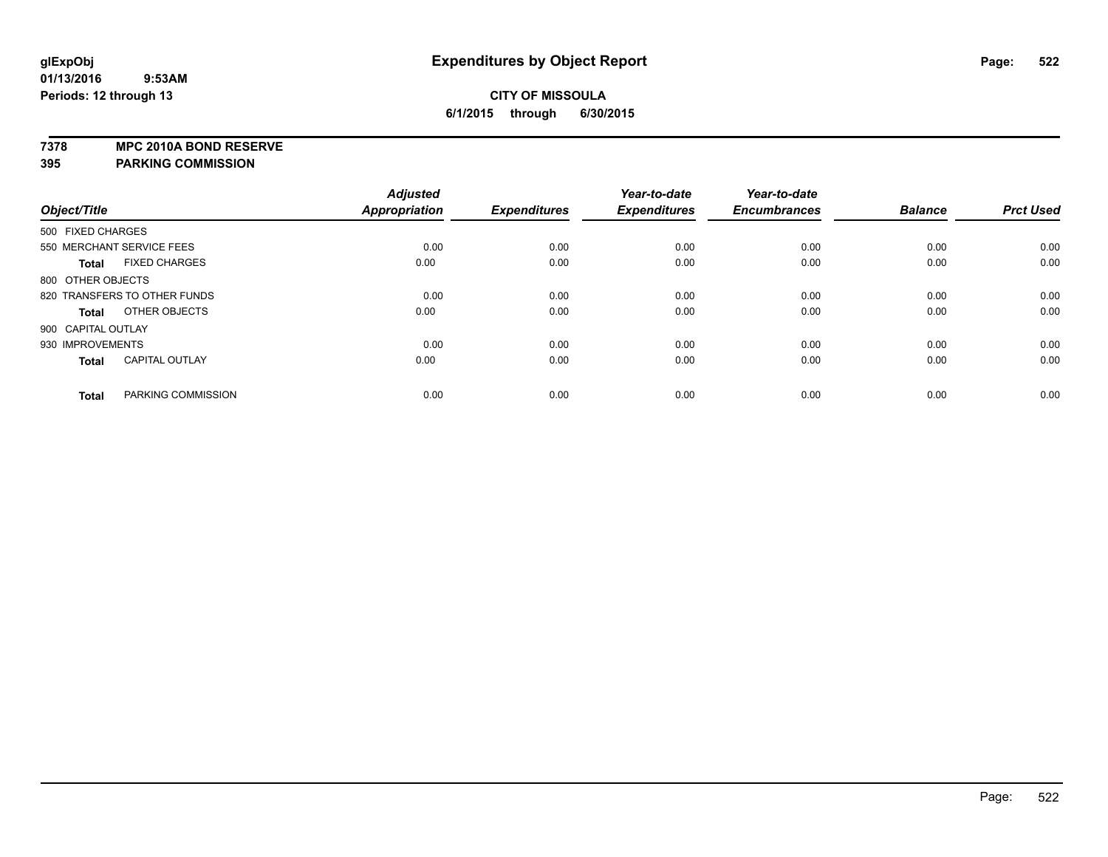**7378 MPC 2010A BOND RESERVE**

|                              |                       | <b>Adjusted</b> |                     | Year-to-date        | Year-to-date        |                |                  |
|------------------------------|-----------------------|-----------------|---------------------|---------------------|---------------------|----------------|------------------|
| Object/Title                 |                       | Appropriation   | <b>Expenditures</b> | <b>Expenditures</b> | <b>Encumbrances</b> | <b>Balance</b> | <b>Prct Used</b> |
| 500 FIXED CHARGES            |                       |                 |                     |                     |                     |                |                  |
| 550 MERCHANT SERVICE FEES    |                       | 0.00            | 0.00                | 0.00                | 0.00                | 0.00           | 0.00             |
| <b>Total</b>                 | <b>FIXED CHARGES</b>  | 0.00            | 0.00                | 0.00                | 0.00                | 0.00           | 0.00             |
| 800 OTHER OBJECTS            |                       |                 |                     |                     |                     |                |                  |
| 820 TRANSFERS TO OTHER FUNDS |                       | 0.00            | 0.00                | 0.00                | 0.00                | 0.00           | 0.00             |
| <b>Total</b>                 | OTHER OBJECTS         | 0.00            | 0.00                | 0.00                | 0.00                | 0.00           | 0.00             |
| 900 CAPITAL OUTLAY           |                       |                 |                     |                     |                     |                |                  |
| 930 IMPROVEMENTS             |                       | 0.00            | 0.00                | 0.00                | 0.00                | 0.00           | 0.00             |
| <b>Total</b>                 | <b>CAPITAL OUTLAY</b> | 0.00            | 0.00                | 0.00                | 0.00                | 0.00           | 0.00             |
| <b>Total</b>                 | PARKING COMMISSION    | 0.00            | 0.00                | 0.00                | 0.00                | 0.00           | 0.00             |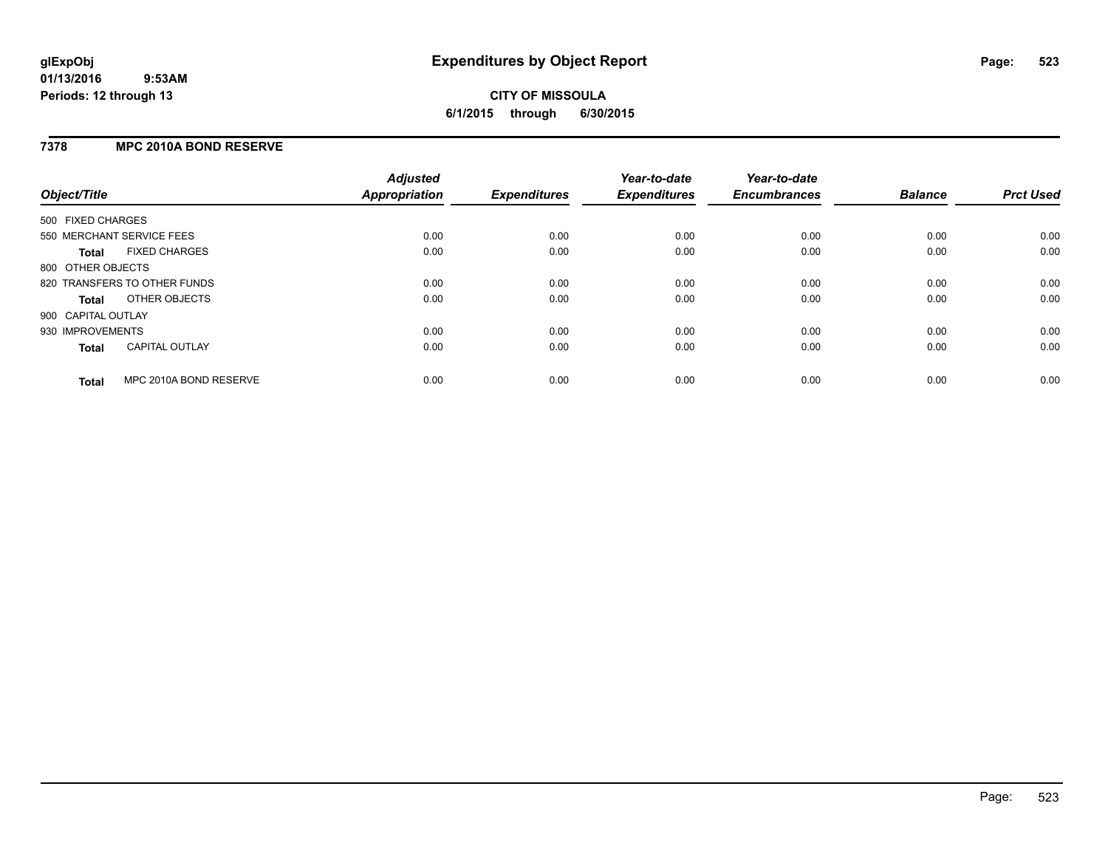# **7378 MPC 2010A BOND RESERVE**

| Object/Title       |                              | <b>Adjusted</b><br><b>Appropriation</b> | <b>Expenditures</b> | Year-to-date<br><b>Expenditures</b> | Year-to-date<br><b>Encumbrances</b> | <b>Balance</b> | <b>Prct Used</b> |
|--------------------|------------------------------|-----------------------------------------|---------------------|-------------------------------------|-------------------------------------|----------------|------------------|
| 500 FIXED CHARGES  |                              |                                         |                     |                                     |                                     |                |                  |
|                    | 550 MERCHANT SERVICE FEES    | 0.00                                    | 0.00                | 0.00                                | 0.00                                | 0.00           | 0.00             |
| <b>Total</b>       | <b>FIXED CHARGES</b>         | 0.00                                    | 0.00                | 0.00                                | 0.00                                | 0.00           | 0.00             |
| 800 OTHER OBJECTS  |                              |                                         |                     |                                     |                                     |                |                  |
|                    | 820 TRANSFERS TO OTHER FUNDS | 0.00                                    | 0.00                | 0.00                                | 0.00                                | 0.00           | 0.00             |
| <b>Total</b>       | OTHER OBJECTS                | 0.00                                    | 0.00                | 0.00                                | 0.00                                | 0.00           | 0.00             |
| 900 CAPITAL OUTLAY |                              |                                         |                     |                                     |                                     |                |                  |
| 930 IMPROVEMENTS   |                              | 0.00                                    | 0.00                | 0.00                                | 0.00                                | 0.00           | 0.00             |
| Total              | <b>CAPITAL OUTLAY</b>        | 0.00                                    | 0.00                | 0.00                                | 0.00                                | 0.00           | 0.00             |
| <b>Total</b>       | MPC 2010A BOND RESERVE       | 0.00                                    | 0.00                | 0.00                                | 0.00                                | 0.00           | 0.00             |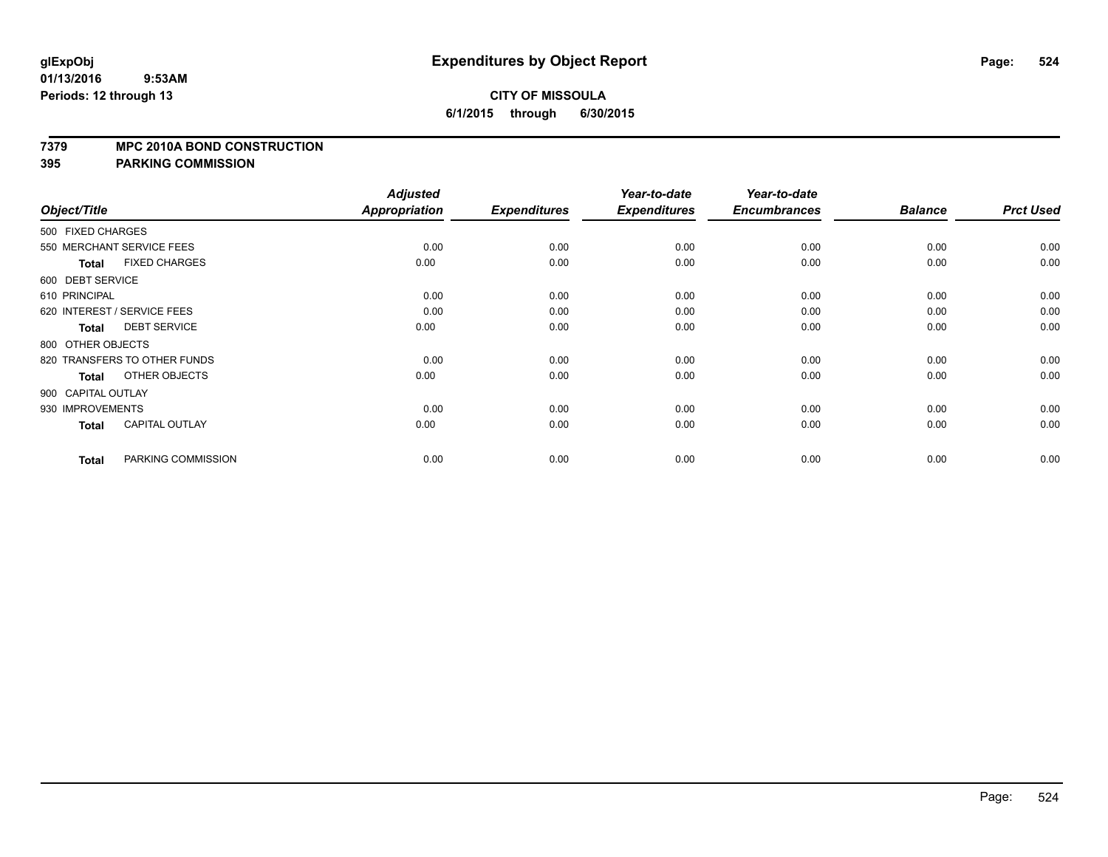#### **7379 MPC 2010A BOND CONSTRUCTION**

|                    |                              | <b>Adjusted</b>      |                     | Year-to-date        | Year-to-date        |                |                  |
|--------------------|------------------------------|----------------------|---------------------|---------------------|---------------------|----------------|------------------|
| Object/Title       |                              | <b>Appropriation</b> | <b>Expenditures</b> | <b>Expenditures</b> | <b>Encumbrances</b> | <b>Balance</b> | <b>Prct Used</b> |
| 500 FIXED CHARGES  |                              |                      |                     |                     |                     |                |                  |
|                    | 550 MERCHANT SERVICE FEES    | 0.00                 | 0.00                | 0.00                | 0.00                | 0.00           | 0.00             |
| <b>Total</b>       | <b>FIXED CHARGES</b>         | 0.00                 | 0.00                | 0.00                | 0.00                | 0.00           | 0.00             |
| 600 DEBT SERVICE   |                              |                      |                     |                     |                     |                |                  |
| 610 PRINCIPAL      |                              | 0.00                 | 0.00                | 0.00                | 0.00                | 0.00           | 0.00             |
|                    | 620 INTEREST / SERVICE FEES  | 0.00                 | 0.00                | 0.00                | 0.00                | 0.00           | 0.00             |
| <b>Total</b>       | <b>DEBT SERVICE</b>          | 0.00                 | 0.00                | 0.00                | 0.00                | 0.00           | 0.00             |
| 800 OTHER OBJECTS  |                              |                      |                     |                     |                     |                |                  |
|                    | 820 TRANSFERS TO OTHER FUNDS | 0.00                 | 0.00                | 0.00                | 0.00                | 0.00           | 0.00             |
| <b>Total</b>       | OTHER OBJECTS                | 0.00                 | 0.00                | 0.00                | 0.00                | 0.00           | 0.00             |
| 900 CAPITAL OUTLAY |                              |                      |                     |                     |                     |                |                  |
| 930 IMPROVEMENTS   |                              | 0.00                 | 0.00                | 0.00                | 0.00                | 0.00           | 0.00             |
| Total              | <b>CAPITAL OUTLAY</b>        | 0.00                 | 0.00                | 0.00                | 0.00                | 0.00           | 0.00             |
| <b>Total</b>       | PARKING COMMISSION           | 0.00                 | 0.00                | 0.00                | 0.00                | 0.00           | 0.00             |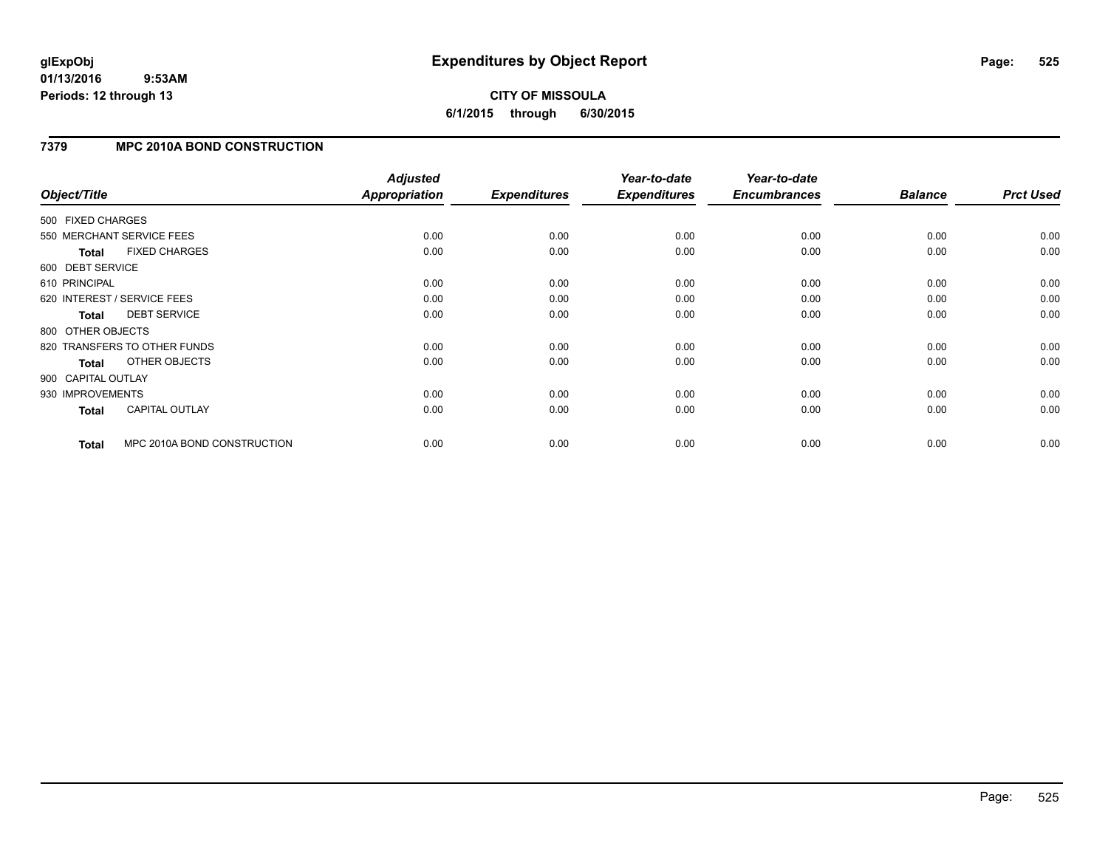# **CITY OF MISSOULA 6/1/2015 through 6/30/2015**

# **7379 MPC 2010A BOND CONSTRUCTION**

| Object/Title       |                              | <b>Adjusted</b><br>Appropriation | <b>Expenditures</b> | Year-to-date<br><b>Expenditures</b> | Year-to-date<br><b>Encumbrances</b> | <b>Balance</b> | <b>Prct Used</b> |
|--------------------|------------------------------|----------------------------------|---------------------|-------------------------------------|-------------------------------------|----------------|------------------|
| 500 FIXED CHARGES  |                              |                                  |                     |                                     |                                     |                |                  |
|                    | 550 MERCHANT SERVICE FEES    | 0.00                             | 0.00                | 0.00                                | 0.00                                | 0.00           | 0.00             |
| <b>Total</b>       | <b>FIXED CHARGES</b>         | 0.00                             | 0.00                | 0.00                                | 0.00                                | 0.00           | 0.00             |
| 600 DEBT SERVICE   |                              |                                  |                     |                                     |                                     |                |                  |
| 610 PRINCIPAL      |                              | 0.00                             | 0.00                | 0.00                                | 0.00                                | 0.00           | 0.00             |
|                    | 620 INTEREST / SERVICE FEES  | 0.00                             | 0.00                | 0.00                                | 0.00                                | 0.00           | 0.00             |
| <b>Total</b>       | <b>DEBT SERVICE</b>          | 0.00                             | 0.00                | 0.00                                | 0.00                                | 0.00           | 0.00             |
| 800 OTHER OBJECTS  |                              |                                  |                     |                                     |                                     |                |                  |
|                    | 820 TRANSFERS TO OTHER FUNDS | 0.00                             | 0.00                | 0.00                                | 0.00                                | 0.00           | 0.00             |
| <b>Total</b>       | OTHER OBJECTS                | 0.00                             | 0.00                | 0.00                                | 0.00                                | 0.00           | 0.00             |
| 900 CAPITAL OUTLAY |                              |                                  |                     |                                     |                                     |                |                  |
| 930 IMPROVEMENTS   |                              | 0.00                             | 0.00                | 0.00                                | 0.00                                | 0.00           | 0.00             |
| Total              | <b>CAPITAL OUTLAY</b>        | 0.00                             | 0.00                | 0.00                                | 0.00                                | 0.00           | 0.00             |
| <b>Total</b>       | MPC 2010A BOND CONSTRUCTION  | 0.00                             | 0.00                | 0.00                                | 0.00                                | 0.00           | 0.00             |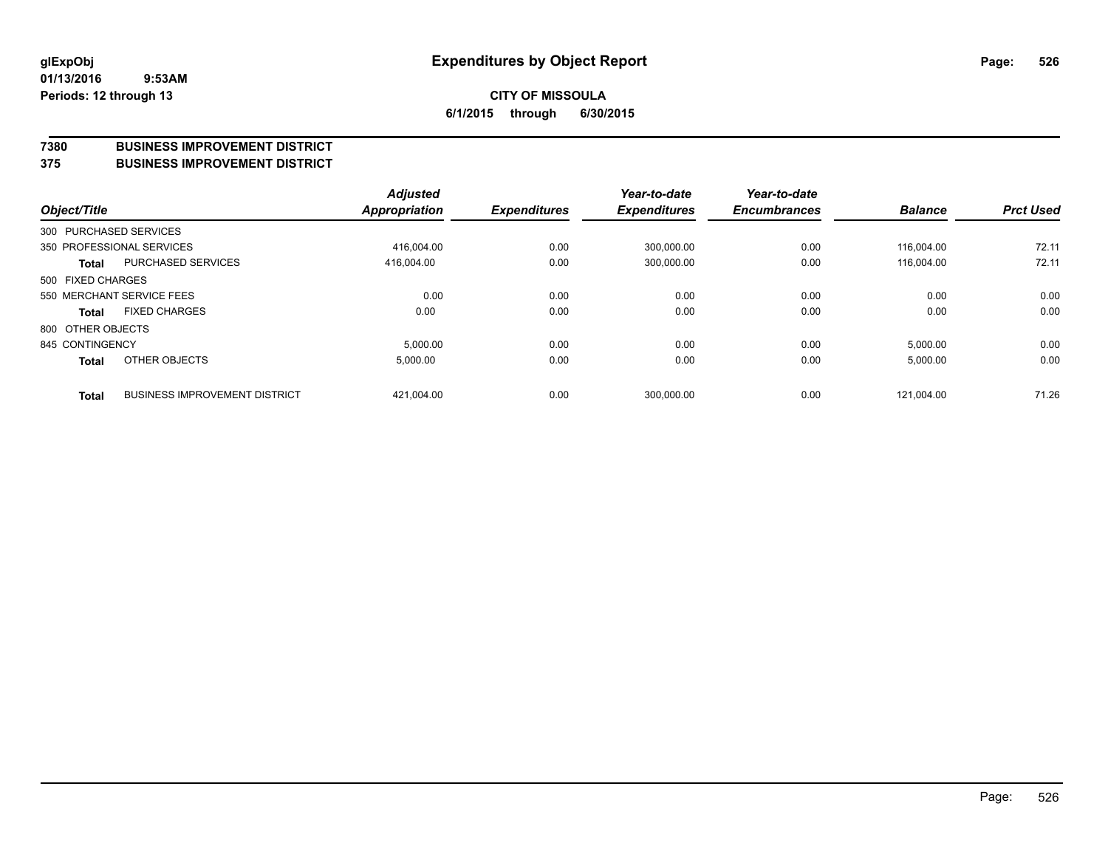#### **7380 BUSINESS IMPROVEMENT DISTRICT**

#### **375 BUSINESS IMPROVEMENT DISTRICT**

| Object/Title      |              |                                      | <b>Adjusted</b><br><b>Appropriation</b> | <b>Expenditures</b> | Year-to-date<br><b>Expenditures</b> | Year-to-date<br><b>Encumbrances</b> | <b>Balance</b> | <b>Prct Used</b> |
|-------------------|--------------|--------------------------------------|-----------------------------------------|---------------------|-------------------------------------|-------------------------------------|----------------|------------------|
|                   |              | 300 PURCHASED SERVICES               |                                         |                     |                                     |                                     |                |                  |
|                   |              | 350 PROFESSIONAL SERVICES            | 416.004.00                              | 0.00                | 300.000.00                          | 0.00                                | 116.004.00     | 72.11            |
|                   | <b>Total</b> | <b>PURCHASED SERVICES</b>            | 416.004.00                              | 0.00                | 300,000.00                          | 0.00                                | 116.004.00     | 72.11            |
| 500 FIXED CHARGES |              |                                      |                                         |                     |                                     |                                     |                |                  |
|                   |              | 550 MERCHANT SERVICE FEES            | 0.00                                    | 0.00                | 0.00                                | 0.00                                | 0.00           | 0.00             |
|                   | <b>Total</b> | <b>FIXED CHARGES</b>                 | 0.00                                    | 0.00                | 0.00                                | 0.00                                | 0.00           | 0.00             |
| 800 OTHER OBJECTS |              |                                      |                                         |                     |                                     |                                     |                |                  |
| 845 CONTINGENCY   |              |                                      | 5,000.00                                | 0.00                | 0.00                                | 0.00                                | 5,000.00       | 0.00             |
|                   | <b>Total</b> | OTHER OBJECTS                        | 5,000.00                                | 0.00                | 0.00                                | 0.00                                | 5,000.00       | 0.00             |
|                   | <b>Total</b> | <b>BUSINESS IMPROVEMENT DISTRICT</b> | 421,004.00                              | 0.00                | 300,000.00                          | 0.00                                | 121.004.00     | 71.26            |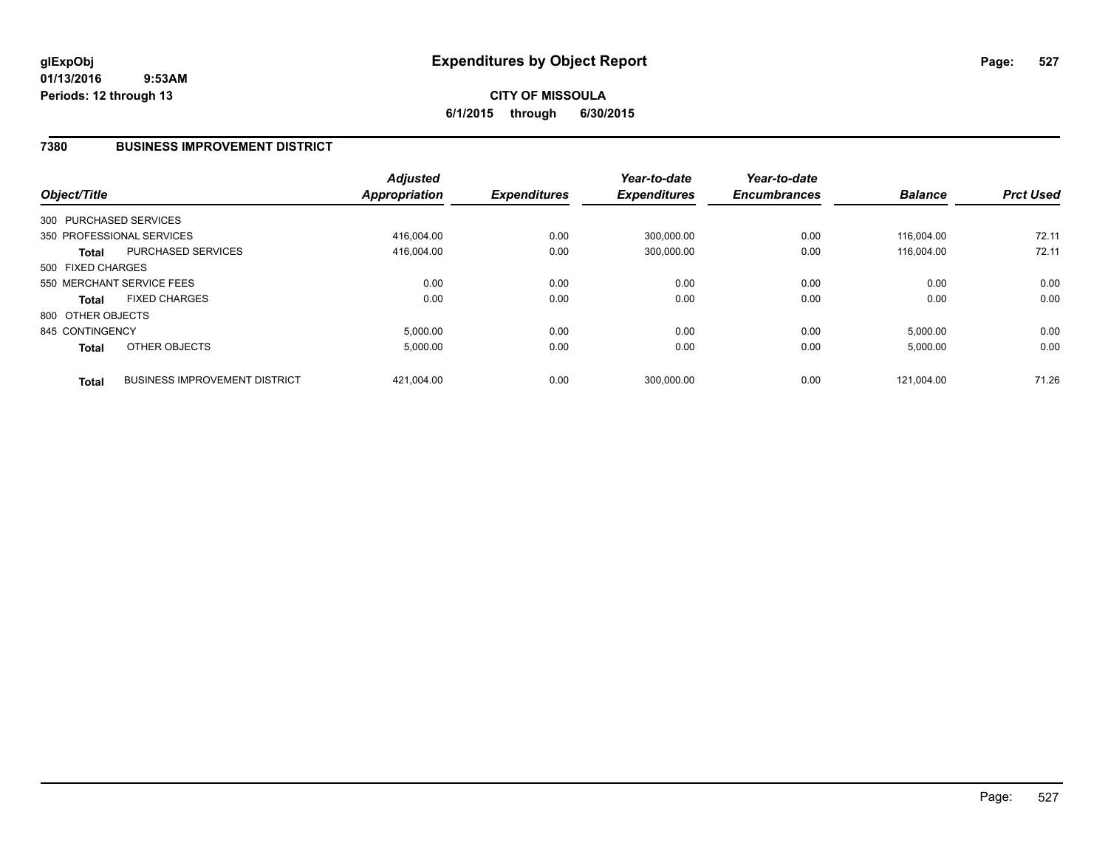# **CITY OF MISSOULA 6/1/2015 through 6/30/2015**

# **7380 BUSINESS IMPROVEMENT DISTRICT**

| Object/Title      |                                      | <b>Adjusted</b><br><b>Appropriation</b> | <b>Expenditures</b> | Year-to-date<br><b>Expenditures</b> | Year-to-date<br><b>Encumbrances</b> | <b>Balance</b> | <b>Prct Used</b> |
|-------------------|--------------------------------------|-----------------------------------------|---------------------|-------------------------------------|-------------------------------------|----------------|------------------|
|                   | 300 PURCHASED SERVICES               |                                         |                     |                                     |                                     |                |                  |
|                   | 350 PROFESSIONAL SERVICES            | 416.004.00                              | 0.00                | 300,000.00                          | 0.00                                | 116.004.00     | 72.11            |
| <b>Total</b>      | <b>PURCHASED SERVICES</b>            | 416,004.00                              | 0.00                | 300,000.00                          | 0.00                                | 116.004.00     | 72.11            |
| 500 FIXED CHARGES |                                      |                                         |                     |                                     |                                     |                |                  |
|                   | 550 MERCHANT SERVICE FEES            | 0.00                                    | 0.00                | 0.00                                | 0.00                                | 0.00           | 0.00             |
| <b>Total</b>      | <b>FIXED CHARGES</b>                 | 0.00                                    | 0.00                | 0.00                                | 0.00                                | 0.00           | 0.00             |
| 800 OTHER OBJECTS |                                      |                                         |                     |                                     |                                     |                |                  |
| 845 CONTINGENCY   |                                      | 5,000.00                                | 0.00                | 0.00                                | 0.00                                | 5,000.00       | 0.00             |
| <b>Total</b>      | OTHER OBJECTS                        | 5,000.00                                | 0.00                | 0.00                                | 0.00                                | 5,000.00       | 0.00             |
| <b>Total</b>      | <b>BUSINESS IMPROVEMENT DISTRICT</b> | 421.004.00                              | 0.00                | 300.000.00                          | 0.00                                | 121.004.00     | 71.26            |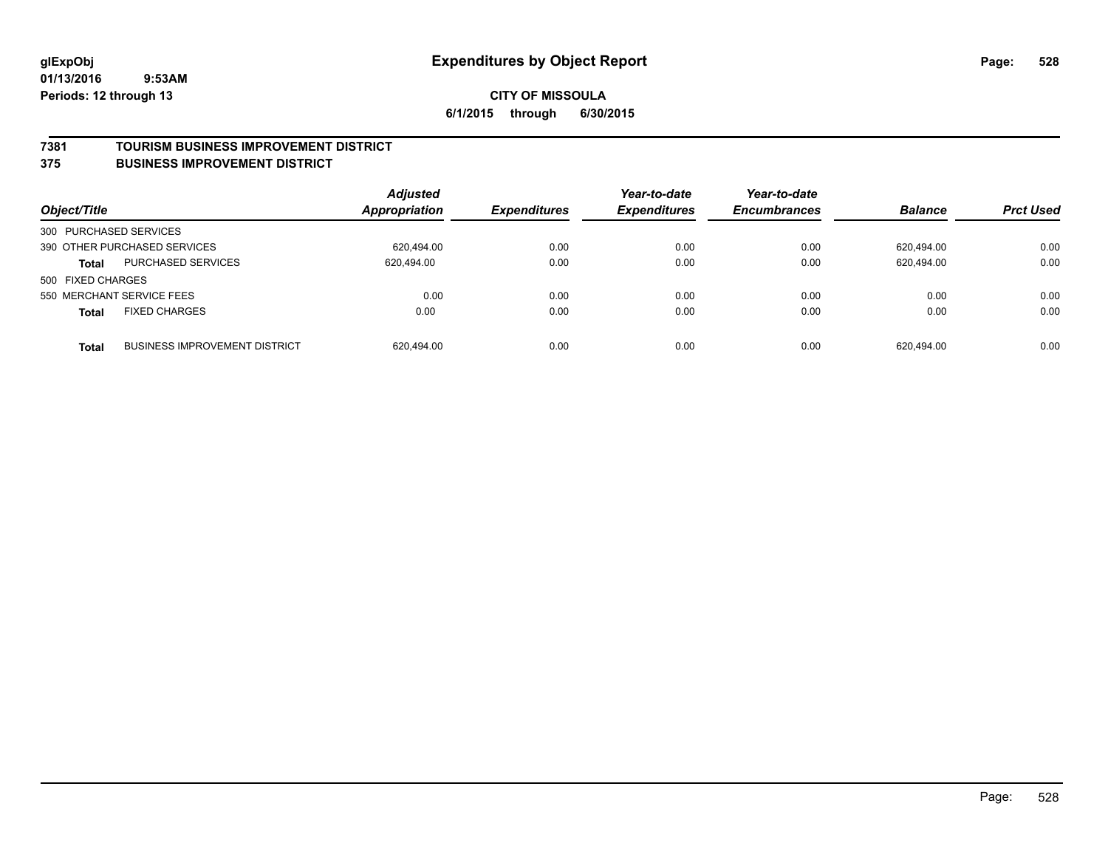#### **7381 TOURISM BUSINESS IMPROVEMENT DISTRICT**

#### **375 BUSINESS IMPROVEMENT DISTRICT**

| Object/Title           |                                      | <b>Adjusted</b><br>Appropriation | <b>Expenditures</b> | Year-to-date<br><b>Expenditures</b> | Year-to-date<br><b>Encumbrances</b> | <b>Balance</b> | <b>Prct Used</b> |
|------------------------|--------------------------------------|----------------------------------|---------------------|-------------------------------------|-------------------------------------|----------------|------------------|
| 300 PURCHASED SERVICES |                                      |                                  |                     |                                     |                                     |                |                  |
|                        | 390 OTHER PURCHASED SERVICES         | 620.494.00                       | 0.00                | 0.00                                | 0.00                                | 620.494.00     | 0.00             |
| <b>Total</b>           | PURCHASED SERVICES                   | 620,494.00                       | 0.00                | 0.00                                | 0.00                                | 620,494.00     | 0.00             |
| 500 FIXED CHARGES      |                                      |                                  |                     |                                     |                                     |                |                  |
|                        | 550 MERCHANT SERVICE FEES            | 0.00                             | 0.00                | 0.00                                | 0.00                                | 0.00           | 0.00             |
| <b>Total</b>           | <b>FIXED CHARGES</b>                 | 0.00                             | 0.00                | 0.00                                | 0.00                                | 0.00           | 0.00             |
| <b>Total</b>           | <b>BUSINESS IMPROVEMENT DISTRICT</b> | 620.494.00                       | 0.00                | 0.00                                | 0.00                                | 620.494.00     | 0.00             |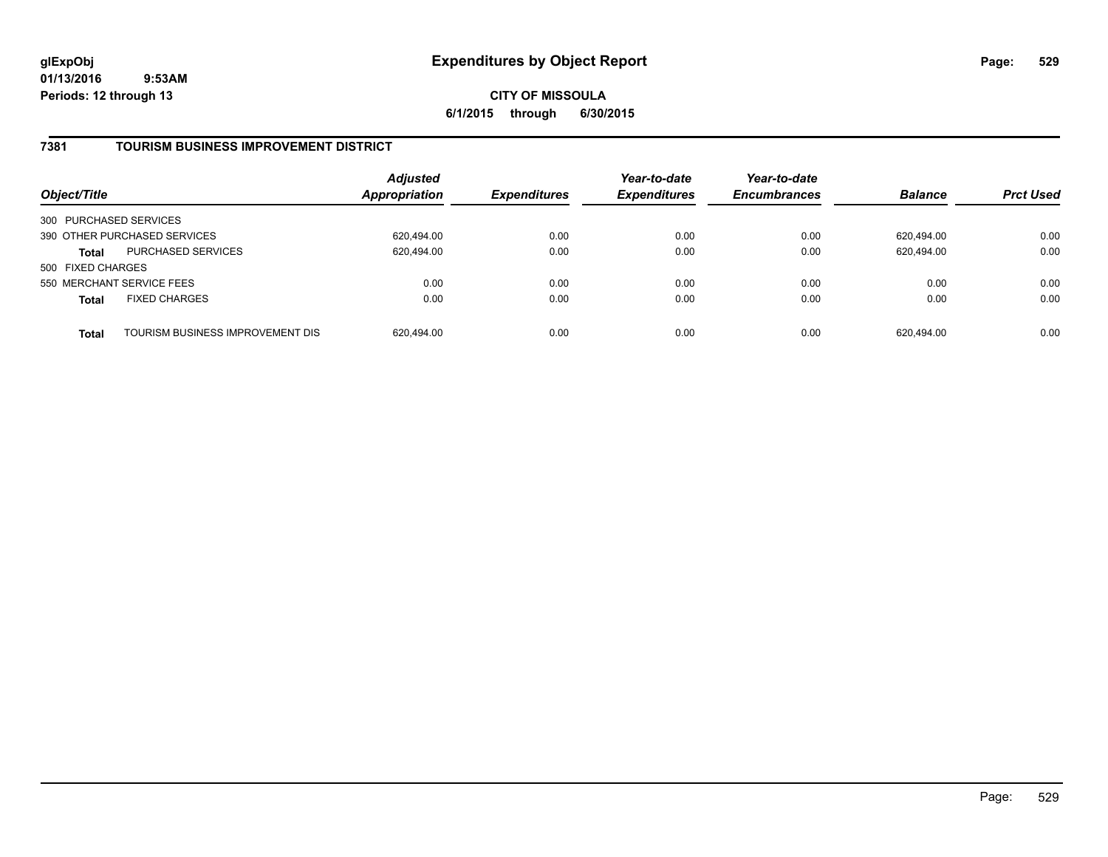**CITY OF MISSOULA 6/1/2015 through 6/30/2015**

# **7381 TOURISM BUSINESS IMPROVEMENT DISTRICT**

| Object/Title                 |                                  | <b>Adjusted</b><br>Appropriation | <b>Expenditures</b> | Year-to-date<br><b>Expenditures</b> | Year-to-date<br><b>Encumbrances</b> | <b>Balance</b> | <b>Prct Used</b> |
|------------------------------|----------------------------------|----------------------------------|---------------------|-------------------------------------|-------------------------------------|----------------|------------------|
| 300 PURCHASED SERVICES       |                                  |                                  |                     |                                     |                                     |                |                  |
| 390 OTHER PURCHASED SERVICES |                                  | 620,494.00                       | 0.00                | 0.00                                | 0.00                                | 620.494.00     | 0.00             |
| <b>Total</b>                 | <b>PURCHASED SERVICES</b>        | 620,494.00                       | 0.00                | 0.00                                | 0.00                                | 620.494.00     | 0.00             |
| 500 FIXED CHARGES            |                                  |                                  |                     |                                     |                                     |                |                  |
| 550 MERCHANT SERVICE FEES    |                                  | 0.00                             | 0.00                | 0.00                                | 0.00                                | 0.00           | 0.00             |
| <b>Total</b>                 | <b>FIXED CHARGES</b>             | 0.00                             | 0.00                | 0.00                                | 0.00                                | 0.00           | 0.00             |
| <b>Total</b>                 | TOURISM BUSINESS IMPROVEMENT DIS | 620,494.00                       | 0.00                | 0.00                                | 0.00                                | 620.494.00     | 0.00             |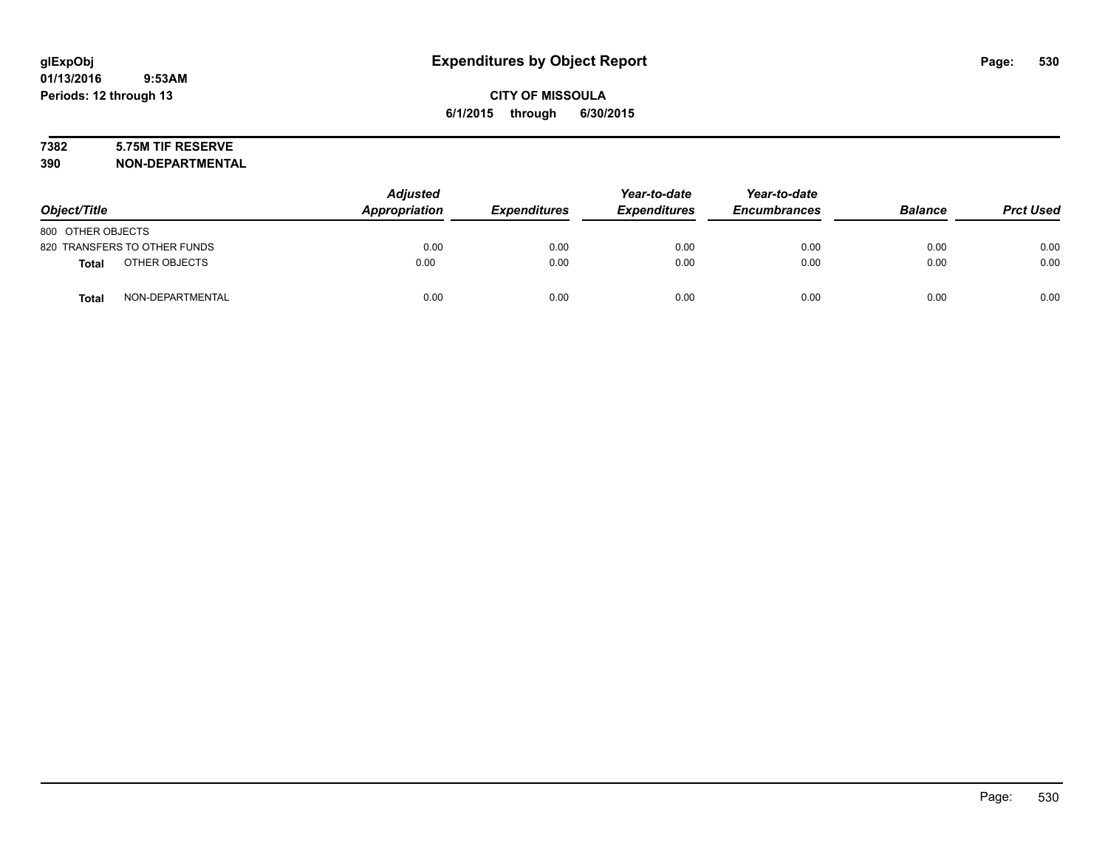# **7382 5.75M TIF RESERVE**

**390 NON-DEPARTMENTAL**

| Object/Title      |                              | <b>Adjusted</b><br>Appropriation | <b>Expenditures</b> | Year-to-date<br><b>Expenditures</b> | Year-to-date<br><b>Encumbrances</b> | <b>Balance</b> | <b>Prct Used</b> |
|-------------------|------------------------------|----------------------------------|---------------------|-------------------------------------|-------------------------------------|----------------|------------------|
| 800 OTHER OBJECTS |                              |                                  |                     |                                     |                                     |                |                  |
|                   | 820 TRANSFERS TO OTHER FUNDS | 0.00                             | 0.00                | 0.00                                | 0.00                                | 0.00           | 0.00             |
| <b>Total</b>      | OTHER OBJECTS                | 0.00                             | 0.00                | 0.00                                | 0.00                                | 0.00           | 0.00             |
| <b>Total</b>      | NON-DEPARTMENTAL             | 0.00                             | 0.00                | 0.00                                | 0.00                                | 0.00           | 0.00             |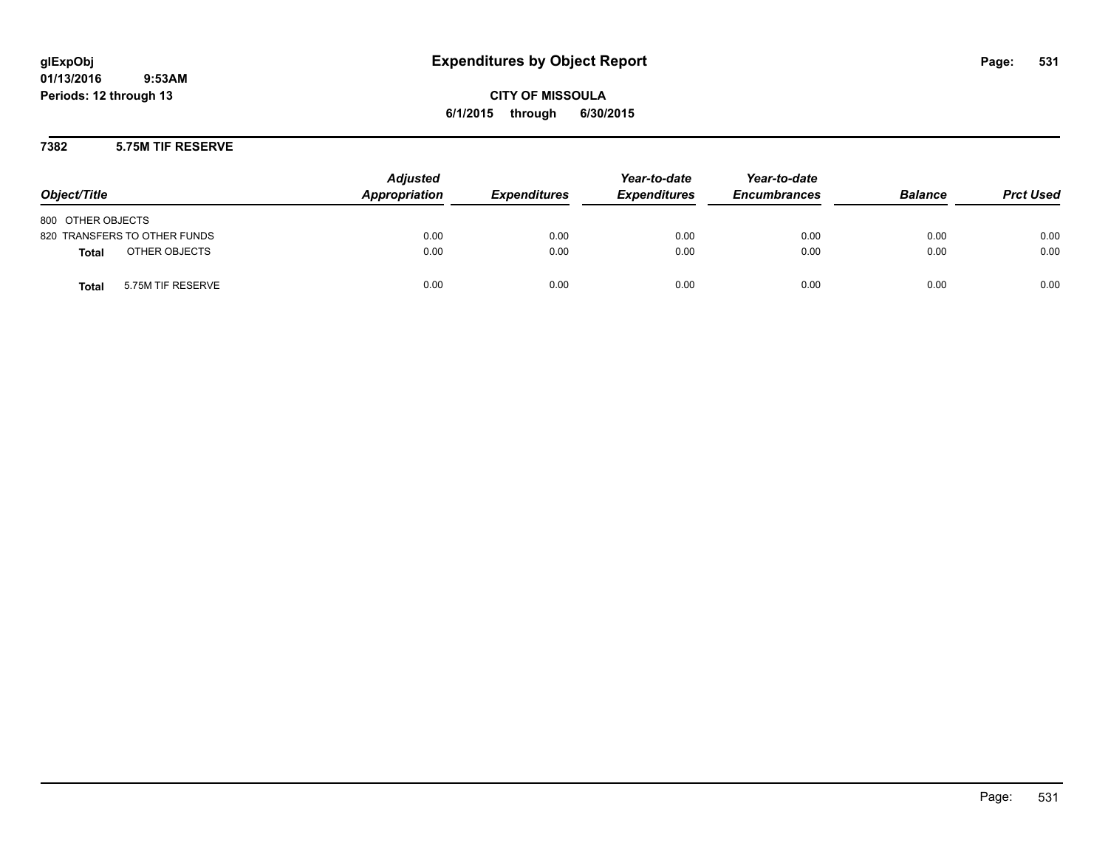**CITY OF MISSOULA 6/1/2015 through 6/30/2015**

## **7382 5.75M TIF RESERVE**

| Object/Title                      | <b>Adjusted</b><br>Appropriation | <b>Expenditures</b> | Year-to-date<br><b>Expenditures</b> | Year-to-date<br><b>Encumbrances</b> | <b>Balance</b> | <b>Prct Used</b> |
|-----------------------------------|----------------------------------|---------------------|-------------------------------------|-------------------------------------|----------------|------------------|
| 800 OTHER OBJECTS                 |                                  |                     |                                     |                                     |                |                  |
| 820 TRANSFERS TO OTHER FUNDS      | 0.00                             | 0.00                | 0.00                                | 0.00                                | 0.00           | 0.00             |
| OTHER OBJECTS<br>Total            | 0.00                             | 0.00                | 0.00                                | 0.00                                | 0.00           | 0.00             |
| 5.75M TIF RESERVE<br><b>Total</b> | 0.00                             | 0.00                | 0.00                                | 0.00                                | 0.00           | 0.00             |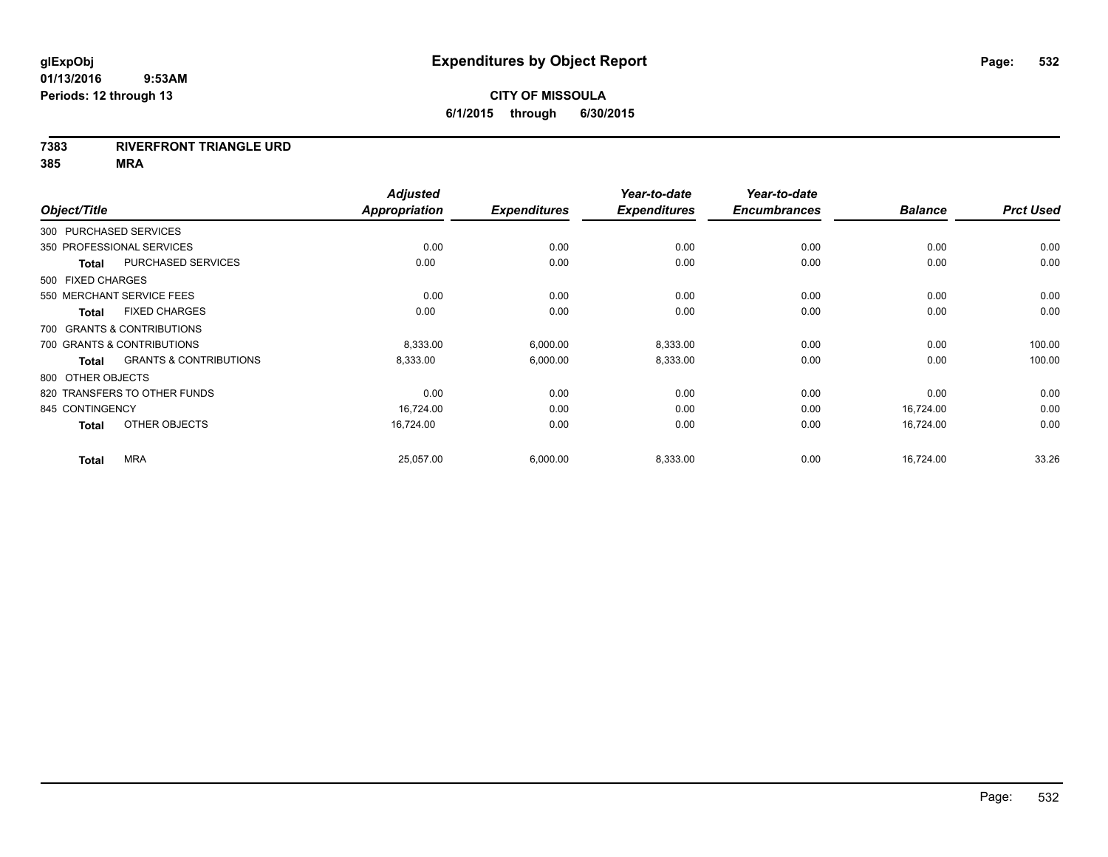## **7383 RIVERFRONT TRIANGLE URD**

**385 MRA**

|                   |                                   | <b>Adjusted</b>      |                     | Year-to-date        | Year-to-date        |                |                  |
|-------------------|-----------------------------------|----------------------|---------------------|---------------------|---------------------|----------------|------------------|
| Object/Title      |                                   | <b>Appropriation</b> | <b>Expenditures</b> | <b>Expenditures</b> | <b>Encumbrances</b> | <b>Balance</b> | <b>Prct Used</b> |
|                   | 300 PURCHASED SERVICES            |                      |                     |                     |                     |                |                  |
|                   | 350 PROFESSIONAL SERVICES         | 0.00                 | 0.00                | 0.00                | 0.00                | 0.00           | 0.00             |
| <b>Total</b>      | PURCHASED SERVICES                | 0.00                 | 0.00                | 0.00                | 0.00                | 0.00           | 0.00             |
| 500 FIXED CHARGES |                                   |                      |                     |                     |                     |                |                  |
|                   | 550 MERCHANT SERVICE FEES         | 0.00                 | 0.00                | 0.00                | 0.00                | 0.00           | 0.00             |
| <b>Total</b>      | <b>FIXED CHARGES</b>              | 0.00                 | 0.00                | 0.00                | 0.00                | 0.00           | 0.00             |
|                   | 700 GRANTS & CONTRIBUTIONS        |                      |                     |                     |                     |                |                  |
|                   | 700 GRANTS & CONTRIBUTIONS        | 8,333.00             | 6,000.00            | 8,333.00            | 0.00                | 0.00           | 100.00           |
| <b>Total</b>      | <b>GRANTS &amp; CONTRIBUTIONS</b> | 8,333.00             | 6,000.00            | 8,333.00            | 0.00                | 0.00           | 100.00           |
| 800 OTHER OBJECTS |                                   |                      |                     |                     |                     |                |                  |
|                   | 820 TRANSFERS TO OTHER FUNDS      | 0.00                 | 0.00                | 0.00                | 0.00                | 0.00           | 0.00             |
| 845 CONTINGENCY   |                                   | 16,724.00            | 0.00                | 0.00                | 0.00                | 16,724.00      | 0.00             |
| <b>Total</b>      | OTHER OBJECTS                     | 16,724.00            | 0.00                | 0.00                | 0.00                | 16,724.00      | 0.00             |
| <b>Total</b>      | <b>MRA</b>                        | 25,057.00            | 6,000.00            | 8,333.00            | 0.00                | 16,724.00      | 33.26            |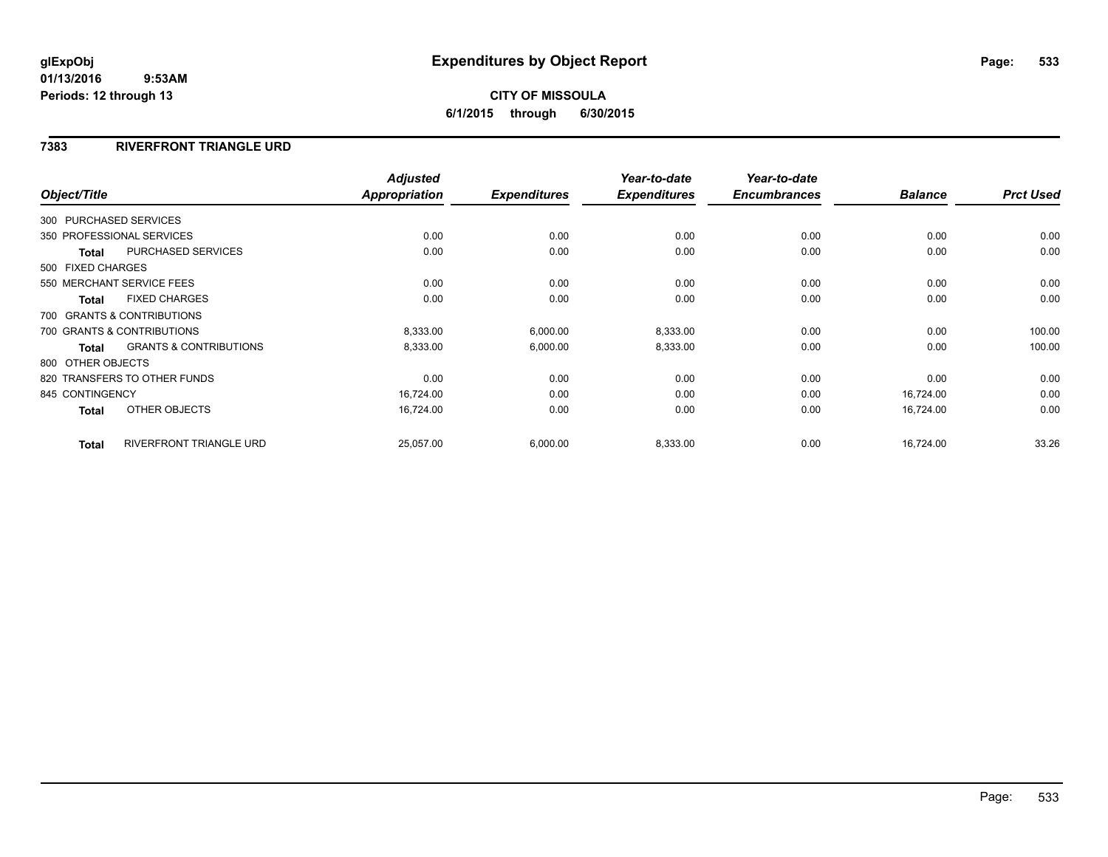# **CITY OF MISSOULA 6/1/2015 through 6/30/2015**

# **7383 RIVERFRONT TRIANGLE URD**

|                   |                                   | <b>Adjusted</b>      |                     | Year-to-date        | Year-to-date        |                |                  |
|-------------------|-----------------------------------|----------------------|---------------------|---------------------|---------------------|----------------|------------------|
| Object/Title      |                                   | <b>Appropriation</b> | <b>Expenditures</b> | <b>Expenditures</b> | <b>Encumbrances</b> | <b>Balance</b> | <b>Prct Used</b> |
|                   | 300 PURCHASED SERVICES            |                      |                     |                     |                     |                |                  |
|                   | 350 PROFESSIONAL SERVICES         | 0.00                 | 0.00                | 0.00                | 0.00                | 0.00           | 0.00             |
| <b>Total</b>      | <b>PURCHASED SERVICES</b>         | 0.00                 | 0.00                | 0.00                | 0.00                | 0.00           | 0.00             |
| 500 FIXED CHARGES |                                   |                      |                     |                     |                     |                |                  |
|                   | 550 MERCHANT SERVICE FEES         | 0.00                 | 0.00                | 0.00                | 0.00                | 0.00           | 0.00             |
| <b>Total</b>      | <b>FIXED CHARGES</b>              | 0.00                 | 0.00                | 0.00                | 0.00                | 0.00           | 0.00             |
|                   | 700 GRANTS & CONTRIBUTIONS        |                      |                     |                     |                     |                |                  |
|                   | 700 GRANTS & CONTRIBUTIONS        | 8,333.00             | 6,000.00            | 8,333.00            | 0.00                | 0.00           | 100.00           |
| <b>Total</b>      | <b>GRANTS &amp; CONTRIBUTIONS</b> | 8,333.00             | 6,000.00            | 8,333.00            | 0.00                | 0.00           | 100.00           |
| 800 OTHER OBJECTS |                                   |                      |                     |                     |                     |                |                  |
|                   | 820 TRANSFERS TO OTHER FUNDS      | 0.00                 | 0.00                | 0.00                | 0.00                | 0.00           | 0.00             |
| 845 CONTINGENCY   |                                   | 16,724.00            | 0.00                | 0.00                | 0.00                | 16,724.00      | 0.00             |
| Total             | OTHER OBJECTS                     | 16,724.00            | 0.00                | 0.00                | 0.00                | 16,724.00      | 0.00             |
| <b>Total</b>      | RIVERFRONT TRIANGLE URD           | 25,057.00            | 6,000.00            | 8,333.00            | 0.00                | 16,724.00      | 33.26            |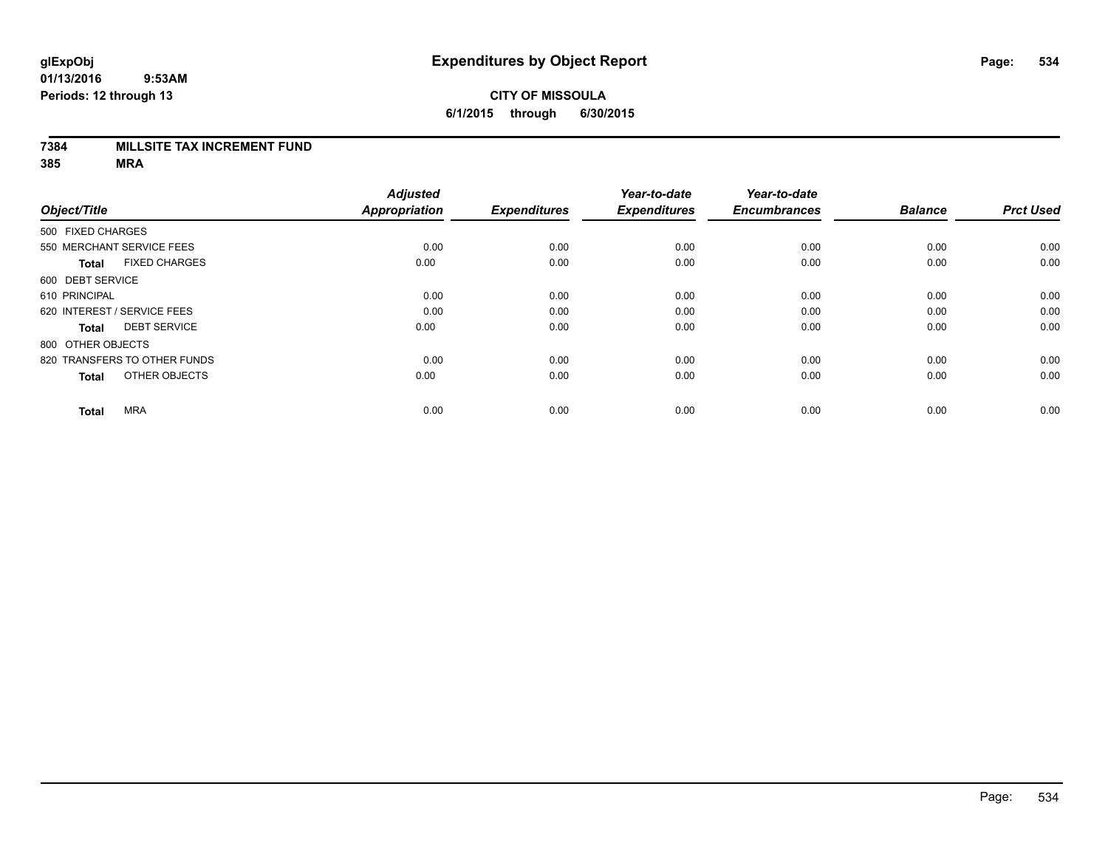### **7384 MILLSITE TAX INCREMENT FUND**

**385 MRA**

|                              |                      | <b>Adjusted</b>      |                     | Year-to-date        | Year-to-date        |                |                  |
|------------------------------|----------------------|----------------------|---------------------|---------------------|---------------------|----------------|------------------|
| Object/Title                 |                      | <b>Appropriation</b> | <b>Expenditures</b> | <b>Expenditures</b> | <b>Encumbrances</b> | <b>Balance</b> | <b>Prct Used</b> |
| 500 FIXED CHARGES            |                      |                      |                     |                     |                     |                |                  |
| 550 MERCHANT SERVICE FEES    |                      | 0.00                 | 0.00                | 0.00                | 0.00                | 0.00           | 0.00             |
| <b>Total</b>                 | <b>FIXED CHARGES</b> | 0.00                 | 0.00                | 0.00                | 0.00                | 0.00           | 0.00             |
| 600 DEBT SERVICE             |                      |                      |                     |                     |                     |                |                  |
| 610 PRINCIPAL                |                      | 0.00                 | 0.00                | 0.00                | 0.00                | 0.00           | 0.00             |
| 620 INTEREST / SERVICE FEES  |                      | 0.00                 | 0.00                | 0.00                | 0.00                | 0.00           | 0.00             |
| <b>Total</b>                 | <b>DEBT SERVICE</b>  | 0.00                 | 0.00                | 0.00                | 0.00                | 0.00           | 0.00             |
| 800 OTHER OBJECTS            |                      |                      |                     |                     |                     |                |                  |
| 820 TRANSFERS TO OTHER FUNDS |                      | 0.00                 | 0.00                | 0.00                | 0.00                | 0.00           | 0.00             |
| <b>Total</b>                 | OTHER OBJECTS        | 0.00                 | 0.00                | 0.00                | 0.00                | 0.00           | 0.00             |
|                              |                      |                      |                     |                     |                     |                |                  |
| <b>MRA</b><br><b>Total</b>   |                      | 0.00                 | 0.00                | 0.00                | 0.00                | 0.00           | 0.00             |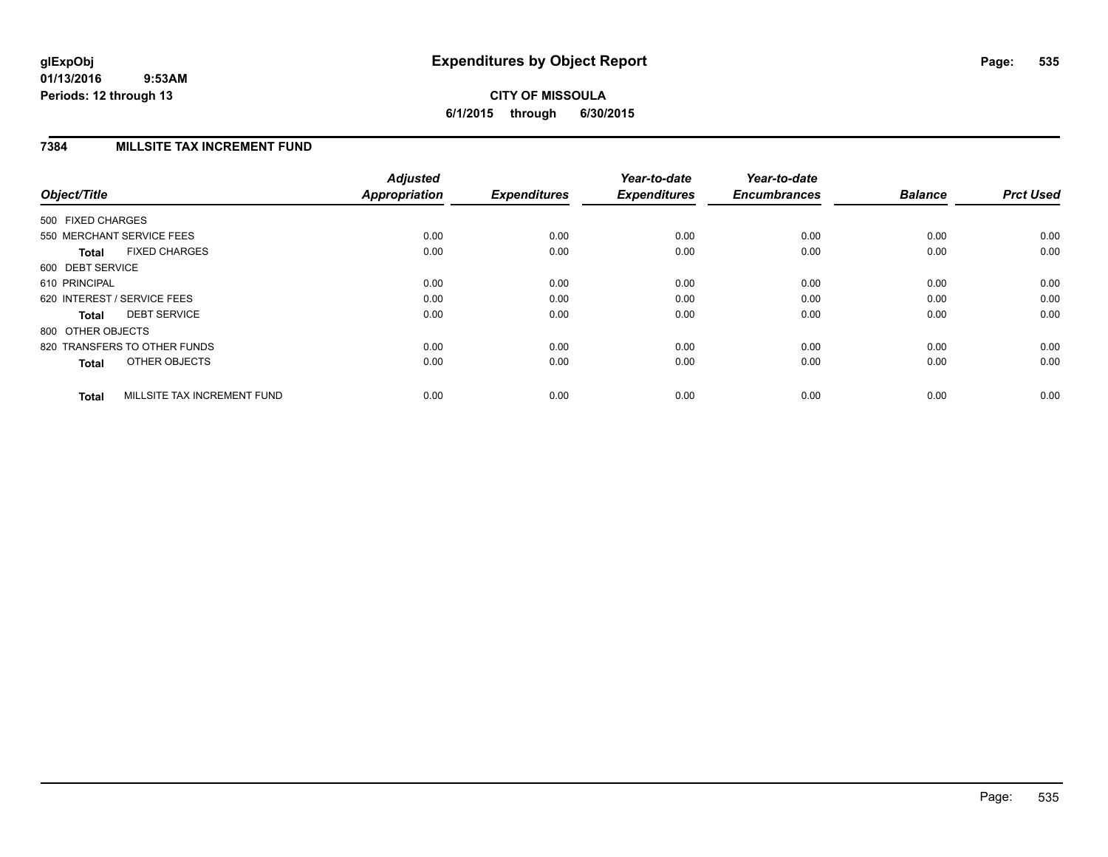# **CITY OF MISSOULA 6/1/2015 through 6/30/2015**

# **7384 MILLSITE TAX INCREMENT FUND**

| Object/Title                |                              | <b>Adjusted</b><br>Appropriation | <b>Expenditures</b> | Year-to-date<br><b>Expenditures</b> | Year-to-date<br><b>Encumbrances</b> | <b>Balance</b> | <b>Prct Used</b> |
|-----------------------------|------------------------------|----------------------------------|---------------------|-------------------------------------|-------------------------------------|----------------|------------------|
| 500 FIXED CHARGES           |                              |                                  |                     |                                     |                                     |                |                  |
|                             | 550 MERCHANT SERVICE FEES    | 0.00                             | 0.00                | 0.00                                | 0.00                                | 0.00           | 0.00             |
| <b>Total</b>                | <b>FIXED CHARGES</b>         | 0.00                             | 0.00                | 0.00                                | 0.00                                | 0.00           | 0.00             |
| 600 DEBT SERVICE            |                              |                                  |                     |                                     |                                     |                |                  |
| 610 PRINCIPAL               |                              | 0.00                             | 0.00                | 0.00                                | 0.00                                | 0.00           | 0.00             |
| 620 INTEREST / SERVICE FEES |                              | 0.00                             | 0.00                | 0.00                                | 0.00                                | 0.00           | 0.00             |
| Total                       | <b>DEBT SERVICE</b>          | 0.00                             | 0.00                | 0.00                                | 0.00                                | 0.00           | 0.00             |
| 800 OTHER OBJECTS           |                              |                                  |                     |                                     |                                     |                |                  |
|                             | 820 TRANSFERS TO OTHER FUNDS | 0.00                             | 0.00                | 0.00                                | 0.00                                | 0.00           | 0.00             |
| <b>Total</b>                | OTHER OBJECTS                | 0.00                             | 0.00                | 0.00                                | 0.00                                | 0.00           | 0.00             |
| <b>Total</b>                | MILLSITE TAX INCREMENT FUND  | 0.00                             | 0.00                | 0.00                                | 0.00                                | 0.00           | 0.00             |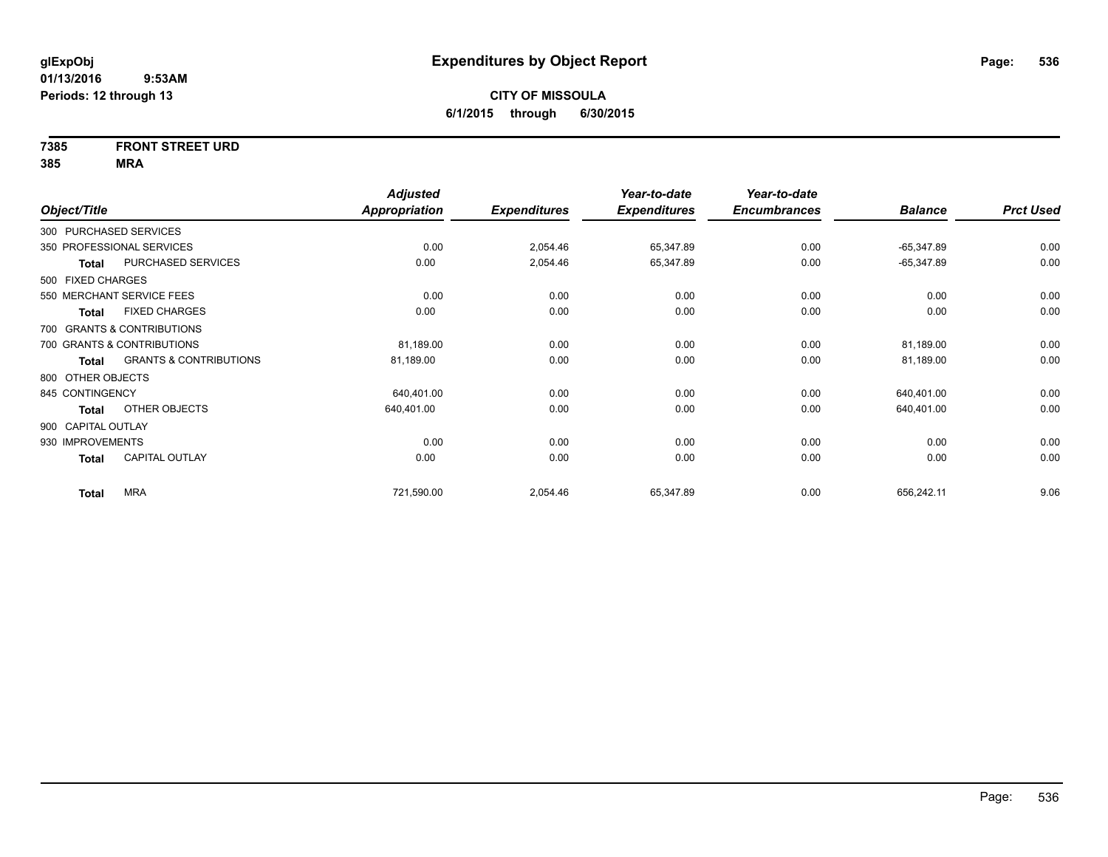# **7385 FRONT STREET URD**

**385 MRA**

|                    |                                   | <b>Adjusted</b> |                     | Year-to-date        | Year-to-date        |                |                  |
|--------------------|-----------------------------------|-----------------|---------------------|---------------------|---------------------|----------------|------------------|
| Object/Title       |                                   | Appropriation   | <b>Expenditures</b> | <b>Expenditures</b> | <b>Encumbrances</b> | <b>Balance</b> | <b>Prct Used</b> |
|                    | 300 PURCHASED SERVICES            |                 |                     |                     |                     |                |                  |
|                    | 350 PROFESSIONAL SERVICES         | 0.00            | 2,054.46            | 65,347.89           | 0.00                | $-65,347.89$   | 0.00             |
| Total              | PURCHASED SERVICES                | 0.00            | 2,054.46            | 65,347.89           | 0.00                | $-65,347.89$   | 0.00             |
| 500 FIXED CHARGES  |                                   |                 |                     |                     |                     |                |                  |
|                    | 550 MERCHANT SERVICE FEES         | 0.00            | 0.00                | 0.00                | 0.00                | 0.00           | 0.00             |
| Total              | <b>FIXED CHARGES</b>              | 0.00            | 0.00                | 0.00                | 0.00                | 0.00           | 0.00             |
|                    | 700 GRANTS & CONTRIBUTIONS        |                 |                     |                     |                     |                |                  |
|                    | 700 GRANTS & CONTRIBUTIONS        | 81,189.00       | 0.00                | 0.00                | 0.00                | 81,189.00      | 0.00             |
| Total              | <b>GRANTS &amp; CONTRIBUTIONS</b> | 81,189.00       | 0.00                | 0.00                | 0.00                | 81,189.00      | 0.00             |
| 800 OTHER OBJECTS  |                                   |                 |                     |                     |                     |                |                  |
| 845 CONTINGENCY    |                                   | 640,401.00      | 0.00                | 0.00                | 0.00                | 640,401.00     | 0.00             |
| Total              | OTHER OBJECTS                     | 640,401.00      | 0.00                | 0.00                | 0.00                | 640,401.00     | 0.00             |
| 900 CAPITAL OUTLAY |                                   |                 |                     |                     |                     |                |                  |
| 930 IMPROVEMENTS   |                                   | 0.00            | 0.00                | 0.00                | 0.00                | 0.00           | 0.00             |
| <b>Total</b>       | CAPITAL OUTLAY                    | 0.00            | 0.00                | 0.00                | 0.00                | 0.00           | 0.00             |
| <b>Total</b>       | <b>MRA</b>                        | 721,590.00      | 2,054.46            | 65,347.89           | 0.00                | 656,242.11     | 9.06             |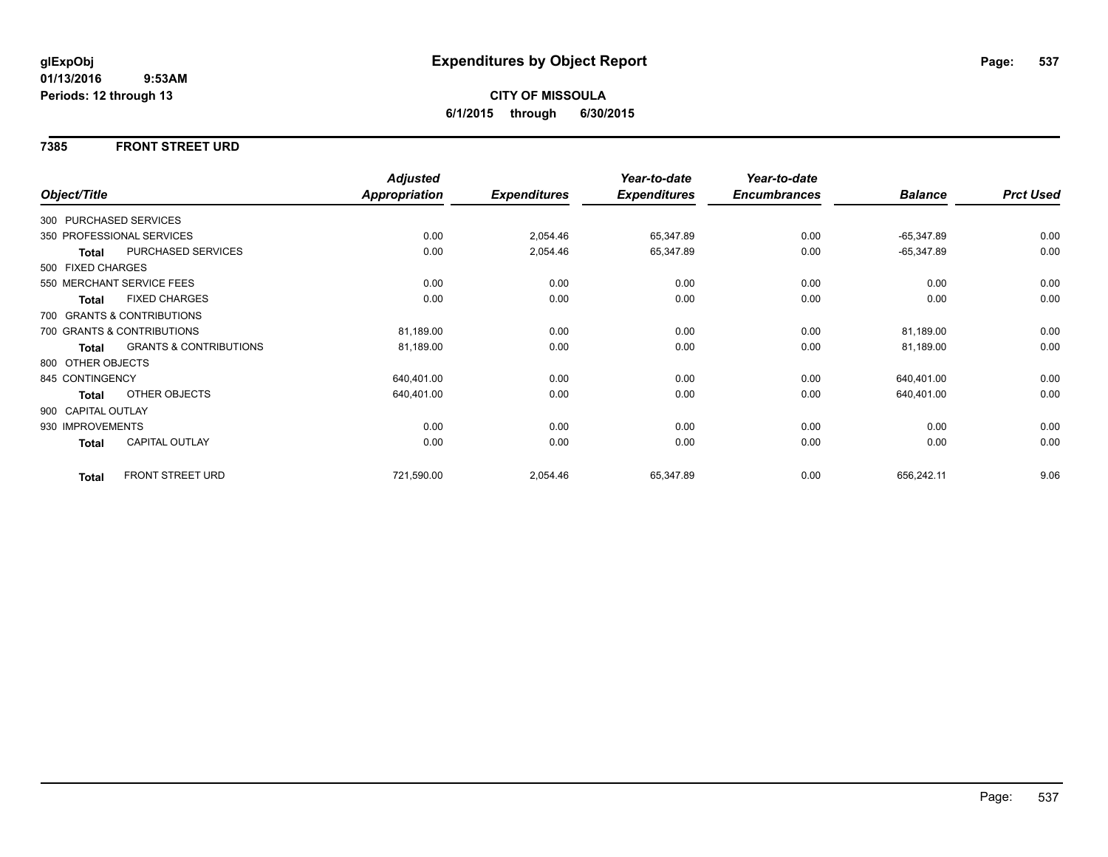## **7385 FRONT STREET URD**

|                    |                                   | <b>Adjusted</b> |                     | Year-to-date        | Year-to-date        |                |                  |
|--------------------|-----------------------------------|-----------------|---------------------|---------------------|---------------------|----------------|------------------|
| Object/Title       |                                   | Appropriation   | <b>Expenditures</b> | <b>Expenditures</b> | <b>Encumbrances</b> | <b>Balance</b> | <b>Prct Used</b> |
|                    | 300 PURCHASED SERVICES            |                 |                     |                     |                     |                |                  |
|                    | 350 PROFESSIONAL SERVICES         | 0.00            | 2,054.46            | 65,347.89           | 0.00                | $-65,347.89$   | 0.00             |
| Total              | PURCHASED SERVICES                | 0.00            | 2,054.46            | 65,347.89           | 0.00                | $-65,347.89$   | 0.00             |
| 500 FIXED CHARGES  |                                   |                 |                     |                     |                     |                |                  |
|                    | 550 MERCHANT SERVICE FEES         | 0.00            | 0.00                | 0.00                | 0.00                | 0.00           | 0.00             |
| <b>Total</b>       | <b>FIXED CHARGES</b>              | 0.00            | 0.00                | 0.00                | 0.00                | 0.00           | 0.00             |
|                    | 700 GRANTS & CONTRIBUTIONS        |                 |                     |                     |                     |                |                  |
|                    | 700 GRANTS & CONTRIBUTIONS        | 81,189.00       | 0.00                | 0.00                | 0.00                | 81,189.00      | 0.00             |
| Total              | <b>GRANTS &amp; CONTRIBUTIONS</b> | 81,189.00       | 0.00                | 0.00                | 0.00                | 81,189.00      | 0.00             |
| 800 OTHER OBJECTS  |                                   |                 |                     |                     |                     |                |                  |
| 845 CONTINGENCY    |                                   | 640,401.00      | 0.00                | 0.00                | 0.00                | 640,401.00     | 0.00             |
| Total              | <b>OTHER OBJECTS</b>              | 640,401.00      | 0.00                | 0.00                | 0.00                | 640,401.00     | 0.00             |
| 900 CAPITAL OUTLAY |                                   |                 |                     |                     |                     |                |                  |
| 930 IMPROVEMENTS   |                                   | 0.00            | 0.00                | 0.00                | 0.00                | 0.00           | 0.00             |
| <b>Total</b>       | <b>CAPITAL OUTLAY</b>             | 0.00            | 0.00                | 0.00                | 0.00                | 0.00           | 0.00             |
| <b>Total</b>       | <b>FRONT STREET URD</b>           | 721,590.00      | 2,054.46            | 65,347.89           | 0.00                | 656,242.11     | 9.06             |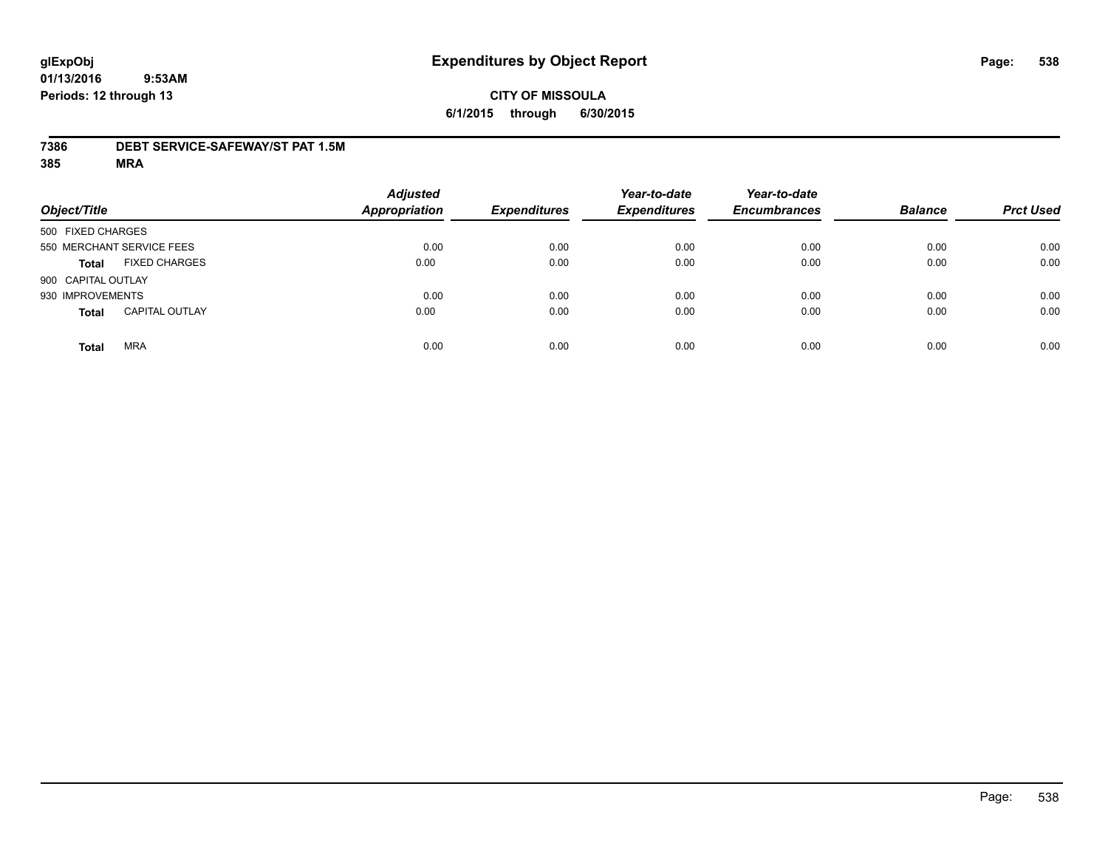## **7386 DEBT SERVICE-SAFEWAY/ST PAT 1.5M**

**385 MRA**

| Object/Title       |                           | <b>Adjusted</b><br><b>Appropriation</b> | <b>Expenditures</b> | Year-to-date<br><b>Expenditures</b> | Year-to-date<br><b>Encumbrances</b> | <b>Balance</b> | <b>Prct Used</b> |
|--------------------|---------------------------|-----------------------------------------|---------------------|-------------------------------------|-------------------------------------|----------------|------------------|
| 500 FIXED CHARGES  |                           |                                         |                     |                                     |                                     |                |                  |
|                    | 550 MERCHANT SERVICE FEES | 0.00                                    | 0.00                | 0.00                                | 0.00                                | 0.00           | 0.00             |
| <b>Total</b>       | <b>FIXED CHARGES</b>      | 0.00                                    | 0.00                | 0.00                                | 0.00                                | 0.00           | 0.00             |
| 900 CAPITAL OUTLAY |                           |                                         |                     |                                     |                                     |                |                  |
| 930 IMPROVEMENTS   |                           | 0.00                                    | 0.00                | 0.00                                | 0.00                                | 0.00           | 0.00             |
| <b>Total</b>       | <b>CAPITAL OUTLAY</b>     | 0.00                                    | 0.00                | 0.00                                | 0.00                                | 0.00           | 0.00             |
| <b>Total</b>       | <b>MRA</b>                | 0.00                                    | 0.00                | 0.00                                | 0.00                                | 0.00           | 0.00             |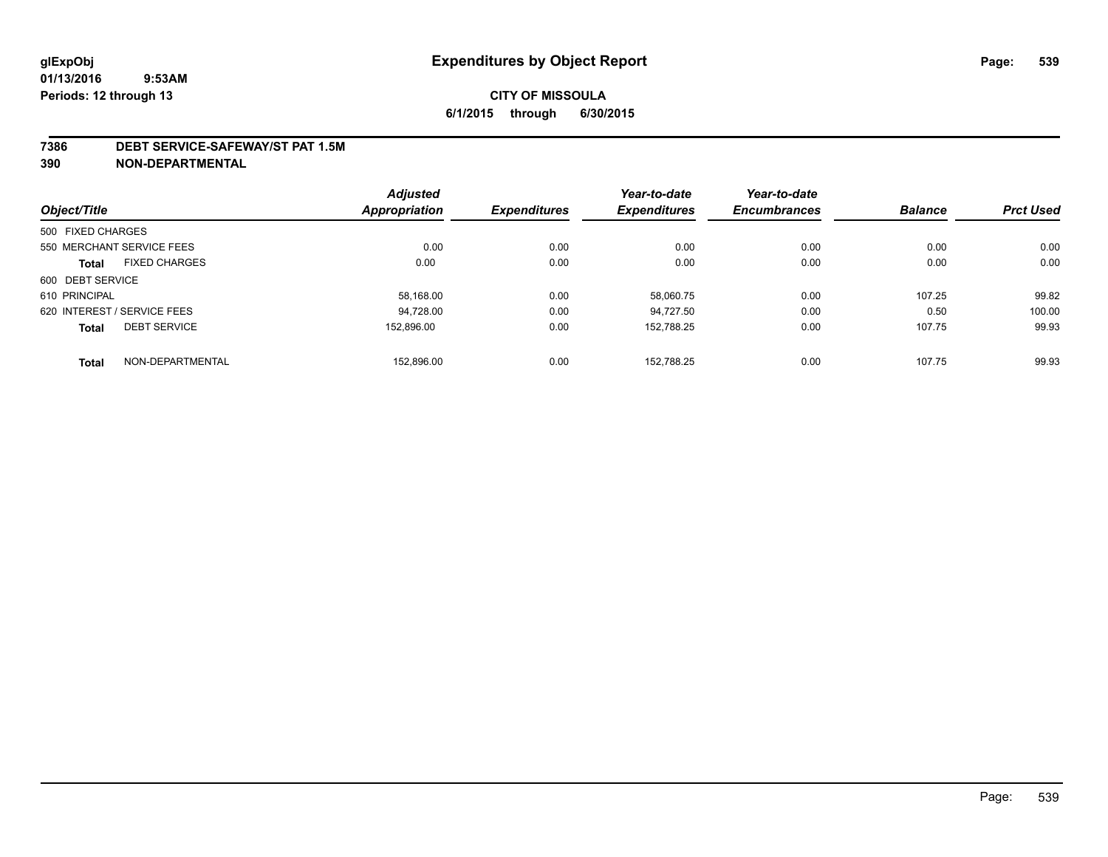#### **7386 DEBT SERVICE-SAFEWAY/ST PAT 1.5M**

**390 NON-DEPARTMENTAL**

|                   |                             | <b>Adjusted</b> |                     | Year-to-date        | Year-to-date        |                |                  |
|-------------------|-----------------------------|-----------------|---------------------|---------------------|---------------------|----------------|------------------|
| Object/Title      |                             | Appropriation   | <b>Expenditures</b> | <b>Expenditures</b> | <b>Encumbrances</b> | <b>Balance</b> | <b>Prct Used</b> |
| 500 FIXED CHARGES |                             |                 |                     |                     |                     |                |                  |
|                   | 550 MERCHANT SERVICE FEES   | 0.00            | 0.00                | 0.00                | 0.00                | 0.00           | 0.00             |
| <b>Total</b>      | <b>FIXED CHARGES</b>        | 0.00            | 0.00                | 0.00                | 0.00                | 0.00           | 0.00             |
| 600 DEBT SERVICE  |                             |                 |                     |                     |                     |                |                  |
| 610 PRINCIPAL     |                             | 58,168.00       | 0.00                | 58.060.75           | 0.00                | 107.25         | 99.82            |
|                   | 620 INTEREST / SERVICE FEES | 94,728.00       | 0.00                | 94.727.50           | 0.00                | 0.50           | 100.00           |
| <b>Total</b>      | <b>DEBT SERVICE</b>         | 152.896.00      | 0.00                | 152.788.25          | 0.00                | 107.75         | 99.93            |
| <b>Total</b>      | NON-DEPARTMENTAL            | 152.896.00      | 0.00                | 152.788.25          | 0.00                | 107.75         | 99.93            |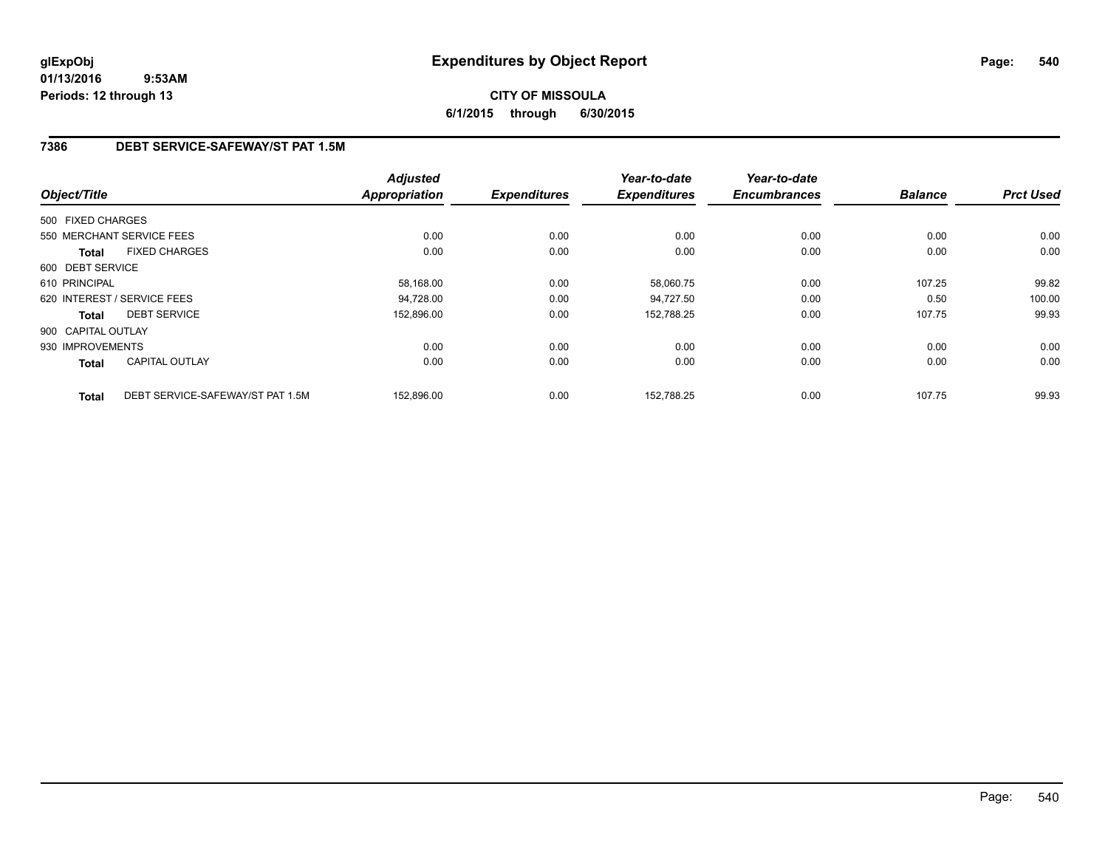# **CITY OF MISSOULA 6/1/2015 through 6/30/2015**

# **7386 DEBT SERVICE-SAFEWAY/ST PAT 1.5M**

|                    |                                  | <b>Adjusted</b>      |                     | Year-to-date        | Year-to-date        |                |                  |
|--------------------|----------------------------------|----------------------|---------------------|---------------------|---------------------|----------------|------------------|
| Object/Title       |                                  | <b>Appropriation</b> | <b>Expenditures</b> | <b>Expenditures</b> | <b>Encumbrances</b> | <b>Balance</b> | <b>Prct Used</b> |
| 500 FIXED CHARGES  |                                  |                      |                     |                     |                     |                |                  |
|                    | 550 MERCHANT SERVICE FEES        | 0.00                 | 0.00                | 0.00                | 0.00                | 0.00           | 0.00             |
| <b>Total</b>       | <b>FIXED CHARGES</b>             | 0.00                 | 0.00                | 0.00                | 0.00                | 0.00           | 0.00             |
| 600 DEBT SERVICE   |                                  |                      |                     |                     |                     |                |                  |
| 610 PRINCIPAL      |                                  | 58,168.00            | 0.00                | 58,060.75           | 0.00                | 107.25         | 99.82            |
|                    | 620 INTEREST / SERVICE FEES      | 94,728.00            | 0.00                | 94.727.50           | 0.00                | 0.50           | 100.00           |
| Total              | <b>DEBT SERVICE</b>              | 152,896.00           | 0.00                | 152,788.25          | 0.00                | 107.75         | 99.93            |
| 900 CAPITAL OUTLAY |                                  |                      |                     |                     |                     |                |                  |
| 930 IMPROVEMENTS   |                                  | 0.00                 | 0.00                | 0.00                | 0.00                | 0.00           | 0.00             |
| Total              | <b>CAPITAL OUTLAY</b>            | 0.00                 | 0.00                | 0.00                | 0.00                | 0.00           | 0.00             |
| <b>Total</b>       | DEBT SERVICE-SAFEWAY/ST PAT 1.5M | 152.896.00           | 0.00                | 152.788.25          | 0.00                | 107.75         | 99.93            |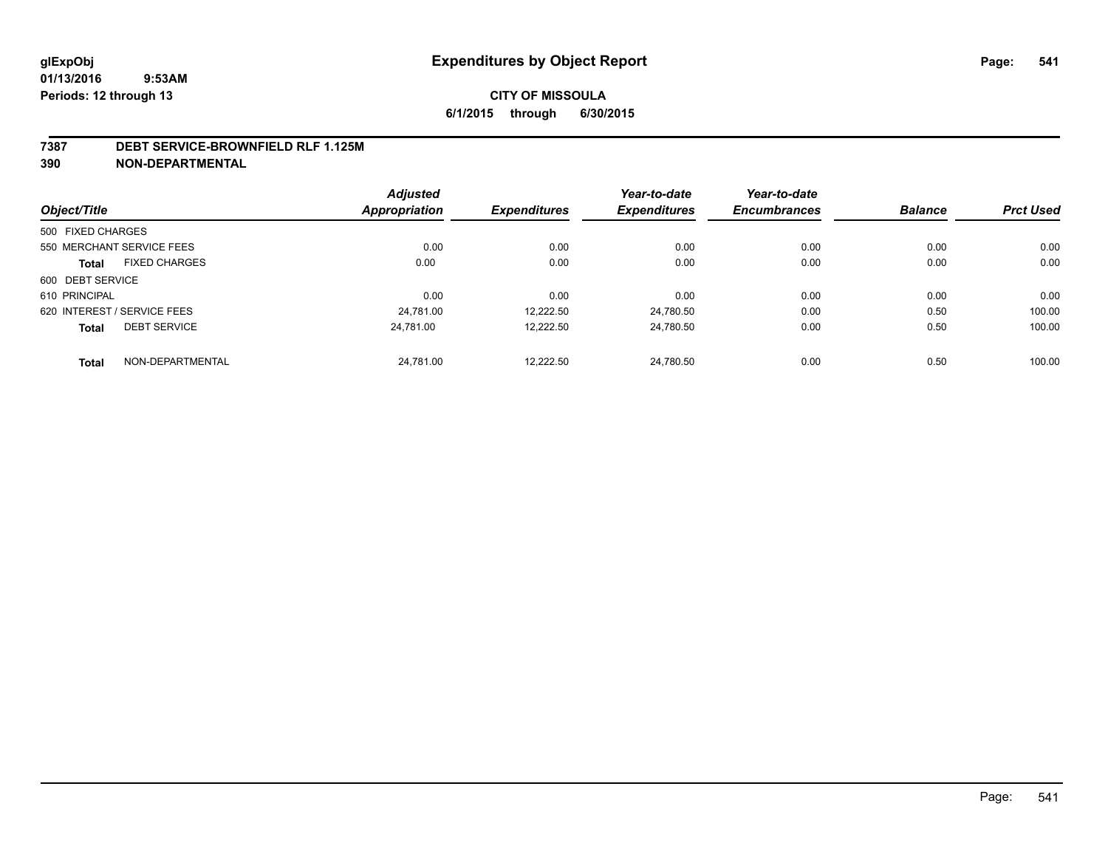#### **7387 DEBT SERVICE-BROWNFIELD RLF 1.125M**

|                   |                             | <b>Adjusted</b>      |                     | Year-to-date        | Year-to-date        |                |                  |
|-------------------|-----------------------------|----------------------|---------------------|---------------------|---------------------|----------------|------------------|
| Object/Title      |                             | <b>Appropriation</b> | <b>Expenditures</b> | <b>Expenditures</b> | <b>Encumbrances</b> | <b>Balance</b> | <b>Prct Used</b> |
| 500 FIXED CHARGES |                             |                      |                     |                     |                     |                |                  |
|                   | 550 MERCHANT SERVICE FEES   | 0.00                 | 0.00                | 0.00                | 0.00                | 0.00           | 0.00             |
| <b>Total</b>      | <b>FIXED CHARGES</b>        | 0.00                 | 0.00                | 0.00                | 0.00                | 0.00           | 0.00             |
| 600 DEBT SERVICE  |                             |                      |                     |                     |                     |                |                  |
| 610 PRINCIPAL     |                             | 0.00                 | 0.00                | 0.00                | 0.00                | 0.00           | 0.00             |
|                   | 620 INTEREST / SERVICE FEES | 24,781.00            | 12,222.50           | 24,780.50           | 0.00                | 0.50           | 100.00           |
| <b>Total</b>      | <b>DEBT SERVICE</b>         | 24.781.00            | 12,222.50           | 24.780.50           | 0.00                | 0.50           | 100.00           |
| <b>Total</b>      | NON-DEPARTMENTAL            | 24,781.00            | 12.222.50           | 24.780.50           | 0.00                | 0.50           | 100.00           |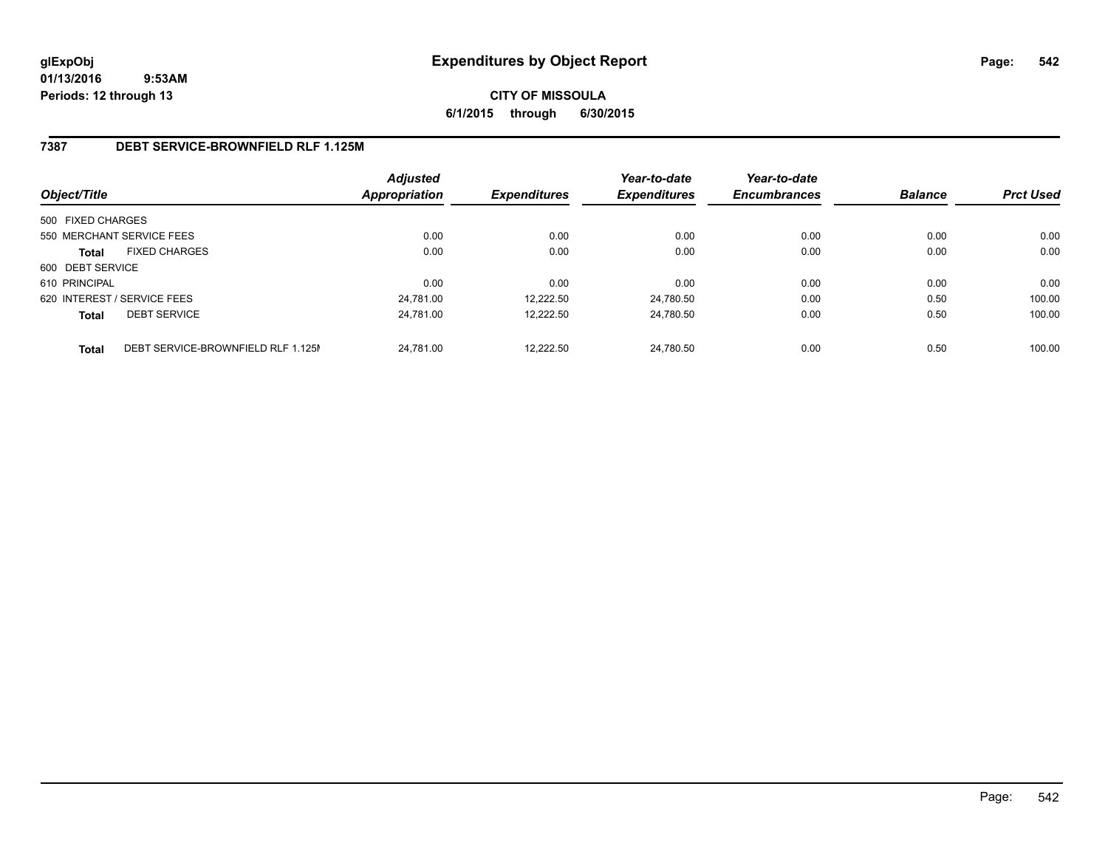**CITY OF MISSOULA 6/1/2015 through 6/30/2015**

### **7387 DEBT SERVICE-BROWNFIELD RLF 1.125M**

| Object/Title      |                                    | Adjusted<br><b>Appropriation</b> | <b>Expenditures</b> | Year-to-date<br><b>Expenditures</b> | Year-to-date<br><b>Encumbrances</b> | <b>Balance</b> | <b>Prct Used</b> |
|-------------------|------------------------------------|----------------------------------|---------------------|-------------------------------------|-------------------------------------|----------------|------------------|
| 500 FIXED CHARGES |                                    |                                  |                     |                                     |                                     |                |                  |
|                   | 550 MERCHANT SERVICE FEES          | 0.00                             | 0.00                | 0.00                                | 0.00                                | 0.00           | 0.00             |
| <b>Total</b>      | <b>FIXED CHARGES</b>               | 0.00                             | 0.00                | 0.00                                | 0.00                                | 0.00           | 0.00             |
| 600 DEBT SERVICE  |                                    |                                  |                     |                                     |                                     |                |                  |
| 610 PRINCIPAL     |                                    | 0.00                             | 0.00                | 0.00                                | 0.00                                | 0.00           | 0.00             |
|                   | 620 INTEREST / SERVICE FEES        | 24.781.00                        | 12.222.50           | 24.780.50                           | 0.00                                | 0.50           | 100.00           |
| <b>Total</b>      | <b>DEBT SERVICE</b>                | 24.781.00                        | 12.222.50           | 24.780.50                           | 0.00                                | 0.50           | 100.00           |
| <b>Total</b>      | DEBT SERVICE-BROWNFIELD RLF 1.125M | 24.781.00                        | 12.222.50           | 24.780.50                           | 0.00                                | 0.50           | 100.00           |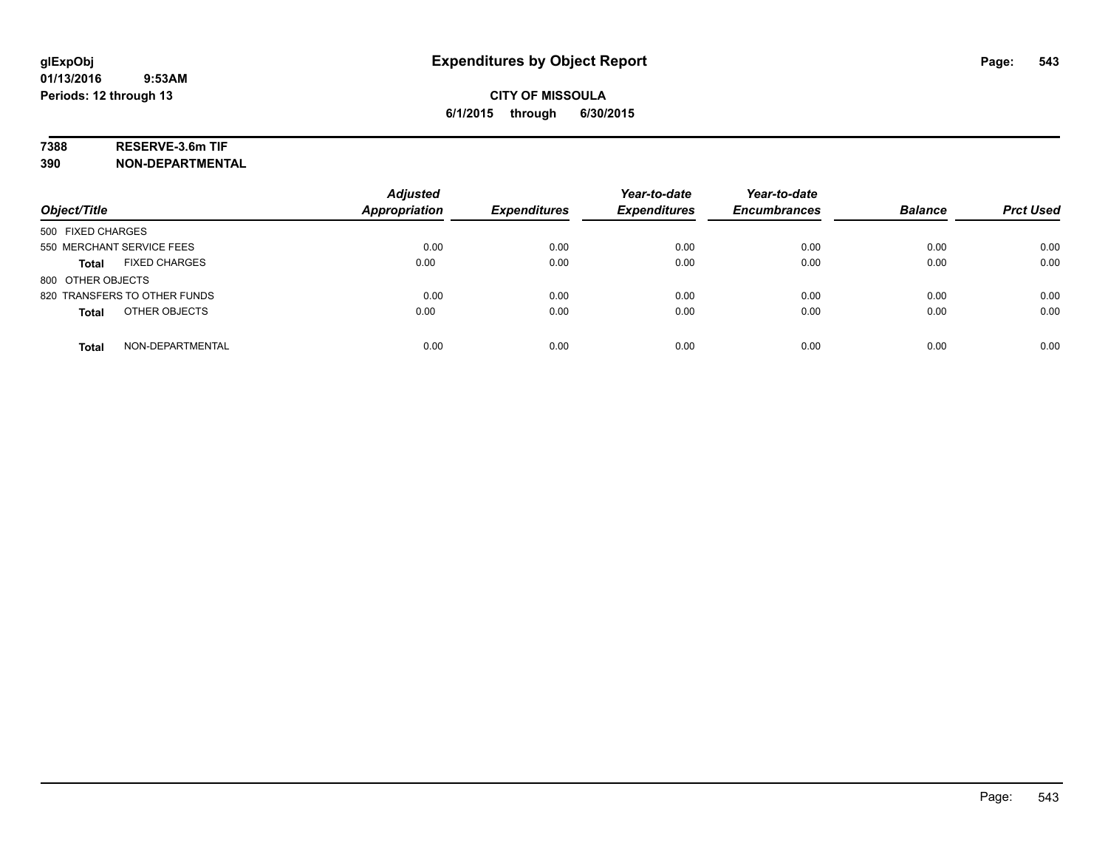### **7388 RESERVE-3.6m TIF**

| Object/Title                         | <b>Adjusted</b><br>Appropriation | <b>Expenditures</b> | Year-to-date<br><b>Expenditures</b> | Year-to-date<br><b>Encumbrances</b> | <b>Balance</b> | <b>Prct Used</b> |
|--------------------------------------|----------------------------------|---------------------|-------------------------------------|-------------------------------------|----------------|------------------|
| 500 FIXED CHARGES                    |                                  |                     |                                     |                                     |                |                  |
| 550 MERCHANT SERVICE FEES            | 0.00                             | 0.00                | 0.00                                | 0.00                                | 0.00           | 0.00             |
| <b>FIXED CHARGES</b><br><b>Total</b> | 0.00                             | 0.00                | 0.00                                | 0.00                                | 0.00           | 0.00             |
| 800 OTHER OBJECTS                    |                                  |                     |                                     |                                     |                |                  |
| 820 TRANSFERS TO OTHER FUNDS         | 0.00                             | 0.00                | 0.00                                | 0.00                                | 0.00           | 0.00             |
| OTHER OBJECTS<br><b>Total</b>        | 0.00                             | 0.00                | 0.00                                | 0.00                                | 0.00           | 0.00             |
| NON-DEPARTMENTAL<br><b>Total</b>     | 0.00                             | 0.00                | 0.00                                | 0.00                                | 0.00           | 0.00             |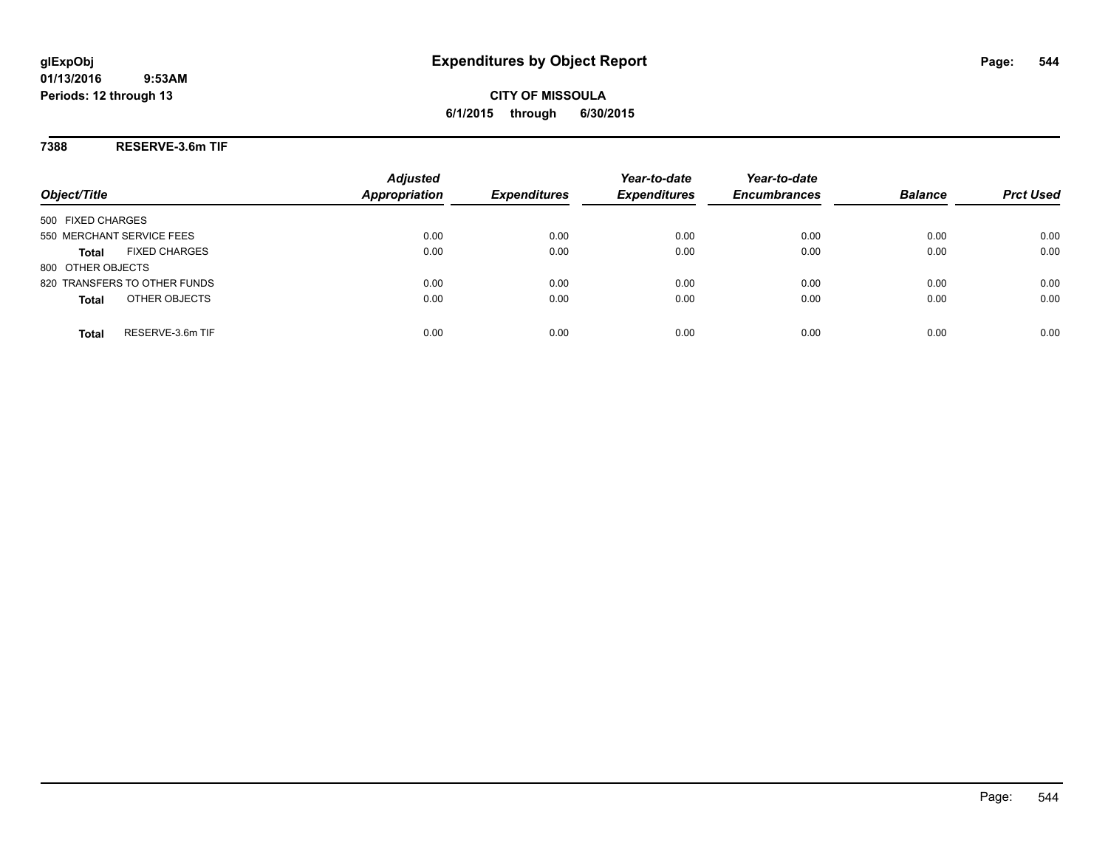**CITY OF MISSOULA 6/1/2015 through 6/30/2015**

**7388 RESERVE-3.6m TIF**

|                                      | <b>Adjusted</b>      |                     | Year-to-date        | Year-to-date        |                |                  |
|--------------------------------------|----------------------|---------------------|---------------------|---------------------|----------------|------------------|
| Object/Title                         | <b>Appropriation</b> | <b>Expenditures</b> | <b>Expenditures</b> | <b>Encumbrances</b> | <b>Balance</b> | <b>Prct Used</b> |
| 500 FIXED CHARGES                    |                      |                     |                     |                     |                |                  |
| 550 MERCHANT SERVICE FEES            | 0.00                 | 0.00                | 0.00                | 0.00                | 0.00           | 0.00             |
| <b>FIXED CHARGES</b><br><b>Total</b> | 0.00                 | 0.00                | 0.00                | 0.00                | 0.00           | 0.00             |
| 800 OTHER OBJECTS                    |                      |                     |                     |                     |                |                  |
| 820 TRANSFERS TO OTHER FUNDS         | 0.00                 | 0.00                | 0.00                | 0.00                | 0.00           | 0.00             |
| OTHER OBJECTS<br><b>Total</b>        | 0.00                 | 0.00                | 0.00                | 0.00                | 0.00           | 0.00             |
| RESERVE-3.6m TIF<br>Total            | 0.00                 | 0.00                | 0.00                | 0.00                | 0.00           | 0.00             |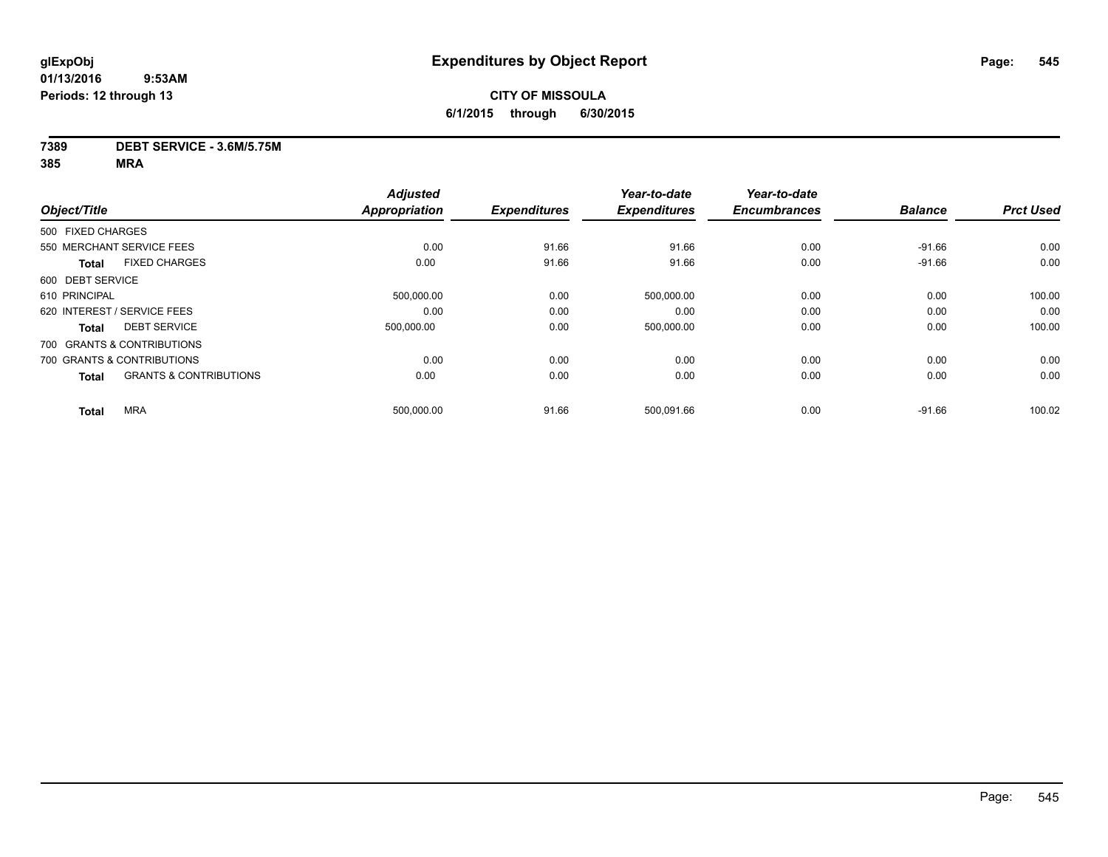### **7389 DEBT SERVICE - 3.6M/5.75M**

|                   |                                   | <b>Adjusted</b>      |                     | Year-to-date        | Year-to-date        |                |                  |
|-------------------|-----------------------------------|----------------------|---------------------|---------------------|---------------------|----------------|------------------|
| Object/Title      |                                   | <b>Appropriation</b> | <b>Expenditures</b> | <b>Expenditures</b> | <b>Encumbrances</b> | <b>Balance</b> | <b>Prct Used</b> |
| 500 FIXED CHARGES |                                   |                      |                     |                     |                     |                |                  |
|                   | 550 MERCHANT SERVICE FEES         | 0.00                 | 91.66               | 91.66               | 0.00                | $-91.66$       | 0.00             |
| <b>Total</b>      | <b>FIXED CHARGES</b>              | 0.00                 | 91.66               | 91.66               | 0.00                | $-91.66$       | 0.00             |
| 600 DEBT SERVICE  |                                   |                      |                     |                     |                     |                |                  |
| 610 PRINCIPAL     |                                   | 500,000.00           | 0.00                | 500,000.00          | 0.00                | 0.00           | 100.00           |
|                   | 620 INTEREST / SERVICE FEES       | 0.00                 | 0.00                | 0.00                | 0.00                | 0.00           | 0.00             |
| <b>Total</b>      | <b>DEBT SERVICE</b>               | 500,000.00           | 0.00                | 500,000.00          | 0.00                | 0.00           | 100.00           |
|                   | 700 GRANTS & CONTRIBUTIONS        |                      |                     |                     |                     |                |                  |
|                   | 700 GRANTS & CONTRIBUTIONS        | 0.00                 | 0.00                | 0.00                | 0.00                | 0.00           | 0.00             |
| <b>Total</b>      | <b>GRANTS &amp; CONTRIBUTIONS</b> | 0.00                 | 0.00                | 0.00                | 0.00                | 0.00           | 0.00             |
| <b>Total</b>      | <b>MRA</b>                        | 500,000.00           | 91.66               | 500,091.66          | 0.00                | $-91.66$       | 100.02           |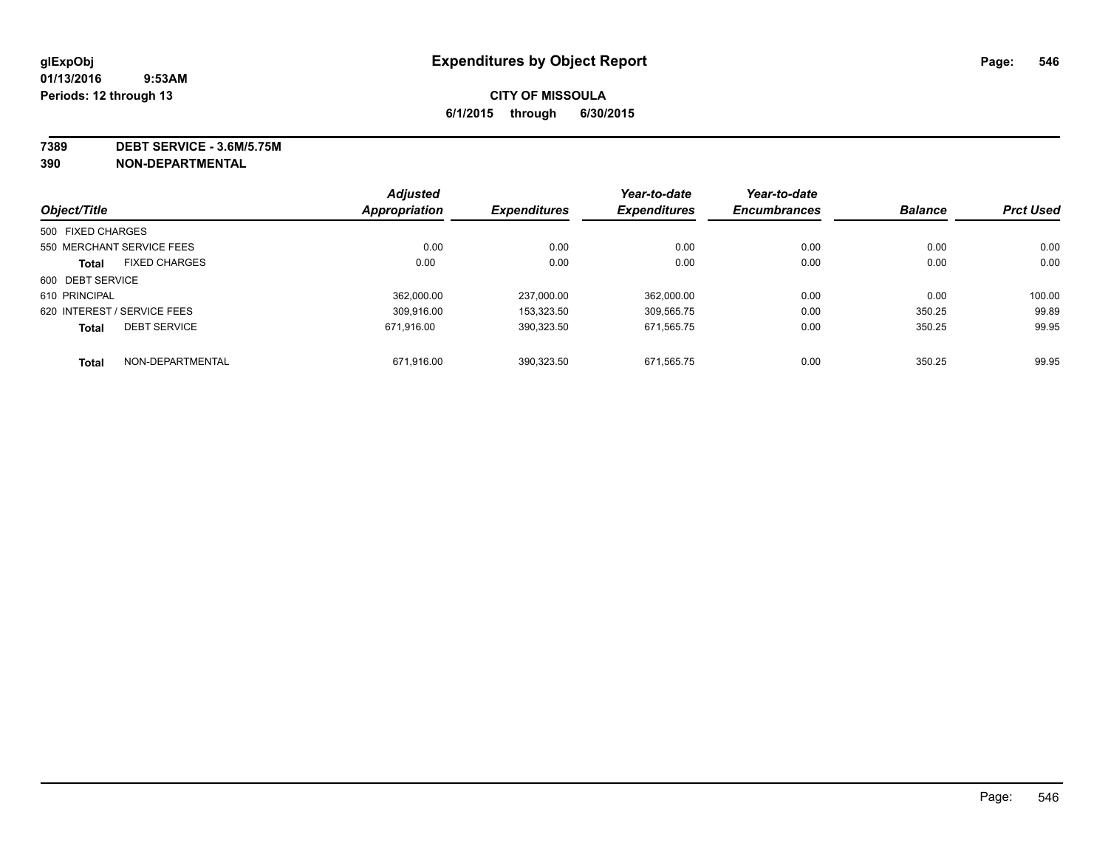**7389 DEBT SERVICE - 3.6M/5.75M**

|                   |                             | <b>Adjusted</b> |                     | Year-to-date        | Year-to-date        |                |                  |
|-------------------|-----------------------------|-----------------|---------------------|---------------------|---------------------|----------------|------------------|
| Object/Title      |                             | Appropriation   | <b>Expenditures</b> | <b>Expenditures</b> | <b>Encumbrances</b> | <b>Balance</b> | <b>Prct Used</b> |
| 500 FIXED CHARGES |                             |                 |                     |                     |                     |                |                  |
|                   | 550 MERCHANT SERVICE FEES   | 0.00            | 0.00                | 0.00                | 0.00                | 0.00           | 0.00             |
| <b>Total</b>      | <b>FIXED CHARGES</b>        | 0.00            | 0.00                | 0.00                | 0.00                | 0.00           | 0.00             |
| 600 DEBT SERVICE  |                             |                 |                     |                     |                     |                |                  |
| 610 PRINCIPAL     |                             | 362.000.00      | 237.000.00          | 362.000.00          | 0.00                | 0.00           | 100.00           |
|                   | 620 INTEREST / SERVICE FEES | 309.916.00      | 153.323.50          | 309.565.75          | 0.00                | 350.25         | 99.89            |
| <b>Total</b>      | <b>DEBT SERVICE</b>         | 671.916.00      | 390.323.50          | 671.565.75          | 0.00                | 350.25         | 99.95            |
| <b>Total</b>      | NON-DEPARTMENTAL            | 671.916.00      | 390.323.50          | 671.565.75          | 0.00                | 350.25         | 99.95            |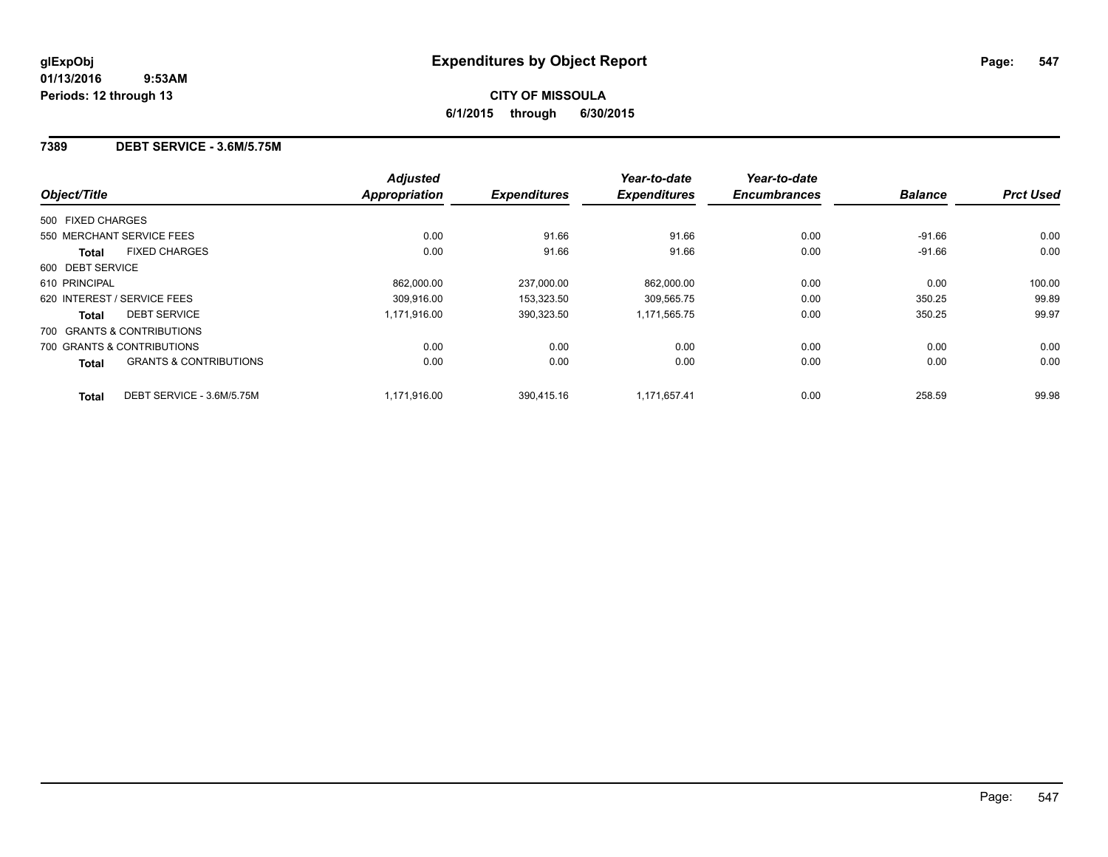### **7389 DEBT SERVICE - 3.6M/5.75M**

|                             |                                   | <b>Adjusted</b>      |                     | Year-to-date        | Year-to-date        |                |                  |
|-----------------------------|-----------------------------------|----------------------|---------------------|---------------------|---------------------|----------------|------------------|
| Object/Title                |                                   | <b>Appropriation</b> | <b>Expenditures</b> | <b>Expenditures</b> | <b>Encumbrances</b> | <b>Balance</b> | <b>Prct Used</b> |
| 500 FIXED CHARGES           |                                   |                      |                     |                     |                     |                |                  |
| 550 MERCHANT SERVICE FEES   |                                   | 0.00                 | 91.66               | 91.66               | 0.00                | $-91.66$       | 0.00             |
| Total                       | <b>FIXED CHARGES</b>              | 0.00                 | 91.66               | 91.66               | 0.00                | $-91.66$       | 0.00             |
| 600 DEBT SERVICE            |                                   |                      |                     |                     |                     |                |                  |
| 610 PRINCIPAL               |                                   | 862.000.00           | 237.000.00          | 862,000.00          | 0.00                | 0.00           | 100.00           |
| 620 INTEREST / SERVICE FEES |                                   | 309.916.00           | 153.323.50          | 309,565.75          | 0.00                | 350.25         | 99.89            |
| Total                       | <b>DEBT SERVICE</b>               | 1.171.916.00         | 390,323.50          | 1,171,565.75        | 0.00                | 350.25         | 99.97            |
| 700 GRANTS & CONTRIBUTIONS  |                                   |                      |                     |                     |                     |                |                  |
| 700 GRANTS & CONTRIBUTIONS  |                                   | 0.00                 | 0.00                | 0.00                | 0.00                | 0.00           | 0.00             |
| <b>Total</b>                | <b>GRANTS &amp; CONTRIBUTIONS</b> | 0.00                 | 0.00                | 0.00                | 0.00                | 0.00           | 0.00             |
| <b>Total</b>                | DEBT SERVICE - 3.6M/5.75M         | 1,171,916.00         | 390.415.16          | 1.171.657.41        | 0.00                | 258.59         | 99.98            |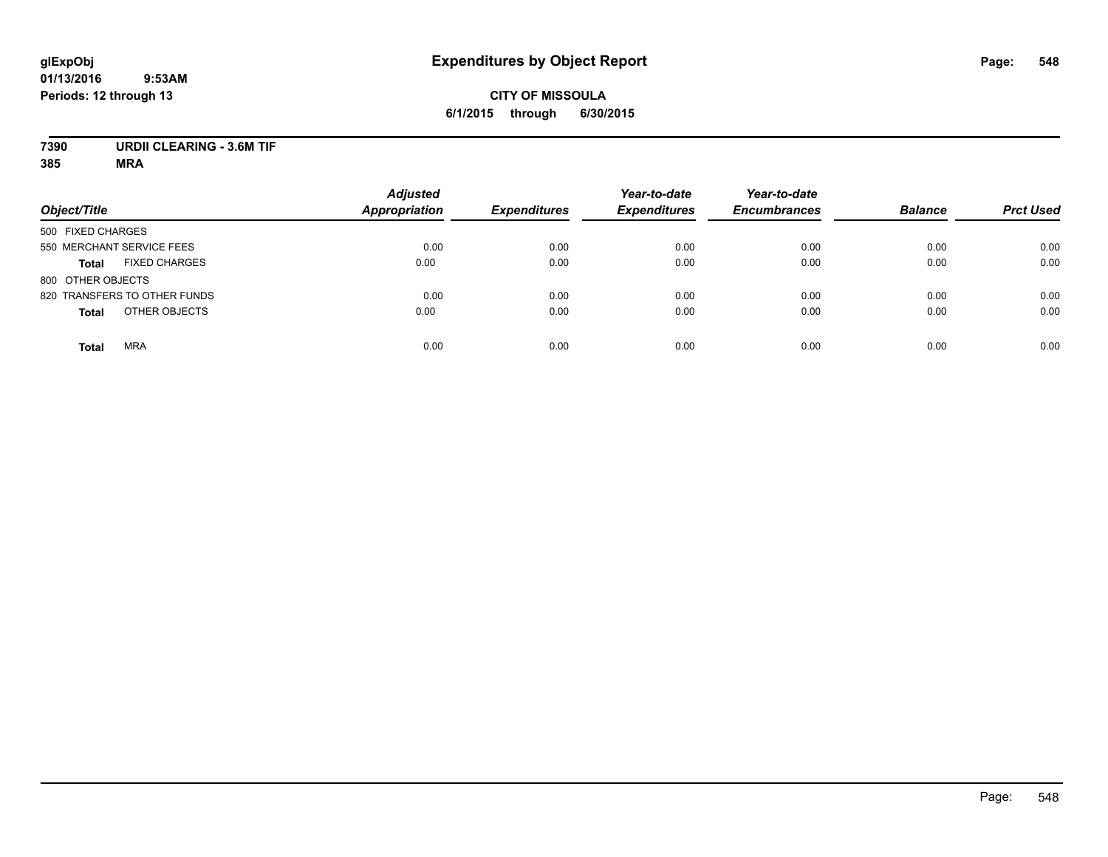# **CITY OF MISSOULA 6/1/2015 through 6/30/2015**

# **7390 URDII CLEARING - 3.6M TIF**

| Object/Title                         | <b>Adjusted</b><br><b>Appropriation</b> | <b>Expenditures</b> | Year-to-date<br><b>Expenditures</b> | Year-to-date<br><b>Encumbrances</b> | <b>Balance</b> | <b>Prct Used</b> |
|--------------------------------------|-----------------------------------------|---------------------|-------------------------------------|-------------------------------------|----------------|------------------|
| 500 FIXED CHARGES                    |                                         |                     |                                     |                                     |                |                  |
| 550 MERCHANT SERVICE FEES            | 0.00                                    | 0.00                | 0.00                                | 0.00                                | 0.00           | 0.00             |
| <b>FIXED CHARGES</b><br><b>Total</b> | 0.00                                    | 0.00                | 0.00                                | 0.00                                | 0.00           | 0.00             |
| 800 OTHER OBJECTS                    |                                         |                     |                                     |                                     |                |                  |
| 820 TRANSFERS TO OTHER FUNDS         | 0.00                                    | 0.00                | 0.00                                | 0.00                                | 0.00           | 0.00             |
| OTHER OBJECTS<br><b>Total</b>        | 0.00                                    | 0.00                | 0.00                                | 0.00                                | 0.00           | 0.00             |
| <b>MRA</b><br><b>Total</b>           | 0.00                                    | 0.00                | 0.00                                | 0.00                                | 0.00           | 0.00             |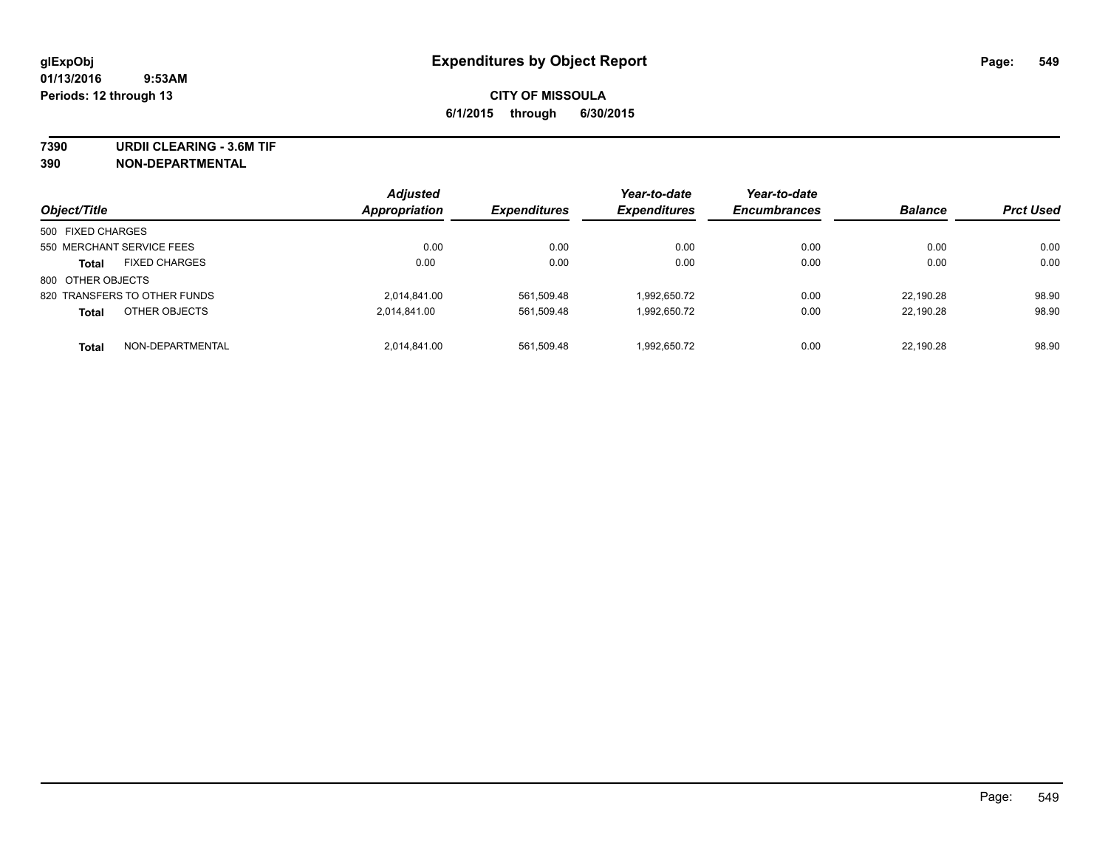**7390 URDII CLEARING - 3.6M TIF**

| Object/Title                         | <b>Adjusted</b><br><b>Appropriation</b> | <b>Expenditures</b> | Year-to-date<br><b>Expenditures</b> | Year-to-date<br><b>Encumbrances</b> | <b>Balance</b> | <b>Prct Used</b> |
|--------------------------------------|-----------------------------------------|---------------------|-------------------------------------|-------------------------------------|----------------|------------------|
| 500 FIXED CHARGES                    |                                         |                     |                                     |                                     |                |                  |
| 550 MERCHANT SERVICE FEES            | 0.00                                    | 0.00                | 0.00                                | 0.00                                | 0.00           | 0.00             |
| <b>FIXED CHARGES</b><br><b>Total</b> | 0.00                                    | 0.00                | 0.00                                | 0.00                                | 0.00           | 0.00             |
| 800 OTHER OBJECTS                    |                                         |                     |                                     |                                     |                |                  |
| 820 TRANSFERS TO OTHER FUNDS         | 2.014.841.00                            | 561,509.48          | 1,992,650.72                        | 0.00                                | 22.190.28      | 98.90            |
| OTHER OBJECTS<br><b>Total</b>        | 2,014,841.00                            | 561.509.48          | 1,992,650.72                        | 0.00                                | 22.190.28      | 98.90            |
| NON-DEPARTMENTAL<br><b>Total</b>     | 2.014.841.00                            | 561.509.48          | 1,992,650.72                        | 0.00                                | 22.190.28      | 98.90            |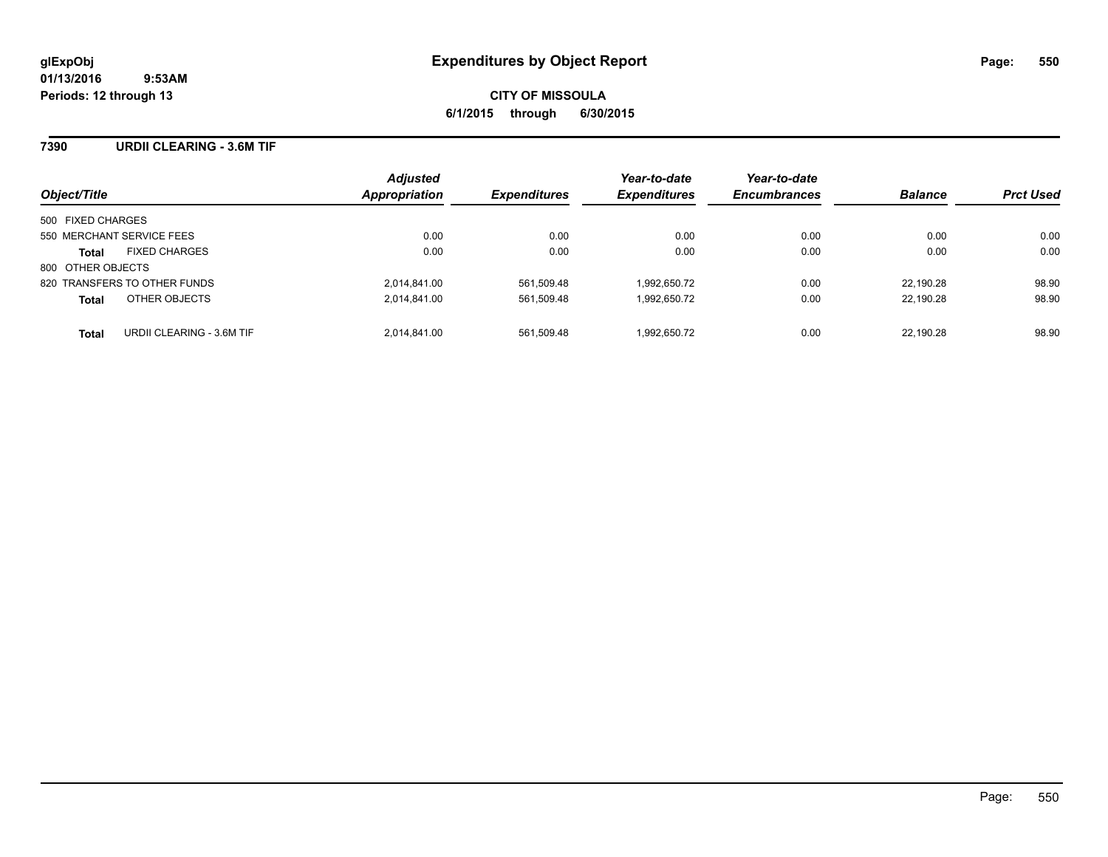### **7390 URDII CLEARING - 3.6M TIF**

| Object/Title                              | <b>Adjusted</b><br>Appropriation | <b>Expenditures</b> | Year-to-date<br><b>Expenditures</b> | Year-to-date<br><b>Encumbrances</b> | <b>Balance</b> | <b>Prct Used</b> |
|-------------------------------------------|----------------------------------|---------------------|-------------------------------------|-------------------------------------|----------------|------------------|
| 500 FIXED CHARGES                         |                                  |                     |                                     |                                     |                |                  |
| 550 MERCHANT SERVICE FEES                 | 0.00                             | 0.00                | 0.00                                | 0.00                                | 0.00           | 0.00             |
| <b>FIXED CHARGES</b><br><b>Total</b>      | 0.00                             | 0.00                | 0.00                                | 0.00                                | 0.00           | 0.00             |
| 800 OTHER OBJECTS                         |                                  |                     |                                     |                                     |                |                  |
| 820 TRANSFERS TO OTHER FUNDS              | 2.014.841.00                     | 561.509.48          | 1.992.650.72                        | 0.00                                | 22.190.28      | 98.90            |
| OTHER OBJECTS<br><b>Total</b>             | 2,014,841.00                     | 561,509.48          | 1,992,650.72                        | 0.00                                | 22,190.28      | 98.90            |
| URDII CLEARING - 3.6M TIF<br><b>Total</b> | 2.014.841.00                     | 561.509.48          | 1.992.650.72                        | 0.00                                | 22.190.28      | 98.90            |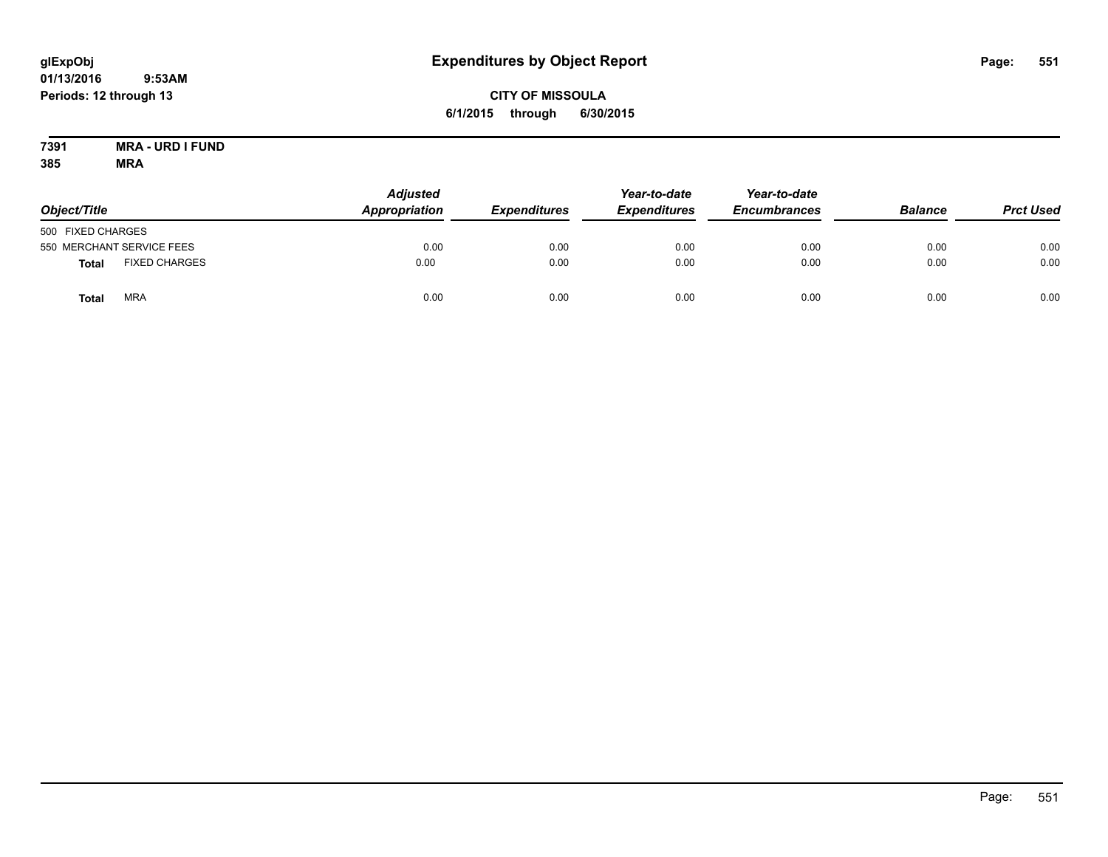# **CITY OF MISSOULA 6/1/2015 through 6/30/2015**

#### **7391 MRA - URD I FUND 385 MRA**

| Object/Title      |                           | <b>Adjusted</b><br><b>Appropriation</b> | <b>Expenditures</b> | Year-to-date<br><b>Expenditures</b> | Year-to-date<br><b>Encumbrances</b> | <b>Balance</b> | <b>Prct Used</b> |
|-------------------|---------------------------|-----------------------------------------|---------------------|-------------------------------------|-------------------------------------|----------------|------------------|
| 500 FIXED CHARGES |                           |                                         |                     |                                     |                                     |                |                  |
|                   | 550 MERCHANT SERVICE FEES | 0.00                                    | 0.00                | 0.00                                | 0.00                                | 0.00           | 0.00             |
| <b>Total</b>      | <b>FIXED CHARGES</b>      | 0.00                                    | 0.00                | 0.00                                | 0.00                                | 0.00           | 0.00             |
| Total             | <b>MRA</b>                | 0.00                                    | 0.00                | 0.00                                | 0.00                                | 0.00           | 0.00             |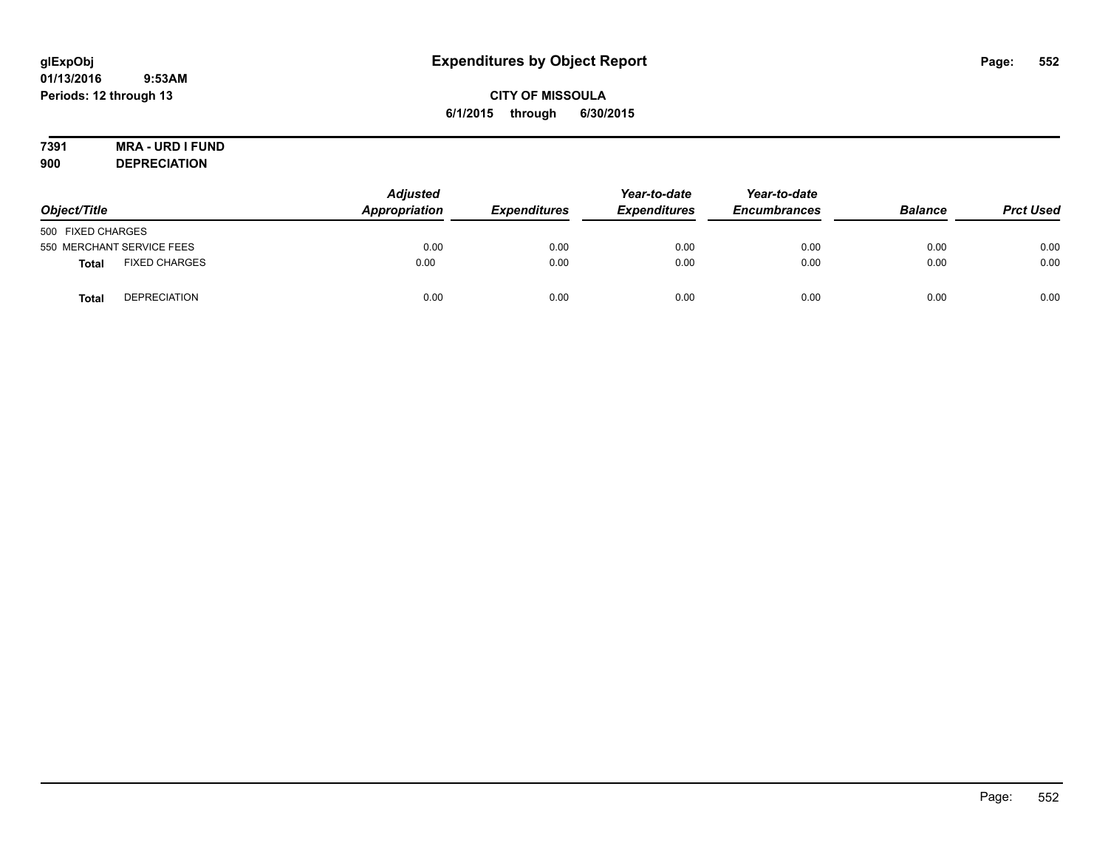# **CITY OF MISSOULA 6/1/2015 through 6/30/2015**

# **7391 MRA - URD I FUND**

**900 DEPRECIATION**

| Object/Title              |                      | <b>Adjusted</b><br>Appropriation | <b>Expenditures</b> | Year-to-date<br><b>Expenditures</b> | Year-to-date<br><b>Encumbrances</b> | <b>Balance</b> | <b>Prct Used</b> |
|---------------------------|----------------------|----------------------------------|---------------------|-------------------------------------|-------------------------------------|----------------|------------------|
| 500 FIXED CHARGES         |                      |                                  |                     |                                     |                                     |                |                  |
| 550 MERCHANT SERVICE FEES |                      | 0.00                             | 0.00                | 0.00                                | 0.00                                | 0.00           | 0.00             |
| <b>Total</b>              | <b>FIXED CHARGES</b> | 0.00                             | 0.00                | 0.00                                | 0.00                                | 0.00           | 0.00             |
| <b>Total</b>              | <b>DEPRECIATION</b>  | 0.00                             | 0.00                | 0.00                                | 0.00                                | 0.00           | 0.00             |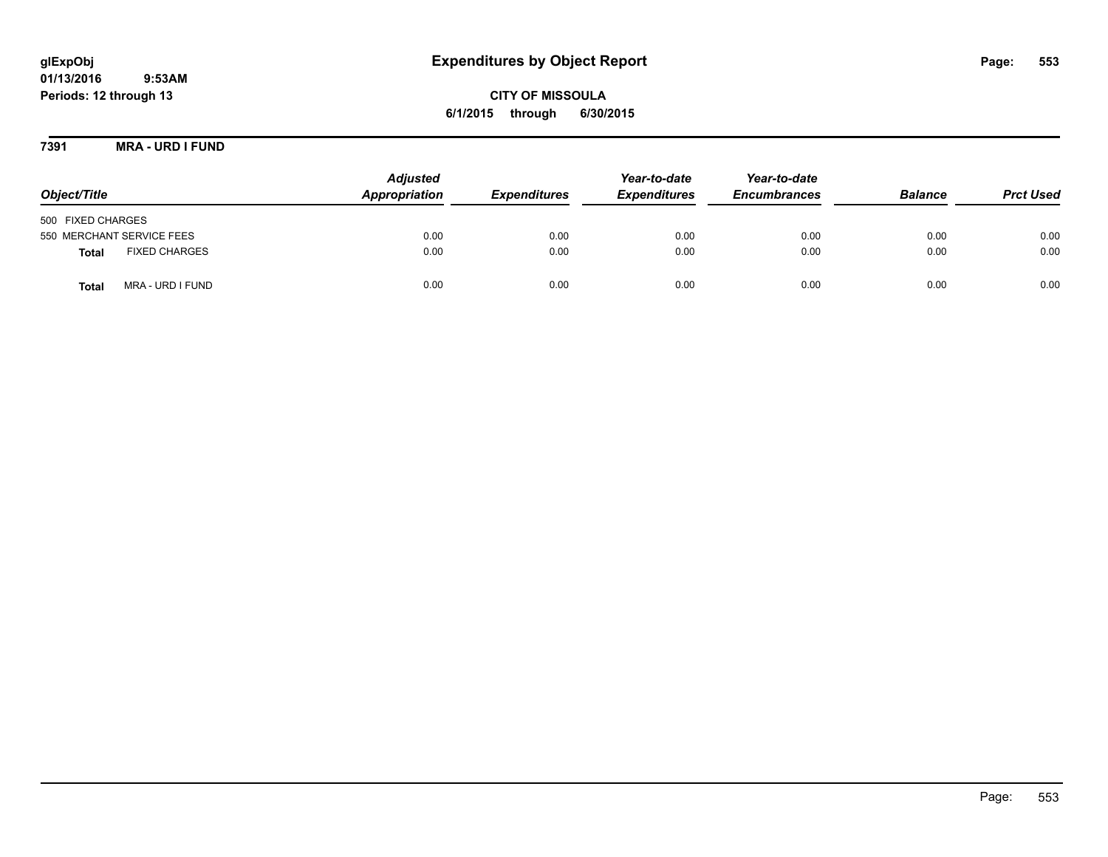# **glExpObj Expenditures by Object Report Page: 553**

**01/13/2016 9:53AM Periods: 12 through 13**

**CITY OF MISSOULA 6/1/2015 through 6/30/2015**

**7391 MRA - URD I FUND**

| Object/Title                         | <b>Adjusted</b><br>Appropriation | <b>Expenditures</b> | Year-to-date<br><b>Expenditures</b> | Year-to-date<br><b>Encumbrances</b> | <b>Balance</b> | <b>Prct Used</b> |
|--------------------------------------|----------------------------------|---------------------|-------------------------------------|-------------------------------------|----------------|------------------|
| 500 FIXED CHARGES                    |                                  |                     |                                     |                                     |                |                  |
| 550 MERCHANT SERVICE FEES            | 0.00                             | 0.00                | 0.00                                | 0.00                                | 0.00           | 0.00             |
| <b>FIXED CHARGES</b><br><b>Total</b> | 0.00                             | 0.00                | 0.00                                | 0.00                                | 0.00           | 0.00             |
| MRA - URD I FUND<br><b>Total</b>     | 0.00                             | 0.00                | 0.00                                | 0.00                                | 0.00           | 0.00             |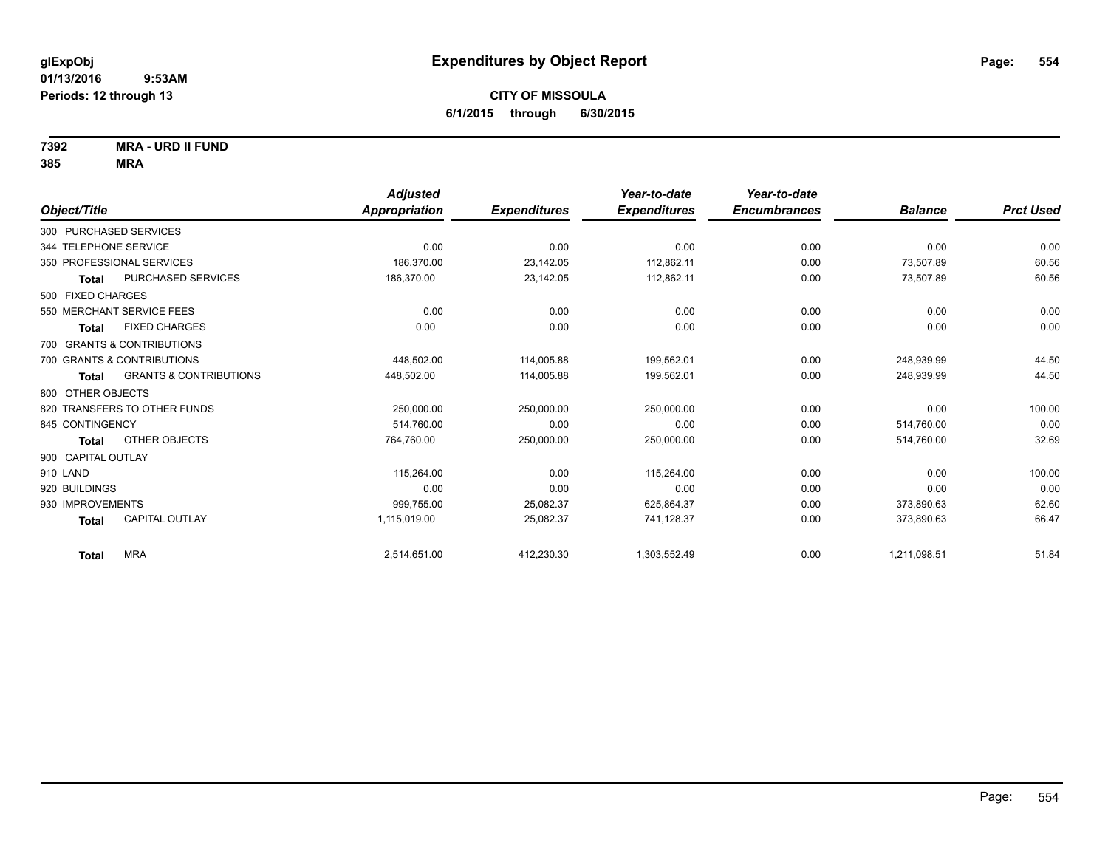**7392 MRA - URD II FUND**

|                                            | <b>Adjusted</b>      |                     | Year-to-date        | Year-to-date        |                |                  |
|--------------------------------------------|----------------------|---------------------|---------------------|---------------------|----------------|------------------|
| Object/Title                               | <b>Appropriation</b> | <b>Expenditures</b> | <b>Expenditures</b> | <b>Encumbrances</b> | <b>Balance</b> | <b>Prct Used</b> |
| 300 PURCHASED SERVICES                     |                      |                     |                     |                     |                |                  |
| 344 TELEPHONE SERVICE                      | 0.00                 | 0.00                | 0.00                | 0.00                | 0.00           | 0.00             |
| 350 PROFESSIONAL SERVICES                  | 186.370.00           | 23,142.05           | 112.862.11          | 0.00                | 73.507.89      | 60.56            |
| <b>PURCHASED SERVICES</b><br><b>Total</b>  | 186,370.00           | 23,142.05           | 112,862.11          | 0.00                | 73,507.89      | 60.56            |
| 500 FIXED CHARGES                          |                      |                     |                     |                     |                |                  |
| 550 MERCHANT SERVICE FEES                  | 0.00                 | 0.00                | 0.00                | 0.00                | 0.00           | 0.00             |
| <b>FIXED CHARGES</b><br>Total              | 0.00                 | 0.00                | 0.00                | 0.00                | 0.00           | 0.00             |
| 700 GRANTS & CONTRIBUTIONS                 |                      |                     |                     |                     |                |                  |
| 700 GRANTS & CONTRIBUTIONS                 | 448.502.00           | 114,005.88          | 199,562.01          | 0.00                | 248,939.99     | 44.50            |
| <b>GRANTS &amp; CONTRIBUTIONS</b><br>Total | 448.502.00           | 114.005.88          | 199.562.01          | 0.00                | 248.939.99     | 44.50            |
| 800 OTHER OBJECTS                          |                      |                     |                     |                     |                |                  |
| 820 TRANSFERS TO OTHER FUNDS               | 250,000.00           | 250.000.00          | 250,000.00          | 0.00                | 0.00           | 100.00           |
| 845 CONTINGENCY                            | 514,760.00           | 0.00                | 0.00                | 0.00                | 514,760.00     | 0.00             |
| OTHER OBJECTS<br>Total                     | 764,760.00           | 250,000.00          | 250,000.00          | 0.00                | 514,760.00     | 32.69            |
| 900 CAPITAL OUTLAY                         |                      |                     |                     |                     |                |                  |
| 910 LAND                                   | 115,264.00           | 0.00                | 115,264.00          | 0.00                | 0.00           | 100.00           |
| 920 BUILDINGS                              | 0.00                 | 0.00                | 0.00                | 0.00                | 0.00           | 0.00             |
| 930 IMPROVEMENTS                           | 999,755.00           | 25,082.37           | 625,864.37          | 0.00                | 373,890.63     | 62.60            |
| <b>CAPITAL OUTLAY</b><br><b>Total</b>      | 1,115,019.00         | 25,082.37           | 741,128.37          | 0.00                | 373,890.63     | 66.47            |
| <b>MRA</b><br><b>Total</b>                 | 2,514,651.00         | 412,230.30          | 1,303,552.49        | 0.00                | 1,211,098.51   | 51.84            |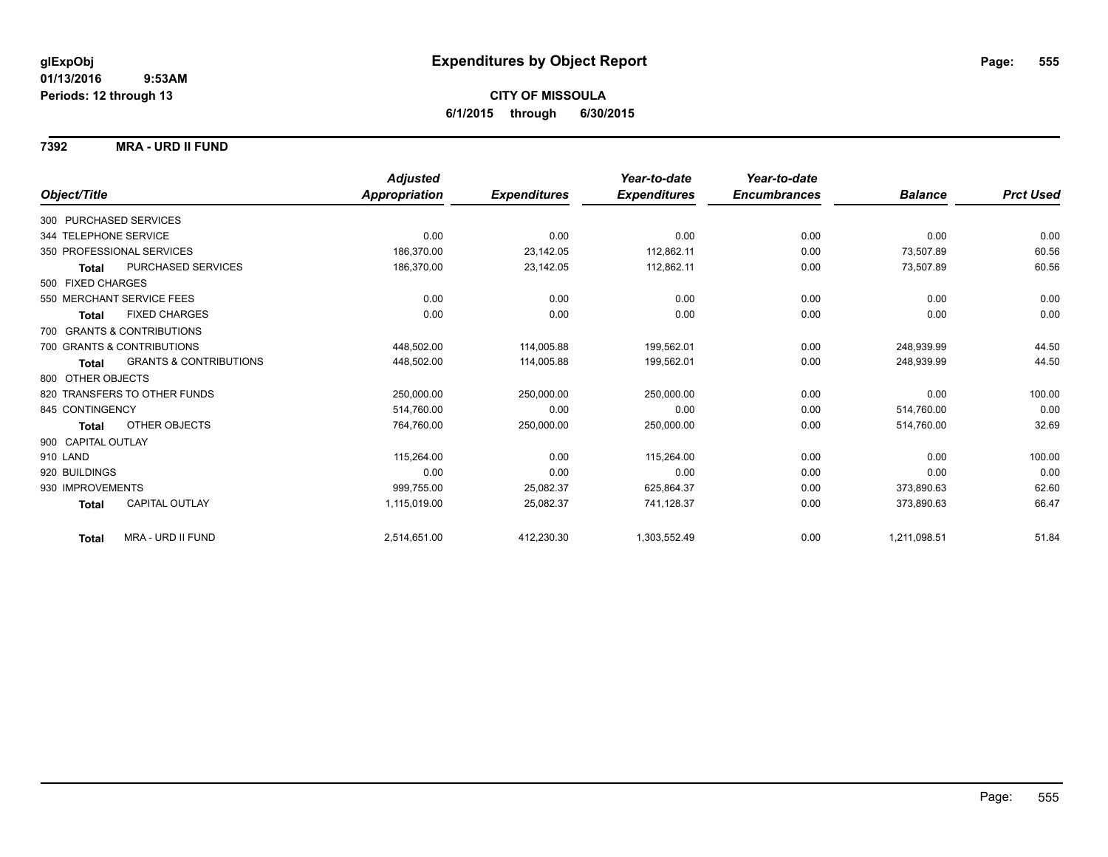### **7392 MRA - URD II FUND**

|                        |                                   | <b>Adjusted</b> |                     | Year-to-date        | Year-to-date        |                |                  |
|------------------------|-----------------------------------|-----------------|---------------------|---------------------|---------------------|----------------|------------------|
| Object/Title           |                                   | Appropriation   | <b>Expenditures</b> | <b>Expenditures</b> | <b>Encumbrances</b> | <b>Balance</b> | <b>Prct Used</b> |
| 300 PURCHASED SERVICES |                                   |                 |                     |                     |                     |                |                  |
| 344 TELEPHONE SERVICE  |                                   | 0.00            | 0.00                | 0.00                | 0.00                | 0.00           | 0.00             |
|                        | 350 PROFESSIONAL SERVICES         | 186,370.00      | 23,142.05           | 112,862.11          | 0.00                | 73,507.89      | 60.56            |
| <b>Total</b>           | <b>PURCHASED SERVICES</b>         | 186,370.00      | 23,142.05           | 112,862.11          | 0.00                | 73,507.89      | 60.56            |
| 500 FIXED CHARGES      |                                   |                 |                     |                     |                     |                |                  |
|                        | 550 MERCHANT SERVICE FEES         | 0.00            | 0.00                | 0.00                | 0.00                | 0.00           | 0.00             |
| <b>Total</b>           | <b>FIXED CHARGES</b>              | 0.00            | 0.00                | 0.00                | 0.00                | 0.00           | 0.00             |
|                        | 700 GRANTS & CONTRIBUTIONS        |                 |                     |                     |                     |                |                  |
|                        | 700 GRANTS & CONTRIBUTIONS        | 448,502.00      | 114,005.88          | 199,562.01          | 0.00                | 248.939.99     | 44.50            |
| Total                  | <b>GRANTS &amp; CONTRIBUTIONS</b> | 448,502.00      | 114,005.88          | 199,562.01          | 0.00                | 248,939.99     | 44.50            |
| 800 OTHER OBJECTS      |                                   |                 |                     |                     |                     |                |                  |
|                        | 820 TRANSFERS TO OTHER FUNDS      | 250,000.00      | 250,000.00          | 250,000.00          | 0.00                | 0.00           | 100.00           |
| 845 CONTINGENCY        |                                   | 514,760.00      | 0.00                | 0.00                | 0.00                | 514,760.00     | 0.00             |
| Total                  | OTHER OBJECTS                     | 764.760.00      | 250,000.00          | 250,000.00          | 0.00                | 514,760.00     | 32.69            |
| 900 CAPITAL OUTLAY     |                                   |                 |                     |                     |                     |                |                  |
| 910 LAND               |                                   | 115,264.00      | 0.00                | 115,264.00          | 0.00                | 0.00           | 100.00           |
| 920 BUILDINGS          |                                   | 0.00            | 0.00                | 0.00                | 0.00                | 0.00           | 0.00             |
| 930 IMPROVEMENTS       |                                   | 999,755.00      | 25,082.37           | 625,864.37          | 0.00                | 373,890.63     | 62.60            |
| <b>Total</b>           | CAPITAL OUTLAY                    | 1,115,019.00    | 25,082.37           | 741,128.37          | 0.00                | 373,890.63     | 66.47            |
| <b>Total</b>           | MRA - URD II FUND                 | 2,514,651.00    | 412,230.30          | 1,303,552.49        | 0.00                | 1,211,098.51   | 51.84            |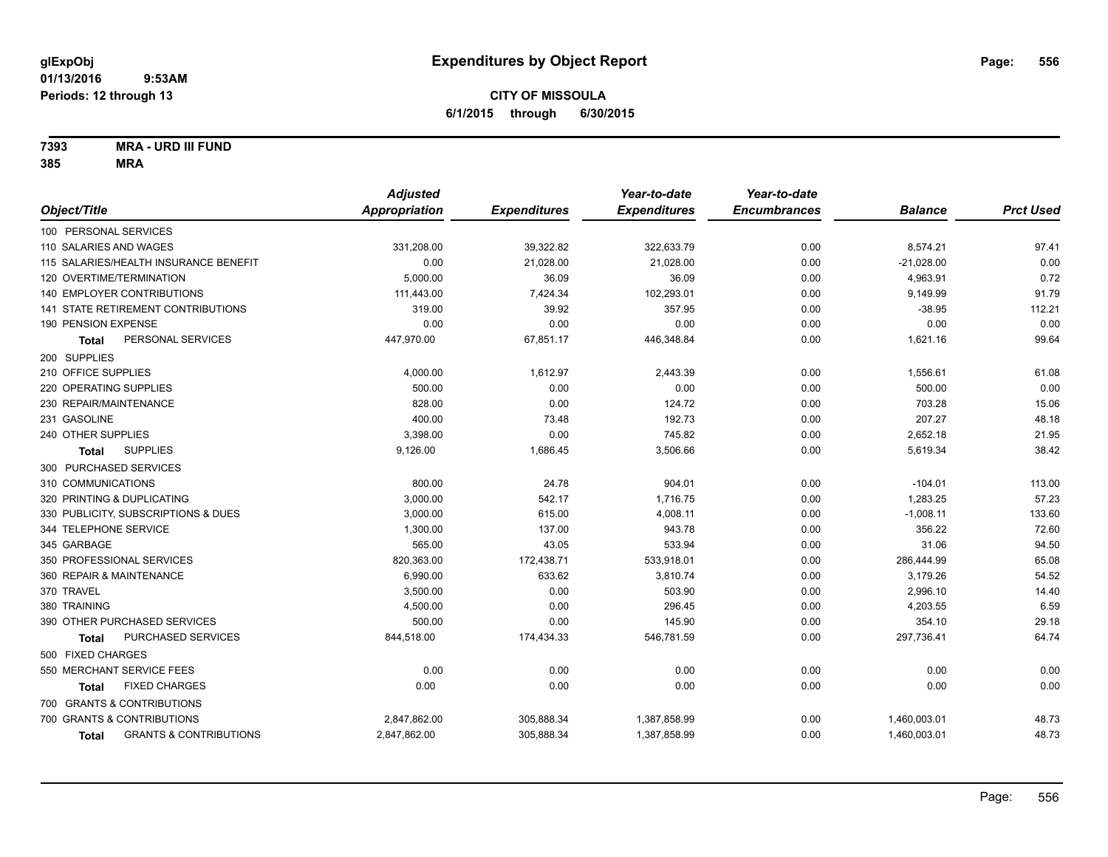**7393 MRA - URD III FUND**

|                                            | <b>Adjusted</b> |                     | Year-to-date        | Year-to-date        |                |                  |
|--------------------------------------------|-----------------|---------------------|---------------------|---------------------|----------------|------------------|
| Object/Title                               | Appropriation   | <b>Expenditures</b> | <b>Expenditures</b> | <b>Encumbrances</b> | <b>Balance</b> | <b>Prct Used</b> |
| 100 PERSONAL SERVICES                      |                 |                     |                     |                     |                |                  |
| 110 SALARIES AND WAGES                     | 331,208.00      | 39,322.82           | 322,633.79          | 0.00                | 8,574.21       | 97.41            |
| 115 SALARIES/HEALTH INSURANCE BENEFIT      | 0.00            | 21,028.00           | 21.028.00           | 0.00                | $-21,028.00$   | 0.00             |
| 120 OVERTIME/TERMINATION                   | 5,000.00        | 36.09               | 36.09               | 0.00                | 4,963.91       | 0.72             |
| <b>140 EMPLOYER CONTRIBUTIONS</b>          | 111,443.00      | 7,424.34            | 102,293.01          | 0.00                | 9,149.99       | 91.79            |
| 141 STATE RETIREMENT CONTRIBUTIONS         | 319.00          | 39.92               | 357.95              | 0.00                | $-38.95$       | 112.21           |
| 190 PENSION EXPENSE                        | 0.00            | 0.00                | 0.00                | 0.00                | 0.00           | 0.00             |
| PERSONAL SERVICES<br><b>Total</b>          | 447,970.00      | 67,851.17           | 446,348.84          | 0.00                | 1,621.16       | 99.64            |
| 200 SUPPLIES                               |                 |                     |                     |                     |                |                  |
| 210 OFFICE SUPPLIES                        | 4,000.00        | 1,612.97            | 2,443.39            | 0.00                | 1,556.61       | 61.08            |
| 220 OPERATING SUPPLIES                     | 500.00          | 0.00                | 0.00                | 0.00                | 500.00         | 0.00             |
| 230 REPAIR/MAINTENANCE                     | 828.00          | 0.00                | 124.72              | 0.00                | 703.28         | 15.06            |
| 231 GASOLINE                               | 400.00          | 73.48               | 192.73              | 0.00                | 207.27         | 48.18            |
| 240 OTHER SUPPLIES                         | 3,398.00        | 0.00                | 745.82              | 0.00                | 2,652.18       | 21.95            |
| <b>SUPPLIES</b><br>Total                   | 9,126.00        | 1,686.45            | 3,506.66            | 0.00                | 5,619.34       | 38.42            |
| 300 PURCHASED SERVICES                     |                 |                     |                     |                     |                |                  |
| 310 COMMUNICATIONS                         | 800.00          | 24.78               | 904.01              | 0.00                | $-104.01$      | 113.00           |
| 320 PRINTING & DUPLICATING                 | 3,000.00        | 542.17              | 1,716.75            | 0.00                | 1,283.25       | 57.23            |
| 330 PUBLICITY, SUBSCRIPTIONS & DUES        | 3,000.00        | 615.00              | 4,008.11            | 0.00                | $-1,008.11$    | 133.60           |
| 344 TELEPHONE SERVICE                      | 1,300.00        | 137.00              | 943.78              | 0.00                | 356.22         | 72.60            |
| 345 GARBAGE                                | 565.00          | 43.05               | 533.94              | 0.00                | 31.06          | 94.50            |
| 350 PROFESSIONAL SERVICES                  | 820,363.00      | 172,438.71          | 533,918.01          | 0.00                | 286,444.99     | 65.08            |
| 360 REPAIR & MAINTENANCE                   | 6,990.00        | 633.62              | 3,810.74            | 0.00                | 3,179.26       | 54.52            |
| 370 TRAVEL                                 | 3,500.00        | 0.00                | 503.90              | 0.00                | 2,996.10       | 14.40            |
| 380 TRAINING                               | 4,500.00        | 0.00                | 296.45              | 0.00                | 4,203.55       | 6.59             |
| 390 OTHER PURCHASED SERVICES               | 500.00          | 0.00                | 145.90              | 0.00                | 354.10         | 29.18            |
| PURCHASED SERVICES<br><b>Total</b>         | 844,518.00      | 174,434.33          | 546,781.59          | 0.00                | 297,736.41     | 64.74            |
| 500 FIXED CHARGES                          |                 |                     |                     |                     |                |                  |
| 550 MERCHANT SERVICE FEES                  | 0.00            | 0.00                | 0.00                | 0.00                | 0.00           | 0.00             |
| <b>FIXED CHARGES</b><br>Total              | 0.00            | 0.00                | 0.00                | 0.00                | 0.00           | 0.00             |
| 700 GRANTS & CONTRIBUTIONS                 |                 |                     |                     |                     |                |                  |
| 700 GRANTS & CONTRIBUTIONS                 | 2,847,862.00    | 305,888.34          | 1,387,858.99        | 0.00                | 1,460,003.01   | 48.73            |
| <b>GRANTS &amp; CONTRIBUTIONS</b><br>Total | 2,847,862.00    | 305,888.34          | 1,387,858.99        | 0.00                | 1,460,003.01   | 48.73            |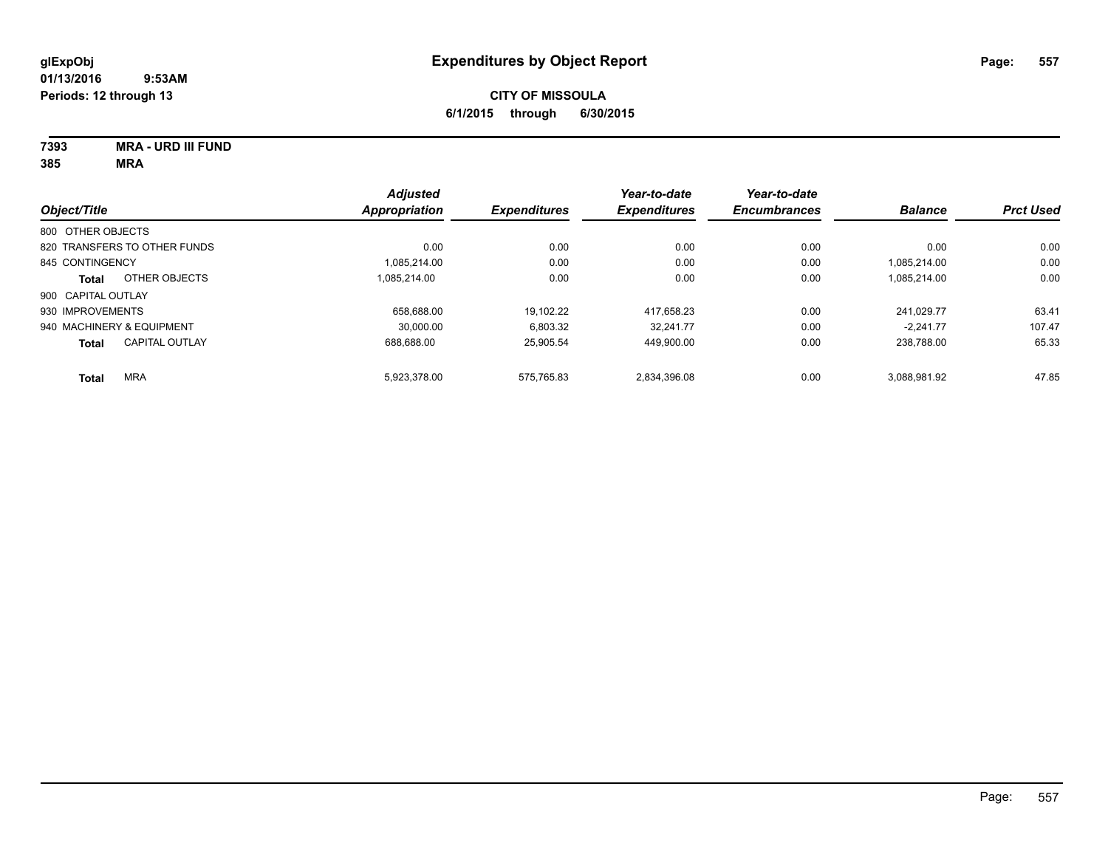**7393 MRA - URD III FUND**

|                              |                       | <b>Adjusted</b>      |                     | Year-to-date        | Year-to-date        |                |                  |
|------------------------------|-----------------------|----------------------|---------------------|---------------------|---------------------|----------------|------------------|
| Object/Title                 |                       | <b>Appropriation</b> | <b>Expenditures</b> | <b>Expenditures</b> | <b>Encumbrances</b> | <b>Balance</b> | <b>Prct Used</b> |
| 800 OTHER OBJECTS            |                       |                      |                     |                     |                     |                |                  |
| 820 TRANSFERS TO OTHER FUNDS |                       | 0.00                 | 0.00                | 0.00                | 0.00                | 0.00           | 0.00             |
| 845 CONTINGENCY              |                       | 1.085.214.00         | 0.00                | 0.00                | 0.00                | 1.085.214.00   | 0.00             |
| <b>Total</b>                 | OTHER OBJECTS         | 1.085.214.00         | 0.00                | 0.00                | 0.00                | 1,085,214.00   | 0.00             |
| 900 CAPITAL OUTLAY           |                       |                      |                     |                     |                     |                |                  |
| 930 IMPROVEMENTS             |                       | 658.688.00           | 19.102.22           | 417.658.23          | 0.00                | 241.029.77     | 63.41            |
| 940 MACHINERY & EQUIPMENT    |                       | 30.000.00            | 6.803.32            | 32.241.77           | 0.00                | $-2.241.77$    | 107.47           |
| <b>Total</b>                 | <b>CAPITAL OUTLAY</b> | 688.688.00           | 25.905.54           | 449,900.00          | 0.00                | 238.788.00     | 65.33            |
| <b>MRA</b><br><b>Total</b>   |                       | 5,923,378.00         | 575.765.83          | 2,834,396.08        | 0.00                | 3,088,981.92   | 47.85            |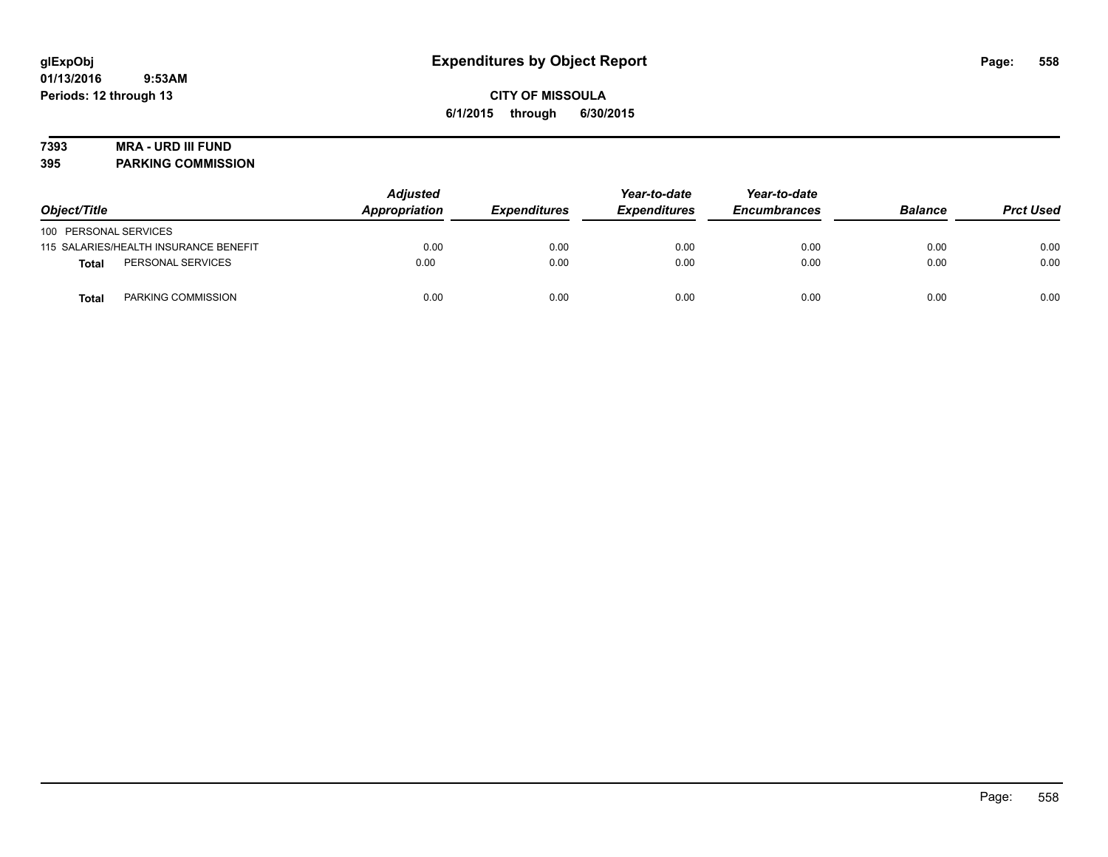# **7393 MRA - URD III FUND**

**395 PARKING COMMISSION**

| Object/Title                          | <b>Adjusted</b><br>Appropriation | <b>Expenditures</b> | Year-to-date<br><b>Expenditures</b> | Year-to-date<br><b>Encumbrances</b> | <b>Balance</b> | <b>Prct Used</b> |
|---------------------------------------|----------------------------------|---------------------|-------------------------------------|-------------------------------------|----------------|------------------|
| 100 PERSONAL SERVICES                 |                                  |                     |                                     |                                     |                |                  |
| 115 SALARIES/HEALTH INSURANCE BENEFIT | 0.00                             | 0.00                | 0.00                                | 0.00                                | 0.00           | 0.00             |
| PERSONAL SERVICES<br>Total            | 0.00                             | 0.00                | 0.00                                | 0.00                                | 0.00           | 0.00             |
| PARKING COMMISSION<br>Total           | 0.00                             | 0.00                | 0.00                                | 0.00                                | 0.00           | 0.00             |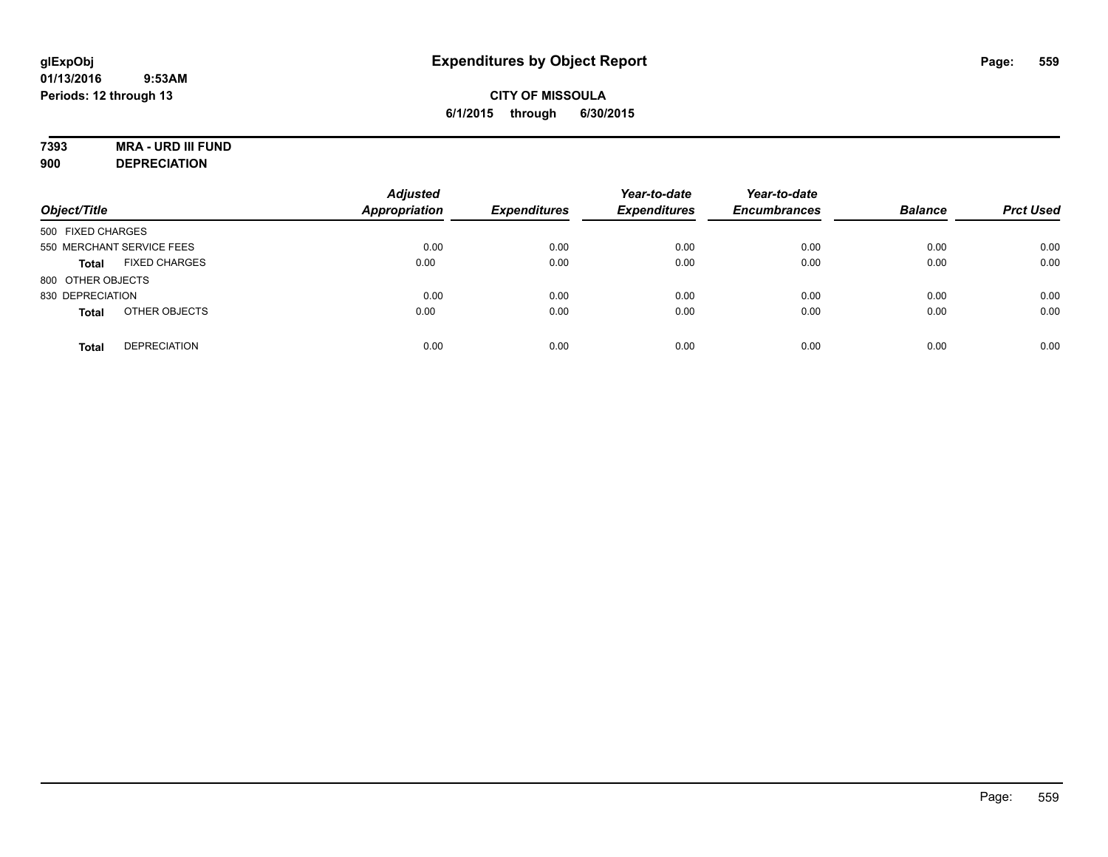# **7393 MRA - URD III FUND**

**900 DEPRECIATION**

| Object/Title                         | <b>Adjusted</b><br><b>Appropriation</b> | <b>Expenditures</b> | Year-to-date<br><b>Expenditures</b> | Year-to-date<br><b>Encumbrances</b> | <b>Balance</b> | <b>Prct Used</b> |
|--------------------------------------|-----------------------------------------|---------------------|-------------------------------------|-------------------------------------|----------------|------------------|
| 500 FIXED CHARGES                    |                                         |                     |                                     |                                     |                |                  |
| 550 MERCHANT SERVICE FEES            | 0.00                                    | 0.00                | 0.00                                | 0.00                                | 0.00           | 0.00             |
| <b>FIXED CHARGES</b><br><b>Total</b> | 0.00                                    | 0.00                | 0.00                                | 0.00                                | 0.00           | 0.00             |
| 800 OTHER OBJECTS                    |                                         |                     |                                     |                                     |                |                  |
| 830 DEPRECIATION                     | 0.00                                    | 0.00                | 0.00                                | 0.00                                | 0.00           | 0.00             |
| OTHER OBJECTS<br><b>Total</b>        | 0.00                                    | 0.00                | 0.00                                | 0.00                                | 0.00           | 0.00             |
| <b>DEPRECIATION</b><br><b>Total</b>  | 0.00                                    | 0.00                | 0.00                                | 0.00                                | 0.00           | 0.00             |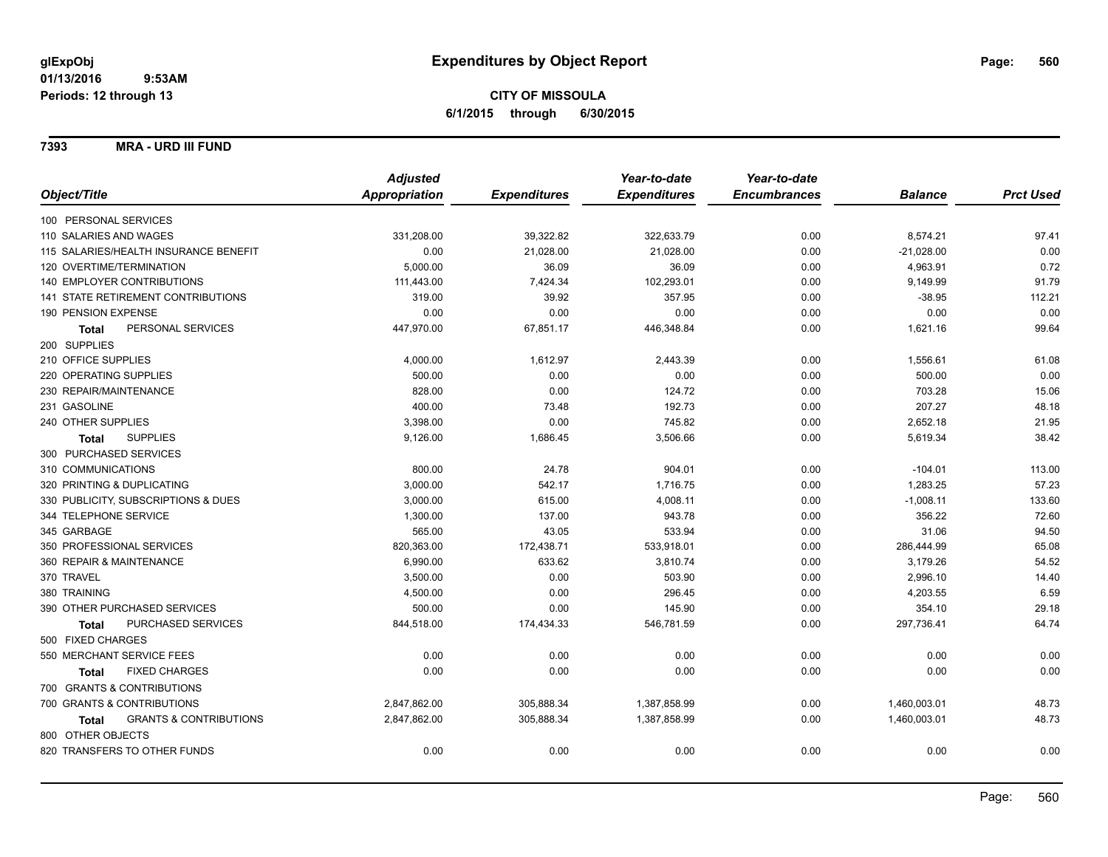### **7393 MRA - URD III FUND**

|                                                   | <b>Adjusted</b> |                     | Year-to-date        | Year-to-date        |                |                  |
|---------------------------------------------------|-----------------|---------------------|---------------------|---------------------|----------------|------------------|
| Object/Title                                      | Appropriation   | <b>Expenditures</b> | <b>Expenditures</b> | <b>Encumbrances</b> | <b>Balance</b> | <b>Prct Used</b> |
| 100 PERSONAL SERVICES                             |                 |                     |                     |                     |                |                  |
| 110 SALARIES AND WAGES                            | 331,208.00      | 39,322.82           | 322,633.79          | 0.00                | 8,574.21       | 97.41            |
| 115 SALARIES/HEALTH INSURANCE BENEFIT             | 0.00            | 21,028.00           | 21,028.00           | 0.00                | $-21,028.00$   | 0.00             |
| 120 OVERTIME/TERMINATION                          | 5,000.00        | 36.09               | 36.09               | 0.00                | 4,963.91       | 0.72             |
| 140 EMPLOYER CONTRIBUTIONS                        | 111,443.00      | 7,424.34            | 102,293.01          | 0.00                | 9,149.99       | 91.79            |
| <b>141 STATE RETIREMENT CONTRIBUTIONS</b>         | 319.00          | 39.92               | 357.95              | 0.00                | $-38.95$       | 112.21           |
| 190 PENSION EXPENSE                               | 0.00            | 0.00                | 0.00                | 0.00                | 0.00           | 0.00             |
| PERSONAL SERVICES<br><b>Total</b>                 | 447,970.00      | 67,851.17           | 446,348.84          | 0.00                | 1,621.16       | 99.64            |
| 200 SUPPLIES                                      |                 |                     |                     |                     |                |                  |
| 210 OFFICE SUPPLIES                               | 4,000.00        | 1,612.97            | 2,443.39            | 0.00                | 1,556.61       | 61.08            |
| 220 OPERATING SUPPLIES                            | 500.00          | 0.00                | 0.00                | 0.00                | 500.00         | 0.00             |
| 230 REPAIR/MAINTENANCE                            | 828.00          | 0.00                | 124.72              | 0.00                | 703.28         | 15.06            |
| 231 GASOLINE                                      | 400.00          | 73.48               | 192.73              | 0.00                | 207.27         | 48.18            |
| 240 OTHER SUPPLIES                                | 3,398.00        | 0.00                | 745.82              | 0.00                | 2,652.18       | 21.95            |
| <b>SUPPLIES</b><br><b>Total</b>                   | 9,126.00        | 1,686.45            | 3,506.66            | 0.00                | 5,619.34       | 38.42            |
| 300 PURCHASED SERVICES                            |                 |                     |                     |                     |                |                  |
| 310 COMMUNICATIONS                                | 800.00          | 24.78               | 904.01              | 0.00                | $-104.01$      | 113.00           |
| 320 PRINTING & DUPLICATING                        | 3,000.00        | 542.17              | 1,716.75            | 0.00                | 1,283.25       | 57.23            |
| 330 PUBLICITY, SUBSCRIPTIONS & DUES               | 3,000.00        | 615.00              | 4,008.11            | 0.00                | $-1,008.11$    | 133.60           |
| 344 TELEPHONE SERVICE                             | 1,300.00        | 137.00              | 943.78              | 0.00                | 356.22         | 72.60            |
| 345 GARBAGE                                       | 565.00          | 43.05               | 533.94              | 0.00                | 31.06          | 94.50            |
| 350 PROFESSIONAL SERVICES                         | 820,363.00      | 172,438.71          | 533,918.01          | 0.00                | 286,444.99     | 65.08            |
| 360 REPAIR & MAINTENANCE                          | 6,990.00        | 633.62              | 3,810.74            | 0.00                | 3,179.26       | 54.52            |
| 370 TRAVEL                                        | 3,500.00        | 0.00                | 503.90              | 0.00                | 2,996.10       | 14.40            |
| 380 TRAINING                                      | 4,500.00        | 0.00                | 296.45              | 0.00                | 4,203.55       | 6.59             |
| 390 OTHER PURCHASED SERVICES                      | 500.00          | 0.00                | 145.90              | 0.00                | 354.10         | 29.18            |
| PURCHASED SERVICES<br><b>Total</b>                | 844,518.00      | 174,434.33          | 546,781.59          | 0.00                | 297,736.41     | 64.74            |
| 500 FIXED CHARGES                                 |                 |                     |                     |                     |                |                  |
| 550 MERCHANT SERVICE FEES                         | 0.00            | 0.00                | 0.00                | 0.00                | 0.00           | 0.00             |
| <b>FIXED CHARGES</b><br><b>Total</b>              | 0.00            | 0.00                | 0.00                | 0.00                | 0.00           | 0.00             |
| 700 GRANTS & CONTRIBUTIONS                        |                 |                     |                     |                     |                |                  |
| 700 GRANTS & CONTRIBUTIONS                        | 2,847,862.00    | 305,888.34          | 1,387,858.99        | 0.00                | 1,460,003.01   | 48.73            |
| <b>GRANTS &amp; CONTRIBUTIONS</b><br><b>Total</b> | 2,847,862.00    | 305,888.34          | 1,387,858.99        | 0.00                | 1,460,003.01   | 48.73            |
| 800 OTHER OBJECTS                                 |                 |                     |                     |                     |                |                  |
| 820 TRANSFERS TO OTHER FUNDS                      | 0.00            | 0.00                | 0.00                | 0.00                | 0.00           | 0.00             |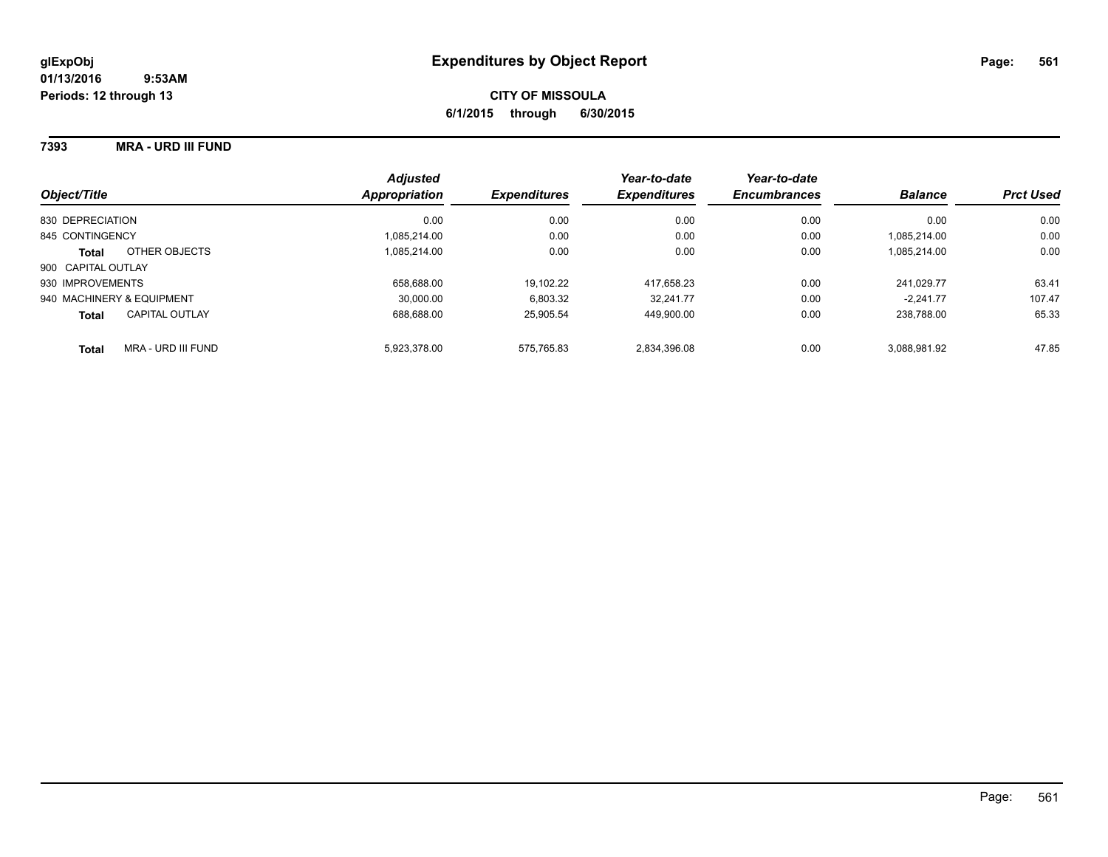### **7393 MRA - URD III FUND**

| Object/Title                          | <b>Adjusted</b><br>Appropriation | <b>Expenditures</b> | Year-to-date<br><b>Expenditures</b> | Year-to-date<br><b>Encumbrances</b> | <b>Balance</b> | <b>Prct Used</b> |
|---------------------------------------|----------------------------------|---------------------|-------------------------------------|-------------------------------------|----------------|------------------|
| 830 DEPRECIATION                      | 0.00                             | 0.00                | 0.00                                | 0.00                                | 0.00           | 0.00             |
| 845 CONTINGENCY                       | 1.085.214.00                     | 0.00                | 0.00                                | 0.00                                | 1.085.214.00   | 0.00             |
| OTHER OBJECTS<br><b>Total</b>         | 1,085,214.00                     | 0.00                | 0.00                                | 0.00                                | 1.085.214.00   | 0.00             |
| 900 CAPITAL OUTLAY                    |                                  |                     |                                     |                                     |                |                  |
| 930 IMPROVEMENTS                      | 658.688.00                       | 19,102.22           | 417.658.23                          | 0.00                                | 241.029.77     | 63.41            |
| 940 MACHINERY & EQUIPMENT             | 30.000.00                        | 6,803.32            | 32.241.77                           | 0.00                                | $-2.241.77$    | 107.47           |
| <b>CAPITAL OUTLAY</b><br><b>Total</b> | 688.688.00                       | 25.905.54           | 449.900.00                          | 0.00                                | 238.788.00     | 65.33            |
| MRA - URD III FUND<br><b>Total</b>    | 5.923.378.00                     | 575.765.83          | 2.834.396.08                        | 0.00                                | 3.088.981.92   | 47.85            |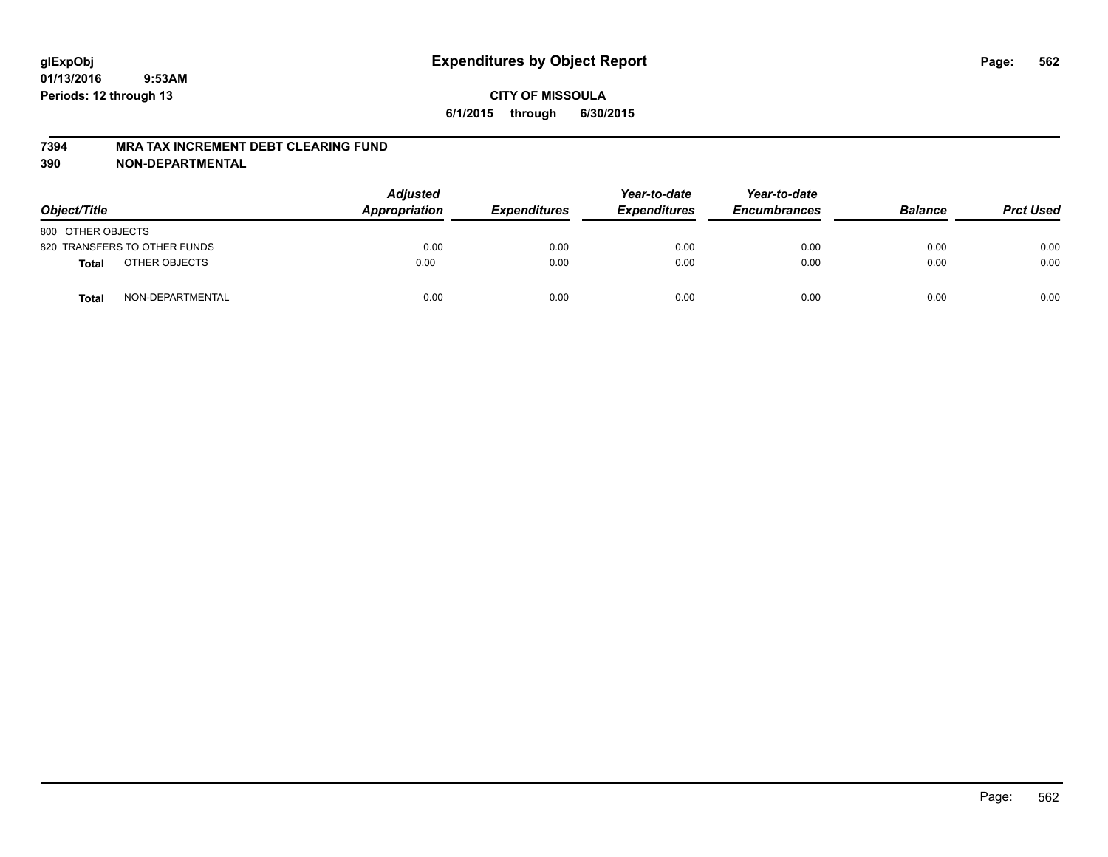#### **7394 MRA TAX INCREMENT DEBT CLEARING FUND**

| Object/Title      |                              | <b>Adjusted</b><br>Appropriation | <i><b>Expenditures</b></i> | Year-to-date<br><b>Expenditures</b> | Year-to-date<br><b>Encumbrances</b> | <b>Balance</b> | <b>Prct Used</b> |
|-------------------|------------------------------|----------------------------------|----------------------------|-------------------------------------|-------------------------------------|----------------|------------------|
| 800 OTHER OBJECTS |                              |                                  |                            |                                     |                                     |                |                  |
|                   | 820 TRANSFERS TO OTHER FUNDS | 0.00                             | 0.00                       | 0.00                                | 0.00                                | 0.00           | 0.00             |
| <b>Total</b>      | OTHER OBJECTS                | 0.00                             | 0.00                       | 0.00                                | 0.00                                | 0.00           | 0.00             |
| <b>Total</b>      | NON-DEPARTMENTAL             | 0.00                             | 0.00                       | 0.00                                | 0.00                                | 0.00           | 0.00             |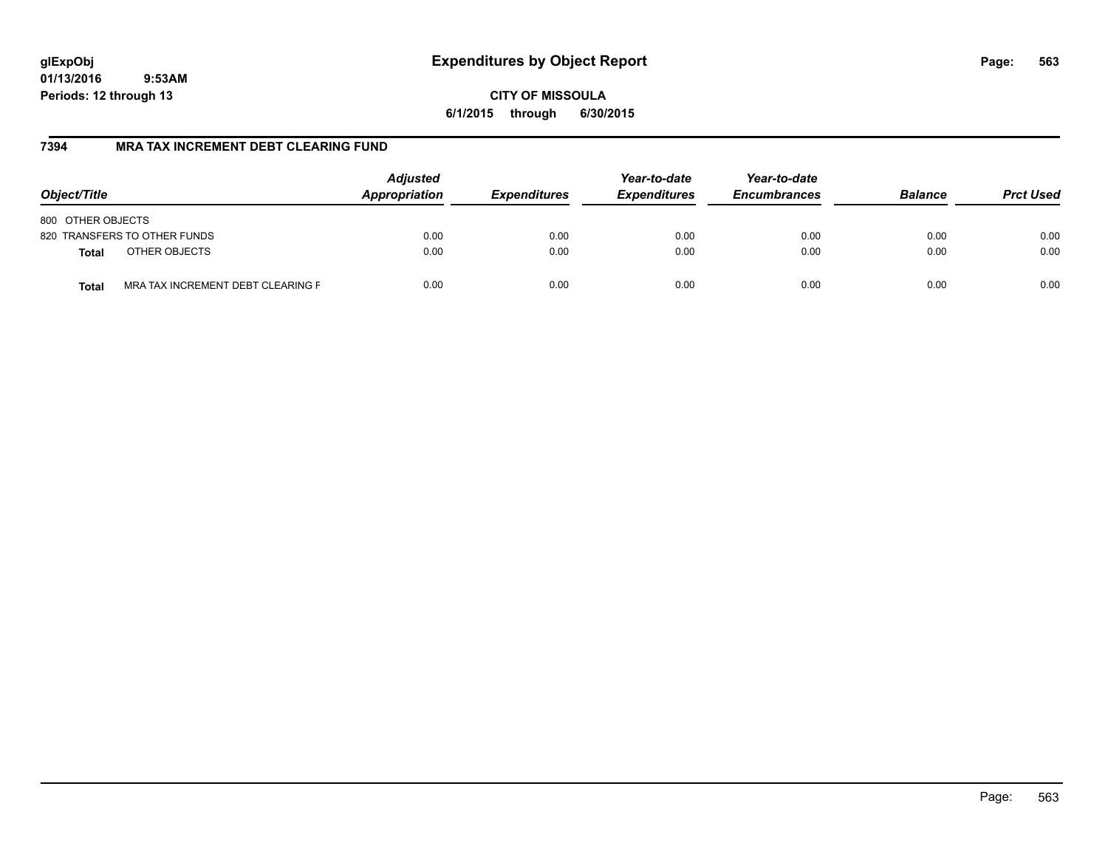**CITY OF MISSOULA 6/1/2015 through 6/30/2015**

## **7394 MRA TAX INCREMENT DEBT CLEARING FUND**

| Object/Title                                      | <b>Adjusted</b><br>Appropriation | <b>Expenditures</b> | Year-to-date<br><b>Expenditures</b> | Year-to-date<br><b>Encumbrances</b> | <b>Balance</b> | <b>Prct Used</b> |
|---------------------------------------------------|----------------------------------|---------------------|-------------------------------------|-------------------------------------|----------------|------------------|
| 800 OTHER OBJECTS                                 |                                  |                     |                                     |                                     |                |                  |
| 820 TRANSFERS TO OTHER FUNDS                      | 0.00                             | 0.00                | 0.00                                | 0.00                                | 0.00           | 0.00             |
| OTHER OBJECTS<br><b>Total</b>                     | 0.00                             | 0.00                | 0.00                                | 0.00                                | 0.00           | 0.00             |
| MRA TAX INCREMENT DEBT CLEARING F<br><b>Total</b> | 0.00                             | 0.00                | 0.00                                | 0.00                                | 0.00           | 0.00             |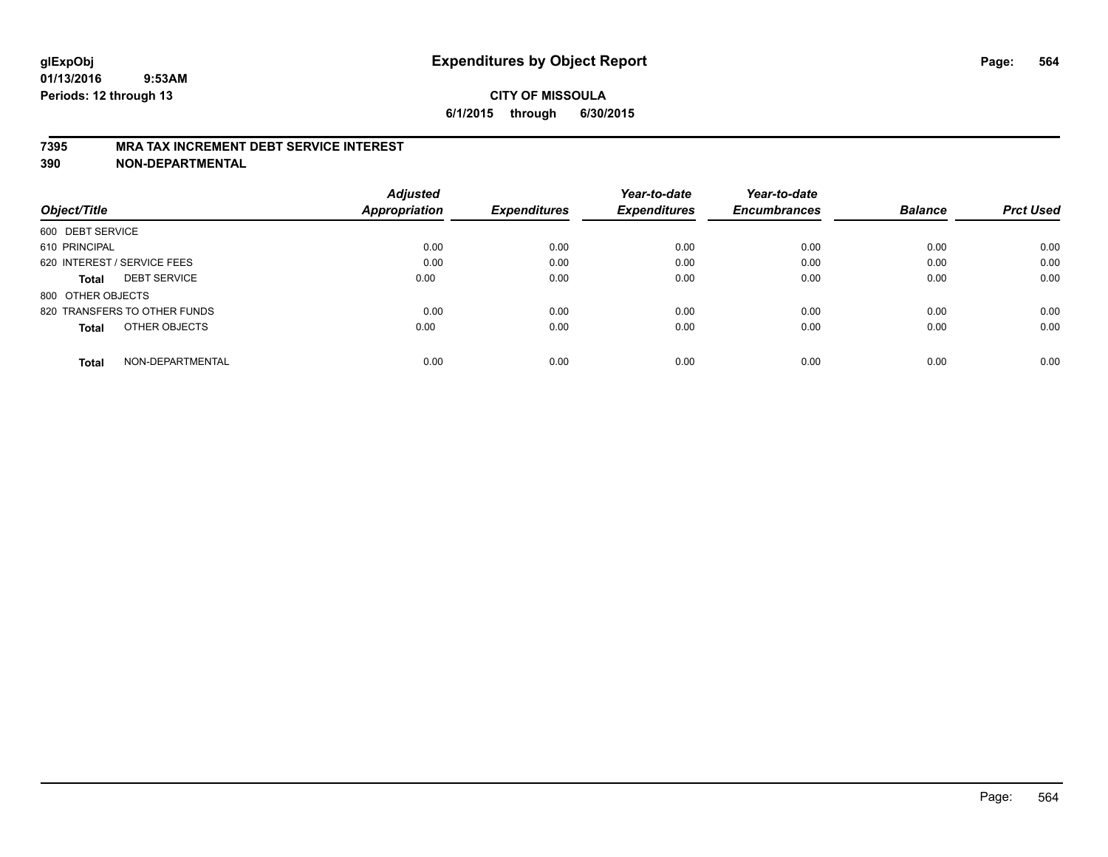#### **7395 MRA TAX INCREMENT DEBT SERVICE INTEREST**

| Object/Title                        | <b>Adjusted</b><br><b>Appropriation</b> | <b>Expenditures</b> | Year-to-date<br><b>Expenditures</b> | Year-to-date<br><b>Encumbrances</b> | <b>Balance</b> | <b>Prct Used</b> |
|-------------------------------------|-----------------------------------------|---------------------|-------------------------------------|-------------------------------------|----------------|------------------|
|                                     |                                         |                     |                                     |                                     |                |                  |
| 600 DEBT SERVICE                    |                                         |                     |                                     |                                     |                |                  |
| 610 PRINCIPAL                       | 0.00                                    | 0.00                | 0.00                                | 0.00                                | 0.00           | 0.00             |
| 620 INTEREST / SERVICE FEES         | 0.00                                    | 0.00                | 0.00                                | 0.00                                | 0.00           | 0.00             |
| <b>DEBT SERVICE</b><br><b>Total</b> | 0.00                                    | 0.00                | 0.00                                | 0.00                                | 0.00           | 0.00             |
| 800 OTHER OBJECTS                   |                                         |                     |                                     |                                     |                |                  |
| 820 TRANSFERS TO OTHER FUNDS        | 0.00                                    | 0.00                | 0.00                                | 0.00                                | 0.00           | 0.00             |
| OTHER OBJECTS<br><b>Total</b>       | 0.00                                    | 0.00                | 0.00                                | 0.00                                | 0.00           | 0.00             |
| NON-DEPARTMENTAL<br>Total           | 0.00                                    | 0.00                | 0.00                                | 0.00                                | 0.00           | 0.00             |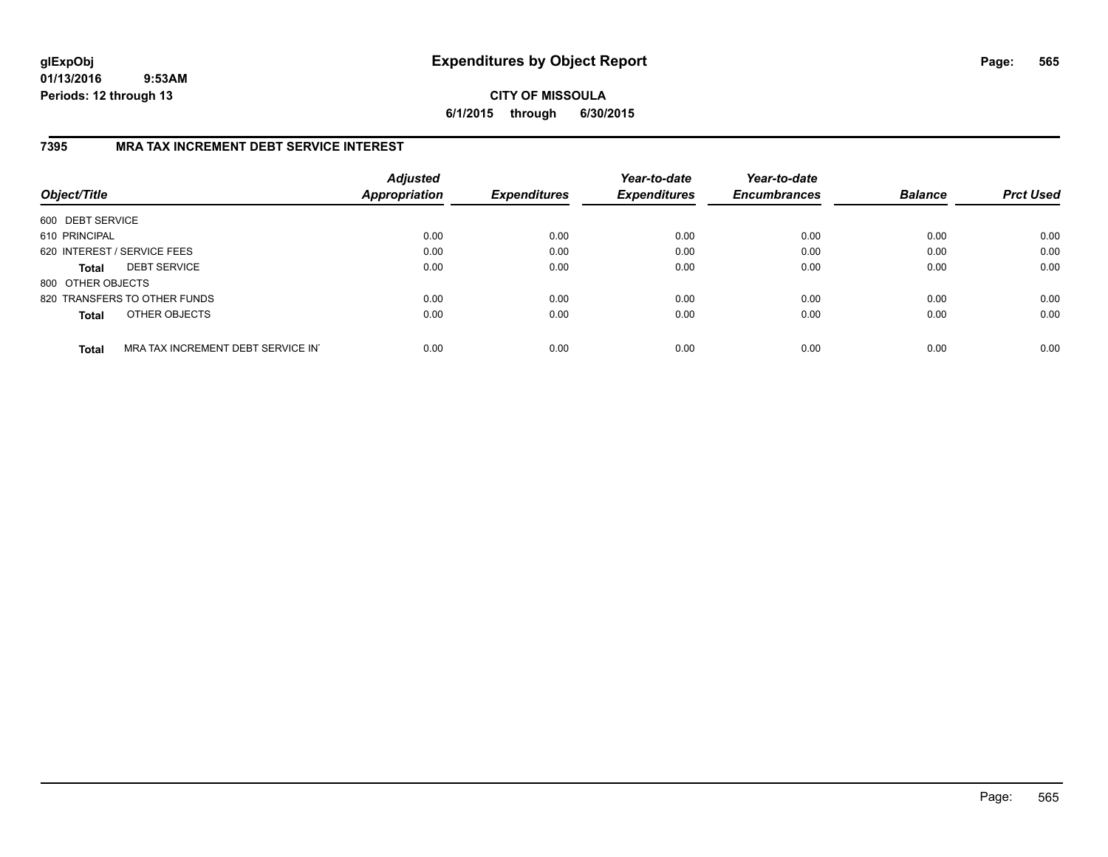**CITY OF MISSOULA 6/1/2015 through 6/30/2015**

### **7395 MRA TAX INCREMENT DEBT SERVICE INTEREST**

| Object/Title      |                                   | <b>Adjusted</b><br>Appropriation | <b>Expenditures</b> | Year-to-date<br><b>Expenditures</b> | Year-to-date<br><b>Encumbrances</b> | <b>Balance</b> | <b>Prct Used</b> |
|-------------------|-----------------------------------|----------------------------------|---------------------|-------------------------------------|-------------------------------------|----------------|------------------|
| 600 DEBT SERVICE  |                                   |                                  |                     |                                     |                                     |                |                  |
| 610 PRINCIPAL     |                                   | 0.00                             | 0.00                | 0.00                                | 0.00                                | 0.00           | 0.00             |
|                   | 620 INTEREST / SERVICE FEES       | 0.00                             | 0.00                | 0.00                                | 0.00                                | 0.00           | 0.00             |
| <b>Total</b>      | <b>DEBT SERVICE</b>               | 0.00                             | 0.00                | 0.00                                | 0.00                                | 0.00           | 0.00             |
| 800 OTHER OBJECTS |                                   |                                  |                     |                                     |                                     |                |                  |
|                   | 820 TRANSFERS TO OTHER FUNDS      | 0.00                             | 0.00                | 0.00                                | 0.00                                | 0.00           | 0.00             |
| <b>Total</b>      | OTHER OBJECTS                     | 0.00                             | 0.00                | 0.00                                | 0.00                                | 0.00           | 0.00             |
| <b>Total</b>      | MRA TAX INCREMENT DEBT SERVICE IN | 0.00                             | 0.00                | 0.00                                | 0.00                                | 0.00           | 0.00             |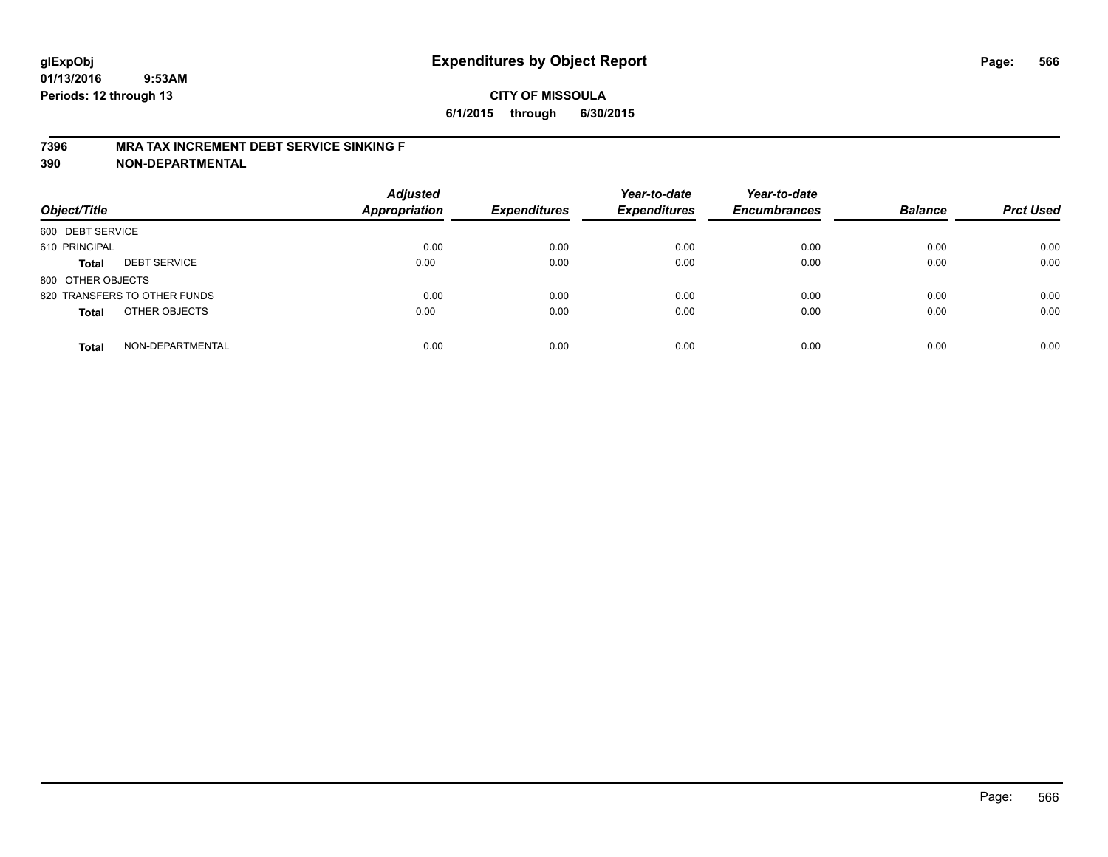#### **7396 MRA TAX INCREMENT DEBT SERVICE SINKING F**

| Object/Title                        | <b>Adjusted</b><br><b>Appropriation</b> | <b>Expenditures</b> | Year-to-date<br><b>Expenditures</b> | Year-to-date<br><b>Encumbrances</b> | <b>Balance</b> | <b>Prct Used</b> |
|-------------------------------------|-----------------------------------------|---------------------|-------------------------------------|-------------------------------------|----------------|------------------|
| 600 DEBT SERVICE                    |                                         |                     |                                     |                                     |                |                  |
| 610 PRINCIPAL                       | 0.00                                    | 0.00                | 0.00                                | 0.00                                | 0.00           | 0.00             |
| <b>DEBT SERVICE</b><br><b>Total</b> | 0.00                                    | 0.00                | 0.00                                | 0.00                                | 0.00           | 0.00             |
| 800 OTHER OBJECTS                   |                                         |                     |                                     |                                     |                |                  |
| 820 TRANSFERS TO OTHER FUNDS        | 0.00                                    | 0.00                | 0.00                                | 0.00                                | 0.00           | 0.00             |
| OTHER OBJECTS<br><b>Total</b>       | 0.00                                    | 0.00                | 0.00                                | 0.00                                | 0.00           | 0.00             |
| NON-DEPARTMENTAL<br><b>Total</b>    | 0.00                                    | 0.00                | 0.00                                | 0.00                                | 0.00           | 0.00             |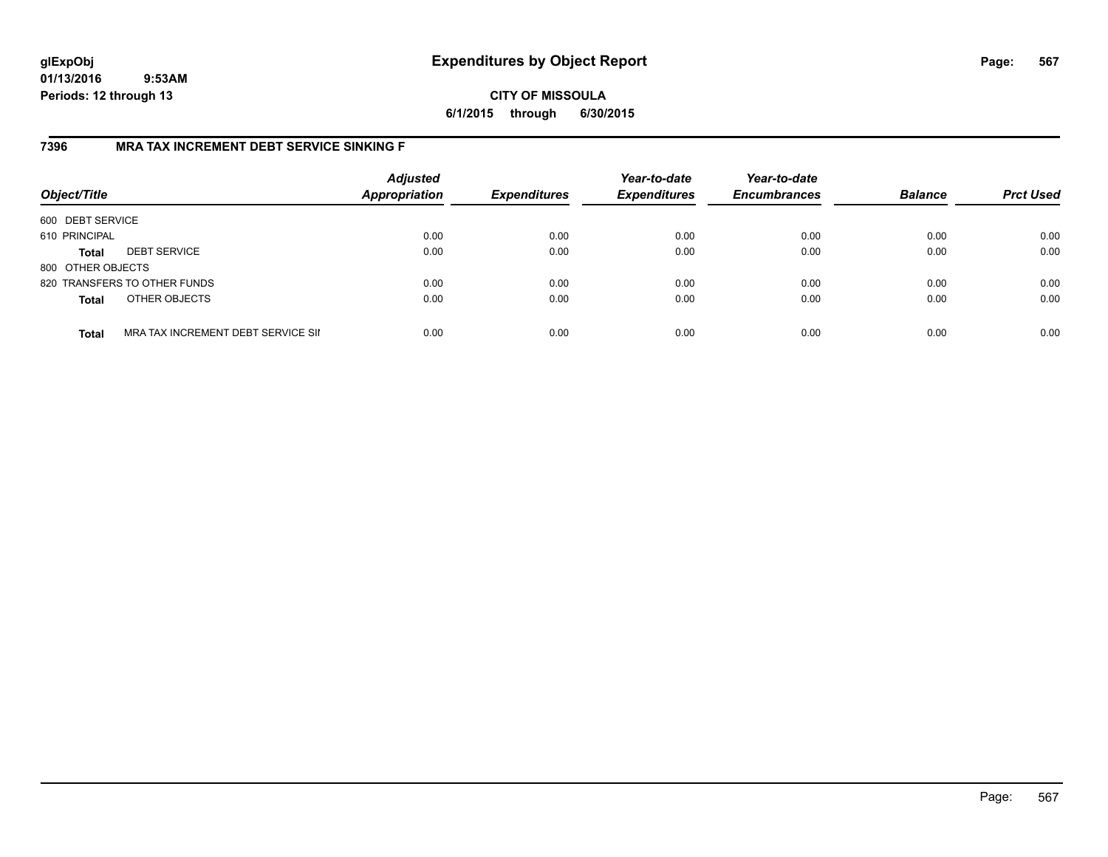**CITY OF MISSOULA 6/1/2015 through 6/30/2015**

### **7396 MRA TAX INCREMENT DEBT SERVICE SINKING F**

| Object/Title      |                                    | <b>Adjusted</b><br>Appropriation | <b>Expenditures</b> | Year-to-date<br><b>Expenditures</b> | Year-to-date<br><b>Encumbrances</b> | <b>Balance</b> | <b>Prct Used</b> |
|-------------------|------------------------------------|----------------------------------|---------------------|-------------------------------------|-------------------------------------|----------------|------------------|
| 600 DEBT SERVICE  |                                    |                                  |                     |                                     |                                     |                |                  |
| 610 PRINCIPAL     |                                    | 0.00                             | 0.00                | 0.00                                | 0.00                                | 0.00           | 0.00             |
| <b>Total</b>      | <b>DEBT SERVICE</b>                | 0.00                             | 0.00                | 0.00                                | 0.00                                | 0.00           | 0.00             |
| 800 OTHER OBJECTS |                                    |                                  |                     |                                     |                                     |                |                  |
|                   | 820 TRANSFERS TO OTHER FUNDS       | 0.00                             | 0.00                | 0.00                                | 0.00                                | 0.00           | 0.00             |
| <b>Total</b>      | OTHER OBJECTS                      | 0.00                             | 0.00                | 0.00                                | 0.00                                | 0.00           | 0.00             |
| <b>Total</b>      | MRA TAX INCREMENT DEBT SERVICE SII | 0.00                             | 0.00                | 0.00                                | 0.00                                | 0.00           | 0.00             |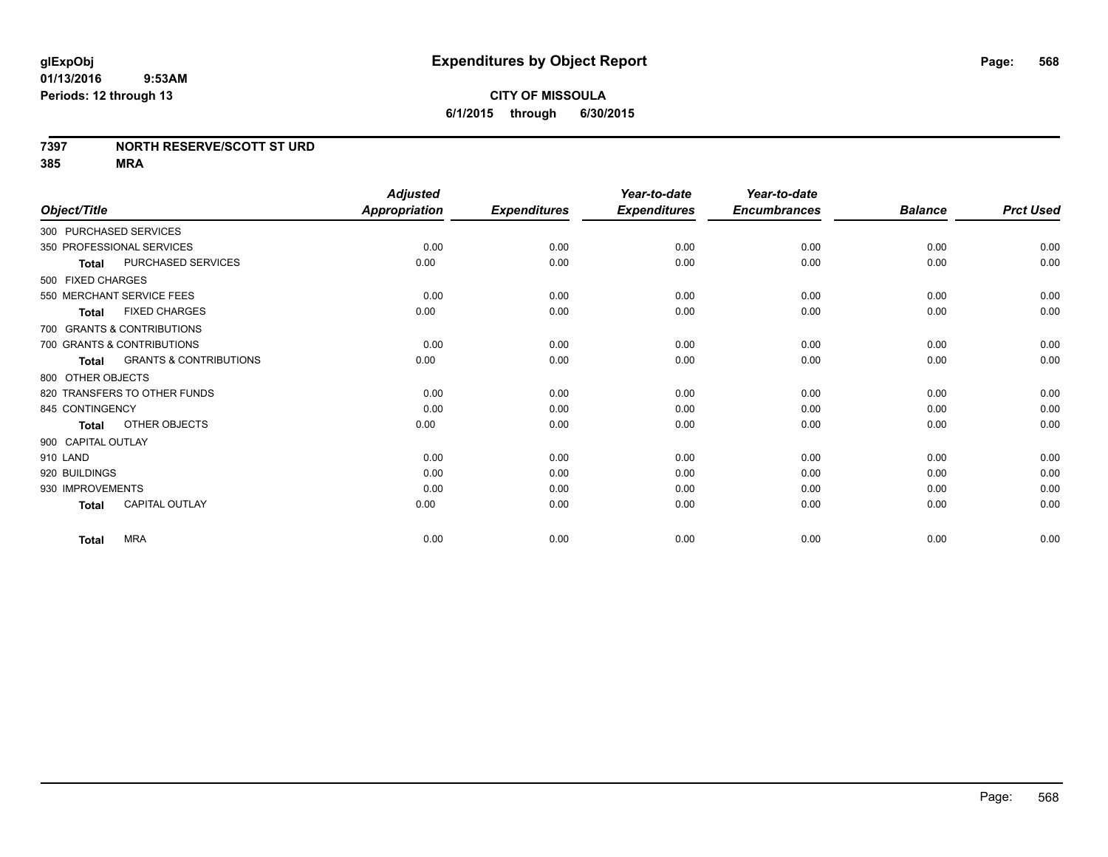### **7397 NORTH RESERVE/SCOTT ST URD**

|                                                   | <b>Adjusted</b>      |                     | Year-to-date        | Year-to-date        |                |                  |
|---------------------------------------------------|----------------------|---------------------|---------------------|---------------------|----------------|------------------|
| Object/Title                                      | <b>Appropriation</b> | <b>Expenditures</b> | <b>Expenditures</b> | <b>Encumbrances</b> | <b>Balance</b> | <b>Prct Used</b> |
| 300 PURCHASED SERVICES                            |                      |                     |                     |                     |                |                  |
| 350 PROFESSIONAL SERVICES                         | 0.00                 | 0.00                | 0.00                | 0.00                | 0.00           | 0.00             |
| PURCHASED SERVICES<br><b>Total</b>                | 0.00                 | 0.00                | 0.00                | 0.00                | 0.00           | 0.00             |
| 500 FIXED CHARGES                                 |                      |                     |                     |                     |                |                  |
| 550 MERCHANT SERVICE FEES                         | 0.00                 | 0.00                | 0.00                | 0.00                | 0.00           | 0.00             |
| <b>FIXED CHARGES</b><br><b>Total</b>              | 0.00                 | 0.00                | 0.00                | 0.00                | 0.00           | 0.00             |
| 700 GRANTS & CONTRIBUTIONS                        |                      |                     |                     |                     |                |                  |
| 700 GRANTS & CONTRIBUTIONS                        | 0.00                 | 0.00                | 0.00                | 0.00                | 0.00           | 0.00             |
| <b>GRANTS &amp; CONTRIBUTIONS</b><br><b>Total</b> | 0.00                 | 0.00                | 0.00                | 0.00                | 0.00           | 0.00             |
| 800 OTHER OBJECTS                                 |                      |                     |                     |                     |                |                  |
| 820 TRANSFERS TO OTHER FUNDS                      | 0.00                 | 0.00                | 0.00                | 0.00                | 0.00           | 0.00             |
| 845 CONTINGENCY                                   | 0.00                 | 0.00                | 0.00                | 0.00                | 0.00           | 0.00             |
| OTHER OBJECTS<br><b>Total</b>                     | 0.00                 | 0.00                | 0.00                | 0.00                | 0.00           | 0.00             |
| 900 CAPITAL OUTLAY                                |                      |                     |                     |                     |                |                  |
| 910 LAND                                          | 0.00                 | 0.00                | 0.00                | 0.00                | 0.00           | 0.00             |
| 920 BUILDINGS                                     | 0.00                 | 0.00                | 0.00                | 0.00                | 0.00           | 0.00             |
| 930 IMPROVEMENTS                                  | 0.00                 | 0.00                | 0.00                | 0.00                | 0.00           | 0.00             |
| <b>CAPITAL OUTLAY</b><br><b>Total</b>             | 0.00                 | 0.00                | 0.00                | 0.00                | 0.00           | 0.00             |
| <b>MRA</b><br><b>Total</b>                        | 0.00                 | 0.00                | 0.00                | 0.00                | 0.00           | 0.00             |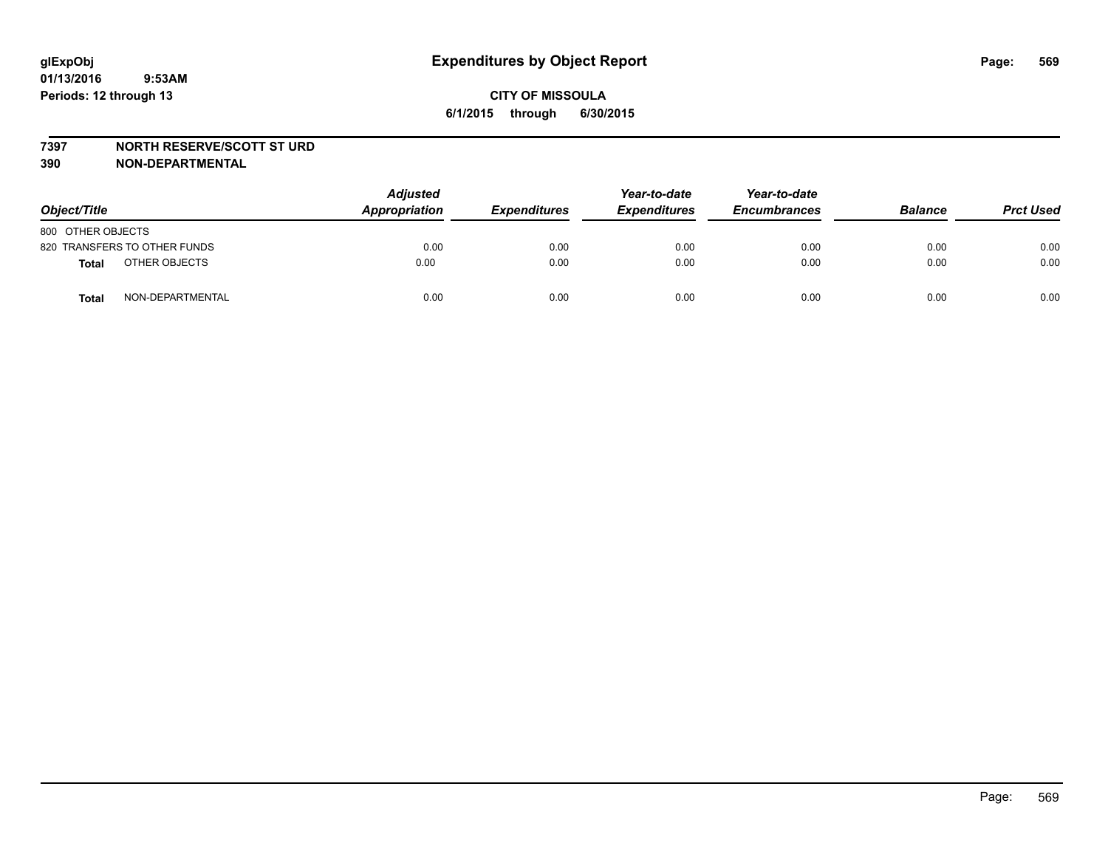#### **7397 NORTH RESERVE/SCOTT ST URD**

| Object/Title      |                              | <b>Adjusted</b><br>Appropriation | <b>Expenditures</b> | Year-to-date<br><b>Expenditures</b> | Year-to-date<br><b>Encumbrances</b> | <b>Balance</b> | <b>Prct Used</b> |
|-------------------|------------------------------|----------------------------------|---------------------|-------------------------------------|-------------------------------------|----------------|------------------|
| 800 OTHER OBJECTS |                              |                                  |                     |                                     |                                     |                |                  |
|                   | 820 TRANSFERS TO OTHER FUNDS | 0.00                             | 0.00                | 0.00                                | 0.00                                | 0.00           | 0.00             |
| <b>Total</b>      | OTHER OBJECTS                | 0.00                             | 0.00                | 0.00                                | 0.00                                | 0.00           | 0.00             |
| <b>Total</b>      | NON-DEPARTMENTAL             | 0.00                             | 0.00                | 0.00                                | 0.00                                | 0.00           | 0.00             |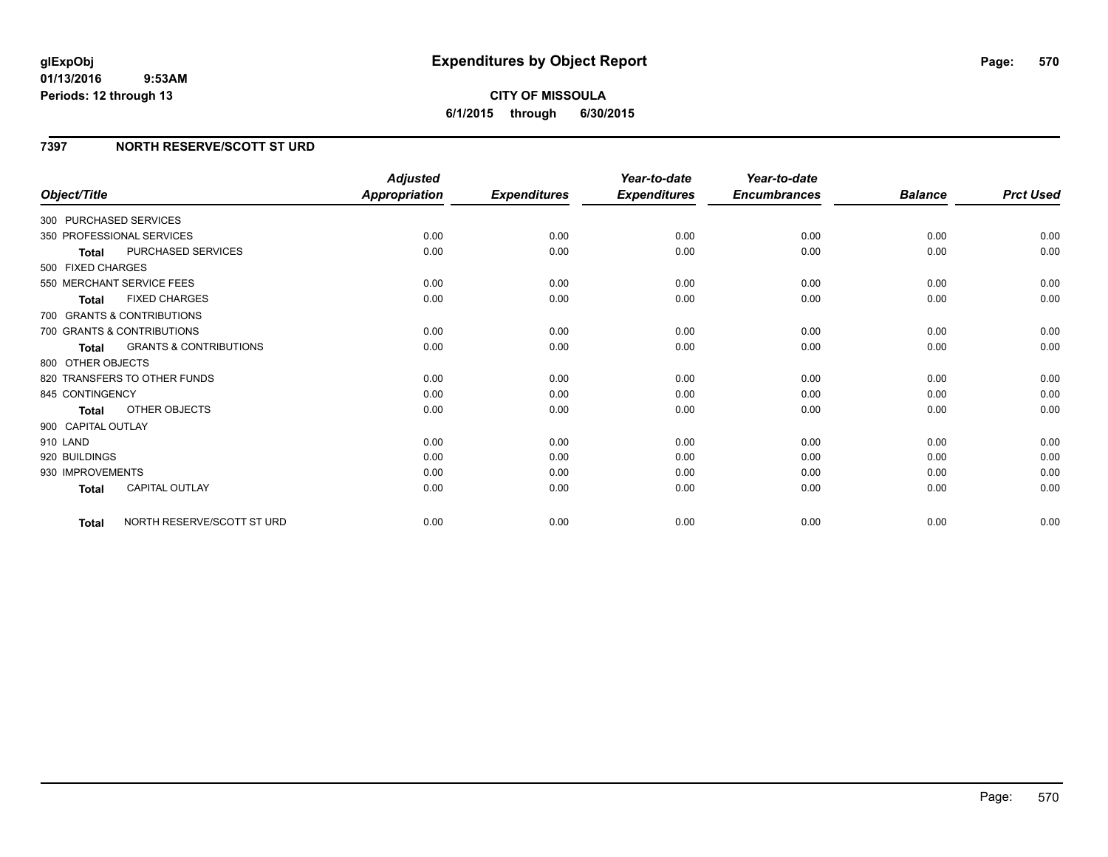### **7397 NORTH RESERVE/SCOTT ST URD**

| Object/Title           |                                   | <b>Adjusted</b><br><b>Appropriation</b> | <b>Expenditures</b> | Year-to-date<br><b>Expenditures</b> | Year-to-date<br><b>Encumbrances</b> | <b>Balance</b> | <b>Prct Used</b> |
|------------------------|-----------------------------------|-----------------------------------------|---------------------|-------------------------------------|-------------------------------------|----------------|------------------|
|                        |                                   |                                         |                     |                                     |                                     |                |                  |
| 300 PURCHASED SERVICES |                                   |                                         |                     |                                     |                                     |                |                  |
|                        | 350 PROFESSIONAL SERVICES         | 0.00                                    | 0.00                | 0.00                                | 0.00                                | 0.00           | 0.00             |
| <b>Total</b>           | PURCHASED SERVICES                | 0.00                                    | 0.00                | 0.00                                | 0.00                                | 0.00           | 0.00             |
| 500 FIXED CHARGES      |                                   |                                         |                     |                                     |                                     |                |                  |
|                        | 550 MERCHANT SERVICE FEES         | 0.00                                    | 0.00                | 0.00                                | 0.00                                | 0.00           | 0.00             |
| <b>Total</b>           | <b>FIXED CHARGES</b>              | 0.00                                    | 0.00                | 0.00                                | 0.00                                | 0.00           | 0.00             |
|                        | 700 GRANTS & CONTRIBUTIONS        |                                         |                     |                                     |                                     |                |                  |
|                        | 700 GRANTS & CONTRIBUTIONS        | 0.00                                    | 0.00                | 0.00                                | 0.00                                | 0.00           | 0.00             |
| Total                  | <b>GRANTS &amp; CONTRIBUTIONS</b> | 0.00                                    | 0.00                | 0.00                                | 0.00                                | 0.00           | 0.00             |
| 800 OTHER OBJECTS      |                                   |                                         |                     |                                     |                                     |                |                  |
|                        | 820 TRANSFERS TO OTHER FUNDS      | 0.00                                    | 0.00                | 0.00                                | 0.00                                | 0.00           | 0.00             |
| 845 CONTINGENCY        |                                   | 0.00                                    | 0.00                | 0.00                                | 0.00                                | 0.00           | 0.00             |
| <b>Total</b>           | OTHER OBJECTS                     | 0.00                                    | 0.00                | 0.00                                | 0.00                                | 0.00           | 0.00             |
| 900 CAPITAL OUTLAY     |                                   |                                         |                     |                                     |                                     |                |                  |
| 910 LAND               |                                   | 0.00                                    | 0.00                | 0.00                                | 0.00                                | 0.00           | 0.00             |
| 920 BUILDINGS          |                                   | 0.00                                    | 0.00                | 0.00                                | 0.00                                | 0.00           | 0.00             |
| 930 IMPROVEMENTS       |                                   | 0.00                                    | 0.00                | 0.00                                | 0.00                                | 0.00           | 0.00             |
| Total                  | <b>CAPITAL OUTLAY</b>             | 0.00                                    | 0.00                | 0.00                                | 0.00                                | 0.00           | 0.00             |
| Total                  | NORTH RESERVE/SCOTT ST URD        | 0.00                                    | 0.00                | 0.00                                | 0.00                                | 0.00           | 0.00             |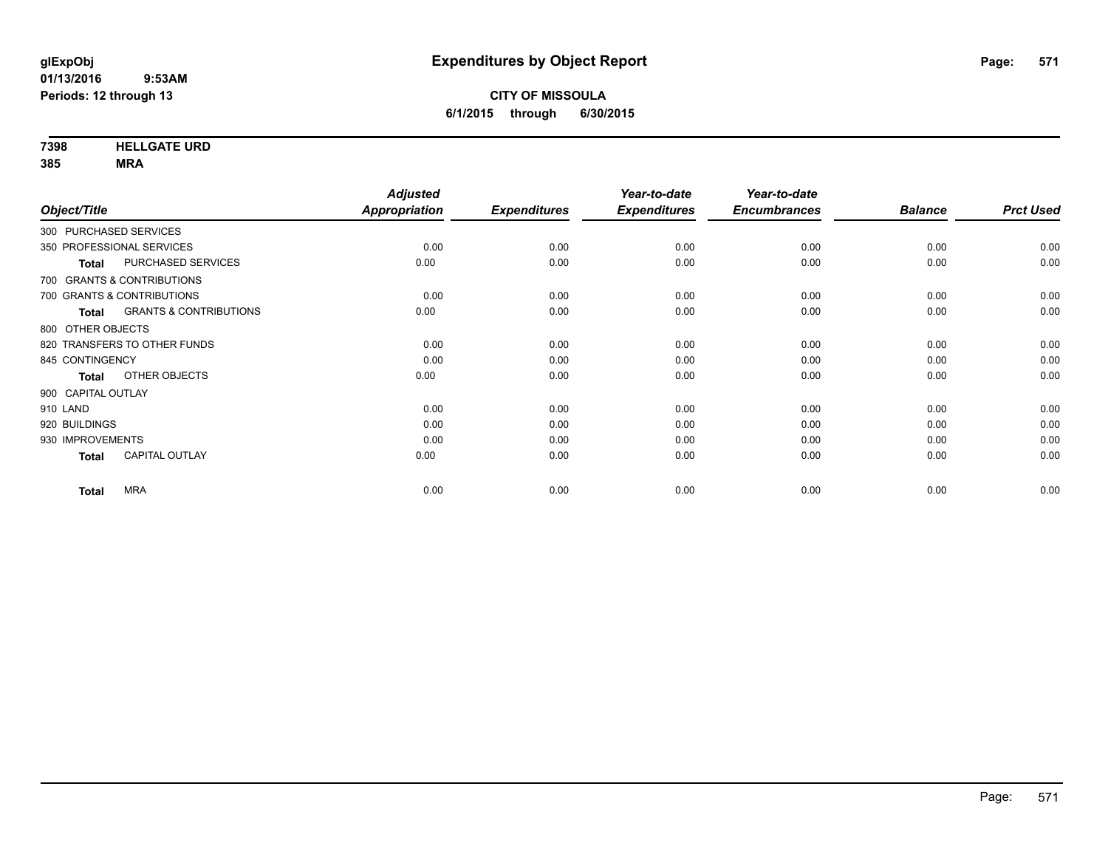**7398 HELLGATE URD**

|                              |                                   | <b>Adjusted</b>      |                     | Year-to-date        | Year-to-date        |                |                  |
|------------------------------|-----------------------------------|----------------------|---------------------|---------------------|---------------------|----------------|------------------|
| Object/Title                 |                                   | <b>Appropriation</b> | <b>Expenditures</b> | <b>Expenditures</b> | <b>Encumbrances</b> | <b>Balance</b> | <b>Prct Used</b> |
| 300 PURCHASED SERVICES       |                                   |                      |                     |                     |                     |                |                  |
| 350 PROFESSIONAL SERVICES    |                                   | 0.00                 | 0.00                | 0.00                | 0.00                | 0.00           | 0.00             |
| <b>Total</b>                 | PURCHASED SERVICES                | 0.00                 | 0.00                | 0.00                | 0.00                | 0.00           | 0.00             |
| 700 GRANTS & CONTRIBUTIONS   |                                   |                      |                     |                     |                     |                |                  |
| 700 GRANTS & CONTRIBUTIONS   |                                   | 0.00                 | 0.00                | 0.00                | 0.00                | 0.00           | 0.00             |
| <b>Total</b>                 | <b>GRANTS &amp; CONTRIBUTIONS</b> | 0.00                 | 0.00                | 0.00                | 0.00                | 0.00           | 0.00             |
| 800 OTHER OBJECTS            |                                   |                      |                     |                     |                     |                |                  |
| 820 TRANSFERS TO OTHER FUNDS |                                   | 0.00                 | 0.00                | 0.00                | 0.00                | 0.00           | 0.00             |
| 845 CONTINGENCY              |                                   | 0.00                 | 0.00                | 0.00                | 0.00                | 0.00           | 0.00             |
| <b>Total</b>                 | OTHER OBJECTS                     | 0.00                 | 0.00                | 0.00                | 0.00                | 0.00           | 0.00             |
| 900 CAPITAL OUTLAY           |                                   |                      |                     |                     |                     |                |                  |
| 910 LAND                     |                                   | 0.00                 | 0.00                | 0.00                | 0.00                | 0.00           | 0.00             |
| 920 BUILDINGS                |                                   | 0.00                 | 0.00                | 0.00                | 0.00                | 0.00           | 0.00             |
| 930 IMPROVEMENTS             |                                   | 0.00                 | 0.00                | 0.00                | 0.00                | 0.00           | 0.00             |
| <b>Total</b>                 | <b>CAPITAL OUTLAY</b>             | 0.00                 | 0.00                | 0.00                | 0.00                | 0.00           | 0.00             |
| <b>MRA</b><br><b>Total</b>   |                                   | 0.00                 | 0.00                | 0.00                | 0.00                | 0.00           | 0.00             |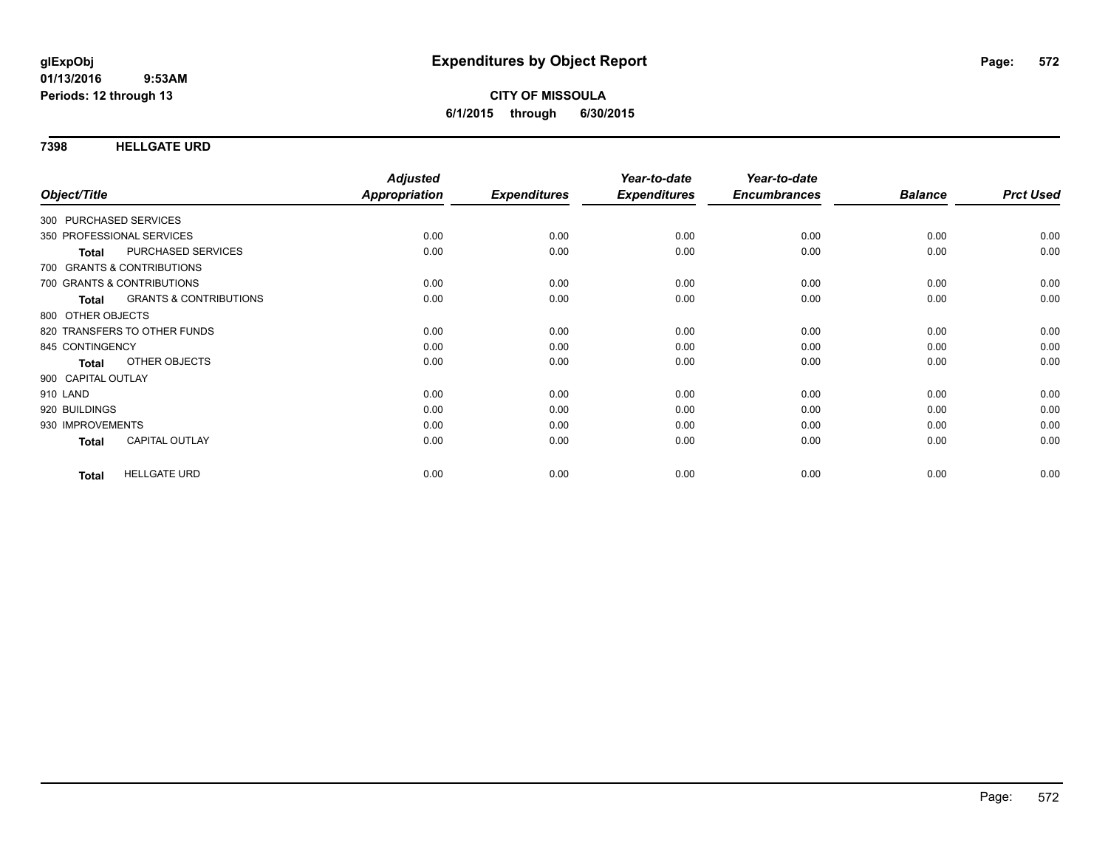### **7398 HELLGATE URD**

|                        |                                   | <b>Adjusted</b>      |                     | Year-to-date        | Year-to-date        |                |                  |
|------------------------|-----------------------------------|----------------------|---------------------|---------------------|---------------------|----------------|------------------|
| Object/Title           |                                   | <b>Appropriation</b> | <b>Expenditures</b> | <b>Expenditures</b> | <b>Encumbrances</b> | <b>Balance</b> | <b>Prct Used</b> |
| 300 PURCHASED SERVICES |                                   |                      |                     |                     |                     |                |                  |
|                        | 350 PROFESSIONAL SERVICES         | 0.00                 | 0.00                | 0.00                | 0.00                | 0.00           | 0.00             |
| Total                  | PURCHASED SERVICES                | 0.00                 | 0.00                | 0.00                | 0.00                | 0.00           | 0.00             |
|                        | 700 GRANTS & CONTRIBUTIONS        |                      |                     |                     |                     |                |                  |
|                        | 700 GRANTS & CONTRIBUTIONS        | 0.00                 | 0.00                | 0.00                | 0.00                | 0.00           | 0.00             |
| Total                  | <b>GRANTS &amp; CONTRIBUTIONS</b> | 0.00                 | 0.00                | 0.00                | 0.00                | 0.00           | 0.00             |
| 800 OTHER OBJECTS      |                                   |                      |                     |                     |                     |                |                  |
|                        | 820 TRANSFERS TO OTHER FUNDS      | 0.00                 | 0.00                | 0.00                | 0.00                | 0.00           | 0.00             |
| 845 CONTINGENCY        |                                   | 0.00                 | 0.00                | 0.00                | 0.00                | 0.00           | 0.00             |
| <b>Total</b>           | OTHER OBJECTS                     | 0.00                 | 0.00                | 0.00                | 0.00                | 0.00           | 0.00             |
| 900 CAPITAL OUTLAY     |                                   |                      |                     |                     |                     |                |                  |
| 910 LAND               |                                   | 0.00                 | 0.00                | 0.00                | 0.00                | 0.00           | 0.00             |
| 920 BUILDINGS          |                                   | 0.00                 | 0.00                | 0.00                | 0.00                | 0.00           | 0.00             |
| 930 IMPROVEMENTS       |                                   | 0.00                 | 0.00                | 0.00                | 0.00                | 0.00           | 0.00             |
| <b>Total</b>           | <b>CAPITAL OUTLAY</b>             | 0.00                 | 0.00                | 0.00                | 0.00                | 0.00           | 0.00             |
| <b>Total</b>           | <b>HELLGATE URD</b>               | 0.00                 | 0.00                | 0.00                | 0.00                | 0.00           | 0.00             |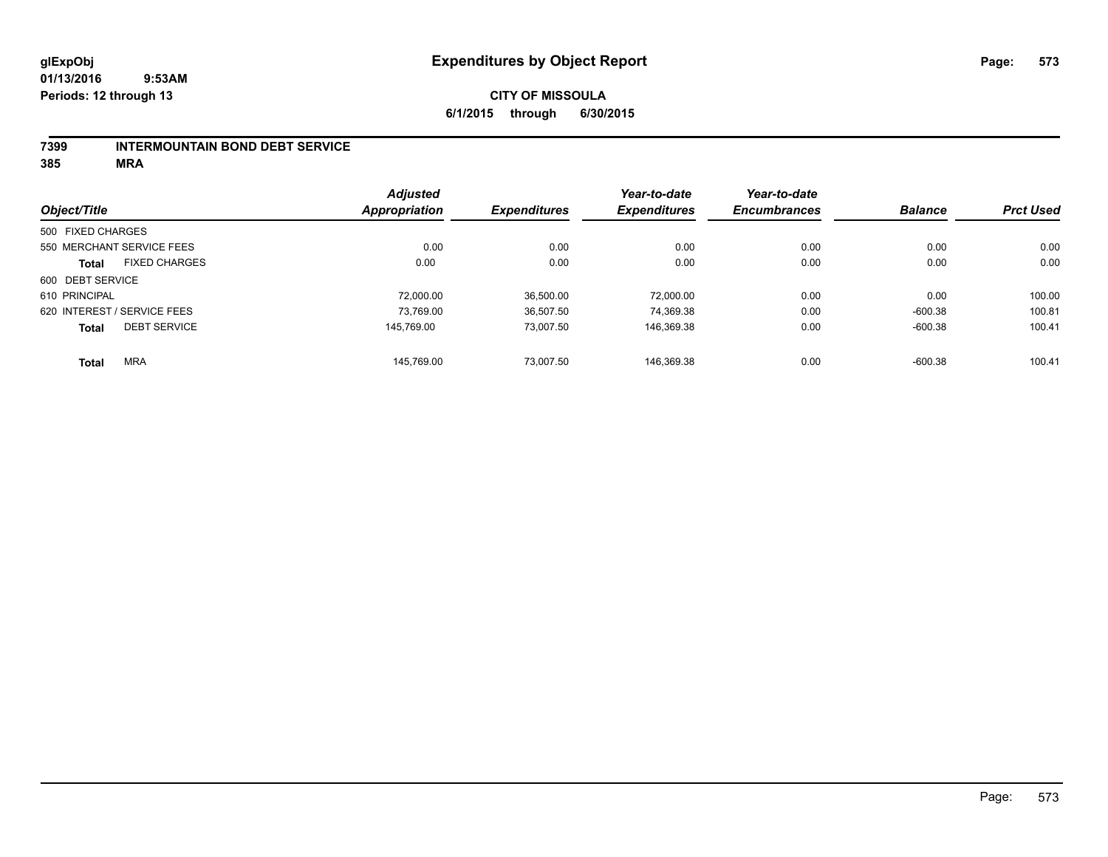#### **7399 INTERMOUNTAIN BOND DEBT SERVICE**

|                             |                      | <b>Adjusted</b> |                     | Year-to-date        | Year-to-date        |                |                  |
|-----------------------------|----------------------|-----------------|---------------------|---------------------|---------------------|----------------|------------------|
| Object/Title                |                      | Appropriation   | <b>Expenditures</b> | <b>Expenditures</b> | <b>Encumbrances</b> | <b>Balance</b> | <b>Prct Used</b> |
| 500 FIXED CHARGES           |                      |                 |                     |                     |                     |                |                  |
| 550 MERCHANT SERVICE FEES   |                      | 0.00            | 0.00                | 0.00                | 0.00                | 0.00           | 0.00             |
| <b>Total</b>                | <b>FIXED CHARGES</b> | 0.00            | 0.00                | 0.00                | 0.00                | 0.00           | 0.00             |
| 600 DEBT SERVICE            |                      |                 |                     |                     |                     |                |                  |
| 610 PRINCIPAL               |                      | 72,000.00       | 36,500.00           | 72,000.00           | 0.00                | 0.00           | 100.00           |
| 620 INTEREST / SERVICE FEES |                      | 73.769.00       | 36,507.50           | 74,369.38           | 0.00                | $-600.38$      | 100.81           |
| <b>Total</b>                | <b>DEBT SERVICE</b>  | 145.769.00      | 73.007.50           | 146,369.38          | 0.00                | $-600.38$      | 100.41           |
| <b>Total</b>                | <b>MRA</b>           | 145.769.00      | 73.007.50           | 146.369.38          | 0.00                | $-600.38$      | 100.41           |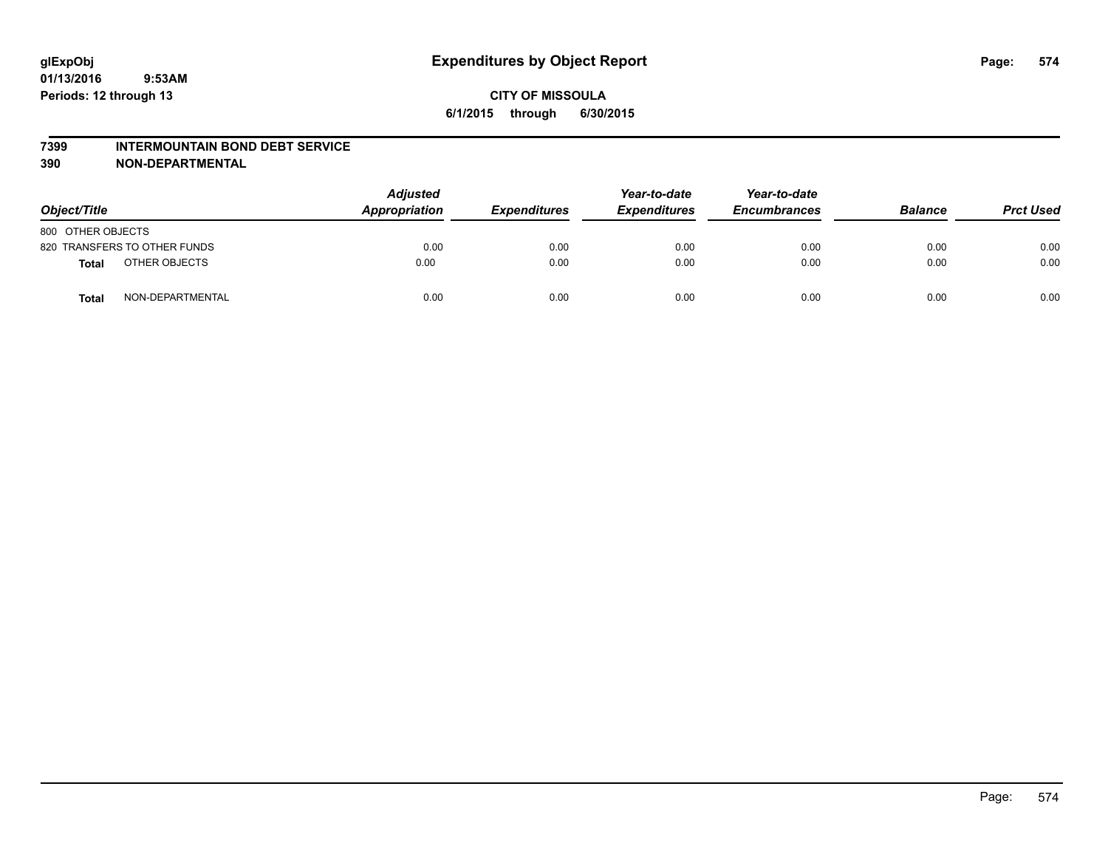#### **7399 INTERMOUNTAIN BOND DEBT SERVICE**

| Object/Title      |                              | <b>Adjusted</b><br>Appropriation | <b>Expenditures</b> | Year-to-date<br><b>Expenditures</b> | Year-to-date<br><b>Encumbrances</b> | <b>Balance</b> | <b>Prct Used</b> |
|-------------------|------------------------------|----------------------------------|---------------------|-------------------------------------|-------------------------------------|----------------|------------------|
| 800 OTHER OBJECTS |                              |                                  |                     |                                     |                                     |                |                  |
|                   | 820 TRANSFERS TO OTHER FUNDS | 0.00                             | 0.00                | 0.00                                | 0.00                                | 0.00           | 0.00             |
| <b>Total</b>      | OTHER OBJECTS                | 0.00                             | 0.00                | 0.00                                | 0.00                                | 0.00           | 0.00             |
| <b>Total</b>      | NON-DEPARTMENTAL             | 0.00                             | 0.00                | 0.00                                | 0.00                                | 0.00           | 0.00             |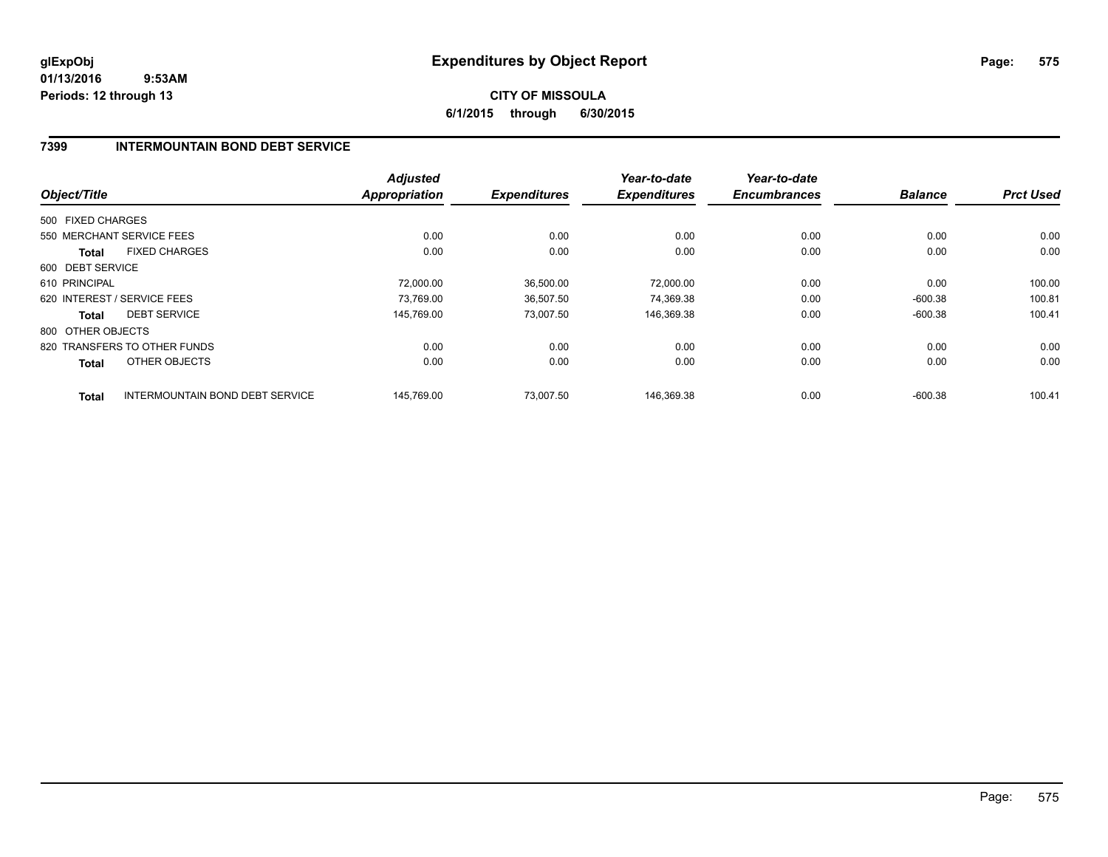**6/1/2015 through 6/30/2015**

## **7399 INTERMOUNTAIN BOND DEBT SERVICE**

|                   |                                 | <b>Adjusted</b>      |                     | Year-to-date        | Year-to-date        |                |                  |
|-------------------|---------------------------------|----------------------|---------------------|---------------------|---------------------|----------------|------------------|
| Object/Title      |                                 | <b>Appropriation</b> | <b>Expenditures</b> | <b>Expenditures</b> | <b>Encumbrances</b> | <b>Balance</b> | <b>Prct Used</b> |
| 500 FIXED CHARGES |                                 |                      |                     |                     |                     |                |                  |
|                   | 550 MERCHANT SERVICE FEES       | 0.00                 | 0.00                | 0.00                | 0.00                | 0.00           | 0.00             |
| <b>Total</b>      | <b>FIXED CHARGES</b>            | 0.00                 | 0.00                | 0.00                | 0.00                | 0.00           | 0.00             |
| 600 DEBT SERVICE  |                                 |                      |                     |                     |                     |                |                  |
| 610 PRINCIPAL     |                                 | 72.000.00            | 36.500.00           | 72,000.00           | 0.00                | 0.00           | 100.00           |
|                   | 620 INTEREST / SERVICE FEES     | 73,769.00            | 36,507.50           | 74,369.38           | 0.00                | $-600.38$      | 100.81           |
| <b>Total</b>      | <b>DEBT SERVICE</b>             | 145.769.00           | 73,007.50           | 146,369.38          | 0.00                | $-600.38$      | 100.41           |
| 800 OTHER OBJECTS |                                 |                      |                     |                     |                     |                |                  |
|                   | 820 TRANSFERS TO OTHER FUNDS    | 0.00                 | 0.00                | 0.00                | 0.00                | 0.00           | 0.00             |
| <b>Total</b>      | OTHER OBJECTS                   | 0.00                 | 0.00                | 0.00                | 0.00                | 0.00           | 0.00             |
| <b>Total</b>      | INTERMOUNTAIN BOND DEBT SERVICE | 145.769.00           | 73.007.50           | 146.369.38          | 0.00                | $-600.38$      | 100.41           |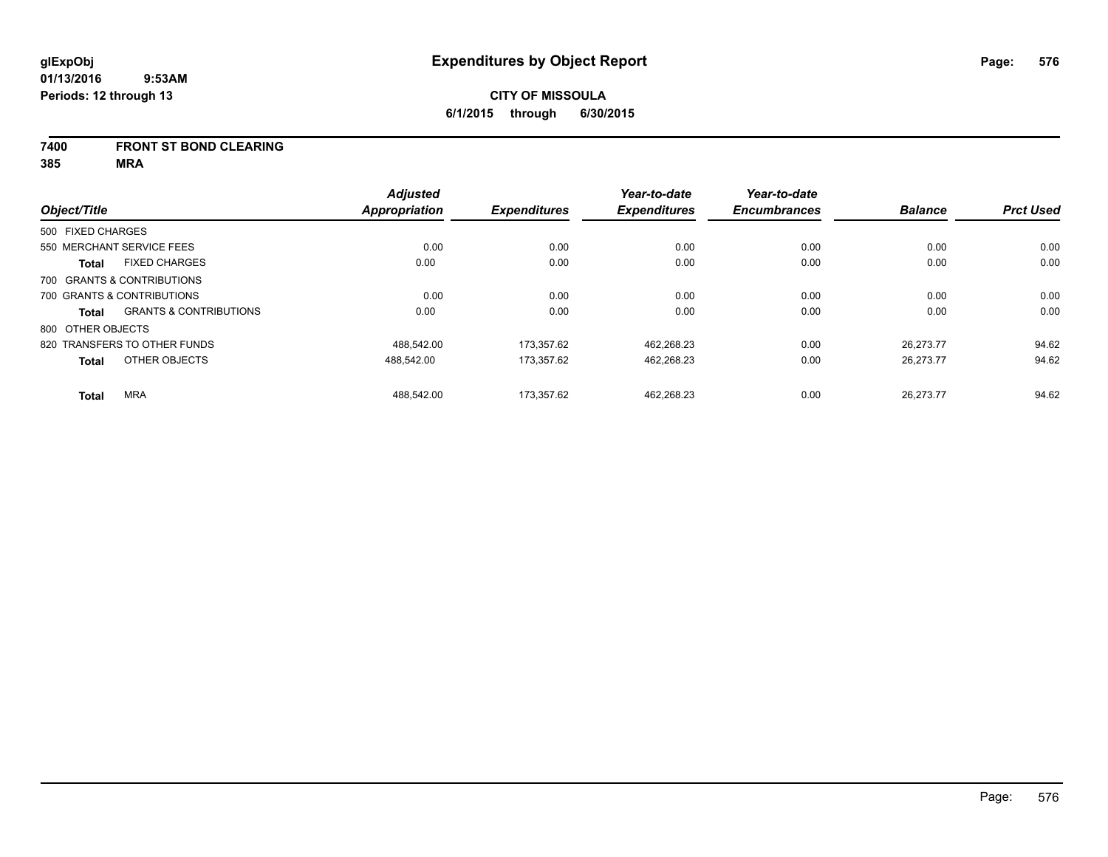#### **7400 FRONT ST BOND CLEARING**

|                   |                                   | <b>Adjusted</b>      |                     | Year-to-date        | Year-to-date        |                |                  |
|-------------------|-----------------------------------|----------------------|---------------------|---------------------|---------------------|----------------|------------------|
| Object/Title      |                                   | <b>Appropriation</b> | <b>Expenditures</b> | <b>Expenditures</b> | <b>Encumbrances</b> | <b>Balance</b> | <b>Prct Used</b> |
| 500 FIXED CHARGES |                                   |                      |                     |                     |                     |                |                  |
|                   | 550 MERCHANT SERVICE FEES         | 0.00                 | 0.00                | 0.00                | 0.00                | 0.00           | 0.00             |
| <b>Total</b>      | <b>FIXED CHARGES</b>              | 0.00                 | 0.00                | 0.00                | 0.00                | 0.00           | 0.00             |
|                   | 700 GRANTS & CONTRIBUTIONS        |                      |                     |                     |                     |                |                  |
|                   | 700 GRANTS & CONTRIBUTIONS        | 0.00                 | 0.00                | 0.00                | 0.00                | 0.00           | 0.00             |
| Total             | <b>GRANTS &amp; CONTRIBUTIONS</b> | 0.00                 | 0.00                | 0.00                | 0.00                | 0.00           | 0.00             |
| 800 OTHER OBJECTS |                                   |                      |                     |                     |                     |                |                  |
|                   | 820 TRANSFERS TO OTHER FUNDS      | 488.542.00           | 173.357.62          | 462.268.23          | 0.00                | 26.273.77      | 94.62            |
| <b>Total</b>      | OTHER OBJECTS                     | 488,542.00           | 173,357.62          | 462,268.23          | 0.00                | 26.273.77      | 94.62            |
| <b>Total</b>      | <b>MRA</b>                        | 488.542.00           | 173.357.62          | 462.268.23          | 0.00                | 26.273.77      | 94.62            |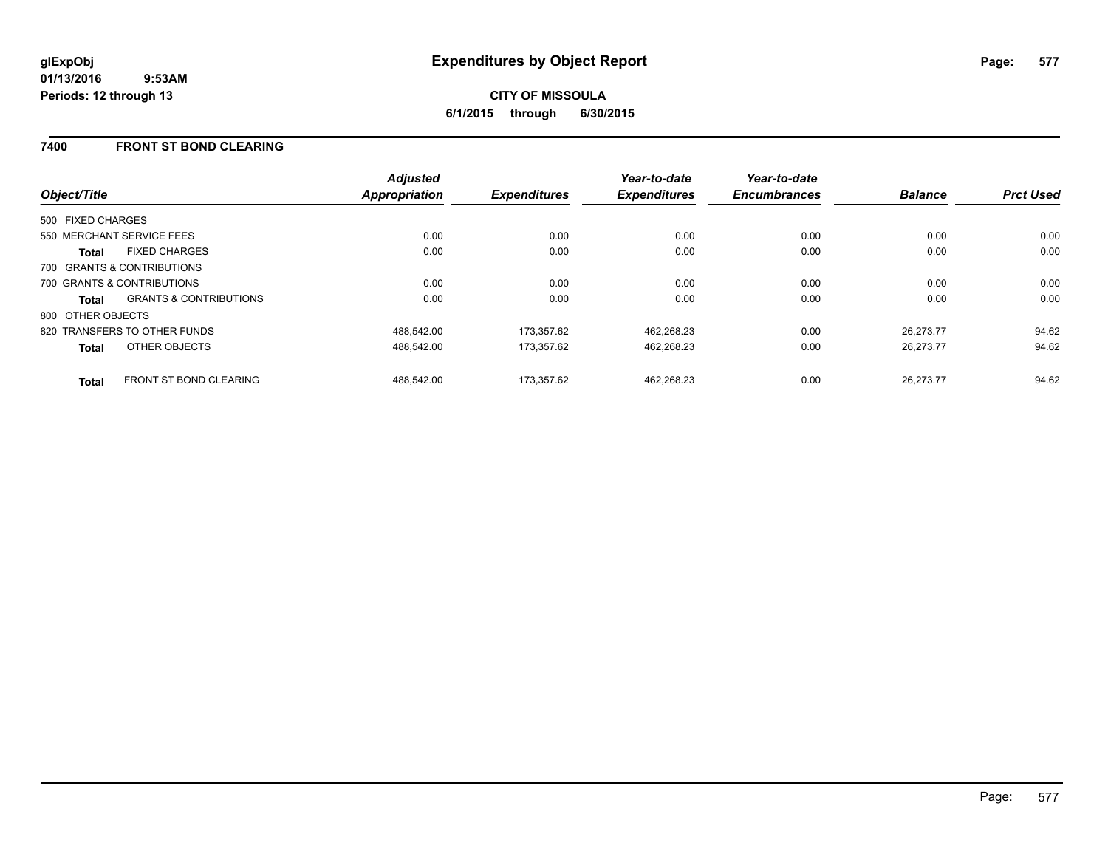## **7400 FRONT ST BOND CLEARING**

| Object/Title                         |                                   | <b>Adjusted</b><br><b>Appropriation</b> | <b>Expenditures</b> | Year-to-date<br><b>Expenditures</b> | Year-to-date<br><b>Encumbrances</b> | <b>Balance</b> | <b>Prct Used</b> |
|--------------------------------------|-----------------------------------|-----------------------------------------|---------------------|-------------------------------------|-------------------------------------|----------------|------------------|
| 500 FIXED CHARGES                    |                                   |                                         |                     |                                     |                                     |                |                  |
| 550 MERCHANT SERVICE FEES            |                                   | 0.00                                    | 0.00                | 0.00                                | 0.00                                | 0.00           | 0.00             |
| <b>FIXED CHARGES</b><br><b>Total</b> |                                   | 0.00                                    | 0.00                | 0.00                                | 0.00                                | 0.00           | 0.00             |
| 700 GRANTS & CONTRIBUTIONS           |                                   |                                         |                     |                                     |                                     |                |                  |
| 700 GRANTS & CONTRIBUTIONS           |                                   | 0.00                                    | 0.00                | 0.00                                | 0.00                                | 0.00           | 0.00             |
| <b>Total</b>                         | <b>GRANTS &amp; CONTRIBUTIONS</b> | 0.00                                    | 0.00                | 0.00                                | 0.00                                | 0.00           | 0.00             |
| 800 OTHER OBJECTS                    |                                   |                                         |                     |                                     |                                     |                |                  |
| 820 TRANSFERS TO OTHER FUNDS         |                                   | 488.542.00                              | 173.357.62          | 462,268.23                          | 0.00                                | 26.273.77      | 94.62            |
| OTHER OBJECTS<br><b>Total</b>        |                                   | 488.542.00                              | 173,357.62          | 462,268.23                          | 0.00                                | 26,273.77      | 94.62            |
| <b>Total</b>                         | FRONT ST BOND CLEARING            | 488.542.00                              | 173.357.62          | 462.268.23                          | 0.00                                | 26.273.77      | 94.62            |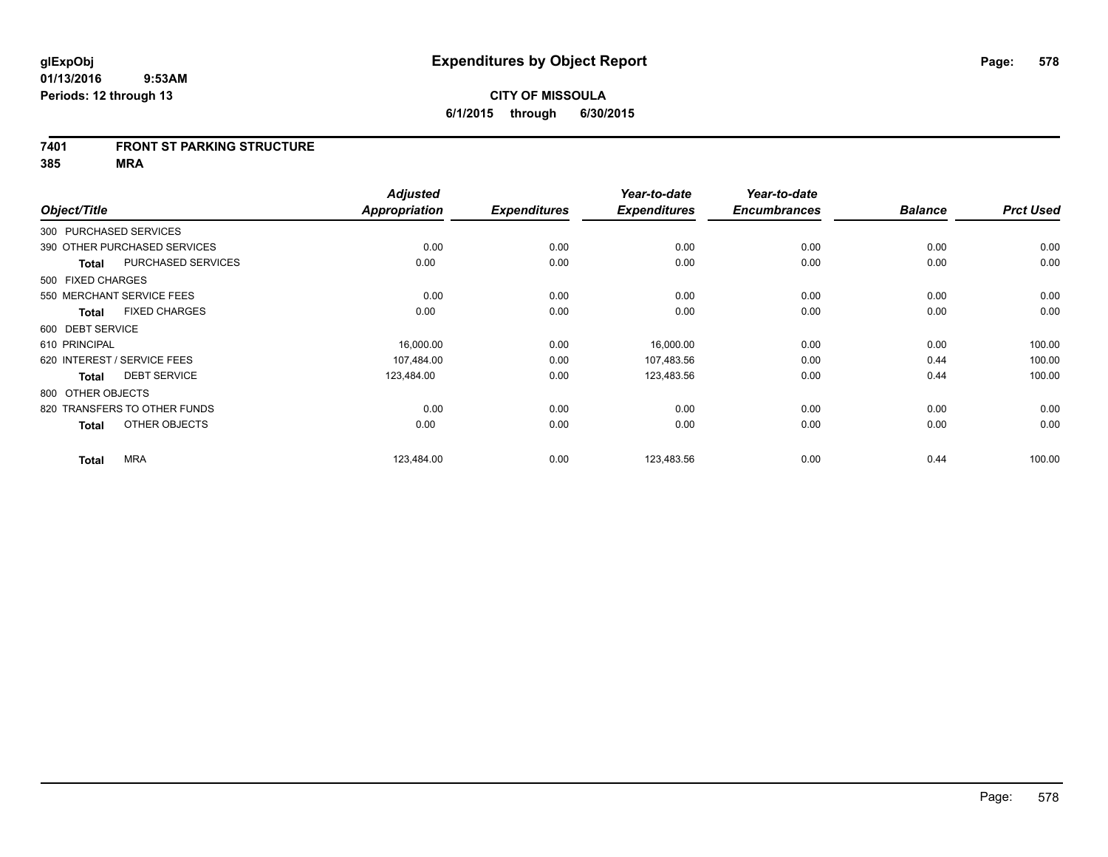#### **7401 FRONT ST PARKING STRUCTURE**

**385 MRA**

|                   |                              | <b>Adjusted</b> |                     | Year-to-date        | Year-to-date        |                |                  |
|-------------------|------------------------------|-----------------|---------------------|---------------------|---------------------|----------------|------------------|
| Object/Title      |                              | Appropriation   | <b>Expenditures</b> | <b>Expenditures</b> | <b>Encumbrances</b> | <b>Balance</b> | <b>Prct Used</b> |
|                   | 300 PURCHASED SERVICES       |                 |                     |                     |                     |                |                  |
|                   | 390 OTHER PURCHASED SERVICES | 0.00            | 0.00                | 0.00                | 0.00                | 0.00           | 0.00             |
| <b>Total</b>      | PURCHASED SERVICES           | 0.00            | 0.00                | 0.00                | 0.00                | 0.00           | 0.00             |
| 500 FIXED CHARGES |                              |                 |                     |                     |                     |                |                  |
|                   | 550 MERCHANT SERVICE FEES    | 0.00            | 0.00                | 0.00                | 0.00                | 0.00           | 0.00             |
| <b>Total</b>      | <b>FIXED CHARGES</b>         | 0.00            | 0.00                | 0.00                | 0.00                | 0.00           | 0.00             |
| 600 DEBT SERVICE  |                              |                 |                     |                     |                     |                |                  |
| 610 PRINCIPAL     |                              | 16,000.00       | 0.00                | 16,000.00           | 0.00                | 0.00           | 100.00           |
|                   | 620 INTEREST / SERVICE FEES  | 107,484.00      | 0.00                | 107,483.56          | 0.00                | 0.44           | 100.00           |
| <b>Total</b>      | <b>DEBT SERVICE</b>          | 123,484.00      | 0.00                | 123,483.56          | 0.00                | 0.44           | 100.00           |
| 800 OTHER OBJECTS |                              |                 |                     |                     |                     |                |                  |
|                   | 820 TRANSFERS TO OTHER FUNDS | 0.00            | 0.00                | 0.00                | 0.00                | 0.00           | 0.00             |
| <b>Total</b>      | OTHER OBJECTS                | 0.00            | 0.00                | 0.00                | 0.00                | 0.00           | 0.00             |
| <b>Total</b>      | <b>MRA</b>                   | 123,484.00      | 0.00                | 123,483.56          | 0.00                | 0.44           | 100.00           |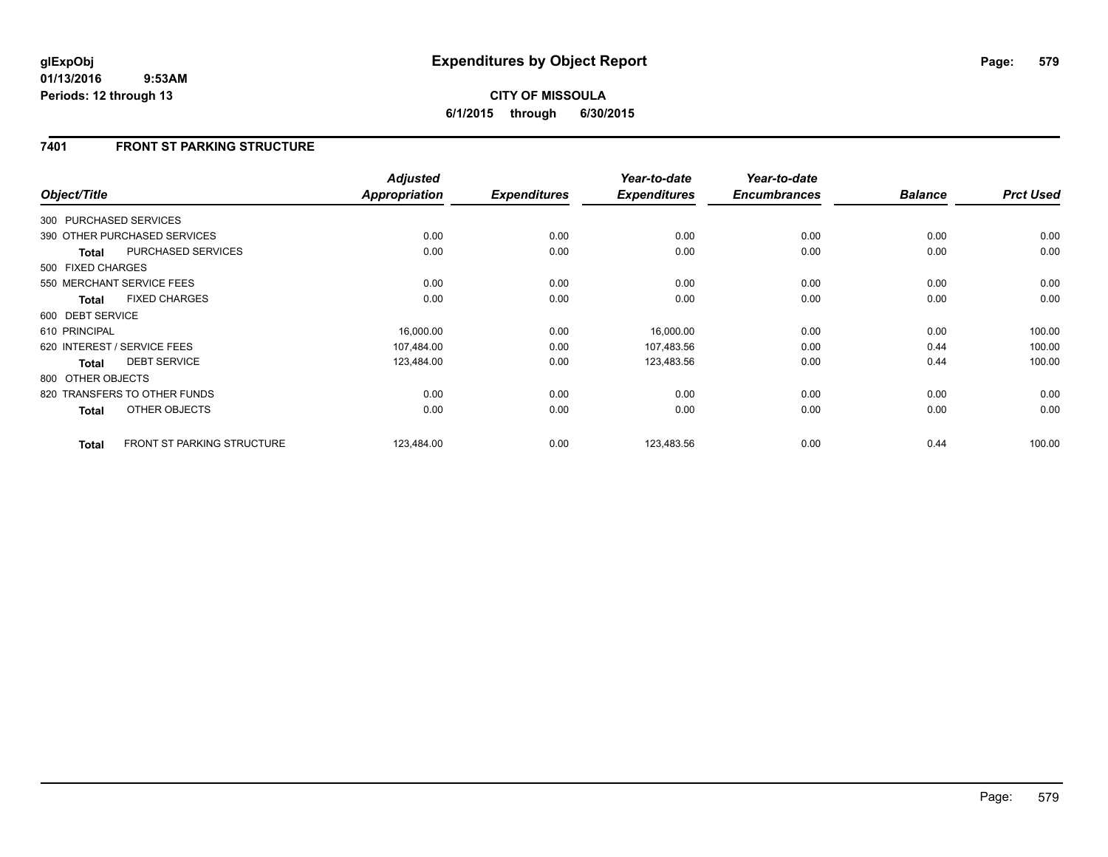## **7401 FRONT ST PARKING STRUCTURE**

| Object/Title           |                                   | <b>Adjusted</b><br>Appropriation | <b>Expenditures</b> | Year-to-date<br><b>Expenditures</b> | Year-to-date<br><b>Encumbrances</b> | <b>Balance</b> | <b>Prct Used</b> |
|------------------------|-----------------------------------|----------------------------------|---------------------|-------------------------------------|-------------------------------------|----------------|------------------|
| 300 PURCHASED SERVICES |                                   |                                  |                     |                                     |                                     |                |                  |
|                        | 390 OTHER PURCHASED SERVICES      | 0.00                             | 0.00                | 0.00                                | 0.00                                | 0.00           | 0.00             |
| <b>Total</b>           | PURCHASED SERVICES                | 0.00                             | 0.00                | 0.00                                | 0.00                                | 0.00           | 0.00             |
| 500 FIXED CHARGES      |                                   |                                  |                     |                                     |                                     |                |                  |
|                        | 550 MERCHANT SERVICE FEES         | 0.00                             | 0.00                | 0.00                                | 0.00                                | 0.00           | 0.00             |
| <b>Total</b>           | <b>FIXED CHARGES</b>              | 0.00                             | 0.00                | 0.00                                | 0.00                                | 0.00           | 0.00             |
| 600 DEBT SERVICE       |                                   |                                  |                     |                                     |                                     |                |                  |
| 610 PRINCIPAL          |                                   | 16,000.00                        | 0.00                | 16,000.00                           | 0.00                                | 0.00           | 100.00           |
|                        | 620 INTEREST / SERVICE FEES       | 107,484.00                       | 0.00                | 107,483.56                          | 0.00                                | 0.44           | 100.00           |
| <b>Total</b>           | <b>DEBT SERVICE</b>               | 123,484.00                       | 0.00                | 123,483.56                          | 0.00                                | 0.44           | 100.00           |
| 800 OTHER OBJECTS      |                                   |                                  |                     |                                     |                                     |                |                  |
|                        | 820 TRANSFERS TO OTHER FUNDS      | 0.00                             | 0.00                | 0.00                                | 0.00                                | 0.00           | 0.00             |
| <b>Total</b>           | OTHER OBJECTS                     | 0.00                             | 0.00                | 0.00                                | 0.00                                | 0.00           | 0.00             |
| <b>Total</b>           | <b>FRONT ST PARKING STRUCTURE</b> | 123,484.00                       | 0.00                | 123,483.56                          | 0.00                                | 0.44           | 100.00           |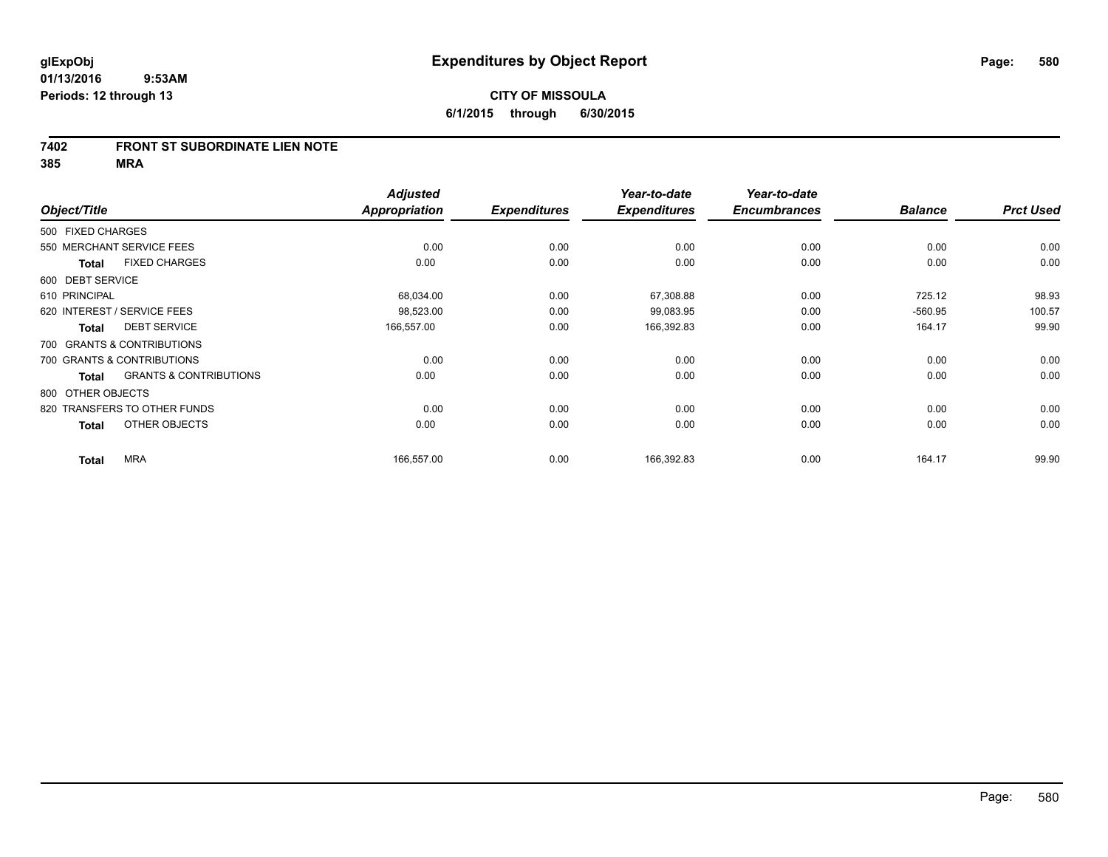#### **7402 FRONT ST SUBORDINATE LIEN NOTE**

**385 MRA**

|                             |                                   | <b>Adjusted</b> |                     | Year-to-date        | Year-to-date        |                |                  |
|-----------------------------|-----------------------------------|-----------------|---------------------|---------------------|---------------------|----------------|------------------|
| Object/Title                |                                   | Appropriation   | <b>Expenditures</b> | <b>Expenditures</b> | <b>Encumbrances</b> | <b>Balance</b> | <b>Prct Used</b> |
| 500 FIXED CHARGES           |                                   |                 |                     |                     |                     |                |                  |
| 550 MERCHANT SERVICE FEES   |                                   | 0.00            | 0.00                | 0.00                | 0.00                | 0.00           | 0.00             |
| <b>Total</b>                | <b>FIXED CHARGES</b>              | 0.00            | 0.00                | 0.00                | 0.00                | 0.00           | 0.00             |
| 600 DEBT SERVICE            |                                   |                 |                     |                     |                     |                |                  |
| 610 PRINCIPAL               |                                   | 68,034.00       | 0.00                | 67,308.88           | 0.00                | 725.12         | 98.93            |
| 620 INTEREST / SERVICE FEES |                                   | 98,523.00       | 0.00                | 99,083.95           | 0.00                | $-560.95$      | 100.57           |
| <b>Total</b>                | <b>DEBT SERVICE</b>               | 166,557.00      | 0.00                | 166,392.83          | 0.00                | 164.17         | 99.90            |
| 700 GRANTS & CONTRIBUTIONS  |                                   |                 |                     |                     |                     |                |                  |
| 700 GRANTS & CONTRIBUTIONS  |                                   | 0.00            | 0.00                | 0.00                | 0.00                | 0.00           | 0.00             |
| <b>Total</b>                | <b>GRANTS &amp; CONTRIBUTIONS</b> | 0.00            | 0.00                | 0.00                | 0.00                | 0.00           | 0.00             |
| 800 OTHER OBJECTS           |                                   |                 |                     |                     |                     |                |                  |
|                             | 820 TRANSFERS TO OTHER FUNDS      | 0.00            | 0.00                | 0.00                | 0.00                | 0.00           | 0.00             |
| <b>Total</b>                | OTHER OBJECTS                     | 0.00            | 0.00                | 0.00                | 0.00                | 0.00           | 0.00             |
| <b>Total</b>                | <b>MRA</b>                        | 166,557.00      | 0.00                | 166,392.83          | 0.00                | 164.17         | 99.90            |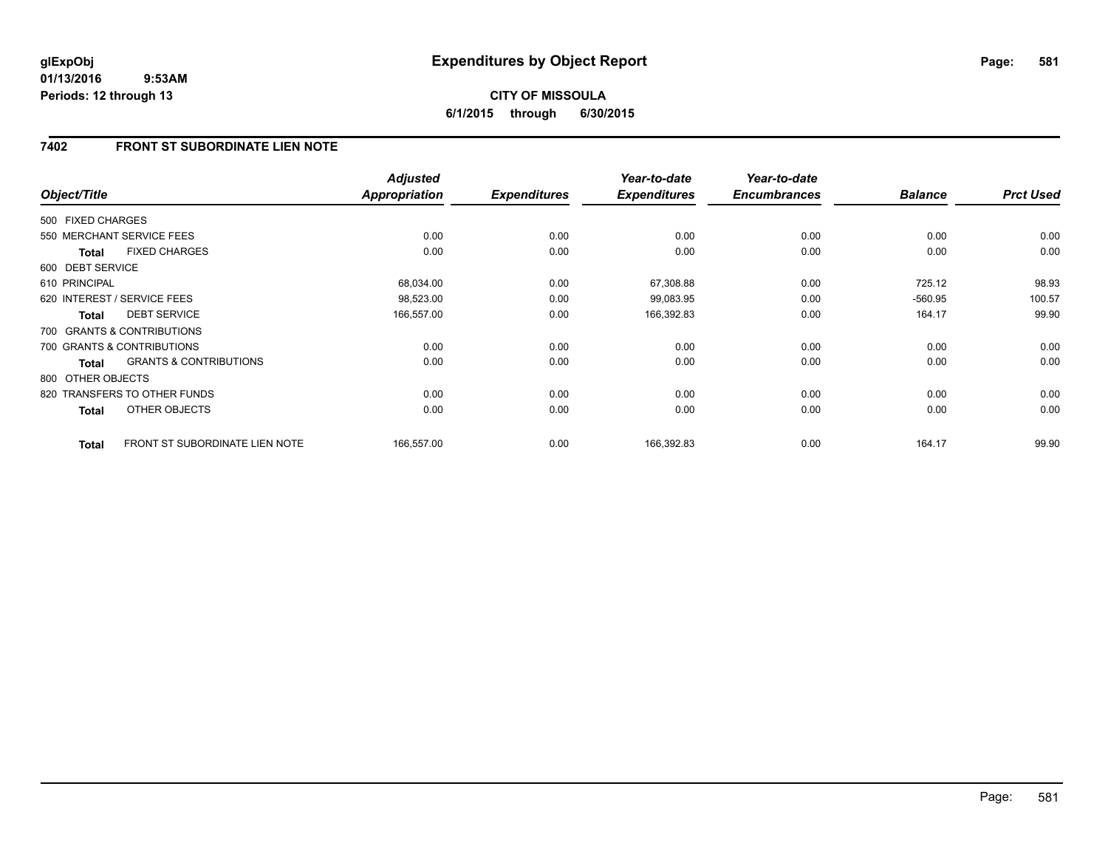## **7402 FRONT ST SUBORDINATE LIEN NOTE**

| Object/Title      |                                   | <b>Adjusted</b><br>Appropriation | <b>Expenditures</b> | Year-to-date<br><b>Expenditures</b> | Year-to-date<br><b>Encumbrances</b> | <b>Balance</b> | <b>Prct Used</b> |
|-------------------|-----------------------------------|----------------------------------|---------------------|-------------------------------------|-------------------------------------|----------------|------------------|
| 500 FIXED CHARGES |                                   |                                  |                     |                                     |                                     |                |                  |
|                   | 550 MERCHANT SERVICE FEES         | 0.00                             | 0.00                | 0.00                                | 0.00                                | 0.00           | 0.00             |
| <b>Total</b>      | <b>FIXED CHARGES</b>              | 0.00                             | 0.00                | 0.00                                | 0.00                                | 0.00           | 0.00             |
| 600 DEBT SERVICE  |                                   |                                  |                     |                                     |                                     |                |                  |
| 610 PRINCIPAL     |                                   | 68,034.00                        | 0.00                | 67,308.88                           | 0.00                                | 725.12         | 98.93            |
|                   | 620 INTEREST / SERVICE FEES       | 98,523.00                        | 0.00                | 99,083.95                           | 0.00                                | $-560.95$      | 100.57           |
| <b>Total</b>      | <b>DEBT SERVICE</b>               | 166,557.00                       | 0.00                | 166,392.83                          | 0.00                                | 164.17         | 99.90            |
|                   | 700 GRANTS & CONTRIBUTIONS        |                                  |                     |                                     |                                     |                |                  |
|                   | 700 GRANTS & CONTRIBUTIONS        | 0.00                             | 0.00                | 0.00                                | 0.00                                | 0.00           | 0.00             |
| <b>Total</b>      | <b>GRANTS &amp; CONTRIBUTIONS</b> | 0.00                             | 0.00                | 0.00                                | 0.00                                | 0.00           | 0.00             |
| 800 OTHER OBJECTS |                                   |                                  |                     |                                     |                                     |                |                  |
|                   | 820 TRANSFERS TO OTHER FUNDS      | 0.00                             | 0.00                | 0.00                                | 0.00                                | 0.00           | 0.00             |
| Total             | OTHER OBJECTS                     | 0.00                             | 0.00                | 0.00                                | 0.00                                | 0.00           | 0.00             |
| <b>Total</b>      | FRONT ST SUBORDINATE LIEN NOTE    | 166,557.00                       | 0.00                | 166,392.83                          | 0.00                                | 164.17         | 99.90            |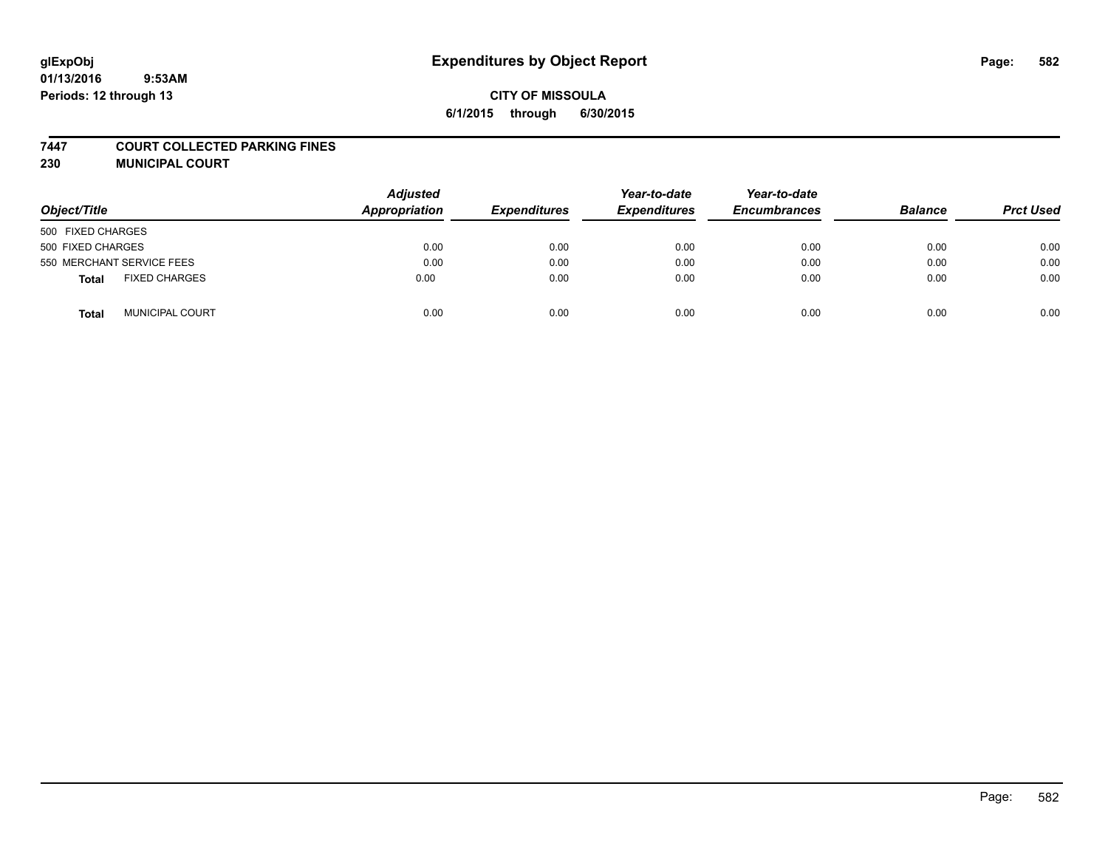#### **7447 COURT COLLECTED PARKING FINES**

**230 MUNICIPAL COURT**

| Object/Title                         | <b>Adjusted</b><br>Appropriation | <b>Expenditures</b> | Year-to-date<br><b>Expenditures</b> | Year-to-date<br><b>Encumbrances</b> | <b>Balance</b> | <b>Prct Used</b> |
|--------------------------------------|----------------------------------|---------------------|-------------------------------------|-------------------------------------|----------------|------------------|
| 500 FIXED CHARGES                    |                                  |                     |                                     |                                     |                |                  |
| 500 FIXED CHARGES                    | 0.00                             | 0.00                | 0.00                                | 0.00                                | 0.00           | 0.00             |
| 550 MERCHANT SERVICE FEES            | 0.00                             | 0.00                | 0.00                                | 0.00                                | 0.00           | 0.00             |
| <b>FIXED CHARGES</b><br><b>Total</b> | 0.00                             | 0.00                | 0.00                                | 0.00                                | 0.00           | 0.00             |
| <b>MUNICIPAL COURT</b><br>Total      | 0.00                             | 0.00                | 0.00                                | 0.00                                | 0.00           | 0.00             |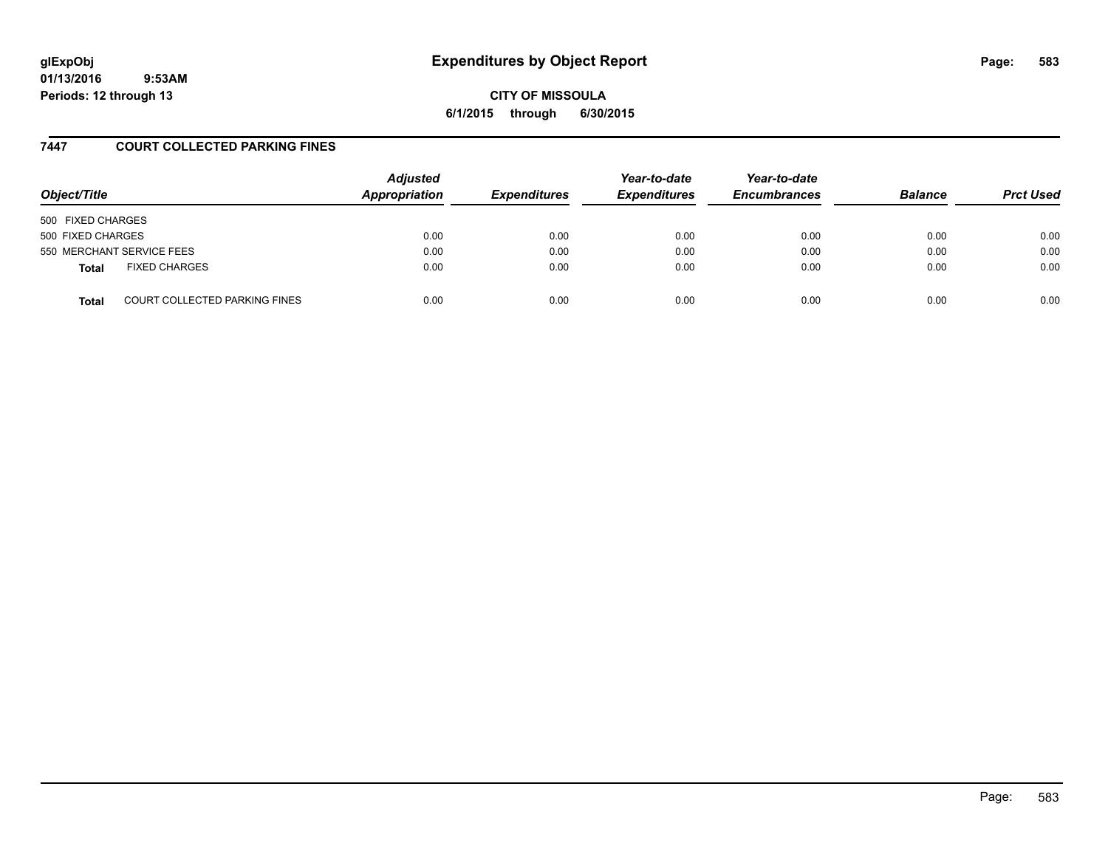# **glExpObj Expenditures by Object Report Page: 583**

**01/13/2016 9:53AM Periods: 12 through 13**

**CITY OF MISSOULA 6/1/2015 through 6/30/2015**

### **7447 COURT COLLECTED PARKING FINES**

| Object/Title                                  | <b>Adjusted</b><br>Appropriation | <b>Expenditures</b> | Year-to-date<br><b>Expenditures</b> | Year-to-date<br><b>Encumbrances</b> | <b>Balance</b> | <b>Prct Used</b> |
|-----------------------------------------------|----------------------------------|---------------------|-------------------------------------|-------------------------------------|----------------|------------------|
| 500 FIXED CHARGES                             |                                  |                     |                                     |                                     |                |                  |
| 500 FIXED CHARGES                             | 0.00                             | 0.00                | 0.00                                | 0.00                                | 0.00           | 0.00             |
| 550 MERCHANT SERVICE FEES                     | 0.00                             | 0.00                | 0.00                                | 0.00                                | 0.00           | 0.00             |
| <b>FIXED CHARGES</b><br><b>Total</b>          | 0.00                             | 0.00                | 0.00                                | 0.00                                | 0.00           | 0.00             |
| <b>COURT COLLECTED PARKING FINES</b><br>Total | 0.00                             | 0.00                | 0.00                                | 0.00                                | 0.00           | 0.00             |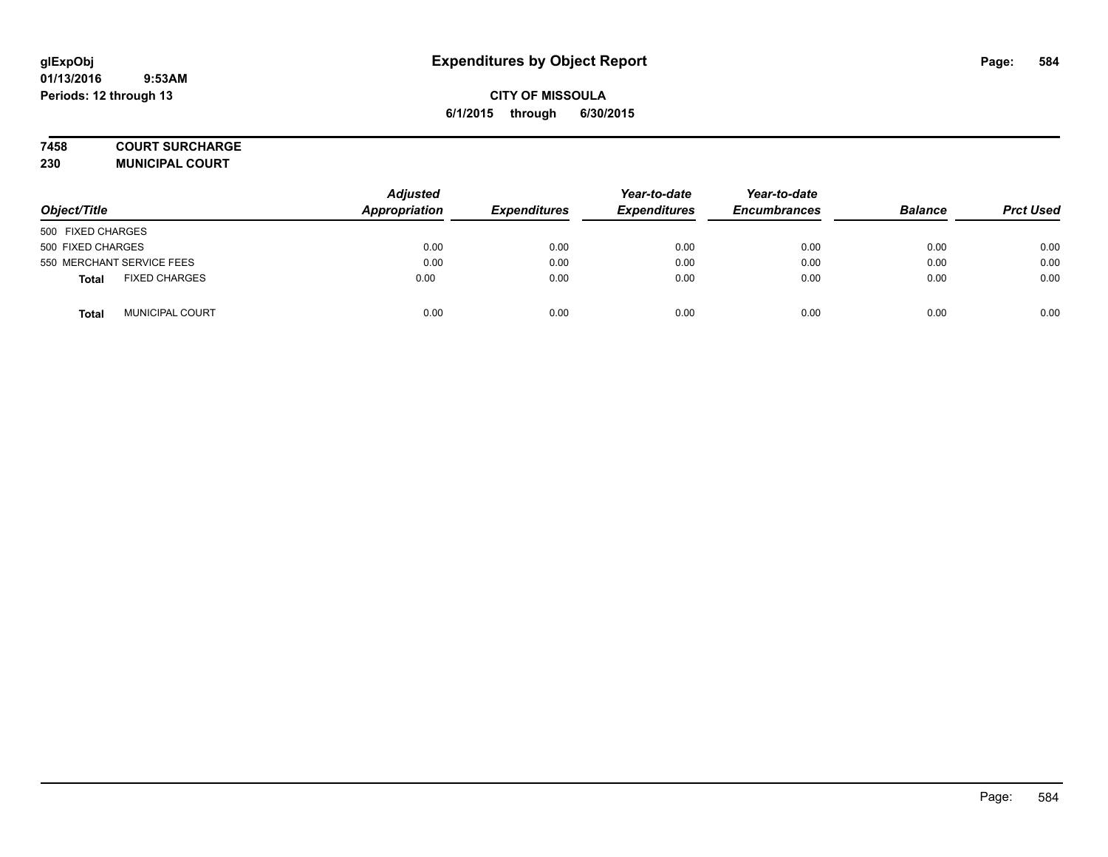#### **7458 COURT SURCHARGE**

**230 MUNICIPAL COURT**

| Object/Title                         | <b>Adjusted</b><br>Appropriation | <b>Expenditures</b> | Year-to-date<br><b>Expenditures</b> | Year-to-date<br><b>Encumbrances</b> | <b>Balance</b> | <b>Prct Used</b> |
|--------------------------------------|----------------------------------|---------------------|-------------------------------------|-------------------------------------|----------------|------------------|
| 500 FIXED CHARGES                    |                                  |                     |                                     |                                     |                |                  |
| 500 FIXED CHARGES                    | 0.00                             | 0.00                | 0.00                                | 0.00                                | 0.00           | 0.00             |
| 550 MERCHANT SERVICE FEES            | 0.00                             | 0.00                | 0.00                                | 0.00                                | 0.00           | 0.00             |
| <b>FIXED CHARGES</b><br><b>Total</b> | 0.00                             | 0.00                | 0.00                                | 0.00                                | 0.00           | 0.00             |
| <b>MUNICIPAL COURT</b><br>Total      | 0.00                             | 0.00                | 0.00                                | 0.00                                | 0.00           | 0.00             |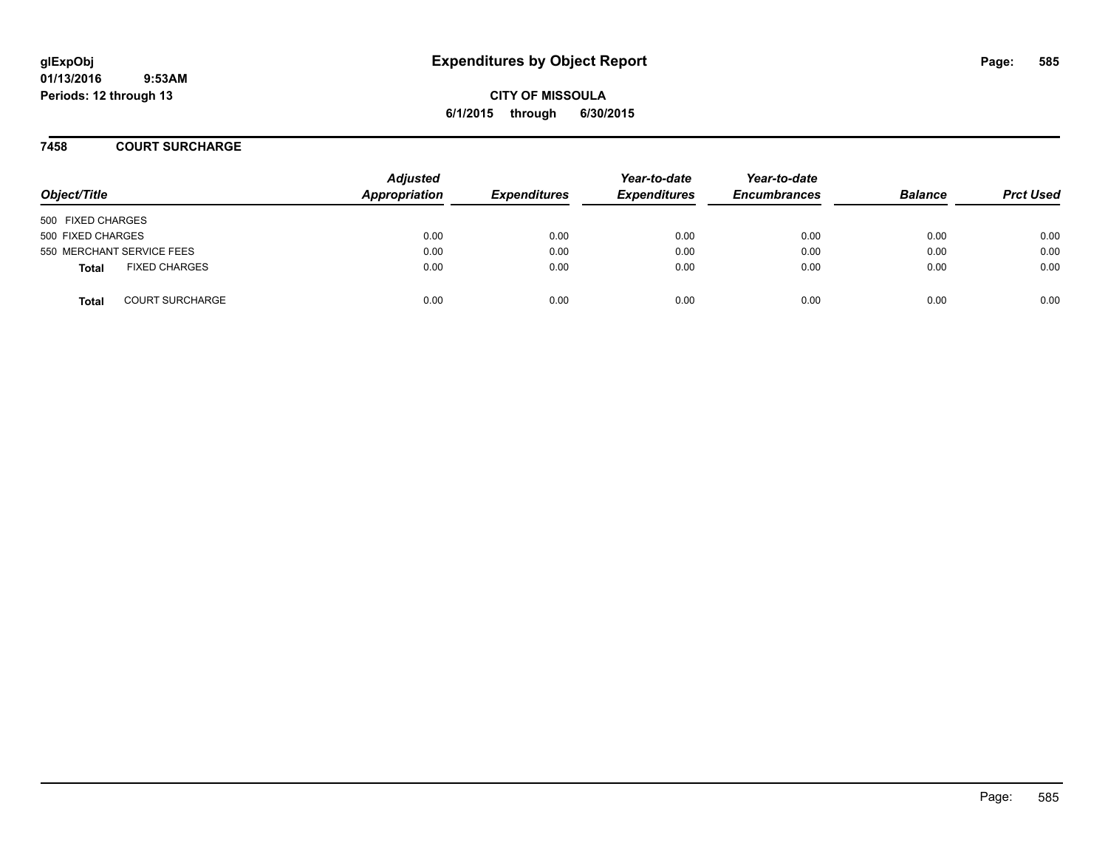**CITY OF MISSOULA 6/1/2015 through 6/30/2015**

#### **7458 COURT SURCHARGE**

| Object/Title                           | <b>Adjusted</b><br>Appropriation | <b>Expenditures</b> | Year-to-date<br><b>Expenditures</b> | Year-to-date<br><b>Encumbrances</b> | <b>Balance</b> | <b>Prct Used</b> |
|----------------------------------------|----------------------------------|---------------------|-------------------------------------|-------------------------------------|----------------|------------------|
| 500 FIXED CHARGES                      |                                  |                     |                                     |                                     |                |                  |
| 500 FIXED CHARGES                      | 0.00                             | 0.00                | 0.00                                | 0.00                                | 0.00           | 0.00             |
| 550 MERCHANT SERVICE FEES              | 0.00                             | 0.00                | 0.00                                | 0.00                                | 0.00           | 0.00             |
| <b>FIXED CHARGES</b><br><b>Total</b>   | 0.00                             | 0.00                | 0.00                                | 0.00                                | 0.00           | 0.00             |
| <b>COURT SURCHARGE</b><br><b>Total</b> | 0.00                             | 0.00                | 0.00                                | 0.00                                | 0.00           | 0.00             |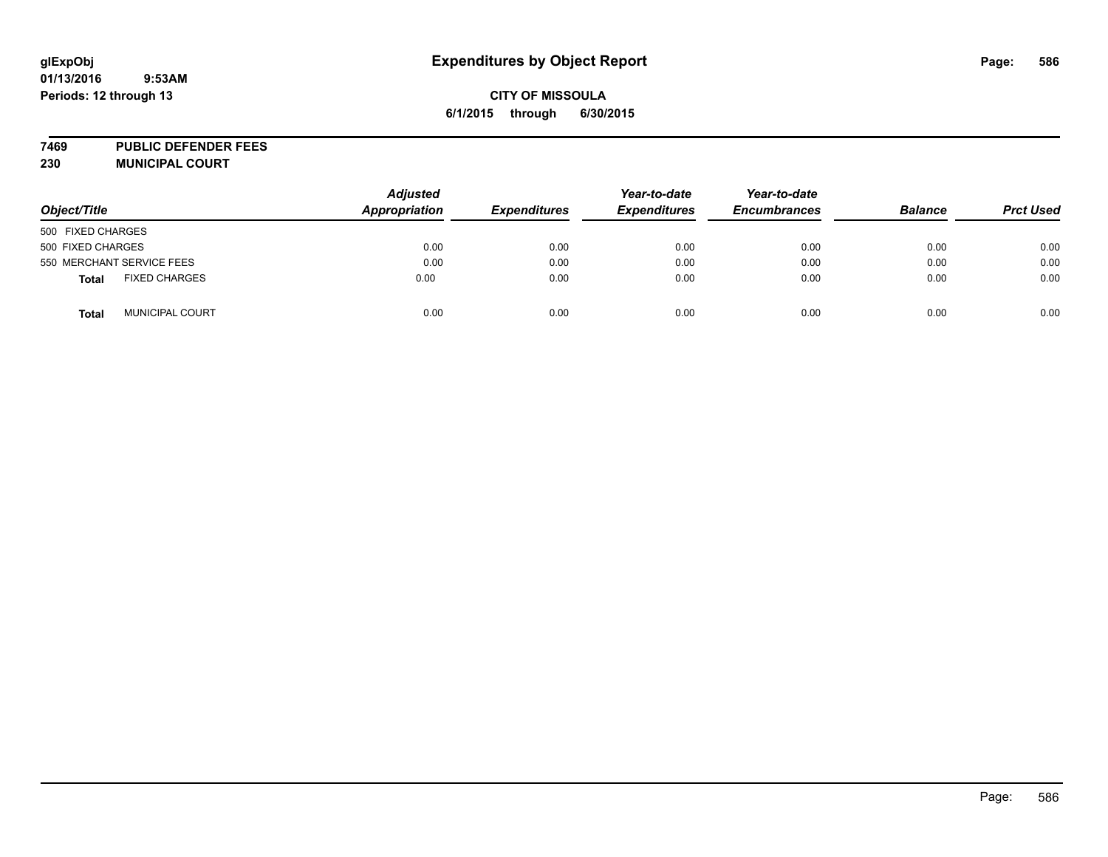## **CITY OF MISSOULA 6/1/2015 through 6/30/2015**

**7469 PUBLIC DEFENDER FEES 230 MUNICIPAL COURT**

| Object/Title                         | <b>Adjusted</b><br>Appropriation | <b>Expenditures</b> | Year-to-date<br><b>Expenditures</b> | Year-to-date<br><b>Encumbrances</b> | <b>Balance</b> | <b>Prct Used</b> |
|--------------------------------------|----------------------------------|---------------------|-------------------------------------|-------------------------------------|----------------|------------------|
| 500 FIXED CHARGES                    |                                  |                     |                                     |                                     |                |                  |
| 500 FIXED CHARGES                    | 0.00                             | 0.00                | 0.00                                | 0.00                                | 0.00           | 0.00             |
| 550 MERCHANT SERVICE FEES            | 0.00                             | 0.00                | 0.00                                | 0.00                                | 0.00           | 0.00             |
| <b>FIXED CHARGES</b><br><b>Total</b> | 0.00                             | 0.00                | 0.00                                | 0.00                                | 0.00           | 0.00             |
| MUNICIPAL COURT<br><b>Total</b>      | 0.00                             | 0.00                | 0.00                                | 0.00                                | 0.00           | 0.00             |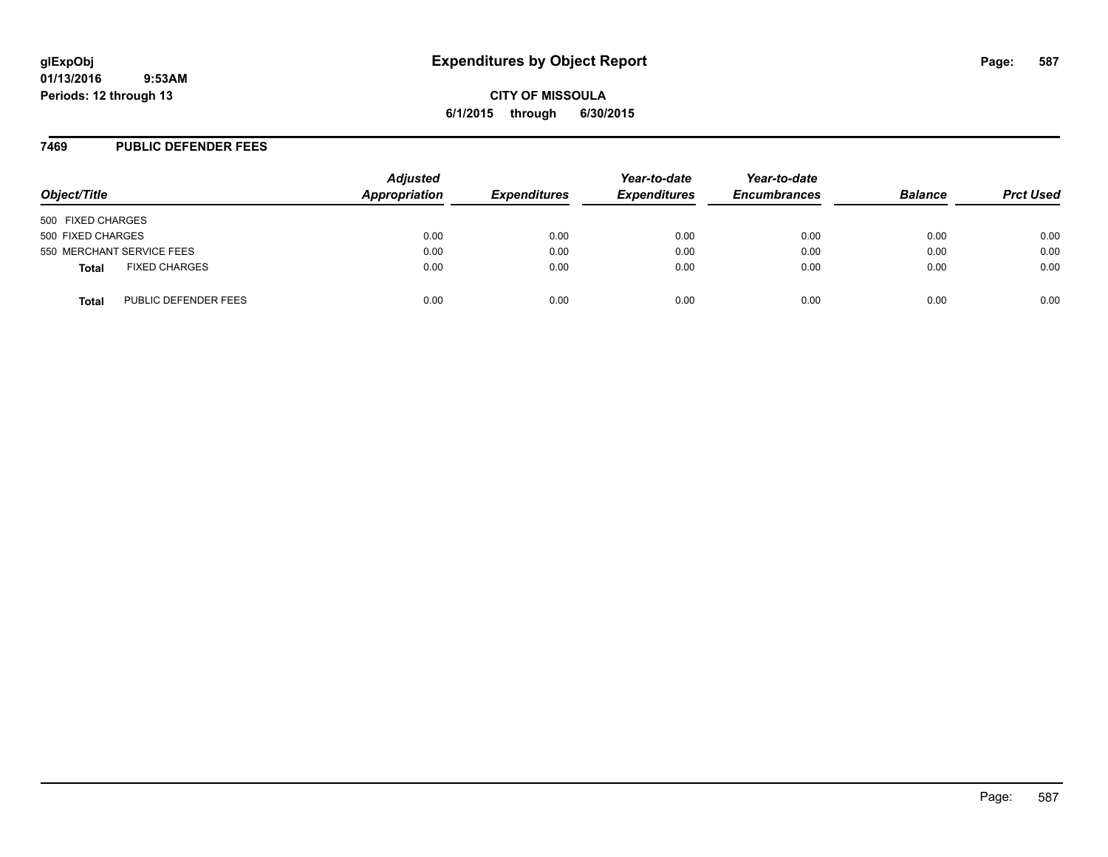#### **7469 PUBLIC DEFENDER FEES**

| Object/Title                         | <b>Adjusted</b><br>Appropriation | <b>Expenditures</b> | Year-to-date<br><b>Expenditures</b> | Year-to-date<br><b>Encumbrances</b> | <b>Balance</b> | <b>Prct Used</b> |
|--------------------------------------|----------------------------------|---------------------|-------------------------------------|-------------------------------------|----------------|------------------|
| 500 FIXED CHARGES                    |                                  |                     |                                     |                                     |                |                  |
| 500 FIXED CHARGES                    | 0.00                             | 0.00                | 0.00                                | 0.00                                | 0.00           | 0.00             |
| 550 MERCHANT SERVICE FEES            | 0.00                             | 0.00                | 0.00                                | 0.00                                | 0.00           | 0.00             |
| <b>FIXED CHARGES</b><br><b>Total</b> | 0.00                             | 0.00                | 0.00                                | 0.00                                | 0.00           | 0.00             |
| PUBLIC DEFENDER FEES<br>Total        | 0.00                             | 0.00                | 0.00                                | 0.00                                | 0.00           | 0.00             |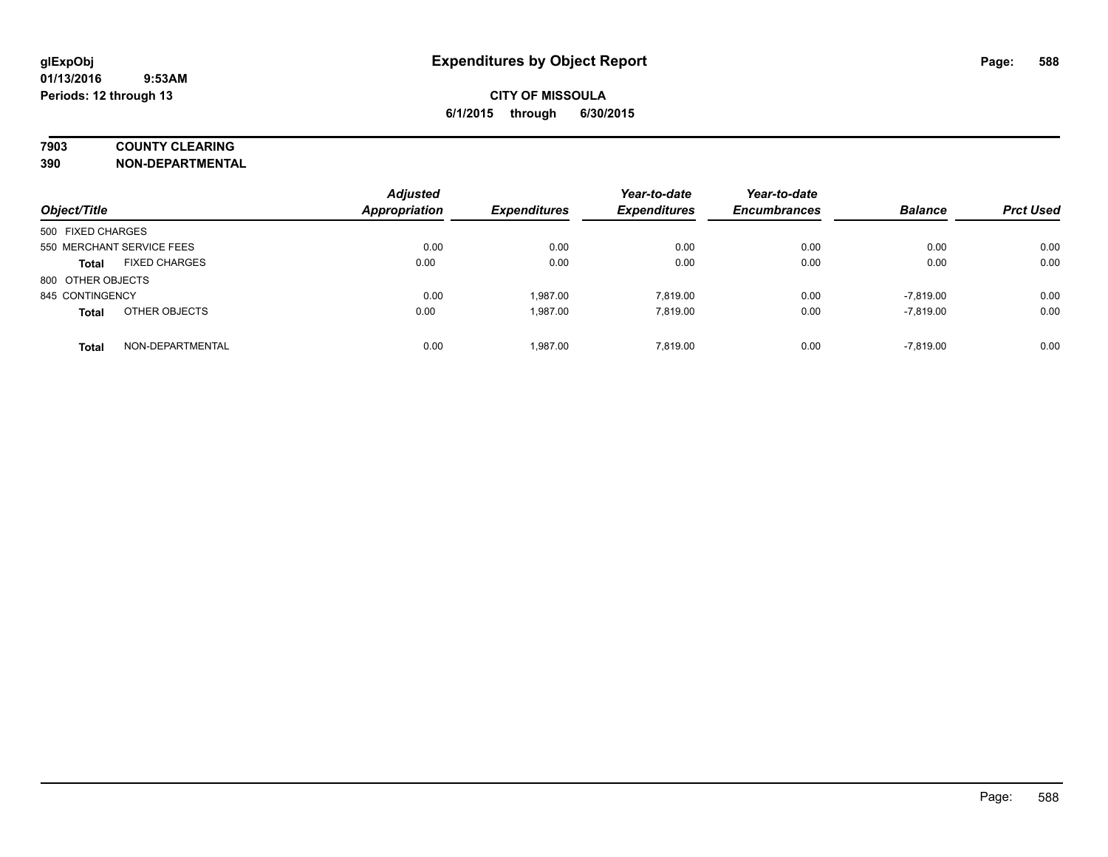### **7903 COUNTY CLEARING**

**390 NON-DEPARTMENTAL**

| Object/Title                         | <b>Adjusted</b><br><b>Appropriation</b> | <b>Expenditures</b> | Year-to-date<br><b>Expenditures</b> | Year-to-date<br><b>Encumbrances</b> | <b>Balance</b> | <b>Prct Used</b> |
|--------------------------------------|-----------------------------------------|---------------------|-------------------------------------|-------------------------------------|----------------|------------------|
| 500 FIXED CHARGES                    |                                         |                     |                                     |                                     |                |                  |
| 550 MERCHANT SERVICE FEES            | 0.00                                    | 0.00                | 0.00                                | 0.00                                | 0.00           | 0.00             |
| <b>FIXED CHARGES</b><br><b>Total</b> | 0.00                                    | 0.00                | 0.00                                | 0.00                                | 0.00           | 0.00             |
| 800 OTHER OBJECTS                    |                                         |                     |                                     |                                     |                |                  |
| 845 CONTINGENCY                      | 0.00                                    | 1.987.00            | 7.819.00                            | 0.00                                | $-7,819.00$    | 0.00             |
| OTHER OBJECTS<br><b>Total</b>        | 0.00                                    | 1.987.00            | 7.819.00                            | 0.00                                | $-7,819.00$    | 0.00             |
| NON-DEPARTMENTAL<br><b>Total</b>     | 0.00                                    | 1.987.00            | 7.819.00                            | 0.00                                | $-7.819.00$    | 0.00             |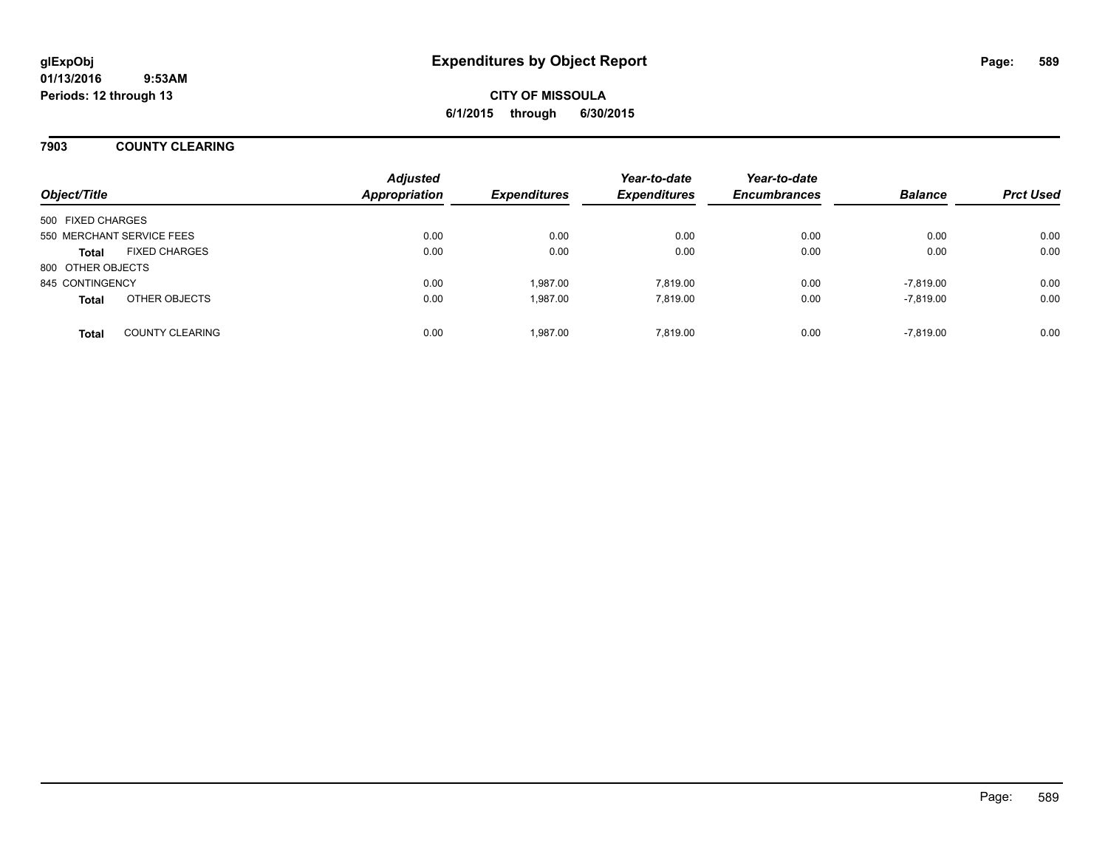### **7903 COUNTY CLEARING**

| Object/Title              |                        | <b>Adjusted</b><br><b>Appropriation</b> | <b>Expenditures</b> | Year-to-date<br><b>Expenditures</b> | Year-to-date<br><b>Encumbrances</b> | <b>Balance</b> | <b>Prct Used</b> |
|---------------------------|------------------------|-----------------------------------------|---------------------|-------------------------------------|-------------------------------------|----------------|------------------|
| 500 FIXED CHARGES         |                        |                                         |                     |                                     |                                     |                |                  |
| 550 MERCHANT SERVICE FEES |                        | 0.00                                    | 0.00                | 0.00                                | 0.00                                | 0.00           | 0.00             |
| <b>Total</b>              | <b>FIXED CHARGES</b>   | 0.00                                    | 0.00                | 0.00                                | 0.00                                | 0.00           | 0.00             |
| 800 OTHER OBJECTS         |                        |                                         |                     |                                     |                                     |                |                  |
| 845 CONTINGENCY           |                        | 0.00                                    | 1.987.00            | 7.819.00                            | 0.00                                | $-7.819.00$    | 0.00             |
| <b>Total</b>              | OTHER OBJECTS          | 0.00                                    | 1,987.00            | 7.819.00                            | 0.00                                | $-7,819.00$    | 0.00             |
| <b>Total</b>              | <b>COUNTY CLEARING</b> | 0.00                                    | 1,987.00            | 7.819.00                            | 0.00                                | $-7,819.00$    | 0.00             |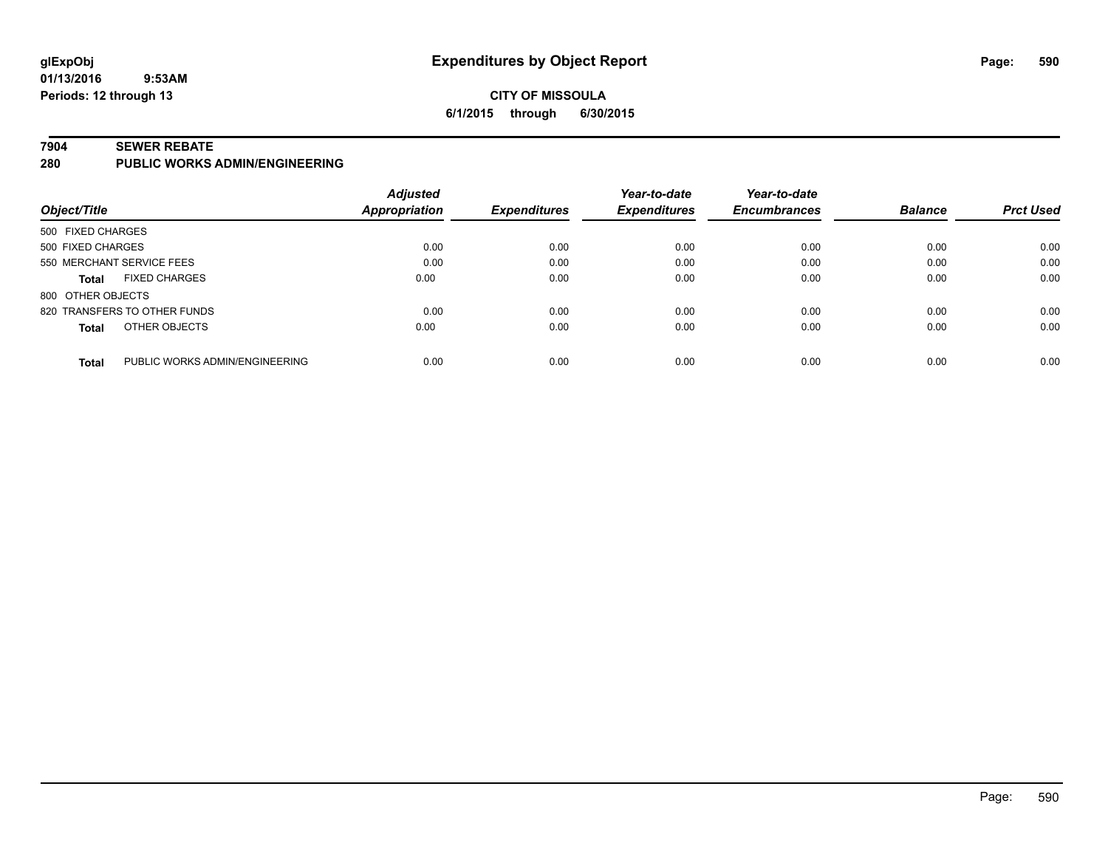### **CITY OF MISSOULA 6/1/2015 through 6/30/2015**

#### **7904 SEWER REBATE**

**280 PUBLIC WORKS ADMIN/ENGINEERING**

|                                                | <b>Adjusted</b>      |                     | Year-to-date        | Year-to-date        |                |                  |
|------------------------------------------------|----------------------|---------------------|---------------------|---------------------|----------------|------------------|
| Object/Title                                   | <b>Appropriation</b> | <b>Expenditures</b> | <b>Expenditures</b> | <b>Encumbrances</b> | <b>Balance</b> | <b>Prct Used</b> |
| 500 FIXED CHARGES                              |                      |                     |                     |                     |                |                  |
| 500 FIXED CHARGES                              | 0.00                 | 0.00                | 0.00                | 0.00                | 0.00           | 0.00             |
| 550 MERCHANT SERVICE FEES                      | 0.00                 | 0.00                | 0.00                | 0.00                | 0.00           | 0.00             |
| <b>FIXED CHARGES</b><br><b>Total</b>           | 0.00                 | 0.00                | 0.00                | 0.00                | 0.00           | 0.00             |
| 800 OTHER OBJECTS                              |                      |                     |                     |                     |                |                  |
| 820 TRANSFERS TO OTHER FUNDS                   | 0.00                 | 0.00                | 0.00                | 0.00                | 0.00           | 0.00             |
| OTHER OBJECTS<br><b>Total</b>                  | 0.00                 | 0.00                | 0.00                | 0.00                | 0.00           | 0.00             |
|                                                |                      |                     |                     |                     |                |                  |
| PUBLIC WORKS ADMIN/ENGINEERING<br><b>Total</b> | 0.00                 | 0.00                | 0.00                | 0.00                | 0.00           | 0.00             |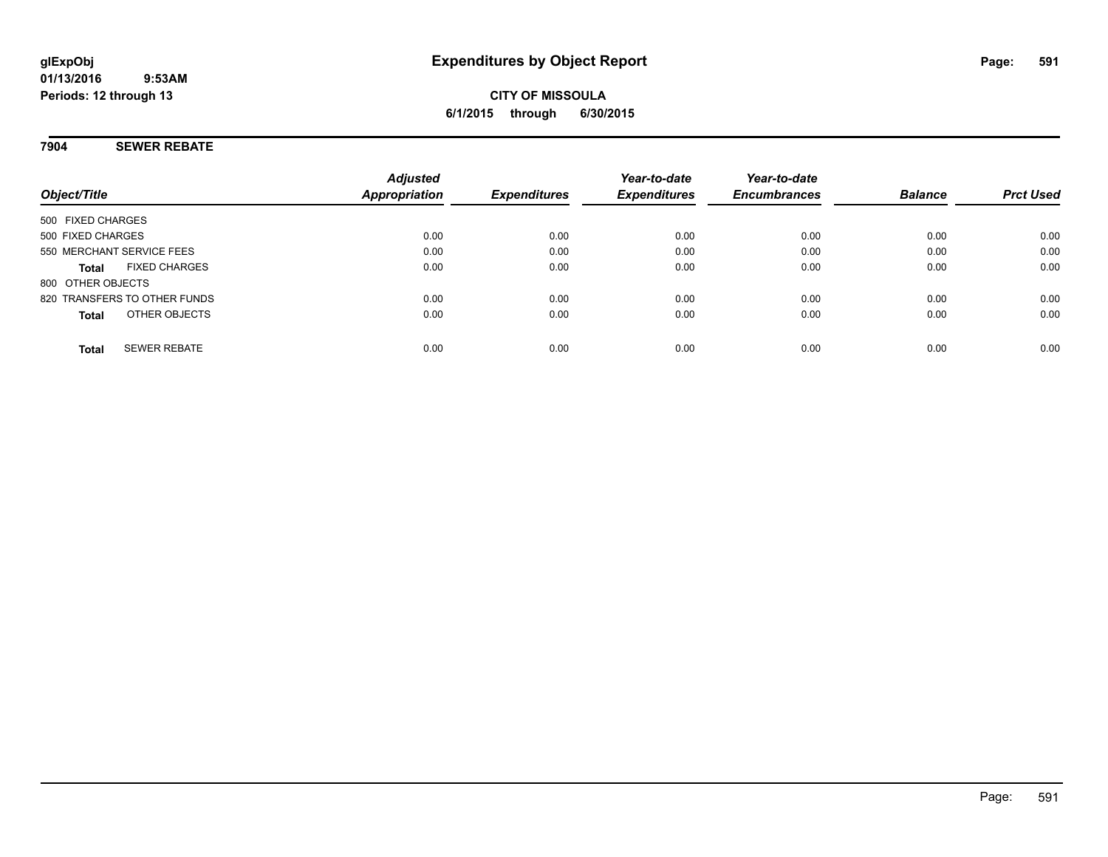#### **7904 SEWER REBATE**

| Object/Title                         | <b>Adjusted</b><br><b>Appropriation</b> | <b>Expenditures</b> | Year-to-date<br><b>Expenditures</b> | Year-to-date<br><b>Encumbrances</b> | <b>Balance</b> | <b>Prct Used</b> |
|--------------------------------------|-----------------------------------------|---------------------|-------------------------------------|-------------------------------------|----------------|------------------|
| 500 FIXED CHARGES                    |                                         |                     |                                     |                                     |                |                  |
| 500 FIXED CHARGES                    | 0.00                                    | 0.00                | 0.00                                | 0.00                                | 0.00           | 0.00             |
| 550 MERCHANT SERVICE FEES            | 0.00                                    | 0.00                | 0.00                                | 0.00                                | 0.00           | 0.00             |
| <b>FIXED CHARGES</b><br><b>Total</b> | 0.00                                    | 0.00                | 0.00                                | 0.00                                | 0.00           | 0.00             |
| 800 OTHER OBJECTS                    |                                         |                     |                                     |                                     |                |                  |
| 820 TRANSFERS TO OTHER FUNDS         | 0.00                                    | 0.00                | 0.00                                | 0.00                                | 0.00           | 0.00             |
| OTHER OBJECTS<br><b>Total</b>        | 0.00                                    | 0.00                | 0.00                                | 0.00                                | 0.00           | 0.00             |
| <b>SEWER REBATE</b><br><b>Total</b>  | 0.00                                    | 0.00                | 0.00                                | 0.00                                | 0.00           | 0.00             |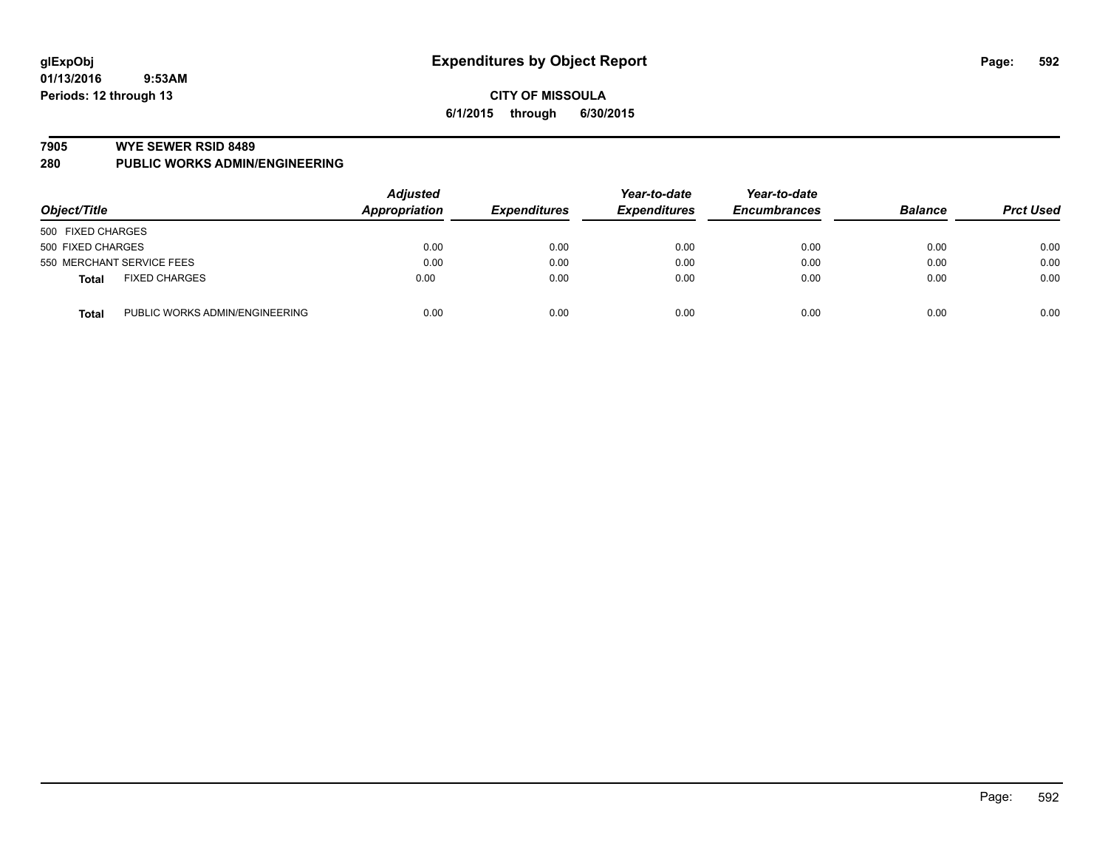#### **7905 WYE SEWER RSID 8489**

**280 PUBLIC WORKS ADMIN/ENGINEERING**

| Object/Title                                   | <b>Adjusted</b><br>Appropriation | <b>Expenditures</b> | Year-to-date<br><b>Expenditures</b> | Year-to-date<br><b>Encumbrances</b> | <b>Balance</b> | <b>Prct Used</b> |
|------------------------------------------------|----------------------------------|---------------------|-------------------------------------|-------------------------------------|----------------|------------------|
| 500 FIXED CHARGES                              |                                  |                     |                                     |                                     |                |                  |
| 500 FIXED CHARGES                              | 0.00                             | 0.00                | 0.00                                | 0.00                                | 0.00           | 0.00             |
| 550 MERCHANT SERVICE FEES                      | 0.00                             | 0.00                | 0.00                                | 0.00                                | 0.00           | 0.00             |
| <b>FIXED CHARGES</b><br><b>Total</b>           | 0.00                             | 0.00                | 0.00                                | 0.00                                | 0.00           | 0.00             |
| PUBLIC WORKS ADMIN/ENGINEERING<br><b>Total</b> | 0.00                             | 0.00                | 0.00                                | 0.00                                | 0.00           | 0.00             |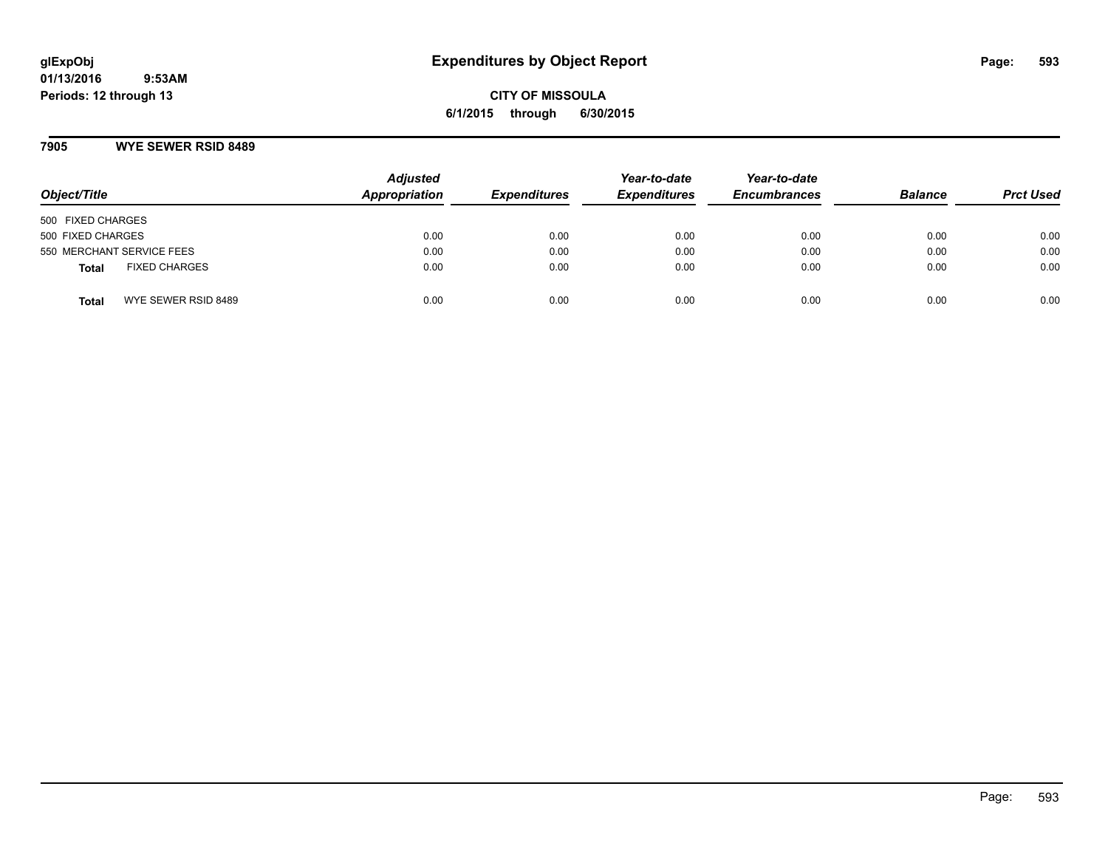**CITY OF MISSOULA 6/1/2015 through 6/30/2015**

#### **7905 WYE SEWER RSID 8489**

| Object/Title                         | <b>Adjusted</b><br><b>Appropriation</b> | <b>Expenditures</b> | Year-to-date<br><b>Expenditures</b> | Year-to-date<br><b>Encumbrances</b> | <b>Balance</b> | <b>Prct Used</b> |
|--------------------------------------|-----------------------------------------|---------------------|-------------------------------------|-------------------------------------|----------------|------------------|
| 500 FIXED CHARGES                    |                                         |                     |                                     |                                     |                |                  |
| 500 FIXED CHARGES                    | 0.00                                    | 0.00                | 0.00                                | 0.00                                | 0.00           | 0.00             |
| 550 MERCHANT SERVICE FEES            | 0.00                                    | 0.00                | 0.00                                | 0.00                                | 0.00           | 0.00             |
| <b>FIXED CHARGES</b><br><b>Total</b> | 0.00                                    | 0.00                | 0.00                                | 0.00                                | 0.00           | 0.00             |
| WYE SEWER RSID 8489<br>Total         | 0.00                                    | 0.00                | 0.00                                | 0.00                                | 0.00           | 0.00             |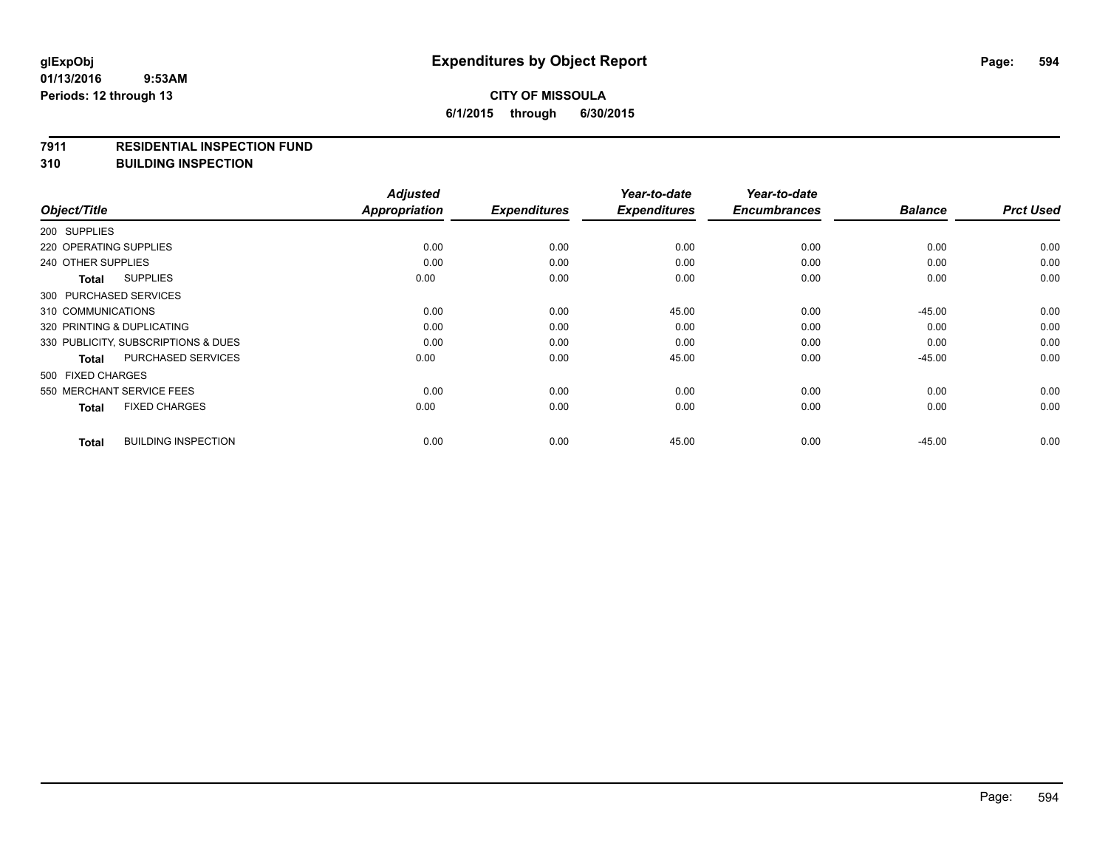#### **7911 RESIDENTIAL INSPECTION FUND**

**310 BUILDING INSPECTION**

|                                            | <b>Adjusted</b>      |                     | Year-to-date        | Year-to-date        |                |                  |
|--------------------------------------------|----------------------|---------------------|---------------------|---------------------|----------------|------------------|
| Object/Title                               | <b>Appropriation</b> | <b>Expenditures</b> | <b>Expenditures</b> | <b>Encumbrances</b> | <b>Balance</b> | <b>Prct Used</b> |
| 200 SUPPLIES                               |                      |                     |                     |                     |                |                  |
| 220 OPERATING SUPPLIES                     | 0.00                 | 0.00                | 0.00                | 0.00                | 0.00           | 0.00             |
| 240 OTHER SUPPLIES                         | 0.00                 | 0.00                | 0.00                | 0.00                | 0.00           | 0.00             |
| <b>SUPPLIES</b><br>Total                   | 0.00                 | 0.00                | 0.00                | 0.00                | 0.00           | 0.00             |
| 300 PURCHASED SERVICES                     |                      |                     |                     |                     |                |                  |
| 310 COMMUNICATIONS                         | 0.00                 | 0.00                | 45.00               | 0.00                | $-45.00$       | 0.00             |
| 320 PRINTING & DUPLICATING                 | 0.00                 | 0.00                | 0.00                | 0.00                | 0.00           | 0.00             |
| 330 PUBLICITY, SUBSCRIPTIONS & DUES        | 0.00                 | 0.00                | 0.00                | 0.00                | 0.00           | 0.00             |
| <b>PURCHASED SERVICES</b><br>Total         | 0.00                 | 0.00                | 45.00               | 0.00                | $-45.00$       | 0.00             |
| 500 FIXED CHARGES                          |                      |                     |                     |                     |                |                  |
| 550 MERCHANT SERVICE FEES                  | 0.00                 | 0.00                | 0.00                | 0.00                | 0.00           | 0.00             |
| <b>FIXED CHARGES</b><br><b>Total</b>       | 0.00                 | 0.00                | 0.00                | 0.00                | 0.00           | 0.00             |
| <b>BUILDING INSPECTION</b><br><b>Total</b> | 0.00                 | 0.00                | 45.00               | 0.00                | $-45.00$       | 0.00             |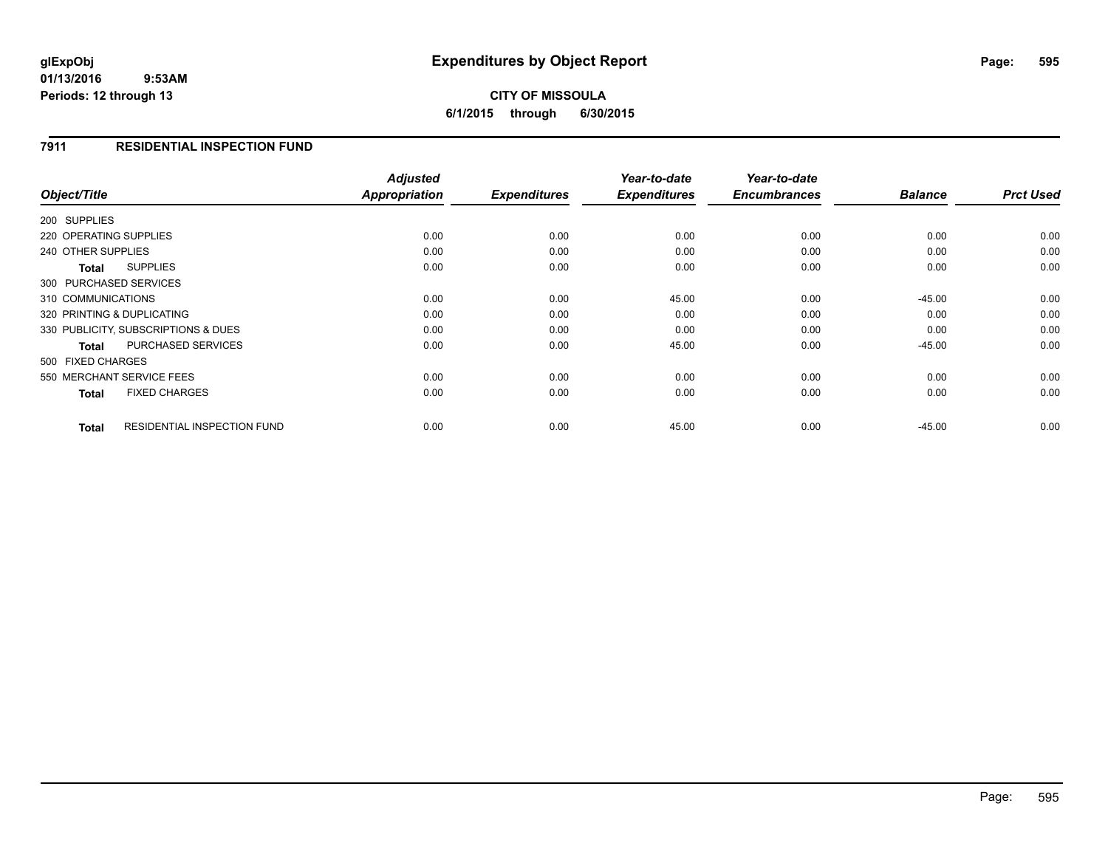## **CITY OF MISSOULA 6/1/2015 through 6/30/2015**

#### **7911 RESIDENTIAL INSPECTION FUND**

|                                                    | <b>Adjusted</b> |                     | Year-to-date        | Year-to-date        |                |                  |
|----------------------------------------------------|-----------------|---------------------|---------------------|---------------------|----------------|------------------|
| Object/Title                                       | Appropriation   | <b>Expenditures</b> | <b>Expenditures</b> | <b>Encumbrances</b> | <b>Balance</b> | <b>Prct Used</b> |
| 200 SUPPLIES                                       |                 |                     |                     |                     |                |                  |
| 220 OPERATING SUPPLIES                             | 0.00            | 0.00                | 0.00                | 0.00                | 0.00           | 0.00             |
| 240 OTHER SUPPLIES                                 | 0.00            | 0.00                | 0.00                | 0.00                | 0.00           | 0.00             |
| <b>SUPPLIES</b><br><b>Total</b>                    | 0.00            | 0.00                | 0.00                | 0.00                | 0.00           | 0.00             |
| 300 PURCHASED SERVICES                             |                 |                     |                     |                     |                |                  |
| 310 COMMUNICATIONS                                 | 0.00            | 0.00                | 45.00               | 0.00                | $-45.00$       | 0.00             |
| 320 PRINTING & DUPLICATING                         | 0.00            | 0.00                | 0.00                | 0.00                | 0.00           | 0.00             |
| 330 PUBLICITY, SUBSCRIPTIONS & DUES                | 0.00            | 0.00                | 0.00                | 0.00                | 0.00           | 0.00             |
| <b>PURCHASED SERVICES</b><br><b>Total</b>          | 0.00            | 0.00                | 45.00               | 0.00                | $-45.00$       | 0.00             |
| 500 FIXED CHARGES                                  |                 |                     |                     |                     |                |                  |
| 550 MERCHANT SERVICE FEES                          | 0.00            | 0.00                | 0.00                | 0.00                | 0.00           | 0.00             |
| <b>FIXED CHARGES</b><br><b>Total</b>               | 0.00            | 0.00                | 0.00                | 0.00                | 0.00           | 0.00             |
| <b>RESIDENTIAL INSPECTION FUND</b><br><b>Total</b> | 0.00            | 0.00                | 45.00               | 0.00                | $-45.00$       | 0.00             |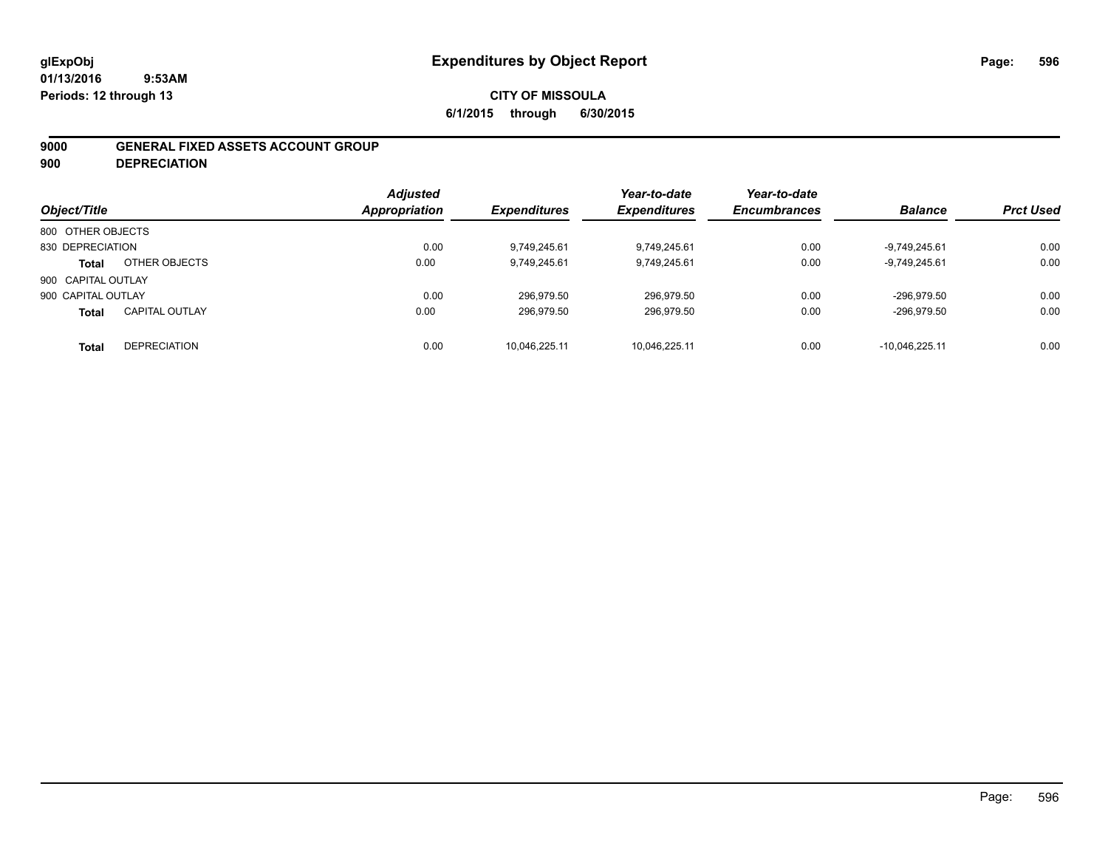### **CITY OF MISSOULA 6/1/2015 through 6/30/2015**

#### **9000 GENERAL FIXED ASSETS ACCOUNT GROUP**

**900 DEPRECIATION**

| Object/Title       |                       | <b>Adjusted</b><br>Appropriation | <b>Expenditures</b> | Year-to-date<br><b>Expenditures</b> | Year-to-date<br><b>Encumbrances</b> | <b>Balance</b>   | <b>Prct Used</b> |
|--------------------|-----------------------|----------------------------------|---------------------|-------------------------------------|-------------------------------------|------------------|------------------|
| 800 OTHER OBJECTS  |                       |                                  |                     |                                     |                                     |                  |                  |
| 830 DEPRECIATION   |                       | 0.00                             | 9.749.245.61        | 9.749.245.61                        | 0.00                                | $-9.749.245.61$  | 0.00             |
| <b>Total</b>       | OTHER OBJECTS         | 0.00                             | 9.749.245.61        | 9,749,245.61                        | 0.00                                | $-9.749.245.61$  | 0.00             |
| 900 CAPITAL OUTLAY |                       |                                  |                     |                                     |                                     |                  |                  |
| 900 CAPITAL OUTLAY |                       | 0.00                             | 296.979.50          | 296,979.50                          | 0.00                                | -296.979.50      | 0.00             |
| <b>Total</b>       | <b>CAPITAL OUTLAY</b> | 0.00                             | 296.979.50          | 296,979.50                          | 0.00                                | -296.979.50      | 0.00             |
| <b>Total</b>       | <b>DEPRECIATION</b>   | 0.00                             | 10.046.225.11       | 10.046.225.11                       | 0.00                                | $-10.046.225.11$ | 0.00             |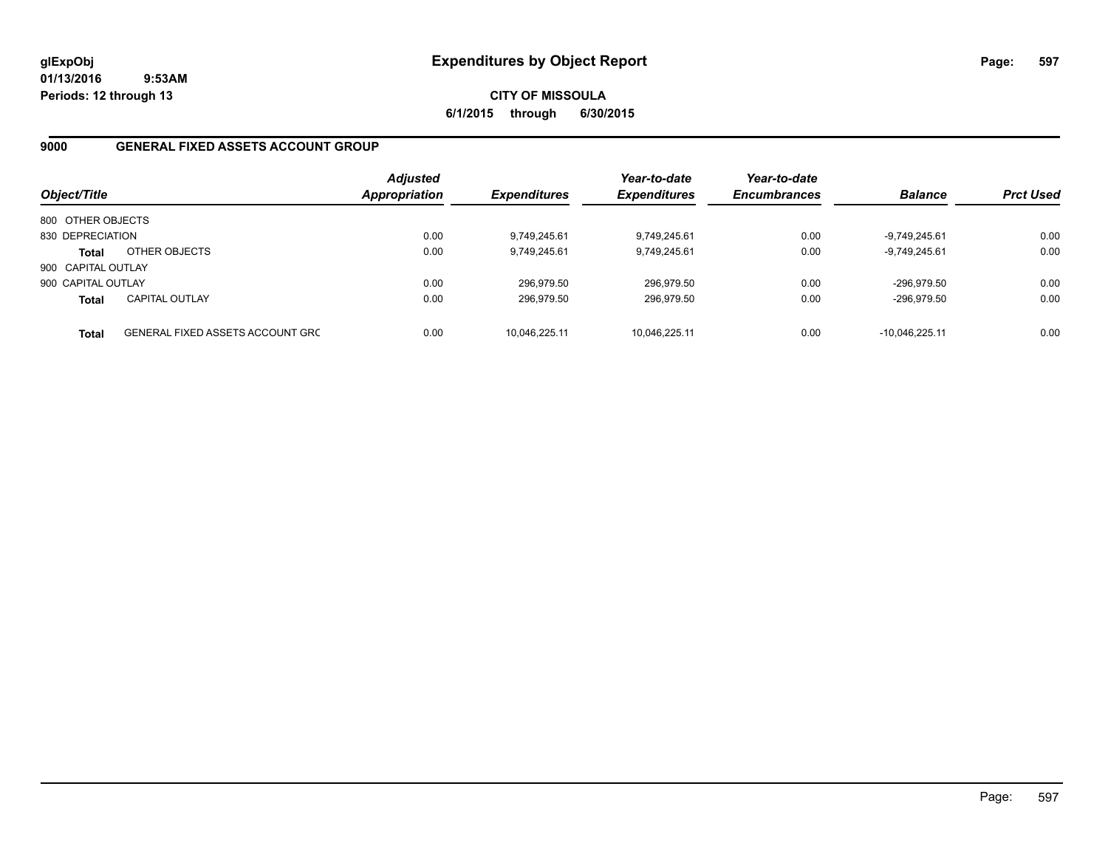**CITY OF MISSOULA 6/1/2015 through 6/30/2015**

#### **9000 GENERAL FIXED ASSETS ACCOUNT GROUP**

| Object/Title       |                                         | <b>Adjusted</b><br>Appropriation | <b>Expenditures</b> | Year-to-date<br><b>Expenditures</b> | Year-to-date<br><b>Encumbrances</b> | <b>Balance</b>  | <b>Prct Used</b> |
|--------------------|-----------------------------------------|----------------------------------|---------------------|-------------------------------------|-------------------------------------|-----------------|------------------|
| 800 OTHER OBJECTS  |                                         |                                  |                     |                                     |                                     |                 |                  |
| 830 DEPRECIATION   |                                         | 0.00                             | 9,749,245.61        | 9,749,245.61                        | 0.00                                | $-9.749.245.61$ | 0.00             |
| <b>Total</b>       | OTHER OBJECTS                           | 0.00                             | 9,749,245.61        | 9,749,245.61                        | 0.00                                | $-9,749,245.61$ | 0.00             |
| 900 CAPITAL OUTLAY |                                         |                                  |                     |                                     |                                     |                 |                  |
| 900 CAPITAL OUTLAY |                                         | 0.00                             | 296.979.50          | 296,979.50                          | 0.00                                | -296.979.50     | 0.00             |
| <b>Total</b>       | <b>CAPITAL OUTLAY</b>                   | 0.00                             | 296.979.50          | 296,979.50                          | 0.00                                | -296,979.50     | 0.00             |
| <b>Total</b>       | <b>GENERAL FIXED ASSETS ACCOUNT GRC</b> | 0.00                             | 10.046.225.11       | 10.046.225.11                       | 0.00                                | -10.046.225.11  | 0.00             |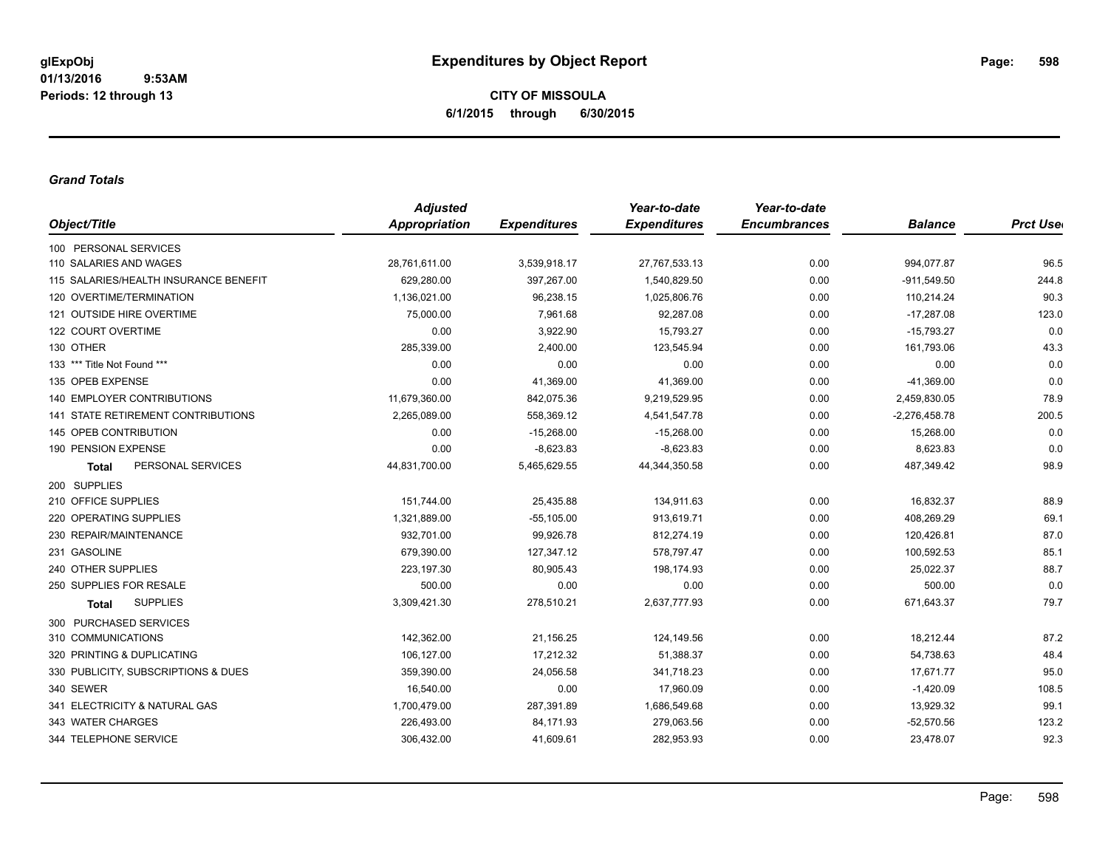#### *Grand Totals*

|                                           | <b>Adjusted</b> |                     | Year-to-date        | Year-to-date        |                 |                  |
|-------------------------------------------|-----------------|---------------------|---------------------|---------------------|-----------------|------------------|
| Object/Title                              | Appropriation   | <b>Expenditures</b> | <b>Expenditures</b> | <b>Encumbrances</b> | <b>Balance</b>  | <b>Prct User</b> |
| 100 PERSONAL SERVICES                     |                 |                     |                     |                     |                 |                  |
| 110 SALARIES AND WAGES                    | 28,761,611.00   | 3,539,918.17        | 27,767,533.13       | 0.00                | 994,077.87      | 96.5             |
| 115 SALARIES/HEALTH INSURANCE BENEFIT     | 629,280.00      | 397,267.00          | 1,540,829.50        | 0.00                | $-911,549.50$   | 244.8            |
| 120 OVERTIME/TERMINATION                  | 1,136,021.00    | 96,238.15           | 1,025,806.76        | 0.00                | 110,214.24      | 90.3             |
| 121 OUTSIDE HIRE OVERTIME                 | 75,000.00       | 7,961.68            | 92,287.08           | 0.00                | $-17,287.08$    | 123.0            |
| 122 COURT OVERTIME                        | 0.00            | 3,922.90            | 15.793.27           | 0.00                | $-15,793.27$    | 0.0              |
| 130 OTHER                                 | 285,339.00      | 2,400.00            | 123,545.94          | 0.00                | 161,793.06      | 43.3             |
| 133 *** Title Not Found ***               | 0.00            | 0.00                | 0.00                | 0.00                | 0.00            | 0.0              |
| 135 OPEB EXPENSE                          | 0.00            | 41,369.00           | 41,369.00           | 0.00                | $-41,369.00$    | 0.0              |
| <b>140 EMPLOYER CONTRIBUTIONS</b>         | 11,679,360.00   | 842,075.36          | 9,219,529.95        | 0.00                | 2,459,830.05    | 78.9             |
| <b>141 STATE RETIREMENT CONTRIBUTIONS</b> | 2,265,089.00    | 558,369.12          | 4,541,547.78        | 0.00                | $-2,276,458.78$ | 200.5            |
| 145 OPEB CONTRIBUTION                     | 0.00            | $-15,268.00$        | $-15.268.00$        | 0.00                | 15,268.00       | 0.0              |
| 190 PENSION EXPENSE                       | 0.00            | $-8,623.83$         | $-8,623.83$         | 0.00                | 8,623.83        | 0.0              |
| PERSONAL SERVICES<br><b>Total</b>         | 44,831,700.00   | 5,465,629.55        | 44,344,350.58       | 0.00                | 487,349.42      | 98.9             |
| 200 SUPPLIES                              |                 |                     |                     |                     |                 |                  |
| 210 OFFICE SUPPLIES                       | 151,744.00      | 25,435.88           | 134,911.63          | 0.00                | 16,832.37       | 88.9             |
| 220 OPERATING SUPPLIES                    | 1,321,889.00    | $-55,105.00$        | 913,619.71          | 0.00                | 408,269.29      | 69.1             |
| 230 REPAIR/MAINTENANCE                    | 932,701.00      | 99,926.78           | 812,274.19          | 0.00                | 120,426.81      | 87.0             |
| 231 GASOLINE                              | 679,390.00      | 127,347.12          | 578,797.47          | 0.00                | 100,592.53      | 85.1             |
| 240 OTHER SUPPLIES                        | 223,197.30      | 80,905.43           | 198,174.93          | 0.00                | 25,022.37       | 88.7             |
| 250 SUPPLIES FOR RESALE                   | 500.00          | 0.00                | 0.00                | 0.00                | 500.00          | 0.0              |
| <b>SUPPLIES</b><br>Total                  | 3,309,421.30    | 278,510.21          | 2,637,777.93        | 0.00                | 671,643.37      | 79.7             |
| 300 PURCHASED SERVICES                    |                 |                     |                     |                     |                 |                  |
| 310 COMMUNICATIONS                        | 142,362.00      | 21,156.25           | 124,149.56          | 0.00                | 18,212.44       | 87.2             |
| 320 PRINTING & DUPLICATING                | 106,127.00      | 17,212.32           | 51,388.37           | 0.00                | 54,738.63       | 48.4             |
| 330 PUBLICITY, SUBSCRIPTIONS & DUES       | 359,390.00      | 24,056.58           | 341,718.23          | 0.00                | 17,671.77       | 95.0             |
| 340 SEWER                                 | 16,540.00       | 0.00                | 17,960.09           | 0.00                | $-1,420.09$     | 108.5            |
| 341 ELECTRICITY & NATURAL GAS             | 1,700,479.00    | 287,391.89          | 1,686,549.68        | 0.00                | 13,929.32       | 99.1             |
| 343 WATER CHARGES                         | 226,493.00      | 84,171.93           | 279,063.56          | 0.00                | $-52,570.56$    | 123.2            |
| 344 TELEPHONE SERVICE                     | 306,432.00      | 41,609.61           | 282,953.93          | 0.00                | 23,478.07       | 92.3             |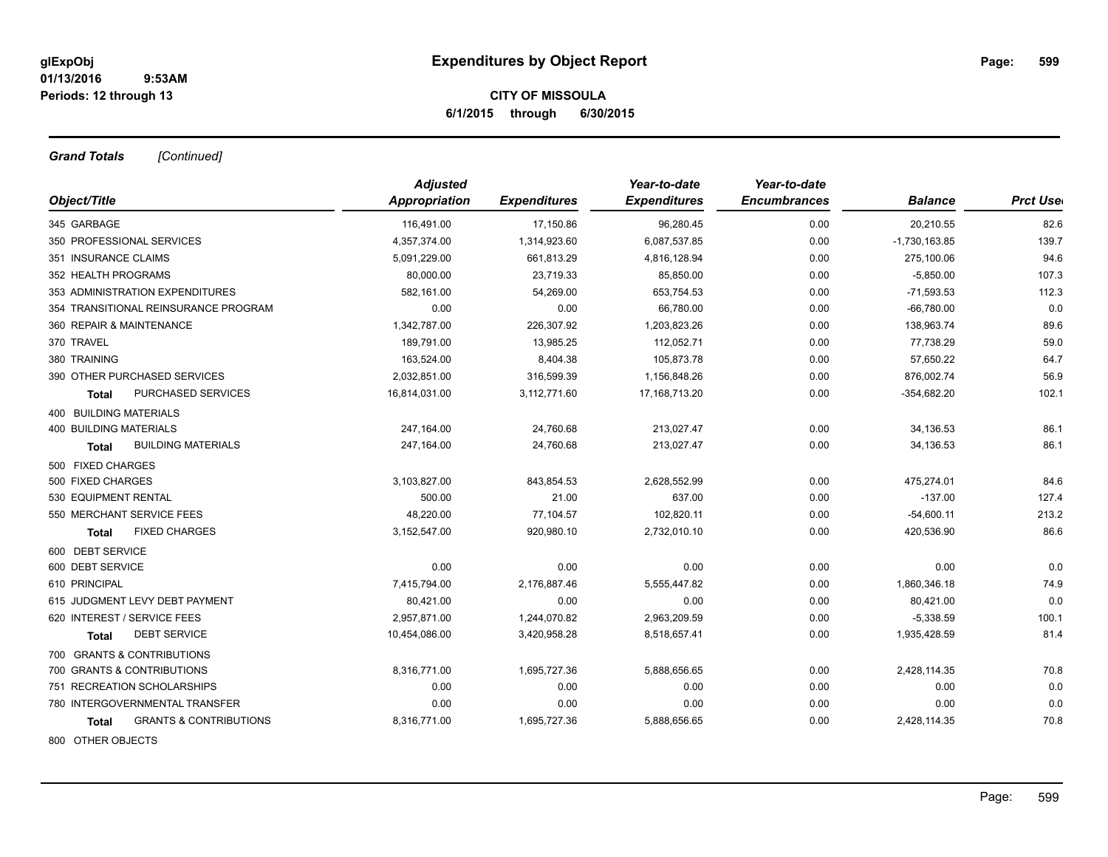*Grand Totals [Continued]*

|                                            | <b>Adjusted</b> |                     | Year-to-date        | Year-to-date        |                 |                  |
|--------------------------------------------|-----------------|---------------------|---------------------|---------------------|-----------------|------------------|
| Object/Title                               | Appropriation   | <b>Expenditures</b> | <b>Expenditures</b> | <b>Encumbrances</b> | <b>Balance</b>  | <b>Prct Uset</b> |
| 345 GARBAGE                                | 116,491.00      | 17,150.86           | 96,280.45           | 0.00                | 20,210.55       | 82.6             |
| 350 PROFESSIONAL SERVICES                  | 4,357,374.00    | 1,314,923.60        | 6,087,537.85        | 0.00                | $-1,730,163.85$ | 139.7            |
| 351 INSURANCE CLAIMS                       | 5,091,229.00    | 661,813.29          | 4,816,128.94        | 0.00                | 275,100.06      | 94.6             |
| 352 HEALTH PROGRAMS                        | 80,000.00       | 23,719.33           | 85,850.00           | 0.00                | $-5,850.00$     | 107.3            |
| 353 ADMINISTRATION EXPENDITURES            | 582,161.00      | 54,269.00           | 653,754.53          | 0.00                | $-71,593.53$    | 112.3            |
| 354 TRANSITIONAL REINSURANCE PROGRAM       | 0.00            | 0.00                | 66,780.00           | 0.00                | $-66,780.00$    | 0.0              |
| 360 REPAIR & MAINTENANCE                   | 1,342,787.00    | 226,307.92          | 1,203,823.26        | 0.00                | 138,963.74      | 89.6             |
| 370 TRAVEL                                 | 189,791.00      | 13,985.25           | 112,052.71          | 0.00                | 77,738.29       | 59.0             |
| 380 TRAINING                               | 163,524.00      | 8,404.38            | 105,873.78          | 0.00                | 57,650.22       | 64.7             |
| 390 OTHER PURCHASED SERVICES               | 2,032,851.00    | 316,599.39          | 1,156,848.26        | 0.00                | 876,002.74      | 56.9             |
| PURCHASED SERVICES<br>Total                | 16,814,031.00   | 3,112,771.60        | 17, 168, 713. 20    | 0.00                | $-354,682.20$   | 102.1            |
| <b>400 BUILDING MATERIALS</b>              |                 |                     |                     |                     |                 |                  |
| <b>400 BUILDING MATERIALS</b>              | 247,164.00      | 24,760.68           | 213,027.47          | 0.00                | 34,136.53       | 86.1             |
| <b>BUILDING MATERIALS</b><br>Total         | 247,164.00      | 24,760.68           | 213,027.47          | 0.00                | 34,136.53       | 86.1             |
| 500 FIXED CHARGES                          |                 |                     |                     |                     |                 |                  |
| 500 FIXED CHARGES                          | 3,103,827.00    | 843,854.53          | 2,628,552.99        | 0.00                | 475,274.01      | 84.6             |
| 530 EQUIPMENT RENTAL                       | 500.00          | 21.00               | 637.00              | 0.00                | $-137.00$       | 127.4            |
| 550 MERCHANT SERVICE FEES                  | 48,220.00       | 77,104.57           | 102,820.11          | 0.00                | $-54,600.11$    | 213.2            |
| <b>FIXED CHARGES</b><br><b>Total</b>       | 3,152,547.00    | 920,980.10          | 2,732,010.10        | 0.00                | 420,536.90      | 86.6             |
| 600 DEBT SERVICE                           |                 |                     |                     |                     |                 |                  |
| 600 DEBT SERVICE                           | 0.00            | 0.00                | 0.00                | 0.00                | 0.00            | 0.0              |
| 610 PRINCIPAL                              | 7,415,794.00    | 2,176,887.46        | 5,555,447.82        | 0.00                | 1,860,346.18    | 74.9             |
| 615 JUDGMENT LEVY DEBT PAYMENT             | 80,421.00       | 0.00                | 0.00                | 0.00                | 80,421.00       | 0.0              |
| 620 INTEREST / SERVICE FEES                | 2,957,871.00    | 1,244,070.82        | 2,963,209.59        | 0.00                | $-5,338.59$     | 100.1            |
| <b>DEBT SERVICE</b><br>Total               | 10,454,086.00   | 3,420,958.28        | 8,518,657.41        | 0.00                | 1,935,428.59    | 81.4             |
| 700 GRANTS & CONTRIBUTIONS                 |                 |                     |                     |                     |                 |                  |
| 700 GRANTS & CONTRIBUTIONS                 | 8,316,771.00    | 1,695,727.36        | 5,888,656.65        | 0.00                | 2,428,114.35    | 70.8             |
| 751 RECREATION SCHOLARSHIPS                | 0.00            | 0.00                | 0.00                | 0.00                | 0.00            | 0.0              |
| 780 INTERGOVERNMENTAL TRANSFER             | 0.00            | 0.00                | 0.00                | 0.00                | 0.00            | 0.0              |
| <b>GRANTS &amp; CONTRIBUTIONS</b><br>Total | 8,316,771.00    | 1,695,727.36        | 5,888,656.65        | 0.00                | 2,428,114.35    | 70.8             |
| 800 OTHER OBJECTS                          |                 |                     |                     |                     |                 |                  |